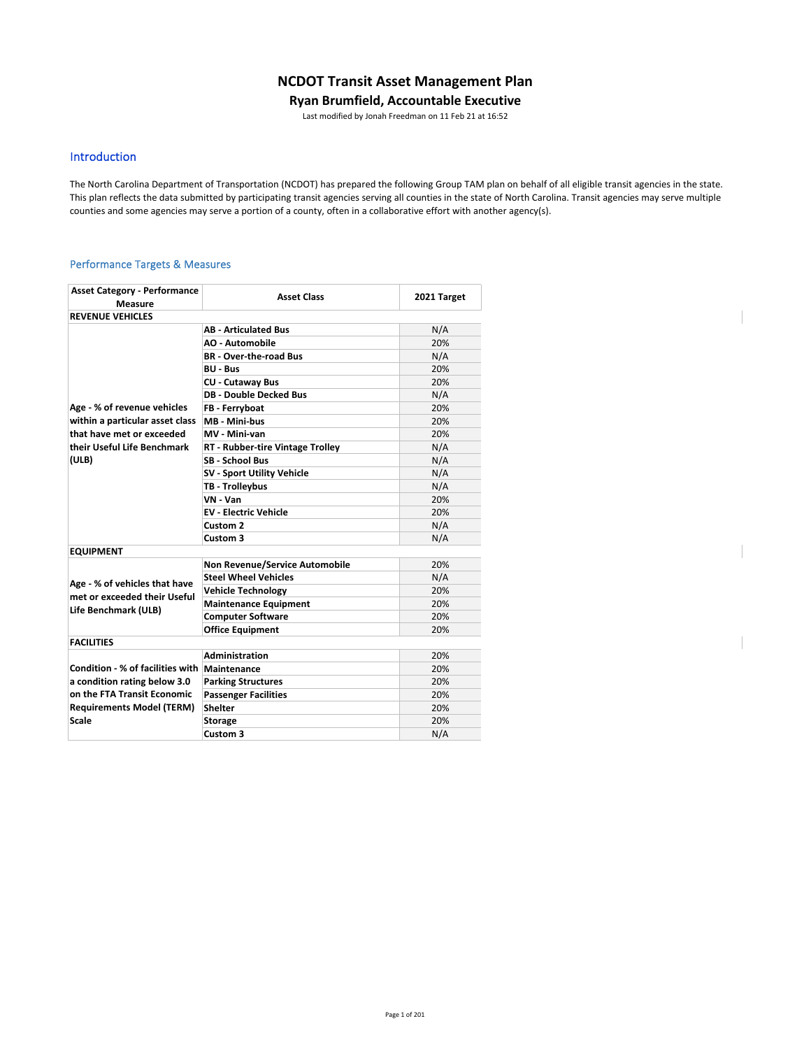# **NCDOT Transit Asset Management Plan**

### **Ryan Brumfield, Accountable Executive**

Last modified by Jonah Freedman on 11 Feb 21 at 16:52

## Introduction

The North Carolina Department of Transportation (NCDOT) has prepared the following Group TAM plan on behalf of all eligible transit agencies in the state. This plan reflects the data submitted by participating transit agencies serving all counties in the state of North Carolina. Transit agencies may serve multiple counties and some agencies may serve a portion of a county, often in a collaborative effort with another agency(s).

### Performance Targets & Measures

| <b>Asset Category - Performance</b><br>Measure | <b>Asset Class</b>                      | 2021 Target |
|------------------------------------------------|-----------------------------------------|-------------|
| <b>REVENUE VEHICLES</b>                        |                                         |             |
|                                                | <b>AB - Articulated Bus</b>             | N/A         |
|                                                | <b>AO - Automobile</b>                  | 20%         |
|                                                | <b>BR</b> - Over-the-road Bus           | N/A         |
|                                                | <b>BU - Bus</b>                         | 20%         |
|                                                | <b>CU - Cutaway Bus</b>                 | 20%         |
|                                                | <b>DB - Double Decked Bus</b>           | N/A         |
| Age - % of revenue vehicles                    | FB - Ferryboat                          | 20%         |
| within a particular asset class                | MB - Mini-bus                           | 20%         |
| that have met or exceeded                      | MV - Mini-van                           | 20%         |
| their Useful Life Benchmark                    | <b>RT - Rubber-tire Vintage Trolley</b> | N/A         |
| (ULB)                                          | <b>SB - School Bus</b>                  | N/A         |
|                                                | <b>SV - Sport Utility Vehicle</b>       | N/A         |
|                                                | TB - Trolleybus                         | N/A         |
|                                                | VN - Van                                | 20%         |
|                                                | <b>EV - Electric Vehicle</b>            | 20%         |
|                                                | Custom 2                                | N/A         |
|                                                | Custom 3                                | N/A         |
| <b>EQUIPMENT</b>                               |                                         |             |
|                                                | <b>Non Revenue/Service Automobile</b>   | 20%         |
| Age - % of vehicles that have                  | <b>Steel Wheel Vehicles</b>             | N/A         |
| met or exceeded their Useful                   | <b>Vehicle Technology</b>               | 20%         |
| Life Benchmark (ULB)                           | <b>Maintenance Equipment</b>            | 20%         |
|                                                | <b>Computer Software</b>                | 20%         |
|                                                | <b>Office Equipment</b>                 | 20%         |
| <b>FACILITIES</b>                              |                                         |             |
|                                                | Administration                          | 20%         |
| Condition - % of facilities with   Maintenance |                                         | 20%         |
| a condition rating below 3.0                   | <b>Parking Structures</b>               | 20%         |
| on the FTA Transit Economic                    | <b>Passenger Facilities</b>             | 20%         |
| <b>Requirements Model (TERM)</b>               | <b>Shelter</b>                          | 20%         |
| Scale                                          | <b>Storage</b>                          | 20%         |
|                                                | Custom 3                                | N/A         |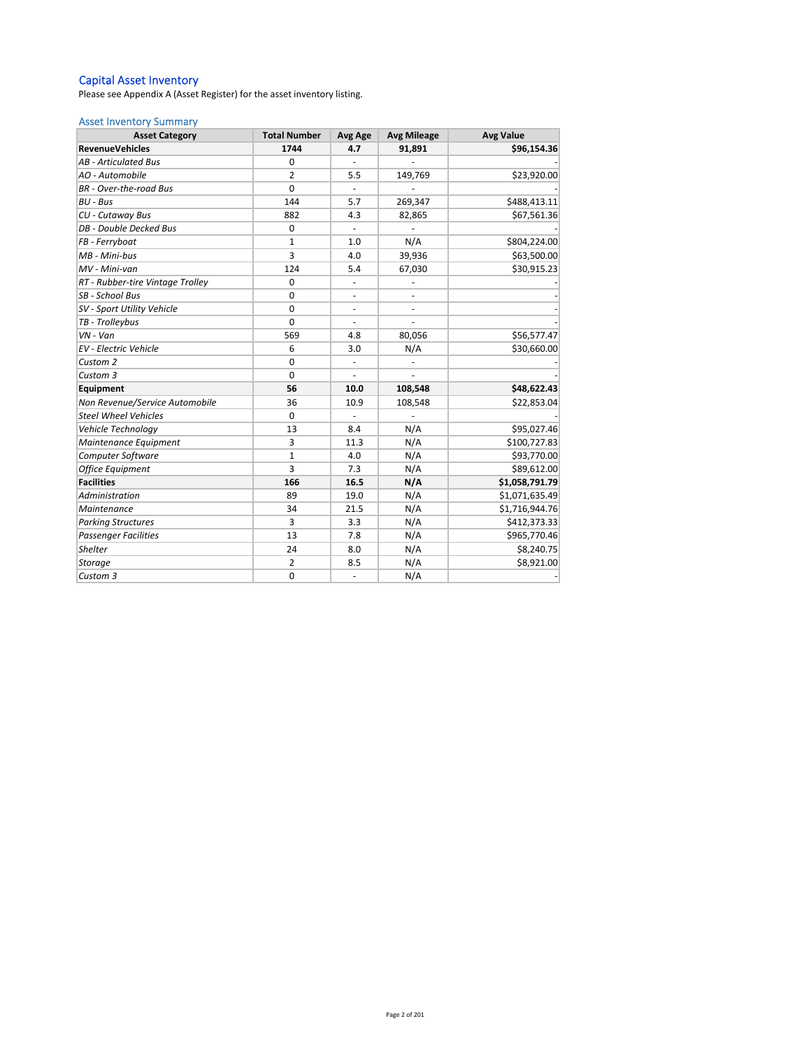#### Capital Asset Inventory

Please see Appendix A (Asset Register) for the asset inventory listing.

### Asset Inventory Summary

| <b>Asset Category</b>            | <b>Total Number</b> | Avg Age                  | <b>Avg Mileage</b> | <b>Avg Value</b> |
|----------------------------------|---------------------|--------------------------|--------------------|------------------|
| <b>RevenueVehicles</b>           | 1744                | 4.7                      | 91,891             | \$96,154.36      |
| <b>AB</b> - Articulated Bus      | 0                   |                          |                    |                  |
| AO - Automobile                  | $\overline{2}$      | 5.5                      | 149,769            | \$23,920.00      |
| <b>BR</b> - Over-the-road Bus    | $\mathbf 0$         | $\centerdot$             |                    |                  |
| BU - Bus                         | 144                 | 5.7                      | 269,347            | \$488,413.11     |
| CU - Cutaway Bus                 | 882                 | 4.3                      | 82,865             | \$67,561.36      |
| DB - Double Decked Bus           | $\mathbf 0$         |                          |                    |                  |
| FB - Ferryboat                   | $\mathbf{1}$        | 1.0                      | N/A                | \$804,224.00     |
| MB - Mini-bus                    | 3                   | 4.0                      | 39,936             | \$63,500.00      |
| MV - Mini-van                    | 124                 | 5.4                      | 67,030             | \$30,915.23      |
| RT - Rubber-tire Vintage Trolley | $\Omega$            | $\overline{\phantom{a}}$ |                    |                  |
| SB - School Bus                  | $\Omega$            | $\overline{\phantom{a}}$ |                    |                  |
| SV - Sport Utility Vehicle       | $\Omega$            |                          |                    |                  |
| TB - Trolleybus                  | $\mathbf 0$         |                          |                    |                  |
| $VN - Van$                       | 569                 | 4.8                      | 80,056             | \$56,577.47      |
| <b>EV</b> - Electric Vehicle     | 6                   | 3.0                      | N/A                | \$30,660.00      |
| Custom <sub>2</sub>              | $\Omega$            | ÷,                       |                    |                  |
| Custom 3                         | $\Omega$            |                          |                    |                  |
| Equipment                        | 56                  | 10.0                     | 108,548            | \$48,622.43      |
| Non Revenue/Service Automobile   | 36                  | 10.9                     | 108,548            | \$22,853.04      |
| <b>Steel Wheel Vehicles</b>      | 0                   |                          |                    |                  |
| Vehicle Technology               | 13                  | 8.4                      | N/A                | \$95,027.46      |
| Maintenance Equipment            | 3                   | 11.3                     | N/A                | \$100,727.83     |
| Computer Software                | $\mathbf 1$         | 4.0                      | N/A                | \$93,770.00      |
| <b>Office Equipment</b>          | 3                   | 7.3                      | N/A                | \$89,612.00      |
| <b>Facilities</b>                | 166                 | 16.5                     | N/A                | \$1,058,791.79   |
| Administration                   | 89                  | 19.0                     | N/A                | \$1,071,635.49   |
| Maintenance                      | 34                  | 21.5                     | N/A                | \$1,716,944.76   |
| <b>Parking Structures</b>        | 3                   | 3.3                      | N/A                | \$412,373.33     |
| <b>Passenger Facilities</b>      | 13                  | 7.8                      | N/A                | \$965,770.46     |
| <b>Shelter</b>                   | 24                  | 8.0                      | N/A                | \$8,240.75       |
| Storage                          | $\overline{2}$      | 8.5                      | N/A                | \$8,921.00       |
| Custom 3                         | $\mathbf 0$         | ÷,                       | N/A                |                  |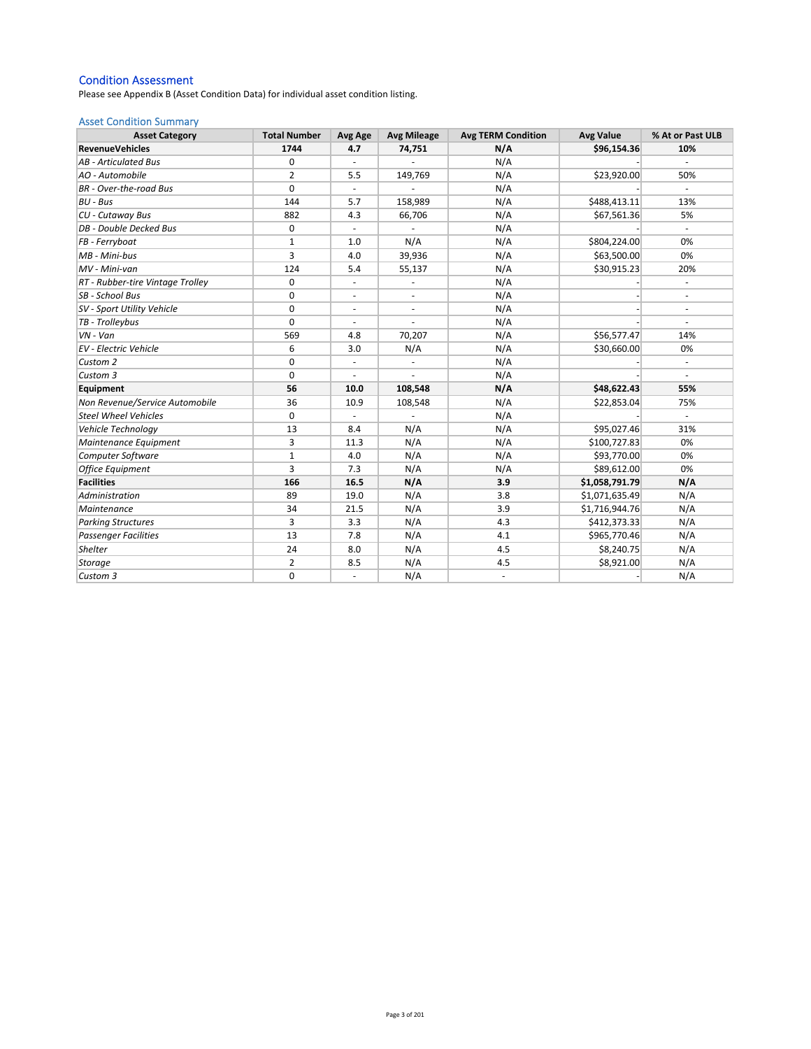### Condition Assessment

Please see Appendix B (Asset Condition Data) for individual asset condition listing.

### Asset Condition Summary

| <b>Asset Category</b>            | <b>Total Number</b> | Avg Age                  | <b>Avg Mileage</b>       | <b>Avg TERM Condition</b> | <b>Avg Value</b> | % At or Past ULB         |
|----------------------------------|---------------------|--------------------------|--------------------------|---------------------------|------------------|--------------------------|
| <b>RevenueVehicles</b>           | 1744                | 4.7                      | 74,751                   | N/A                       | \$96,154.36      | 10%                      |
| <b>AB</b> - Articulated Bus      | 0                   | $\sim$                   |                          | N/A                       |                  |                          |
| AO - Automobile                  | $\overline{2}$      | 5.5                      | 149,769                  | N/A                       | \$23,920.00      | 50%                      |
| <b>BR</b> - Over-the-road Bus    | $\mathbf 0$         |                          |                          | N/A                       |                  |                          |
| BU - Bus                         | 144                 | 5.7                      | 158,989                  | N/A                       | \$488,413.11     | 13%                      |
| CU - Cutaway Bus                 | 882                 | 4.3                      | 66,706                   | N/A                       | \$67,561.36      | 5%                       |
| DB - Double Decked Bus           | 0                   | $\omega$                 |                          | N/A                       |                  | $\sim$                   |
| FB - Ferryboat                   | $\mathbf{1}$        | 1.0                      | N/A                      | N/A                       | \$804,224.00     | 0%                       |
| MB - Mini-bus                    | 3                   | 4.0                      | 39,936                   | N/A                       | \$63,500.00      | 0%                       |
| MV - Mini-van                    | 124                 | 5.4                      | 55,137                   | N/A                       | \$30,915.23      | 20%                      |
| RT - Rubber-tire Vintage Trolley | 0                   | $\overline{\phantom{a}}$ | $\overline{\phantom{a}}$ | N/A                       |                  | $\overline{\phantom{a}}$ |
| SB - School Bus                  | 0                   | $\blacksquare$           | $\overline{\phantom{a}}$ | N/A                       |                  | ä,                       |
| SV - Sport Utility Vehicle       | 0                   | $\sim$                   | ä,                       | N/A                       |                  |                          |
| TB - Trolleybus                  | $\Omega$            |                          |                          | N/A                       |                  |                          |
| $VN - Van$                       | 569                 | 4.8                      | 70,207                   | N/A                       | \$56,577.47      | 14%                      |
| <b>EV</b> - Electric Vehicle     | 6                   | 3.0                      | N/A                      | N/A                       | \$30,660.00      | 0%                       |
| Custom 2                         | 0                   | $\overline{\phantom{a}}$ | ÷,                       | N/A                       |                  | $\overline{\phantom{a}}$ |
| Custom 3                         | $\mathbf 0$         | $\overline{\phantom{a}}$ | ä,                       | N/A                       |                  | ÷                        |
| Equipment                        | 56                  | 10.0                     | 108,548                  | N/A                       | \$48,622.43      | 55%                      |
| Non Revenue/Service Automobile   | 36                  | 10.9                     | 108,548                  | N/A                       | \$22,853.04      | 75%                      |
| <b>Steel Wheel Vehicles</b>      | 0                   |                          |                          | N/A                       |                  |                          |
| Vehicle Technology               | 13                  | 8.4                      | N/A                      | N/A                       | \$95,027.46      | 31%                      |
| Maintenance Equipment            | 3                   | 11.3                     | N/A                      | N/A                       | \$100,727.83     | 0%                       |
| Computer Software                | $\mathbf{1}$        | 4.0                      | N/A                      | N/A                       | \$93,770.00      | 0%                       |
| <b>Office Equipment</b>          | 3                   | 7.3                      | N/A                      | N/A                       | \$89,612.00      | 0%                       |
| <b>Facilities</b>                | 166                 | 16.5                     | N/A                      | 3.9                       | \$1,058,791.79   | N/A                      |
| Administration                   | 89                  | 19.0                     | N/A                      | 3.8                       | \$1,071,635.49   | N/A                      |
| Maintenance                      | 34                  | 21.5                     | N/A                      | 3.9                       | \$1,716,944.76   | N/A                      |
| <b>Parking Structures</b>        | 3                   | 3.3                      | N/A                      | 4.3                       | \$412,373.33     | N/A                      |
| <b>Passenger Facilities</b>      | 13                  | 7.8                      | N/A                      | 4.1                       | \$965,770.46     | N/A                      |
| Shelter                          | 24                  | 8.0                      | N/A                      | 4.5                       | \$8,240.75       | N/A                      |
| <b>Storage</b>                   | $\overline{2}$      | 8.5                      | N/A                      | 4.5                       | \$8,921.00       | N/A                      |
| Custom 3                         | 0                   | ÷,                       | N/A                      | $\overline{\phantom{a}}$  |                  | N/A                      |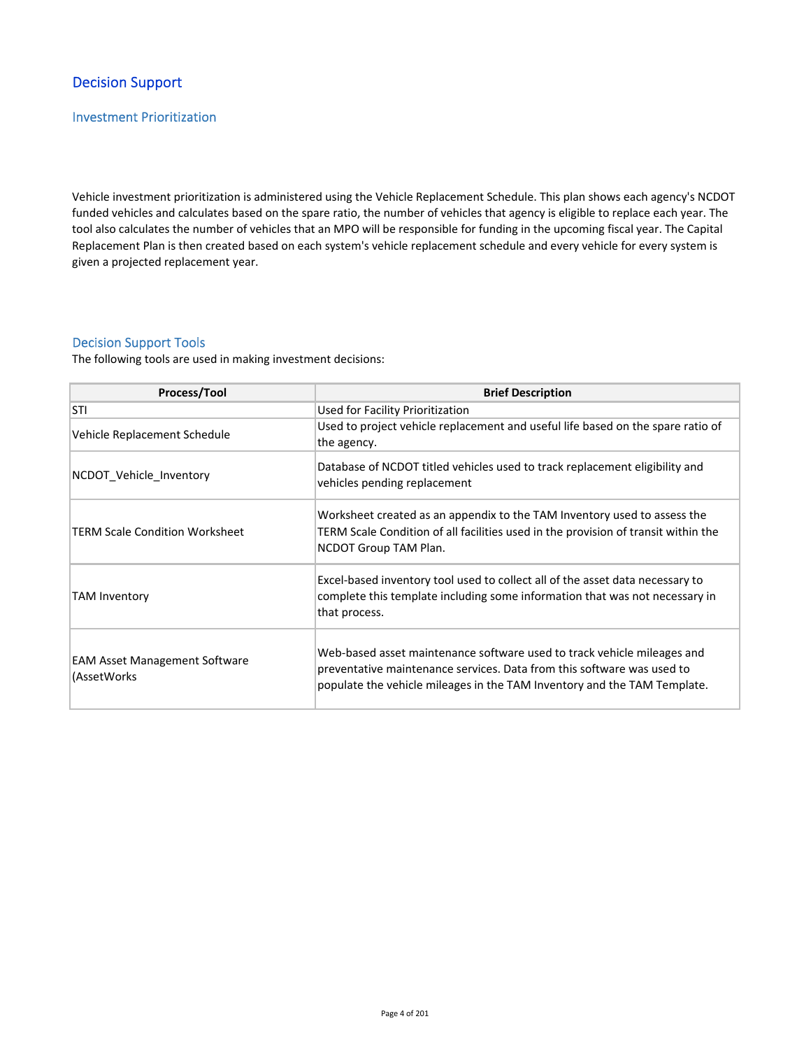# Decision Support

## Investment Prioritization

Vehicle investment prioritization is administered using the Vehicle Replacement Schedule. This plan shows each agency's NCDOT funded vehicles and calculates based on the spare ratio, the number of vehicles that agency is eligible to replace each year. The tool also calculates the number of vehicles that an MPO will be responsible for funding in the upcoming fiscal year. The Capital Replacement Plan is then created based on each system's vehicle replacement schedule and every vehicle for every system is given a projected replacement year.

## Decision Support Tools

The following tools are used in making investment decisions:

| Process/Tool                                         | <b>Brief Description</b>                                                                                                                                                                                                      |  |  |  |  |  |  |
|------------------------------------------------------|-------------------------------------------------------------------------------------------------------------------------------------------------------------------------------------------------------------------------------|--|--|--|--|--|--|
| STI                                                  | Used for Facility Prioritization                                                                                                                                                                                              |  |  |  |  |  |  |
| Vehicle Replacement Schedule                         | Used to project vehicle replacement and useful life based on the spare ratio of<br>the agency.                                                                                                                                |  |  |  |  |  |  |
| NCDOT_Vehicle_Inventory                              | Database of NCDOT titled vehicles used to track replacement eligibility and<br>vehicles pending replacement                                                                                                                   |  |  |  |  |  |  |
| TERM Scale Condition Worksheet                       | Worksheet created as an appendix to the TAM Inventory used to assess the<br>TERM Scale Condition of all facilities used in the provision of transit within the<br>NCDOT Group TAM Plan.                                       |  |  |  |  |  |  |
| <b>TAM Inventory</b>                                 | Excel-based inventory tool used to collect all of the asset data necessary to<br>complete this template including some information that was not necessary in<br>that process.                                                 |  |  |  |  |  |  |
| <b>EAM Asset Management Software</b><br>(AssetWorks) | Web-based asset maintenance software used to track vehicle mileages and<br>preventative maintenance services. Data from this software was used to<br>populate the vehicle mileages in the TAM Inventory and the TAM Template. |  |  |  |  |  |  |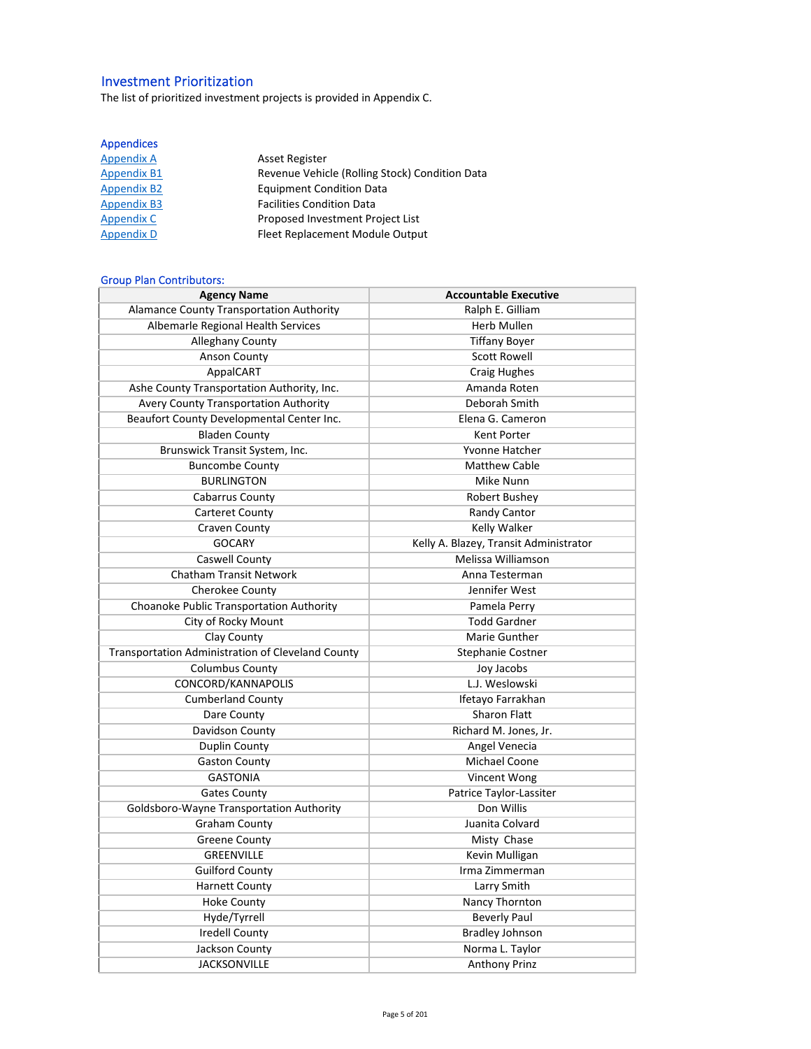# Investment Prioritization

The list of prioritized investment projects is provided in Appendix C.

## Appendices

| <b>Appendix A</b>  | <b>Asset Register</b>                          |
|--------------------|------------------------------------------------|
| <b>Appendix B1</b> | Revenue Vehicle (Rolling Stock) Condition Data |
| <b>Appendix B2</b> | <b>Equipment Condition Data</b>                |
| <b>Appendix B3</b> | <b>Facilities Condition Data</b>               |
| Appendix C         | Proposed Investment Project List               |
| <b>Appendix D</b>  | Fleet Replacement Module Output                |

## Group Plan Contributors:

| <b>Agency Name</b>                                | <b>Accountable Executive</b>           |
|---------------------------------------------------|----------------------------------------|
| <b>Alamance County Transportation Authority</b>   | Ralph E. Gilliam                       |
| Albemarle Regional Health Services                | <b>Herb Mullen</b>                     |
| <b>Alleghany County</b>                           | <b>Tiffany Boyer</b>                   |
| <b>Anson County</b>                               | <b>Scott Rowell</b>                    |
| AppalCART                                         | Craig Hughes                           |
| Ashe County Transportation Authority, Inc.        | Amanda Roten                           |
| Avery County Transportation Authority             | Deborah Smith                          |
| Beaufort County Developmental Center Inc.         | Elena G. Cameron                       |
| <b>Bladen County</b>                              | Kent Porter                            |
| Brunswick Transit System, Inc.                    | Yvonne Hatcher                         |
| <b>Buncombe County</b>                            | <b>Matthew Cable</b>                   |
| <b>BURLINGTON</b>                                 | Mike Nunn                              |
| Cabarrus County                                   | Robert Bushey                          |
| <b>Carteret County</b>                            | Randy Cantor                           |
| Craven County                                     | Kelly Walker                           |
| <b>GOCARY</b>                                     | Kelly A. Blazey, Transit Administrator |
| Caswell County                                    | Melissa Williamson                     |
| <b>Chatham Transit Network</b>                    | Anna Testerman                         |
| Cherokee County                                   | Jennifer West                          |
| Choanoke Public Transportation Authority          | Pamela Perry                           |
| City of Rocky Mount                               | <b>Todd Gardner</b>                    |
| Clay County                                       | Marie Gunther                          |
| Transportation Administration of Cleveland County | Stephanie Costner                      |
| <b>Columbus County</b>                            | Joy Jacobs                             |
| CONCORD/KANNAPOLIS                                | L.J. Weslowski                         |
| <b>Cumberland County</b>                          | Ifetayo Farrakhan                      |
| Dare County                                       | <b>Sharon Flatt</b>                    |
| Davidson County                                   | Richard M. Jones, Jr.                  |
| Duplin County                                     | Angel Venecia                          |
| <b>Gaston County</b>                              | Michael Coone                          |
| <b>GASTONIA</b>                                   | Vincent Wong                           |
| <b>Gates County</b>                               | Patrice Taylor-Lassiter                |
| Goldsboro-Wayne Transportation Authority          | Don Willis                             |
| <b>Graham County</b>                              | Juanita Colvard                        |
| <b>Greene County</b>                              | Misty Chase                            |
| <b>GREENVILLE</b>                                 | Kevin Mulligan                         |
| <b>Guilford County</b>                            | Irma Zimmerman                         |
| <b>Harnett County</b>                             | Larry Smith                            |
| <b>Hoke County</b>                                | Nancy Thornton                         |
| Hyde/Tyrrell                                      | <b>Beverly Paul</b>                    |
| <b>Iredell County</b>                             | <b>Bradley Johnson</b>                 |
| Jackson County                                    | Norma L. Taylor                        |
| <b>JACKSONVILLE</b>                               | <b>Anthony Prinz</b>                   |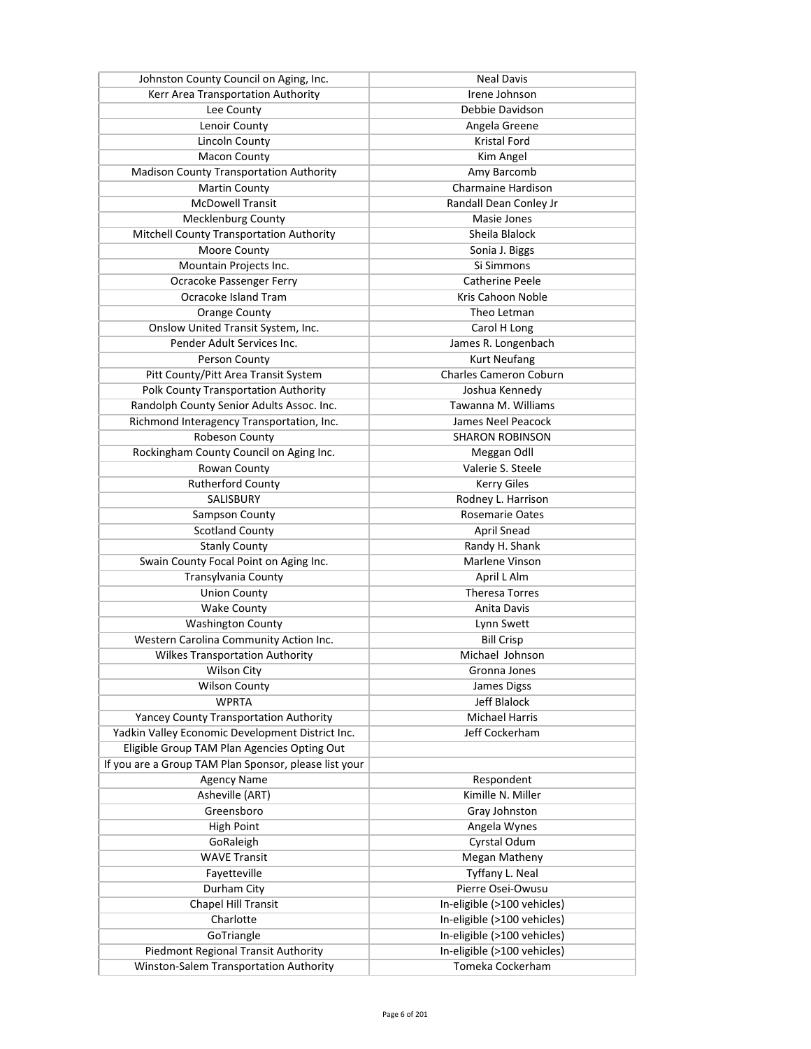| Johnston County Council on Aging, Inc.                | <b>Neal Davis</b>             |
|-------------------------------------------------------|-------------------------------|
| Kerr Area Transportation Authority                    | Irene Johnson                 |
| Lee County                                            | Debbie Davidson               |
| Lenoir County                                         | Angela Greene                 |
| <b>Lincoln County</b>                                 | <b>Kristal Ford</b>           |
| <b>Macon County</b>                                   | Kim Angel                     |
| <b>Madison County Transportation Authority</b>        | Amy Barcomb                   |
| <b>Martin County</b>                                  | <b>Charmaine Hardison</b>     |
| <b>McDowell Transit</b>                               | Randall Dean Conley Jr        |
| <b>Mecklenburg County</b>                             | Masie Jones                   |
| Mitchell County Transportation Authority              | Sheila Blalock                |
| Moore County                                          | Sonia J. Biggs                |
| Mountain Projects Inc.                                | Si Simmons                    |
| Ocracoke Passenger Ferry                              | Catherine Peele               |
| Ocracoke Island Tram                                  | Kris Cahoon Noble             |
| <b>Orange County</b>                                  | Theo Letman                   |
| Onslow United Transit System, Inc.                    | Carol H Long                  |
| Pender Adult Services Inc.                            |                               |
|                                                       | James R. Longenbach           |
| Person County                                         | <b>Kurt Neufang</b>           |
| Pitt County/Pitt Area Transit System                  | <b>Charles Cameron Coburn</b> |
| Polk County Transportation Authority                  | Joshua Kennedy                |
| Randolph County Senior Adults Assoc. Inc.             | Tawanna M. Williams           |
| Richmond Interagency Transportation, Inc.             | James Neel Peacock            |
| Robeson County                                        | <b>SHARON ROBINSON</b>        |
| Rockingham County Council on Aging Inc.               | Meggan Odll                   |
| Rowan County                                          | Valerie S. Steele             |
| <b>Rutherford County</b>                              | <b>Kerry Giles</b>            |
| SALISBURY                                             | Rodney L. Harrison            |
| Sampson County                                        | <b>Rosemarie Oates</b>        |
| <b>Scotland County</b>                                | April Snead                   |
| <b>Stanly County</b>                                  | Randy H. Shank                |
| Swain County Focal Point on Aging Inc.                | Marlene Vinson                |
| Transylvania County                                   | April L Alm                   |
| <b>Union County</b>                                   | <b>Theresa Torres</b>         |
| <b>Wake County</b>                                    | Anita Davis                   |
| <b>Washington County</b>                              | Lynn Swett                    |
| Western Carolina Community Action Inc.                | <b>Bill Crisp</b>             |
| <b>Wilkes Transportation Authority</b>                | Michael Johnson               |
| <b>Wilson City</b>                                    | Gronna Jones                  |
| <b>Wilson County</b>                                  | James Digss                   |
| <b>WPRTA</b>                                          | Jeff Blalock                  |
| <b>Yancey County Transportation Authority</b>         | Michael Harris                |
| Yadkin Valley Economic Development District Inc.      | Jeff Cockerham                |
| Eligible Group TAM Plan Agencies Opting Out           |                               |
| If you are a Group TAM Plan Sponsor, please list your |                               |
| <b>Agency Name</b>                                    | Respondent                    |
| Asheville (ART)                                       | Kimille N. Miller             |
| Greensboro                                            | Gray Johnston                 |
| <b>High Point</b>                                     | Angela Wynes                  |
| GoRaleigh                                             | Cyrstal Odum                  |
| <b>WAVE Transit</b>                                   | <b>Megan Matheny</b>          |
| Fayetteville                                          | Tyffany L. Neal               |
| Durham City                                           | Pierre Osei-Owusu             |
| <b>Chapel Hill Transit</b>                            | In-eligible (>100 vehicles)   |
| Charlotte                                             | In-eligible (>100 vehicles)   |
| GoTriangle                                            | In-eligible (>100 vehicles)   |
| Piedmont Regional Transit Authority                   | In-eligible (>100 vehicles)   |
| Winston-Salem Transportation Authority                | Tomeka Cockerham              |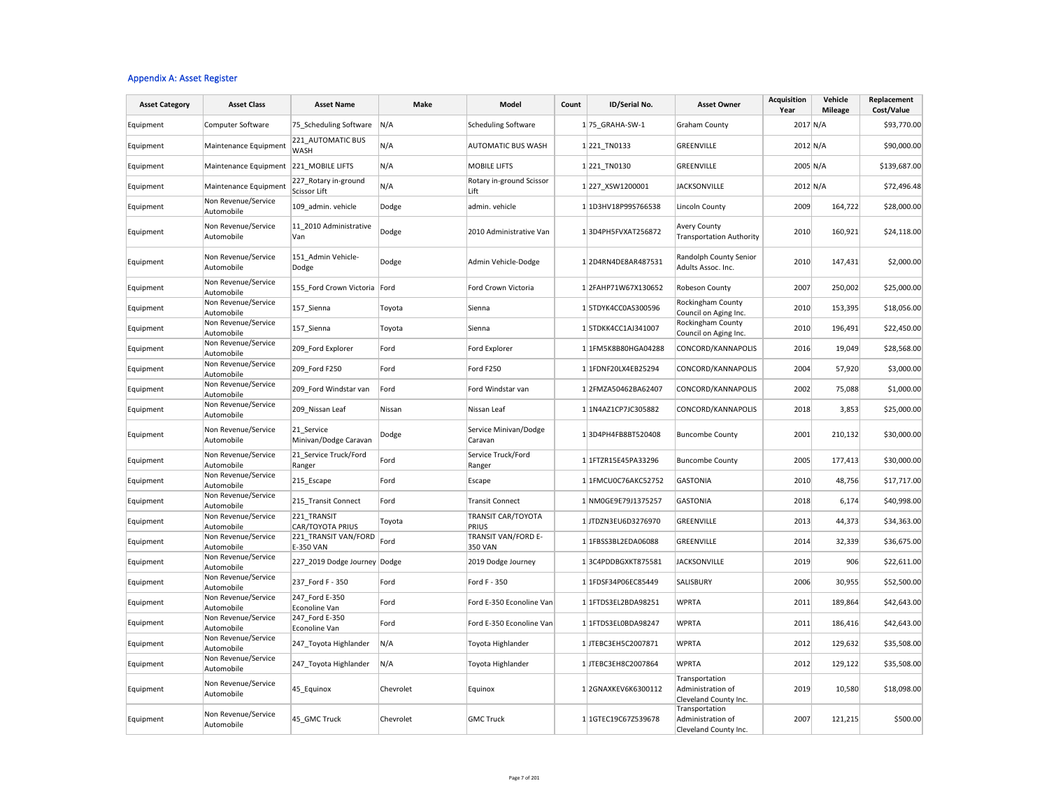#### Appendix A: Asset Register

| <b>Asset Category</b> | <b>Asset Class</b>                     | <b>Asset Name</b>                        | <b>Make</b> | Model                              | Count | ID/Serial No.       | <b>Asset Owner</b>                                           | <b>Acquisition</b><br>Year | Vehicle<br><b>Mileage</b> | Replacement<br>Cost/Value |
|-----------------------|----------------------------------------|------------------------------------------|-------------|------------------------------------|-------|---------------------|--------------------------------------------------------------|----------------------------|---------------------------|---------------------------|
| Equipment             | Computer Software                      | 75 Scheduling Software                   | N/A         | <b>Scheduling Software</b>         |       | 1 75 GRAHA-SW-1     | <b>Graham County</b>                                         | 2017 N/A                   |                           | \$93,770.00               |
| Equipment             | Maintenance Equipment                  | 221 AUTOMATIC BUS<br><b>WASH</b>         | N/A         | AUTOMATIC BUS WASH                 |       | 1 221 TN0133        | GREENVILLE                                                   | 2012 N/A                   |                           | \$90,000.00               |
| Equipment             | Maintenance Equipment 221 MOBILE LIFTS |                                          | N/A         | <b>MOBILE LIFTS</b>                |       | 1 221 TN0130        | GREENVILLE                                                   | 2005 N/A                   |                           | \$139,687.00              |
| Equipment             | Maintenance Equipment                  | 227_Rotary in-ground<br>Scissor Lift     | N/A         | Rotary in-ground Scissor<br>Lift   |       | 1227_XSW1200001     | <b>JACKSONVILLE</b>                                          | 2012 N/A                   |                           | \$72,496.48               |
| Equipment             | Non Revenue/Service<br>Automobile      | 109_admin. vehicle                       | Dodge       | admin. vehicle                     |       | 1 1D3HV18P99S766538 | Lincoln County                                               | 2009                       | 164,722                   | \$28,000.00               |
| Equipment             | Non Revenue/Service<br>Automobile      | 11 2010 Administrative<br>Van            | Dodge       | 2010 Administrative Van            |       | 13D4PH5FVXAT256872  | <b>Avery County</b><br><b>Transportation Authority</b>       | 2010                       | 160,921                   | \$24,118.00               |
| Equipment             | Non Revenue/Service<br>Automobile      | 151 Admin Vehicle-<br>Dodge              | Dodge       | Admin Vehicle-Dodge                |       | 12D4RN4DE8AR487531  | Randolph County Senior<br>Adults Assoc. Inc.                 | 2010                       | 147,431                   | \$2,000.00                |
| Equipment             | Non Revenue/Service<br>Automobile      | 155 Ford Crown Victoria Ford             |             | Ford Crown Victoria                |       | 12FAHP71W67X130652  | Robeson County                                               | 2007                       | 250,002                   | \$25,000.00               |
| Equipment             | Non Revenue/Service<br>Automobile      | 157 Sienna                               | Toyota      | Sienna                             |       | 15TDYK4CC0AS300596  | Rockingham County<br>Council on Aging Inc.                   | 2010                       | 153,395                   | \$18,056.00               |
| Equipment             | Non Revenue/Service<br>Automobile      | 157 Sienna                               | Toyota      | Sienna                             |       | 1 5TDKK4CC1AJ341007 | Rockingham County<br>Council on Aging Inc.                   | 2010                       | 196,491                   | \$22,450.00               |
| Equipment             | Non Revenue/Service<br>Automobile      | 209 Ford Explorer                        | Ford        | Ford Explorer                      |       | 1 1FM5K8B80HGA04288 | CONCORD/KANNAPOLIS                                           | 2016                       | 19,049                    | \$28,568.00               |
| Equipment             | Non Revenue/Service<br>Automobile      | 209 Ford F250                            | Ford        | Ford F250                          |       | 1 1FDNF20LX4EB25294 | CONCORD/KANNAPOLIS                                           | 2004                       | 57,920                    | \$3,000.00                |
| Equipment             | Non Revenue/Service<br>Automobile      | 209 Ford Windstar van                    | Ford        | Ford Windstar van                  |       | 12FMZA50462BA62407  | CONCORD/KANNAPOLIS                                           | 2002                       | 75,088                    | \$1,000.00                |
| Equipment             | Non Revenue/Service<br>Automobile      | 209 Nissan Leaf                          | Nissan      | Nissan Leaf                        |       | 1 1N4AZ1CP7JC305882 | CONCORD/KANNAPOLIS                                           | 2018                       | 3,853                     | \$25,000.00               |
| Equipment             | Non Revenue/Service<br>Automobile      | 21 Service<br>Minivan/Dodge Caravan      | Dodge       | Service Minivan/Dodge<br>Caravan   |       | 13D4PH4FB8BT520408  | <b>Buncombe County</b>                                       | 2001                       | 210,132                   | \$30,000.00               |
| Equipment             | Non Revenue/Service<br>Automobile      | 21 Service Truck/Ford<br>Ranger          | Ford        | Service Truck/Ford<br>Ranger       |       | 1 1FTZR15E45PA33296 | <b>Buncombe County</b>                                       | 2005                       | 177,413                   | \$30,000.00               |
| Equipment             | Non Revenue/Service<br>Automobile      | 215 Escape                               | Ford        | Escape                             |       | 1 1FMCU0C76AKC52752 | <b>GASTONIA</b>                                              | 2010                       | 48,756                    | \$17,717.00               |
| Equipment             | Non Revenue/Service<br>Automobile      | 215 Transit Connect                      | Ford        | <b>Transit Connect</b>             |       | 1 NM0GE9E79J1375257 | <b>GASTONIA</b>                                              | 2018                       | 6,174                     | \$40,998.00               |
| Equipment             | Non Revenue/Service<br>Automobile      | 221 TRANSIT<br>CAR/TOYOTA PRIUS          | Toyota      | <b>TRANSIT CAR/TOYOTA</b><br>PRIUS |       | 1JTDZN3EU6D3276970  | GREENVILLE                                                   | 2013                       | 44,373                    | \$34,363.00               |
| Equipment             | Non Revenue/Service<br>Automobile      | 221_TRANSIT VAN/FORD<br><b>E-350 VAN</b> | Ford        | TRANSIT VAN/FORD E-<br>350 VAN     |       | 1 1FBSS3BL2EDA06088 | GREENVILLE                                                   | 2014                       | 32,339                    | \$36,675.00               |
| Equipment             | Non Revenue/Service<br>Automobile      | 227 2019 Dodge Journey Dodge             |             | 2019 Dodge Journey                 |       | 13C4PDDBGXKT875581  | <b>JACKSONVILLE</b>                                          | 2019                       | 906                       | \$22,611.00               |
| Equipment             | Non Revenue/Service<br>Automobile      | 237_Ford F - 350                         | Ford        | Ford F - 350                       |       | 1 1FDSF34P06EC85449 | SALISBURY                                                    | 2006                       | 30,955                    | \$52,500.00               |
| Equipment             | Non Revenue/Service<br>Automobile      | 247 Ford E-350<br>Econoline Van          | Ford        | Ford E-350 Econoline Van           |       | 1 1FTDS3EL2BDA98251 | <b>WPRTA</b>                                                 | 2011                       | 189,864                   | \$42,643.00               |
| Equipment             | Non Revenue/Service<br>Automobile      | 247 Ford E-350<br>Econoline Van          | Ford        | Ford E-350 Econoline Van           |       | 1 1FTDS3EL0BDA98247 | <b>WPRTA</b>                                                 | 2011                       | 186,416                   | \$42,643.00               |
| Equipment             | Non Revenue/Service<br>Automobile      | 247 Toyota Highlander                    | N/A         | Toyota Highlander                  |       | 1 JTEBC3EH5C2007871 | <b>WPRTA</b>                                                 | 2012                       | 129,632                   | \$35,508.00               |
| Equipment             | Non Revenue/Service<br>Automobile      | 247_Toyota Highlander                    | N/A         | Toyota Highlander                  |       | 1 JTEBC3EH8C2007864 | <b>WPRTA</b>                                                 | 2012                       | 129,122                   | \$35,508.00               |
| Equipment             | Non Revenue/Service<br>Automobile      | 45_Equinox                               | Chevrolet   | Equinox                            |       | 1 2GNAXKEV6K6300112 | Transportation<br>Administration of<br>Cleveland County Inc. | 2019                       | 10,580                    | \$18,098.00               |
| Equipment             | Non Revenue/Service<br>Automobile      | 45 GMC Truck                             | Chevrolet   | <b>GMC Truck</b>                   |       | 1 1GTEC19C67Z539678 | Transportation<br>Administration of<br>Cleveland County Inc. | 2007                       | 121,215                   | \$500.00                  |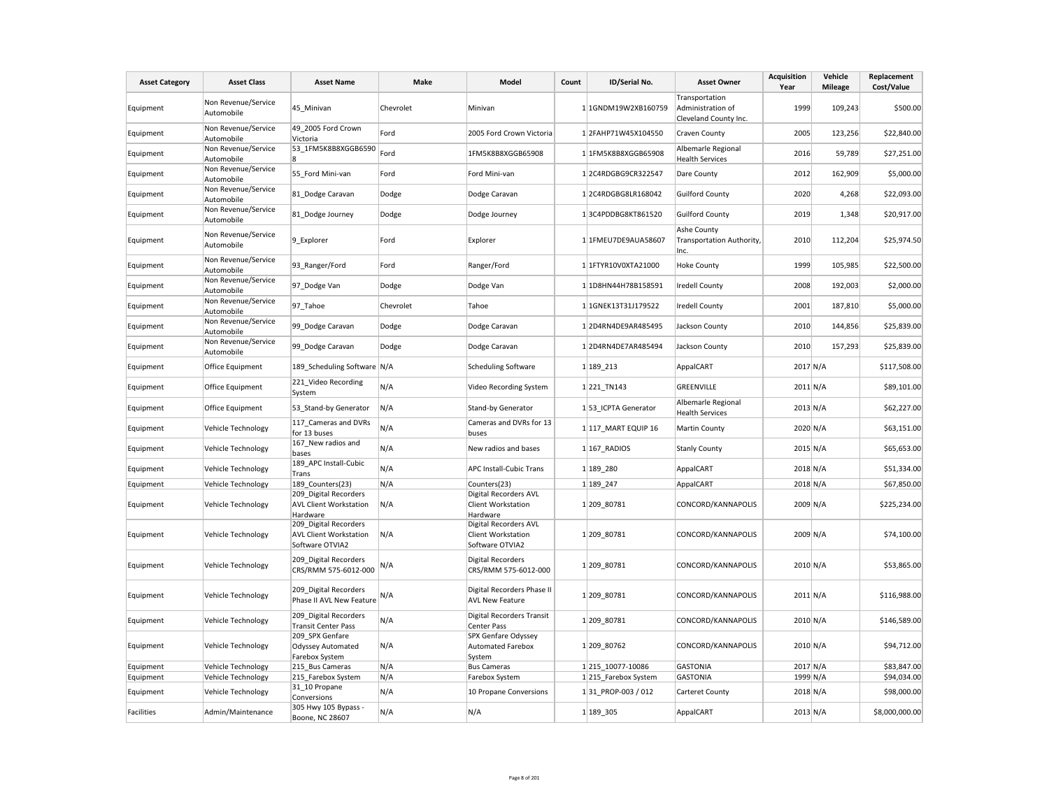| <b>Asset Category</b> | <b>Asset Class</b>                | <b>Asset Name</b>                                                                     | Make      | Model                                                                             | Count | ID/Serial No.        | <b>Asset Owner</b>                                           | <b>Acquisition</b><br>Year | Vehicle<br><b>Mileage</b> | Replacement<br>Cost/Value |
|-----------------------|-----------------------------------|---------------------------------------------------------------------------------------|-----------|-----------------------------------------------------------------------------------|-------|----------------------|--------------------------------------------------------------|----------------------------|---------------------------|---------------------------|
| Equipment             | Non Revenue/Service<br>Automobile | 45 Minivan                                                                            | Chevrolet | Minivan                                                                           |       | 1 1GNDM19W2XB160759  | Transportation<br>Administration of<br>Cleveland County Inc. | 1999                       | 109,243                   | \$500.00                  |
| Equipment             | Non Revenue/Service<br>Automobile | 49 2005 Ford Crown<br>Victoria                                                        | Ford      | 2005 Ford Crown Victoria                                                          |       | 12FAHP71W45X104550   | Craven County                                                | 2005                       | 123,256                   | \$22,840.00               |
| Equipment             | Non Revenue/Service<br>Automobile | 53 1FM5K8B8XGGB6590<br>ß.                                                             | Ford      | 1FM5K8B8XGGB65908                                                                 |       | 1 1FM5K8B8XGGB65908  | Albemarle Regional<br><b>Health Services</b>                 | 2016                       | 59,789                    | \$27,251.00               |
| Equipment             | Non Revenue/Service<br>Automobile | 55 Ford Mini-van                                                                      | Ford      | Ford Mini-van                                                                     |       | 12C4RDGBG9CR322547   | Dare County                                                  | 2012                       | 162,909                   | \$5,000.00                |
| Equipment             | Non Revenue/Service<br>Automobile | 81 Dodge Caravan                                                                      | Dodge     | Dodge Caravan                                                                     |       | 1 2C4RDGBG8LR168042  | <b>Guilford County</b>                                       | 2020                       | 4,268                     | \$22,093.00               |
| Equipment             | Non Revenue/Service<br>Automobile | 81 Dodge Journey                                                                      | Dodge     | Dodge Journey                                                                     |       | 13C4PDDBG8KT861520   | <b>Guilford County</b>                                       | 2019                       | 1,348                     | \$20,917.00               |
| Equipment             | Non Revenue/Service<br>Automobile | 9 Explorer                                                                            | Ford      | Explorer                                                                          |       | 1 1FMEU7DE9AUA58607  | Ashe County<br>Transportation Authority,<br>Inc.             | 2010                       | 112,204                   | \$25,974.50               |
| Equipment             | Non Revenue/Service<br>Automobile | 93_Ranger/Ford                                                                        | Ford      | Ranger/Ford                                                                       |       | 1 1FTYR10V0XTA21000  | <b>Hoke County</b>                                           | 1999                       | 105,985                   | \$22,500.00               |
| Equipment             | Non Revenue/Service<br>Automobile | 97 Dodge Van                                                                          | Dodge     | Dodge Van                                                                         |       | 1 1D8HN44H78B158591  | <b>Iredell County</b>                                        | 2008                       | 192,003                   | \$2,000.00                |
| Equipment             | Non Revenue/Service<br>Automobile | 97_Tahoe                                                                              | Chevrolet | Tahoe                                                                             |       | 1 1GNEK13T31J179522  | <b>Iredell County</b>                                        | 2001                       | 187,810                   | \$5,000.00                |
| Equipment             | Non Revenue/Service<br>Automobile | 99 Dodge Caravan                                                                      | Dodge     | Dodge Caravan                                                                     |       | 12D4RN4DE9AR485495   | Jackson County                                               | 2010                       | 144,856                   | \$25,839.00               |
| Equipment             | Non Revenue/Service<br>Automobile | 99 Dodge Caravan                                                                      | Dodge     | Dodge Caravan                                                                     |       | 12D4RN4DE7AR485494   | Jackson County                                               | 2010                       | 157,293                   | \$25,839.00               |
| Equipment             | Office Equipment                  | 189 Scheduling Software N/A                                                           |           | <b>Scheduling Software</b>                                                        |       | 1 189 213            | AppalCART                                                    | 2017 N/A                   |                           | \$117,508.00              |
| Equipment             | Office Equipment                  | 221_Video Recording<br>System                                                         | N/A       | Video Recording System                                                            |       | 1 221 TN143          | GREENVILLE                                                   | $2011$ N/A                 |                           | \$89,101.00               |
| Equipment             | Office Equipment                  | 53_Stand-by Generator                                                                 | N/A       | Stand-by Generator                                                                |       | 1 53 ICPTA Generator | Albemarle Regional<br><b>Health Services</b>                 | 2013 N/A                   |                           | \$62,227.00               |
| Equipment             | Vehicle Technology                | 117 Cameras and DVRs<br>for 13 buses                                                  | N/A       | Cameras and DVRs for 13<br>buses                                                  |       | 1117_MART EQUIP 16   | Martin County                                                | 2020 N/A                   |                           | \$63,151.00               |
| Equipment             | Vehicle Technology                | 167_New radios and<br>bases                                                           | N/A       | New radios and bases                                                              |       | 1 167 RADIOS         | <b>Stanly County</b>                                         | 2015 N/A                   |                           | \$65,653.00               |
| Equipment             | Vehicle Technology                | 189 APC Install-Cubic<br>Trans                                                        | N/A       | <b>APC Install-Cubic Trans</b>                                                    |       | 1 189 280            | AppalCART                                                    | 2018 N/A                   |                           | \$51,334.00               |
| Equipment             | Vehicle Technology                | 189 Counters(23)                                                                      | N/A       | Counters(23)                                                                      |       | 1 189 247            | AppalCART                                                    | 2018 N/A                   |                           | \$67,850.00               |
| Equipment             | Vehicle Technology                | 209 Digital Recorders<br><b>AVL Client Workstation</b>                                | N/A       | Digital Recorders AVL<br>Client Workstation                                       |       | 1 209 80781          | CONCORD/KANNAPOLIS                                           | 2009 N/A                   |                           | \$225,234.00              |
| Equipment             | Vehicle Technology                | Hardware<br>209 Digital Recorders<br><b>AVL Client Workstation</b><br>Software OTVIA2 | N/A       | Hardware<br>Digital Recorders AVL<br><b>Client Workstation</b><br>Software OTVIA2 |       | 1 209 80781          | CONCORD/KANNAPOLIS                                           | 2009 N/A                   |                           | \$74,100.00               |
| Equipment             | Vehicle Technology                | 209 Digital Recorders<br>CRS/RMM 575-6012-000                                         | N/A       | <b>Digital Recorders</b><br>CRS/RMM 575-6012-000                                  |       | 1 209 80781          | CONCORD/KANNAPOLIS                                           | 2010 N/A                   |                           | \$53,865.00               |
| Equipment             | Vehicle Technology                | 209 Digital Recorders<br>Phase II AVL New Feature                                     | N/A       | Digital Recorders Phase II<br><b>AVL New Feature</b>                              |       | 1 209 80781          | CONCORD/KANNAPOLIS                                           | $2011$ N/A                 |                           | \$116,988.00              |
| Equipment             | Vehicle Technology                | 209 Digital Recorders<br><b>Transit Center Pass</b>                                   | N/A       | Digital Recorders Transit<br>Center Pass                                          |       | 1 209 80781          | CONCORD/KANNAPOLIS                                           | 2010 N/A                   |                           | \$146,589.00              |
| Equipment             | Vehicle Technology                | 209 SPX Genfare<br>Odyssey Automated<br>Farebox System                                | N/A       | SPX Genfare Odyssey<br><b>Automated Farebox</b><br>System                         |       | 1 209 80762          | CONCORD/KANNAPOLIS                                           | 2010 N/A                   |                           | \$94,712.00               |
| Equipment             | Vehicle Technology                | 215_Bus Cameras                                                                       | N/A       | <b>Bus Cameras</b>                                                                |       | 1 215 10077-10086    | <b>GASTONIA</b>                                              | 2017 N/A                   |                           | \$83,847.00               |
| Equipment             | Vehicle Technology                | 215 Farebox System                                                                    | N/A       | Farebox System                                                                    |       | 1 215 Farebox System | <b>GASTONIA</b>                                              | 1999 N/A                   |                           | \$94,034.00               |
| Equipment             | Vehicle Technology                | 31 10 Propane<br>Conversions                                                          | N/A       | 10 Propane Conversions                                                            |       | 131 PROP-003 / 012   | Carteret County                                              | 2018 N/A                   |                           | \$98,000.00               |
| <b>Facilities</b>     | Admin/Maintenance                 | 305 Hwy 105 Bypass -<br>Boone, NC 28607                                               | N/A       | N/A                                                                               |       | 1 189 305            | AppalCART                                                    | 2013 N/A                   |                           | \$8,000,000.00            |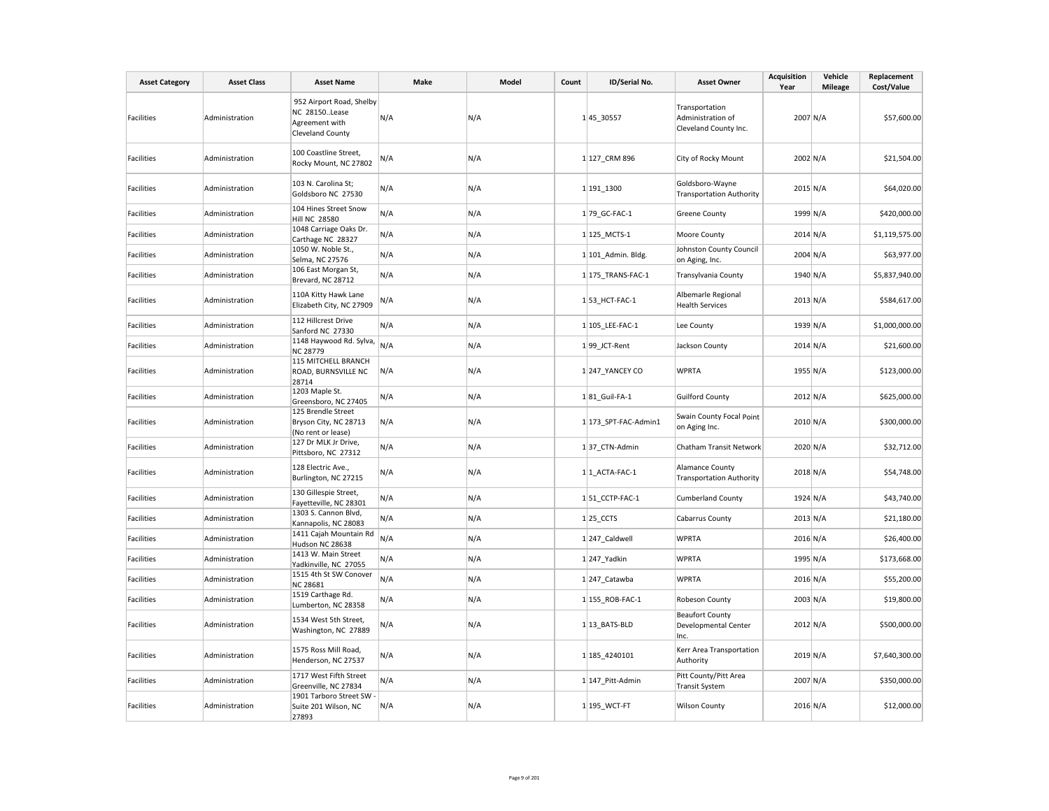| <b>Asset Category</b> | <b>Asset Class</b> | <b>Asset Name</b>                                                                      | Make | Model | Count | ID/Serial No.        | <b>Asset Owner</b>                                           | <b>Acquisition</b><br>Year | Vehicle<br><b>Mileage</b> | Replacement<br>Cost/Value |
|-----------------------|--------------------|----------------------------------------------------------------------------------------|------|-------|-------|----------------------|--------------------------------------------------------------|----------------------------|---------------------------|---------------------------|
| Facilities            | Administration     | 952 Airport Road, Shelby<br>NC 28150Lease<br>Agreement with<br><b>Cleveland County</b> | N/A  | N/A   |       | 145 30557            | Transportation<br>Administration of<br>Cleveland County Inc. | 2007 N/A                   |                           | \$57,600.00               |
| Facilities            | Administration     | 100 Coastline Street,<br>Rocky Mount, NC 27802                                         | N/A  | N/A   |       | 1 127_CRM 896        | City of Rocky Mount                                          | 2002 N/A                   |                           | \$21,504.00               |
| Facilities            | Administration     | 103 N. Carolina St;<br>Goldsboro NC 27530                                              | N/A  | N/A   |       | 1 191 1300           | Goldsboro-Wayne<br><b>Transportation Authority</b>           | 2015 N/A                   |                           | \$64,020.00               |
| <b>Facilities</b>     | Administration     | 104 Hines Street Snow<br><b>Hill NC 28580</b>                                          | N/A  | N/A   |       | 1 79 GC-FAC-1        | <b>Greene County</b>                                         | 1999 N/A                   |                           | \$420,000.00              |
| Facilities            | Administration     | 1048 Carriage Oaks Dr.<br>Carthage NC 28327                                            | N/A  | N/A   |       | 1 125 MCTS-1         | Moore County                                                 | $2014$ N/A                 |                           | \$1,119,575.00            |
| Facilities            | Administration     | 1050 W. Noble St.,<br>Selma, NC 27576                                                  | N/A  | N/A   |       | $1 101$ Admin. Bldg. | Johnston County Council<br>on Aging, Inc.                    | 2004 N/A                   |                           | \$63,977.00               |
| Facilities            | Administration     | 106 East Morgan St,<br>Brevard, NC 28712                                               | N/A  | N/A   |       | 1 175 TRANS-FAC-1    | Transylvania County                                          | 1940 N/A                   |                           | \$5,837,940.00            |
| Facilities            | Administration     | 110A Kitty Hawk Lane<br>Elizabeth City, NC 27909                                       | N/A  | N/A   |       | 1 53 HCT-FAC-1       | Albemarle Regional<br><b>Health Services</b>                 | $2013$ N/A                 |                           | \$584,617.00              |
| <b>Facilities</b>     | Administration     | 112 Hillcrest Drive<br>Sanford NC 27330                                                | N/A  | N/A   |       | 1 105 LEE-FAC-1      | Lee County                                                   |                            | 1939 N/A                  | \$1,000,000.00            |
| Facilities            | Administration     | $\frac{341121}{1148 \text{ Haywood Rd. Sylva,}}$ N/A<br><b>NC 28779</b>                |      | N/A   |       | 199 JCT-Rent         | Jackson County                                               | 2014 N/A                   |                           | \$21,600.00               |
| Facilities            | Administration     | 115 MITCHELL BRANCH<br>ROAD, BURNSVILLE NC<br>28714                                    | N/A  | N/A   |       | 1 247 YANCEY CO      | <b>WPRTA</b>                                                 | 1955 N/A                   |                           | \$123,000.00              |
| <b>Facilities</b>     | Administration     | 1203 Maple St.<br>Greensboro, NC 27405                                                 | N/A  | N/A   |       | 181 Guil-FA-1        | <b>Guilford County</b>                                       | 2012 N/A                   |                           | \$625,000.00              |
| <b>Facilities</b>     | Administration     | 125 Brendle Street<br>Bryson City, NC 28713<br>(No rent or lease)                      | N/A  | N/A   |       | 1 173 SPT-FAC-Admin1 | Swain County Focal Point<br>on Aging Inc.                    | 2010 N/A                   |                           | \$300,000.00              |
| Facilities            | Administration     | 127 Dr MLK Jr Drive,<br>Pittsboro, NC 27312                                            | N/A  | N/A   |       | 137 CTN-Admin        | Chatham Transit Network                                      | 2020 N/A                   |                           | \$32,712.00               |
| Facilities            | Administration     | 128 Electric Ave.,<br>Burlington, NC 27215                                             | N/A  | N/A   |       | $1 1$ ACTA-FAC-1     | Alamance County<br><b>Transportation Authority</b>           | 2018 N/A                   |                           | \$54,748.00               |
| <b>Facilities</b>     | Administration     | 130 Gillespie Street,<br>Fayetteville, NC 28301                                        | N/A  | N/A   |       | 151 CCTP-FAC-1       | <b>Cumberland County</b>                                     | 1924 N/A                   |                           | \$43,740.00               |
| Facilities            | Administration     | 1303 S. Cannon Blvd,<br>Kannapolis, NC 28083                                           | N/A  | N/A   |       | $1$   25_CCTS        | <b>Cabarrus County</b>                                       | $2013$ N/A                 |                           | \$21,180.00               |
| <b>Facilities</b>     | Administration     | 1411 Cajah Mountain Rd<br>Hudson NC 28638                                              | N/A  | N/A   |       | 1 247 Caldwell       | <b>WPRTA</b>                                                 | $2016$ N/A                 |                           | \$26,400.00               |
| Facilities            | Administration     | 1413 W. Main Street<br>Yadkinville, NC 27055                                           | N/A  | N/A   |       | 1 247_Yadkin         | <b>WPRTA</b>                                                 | 1995 N/A                   |                           | \$173,668.00              |
| Facilities            | Administration     | 1515 4th St SW Conover<br><b>NC 28681</b>                                              | N/A  | N/A   |       | 1 247 Catawba        | <b>WPRTA</b>                                                 | 2016 N/A                   |                           | \$55,200.00               |
| Facilities            | Administration     | 1519 Carthage Rd.<br>Lumberton, NC 28358                                               | N/A  | N/A   |       | 1 155 ROB-FAC-1      | Robeson County                                               | 2003 N/A                   |                           | \$19,800.00               |
| Facilities            | Administration     | 1534 West 5th Street,<br>Washington, NC 27889                                          | N/A  | N/A   |       | 1 13 BATS-BLD        | <b>Beaufort County</b><br>Developmental Center<br>Inc.       | 2012 N/A                   |                           | \$500,000.00              |
| Facilities            | Administration     | 1575 Ross Mill Road,<br>Henderson, NC 27537                                            | N/A  | N/A   |       | 1 185 4240101        | Kerr Area Transportation<br>Authority                        | 2019 N/A                   |                           | \$7,640,300.00            |
| <b>Facilities</b>     | Administration     | 1717 West Fifth Street<br>Greenville, NC 27834                                         | N/A  | N/A   |       | 1 147 Pitt-Admin     | Pitt County/Pitt Area<br><b>Transit System</b>               | 2007 N/A                   |                           | \$350,000.00              |
| Facilities            | Administration     | 1901 Tarboro Street SW<br>Suite 201 Wilson, NC<br>27893                                | N/A  | N/A   |       | 1 195_WCT-FT         | <b>Wilson County</b>                                         | 2016 N/A                   |                           | \$12,000.00               |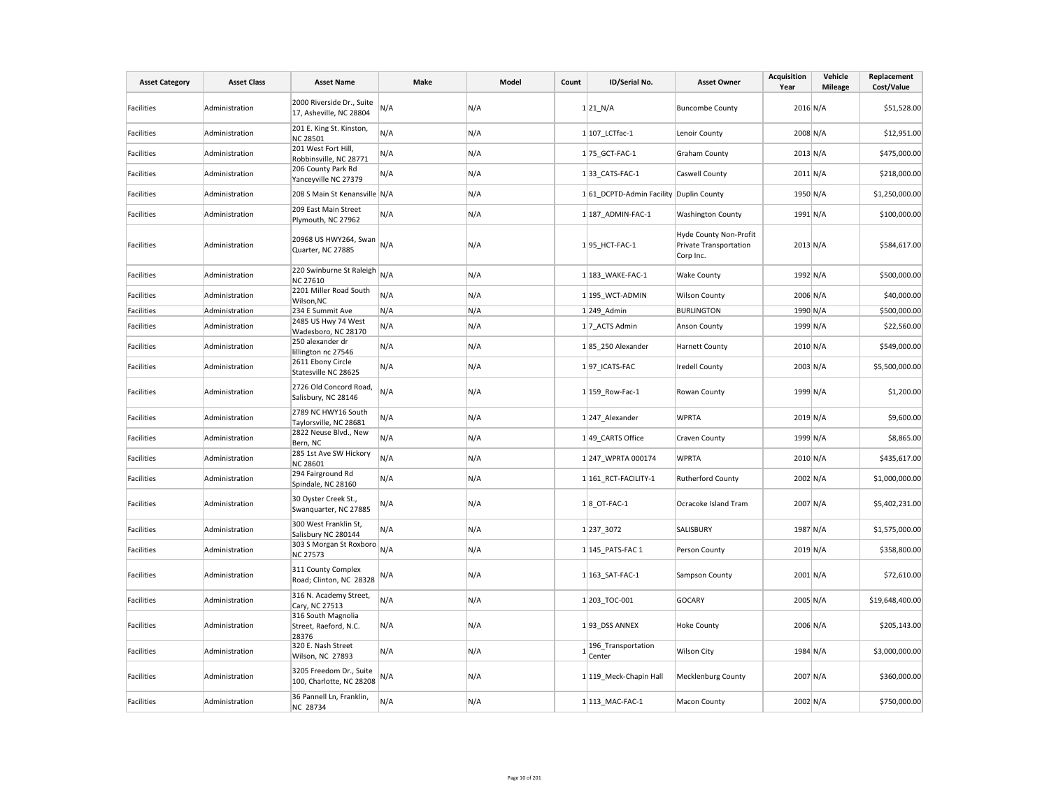| <b>Asset Category</b> | <b>Asset Class</b> | <b>Asset Name</b>                                    | Make | Model | Count | ID/Serial No.                           | <b>Asset Owner</b>                                                   | <b>Acquisition</b><br>Year | Vehicle<br><b>Mileage</b> | Replacement<br>Cost/Value |
|-----------------------|--------------------|------------------------------------------------------|------|-------|-------|-----------------------------------------|----------------------------------------------------------------------|----------------------------|---------------------------|---------------------------|
| Facilities            | Administration     | 2000 Riverside Dr., Suite<br>17, Asheville, NC 28804 | N/A  | N/A   |       | $1$  21_N/A                             | <b>Buncombe County</b>                                               | 2016 N/A                   |                           | \$51,528.00               |
| <b>Facilities</b>     | Administration     | 201 E. King St. Kinston,<br><b>NC 28501</b>          | N/A  | N/A   |       | 1 107 LCTfac-1                          | Lenoir County                                                        | 2008 N/A                   |                           | \$12,951.00               |
| <b>Facilities</b>     | Administration     | 201 West Fort Hill,<br>Robbinsville, NC 28771        | N/A  | N/A   |       | 1 75 GCT-FAC-1                          | <b>Graham County</b>                                                 | $2013$ N/A                 |                           | \$475,000.00              |
| Facilities            | Administration     | 206 County Park Rd<br>Yanceyville NC 27379           | N/A  | N/A   |       | 133 CATS-FAC-1                          | Caswell County                                                       | $2011$ N/A                 |                           | \$218,000.00              |
| Facilities            | Administration     | 208 S Main St Kenansville N/A                        |      | N/A   |       | 1 61 DCPTD-Admin Facility Duplin County |                                                                      | 1950 N/A                   |                           | \$1,250,000.00            |
| Facilities            | Administration     | 209 East Main Street<br>Plymouth, NC 27962           | N/A  | N/A   |       | 1 187 ADMIN-FAC-1                       | <b>Washington County</b>                                             | 1991 N/A                   |                           | \$100,000.00              |
| <b>Facilities</b>     | Administration     | 20968 US HWY264, Swan<br>Quarter, NC 27885           | N/A  | N/A   |       | 195 HCT-FAC-1                           | Hyde County Non-Profit<br><b>Private Transportation</b><br>Corp Inc. | 2013 N/A                   |                           | \$584,617.00              |
| Facilities            | Administration     | 220 Swinburne St Raleigh<br><b>NC 27610</b>          | N/A  | N/A   |       | 1 183_WAKE-FAC-1                        | <b>Wake County</b>                                                   | 1992 N/A                   |                           | \$500,000.00              |
| Facilities            | Administration     | 2201 Miller Road South<br>Wilson, NC                 | N/A  | N/A   |       | 1 195_WCT-ADMIN                         | <b>Wilson County</b>                                                 | 2006 N/A                   |                           | \$40,000.00               |
| Facilities            | Administration     | 234 E Summit Ave                                     | N/A  | N/A   |       | $1 249$ Admin                           | <b>BURLINGTON</b>                                                    | 1990 N/A                   |                           | \$500,000.00              |
| Facilities            | Administration     | 2485 US Hwy 74 West<br>Wadesboro, NC 28170           | N/A  | N/A   |       | 1 7 ACTS Admin                          | <b>Anson County</b>                                                  | 1999 N/A                   |                           | \$22,560.00               |
| <b>Facilities</b>     | Administration     | 250 alexander dr<br>lillington nc 27546              | N/A  | N/A   |       | 185 250 Alexander                       | <b>Harnett County</b>                                                | 2010 N/A                   |                           | \$549,000.00              |
| Facilities            | Administration     | 2611 Ebony Circle<br>Statesville NC 28625            | N/A  | N/A   |       | 197 ICATS-FAC                           | <b>Iredell County</b>                                                | 2003 N/A                   |                           | \$5,500,000.00            |
| Facilities            | Administration     | 2726 Old Concord Road,<br>Salisbury, NC 28146        | N/A  | N/A   |       | 1 159_Row-Fac-1                         | Rowan County                                                         | 1999 N/A                   |                           | \$1,200.00                |
| Facilities            | Administration     | 2789 NC HWY16 South<br>Taylorsville, NC 28681        | N/A  | N/A   |       | 1 247 Alexander                         | <b>WPRTA</b>                                                         | 2019 N/A                   |                           | \$9,600.00                |
| <b>Facilities</b>     | Administration     | 2822 Neuse Blvd., New<br>Bern, NC                    | N/A  | N/A   |       | 1 49 CARTS Office                       | Craven County                                                        | 1999 N/A                   |                           | \$8,865.00                |
| <b>Facilities</b>     | Administration     | 285 1st Ave SW Hickory<br><b>NC 28601</b>            | N/A  | N/A   |       | 1 247 WPRTA 000174                      | <b>WPRTA</b>                                                         | 2010 N/A                   |                           | \$435,617.00              |
| <b>Facilities</b>     | Administration     | 294 Fairground Rd<br>Spindale, NC 28160              | N/A  | N/A   |       | 1 161 RCT-FACILITY-1                    | <b>Rutherford County</b>                                             | 2002 N/A                   |                           | \$1,000,000.00            |
| Facilities            | Administration     | 30 Oyster Creek St.,<br>Swanquarter, NC 27885        | N/A  | N/A   |       | $1 8$ OT-FAC-1                          | Ocracoke Island Tram                                                 | 2007 N/A                   |                           | \$5,402,231.00            |
| Facilities            | Administration     | 300 West Franklin St,<br>Salisbury NC 280144         | N/A  | N/A   |       | 1237_3072                               | SALISBURY                                                            | 1987 N/A                   |                           | \$1,575,000.00            |
| <b>Facilities</b>     | Administration     | 303 S Morgan St Roxboro<br><b>NC 27573</b>           | N/A  | N/A   |       | 1 145_PATS-FAC 1                        | Person County                                                        | 2019 N/A                   |                           | \$358,800.00              |
| <b>Facilities</b>     | Administration     | 311 County Complex<br>Road; Clinton, NC 28328        | N/A  | N/A   |       | 1 163 SAT-FAC-1                         | Sampson County                                                       | $2001$ N/A                 |                           | \$72,610.00               |
| Facilities            | Administration     | 316 N. Academy Street,<br>Cary, NC 27513             | N/A  | N/A   |       | 1 203 TOC-001                           | <b>GOCARY</b>                                                        | 2005 N/A                   |                           | \$19,648,400.00           |
| Facilities            | Administration     | 316 South Magnolia<br>Street, Raeford, N.C.<br>28376 | N/A  | N/A   |       | 193 DSS ANNEX                           | <b>Hoke County</b>                                                   | 2006 N/A                   |                           | \$205,143.00              |
| Facilities            | Administration     | 320 E. Nash Street<br>Wilson, NC 27893               | N/A  | N/A   |       | 196_Transportation<br>Center            | <b>Wilson City</b>                                                   | 1984 N/A                   |                           | \$3,000,000.00            |
| <b>Facilities</b>     | Administration     | 3205 Freedom Dr., Suite<br>100, Charlotte, NC 28208  | N/A  | N/A   |       | 1 119 Meck-Chapin Hall                  | <b>Mecklenburg County</b>                                            | 2007 N/A                   |                           | \$360,000.00              |
| <b>Facilities</b>     | Administration     | 36 Pannell Ln, Franklin,<br><b>NC 28734</b>          | N/A  | N/A   |       | 1 113 MAC-FAC-1                         | <b>Macon County</b>                                                  | 2002 N/A                   |                           | \$750,000.00              |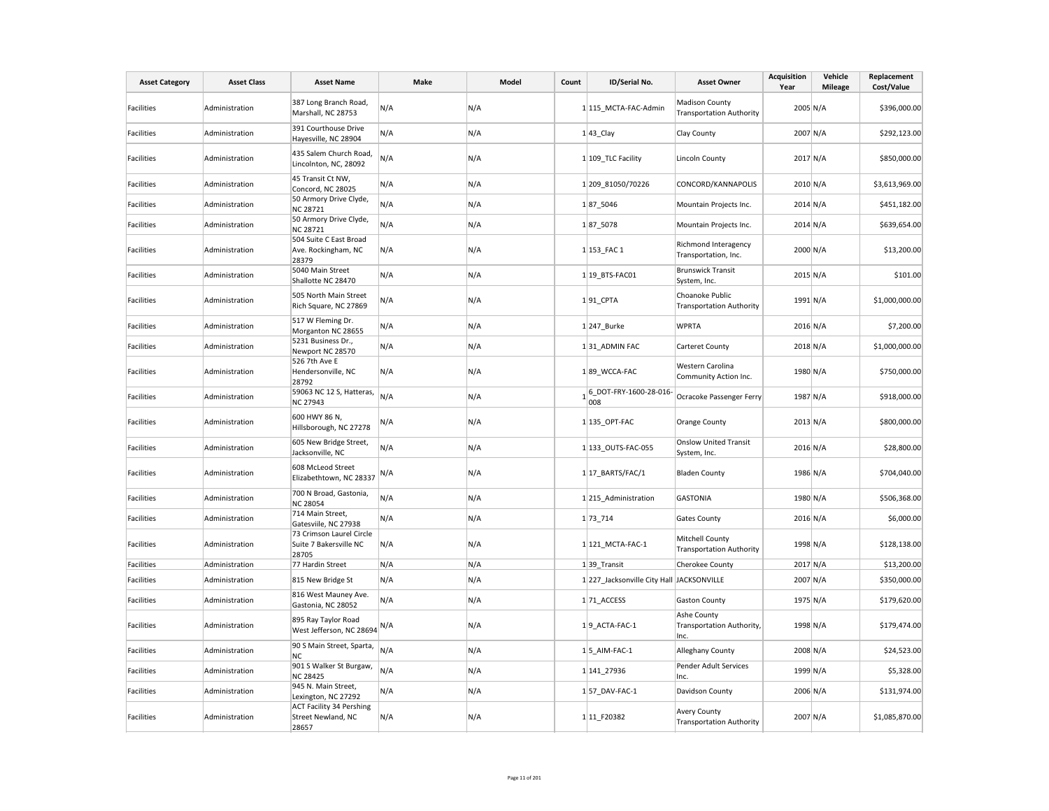| <b>Asset Category</b> | <b>Asset Class</b> | <b>Asset Name</b>                                              | Make | Model | Count | ID/Serial No.                              | <b>Asset Owner</b>                                       | <b>Acquisition</b><br>Year | Vehicle<br><b>Mileage</b> | Replacement<br>Cost/Value |
|-----------------------|--------------------|----------------------------------------------------------------|------|-------|-------|--------------------------------------------|----------------------------------------------------------|----------------------------|---------------------------|---------------------------|
| Facilities            | Administration     | 387 Long Branch Road,<br>Marshall, NC 28753                    | N/A  | N/A   |       | 1 115 MCTA-FAC-Admin                       | <b>Madison County</b><br><b>Transportation Authority</b> | $2005 \text{ N/A}$         |                           | \$396,000.00              |
| <b>Facilities</b>     | Administration     | 391 Courthouse Drive<br>Hayesville, NC 28904                   | N/A  | N/A   |       | $1 43$ <sub>_Clay</sub>                    | Clay County                                              | 2007 N/A                   |                           | \$292,123.00              |
| Facilities            | Administration     | 435 Salem Church Road,<br>Lincolnton, NC, 28092                | N/A  | N/A   |       | 1 109 TLC Facility                         | Lincoln County                                           | $2017$ N/A                 |                           | \$850,000.00              |
| <b>Facilities</b>     | Administration     | 45 Transit Ct NW,<br>Concord, NC 28025                         | N/A  | N/A   |       | 1 209 81050/70226                          | CONCORD/KANNAPOLIS                                       | $2010$ N/A                 |                           | \$3,613,969.00            |
| Facilities            | Administration     | 50 Armory Drive Clyde,<br><b>NC 28721</b>                      | N/A  | N/A   |       | 187 5046                                   | Mountain Projects Inc.                                   | $2014 \text{ N/A}$         |                           | \$451,182.00              |
| Facilities            | Administration     | 50 Armory Drive Clyde,<br><b>NC 28721</b>                      | N/A  | N/A   |       | 187 5078                                   | Mountain Projects Inc.                                   | $2014 \text{ N/A}$         |                           | \$639,654.00              |
| Facilities            | Administration     | 504 Suite C East Broad<br>Ave. Rockingham, NC<br>28379         | N/A  | N/A   |       | 1 153 FAC 1                                | Richmond Interagency<br>Transportation, Inc.             | 2000 N/A                   |                           | \$13,200.00               |
| Facilities            | Administration     | 5040 Main Street<br>Shallotte NC 28470                         | N/A  | N/A   |       | 1 19 BTS-FAC01                             | <b>Brunswick Transit</b><br>System, Inc.                 | $2015$ N/A                 |                           | \$101.00                  |
| Facilities            | Administration     | 505 North Main Street<br>Rich Square, NC 27869                 | N/A  | N/A   |       | $1 91$ CPTA                                | Choanoke Public<br><b>Transportation Authority</b>       | 1991 N/A                   |                           | \$1,000,000.00            |
| <b>Facilities</b>     | Administration     | 517 W Fleming Dr.<br>Morganton NC 28655                        | N/A  | N/A   |       | 1 247_Burke                                | <b>WPRTA</b>                                             | $2016$ N/A                 |                           | \$7,200.00                |
| Facilities            | Administration     | 5231 Business Dr.,<br>Newport NC 28570                         | N/A  | N/A   |       | 131 ADMIN FAC                              | Carteret County                                          | 2018 N/A                   |                           | \$1,000,000.00            |
| Facilities            | Administration     | 526 7th Ave E<br>Hendersonville, NC<br>28792                   | N/A  | N/A   |       | 189_WCCA-FAC                               | Western Carolina<br>Community Action Inc.                | 1980 N/A                   |                           | \$750,000.00              |
| Facilities            | Administration     | 59063 NC 12 S, Hatteras,<br>NC 27943                           | N/A  | N/A   |       | $1 6\rangle$ DOT-FRY-1600-28-016<br>008    | Ocracoke Passenger Ferry                                 | 1987 N/A                   |                           | \$918,000.00              |
| Facilities            | Administration     | 600 HWY 86 N,<br>Hillsborough, NC 27278                        | N/A  | N/A   |       | 1 135_OPT-FAC                              | Orange County                                            | $2013$ N/A                 |                           | \$800,000.00              |
| Facilities            | Administration     | 605 New Bridge Street,<br>Jacksonville, NC                     | N/A  | N/A   |       | 1 133 OUTS-FAC-055                         | <b>Onslow United Transit</b><br>System, Inc.             | $2016$ N/A                 |                           | \$28,800.00               |
| Facilities            | Administration     | 608 McLeod Street<br>Elizabethtown, NC 28337                   | N/A  | N/A   |       | $1 17$ BARTS/FAC/1                         | <b>Bladen County</b>                                     | 1986 N/A                   |                           | \$704,040.00              |
| <b>Facilities</b>     | Administration     | 700 N Broad, Gastonia,<br>NC 28054                             | N/A  | N/A   |       | 1 215 Administration                       | <b>GASTONIA</b>                                          | 1980 N/A                   |                           | \$506,368.00              |
| <b>Facilities</b>     | Administration     | 714 Main Street,<br>Gatesviile, NC 27938                       | N/A  | N/A   |       | 1 73 714                                   | <b>Gates County</b>                                      | $2016$ N/A                 |                           | \$6,000.00                |
| Facilities            | Administration     | 73 Crimson Laurel Circle<br>Suite 7 Bakersville NC<br>28705    | N/A  | N/A   |       | 1 121 MCTA-FAC-1                           | Mitchell County<br><b>Transportation Authority</b>       | 1998 N/A                   |                           | \$128,138.00              |
| <b>Facilities</b>     | Administration     | 77 Hardin Street                                               | N/A  | N/A   |       | $1 39$ Transit                             | Cherokee County                                          | 2017 N/A                   |                           | \$13,200.00               |
| <b>Facilities</b>     | Administration     | 815 New Bridge St                                              | N/A  | N/A   |       | 1 227_Jacksonville City Hall  JACKSONVILLE |                                                          | 2007 N/A                   |                           | \$350,000.00              |
| Facilities            | Administration     | 816 West Mauney Ave.<br>Gastonia, NC 28052                     | N/A  | N/A   |       | 1 71 ACCESS                                | <b>Gaston County</b>                                     | 1975 N/A                   |                           | \$179,620.00              |
| Facilities            | Administration     | 895 Ray Taylor Road<br>West Jefferson, NC 28694                | N/A  | N/A   |       | 19 ACTA-FAC-1                              | Ashe County<br>Transportation Authority,<br>Inc.         | 1998 N/A                   |                           | \$179,474.00              |
| Facilities            | Administration     | 90 S Main Street, Sparta,<br>NC                                | N/A  | N/A   |       | $1 5$ AIM-FAC-1                            | Alleghany County                                         | 2008 N/A                   |                           | \$24,523.00               |
| Facilities            | Administration     | 901 S Walker St Burgaw,<br><b>NC 28425</b>                     | N/A  | N/A   |       | 1 141 27936                                | Pender Adult Services<br>Inc.                            | 1999 N/A                   |                           | \$5,328.00                |
| <b>Facilities</b>     | Administration     | 945 N. Main Street,<br>Lexington, NC 27292                     | N/A  | N/A   |       | $1 57$ DAV-FAC-1                           | Davidson County                                          | $2006$ N/A                 |                           | \$131,974.00              |
| Facilities            | Administration     | <b>ACT Facility 34 Pershing</b><br>Street Newland, NC<br>28657 | N/A  | N/A   |       | 1 11 F20382                                | <b>Avery County</b><br><b>Transportation Authority</b>   | 2007 N/A                   |                           | \$1,085,870.00            |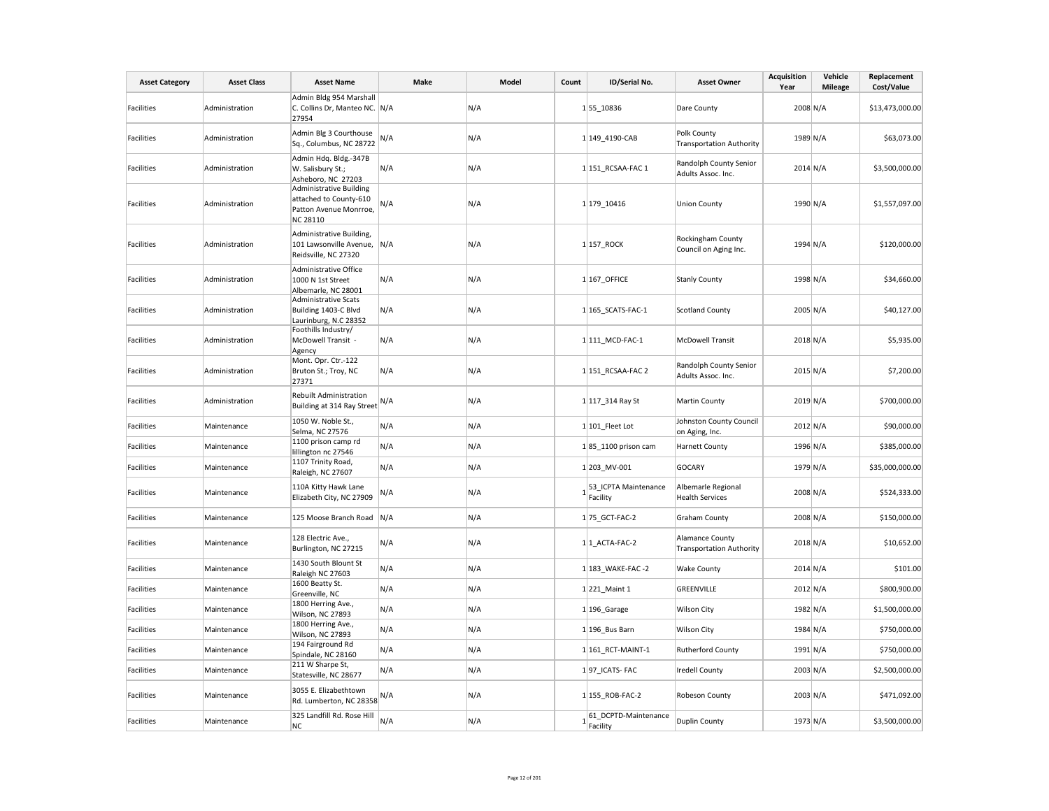| <b>Asset Category</b> | <b>Asset Class</b> | <b>Asset Name</b>                                                                       | Make | Model | Count | ID/Serial No.                    | <b>Asset Owner</b>                                        | <b>Acquisition</b><br>Year | Vehicle<br><b>Mileage</b> | Replacement<br>Cost/Value |
|-----------------------|--------------------|-----------------------------------------------------------------------------------------|------|-------|-------|----------------------------------|-----------------------------------------------------------|----------------------------|---------------------------|---------------------------|
| Facilities            | Administration     | Admin Bldg 954 Marshall<br>C. Collins Dr, Manteo NC. N/A<br>27954                       |      | N/A   |       | 155_10836                        | Dare County                                               | 2008 N/A                   |                           | \$13,473,000.00           |
| Facilities            | Administration     | Admin Blg 3 Courthouse<br>Sq., Columbus, NC 28722                                       | N/A  | N/A   |       | 1 149_4190-CAB                   | Polk County<br><b>Transportation Authority</b>            | 1989 N/A                   |                           | \$63,073.00               |
| <b>Facilities</b>     | Administration     | Admin Hdq. Bldg.-347B<br>W. Salisbury St.;<br>Asheboro, NC 27203                        | N/A  | N/A   |       | 1 151_RCSAA-FAC 1                | Randolph County Senior<br>Adults Assoc. Inc.              | $2014$ N/A                 |                           | \$3,500,000.00            |
| <b>Facilities</b>     | Administration     | Administrative Building<br>attached to County-610<br>Patton Avenue Monrroe,<br>NC 28110 | N/A  | N/A   |       | 1 179 10416                      | <b>Union County</b>                                       | 1990 N/A                   |                           | \$1,557,097.00            |
| <b>Facilities</b>     | Administration     | Administrative Building,<br>101 Lawsonville Avenue,<br>Reidsville, NC 27320             | N/A  | N/A   |       | 1 157 ROCK                       | Rockingham County<br>Council on Aging Inc.                | 1994 N/A                   |                           | \$120,000.00              |
| <b>Facilities</b>     | Administration     | Administrative Office<br>1000 N 1st Street<br>Albemarle, NC 28001                       | N/A  | N/A   |       | 1 167 OFFICE                     | <b>Stanly County</b>                                      | 1998 N/A                   |                           | \$34,660.00               |
| <b>Facilities</b>     | Administration     | Administrative Scats<br>Building 1403-C Blvd<br>Laurinburg, N.C 28352                   | N/A  | N/A   |       | 1 165 SCATS-FAC-1                | <b>Scotland County</b>                                    | 2005 N/A                   |                           | \$40,127.00               |
| Facilities            | Administration     | Foothills Industry/<br>McDowell Transit -<br>Agency                                     | N/A  | N/A   |       | 1 111 MCD-FAC-1                  | <b>McDowell Transit</b>                                   | 2018 N/A                   |                           | \$5,935.00                |
| <b>Facilities</b>     | Administration     | Mont. Opr. Ctr.-122<br>Bruton St.; Troy, NC<br>27371                                    | N/A  | N/A   |       | 1 151 RCSAA-FAC 2                | Randolph County Senior<br>Adults Assoc. Inc.              | 2015 N/A                   |                           | \$7,200.00                |
| <b>Facilities</b>     | Administration     | Rebuilt Administration<br>Building at 314 Ray Street                                    | N/A  | N/A   |       | 1 117 314 Ray St                 | Martin County                                             | 2019 N/A                   |                           | \$700,000.00              |
| Facilities            | Maintenance        | 1050 W. Noble St.,<br>Selma, NC 27576                                                   | N/A  | N/A   |       | 1 101 Fleet Lot                  | Johnston County Council<br>on Aging, Inc.                 | 2012 N/A                   |                           | \$90,000.00               |
| Facilities            | Maintenance        | 1100 prison camp rd<br>lillington nc 27546                                              | N/A  | N/A   |       | $1 85$ 1100 prison cam           | <b>Harnett County</b>                                     | 1996 N/A                   |                           | \$385,000.00              |
| <b>Facilities</b>     | Maintenance        | 1107 Trinity Road,<br>Raleigh, NC 27607                                                 | N/A  | N/A   |       | 1 203 MV-001                     | <b>GOCARY</b>                                             | 1979 N/A                   |                           | \$35,000,000.00           |
| Facilities            | Maintenance        | 110A Kitty Hawk Lane<br>Elizabeth City, NC 27909                                        | N/A  | N/A   |       | 53_ICPTA Maintenance<br>Facility | Albemarle Regional<br><b>Health Services</b>              | 2008 N/A                   |                           | \$524,333.00              |
| Facilities            | Maintenance        | 125 Moose Branch Road                                                                   | N/A  | N/A   |       | 1 75 GCT-FAC-2                   | <b>Graham County</b>                                      | 2008 N/A                   |                           | \$150,000.00              |
| Facilities            | Maintenance        | 128 Electric Ave.,<br>Burlington, NC 27215                                              | N/A  | N/A   |       | 1 1 ACTA-FAC-2                   | <b>Alamance County</b><br><b>Transportation Authority</b> | 2018 N/A                   |                           | \$10,652.00               |
| Facilities            | Maintenance        | 1430 South Blount St<br>Raleigh NC 27603                                                | N/A  | N/A   |       | 1 183 WAKE-FAC -2                | <b>Wake County</b>                                        | $2014$ N/A                 |                           | \$101.00                  |
| Facilities            | Maintenance        | 1600 Beatty St.<br>Greenville, NC                                                       | N/A  | N/A   |       | 1 221 Maint 1                    | GREENVILLE                                                | 2012 N/A                   |                           | \$800,900.00              |
| Facilities            | Maintenance        | 1800 Herring Ave.,<br>Wilson, NC 27893                                                  | N/A  | N/A   |       | $1 196$ Garage                   | <b>Wilson City</b>                                        | 1982 N/A                   |                           | \$1,500,000.00            |
| Facilities            | Maintenance        | 1800 Herring Ave.,<br>Wilson, NC 27893                                                  | N/A  | N/A   |       | 1 196 Bus Barn                   | Wilson City                                               | 1984 N/A                   |                           | \$750,000.00              |
| <b>Facilities</b>     | Maintenance        | 194 Fairground Rd<br>Spindale, NC 28160                                                 | N/A  | N/A   |       | 1 161 RCT-MAINT-1                | <b>Rutherford County</b>                                  | 1991 N/A                   |                           | \$750,000.00              |
| Facilities            | Maintenance        | 211 W Sharpe St,<br>Statesville, NC 28677                                               | N/A  | N/A   |       | 197 ICATS- FAC                   | <b>Iredell County</b>                                     | $2003 \text{ N/A}$         |                           | \$2,500,000.00            |
| Facilities            | Maintenance        | 3055 E. Elizabethtown<br>Rd. Lumberton, NC 28358                                        | N/A  | N/A   |       | 1 155 ROB-FAC-2                  | Robeson County                                            | $2003 \text{ N/A}$         |                           | \$471,092.00              |
| <b>Facilities</b>     | Maintenance        | 325 Landfill Rd. Rose Hill<br>NC                                                        | N/A  | N/A   |       | 61_DCPTD-Maintenance<br>Facility | <b>Duplin County</b>                                      | 1973 N/A                   |                           | \$3,500,000.00            |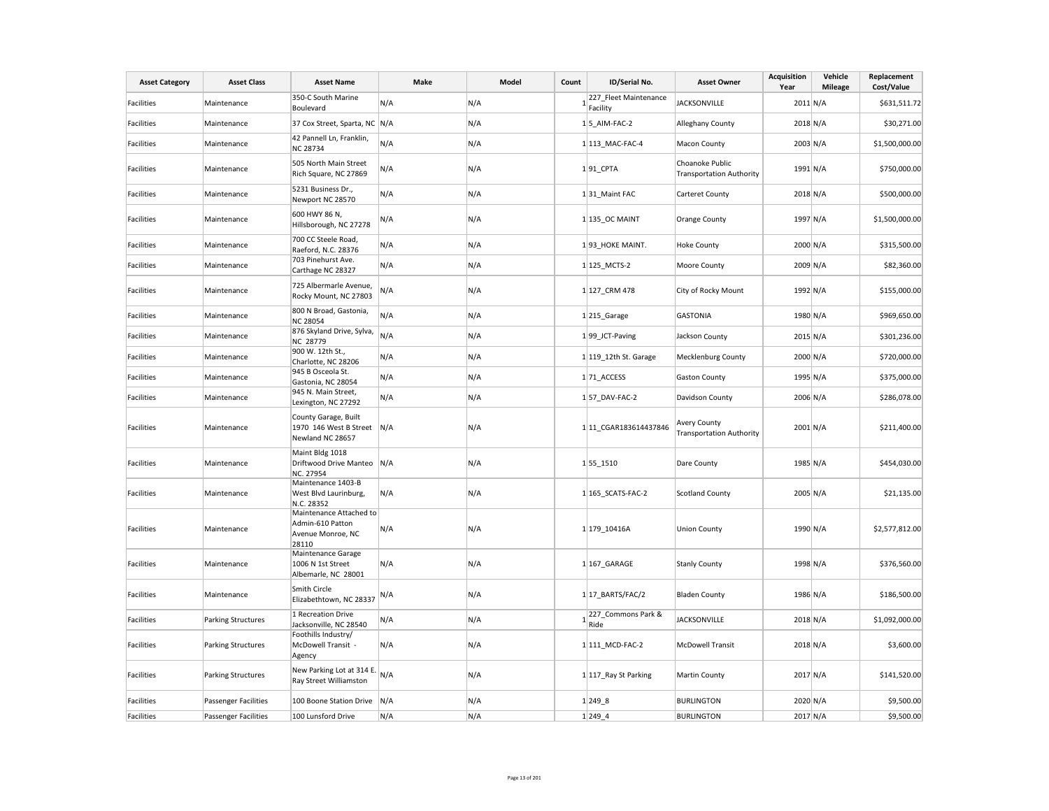| <b>Asset Category</b> | <b>Asset Class</b>        | <b>Asset Name</b>                                                         | Make | Model | Count | ID/Serial No.                            | <b>Asset Owner</b>                                     | <b>Acquisition</b><br>Year | Vehicle<br><b>Mileage</b> | Replacement<br>Cost/Value |
|-----------------------|---------------------------|---------------------------------------------------------------------------|------|-------|-------|------------------------------------------|--------------------------------------------------------|----------------------------|---------------------------|---------------------------|
| <b>Facilities</b>     | Maintenance               | 350-C South Marine<br>Boulevard                                           | N/A  | N/A   |       | 227_Fleet Maintenance<br>Facility        | <b>JACKSONVILLE</b>                                    | $2011$ N/A                 |                           | \$631,511.72              |
| Facilities            | Maintenance               | 37 Cox Street, Sparta, NC N/A                                             |      | N/A   |       | $1 5$ _AIM-FAC-2                         | Alleghany County                                       | 2018 N/A                   |                           | \$30,271.00               |
| Facilities            | Maintenance               | 42 Pannell Ln, Franklin,<br><b>NC 28734</b>                               | N/A  | N/A   |       | 1 113 MAC-FAC-4                          | Macon County                                           | $2003 \text{ N/A}$         |                           | \$1,500,000.00            |
| Facilities            | Maintenance               | 505 North Main Street<br>Rich Square, NC 27869                            | N/A  | N/A   |       | $1 91$ <sub>CPTA</sub>                   | Choanoke Public<br><b>Transportation Authority</b>     | 1991 N/A                   |                           | \$750,000.00              |
| <b>Facilities</b>     | Maintenance               | 5231 Business Dr.,<br>Newport NC 28570                                    | N/A  | N/A   |       | 131 Maint FAC                            | Carteret County                                        | 2018 N/A                   |                           | \$500,000.00              |
| <b>Facilities</b>     | Maintenance               | 600 HWY 86 N,<br>Hillsborough, NC 27278                                   | N/A  | N/A   |       | 1 135_OC MAINT                           | Orange County                                          | 1997 N/A                   |                           | \$1,500,000.00            |
| Facilities            | Maintenance               | 700 CC Steele Road,<br>Raeford, N.C. 28376                                | N/A  | N/A   |       | 193 HOKE MAINT.                          | <b>Hoke County</b>                                     | 2000 N/A                   |                           | \$315,500.00              |
| <b>Facilities</b>     | Maintenance               | 703 Pinehurst Ave.<br>Carthage NC 28327                                   | N/A  | N/A   |       | 1 125_MCTS-2                             | Moore County                                           | 2009 N/A                   |                           | \$82,360.00               |
| Facilities            | Maintenance               | 725 Albermarle Avenue,<br>Rocky Mount, NC 27803                           | N/A  | N/A   |       | 1 127 CRM 478                            | City of Rocky Mount                                    | 1992 N/A                   |                           | \$155,000.00              |
| <b>Facilities</b>     | Maintenance               | 800 N Broad, Gastonia,<br><b>NC 28054</b>                                 | N/A  | N/A   |       | 1 215 Garage                             | <b>GASTONIA</b>                                        | 1980 N/A                   |                           | \$969,650.00              |
| Facilities            | Maintenance               | 876 Skyland Drive, Sylva,<br><b>NC 28779</b>                              | N/A  | N/A   |       | 199 JCT-Paving                           | Jackson County                                         | $2015$ N/A                 |                           | \$301,236.00              |
| Facilities            | Maintenance               | 900 W. 12th St.,<br>Charlotte, NC 28206                                   | N/A  | N/A   |       | 1 119_12th St. Garage                    | Mecklenburg County                                     | 2000 N/A                   |                           | \$720,000.00              |
| <b>Facilities</b>     | Maintenance               | 945 B Osceola St.<br>Gastonia, NC 28054                                   | N/A  | N/A   |       | 1 71 ACCESS                              | <b>Gaston County</b>                                   | 1995 N/A                   |                           | \$375,000.00              |
| Facilities            | Maintenance               | 945 N. Main Street,<br>Lexington, NC 27292                                | N/A  | N/A   |       | 157_DAV-FAC-2                            | Davidson County                                        | 2006 N/A                   |                           | \$286,078.00              |
| <b>Facilities</b>     | Maintenance               | County Garage, Built<br>1970 146 West B Street<br>Newland NC 28657        | N/A  | N/A   |       | 1 11 CGAR183614437846                    | <b>Avery County</b><br><b>Transportation Authority</b> | $2001$ N/A                 |                           | \$211,400.00              |
| <b>Facilities</b>     | Maintenance               | Maint Bldg 1018<br>Driftwood Drive Manteo<br>NC. 27954                    | N/A  | N/A   |       | 1 55 1510                                | Dare County                                            | 1985 N/A                   |                           | \$454,030.00              |
| Facilities            | Maintenance               | Maintenance 1403-B<br>West Blvd Laurinburg,<br>N.C. 28352                 | N/A  | N/A   |       | 1 165_SCATS-FAC-2                        | <b>Scotland County</b>                                 | 2005 N/A                   |                           | \$21,135.00               |
| Facilities            | Maintenance               | Maintenance Attached to<br>Admin-610 Patton<br>Avenue Monroe, NC<br>28110 | N/A  | N/A   |       | 1179_10416A                              | <b>Union County</b>                                    | 1990 N/A                   |                           | \$2,577,812.00            |
| Facilities            | Maintenance               | Maintenance Garage<br>1006 N 1st Street<br>Albemarle, NC 28001            | N/A  | N/A   |       | $1 167$ GARAGE                           | <b>Stanly County</b>                                   | 1998 N/A                   |                           | \$376,560.00              |
| <b>Facilities</b>     | Maintenance               | Smith Circle<br>Elizabethtown, NC 28337                                   | N/A  | N/A   |       | $1 17$ _BARTS/FAC/2                      | <b>Bladen County</b>                                   | 1986 N/A                   |                           | \$186,500.00              |
| Facilities            | Parking Structures        | 1 Recreation Drive<br>Jacksonville, NC 28540                              | N/A  | N/A   |       | 1 <sup>227</sup> _Commons Park &<br>Ride | <b>JACKSONVILLE</b>                                    | 2018 N/A                   |                           | \$1,092,000.00            |
| <b>Facilities</b>     | <b>Parking Structures</b> | Foothills Industry/<br>McDowell Transit -<br>Agency                       | N/A  | N/A   |       | 1 111 MCD-FAC-2                          | <b>McDowell Transit</b>                                | 2018 N/A                   |                           | \$3,600.00                |
| Facilities            | Parking Structures        | New Parking Lot at 314 E.<br>Ray Street Williamston                       | N/A  | N/A   |       | 1 117_Ray St Parking                     | <b>Martin County</b>                                   | 2017 N/A                   |                           | \$141,520.00              |
| Facilities            | Passenger Facilities      | 100 Boone Station Drive                                                   | N/A  | N/A   |       | 1 249 8                                  | <b>BURLINGTON</b>                                      | 2020 N/A                   |                           | \$9,500.00                |
| Facilities            | Passenger Facilities      | 100 Lunsford Drive                                                        | N/A  | N/A   |       | $1 249$ 4                                | <b>BURLINGTON</b>                                      | 2017 N/A                   |                           | \$9,500.00                |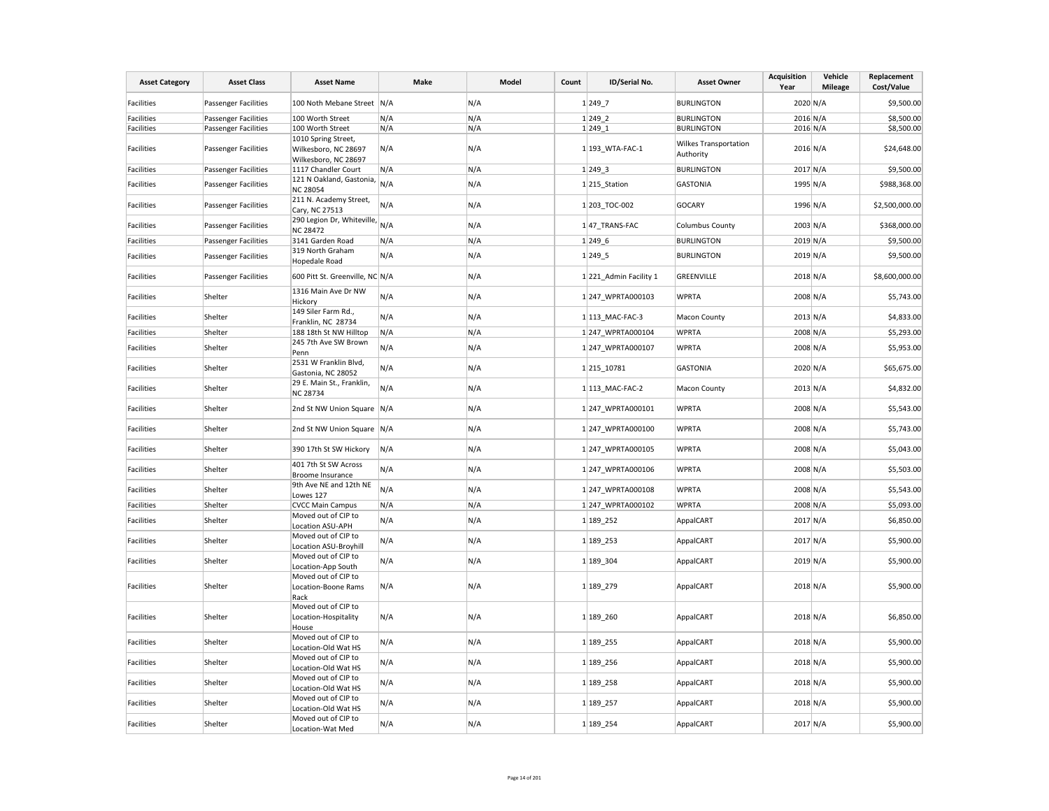| <b>Asset Category</b> | <b>Asset Class</b>          | <b>Asset Name</b>                                                   | Make | Model | Count | ID/Serial No.          | <b>Asset Owner</b>                        | Acquisition<br>Year | Vehicle<br><b>Mileage</b> | Replacement<br>Cost/Value |
|-----------------------|-----------------------------|---------------------------------------------------------------------|------|-------|-------|------------------------|-------------------------------------------|---------------------|---------------------------|---------------------------|
| Facilities            | <b>Passenger Facilities</b> | 100 Noth Mebane Street N/A                                          |      | N/A   |       | 1 2497                 | <b>BURLINGTON</b>                         | 2020 N/A            |                           | \$9,500.00                |
| Facilities            | <b>Passenger Facilities</b> | 100 Worth Street                                                    | N/A  | N/A   |       | $1 249$ 2              | <b>BURLINGTON</b>                         | 2016 N/A            |                           | \$8,500.00                |
| Facilities            | <b>Passenger Facilities</b> | 100 Worth Street                                                    | N/A  | N/A   |       | 1 2491                 | <b>BURLINGTON</b>                         | $2016$ N/A          |                           | \$8,500.00                |
| Facilities            | <b>Passenger Facilities</b> | 1010 Spring Street,<br>Wilkesboro, NC 28697<br>Wilkesboro, NC 28697 | N/A  | N/A   |       | 1 193_WTA-FAC-1        | <b>Wilkes Transportation</b><br>Authority | 2016 N/A            |                           | \$24,648.00               |
| Facilities            | Passenger Facilities        | 1117 Chandler Court                                                 | N/A  | N/A   |       | 1 2493                 | <b>BURLINGTON</b>                         | 2017 N/A            |                           | \$9,500.00                |
| Facilities            | <b>Passenger Facilities</b> | 121 N Oakland, Gastonia,<br><b>NC 28054</b>                         | N/A  | N/A   |       | $1$ 215 Station        | <b>GASTONIA</b>                           | 1995 N/A            |                           | \$988,368.00              |
| Facilities            | <b>Passenger Facilities</b> | 211 N. Academy Street,<br>Cary, NC 27513                            | N/A  | N/A   |       | 1 203 TOC-002          | <b>GOCARY</b>                             | 1996 N/A            |                           | \$2,500,000.00            |
| Facilities            | <b>Passenger Facilities</b> | 290 Legion Dr, Whiteville,<br><b>NC 28472</b>                       | N/A  | N/A   |       | 1 47 TRANS-FAC         | <b>Columbus County</b>                    | 2003 N/A            |                           | \$368,000.00              |
| Facilities            | Passenger Facilities        | 3141 Garden Road                                                    | N/A  | N/A   |       | 1 2496                 | <b>BURLINGTON</b>                         | $2019$ N/A          |                           | \$9,500.00                |
|                       |                             | 319 North Graham                                                    |      |       |       |                        |                                           |                     |                           |                           |
| Facilities            | <b>Passenger Facilities</b> | <b>Hopedale Road</b>                                                | N/A  | N/A   |       | 1 2495                 | <b>BURLINGTON</b>                         | 2019 N/A            |                           | \$9,500.00                |
| Facilities            | <b>Passenger Facilities</b> | 600 Pitt St. Greenville, NC N/A                                     |      | N/A   |       | 1 221 Admin Facility 1 | GREENVILLE                                | 2018 N/A            |                           | \$8,600,000.00            |
| Facilities            | Shelter                     | 1316 Main Ave Dr NW<br>Hickory                                      | N/A  | N/A   |       | 1 247 WPRTA000103      | <b>WPRTA</b>                              | 2008 N/A            |                           | \$5,743.00                |
| Facilities            | Shelter                     | 149 Siler Farm Rd.,<br>Franklin, NC 28734                           | N/A  | N/A   |       | 1 113 MAC-FAC-3        | <b>Macon County</b>                       | 2013 N/A            |                           | \$4,833.00                |
| Facilities            | Shelter                     | 188 18th St NW Hilltop                                              | N/A  | N/A   |       | 1247 WPRTA000104       | <b>WPRTA</b>                              | 2008 N/A            |                           | \$5,293.00                |
| Facilities            | Shelter                     | 245 7th Ave SW Brown<br>Penn                                        | N/A  | N/A   |       | 1247_WPRTA000107       | <b>WPRTA</b>                              | 2008 N/A            |                           | \$5,953.00                |
| Facilities            | Shelter                     | 2531 W Franklin Blvd,                                               | N/A  | N/A   |       | 1 215 10781            | <b>GASTONIA</b>                           | 2020 N/A            |                           | \$65,675.00               |
| Facilities            | Shelter                     | Gastonia, NC 28052<br>29 E. Main St., Franklin,<br><b>NC 28734</b>  | N/A  | N/A   |       | 1 113 MAC-FAC-2        | <b>Macon County</b>                       | 2013 N/A            |                           | \$4,832.00                |
| Facilities            | Shelter                     | 2nd St NW Union Square N/A                                          |      | N/A   |       | 1 247 WPRTA000101      | <b>WPRTA</b>                              | 2008 N/A            |                           | \$5,543.00                |
| Facilities            | Shelter                     | 2nd St NW Union Square N/A                                          |      | N/A   |       | 1247_WPRTA000100       | <b>WPRTA</b>                              | 2008 N/A            |                           | \$5,743.00                |
| Facilities            | Shelter                     | 390 17th St SW Hickory                                              | N/A  | N/A   |       | 1 247 WPRTA000105      | <b>WPRTA</b>                              | 2008 N/A            |                           | \$5,043.00                |
| Facilities            | Shelter                     | 401 7th St SW Across<br><b>Broome Insurance</b>                     | N/A  | N/A   |       | 1 247 WPRTA000106      | <b>WPRTA</b>                              | 2008 N/A            |                           | \$5,503.00                |
| Facilities            | Shelter                     | 9th Ave NE and 12th NE<br>Lowes 127                                 | N/A  | N/A   |       | 1 247 WPRTA000108      | <b>WPRTA</b>                              | 2008 N/A            |                           | \$5,543.00                |
| Facilities            | Shelter                     | <b>CVCC Main Campus</b>                                             | N/A  | N/A   |       | 1247_WPRTA000102       | <b>WPRTA</b>                              | 2008 N/A            |                           | \$5,093.00                |
|                       |                             | Moved out of CIP to                                                 |      |       |       |                        |                                           |                     |                           |                           |
| Facilities            | Shelter                     | Location ASU-APH                                                    | N/A  | N/A   |       | 1 189 252              | AppalCART                                 | 2017 N/A            |                           | \$6,850.00                |
| Facilities            | Shelter                     | Moved out of CIP to<br>Location ASU-Broyhill                        | N/A  | N/A   |       | 1 189 253              | AppalCART                                 | 2017 N/A            |                           | \$5,900.00                |
| Facilities            | Shelter                     | Moved out of CIP to<br>Location-App South                           | N/A  | N/A   |       | 1 189 304              | AppalCART                                 | 2019 N/A            |                           | \$5,900.00                |
| Facilities            | Shelter                     | Moved out of CIP to<br>Location-Boone Rams<br>Rack                  | N/A  | N/A   |       | 1 189 279              | AppalCART                                 | 2018 N/A            |                           | \$5,900.00                |
| Facilities            | Shelter                     | Moved out of CIP to<br>Location-Hospitality<br>House                | N/A  | N/A   |       | 1 189 260              | AppalCART                                 | 2018 N/A            |                           | \$6,850.00                |
| Facilities            | Shelter                     | Moved out of CIP to<br>Location-Old Wat HS                          | N/A  | N/A   |       | 1 189 255              | AppalCART                                 | 2018 N/A            |                           | \$5,900.00                |
| Facilities            | Shelter                     | Moved out of CIP to<br>Location-Old Wat HS                          | N/A  | N/A   |       | 1 189 256              | AppalCART                                 | 2018 N/A            |                           | \$5,900.00                |
|                       |                             | Moved out of CIP to                                                 |      |       |       |                        |                                           |                     |                           |                           |
| Facilities            | Shelter                     | Location-Old Wat HS                                                 | N/A  | N/A   |       | 1 189 258              | AppalCART                                 | 2018 N/A            |                           | \$5,900.00                |
| Facilities            | Shelter                     | Moved out of CIP to<br>Location-Old Wat HS                          | N/A  | N/A   |       | 1 189 257              | AppalCART                                 | 2018 N/A            |                           | \$5,900.00                |
| Facilities            | Shelter                     | Moved out of CIP to<br>Location-Wat Med                             | N/A  | N/A   |       | 1 189 254              | AppalCART                                 | 2017 N/A            |                           | \$5,900.00                |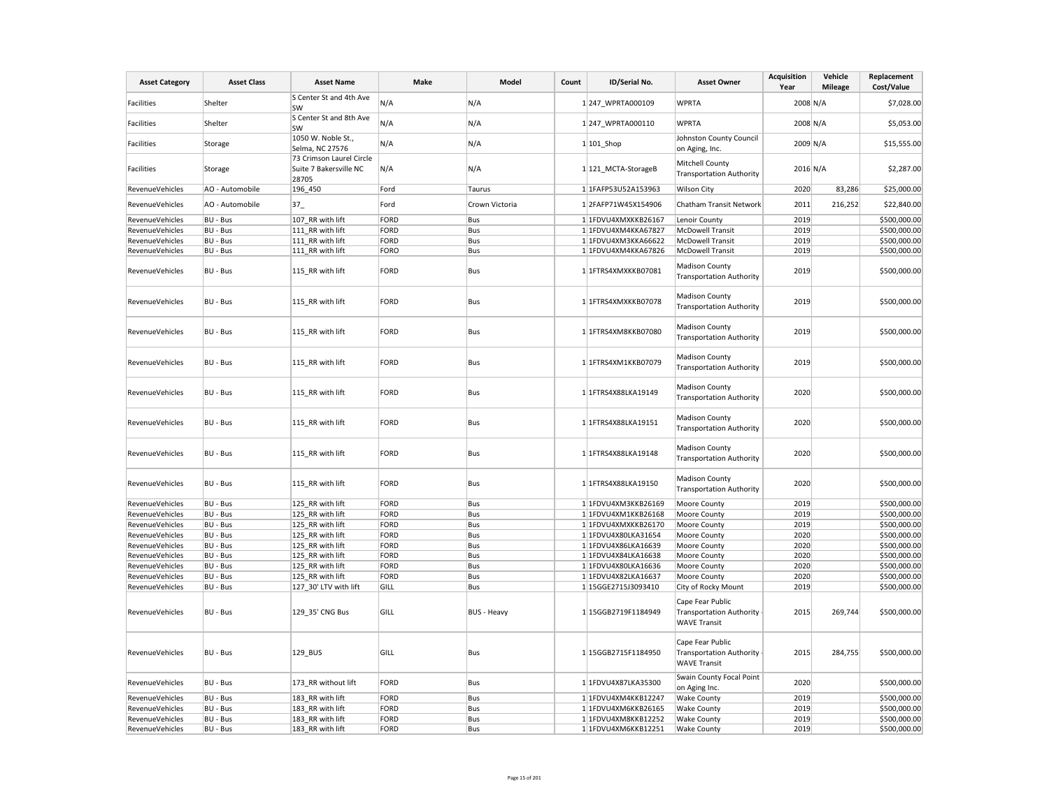| <b>Asset Category</b>  | <b>Asset Class</b> | <b>Asset Name</b>                                           | Make | Model              | Count | ID/Serial No.        | <b>Asset Owner</b>                                                         | <b>Acquisition</b><br>Year | Vehicle<br><b>Mileage</b> | Replacement<br>Cost/Value |
|------------------------|--------------------|-------------------------------------------------------------|------|--------------------|-------|----------------------|----------------------------------------------------------------------------|----------------------------|---------------------------|---------------------------|
| <b>Facilities</b>      | Shelter            | S Center St and 4th Ave<br>SW                               | N/A  | N/A                |       | 1 247 WPRTA000109    | <b>WPRTA</b>                                                               | 2008 N/A                   |                           | \$7,028.00                |
| Facilities             | Shelter            | S Center St and 8th Ave<br>SW                               | N/A  | N/A                |       | 1 247 WPRTA000110    | <b>WPRTA</b>                                                               | 2008 N/A                   |                           | \$5,053.00                |
| <b>Facilities</b>      | Storage            | 1050 W. Noble St.,<br>Selma, NC 27576                       | N/A  | N/A                |       | $1 101$ Shop         | <b>Johnston County Council</b><br>on Aging, Inc.                           | 2009 N/A                   |                           | \$15,555.00               |
| <b>Facilities</b>      | Storage            | 73 Crimson Laurel Circle<br>Suite 7 Bakersville NC<br>28705 | N/A  | N/A                |       | 1 121_MCTA-StorageB  | Mitchell County<br><b>Transportation Authority</b>                         | $2016$ N/A                 |                           | \$2,287.00                |
| RevenueVehicles        | AO - Automobile    | 196_450                                                     | Ford | Taurus             |       | 1 1FAFP53U52A153963  | <b>Wilson City</b>                                                         | 2020                       | 83,286                    | \$25,000.00               |
| RevenueVehicles        | AO - Automobile    | $37-$                                                       | Ford | Crown Victoria     |       | 12FAFP71W45X154906   | Chatham Transit Network                                                    | 2011                       | 216,252                   | \$22,840.00               |
| <b>RevenueVehicles</b> | <b>BU - Bus</b>    | 107_RR with lift                                            | FORD | Bus                |       | 1 1FDVU4XMXKKB26167  | Lenoir County                                                              | 2019                       |                           | \$500,000.00              |
| RevenueVehicles        | <b>BU - Bus</b>    | 111 RR with lift                                            | FORD | Bus                |       | 1 1FDVU4XM4KKA67827  | McDowell Transit                                                           | 2019                       |                           | \$500,000.00              |
| RevenueVehicles        | <b>BU - Bus</b>    | 111 RR with lift                                            | FORD | Bus                |       | 1 1FDVU4XM3KKA66622  | McDowell Transit                                                           | 2019                       |                           | \$500,000.00              |
| RevenueVehicles        | <b>BU - Bus</b>    | 111 RR with lift                                            | FORO | Bus                |       | 1 1FDVU4XM4KKA67826  | McDowell Transit                                                           | 2019                       |                           | \$500,000.00              |
| RevenueVehicles        | BU - Bus           | 115 RR with lift                                            | FORD | Bus                |       | 1 1FTRS4XMXKKB07081  | <b>Madison County</b><br><b>Transportation Authority</b>                   | 2019                       |                           | \$500,000.00              |
| RevenueVehicles        | <b>BU - Bus</b>    | 115 RR with lift                                            | FORD | Bus                |       | 1 1FTRS4XMXKKB07078  | <b>Madison County</b><br><b>Transportation Authority</b>                   | 2019                       |                           | \$500,000.00              |
| RevenueVehicles        | BU - Bus           | 115 RR with lift                                            | FORD | Bus                |       | 1 1 FTRS4XM8KKB07080 | Madison County<br><b>Transportation Authority</b>                          | 2019                       |                           | \$500,000.00              |
| <b>RevenueVehicles</b> | <b>BU - Bus</b>    | 115 RR with lift                                            | FORD | Bus                |       | 1 1FTRS4XM1KKB07079  | <b>Madison County</b><br><b>Transportation Authority</b>                   | 2019                       |                           | \$500,000.00              |
| RevenueVehicles        | BU - Bus           | 115 RR with lift                                            | FORD | Bus                |       | 1 1FTRS4X88LKA19149  | <b>Madison County</b><br><b>Transportation Authority</b>                   | 2020                       |                           | \$500,000.00              |
| RevenueVehicles        | BU - Bus           | 115 RR with lift                                            | FORD | Bus                |       | 1 1FTRS4X88LKA19151  | <b>Madison County</b><br><b>Transportation Authority</b>                   | 2020                       |                           | \$500,000.00              |
| RevenueVehicles        | BU - Bus           | 115 RR with lift                                            | FORD | Bus                |       | 1 1FTRS4X88LKA19148  | Madison County<br><b>Transportation Authority</b>                          | 2020                       |                           | \$500,000.00              |
| <b>RevenueVehicles</b> | BU - Bus           | 115 RR with lift                                            | FORD | Bus                |       | 1 1FTRS4X88LKA19150  | <b>Madison County</b><br><b>Transportation Authority</b>                   | 2020                       |                           | \$500,000.00              |
| RevenueVehicles        | BU - Bus           | 125_RR with lift                                            | FORD | Bus                |       | 1 1FDVU4XM3KKB26169  | Moore County                                                               | 2019                       |                           | \$500,000.00              |
| RevenueVehicles        | BU - Bus           | 125 RR with lift                                            | FORD | Bus                |       | 1 1FDVU4XM1KKB26168  | Moore County                                                               | 2019                       |                           | \$500,000.00              |
| RevenueVehicles        | <b>BU - Bus</b>    | 125 RR with lift                                            | FORD | Bus                |       | 1 1FDVU4XMXKKB26170  | Moore County                                                               | 2019                       |                           | \$500,000.00              |
| <b>RevenueVehicles</b> | <b>BU - Bus</b>    | 125 RR with lift                                            | FORD | Bus                |       | 1 1FDVU4X80LKA31654  | Moore County                                                               | 2020                       |                           | \$500,000.00              |
| RevenueVehicles        | BU - Bus           | 125 RR with lift                                            | FORD | Bus                |       | 1 1FDVU4X86LKA16639  | Moore County                                                               | 2020                       |                           | \$500,000.00              |
| RevenueVehicles        | <b>BU - Bus</b>    | 125 RR with lift                                            | FORD | Bus                |       | 1 1FDVU4X84LKA16638  | Moore County                                                               | 2020                       |                           | \$500,000.00              |
| <b>RevenueVehicles</b> | <b>BU - Bus</b>    | 125 RR with lift                                            | FORD | Bus                |       | 1 1FDVU4X80LKA16636  | Moore County                                                               | 2020                       |                           | \$500,000.00              |
| RevenueVehicles        | <b>BU - Bus</b>    | 125 RR with lift                                            | FORD | Bus                |       | 1 1FDVU4X82LKA16637  | Moore County                                                               | 2020                       |                           | \$500,000.00              |
| RevenueVehicles        | <b>BU - Bus</b>    | 127 30' LTV with lift                                       | GILL | Bus                |       | 1 15GGE2715J3093410  | City of Rocky Mount                                                        | 2019                       |                           | \$500,000.00              |
| RevenueVehicles        | BU - Bus           | 129_35' CNG Bus                                             | GILL | <b>BUS - Heavy</b> |       | 1 15GGB2719F1184949  | Cape Fear Public<br><b>Transportation Authority</b><br><b>WAVE Transit</b> | 2015                       | 269,744                   | \$500,000.00              |
| RevenueVehicles        | BU - Bus           | 129 BUS                                                     | GILL | Bus                |       | 1 15GGB2715F1184950  | Cape Fear Public<br><b>Transportation Authority</b><br><b>WAVE Transit</b> | 2015                       | 284,755                   | \$500,000.00              |
| RevenueVehicles        | <b>BU - Bus</b>    | 173_RR without lift                                         | FORD | Bus                |       | 1 1FDVU4X87LKA35300  | Swain County Focal Point<br>on Aging Inc.                                  | 2020                       |                           | \$500,000.00              |
| RevenueVehicles        | <b>BU - Bus</b>    | 183 RR with lift                                            | FORD | Bus                |       | 1 1FDVU4XM4KKB12247  | <b>Wake County</b>                                                         | 2019                       |                           | \$500,000.00              |
| RevenueVehicles        | BU - Bus           | 183 RR with lift                                            | FORD | Bus                |       | 1 1FDVU4XM6KKB26165  | <b>Wake County</b>                                                         | 2019                       |                           | \$500,000.00              |
| RevenueVehicles        | BU - Bus           | 183 RR with lift                                            | FORD | Bus                |       | 1 1FDVU4XM8KKB12252  | <b>Wake County</b>                                                         | 2019                       |                           | \$500,000.00              |
| RevenueVehicles        | BU - Bus           | 183_RR with lift                                            | FORD | Bus                |       | 1 1FDVU4XM6KKB12251  | <b>Wake County</b>                                                         | 2019                       |                           | \$500,000.00              |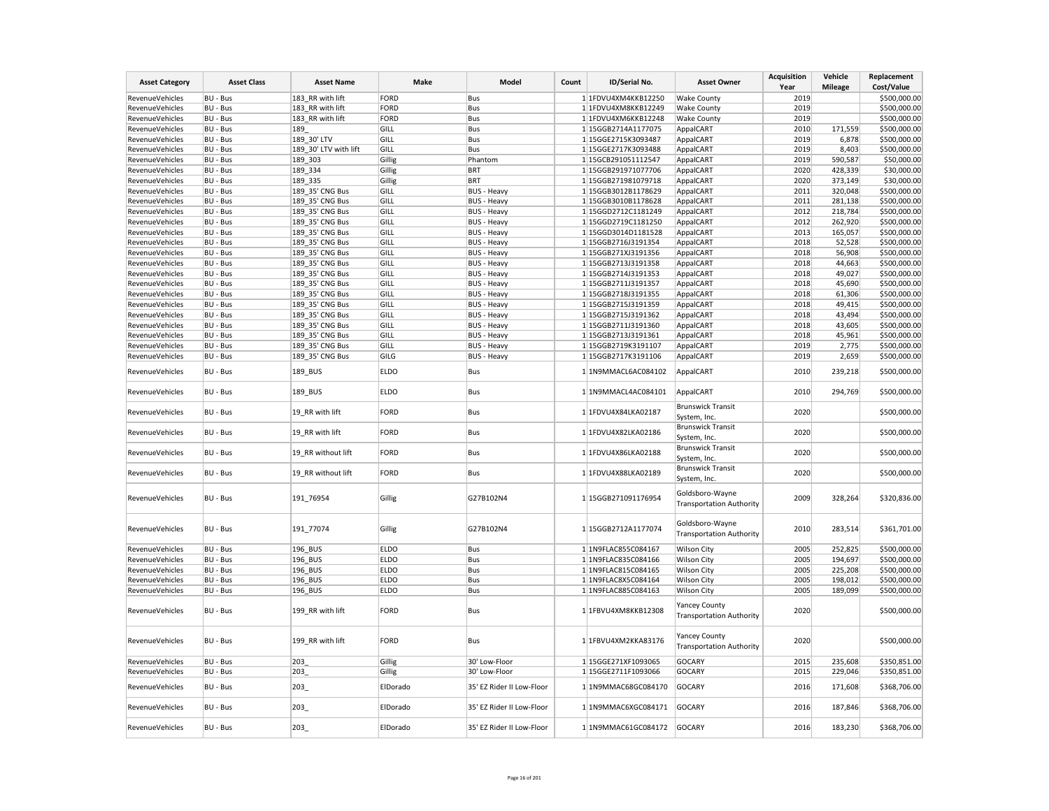| <b>Asset Category</b>  | <b>Asset Class</b>   | <b>Asset Name</b>     | Make        | Model                     | Count | ID/Serial No.       | <b>Asset Owner</b>                                 | <b>Acquisition</b><br>Year | Vehicle<br><b>Mileage</b> | Replacement<br>Cost/Value |
|------------------------|----------------------|-----------------------|-------------|---------------------------|-------|---------------------|----------------------------------------------------|----------------------------|---------------------------|---------------------------|
| RevenueVehicles        | BU - Bus             | 183 RR with lift      | <b>FORD</b> | Bus                       |       | 1 1FDVU4XM4KKB12250 | <b>Wake County</b>                                 | 2019                       |                           | \$500,000.00              |
| RevenueVehicles        | BU - Bus             | 183 RR with lift      | FORD        | Bus                       |       | 1 1FDVU4XM8KKB12249 | <b>Wake County</b>                                 | 2019                       |                           | \$500,000.00              |
| RevenueVehicles        | BU - Bus             | 183 RR with lift      | <b>FORD</b> | Bus                       |       | 1 1FDVU4XM6KKB12248 | <b>Wake County</b>                                 | 2019                       |                           | \$500,000.00              |
| RevenueVehicles        | BU - Bus             | 189                   | GILL        | Bus                       |       | 1 15GGB2714A1177075 | AppalCART                                          | 2010                       | 171,559                   | \$500,000.00              |
| RevenueVehicles        | BU - Bus             | 189 30' LTV           | GILL        | Bus                       |       | 1 15GGE2715K3093487 | AppalCART                                          | 2019                       | 6,878                     | \$500,000.00              |
| RevenueVehicles        | BU - Bus             | 189_30' LTV with lift | GILL        | Bus                       |       | 1 15GGE2717K3093488 | AppalCART                                          | 2019                       | 8,403                     | \$500,000.00              |
| RevenueVehicles        | BU - Bus             | 189 303               | Gillig      | Phantom                   |       | 1 15GCB291051112547 | AppalCART                                          | 2019                       | 590,587                   | \$50,000.00               |
| RevenueVehicles        | BU - Bus             | 189 334               | Gillig      | <b>BRT</b>                |       | 1 15GGB291971077706 | AppalCART                                          | 2020                       | 428,339                   | \$30,000.00               |
| RevenueVehicles        | BU - Bus             | 189 335               | Gillig      | <b>BRT</b>                |       | 1 15GGB271981079718 | AppalCART                                          | 2020                       | 373,149                   | \$30,000.00               |
| RevenueVehicles        | BU - Bus             | 189 35' CNG Bus       | GILL        | <b>BUS - Heavy</b>        |       | 1 15GGB3012B1178629 | AppalCART                                          | 2011                       | 320,048                   | \$500,000.00              |
| RevenueVehicles        | BU - Bus             | 189 35' CNG Bus       | GILL        | <b>BUS - Heavy</b>        |       | 1 15GGB3010B1178628 | AppalCART                                          | 2011                       | 281,138                   | \$500,000.00              |
| RevenueVehicles        | BU - Bus             | 189 35' CNG Bus       | GILL        | <b>BUS - Heavy</b>        |       | 1 15GGD2712C1181249 | AppalCART                                          | 2012                       | 218,784                   | \$500,000.00              |
| RevenueVehicles        | BU - Bus             | 189 35' CNG Bus       | GILL        | <b>BUS - Heavy</b>        |       | 1 15GGD2719C1181250 | AppalCART                                          | 2012                       | 262,920                   | \$500,000.00              |
| RevenueVehicles        | BU - Bus             | 189 35' CNG Bus       | GILL        | <b>BUS - Heavy</b>        |       | 1 15GGD3014D1181528 | AppalCART                                          | 2013                       | 165,057                   | \$500,000.00              |
| RevenueVehicles        |                      |                       | GILL        |                           |       | 1 15GGB2716J3191354 |                                                    | 2018                       | 52,528                    | \$500,000.00              |
|                        | BU - Bus<br>BU - Bus | 189_35' CNG Bus       |             | <b>BUS - Heavy</b>        |       |                     | AppalCART                                          | 2018                       | 56,908                    | \$500,000.00              |
| RevenueVehicles        |                      | 189 35' CNG Bus       | GILL        | <b>BUS</b> - Heavy        |       | 1 15GGB271XJ3191356 | AppalCART                                          |                            |                           |                           |
| RevenueVehicles        | BU - Bus             | 189 35' CNG Bus       | GILL        | <b>BUS - Heavy</b>        |       | 1 15GGB2713J3191358 | AppalCART                                          | 2018                       | 44,663                    | \$500,000.00              |
| RevenueVehicles        | BU - Bus             | 189 35' CNG Bus       | GILL        | <b>BUS - Heavy</b>        |       | 1 15GGB2714J3191353 | AppalCART                                          | 2018                       | 49,027                    | \$500,000.00              |
| RevenueVehicles        | BU - Bus             | 189 35' CNG Bus       | GILL        | <b>BUS - Heavy</b>        |       | 1 15GGB2711J3191357 | AppalCART                                          | 2018                       | 45,690                    | \$500,000.00              |
| RevenueVehicles        | BU - Bus             | 189_35' CNG Bus       | GILL        | <b>BUS - Heavy</b>        |       | 1 15GGB2718J3191355 | AppalCART                                          | 2018                       | 61,306                    | \$500,000.00              |
| RevenueVehicles        | BU - Bus             | 189 35' CNG Bus       | GILL        | <b>BUS - Heavy</b>        |       | 1 15GGB2715J3191359 | AppalCART                                          | 2018                       | 49,415                    | \$500,000.00              |
| RevenueVehicles        | BU - Bus             | 189 35' CNG Bus       | GILL        | <b>BUS</b> - Heavy        |       | 1 15GGB2715J3191362 | AppalCART                                          | 2018                       | 43,494                    | \$500,000.00              |
| RevenueVehicles        | BU - Bus             | 189 35' CNG Bus       | GILL        | <b>BUS - Heavy</b>        |       | 1 15GGB2711J3191360 | AppalCART                                          | 2018                       | 43,605                    | \$500,000.00              |
| RevenueVehicles        | BU - Bus             | 189 35' CNG Bus       | GILL        | <b>BUS - Heavy</b>        |       | 1 15GGB2713J3191361 | AppalCART                                          | 2018                       | 45,961                    | \$500,000.00              |
| RevenueVehicles        | BU - Bus             | 189 35' CNG Bus       | GILL        | <b>BUS - Heavy</b>        |       | 1 15GGB2719K3191107 | AppalCART                                          | 2019                       | 2,775                     | \$500,000.00              |
| RevenueVehicles        | BU - Bus             | 189_35' CNG Bus       | GILG        | <b>BUS - Heavy</b>        |       | 1 15GGB2717K3191106 | AppalCART                                          | 2019                       | 2,659                     | \$500,000.00              |
| <b>RevenueVehicles</b> | BU - Bus             | 189_BUS               | <b>ELDO</b> | Bus                       |       | 1 1N9MMACL6AC084102 | AppalCART                                          | 2010                       | 239,218                   | \$500,000.00              |
| RevenueVehicles        | BU - Bus             | 189_BUS               | <b>ELDO</b> | Bus                       |       | 1 1N9MMACL4AC084101 | AppalCART                                          | 2010                       | 294,769                   | \$500,000.00              |
| RevenueVehicles        | BU - Bus             | 19_RR with lift       | <b>FORD</b> | Bus                       |       | 1 1FDVU4X84LKA02187 | <b>Brunswick Transit</b><br>System, Inc.           | 2020                       |                           | \$500,000.00              |
| RevenueVehicles        | BU - Bus             | 19_RR with lift       | <b>FORD</b> | Bus                       |       | 1 1FDVU4X82LKA02186 | <b>Brunswick Transit</b><br>System, Inc.           | 2020                       |                           | \$500,000.00              |
| RevenueVehicles        | BU - Bus             | 19 RR without lift    | <b>FORD</b> | Bus                       |       | 1 1FDVU4X86LKA02188 | <b>Brunswick Transit</b><br>System, Inc.           | 2020                       |                           | \$500,000.00              |
| RevenueVehicles        | BU - Bus             | 19 RR without lift    | FORD        | Bus                       |       | 1 1FDVU4X88LKA02189 | <b>Brunswick Transit</b><br>System, Inc.           | 2020                       |                           | \$500,000.00              |
| RevenueVehicles        | BU - Bus             | 191_76954             | Gillig      | G27B102N4                 |       | 1 15GGB271091176954 | Goldsboro-Wayne<br><b>Transportation Authority</b> | 2009                       | 328,264                   | \$320,836.00              |
| RevenueVehicles        | BU - Bus             | 191_77074             | Gillig      | G27B102N4                 |       | 1 15GGB2712A1177074 | Goldsboro-Wayne<br><b>Transportation Authority</b> | 2010                       | 283,514                   | \$361,701.00              |
| RevenueVehicles        | BU - Bus             | 196_BUS               | <b>ELDO</b> | Bus                       |       | 1 1N9FLAC855C084167 | <b>Wilson City</b>                                 | 2005                       | 252,825                   | \$500,000.00              |
| RevenueVehicles        | BU - Bus             | 196 BUS               | <b>ELDO</b> | Bus                       |       | 1 1N9FLAC835C084166 | <b>Wilson City</b>                                 | 2005                       | 194,697                   | \$500,000.00              |
| RevenueVehicles        | BU - Bus             | 196 BUS               | <b>ELDO</b> | Bus                       |       | 1 1N9FLAC815C084165 | <b>Wilson City</b>                                 | 2005                       | 225,208                   | \$500,000.00              |
| RevenueVehicles        | BU - Bus             | 196_BUS               | <b>ELDO</b> | Bus                       |       | 1 1N9FLAC8X5C084164 | <b>Wilson City</b>                                 | 2005                       | 198,012                   | \$500,000.00              |
| RevenueVehicles        | BU - Bus             | 196 BUS               | <b>ELDO</b> | Bus                       |       | 1 1N9FLAC885C084163 | <b>Wilson City</b>                                 | 2005                       | 189,099                   | \$500,000.00              |
| RevenueVehicles        | BU - Bus             | 199_RR with lift      | <b>FORD</b> | Bus                       |       | 1 1FBVU4XM8KKB12308 | Yancey County<br><b>Transportation Authority</b>   | 2020                       |                           | \$500,000.00              |
| RevenueVehicles        | BU - Bus             | 199 RR with lift      | FORD        | Bus                       |       | 1 1FBVU4XM2KKA83176 | Yancey County<br><b>Transportation Authority</b>   | 2020                       |                           | \$500,000.00              |
| RevenueVehicles        | BU - Bus             | 203                   | Gillig      | 30' Low-Floor             |       | 1 15GGE271XF1093065 | <b>GOCARY</b>                                      | 2015                       | 235,608                   | \$350,851.00              |
| RevenueVehicles        | BU - Bus             | 203                   | Gillig      | 30' Low-Floor             |       | 1 15GGE2711F1093066 | <b>GOCARY</b>                                      | 2015                       | 229,046                   | \$350,851.00              |
| RevenueVehicles        | BU - Bus             | 203                   | ElDorado    | 35' EZ Rider II Low-Floor |       | 1 1N9MMAC68GC084170 | <b>GOCARY</b>                                      | 2016                       | 171,608                   | \$368,706.00              |
| RevenueVehicles        | BU - Bus             | 203                   | ElDorado    | 35' EZ Rider II Low-Floor |       | 1 1N9MMAC6XGC084171 | <b>GOCARY</b>                                      | 2016                       | 187,846                   | \$368,706.00              |
| RevenueVehicles        | BU - Bus             | 203                   | ElDorado    | 35' EZ Rider II Low-Floor |       | 1 1N9MMAC61GC084172 | <b>GOCARY</b>                                      | 2016                       | 183,230                   | \$368,706.00              |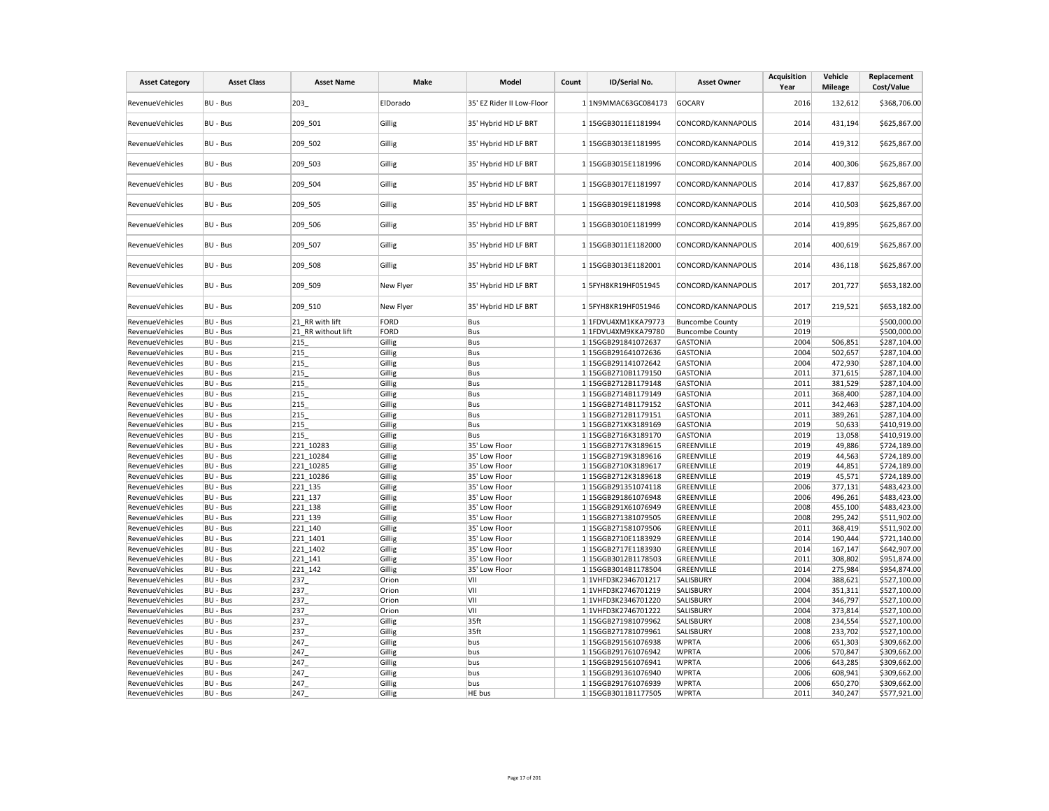| <b>Asset Category</b>  | <b>Asset Class</b> | <b>Asset Name</b>  | Make      | Model                     | Count | ID/Serial No.       | <b>Asset Owner</b>     | <b>Acquisition</b><br>Year | Vehicle<br><b>Mileage</b> | Replacement<br>Cost/Value |
|------------------------|--------------------|--------------------|-----------|---------------------------|-------|---------------------|------------------------|----------------------------|---------------------------|---------------------------|
| RevenueVehicles        | <b>BU - Bus</b>    | 203                | ElDorado  | 35' EZ Rider II Low-Floor |       | 1 1N9MMAC63GC084173 | <b>GOCARY</b>          | 2016                       | 132,612                   | \$368,706.00              |
| <b>RevenueVehicles</b> | BU - Bus           | 209 501            | Gillig    | 35' Hybrid HD LF BRT      |       | 1 15GGB3011E1181994 | CONCORD/KANNAPOLIS     | 2014                       | 431,194                   | \$625,867.00              |
| RevenueVehicles        | BU - Bus           | 209 502            | Gillig    | 35' Hybrid HD LF BRT      |       | 1 15GGB3013E1181995 | CONCORD/KANNAPOLIS     | 2014                       | 419,312                   | \$625,867.00              |
| RevenueVehicles        | BU - Bus           | 209 503            | Gillig    | 35' Hybrid HD LF BRT      |       | 1 15GGB3015E1181996 | CONCORD/KANNAPOLIS     | 2014                       | 400,306                   | \$625,867.00              |
| RevenueVehicles        | BU - Bus           | 209 504            | Gillig    | 35' Hybrid HD LF BRT      |       | 1 15GGB3017E1181997 | CONCORD/KANNAPOLIS     | 2014                       | 417,837                   | \$625,867.00              |
| RevenueVehicles        | BU - Bus           | 209 505            | Gillig    | 35' Hybrid HD LF BRT      |       | 1 15GGB3019E1181998 | CONCORD/KANNAPOLIS     | 2014                       | 410,503                   | \$625,867.00              |
| RevenueVehicles        | BU - Bus           | 209 506            | Gillig    | 35' Hybrid HD LF BRT      |       | 1 15GGB3010E1181999 | CONCORD/KANNAPOLIS     | 2014                       | 419,895                   | \$625,867.00              |
| RevenueVehicles        | BU - Bus           | 209 507            | Gillig    | 35' Hybrid HD LF BRT      |       | 1 15GGB3011E1182000 | CONCORD/KANNAPOLIS     | 2014                       | 400,619                   | \$625,867.00              |
| RevenueVehicles        | BU - Bus           | 209 508            | Gillig    | 35' Hybrid HD LF BRT      |       | 1 15GGB3013E1182001 | CONCORD/KANNAPOLIS     | 2014                       | 436,118                   | \$625,867.00              |
| RevenueVehicles        | BU - Bus           | 209 509            | New Flyer | 35' Hybrid HD LF BRT      |       | 15FYH8KR19HF051945  | CONCORD/KANNAPOLIS     | 2017                       | 201,727                   | \$653,182.00              |
| RevenueVehicles        | BU - Bus           | 209_510            | New Flyer | 35' Hybrid HD LF BRT      |       | 1 5FYH8KR19HF051946 | CONCORD/KANNAPOLIS     | 2017                       | 219,521                   | \$653,182.00              |
| RevenueVehicles        | BU - Bus           | 21 RR with lift    | FORD      | Bus                       |       | 1 1FDVU4XM1KKA79773 | <b>Buncombe County</b> | 2019                       |                           | \$500,000.00              |
| RevenueVehicles        | BU - Bus           | 21 RR without lift | FORD      | Bus                       |       | 1 1FDVU4XM9KKA79780 | <b>Buncombe County</b> | 2019                       |                           | \$500,000.00              |
| <b>RevenueVehicles</b> | BU - Bus           | 215                | Gillig    | Bus                       |       | 1 15GGB291841072637 | <b>GASTONIA</b>        | 2004                       | 506,851                   | \$287,104.00              |
| RevenueVehicles        | BU - Bus           | 215                | Gillig    | Bus                       |       | 1 15GGB291641072636 | <b>GASTONIA</b>        | 2004                       | 502,657                   | \$287,104.00              |
| RevenueVehicles        | BU - Bus           | 215                | Gillig    | Bus                       |       | 1 15GGB291141072642 | <b>GASTONIA</b>        | 2004                       | 472,930                   | \$287,104.00              |
| RevenueVehicles        | BU - Bus           | 215                | Gillig    | Bus                       |       | 1 15GGB2710B1179150 | <b>GASTONIA</b>        | 2011                       | 371,615                   | \$287,104.00              |
| RevenueVehicles        | BU - Bus           | 215                | Gillig    | Bus                       |       | 1 15GGB2712B1179148 | <b>GASTONIA</b>        | 2011                       | 381,529                   | \$287,104.00              |
| RevenueVehicles        | BU - Bus           | 215                | Gillig    | Bus                       |       | 1 15GGB2714B1179149 | <b>GASTONIA</b>        | 2011                       | 368,400                   | \$287,104.00              |
| RevenueVehicles        | BU - Bus           | 215                | Gillig    | Bus                       |       | 1 15GGB2714B1179152 | <b>GASTONIA</b>        | 2011                       | 342,463                   | \$287,104.00              |
| RevenueVehicles        | BU - Bus           | 215                | Gillig    | Bus                       |       | 1 15GGB2712B1179151 | <b>GASTONIA</b>        | 2011                       | 389,261                   | \$287,104.00              |
| RevenueVehicles        | BU - Bus           | 215                | Gillig    | Bus                       |       | 1 15GGB271XK3189169 | <b>GASTONIA</b>        | 2019                       | 50,633                    | \$410,919.00              |
| RevenueVehicles        | BU - Bus           | 215                | Gillig    | Bus                       |       | 1 15GGB2716K3189170 | <b>GASTONIA</b>        | 2019                       | 13,058                    | \$410,919.00              |
| RevenueVehicles        | BU - Bus           | 221_10283          | Gillig    | 35' Low Floor             |       | 1 15GGB2717K3189615 | GREENVILLE             | 2019                       | 49,886                    | \$724,189.00              |
| RevenueVehicles        | <b>BU - Bus</b>    | 221 10284          | Gillig    | 35' Low Floor             |       | 1 15GGB2719K3189616 | GREENVILLE             | 2019                       | 44,563                    | \$724,189.00              |
| RevenueVehicles        | BU - Bus           | 221_10285          | Gillig    | 35' Low Floor             |       | 1 15GGB2710K3189617 | GREENVILLE             | 2019                       | 44,851                    | \$724,189.00              |
| RevenueVehicles        | BU - Bus           | 221 10286          | Gillig    | 35' Low Floor             |       | 1 15GGB2712K3189618 | GREENVILLE             | 2019                       | 45,571                    | \$724,189.00              |
| RevenueVehicles        | BU - Bus           | 221_135            | Gillig    | 35' Low Floor             |       | 1 15GGB291351074118 | GREENVILLE             | 2006                       | 377,131                   | \$483,423.00              |
| RevenueVehicles        | BU - Bus           | 221_137            | Gillig    | 35' Low Floor             |       | 1 15GGB291861076948 | GREENVILLE             | 2006                       | 496,261                   | \$483,423.00              |
| RevenueVehicles        | BU - Bus           | 221 138            | Gillig    | 35' Low Floor             |       | 1 15GGB291X61076949 | GREENVILLE             | 2008                       | 455,100                   | \$483,423.00              |
| RevenueVehicles        | BU - Bus           | 221 139            | Gillig    | 35' Low Floor             |       | 1 15GGB271381079505 | GREENVILLE             | 2008                       | 295,242                   | \$511,902.00              |
| RevenueVehicles        | <b>BU - Bus</b>    | 221 140            | Gillig    | 35' Low Floor             |       | 1 15GGB271581079506 | GREENVILLE             | 2011                       | 368,419                   | \$511,902.00              |
| RevenueVehicles        | <b>BU - Bus</b>    | 221 1401           | Gillig    | 35' Low Floor             |       | 1 15GGB2710E1183929 | GREENVILLE             | 2014                       | 190,444                   | \$721,140.00              |
|                        |                    | 221 1402           |           | 35' Low Floor             |       | 1 15GGB2717E1183930 | GREENVILLE             | 2014                       | 167,147                   | \$642,907.00              |
| RevenueVehicles        | BU - Bus           |                    | Gillig    |                           |       |                     |                        | 2011                       |                           |                           |
| RevenueVehicles        | BU - Bus           | 221 141            | Gillig    | 35' Low Floor             |       | 1 15GGB3012B1178503 | GREENVILLE             | 2014                       | 308,802                   | \$951,874.00              |
| RevenueVehicles        | BU - Bus           | 221 142            | Gillig    | 35' Low Floor             |       | 1 15GGB3014B1178504 | GREENVILLE             |                            | 275,984                   | \$954,874.00              |
| RevenueVehicles        | <b>BU - Bus</b>    | 237                | Orion     | VII                       |       | 1 1VHFD3K2346701217 | SALISBURY              | 2004                       | 388,621                   | \$527,100.00              |
| RevenueVehicles        | BU - Bus           | 237                | Orion     | VII                       |       | 1 1VHFD3K2746701219 | SALISBURY              | 2004                       | 351,311                   | \$527,100.00              |
| RevenueVehicles        | BU - Bus           | 237                | Orion     | VII                       |       | 1 1VHFD3K2346701220 | SALISBURY              | 2004                       | 346,797                   | \$527,100.00              |
| RevenueVehicles        | BU - Bus           | 237                | Orion     | VII                       |       | 1 1VHFD3K2746701222 | SALISBURY              | 2004                       | 373,814                   | \$527,100.00              |
| RevenueVehicles        | BU - Bus           | 237                | Gillig    | 35ft                      |       | 1 15GGB271981079962 | SALISBURY              | 2008                       | 234,554                   | \$527,100.00              |
| RevenueVehicles        | <b>BU - Bus</b>    | 237                | Gillig    | 35 <sub>ft</sub>          |       | 1 15GGB271781079961 | SALISBURY              | 2008                       | 233,702                   | \$527,100.00              |
| RevenueVehicles        | BU - Bus           | 247                | Gillig    | bus                       |       | 1 15GGB291561076938 | <b>WPRTA</b>           | 2006                       | 651,303                   | \$309,662.00              |
| RevenueVehicles        | BU - Bus           | 247                | Gillig    | bus                       |       | 1 15GGB291761076942 | <b>WPRTA</b>           | 2006                       | 570,847                   | \$309,662.00              |
| RevenueVehicles        | BU - Bus           | 247                | Gillig    | bus                       |       | 1 15GGB291561076941 | <b>WPRTA</b>           | 2006                       | 643,285                   | \$309,662.00              |
| RevenueVehicles        | BU - Bus           | 247                | Gillig    | bus                       |       | 1 15GGB291361076940 | <b>WPRTA</b>           | 2006                       | 608,941                   | \$309,662.00              |
| RevenueVehicles        | BU - Bus           | 247                | Gillig    | bus                       |       | 1 15GGB291761076939 | <b>WPRTA</b>           | 2006                       | 650,270                   | \$309,662.00              |
| RevenueVehicles        | BU - Bus           | 247                | Gillig    | HE bus                    |       | 1 15GGB3011B1177505 | <b>WPRTA</b>           | 2011                       | 340,247                   | \$577,921.00              |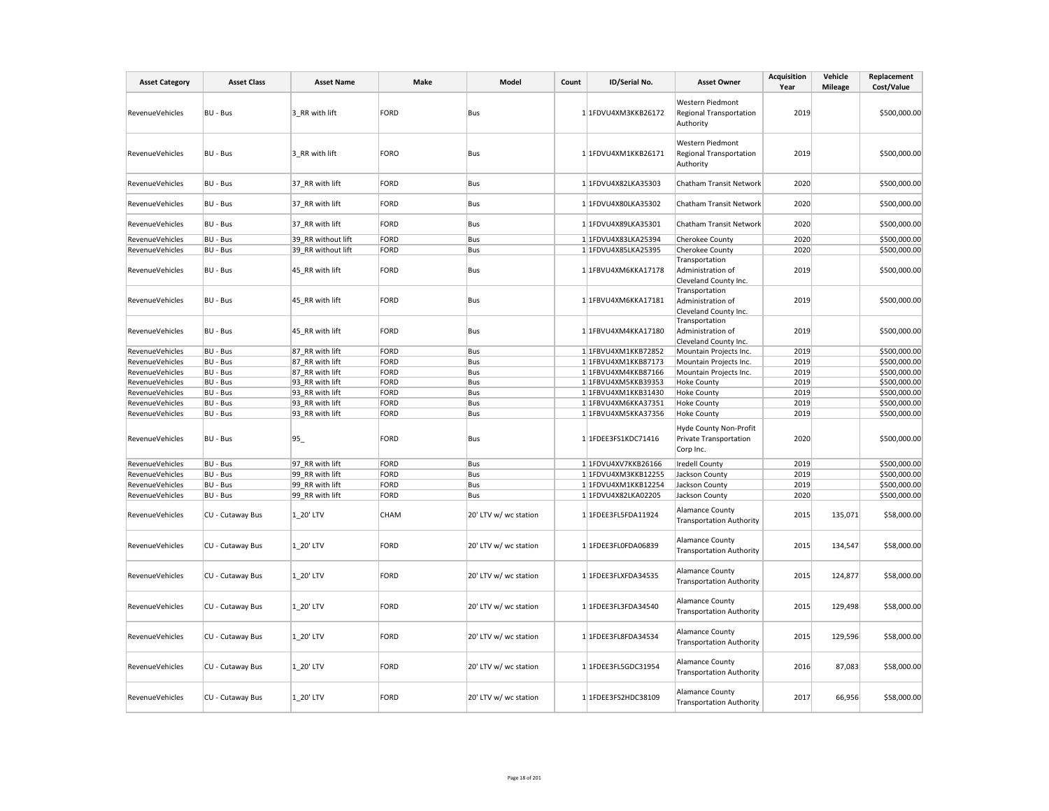| <b>Asset Category</b> | <b>Asset Class</b> | <b>Asset Name</b>  | Make        | Model                 | Count | ID/Serial No.       | <b>Asset Owner</b>                                                   | <b>Acquisition</b><br>Year | Vehicle<br><b>Mileage</b> | Replacement<br>Cost/Value |
|-----------------------|--------------------|--------------------|-------------|-----------------------|-------|---------------------|----------------------------------------------------------------------|----------------------------|---------------------------|---------------------------|
| RevenueVehicles       | BU - Bus           | 3 RR with lift     | <b>FORD</b> | Bus                   |       | 1 1FDVU4XM3KKB26172 | Western Piedmont<br><b>Regional Transportation</b><br>Authority      | 2019                       |                           | \$500,000.00              |
| RevenueVehicles       | BU - Bus           | 3 RR with lift     | <b>FORO</b> | Bus                   |       | 1 1FDVU4XM1KKB26171 | Western Piedmont<br>Regional Transportation<br>Authority             | 2019                       |                           | \$500,000.00              |
| RevenueVehicles       | BU - Bus           | 37_RR with lift    | FORD        | Bus                   |       | 1 1FDVU4X82LKA35303 | Chatham Transit Network                                              | 2020                       |                           | \$500,000.00              |
| RevenueVehicles       | BU - Bus           | 37_RR with lift    | FORD        | Bus                   |       | 1 1FDVU4X80LKA35302 | Chatham Transit Network                                              | 2020                       |                           | \$500,000.00              |
| RevenueVehicles       | BU - Bus           | 37 RR with lift    | FORD        | Bus                   |       | 1 1FDVU4X89LKA35301 | Chatham Transit Network                                              | 2020                       |                           | \$500,000.00              |
| RevenueVehicles       | BU - Bus           | 39 RR without lift | FORD        | Bus                   |       | 1 1FDVU4X83LKA25394 | Cherokee County                                                      | 2020                       |                           | \$500,000.00              |
| RevenueVehicles       | BU - Bus           | 39 RR without lift | <b>FORD</b> | Bus                   |       | 1 1FDVU4X85LKA25395 | Cherokee County                                                      | 2020                       |                           | \$500,000.00              |
| RevenueVehicles       | BU - Bus           | 45_RR with lift    | <b>FORD</b> | Bus                   |       | 1 1FBVU4XM6KKA17178 | Transportation<br>Administration of<br>Cleveland County Inc.         | 2019                       |                           | \$500,000.00              |
| RevenueVehicles       | BU - Bus           | 45 RR with lift    | <b>FORD</b> | Bus                   |       | 1 1FBVU4XM6KKA17181 | Transportation<br>Administration of<br>Cleveland County Inc.         | 2019                       |                           | \$500,000.00              |
| RevenueVehicles       | BU - Bus           | 45_RR with lift    | <b>FORD</b> | Bus                   |       | 1 1FBVU4XM4KKA17180 | Transportation<br>Administration of<br>Cleveland County Inc.         | 2019                       |                           | \$500,000.00              |
| RevenueVehicles       | BU - Bus           | 87 RR with lift    | FORD        | Bus                   |       | 1 1FBVU4XM1KKB72852 | Mountain Projects Inc.                                               | 2019                       |                           | \$500,000.00              |
| RevenueVehicles       | BU - Bus           | 87 RR with lift    | <b>FORD</b> | Bus                   |       | 1 1FBVU4XM1KKB87173 | Mountain Projects Inc.                                               | 2019                       |                           | \$500,000.00              |
| RevenueVehicles       | BU - Bus           | 87 RR with lift    | FORD        | Bus                   |       | 1 1FBVU4XM4KKB87166 | Mountain Projects Inc.                                               | 2019                       |                           | \$500,000.00              |
| RevenueVehicles       | BU - Bus           | 93 RR with lift    | FORD        | Bus                   |       | 1 1FBVU4XM5KKB39353 | <b>Hoke County</b>                                                   | 2019                       |                           | \$500,000.00              |
| RevenueVehicles       | BU - Bus           | 93 RR with lift    | <b>FORD</b> | Bus                   |       | 1 1FBVU4XM1KKB31430 | <b>Hoke County</b>                                                   | 2019                       |                           | \$500,000.00              |
| RevenueVehicles       | BU - Bus           | 93 RR with lift    | <b>FORD</b> | Bus                   |       | 1 1FBVU4XM6KKA37351 | <b>Hoke County</b>                                                   | 2019                       |                           | \$500,000.00              |
| RevenueVehicles       | BU - Bus           | 93 RR with lift    | <b>FORD</b> | Bus                   |       | 1 1FBVU4XM5KKA37356 | <b>Hoke County</b>                                                   | 2019                       |                           | \$500,000.00              |
| RevenueVehicles       | BU - Bus           | 95_                | FORD        | Bus                   |       | 1 1FDEE3FS1KDC71416 | Hyde County Non-Profit<br><b>Private Transportation</b><br>Corp Inc. | 2020                       |                           | \$500,000.00              |
| RevenueVehicles       | BU - Bus           | 97 RR with lift    | <b>FORD</b> | Bus                   |       | 1 1FDVU4XV7KKB26166 | <b>Iredell County</b>                                                | 2019                       |                           | \$500,000.00              |
| RevenueVehicles       | BU - Bus           | 99 RR with lift    | FORD        | Bus                   |       | 1 1FDVU4XM3KKB12255 | Jackson County                                                       | 2019                       |                           | \$500,000.00              |
| RevenueVehicles       | BU - Bus           | 99 RR with lift    | <b>FORD</b> | Bus                   |       | 1 1FDVU4XM1KKB12254 | Jackson County                                                       | 2019                       |                           | \$500,000.00              |
| RevenueVehicles       | BU - Bus           | 99 RR with lift    | FORD        | Bus                   |       | 1 1FDVU4X82LKA02205 | Jackson County                                                       | 2020                       |                           | \$500,000.00              |
| RevenueVehicles       | CU - Cutaway Bus   | 1 20' LTV          | <b>CHAM</b> | 20' LTV w/ wc station |       | 1 1FDEE3FL5FDA11924 | <b>Alamance County</b><br><b>Transportation Authority</b>            | 2015                       | 135,071                   | \$58,000.00               |
| RevenueVehicles       | CU - Cutaway Bus   | 1 20' LTV          | <b>FORD</b> | 20' LTV w/ wc station |       | 1 1FDEE3FL0FDA06839 | Alamance County<br><b>Transportation Authority</b>                   | 2015                       | 134,547                   | \$58,000.00               |
| RevenueVehicles       | CU - Cutaway Bus   | 1 20' LTV          | FORD        | 20' LTV w/ wc station |       | 1 1FDEE3FLXFDA34535 | Alamance County<br><b>Transportation Authority</b>                   | 2015                       | 124,877                   | \$58,000.00               |
| RevenueVehicles       | CU - Cutaway Bus   | 1 20' LTV          | FORD        | 20' LTV w/ wc station |       | 1 1FDEE3FL3FDA34540 | <b>Alamance County</b><br><b>Transportation Authority</b>            | 2015                       | 129,498                   | \$58,000.00               |
| RevenueVehicles       | CU - Cutaway Bus   | 1 20' LTV          | <b>FORD</b> | 20' LTV w/ wc station |       | 1 1FDEE3FL8FDA34534 | <b>Alamance County</b><br><b>Transportation Authority</b>            | 2015                       | 129,596                   | \$58,000.00               |
| RevenueVehicles       | CU - Cutaway Bus   | 1 20' LTV          | <b>FORD</b> | 20' LTV w/ wc station |       | 1 1FDEE3FL5GDC31954 | <b>Alamance County</b><br><b>Transportation Authority</b>            | 2016                       | 87,083                    | \$58,000.00               |
| RevenueVehicles       | CU - Cutaway Bus   | 1 20' LTV          | <b>FORD</b> | 20' LTV w/ wc station |       | 1 1FDEE3FS2HDC38109 | <b>Alamance County</b><br><b>Transportation Authority</b>            | 2017                       | 66,956                    | \$58,000.00               |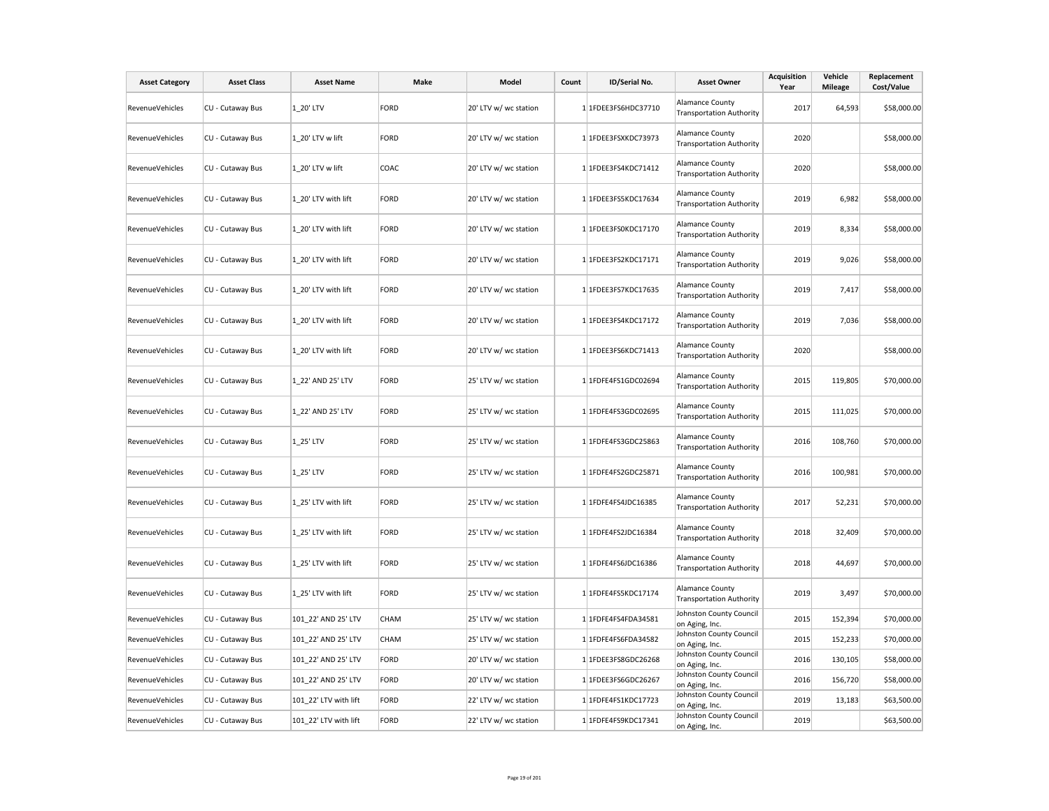| <b>Asset Category</b>  | <b>Asset Class</b> | <b>Asset Name</b>     | Make        | Model                 | Count | ID/Serial No.       | <b>Asset Owner</b>                                        | <b>Acquisition</b><br>Year | Vehicle<br><b>Mileage</b> | Replacement<br>Cost/Value |
|------------------------|--------------------|-----------------------|-------------|-----------------------|-------|---------------------|-----------------------------------------------------------|----------------------------|---------------------------|---------------------------|
| RevenueVehicles        | CU - Cutaway Bus   | 1 20' LTV             | FORD        | 20' LTV w/ wc station |       | 1 1FDEE3FS6HDC37710 | Alamance County<br><b>Transportation Authority</b>        | 2017                       | 64,593                    | \$58,000.00               |
| RevenueVehicles        | CU - Cutaway Bus   | 1 20' LTV w lift      | FORD        | 20' LTV w/ wc station |       | 1 1FDEE3FSXKDC73973 | Alamance County<br><b>Transportation Authority</b>        | 2020                       |                           | \$58,000.00               |
| RevenueVehicles        | CU - Cutaway Bus   | 1 20' LTV w lift      | COAC        | 20' LTV w/ wc station |       | 1 1FDEE3FS4KDC71412 | <b>Alamance County</b><br><b>Transportation Authority</b> | 2020                       |                           | \$58,000.00               |
| RevenueVehicles        | CU - Cutaway Bus   | 1 20' LTV with lift   | FORD        | 20' LTV w/ wc station |       | 1 1FDEE3FS5KDC17634 | <b>Alamance County</b><br><b>Transportation Authority</b> | 2019                       | 6,982                     | \$58,000.00               |
| <b>RevenueVehicles</b> | CU - Cutaway Bus   | 1 20' LTV with lift   | FORD        | 20' LTV w/ wc station |       | 1 1FDEE3FS0KDC17170 | <b>Alamance County</b><br><b>Transportation Authority</b> | 2019                       | 8,334                     | \$58,000.00               |
| <b>RevenueVehicles</b> | CU - Cutaway Bus   | 1 20' LTV with lift   | FORD        | 20' LTV w/ wc station |       | 1 1FDEE3FS2KDC17171 | Alamance County<br><b>Transportation Authority</b>        | 2019                       | 9,026                     | \$58,000.00               |
| RevenueVehicles        | CU - Cutaway Bus   | 1_20' LTV with lift   | FORD        | 20' LTV w/ wc station |       | 1 1FDEE3FS7KDC17635 | Alamance County<br><b>Transportation Authority</b>        | 2019                       | 7,417                     | \$58,000.00               |
| RevenueVehicles        | CU - Cutaway Bus   | 1_20' LTV with lift   | FORD        | 20' LTV w/ wc station |       | 1 1FDEE3FS4KDC17172 | <b>Alamance County</b><br><b>Transportation Authority</b> | 2019                       | 7,036                     | \$58,000.00               |
| RevenueVehicles        | CU - Cutaway Bus   | 1 20' LTV with lift   | FORD        | 20' LTV w/ wc station |       | 1 1FDEE3FS6KDC71413 | Alamance County<br><b>Transportation Authority</b>        | 2020                       |                           | \$58,000.00               |
| RevenueVehicles        | CU - Cutaway Bus   | 1 22' AND 25' LTV     | FORD        | 25' LTV w/ wc station |       | 1 1FDFE4FS1GDC02694 | <b>Alamance County</b><br><b>Transportation Authority</b> | 2015                       | 119,805                   | \$70,000.00               |
| RevenueVehicles        | CU - Cutaway Bus   | 1 22' AND 25' LTV     | FORD        | 25' LTV w/ wc station |       | 1 1FDFE4FS3GDC02695 | <b>Alamance County</b><br><b>Transportation Authority</b> | 2015                       | 111,025                   | \$70,000.00               |
| <b>RevenueVehicles</b> | CU - Cutaway Bus   | 1 25' LTV             | FORD        | 25' LTV w/ wc station |       | 1 1FDFE4FS3GDC25863 | <b>Alamance County</b><br><b>Transportation Authority</b> | 2016                       | 108,760                   | \$70,000.00               |
| RevenueVehicles        | CU - Cutaway Bus   | 1 25' LTV             | FORD        | 25' LTV w/ wc station |       | 1 1FDFE4FS2GDC25871 | <b>Alamance County</b><br><b>Transportation Authority</b> | 2016                       | 100,981                   | \$70,000.00               |
| RevenueVehicles        | CU - Cutaway Bus   | 1 25' LTV with lift   | FORD        | 25' LTV w/ wc station |       | 1 1FDFE4FS4JDC16385 | <b>Alamance County</b><br><b>Transportation Authority</b> | 2017                       | 52,231                    | \$70,000.00               |
| RevenueVehicles        | CU - Cutaway Bus   | 1 25' LTV with lift   | FORD        | 25' LTV w/ wc station |       | 1 1FDFE4FS2JDC16384 | <b>Alamance County</b><br><b>Transportation Authority</b> | 2018                       | 32,409                    | \$70,000.00               |
| RevenueVehicles        | CU - Cutaway Bus   | 1 25' LTV with lift   | FORD        | 25' LTV w/ wc station |       | 1 1FDFE4FS6JDC16386 | <b>Alamance County</b><br><b>Transportation Authority</b> | 2018                       | 44,697                    | \$70,000.00               |
| RevenueVehicles        | CU - Cutaway Bus   | 1 25' LTV with lift   | <b>FORD</b> | 25' LTV w/ wc station |       | 1 1FDFE4FS5KDC17174 | <b>Alamance County</b><br><b>Transportation Authority</b> | 2019                       | 3,497                     | \$70,000.00               |
| RevenueVehicles        | CU - Cutaway Bus   | 101 22' AND 25' LTV   | CHAM        | 25' LTV w/ wc station |       | 1 1FDFE4FS4FDA34581 | Johnston County Council<br>on Aging, Inc.                 | 2015                       | 152,394                   | \$70,000.00               |
| RevenueVehicles        | CU - Cutaway Bus   | 101_22' AND 25' LTV   | CHAM        | 25' LTV w/ wc station |       | 1 1FDFE4FS6FDA34582 | Johnston County Council<br>on Aging, Inc.                 | 2015                       | 152,233                   | \$70,000.00               |
| RevenueVehicles        | CU - Cutaway Bus   | 101_22' AND 25' LTV   | FORD        | 20' LTV w/ wc station |       | 1 1FDEE3FS8GDC26268 | Johnston County Council<br>on Aging, Inc.                 | 2016                       | 130,105                   | \$58,000.00               |
| RevenueVehicles        | CU - Cutaway Bus   | 101_22' AND 25' LTV   | FORD        | 20' LTV w/ wc station |       | 1 1FDEE3FS6GDC26267 | Johnston County Council<br>on Aging, Inc.                 | 2016                       | 156,720                   | \$58,000.00               |
| RevenueVehicles        | CU - Cutaway Bus   | 101 22' LTV with lift | FORD        | 22' LTV w/ wc station |       | 1 1FDFE4FS1KDC17723 | Johnston County Council<br>on Aging, Inc.                 | 2019                       | 13,183                    | \$63,500.00               |
| RevenueVehicles        | CU - Cutaway Bus   | 101 22' LTV with lift | FORD        | 22' LTV w/ wc station |       | 1 1FDFE4FS9KDC17341 | Johnston County Council<br>on Aging, Inc.                 | 2019                       |                           | \$63,500.00               |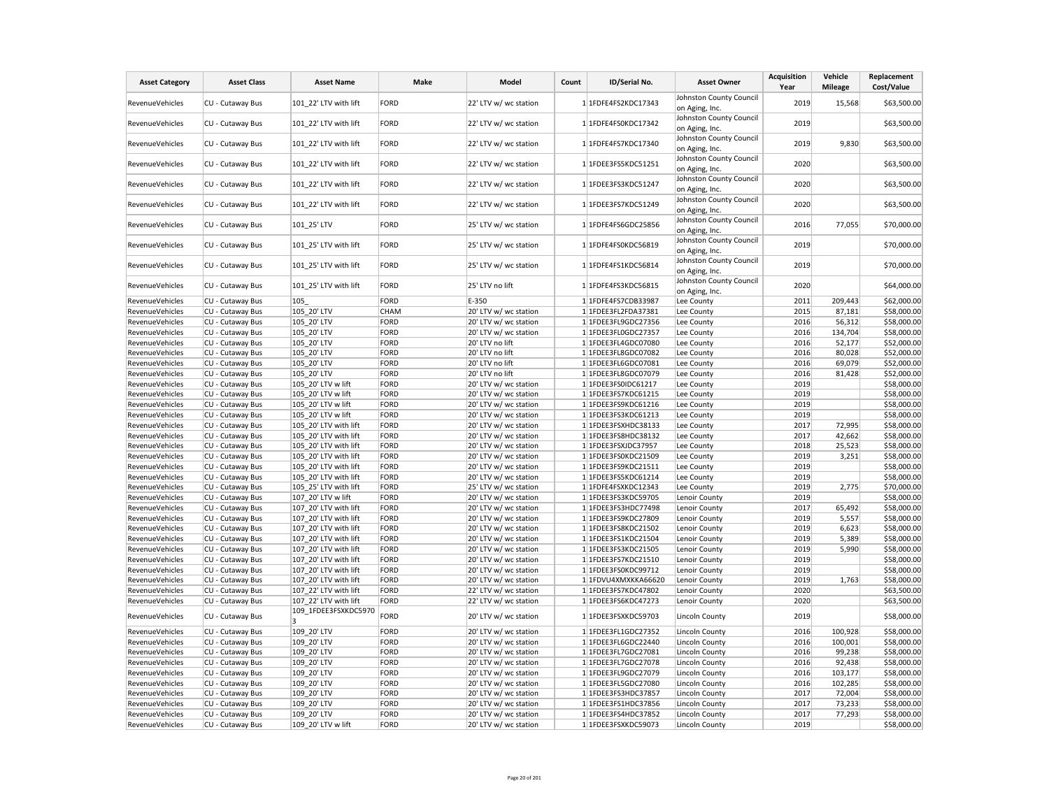| <b>Asset Category</b> | <b>Asset Class</b> | <b>Asset Name</b>     | Make        | Model                 | Count | ID/Serial No.       | <b>Asset Owner</b>                        | <b>Acquisition</b><br>Year | Vehicle<br><b>Mileage</b> | Replacement<br>Cost/Value |
|-----------------------|--------------------|-----------------------|-------------|-----------------------|-------|---------------------|-------------------------------------------|----------------------------|---------------------------|---------------------------|
| RevenueVehicles       | CU - Cutaway Bus   | 101_22' LTV with lift | FORD        | 22' LTV w/ wc station |       | 1 1FDFE4FS2KDC17343 | Johnston County Council<br>on Aging, Inc. | 2019                       | 15,568                    | \$63,500.00               |
| RevenueVehicles       | CU - Cutaway Bus   | 101 22' LTV with lift | FORD        | 22' LTV w/ wc station |       | 1 1FDFE4FS0KDC17342 | Johnston County Council<br>on Aging, Inc. | 2019                       |                           | \$63,500.00               |
| RevenueVehicles       | CU - Cutaway Bus   | 101 22' LTV with lift | FORD        | 22' LTV w/ wc station |       | 1 1FDFE4FS7KDC17340 | Johnston County Council<br>on Aging, Inc. | 2019                       | 9,830                     | \$63,500.00               |
| RevenueVehicles       | CU - Cutaway Bus   | 101 22' LTV with lift | <b>FORD</b> | 22' LTV w/ wc station |       | 1 1FDEE3FS5KDC51251 | Johnston County Council<br>on Aging, Inc. | 2020                       |                           | \$63,500.00               |
| RevenueVehicles       | CU - Cutaway Bus   | 101 22' LTV with lift | FORD        | 22' LTV w/ wc station |       | 1 1FDEE3FS3KDC51247 | Johnston County Council<br>on Aging, Inc. | 2020                       |                           | \$63,500.00               |
| RevenueVehicles       | CU - Cutaway Bus   | 101 22' LTV with lift | FORD        | 22' LTV w/ wc station |       | 1 1FDEE3FS7KDC51249 | Johnston County Council<br>on Aging, Inc. | 2020                       |                           | \$63,500.00               |
| RevenueVehicles       | CU - Cutaway Bus   | 101 25' LTV           | FORD        | 25' LTV w/ wc station |       | 1 1FDFE4FS6GDC25856 | Johnston County Council<br>on Aging, Inc. | 2016                       | 77,055                    | \$70,000.00               |
| RevenueVehicles       | CU - Cutaway Bus   | 101 25' LTV with lift | FORD        | 25' LTV w/ wc station |       | 1 1FDFE4FS0KDC56819 | Johnston County Council<br>on Aging, Inc. | 2019                       |                           | \$70,000.00               |
| RevenueVehicles       | CU - Cutaway Bus   | 101 25' LTV with lift | FORD        | 25' LTV w/ wc station |       | 1 1FDFE4FS1KDC56814 | Johnston County Council<br>on Aging, Inc. | 2019                       |                           | \$70,000.00               |
| RevenueVehicles       | CU - Cutaway Bus   | 101 25' LTV with lift | FORD        | 25' LTV no lift       |       | 1 1FDFE4FS3KDC56815 | Johnston County Council<br>on Aging, Inc. | 2020                       |                           | \$64,000.00               |
| RevenueVehicles       | CU - Cutaway Bus   | 105                   | FORD        | E-350                 |       | 1 1FDFE4FS7CDB33987 | Lee County                                | 2011                       | 209,443                   | \$62,000.00               |
| RevenueVehicles       | CU - Cutaway Bus   | 105_20' LTV           | CHAM        | 20' LTV w/ wc station |       | 1 1FDEE3FL2FDA37381 | Lee County                                | 2015                       | 87,181                    | \$58,000.00               |
| RevenueVehicles       | CU - Cutaway Bus   | 105 20' LTV           | FORD        | 20' LTV w/ wc station |       | 1 1FDEE3FL9GDC27356 | Lee County                                | 2016                       | 56,312                    | \$58,000.00               |
| RevenueVehicles       | CU - Cutaway Bus   | 105 20' LTV           | FORD        | 20' LTV w/ wc station |       | 1 1FDEE3FL0GDC27357 | Lee County                                | 2016                       | 134,704                   | \$58,000.00               |
| RevenueVehicles       | CU - Cutaway Bus   | 105 20' LTV           | FORD        | 20' LTV no lift       |       | 1 1FDEE3FL4GDC07080 | Lee County                                | 2016                       | 52,177                    | \$52,000.00               |
| RevenueVehicles       | CU - Cutaway Bus   | 105 20' LTV           | FORD        | 20' LTV no lift       |       | 1 1FDEE3FL8GDC07082 | Lee County                                | 2016                       | 80,028                    | \$52,000.00               |
| RevenueVehicles       | CU - Cutaway Bus   | 105 20' LTV           | FORD        | 20' LTV no lift       |       | 1 1FDEE3FL6GDC07081 | Lee County                                | 2016                       | 69,079                    | \$52,000.00               |
| RevenueVehicles       | CU - Cutaway Bus   | 105 20' LTV           | FORD        | 20' LTV no lift       |       | 1 1FDEE3FL8GDC07079 | Lee County                                | 2016                       | 81,428                    | \$52,000.00               |
| RevenueVehicles       | CU - Cutaway Bus   | 105 20' LTV w lift    | FORD        | 20' LTV w/ wc station |       | 1 1FDEE3FS0IDC61217 | Lee County                                | 2019                       |                           | \$58,000.00               |
| RevenueVehicles       | CU - Cutaway Bus   | 105 20' LTV w lift    | FORD        | 20' LTV w/ wc station |       | 1 1FDEE3FS7KDC61215 | Lee County                                | 2019                       |                           | \$58,000.00               |
| RevenueVehicles       | CU - Cutaway Bus   | 105 20' LTV w lift    | FORD        | 20' LTV w/ wc station |       | 1 1FDEE3FS9KDC61216 | Lee County                                | 2019                       |                           | \$58,000.00               |
| RevenueVehicles       | CU - Cutaway Bus   | 105 20' LTV w lift    | FORD        | 20' LTV w/ wc station |       | 1 1FDEE3FS3KDC61213 | Lee County                                | 2019                       |                           | \$58,000.00               |
| RevenueVehicles       | CU - Cutaway Bus   | 105 20' LTV with lift | FORD        | 20' LTV w/ wc station |       | 1 1FDEE3FSXHDC38133 | Lee County                                | 2017                       | 72,995                    | \$58,000.00               |
| RevenueVehicles       | CU - Cutaway Bus   | 105 20' LTV with lift | FORD        | 20' LTV w/ wc station |       | 1 1FDEE3FS8HDC38132 | Lee County                                | 2017                       | 42,662                    | \$58,000.00               |
| RevenueVehicles       | CU - Cutaway Bus   | 105 20' LTV with lift | FORD        | 20' LTV w/ wc station |       | 1 1FDEE3FSXJDC37957 | Lee County                                | 2018                       | 25,523                    | \$58,000.00               |
| RevenueVehicles       | CU - Cutaway Bus   | 105_20' LTV with lift | FORD        | 20' LTV w/ wc station |       | 1 1FDEE3FS0KDC21509 | Lee County                                | 2019                       | 3,251                     | \$58,000.00               |
| RevenueVehicles       | CU - Cutaway Bus   | 105 20' LTV with lift | FORD        | 20' LTV w/ wc station |       | 1 1FDEE3FS9KDC21511 | Lee County                                | 2019                       |                           | \$58,000.00               |
| RevenueVehicles       | CU - Cutaway Bus   | 105 20' LTV with lift | FORD        | 20' LTV w/ wc station |       | 1 1FDEE3FS5KDC61214 | Lee County                                | 2019                       |                           | \$58,000.00               |
| RevenueVehicles       | CU - Cutaway Bus   | 105 25' LTV with lift | FORD        | 25' LTV w/ wc station |       | 1 1FDFE4FSXKDC12343 | Lee County                                | 2019                       | 2,775                     | \$70,000.00               |
| RevenueVehicles       | CU - Cutaway Bus   | 107 20' LTV w lift    | FORD        | 20' LTV w/ wc station |       | 1 1FDEE3FS3KDC59705 | Lenoir County                             | 2019                       |                           | \$58,000.00               |
| RevenueVehicles       | CU - Cutaway Bus   | 107 20' LTV with lift | FORD        | 20' LTV w/ wc station |       | 1 1FDEE3FS3HDC77498 | Lenoir County                             | 2017                       | 65,492                    | \$58,000.00               |
| RevenueVehicles       | CU - Cutaway Bus   | 107 20' LTV with lift | FORD        | 20' LTV w/ wc station |       | 1 1FDEE3FS9KDC27809 | Lenoir County                             | 2019                       | 5,557                     | \$58,000.00               |
| RevenueVehicles       | CU - Cutaway Bus   | 107 20' LTV with lift | FORD        | 20' LTV w/ wc station |       | 1 1FDEE3FS8KDC21502 | Lenoir County                             | 2019                       | 6,623                     | \$58,000.00               |
| RevenueVehicles       | CU - Cutaway Bus   | 107 20' LTV with lift | FORD        | 20' LTV w/ wc station |       | 1 1FDEE3FS1KDC21504 | Lenoir County                             | 2019                       | 5,389                     | \$58,000.00               |
| RevenueVehicles       | CU - Cutaway Bus   | 107 20' LTV with lift | FORD        | 20' LTV w/ wc station |       | 1 1FDEE3FS3KDC21505 | Lenoir County                             | 2019                       | 5,990                     | \$58,000.00               |
| RevenueVehicles       | CU - Cutaway Bus   | 107 20' LTV with lift | FORD        | 20' LTV w/ wc station |       | 1 1FDEE3FS7KDC21510 | Lenoir County                             | 2019                       |                           | \$58,000.00               |
| RevenueVehicles       | CU - Cutaway Bus   | 107 20' LTV with lift | FORD        | 20' LTV w/ wc station |       | 1 1FDEE3FS0KDC99712 | Lenoir County                             | 2019                       |                           | \$58,000.00               |
| RevenueVehicles       | CU - Cutaway Bus   | 107 20' LTV with lift | FORD        | 20' LTV w/ wc station |       | 1 1FDVU4XMXKKA66620 | Lenoir County                             | 2019                       | 1,763                     | \$58,000.00               |
| RevenueVehicles       | CU - Cutaway Bus   | 107 22' LTV with lift | FORD        | 22' LTV w/ wc station |       | 1 1FDEE3FS7KDC47802 | Lenoir County                             | 2020                       |                           | \$63,500.00               |
| RevenueVehicles       | CU - Cutaway Bus   | 107 22' LTV with lift | FORD        | 22' LTV w/ wc station |       | 1 1FDEE3FS6KDC47273 | Lenoir County                             | 2020                       |                           | \$63,500.00               |
| RevenueVehicles       | CU - Cutaway Bus   | 109_1FDEE3FSXKDC5970  | FORD        | 20' LTV w/ wc station |       | 1 1FDEE3FSXKDC59703 | <b>Lincoln County</b>                     | 2019                       |                           | \$58,000.00               |
| RevenueVehicles       | CU - Cutaway Bus   | 109_20' LTV           | FORD        | 20' LTV w/ wc station |       | 1 1FDEE3FL1GDC27352 | <b>Lincoln County</b>                     | 2016                       | 100,928                   | \$58,000.00               |
| RevenueVehicles       | CU - Cutaway Bus   | 109 20' LTV           | FORD        | 20' LTV w/ wc station |       | 1 1FDEE3FL6GDC22440 | Lincoln County                            | 2016                       | 100,001                   | \$58,000.00               |
| RevenueVehicles       | CU - Cutaway Bus   | 109 20' LTV           | FORD        | 20' LTV w/ wc station |       | 1 1FDEE3FL7GDC27081 | Lincoln County                            | 2016                       | 99,238                    | \$58,000.00               |
| RevenueVehicles       | CU - Cutaway Bus   | 109_20' LTV           | FORD        | 20' LTV w/ wc station |       | 1 1FDEE3FL7GDC27078 | <b>Lincoln County</b>                     | 2016                       | 92,438                    | \$58,000.00               |
| RevenueVehicles       | CU - Cutaway Bus   | 109 20' LTV           | FORD        | 20' LTV w/ wc station |       | 1 1FDEE3FL9GDC27079 | <b>Lincoln County</b>                     | 2016                       | 103,177                   | \$58,000.00               |
| RevenueVehicles       | CU - Cutaway Bus   | 109 20' LTV           | FORD        | 20' LTV w/ wc station |       | 1 1FDEE3FL5GDC27080 | Lincoln County                            | 2016                       | 102,285                   | \$58,000.00               |
| RevenueVehicles       | CU - Cutaway Bus   | 109_20' LTV           | FORD        | 20' LTV w/ wc station |       | 1 1FDEE3FS3HDC37857 | <b>Lincoln County</b>                     | 2017                       | 72,004                    | \$58,000.00               |
| RevenueVehicles       | CU - Cutaway Bus   | 109 20' LTV           | FORD        | 20' LTV w/ wc station |       | 1 1FDEE3FS1HDC37856 | <b>Lincoln County</b>                     | 2017                       | 73,233                    | \$58,000.00               |
| RevenueVehicles       | CU - Cutaway Bus   | 109 20' LTV           | FORD        | 20' LTV w/ wc station |       | 1 1FDEE3FS4HDC37852 | <b>Lincoln County</b>                     | 2017                       | 77,293                    | \$58,000.00               |
| RevenueVehicles       | CU - Cutaway Bus   | 109 20' LTV w lift    | FORD        | 20' LTV w/ wc station |       | 1 1FDEE3FSXKDC59073 | <b>Lincoln County</b>                     | 2019                       |                           | \$58,000.00               |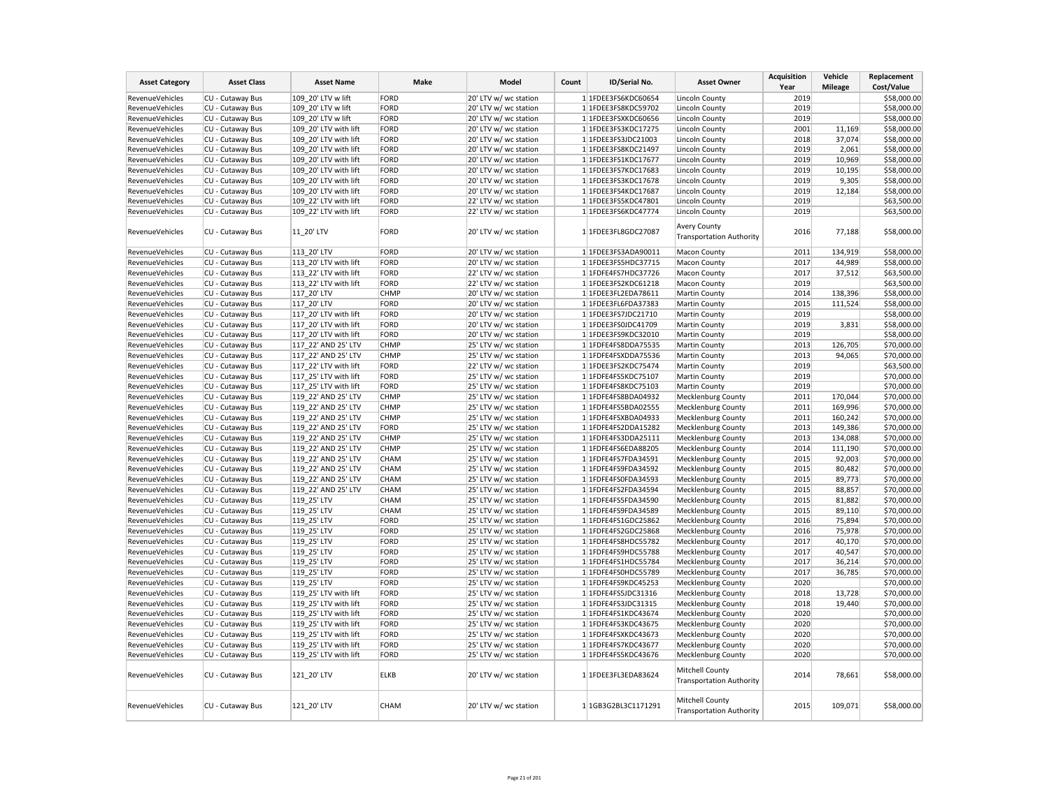| <b>Asset Category</b>              | <b>Asset Class</b>                   | <b>Asset Name</b>                    | Make         | Model                                          | Count | ID/Serial No.                              | <b>Asset Owner</b>                                     | <b>Acquisition</b><br>Year | Vehicle<br><b>Mileage</b> | Replacement<br>Cost/Value  |
|------------------------------------|--------------------------------------|--------------------------------------|--------------|------------------------------------------------|-------|--------------------------------------------|--------------------------------------------------------|----------------------------|---------------------------|----------------------------|
| RevenueVehicles                    | CU - Cutaway Bus                     | 109 20' LTV w lift                   | FORD         | 20' LTV w/ wc station                          |       | 1 1FDEE3FS6KDC60654                        | Lincoln County                                         | 2019                       |                           | \$58,000.00                |
| RevenueVehicles                    | CU - Cutaway Bus                     | 109 20' LTV w lift                   | FORD         | 20' LTV w/ wc station                          |       | 1 1FDEE3FS8KDC59702                        | <b>Lincoln County</b>                                  | 2019                       |                           | \$58,000.00                |
| RevenueVehicles                    | CU - Cutaway Bus                     | 109 20' LTV w lift                   | FORD         | 20' LTV w/ wc station                          |       | 1 1FDEE3FSXKDC60656                        | <b>Lincoln County</b>                                  | 2019                       |                           | \$58,000.00                |
| RevenueVehicles                    | CU - Cutaway Bus                     | 109 20' LTV with lift                | FORD         | 20' LTV w/ wc station                          |       | 1 1FDEE3FS3KDC17275                        | <b>Lincoln County</b>                                  | 2001                       | 11,169                    | \$58,000.00                |
| RevenueVehicles                    | CU - Cutaway Bus                     | 109 20' LTV with lift                | FORD         | 20' LTV w/ wc station                          |       | 1 1FDEE3FS3JDC21003                        | <b>Lincoln County</b>                                  | 2018                       | 37,074                    | \$58,000.00                |
| RevenueVehicles                    | CU - Cutaway Bus                     | 109 20' LTV with lift                | FORD         | 20' LTV w/ wc station                          |       | 1 1FDEE3FS8KDC21497                        | <b>Lincoln County</b>                                  | 2019                       | 2,061                     | \$58,000.00                |
| RevenueVehicles                    | CU - Cutaway Bus                     | 109 20' LTV with lift                | FORD         | 20' LTV w/ wc station                          |       | 1 1FDEE3FS1KDC17677                        | Lincoln County                                         | 2019                       | 10,969                    | \$58,000.00                |
| RevenueVehicles                    | CU - Cutaway Bus                     | 109 20' LTV with lift                | FORD         | 20' LTV w/ wc station                          |       | 1 1FDEE3FS7KDC17683                        | Lincoln County                                         | 2019                       | 10,195                    | \$58,000.00                |
| RevenueVehicles                    | CU - Cutaway Bus                     | 109 20' LTV with lift                | FORD         | 20' LTV w/ wc station                          |       | 1 1FDEE3FS3KDC17678                        | Lincoln County                                         | 2019                       | 9,305                     | \$58,000.00                |
| RevenueVehicles                    | CU - Cutaway Bus                     | 109_20' LTV with lift                | FORD         | 20' LTV w/ wc station                          |       | 1 1FDEE3FS4KDC17687                        | Lincoln County                                         | 2019                       | 12,184                    | \$58,000.00                |
| RevenueVehicles                    | CU - Cutaway Bus                     | 109 22' LTV with lift                | FORD         | 22' LTV w/ wc station                          |       | 1 1FDEE3FS5KDC47801                        | <b>Lincoln County</b>                                  | 2019                       |                           | \$63,500.00                |
| RevenueVehicles                    | CU - Cutaway Bus                     | 109 22' LTV with lift                | FORD         | 22' LTV w/ wc station                          |       | 1 1FDEE3FS6KDC47774                        | <b>Lincoln County</b>                                  | 2019                       |                           | \$63,500.00                |
| RevenueVehicles                    | CU - Cutaway Bus                     | 11 20' LTV                           | FORD         | 20' LTV w/ wc station                          |       | 1 1FDEE3FL8GDC27087                        | <b>Avery County</b><br><b>Transportation Authority</b> | 2016                       | 77,188                    | \$58,000.00                |
| RevenueVehicles                    | CU - Cutaway Bus                     | 113 20' LTV                          | FORD         | 20' LTV w/ wc station                          |       | 1 1FDEE3FS3ADA90011                        | <b>Macon County</b>                                    | 2011                       | 134,919                   | \$58,000.00                |
| RevenueVehicles                    | CU - Cutaway Bus                     | 113 20' LTV with lift                | FORD         | 20' LTV w/ wc station                          |       | 1 1FDEE3FS5HDC37715                        | Macon County                                           | 2017                       | 44,989                    | \$58,000.00                |
| RevenueVehicles                    | CU - Cutaway Bus                     | 113_22' LTV with lift                | FORD         | 22' LTV w/ wc station                          |       | 1 1FDFE4FS7HDC37726                        | Macon County                                           | 2017                       | 37,512                    | \$63,500.00                |
| <b>RevenueVehicles</b>             | CU - Cutaway Bus                     | 113 22' LTV with lift                | FORD         | 22' LTV w/ wc station                          |       | 1 1FDEE3FS2KDC61218                        | <b>Macon County</b>                                    | 2019                       |                           | \$63,500.00                |
| RevenueVehicles                    |                                      | 117 20' LTV                          | <b>CHMP</b>  | 20' LTV w/ wc station                          |       | 1 1FDEE3FL2EDA78611                        | Martin County                                          | 2014                       | 138,396                   |                            |
|                                    | CU - Cutaway Bus                     |                                      |              |                                                |       |                                            |                                                        | 2015                       |                           | \$58,000.00                |
| RevenueVehicles<br>RevenueVehicles | CU - Cutaway Bus<br>CU - Cutaway Bus | 117 20' LTV<br>117 20' LTV with lift | FORD<br>FORD | 20' LTV w/ wc station<br>20' LTV w/ wc station |       | 1 1FDEE3FL6FDA37383<br>1 1FDEE3FS7JDC21710 | <b>Martin County</b><br>Martin County                  | 2019                       | 111,524                   | \$58,000.00<br>\$58,000.00 |
|                                    |                                      |                                      |              |                                                |       |                                            |                                                        | 2019                       |                           |                            |
| RevenueVehicles                    | CU - Cutaway Bus                     | 117 20' LTV with lift                | FORD         | 20' LTV w/ wc station                          |       | 1 1FDEE3FS0JDC41709                        | Martin County                                          |                            | 3,831                     | \$58,000.00                |
| RevenueVehicles                    | CU - Cutaway Bus                     | 117 20' LTV with lift                | FORD         | 20' LTV w/ wc station                          |       | 1 1FDEE3FS9KDC32010                        | Martin County                                          | 2019                       |                           | \$58,000.00                |
| RevenueVehicles                    | CU - Cutaway Bus                     | 117 22' AND 25' LTV                  | <b>CHMP</b>  | 25' LTV w/ wc station                          |       | 1 1FDFE4FS8DDA75535                        | Martin County                                          | 2013                       | 126,705                   | \$70,000.00                |
| RevenueVehicles                    | CU - Cutaway Bus                     | 117 22' AND 25' LTV                  | <b>CHMP</b>  | 25' LTV w/ wc station                          |       | 1 1FDFE4FSXDDA75536                        | Martin County                                          | 2013                       | 94,065                    | \$70,000.00                |
| RevenueVehicles                    | CU - Cutaway Bus                     | 117 22' LTV with lift                | FORD         | 22' LTV w/ wc station                          |       | 1 1FDEE3FS2KDC75474                        | Martin County                                          | 2019                       |                           | \$63,500.00                |
| <b>RevenueVehicles</b>             | CU - Cutaway Bus                     | 117_25' LTV with lift                | FORD         | 25' LTV w/ wc station                          |       | 1 1FDFE4FS5KDC75107                        | Martin County                                          | 2019                       |                           | \$70,000.00                |
| RevenueVehicles                    | CU - Cutaway Bus                     | 117 25' LTV with lift                | <b>FORD</b>  | 25' LTV w/ wc station                          |       | 1 1FDFE4FS8KDC75103                        | Martin County                                          | 2019                       |                           | \$70,000.00                |
| RevenueVehicles                    | CU - Cutaway Bus                     | 119 22' AND 25' LTV                  | <b>CHMP</b>  | 25' LTV w/ wc station                          |       | 1 1FDFE4FS8BDA04932                        | <b>Mecklenburg County</b>                              | 2011                       | 170,044                   | \$70,000.00                |
| RevenueVehicles                    | CU - Cutaway Bus                     | 119 22' AND 25' LTV                  | <b>CHMP</b>  | 25' LTV w/ wc station                          |       | 1 1FDFE4FS5BDA02555                        | Mecklenburg County                                     | 2011                       | 169,996                   | \$70,000.00                |
| RevenueVehicles                    | CU - Cutaway Bus                     | 119 22' AND 25' LTV                  | <b>CHMP</b>  | 25' LTV w/ wc station                          |       | 1 1FDFE4FSXBDA04933                        | <b>Mecklenburg County</b>                              | 2011                       | 160,242                   | \$70,000.00                |
| RevenueVehicles                    | CU - Cutaway Bus                     | 119 22' AND 25' LTV                  | FORD         | 25' LTV w/ wc station                          |       | 1 1FDFE4FS2DDA15282                        | <b>Mecklenburg County</b>                              | 2013                       | 149,386                   | \$70,000.00                |
| RevenueVehicles                    | CU - Cutaway Bus                     | 119 22' AND 25' LTV                  | <b>CHMP</b>  | 25' LTV w/ wc station                          |       | 1 1FDFE4FS3DDA25111                        | <b>Mecklenburg County</b>                              | 2013                       | 134,088                   | \$70,000.00                |
| RevenueVehicles                    | CU - Cutaway Bus                     | 119 22' AND 25' LTV                  | <b>CHMP</b>  | 25' LTV w/ wc station                          |       | 1 1FDFE4FS6EDA88205                        | <b>Mecklenburg County</b>                              | 2014                       | 111,190                   | \$70,000.00                |
| RevenueVehicles                    | CU - Cutaway Bus                     | 119 22' AND 25' LTV                  | CHAM         | 25' LTV w/ wc station                          |       | 1 1FDFE4FS7FDA34591                        | <b>Mecklenburg County</b>                              | 2015                       | 92,003                    | \$70,000.00                |
| RevenueVehicles                    | CU - Cutaway Bus                     | 119 22' AND 25' LTV                  | CHAM         | 25' LTV w/ wc station                          |       | 1 1FDFE4FS9FDA34592                        | <b>Mecklenburg County</b>                              | 2015                       | 80,482                    | \$70,000.00                |
| RevenueVehicles                    | CU - Cutaway Bus                     | 119 22' AND 25' LTV                  | <b>CHAM</b>  | 25' LTV w/ wc station                          |       | 1 1FDFE4FS0FDA34593                        | <b>Mecklenburg County</b>                              | 2015                       | 89,773                    | \$70,000.00                |
| RevenueVehicles                    | CU - Cutaway Bus                     | 119 22' AND 25' LTV                  | CHAM         | 25' LTV w/ wc station                          |       | 1 1FDFE4FS2FDA34594                        | <b>Mecklenburg County</b>                              | 2015                       | 88,857                    | \$70,000.00                |
| RevenueVehicles                    | CU - Cutaway Bus                     | 119 25' LTV                          | <b>CHAM</b>  | 25' LTV w/ wc station                          |       | 1 1FDFE4FS5FDA34590                        | <b>Mecklenburg County</b>                              | 2015                       | 81,882                    | \$70,000.00                |
| RevenueVehicles                    | CU - Cutaway Bus                     | 119 25' LTV                          | CHAM         | 25' LTV w/ wc station                          |       | 1 1FDFE4FS9FDA34589                        | <b>Mecklenburg County</b>                              | 2015                       | 89,110                    | \$70,000.00                |
| RevenueVehicles                    | CU - Cutaway Bus                     | 119 25' LTV                          | FORD         | 25' LTV w/ wc station                          |       | 1 1FDFE4FS1GDC25862                        | <b>Mecklenburg County</b>                              | 2016                       | 75,894                    | \$70,000.00                |
| RevenueVehicles                    | CU - Cutaway Bus                     | 119 25' LTV                          | FORD         | 25' LTV w/ wc station                          |       | 1 1FDFE4FS2GDC25868                        | <b>Mecklenburg County</b>                              | 2016                       | 75,978                    | \$70,000.00                |
| RevenueVehicles                    | CU - Cutaway Bus                     | 119 25' LTV                          | FORD         | 25' LTV w/ wc station                          |       | 1 1FDFE4FS8HDC55782                        | <b>Mecklenburg County</b>                              | 2017                       | 40,170                    | \$70,000.00                |
| RevenueVehicles                    | CU - Cutaway Bus                     | 119 25' LTV                          | FORD         | 25' LTV w/ wc station                          |       | 1 1FDFE4FS9HDC55788                        | <b>Mecklenburg County</b>                              | 2017                       | 40,547                    | \$70,000.00                |
| RevenueVehicles                    | CU - Cutaway Bus                     | 119_25' LTV                          | FORD         | 25' LTV w/ wc station                          |       | 1 1FDFE4FS1HDC55784                        | Mecklenburg County                                     | 2017                       | 36,214                    | \$70,000.00                |
| RevenueVehicles                    | CU - Cutaway Bus                     | 119 25' LTV                          | FORD         | 25' LTV w/ wc station                          |       | 1 1FDFE4FS0HDC55789                        | <b>Mecklenburg County</b>                              | 2017                       | 36,785                    | \$70,000.00                |
| RevenueVehicles                    | CU - Cutaway Bus                     | 119 25' LTV                          | FORD         | 25' LTV w/ wc station                          |       | 1 1FDFE4FS9KDC45253                        | <b>Mecklenburg County</b>                              | 2020                       |                           | \$70,000.00                |
| RevenueVehicles                    | CU - Cutaway Bus                     | 119 25' LTV with lift                | FORD         | 25' LTV w/ wc station                          |       | 1 1FDFE4FS5JDC31316                        | <b>Mecklenburg County</b>                              | 2018                       | 13,728                    | \$70,000.00                |
| RevenueVehicles                    | CU - Cutaway Bus                     | 119 25' LTV with lift                | FORD         | 25' LTV w/ wc station                          |       | 1 1FDFE4FS3JDC31315                        | <b>Mecklenburg County</b>                              | 2018                       | 19,440                    | \$70,000.00                |
| RevenueVehicles                    | CU - Cutaway Bus                     | 119 25' LTV with lift                | FORD         | 25' LTV w/ wc station                          |       | 1 1FDFE4FS1KDC43674                        | Mecklenburg County                                     | 2020                       |                           | \$70,000.00                |
| RevenueVehicles                    | CU - Cutaway Bus                     | 119 25' LTV with lift                | FORD         | 25' LTV w/ wc station                          |       | 1 1FDFE4FS3KDC43675                        | <b>Mecklenburg County</b>                              | 2020                       |                           | \$70,000.00                |
| RevenueVehicles                    | CU - Cutaway Bus                     | 119 25' LTV with lift                | FORD         | 25' LTV w/ wc station                          |       | 1 1FDFE4FSXKDC43673                        | <b>Mecklenburg County</b>                              | 2020                       |                           | \$70,000.00                |
| RevenueVehicles                    | CU - Cutaway Bus                     | 119 25' LTV with lift                | FORD         | 25' LTV w/ wc station                          |       | 1 1FDFE4FS7KDC43677                        | <b>Mecklenburg County</b>                              | 2020                       |                           | \$70,000.00                |
| RevenueVehicles                    | CU - Cutaway Bus                     | 119 25' LTV with lift                | FORD         | 25' LTV w/ wc station                          |       | 1 1FDFE4FS5KDC43676                        | Mecklenburg County                                     | 2020                       |                           | \$70,000.00                |
| RevenueVehicles                    | CU - Cutaway Bus                     | 121 20' LTV                          | <b>ELKB</b>  | 20' LTV w/ wc station                          |       | 1 1FDEE3FL3EDA83624                        | Mitchell County<br><b>Transportation Authority</b>     | 2014                       | 78,661                    | \$58,000.00                |
| RevenueVehicles                    | CU - Cutaway Bus                     | 121 20' LTV                          | <b>CHAM</b>  | 20' LTV w/ wc station                          |       | 1 1GB3G2BL3C1171291                        | Mitchell County<br><b>Transportation Authority</b>     | 2015                       | 109,071                   | \$58,000.00                |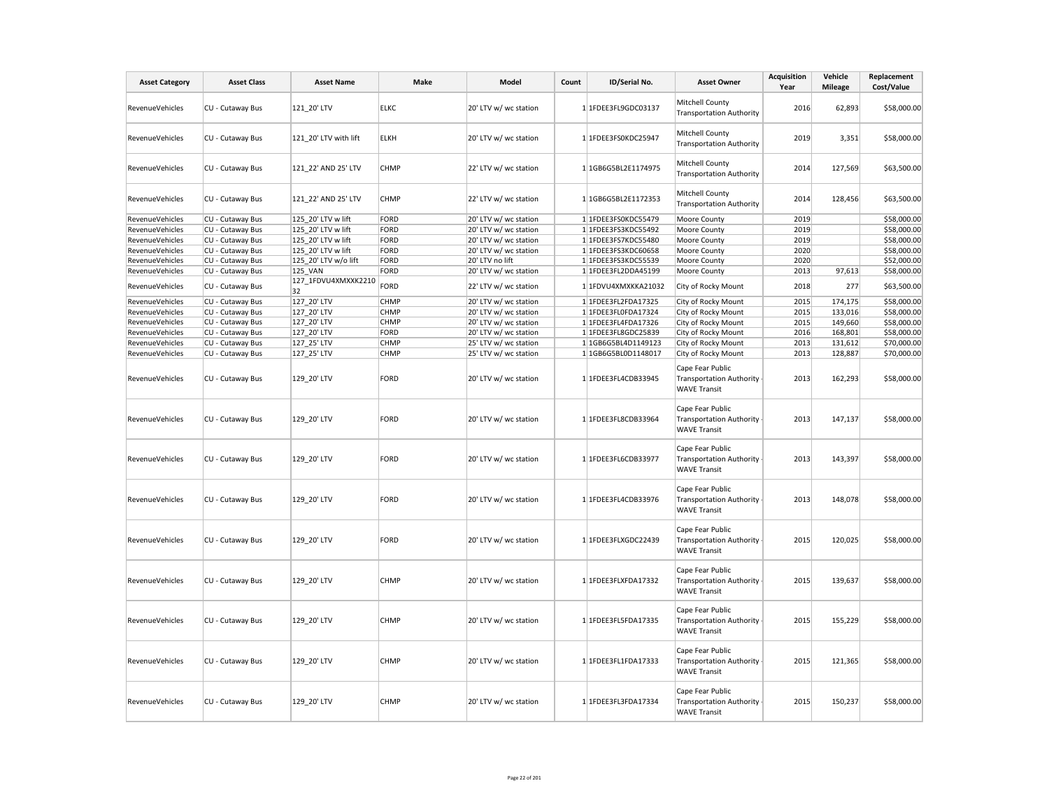| <b>Asset Category</b>  | <b>Asset Class</b> | <b>Asset Name</b>         | Make        | Model                 | Count | ID/Serial No.       | <b>Asset Owner</b>                                                         | <b>Acquisition</b><br>Year | Vehicle<br><b>Mileage</b> | Replacement<br>Cost/Value |
|------------------------|--------------------|---------------------------|-------------|-----------------------|-------|---------------------|----------------------------------------------------------------------------|----------------------------|---------------------------|---------------------------|
| RevenueVehicles        | CU - Cutaway Bus   | 121_20' LTV               | <b>ELKC</b> | 20' LTV w/ wc station |       | 1 1FDEE3FL9GDC03137 | Mitchell County<br><b>Transportation Authority</b>                         | 2016                       | 62,893                    | \$58,000.00               |
| RevenueVehicles        | CU - Cutaway Bus   | 121 20' LTV with lift     | <b>ELKH</b> | 20' LTV w/ wc station |       | 1 1FDEE3FS0KDC25947 | Mitchell County<br><b>Transportation Authority</b>                         | 2019                       | 3,351                     | \$58,000.00               |
| RevenueVehicles        | CU - Cutaway Bus   | 121 22' AND 25' LTV       | <b>CHMP</b> | 22' LTV w/ wc station |       | 1 1GB6G5BL2E1174975 | Mitchell County<br><b>Transportation Authority</b>                         | 2014                       | 127,569                   | \$63,500.00               |
| RevenueVehicles        | CU - Cutaway Bus   | 121 22' AND 25' LTV       | <b>CHMP</b> | 22' LTV w/ wc station |       | 1 1GB6G5BL2E1172353 | Mitchell County<br><b>Transportation Authority</b>                         | 2014                       | 128,456                   | \$63,500.00               |
| RevenueVehicles        | CU - Cutaway Bus   | 125 20' LTV w lift        | FORD        | 20' LTV w/ wc station |       | 1 1FDEE3FS0KDC55479 | Moore County                                                               | 2019                       |                           | \$58,000.00               |
| RevenueVehicles        | CU - Cutaway Bus   | 125_20' LTV w lift        | FORD        | 20' LTV w/ wc station |       | 1 1FDEE3FS3KDC55492 | Moore County                                                               | 2019                       |                           | \$58,000.00               |
| <b>RevenueVehicles</b> | CU - Cutaway Bus   | 125 20' LTV w lift        | FORD        | 20' LTV w/ wc station |       | 1 1FDEE3FS7KDC55480 | Moore County                                                               | 2019                       |                           | \$58,000.00               |
| RevenueVehicles        | CU - Cutaway Bus   | 125 20' LTV w lift        | FORD        | 20' LTV w/ wc station |       | 1 1FDEE3FS3KDC60658 | Moore County                                                               | 2020                       |                           | \$58,000.00               |
| RevenueVehicles        | CU - Cutaway Bus   | 125 20' LTV w/o lift      | FORD        | 20' LTV no lift       |       | 1 1FDEE3FS3KDC55539 | Moore County                                                               | 2020                       |                           | \$52,000.00               |
| RevenueVehicles        | CU - Cutaway Bus   | 125_VAN                   | FORD        | 20' LTV w/ wc station |       | 1 1FDEE3FL2DDA45199 | Moore County                                                               | 2013                       | 97,613                    | \$58,000.00               |
| RevenueVehicles        | CU - Cutaway Bus   | 127 1FDVU4XMXXK2210<br>32 | FORD        | 22' LTV w/ wc station |       | 1 1FDVU4XMXKKA21032 | City of Rocky Mount                                                        | 2018                       | 277                       | \$63,500.00               |
| RevenueVehicles        | CU - Cutaway Bus   | 127 20' LTV               | <b>CHMP</b> | 20' LTV w/ wc station |       | 1 1FDEE3FL2FDA17325 | City of Rocky Mount                                                        | 2015                       | 174,175                   | \$58,000.00               |
| RevenueVehicles        | CU - Cutaway Bus   | 127_20' LTV               | CHMP        | 20' LTV w/ wc station |       | 1 1FDEE3FL0FDA17324 | City of Rocky Mount                                                        | 2015                       | 133,016                   | \$58,000.00               |
| <b>RevenueVehicles</b> | CU - Cutaway Bus   | 127_20' LTV               | CHMP        | 20' LTV w/ wc station |       | 1 1FDEE3FL4FDA17326 | City of Rocky Mount                                                        | 2015                       | 149,660                   | \$58,000.00               |
| RevenueVehicles        | CU - Cutaway Bus   | 127 20' LTV               | FORD        | 20' LTV w/ wc station |       | 1 1FDEE3FL8GDC25839 | City of Rocky Mount                                                        | 2016                       | 168,801                   | \$58,000.00               |
| RevenueVehicles        | CU - Cutaway Bus   | 127_25' LTV               | <b>CHMP</b> | 25' LTV w/ wc station |       | 1 1GB6G5BL4D1149123 | City of Rocky Mount                                                        | 2013                       | 131,612                   | \$70,000.00               |
| RevenueVehicles        | CU - Cutaway Bus   | 127_25' LTV               | <b>CHMP</b> | 25' LTV w/ wc station |       | 1 1GB6G5BL0D1148017 | City of Rocky Mount                                                        | 2013                       | 128,887                   | \$70,000.00               |
| RevenueVehicles        | CU - Cutaway Bus   | 129 20' LTV               | FORD        | 20' LTV w/ wc station |       | 1 1FDEE3FL4CDB33945 | Cape Fear Public<br><b>Transportation Authority</b><br><b>WAVE Transit</b> | 2013                       | 162,293                   | \$58,000.00               |
| RevenueVehicles        | CU - Cutaway Bus   | 129 20' LTV               | FORD        | 20' LTV w/ wc station |       | 1 1FDEE3FL8CDB33964 | Cape Fear Public<br>Transportation Authority .<br><b>WAVE Transit</b>      | 2013                       | 147,137                   | \$58,000.00               |
| RevenueVehicles        | CU - Cutaway Bus   | 129 20' LTV               | FORD        | 20' LTV w/ wc station |       | 1 1FDEE3FL6CDB33977 | Cape Fear Public<br>Transportation Authority .<br><b>WAVE Transit</b>      | 2013                       | 143,397                   | \$58,000.00               |
| RevenueVehicles        | CU - Cutaway Bus   | 129 20' LTV               | FORD        | 20' LTV w/ wc station |       | 1 1FDEE3FL4CDB33976 | Cape Fear Public<br><b>Transportation Authority</b><br><b>WAVE Transit</b> | 2013                       | 148,078                   | \$58,000.00               |
| RevenueVehicles        | CU - Cutaway Bus   | 129 20' LTV               | FORD        | 20' LTV w/ wc station |       | 1 1FDEE3FLXGDC22439 | Cape Fear Public<br>Transportation Authority<br><b>WAVE Transit</b>        | 2015                       | 120,025                   | \$58,000.00               |
| RevenueVehicles        | CU - Cutaway Bus   | 129_20' LTV               | <b>CHMP</b> | 20' LTV w/ wc station |       | 1 1FDEE3FLXFDA17332 | Cape Fear Public<br>Transportation Authority<br><b>WAVE Transit</b>        | 2015                       | 139,637                   | \$58,000.00               |
| RevenueVehicles        | CU - Cutaway Bus   | 129 20' LTV               | CHMP        | 20' LTV w/ wc station |       | 1 1FDEE3FL5FDA17335 | Cape Fear Public<br><b>Transportation Authority</b><br><b>WAVE Transit</b> | 2015                       | 155,229                   | \$58,000.00               |
| RevenueVehicles        | CU - Cutaway Bus   | 129 20' LTV               | <b>CHMP</b> | 20' LTV w/ wc station |       | 1 1FDEE3FL1FDA17333 | Cape Fear Public<br>Transportation Authority<br><b>WAVE Transit</b>        | 2015                       | 121,365                   | \$58,000.00               |
| RevenueVehicles        | CU - Cutaway Bus   | 129_20' LTV               | CHMP        | 20' LTV w/ wc station |       | 1 1FDEE3FL3FDA17334 | Cape Fear Public<br>Transportation Authority -<br><b>WAVE Transit</b>      | 2015                       | 150,237                   | \$58,000.00               |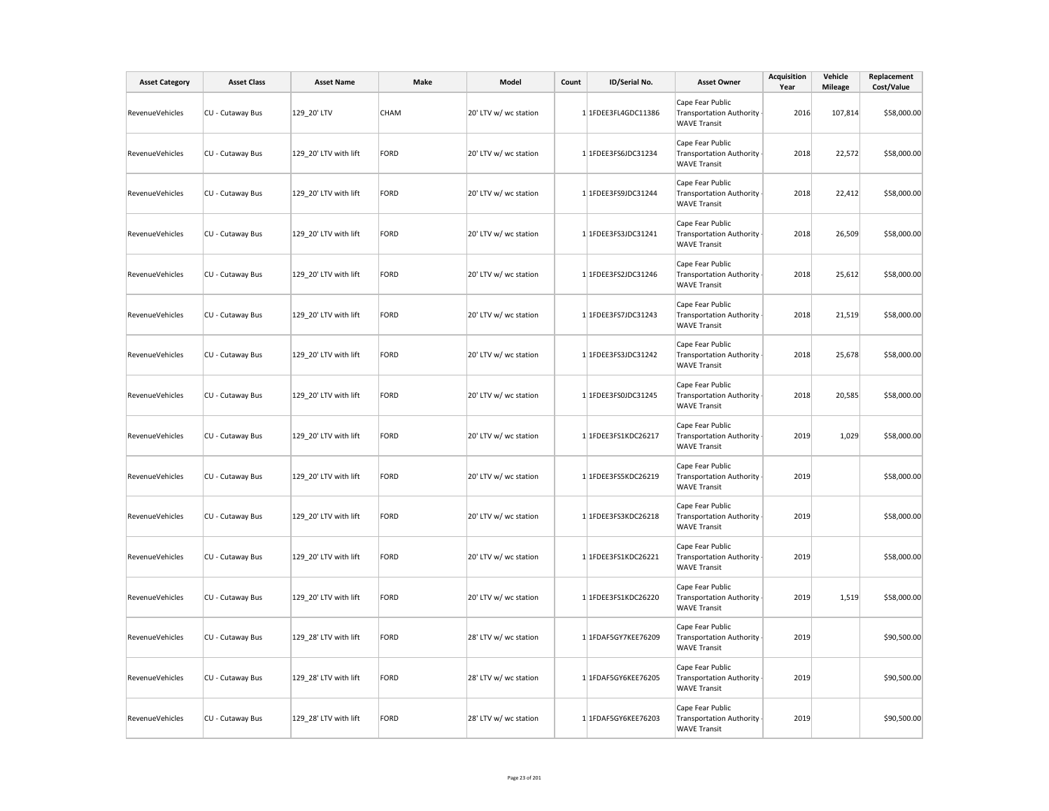| <b>Asset Category</b>  | <b>Asset Class</b> | <b>Asset Name</b>     | Make        | Model                 | Count | ID/Serial No.       | <b>Asset Owner</b>                                                         | <b>Acquisition</b><br>Year | Vehicle<br><b>Mileage</b> | Replacement<br>Cost/Value |
|------------------------|--------------------|-----------------------|-------------|-----------------------|-------|---------------------|----------------------------------------------------------------------------|----------------------------|---------------------------|---------------------------|
| RevenueVehicles        | CU - Cutaway Bus   | 129 20' LTV           | <b>CHAM</b> | 20' LTV w/ wc station |       | 1 1FDEE3FL4GDC11386 | Cape Fear Public<br><b>Transportation Authority</b><br><b>WAVE Transit</b> | 2016                       | 107,814                   | \$58,000.00               |
| <b>RevenueVehicles</b> | CU - Cutaway Bus   | 129 20' LTV with lift | FORD        | 20' LTV w/ wc station |       | 1 1FDEE3FS6JDC31234 | Cape Fear Public<br><b>Transportation Authority</b><br><b>WAVE Transit</b> | 2018                       | 22,572                    | \$58,000.00               |
| RevenueVehicles        | CU - Cutaway Bus   | 129_20' LTV with lift | FORD        | 20' LTV w/ wc station |       | 1 1FDEE3FS9JDC31244 | Cape Fear Public<br><b>Transportation Authority</b><br><b>WAVE Transit</b> | 2018                       | 22,412                    | \$58,000.00               |
| RevenueVehicles        | CU - Cutaway Bus   | 129_20' LTV with lift | FORD        | 20' LTV w/ wc station |       | 1 1FDEE3FS3JDC31241 | Cape Fear Public<br><b>Transportation Authority</b><br><b>WAVE Transit</b> | 2018                       | 26,509                    | \$58,000.00               |
| RevenueVehicles        | CU - Cutaway Bus   | 129_20' LTV with lift | FORD        | 20' LTV w/ wc station |       | 1 1FDEE3FS2JDC31246 | Cape Fear Public<br><b>Transportation Authority</b><br><b>WAVE Transit</b> | 2018                       | 25,612                    | \$58,000.00               |
| RevenueVehicles        | CU - Cutaway Bus   | 129 20' LTV with lift | FORD        | 20' LTV w/ wc station |       | 1 1FDEE3FS7JDC31243 | Cape Fear Public<br><b>Transportation Authority</b><br><b>WAVE Transit</b> | 2018                       | 21,519                    | \$58,000.00               |
| <b>RevenueVehicles</b> | CU - Cutaway Bus   | 129_20' LTV with lift | FORD        | 20' LTV w/ wc station |       | 1 1FDEE3FS3JDC31242 | Cape Fear Public<br><b>Transportation Authority</b><br><b>WAVE Transit</b> | 2018                       | 25,678                    | \$58,000.00               |
| RevenueVehicles        | CU - Cutaway Bus   | 129_20' LTV with lift | FORD        | 20' LTV w/ wc station |       | 1 1FDEE3FS0JDC31245 | Cape Fear Public<br><b>Transportation Authority</b><br><b>WAVE Transit</b> | 2018                       | 20,585                    | \$58,000.00               |
| RevenueVehicles        | CU - Cutaway Bus   | 129 20' LTV with lift | FORD        | 20' LTV w/ wc station |       | 1 1FDEE3FS1KDC26217 | Cape Fear Public<br><b>Transportation Authority</b><br><b>WAVE Transit</b> | 2019                       | 1,029                     | \$58,000.00               |
| RevenueVehicles        | CU - Cutaway Bus   | 129_20' LTV with lift | FORD        | 20' LTV w/ wc station |       | 1 1FDEE3FS5KDC26219 | Cape Fear Public<br><b>Transportation Authority</b><br><b>WAVE Transit</b> | 2019                       |                           | \$58,000.00               |
| RevenueVehicles        | CU - Cutaway Bus   | 129 20' LTV with lift | FORD        | 20' LTV w/ wc station |       | 1 1FDEE3FS3KDC26218 | Cape Fear Public<br><b>Transportation Authority</b><br><b>WAVE Transit</b> | 2019                       |                           | \$58,000.00               |
| RevenueVehicles        | CU - Cutaway Bus   | 129_20' LTV with lift | FORD        | 20' LTV w/ wc station |       | 1 1FDEE3FS1KDC26221 | Cape Fear Public<br><b>Transportation Authority</b><br><b>WAVE Transit</b> | 2019                       |                           | \$58,000.00               |
| RevenueVehicles        | CU - Cutaway Bus   | 129_20' LTV with lift | FORD        | 20' LTV w/ wc station |       | 1 1FDEE3FS1KDC26220 | Cape Fear Public<br><b>Transportation Authority</b><br><b>WAVE Transit</b> | 2019                       | 1,519                     | \$58,000.00               |
| RevenueVehicles        | CU - Cutaway Bus   | 129 28' LTV with lift | FORD        | 28' LTV w/ wc station |       | 1 1FDAF5GY7KEE76209 | Cape Fear Public<br>Transportation Authority -<br><b>WAVE Transit</b>      | 2019                       |                           | \$90,500.00               |
| RevenueVehicles        | CU - Cutaway Bus   | 129_28' LTV with lift | FORD        | 28' LTV w/ wc station |       | 1 1FDAF5GY6KEE76205 | Cape Fear Public<br><b>Transportation Authority</b><br><b>WAVE Transit</b> | 2019                       |                           | \$90,500.00               |
| RevenueVehicles        | CU - Cutaway Bus   | 129 28' LTV with lift | FORD        | 28' LTV w/ wc station |       | 1 1FDAF5GY6KEE76203 | Cape Fear Public<br><b>Transportation Authority</b><br><b>WAVE Transit</b> | 2019                       |                           | \$90,500.00               |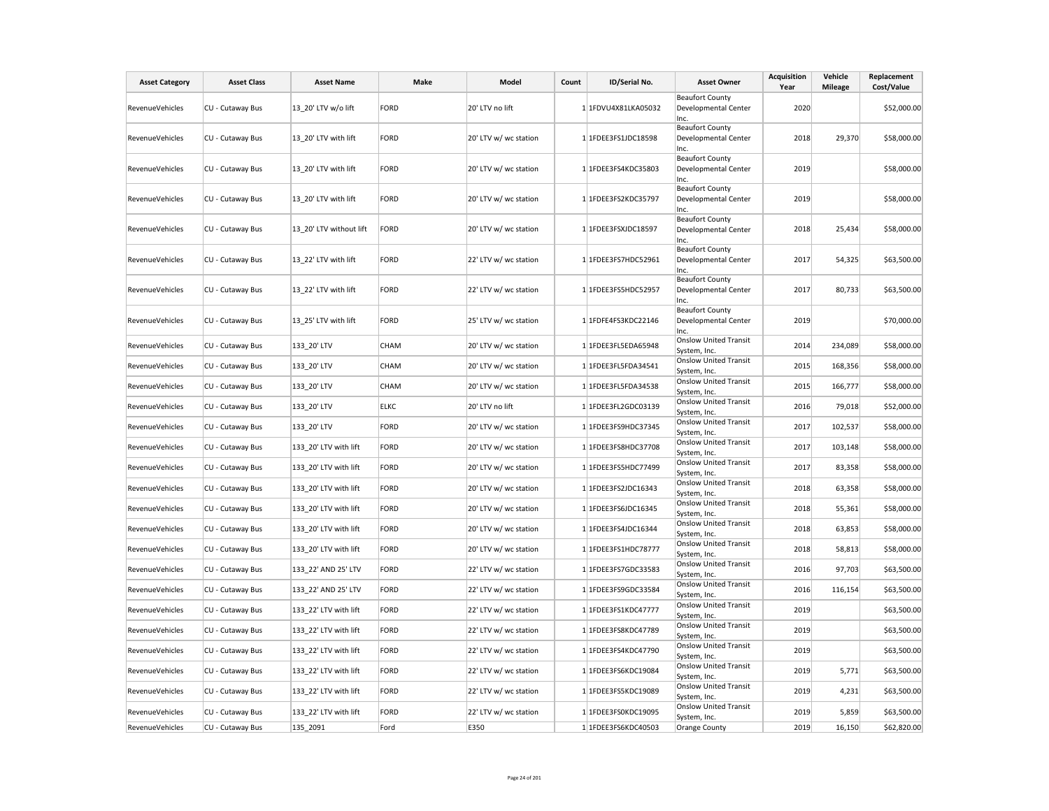| <b>Asset Category</b>  | <b>Asset Class</b> | <b>Asset Name</b>       | Make        | Model                 | Count | ID/Serial No.       | <b>Asset Owner</b>                                     | <b>Acquisition</b><br>Year | Vehicle<br>Mileage | Replacement<br>Cost/Value |
|------------------------|--------------------|-------------------------|-------------|-----------------------|-------|---------------------|--------------------------------------------------------|----------------------------|--------------------|---------------------------|
| <b>RevenueVehicles</b> | CU - Cutaway Bus   | 13 20' LTV w/o lift     | <b>FORD</b> | 20' LTV no lift       |       | 1 1FDVU4X81LKA05032 | <b>Beaufort County</b><br>Developmental Center<br>Inc. | 2020                       |                    | \$52,000.00               |
| RevenueVehicles        | CU - Cutaway Bus   | 13 20' LTV with lift    | <b>FORD</b> | 20' LTV w/ wc station |       | 1 1FDEE3FS1JDC18598 | <b>Beaufort County</b><br>Developmental Center<br>Inc. | 2018                       | 29,370             | \$58,000.00               |
| RevenueVehicles        | CU - Cutaway Bus   | 13 20' LTV with lift    | <b>FORD</b> | 20' LTV w/ wc station |       | 1 1FDEE3FS4KDC35803 | <b>Beaufort County</b><br>Developmental Center<br>Inc. | 2019                       |                    | \$58,000.00               |
| RevenueVehicles        | CU - Cutaway Bus   | 13 20' LTV with lift    | <b>FORD</b> | 20' LTV w/ wc station |       | 1 1FDEE3FS2KDC35797 | <b>Beaufort County</b><br>Developmental Center<br>Inc. | 2019                       |                    | \$58,000.00               |
| RevenueVehicles        | CU - Cutaway Bus   | 13 20' LTV without lift | FORD        | 20' LTV w/ wc station |       | 1 1FDEE3FSXJDC18597 | <b>Beaufort County</b><br>Developmental Center<br>Inc. | 2018                       | 25,434             | \$58,000.00               |
| RevenueVehicles        | CU - Cutaway Bus   | 13 22' LTV with lift    | <b>FORD</b> | 22' LTV w/ wc station |       | 1 1FDEE3FS7HDC52961 | <b>Beaufort County</b><br>Developmental Center<br>Inc. | 2017                       | 54,325             | \$63,500.00               |
| RevenueVehicles        | CU - Cutaway Bus   | 13 22' LTV with lift    | <b>FORD</b> | 22' LTV w/ wc station |       | 1 1FDEE3FS5HDC52957 | <b>Beaufort County</b><br>Developmental Center<br>Inc. | 2017                       | 80,733             | \$63,500.00               |
| <b>RevenueVehicles</b> | CU - Cutaway Bus   | 13 25' LTV with lift    | <b>FORD</b> | 25' LTV w/ wc station |       | 1 1FDFE4FS3KDC22146 | <b>Beaufort County</b><br>Developmental Center<br>Inc. | 2019                       |                    | \$70,000.00               |
| <b>RevenueVehicles</b> | CU - Cutaway Bus   | 133 20' LTV             | CHAM        | 20' LTV w/ wc station |       | 1 1FDEE3FL5EDA65948 | <b>Onslow United Transit</b><br>System, Inc.           | 2014                       | 234,089            | \$58,000.00               |
| <b>RevenueVehicles</b> | CU - Cutaway Bus   | 133 20' LTV             | CHAM        | 20' LTV w/ wc station |       | 1 1FDEE3FL5FDA34541 | <b>Onslow United Transit</b><br>System, Inc.           | 2015                       | 168,356            | \$58,000.00               |
| RevenueVehicles        | CU - Cutaway Bus   | 133 20' LTV             | CHAM        | 20' LTV w/ wc station |       | 1 1FDEE3FL5FDA34538 | <b>Onslow United Transit</b><br>System, Inc.           | 2015                       | 166,777            | \$58,000.00               |
| RevenueVehicles        | CU - Cutaway Bus   | 133 20' LTV             | <b>ELKC</b> | 20' LTV no lift       |       | 1 1FDEE3FL2GDC03139 | <b>Onslow United Transit</b><br>System, Inc.           | 2016                       | 79,018             | \$52,000.00               |
| <b>RevenueVehicles</b> | CU - Cutaway Bus   | 133 20' LTV             | <b>FORD</b> | 20' LTV w/ wc station |       | 1 1FDEE3FS9HDC37345 | <b>Onslow United Transit</b><br>System, Inc.           | 2017                       | 102,537            | \$58,000.00               |
| RevenueVehicles        | CU - Cutaway Bus   | 133 20' LTV with lift   | <b>FORD</b> | 20' LTV w/ wc station |       | 1 1FDEE3FS8HDC37708 | <b>Onslow United Transit</b><br>System, Inc.           | 2017                       | 103,148            | \$58,000.00               |
| RevenueVehicles        | CU - Cutaway Bus   | 133 20' LTV with lift   | <b>FORD</b> | 20' LTV w/ wc station |       | 1 1FDEE3FS5HDC77499 | <b>Onslow United Transit</b><br>System, Inc.           | 2017                       | 83,358             | \$58,000.00               |
| RevenueVehicles        | CU - Cutaway Bus   | 133 20' LTV with lift   | <b>FORD</b> | 20' LTV w/ wc station |       | 1 1FDEE3FS2JDC16343 | <b>Onslow United Transit</b><br>System, Inc.           | 2018                       | 63,358             | \$58,000.00               |
| RevenueVehicles        | CU - Cutaway Bus   | 133_20' LTV with lift   | <b>FORD</b> | 20' LTV w/ wc station |       | 1 1FDEE3FS6JDC16345 | <b>Onslow United Transit</b><br>System, Inc.           | 2018                       | 55,361             | \$58,000.00               |
| RevenueVehicles        | CU - Cutaway Bus   | 133_20' LTV with lift   | <b>FORD</b> | 20' LTV w/ wc station |       | 1 1FDEE3FS4JDC16344 | <b>Onslow United Transit</b><br>System, Inc.           | 2018                       | 63,853             | \$58,000.00               |
| <b>RevenueVehicles</b> | CU - Cutaway Bus   | 133_20' LTV with lift   | <b>FORD</b> | 20' LTV w/ wc station |       | 1 1FDEE3FS1HDC78777 | <b>Onslow United Transit</b><br>System, Inc.           | 2018                       | 58,813             | \$58,000.00               |
| RevenueVehicles        | CU - Cutaway Bus   | 133_22' AND 25' LTV     | <b>FORD</b> | 22' LTV w/ wc station |       | 1 1FDEE3FS7GDC33583 | <b>Onslow United Transit</b><br>System, Inc.           | 2016                       | 97,703             | \$63,500.00               |
| RevenueVehicles        | CU - Cutaway Bus   | 133 22' AND 25' LTV     | <b>FORD</b> | 22' LTV w/ wc station |       | 1 1FDEE3FS9GDC33584 | <b>Onslow United Transit</b><br>System, Inc.           | 2016                       | 116,154            | \$63,500.00               |
| RevenueVehicles        | CU - Cutaway Bus   | 133 22' LTV with lift   | <b>FORD</b> | 22' LTV w/ wc station |       | 1 1FDEE3FS1KDC47777 | <b>Onslow United Transit</b><br>System, Inc.           | 2019                       |                    | \$63,500.00               |
| RevenueVehicles        | CU - Cutaway Bus   | 133_22' LTV with lift   | <b>FORD</b> | 22' LTV w/ wc station |       | 1 1FDEE3FS8KDC47789 | <b>Onslow United Transit</b><br>System, Inc.           | 2019                       |                    | \$63,500.00               |
| <b>RevenueVehicles</b> | CU - Cutaway Bus   | 133 22' LTV with lift   | <b>FORD</b> | 22' LTV w/ wc station |       | 1 1FDEE3FS4KDC47790 | <b>Onslow United Transit</b><br>System, Inc.           | 2019                       |                    | \$63,500.00               |
| <b>RevenueVehicles</b> | CU - Cutaway Bus   | 133 22' LTV with lift   | <b>FORD</b> | 22' LTV w/ wc station |       | 1 1FDEE3FS6KDC19084 | <b>Onslow United Transit</b><br>System, Inc.           | 2019                       | 5,771              | \$63,500.00               |
| <b>RevenueVehicles</b> | CU - Cutaway Bus   | 133 22' LTV with lift   | <b>FORD</b> | 22' LTV w/ wc station |       | 1 1FDEE3FS5KDC19089 | <b>Onslow United Transit</b><br>System, Inc.           | 2019                       | 4,231              | \$63,500.00               |
| RevenueVehicles        | CU - Cutaway Bus   | 133 22' LTV with lift   | <b>FORD</b> | 22' LTV w/ wc station |       | 1 1FDEE3FS0KDC19095 | <b>Onslow United Transit</b><br>System, Inc.           | 2019                       | 5,859              | \$63,500.00               |
| RevenueVehicles        | CU - Cutaway Bus   | 135 2091                | Ford        | E350                  |       | 1 1FDEE3FS6KDC40503 | Orange County                                          | 2019                       | 16,150             | \$62,820.00               |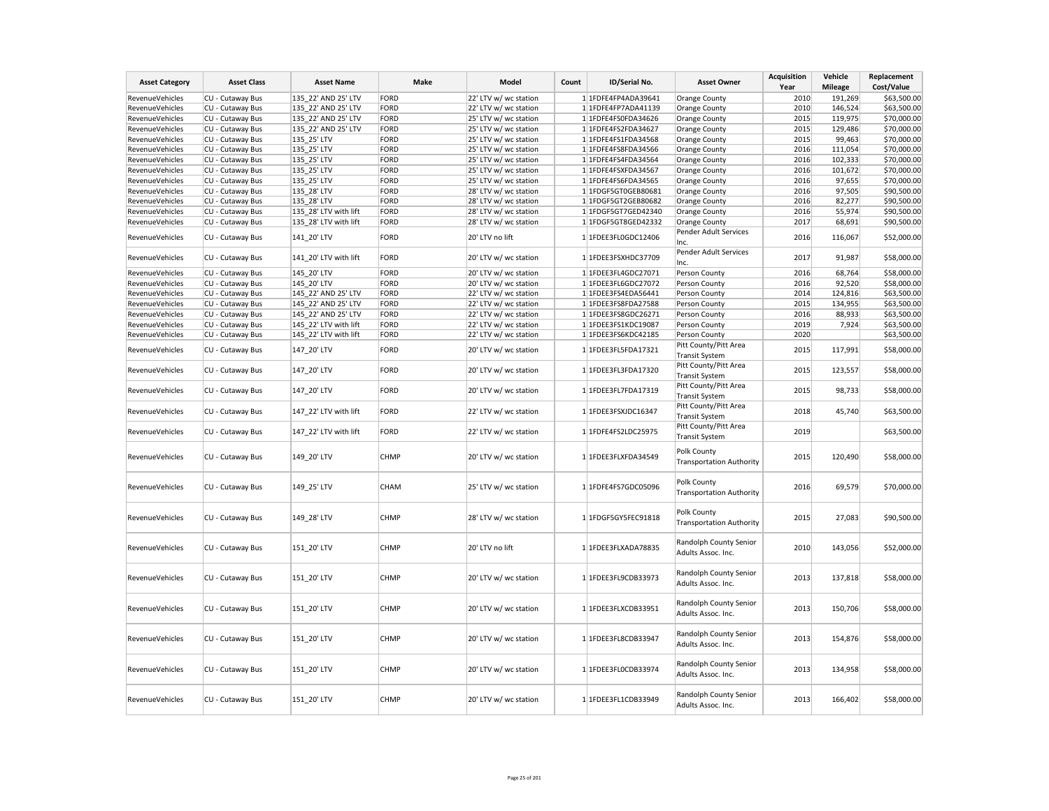| <b>Asset Category</b>  | <b>Asset Class</b> | <b>Asset Name</b>     | Make        | Model                 | Count | ID/Serial No.       | <b>Asset Owner</b>                             | Acquisition<br>Year | Vehicle<br>Mileage | Replacement<br>Cost/Value |
|------------------------|--------------------|-----------------------|-------------|-----------------------|-------|---------------------|------------------------------------------------|---------------------|--------------------|---------------------------|
|                        |                    | 135 22' AND 25' LTV   |             |                       |       | 1 1FDFE4FP4ADA39641 |                                                | 2010                |                    |                           |
| RevenueVehicles        | CU - Cutaway Bus   |                       | FORD        | 22' LTV w/ wc station |       |                     | Orange County                                  |                     | 191,269            | \$63,500.00               |
| <b>RevenueVehicles</b> | CU - Cutaway Bus   | 135 22' AND 25' LTV   | FORD        | 22' LTV w/ wc station |       | 1 1FDFE4FP7ADA41139 | Orange County                                  | 2010                | 146,524            | \$63,500.00               |
| RevenueVehicles        | CU - Cutaway Bus   | 135 22' AND 25' LTV   | FORD        | 25' LTV w/ wc station |       | 1 1FDFE4FS0FDA34626 | Orange County                                  | 2015                | 119,975            | \$70,000.00               |
| RevenueVehicles        | CU - Cutaway Bus   | 135 22' AND 25' LTV   | FORD        | 25' LTV w/ wc station |       | 1 1FDFE4FS2FDA34627 | Orange County                                  | 2015                | 129,486            | \$70,000.00               |
| RevenueVehicles        | CU - Cutaway Bus   | 135_25' LTV           | FORD        | 25' LTV w/ wc station |       | 1 1FDFE4FS1FDA34568 | Orange County                                  | 2015                | 99,463             | \$70,000.00               |
| RevenueVehicles        | CU - Cutaway Bus   | 135 25' LTV           | FORD        | 25' LTV w/ wc station |       | 1 1FDFE4FS8FDA34566 | Orange County                                  | 2016                | 111,054            | \$70,000.00               |
| <b>RevenueVehicles</b> | CU - Cutaway Bus   | 135 25' LTV           | FORD        | 25' LTV w/ wc station |       | 1 1FDFE4FS4FDA34564 | Orange County                                  | 2016                | 102,333            | \$70,000.00               |
| RevenueVehicles        | CU - Cutaway Bus   | 135 25' LTV           | FORD        | 25' LTV w/ wc station |       | 1 1FDFE4FSXFDA34567 | Orange County                                  | 2016                | 101,672            | \$70,000.00               |
| RevenueVehicles        | CU - Cutaway Bus   | 135_25' LTV           | FORD        | 25' LTV w/ wc station |       | 1 1FDFE4FS6FDA34565 | Orange County                                  | 2016                | 97,655             | \$70,000.00               |
| RevenueVehicles        | CU - Cutaway Bus   | 135 28' LTV           | FORD        | 28' LTV w/ wc station |       | 1 1FDGF5GT0GEB80681 | Orange County                                  | 2016                | 97,505             | \$90,500.00               |
| RevenueVehicles        | CU - Cutaway Bus   | 135 28' LTV           | FORD        | 28' LTV w/ wc station |       | 1 1FDGF5GT2GEB80682 | Orange County                                  | 2016                | 82,277             | \$90,500.00               |
| RevenueVehicles        | CU - Cutaway Bus   | 135 28' LTV with lift | FORD        | 28' LTV w/ wc station |       | 1 1FDGF5GT7GED42340 | Orange County                                  | 2016                | 55,974             | \$90,500.00               |
| RevenueVehicles        | CU - Cutaway Bus   | 135 28' LTV with lift | FORD        | 28' LTV w/ wc station |       | 1 1FDGF5GT8GED42332 | Orange County                                  | 2017                | 68,691             | \$90,500.00               |
|                        |                    |                       |             |                       |       |                     | Pender Adult Services                          |                     |                    |                           |
| RevenueVehicles        | CU - Cutaway Bus   | 141 20' LTV           | FORD        | 20' LTV no lift       |       | 1 1FDEE3FL0GDC12406 | Inc.<br>Pender Adult Services                  | 2016                | 116,067            | \$52,000.00               |
| RevenueVehicles        | CU - Cutaway Bus   | 141 20' LTV with lift | FORD        | 20' LTV w/ wc station |       | 1 1FDEE3FSXHDC37709 | Inc.                                           | 2017                | 91,987             | \$58,000.00               |
| RevenueVehicles        | CU - Cutaway Bus   | 145 20' LTV           | FORD        | 20' LTV w/ wc station |       | 1 1FDEE3FL4GDC27071 | Person County                                  | 2016                | 68,764             | \$58,000.00               |
| RevenueVehicles        | CU - Cutaway Bus   | 145 20' LTV           | FORD        | 20' LTV w/ wc station |       | 1 1FDEE3FL6GDC27072 | Person County                                  | 2016                | 92,520             | \$58,000.00               |
| RevenueVehicles        | CU - Cutaway Bus   | 145 22' AND 25' LTV   | FORD        | 22' LTV w/ wc station |       | 1 1FDEE3FS4EDA56441 | Person County                                  | 2014                | 124,816            | \$63,500.00               |
| RevenueVehicles        | CU - Cutaway Bus   | 145 22' AND 25' LTV   | FORD        | 22' LTV w/ wc station |       | 1 1FDEE3FS8FDA27588 | Person County                                  | 2015                | 134,955            | \$63,500.00               |
| RevenueVehicles        | CU - Cutaway Bus   | 145 22' AND 25' LTV   | FORD        | 22' LTV w/ wc station |       | 1 1FDEE3FS8GDC26271 | Person County                                  | 2016                | 88,933             | \$63,500.00               |
| RevenueVehicles        | CU - Cutaway Bus   | 145 22' LTV with lift | FORD        | 22' LTV w/ wc station |       | 1 1FDEE3FS1KDC19087 | Person County                                  | 2019                | 7,924              | \$63,500.00               |
| RevenueVehicles        | CU - Cutaway Bus   | 145 22' LTV with lift | FORD        | 22' LTV w/ wc station |       | 1 1FDEE3FS6KDC42185 | Person County                                  | 2020                |                    | \$63,500.00               |
| RevenueVehicles        | CU - Cutaway Bus   | 147_20' LTV           | FORD        | 20' LTV w/ wc station |       | 1 1FDEE3FL5FDA17321 | Pitt County/Pitt Area<br><b>Transit System</b> | 2015                | 117,991            | \$58,000.00               |
| RevenueVehicles        | CU - Cutaway Bus   | 147_20' LTV           | FORD        | 20' LTV w/ wc station |       | 1 1FDEE3FL3FDA17320 | Pitt County/Pitt Area<br><b>Transit System</b> | 2015                | 123,557            | \$58,000.00               |
| <b>RevenueVehicles</b> | CU - Cutaway Bus   | 147 20' LTV           | FORD        | 20' LTV w/ wc station |       | 1 1FDEE3FL7FDA17319 | Pitt County/Pitt Area                          | 2015                | 98,733             | \$58,000.00               |
| RevenueVehicles        | CU - Cutaway Bus   | 147_22' LTV with lift | FORD        | 22' LTV w/ wc station |       | 1 1FDEE3FSXJDC16347 | <b>Transit System</b><br>Pitt County/Pitt Area | 2018                | 45,740             | \$63,500.00               |
|                        |                    |                       |             |                       |       |                     | <b>Transit System</b>                          |                     |                    |                           |
| RevenueVehicles        | CU - Cutaway Bus   | 147 22' LTV with lift | FORD        | 22' LTV w/ wc station |       | 1 1FDFE4FS2LDC25975 | Pitt County/Pitt Area<br><b>Transit System</b> | 2019                |                    | \$63,500.00               |
| <b>RevenueVehicles</b> | CU - Cutaway Bus   | 149 20' LTV           | <b>CHMP</b> | 20' LTV w/ wc station |       | 1 1FDEE3FLXFDA34549 | Polk County<br><b>Transportation Authority</b> | 2015                | 120,490            | \$58,000.00               |
| RevenueVehicles        | CU - Cutaway Bus   | 149 25' LTV           | CHAM        | 25' LTV w/ wc station |       | 1 1FDFE4FS7GDC05096 | Polk County<br><b>Transportation Authority</b> | 2016                | 69,579             | \$70,000.00               |
| RevenueVehicles        | CU - Cutaway Bus   | 149 28' LTV           | <b>CHMP</b> | 28' LTV w/ wc station |       | 1 1FDGF5GY5FEC91818 | Polk County<br><b>Transportation Authority</b> | 2015                | 27,083             | \$90,500.00               |
| RevenueVehicles        | CU - Cutaway Bus   | 151_20' LTV           | <b>CHMP</b> | 20' LTV no lift       |       | 1 1FDEE3FLXADA78835 | Randolph County Senior<br>Adults Assoc. Inc.   | 2010                | 143,056            | \$52,000.00               |
| RevenueVehicles        | CU - Cutaway Bus   | 151 20' LTV           | CHMP        | 20' LTV w/ wc station |       | 1 1FDEE3FL9CDB33973 | Randolph County Senior<br>Adults Assoc. Inc.   | 2013                | 137,818            | \$58,000.00               |
| RevenueVehicles        | CU - Cutaway Bus   | 151_20' LTV           | <b>CHMP</b> | 20' LTV w/ wc station |       | 1 1FDEE3FLXCDB33951 | Randolph County Senior<br>Adults Assoc. Inc.   | 2013                | 150,706            | \$58,000.00               |
| RevenueVehicles        | CU - Cutaway Bus   | 151 20' LTV           | <b>CHMP</b> | 20' LTV w/ wc station |       | 1 1FDEE3FL8CDB33947 | Randolph County Senior<br>Adults Assoc. Inc.   | 2013                | 154,876            | \$58,000.00               |
| RevenueVehicles        | CU - Cutaway Bus   | 151 20' LTV           | <b>CHMP</b> | 20' LTV w/ wc station |       | 1 1FDEE3FL0CDB33974 | Randolph County Senior<br>Adults Assoc. Inc.   | 2013                | 134,958            | \$58,000.00               |
| RevenueVehicles        | CU - Cutaway Bus   | 151 20' LTV           | <b>CHMP</b> | 20' LTV w/ wc station |       | 1 1FDEE3FL1CDB33949 | Randolph County Senior<br>Adults Assoc. Inc.   | 2013                | 166,402            | \$58,000.00               |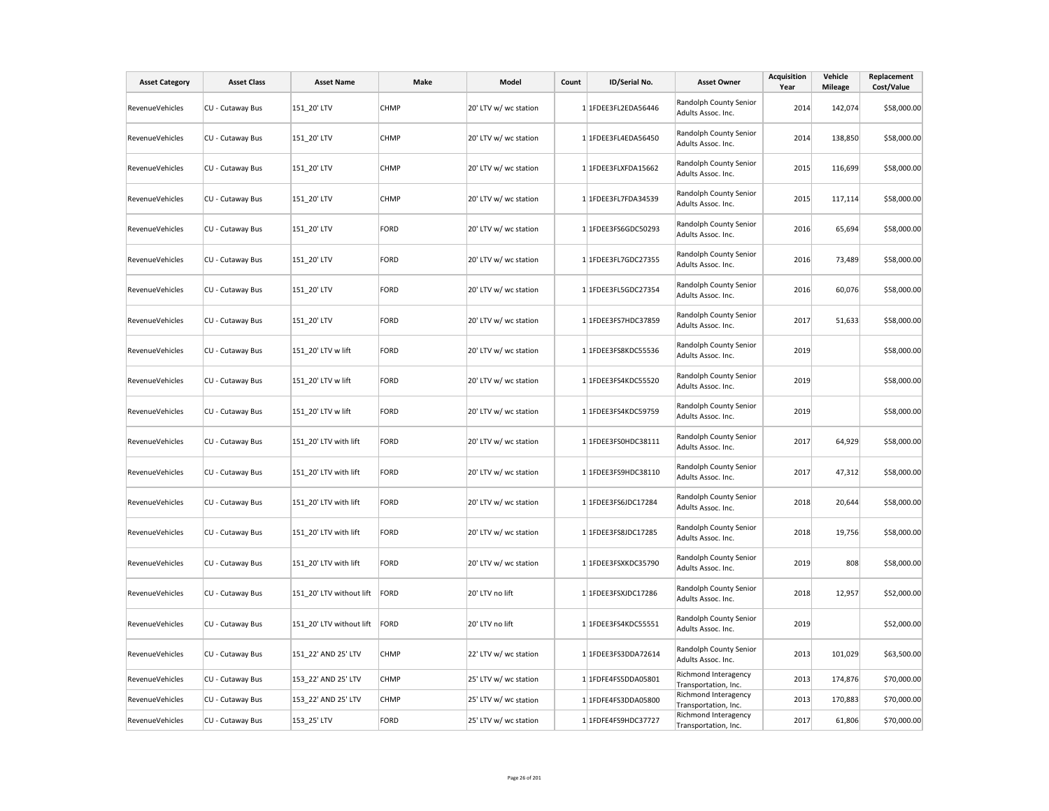| <b>Asset Category</b>  | <b>Asset Class</b> | <b>Asset Name</b>        | Make        | Model                 | Count | ID/Serial No.       | <b>Asset Owner</b>                           | <b>Acquisition</b><br>Year | Vehicle<br><b>Mileage</b> | Replacement<br>Cost/Value |
|------------------------|--------------------|--------------------------|-------------|-----------------------|-------|---------------------|----------------------------------------------|----------------------------|---------------------------|---------------------------|
| RevenueVehicles        | CU - Cutaway Bus   | 151_20' LTV              | <b>CHMP</b> | 20' LTV w/ wc station |       | 1 1FDEE3FL2EDA56446 | Randolph County Senior<br>Adults Assoc. Inc. | 2014                       | 142,074                   | \$58,000.00               |
| RevenueVehicles        | CU - Cutaway Bus   | 151 20' LTV              | <b>CHMP</b> | 20' LTV w/ wc station |       | 1 1FDEE3FL4EDA56450 | Randolph County Senior<br>Adults Assoc. Inc. | 2014                       | 138,850                   | \$58,000.00               |
| RevenueVehicles        | CU - Cutaway Bus   | 151 20' LTV              | <b>CHMP</b> | 20' LTV w/ wc station |       | 1 1FDEE3FLXFDA15662 | Randolph County Senior<br>Adults Assoc. Inc. | 2015                       | 116,699                   | \$58,000.00               |
| RevenueVehicles        | CU - Cutaway Bus   | 151_20' LTV              | <b>CHMP</b> | 20' LTV w/ wc station |       | 1 1FDEE3FL7FDA34539 | Randolph County Senior<br>Adults Assoc. Inc. | 2015                       | 117,114                   | \$58,000.00               |
| RevenueVehicles        | CU - Cutaway Bus   | 151 20' LTV              | FORD        | 20' LTV w/ wc station |       | 1 1FDEE3FS6GDC50293 | Randolph County Senior<br>Adults Assoc. Inc. | 2016                       | 65,694                    | \$58,000.00               |
| <b>RevenueVehicles</b> | CU - Cutaway Bus   | 151_20' LTV              | FORD        | 20' LTV w/ wc station |       | 1 1FDEE3FL7GDC27355 | Randolph County Senior<br>Adults Assoc. Inc. | 2016                       | 73,489                    | \$58,000.00               |
| RevenueVehicles        | CU - Cutaway Bus   | 151_20' LTV              | FORD        | 20' LTV w/ wc station |       | 1 1FDEE3FL5GDC27354 | Randolph County Senior<br>Adults Assoc. Inc. | 2016                       | 60,076                    | \$58,000.00               |
| RevenueVehicles        | CU - Cutaway Bus   | 151_20' LTV              | FORD        | 20' LTV w/ wc station |       | 1 1FDEE3FS7HDC37859 | Randolph County Senior<br>Adults Assoc. Inc. | 2017                       | 51,633                    | \$58,000.00               |
| RevenueVehicles        | CU - Cutaway Bus   | 151_20' LTV w lift       | FORD        | 20' LTV w/ wc station |       | 1 1FDEE3FS8KDC55536 | Randolph County Senior<br>Adults Assoc. Inc. | 2019                       |                           | \$58,000.00               |
| RevenueVehicles        | CU - Cutaway Bus   | 151_20' LTV w lift       | FORD        | 20' LTV w/ wc station |       | 1 1FDEE3FS4KDC55520 | Randolph County Senior<br>Adults Assoc. Inc. | 2019                       |                           | \$58,000.00               |
| RevenueVehicles        | CU - Cutaway Bus   | 151 20' LTV w lift       | FORD        | 20' LTV w/ wc station |       | 1 1FDEE3FS4KDC59759 | Randolph County Senior<br>Adults Assoc. Inc. | 2019                       |                           | \$58,000.00               |
| <b>RevenueVehicles</b> | CU - Cutaway Bus   | 151 20' LTV with lift    | FORD        | 20' LTV w/ wc station |       | 1 1FDEE3FS0HDC38111 | Randolph County Senior<br>Adults Assoc. Inc. | 2017                       | 64,929                    | \$58,000.00               |
| RevenueVehicles        | CU - Cutaway Bus   | 151 20' LTV with lift    | FORD        | 20' LTV w/ wc station |       | 1 1FDEE3FS9HDC38110 | Randolph County Senior<br>Adults Assoc. Inc. | 2017                       | 47,312                    | \$58,000.00               |
| RevenueVehicles        | CU - Cutaway Bus   | 151_20' LTV with lift    | FORD        | 20' LTV w/ wc station |       | 1 1FDEE3FS6JDC17284 | Randolph County Senior<br>Adults Assoc. Inc. | 2018                       | 20,644                    | \$58,000.00               |
| RevenueVehicles        | CU - Cutaway Bus   | 151 20' LTV with lift    | FORD        | 20' LTV w/ wc station |       | 1 1FDEE3FS8JDC17285 | Randolph County Senior<br>Adults Assoc. Inc. | 2018                       | 19,756                    | \$58,000.00               |
| <b>RevenueVehicles</b> | CU - Cutaway Bus   | 151_20' LTV with lift    | FORD        | 20' LTV w/ wc station |       | 1 1FDEE3FSXKDC35790 | Randolph County Senior<br>Adults Assoc. Inc. | 2019                       | 808                       | \$58,000.00               |
| RevenueVehicles        | CU - Cutaway Bus   | 151 20' LTV without lift | FORD        | 20' LTV no lift       |       | 1 1FDEE3FSXJDC17286 | Randolph County Senior<br>Adults Assoc. Inc. | 2018                       | 12,957                    | \$52,000.00               |
| RevenueVehicles        | CU - Cutaway Bus   | 151_20' LTV without lift | FORD        | 20' LTV no lift       |       | 1 1FDEE3FS4KDC55551 | Randolph County Senior<br>Adults Assoc. Inc. | 2019                       |                           | \$52,000.00               |
| RevenueVehicles        | CU - Cutaway Bus   | 151_22' AND 25' LTV      | <b>CHMP</b> | 22' LTV w/ wc station |       | 1 1FDEE3FS3DDA72614 | Randolph County Senior<br>Adults Assoc. Inc. | 2013                       | 101,029                   | \$63,500.00               |
| RevenueVehicles        | CU - Cutaway Bus   | 153 22' AND 25' LTV      | <b>CHMP</b> | 25' LTV w/ wc station |       | 1 1FDFE4FS5DDA05801 | Richmond Interagency<br>Transportation, Inc. | 2013                       | 174,876                   | \$70,000.00               |
| RevenueVehicles        | CU - Cutaway Bus   | 153 22' AND 25' LTV      | <b>CHMP</b> | 25' LTV w/ wc station |       | 1 1FDFE4FS3DDA05800 | Richmond Interagency<br>Transportation, Inc. | 2013                       | 170,883                   | \$70,000.00               |
| RevenueVehicles        | CU - Cutaway Bus   | 153 25' LTV              | FORD        | 25' LTV w/ wc station |       | 1 1FDFE4FS9HDC37727 | Richmond Interagency<br>Transportation, Inc. | 2017                       | 61,806                    | \$70,000.00               |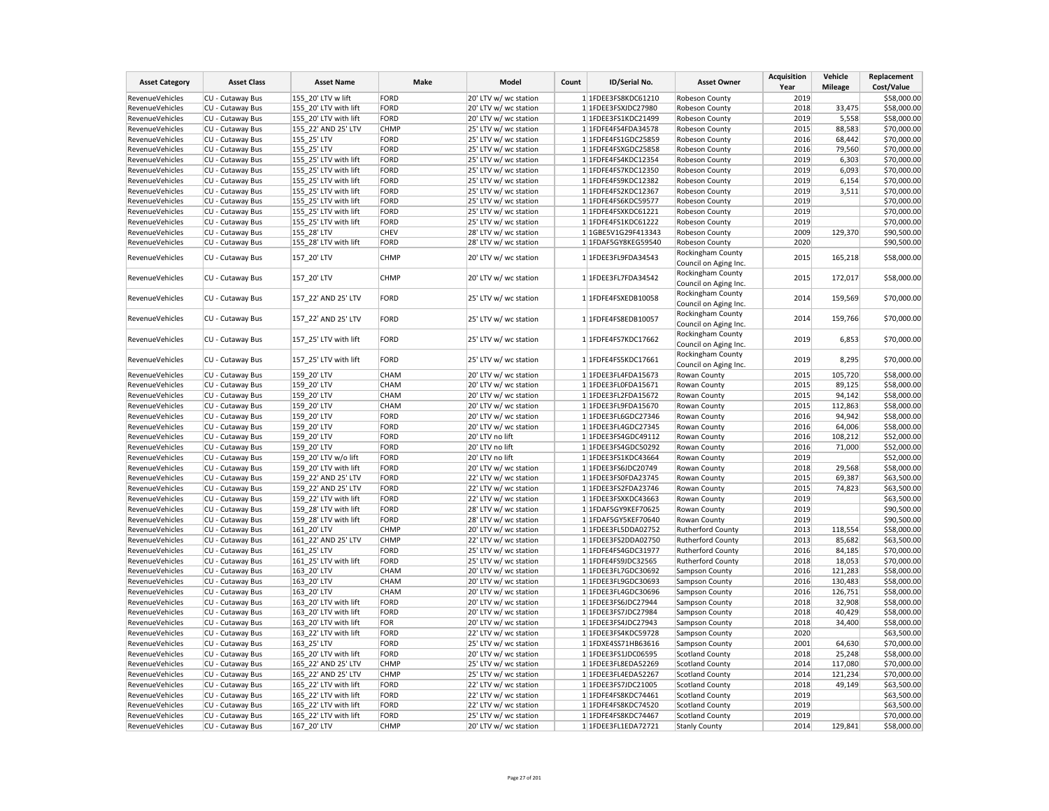| <b>Asset Category</b>  | <b>Asset Class</b> | <b>Asset Name</b>     | Make        | Model                 | Count | ID/Serial No.       | <b>Asset Owner</b>                         | <b>Acquisition</b><br>Year | Vehicle<br><b>Mileage</b> | Replacement<br>Cost/Value |
|------------------------|--------------------|-----------------------|-------------|-----------------------|-------|---------------------|--------------------------------------------|----------------------------|---------------------------|---------------------------|
| RevenueVehicles        | CU - Cutaway Bus   | 155 20' LTV w lift    | FORD        | 20' LTV w/ wc station |       | 1 1FDEE3FS8KDC61210 | Robeson County                             | 2019                       |                           | \$58,000.00               |
| RevenueVehicles        | CU - Cutaway Bus   | 155 20' LTV with lift | FORD        | 20' LTV w/ wc station |       | 1 1FDEE3FSXJDC27980 | Robeson County                             | 2018                       | 33,475                    | \$58,000.00               |
| RevenueVehicles        | CU - Cutaway Bus   | 155_20' LTV with lift | FORD        | 20' LTV w/ wc station |       | 1 1FDEE3FS1KDC21499 | Robeson County                             | 2019                       | 5,558                     | \$58,000.00               |
| RevenueVehicles        | CU - Cutaway Bus   | 155 22' AND 25' LTV   | <b>CHMP</b> | 25' LTV w/ wc station |       | 1 1FDFE4FS4FDA34578 | Robeson County                             | 2015                       | 88,583                    | \$70,000.00               |
| RevenueVehicles        | CU - Cutaway Bus   | 155 25' LTV           | FORD        | 25' LTV w/ wc station |       | 1 1FDFE4FS1GDC25859 | Robeson County                             | 2016                       | 68,442                    | \$70,000.00               |
| RevenueVehicles        | CU - Cutaway Bus   | 155_25' LTV           | FORD        | 25' LTV w/ wc station |       | 1 1FDFE4FSXGDC25858 | Robeson County                             | 2016                       | 79,560                    | \$70,000.00               |
| RevenueVehicles        | CU - Cutaway Bus   | 155 25' LTV with lift | FORD        | 25' LTV w/ wc station |       | 1 1FDFE4FS4KDC12354 | Robeson County                             | 2019                       | 6,303                     | \$70,000.00               |
| RevenueVehicles        | CU - Cutaway Bus   | 155 25' LTV with lift | FORD        | 25' LTV w/ wc station |       | 1 1FDFE4FS7KDC12350 | Robeson County                             | 2019                       | 6,093                     | \$70,000.00               |
| RevenueVehicles        | CU - Cutaway Bus   | 155_25' LTV with lift | FORD        | 25' LTV w/ wc station |       | 1 1FDFE4FS9KDC12382 | Robeson County                             | 2019                       | 6,154                     | \$70,000.00               |
| RevenueVehicles        | CU - Cutaway Bus   | 155 25' LTV with lift | FORD        | 25' LTV w/ wc station |       | 1 1FDFE4FS2KDC12367 | Robeson County                             | 2019                       | 3,511                     | \$70,000.00               |
| RevenueVehicles        | CU - Cutaway Bus   | 155 25' LTV with lift | FORD        | 25' LTV w/ wc station |       | 1 1FDFE4FS6KDC59577 | Robeson County                             | 2019                       |                           | \$70,000.00               |
| RevenueVehicles        | CU - Cutaway Bus   | 155 25' LTV with lift | FORD        | 25' LTV w/ wc station |       | 1 1FDFE4FSXKDC61221 | Robeson County                             | 2019                       |                           | \$70,000.00               |
| RevenueVehicles        | CU - Cutaway Bus   | 155 25' LTV with lift | FORD        | 25' LTV w/ wc station |       | 1 1FDFE4FS1KDC61222 | Robeson County                             | 2019                       |                           | \$70,000.00               |
| RevenueVehicles        | CU - Cutaway Bus   | 155 28' LTV           | <b>CHEV</b> | 28' LTV w/ wc station |       | 1 1GBE5V1G29F413343 | Robeson County                             | 2009                       | 129,370                   | \$90,500.00               |
| RevenueVehicles        | CU - Cutaway Bus   | 155 28' LTV with lift | FORD        | 28' LTV w/ wc station |       | 1 1FDAF5GY8KEG59540 | Robeson County                             | 2020                       |                           | \$90,500.00               |
| RevenueVehicles        | CU - Cutaway Bus   | 157 20' LTV           | CHMP        | 20' LTV w/ wc station |       | 1 1FDEE3FL9FDA34543 | Rockingham County<br>Council on Aging Inc. | 2015                       | 165,218                   | \$58,000.00               |
| RevenueVehicles        | CU - Cutaway Bus   | 157_20' LTV           | <b>CHMP</b> | 20' LTV w/ wc station |       | 1 1FDEE3FL7FDA34542 | Rockingham County<br>Council on Aging Inc. | 2015                       | 172,017                   | \$58,000.00               |
| RevenueVehicles        | CU - Cutaway Bus   | 157_22' AND 25' LTV   | <b>FORD</b> | 25' LTV w/ wc station |       | 1 1FDFE4FSXEDB10058 | Rockingham County<br>Council on Aging Inc. | 2014                       | 159,569                   | \$70,000.00               |
| RevenueVehicles        | CU - Cutaway Bus   | 157 22' AND 25' LTV   | FORD        | 25' LTV w/ wc station |       | 1 1FDFE4FS8EDB10057 | Rockingham County<br>Council on Aging Inc. | 2014                       | 159,766                   | \$70,000.00               |
| RevenueVehicles        | CU - Cutaway Bus   | 157_25' LTV with lift | <b>FORD</b> | 25' LTV w/ wc station |       | 1 1FDFE4FS7KDC17662 | Rockingham County<br>Council on Aging Inc. | 2019                       | 6,853                     | \$70,000.00               |
| RevenueVehicles        | CU - Cutaway Bus   | 157_25' LTV with lift | FORD        | 25' LTV w/ wc station |       | 1 1FDFE4FS5KDC17661 | Rockingham County<br>Council on Aging Inc. | 2019                       | 8,295                     | \$70,000.00               |
| RevenueVehicles        | CU - Cutaway Bus   | 159 20' LTV           | CHAM        | 20' LTV w/ wc station |       | 1 1FDEE3FL4FDA15673 | Rowan County                               | 2015                       | 105,720                   | \$58,000.00               |
| RevenueVehicles        | CU - Cutaway Bus   | 159 20' LTV           | CHAM        | 20' LTV w/ wc station |       | 1 1FDEE3FL0FDA15671 | Rowan County                               | 2015                       | 89,125                    | \$58,000.00               |
| RevenueVehicles        | CU - Cutaway Bus   | 159 20' LTV           | CHAM        | 20' LTV w/ wc station |       | 1 1FDEE3FL2FDA15672 | Rowan County                               | 2015                       | 94,142                    | \$58,000.00               |
| RevenueVehicles        | CU - Cutaway Bus   | 159_20' LTV           | CHAM        | 20' LTV w/ wc station |       | 1 1FDEE3FL9FDA15670 | Rowan County                               | 2015                       | 112,863                   | \$58,000.00               |
| RevenueVehicles        | CU - Cutaway Bus   | 159 20' LTV           | FORD        | 20' LTV w/ wc station |       | 1 1FDEE3FL6GDC27346 | Rowan County                               | 2016                       | 94,942                    | \$58,000.00               |
| RevenueVehicles        | CU - Cutaway Bus   | 159 20' LTV           | FORD        | 20' LTV w/ wc station |       | 1 1FDEE3FL4GDC27345 | Rowan County                               | 2016                       | 64,006                    | \$58,000.00               |
| RevenueVehicles        | CU - Cutaway Bus   | 159 20' LTV           | FORD        | 20' LTV no lift       |       | 1 1FDEE3FS4GDC49112 | Rowan County                               | 2016                       | 108,212                   | \$52,000.00               |
| RevenueVehicles        | CU - Cutaway Bus   | 159 20' LTV           | FORD        | 20' LTV no lift       |       | 1 1FDEE3FS4GDC50292 | Rowan County                               | 2016                       | 71,000                    | \$52,000.00               |
| RevenueVehicles        | CU - Cutaway Bus   | 159 20' LTV w/o lift  | FORD        | 20' LTV no lift       |       | 1 1FDEE3FS1KDC43664 | Rowan County                               | 2019                       |                           | \$52,000.00               |
| RevenueVehicles        | CU - Cutaway Bus   | 159 20' LTV with lift | FORD        | 20' LTV w/ wc station |       | 1 1FDEE3FS6JDC20749 | Rowan County                               | 2018                       | 29,568                    | \$58,000.00               |
| RevenueVehicles        | CU - Cutaway Bus   | 159 22' AND 25' LTV   | FORD        | 22' LTV w/ wc station |       | 1 1FDEE3FS0FDA23745 | Rowan County                               | 2015                       | 69,387                    | \$63,500.00               |
| RevenueVehicles        | CU - Cutaway Bus   | 159 22' AND 25' LTV   | FORD        | 22' LTV w/ wc station |       | 1 1FDEE3FS2FDA23746 | Rowan County                               | 2015                       | 74,823                    | \$63,500.00               |
| RevenueVehicles        | CU - Cutaway Bus   | 159_22' LTV with lift | FORD        | 22' LTV w/ wc station |       | 1 1FDEE3FSXKDC43663 | Rowan County                               | 2019                       |                           | \$63,500.00               |
| RevenueVehicles        | CU - Cutaway Bus   | 159 28' LTV with lift | FORD        | 28' LTV w/ wc station |       | 1 1FDAF5GY9KEF70625 | Rowan County                               | 2019                       |                           | \$90,500.00               |
| RevenueVehicles        | CU - Cutaway Bus   | 159_28' LTV with lift | FORD        | 28' LTV w/ wc station |       | 1 1FDAF5GY5KEF70640 | Rowan County                               | 2019                       |                           | \$90,500.00               |
| RevenueVehicles        | CU - Cutaway Bus   | 161 20' LTV           | <b>CHMP</b> | 20' LTV w/ wc station |       | 1 1FDEE3FL5DDA02752 | Rutherford County                          | 2013                       | 118,554                   | \$58,000.00               |
| RevenueVehicles        | CU - Cutaway Bus   | 161_22' AND 25' LTV   | <b>CHMP</b> | 22' LTV w/ wc station |       | 1 1FDEE3FS2DDA02750 | Rutherford County                          | 2013                       | 85,682                    | \$63,500.00               |
| RevenueVehicles        | CU - Cutaway Bus   | 161 25' LTV           | FORD        | 25' LTV w/ wc station |       | 1 1FDFE4FS4GDC31977 | Rutherford County                          | 2016                       | 84,185                    | \$70,000.00               |
| RevenueVehicles        | CU - Cutaway Bus   | 161 25' LTV with lift | FORD        | 25' LTV w/ wc station |       | 1 1FDFE4FS9JDC32565 | <b>Rutherford County</b>                   | 2018                       | 18,053                    | \$70,000.00               |
| RevenueVehicles        | CU - Cutaway Bus   | 163 20' LTV           | CHAM        | 20' LTV w/ wc station |       | 1 1FDEE3FL7GDC30692 | Sampson County                             | 2016                       | 121,283                   | \$58,000.00               |
| RevenueVehicles        | CU - Cutaway Bus   | 163 20' LTV           | CHAM        | 20' LTV w/ wc station |       | 1 1FDEE3FL9GDC30693 | Sampson County                             | 2016                       | 130,483                   | \$58,000.00               |
| RevenueVehicles        | CU - Cutaway Bus   | 163 20' LTV           | CHAM        | 20' LTV w/ wc station |       | 1 1FDEE3FL4GDC30696 | Sampson County                             | 2016                       | 126,751                   | \$58,000.00               |
| RevenueVehicles        | CU - Cutaway Bus   | 163 20' LTV with lift | FORD        | 20' LTV w/ wc station |       | 1 1FDEE3FS6JDC27944 | Sampson County                             | 2018                       | 32,908                    | \$58,000.00               |
| RevenueVehicles        | CU - Cutaway Bus   | 163 20' LTV with lift | FORD        | 20' LTV w/ wc station |       | 1 1FDEE3FS7JDC27984 | Sampson County                             | 2018                       | 40,429                    | \$58,000.00               |
| RevenueVehicles        | CU - Cutaway Bus   | 163 20' LTV with lift | FOR         | 20' LTV w/ wc station |       | 1 1FDEE3FS4JDC27943 | Sampson County                             | 2018                       | 34,400                    | \$58,000.00               |
| RevenueVehicles        | CU - Cutaway Bus   | 163 22' LTV with lift | FORD        | 22' LTV w/ wc station |       | 1 1FDEE3FS4KDC59728 | Sampson County                             | 2020                       |                           | \$63,500.00               |
| RevenueVehicles        | CU - Cutaway Bus   | 163 25' LTV           | FORD        | 25' LTV w/ wc station |       | 1 1FDXE4SS71HB63616 | Sampson County                             | 2001                       | 64,630                    | \$70,000.00               |
| RevenueVehicles        | CU - Cutaway Bus   | 165 20' LTV with lift | FORD        | 20' LTV w/ wc station |       | 1 1FDEE3FS1JDC06595 | <b>Scotland County</b>                     | 2018                       | 25,248                    | \$58,000.00               |
| <b>RevenueVehicles</b> | CU - Cutaway Bus   | 165 22' AND 25' LTV   | <b>CHMP</b> | 25' LTV w/ wc station |       | 1 1FDEE3FL8EDA52269 | <b>Scotland County</b>                     | 2014                       | 117,080                   | \$70,000.00               |
| RevenueVehicles        | CU - Cutaway Bus   | 165_22' AND 25' LTV   | CHMP        | 25' LTV w/ wc station |       | 1 1FDEE3FL4EDA52267 | <b>Scotland County</b>                     | 2014                       | 121,234                   | \$70,000.00               |
| RevenueVehicles        | CU - Cutaway Bus   | 165 22' LTV with lift | FORD        | 22' LTV w/ wc station |       | 1 1FDEE3FS7JDC21005 | <b>Scotland County</b>                     | 2018                       | 49,149                    | \$63,500.00               |
| RevenueVehicles        | CU - Cutaway Bus   | 165 22' LTV with lift | FORD        | 22' LTV w/ wc station |       | 1 1FDFE4FS8KDC74461 | <b>Scotland County</b>                     | 2019                       |                           | \$63,500.00               |
| RevenueVehicles        | CU - Cutaway Bus   | 165_22' LTV with lift | FORD        | 22' LTV w/ wc station |       | 1 1FDFE4FS8KDC74520 | <b>Scotland County</b>                     | 2019                       |                           | \$63,500.00               |
| <b>RevenueVehicles</b> | CU - Cutaway Bus   | 165 22' LTV with lift | FORD        | 25' LTV w/ wc station |       | 1 1FDFE4FS8KDC74467 | <b>Scotland County</b>                     | 2019                       |                           | \$70,000.00               |
| RevenueVehicles        | CU - Cutaway Bus   | 167 20' LTV           | CHMP        | 20' LTV w/ wc station |       | 1 1FDEE3FL1EDA72721 | <b>Stanly County</b>                       | 2014                       | 129,841                   | \$58,000.00               |
|                        |                    |                       |             |                       |       |                     |                                            |                            |                           |                           |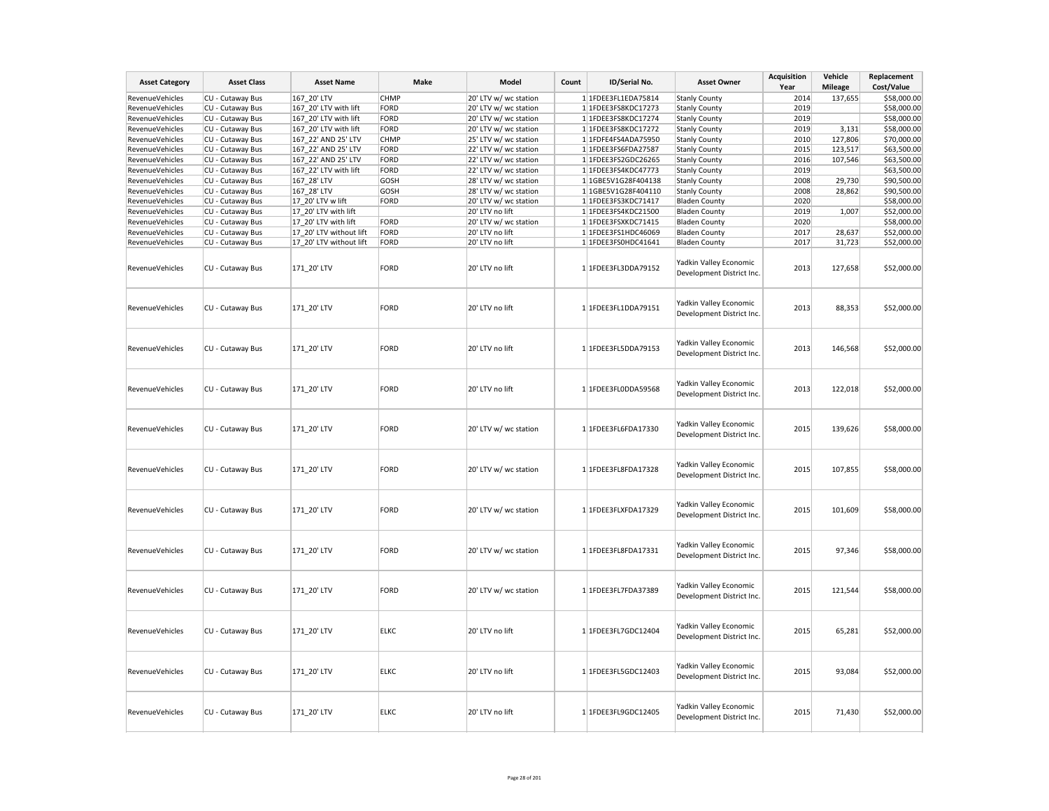| <b>Asset Category</b> | <b>Asset Class</b> | <b>Asset Name</b>       | Make        | Model                 | Count | ID/Serial No.       | <b>Asset Owner</b>                                  | <b>Acquisition</b><br>Year | Vehicle<br><b>Mileage</b> | Replacement<br>Cost/Value |
|-----------------------|--------------------|-------------------------|-------------|-----------------------|-------|---------------------|-----------------------------------------------------|----------------------------|---------------------------|---------------------------|
| RevenueVehicles       | CU - Cutaway Bus   | 167 20' LTV             | <b>CHMP</b> | 20' LTV w/ wc station |       | 1 1FDEE3FL1EDA75814 | <b>Stanly County</b>                                | 2014                       | 137,655                   | \$58,000.00               |
| RevenueVehicles       | CU - Cutaway Bus   | 167 20' LTV with lift   | FORD        | 20' LTV w/ wc station |       | 1 1FDEE3FS8KDC17273 | <b>Stanly County</b>                                | 2019                       |                           | \$58,000.00               |
| RevenueVehicles       | CU - Cutaway Bus   | 167_20' LTV with lift   | FORD        | 20' LTV w/ wc station |       | 1 1FDEE3FS8KDC17274 | <b>Stanly County</b>                                | 2019                       |                           | \$58,000.00               |
| RevenueVehicles       | CU - Cutaway Bus   | 167 20' LTV with lift   | FORD        | 20' LTV w/ wc station |       | 1 1FDEE3FS8KDC17272 | <b>Stanly County</b>                                | 2019                       | 3,131                     | \$58,000.00               |
| RevenueVehicles       | CU - Cutaway Bus   | 167 22' AND 25' LTV     | CHMP        | 25' LTV w/ wc station |       | 1 1FDFE4FS4ADA75950 | <b>Stanly County</b>                                | 2010                       | 127,806                   | \$70,000.00               |
| RevenueVehicles       | CU - Cutaway Bus   | 167 22' AND 25' LTV     | FORD        | 22' LTV w/ wc station |       | 1 1FDEE3FS6FDA27587 |                                                     | 2015                       | 123,517                   | \$63,500.00               |
|                       |                    | 167 22' AND 25' LTV     |             |                       |       |                     | <b>Stanly County</b>                                | 2016                       |                           | \$63,500.00               |
| RevenueVehicles       | CU - Cutaway Bus   |                         | FORD        | 22' LTV w/ wc station |       | 1 1FDEE3FS2GDC26265 | <b>Stanly County</b>                                | 2019                       | 107,546                   |                           |
| RevenueVehicles       | CU - Cutaway Bus   | 167_22' LTV with lift   | FORD        | 22' LTV w/ wc station |       | 1 1FDEE3FS4KDC47773 | <b>Stanly County</b>                                |                            |                           | \$63,500.00               |
| RevenueVehicles       | CU - Cutaway Bus   | 167 28' LTV             | GOSH        | 28' LTV w/ wc station |       | 1 1GBE5V1G28F404138 | <b>Stanly County</b>                                | 2008                       | 29,730                    | \$90,500.00               |
| RevenueVehicles       | CU - Cutaway Bus   | 167 28' LTV             | GOSH        | 28' LTV w/ wc station |       | 1 1GBE5V1G28F404110 | <b>Stanly County</b>                                | 2008                       | 28,862                    | \$90,500.00               |
| RevenueVehicles       | CU - Cutaway Bus   | 17_20' LTV w lift       | FORD        | 20' LTV w/ wc station |       | 1 1FDEE3FS3KDC71417 | <b>Bladen County</b>                                | 2020                       |                           | \$58,000.00               |
| RevenueVehicles       | CU - Cutaway Bus   | 17 20' LTV with lift    |             | 20' LTV no lift       |       | 1 1FDEE3FS4KDC21500 | <b>Bladen County</b>                                | 2019                       | 1,007                     | \$52,000.00               |
| RevenueVehicles       | CU - Cutaway Bus   | 17 20' LTV with lift    | FORD        | 20' LTV w/ wc station |       | 1 1FDEE3FSXKDC71415 | <b>Bladen County</b>                                | 2020                       |                           | \$58,000.00               |
| RevenueVehicles       | CU - Cutaway Bus   | 17_20' LTV without lift | FORD        | 20' LTV no lift       |       | 1 1FDEE3FS1HDC46069 | <b>Bladen County</b>                                | 2017                       | 28,637                    | \$52,000.00               |
| RevenueVehicles       | CU - Cutaway Bus   | 17_20' LTV without lift | FORD        | 20' LTV no lift       |       | 1 1FDEE3FS0HDC41641 | <b>Bladen County</b>                                | 2017                       | 31,723                    | \$52,000.00               |
| RevenueVehicles       | CU - Cutaway Bus   | 171_20' LTV             | FORD        | 20' LTV no lift       |       | 1 1FDEE3FL3DDA79152 | Yadkin Valley Economic<br>Development District Inc. | 2013                       | 127,658                   | \$52,000.00               |
| RevenueVehicles       | CU - Cutaway Bus   | 171_20' LTV             | FORD        | 20' LTV no lift       |       | 1 1FDEE3FL1DDA79151 | Yadkin Valley Economic<br>Development District Inc. | 2013                       | 88,353                    | \$52,000.00               |
| RevenueVehicles       | CU - Cutaway Bus   | 171_20' LTV             | FORD        | 20' LTV no lift       |       | 1 1FDEE3FL5DDA79153 | Yadkin Valley Economic<br>Development District Inc. | 2013                       | 146,568                   | \$52,000.00               |
| RevenueVehicles       | CU - Cutaway Bus   | 171_20' LTV             | FORD        | 20' LTV no lift       |       | 1 1FDEE3FL0DDA59568 | Yadkin Valley Economic<br>Development District Inc  | 2013                       | 122,018                   | \$52,000.00               |
| RevenueVehicles       | CU - Cutaway Bus   | 171_20' LTV             | FORD        | 20' LTV w/ wc station |       | 1 1FDEE3FL6FDA17330 | Yadkin Valley Economic<br>Development District Inc. | 2015                       | 139,626                   | \$58,000.00               |
| RevenueVehicles       | CU - Cutaway Bus   | 171 20' LTV             | FORD        | 20' LTV w/ wc station |       | 1 1FDEE3FL8FDA17328 | Yadkin Valley Economic<br>Development District Inc. | 2015                       | 107,855                   | \$58,000.00               |
| RevenueVehicles       | CU - Cutaway Bus   | 171_20' LTV             | FORD        | 20' LTV w/ wc station |       | 1 1FDEE3FLXFDA17329 | Yadkin Valley Economic<br>Development District Inc  | 2015                       | 101,609                   | \$58,000.00               |
| RevenueVehicles       | CU - Cutaway Bus   | 171_20' LTV             | FORD        | 20' LTV w/ wc station |       | 1 1FDEE3FL8FDA17331 | Yadkin Valley Economic<br>Development District Inc. | 2015                       | 97,346                    | \$58,000.00               |
| RevenueVehicles       | CU - Cutaway Bus   | 171 20' LTV             | FORD        | 20' LTV w/ wc station |       | 1 1FDEE3FL7FDA37389 | Yadkin Valley Economic<br>Development District Inc. | 2015                       | 121,544                   | \$58,000.00               |
| RevenueVehicles       | CU - Cutaway Bus   | 171 20' LTV             | <b>ELKC</b> | 20' LTV no lift       |       | 1 1FDEE3FL7GDC12404 | Yadkin Valley Economic<br>Development District Inc. | 2015                       | 65,281                    | \$52,000.00               |
| RevenueVehicles       | CU - Cutaway Bus   | 171 20' LTV             | <b>ELKC</b> | 20' LTV no lift       |       | 1 1FDEE3FL5GDC12403 | Yadkin Valley Economic<br>Development District Inc. | 2015                       | 93,084                    | \$52,000.00               |
| RevenueVehicles       | CU - Cutaway Bus   | 171 20' LTV             | <b>ELKC</b> | 20' LTV no lift       |       | 1 1FDEE3FL9GDC12405 | Yadkin Valley Economic<br>Development District Inc  | 2015                       | 71,430                    | \$52,000.00               |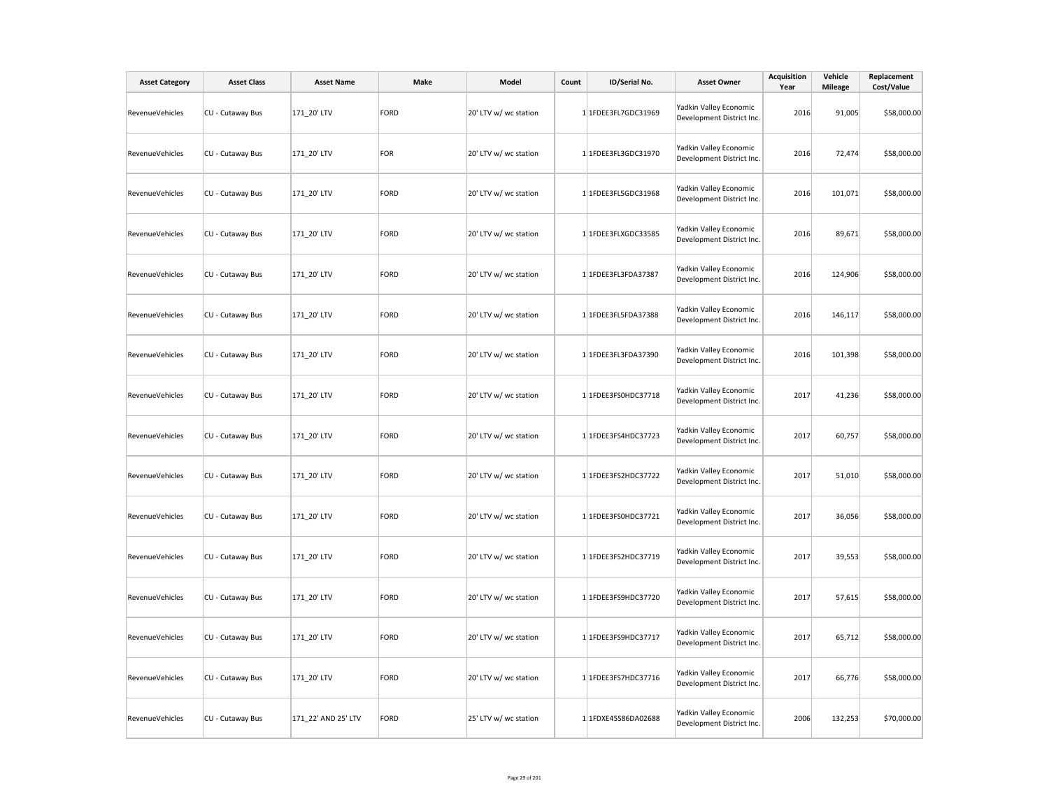| <b>Asset Category</b> | <b>Asset Class</b> | <b>Asset Name</b>   | Make | Model                 | Count | ID/Serial No.       | <b>Asset Owner</b>                                  | <b>Acquisition</b><br>Year | Vehicle<br><b>Mileage</b> | Replacement<br>Cost/Value |
|-----------------------|--------------------|---------------------|------|-----------------------|-------|---------------------|-----------------------------------------------------|----------------------------|---------------------------|---------------------------|
| RevenueVehicles       | CU - Cutaway Bus   | 171_20' LTV         | FORD | 20' LTV w/ wc station |       | 1 1FDEE3FL7GDC31969 | Yadkin Valley Economic<br>Development District Inc. | 2016                       | 91,005                    | \$58,000.00               |
| RevenueVehicles       | CU - Cutaway Bus   | 171_20' LTV         | FOR  | 20' LTV w/ wc station |       | 1 1FDEE3FL3GDC31970 | Yadkin Valley Economic<br>Development District Inc. | 2016                       | 72,474                    | \$58,000.00               |
| RevenueVehicles       | CU - Cutaway Bus   | 171 20' LTV         | FORD | 20' LTV w/ wc station |       | 1 1FDEE3FL5GDC31968 | Yadkin Valley Economic<br>Development District Inc. | 2016                       | 101,071                   | \$58,000.00               |
| RevenueVehicles       | CU - Cutaway Bus   | 171_20' LTV         | FORD | 20' LTV w/ wc station |       | 1 1FDEE3FLXGDC33585 | Yadkin Valley Economic<br>Development District Inc. | 2016                       | 89,671                    | \$58,000.00               |
| RevenueVehicles       | CU - Cutaway Bus   | 171 20' LTV         | FORD | 20' LTV w/ wc station |       | 1 1FDEE3FL3FDA37387 | Yadkin Valley Economic<br>Development District Inc. | 2016                       | 124,906                   | \$58,000.00               |
| RevenueVehicles       | CU - Cutaway Bus   | 171_20' LTV         | FORD | 20' LTV w/ wc station |       | 1 1FDEE3FL5FDA37388 | Yadkin Valley Economic<br>Development District Inc. | 2016                       | 146,117                   | \$58,000.00               |
| RevenueVehicles       | CU - Cutaway Bus   | 171_20' LTV         | FORD | 20' LTV w/ wc station |       | 1 1FDEE3FL3FDA37390 | Yadkin Valley Economic<br>Development District Inc. | 2016                       | 101,398                   | \$58,000.00               |
| RevenueVehicles       | CU - Cutaway Bus   | 171_20' LTV         | FORD | 20' LTV w/ wc station |       | 1 1FDEE3FS0HDC37718 | Yadkin Valley Economic<br>Development District Inc. | 2017                       | 41,236                    | \$58,000.00               |
| RevenueVehicles       | CU - Cutaway Bus   | 171_20' LTV         | FORD | 20' LTV w/ wc station |       | 1 1FDEE3FS4HDC37723 | Yadkin Valley Economic<br>Development District Inc. | 2017                       | 60,757                    | \$58,000.00               |
| RevenueVehicles       | CU - Cutaway Bus   | 171 20' LTV         | FORD | 20' LTV w/ wc station |       | 1 1FDEE3FS2HDC37722 | Yadkin Valley Economic<br>Development District Inc. | 2017                       | 51,010                    | \$58,000.00               |
| RevenueVehicles       | CU - Cutaway Bus   | 171_20' LTV         | FORD | 20' LTV w/ wc station |       | 1 1FDEE3FS0HDC37721 | Yadkin Valley Economic<br>Development District Inc. | 2017                       | 36,056                    | \$58,000.00               |
| RevenueVehicles       | CU - Cutaway Bus   | 171 20' LTV         | FORD | 20' LTV w/ wc station |       | 1 1FDEE3FS2HDC37719 | Yadkin Valley Economic<br>Development District Inc. | 2017                       | 39,553                    | \$58,000.00               |
| RevenueVehicles       | CU - Cutaway Bus   | 171_20' LTV         | FORD | 20' LTV w/ wc station |       | 1 1FDEE3FS9HDC37720 | Yadkin Valley Economic<br>Development District Inc. | 2017                       | 57,615                    | \$58,000.00               |
| RevenueVehicles       | CU - Cutaway Bus   | 171 20' LTV         | FORD | 20' LTV w/ wc station |       | 1 1FDEE3FS9HDC37717 | Yadkin Valley Economic<br>Development District Inc. | 2017                       | 65,712                    | \$58,000.00               |
| RevenueVehicles       | CU - Cutaway Bus   | 171_20' LTV         | FORD | 20' LTV w/ wc station |       | 1 1FDEE3FS7HDC37716 | Yadkin Valley Economic<br>Development District Inc. | 2017                       | 66,776                    | \$58,000.00               |
| RevenueVehicles       | CU - Cutaway Bus   | 171 22' AND 25' LTV | FORD | 25' LTV w/ wc station |       | 1 1FDXE45S86DA02688 | Yadkin Valley Economic<br>Development District Inc. | 2006                       | 132,253                   | \$70,000.00               |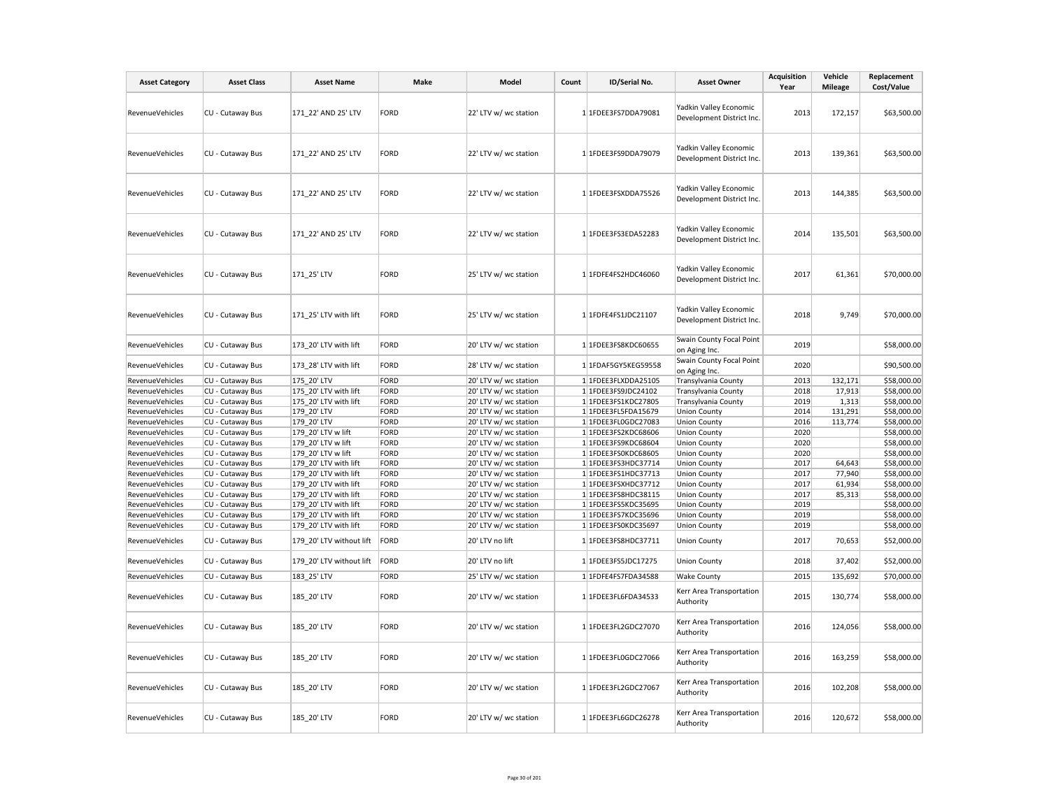| <b>Asset Category</b> | <b>Asset Class</b> | <b>Asset Name</b>        | Make | Model                 | Count | ID/Serial No.       | <b>Asset Owner</b>                                  | <b>Acquisition</b><br>Year | Vehicle<br><b>Mileage</b> | Replacement<br>Cost/Value |
|-----------------------|--------------------|--------------------------|------|-----------------------|-------|---------------------|-----------------------------------------------------|----------------------------|---------------------------|---------------------------|
| RevenueVehicles       | CU - Cutaway Bus   | 171 22' AND 25' LTV      | FORD | 22' LTV w/ wc station |       | 1 1FDEE3FS7DDA79081 | Yadkin Valley Economic<br>Development District Inc. | 2013                       | 172,157                   | \$63,500.00               |
| RevenueVehicles       | CU - Cutaway Bus   | 171 22' AND 25' LTV      | FORD | 22' LTV w/ wc station |       | 1 1FDEE3FS9DDA79079 | Yadkin Valley Economic<br>Development District Inc. | 2013                       | 139,361                   | \$63,500.00               |
| RevenueVehicles       | CU - Cutaway Bus   | 171 22' AND 25' LTV      | FORD | 22' LTV w/ wc station |       | 1 1FDEE3FSXDDA75526 | Yadkin Valley Economic<br>Development District Inc. | 2013                       | 144,385                   | \$63,500.00               |
| RevenueVehicles       | CU - Cutaway Bus   | 171 22' AND 25' LTV      | FORD | 22' LTV w/ wc station |       | 1 1FDEE3FS3EDA52283 | Yadkin Valley Economic<br>Development District Inc. | 2014                       | 135,501                   | \$63,500.00               |
| RevenueVehicles       | CU - Cutaway Bus   | 171 25' LTV              | FORD | 25' LTV w/ wc station |       | 1 1FDFE4FS2HDC46060 | Yadkin Valley Economic<br>Development District Inc. | 2017                       | 61,361                    | \$70,000.00               |
| RevenueVehicles       | CU - Cutaway Bus   | 171 25' LTV with lift    | FORD | 25' LTV w/ wc station |       | 1 1FDFE4FS1JDC21107 | Yadkin Valley Economic<br>Development District Inc. | 2018                       | 9,749                     | \$70,000.00               |
| RevenueVehicles       | CU - Cutaway Bus   | 173 20' LTV with lift    | FORD | 20' LTV w/ wc station |       | 1 1FDEE3FS8KDC60655 | Swain County Focal Point<br>on Aging Inc.           | 2019                       |                           | \$58,000.00               |
| RevenueVehicles       | CU - Cutaway Bus   | 173_28' LTV with lift    | FORD | 28' LTV w/ wc station |       | 1 1FDAF5GY5KEG59558 | Swain County Focal Point<br>on Aging Inc.           | 2020                       |                           | \$90,500.00               |
| RevenueVehicles       | CU - Cutaway Bus   | 175 20' LTV              | FORD | 20' LTV w/ wc station |       | 1 1FDEE3FLXDDA25105 | Transylvania County                                 | 2013                       | 132,171                   | \$58,000.00               |
| RevenueVehicles       | CU - Cutaway Bus   | 175 20' LTV with lift    | FORD | 20' LTV w/ wc station |       | 1 1FDEE3FS9JDC24102 | Transylvania County                                 | 2018                       | 17,913                    | \$58,000.00               |
| RevenueVehicles       | CU - Cutaway Bus   | 175_20' LTV with lift    | FORD | 20' LTV w/ wc station |       | 1 1FDEE3FS1KDC27805 | Transylvania County                                 | 2019                       | 1,313                     | \$58,000.00               |
| RevenueVehicles       | CU - Cutaway Bus   | 179 20' LTV              | FORD | 20' LTV w/ wc station |       | 1 1FDEE3FL5FDA15679 | <b>Union County</b>                                 | 2014                       | 131,291                   | \$58,000.00               |
| RevenueVehicles       | CU - Cutaway Bus   | 179 20' LTV              | FORD | 20' LTV w/ wc station |       | 1 1FDEE3FL0GDC27083 | <b>Union County</b>                                 | 2016                       | 113,774                   | \$58,000.00               |
| RevenueVehicles       | CU - Cutaway Bus   | 179_20' LTV w lift       | FORD | 20' LTV w/ wc station |       | 1 1FDEE3FS2KDC68606 | <b>Union County</b>                                 | 2020                       |                           | \$58,000.00               |
| RevenueVehicles       | CU - Cutaway Bus   | 179 20' LTV w lift       | FORD | 20' LTV w/ wc station |       | 1 1FDEE3FS9KDC68604 | <b>Union County</b>                                 | 2020                       |                           | \$58,000.00               |
| RevenueVehicles       | CU - Cutaway Bus   | 179 20' LTV w lift       | FORD | 20' LTV w/ wc station |       | 1 1FDEE3FS0KDC68605 | <b>Union County</b>                                 | 2020                       |                           | \$58,000.00               |
| RevenueVehicles       | CU - Cutaway Bus   | 179 20' LTV with lift    | FORD | 20' LTV w/ wc station |       | 1 1FDEE3FS3HDC37714 | <b>Union County</b>                                 | 2017                       | 64,643                    | \$58,000.00               |
| RevenueVehicles       | CU - Cutaway Bus   | 179 20' LTV with lift    | FORD | 20' LTV w/ wc station |       | 1 1FDEE3FS1HDC37713 | <b>Union County</b>                                 | 2017                       | 77,940                    | \$58,000.00               |
| RevenueVehicles       | CU - Cutaway Bus   | 179 20' LTV with lift    | FORD | 20' LTV w/ wc station |       | 1 1FDEE3FSXHDC37712 | <b>Union County</b>                                 | 2017                       | 61,934                    | \$58,000.00               |
| RevenueVehicles       | CU - Cutaway Bus   | 179 20' LTV with lift    | FORD | 20' LTV w/ wc station |       | 1 1FDEE3FS8HDC38115 | <b>Union County</b>                                 | 2017                       | 85,313                    | \$58,000.00               |
| RevenueVehicles       | CU - Cutaway Bus   | 179 20' LTV with lift    | FORD | 20' LTV w/ wc station |       | 1 1FDEE3FS5KDC35695 | <b>Union County</b>                                 | 2019                       |                           | \$58,000.00               |
| RevenueVehicles       | CU - Cutaway Bus   | 179_20' LTV with lift    | FORD | 20' LTV w/ wc station |       | 1 1FDEE3FS7KDC35696 | <b>Union County</b>                                 | 2019                       |                           | \$58,000.00               |
| RevenueVehicles       | CU - Cutaway Bus   | 179 20' LTV with lift    | FORD | 20' LTV w/ wc station |       | 1 1FDEE3FS0KDC35697 | <b>Union County</b>                                 | 2019                       |                           | \$58,000.00               |
| RevenueVehicles       | CU - Cutaway Bus   | 179 20' LTV without lift | FORD | 20' LTV no lift       |       | 1 1FDEE3FS8HDC37711 | <b>Union County</b>                                 | 2017                       | 70,653                    | \$52,000.00               |
| RevenueVehicles       | CU - Cutaway Bus   | 179 20' LTV without lift | FORD | 20' LTV no lift       |       | 1 1FDEE3FS5JDC17275 | <b>Union County</b>                                 | 2018                       | 37,402                    | \$52,000.00               |
| RevenueVehicles       | CU - Cutaway Bus   | 183 25' LTV              | FORD | 25' LTV w/ wc station |       | 1 1FDFE4FS7FDA34588 | <b>Wake County</b>                                  | 2015                       | 135,692                   | \$70,000.00               |
| RevenueVehicles       | CU - Cutaway Bus   | 185 20' LTV              | FORD | 20' LTV w/ wc station |       | 1 1FDEE3FL6FDA34533 | Kerr Area Transportation<br>Authority               | 2015                       | 130,774                   | \$58,000.00               |
| RevenueVehicles       | CU - Cutaway Bus   | 185 20' LTV              | FORD | 20' LTV w/ wc station |       | 1 1FDEE3FL2GDC27070 | Kerr Area Transportation<br>Authority               | 2016                       | 124,056                   | \$58,000.00               |
| RevenueVehicles       | CU - Cutaway Bus   | 185 20' LTV              | FORD | 20' LTV w/ wc station |       | 1 1FDEE3FL0GDC27066 | Kerr Area Transportation<br>Authority               | 2016                       | 163,259                   | \$58,000.00               |
| RevenueVehicles       | CU - Cutaway Bus   | 185 20' LTV              | FORD | 20' LTV w/ wc station |       | 1 1FDEE3FL2GDC27067 | Kerr Area Transportation<br>Authority               | 2016                       | 102,208                   | \$58,000.00               |
| RevenueVehicles       | CU - Cutaway Bus   | 185 20' LTV              | FORD | 20' LTV w/ wc station |       | 1 1FDEE3FL6GDC26278 | Kerr Area Transportation<br>Authority               | 2016                       | 120,672                   | \$58,000.00               |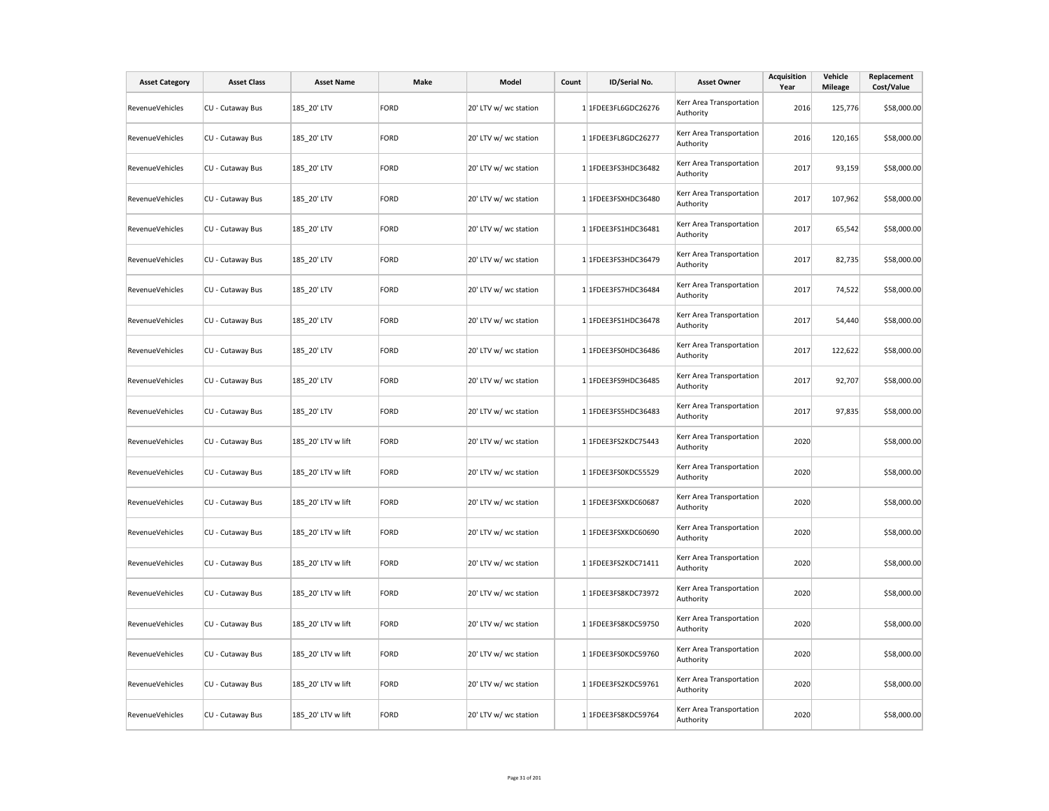| <b>Asset Category</b>  | <b>Asset Class</b> | <b>Asset Name</b>  | Make        | Model                 | Count | ID/Serial No.       | <b>Asset Owner</b>                    | <b>Acquisition</b><br>Year | Vehicle<br><b>Mileage</b> | Replacement<br>Cost/Value |
|------------------------|--------------------|--------------------|-------------|-----------------------|-------|---------------------|---------------------------------------|----------------------------|---------------------------|---------------------------|
| RevenueVehicles        | CU - Cutaway Bus   | 185_20' LTV        | <b>FORD</b> | 20' LTV w/ wc station |       | 1 1FDEE3FL6GDC26276 | Kerr Area Transportation<br>Authority | 2016                       | 125,776                   | \$58,000.00               |
| RevenueVehicles        | CU - Cutaway Bus   | 185_20' LTV        | <b>FORD</b> | 20' LTV w/ wc station |       | 1 1FDEE3FL8GDC26277 | Kerr Area Transportation<br>Authority | 2016                       | 120,165                   | \$58,000.00               |
| RevenueVehicles        | CU - Cutaway Bus   | 185_20' LTV        | <b>FORD</b> | 20' LTV w/ wc station |       | 1 1FDEE3FS3HDC36482 | Kerr Area Transportation<br>Authority | 2017                       | 93,159                    | \$58,000.00               |
| RevenueVehicles        | CU - Cutaway Bus   | 185_20' LTV        | <b>FORD</b> | 20' LTV w/ wc station |       | 1 1FDEE3FSXHDC36480 | Kerr Area Transportation<br>Authority | 2017                       | 107,962                   | \$58,000.00               |
| RevenueVehicles        | CU - Cutaway Bus   | 185 20' LTV        | <b>FORD</b> | 20' LTV w/ wc station |       | 1 1FDEE3FS1HDC36481 | Kerr Area Transportation<br>Authority | 2017                       | 65,542                    | \$58,000.00               |
| RevenueVehicles        | CU - Cutaway Bus   | 185 20' LTV        | <b>FORD</b> | 20' LTV w/ wc station |       | 1 1FDEE3FS3HDC36479 | Kerr Area Transportation<br>Authority | 2017                       | 82,735                    | \$58,000.00               |
| RevenueVehicles        | CU - Cutaway Bus   | 185 20' LTV        | <b>FORD</b> | 20' LTV w/ wc station |       | 1 1FDEE3FS7HDC36484 | Kerr Area Transportation<br>Authority | 2017                       | 74,522                    | \$58,000.00               |
| RevenueVehicles        | CU - Cutaway Bus   | 185 20' LTV        | <b>FORD</b> | 20' LTV w/ wc station |       | 1 1FDEE3FS1HDC36478 | Kerr Area Transportation<br>Authority | 2017                       | 54,440                    | \$58,000.00               |
| RevenueVehicles        | CU - Cutaway Bus   | 185 20' LTV        | <b>FORD</b> | 20' LTV w/ wc station |       | 1 1FDEE3FS0HDC36486 | Kerr Area Transportation<br>Authority | 2017                       | 122,622                   | \$58,000.00               |
| RevenueVehicles        | CU - Cutaway Bus   | 185 20' LTV        | <b>FORD</b> | 20' LTV w/ wc station |       | 1 1FDEE3FS9HDC36485 | Kerr Area Transportation<br>Authority | 2017                       | 92,707                    | \$58,000.00               |
| RevenueVehicles        | CU - Cutaway Bus   | 185 20' LTV        | <b>FORD</b> | 20' LTV w/ wc station |       | 1 1FDEE3FS5HDC36483 | Kerr Area Transportation<br>Authority | 2017                       | 97,835                    | \$58,000.00               |
| RevenueVehicles        | CU - Cutaway Bus   | 185 20' LTV w lift | <b>FORD</b> | 20' LTV w/ wc station |       | 1 1FDEE3FS2KDC75443 | Kerr Area Transportation<br>Authority | 2020                       |                           | \$58,000.00               |
| RevenueVehicles        | CU - Cutaway Bus   | 185 20' LTV w lift | <b>FORD</b> | 20' LTV w/ wc station |       | 1 1FDEE3FS0KDC55529 | Kerr Area Transportation<br>Authority | 2020                       |                           | \$58,000.00               |
| RevenueVehicles        | CU - Cutaway Bus   | 185 20' LTV w lift | <b>FORD</b> | 20' LTV w/ wc station |       | 1 1FDEE3FSXKDC60687 | Kerr Area Transportation<br>Authority | 2020                       |                           | \$58,000.00               |
| <b>RevenueVehicles</b> | CU - Cutaway Bus   | 185 20' LTV w lift | <b>FORD</b> | 20' LTV w/ wc station |       | 1 1FDEE3FSXKDC60690 | Kerr Area Transportation<br>Authority | 2020                       |                           | \$58,000.00               |
| <b>RevenueVehicles</b> | CU - Cutaway Bus   | 185 20' LTV w lift | <b>FORD</b> | 20' LTV w/ wc station |       | 1 1FDEE3FS2KDC71411 | Kerr Area Transportation<br>Authority | 2020                       |                           | \$58,000.00               |
| RevenueVehicles        | CU - Cutaway Bus   | 185 20' LTV w lift | <b>FORD</b> | 20' LTV w/ wc station |       | 1 1FDEE3FS8KDC73972 | Kerr Area Transportation<br>Authority | 2020                       |                           | \$58,000.00               |
| RevenueVehicles        | CU - Cutaway Bus   | 185 20' LTV w lift | <b>FORD</b> | 20' LTV w/ wc station |       | 1 1FDEE3FS8KDC59750 | Kerr Area Transportation<br>Authority | 2020                       |                           | \$58,000.00               |
| RevenueVehicles        | CU - Cutaway Bus   | 185 20' LTV w lift | <b>FORD</b> | 20' LTV w/ wc station |       | 1 1FDEE3FS0KDC59760 | Kerr Area Transportation<br>Authority | 2020                       |                           | \$58,000.00               |
| <b>RevenueVehicles</b> | CU - Cutaway Bus   | 185 20' LTV w lift | <b>FORD</b> | 20' LTV w/ wc station |       | 1 1FDEE3FS2KDC59761 | Kerr Area Transportation<br>Authority | 2020                       |                           | \$58,000.00               |
| <b>RevenueVehicles</b> | CU - Cutaway Bus   | 185 20' LTV w lift | <b>FORD</b> | 20' LTV w/ wc station |       | 1 1FDEE3FS8KDC59764 | Kerr Area Transportation<br>Authority | 2020                       |                           | \$58,000.00               |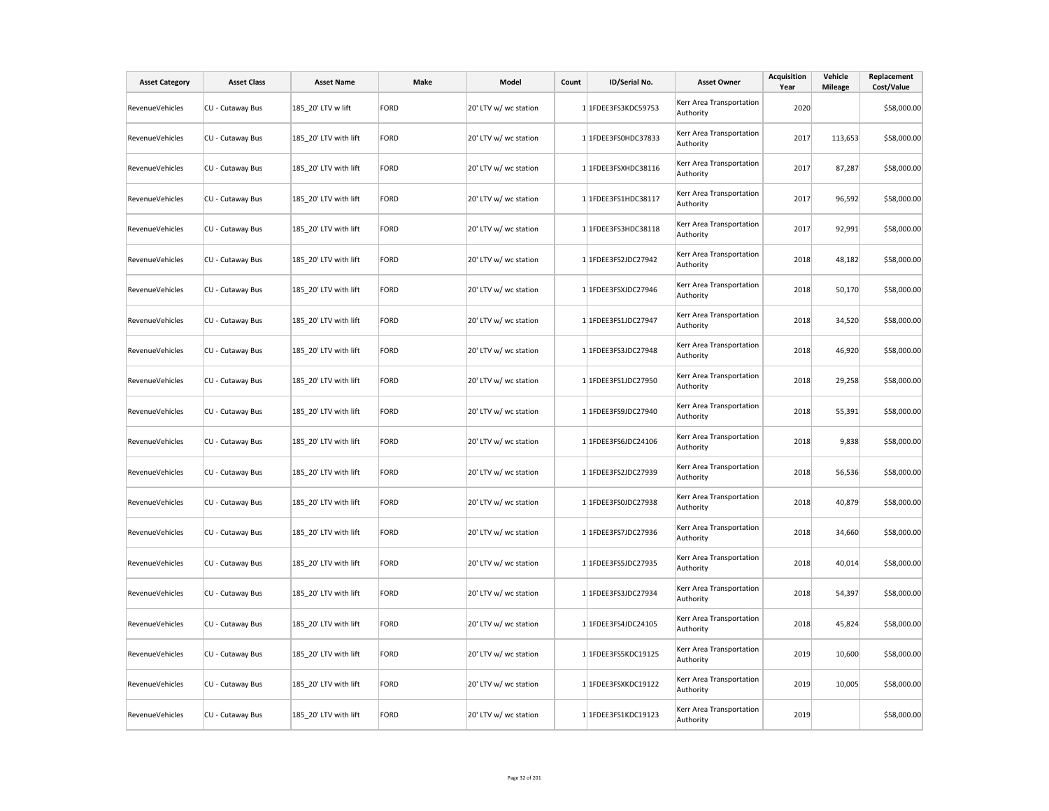| <b>Asset Category</b>  | <b>Asset Class</b> | <b>Asset Name</b>     | Make        | Model                 | Count | ID/Serial No.       | <b>Asset Owner</b>                    | <b>Acquisition</b><br>Year | Vehicle<br><b>Mileage</b> | Replacement<br>Cost/Value |
|------------------------|--------------------|-----------------------|-------------|-----------------------|-------|---------------------|---------------------------------------|----------------------------|---------------------------|---------------------------|
| <b>RevenueVehicles</b> | CU - Cutaway Bus   | 185_20' LTV w lift    | <b>FORD</b> | 20' LTV w/ wc station |       | 1 1FDEE3FS3KDC59753 | Kerr Area Transportation<br>Authority | 2020                       |                           | \$58,000.00               |
| RevenueVehicles        | CU - Cutaway Bus   | 185 20' LTV with lift | <b>FORD</b> | 20' LTV w/ wc station |       | 1 1FDEE3FS0HDC37833 | Kerr Area Transportation<br>Authority | 2017                       | 113,653                   | \$58,000.00               |
| RevenueVehicles        | CU - Cutaway Bus   | 185 20' LTV with lift | <b>FORD</b> | 20' LTV w/ wc station |       | 1 1FDEE3FSXHDC38116 | Kerr Area Transportation<br>Authority | 2017                       | 87,287                    | \$58,000.00               |
| RevenueVehicles        | CU - Cutaway Bus   | 185 20' LTV with lift | <b>FORD</b> | 20' LTV w/ wc station |       | 1 1FDEE3FS1HDC38117 | Kerr Area Transportation<br>Authority | 2017                       | 96,592                    | \$58,000.00               |
| RevenueVehicles        | CU - Cutaway Bus   | 185 20' LTV with lift | <b>FORD</b> | 20' LTV w/ wc station |       | 1 1FDEE3FS3HDC38118 | Kerr Area Transportation<br>Authority | 2017                       | 92,991                    | \$58,000.00               |
| <b>RevenueVehicles</b> | CU - Cutaway Bus   | 185 20' LTV with lift | <b>FORD</b> | 20' LTV w/ wc station |       | 1 1FDEE3FS2JDC27942 | Kerr Area Transportation<br>Authority | 2018                       | 48,182                    | \$58,000.00               |
| RevenueVehicles        | CU - Cutaway Bus   | 185 20' LTV with lift | <b>FORD</b> | 20' LTV w/ wc station |       | 1 1FDEE3FSXJDC27946 | Kerr Area Transportation<br>Authority | 2018                       | 50,170                    | \$58,000.00               |
| <b>RevenueVehicles</b> | CU - Cutaway Bus   | 185_20' LTV with lift | <b>FORD</b> | 20' LTV w/ wc station |       | 1 1FDEE3FS1JDC27947 | Kerr Area Transportation<br>Authority | 2018                       | 34,520                    | \$58,000.00               |
| RevenueVehicles        | CU - Cutaway Bus   | 185_20' LTV with lift | <b>FORD</b> | 20' LTV w/ wc station |       | 1 1FDEE3FS3JDC27948 | Kerr Area Transportation<br>Authority | 2018                       | 46,920                    | \$58,000.00               |
| RevenueVehicles        | CU - Cutaway Bus   | 185 20' LTV with lift | <b>FORD</b> | 20' LTV w/ wc station |       | 1 1FDEE3FS1JDC27950 | Kerr Area Transportation<br>Authority | 2018                       | 29,258                    | \$58,000.00               |
| <b>RevenueVehicles</b> | CU - Cutaway Bus   | 185 20' LTV with lift | <b>FORD</b> | 20' LTV w/ wc station |       | 1 1FDEE3FS9JDC27940 | Kerr Area Transportation<br>Authority | 2018                       | 55,391                    | \$58,000.00               |
| RevenueVehicles        | CU - Cutaway Bus   | 185_20' LTV with lift | <b>FORD</b> | 20' LTV w/ wc station |       | 1 1FDEE3FS6JDC24106 | Kerr Area Transportation<br>Authority | 2018                       | 9,838                     | \$58,000.00               |
| RevenueVehicles        | CU - Cutaway Bus   | 185_20' LTV with lift | <b>FORD</b> | 20' LTV w/ wc station |       | 1 1FDEE3FS2JDC27939 | Kerr Area Transportation<br>Authority | 2018                       | 56,536                    | \$58,000.00               |
| RevenueVehicles        | CU - Cutaway Bus   | 185_20' LTV with lift | <b>FORD</b> | 20' LTV w/ wc station |       | 1 1FDEE3FS0JDC27938 | Kerr Area Transportation<br>Authority | 2018                       | 40,879                    | \$58,000.00               |
| RevenueVehicles        | CU - Cutaway Bus   | 185_20' LTV with lift | <b>FORD</b> | 20' LTV w/ wc station |       | 1 1FDEE3FS7JDC27936 | Kerr Area Transportation<br>Authority | 2018                       | 34,660                    | \$58,000.00               |
| <b>RevenueVehicles</b> | CU - Cutaway Bus   | 185_20' LTV with lift | <b>FORD</b> | 20' LTV w/ wc station |       | 1 1FDEE3FS5JDC27935 | Kerr Area Transportation<br>Authority | 2018                       | 40,014                    | \$58,000.00               |
| RevenueVehicles        | CU - Cutaway Bus   | 185 20' LTV with lift | <b>FORD</b> | 20' LTV w/ wc station |       | 1 1FDEE3FS3JDC27934 | Kerr Area Transportation<br>Authority | 2018                       | 54,397                    | \$58,000.00               |
| RevenueVehicles        | CU - Cutaway Bus   | 185 20' LTV with lift | <b>FORD</b> | 20' LTV w/ wc station |       | 1 1FDEE3FS4JDC24105 | Kerr Area Transportation<br>Authority | 2018                       | 45,824                    | \$58,000.00               |
| RevenueVehicles        | CU - Cutaway Bus   | 185 20' LTV with lift | <b>FORD</b> | 20' LTV w/ wc station |       | 1 1FDEE3FS5KDC19125 | Kerr Area Transportation<br>Authority | 2019                       | 10,600                    | \$58,000.00               |
| RevenueVehicles        | CU - Cutaway Bus   | 185 20' LTV with lift | <b>FORD</b> | 20' LTV w/ wc station |       | 1 1FDEE3FSXKDC19122 | Kerr Area Transportation<br>Authority | 2019                       | 10,005                    | \$58,000.00               |
| RevenueVehicles        | CU - Cutaway Bus   | 185 20' LTV with lift | <b>FORD</b> | 20' LTV w/ wc station |       | 1 1FDEE3FS1KDC19123 | Kerr Area Transportation<br>Authority | 2019                       |                           | \$58,000.00               |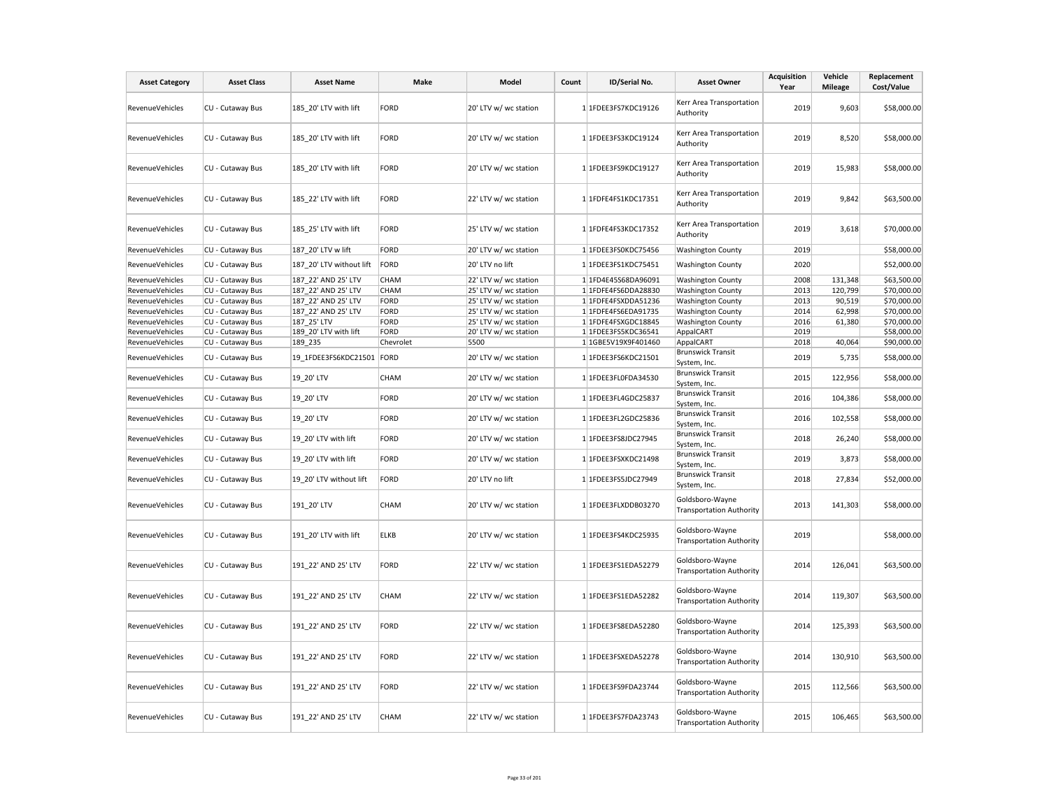| <b>Asset Category</b>  | <b>Asset Class</b> | <b>Asset Name</b>         | <b>Make</b> | Model                 | Count | ID/Serial No.       | <b>Asset Owner</b>                                 | <b>Acquisition</b><br>Year | Vehicle<br><b>Mileage</b> | Replacement<br>Cost/Value |
|------------------------|--------------------|---------------------------|-------------|-----------------------|-------|---------------------|----------------------------------------------------|----------------------------|---------------------------|---------------------------|
| RevenueVehicles        | CU - Cutaway Bus   | 185 20' LTV with lift     | <b>FORD</b> | 20' LTV w/ wc station |       | 1 1FDEE3FS7KDC19126 | Kerr Area Transportation<br>Authority              | 2019                       | 9,603                     | \$58,000.00               |
| RevenueVehicles        | CU - Cutaway Bus   | 185 20' LTV with lift     | <b>FORD</b> | 20' LTV w/ wc station |       | 1 1FDEE3FS3KDC19124 | Kerr Area Transportation<br>Authority              | 2019                       | 8,520                     | \$58,000.00               |
| RevenueVehicles        | CU - Cutaway Bus   | 185_20' LTV with lift     | <b>FORD</b> | 20' LTV w/ wc station |       | 1 1FDEE3FS9KDC19127 | Kerr Area Transportation<br>Authority              | 2019                       | 15,983                    | \$58,000.00               |
| <b>RevenueVehicles</b> | CU - Cutaway Bus   | 185 22' LTV with lift     | <b>FORD</b> | 22' LTV w/ wc station |       | 1 1FDFE4FS1KDC17351 | Kerr Area Transportation<br>Authority              | 2019                       | 9.842                     | \$63,500.00               |
| RevenueVehicles        | CU - Cutaway Bus   | 185 25' LTV with lift     | <b>FORD</b> | 25' LTV w/ wc station |       | 1 1FDFE4FS3KDC17352 | Kerr Area Transportation<br>Authority              | 2019                       | 3,618                     | \$70,000.00               |
| RevenueVehicles        | CU - Cutaway Bus   | 187 20' LTV w lift        | <b>FORD</b> | 20' LTV w/ wc station |       | 1 1FDEE3FS0KDC75456 | <b>Washington County</b>                           | 2019                       |                           | \$58,000.00               |
| RevenueVehicles        | CU - Cutaway Bus   | 187 20' LTV without lift  | FORD        | 20' LTV no lift       |       | 1 1FDEE3FS1KDC75451 | <b>Washington County</b>                           | 2020                       |                           | \$52,000.00               |
| RevenueVehicles        | CU - Cutaway Bus   | 187 22' AND 25' LTV       | CHAM        | 22' LTV w/ wc station |       | 1 1FD4E45S68DA96091 | <b>Washington County</b>                           | 2008                       | 131,348                   | \$63,500.00               |
| RevenueVehicles        | CU - Cutaway Bus   | 187 22' AND 25' LTV       | CHAM        | 25' LTV w/ wc station |       | 1 1FDFE4FS6DDA28830 | <b>Washington County</b>                           | 2013                       | 120,799                   | \$70,000.00               |
| <b>RevenueVehicles</b> | CU - Cutaway Bus   | 187 22' AND 25' LTV       | <b>FORD</b> | 25' LTV w/ wc station |       | 1 1FDFE4FSXDDA51236 | <b>Washington County</b>                           | 2013                       | 90,519                    | \$70,000.00               |
| RevenueVehicles        | CU - Cutaway Bus   | 187 22' AND 25' LTV       | <b>FORD</b> | 25' LTV w/ wc station |       | 1 1FDFE4FS6EDA91735 | <b>Washington County</b>                           | 2014                       | 62,998                    | \$70,000.00               |
| RevenueVehicles        | CU - Cutaway Bus   | 187 25' LTV               | <b>FORD</b> | 25' LTV w/ wc station |       | 1 1FDFE4FSXGDC18845 | <b>Washington County</b>                           | 2016                       | 61,380                    | \$70,000.00               |
| <b>RevenueVehicles</b> | CU - Cutaway Bus   | 189 20' LTV with lift     | <b>FORD</b> | 20' LTV w/ wc station |       | 1 1FDEE3FS5KDC36541 | AppalCART                                          | 2019                       |                           | \$58,000.00               |
| RevenueVehicles        | CU - Cutaway Bus   | 189 235                   | Chevrolet   | 5500                  |       | 1 1GBE5V19X9F401460 | AppalCART                                          | 2018                       | 40,064                    | \$90,000.00               |
| RevenueVehicles        | CU - Cutaway Bus   | 19 1FDEE3FS6KDC21501 FORD |             | 20' LTV w/ wc station |       | 1 1FDEE3FS6KDC21501 | <b>Brunswick Transit</b><br>System, Inc.           | 2019                       | 5,735                     | \$58,000.00               |
| RevenueVehicles        | CU - Cutaway Bus   | 19 20' LTV                | CHAM        | 20' LTV w/ wc station |       | 1 1FDEE3FL0FDA34530 | <b>Brunswick Transit</b><br>System, Inc.           | 2015                       | 122,956                   | \$58,000.00               |
| <b>RevenueVehicles</b> | CU - Cutaway Bus   | 19 20' LTV                | <b>FORD</b> | 20' LTV w/ wc station |       | 1 1FDEE3FL4GDC25837 | <b>Brunswick Transit</b><br>System, Inc.           | 2016                       | 104,386                   | \$58,000.00               |
| RevenueVehicles        | CU - Cutaway Bus   | 19 20' LTV                | <b>FORD</b> | 20' LTV w/ wc station |       | 1 1FDEE3FL2GDC25836 | <b>Brunswick Transit</b><br>System, Inc.           | 2016                       | 102,558                   | \$58,000.00               |
| RevenueVehicles        | CU - Cutaway Bus   | 19 20' LTV with lift      | <b>FORD</b> | 20' LTV w/ wc station |       | 1 1FDEE3FS8JDC27945 | <b>Brunswick Transit</b><br>System, Inc.           | 2018                       | 26,240                    | \$58,000.00               |
| RevenueVehicles        | CU - Cutaway Bus   | 19 20' LTV with lift      | <b>FORD</b> | 20' LTV w/ wc station |       | 1 1FDEE3FSXKDC21498 | <b>Brunswick Transit</b><br>System, Inc.           | 2019                       | 3,873                     | \$58,000.00               |
| RevenueVehicles        | CU - Cutaway Bus   | 19 20' LTV without lift   | <b>FORD</b> | 20' LTV no lift       |       | 1 1FDEE3FS5JDC27949 | <b>Brunswick Transit</b><br>System, Inc.           | 2018                       | 27,834                    | \$52,000.00               |
| RevenueVehicles        | CU - Cutaway Bus   | 191 20' LTV               | CHAM        | 20' LTV w/ wc station |       | 1 1FDEE3FLXDDB03270 | Goldsboro-Wayne<br><b>Transportation Authority</b> | 2013                       | 141,303                   | \$58,000.00               |
| RevenueVehicles        | CU - Cutaway Bus   | 191 20' LTV with lift     | <b>ELKB</b> | 20' LTV w/ wc station |       | 1 1FDEE3FS4KDC25935 | Goldsboro-Wayne<br><b>Transportation Authority</b> | 2019                       |                           | \$58,000.00               |
| <b>RevenueVehicles</b> | CU - Cutaway Bus   | 191 22' AND 25' LTV       | <b>FORD</b> | 22' LTV w/ wc station |       | 1 1FDEE3FS1EDA52279 | Goldsboro-Wayne<br><b>Transportation Authority</b> | 2014                       | 126,041                   | \$63,500.00               |
| RevenueVehicles        | CU - Cutaway Bus   | 191 22' AND 25' LTV       | CHAM        | 22' LTV w/ wc station |       | 1 1FDEE3FS1EDA52282 | Goldsboro-Wayne<br><b>Transportation Authority</b> | 2014                       | 119,307                   | \$63,500.00               |
| RevenueVehicles        | CU - Cutaway Bus   | 191 22' AND 25' LTV       | <b>FORD</b> | 22' LTV w/ wc station |       | 1 1FDEE3FS8EDA52280 | Goldsboro-Wayne<br><b>Transportation Authority</b> | 2014                       | 125,393                   | \$63,500.00               |
| RevenueVehicles        | CU - Cutaway Bus   | 191 22' AND 25' LTV       | <b>FORD</b> | 22' LTV w/ wc station |       | 1 1FDEE3FSXEDA52278 | Goldsboro-Wayne<br><b>Transportation Authority</b> | 2014                       | 130,910                   | \$63,500.00               |
| <b>RevenueVehicles</b> | CU - Cutaway Bus   | 191 22' AND 25' LTV       | <b>FORD</b> | 22' LTV w/ wc station |       | 1 1FDEE3FS9FDA23744 | Goldsboro-Wayne<br><b>Transportation Authority</b> | 2015                       | 112,566                   | \$63,500.00               |
| RevenueVehicles        | CU - Cutaway Bus   | 191_22' AND 25' LTV       | CHAM        | 22' LTV w/ wc station |       | 1 1FDEE3FS7FDA23743 | Goldsboro-Wayne<br><b>Transportation Authority</b> | 2015                       | 106,465                   | \$63,500.00               |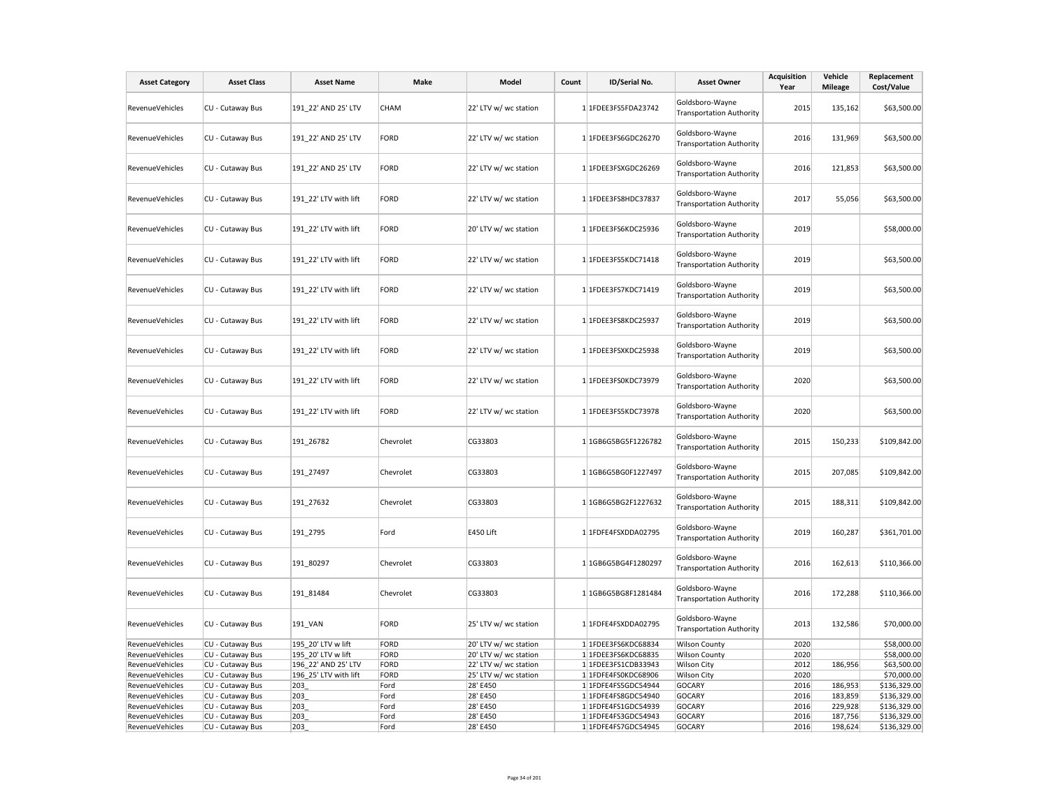| <b>Asset Category</b>              | <b>Asset Class</b>                   | <b>Asset Name</b>     | Make         | Model                 | Count | ID/Serial No.                              | <b>Asset Owner</b>                                 | <b>Acquisition</b><br>Year | Vehicle<br><b>Mileage</b> | Replacement<br>Cost/Value    |
|------------------------------------|--------------------------------------|-----------------------|--------------|-----------------------|-------|--------------------------------------------|----------------------------------------------------|----------------------------|---------------------------|------------------------------|
| <b>RevenueVehicles</b>             | CU - Cutaway Bus                     | 191 22' AND 25' LTV   | <b>CHAM</b>  | 22' LTV w/ wc station |       | 1 1FDEE3FS5FDA23742                        | Goldsboro-Wayne<br><b>Transportation Authority</b> | 2015                       | 135,162                   | \$63,500.00                  |
| RevenueVehicles                    | CU - Cutaway Bus                     | 191 22' AND 25' LTV   | FORD         | 22' LTV w/ wc station |       | 1 1FDEE3FS6GDC26270                        | Goldsboro-Wayne<br><b>Transportation Authority</b> | 2016                       | 131,969                   | \$63,500.00                  |
| RevenueVehicles                    | CU - Cutaway Bus                     | 191_22' AND 25' LTV   | FORD         | 22' LTV w/ wc station |       | 1 1FDEE3FSXGDC26269                        | Goldsboro-Wayne<br><b>Transportation Authority</b> | 2016                       | 121,853                   | \$63,500.00                  |
| RevenueVehicles                    | CU - Cutaway Bus                     | 191_22' LTV with lift | <b>FORD</b>  | 22' LTV w/ wc station |       | 1 1FDEE3FS8HDC37837                        | Goldsboro-Wayne<br><b>Transportation Authority</b> | 2017                       | 55,056                    | \$63,500.00                  |
| RevenueVehicles                    | CU - Cutaway Bus                     | 191_22' LTV with lift | FORD         | 20' LTV w/ wc station |       | 1 1FDEE3FS6KDC25936                        | Goldsboro-Wayne<br><b>Transportation Authority</b> | 2019                       |                           | \$58,000.00                  |
| RevenueVehicles                    | CU - Cutaway Bus                     | 191 22' LTV with lift | FORD         | 22' LTV w/ wc station |       | 1 1FDEE3FS5KDC71418                        | Goldsboro-Wayne<br><b>Transportation Authority</b> | 2019                       |                           | \$63,500.00                  |
| RevenueVehicles                    | CU - Cutaway Bus                     | 191 22' LTV with lift | FORD         | 22' LTV w/ wc station |       | 1 1FDEE3FS7KDC71419                        | Goldsboro-Wayne<br><b>Transportation Authority</b> | 2019                       |                           | \$63,500.00                  |
| RevenueVehicles                    | CU - Cutaway Bus                     | 191_22' LTV with lift | FORD         | 22' LTV w/ wc station |       | 1 1FDEE3FS8KDC25937                        | Goldsboro-Wayne<br><b>Transportation Authority</b> | 2019                       |                           | \$63,500.00                  |
| RevenueVehicles                    | CU - Cutaway Bus                     | 191_22' LTV with lift | FORD         | 22' LTV w/ wc station |       | 1 1FDEE3FSXKDC25938                        | Goldsboro-Wayne<br><b>Transportation Authority</b> | 2019                       |                           | \$63,500.00                  |
| RevenueVehicles                    | CU - Cutaway Bus                     | 191 22' LTV with lift | FORD         | 22' LTV w/ wc station |       | 1 1FDEE3FS0KDC73979                        | Goldsboro-Wayne<br><b>Transportation Authority</b> | 2020                       |                           | \$63,500.00                  |
| RevenueVehicles                    | CU - Cutaway Bus                     | 191 22' LTV with lift | <b>FORD</b>  | 22' LTV w/ wc station |       | 1 1FDEE3FS5KDC73978                        | Goldsboro-Wayne<br><b>Transportation Authority</b> | 2020                       |                           | \$63,500.00                  |
| <b>RevenueVehicles</b>             | CU - Cutaway Bus                     | 191 26782             | Chevrolet    | CG33803               |       | 1 1GB6G5BG5F1226782                        | Goldsboro-Wayne<br><b>Transportation Authority</b> | 2015                       | 150,233                   | \$109,842.00                 |
| RevenueVehicles                    | CU - Cutaway Bus                     | 191_27497             | Chevrolet    | CG33803               |       | 1 1GB6G5BG0F1227497                        | Goldsboro-Wayne<br><b>Transportation Authority</b> | 2015                       | 207,085                   | \$109,842.00                 |
| RevenueVehicles                    | CU - Cutaway Bus                     | 191_27632             | Chevrolet    | CG33803               |       | 1 1GB6G5BG2F1227632                        | Goldsboro-Wayne<br><b>Transportation Authority</b> | 2015                       | 188,311                   | \$109,842.00                 |
| <b>RevenueVehicles</b>             | CU - Cutaway Bus                     | 191 2795              | Ford         | E450 Lift             |       | 1 1FDFE4FSXDDA02795                        | Goldsboro-Wayne<br><b>Transportation Authority</b> | 2019                       | 160,287                   | \$361,701.00                 |
| <b>RevenueVehicles</b>             | CU - Cutaway Bus                     | 191 80297             | Chevrolet    | CG33803               |       | 1 1GB6G5BG4F1280297                        | Goldsboro-Wayne<br><b>Transportation Authority</b> | 2016                       | 162,613                   | \$110,366.00                 |
| RevenueVehicles                    | CU - Cutaway Bus                     | 191_81484             | Chevrolet    | CG33803               |       | 1 1GB6G5BG8F1281484                        | Goldsboro-Wayne<br><b>Transportation Authority</b> | 2016                       | 172,288                   | \$110,366.00                 |
| RevenueVehicles                    | CU - Cutaway Bus                     | 191_VAN               | FORD         | 25' LTV w/ wc station |       | 1 1FDFE4FSXDDA02795                        | Goldsboro-Wayne<br><b>Transportation Authority</b> | 2013                       | 132,586                   | \$70,000.00                  |
| RevenueVehicles                    | CU - Cutaway Bus                     | 195 20' LTV w lift    | FORD         | 20' LTV w/ wc station |       | 1 1FDEE3FS6KDC68834                        | <b>Wilson County</b>                               | 2020                       |                           | \$58,000.00                  |
| RevenueVehicles                    | CU - Cutaway Bus                     | 195 20' LTV w lift    | FORD         | 20' LTV w/ wc station |       | 1 1FDEE3FS6KDC68835                        | <b>Wilson County</b>                               | 2020                       |                           | \$58,000.00                  |
| RevenueVehicles                    | CU - Cutaway Bus                     | 196 22' AND 25' LTV   | FORD         | 22' LTV w/ wc station |       | 1 1FDEE3FS1CDB33943                        | <b>Wilson City</b>                                 | 2012                       | 186,956                   | \$63,500.00                  |
| RevenueVehicles                    | CU - Cutaway Bus                     | 196 25' LTV with lift | FORD         | 25' LTV w/ wc station |       | 1 1FDFE4FS0KDC68906                        | <b>Wilson City</b>                                 | 2020                       |                           | \$70,000.00                  |
| RevenueVehicles                    | CU - Cutaway Bus                     | 203                   | Ford         | 28' E450              |       | 1 1FDFE4FS5GDC54944                        | <b>GOCARY</b>                                      | 2016                       | 186,953                   | \$136,329.00                 |
| RevenueVehicles<br>RevenueVehicles | CU - Cutaway Bus<br>CU - Cutaway Bus | 203<br>203            | Ford<br>Ford | 28' E450<br>28' E450  |       | 1 1FDFE4FS8GDC54940<br>1 1FDFE4FS1GDC54939 | <b>GOCARY</b><br>GOCARY                            | 2016<br>2016               | 183,859<br>229,928        | \$136,329.00<br>\$136,329.00 |
| RevenueVehicles                    | CU - Cutaway Bus                     | 203                   | Ford         | 28' E450              |       | 1 1FDFE4FS3GDC54943                        | <b>GOCARY</b>                                      | 2016                       | 187,756                   | \$136,329.00                 |
| RevenueVehicles                    | CU - Cutaway Bus                     | 203                   | Ford         | 28' E450              |       | 1 1FDFE4FS7GDC54945                        | <b>GOCARY</b>                                      | 2016                       | 198,624                   | \$136,329.00                 |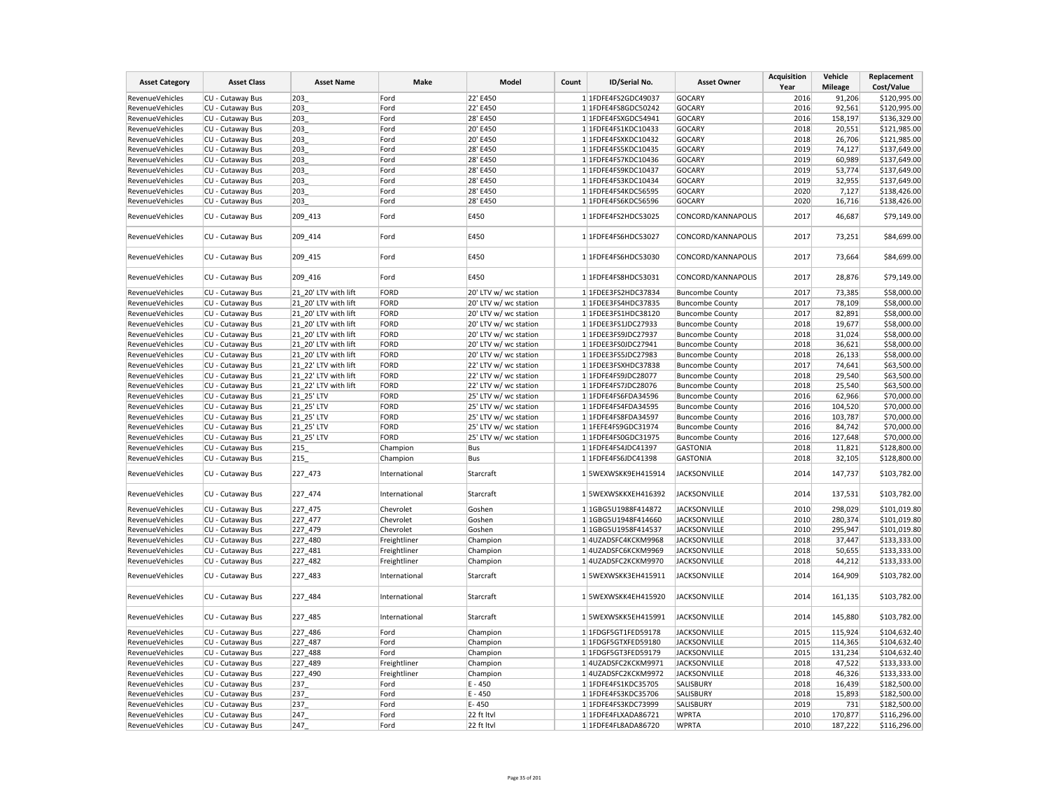| \$120,995.00<br>RevenueVehicles<br>CU - Cutaway Bus<br>203<br>22' E450<br>1 1FDFE4FS2GDC49037<br><b>GOCARY</b><br>2016<br>91,206<br>Ford<br>2016<br>92,561<br>\$120,995.00<br>RevenueVehicles<br>CU - Cutaway Bus<br>203<br>22' E450<br>1 1FDFE4FS8GDC50242<br><b>GOCARY</b><br>Ford<br>RevenueVehicles<br>CU - Cutaway Bus<br>203<br>Ford<br>28' E450<br>1 1FDFE4FSXGDC54941<br><b>GOCARY</b><br>2016<br>158,197<br>\$136,329.00<br>2018<br>RevenueVehicles<br>CU - Cutaway Bus<br>203<br>Ford<br>20' E450<br>1 1FDFE4FS1KDC10433<br><b>GOCARY</b><br>20,551<br>\$121,985.00<br>2018<br>RevenueVehicles<br>CU - Cutaway Bus<br>203<br>Ford<br>20' E450<br>1 1FDFE4FSXKDC10432<br><b>GOCARY</b><br>26,706<br>\$121,985.00<br><b>GOCARY</b><br>2019<br>\$137,649.00<br>RevenueVehicles<br>CU - Cutaway Bus<br>203<br>Ford<br>28' E450<br>1 1FDFE4FS5KDC10435<br>74,127<br>2019<br>\$137,649.00<br>RevenueVehicles<br>CU - Cutaway Bus<br>203<br>Ford<br>28' E450<br>1 1FDFE4FS7KDC10436<br><b>GOCARY</b><br>60,989<br>203<br>2019<br>RevenueVehicles<br>CU - Cutaway Bus<br>Ford<br>28' E450<br>1 1FDFE4FS9KDC10437<br><b>GOCARY</b><br>53,774<br>\$137,649.00<br>2019<br>RevenueVehicles<br>CU - Cutaway Bus<br>203<br>Ford<br>28' E450<br>1 1FDFE4FS3KDC10434<br><b>GOCARY</b><br>32,955<br>\$137,649.00<br>2020<br>RevenueVehicles<br>CU - Cutaway Bus<br>203<br>Ford<br>28' E450<br>1 1FDFE4FS4KDC56595<br><b>GOCARY</b><br>7,127<br>\$138,426.00<br>2020<br>RevenueVehicles<br>CU - Cutaway Bus<br>203<br>Ford<br>28' E450<br><b>GOCARY</b><br>16,716<br>\$138,426.00<br>1 1FDFE4FS6KDC56596<br>2017<br>46,687<br>\$79,149.00<br>RevenueVehicles<br>CU - Cutaway Bus<br>209 413<br>Ford<br>E450<br>1 1FDFE4FS2HDC53025<br>CONCORD/KANNAPOLIS<br>RevenueVehicles<br>CU - Cutaway Bus<br>209 414<br>Ford<br>E450<br>1 1FDFE4FS6HDC53027<br>CONCORD/KANNAPOLIS<br>2017<br>73,251<br>\$84,699.00<br>RevenueVehicles<br>CU - Cutaway Bus<br>209_415<br>Ford<br>E450<br>1 1FDFE4FS6HDC53030<br>CONCORD/KANNAPOLIS<br>2017<br>73,664<br>\$84,699.00<br>RevenueVehicles<br>CU - Cutaway Bus<br>Ford<br>E450<br>1 1FDFE4FS8HDC53031<br>CONCORD/KANNAPOLIS<br>2017<br>28,876<br>\$79,149.00<br>209_416<br>21 20' LTV with lift<br>20' LTV w/ wc station<br>2017<br>73,385<br>\$58,000.00<br>RevenueVehicles<br>CU - Cutaway Bus<br><b>FORD</b><br>1 1FDEE3FS2HDC37834<br><b>Buncombe County</b><br>RevenueVehicles<br>CU - Cutaway Bus<br>21 20' LTV with lift<br><b>FORD</b><br>20' LTV w/ wc station<br>1 1FDEE3FS4HDC37835<br><b>Buncombe County</b><br>2017<br>78,109<br>\$58,000.00<br>2017<br>RevenueVehicles<br>CU - Cutaway Bus<br>21 20' LTV with lift<br><b>FORD</b><br>20' LTV w/ wc station<br>82,891<br>\$58,000.00<br>1 1FDEE3FS1HDC38120<br><b>Buncombe County</b><br>21 20' LTV with lift<br>2018<br>RevenueVehicles<br>CU - Cutaway Bus<br><b>FORD</b><br>20' LTV w/ wc station<br>19,677<br>\$58,000.00<br>1 1FDEE3FS1JDC27933<br><b>Buncombe County</b><br>21 20' LTV with lift<br>\$58,000.00<br>RevenueVehicles<br>CU - Cutaway Bus<br>FORD<br>20' LTV w/ wc station<br>1 1FDEE3FS9JDC27937<br><b>Buncombe County</b><br>2018<br>31,024<br>RevenueVehicles<br>CU - Cutaway Bus<br>21 20' LTV with lift<br>FORD<br>20' LTV w/ wc station<br>1 1FDEE3FS0JDC27941<br><b>Buncombe County</b><br>2018<br>36,621<br>\$58,000.00<br>2018<br>RevenueVehicles<br>CU - Cutaway Bus<br>21 20' LTV with lift<br><b>FORD</b><br>20' LTV w/ wc station<br>26,133<br>\$58,000.00<br>1 1FDEE3FS5JDC27983<br><b>Buncombe County</b><br>2017<br>RevenueVehicles<br>CU - Cutaway Bus<br>21_22' LTV with lift<br>FORD<br>22' LTV w/ wc station<br>1 1FDEE3FSXHDC37838<br><b>Buncombe County</b><br>74,641<br>\$63,500.00<br>RevenueVehicles<br>CU - Cutaway Bus<br>21 22' LTV with lift<br><b>FORD</b><br>22' LTV w/ wc station<br>1 1FDFE4FS9JDC28077<br><b>Buncombe County</b><br>2018<br>29,540<br>\$63,500.00<br>2018<br>CU - Cutaway Bus<br>21 22' LTV with lift<br>FORD<br>22' LTV w/ wc station<br>25,540<br>\$63,500.00<br>RevenueVehicles<br>1 1FDFE4FS7JDC28076<br><b>Buncombe County</b><br>2016<br>\$70,000.00<br>RevenueVehicles<br>CU - Cutaway Bus<br>21 25' LTV<br><b>FORD</b><br>25' LTV w/ wc station<br>1 1FDFE4FS6FDA34596<br>62,966<br><b>Buncombe County</b><br>RevenueVehicles<br>CU - Cutaway Bus<br>21 25' LTV<br><b>FORD</b><br>1 1FDFE4FS4FDA34595<br>2016<br>104,520<br>\$70,000.00<br>25' LTV w/ wc station<br><b>Buncombe County</b><br>2016<br>RevenueVehicles<br>CU - Cutaway Bus<br>21 25' LTV<br><b>FORD</b><br>25' LTV w/ wc station<br>103,787<br>\$70,000.00<br>1 1FDFE4FS8FDA34597<br><b>Buncombe County</b><br>2016<br>CU - Cutaway Bus<br>21_25' LTV<br>FORD<br>25' LTV w/ wc station<br>1 1FEFE4FS9GDC31974<br>84,742<br>\$70,000.00<br>RevenueVehicles<br><b>Buncombe County</b><br><b>FORD</b><br>2016<br>RevenueVehicles<br>CU - Cutaway Bus<br>21 25' LTV<br>25' LTV w/ wc station<br>1 1FDFE4FS0GDC31975<br><b>Buncombe County</b><br>127,648<br>\$70,000.00<br>RevenueVehicles<br>CU - Cutaway Bus<br>215<br>Champion<br>1 1FDFE4FS4JDC41397<br><b>GASTONIA</b><br>2018<br>11,821<br>\$128,800.00<br>Bus<br><b>GASTONIA</b><br>2018<br>32,105<br>\$128,800.00<br>RevenueVehicles<br>CU - Cutaway Bus<br>215<br>Champion<br>Bus<br>1 1FDFE4FS6JDC41398<br>227_473<br>2014<br>\$103,782.00<br>RevenueVehicles<br>1 5WEXWSKK9EH415914<br><b>JACKSONVILLE</b><br>147,737<br>CU - Cutaway Bus<br>International<br>Starcraft<br>227_474<br>1 5WEXWSKKXEH416392<br><b>JACKSONVILLE</b><br>2014<br>\$103,782.00<br>RevenueVehicles<br>CU - Cutaway Bus<br>International<br>Starcraft<br>137,531<br>227 475<br>\$101,019.80<br>RevenueVehicles<br>CU - Cutaway Bus<br>Chevrolet<br>1 1GBG5U1988F414872<br><b>JACKSONVILLE</b><br>2010<br>298,029<br>Goshen<br>227_477<br>2010<br>RevenueVehicles<br>CU - Cutaway Bus<br>Chevrolet<br>1 1GBG5U1948F414660<br><b>JACKSONVILLE</b><br>280,374<br>\$101,019.80<br>Goshen<br>227 479<br>2010<br>RevenueVehicles<br>CU - Cutaway Bus<br>Chevrolet<br>Goshen<br>1 1 GBG5 U1958 F414537<br><b>JACKSONVILLE</b><br>295,947<br>\$101,019.80<br>227 480<br>2018<br>RevenueVehicles<br>CU - Cutaway Bus<br>Freightliner<br>Champion<br>1 4 UZADSFC4KCKM9968<br><b>JACKSONVILLE</b><br>37,447<br>\$133,333.00<br>2018<br>CU - Cutaway Bus<br>227_481<br>50,655<br>\$133,333.00<br>RevenueVehicles<br>Freightliner<br>Champion<br>1 4UZADSFC6KCKM9969<br><b>JACKSONVILLE</b><br>RevenueVehicles<br>CU - Cutaway Bus<br>227_482<br>Freightliner<br>Champion<br>1 4UZADSFC2KCKM9970<br><b>JACKSONVILLE</b><br>2018<br>44,212<br>\$133,333.00<br>CU - Cutaway Bus<br>227_483<br>1 5WEXWSKK3EH415911<br><b>JACKSONVILLE</b><br>2014<br>164,909<br>\$103,782.00<br>RevenueVehicles<br>International<br>Starcraft<br>227_484<br>1 5WEXWSKK4EH415920<br><b>JACKSONVILLE</b><br>2014<br>161,135<br>\$103,782.00<br>RevenueVehicles<br>CU - Cutaway Bus<br>International<br>Starcraft<br>227_485<br>2014<br>\$103,782.00<br>RevenueVehicles<br>CU - Cutaway Bus<br>International<br>Starcraft<br>1 5WEXWSKK5EH415991<br><b>JACKSONVILLE</b><br>145,880<br>227 486<br>Ford<br><b>JACKSONVILLE</b><br>2015<br>115,924<br>\$104,632.40<br>RevenueVehicles<br>CU - Cutaway Bus<br>Champion<br>1 1FDGF5GT1FED59178<br>227_487<br>2015<br>RevenueVehicles<br>CU - Cutaway Bus<br>1 1FDGF5GTXFED59180<br><b>JACKSONVILLE</b><br>\$104,632.40<br>Ford<br>Champion<br>114,365<br>RevenueVehicles<br>CU - Cutaway Bus<br>227_488<br>1 1FDGF5GT3FED59179<br><b>JACKSONVILLE</b><br>2015<br>131,234<br>\$104,632.40<br>Ford<br>Champion<br>227 489<br>Freightliner<br>2018<br>47,522<br>\$133,333.00<br>RevenueVehicles<br>CU - Cutaway Bus<br>Champion<br>1 4UZADSFC2KCKM9971<br><b>JACKSONVILLE</b><br>2018<br>CU - Cutaway Bus<br>227 490<br><b>JACKSONVILLE</b><br>46,326<br>\$133,333.00<br>RevenueVehicles<br>Freightliner<br>Champion<br>1 4UZADSFC2KCKM9972<br>RevenueVehicles<br>CU - Cutaway Bus<br>237<br>Ford<br>E - 450<br>1 1FDFE4FS1KDC35705<br>SALISBURY<br>2018<br>16,439<br>\$182,500.00<br>RevenueVehicles<br>CU - Cutaway Bus<br>237<br>Ford<br>E - 450<br>1 1FDFE4FS3KDC35706<br>SALISBURY<br>2018<br>15,893<br>\$182,500.00<br>2019<br>RevenueVehicles<br>237<br>E-450<br>SALISBURY<br>731<br>\$182,500.00<br>CU - Cutaway Bus<br>Ford<br>1 1FDFE4FS3KDC73999<br>247<br>2010<br>RevenueVehicles<br>CU - Cutaway Bus<br>Ford<br>22 ft Itvl<br>1 1FDFE4FLXADA86721<br><b>WPRTA</b><br>170,877<br>\$116,296.00<br>RevenueVehicles<br>CU - Cutaway Bus<br>247<br>Ford<br>22 ft Itvl<br>1 1FDFE4FL8ADA86720<br><b>WPRTA</b><br>2010<br>187,222<br>\$116,296.00 | <b>Asset Category</b> | <b>Asset Class</b> | <b>Asset Name</b> | Make | Model | Count | ID/Serial No. | <b>Asset Owner</b> | <b>Acquisition</b><br>Year | Vehicle<br><b>Mileage</b> | Replacement<br>Cost/Value |
|-------------------------------------------------------------------------------------------------------------------------------------------------------------------------------------------------------------------------------------------------------------------------------------------------------------------------------------------------------------------------------------------------------------------------------------------------------------------------------------------------------------------------------------------------------------------------------------------------------------------------------------------------------------------------------------------------------------------------------------------------------------------------------------------------------------------------------------------------------------------------------------------------------------------------------------------------------------------------------------------------------------------------------------------------------------------------------------------------------------------------------------------------------------------------------------------------------------------------------------------------------------------------------------------------------------------------------------------------------------------------------------------------------------------------------------------------------------------------------------------------------------------------------------------------------------------------------------------------------------------------------------------------------------------------------------------------------------------------------------------------------------------------------------------------------------------------------------------------------------------------------------------------------------------------------------------------------------------------------------------------------------------------------------------------------------------------------------------------------------------------------------------------------------------------------------------------------------------------------------------------------------------------------------------------------------------------------------------------------------------------------------------------------------------------------------------------------------------------------------------------------------------------------------------------------------------------------------------------------------------------------------------------------------------------------------------------------------------------------------------------------------------------------------------------------------------------------------------------------------------------------------------------------------------------------------------------------------------------------------------------------------------------------------------------------------------------------------------------------------------------------------------------------------------------------------------------------------------------------------------------------------------------------------------------------------------------------------------------------------------------------------------------------------------------------------------------------------------------------------------------------------------------------------------------------------------------------------------------------------------------------------------------------------------------------------------------------------------------------------------------------------------------------------------------------------------------------------------------------------------------------------------------------------------------------------------------------------------------------------------------------------------------------------------------------------------------------------------------------------------------------------------------------------------------------------------------------------------------------------------------------------------------------------------------------------------------------------------------------------------------------------------------------------------------------------------------------------------------------------------------------------------------------------------------------------------------------------------------------------------------------------------------------------------------------------------------------------------------------------------------------------------------------------------------------------------------------------------------------------------------------------------------------------------------------------------------------------------------------------------------------------------------------------------------------------------------------------------------------------------------------------------------------------------------------------------------------------------------------------------------------------------------------------------------------------------------------------------------------------------------------------------------------------------------------------------------------------------------------------------------------------------------------------------------------------------------------------------------------------------------------------------------------------------------------------------------------------------------------------------------------------------------------------------------------------------------------------------------------------------------------------------------------------------------------------------------------------------------------------------------------------------------------------------------------------------------------------------------------------------------------------------------------------------------------------------------------------------------------------------------------------------------------------------------------------------------------------------------------------------------------------------------------------------------------------------------------------------------------------------------------------------------------------------------------------------------------------------------------------------------------------------------------------------------------------------------------------------------------------------------------------------------------------------------------------------------------------------------------------------------------------------------------------------------------------------------------------------------------------------------------------------------------------------------------------------------------------------------------------------------------------------------------------------------------------------------------------------------------------------------------------------------------------------------------------------------------------------------------------------------------------------------------------------------------------------------------------------------------------------------------------------------------------------------------------------------------------------------------------------------------------------------------------------------------------------------------------------------------------------------------------------------------------------------------------------------------------------------------------------------------------------------------------------------------------------------------------------------------------------------------------------------------------------------------------------------------------------------------------------------------------------------------------------------------------------------------------------------------------------------------------------------------------------------------------------------------------------------------------------------------------------------------------------------------------------------------------------------------------------------------------------------------------------------------------------------------------------------------------------------------|-----------------------|--------------------|-------------------|------|-------|-------|---------------|--------------------|----------------------------|---------------------------|---------------------------|
|                                                                                                                                                                                                                                                                                                                                                                                                                                                                                                                                                                                                                                                                                                                                                                                                                                                                                                                                                                                                                                                                                                                                                                                                                                                                                                                                                                                                                                                                                                                                                                                                                                                                                                                                                                                                                                                                                                                                                                                                                                                                                                                                                                                                                                                                                                                                                                                                                                                                                                                                                                                                                                                                                                                                                                                                                                                                                                                                                                                                                                                                                                                                                                                                                                                                                                                                                                                                                                                                                                                                                                                                                                                                                                                                                                                                                                                                                                                                                                                                                                                                                                                                                                                                                                                                                                                                                                                                                                                                                                                                                                                                                                                                                                                                                                                                                                                                                                                                                                                                                                                                                                                                                                                                                                                                                                                                                                                                                                                                                                                                                                                                                                                                                                                                                                                                                                                                                                                                                                                                                                                                                                                                                                                                                                                                                                                                                                                                                                                                                                                                                                                                                                                                                                                                                                                                                                                                                                                                                                                                                                                                                                                                                                                                                                                                                                                                                                                                                                                                                                                                                                                                                                                                                                                                                                                                                                                                                                                                                                                                                                                                                                                                                                                                                                                                                                                                                                                                                                                                                                                                                                                                                               |                       |                    |                   |      |       |       |               |                    |                            |                           |                           |
|                                                                                                                                                                                                                                                                                                                                                                                                                                                                                                                                                                                                                                                                                                                                                                                                                                                                                                                                                                                                                                                                                                                                                                                                                                                                                                                                                                                                                                                                                                                                                                                                                                                                                                                                                                                                                                                                                                                                                                                                                                                                                                                                                                                                                                                                                                                                                                                                                                                                                                                                                                                                                                                                                                                                                                                                                                                                                                                                                                                                                                                                                                                                                                                                                                                                                                                                                                                                                                                                                                                                                                                                                                                                                                                                                                                                                                                                                                                                                                                                                                                                                                                                                                                                                                                                                                                                                                                                                                                                                                                                                                                                                                                                                                                                                                                                                                                                                                                                                                                                                                                                                                                                                                                                                                                                                                                                                                                                                                                                                                                                                                                                                                                                                                                                                                                                                                                                                                                                                                                                                                                                                                                                                                                                                                                                                                                                                                                                                                                                                                                                                                                                                                                                                                                                                                                                                                                                                                                                                                                                                                                                                                                                                                                                                                                                                                                                                                                                                                                                                                                                                                                                                                                                                                                                                                                                                                                                                                                                                                                                                                                                                                                                                                                                                                                                                                                                                                                                                                                                                                                                                                                                                               |                       |                    |                   |      |       |       |               |                    |                            |                           |                           |
|                                                                                                                                                                                                                                                                                                                                                                                                                                                                                                                                                                                                                                                                                                                                                                                                                                                                                                                                                                                                                                                                                                                                                                                                                                                                                                                                                                                                                                                                                                                                                                                                                                                                                                                                                                                                                                                                                                                                                                                                                                                                                                                                                                                                                                                                                                                                                                                                                                                                                                                                                                                                                                                                                                                                                                                                                                                                                                                                                                                                                                                                                                                                                                                                                                                                                                                                                                                                                                                                                                                                                                                                                                                                                                                                                                                                                                                                                                                                                                                                                                                                                                                                                                                                                                                                                                                                                                                                                                                                                                                                                                                                                                                                                                                                                                                                                                                                                                                                                                                                                                                                                                                                                                                                                                                                                                                                                                                                                                                                                                                                                                                                                                                                                                                                                                                                                                                                                                                                                                                                                                                                                                                                                                                                                                                                                                                                                                                                                                                                                                                                                                                                                                                                                                                                                                                                                                                                                                                                                                                                                                                                                                                                                                                                                                                                                                                                                                                                                                                                                                                                                                                                                                                                                                                                                                                                                                                                                                                                                                                                                                                                                                                                                                                                                                                                                                                                                                                                                                                                                                                                                                                                                               |                       |                    |                   |      |       |       |               |                    |                            |                           |                           |
|                                                                                                                                                                                                                                                                                                                                                                                                                                                                                                                                                                                                                                                                                                                                                                                                                                                                                                                                                                                                                                                                                                                                                                                                                                                                                                                                                                                                                                                                                                                                                                                                                                                                                                                                                                                                                                                                                                                                                                                                                                                                                                                                                                                                                                                                                                                                                                                                                                                                                                                                                                                                                                                                                                                                                                                                                                                                                                                                                                                                                                                                                                                                                                                                                                                                                                                                                                                                                                                                                                                                                                                                                                                                                                                                                                                                                                                                                                                                                                                                                                                                                                                                                                                                                                                                                                                                                                                                                                                                                                                                                                                                                                                                                                                                                                                                                                                                                                                                                                                                                                                                                                                                                                                                                                                                                                                                                                                                                                                                                                                                                                                                                                                                                                                                                                                                                                                                                                                                                                                                                                                                                                                                                                                                                                                                                                                                                                                                                                                                                                                                                                                                                                                                                                                                                                                                                                                                                                                                                                                                                                                                                                                                                                                                                                                                                                                                                                                                                                                                                                                                                                                                                                                                                                                                                                                                                                                                                                                                                                                                                                                                                                                                                                                                                                                                                                                                                                                                                                                                                                                                                                                                                               |                       |                    |                   |      |       |       |               |                    |                            |                           |                           |
|                                                                                                                                                                                                                                                                                                                                                                                                                                                                                                                                                                                                                                                                                                                                                                                                                                                                                                                                                                                                                                                                                                                                                                                                                                                                                                                                                                                                                                                                                                                                                                                                                                                                                                                                                                                                                                                                                                                                                                                                                                                                                                                                                                                                                                                                                                                                                                                                                                                                                                                                                                                                                                                                                                                                                                                                                                                                                                                                                                                                                                                                                                                                                                                                                                                                                                                                                                                                                                                                                                                                                                                                                                                                                                                                                                                                                                                                                                                                                                                                                                                                                                                                                                                                                                                                                                                                                                                                                                                                                                                                                                                                                                                                                                                                                                                                                                                                                                                                                                                                                                                                                                                                                                                                                                                                                                                                                                                                                                                                                                                                                                                                                                                                                                                                                                                                                                                                                                                                                                                                                                                                                                                                                                                                                                                                                                                                                                                                                                                                                                                                                                                                                                                                                                                                                                                                                                                                                                                                                                                                                                                                                                                                                                                                                                                                                                                                                                                                                                                                                                                                                                                                                                                                                                                                                                                                                                                                                                                                                                                                                                                                                                                                                                                                                                                                                                                                                                                                                                                                                                                                                                                                                               |                       |                    |                   |      |       |       |               |                    |                            |                           |                           |
|                                                                                                                                                                                                                                                                                                                                                                                                                                                                                                                                                                                                                                                                                                                                                                                                                                                                                                                                                                                                                                                                                                                                                                                                                                                                                                                                                                                                                                                                                                                                                                                                                                                                                                                                                                                                                                                                                                                                                                                                                                                                                                                                                                                                                                                                                                                                                                                                                                                                                                                                                                                                                                                                                                                                                                                                                                                                                                                                                                                                                                                                                                                                                                                                                                                                                                                                                                                                                                                                                                                                                                                                                                                                                                                                                                                                                                                                                                                                                                                                                                                                                                                                                                                                                                                                                                                                                                                                                                                                                                                                                                                                                                                                                                                                                                                                                                                                                                                                                                                                                                                                                                                                                                                                                                                                                                                                                                                                                                                                                                                                                                                                                                                                                                                                                                                                                                                                                                                                                                                                                                                                                                                                                                                                                                                                                                                                                                                                                                                                                                                                                                                                                                                                                                                                                                                                                                                                                                                                                                                                                                                                                                                                                                                                                                                                                                                                                                                                                                                                                                                                                                                                                                                                                                                                                                                                                                                                                                                                                                                                                                                                                                                                                                                                                                                                                                                                                                                                                                                                                                                                                                                                                               |                       |                    |                   |      |       |       |               |                    |                            |                           |                           |
|                                                                                                                                                                                                                                                                                                                                                                                                                                                                                                                                                                                                                                                                                                                                                                                                                                                                                                                                                                                                                                                                                                                                                                                                                                                                                                                                                                                                                                                                                                                                                                                                                                                                                                                                                                                                                                                                                                                                                                                                                                                                                                                                                                                                                                                                                                                                                                                                                                                                                                                                                                                                                                                                                                                                                                                                                                                                                                                                                                                                                                                                                                                                                                                                                                                                                                                                                                                                                                                                                                                                                                                                                                                                                                                                                                                                                                                                                                                                                                                                                                                                                                                                                                                                                                                                                                                                                                                                                                                                                                                                                                                                                                                                                                                                                                                                                                                                                                                                                                                                                                                                                                                                                                                                                                                                                                                                                                                                                                                                                                                                                                                                                                                                                                                                                                                                                                                                                                                                                                                                                                                                                                                                                                                                                                                                                                                                                                                                                                                                                                                                                                                                                                                                                                                                                                                                                                                                                                                                                                                                                                                                                                                                                                                                                                                                                                                                                                                                                                                                                                                                                                                                                                                                                                                                                                                                                                                                                                                                                                                                                                                                                                                                                                                                                                                                                                                                                                                                                                                                                                                                                                                                                               |                       |                    |                   |      |       |       |               |                    |                            |                           |                           |
|                                                                                                                                                                                                                                                                                                                                                                                                                                                                                                                                                                                                                                                                                                                                                                                                                                                                                                                                                                                                                                                                                                                                                                                                                                                                                                                                                                                                                                                                                                                                                                                                                                                                                                                                                                                                                                                                                                                                                                                                                                                                                                                                                                                                                                                                                                                                                                                                                                                                                                                                                                                                                                                                                                                                                                                                                                                                                                                                                                                                                                                                                                                                                                                                                                                                                                                                                                                                                                                                                                                                                                                                                                                                                                                                                                                                                                                                                                                                                                                                                                                                                                                                                                                                                                                                                                                                                                                                                                                                                                                                                                                                                                                                                                                                                                                                                                                                                                                                                                                                                                                                                                                                                                                                                                                                                                                                                                                                                                                                                                                                                                                                                                                                                                                                                                                                                                                                                                                                                                                                                                                                                                                                                                                                                                                                                                                                                                                                                                                                                                                                                                                                                                                                                                                                                                                                                                                                                                                                                                                                                                                                                                                                                                                                                                                                                                                                                                                                                                                                                                                                                                                                                                                                                                                                                                                                                                                                                                                                                                                                                                                                                                                                                                                                                                                                                                                                                                                                                                                                                                                                                                                                                               |                       |                    |                   |      |       |       |               |                    |                            |                           |                           |
|                                                                                                                                                                                                                                                                                                                                                                                                                                                                                                                                                                                                                                                                                                                                                                                                                                                                                                                                                                                                                                                                                                                                                                                                                                                                                                                                                                                                                                                                                                                                                                                                                                                                                                                                                                                                                                                                                                                                                                                                                                                                                                                                                                                                                                                                                                                                                                                                                                                                                                                                                                                                                                                                                                                                                                                                                                                                                                                                                                                                                                                                                                                                                                                                                                                                                                                                                                                                                                                                                                                                                                                                                                                                                                                                                                                                                                                                                                                                                                                                                                                                                                                                                                                                                                                                                                                                                                                                                                                                                                                                                                                                                                                                                                                                                                                                                                                                                                                                                                                                                                                                                                                                                                                                                                                                                                                                                                                                                                                                                                                                                                                                                                                                                                                                                                                                                                                                                                                                                                                                                                                                                                                                                                                                                                                                                                                                                                                                                                                                                                                                                                                                                                                                                                                                                                                                                                                                                                                                                                                                                                                                                                                                                                                                                                                                                                                                                                                                                                                                                                                                                                                                                                                                                                                                                                                                                                                                                                                                                                                                                                                                                                                                                                                                                                                                                                                                                                                                                                                                                                                                                                                                                               |                       |                    |                   |      |       |       |               |                    |                            |                           |                           |
|                                                                                                                                                                                                                                                                                                                                                                                                                                                                                                                                                                                                                                                                                                                                                                                                                                                                                                                                                                                                                                                                                                                                                                                                                                                                                                                                                                                                                                                                                                                                                                                                                                                                                                                                                                                                                                                                                                                                                                                                                                                                                                                                                                                                                                                                                                                                                                                                                                                                                                                                                                                                                                                                                                                                                                                                                                                                                                                                                                                                                                                                                                                                                                                                                                                                                                                                                                                                                                                                                                                                                                                                                                                                                                                                                                                                                                                                                                                                                                                                                                                                                                                                                                                                                                                                                                                                                                                                                                                                                                                                                                                                                                                                                                                                                                                                                                                                                                                                                                                                                                                                                                                                                                                                                                                                                                                                                                                                                                                                                                                                                                                                                                                                                                                                                                                                                                                                                                                                                                                                                                                                                                                                                                                                                                                                                                                                                                                                                                                                                                                                                                                                                                                                                                                                                                                                                                                                                                                                                                                                                                                                                                                                                                                                                                                                                                                                                                                                                                                                                                                                                                                                                                                                                                                                                                                                                                                                                                                                                                                                                                                                                                                                                                                                                                                                                                                                                                                                                                                                                                                                                                                                                               |                       |                    |                   |      |       |       |               |                    |                            |                           |                           |
|                                                                                                                                                                                                                                                                                                                                                                                                                                                                                                                                                                                                                                                                                                                                                                                                                                                                                                                                                                                                                                                                                                                                                                                                                                                                                                                                                                                                                                                                                                                                                                                                                                                                                                                                                                                                                                                                                                                                                                                                                                                                                                                                                                                                                                                                                                                                                                                                                                                                                                                                                                                                                                                                                                                                                                                                                                                                                                                                                                                                                                                                                                                                                                                                                                                                                                                                                                                                                                                                                                                                                                                                                                                                                                                                                                                                                                                                                                                                                                                                                                                                                                                                                                                                                                                                                                                                                                                                                                                                                                                                                                                                                                                                                                                                                                                                                                                                                                                                                                                                                                                                                                                                                                                                                                                                                                                                                                                                                                                                                                                                                                                                                                                                                                                                                                                                                                                                                                                                                                                                                                                                                                                                                                                                                                                                                                                                                                                                                                                                                                                                                                                                                                                                                                                                                                                                                                                                                                                                                                                                                                                                                                                                                                                                                                                                                                                                                                                                                                                                                                                                                                                                                                                                                                                                                                                                                                                                                                                                                                                                                                                                                                                                                                                                                                                                                                                                                                                                                                                                                                                                                                                                                               |                       |                    |                   |      |       |       |               |                    |                            |                           |                           |
|                                                                                                                                                                                                                                                                                                                                                                                                                                                                                                                                                                                                                                                                                                                                                                                                                                                                                                                                                                                                                                                                                                                                                                                                                                                                                                                                                                                                                                                                                                                                                                                                                                                                                                                                                                                                                                                                                                                                                                                                                                                                                                                                                                                                                                                                                                                                                                                                                                                                                                                                                                                                                                                                                                                                                                                                                                                                                                                                                                                                                                                                                                                                                                                                                                                                                                                                                                                                                                                                                                                                                                                                                                                                                                                                                                                                                                                                                                                                                                                                                                                                                                                                                                                                                                                                                                                                                                                                                                                                                                                                                                                                                                                                                                                                                                                                                                                                                                                                                                                                                                                                                                                                                                                                                                                                                                                                                                                                                                                                                                                                                                                                                                                                                                                                                                                                                                                                                                                                                                                                                                                                                                                                                                                                                                                                                                                                                                                                                                                                                                                                                                                                                                                                                                                                                                                                                                                                                                                                                                                                                                                                                                                                                                                                                                                                                                                                                                                                                                                                                                                                                                                                                                                                                                                                                                                                                                                                                                                                                                                                                                                                                                                                                                                                                                                                                                                                                                                                                                                                                                                                                                                                                               |                       |                    |                   |      |       |       |               |                    |                            |                           |                           |
|                                                                                                                                                                                                                                                                                                                                                                                                                                                                                                                                                                                                                                                                                                                                                                                                                                                                                                                                                                                                                                                                                                                                                                                                                                                                                                                                                                                                                                                                                                                                                                                                                                                                                                                                                                                                                                                                                                                                                                                                                                                                                                                                                                                                                                                                                                                                                                                                                                                                                                                                                                                                                                                                                                                                                                                                                                                                                                                                                                                                                                                                                                                                                                                                                                                                                                                                                                                                                                                                                                                                                                                                                                                                                                                                                                                                                                                                                                                                                                                                                                                                                                                                                                                                                                                                                                                                                                                                                                                                                                                                                                                                                                                                                                                                                                                                                                                                                                                                                                                                                                                                                                                                                                                                                                                                                                                                                                                                                                                                                                                                                                                                                                                                                                                                                                                                                                                                                                                                                                                                                                                                                                                                                                                                                                                                                                                                                                                                                                                                                                                                                                                                                                                                                                                                                                                                                                                                                                                                                                                                                                                                                                                                                                                                                                                                                                                                                                                                                                                                                                                                                                                                                                                                                                                                                                                                                                                                                                                                                                                                                                                                                                                                                                                                                                                                                                                                                                                                                                                                                                                                                                                                                               |                       |                    |                   |      |       |       |               |                    |                            |                           |                           |
|                                                                                                                                                                                                                                                                                                                                                                                                                                                                                                                                                                                                                                                                                                                                                                                                                                                                                                                                                                                                                                                                                                                                                                                                                                                                                                                                                                                                                                                                                                                                                                                                                                                                                                                                                                                                                                                                                                                                                                                                                                                                                                                                                                                                                                                                                                                                                                                                                                                                                                                                                                                                                                                                                                                                                                                                                                                                                                                                                                                                                                                                                                                                                                                                                                                                                                                                                                                                                                                                                                                                                                                                                                                                                                                                                                                                                                                                                                                                                                                                                                                                                                                                                                                                                                                                                                                                                                                                                                                                                                                                                                                                                                                                                                                                                                                                                                                                                                                                                                                                                                                                                                                                                                                                                                                                                                                                                                                                                                                                                                                                                                                                                                                                                                                                                                                                                                                                                                                                                                                                                                                                                                                                                                                                                                                                                                                                                                                                                                                                                                                                                                                                                                                                                                                                                                                                                                                                                                                                                                                                                                                                                                                                                                                                                                                                                                                                                                                                                                                                                                                                                                                                                                                                                                                                                                                                                                                                                                                                                                                                                                                                                                                                                                                                                                                                                                                                                                                                                                                                                                                                                                                                                               |                       |                    |                   |      |       |       |               |                    |                            |                           |                           |
|                                                                                                                                                                                                                                                                                                                                                                                                                                                                                                                                                                                                                                                                                                                                                                                                                                                                                                                                                                                                                                                                                                                                                                                                                                                                                                                                                                                                                                                                                                                                                                                                                                                                                                                                                                                                                                                                                                                                                                                                                                                                                                                                                                                                                                                                                                                                                                                                                                                                                                                                                                                                                                                                                                                                                                                                                                                                                                                                                                                                                                                                                                                                                                                                                                                                                                                                                                                                                                                                                                                                                                                                                                                                                                                                                                                                                                                                                                                                                                                                                                                                                                                                                                                                                                                                                                                                                                                                                                                                                                                                                                                                                                                                                                                                                                                                                                                                                                                                                                                                                                                                                                                                                                                                                                                                                                                                                                                                                                                                                                                                                                                                                                                                                                                                                                                                                                                                                                                                                                                                                                                                                                                                                                                                                                                                                                                                                                                                                                                                                                                                                                                                                                                                                                                                                                                                                                                                                                                                                                                                                                                                                                                                                                                                                                                                                                                                                                                                                                                                                                                                                                                                                                                                                                                                                                                                                                                                                                                                                                                                                                                                                                                                                                                                                                                                                                                                                                                                                                                                                                                                                                                                                               |                       |                    |                   |      |       |       |               |                    |                            |                           |                           |
|                                                                                                                                                                                                                                                                                                                                                                                                                                                                                                                                                                                                                                                                                                                                                                                                                                                                                                                                                                                                                                                                                                                                                                                                                                                                                                                                                                                                                                                                                                                                                                                                                                                                                                                                                                                                                                                                                                                                                                                                                                                                                                                                                                                                                                                                                                                                                                                                                                                                                                                                                                                                                                                                                                                                                                                                                                                                                                                                                                                                                                                                                                                                                                                                                                                                                                                                                                                                                                                                                                                                                                                                                                                                                                                                                                                                                                                                                                                                                                                                                                                                                                                                                                                                                                                                                                                                                                                                                                                                                                                                                                                                                                                                                                                                                                                                                                                                                                                                                                                                                                                                                                                                                                                                                                                                                                                                                                                                                                                                                                                                                                                                                                                                                                                                                                                                                                                                                                                                                                                                                                                                                                                                                                                                                                                                                                                                                                                                                                                                                                                                                                                                                                                                                                                                                                                                                                                                                                                                                                                                                                                                                                                                                                                                                                                                                                                                                                                                                                                                                                                                                                                                                                                                                                                                                                                                                                                                                                                                                                                                                                                                                                                                                                                                                                                                                                                                                                                                                                                                                                                                                                                                                               |                       |                    |                   |      |       |       |               |                    |                            |                           |                           |
|                                                                                                                                                                                                                                                                                                                                                                                                                                                                                                                                                                                                                                                                                                                                                                                                                                                                                                                                                                                                                                                                                                                                                                                                                                                                                                                                                                                                                                                                                                                                                                                                                                                                                                                                                                                                                                                                                                                                                                                                                                                                                                                                                                                                                                                                                                                                                                                                                                                                                                                                                                                                                                                                                                                                                                                                                                                                                                                                                                                                                                                                                                                                                                                                                                                                                                                                                                                                                                                                                                                                                                                                                                                                                                                                                                                                                                                                                                                                                                                                                                                                                                                                                                                                                                                                                                                                                                                                                                                                                                                                                                                                                                                                                                                                                                                                                                                                                                                                                                                                                                                                                                                                                                                                                                                                                                                                                                                                                                                                                                                                                                                                                                                                                                                                                                                                                                                                                                                                                                                                                                                                                                                                                                                                                                                                                                                                                                                                                                                                                                                                                                                                                                                                                                                                                                                                                                                                                                                                                                                                                                                                                                                                                                                                                                                                                                                                                                                                                                                                                                                                                                                                                                                                                                                                                                                                                                                                                                                                                                                                                                                                                                                                                                                                                                                                                                                                                                                                                                                                                                                                                                                                                               |                       |                    |                   |      |       |       |               |                    |                            |                           |                           |
|                                                                                                                                                                                                                                                                                                                                                                                                                                                                                                                                                                                                                                                                                                                                                                                                                                                                                                                                                                                                                                                                                                                                                                                                                                                                                                                                                                                                                                                                                                                                                                                                                                                                                                                                                                                                                                                                                                                                                                                                                                                                                                                                                                                                                                                                                                                                                                                                                                                                                                                                                                                                                                                                                                                                                                                                                                                                                                                                                                                                                                                                                                                                                                                                                                                                                                                                                                                                                                                                                                                                                                                                                                                                                                                                                                                                                                                                                                                                                                                                                                                                                                                                                                                                                                                                                                                                                                                                                                                                                                                                                                                                                                                                                                                                                                                                                                                                                                                                                                                                                                                                                                                                                                                                                                                                                                                                                                                                                                                                                                                                                                                                                                                                                                                                                                                                                                                                                                                                                                                                                                                                                                                                                                                                                                                                                                                                                                                                                                                                                                                                                                                                                                                                                                                                                                                                                                                                                                                                                                                                                                                                                                                                                                                                                                                                                                                                                                                                                                                                                                                                                                                                                                                                                                                                                                                                                                                                                                                                                                                                                                                                                                                                                                                                                                                                                                                                                                                                                                                                                                                                                                                                                               |                       |                    |                   |      |       |       |               |                    |                            |                           |                           |
|                                                                                                                                                                                                                                                                                                                                                                                                                                                                                                                                                                                                                                                                                                                                                                                                                                                                                                                                                                                                                                                                                                                                                                                                                                                                                                                                                                                                                                                                                                                                                                                                                                                                                                                                                                                                                                                                                                                                                                                                                                                                                                                                                                                                                                                                                                                                                                                                                                                                                                                                                                                                                                                                                                                                                                                                                                                                                                                                                                                                                                                                                                                                                                                                                                                                                                                                                                                                                                                                                                                                                                                                                                                                                                                                                                                                                                                                                                                                                                                                                                                                                                                                                                                                                                                                                                                                                                                                                                                                                                                                                                                                                                                                                                                                                                                                                                                                                                                                                                                                                                                                                                                                                                                                                                                                                                                                                                                                                                                                                                                                                                                                                                                                                                                                                                                                                                                                                                                                                                                                                                                                                                                                                                                                                                                                                                                                                                                                                                                                                                                                                                                                                                                                                                                                                                                                                                                                                                                                                                                                                                                                                                                                                                                                                                                                                                                                                                                                                                                                                                                                                                                                                                                                                                                                                                                                                                                                                                                                                                                                                                                                                                                                                                                                                                                                                                                                                                                                                                                                                                                                                                                                                               |                       |                    |                   |      |       |       |               |                    |                            |                           |                           |
|                                                                                                                                                                                                                                                                                                                                                                                                                                                                                                                                                                                                                                                                                                                                                                                                                                                                                                                                                                                                                                                                                                                                                                                                                                                                                                                                                                                                                                                                                                                                                                                                                                                                                                                                                                                                                                                                                                                                                                                                                                                                                                                                                                                                                                                                                                                                                                                                                                                                                                                                                                                                                                                                                                                                                                                                                                                                                                                                                                                                                                                                                                                                                                                                                                                                                                                                                                                                                                                                                                                                                                                                                                                                                                                                                                                                                                                                                                                                                                                                                                                                                                                                                                                                                                                                                                                                                                                                                                                                                                                                                                                                                                                                                                                                                                                                                                                                                                                                                                                                                                                                                                                                                                                                                                                                                                                                                                                                                                                                                                                                                                                                                                                                                                                                                                                                                                                                                                                                                                                                                                                                                                                                                                                                                                                                                                                                                                                                                                                                                                                                                                                                                                                                                                                                                                                                                                                                                                                                                                                                                                                                                                                                                                                                                                                                                                                                                                                                                                                                                                                                                                                                                                                                                                                                                                                                                                                                                                                                                                                                                                                                                                                                                                                                                                                                                                                                                                                                                                                                                                                                                                                                                               |                       |                    |                   |      |       |       |               |                    |                            |                           |                           |
|                                                                                                                                                                                                                                                                                                                                                                                                                                                                                                                                                                                                                                                                                                                                                                                                                                                                                                                                                                                                                                                                                                                                                                                                                                                                                                                                                                                                                                                                                                                                                                                                                                                                                                                                                                                                                                                                                                                                                                                                                                                                                                                                                                                                                                                                                                                                                                                                                                                                                                                                                                                                                                                                                                                                                                                                                                                                                                                                                                                                                                                                                                                                                                                                                                                                                                                                                                                                                                                                                                                                                                                                                                                                                                                                                                                                                                                                                                                                                                                                                                                                                                                                                                                                                                                                                                                                                                                                                                                                                                                                                                                                                                                                                                                                                                                                                                                                                                                                                                                                                                                                                                                                                                                                                                                                                                                                                                                                                                                                                                                                                                                                                                                                                                                                                                                                                                                                                                                                                                                                                                                                                                                                                                                                                                                                                                                                                                                                                                                                                                                                                                                                                                                                                                                                                                                                                                                                                                                                                                                                                                                                                                                                                                                                                                                                                                                                                                                                                                                                                                                                                                                                                                                                                                                                                                                                                                                                                                                                                                                                                                                                                                                                                                                                                                                                                                                                                                                                                                                                                                                                                                                                                               |                       |                    |                   |      |       |       |               |                    |                            |                           |                           |
|                                                                                                                                                                                                                                                                                                                                                                                                                                                                                                                                                                                                                                                                                                                                                                                                                                                                                                                                                                                                                                                                                                                                                                                                                                                                                                                                                                                                                                                                                                                                                                                                                                                                                                                                                                                                                                                                                                                                                                                                                                                                                                                                                                                                                                                                                                                                                                                                                                                                                                                                                                                                                                                                                                                                                                                                                                                                                                                                                                                                                                                                                                                                                                                                                                                                                                                                                                                                                                                                                                                                                                                                                                                                                                                                                                                                                                                                                                                                                                                                                                                                                                                                                                                                                                                                                                                                                                                                                                                                                                                                                                                                                                                                                                                                                                                                                                                                                                                                                                                                                                                                                                                                                                                                                                                                                                                                                                                                                                                                                                                                                                                                                                                                                                                                                                                                                                                                                                                                                                                                                                                                                                                                                                                                                                                                                                                                                                                                                                                                                                                                                                                                                                                                                                                                                                                                                                                                                                                                                                                                                                                                                                                                                                                                                                                                                                                                                                                                                                                                                                                                                                                                                                                                                                                                                                                                                                                                                                                                                                                                                                                                                                                                                                                                                                                                                                                                                                                                                                                                                                                                                                                                                               |                       |                    |                   |      |       |       |               |                    |                            |                           |                           |
|                                                                                                                                                                                                                                                                                                                                                                                                                                                                                                                                                                                                                                                                                                                                                                                                                                                                                                                                                                                                                                                                                                                                                                                                                                                                                                                                                                                                                                                                                                                                                                                                                                                                                                                                                                                                                                                                                                                                                                                                                                                                                                                                                                                                                                                                                                                                                                                                                                                                                                                                                                                                                                                                                                                                                                                                                                                                                                                                                                                                                                                                                                                                                                                                                                                                                                                                                                                                                                                                                                                                                                                                                                                                                                                                                                                                                                                                                                                                                                                                                                                                                                                                                                                                                                                                                                                                                                                                                                                                                                                                                                                                                                                                                                                                                                                                                                                                                                                                                                                                                                                                                                                                                                                                                                                                                                                                                                                                                                                                                                                                                                                                                                                                                                                                                                                                                                                                                                                                                                                                                                                                                                                                                                                                                                                                                                                                                                                                                                                                                                                                                                                                                                                                                                                                                                                                                                                                                                                                                                                                                                                                                                                                                                                                                                                                                                                                                                                                                                                                                                                                                                                                                                                                                                                                                                                                                                                                                                                                                                                                                                                                                                                                                                                                                                                                                                                                                                                                                                                                                                                                                                                                                               |                       |                    |                   |      |       |       |               |                    |                            |                           |                           |
|                                                                                                                                                                                                                                                                                                                                                                                                                                                                                                                                                                                                                                                                                                                                                                                                                                                                                                                                                                                                                                                                                                                                                                                                                                                                                                                                                                                                                                                                                                                                                                                                                                                                                                                                                                                                                                                                                                                                                                                                                                                                                                                                                                                                                                                                                                                                                                                                                                                                                                                                                                                                                                                                                                                                                                                                                                                                                                                                                                                                                                                                                                                                                                                                                                                                                                                                                                                                                                                                                                                                                                                                                                                                                                                                                                                                                                                                                                                                                                                                                                                                                                                                                                                                                                                                                                                                                                                                                                                                                                                                                                                                                                                                                                                                                                                                                                                                                                                                                                                                                                                                                                                                                                                                                                                                                                                                                                                                                                                                                                                                                                                                                                                                                                                                                                                                                                                                                                                                                                                                                                                                                                                                                                                                                                                                                                                                                                                                                                                                                                                                                                                                                                                                                                                                                                                                                                                                                                                                                                                                                                                                                                                                                                                                                                                                                                                                                                                                                                                                                                                                                                                                                                                                                                                                                                                                                                                                                                                                                                                                                                                                                                                                                                                                                                                                                                                                                                                                                                                                                                                                                                                                                               |                       |                    |                   |      |       |       |               |                    |                            |                           |                           |
|                                                                                                                                                                                                                                                                                                                                                                                                                                                                                                                                                                                                                                                                                                                                                                                                                                                                                                                                                                                                                                                                                                                                                                                                                                                                                                                                                                                                                                                                                                                                                                                                                                                                                                                                                                                                                                                                                                                                                                                                                                                                                                                                                                                                                                                                                                                                                                                                                                                                                                                                                                                                                                                                                                                                                                                                                                                                                                                                                                                                                                                                                                                                                                                                                                                                                                                                                                                                                                                                                                                                                                                                                                                                                                                                                                                                                                                                                                                                                                                                                                                                                                                                                                                                                                                                                                                                                                                                                                                                                                                                                                                                                                                                                                                                                                                                                                                                                                                                                                                                                                                                                                                                                                                                                                                                                                                                                                                                                                                                                                                                                                                                                                                                                                                                                                                                                                                                                                                                                                                                                                                                                                                                                                                                                                                                                                                                                                                                                                                                                                                                                                                                                                                                                                                                                                                                                                                                                                                                                                                                                                                                                                                                                                                                                                                                                                                                                                                                                                                                                                                                                                                                                                                                                                                                                                                                                                                                                                                                                                                                                                                                                                                                                                                                                                                                                                                                                                                                                                                                                                                                                                                                                               |                       |                    |                   |      |       |       |               |                    |                            |                           |                           |
|                                                                                                                                                                                                                                                                                                                                                                                                                                                                                                                                                                                                                                                                                                                                                                                                                                                                                                                                                                                                                                                                                                                                                                                                                                                                                                                                                                                                                                                                                                                                                                                                                                                                                                                                                                                                                                                                                                                                                                                                                                                                                                                                                                                                                                                                                                                                                                                                                                                                                                                                                                                                                                                                                                                                                                                                                                                                                                                                                                                                                                                                                                                                                                                                                                                                                                                                                                                                                                                                                                                                                                                                                                                                                                                                                                                                                                                                                                                                                                                                                                                                                                                                                                                                                                                                                                                                                                                                                                                                                                                                                                                                                                                                                                                                                                                                                                                                                                                                                                                                                                                                                                                                                                                                                                                                                                                                                                                                                                                                                                                                                                                                                                                                                                                                                                                                                                                                                                                                                                                                                                                                                                                                                                                                                                                                                                                                                                                                                                                                                                                                                                                                                                                                                                                                                                                                                                                                                                                                                                                                                                                                                                                                                                                                                                                                                                                                                                                                                                                                                                                                                                                                                                                                                                                                                                                                                                                                                                                                                                                                                                                                                                                                                                                                                                                                                                                                                                                                                                                                                                                                                                                                                               |                       |                    |                   |      |       |       |               |                    |                            |                           |                           |
|                                                                                                                                                                                                                                                                                                                                                                                                                                                                                                                                                                                                                                                                                                                                                                                                                                                                                                                                                                                                                                                                                                                                                                                                                                                                                                                                                                                                                                                                                                                                                                                                                                                                                                                                                                                                                                                                                                                                                                                                                                                                                                                                                                                                                                                                                                                                                                                                                                                                                                                                                                                                                                                                                                                                                                                                                                                                                                                                                                                                                                                                                                                                                                                                                                                                                                                                                                                                                                                                                                                                                                                                                                                                                                                                                                                                                                                                                                                                                                                                                                                                                                                                                                                                                                                                                                                                                                                                                                                                                                                                                                                                                                                                                                                                                                                                                                                                                                                                                                                                                                                                                                                                                                                                                                                                                                                                                                                                                                                                                                                                                                                                                                                                                                                                                                                                                                                                                                                                                                                                                                                                                                                                                                                                                                                                                                                                                                                                                                                                                                                                                                                                                                                                                                                                                                                                                                                                                                                                                                                                                                                                                                                                                                                                                                                                                                                                                                                                                                                                                                                                                                                                                                                                                                                                                                                                                                                                                                                                                                                                                                                                                                                                                                                                                                                                                                                                                                                                                                                                                                                                                                                                                               |                       |                    |                   |      |       |       |               |                    |                            |                           |                           |
|                                                                                                                                                                                                                                                                                                                                                                                                                                                                                                                                                                                                                                                                                                                                                                                                                                                                                                                                                                                                                                                                                                                                                                                                                                                                                                                                                                                                                                                                                                                                                                                                                                                                                                                                                                                                                                                                                                                                                                                                                                                                                                                                                                                                                                                                                                                                                                                                                                                                                                                                                                                                                                                                                                                                                                                                                                                                                                                                                                                                                                                                                                                                                                                                                                                                                                                                                                                                                                                                                                                                                                                                                                                                                                                                                                                                                                                                                                                                                                                                                                                                                                                                                                                                                                                                                                                                                                                                                                                                                                                                                                                                                                                                                                                                                                                                                                                                                                                                                                                                                                                                                                                                                                                                                                                                                                                                                                                                                                                                                                                                                                                                                                                                                                                                                                                                                                                                                                                                                                                                                                                                                                                                                                                                                                                                                                                                                                                                                                                                                                                                                                                                                                                                                                                                                                                                                                                                                                                                                                                                                                                                                                                                                                                                                                                                                                                                                                                                                                                                                                                                                                                                                                                                                                                                                                                                                                                                                                                                                                                                                                                                                                                                                                                                                                                                                                                                                                                                                                                                                                                                                                                                                               |                       |                    |                   |      |       |       |               |                    |                            |                           |                           |
|                                                                                                                                                                                                                                                                                                                                                                                                                                                                                                                                                                                                                                                                                                                                                                                                                                                                                                                                                                                                                                                                                                                                                                                                                                                                                                                                                                                                                                                                                                                                                                                                                                                                                                                                                                                                                                                                                                                                                                                                                                                                                                                                                                                                                                                                                                                                                                                                                                                                                                                                                                                                                                                                                                                                                                                                                                                                                                                                                                                                                                                                                                                                                                                                                                                                                                                                                                                                                                                                                                                                                                                                                                                                                                                                                                                                                                                                                                                                                                                                                                                                                                                                                                                                                                                                                                                                                                                                                                                                                                                                                                                                                                                                                                                                                                                                                                                                                                                                                                                                                                                                                                                                                                                                                                                                                                                                                                                                                                                                                                                                                                                                                                                                                                                                                                                                                                                                                                                                                                                                                                                                                                                                                                                                                                                                                                                                                                                                                                                                                                                                                                                                                                                                                                                                                                                                                                                                                                                                                                                                                                                                                                                                                                                                                                                                                                                                                                                                                                                                                                                                                                                                                                                                                                                                                                                                                                                                                                                                                                                                                                                                                                                                                                                                                                                                                                                                                                                                                                                                                                                                                                                                                               |                       |                    |                   |      |       |       |               |                    |                            |                           |                           |
|                                                                                                                                                                                                                                                                                                                                                                                                                                                                                                                                                                                                                                                                                                                                                                                                                                                                                                                                                                                                                                                                                                                                                                                                                                                                                                                                                                                                                                                                                                                                                                                                                                                                                                                                                                                                                                                                                                                                                                                                                                                                                                                                                                                                                                                                                                                                                                                                                                                                                                                                                                                                                                                                                                                                                                                                                                                                                                                                                                                                                                                                                                                                                                                                                                                                                                                                                                                                                                                                                                                                                                                                                                                                                                                                                                                                                                                                                                                                                                                                                                                                                                                                                                                                                                                                                                                                                                                                                                                                                                                                                                                                                                                                                                                                                                                                                                                                                                                                                                                                                                                                                                                                                                                                                                                                                                                                                                                                                                                                                                                                                                                                                                                                                                                                                                                                                                                                                                                                                                                                                                                                                                                                                                                                                                                                                                                                                                                                                                                                                                                                                                                                                                                                                                                                                                                                                                                                                                                                                                                                                                                                                                                                                                                                                                                                                                                                                                                                                                                                                                                                                                                                                                                                                                                                                                                                                                                                                                                                                                                                                                                                                                                                                                                                                                                                                                                                                                                                                                                                                                                                                                                                                               |                       |                    |                   |      |       |       |               |                    |                            |                           |                           |
|                                                                                                                                                                                                                                                                                                                                                                                                                                                                                                                                                                                                                                                                                                                                                                                                                                                                                                                                                                                                                                                                                                                                                                                                                                                                                                                                                                                                                                                                                                                                                                                                                                                                                                                                                                                                                                                                                                                                                                                                                                                                                                                                                                                                                                                                                                                                                                                                                                                                                                                                                                                                                                                                                                                                                                                                                                                                                                                                                                                                                                                                                                                                                                                                                                                                                                                                                                                                                                                                                                                                                                                                                                                                                                                                                                                                                                                                                                                                                                                                                                                                                                                                                                                                                                                                                                                                                                                                                                                                                                                                                                                                                                                                                                                                                                                                                                                                                                                                                                                                                                                                                                                                                                                                                                                                                                                                                                                                                                                                                                                                                                                                                                                                                                                                                                                                                                                                                                                                                                                                                                                                                                                                                                                                                                                                                                                                                                                                                                                                                                                                                                                                                                                                                                                                                                                                                                                                                                                                                                                                                                                                                                                                                                                                                                                                                                                                                                                                                                                                                                                                                                                                                                                                                                                                                                                                                                                                                                                                                                                                                                                                                                                                                                                                                                                                                                                                                                                                                                                                                                                                                                                                                               |                       |                    |                   |      |       |       |               |                    |                            |                           |                           |
|                                                                                                                                                                                                                                                                                                                                                                                                                                                                                                                                                                                                                                                                                                                                                                                                                                                                                                                                                                                                                                                                                                                                                                                                                                                                                                                                                                                                                                                                                                                                                                                                                                                                                                                                                                                                                                                                                                                                                                                                                                                                                                                                                                                                                                                                                                                                                                                                                                                                                                                                                                                                                                                                                                                                                                                                                                                                                                                                                                                                                                                                                                                                                                                                                                                                                                                                                                                                                                                                                                                                                                                                                                                                                                                                                                                                                                                                                                                                                                                                                                                                                                                                                                                                                                                                                                                                                                                                                                                                                                                                                                                                                                                                                                                                                                                                                                                                                                                                                                                                                                                                                                                                                                                                                                                                                                                                                                                                                                                                                                                                                                                                                                                                                                                                                                                                                                                                                                                                                                                                                                                                                                                                                                                                                                                                                                                                                                                                                                                                                                                                                                                                                                                                                                                                                                                                                                                                                                                                                                                                                                                                                                                                                                                                                                                                                                                                                                                                                                                                                                                                                                                                                                                                                                                                                                                                                                                                                                                                                                                                                                                                                                                                                                                                                                                                                                                                                                                                                                                                                                                                                                                                                               |                       |                    |                   |      |       |       |               |                    |                            |                           |                           |
|                                                                                                                                                                                                                                                                                                                                                                                                                                                                                                                                                                                                                                                                                                                                                                                                                                                                                                                                                                                                                                                                                                                                                                                                                                                                                                                                                                                                                                                                                                                                                                                                                                                                                                                                                                                                                                                                                                                                                                                                                                                                                                                                                                                                                                                                                                                                                                                                                                                                                                                                                                                                                                                                                                                                                                                                                                                                                                                                                                                                                                                                                                                                                                                                                                                                                                                                                                                                                                                                                                                                                                                                                                                                                                                                                                                                                                                                                                                                                                                                                                                                                                                                                                                                                                                                                                                                                                                                                                                                                                                                                                                                                                                                                                                                                                                                                                                                                                                                                                                                                                                                                                                                                                                                                                                                                                                                                                                                                                                                                                                                                                                                                                                                                                                                                                                                                                                                                                                                                                                                                                                                                                                                                                                                                                                                                                                                                                                                                                                                                                                                                                                                                                                                                                                                                                                                                                                                                                                                                                                                                                                                                                                                                                                                                                                                                                                                                                                                                                                                                                                                                                                                                                                                                                                                                                                                                                                                                                                                                                                                                                                                                                                                                                                                                                                                                                                                                                                                                                                                                                                                                                                                                               |                       |                    |                   |      |       |       |               |                    |                            |                           |                           |
|                                                                                                                                                                                                                                                                                                                                                                                                                                                                                                                                                                                                                                                                                                                                                                                                                                                                                                                                                                                                                                                                                                                                                                                                                                                                                                                                                                                                                                                                                                                                                                                                                                                                                                                                                                                                                                                                                                                                                                                                                                                                                                                                                                                                                                                                                                                                                                                                                                                                                                                                                                                                                                                                                                                                                                                                                                                                                                                                                                                                                                                                                                                                                                                                                                                                                                                                                                                                                                                                                                                                                                                                                                                                                                                                                                                                                                                                                                                                                                                                                                                                                                                                                                                                                                                                                                                                                                                                                                                                                                                                                                                                                                                                                                                                                                                                                                                                                                                                                                                                                                                                                                                                                                                                                                                                                                                                                                                                                                                                                                                                                                                                                                                                                                                                                                                                                                                                                                                                                                                                                                                                                                                                                                                                                                                                                                                                                                                                                                                                                                                                                                                                                                                                                                                                                                                                                                                                                                                                                                                                                                                                                                                                                                                                                                                                                                                                                                                                                                                                                                                                                                                                                                                                                                                                                                                                                                                                                                                                                                                                                                                                                                                                                                                                                                                                                                                                                                                                                                                                                                                                                                                                                               |                       |                    |                   |      |       |       |               |                    |                            |                           |                           |
|                                                                                                                                                                                                                                                                                                                                                                                                                                                                                                                                                                                                                                                                                                                                                                                                                                                                                                                                                                                                                                                                                                                                                                                                                                                                                                                                                                                                                                                                                                                                                                                                                                                                                                                                                                                                                                                                                                                                                                                                                                                                                                                                                                                                                                                                                                                                                                                                                                                                                                                                                                                                                                                                                                                                                                                                                                                                                                                                                                                                                                                                                                                                                                                                                                                                                                                                                                                                                                                                                                                                                                                                                                                                                                                                                                                                                                                                                                                                                                                                                                                                                                                                                                                                                                                                                                                                                                                                                                                                                                                                                                                                                                                                                                                                                                                                                                                                                                                                                                                                                                                                                                                                                                                                                                                                                                                                                                                                                                                                                                                                                                                                                                                                                                                                                                                                                                                                                                                                                                                                                                                                                                                                                                                                                                                                                                                                                                                                                                                                                                                                                                                                                                                                                                                                                                                                                                                                                                                                                                                                                                                                                                                                                                                                                                                                                                                                                                                                                                                                                                                                                                                                                                                                                                                                                                                                                                                                                                                                                                                                                                                                                                                                                                                                                                                                                                                                                                                                                                                                                                                                                                                                                               |                       |                    |                   |      |       |       |               |                    |                            |                           |                           |
|                                                                                                                                                                                                                                                                                                                                                                                                                                                                                                                                                                                                                                                                                                                                                                                                                                                                                                                                                                                                                                                                                                                                                                                                                                                                                                                                                                                                                                                                                                                                                                                                                                                                                                                                                                                                                                                                                                                                                                                                                                                                                                                                                                                                                                                                                                                                                                                                                                                                                                                                                                                                                                                                                                                                                                                                                                                                                                                                                                                                                                                                                                                                                                                                                                                                                                                                                                                                                                                                                                                                                                                                                                                                                                                                                                                                                                                                                                                                                                                                                                                                                                                                                                                                                                                                                                                                                                                                                                                                                                                                                                                                                                                                                                                                                                                                                                                                                                                                                                                                                                                                                                                                                                                                                                                                                                                                                                                                                                                                                                                                                                                                                                                                                                                                                                                                                                                                                                                                                                                                                                                                                                                                                                                                                                                                                                                                                                                                                                                                                                                                                                                                                                                                                                                                                                                                                                                                                                                                                                                                                                                                                                                                                                                                                                                                                                                                                                                                                                                                                                                                                                                                                                                                                                                                                                                                                                                                                                                                                                                                                                                                                                                                                                                                                                                                                                                                                                                                                                                                                                                                                                                                                               |                       |                    |                   |      |       |       |               |                    |                            |                           |                           |
|                                                                                                                                                                                                                                                                                                                                                                                                                                                                                                                                                                                                                                                                                                                                                                                                                                                                                                                                                                                                                                                                                                                                                                                                                                                                                                                                                                                                                                                                                                                                                                                                                                                                                                                                                                                                                                                                                                                                                                                                                                                                                                                                                                                                                                                                                                                                                                                                                                                                                                                                                                                                                                                                                                                                                                                                                                                                                                                                                                                                                                                                                                                                                                                                                                                                                                                                                                                                                                                                                                                                                                                                                                                                                                                                                                                                                                                                                                                                                                                                                                                                                                                                                                                                                                                                                                                                                                                                                                                                                                                                                                                                                                                                                                                                                                                                                                                                                                                                                                                                                                                                                                                                                                                                                                                                                                                                                                                                                                                                                                                                                                                                                                                                                                                                                                                                                                                                                                                                                                                                                                                                                                                                                                                                                                                                                                                                                                                                                                                                                                                                                                                                                                                                                                                                                                                                                                                                                                                                                                                                                                                                                                                                                                                                                                                                                                                                                                                                                                                                                                                                                                                                                                                                                                                                                                                                                                                                                                                                                                                                                                                                                                                                                                                                                                                                                                                                                                                                                                                                                                                                                                                                                               |                       |                    |                   |      |       |       |               |                    |                            |                           |                           |
|                                                                                                                                                                                                                                                                                                                                                                                                                                                                                                                                                                                                                                                                                                                                                                                                                                                                                                                                                                                                                                                                                                                                                                                                                                                                                                                                                                                                                                                                                                                                                                                                                                                                                                                                                                                                                                                                                                                                                                                                                                                                                                                                                                                                                                                                                                                                                                                                                                                                                                                                                                                                                                                                                                                                                                                                                                                                                                                                                                                                                                                                                                                                                                                                                                                                                                                                                                                                                                                                                                                                                                                                                                                                                                                                                                                                                                                                                                                                                                                                                                                                                                                                                                                                                                                                                                                                                                                                                                                                                                                                                                                                                                                                                                                                                                                                                                                                                                                                                                                                                                                                                                                                                                                                                                                                                                                                                                                                                                                                                                                                                                                                                                                                                                                                                                                                                                                                                                                                                                                                                                                                                                                                                                                                                                                                                                                                                                                                                                                                                                                                                                                                                                                                                                                                                                                                                                                                                                                                                                                                                                                                                                                                                                                                                                                                                                                                                                                                                                                                                                                                                                                                                                                                                                                                                                                                                                                                                                                                                                                                                                                                                                                                                                                                                                                                                                                                                                                                                                                                                                                                                                                                                               |                       |                    |                   |      |       |       |               |                    |                            |                           |                           |
|                                                                                                                                                                                                                                                                                                                                                                                                                                                                                                                                                                                                                                                                                                                                                                                                                                                                                                                                                                                                                                                                                                                                                                                                                                                                                                                                                                                                                                                                                                                                                                                                                                                                                                                                                                                                                                                                                                                                                                                                                                                                                                                                                                                                                                                                                                                                                                                                                                                                                                                                                                                                                                                                                                                                                                                                                                                                                                                                                                                                                                                                                                                                                                                                                                                                                                                                                                                                                                                                                                                                                                                                                                                                                                                                                                                                                                                                                                                                                                                                                                                                                                                                                                                                                                                                                                                                                                                                                                                                                                                                                                                                                                                                                                                                                                                                                                                                                                                                                                                                                                                                                                                                                                                                                                                                                                                                                                                                                                                                                                                                                                                                                                                                                                                                                                                                                                                                                                                                                                                                                                                                                                                                                                                                                                                                                                                                                                                                                                                                                                                                                                                                                                                                                                                                                                                                                                                                                                                                                                                                                                                                                                                                                                                                                                                                                                                                                                                                                                                                                                                                                                                                                                                                                                                                                                                                                                                                                                                                                                                                                                                                                                                                                                                                                                                                                                                                                                                                                                                                                                                                                                                                                               |                       |                    |                   |      |       |       |               |                    |                            |                           |                           |
|                                                                                                                                                                                                                                                                                                                                                                                                                                                                                                                                                                                                                                                                                                                                                                                                                                                                                                                                                                                                                                                                                                                                                                                                                                                                                                                                                                                                                                                                                                                                                                                                                                                                                                                                                                                                                                                                                                                                                                                                                                                                                                                                                                                                                                                                                                                                                                                                                                                                                                                                                                                                                                                                                                                                                                                                                                                                                                                                                                                                                                                                                                                                                                                                                                                                                                                                                                                                                                                                                                                                                                                                                                                                                                                                                                                                                                                                                                                                                                                                                                                                                                                                                                                                                                                                                                                                                                                                                                                                                                                                                                                                                                                                                                                                                                                                                                                                                                                                                                                                                                                                                                                                                                                                                                                                                                                                                                                                                                                                                                                                                                                                                                                                                                                                                                                                                                                                                                                                                                                                                                                                                                                                                                                                                                                                                                                                                                                                                                                                                                                                                                                                                                                                                                                                                                                                                                                                                                                                                                                                                                                                                                                                                                                                                                                                                                                                                                                                                                                                                                                                                                                                                                                                                                                                                                                                                                                                                                                                                                                                                                                                                                                                                                                                                                                                                                                                                                                                                                                                                                                                                                                                                               |                       |                    |                   |      |       |       |               |                    |                            |                           |                           |
|                                                                                                                                                                                                                                                                                                                                                                                                                                                                                                                                                                                                                                                                                                                                                                                                                                                                                                                                                                                                                                                                                                                                                                                                                                                                                                                                                                                                                                                                                                                                                                                                                                                                                                                                                                                                                                                                                                                                                                                                                                                                                                                                                                                                                                                                                                                                                                                                                                                                                                                                                                                                                                                                                                                                                                                                                                                                                                                                                                                                                                                                                                                                                                                                                                                                                                                                                                                                                                                                                                                                                                                                                                                                                                                                                                                                                                                                                                                                                                                                                                                                                                                                                                                                                                                                                                                                                                                                                                                                                                                                                                                                                                                                                                                                                                                                                                                                                                                                                                                                                                                                                                                                                                                                                                                                                                                                                                                                                                                                                                                                                                                                                                                                                                                                                                                                                                                                                                                                                                                                                                                                                                                                                                                                                                                                                                                                                                                                                                                                                                                                                                                                                                                                                                                                                                                                                                                                                                                                                                                                                                                                                                                                                                                                                                                                                                                                                                                                                                                                                                                                                                                                                                                                                                                                                                                                                                                                                                                                                                                                                                                                                                                                                                                                                                                                                                                                                                                                                                                                                                                                                                                                                               |                       |                    |                   |      |       |       |               |                    |                            |                           |                           |
|                                                                                                                                                                                                                                                                                                                                                                                                                                                                                                                                                                                                                                                                                                                                                                                                                                                                                                                                                                                                                                                                                                                                                                                                                                                                                                                                                                                                                                                                                                                                                                                                                                                                                                                                                                                                                                                                                                                                                                                                                                                                                                                                                                                                                                                                                                                                                                                                                                                                                                                                                                                                                                                                                                                                                                                                                                                                                                                                                                                                                                                                                                                                                                                                                                                                                                                                                                                                                                                                                                                                                                                                                                                                                                                                                                                                                                                                                                                                                                                                                                                                                                                                                                                                                                                                                                                                                                                                                                                                                                                                                                                                                                                                                                                                                                                                                                                                                                                                                                                                                                                                                                                                                                                                                                                                                                                                                                                                                                                                                                                                                                                                                                                                                                                                                                                                                                                                                                                                                                                                                                                                                                                                                                                                                                                                                                                                                                                                                                                                                                                                                                                                                                                                                                                                                                                                                                                                                                                                                                                                                                                                                                                                                                                                                                                                                                                                                                                                                                                                                                                                                                                                                                                                                                                                                                                                                                                                                                                                                                                                                                                                                                                                                                                                                                                                                                                                                                                                                                                                                                                                                                                                                               |                       |                    |                   |      |       |       |               |                    |                            |                           |                           |
|                                                                                                                                                                                                                                                                                                                                                                                                                                                                                                                                                                                                                                                                                                                                                                                                                                                                                                                                                                                                                                                                                                                                                                                                                                                                                                                                                                                                                                                                                                                                                                                                                                                                                                                                                                                                                                                                                                                                                                                                                                                                                                                                                                                                                                                                                                                                                                                                                                                                                                                                                                                                                                                                                                                                                                                                                                                                                                                                                                                                                                                                                                                                                                                                                                                                                                                                                                                                                                                                                                                                                                                                                                                                                                                                                                                                                                                                                                                                                                                                                                                                                                                                                                                                                                                                                                                                                                                                                                                                                                                                                                                                                                                                                                                                                                                                                                                                                                                                                                                                                                                                                                                                                                                                                                                                                                                                                                                                                                                                                                                                                                                                                                                                                                                                                                                                                                                                                                                                                                                                                                                                                                                                                                                                                                                                                                                                                                                                                                                                                                                                                                                                                                                                                                                                                                                                                                                                                                                                                                                                                                                                                                                                                                                                                                                                                                                                                                                                                                                                                                                                                                                                                                                                                                                                                                                                                                                                                                                                                                                                                                                                                                                                                                                                                                                                                                                                                                                                                                                                                                                                                                                                                               |                       |                    |                   |      |       |       |               |                    |                            |                           |                           |
|                                                                                                                                                                                                                                                                                                                                                                                                                                                                                                                                                                                                                                                                                                                                                                                                                                                                                                                                                                                                                                                                                                                                                                                                                                                                                                                                                                                                                                                                                                                                                                                                                                                                                                                                                                                                                                                                                                                                                                                                                                                                                                                                                                                                                                                                                                                                                                                                                                                                                                                                                                                                                                                                                                                                                                                                                                                                                                                                                                                                                                                                                                                                                                                                                                                                                                                                                                                                                                                                                                                                                                                                                                                                                                                                                                                                                                                                                                                                                                                                                                                                                                                                                                                                                                                                                                                                                                                                                                                                                                                                                                                                                                                                                                                                                                                                                                                                                                                                                                                                                                                                                                                                                                                                                                                                                                                                                                                                                                                                                                                                                                                                                                                                                                                                                                                                                                                                                                                                                                                                                                                                                                                                                                                                                                                                                                                                                                                                                                                                                                                                                                                                                                                                                                                                                                                                                                                                                                                                                                                                                                                                                                                                                                                                                                                                                                                                                                                                                                                                                                                                                                                                                                                                                                                                                                                                                                                                                                                                                                                                                                                                                                                                                                                                                                                                                                                                                                                                                                                                                                                                                                                                                               |                       |                    |                   |      |       |       |               |                    |                            |                           |                           |
|                                                                                                                                                                                                                                                                                                                                                                                                                                                                                                                                                                                                                                                                                                                                                                                                                                                                                                                                                                                                                                                                                                                                                                                                                                                                                                                                                                                                                                                                                                                                                                                                                                                                                                                                                                                                                                                                                                                                                                                                                                                                                                                                                                                                                                                                                                                                                                                                                                                                                                                                                                                                                                                                                                                                                                                                                                                                                                                                                                                                                                                                                                                                                                                                                                                                                                                                                                                                                                                                                                                                                                                                                                                                                                                                                                                                                                                                                                                                                                                                                                                                                                                                                                                                                                                                                                                                                                                                                                                                                                                                                                                                                                                                                                                                                                                                                                                                                                                                                                                                                                                                                                                                                                                                                                                                                                                                                                                                                                                                                                                                                                                                                                                                                                                                                                                                                                                                                                                                                                                                                                                                                                                                                                                                                                                                                                                                                                                                                                                                                                                                                                                                                                                                                                                                                                                                                                                                                                                                                                                                                                                                                                                                                                                                                                                                                                                                                                                                                                                                                                                                                                                                                                                                                                                                                                                                                                                                                                                                                                                                                                                                                                                                                                                                                                                                                                                                                                                                                                                                                                                                                                                                                               |                       |                    |                   |      |       |       |               |                    |                            |                           |                           |
|                                                                                                                                                                                                                                                                                                                                                                                                                                                                                                                                                                                                                                                                                                                                                                                                                                                                                                                                                                                                                                                                                                                                                                                                                                                                                                                                                                                                                                                                                                                                                                                                                                                                                                                                                                                                                                                                                                                                                                                                                                                                                                                                                                                                                                                                                                                                                                                                                                                                                                                                                                                                                                                                                                                                                                                                                                                                                                                                                                                                                                                                                                                                                                                                                                                                                                                                                                                                                                                                                                                                                                                                                                                                                                                                                                                                                                                                                                                                                                                                                                                                                                                                                                                                                                                                                                                                                                                                                                                                                                                                                                                                                                                                                                                                                                                                                                                                                                                                                                                                                                                                                                                                                                                                                                                                                                                                                                                                                                                                                                                                                                                                                                                                                                                                                                                                                                                                                                                                                                                                                                                                                                                                                                                                                                                                                                                                                                                                                                                                                                                                                                                                                                                                                                                                                                                                                                                                                                                                                                                                                                                                                                                                                                                                                                                                                                                                                                                                                                                                                                                                                                                                                                                                                                                                                                                                                                                                                                                                                                                                                                                                                                                                                                                                                                                                                                                                                                                                                                                                                                                                                                                                                               |                       |                    |                   |      |       |       |               |                    |                            |                           |                           |
|                                                                                                                                                                                                                                                                                                                                                                                                                                                                                                                                                                                                                                                                                                                                                                                                                                                                                                                                                                                                                                                                                                                                                                                                                                                                                                                                                                                                                                                                                                                                                                                                                                                                                                                                                                                                                                                                                                                                                                                                                                                                                                                                                                                                                                                                                                                                                                                                                                                                                                                                                                                                                                                                                                                                                                                                                                                                                                                                                                                                                                                                                                                                                                                                                                                                                                                                                                                                                                                                                                                                                                                                                                                                                                                                                                                                                                                                                                                                                                                                                                                                                                                                                                                                                                                                                                                                                                                                                                                                                                                                                                                                                                                                                                                                                                                                                                                                                                                                                                                                                                                                                                                                                                                                                                                                                                                                                                                                                                                                                                                                                                                                                                                                                                                                                                                                                                                                                                                                                                                                                                                                                                                                                                                                                                                                                                                                                                                                                                                                                                                                                                                                                                                                                                                                                                                                                                                                                                                                                                                                                                                                                                                                                                                                                                                                                                                                                                                                                                                                                                                                                                                                                                                                                                                                                                                                                                                                                                                                                                                                                                                                                                                                                                                                                                                                                                                                                                                                                                                                                                                                                                                                                               |                       |                    |                   |      |       |       |               |                    |                            |                           |                           |
|                                                                                                                                                                                                                                                                                                                                                                                                                                                                                                                                                                                                                                                                                                                                                                                                                                                                                                                                                                                                                                                                                                                                                                                                                                                                                                                                                                                                                                                                                                                                                                                                                                                                                                                                                                                                                                                                                                                                                                                                                                                                                                                                                                                                                                                                                                                                                                                                                                                                                                                                                                                                                                                                                                                                                                                                                                                                                                                                                                                                                                                                                                                                                                                                                                                                                                                                                                                                                                                                                                                                                                                                                                                                                                                                                                                                                                                                                                                                                                                                                                                                                                                                                                                                                                                                                                                                                                                                                                                                                                                                                                                                                                                                                                                                                                                                                                                                                                                                                                                                                                                                                                                                                                                                                                                                                                                                                                                                                                                                                                                                                                                                                                                                                                                                                                                                                                                                                                                                                                                                                                                                                                                                                                                                                                                                                                                                                                                                                                                                                                                                                                                                                                                                                                                                                                                                                                                                                                                                                                                                                                                                                                                                                                                                                                                                                                                                                                                                                                                                                                                                                                                                                                                                                                                                                                                                                                                                                                                                                                                                                                                                                                                                                                                                                                                                                                                                                                                                                                                                                                                                                                                                                               |                       |                    |                   |      |       |       |               |                    |                            |                           |                           |
|                                                                                                                                                                                                                                                                                                                                                                                                                                                                                                                                                                                                                                                                                                                                                                                                                                                                                                                                                                                                                                                                                                                                                                                                                                                                                                                                                                                                                                                                                                                                                                                                                                                                                                                                                                                                                                                                                                                                                                                                                                                                                                                                                                                                                                                                                                                                                                                                                                                                                                                                                                                                                                                                                                                                                                                                                                                                                                                                                                                                                                                                                                                                                                                                                                                                                                                                                                                                                                                                                                                                                                                                                                                                                                                                                                                                                                                                                                                                                                                                                                                                                                                                                                                                                                                                                                                                                                                                                                                                                                                                                                                                                                                                                                                                                                                                                                                                                                                                                                                                                                                                                                                                                                                                                                                                                                                                                                                                                                                                                                                                                                                                                                                                                                                                                                                                                                                                                                                                                                                                                                                                                                                                                                                                                                                                                                                                                                                                                                                                                                                                                                                                                                                                                                                                                                                                                                                                                                                                                                                                                                                                                                                                                                                                                                                                                                                                                                                                                                                                                                                                                                                                                                                                                                                                                                                                                                                                                                                                                                                                                                                                                                                                                                                                                                                                                                                                                                                                                                                                                                                                                                                                                               |                       |                    |                   |      |       |       |               |                    |                            |                           |                           |
|                                                                                                                                                                                                                                                                                                                                                                                                                                                                                                                                                                                                                                                                                                                                                                                                                                                                                                                                                                                                                                                                                                                                                                                                                                                                                                                                                                                                                                                                                                                                                                                                                                                                                                                                                                                                                                                                                                                                                                                                                                                                                                                                                                                                                                                                                                                                                                                                                                                                                                                                                                                                                                                                                                                                                                                                                                                                                                                                                                                                                                                                                                                                                                                                                                                                                                                                                                                                                                                                                                                                                                                                                                                                                                                                                                                                                                                                                                                                                                                                                                                                                                                                                                                                                                                                                                                                                                                                                                                                                                                                                                                                                                                                                                                                                                                                                                                                                                                                                                                                                                                                                                                                                                                                                                                                                                                                                                                                                                                                                                                                                                                                                                                                                                                                                                                                                                                                                                                                                                                                                                                                                                                                                                                                                                                                                                                                                                                                                                                                                                                                                                                                                                                                                                                                                                                                                                                                                                                                                                                                                                                                                                                                                                                                                                                                                                                                                                                                                                                                                                                                                                                                                                                                                                                                                                                                                                                                                                                                                                                                                                                                                                                                                                                                                                                                                                                                                                                                                                                                                                                                                                                                                               |                       |                    |                   |      |       |       |               |                    |                            |                           |                           |
|                                                                                                                                                                                                                                                                                                                                                                                                                                                                                                                                                                                                                                                                                                                                                                                                                                                                                                                                                                                                                                                                                                                                                                                                                                                                                                                                                                                                                                                                                                                                                                                                                                                                                                                                                                                                                                                                                                                                                                                                                                                                                                                                                                                                                                                                                                                                                                                                                                                                                                                                                                                                                                                                                                                                                                                                                                                                                                                                                                                                                                                                                                                                                                                                                                                                                                                                                                                                                                                                                                                                                                                                                                                                                                                                                                                                                                                                                                                                                                                                                                                                                                                                                                                                                                                                                                                                                                                                                                                                                                                                                                                                                                                                                                                                                                                                                                                                                                                                                                                                                                                                                                                                                                                                                                                                                                                                                                                                                                                                                                                                                                                                                                                                                                                                                                                                                                                                                                                                                                                                                                                                                                                                                                                                                                                                                                                                                                                                                                                                                                                                                                                                                                                                                                                                                                                                                                                                                                                                                                                                                                                                                                                                                                                                                                                                                                                                                                                                                                                                                                                                                                                                                                                                                                                                                                                                                                                                                                                                                                                                                                                                                                                                                                                                                                                                                                                                                                                                                                                                                                                                                                                                                               |                       |                    |                   |      |       |       |               |                    |                            |                           |                           |
|                                                                                                                                                                                                                                                                                                                                                                                                                                                                                                                                                                                                                                                                                                                                                                                                                                                                                                                                                                                                                                                                                                                                                                                                                                                                                                                                                                                                                                                                                                                                                                                                                                                                                                                                                                                                                                                                                                                                                                                                                                                                                                                                                                                                                                                                                                                                                                                                                                                                                                                                                                                                                                                                                                                                                                                                                                                                                                                                                                                                                                                                                                                                                                                                                                                                                                                                                                                                                                                                                                                                                                                                                                                                                                                                                                                                                                                                                                                                                                                                                                                                                                                                                                                                                                                                                                                                                                                                                                                                                                                                                                                                                                                                                                                                                                                                                                                                                                                                                                                                                                                                                                                                                                                                                                                                                                                                                                                                                                                                                                                                                                                                                                                                                                                                                                                                                                                                                                                                                                                                                                                                                                                                                                                                                                                                                                                                                                                                                                                                                                                                                                                                                                                                                                                                                                                                                                                                                                                                                                                                                                                                                                                                                                                                                                                                                                                                                                                                                                                                                                                                                                                                                                                                                                                                                                                                                                                                                                                                                                                                                                                                                                                                                                                                                                                                                                                                                                                                                                                                                                                                                                                                                               |                       |                    |                   |      |       |       |               |                    |                            |                           |                           |
|                                                                                                                                                                                                                                                                                                                                                                                                                                                                                                                                                                                                                                                                                                                                                                                                                                                                                                                                                                                                                                                                                                                                                                                                                                                                                                                                                                                                                                                                                                                                                                                                                                                                                                                                                                                                                                                                                                                                                                                                                                                                                                                                                                                                                                                                                                                                                                                                                                                                                                                                                                                                                                                                                                                                                                                                                                                                                                                                                                                                                                                                                                                                                                                                                                                                                                                                                                                                                                                                                                                                                                                                                                                                                                                                                                                                                                                                                                                                                                                                                                                                                                                                                                                                                                                                                                                                                                                                                                                                                                                                                                                                                                                                                                                                                                                                                                                                                                                                                                                                                                                                                                                                                                                                                                                                                                                                                                                                                                                                                                                                                                                                                                                                                                                                                                                                                                                                                                                                                                                                                                                                                                                                                                                                                                                                                                                                                                                                                                                                                                                                                                                                                                                                                                                                                                                                                                                                                                                                                                                                                                                                                                                                                                                                                                                                                                                                                                                                                                                                                                                                                                                                                                                                                                                                                                                                                                                                                                                                                                                                                                                                                                                                                                                                                                                                                                                                                                                                                                                                                                                                                                                                                               |                       |                    |                   |      |       |       |               |                    |                            |                           |                           |
|                                                                                                                                                                                                                                                                                                                                                                                                                                                                                                                                                                                                                                                                                                                                                                                                                                                                                                                                                                                                                                                                                                                                                                                                                                                                                                                                                                                                                                                                                                                                                                                                                                                                                                                                                                                                                                                                                                                                                                                                                                                                                                                                                                                                                                                                                                                                                                                                                                                                                                                                                                                                                                                                                                                                                                                                                                                                                                                                                                                                                                                                                                                                                                                                                                                                                                                                                                                                                                                                                                                                                                                                                                                                                                                                                                                                                                                                                                                                                                                                                                                                                                                                                                                                                                                                                                                                                                                                                                                                                                                                                                                                                                                                                                                                                                                                                                                                                                                                                                                                                                                                                                                                                                                                                                                                                                                                                                                                                                                                                                                                                                                                                                                                                                                                                                                                                                                                                                                                                                                                                                                                                                                                                                                                                                                                                                                                                                                                                                                                                                                                                                                                                                                                                                                                                                                                                                                                                                                                                                                                                                                                                                                                                                                                                                                                                                                                                                                                                                                                                                                                                                                                                                                                                                                                                                                                                                                                                                                                                                                                                                                                                                                                                                                                                                                                                                                                                                                                                                                                                                                                                                                                                               |                       |                    |                   |      |       |       |               |                    |                            |                           |                           |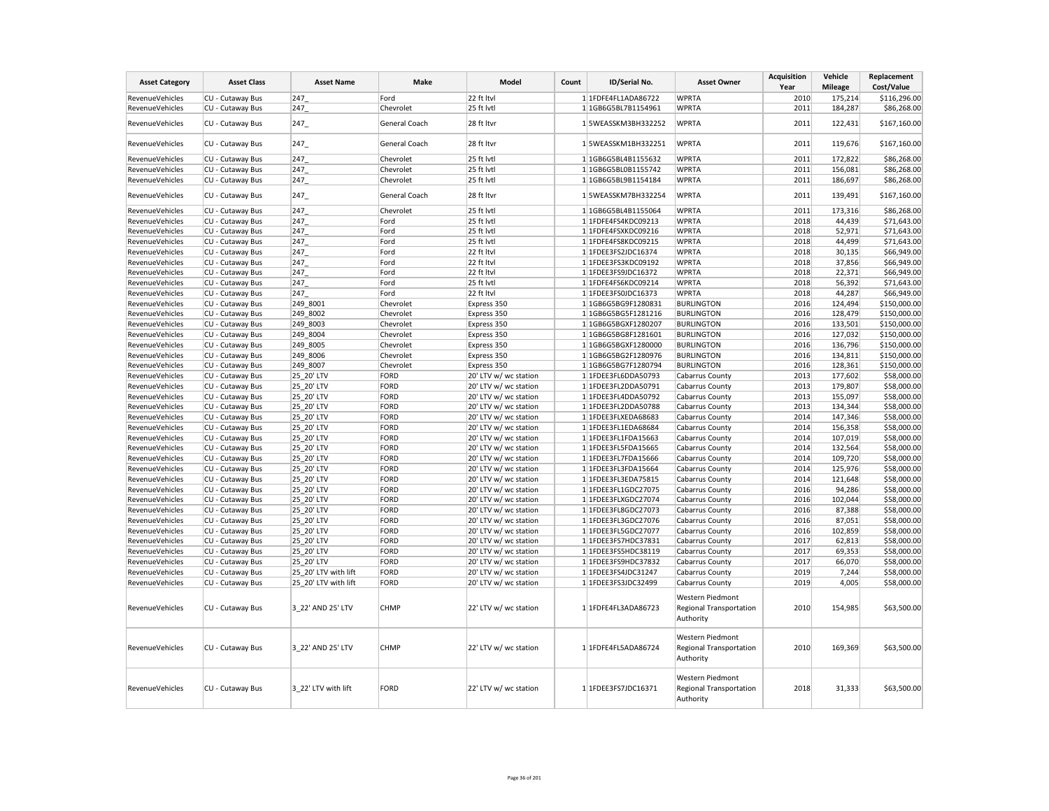| <b>Asset Category</b>  | <b>Asset Class</b> | <b>Asset Name</b>    | Make          | Model                 | Count | ID/Serial No.       | <b>Asset Owner</b>                                              | <b>Acquisition</b><br>Year | Vehicle<br><b>Mileage</b> | Replacement<br>Cost/Value |
|------------------------|--------------------|----------------------|---------------|-----------------------|-------|---------------------|-----------------------------------------------------------------|----------------------------|---------------------------|---------------------------|
| RevenueVehicles        | CU - Cutaway Bus   | 247                  | Ford          | 22 ft Itvl            |       | 1 1FDFE4FL1ADA86722 | <b>WPRTA</b>                                                    | 2010                       | 175,214                   | \$116,296.00              |
| RevenueVehicles        | CU - Cutaway Bus   | 247                  | Chevrolet     | 25 ft lvtl            |       | 1 1GB6G5BL7B1154961 | <b>WPRTA</b>                                                    | 2011                       | 184,287                   | \$86,268.00               |
| RevenueVehicles        | CU - Cutaway Bus   | 247                  | General Coach | 28 ft Itvr            |       | 1 5WEASSKM3BH332252 | <b>WPRTA</b>                                                    | 2011                       | 122,431                   | \$167,160.00              |
| <b>RevenueVehicles</b> | CU - Cutaway Bus   | 247_                 | General Coach | 28 ft Itvr            |       | 1 5WEASSKM1BH332251 | <b>WPRTA</b>                                                    | 2011                       | 119,676                   | \$167,160.00              |
| RevenueVehicles        | CU - Cutaway Bus   | 247                  | Chevrolet     | 25 ft lvtl            |       | 1 1GB6G5BL4B1155632 | <b>WPRTA</b>                                                    | 2011                       | 172,822                   | \$86,268.00               |
| RevenueVehicles        | CU - Cutaway Bus   | 247                  | Chevrolet     | 25 ft lvtl            |       | 1 1GB6G5BL0B1155742 | <b>WPRTA</b>                                                    | 2011                       | 156,081                   | \$86,268.00               |
| RevenueVehicles        | CU - Cutaway Bus   | 247                  | Chevrolet     | 25 ft lvtl            |       | 1 1GB6G5BL9B1154184 | <b>WPRTA</b>                                                    | 2011                       | 186,697                   | \$86,268.00               |
| RevenueVehicles        | CU - Cutaway Bus   | 247                  | General Coach | 28 ft Itvr            |       | 1 5WEASSKM7BH332254 | <b>WPRTA</b>                                                    | 2011                       | 139,491                   | \$167,160.00              |
| RevenueVehicles        | CU - Cutaway Bus   | 247                  | Chevrolet     | 25 ft lvtl            |       | 1 1GB6G5BL4B1155064 | <b>WPRTA</b>                                                    | 2011                       | 173,316                   | \$86,268.00               |
| <b>RevenueVehicles</b> | CU - Cutaway Bus   | 247                  | Ford          | 25 ft lvtl            |       | 1 1FDFE4FS4KDC09213 | <b>WPRTA</b>                                                    | 2018                       | 44,439                    | \$71,643.00               |
| RevenueVehicles        | CU - Cutaway Bus   | 247                  | Ford          | 25 ft lvtl            |       | 1 1FDFE4FSXKDC09216 | <b>WPRTA</b>                                                    | 2018                       | 52,971                    | \$71,643.00               |
| RevenueVehicles        | CU - Cutaway Bus   | 247                  | Ford          | 25 ft lvtl            |       | 1 1FDFE4FS8KDC09215 | <b>WPRTA</b>                                                    | 2018                       | 44,499                    | \$71,643.00               |
| RevenueVehicles        | CU - Cutaway Bus   | 247                  | Ford          | 22 ft Itvl            |       | 1 1FDEE3FS2JDC16374 | <b>WPRTA</b>                                                    | 2018                       | 30,135                    | \$66,949.00               |
| RevenueVehicles        | CU - Cutaway Bus   | 247                  | Ford          | 22 ft Itvl            |       | 1 1FDEE3FS3KDC09192 | <b>WPRTA</b>                                                    | 2018                       | 37,856                    | \$66,949.00               |
| RevenueVehicles        | CU - Cutaway Bus   | 247                  | Ford          | 22 ft Itvl            |       | 1 1FDEE3FS9JDC16372 | <b>WPRTA</b>                                                    | 2018                       | 22,371                    | \$66,949.00               |
| RevenueVehicles        | CU - Cutaway Bus   | 247                  | Ford          | 25 ft lvtl            |       | 1 1FDFE4FS6KDC09214 | <b>WPRTA</b>                                                    | 2018                       | 56,392                    | \$71,643.00               |
| RevenueVehicles        | CU - Cutaway Bus   | 247                  | Ford          | 22 ft Itvl            |       | 1 1FDEE3FS0JDC16373 | <b>WPRTA</b>                                                    | 2018                       | 44,287                    | \$66,949.00               |
| RevenueVehicles        | CU - Cutaway Bus   | 249 8001             | Chevrolet     | Express 350           |       | 1 1GB6G5BG9F1280831 | <b>BURLINGTON</b>                                               | 2016                       | 124,494                   | \$150,000.00              |
| RevenueVehicles        | CU - Cutaway Bus   | 249 8002             | Chevrolet     | Express 350           |       | 1 1GB6G5BG5F1281216 | <b>BURLINGTON</b>                                               | 2016                       | 128,479                   | \$150,000.00              |
| RevenueVehicles        | CU - Cutaway Bus   | 249_8003             | Chevrolet     | Express 350           |       | 1 1GB6G5BGXF1280207 | <b>BURLINGTON</b>                                               | 2016                       | 133,501                   | \$150,000.00              |
| RevenueVehicles        | CU - Cutaway Bus   | 249 8004             | Chevrolet     | Express 350           |       | 1 1GB6G5BG8F1281601 | <b>BURLINGTON</b>                                               | 2016                       | 127,032                   | \$150,000.00              |
| RevenueVehicles        | CU - Cutaway Bus   | 249 8005             | Chevrolet     | Express 350           |       | 1 1GB6G5BGXF1280000 | <b>BURLINGTON</b>                                               | 2016                       | 136,796                   | \$150,000.00              |
| RevenueVehicles        | CU - Cutaway Bus   | 249 8006             | Chevrolet     | Express 350           |       | 1 1GB6G5BG2F1280976 | <b>BURLINGTON</b>                                               | 2016                       | 134,811                   | \$150,000.00              |
| RevenueVehicles        | CU - Cutaway Bus   | 249 8007             | Chevrolet     | Express 350           |       | 1 1GB6G5BG7F1280794 | <b>BURLINGTON</b>                                               | 2016                       | 128,361                   | \$150,000.00              |
| <b>RevenueVehicles</b> | CU - Cutaway Bus   | 25 20' LTV           | FORD          | 20' LTV w/ wc station |       | 1 1FDEE3FL6DDA50793 | Cabarrus County                                                 | 2013                       | 177,602                   | \$58,000.00               |
| RevenueVehicles        | CU - Cutaway Bus   | 25_20' LTV           | FORD          | 20' LTV w/ wc station |       | 1 1FDEE3FL2DDA50791 | Cabarrus County                                                 | 2013                       | 179,807                   | \$58,000.00               |
| RevenueVehicles        | CU - Cutaway Bus   | 25_20' LTV           | FORD          | 20' LTV w/ wc station |       | 1 1FDEE3FL4DDA50792 | <b>Cabarrus County</b>                                          | 2013                       | 155,097                   | \$58,000.00               |
| RevenueVehicles        | CU - Cutaway Bus   | 25 20' LTV           | FORD          | 20' LTV w/ wc station |       | 1 1FDEE3FL2DDA50788 | Cabarrus County                                                 | 2013                       | 134,344                   | \$58,000.00               |
| RevenueVehicles        | CU - Cutaway Bus   | 25_20' LTV           | FORD          | 20' LTV w/ wc station |       | 1 1FDEE3FLXEDA68683 | Cabarrus County                                                 | 2014                       | 147,346                   | \$58,000.00               |
| RevenueVehicles        | CU - Cutaway Bus   | 25 20' LTV           | FORD          | 20' LTV w/ wc station |       | 1 1FDEE3FL1EDA68684 | Cabarrus County                                                 | 2014                       | 156,358                   | \$58,000.00               |
| RevenueVehicles        | CU - Cutaway Bus   | 25 20' LTV           | FORD          | 20' LTV w/ wc station |       | 1 1FDEE3FL1FDA15663 | Cabarrus County                                                 | 2014                       | 107,019                   | \$58,000.00               |
| RevenueVehicles        | CU - Cutaway Bus   | 25_20' LTV           | FORD          | 20' LTV w/ wc station |       | 1 1FDEE3FL5FDA15665 |                                                                 | 2014                       | 132,564                   | \$58,000.00               |
| RevenueVehicles        | CU - Cutaway Bus   | 25 20' LTV           | FORD          | 20' LTV w/ wc station |       | 1 1FDEE3FL7FDA15666 | Cabarrus County<br>Cabarrus County                              | 2014                       | 109,720                   | \$58,000.00               |
| RevenueVehicles        | CU - Cutaway Bus   | 25 20' LTV           | FORD          | 20' LTV w/ wc station |       | 1 1FDEE3FL3FDA15664 |                                                                 | 2014                       | 125,976                   | \$58,000.00               |
|                        |                    |                      | FORD          |                       |       | 1 1FDEE3FL3EDA75815 | Cabarrus County                                                 |                            |                           |                           |
| RevenueVehicles        | CU - Cutaway Bus   | 25 20' LTV           |               | 20' LTV w/ wc station |       |                     | Cabarrus County                                                 | 2014<br>2016               | 121,648                   | \$58,000.00               |
| RevenueVehicles        | CU - Cutaway Bus   | 25_20' LTV           | FORD          | 20' LTV w/ wc station |       | 1 1FDEE3FL1GDC27075 | Cabarrus County                                                 |                            | 94,286                    | \$58,000.00               |
| RevenueVehicles        | CU - Cutaway Bus   | 25 20' LTV           | FORD          | 20' LTV w/ wc station |       | 1 1FDEE3FLXGDC27074 | Cabarrus County                                                 | 2016                       | 102,044                   | \$58,000.00               |
| RevenueVehicles        | CU - Cutaway Bus   | 25 20' LTV           | FORD          | 20' LTV w/ wc station |       | 1 1FDEE3FL8GDC27073 | <b>Cabarrus County</b>                                          | 2016                       | 87,388                    | \$58,000.00               |
| RevenueVehicles        | CU - Cutaway Bus   | 25 20' LTV           | FORD          | 20' LTV w/ wc station |       | 1 1FDEE3FL3GDC27076 | Cabarrus County                                                 | 2016                       | 87,051                    | \$58,000.00               |
| <b>RevenueVehicles</b> | CU - Cutaway Bus   | 25 20' LTV           | FORD          | 20' LTV w/ wc station |       | 1 1FDEE3FL5GDC27077 | Cabarrus County                                                 | 2016                       | 102,859                   | \$58,000.00               |
| RevenueVehicles        | CU - Cutaway Bus   | 25_20' LTV           | FORD          | 20' LTV w/ wc station |       | 1 1FDEE3FS7HDC37831 | Cabarrus County                                                 | 2017                       | 62,813                    | \$58,000.00               |
| RevenueVehicles        | CU - Cutaway Bus   | 25 20' LTV           | FORD          | 20' LTV w/ wc station |       | 1 1FDEE3FS5HDC38119 | Cabarrus County                                                 | 2017                       | 69,353                    | \$58,000.00               |
| <b>RevenueVehicles</b> | CU - Cutaway Bus   | 25 20' LTV           | FORD          | 20' LTV w/ wc station |       | 1 1FDEE3FS9HDC37832 | Cabarrus County                                                 | 2017                       | 66,070                    | \$58,000.00               |
| RevenueVehicles        | CU - Cutaway Bus   | 25_20' LTV with lift | FORD          | 20' LTV w/ wc station |       | 1 1FDEE3FS4JDC31247 | Cabarrus County                                                 | 2019                       | 7,244                     | \$58,000.00               |
| RevenueVehicles        | CU - Cutaway Bus   | 25 20' LTV with lift | FORD          | 20' LTV w/ wc station |       | 1 1FDEE3FS3JDC32499 | Cabarrus County                                                 | 2019                       | 4,005                     | \$58,000.00               |
| RevenueVehicles        | CU - Cutaway Bus   | 3 22' AND 25' LTV    | <b>CHMP</b>   | 22' LTV w/ wc station |       | 1 1FDFE4FL3ADA86723 | Western Piedmont<br><b>Regional Transportation</b><br>Authority | 2010                       | 154,985                   | \$63,500.00               |
| RevenueVehicles        | CU - Cutaway Bus   | 3 22' AND 25' LTV    | CHMP          | 22' LTV w/ wc station |       | 1 1FDFE4FL5ADA86724 | Western Piedmont<br><b>Regional Transportation</b><br>Authority | 2010                       | 169,369                   | \$63,500.00               |
| RevenueVehicles        | CU - Cutaway Bus   | 3 22' LTV with lift  | FORD          | 22' LTV w/ wc station |       | 1 1FDEE3FS7JDC16371 | Western Piedmont<br><b>Regional Transportation</b><br>Authority | 2018                       | 31,333                    | \$63,500.00               |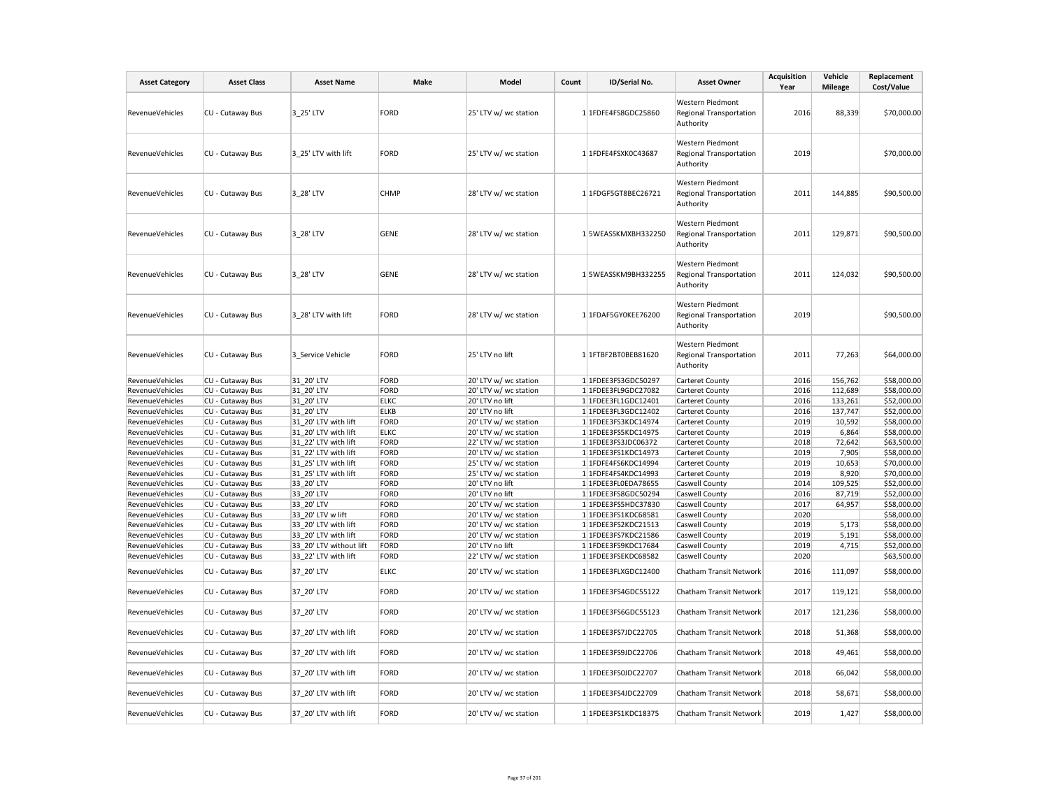| RevenueVehicles<br><b>RevenueVehicles</b><br>RevenueVehicles | CU - Cutaway Bus<br>CU - Cutaway Bus | 3 25' LTV<br>3 25' LTV with lift             | <b>FORD</b>                | 25' LTV w/ wc station                          | 1 1FDFE4FS8GDC25860                        | Western Piedmont<br>Regional Transportation                     | 2016         | 88,339          | \$70,000.00                |
|--------------------------------------------------------------|--------------------------------------|----------------------------------------------|----------------------------|------------------------------------------------|--------------------------------------------|-----------------------------------------------------------------|--------------|-----------------|----------------------------|
|                                                              |                                      |                                              |                            |                                                |                                            | Authority                                                       |              |                 |                            |
|                                                              |                                      |                                              | <b>FORD</b>                | 25' LTV w/ wc station                          | 1 1FDFE4FSXK0C43687                        | Western Piedmont<br><b>Regional Transportation</b><br>Authority | 2019         |                 | \$70,000.00                |
|                                                              | CU - Cutaway Bus                     | 3 28' LTV                                    | CHMP                       | 28' LTV w/ wc station                          | 1 1FDGF5GT8BEC26721                        | Western Piedmont<br>Regional Transportation<br>Authority        | 2011         | 144,885         | \$90,500.00                |
| RevenueVehicles                                              | CU - Cutaway Bus                     | 3 28' LTV                                    | <b>GENE</b>                | 28' LTV w/ wc station                          | 1 5WEASSKMXBH332250                        | Western Piedmont<br><b>Regional Transportation</b><br>Authority | 2011         | 129,871         | \$90,500.00                |
| RevenueVehicles                                              | CU - Cutaway Bus                     | 3 28' LTV                                    | <b>GENE</b>                | 28' LTV w/ wc station                          | 1 5WEASSKM9BH332255                        | Western Piedmont<br>Regional Transportation<br>Authority        | 2011         | 124,032         | \$90,500.00                |
| RevenueVehicles                                              | CU - Cutaway Bus                     | 3 28' LTV with lift                          | <b>FORD</b>                | 28' LTV w/ wc station                          | 1 1FDAF5GY0KEE76200                        | Western Piedmont<br><b>Regional Transportation</b><br>Authority | 2019         |                 | \$90,500.00                |
| RevenueVehicles                                              | CU - Cutaway Bus                     | 3 Service Vehicle                            | <b>FORD</b>                | 25' LTV no lift                                | 1 1FTBF2BT0BEB81620                        | Western Piedmont<br><b>Regional Transportation</b><br>Authority | 2011         | 77,263          | \$64,000.00                |
| RevenueVehicles                                              | CU - Cutaway Bus                     | 31 20' LTV                                   | <b>FORD</b>                | 20' LTV w/ wc station                          | 1 1FDEE3FS3GDC50297                        | Carteret County                                                 | 2016         | 156,762         | \$58,000.00                |
| RevenueVehicles                                              | CU - Cutaway Bus                     | 31 20' LTV                                   | <b>FORD</b>                | 20' LTV w/ wc station                          | 1 1FDEE3FL9GDC27082                        | Carteret County                                                 | 2016         | 112,689         | \$58,000.00                |
| RevenueVehicles                                              | CU - Cutaway Bus                     | 31 20' LTV                                   | <b>ELKC</b>                | 20' LTV no lift                                | 1 1FDEE3FL1GDC12401                        | Carteret County                                                 | 2016         | 133,261         | \$52,000.00                |
| RevenueVehicles                                              | CU - Cutaway Bus                     | 31 20' LTV                                   | <b>ELKB</b>                | 20' LTV no lift                                | 1 1FDEE3FL3GDC12402                        | Carteret County                                                 | 2016         | 137,747         | \$52,000.00                |
| RevenueVehicles                                              | CU - Cutaway Bus                     | 31 20' LTV with lift                         | <b>FORD</b>                | 20' LTV w/ wc station                          | 1 1FDEE3FS3KDC14974                        | Carteret County                                                 | 2019         | 10,592          | \$58,000.00                |
| RevenueVehicles                                              | CU - Cutaway Bus                     | 31 20' LTV with lift                         | <b>ELKC</b>                | 20' LTV w/ wc station                          | 1 1FDEE3FS5KDC14975                        | Carteret County                                                 | 2019         | 6,864           | \$58,000.00                |
| RevenueVehicles                                              | CU - Cutaway Bus                     | 31_22' LTV with lift                         | <b>FORD</b>                | 22' LTV w/ wc station                          | 1 1FDEE3FS3JDC06372                        | Carteret County                                                 | 2018         | 72,642          | \$63,500.00                |
| RevenueVehicles                                              | CU - Cutaway Bus                     | 31 22' LTV with lift                         | <b>FORD</b>                | 20' LTV w/ wc station                          | 1 1FDEE3FS1KDC14973                        | Carteret County                                                 | 2019<br>2019 | 7,905           | \$58,000.00                |
| RevenueVehicles<br>RevenueVehicles                           | CU - Cutaway Bus<br>CU - Cutaway Bus | 31 25' LTV with lift<br>31 25' LTV with lift | <b>FORD</b><br><b>FORD</b> | 25' LTV w/ wc station<br>25' LTV w/ wc station | 1 1FDFE4FS6KDC14994<br>1 1FDFE4FS4KDC14993 | Carteret County<br>Carteret County                              | 2019         | 10,653<br>8,920 | \$70,000.00<br>\$70,000.00 |
| RevenueVehicles                                              | CU - Cutaway Bus                     | 33 20' LTV                                   | <b>FORD</b>                | 20' LTV no lift                                | 1 1FDEE3FL0EDA78655                        | Caswell County                                                  | 2014         | 109,525         | \$52,000.00                |
| RevenueVehicles                                              | CU - Cutaway Bus                     | 33 20' LTV                                   | <b>FORD</b>                | 20' LTV no lift                                | 1 1FDEE3FS8GDC50294                        | Caswell County                                                  | 2016         | 87,719          | \$52,000.00                |
| RevenueVehicles                                              | CU - Cutaway Bus                     | 33 20' LTV                                   | <b>FORD</b>                | 20' LTV w/ wc station                          | 1 1FDEE3FS5HDC37830                        | Caswell County                                                  | 2017         | 64,957          | \$58,000.00                |
| RevenueVehicles                                              | CU - Cutaway Bus                     | 33 20' LTV w lift                            | <b>FORD</b>                | 20' LTV w/ wc station                          | 1 1FDEE3FS1KDC68581                        | Caswell County                                                  | 2020         |                 | \$58,000.00                |
| RevenueVehicles                                              | CU - Cutaway Bus                     | 33 20' LTV with lift                         | <b>FORD</b>                | 20' LTV w/ wc station                          | 1 1FDEE3FS2KDC21513                        | Caswell County                                                  | 2019         | 5,173           | \$58,000.00                |
| RevenueVehicles                                              | CU - Cutaway Bus                     | 33 20' LTV with lift                         | <b>FORD</b>                | 20' LTV w/ wc station                          | 1 1FDEE3FS7KDC21586                        | Caswell County                                                  | 2019         | 5,191           | \$58,000.00                |
| RevenueVehicles                                              | CU - Cutaway Bus                     | 33 20' LTV without lift                      | <b>FORD</b>                | 20' LTV no lift                                | 1 1FDEE3FS9KDC17684                        | Caswell County                                                  | 2019         | 4,715           | \$52,000.00                |
| RevenueVehicles                                              | CU - Cutaway Bus                     | 33_22' LTV with lift                         | <b>FORD</b>                | 22' LTV w/ wc station                          | 1 1FDEE3FSEKDC68582                        | Caswell County                                                  | 2020         |                 | \$63,500.00                |
| RevenueVehicles                                              | CU - Cutaway Bus                     | 37_20' LTV                                   | <b>ELKC</b>                | 20' LTV w/ wc station                          | 1 1FDEE3FLXGDC12400                        | Chatham Transit Network                                         | 2016         | 111,097         | \$58,000.00                |
| <b>RevenueVehicles</b>                                       | CU - Cutaway Bus                     | 37_20' LTV                                   | <b>FORD</b>                | 20' LTV w/ wc station                          | 1 1FDEE3FS4GDC55122                        | Chatham Transit Network                                         | 2017         | 119,121         | \$58,000.00                |
| RevenueVehicles                                              | CU - Cutaway Bus                     | 37 20' LTV                                   | <b>FORD</b>                | 20' LTV w/ wc station                          | 1 1FDEE3FS6GDC55123                        | Chatham Transit Network                                         | 2017         | 121,236         | \$58,000.00                |
| RevenueVehicles                                              | CU - Cutaway Bus                     | 37 20' LTV with lift                         | <b>FORD</b>                | 20' LTV w/ wc station                          | 1 1FDEE3FS7JDC22705                        | Chatham Transit Network                                         | 2018         | 51,368          | \$58,000.00                |
| RevenueVehicles                                              | CU - Cutaway Bus                     | 37 20' LTV with lift                         | <b>FORD</b>                | 20' LTV w/ wc station                          | 1 1FDEE3FS9JDC22706                        | Chatham Transit Network                                         | 2018         | 49,461          | \$58,000.00                |
| RevenueVehicles                                              | CU - Cutaway Bus                     | 37 20' LTV with lift                         | <b>FORD</b>                | 20' LTV w/ wc station                          | 1 1FDEE3FS0JDC22707                        | Chatham Transit Network                                         | 2018         | 66,042          | \$58,000.00                |
| RevenueVehicles                                              | CU - Cutaway Bus                     | 37_20' LTV with lift                         | FORD                       | 20' LTV w/ wc station                          | 1 1FDEE3FS4JDC22709                        | Chatham Transit Network                                         | 2018         | 58,671          | \$58,000.00                |
|                                                              | CU - Cutaway Bus                     | 37 20' LTV with lift                         | <b>FORD</b>                | 20' LTV w/ wc station                          | 1 1FDEE3FS1KDC18375                        | Chatham Transit Network                                         | 2019         | 1,427           | \$58,000.00                |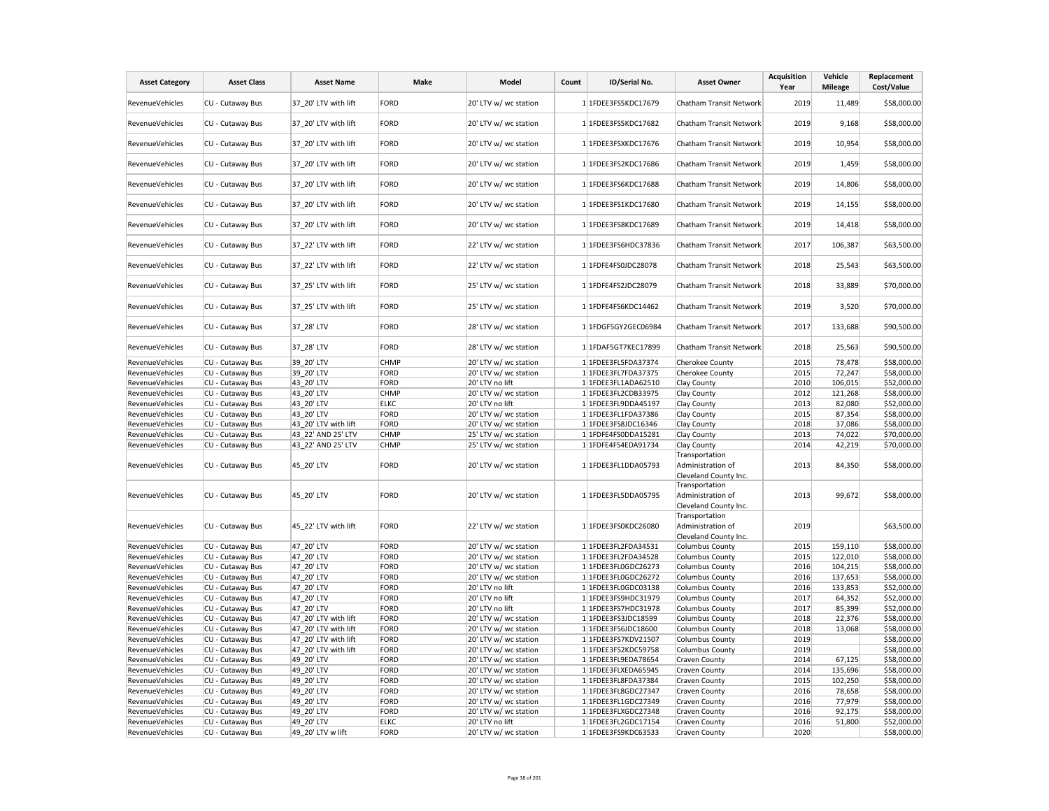| <b>Asset Category</b> | <b>Asset Class</b> | <b>Asset Name</b>    | Make        | Model                 | Count | ID/Serial No.       | <b>Asset Owner</b>                                           | <b>Acquisition</b><br>Year | Vehicle<br><b>Mileage</b> | Replacement<br>Cost/Value |
|-----------------------|--------------------|----------------------|-------------|-----------------------|-------|---------------------|--------------------------------------------------------------|----------------------------|---------------------------|---------------------------|
| RevenueVehicles       | CU - Cutaway Bus   | 37 20' LTV with lift | <b>FORD</b> | 20' LTV w/ wc station |       | 1 1FDEE3FS5KDC17679 | Chatham Transit Network                                      | 2019                       | 11,489                    | \$58,000.00               |
| RevenueVehicles       | CU - Cutaway Bus   | 37_20' LTV with lift | FORD        | 20' LTV w/ wc station |       | 1 1FDEE3FS5KDC17682 | Chatham Transit Network                                      | 2019                       | 9,168                     | \$58,000.00               |
| RevenueVehicles       | CU - Cutaway Bus   | 37 20' LTV with lift | FORD        | 20' LTV w/ wc station |       | 1 1FDEE3FSXKDC17676 | Chatham Transit Network                                      | 2019                       | 10,954                    | \$58,000.00               |
| RevenueVehicles       | CU - Cutaway Bus   | 37 20' LTV with lift | <b>FORD</b> | 20' LTV w/ wc station |       | 1 1FDEE3FS2KDC17686 | Chatham Transit Network                                      | 2019                       | 1,459                     | \$58,000.00               |
| RevenueVehicles       | CU - Cutaway Bus   | 37 20' LTV with lift | FORD        | 20' LTV w/ wc station |       | 1 1FDEE3FS6KDC17688 | Chatham Transit Network                                      | 2019                       | 14,806                    | \$58,000.00               |
| RevenueVehicles       | CU - Cutaway Bus   | 37 20' LTV with lift | FORD        | 20' LTV w/ wc station |       | 1 1FDEE3FS1KDC17680 | Chatham Transit Network                                      | 2019                       | 14,155                    | \$58,000.00               |
| RevenueVehicles       | CU - Cutaway Bus   | 37 20' LTV with lift | FORD        | 20' LTV w/ wc station |       | 1 1FDEE3FS8KDC17689 | Chatham Transit Network                                      | 2019                       | 14,418                    | \$58,000.00               |
| RevenueVehicles       | CU - Cutaway Bus   | 37 22' LTV with lift | FORD        | 22' LTV w/ wc station |       | 1 1FDEE3FS6HDC37836 | Chatham Transit Network                                      | 2017                       | 106,387                   | \$63,500.00               |
| RevenueVehicles       | CU - Cutaway Bus   | 37_22' LTV with lift | FORD        | 22' LTV w/ wc station |       | 1 1FDFE4FS0JDC28078 | Chatham Transit Network                                      | 2018                       | 25,543                    | \$63,500.00               |
| RevenueVehicles       | CU - Cutaway Bus   | 37 25' LTV with lift | FORD        | 25' LTV w/ wc station |       | 1 1FDFE4FS2JDC28079 | Chatham Transit Network                                      | 2018                       | 33,889                    | \$70,000.00               |
| RevenueVehicles       | CU - Cutaway Bus   | 37 25' LTV with lift | FORD        | 25' LTV w/ wc station |       | 1 1FDFE4FS6KDC14462 | Chatham Transit Network                                      | 2019                       | 3,520                     | \$70,000.00               |
| RevenueVehicles       | CU - Cutaway Bus   | 37 28' LTV           | FORD        | 28' LTV w/ wc station |       | 1 1FDGF5GY2GEC06984 | Chatham Transit Network                                      | 2017                       | 133,688                   | \$90,500.00               |
| RevenueVehicles       | CU - Cutaway Bus   | 37 28' LTV           | FORD        | 28' LTV w/ wc station |       | 1 1FDAF5GT7KEC17899 | Chatham Transit Network                                      | 2018                       | 25,563                    | \$90,500.00               |
| RevenueVehicles       | CU - Cutaway Bus   | 39 20' LTV           | <b>CHMP</b> | 20' LTV w/ wc station |       | 1 1FDEE3FL5FDA37374 | Cherokee County                                              | 2015                       | 78,478                    | \$58,000.00               |
| RevenueVehicles       | CU - Cutaway Bus   | 39_20' LTV           | FORD        | 20' LTV w/ wc station |       | 1 1FDEE3FL7FDA37375 | Cherokee County                                              | 2015                       | 72,247                    | \$58,000.00               |
| RevenueVehicles       | CU - Cutaway Bus   | 43 20' LTV           | FORD        | 20' LTV no lift       |       | 1 1FDEE3FL1ADA62510 | Clay County                                                  | 2010                       | 106,015                   | \$52,000.00               |
| RevenueVehicles       | CU - Cutaway Bus   | 43 20' LTV           | <b>CHMP</b> | 20' LTV w/ wc station |       | 1 1FDEE3FL2CDB33975 | Clay County                                                  | 2012                       | 121,268                   | \$58,000.00               |
| RevenueVehicles       | CU - Cutaway Bus   | 43 20' LTV           | <b>ELKC</b> | 20' LTV no lift       |       | 1 1FDEE3FL9DDA45197 | Clay County                                                  | 2013                       | 82,080                    | \$52,000.00               |
| RevenueVehicles       | CU - Cutaway Bus   | 43 20' LTV           | FORD        | 20' LTV w/ wc station |       | 1 1FDEE3FL1FDA37386 | Clay County                                                  | 2015                       | 87,354                    | \$58,000.00               |
| RevenueVehicles       | CU - Cutaway Bus   | 43 20' LTV with lift | FORD        | 20' LTV w/ wc station |       | 1 1FDEE3FS8JDC16346 | Clay County                                                  | 2018                       | 37,086                    | \$58,000.00               |
| RevenueVehicles       | CU - Cutaway Bus   | 43 22' AND 25' LTV   | <b>CHMP</b> | 25' LTV w/ wc station |       | 1 1FDFE4FS0DDA15281 | Clay County                                                  | 2013                       | 74,022                    | \$70,000.00               |
| RevenueVehicles       | CU - Cutaway Bus   | 43 22' AND 25' LTV   | <b>CHMP</b> | 25' LTV w/ wc station |       | 1 1FDFE4FS4EDA91734 | Clay County                                                  | 2014                       | 42,219                    | \$70,000.00               |
| RevenueVehicles       | CU - Cutaway Bus   | 45_20' LTV           | FORD        | 20' LTV w/ wc station |       | 1 1FDEE3FL1DDA05793 | Transportation<br>Administration of<br>Cleveland County Inc. | 2013                       | 84,350                    | \$58,000.00               |
| RevenueVehicles       | CU - Cutaway Bus   | 45 20' LTV           | FORD        | 20' LTV w/ wc station |       | 1 1FDEE3FL5DDA05795 | Transportation<br>Administration of<br>Cleveland County Inc. | 2013                       | 99,672                    | \$58,000.00               |
| RevenueVehicles       | CU - Cutaway Bus   | 45 22' LTV with lift | FORD        | 22' LTV w/ wc station |       | 1 1FDEE3FS0KDC26080 | Transportation<br>Administration of<br>Cleveland County Inc. | 2019                       |                           | \$63,500.00               |
| RevenueVehicles       | CU - Cutaway Bus   | 47 20' LTV           | FORD        | 20' LTV w/ wc station |       | 1 1FDEE3FL2FDA34531 | Columbus County                                              | 2015                       | 159,110                   | \$58,000.00               |
| RevenueVehicles       | CU - Cutaway Bus   | 47 20' LTV           | FORD        | 20' LTV w/ wc station |       | 1 1FDEE3FL2FDA34528 | <b>Columbus County</b>                                       | 2015                       | 122,010                   | \$58,000.00               |
| RevenueVehicles       | CU - Cutaway Bus   | 47 20' LTV           | FORD        | 20' LTV w/ wc station |       | 1 1FDEE3FL0GDC26273 | <b>Columbus County</b>                                       | 2016                       | 104,215                   | \$58,000.00               |
| RevenueVehicles       | CU - Cutaway Bus   | 47_20' LTV           | FORD        | 20' LTV w/ wc station |       | 1 1FDEE3FL0GDC26272 | <b>Columbus County</b>                                       | 2016                       | 137,653                   | \$58,000.00               |
| RevenueVehicles       | CU - Cutaway Bus   | 47_20' LTV           | FORD        | 20' LTV no lift       |       | 1 1FDEE3FL0GDC03138 | <b>Columbus County</b>                                       | 2016                       | 133,853                   | \$52,000.00               |
| RevenueVehicles       | CU - Cutaway Bus   | 47 20' LTV           | FORD        | 20' LTV no lift       |       | 1 1FDEE3FS9HDC31979 | <b>Columbus County</b>                                       | 2017                       | 64,352                    | \$52,000.00               |
| RevenueVehicles       | CU - Cutaway Bus   | 47 20' LTV           | FORD        | 20' LTV no lift       |       | 1 1FDEE3FS7HDC31978 | <b>Columbus County</b>                                       | 2017                       | 85,399                    | \$52,000.00               |
| RevenueVehicles       | CU - Cutaway Bus   | 47 20' LTV with lift | FORD        | 20' LTV w/ wc station |       | 1 1FDEE3FS3JDC18599 | <b>Columbus County</b>                                       | 2018                       | 22,376                    | \$58,000.00               |
| RevenueVehicles       | CU - Cutaway Bus   | 47 20' LTV with lift | FORD        | 20' LTV w/ wc station |       | 1 1FDEE3FS6JDC18600 | <b>Columbus County</b>                                       | 2018                       | 13,068                    | \$58,000.00               |
| RevenueVehicles       | CU - Cutaway Bus   | 47_20' LTV with lift | FORD        | 20' LTV w/ wc station |       | 1 1FDEE3FS7KDV21507 | <b>Columbus County</b>                                       | 2019                       |                           | \$58,000.00               |
| RevenueVehicles       | CU - Cutaway Bus   | 47 20' LTV with lift | FORD        | 20' LTV w/ wc station |       | 1 1FDEE3FS2KDC59758 | <b>Columbus County</b>                                       | 2019                       |                           | \$58,000.00               |
| RevenueVehicles       | CU - Cutaway Bus   | 49 20' LTV           | FORD        | 20' LTV w/ wc station |       | 1 1FDEE3FL9EDA78654 | <b>Craven County</b>                                         | 2014                       | 67,125                    | \$58,000.00               |
| RevenueVehicles       | CU - Cutaway Bus   | 49_20' LTV           | FORD        | 20' LTV w/ wc station |       | 1 1FDEE3FLXEDA65945 | Craven County                                                | 2014                       | 135,696                   | \$58,000.00               |
| RevenueVehicles       | CU - Cutaway Bus   | 49 20' LTV           | FORD        | 20' LTV w/ wc station |       | 1 1FDEE3FL8FDA37384 | <b>Craven County</b>                                         | 2015                       | 102,250                   | \$58,000.00               |
| RevenueVehicles       | CU - Cutaway Bus   | 49 20' LTV           | FORD        | 20' LTV w/ wc station |       | 1 1FDEE3FL8GDC27347 | <b>Craven County</b>                                         | 2016                       | 78,658                    | \$58,000.00               |
| RevenueVehicles       | CU - Cutaway Bus   | 49_20' LTV           | FORD        | 20' LTV w/ wc station |       | 1 1FDEE3FL1GDC27349 | <b>Craven County</b>                                         | 2016                       | 77,979                    | \$58,000.00               |
| RevenueVehicles       | CU - Cutaway Bus   | 49 20' LTV           | FORD        | 20' LTV w/ wc station |       | 1 1FDEE3FLXGDC27348 | Craven County                                                | 2016                       | 92,175                    | \$58,000.00               |
| RevenueVehicles       | CU - Cutaway Bus   | 49 20' LTV           | <b>ELKC</b> | 20' LTV no lift       |       | 1 1FDEE3FL2GDC17154 | <b>Craven County</b>                                         | 2016                       | 51,800                    | \$52,000.00               |
| RevenueVehicles       | CU - Cutaway Bus   | 49_20' LTV w lift    | FORD        | 20' LTV w/ wc station |       | 1 1FDEE3FS9KDC63533 | Craven County                                                | 2020                       |                           | \$58,000.00               |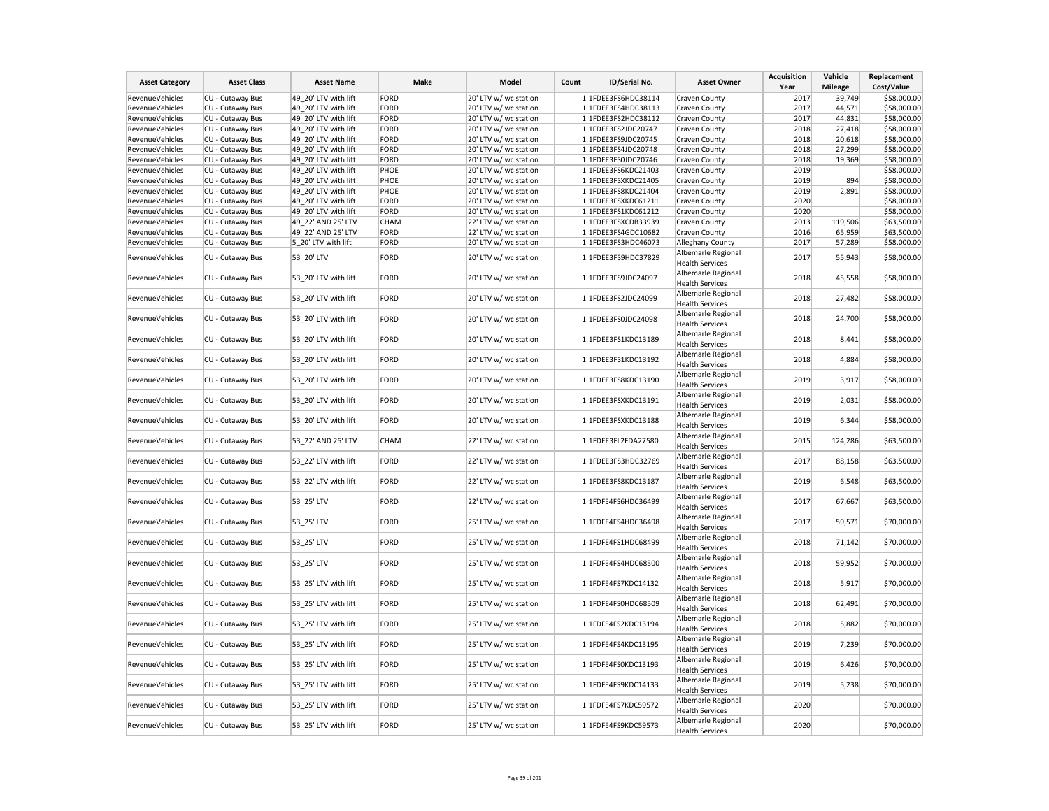| <b>Asset Category</b>  | <b>Asset Class</b> | <b>Asset Name</b>    | Make        | Model                 | Count | ID/Serial No.       | <b>Asset Owner</b>                           | <b>Acquisition</b><br>Year | Vehicle<br><b>Mileage</b> | Replacement<br>Cost/Value |
|------------------------|--------------------|----------------------|-------------|-----------------------|-------|---------------------|----------------------------------------------|----------------------------|---------------------------|---------------------------|
| RevenueVehicles        | CU - Cutaway Bus   | 49 20' LTV with lift | <b>FORD</b> | 20' LTV w/ wc station |       | 1 1FDEE3FS6HDC38114 | Craven County                                | 2017                       | 39,749                    | \$58,000.00               |
| <b>RevenueVehicles</b> | CU - Cutaway Bus   | 49 20' LTV with lift | <b>FORD</b> | 20' LTV w/ wc station |       | 1 1FDEE3FS4HDC38113 | Craven County                                | 2017                       | 44,571                    | \$58,000.00               |
| RevenueVehicles        | CU - Cutaway Bus   | 49_20' LTV with lift | FORD        | 20' LTV w/ wc station |       | 1 1FDEE3FS2HDC38112 | Craven County                                | 2017                       | 44,831                    | \$58,000.00               |
| RevenueVehicles        | CU - Cutaway Bus   | 49 20' LTV with lift | <b>FORD</b> | 20' LTV w/ wc station |       | 1 1FDEE3FS2JDC20747 | Craven County                                | 2018                       | 27,418                    | \$58,000.00               |
| <b>RevenueVehicles</b> | CU - Cutaway Bus   | 49 20' LTV with lift | <b>FORD</b> | 20' LTV w/ wc station |       | 1 1FDEE3FS9JDC20745 | Craven County                                | 2018                       | 20,618                    | \$58,000.00               |
| RevenueVehicles        | CU - Cutaway Bus   | 49_20' LTV with lift | <b>FORD</b> | 20' LTV w/ wc station |       | 1 1FDEE3FS4JDC20748 | Craven County                                | 2018                       | 27,299                    | \$58,000.00               |
| RevenueVehicles        | CU - Cutaway Bus   | 49 20' LTV with lift | <b>FORD</b> | 20' LTV w/ wc station |       | 1 1FDEE3FS0JDC20746 | Craven County                                | 2018                       | 19,369                    | \$58,000.00               |
| RevenueVehicles        | CU - Cutaway Bus   | 49 20' LTV with lift | PHOE        | 20' LTV w/ wc station |       | 1 1FDEE3FS6KDC21403 | Craven County                                | 2019                       |                           | \$58,000.00               |
| RevenueVehicles        | CU - Cutaway Bus   | 49_20' LTV with lift | PHOE        | 20' LTV w/ wc station |       | 1 1FDEE3FSXKDC21405 | Craven County                                | 2019                       | 894                       | \$58,000.00               |
| RevenueVehicles        | CU - Cutaway Bus   | 49 20' LTV with lift | PHOE        | 20' LTV w/ wc station |       | 1 1FDEE3FS8KDC21404 | Craven County                                | 2019                       | 2,891                     | \$58,000.00               |
| <b>RevenueVehicles</b> | CU - Cutaway Bus   | 49 20' LTV with lift | <b>FORD</b> | 20' LTV w/ wc station |       | 1 1FDEE3FSXKDC61211 | Craven County                                | 2020                       |                           | \$58,000.00               |
| RevenueVehicles        | CU - Cutaway Bus   | 49 20' LTV with lift | <b>FORD</b> | 20' LTV w/ wc station |       | 1 1FDEE3FS1KDC61212 | Craven County                                | 2020                       |                           | \$58,000.00               |
| <b>RevenueVehicles</b> | CU - Cutaway Bus   | 49 22' AND 25' LTV   | CHAM        | 22' LTV w/ wc station |       | 1 1FDEE3FSXCDB33939 | Craven County                                | 2013                       | 119,506                   | \$63,500.00               |
| RevenueVehicles        | CU - Cutaway Bus   | 49 22' AND 25' LTV   | <b>FORD</b> | 22' LTV w/ wc station |       | 1 1FDEE3FS4GDC10682 | Craven County                                | 2016                       | 65,959                    | \$63,500.00               |
| RevenueVehicles        | CU - Cutaway Bus   | 5_20' LTV with lift  | <b>FORD</b> | 20' LTV w/ wc station |       | 1 1FDEE3FS3HDC46073 | Alleghany County                             | 2017                       | 57,289                    | \$58,000.00               |
|                        |                    |                      |             |                       |       |                     | Albemarle Regional                           |                            |                           |                           |
| RevenueVehicles        | CU - Cutaway Bus   | 53_20' LTV           | <b>FORD</b> | 20' LTV w/ wc station |       | 1 1FDEE3FS9HDC37829 | <b>Health Services</b>                       | 2017                       | 55,943                    | \$58,000.00               |
|                        |                    |                      |             |                       |       |                     | Albemarle Regional                           |                            |                           |                           |
| RevenueVehicles        | CU - Cutaway Bus   | 53 20' LTV with lift | <b>FORD</b> | 20' LTV w/ wc station |       | 1 1FDEE3FS9JDC24097 | <b>Health Services</b>                       | 2018                       | 45,558                    | \$58,000.00               |
|                        |                    |                      |             |                       |       |                     | Albemarle Regional                           |                            |                           |                           |
| <b>RevenueVehicles</b> | CU - Cutaway Bus   | 53 20' LTV with lift | <b>FORD</b> | 20' LTV w/ wc station |       | 1 1FDEE3FS2JDC24099 | <b>Health Services</b>                       | 2018                       | 27,482                    | \$58,000.00               |
|                        |                    |                      |             |                       |       |                     | Albemarle Regional                           |                            |                           |                           |
| RevenueVehicles        | CU - Cutaway Bus   | 53 20' LTV with lift | <b>FORD</b> | 20' LTV w/ wc station |       | 1 1FDEE3FS0JDC24098 | <b>Health Services</b>                       | 2018                       | 24,700                    | \$58,000.00               |
|                        |                    |                      |             |                       |       |                     | Albemarle Regional                           |                            |                           |                           |
| <b>RevenueVehicles</b> | CU - Cutaway Bus   | 53_20' LTV with lift | <b>FORD</b> | 20' LTV w/ wc station |       | 1 1FDEE3FS1KDC13189 | <b>Health Services</b>                       | 2018                       | 8,441                     | \$58,000.00               |
|                        |                    |                      |             |                       |       |                     | Albemarle Regional                           |                            |                           |                           |
| RevenueVehicles        | CU - Cutaway Bus   | 53_20' LTV with lift | <b>FORD</b> | 20' LTV w/ wc station |       | 1 1FDEE3FS1KDC13192 | <b>Health Services</b>                       | 2018                       | 4,884                     | \$58,000.00               |
|                        |                    |                      |             |                       |       |                     | Albemarle Regional                           |                            |                           |                           |
| <b>RevenueVehicles</b> | CU - Cutaway Bus   | 53 20' LTV with lift | <b>FORD</b> | 20' LTV w/ wc station |       | 1 1FDEE3FS8KDC13190 | <b>Health Services</b>                       | 2019                       | 3,917                     | \$58,000.00               |
|                        |                    |                      |             |                       |       |                     | Albemarle Regional                           |                            |                           |                           |
| <b>RevenueVehicles</b> | CU - Cutaway Bus   | 53 20' LTV with lift | <b>FORD</b> | 20' LTV w/ wc station |       | 1 1FDEE3FSXKDC13191 | <b>Health Services</b>                       | 2019                       | 2,031                     | \$58,000.00               |
|                        |                    |                      | <b>FORD</b> |                       |       | 1 1FDEE3FSXKDC13188 | Albemarle Regional                           | 2019                       |                           |                           |
| <b>RevenueVehicles</b> | CU - Cutaway Bus   | 53 20' LTV with lift |             | 20' LTV w/ wc station |       |                     | <b>Health Services</b>                       |                            | 6,344                     | \$58,000.00               |
| RevenueVehicles        | CU - Cutaway Bus   | 53_22' AND 25' LTV   | CHAM        | 22' LTV w/ wc station |       | 1 1FDEE3FL2FDA27580 | Albemarle Regional                           | 2015                       | 124,286                   | \$63,500.00               |
|                        |                    |                      |             |                       |       |                     | <b>Health Services</b>                       |                            |                           |                           |
| RevenueVehicles        | CU - Cutaway Bus   | 53_22' LTV with lift | <b>FORD</b> | 22' LTV w/ wc station |       | 1 1FDEE3FS3HDC32769 | Albemarle Regional                           | 2017                       | 88,158                    | \$63,500.00               |
|                        |                    |                      |             |                       |       |                     | <b>Health Services</b>                       |                            |                           |                           |
| <b>RevenueVehicles</b> | CU - Cutaway Bus   | 53_22' LTV with lift | <b>FORD</b> | 22' LTV w/ wc station |       | 1 1FDEE3FS8KDC13187 | Albemarle Regional                           | 2019                       | 6,548                     | \$63,500.00               |
|                        |                    |                      |             |                       |       |                     | <b>Health Services</b>                       |                            |                           |                           |
| <b>RevenueVehicles</b> | CU - Cutaway Bus   | 53_25' LTV           | <b>FORD</b> | 22' LTV w/ wc station |       | 1 1FDFE4FS6HDC36499 | Albemarle Regional                           | 2017                       | 67,667                    | \$63,500.00               |
|                        |                    |                      |             |                       |       |                     | <b>Health Services</b>                       |                            |                           |                           |
| <b>RevenueVehicles</b> | CU - Cutaway Bus   | 53 25' LTV           | <b>FORD</b> | 25' LTV w/ wc station |       | 1 1FDFE4FS4HDC36498 | Albemarle Regional                           | 2017                       | 59,571                    | \$70,000.00               |
|                        |                    |                      |             |                       |       |                     | <b>Health Services</b>                       |                            |                           |                           |
| RevenueVehicles        | CU - Cutaway Bus   | 53_25' LTV           | <b>FORD</b> | 25' LTV w/ wc station |       | 1 1FDFE4FS1HDC68499 | Albemarle Regional                           | 2018                       | 71,142                    | \$70,000.00               |
|                        |                    |                      |             |                       |       |                     | <b>Health Services</b>                       |                            |                           |                           |
| RevenueVehicles        | CU - Cutaway Bus   | 53_25' LTV           | <b>FORD</b> | 25' LTV w/ wc station |       | 1 1FDFE4FS4HDC68500 | Albemarle Regional                           | 2018                       | 59,952                    | \$70,000.00               |
|                        |                    |                      |             |                       |       |                     | <b>Health Services</b>                       |                            |                           |                           |
| <b>RevenueVehicles</b> | CU - Cutaway Bus   | 53_25' LTV with lift | <b>FORD</b> | 25' LTV w/ wc station |       | 1 1FDFE4FS7KDC14132 | Albemarle Regional                           | 2018                       | 5,917                     | \$70,000.00               |
|                        |                    |                      |             |                       |       |                     | <b>Health Services</b>                       |                            |                           |                           |
| <b>RevenueVehicles</b> | CU - Cutaway Bus   | 53 25' LTV with lift | <b>FORD</b> | 25' LTV w/ wc station |       | 1 1FDFE4FS0HDC68509 | Albemarle Regional                           | 2018                       | 62,491                    | \$70,000.00               |
|                        |                    |                      |             |                       |       |                     | <b>Health Services</b>                       |                            |                           |                           |
| <b>RevenueVehicles</b> | CU - Cutaway Bus   | 53 25' LTV with lift | <b>FORD</b> | 25' LTV w/ wc station |       | 1 1FDFE4FS2KDC13194 | Albemarle Regional                           | 2018                       | 5,882                     | \$70,000.00               |
|                        |                    |                      |             |                       |       |                     | <b>Health Services</b><br>Albemarle Regional |                            |                           |                           |
| <b>RevenueVehicles</b> | CU - Cutaway Bus   | 53_25' LTV with lift | <b>FORD</b> | 25' LTV w/ wc station |       | 1 1FDFE4FS4KDC13195 |                                              | 2019                       | 7,239                     | \$70,000.00               |
|                        |                    |                      |             |                       |       |                     | <b>Health Services</b><br>Albemarle Regional |                            |                           |                           |
| RevenueVehicles        | CU - Cutaway Bus   | 53_25' LTV with lift | <b>FORD</b> | 25' LTV w/ wc station |       | 1 1FDFE4FS0KDC13193 |                                              | 2019                       | 6,426                     | \$70,000.00               |
|                        |                    |                      |             |                       |       |                     | <b>Health Services</b><br>Albemarle Regional |                            |                           |                           |
| <b>RevenueVehicles</b> | CU - Cutaway Bus   | 53 25' LTV with lift | <b>FORD</b> | 25' LTV w/ wc station |       | 1 1FDFE4FS9KDC14133 | <b>Health Services</b>                       | 2019                       | 5,238                     | \$70,000.00               |
|                        |                    |                      |             |                       |       |                     | Albemarle Regional                           |                            |                           |                           |
| <b>RevenueVehicles</b> | CU - Cutaway Bus   | 53 25' LTV with lift | <b>FORD</b> | 25' LTV w/ wc station |       | 1 1FDFE4FS7KDC59572 | <b>Health Services</b>                       | 2020                       |                           | \$70,000.00               |
|                        |                    |                      |             |                       |       |                     | Albemarle Regional                           |                            |                           |                           |
| <b>RevenueVehicles</b> | CU - Cutaway Bus   | 53 25' LTV with lift | <b>FORD</b> | 25' LTV w/ wc station |       | 1 1FDFE4FS9KDC59573 | <b>Health Services</b>                       | 2020                       |                           | \$70,000.00               |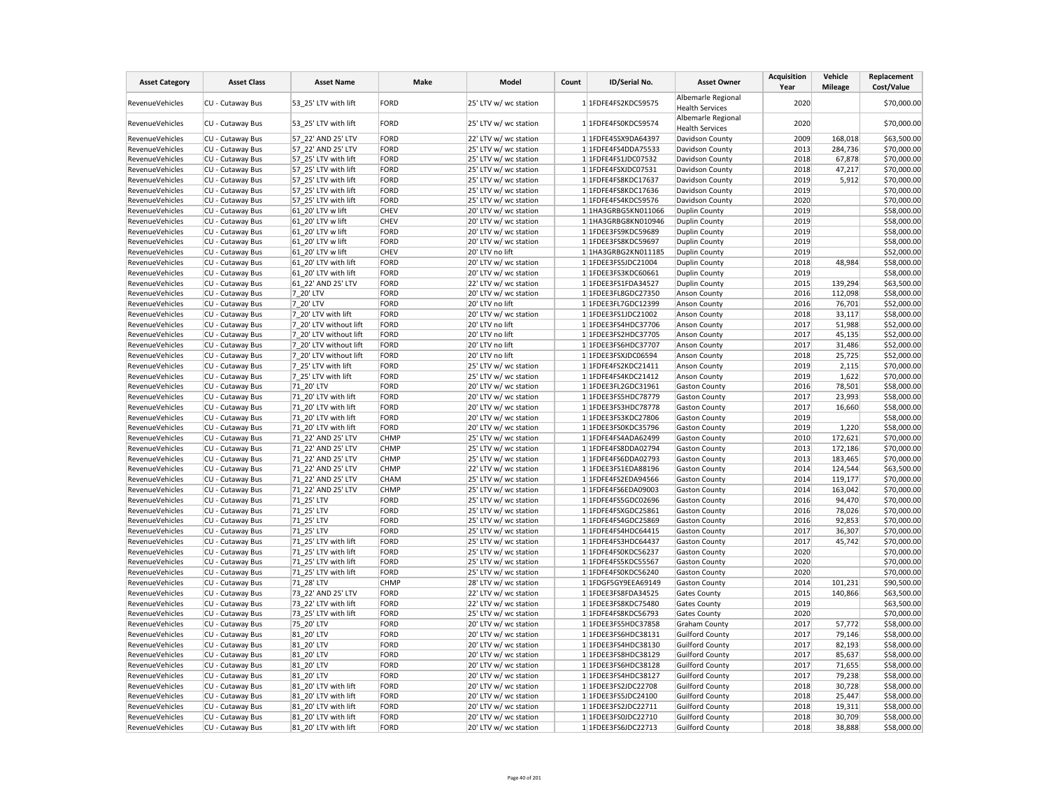| <b>Asset Category</b>  | <b>Asset Class</b> | <b>Asset Name</b>      | Make        | Model                 | Count | ID/Serial No.       | <b>Asset Owner</b>                           | <b>Acquisition</b><br>Year | Vehicle<br><b>Mileage</b> | Replacement<br>Cost/Value |
|------------------------|--------------------|------------------------|-------------|-----------------------|-------|---------------------|----------------------------------------------|----------------------------|---------------------------|---------------------------|
| RevenueVehicles        | CU - Cutaway Bus   | 53 25' LTV with lift   | <b>FORD</b> | 25' LTV w/ wc station |       | 1 1FDFE4FS2KDC59575 | Albemarle Regional<br><b>Health Services</b> | 2020                       |                           | \$70,000.00               |
| RevenueVehicles        | CU - Cutaway Bus   | 53 25' LTV with lift   | FORD        | 25' LTV w/ wc station |       | 1 1FDFE4FS0KDC59574 | Albemarle Regional<br><b>Health Services</b> | 2020                       |                           | \$70,000.00               |
| RevenueVehicles        | CU - Cutaway Bus   | 57 22' AND 25' LTV     | FORD        | 22' LTV w/ wc station |       | 1 1FDFE45SX9DA64397 | Davidson County                              | 2009                       | 168,018                   | \$63,500.00               |
| RevenueVehicles        | CU - Cutaway Bus   | 57 22' AND 25' LTV     | FORD        | 25' LTV w/ wc station |       | 1 1FDFE4FS4DDA75533 | Davidson County                              | 2013                       | 284,736                   | \$70,000.00               |
| RevenueVehicles        | CU - Cutaway Bus   | 57 25' LTV with lift   | FORD        | 25' LTV w/ wc station |       | 1 1FDFE4FS1JDC07532 | Davidson County                              | 2018                       | 67,878                    | \$70,000.00               |
| RevenueVehicles        | CU - Cutaway Bus   | 57 25' LTV with lift   | FORD        | 25' LTV w/ wc station |       | 1 1FDFE4FSXJDC07531 | Davidson County                              | 2018                       | 47,217                    | \$70,000.00               |
| RevenueVehicles        | CU - Cutaway Bus   | 57_25' LTV with lift   | FORD        | 25' LTV w/ wc station |       | 1 1FDFE4FS8KDC17637 | Davidson County                              | 2019                       | 5,912                     | \$70,000.00               |
| RevenueVehicles        | CU - Cutaway Bus   | 57 25' LTV with lift   | FORD        | 25' LTV w/ wc station |       | 1 1FDFE4FS8KDC17636 | Davidson County                              | 2019                       |                           | \$70,000.00               |
| RevenueVehicles        | CU - Cutaway Bus   | 57 25' LTV with lift   | FORD        | 25' LTV w/ wc station |       | 1 1FDFE4FS4KDC59576 | Davidson County                              | 2020                       |                           | \$70,000.00               |
| RevenueVehicles        | CU - Cutaway Bus   | 61_20' LTV w lift      | CHEV        | 20' LTV w/ wc station |       | 1 1HA3GRBG5KN011066 | <b>Duplin County</b>                         | 2019                       |                           | \$58,000.00               |
| RevenueVehicles        | CU - Cutaway Bus   | 61 20' LTV w lift      | CHEV        | 20' LTV w/ wc station |       | 1 1HA3GRBG8KN010946 | <b>Duplin County</b>                         | 2019                       |                           | \$58,000.00               |
| RevenueVehicles        | CU - Cutaway Bus   | 61 20' LTV w lift      | FORD        | 20' LTV w/ wc station |       | 1 1FDEE3FS9KDC59689 | <b>Duplin County</b>                         | 2019                       |                           | \$58,000.00               |
| RevenueVehicles        | CU - Cutaway Bus   | 61 20' LTV w lift      | FORD        | 20' LTV w/ wc station |       | 1 1FDEE3FS8KDC59697 | Duplin County                                | 2019                       |                           | \$58,000.00               |
| RevenueVehicles        | CU - Cutaway Bus   | 61 20' LTV w lift      | <b>CHEV</b> | 20' LTV no lift       |       | 1 1HA3GRBG2KN011185 | <b>Duplin County</b>                         | 2019                       |                           | \$52,000.00               |
| RevenueVehicles        | CU - Cutaway Bus   | 61 20' LTV with lift   | FORD        | 20' LTV w/ wc station |       | 1 1FDEE3FS5JDC21004 | <b>Duplin County</b>                         | 2018                       | 48,984                    | \$58,000.00               |
| RevenueVehicles        | CU - Cutaway Bus   | 61 20' LTV with lift   | FORD        | 20' LTV w/ wc station |       | 1 1FDEE3FS3KDC60661 | Duplin County                                | 2019                       |                           | \$58,000.00               |
| <b>RevenueVehicles</b> | CU - Cutaway Bus   | 61_22' AND 25' LTV     | FORD        | 22' LTV w/ wc station |       | 1 1FDEE3FS1FDA34527 | <b>Duplin County</b>                         | 2015                       | 139,294                   | \$63,500.00               |
| RevenueVehicles        | CU - Cutaway Bus   | 7 20' LTV              | FORD        | 20' LTV w/ wc station |       | 1 1FDEE3FL8GDC27350 | <b>Anson County</b>                          | 2016                       | 112,098                   | \$58,000.00               |
| RevenueVehicles        | CU - Cutaway Bus   | 7_20' LTV              | FORD        | 20' LTV no lift       |       | 1 1FDEE3FL7GDC12399 | <b>Anson County</b>                          | 2016                       | 76,701                    | \$52,000.00               |
| RevenueVehicles        | CU - Cutaway Bus   | 7 20' LTV with lift    | FORD        | 20' LTV w/ wc station |       | 1 1FDEE3FS1JDC21002 | Anson County                                 | 2018                       | 33,117                    | \$58,000.00               |
| RevenueVehicles        | CU - Cutaway Bus   | 7 20' LTV without lift | FORD        | 20' LTV no lift       |       | 1 1FDEE3FS4HDC37706 | <b>Anson County</b>                          | 2017                       | 51,988                    | \$52,000.00               |
| RevenueVehicles        | CU - Cutaway Bus   | 7 20' LTV without lift | FORD        | 20' LTV no lift       |       | 1 1FDEE3FS2HDC37705 | <b>Anson County</b>                          | 2017                       | 45,135                    | \$52,000.00               |
| RevenueVehicles        | CU - Cutaway Bus   | 7 20' LTV without lift | FORD        | 20' LTV no lift       |       | 1 1FDEE3FS6HDC37707 | <b>Anson County</b>                          | 2017                       | 31,486                    | \$52,000.00               |
| RevenueVehicles        | CU - Cutaway Bus   | 7 20' LTV without lift | FORD        | 20' LTV no lift       |       | 1 1FDEE3FSXJDC06594 | <b>Anson County</b>                          | 2018                       | 25,725                    | \$52,000.00               |
| RevenueVehicles        | CU - Cutaway Bus   | 7 25' LTV with lift    | FORD        | 25' LTV w/ wc station |       | 1 1FDFE4FS2KDC21411 | <b>Anson County</b>                          | 2019                       | 2,115                     | \$70,000.00               |
| RevenueVehicles        | CU - Cutaway Bus   | 7_25' LTV with lift    | FORD        | 25' LTV w/ wc station |       | 1 1FDFE4FS4KDC21412 | Anson County                                 | 2019                       | 1,622                     | \$70,000.00               |
| RevenueVehicles        | CU - Cutaway Bus   | 71 20' LTV             | FORD        | 20' LTV w/ wc station |       | 1 1FDEE3FL2GDC31961 | <b>Gaston County</b>                         | 2016                       | 78,501                    | \$58,000.00               |
| RevenueVehicles        | CU - Cutaway Bus   | 71 20' LTV with lift   | FORD        | 20' LTV w/ wc station |       | 1 1FDEE3FS5HDC78779 | <b>Gaston County</b>                         | 2017                       | 23,993                    | \$58,000.00               |
| <b>RevenueVehicles</b> | CU - Cutaway Bus   | 71 20' LTV with lift   | FORD        | 20' LTV w/ wc station |       | 1 1FDEE3FS3HDC78778 | <b>Gaston County</b>                         | 2017                       | 16,660                    | \$58,000.00               |
| RevenueVehicles        | CU - Cutaway Bus   | 71 20' LTV with lift   | FORD        | 20' LTV w/ wc station |       | 1 1FDEE3FS3KDC27806 | <b>Gaston County</b>                         | 2019                       |                           | \$58,000.00               |
| RevenueVehicles        | CU - Cutaway Bus   | 71 20' LTV with lift   | FORD        | 20' LTV w/ wc station |       | 1 1FDEE3FS0KDC35796 | <b>Gaston County</b>                         | 2019                       | 1,220                     | \$58,000.00               |
| RevenueVehicles        | CU - Cutaway Bus   | 71 22' AND 25' LTV     | CHMP        | 25' LTV w/ wc station |       | 1 1FDFE4FS4ADA62499 | <b>Gaston County</b>                         | 2010                       | 172,621                   | \$70,000.00               |
| RevenueVehicles        | CU - Cutaway Bus   | 71 22' AND 25' LTV     | <b>CHMP</b> | 25' LTV w/ wc station |       | 1 1FDFE4FS8DDA02794 | <b>Gaston County</b>                         | 2013                       | 172,186                   | \$70,000.00               |
| RevenueVehicles        | CU - Cutaway Bus   | 71 22' AND 25' LTV     | <b>CHMP</b> | 25' LTV w/ wc station |       | 1 1FDFE4FS6DDA02793 | <b>Gaston County</b>                         | 2013                       | 183,465                   | \$70,000.00               |
| RevenueVehicles        | CU - Cutaway Bus   | 71 22' AND 25' LTV     | <b>CHMP</b> | 22' LTV w/ wc station |       | 1 1FDEE3FS1EDA88196 | <b>Gaston County</b>                         | 2014                       | 124,544                   | \$63,500.00               |
| RevenueVehicles        | CU - Cutaway Bus   | 71 22' AND 25' LTV     | CHAM        | 25' LTV w/ wc station |       | 1 1FDFE4FS2EDA94566 | <b>Gaston County</b>                         | 2014                       | 119,177                   | \$70,000.00               |
| RevenueVehicles        | CU - Cutaway Bus   | 71_22' AND 25' LTV     | <b>CHMP</b> | 25' LTV w/ wc station |       | 1 1FDFE4FS6EDA09003 | <b>Gaston County</b>                         | 2014                       | 163,042                   | \$70,000.00               |
| RevenueVehicles        | CU - Cutaway Bus   | 71 25' LTV             | FORD        | 25' LTV w/ wc station |       | 1 1FDFE4FS5GDC02696 | <b>Gaston County</b>                         | 2016                       | 94,470                    | \$70,000.00               |
| RevenueVehicles        | CU - Cutaway Bus   | 71 25' LTV             | FORD        | 25' LTV w/ wc station |       | 1 1FDFE4FSXGDC25861 | <b>Gaston County</b>                         | 2016                       | 78,026                    | \$70,000.00               |
| RevenueVehicles        | CU - Cutaway Bus   | 71_25' LTV             | FORD        | 25' LTV w/ wc station |       | 1 1FDFE4FS4GDC25869 | <b>Gaston County</b>                         | 2016                       | 92,853                    | \$70,000.00               |
| RevenueVehicles        | CU - Cutaway Bus   | 71 25' LTV             | FORD        | 25' LTV w/ wc station |       | 1 1FDFE4FS4HDC64415 | <b>Gaston County</b>                         | 2017                       | 36,307                    | \$70,000.00               |
| RevenueVehicles        | CU - Cutaway Bus   | 71 25' LTV with lift   | FORD        | 25' LTV w/ wc station |       | 1 1FDFE4FS3HDC64437 | <b>Gaston County</b>                         | 2017                       | 45,742                    | \$70,000.00               |
| RevenueVehicles        | CU - Cutaway Bus   | 71 25' LTV with lift   | FORD        | 25' LTV w/ wc station |       | 1 1FDFE4FS0KDC56237 | <b>Gaston County</b>                         | 2020                       |                           | \$70,000.00               |
| RevenueVehicles        | CU - Cutaway Bus   | 71 25' LTV with lift   | FORD        | 25' LTV w/ wc station |       | 1 1FDFE4FS5KDC55567 | <b>Gaston County</b>                         | 2020                       |                           | \$70,000.00               |
| RevenueVehicles        | CU - Cutaway Bus   | 71 25' LTV with lift   | FORD        | 25' LTV w/ wc station |       | 1 1FDFE4FS0KDC56240 | <b>Gaston County</b>                         | 2020                       |                           | \$70,000.00               |
| RevenueVehicles        | CU - Cutaway Bus   | 71_28' LTV             | <b>CHMP</b> | 28' LTV w/ wc station |       | 1 1FDGF5GY9EEA69149 | <b>Gaston County</b>                         | 2014                       | 101,231                   | \$90,500.00               |
| RevenueVehicles        | CU - Cutaway Bus   | 73_22' AND 25' LTV     | FORD        | 22' LTV w/ wc station |       | 1 1FDEE3FS8FDA34525 | <b>Gates County</b>                          | 2015                       | 140,866                   | \$63,500.00               |
| RevenueVehicles        | CU - Cutaway Bus   | 73 22' LTV with lift   | FORD        | 22' LTV w/ wc station |       | 1 1FDEE3FS8KDC75480 | <b>Gates County</b>                          | 2019                       |                           | \$63,500.00               |
| RevenueVehicles        | CU - Cutaway Bus   | 73 25' LTV with lift   | FORD        | 25' LTV w/ wc station |       | 1 1FDFE4FS8KDC56793 | <b>Gates County</b>                          | 2020                       |                           | \$70,000.00               |
| RevenueVehicles        | CU - Cutaway Bus   | 75 20' LTV             | FORD        | 20' LTV w/ wc station |       | 1 1FDEE3FS5HDC37858 | <b>Graham County</b>                         | 2017                       | 57,772                    | \$58,000.00               |
| RevenueVehicles        | CU - Cutaway Bus   | 81_20' LTV             | FORD        | 20' LTV w/ wc station |       | 1 1FDEE3FS6HDC38131 | <b>Guilford County</b>                       | 2017                       | 79,146                    | \$58,000.00               |
| RevenueVehicles        | CU - Cutaway Bus   | 81 20' LTV             | FORD        | 20' LTV w/ wc station |       | 1 1FDEE3FS4HDC38130 | <b>Guilford County</b>                       | 2017                       | 82,193                    | \$58,000.00               |
| RevenueVehicles        | CU - Cutaway Bus   | 81 20' LTV             | FORD        | 20' LTV w/ wc station |       | 1 1FDEE3FS8HDC38129 | <b>Guilford County</b>                       | 2017                       | 85,637                    | \$58,000.00               |
| RevenueVehicles        | CU - Cutaway Bus   | 81 20' LTV             | FORD        | 20' LTV w/ wc station |       | 1 1FDEE3FS6HDC38128 | <b>Guilford County</b>                       | 2017                       | 71,655                    | \$58,000.00               |
| RevenueVehicles        | CU - Cutaway Bus   | 81 20' LTV             | FORD        | 20' LTV w/ wc station |       | 1 1FDEE3FS4HDC38127 | <b>Guilford County</b>                       | 2017                       | 79,238                    | \$58,000.00               |
| RevenueVehicles        | CU - Cutaway Bus   | 81 20' LTV with lift   | FORD        | 20' LTV w/ wc station |       | 1 1FDEE3FS2JDC22708 | <b>Guilford County</b>                       | 2018                       | 30,728                    | \$58,000.00               |
| RevenueVehicles        | CU - Cutaway Bus   | 81_20' LTV with lift   | FORD        | 20' LTV w/ wc station |       | 1 1FDEE3FS5JDC24100 | <b>Guilford County</b>                       | 2018                       | 25,447                    | \$58,000.00               |
| RevenueVehicles        | CU - Cutaway Bus   | 81 20' LTV with lift   | FORD        | 20' LTV w/ wc station |       | 1 1FDEE3FS2JDC22711 | <b>Guilford County</b>                       | 2018                       | 19,311                    | \$58,000.00               |
| RevenueVehicles        | CU - Cutaway Bus   | 81 20' LTV with lift   | FORD        | 20' LTV w/ wc station |       | 1 1FDEE3FS0JDC22710 | <b>Guilford County</b>                       | 2018                       | 30,709                    | \$58,000.00               |
| <b>RevenueVehicles</b> | CU - Cutaway Bus   | 81 20' LTV with lift   | FORD        | 20' LTV w/ wc station |       | 1 1FDEE3FS6JDC22713 | <b>Guilford County</b>                       | 2018                       | 38,888                    | \$58,000.00               |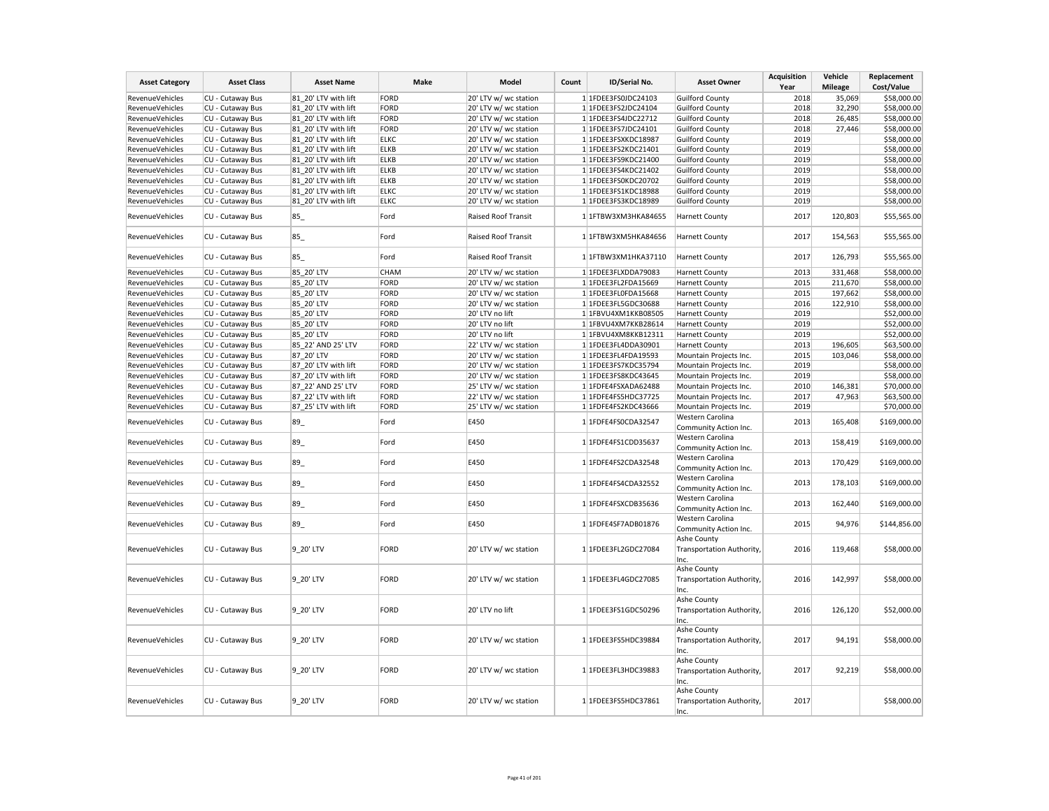| <b>Asset Category</b>  | <b>Asset Class</b> | <b>Asset Name</b>    | Make        | Model                 | Count | ID/Serial No.       | <b>Asset Owner</b>                               | <b>Acquisition</b><br>Year | Vehicle<br><b>Mileage</b> | Replacement<br>Cost/Value |
|------------------------|--------------------|----------------------|-------------|-----------------------|-------|---------------------|--------------------------------------------------|----------------------------|---------------------------|---------------------------|
| RevenueVehicles        | CU - Cutaway Bus   | 81 20' LTV with lift | FORD        | 20' LTV w/ wc station |       | 1 1FDEE3FS0JDC24103 | <b>Guilford County</b>                           | 2018                       | 35,069                    | \$58,000.00               |
| RevenueVehicles        | CU - Cutaway Bus   | 81 20' LTV with lift | FORD        | 20' LTV w/ wc station |       | 1 1FDEE3FS2JDC24104 | <b>Guilford County</b>                           | 2018                       | 32,290                    | \$58,000.00               |
| <b>RevenueVehicles</b> | CU - Cutaway Bus   | 81 20' LTV with lift | FORD        | 20' LTV w/ wc station |       | 1 1FDEE3FS4JDC22712 | <b>Guilford County</b>                           | 2018                       | 26,485                    | \$58,000.00               |
| RevenueVehicles        | CU - Cutaway Bus   | 81 20' LTV with lift | FORD        | 20' LTV w/ wc station |       | 1 1FDEE3FS7JDC24101 | <b>Guilford County</b>                           | 2018                       | 27,446                    | \$58,000.00               |
| RevenueVehicles        | CU - Cutaway Bus   | 81 20' LTV with lift | <b>ELKC</b> | 20' LTV w/ wc station |       | 1 1FDEE3FSXKDC18987 | <b>Guilford County</b>                           | 2019                       |                           | \$58,000.00               |
| <b>RevenueVehicles</b> | CU - Cutaway Bus   | 81 20' LTV with lift | <b>ELKB</b> | 20' LTV w/ wc station |       | 1 1FDEE3FS2KDC21401 | <b>Guilford County</b>                           | 2019                       |                           | \$58,000.00               |
| RevenueVehicles        | CU - Cutaway Bus   | 81 20' LTV with lift | <b>ELKB</b> | 20' LTV w/ wc station |       | 1 1FDEE3FS9KDC21400 | <b>Guilford County</b>                           | 2019                       |                           | \$58,000.00               |
| RevenueVehicles        | CU - Cutaway Bus   | 81 20' LTV with lift | <b>ELKB</b> | 20' LTV w/ wc station |       | 1 1FDEE3FS4KDC21402 | <b>Guilford County</b>                           | 2019                       |                           | \$58,000.00               |
| RevenueVehicles        | CU - Cutaway Bus   | 81 20' LTV with lift | <b>ELKB</b> | 20' LTV w/ wc station |       | 1 1FDEE3FS0KDC20702 | <b>Guilford County</b>                           | 2019                       |                           | \$58,000.00               |
| RevenueVehicles        | CU - Cutaway Bus   | 81 20' LTV with lift | <b>ELKC</b> | 20' LTV w/ wc station |       | 1 1FDEE3FS1KDC18988 | <b>Guilford County</b>                           | 2019                       |                           | \$58,000.00               |
| <b>RevenueVehicles</b> | CU - Cutaway Bus   | 81 20' LTV with lift | <b>ELKC</b> | 20' LTV w/ wc station |       | 1 1FDEE3FS3KDC18989 | <b>Guilford County</b>                           | 2019                       |                           | \$58,000.00               |
| RevenueVehicles        | CU - Cutaway Bus   | 85                   | Ford        | Raised Roof Transit   |       | 1 1FTBW3XM3HKA84655 | <b>Harnett County</b>                            | 2017                       | 120,803                   | \$55,565.00               |
| RevenueVehicles        | CU - Cutaway Bus   | 85                   | Ford        | Raised Roof Transit   |       | 1 1FTBW3XM5HKA84656 | <b>Harnett County</b>                            | 2017                       | 154,563                   | \$55,565.00               |
| RevenueVehicles        | CU - Cutaway Bus   | 85                   | Ford        | Raised Roof Transit   |       | 1 1FTBW3XM1HKA37110 | <b>Harnett County</b>                            | 2017                       | 126,793                   | \$55,565.00               |
| RevenueVehicles        | CU - Cutaway Bus   | 85 20' LTV           | <b>CHAM</b> | 20' LTV w/ wc station |       | 1 1FDEE3FLXDDA79083 | <b>Harnett County</b>                            | 2013                       | 331,468                   | \$58,000.00               |
| <b>RevenueVehicles</b> | CU - Cutaway Bus   | 85 20' LTV           | FORD        | 20' LTV w/ wc station |       | 1 1FDEE3FL2FDA15669 | <b>Harnett County</b>                            | 2015                       | 211,670                   | \$58,000.00               |
| RevenueVehicles        | CU - Cutaway Bus   | 85_20' LTV           | FORD        | 20' LTV w/ wc station |       | 1 1FDEE3FL0FDA15668 | <b>Harnett County</b>                            | 2015                       | 197,662                   | \$58,000.00               |
| <b>RevenueVehicles</b> | CU - Cutaway Bus   | 85 20' LTV           | FORD        | 20' LTV w/ wc station |       | 1 1FDEE3FL5GDC30688 | <b>Harnett County</b>                            | 2016                       | 122,910                   | \$58,000.00               |
| RevenueVehicles        | CU - Cutaway Bus   | 85 20' LTV           | FORD        | 20' LTV no lift       |       | 1 1FBVU4XM1KKB08505 | <b>Harnett County</b>                            | 2019                       |                           | \$52,000.00               |
| RevenueVehicles        | CU - Cutaway Bus   | 85 20' LTV           | FORD        | 20' LTV no lift       |       | 1 1FBVU4XM7KKB28614 | <b>Harnett County</b>                            | 2019                       |                           | \$52,000.00               |
| RevenueVehicles        | CU - Cutaway Bus   | 85 20' LTV           | FORD        | 20' LTV no lift       |       | 1 1FBVU4XM8KKB12311 | <b>Harnett County</b>                            | 2019                       |                           | \$52,000.00               |
| RevenueVehicles        | CU - Cutaway Bus   | 85_22' AND 25' LTV   | FORD        | 22' LTV w/ wc station |       | 1 1FDEE3FL4DDA30901 | <b>Harnett County</b>                            | 2013                       | 196,605                   | \$63,500.00               |
| RevenueVehicles        | CU - Cutaway Bus   | 87 20' LTV           | FORD        | 20' LTV w/ wc station |       | 1 1FDEE3FL4FDA19593 | Mountain Projects Inc.                           | 2015                       | 103,046                   | \$58,000.00               |
| RevenueVehicles        | CU - Cutaway Bus   | 87 20' LTV with lift | FORD        | 20' LTV w/ wc station |       | 1 1FDEE3FS7KDC35794 | Mountain Projects Inc.                           | 2019                       |                           | \$58,000.00               |
| RevenueVehicles        | CU - Cutaway Bus   | 87 20' LTV with lift | FORD        | 20' LTV w/ wc station |       | 1 1FDEE3FS8KDC43645 | Mountain Projects Inc.                           | 2019                       |                           | \$58,000.00               |
| RevenueVehicles        | CU - Cutaway Bus   | 87 22' AND 25' LTV   | FORD        | 25' LTV w/ wc station |       | 1 1FDFE4FSXADA62488 | Mountain Projects Inc.                           | 2010                       | 146,381                   | \$70,000.00               |
| RevenueVehicles        | CU - Cutaway Bus   | 87 22' LTV with lift | FORD        | 22' LTV w/ wc station |       | 1 1FDFE4FS5HDC37725 | Mountain Projects Inc.                           | 2017                       | 47,963                    | \$63,500.00               |
| RevenueVehicles        | CU - Cutaway Bus   | 87_25' LTV with lift | FORD        | 25' LTV w/ wc station |       | 1 1FDFE4FS2KDC43666 | Mountain Projects Inc.                           | 2019                       |                           | \$70,000.00               |
|                        |                    |                      |             |                       |       |                     | Western Carolina                                 |                            |                           |                           |
| RevenueVehicles        | CU - Cutaway Bus   | 89_                  | Ford        | E450                  |       | 1 1FDFE4FS0CDA32547 | Community Action Inc.                            | 2013                       | 165,408                   | \$169,000.00              |
| RevenueVehicles        | CU - Cutaway Bus   | 89_                  | Ford        | E450                  |       | 1 1FDFE4FS1CDD35637 | Western Carolina<br>Community Action Inc.        | 2013                       | 158,419                   | \$169,000.00              |
| <b>RevenueVehicles</b> | CU - Cutaway Bus   | 89_                  | Ford        | E450                  |       | 1 1FDFE4FS2CDA32548 | Western Carolina<br>Community Action Inc.        | 2013                       | 170,429                   | \$169,000.00              |
| RevenueVehicles        | CU - Cutaway Bus   | 89_                  | Ford        | E450                  |       | 1 1FDFE4FS4CDA32552 | Western Carolina<br>Community Action Inc.        | 2013                       | 178,103                   | \$169,000.00              |
| RevenueVehicles        | CU - Cutaway Bus   | 89_                  | Ford        | E450                  |       | 1 1FDFE4FSXCDB35636 | Western Carolina<br>Community Action Inc.        | 2013                       | 162,440                   | \$169,000.00              |
| RevenueVehicles        | CU - Cutaway Bus   | 89                   | Ford        | E450                  |       | 1 1FDFE4SF7ADB01876 | Western Carolina<br>Community Action Inc.        | 2015                       | 94,976                    | \$144,856.00              |
| RevenueVehicles        | CU - Cutaway Bus   | 9 20' LTV            | FORD        | 20' LTV w/ wc station |       | 1 1FDEE3FL2GDC27084 | Ashe County<br>Transportation Authority,<br>Inc. | 2016                       | 119,468                   | \$58,000.00               |
| RevenueVehicles        | CU - Cutaway Bus   | 9 20' LTV            | FORD        | 20' LTV w/ wc station |       | 1 1FDEE3FL4GDC27085 | Ashe County<br>Transportation Authority,<br>Inc. | 2016                       | 142,997                   | \$58,000.00               |
| <b>RevenueVehicles</b> | CU - Cutaway Bus   | 9 20' LTV            | FORD        | 20' LTV no lift       |       | 1 1FDEE3FS1GDC50296 | Ashe County<br>Transportation Authority,<br>Inc. | 2016                       | 126,120                   | \$52,000.00               |
| RevenueVehicles        | CU - Cutaway Bus   | 9 20' LTV            | FORD        | 20' LTV w/ wc station |       | 1 1FDEE3FS5HDC39884 | Ashe County<br>Transportation Authority,<br>Inc. | 2017                       | 94,191                    | \$58,000.00               |
| RevenueVehicles        | CU - Cutaway Bus   | 9 20' LTV            | FORD        | 20' LTV w/ wc station |       | 1 1FDEE3FL3HDC39883 | Ashe County<br>Transportation Authority,<br>Inc. | 2017                       | 92,219                    | \$58,000.00               |
| RevenueVehicles        | CU - Cutaway Bus   | 9 20' LTV            | FORD        | 20' LTV w/ wc station |       | 1 1FDEE3FS5HDC37861 | Ashe County<br>Transportation Authority,<br>Inc. | 2017                       |                           | \$58,000.00               |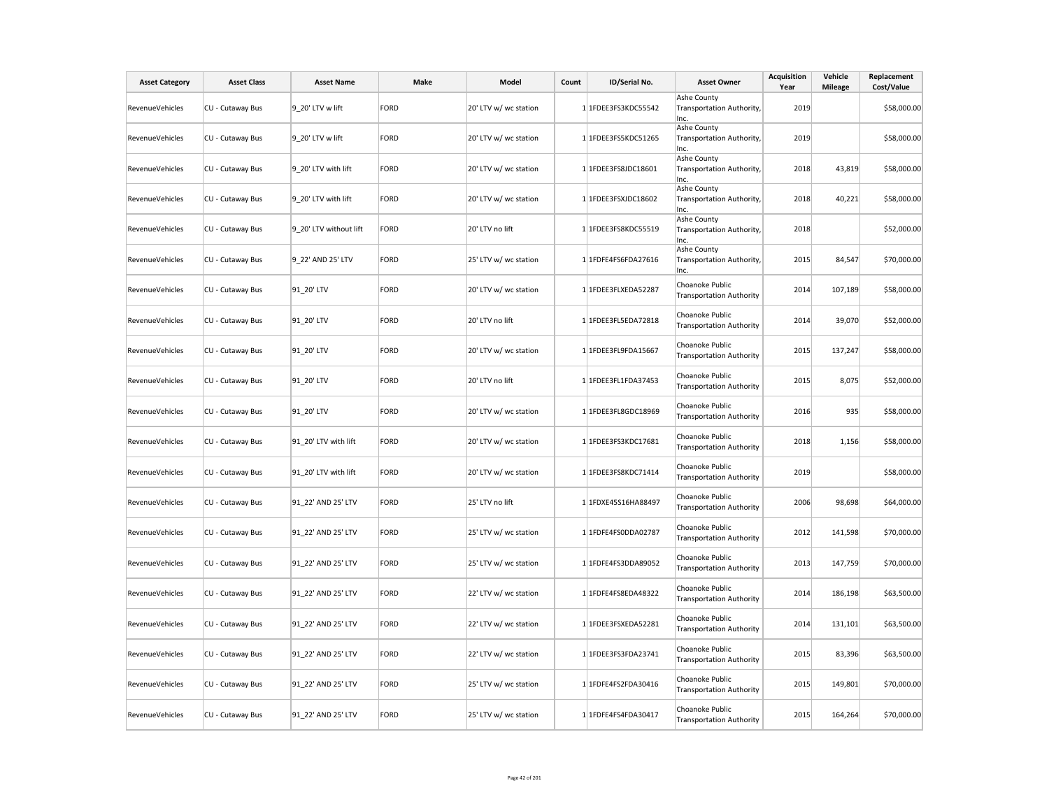| <b>Asset Category</b>  | <b>Asset Class</b> | <b>Asset Name</b>      | Make        | Model                 | Count | ID/Serial No.       | <b>Asset Owner</b>                                 | <b>Acquisition</b><br>Year | Vehicle<br>Mileage | Replacement<br>Cost/Value |
|------------------------|--------------------|------------------------|-------------|-----------------------|-------|---------------------|----------------------------------------------------|----------------------------|--------------------|---------------------------|
| <b>RevenueVehicles</b> | CU - Cutaway Bus   | 9 20' LTV w lift       | <b>FORD</b> | 20' LTV w/ wc station |       | 1 1FDEE3FS3KDC55542 | Ashe County<br>Transportation Authority,<br>Inc.   | 2019                       |                    | \$58,000.00               |
| RevenueVehicles        | CU - Cutaway Bus   | 9 20' LTV w lift       | <b>FORD</b> | 20' LTV w/ wc station |       | 1 1FDEE3FS5KDC51265 | Ashe County<br>Transportation Authority,<br>Inc.   | 2019                       |                    | \$58,000.00               |
| RevenueVehicles        | CU - Cutaway Bus   | 9 20' LTV with lift    | <b>FORD</b> | 20' LTV w/ wc station |       | 1 1FDEE3FS8JDC18601 | Ashe County<br>Transportation Authority,<br>Inc.   | 2018                       | 43,819             | \$58,000.00               |
| RevenueVehicles        | CU - Cutaway Bus   | 9 20' LTV with lift    | <b>FORD</b> | 20' LTV w/ wc station |       | 1 1FDEE3FSXJDC18602 | Ashe County<br>Transportation Authority,<br>Inc.   | 2018                       | 40,221             | \$58,000.00               |
| RevenueVehicles        | CU - Cutaway Bus   | 9 20' LTV without lift | <b>FORD</b> | 20' LTV no lift       |       | 1 1FDEE3FS8KDC55519 | Ashe County<br>Transportation Authority,<br>Inc.   | 2018                       |                    | \$52,000.00               |
| <b>RevenueVehicles</b> | CU - Cutaway Bus   | 9 22' AND 25' LTV      | <b>FORD</b> | 25' LTV w/ wc station |       | 1 1FDFE4FS6FDA27616 | Ashe County<br>Transportation Authority,<br>Inc.   | 2015                       | 84,547             | \$70,000.00               |
| RevenueVehicles        | CU - Cutaway Bus   | 91 20' LTV             | <b>FORD</b> | 20' LTV w/ wc station |       | 1 1FDEE3FLXEDA52287 | Choanoke Public<br><b>Transportation Authority</b> | 2014                       | 107,189            | \$58,000.00               |
| RevenueVehicles        | CU - Cutaway Bus   | 91 20' LTV             | <b>FORD</b> | 20' LTV no lift       |       | 1 1FDEE3FL5EDA72818 | Choanoke Public<br><b>Transportation Authority</b> | 2014                       | 39,070             | \$52,000.00               |
| RevenueVehicles        | CU - Cutaway Bus   | 91 20' LTV             | <b>FORD</b> | 20' LTV w/ wc station |       | 1 1FDEE3FL9FDA15667 | Choanoke Public<br><b>Transportation Authority</b> | 2015                       | 137,247            | \$58,000.00               |
| <b>RevenueVehicles</b> | CU - Cutaway Bus   | 91 20' LTV             | <b>FORD</b> | 20' LTV no lift       |       | 1 1FDEE3FL1FDA37453 | Choanoke Public<br><b>Transportation Authority</b> | 2015                       | 8,075              | \$52,000.00               |
| <b>RevenueVehicles</b> | CU - Cutaway Bus   | 91 20' LTV             | <b>FORD</b> | 20' LTV w/ wc station |       | 1 1FDEE3FL8GDC18969 | Choanoke Public<br><b>Transportation Authority</b> | 2016                       | 935                | \$58,000.00               |
| RevenueVehicles        | CU - Cutaway Bus   | 91 20' LTV with lift   | <b>FORD</b> | 20' LTV w/ wc station |       | 1 1FDEE3FS3KDC17681 | Choanoke Public<br><b>Transportation Authority</b> | 2018                       | 1,156              | \$58,000.00               |
| RevenueVehicles        | CU - Cutaway Bus   | 91 20' LTV with lift   | <b>FORD</b> | 20' LTV w/ wc station |       | 1 1FDEE3FS8KDC71414 | Choanoke Public<br><b>Transportation Authority</b> | 2019                       |                    | \$58,000.00               |
| RevenueVehicles        | CU - Cutaway Bus   | 91 22' AND 25' LTV     | <b>FORD</b> | 25' LTV no lift       |       | 1 1FDXE45S16HA88497 | Choanoke Public<br><b>Transportation Authority</b> | 2006                       | 98,698             | \$64,000.00               |
| RevenueVehicles        | CU - Cutaway Bus   | 91 22' AND 25' LTV     | <b>FORD</b> | 25' LTV w/ wc station |       | 1 1FDFE4FS0DDA02787 | Choanoke Public<br><b>Transportation Authority</b> | 2012                       | 141,598            | \$70,000.00               |
| <b>RevenueVehicles</b> | CU - Cutaway Bus   | 91_22' AND 25' LTV     | <b>FORD</b> | 25' LTV w/ wc station |       | 1 1FDFE4FS3DDA89052 | Choanoke Public<br><b>Transportation Authority</b> | 2013                       | 147,759            | \$70,000.00               |
| RevenueVehicles        | CU - Cutaway Bus   | 91 22' AND 25' LTV     | <b>FORD</b> | 22' LTV w/ wc station |       | 1 1FDFE4FS8EDA48322 | Choanoke Public<br><b>Transportation Authority</b> | 2014                       | 186,198            | \$63,500.00               |
| RevenueVehicles        | CU - Cutaway Bus   | 91 22' AND 25' LTV     | <b>FORD</b> | 22' LTV w/ wc station |       | 1 1FDEE3FSXEDA52281 | Choanoke Public<br><b>Transportation Authority</b> | 2014                       | 131,101            | \$63,500.00               |
| RevenueVehicles        | CU - Cutaway Bus   | 91 22' AND 25' LTV     | <b>FORD</b> | 22' LTV w/ wc station |       | 1 1FDEE3FS3FDA23741 | Choanoke Public<br><b>Transportation Authority</b> | 2015                       | 83,396             | \$63,500.00               |
| RevenueVehicles        | CU - Cutaway Bus   | 91 22' AND 25' LTV     | <b>FORD</b> | 25' LTV w/ wc station |       | 1 1FDFE4FS2FDA30416 | Choanoke Public<br><b>Transportation Authority</b> | 2015                       | 149,801            | \$70,000.00               |
| RevenueVehicles        | CU - Cutaway Bus   | 91 22' AND 25' LTV     | <b>FORD</b> | 25' LTV w/ wc station |       | 1 1FDFE4FS4FDA30417 | Choanoke Public<br><b>Transportation Authority</b> | 2015                       | 164,264            | \$70,000.00               |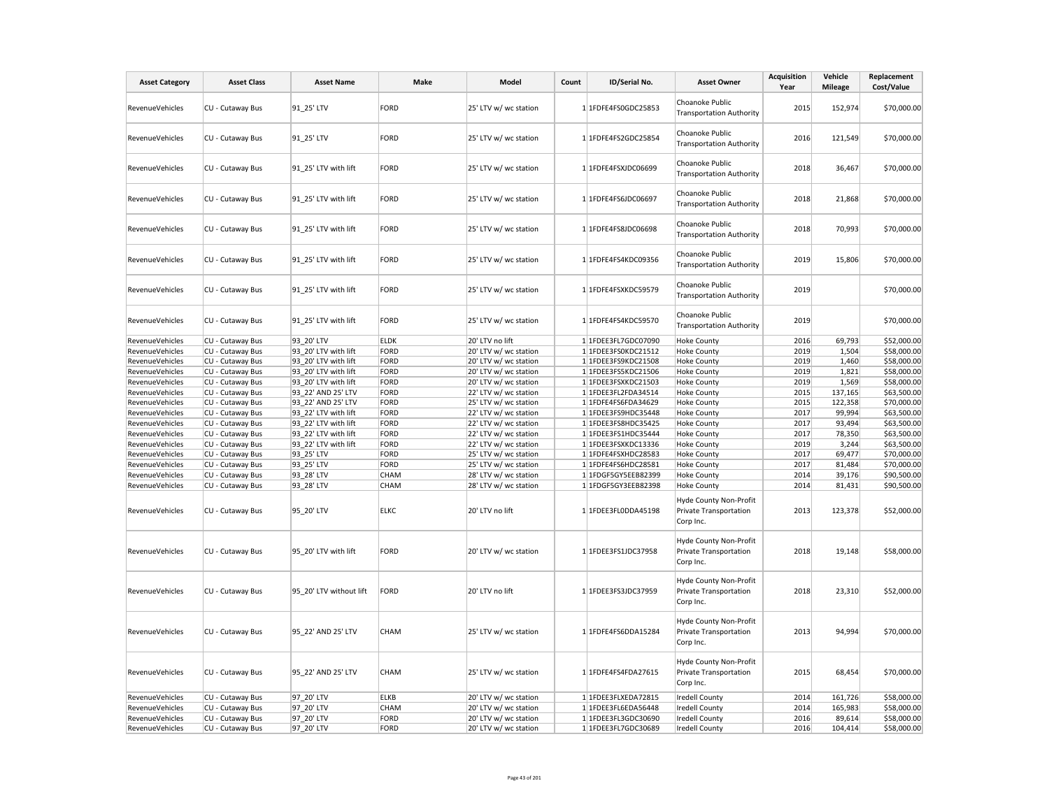| <b>Asset Category</b>              | <b>Asset Class</b>                   | <b>Asset Name</b>        | <b>Make</b>                | Model                                    | Count | ID/Serial No.                              | <b>Asset Owner</b>                                                                  | Acquisition<br>Year | Vehicle<br><b>Mileage</b> | Replacement<br>Cost/Value  |
|------------------------------------|--------------------------------------|--------------------------|----------------------------|------------------------------------------|-------|--------------------------------------------|-------------------------------------------------------------------------------------|---------------------|---------------------------|----------------------------|
| <b>RevenueVehicles</b>             | CU - Cutaway Bus                     | 91 25' LTV               | FORD                       | 25' LTV w/ wc station                    |       | 1 1FDFE4FS0GDC25853                        | Choanoke Public<br><b>Transportation Authority</b>                                  | 2015                | 152,974                   | \$70,000.00                |
| RevenueVehicles                    | CU - Cutaway Bus                     | 91 25' LTV               | FORD                       | 25' LTV w/ wc station                    |       | 1 1FDFE4FS2GDC25854                        | Choanoke Public<br><b>Transportation Authority</b>                                  | 2016                | 121,549                   | \$70,000.00                |
| RevenueVehicles                    | CU - Cutaway Bus                     | 91_25' LTV with lift     | FORD                       | 25' LTV w/ wc station                    |       | 1 1FDFE4FSXJDC06699                        | Choanoke Public<br><b>Transportation Authority</b>                                  | 2018                | 36,467                    | \$70,000.00                |
| RevenueVehicles                    | CU - Cutaway Bus                     | 91 25' LTV with lift     | <b>FORD</b>                | 25' LTV w/ wc station                    |       | 1 1FDFE4FS6JDC06697                        | Choanoke Public<br><b>Transportation Authority</b>                                  | 2018                | 21,868                    | \$70,000.00                |
| <b>RevenueVehicles</b>             | CU - Cutaway Bus                     | 91 25' LTV with lift     | FORD                       | 25' LTV w/ wc station                    |       | 1 1FDFE4FS8JDC06698                        | Choanoke Public<br><b>Transportation Authority</b>                                  | 2018                | 70,993                    | \$70,000.00                |
| RevenueVehicles                    | CU - Cutaway Bus                     | 91_25' LTV with lift     | FORD                       | 25' LTV w/ wc station                    |       | 1 1FDFE4FS4KDC09356                        | Choanoke Public<br><b>Transportation Authority</b>                                  | 2019                | 15,806                    | \$70,000.00                |
| RevenueVehicles                    | CU - Cutaway Bus                     | 91 25' LTV with lift     | <b>FORD</b>                | 25' LTV w/ wc station                    |       | 1 1FDFE4FSXKDC59579                        | Choanoke Public<br><b>Transportation Authority</b>                                  | 2019                |                           | \$70,000.00                |
| <b>RevenueVehicles</b>             | CU - Cutaway Bus                     | 91 25' LTV with lift     | FORD                       | 25' LTV w/ wc station                    |       | 1 1FDFE4FS4KDC59570                        | Choanoke Public<br><b>Transportation Authority</b>                                  | 2019                |                           | \$70,000.00                |
| RevenueVehicles                    | CU - Cutaway Bus                     | 93 20' LTV               | <b>ELDK</b>                | 20' LTV no lift                          |       | 1 1FDEE3FL7GDC07090                        | <b>Hoke County</b>                                                                  | 2016                | 69,793                    | \$52,000.00                |
| RevenueVehicles                    | CU - Cutaway Bus                     | 93 20' LTV with lift     | FORD                       | 20' LTV w/ wc station                    |       | 1 1FDEE3FS0KDC21512                        | <b>Hoke County</b>                                                                  | 2019                | 1,504                     | \$58,000.00                |
| RevenueVehicles                    | CU - Cutaway Bus                     | 93 20' LTV with lift     | FORD                       | 20' LTV w/ wc station                    |       | 1 1FDEE3FS9KDC21508                        | <b>Hoke County</b>                                                                  | 2019                | 1,460                     | \$58,000.00                |
| RevenueVehicles                    | CU - Cutaway Bus                     | 93 20' LTV with lift     | FORD                       | 20' LTV w/ wc station                    |       | 1 1FDEE3FS5KDC21506                        | <b>Hoke County</b>                                                                  | 2019                | 1,821                     | \$58,000.00                |
| RevenueVehicles                    | CU - Cutaway Bus                     | 93 20' LTV with lift     | FORD                       | 20' LTV w/ wc station                    |       | 1 1FDEE3FSXKDC21503                        | <b>Hoke County</b>                                                                  | 2019                | 1,569                     | \$58,000.00                |
| RevenueVehicles                    | CU - Cutaway Bus                     | 93 22' AND 25' LTV       | FORD                       | 22' LTV w/ wc station                    |       | 1 1FDEE3FL2FDA34514                        | <b>Hoke County</b>                                                                  | 2015                | 137,165                   | \$63,500.00                |
| RevenueVehicles                    | CU - Cutaway Bus                     | 93 22' AND 25' LTV       | FORD                       | 25' LTV w/ wc station                    |       | 1 1FDFE4FS6FDA34629                        | Hoke County                                                                         | 2015                | 122,358                   | \$70,000.00                |
| RevenueVehicles                    | CU - Cutaway Bus                     | 93 22' LTV with lift     | FORD                       | 22' LTV w/ wc station                    |       | 1 1FDEE3FS9HDC35448                        | <b>Hoke County</b>                                                                  | 2017                | 99,994                    | \$63,500.00                |
| RevenueVehicles                    | CU - Cutaway Bus                     | 93_22' LTV with lift     | FORD                       | 22' LTV w/ wc station                    |       | 1 1FDEE3FS8HDC35425                        | <b>Hoke County</b>                                                                  | 2017                | 93,494                    | \$63,500.00                |
| RevenueVehicles                    | CU - Cutaway Bus                     | 93 22' LTV with lift     | FORD                       | 22' LTV w/ wc station                    |       | 1 1FDEE3FS1HDC35444                        | <b>Hoke County</b>                                                                  | 2017                | 78,350                    | \$63,500.00                |
| RevenueVehicles                    | CU - Cutaway Bus                     | 93 22' LTV with lift     | FORD                       | 22' LTV w/ wc station                    |       | 1 1FDEE3FSXKDC13336                        | <b>Hoke County</b>                                                                  | 2019                | 3,244                     | \$63,500.00                |
| RevenueVehicles                    | CU - Cutaway Bus                     | 93 25' LTV               | FORD                       | 25' LTV w/ wc station                    |       | 1 1FDFE4FSXHDC28583                        | <b>Hoke County</b>                                                                  | 2017                | 69,477                    | \$70,000.00                |
| <b>RevenueVehicles</b>             | CU - Cutaway Bus                     | 93 25' LTV               | FORD                       | 25' LTV w/ wc station                    |       | 1 1FDFE4FS6HDC28581                        | <b>Hoke County</b>                                                                  | 2017                | 81,484                    | \$70,000.00                |
| RevenueVehicles                    | CU - Cutaway Bus                     | 93 28' LTV               | <b>CHAM</b>                | 28' LTV w/ wc station                    |       | 1 1FDGF5GY5EEB82399                        | <b>Hoke County</b>                                                                  | 2014                | 39,176                    | \$90,500.00                |
| RevenueVehicles<br>RevenueVehicles | CU - Cutaway Bus<br>CU - Cutaway Bus | 93 28' LTV<br>95 20' LTV | <b>CHAM</b><br><b>ELKC</b> | 28' LTV w/ wc station<br>20' LTV no lift |       | 1 1FDGF5GY3EEB82398<br>1 1FDEE3FL0DDA45198 | <b>Hoke County</b><br>Hyde County Non-Profit<br>Private Transportation<br>Corp Inc. | 2014<br>2013        | 81,431<br>123,378         | \$90,500.00<br>\$52,000.00 |
| <b>RevenueVehicles</b>             | CU - Cutaway Bus                     | 95 20' LTV with lift     | FORD                       | 20' LTV w/ wc station                    |       | 1 1FDEE3FS1JDC37958                        | Hyde County Non-Profit<br>Private Transportation<br>Corp Inc.                       | 2018                | 19,148                    | \$58,000.00                |
| RevenueVehicles                    | CU - Cutaway Bus                     | 95 20' LTV without lift  | FORD                       | 20' LTV no lift                          |       | 1 1FDEE3FS3JDC37959                        | Hyde County Non-Profit<br>Private Transportation<br>Corp Inc.                       | 2018                | 23,310                    | \$52,000.00                |
| RevenueVehicles                    | CU - Cutaway Bus                     | 95 22' AND 25' LTV       | CHAM                       | 25' LTV w/ wc station                    |       | 1 1FDFE4FS6DDA15284                        | Hyde County Non-Profit<br>Private Transportation<br>Corp Inc.                       | 2013                | 94,994                    | \$70,000.00                |
| <b>RevenueVehicles</b>             | CU - Cutaway Bus                     | 95 22' AND 25' LTV       | CHAM                       | 25' LTV w/ wc station                    |       | 1 1FDFE4FS4FDA27615                        | Hyde County Non-Profit<br>Private Transportation<br>Corp Inc.                       | 2015                | 68,454                    | \$70,000.00                |
| RevenueVehicles                    | CU - Cutaway Bus                     | 97 20' LTV               | <b>ELKB</b>                | 20' LTV w/ wc station                    |       | 1 1FDEE3FLXEDA72815                        | <b>Iredell County</b>                                                               | 2014                | 161,726                   | \$58,000.00                |
| RevenueVehicles                    | CU - Cutaway Bus                     | 97_20' LTV               | CHAM                       | 20' LTV w/ wc station                    |       | 1 1FDEE3FL6EDA56448                        | <b>Iredell County</b>                                                               | 2014                | 165,983                   | \$58,000.00                |
| RevenueVehicles                    | CU - Cutaway Bus                     | 97 20' LTV               | FORD                       | 20' LTV w/ wc station                    |       | 1 1FDEE3FL3GDC30690                        | <b>Iredell County</b>                                                               | 2016                | 89,614                    | \$58,000.00                |
| <b>RevenueVehicles</b>             | CU - Cutaway Bus                     | 97_20' LTV               | FORD                       | 20' LTV w/ wc station                    |       | 1 1FDEE3FL7GDC30689                        | <b>Iredell County</b>                                                               | 2016                | 104,414                   | \$58,000.00                |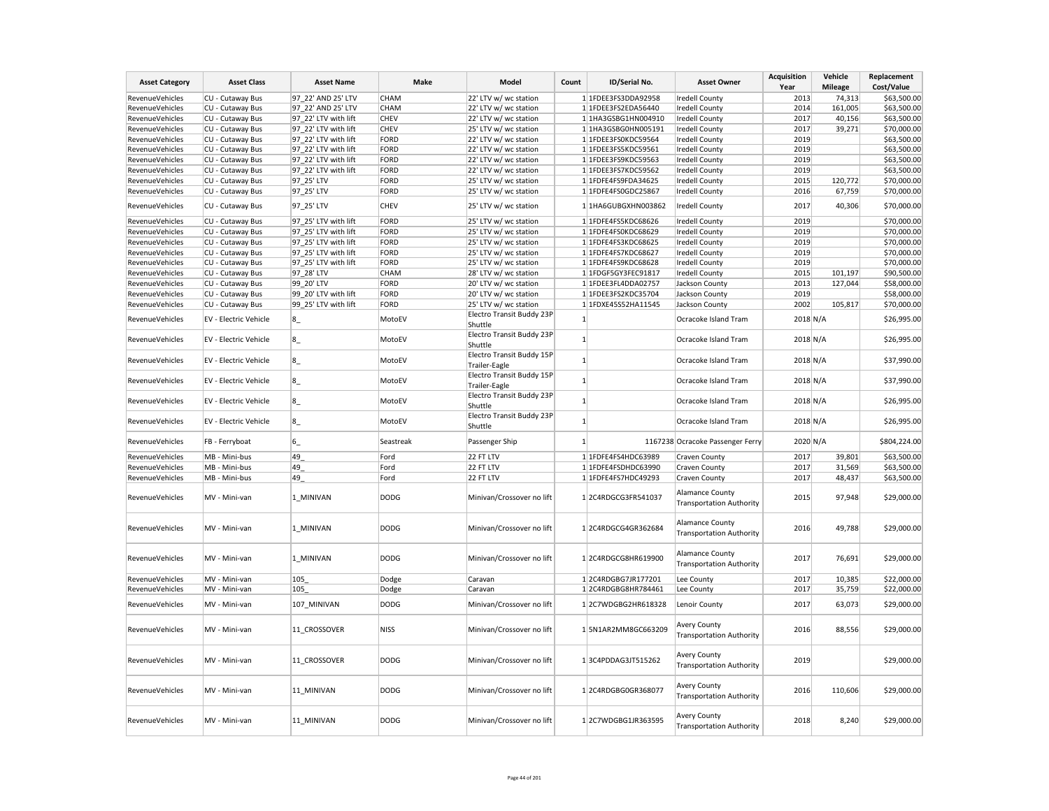| <b>Asset Category</b>  | <b>Asset Class</b>           | <b>Asset Name</b>    | Make        | Model                                      | Count        | ID/Serial No.         | <b>Asset Owner</b>                                        | <b>Acquisition</b><br>Year | Vehicle<br><b>Mileage</b> | Replacement<br>Cost/Value |
|------------------------|------------------------------|----------------------|-------------|--------------------------------------------|--------------|-----------------------|-----------------------------------------------------------|----------------------------|---------------------------|---------------------------|
| <b>RevenueVehicles</b> | CU - Cutaway Bus             | 97 22' AND 25' LTV   | CHAM        | 22' LTV w/ wc station                      |              | 1 1FDEE3FS3DDA92958   | <b>Iredell County</b>                                     | 2013                       | 74,313                    | \$63,500.00               |
| RevenueVehicles        | CU - Cutaway Bus             | 97 22' AND 25' LTV   | <b>CHAM</b> | 22' LTV w/ wc station                      |              | 1 1FDEE3FS2EDA56440   | <b>Iredell County</b>                                     | 2014                       | 161,005                   | \$63,500.00               |
| RevenueVehicles        | CU - Cutaway Bus             | 97_22' LTV with lift | <b>CHEV</b> | 22' LTV w/ wc station                      |              | 1 1HA3GSBG1HN004910   | <b>Iredell County</b>                                     | 2017                       | 40,156                    | \$63,500.00               |
| RevenueVehicles        | CU - Cutaway Bus             | 97 22' LTV with lift | <b>CHEV</b> | 25' LTV w/ wc station                      |              | 1 1HA3GSBG0HN005191   | <b>Iredell County</b>                                     | 2017                       | 39,271                    | \$70,000.00               |
| RevenueVehicles        | CU - Cutaway Bus             | 97 22' LTV with lift | FORD        | 22' LTV w/ wc station                      |              | 1 1FDEE3FS0KDC59564   | <b>Iredell County</b>                                     | 2019                       |                           | \$63,500.00               |
| RevenueVehicles        | CU - Cutaway Bus             | 97_22' LTV with lift | FORD        | 22' LTV w/ wc station                      |              | $1$ 1FDEE3FS5KDC59561 | <b>Iredell County</b>                                     | 2019                       |                           | \$63,500.00               |
| RevenueVehicles        | CU - Cutaway Bus             | 97 22' LTV with lift | FORD        | 22' LTV w/ wc station                      |              | 1 1FDEE3FS9KDC59563   | <b>Iredell County</b>                                     | 2019                       |                           | \$63,500.00               |
| RevenueVehicles        | CU - Cutaway Bus             | 97 22' LTV with lift | FORD        | 22' LTV w/ wc station                      |              | 1 1FDEE3FS7KDC59562   | <b>Iredell County</b>                                     | 2019                       |                           | \$63,500.00               |
| RevenueVehicles        | CU - Cutaway Bus             | 97_25' LTV           | FORD        | 25' LTV w/ wc station                      |              | 1 1FDFE4FS9FDA34625   | <b>Iredell County</b>                                     | 2015                       | 120,772                   | \$70,000.00               |
| RevenueVehicles        | CU - Cutaway Bus             | 97_25' LTV           | FORD        | 25' LTV w/ wc station                      |              | 1 1FDFE4FS0GDC25867   | <b>Iredell County</b>                                     | 2016                       | 67,759                    | \$70,000.00               |
| <b>RevenueVehicles</b> | CU - Cutaway Bus             | 97_25' LTV           | <b>CHEV</b> | 25' LTV w/ wc station                      |              | 1 1HA6GUBGXHN003862   | <b>Iredell County</b>                                     | 2017                       | 40,306                    | \$70,000.00               |
| RevenueVehicles        | CU - Cutaway Bus             | 97 25' LTV with lift | FORD        | 25' LTV w/ wc station                      |              | 1 1FDFE4FS5KDC68626   | <b>Iredell County</b>                                     | 2019                       |                           | \$70,000.00               |
| RevenueVehicles        | CU - Cutaway Bus             | 97 25' LTV with lift | FORD        | 25' LTV w/ wc station                      |              | 1 1FDFE4FS0KDC68629   | <b>Iredell County</b>                                     | 2019                       |                           | \$70,000.00               |
| RevenueVehicles        | CU - Cutaway Bus             | 97_25' LTV with lift | FORD        | 25' LTV w/ wc station                      |              | 1 1FDFE4FS3KDC68625   | <b>Iredell County</b>                                     | 2019                       |                           | \$70,000.00               |
| RevenueVehicles        | CU - Cutaway Bus             | 97 25' LTV with lift | FORD        | 25' LTV w/ wc station                      |              | 1 1FDFE4FS7KDC68627   | <b>Iredell County</b>                                     | 2019                       |                           | \$70,000.00               |
| RevenueVehicles        | CU - Cutaway Bus             | 97 25' LTV with lift | FORD        | 25' LTV w/ wc station                      |              | 1 1FDFE4FS9KDC68628   | <b>Iredell County</b>                                     | 2019                       |                           | \$70,000.00               |
| RevenueVehicles        | CU - Cutaway Bus             | 97_28' LTV           | CHAM        | 28' LTV w/ wc station                      |              | 1 1FDGF5GY3FEC91817   | <b>Iredell County</b>                                     | 2015                       | 101,197                   | \$90,500.00               |
| RevenueVehicles        | CU - Cutaway Bus             | 99 20' LTV           | FORD        | 20' LTV w/ wc station                      |              | 1 1FDEE3FL4DDA02757   | Jackson County                                            | 2013                       | 127,044                   | \$58,000.00               |
| RevenueVehicles        | CU - Cutaway Bus             | 99 20' LTV with lift | FORD        | 20' LTV w/ wc station                      |              | 1 1FDEE3FS2KDC35704   | Jackson County                                            | 2019                       |                           | \$58,000.00               |
| RevenueVehicles        | CU - Cutaway Bus             | 99 25' LTV with lift | FORD        | 25' LTV w/ wc station                      |              | 1 1FDXE45S52HA11545   | Jackson County                                            | 2002                       | 105,817                   | \$70,000.00               |
| RevenueVehicles        | <b>EV - Electric Vehicle</b> | $8_{-}$              | MotoEV      | Electro Transit Buddy 23P                  | $\mathbf{1}$ |                       | Ocracoke Island Tram                                      | 2018 N/A                   |                           | \$26,995.00               |
| RevenueVehicles        | EV - Electric Vehicle        | $8_{-}$              | MotoEV      | Shuttle<br>Electro Transit Buddy 23P       | $\mathbf{1}$ |                       | Ocracoke Island Tram                                      | 2018 N/A                   |                           | \$26,995.00               |
| <b>RevenueVehicles</b> | EV - Electric Vehicle        | $ 8_$                | MotoEV      | Shuttle<br>Electro Transit Buddy 15P       | -1           |                       | Ocracoke Island Tram                                      | 2018 N/A                   |                           | \$37,990.00               |
|                        |                              |                      |             | Trailer-Eagle<br>Electro Transit Buddy 15P |              |                       |                                                           |                            |                           |                           |
| <b>RevenueVehicles</b> | EV - Electric Vehicle        | $8_{-}$              | MotoEV      | Trailer-Eagle<br>Electro Transit Buddy 23P |              | $1\overline{ }$       | Ocracoke Island Tram                                      | 2018 N/A                   |                           | \$37,990.00               |
| RevenueVehicles        | <b>EV - Electric Vehicle</b> | $8_{-}$              | MotoEV      | Shuttle<br>Electro Transit Buddy 23P       | $\mathbf{1}$ |                       | Ocracoke Island Tram                                      | 2018 N/A                   |                           | \$26,995.00               |
| RevenueVehicles        | <b>EV - Electric Vehicle</b> | $8_{-}$              | MotoEV      | Shuttle                                    | 1            |                       | Ocracoke Island Tram                                      | 2018 N/A                   |                           | \$26,995.00               |
| RevenueVehicles        | FB - Ferryboat               | 6                    | Seastreak   | Passenger Ship                             | 1            |                       | 1167238 Ocracoke Passenger Ferry                          | 2020 N/A                   |                           | \$804,224.00              |
| RevenueVehicles        | MB - Mini-bus                | 49                   | Ford        | 22 FT LTV                                  |              | 1 1FDFE4FS4HDC63989   | Craven County                                             | 2017                       | 39,801                    | \$63,500.00               |
| RevenueVehicles        | MB - Mini-bus                | 49                   | Ford        | 22 FT LTV                                  |              | 1 1FDFE4FSDHDC63990   | <b>Craven County</b>                                      | 2017                       | 31,569                    | \$63,500.00               |
| RevenueVehicles        | MB - Mini-bus                | 49                   | Ford        | 22 FT LTV                                  |              | 1 1FDFE4FS7HDC49293   | Craven County                                             | 2017                       | 48,437                    | \$63,500.00               |
| <b>RevenueVehicles</b> | MV - Mini-van                | 1 MINIVAN            | <b>DODG</b> | Minivan/Crossover no lift                  |              | 12C4RDGCG3FR541037    | <b>Alamance County</b><br><b>Transportation Authority</b> | 2015                       | 97,948                    | \$29,000.00               |
| RevenueVehicles        | MV - Mini-van                | 1 MINIVAN            | <b>DODG</b> | Minivan/Crossover no lift                  |              | 1 2C4RDGCG4GR362684   | Alamance County<br><b>Transportation Authority</b>        | 2016                       | 49,788                    | \$29,000.00               |
| RevenueVehicles        | MV - Mini-van                | 1 MINIVAN            | <b>DODG</b> | Minivan/Crossover no lift                  |              | 1 2C4RDGCG8HR619900   | <b>Alamance County</b><br><b>Transportation Authority</b> | 2017                       | 76,691                    | \$29,000.00               |
| RevenueVehicles        | MV - Mini-van                | 105                  | Dodge       | Caravan                                    |              | 12C4RDGBG7JR177201    | Lee County                                                | 2017                       | 10,385                    | \$22,000.00               |
| RevenueVehicles        | MV - Mini-van                | 105                  | Dodge       | Caravan                                    |              | 1 2C4RDGBG8HR784461   | Lee County                                                | 2017                       | 35,759                    | \$22,000.00               |
| RevenueVehicles        | MV - Mini-van                | 107 MINIVAN          | <b>DODG</b> | Minivan/Crossover no lift                  |              | 12C7WDGBG2HR618328    | Lenoir County                                             | 2017                       | 63,073                    | \$29,000.00               |
| RevenueVehicles        | MV - Mini-van                | 11_CROSSOVER         | <b>NISS</b> | Minivan/Crossover no lift                  |              | 1 5N1AR2MM8GC663209   | <b>Avery County</b><br><b>Transportation Authority</b>    | 2016                       | 88,556                    | \$29,000.00               |
| RevenueVehicles        | MV - Mini-van                | 11 CROSSOVER         | <b>DODG</b> | Minivan/Crossover no lift                  |              | 13C4PDDAG3JT515262    | Avery County<br><b>Transportation Authority</b>           | 2019                       |                           | \$29,000.00               |
| <b>RevenueVehicles</b> | MV - Mini-van                | 11 MINIVAN           | <b>DODG</b> | Minivan/Crossover no lift                  |              | 12C4RDGBG0GR368077    | <b>Avery County</b><br><b>Transportation Authority</b>    | 2016                       | 110,606                   | \$29,000.00               |
| RevenueVehicles        | MV - Mini-van                | 11 MINIVAN           | <b>DODG</b> | Minivan/Crossover no lift                  |              | 12C7WDGBG1JR363595    | <b>Avery County</b><br><b>Transportation Authority</b>    | 2018                       | 8,240                     | \$29,000.00               |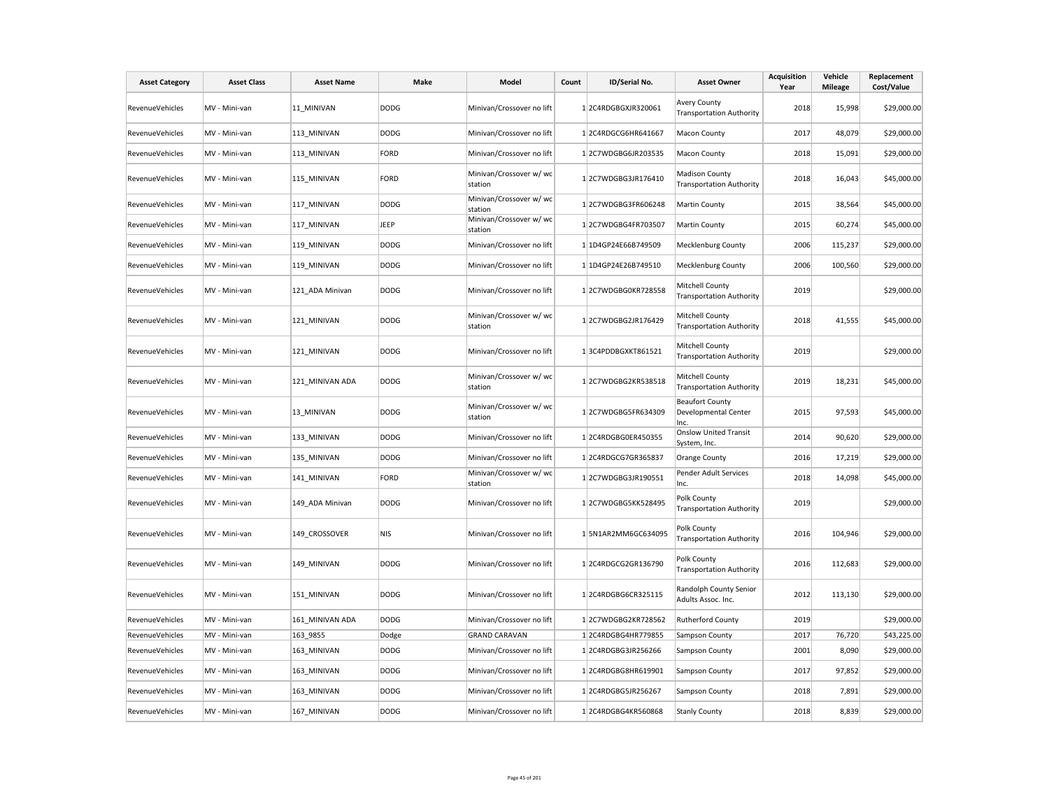| <b>Asset Category</b>  | <b>Asset Class</b> | <b>Asset Name</b> | Make        | Model                              | Count | ID/Serial No.       | <b>Asset Owner</b>                                       | Acquisition<br>Year | Vehicle<br><b>Mileage</b> | Replacement<br>Cost/Value |
|------------------------|--------------------|-------------------|-------------|------------------------------------|-------|---------------------|----------------------------------------------------------|---------------------|---------------------------|---------------------------|
| RevenueVehicles        | MV - Mini-van      | 11 MINIVAN        | <b>DODG</b> | Minivan/Crossover no lift          |       | 12C4RDGBGXJR320061  | <b>Avery County</b><br><b>Transportation Authority</b>   | 2018                | 15,998                    | \$29,000.00               |
| RevenueVehicles        | MV - Mini-van      | 113 MINIVAN       | <b>DODG</b> | Minivan/Crossover no lift          |       | 12C4RDGCG6HR641667  | Macon County                                             | 2017                | 48,079                    | \$29,000.00               |
| RevenueVehicles        | MV - Mini-van      | 113 MINIVAN       | FORD        | Minivan/Crossover no lift          |       | 12C7WDGBG6JR203535  | Macon County                                             | 2018                | 15,091                    | \$29,000.00               |
| RevenueVehicles        | MV - Mini-van      | 115 MINIVAN       | FORD        | Minivan/Crossover w/ wc<br>station |       | 12C7WDGBG3JR176410  | <b>Madison County</b><br><b>Transportation Authority</b> | 2018                | 16,043                    | \$45,000.00               |
| RevenueVehicles        | MV - Mini-van      | 117_MINIVAN       | <b>DODG</b> | Minivan/Crossover w/ wc<br>station |       | 12C7WDGBG3FR606248  | Martin County                                            | 2015                | 38,564                    | \$45,000.00               |
| RevenueVehicles        | MV - Mini-van      | 117 MINIVAN       | JEEP        | Minivan/Crossover w/ wc<br>station |       | 12C7WDGBG4FR703507  | Martin County                                            | 2015                | 60,274                    | \$45,000.00               |
| RevenueVehicles        | MV - Mini-van      | 119 MINIVAN       | <b>DODG</b> | Minivan/Crossover no lift          |       | 1 1D4GP24E66B749509 | <b>Mecklenburg County</b>                                | 2006                | 115,237                   | \$29,000.00               |
| <b>RevenueVehicles</b> | MV - Mini-van      | 119_MINIVAN       | <b>DODG</b> | Minivan/Crossover no lift          |       | 1 1D4GP24E26B749510 | Mecklenburg County                                       | 2006                | 100,560                   | \$29,000.00               |
| <b>RevenueVehicles</b> | MV - Mini-van      | 121_ADA Minivan   | <b>DODG</b> | Minivan/Crossover no lift          |       | 12C7WDGBG0KR728558  | Mitchell County<br><b>Transportation Authority</b>       | 2019                |                           | \$29,000.00               |
| RevenueVehicles        | MV - Mini-van      | 121 MINIVAN       | <b>DODG</b> | Minivan/Crossover w/ wc<br>station |       | 12C7WDGBG2JR176429  | Mitchell County<br><b>Transportation Authority</b>       | 2018                | 41,555                    | \$45,000.00               |
| RevenueVehicles        | MV - Mini-van      | 121 MINIVAN       | <b>DODG</b> | Minivan/Crossover no lift          |       | 13C4PDDBGXKT861521  | Mitchell County<br><b>Transportation Authority</b>       | 2019                |                           | \$29,000.00               |
| RevenueVehicles        | MV - Mini-van      | 121 MINIVAN ADA   | <b>DODG</b> | Minivan/Crossover w/ wc<br>station |       | 12C7WDGBG2KR538518  | Mitchell County<br><b>Transportation Authority</b>       | 2019                | 18,231                    | \$45,000.00               |
| RevenueVehicles        | MV - Mini-van      | 13 MINIVAN        | <b>DODG</b> | Minivan/Crossover w/ wc<br>station |       | 12C7WDGBG5FR634309  | <b>Beaufort County</b><br>Developmental Center<br>Inc.   | 2015                | 97,593                    | \$45,000.00               |
| <b>RevenueVehicles</b> | MV - Mini-van      | 133 MINIVAN       | <b>DODG</b> | Minivan/Crossover no lift          |       | 12C4RDGBG0ER450355  | <b>Onslow United Transit</b><br>System, Inc.             | 2014                | 90,620                    | \$29,000.00               |
| RevenueVehicles        | MV - Mini-van      | 135 MINIVAN       | <b>DODG</b> | Minivan/Crossover no lift          |       | 12C4RDGCG7GR365837  | Orange County                                            | 2016                | 17,219                    | \$29,000.00               |
| RevenueVehicles        | MV - Mini-van      | 141 MINIVAN       | FORD        | Minivan/Crossover w/ wc<br>station |       | 12C7WDGBG3JR190551  | Pender Adult Services<br>Inc.                            | 2018                | 14,098                    | \$45,000.00               |
| <b>RevenueVehicles</b> | MV - Mini-van      | 149_ADA Minivan   | <b>DODG</b> | Minivan/Crossover no lift          |       | 12C7WDGBG5KK528495  | Polk County<br><b>Transportation Authority</b>           | 2019                |                           | \$29,000.00               |
| <b>RevenueVehicles</b> | MV - Mini-van      | 149_CROSSOVER     | <b>NIS</b>  | Minivan/Crossover no lift          |       | 15N1AR2MM6GC634095  | Polk County<br><b>Transportation Authority</b>           | 2016                | 104,946                   | \$29,000.00               |
| <b>RevenueVehicles</b> | MV - Mini-van      | 149 MINIVAN       | <b>DODG</b> | Minivan/Crossover no lift          |       | 12C4RDGCG2GR136790  | Polk County<br><b>Transportation Authority</b>           | 2016                | 112,683                   | \$29,000.00               |
| <b>RevenueVehicles</b> | MV - Mini-van      | 151 MINIVAN       | <b>DODG</b> | Minivan/Crossover no lift          |       | 12C4RDGBG6CR325115  | Randolph County Senior<br>Adults Assoc. Inc.             | 2012                | 113,130                   | \$29,000.00               |
| RevenueVehicles        | MV - Mini-van      | 161 MINIVAN ADA   | <b>DODG</b> | Minivan/Crossover no lift          |       | 12C7WDGBG2KR728562  | <b>Rutherford County</b>                                 | 2019                |                           | \$29,000.00               |
| RevenueVehicles        | MV - Mini-van      | 163_9855          | Dodge       | <b>GRAND CARAVAN</b>               |       | 12C4RDGBG4HR779855  | Sampson County                                           | 2017                | 76,720                    | \$43,225.00               |
| RevenueVehicles        | MV - Mini-van      | 163 MINIVAN       | <b>DODG</b> | Minivan/Crossover no lift          |       | 12C4RDGBG3JR256266  | Sampson County                                           | 2001                | 8,090                     | \$29,000.00               |
| RevenueVehicles        | MV - Mini-van      | 163 MINIVAN       | <b>DODG</b> | Minivan/Crossover no lift          |       | 12C4RDGBG8HR619901  | Sampson County                                           | 2017                | 97,852                    | \$29,000.00               |
| RevenueVehicles        | MV - Mini-van      | 163 MINIVAN       | <b>DODG</b> | Minivan/Crossover no lift          |       | 12C4RDGBG5JR256267  | Sampson County                                           | 2018                | 7,891                     | \$29,000.00               |
| RevenueVehicles        | MV - Mini-van      | 167_MINIVAN       | <b>DODG</b> | Minivan/Crossover no lift          |       | 12C4RDGBG4KR560868  | <b>Stanly County</b>                                     | 2018                | 8,839                     | \$29,000.00               |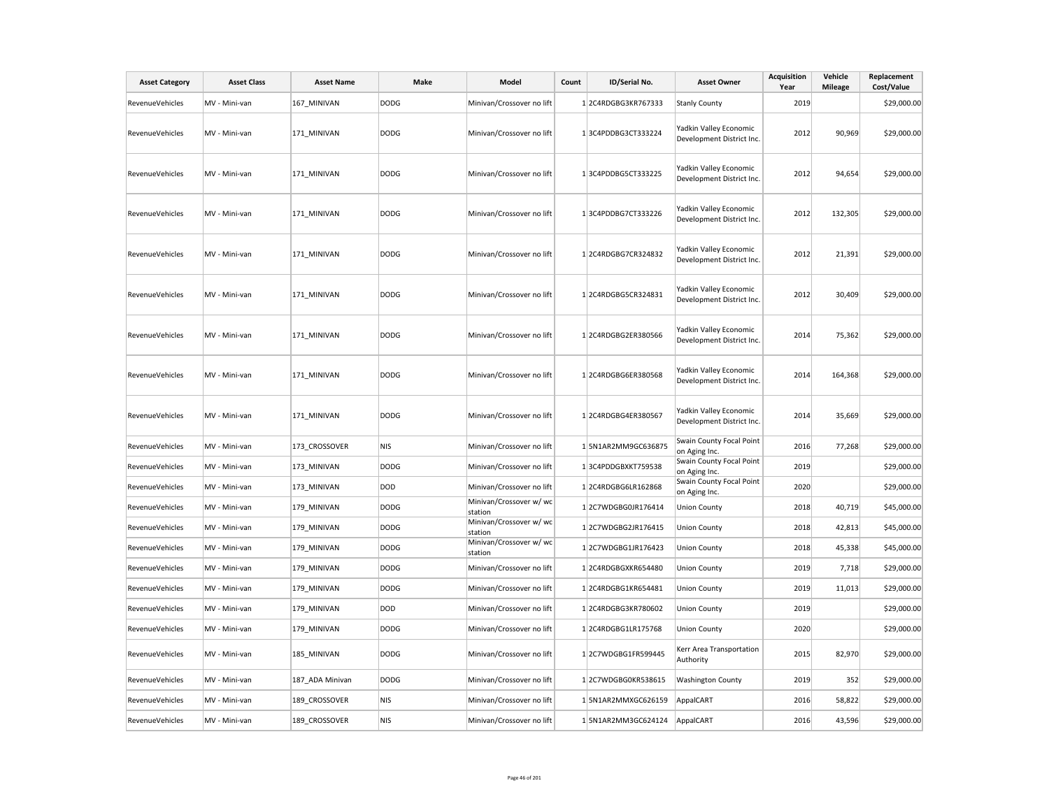| <b>Asset Category</b>  | <b>Asset Class</b> | <b>Asset Name</b> | Make        | Model                              | Count | ID/Serial No.       | <b>Asset Owner</b>                                  | <b>Acquisition</b><br>Year | Vehicle<br><b>Mileage</b> | Replacement<br>Cost/Value |
|------------------------|--------------------|-------------------|-------------|------------------------------------|-------|---------------------|-----------------------------------------------------|----------------------------|---------------------------|---------------------------|
| RevenueVehicles        | MV - Mini-van      | 167 MINIVAN       | DODG        | Minivan/Crossover no lift          |       | 12C4RDGBG3KR767333  | <b>Stanly County</b>                                | 2019                       |                           | \$29,000.00               |
| RevenueVehicles        | MV - Mini-van      | 171 MINIVAN       | DODG        | Minivan/Crossover no lift          |       | 13C4PDDBG3CT333224  | Yadkin Valley Economic<br>Development District Inc. | 2012                       | 90,969                    | \$29,000.00               |
| RevenueVehicles        | MV - Mini-van      | 171 MINIVAN       | <b>DODG</b> | Minivan/Crossover no lift          |       | 13C4PDDBG5CT333225  | Yadkin Valley Economic<br>Development District Inc. | 2012                       | 94,654                    | \$29,000.00               |
| RevenueVehicles        | MV - Mini-van      | 171 MINIVAN       | <b>DODG</b> | Minivan/Crossover no lift          |       | 13C4PDDBG7CT333226  | Yadkin Valley Economic<br>Development District Inc. | 2012                       | 132,305                   | \$29,000.00               |
| RevenueVehicles        | MV - Mini-van      | 171 MINIVAN       | <b>DODG</b> | Minivan/Crossover no lift          |       | 12C4RDGBG7CR324832  | Yadkin Valley Economic<br>Development District Inc. | 2012                       | 21,391                    | \$29,000.00               |
| RevenueVehicles        | MV - Mini-van      | 171 MINIVAN       | <b>DODG</b> | Minivan/Crossover no lift          |       | 12C4RDGBG5CR324831  | Yadkin Valley Economic<br>Development District Inc. | 2012                       | 30,409                    | \$29,000.00               |
| RevenueVehicles        | MV - Mini-van      | 171_MINIVAN       | <b>DODG</b> | Minivan/Crossover no lift          |       | 12C4RDGBG2ER380566  | Yadkin Valley Economic<br>Development District Inc. | 2014                       | 75,362                    | \$29,000.00               |
| RevenueVehicles        | MV - Mini-van      | 171 MINIVAN       | <b>DODG</b> | Minivan/Crossover no lift          |       | 12C4RDGBG6ER380568  | Yadkin Valley Economic<br>Development District Inc. | 2014                       | 164,368                   | \$29,000.00               |
| RevenueVehicles        | MV - Mini-van      | 171 MINIVAN       | <b>DODG</b> | Minivan/Crossover no lift          |       | 12C4RDGBG4ER380567  | Yadkin Valley Economic<br>Development District Inc. | 2014                       | 35,669                    | \$29,000.00               |
| RevenueVehicles        | MV - Mini-van      | 173 CROSSOVER     | <b>NIS</b>  | Minivan/Crossover no lift          |       | 1 5N1AR2MM9GC636875 | Swain County Focal Point<br>on Aging Inc.           | 2016                       | 77,268                    | \$29,000.00               |
| RevenueVehicles        | MV - Mini-van      | 173 MINIVAN       | <b>DODG</b> | Minivan/Crossover no lift          |       | 13C4PDDGBXKT759538  | Swain County Focal Point<br>on Aging Inc.           | 2019                       |                           | \$29,000.00               |
| RevenueVehicles        | MV - Mini-van      | 173 MINIVAN       | DOD         | Minivan/Crossover no lift          |       | 1 2C4RDGBG6LR162868 | Swain County Focal Point<br>on Aging Inc.           | 2020                       |                           | \$29,000.00               |
| RevenueVehicles        | MV - Mini-van      | 179 MINIVAN       | <b>DODG</b> | Minivan/Crossover w/ wc<br>station |       | 12C7WDGBG0JR176414  | <b>Union County</b>                                 | 2018                       | 40,719                    | \$45,000.00               |
| RevenueVehicles        | MV - Mini-van      | 179 MINIVAN       | <b>DODG</b> | Minivan/Crossover w/ wc<br>station |       | 12C7WDGBG2JR176415  | <b>Union County</b>                                 | 2018                       | 42,813                    | \$45,000.00               |
| RevenueVehicles        | MV - Mini-van      | 179 MINIVAN       | <b>DODG</b> | Minivan/Crossover w/ wc<br>station |       | 12C7WDGBG1JR176423  | <b>Union County</b>                                 | 2018                       | 45,338                    | \$45,000.00               |
| RevenueVehicles        | MV - Mini-van      | 179_MINIVAN       | <b>DODG</b> | Minivan/Crossover no lift          |       | 12C4RDGBGXKR654480  | <b>Union County</b>                                 | 2019                       | 7,718                     | \$29,000.00               |
| RevenueVehicles        | MV - Mini-van      | 179 MINIVAN       | <b>DODG</b> | Minivan/Crossover no lift          |       | 12C4RDGBG1KR654481  | <b>Union County</b>                                 | 2019                       | 11,013                    | \$29,000.00               |
| RevenueVehicles        | MV - Mini-van      | 179 MINIVAN       | DOD         | Minivan/Crossover no lift          |       | 12C4RDGBG3KR780602  | <b>Union County</b>                                 | 2019                       |                           | \$29,000.00               |
| RevenueVehicles        | MV - Mini-van      | 179_MINIVAN       | <b>DODG</b> | Minivan/Crossover no lift          |       | 12C4RDGBG1LR175768  | <b>Union County</b>                                 | 2020                       |                           | \$29,000.00               |
| RevenueVehicles        | MV - Mini-van      | 185_MINIVAN       | <b>DODG</b> | Minivan/Crossover no lift          |       | 12C7WDGBG1FR599445  | Kerr Area Transportation<br>Authority               | 2015                       | 82,970                    | \$29,000.00               |
| RevenueVehicles        | MV - Mini-van      | 187_ADA Minivan   | DODG        | Minivan/Crossover no lift          |       | 12C7WDGBG0KR538615  | <b>Washington County</b>                            | 2019                       | 352                       | \$29,000.00               |
| <b>RevenueVehicles</b> | MV - Mini-van      | 189 CROSSOVER     | <b>NIS</b>  | Minivan/Crossover no lift          |       | 1 5N1AR2MMXGC626159 | AppalCART                                           | 2016                       | 58,822                    | \$29,000.00               |
| RevenueVehicles        | MV - Mini-van      | 189_CROSSOVER     | <b>NIS</b>  | Minivan/Crossover no lift          |       | 15N1AR2MM3GC624124  | AppalCART                                           | 2016                       | 43,596                    | \$29,000.00               |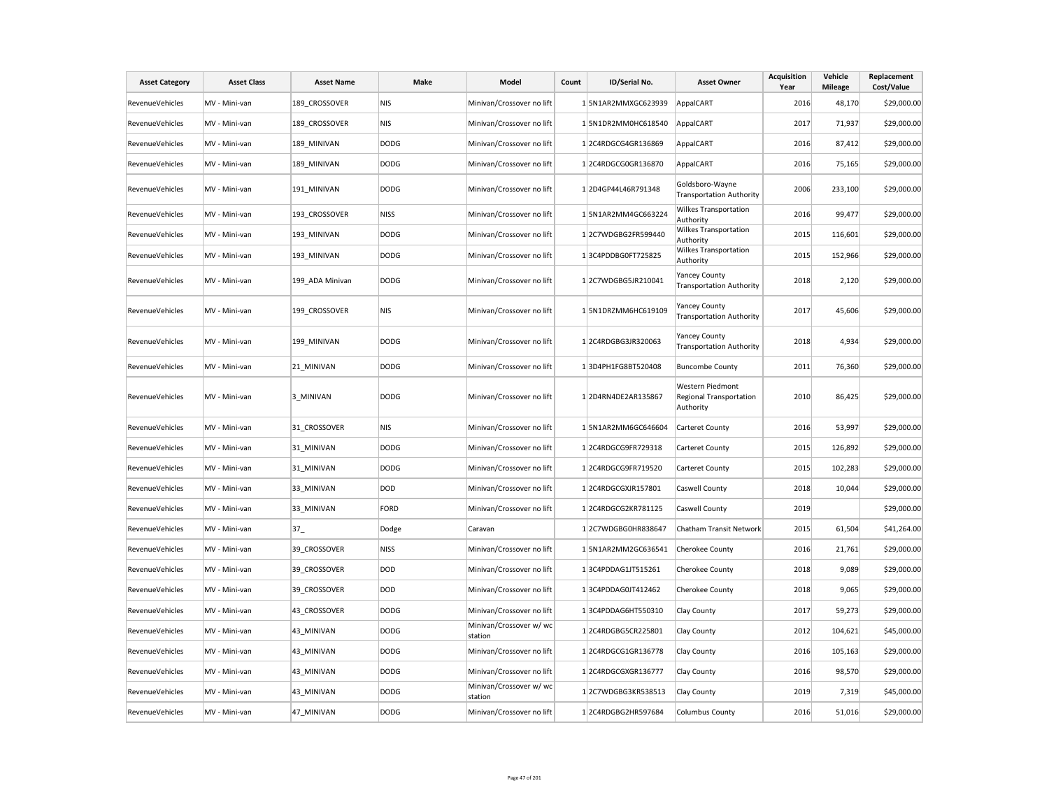| <b>Asset Category</b>  | <b>Asset Class</b> | <b>Asset Name</b> | Make        | Model                              | Count | ID/Serial No.       | <b>Asset Owner</b>                                       | <b>Acquisition</b><br>Year | Vehicle<br><b>Mileage</b> | Replacement<br>Cost/Value |
|------------------------|--------------------|-------------------|-------------|------------------------------------|-------|---------------------|----------------------------------------------------------|----------------------------|---------------------------|---------------------------|
| RevenueVehicles        | MV - Mini-van      | 189 CROSSOVER     | <b>NIS</b>  | Minivan/Crossover no lift          |       | 1 5N1AR2MMXGC623939 | AppalCART                                                | 2016                       | 48,170                    | \$29,000.00               |
| RevenueVehicles        | MV - Mini-van      | 189 CROSSOVER     | <b>NIS</b>  | Minivan/Crossover no lift          |       | 1 5N1DR2MM0HC618540 | AppalCART                                                | 2017                       | 71,937                    | \$29,000.00               |
| RevenueVehicles        | MV - Mini-van      | 189_MINIVAN       | <b>DODG</b> | Minivan/Crossover no lift          |       | 12C4RDGCG4GR136869  | AppalCART                                                | 2016                       | 87,412                    | \$29,000.00               |
| RevenueVehicles        | MV - Mini-van      | 189 MINIVAN       | <b>DODG</b> | Minivan/Crossover no lift          |       | 12C4RDGCG0GR136870  | AppalCART                                                | 2016                       | 75,165                    | \$29,000.00               |
| RevenueVehicles        | MV - Mini-van      | 191 MINIVAN       | <b>DODG</b> | Minivan/Crossover no lift          |       | 12D4GP44L46R791348  | Goldsboro-Wayne<br><b>Transportation Authority</b>       | 2006                       | 233,100                   | \$29,000.00               |
| <b>RevenueVehicles</b> | MV - Mini-van      | 193 CROSSOVER     | <b>NISS</b> | Minivan/Crossover no lift          |       | 1 5N1AR2MM4GC663224 | <b>Wilkes Transportation</b><br>Authority                | 2016                       | 99,477                    | \$29,000.00               |
| <b>RevenueVehicles</b> | MV - Mini-van      | 193 MINIVAN       | <b>DODG</b> | Minivan/Crossover no lift          |       | 12C7WDGBG2FR599440  | Wilkes Transportation<br>Authority                       | 2015                       | 116,601                   | \$29,000.00               |
| RevenueVehicles        | MV - Mini-van      | 193 MINIVAN       | <b>DODG</b> | Minivan/Crossover no lift          |       | 13C4PDDBG0FT725825  | Wilkes Transportation<br>Authority                       | 2015                       | 152,966                   | \$29,000.00               |
| <b>RevenueVehicles</b> | MV - Mini-van      | 199 ADA Minivan   | <b>DODG</b> | Minivan/Crossover no lift          |       | 12C7WDGBG5JR210041  | <b>Yancey County</b><br><b>Transportation Authority</b>  | 2018                       | 2,120                     | \$29,000.00               |
| RevenueVehicles        | MV - Mini-van      | 199 CROSSOVER     | <b>NIS</b>  | Minivan/Crossover no lift          |       | 1 5N1DRZMM6HC619109 | Yancey County<br><b>Transportation Authority</b>         | 2017                       | 45,606                    | \$29,000.00               |
| <b>RevenueVehicles</b> | MV - Mini-van      | 199 MINIVAN       | <b>DODG</b> | Minivan/Crossover no lift          |       | 12C4RDGBG3JR320063  | <b>Yancey County</b><br><b>Transportation Authority</b>  | 2018                       | 4,934                     | \$29,000.00               |
| RevenueVehicles        | MV - Mini-van      | 21_MINIVAN        | <b>DODG</b> | Minivan/Crossover no lift          |       | 13D4PH1FG8BT520408  | <b>Buncombe County</b>                                   | 2011                       | 76,360                    | \$29,000.00               |
| RevenueVehicles        | MV - Mini-van      | 3 MINIVAN         | <b>DODG</b> | Minivan/Crossover no lift          |       | 12D4RN4DE2AR135867  | Western Piedmont<br>Regional Transportation<br>Authority | 2010                       | 86,425                    | \$29,000.00               |
| RevenueVehicles        | MV - Mini-van      | 31 CROSSOVER      | <b>NIS</b>  | Minivan/Crossover no lift          |       | 15N1AR2MM6GC646604  | Carteret County                                          | 2016                       | 53,997                    | \$29,000.00               |
| RevenueVehicles        | MV - Mini-van      | 31 MINIVAN        | <b>DODG</b> | Minivan/Crossover no lift          |       | 1 2C4RDGCG9FR729318 | Carteret County                                          | 2015                       | 126,892                   | \$29,000.00               |
| RevenueVehicles        | MV - Mini-van      | 31 MINIVAN        | <b>DODG</b> | Minivan/Crossover no lift          |       | 12C4RDGCG9FR719520  | Carteret County                                          | 2015                       | 102,283                   | \$29,000.00               |
| RevenueVehicles        | MV - Mini-van      | 33 MINIVAN        | DOD         | Minivan/Crossover no lift          |       | 1 2C4RDGCGXJR157801 | Caswell County                                           | 2018                       | 10,044                    | \$29,000.00               |
| <b>RevenueVehicles</b> | MV - Mini-van      | 33 MINIVAN        | FORD        | Minivan/Crossover no lift          |       | 12C4RDGCG2KR781125  | Caswell County                                           | 2019                       |                           | \$29,000.00               |
| RevenueVehicles        | MV - Mini-van      | 37_               | Dodge       | Caravan                            |       | 1 2C7WDGBG0HR838647 | Chatham Transit Network                                  | 2015                       | 61,504                    | \$41,264.00               |
| <b>RevenueVehicles</b> | MV - Mini-van      | 39_CROSSOVER      | <b>NISS</b> | Minivan/Crossover no lift          |       | 15N1AR2MM2GC636541  | Cherokee County                                          | 2016                       | 21,761                    | \$29,000.00               |
| RevenueVehicles        | MV - Mini-van      | 39 CROSSOVER      | <b>DOD</b>  | Minivan/Crossover no lift          |       | 13C4PDDAG1JT515261  | Cherokee County                                          | 2018                       | 9,089                     | \$29,000.00               |
| RevenueVehicles        | MV - Mini-van      | 39 CROSSOVER      | DOD         | Minivan/Crossover no lift          |       | 13C4PDDAG0JT412462  | Cherokee County                                          | 2018                       | 9,065                     | \$29,000.00               |
| <b>RevenueVehicles</b> | MV - Mini-van      | 43 CROSSOVER      | <b>DODG</b> | Minivan/Crossover no lift          |       | 13C4PDDAG6HT550310  | Clay County                                              | 2017                       | 59,273                    | \$29,000.00               |
| RevenueVehicles        | MV - Mini-van      | 43 MINIVAN        | <b>DODG</b> | Minivan/Crossover w/ wc<br>station |       | 12C4RDGBG5CR225801  | Clay County                                              | 2012                       | 104,621                   | \$45,000.00               |
| RevenueVehicles        | MV - Mini-van      | 43 MINIVAN        | <b>DODG</b> | Minivan/Crossover no lift          |       | 12C4RDGCG1GR136778  | Clay County                                              | 2016                       | 105,163                   | \$29,000.00               |
| RevenueVehicles        | MV - Mini-van      | 43 MINIVAN        | <b>DODG</b> | Minivan/Crossover no lift          |       | 12C4RDGCGXGR136777  | Clay County                                              | 2016                       | 98,570                    | \$29,000.00               |
| RevenueVehicles        | MV - Mini-van      | 43 MINIVAN        | <b>DODG</b> | Minivan/Crossover w/ wc<br>station |       | 12C7WDGBG3KR538513  | Clay County                                              | 2019                       | 7,319                     | \$45,000.00               |
| RevenueVehicles        | MV - Mini-van      | 47 MINIVAN        | <b>DODG</b> | Minivan/Crossover no lift          |       | 1 2C4RDGBG2HR597684 | Columbus County                                          | 2016                       | 51,016                    | \$29,000.00               |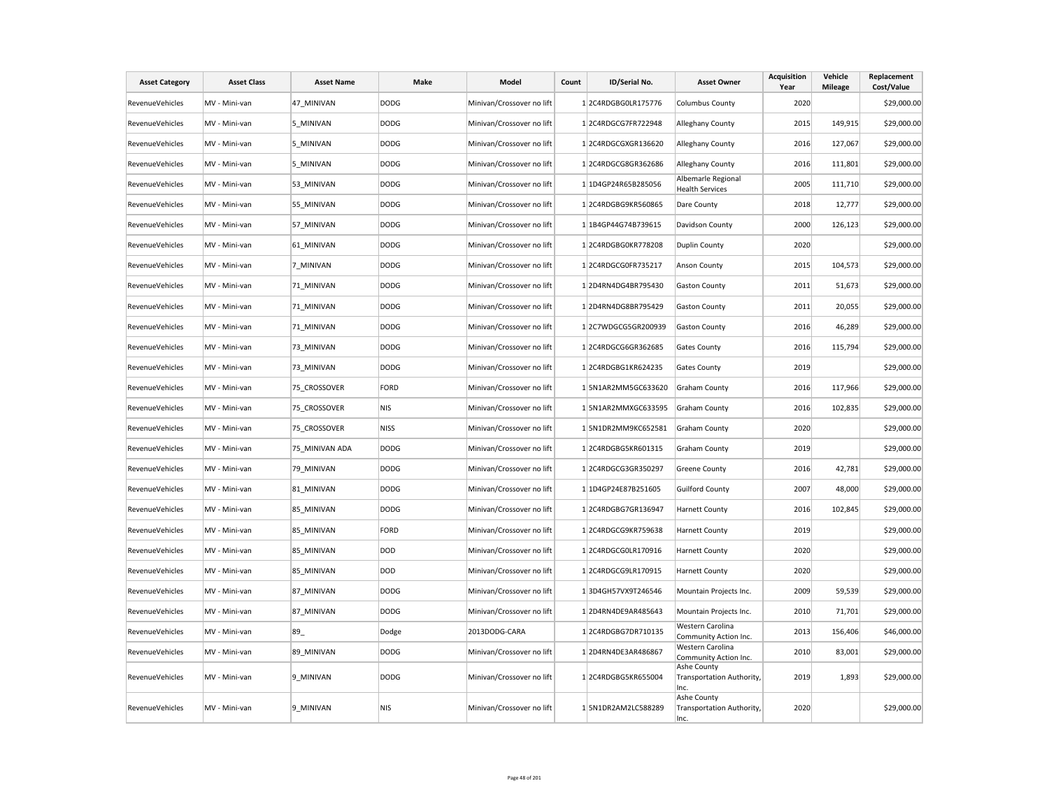| <b>Asset Category</b>  | <b>Asset Class</b> | <b>Asset Name</b> | Make        | Model                     | Count | ID/Serial No.       | <b>Asset Owner</b>                               | <b>Acquisition</b><br>Year | Vehicle<br><b>Mileage</b> | Replacement<br>Cost/Value |
|------------------------|--------------------|-------------------|-------------|---------------------------|-------|---------------------|--------------------------------------------------|----------------------------|---------------------------|---------------------------|
| <b>RevenueVehicles</b> | MV - Mini-van      | 47 MINIVAN        | <b>DODG</b> | Minivan/Crossover no lift |       | 12C4RDGBG0LR175776  | <b>Columbus County</b>                           | 2020                       |                           | \$29,000.00               |
| RevenueVehicles        | MV - Mini-van      | 5 MINIVAN         | <b>DODG</b> | Minivan/Crossover no lift |       | 12C4RDGCG7FR722948  | Alleghany County                                 | 2015                       | 149,915                   | \$29,000.00               |
| <b>RevenueVehicles</b> | MV - Mini-van      | 5 MINIVAN         | <b>DODG</b> | Minivan/Crossover no lift |       | 12C4RDGCGXGR136620  | Alleghany County                                 | 2016                       | 127,067                   | \$29,000.00               |
| <b>RevenueVehicles</b> | MV - Mini-van      | 5 MINIVAN         | <b>DODG</b> | Minivan/Crossover no lift |       | 12C4RDGCG8GR362686  | Alleghany County                                 | 2016                       | 111,801                   | \$29,000.00               |
| <b>RevenueVehicles</b> | MV - Mini-van      | 53_MINIVAN        | <b>DODG</b> | Minivan/Crossover no lift |       | 1 1D4GP24R65B285056 | Albemarle Regional<br><b>Health Services</b>     | 2005                       | 111,710                   | \$29,000.00               |
| RevenueVehicles        | MV - Mini-van      | 55_MINIVAN        | <b>DODG</b> | Minivan/Crossover no lift |       | 12C4RDGBG9KR560865  | Dare County                                      | 2018                       | 12,777                    | \$29,000.00               |
| <b>RevenueVehicles</b> | MV - Mini-van      | 57 MINIVAN        | <b>DODG</b> | Minivan/Crossover no lift |       | 1 1B4GP44G74B739615 | Davidson County                                  | 2000                       | 126,123                   | \$29,000.00               |
| <b>RevenueVehicles</b> | MV - Mini-van      | 61_MINIVAN        | <b>DODG</b> | Minivan/Crossover no lift |       | 12C4RDGBG0KR778208  | <b>Duplin County</b>                             | 2020                       |                           | \$29,000.00               |
| <b>RevenueVehicles</b> | MV - Mini-van      | 7 MINIVAN         | <b>DODG</b> | Minivan/Crossover no lift |       | 12C4RDGCG0FR735217  | Anson County                                     | 2015                       | 104,573                   | \$29,000.00               |
| <b>RevenueVehicles</b> | MV - Mini-van      | 71 MINIVAN        | <b>DODG</b> | Minivan/Crossover no lift |       | 12D4RN4DG4BR795430  | <b>Gaston County</b>                             | 2011                       | 51,673                    | \$29,000.00               |
| <b>RevenueVehicles</b> | MV - Mini-van      | 71 MINIVAN        | <b>DODG</b> | Minivan/Crossover no lift |       | 12D4RN4DG8BR795429  | <b>Gaston County</b>                             | 2011                       | 20,055                    | \$29,000.00               |
| RevenueVehicles        | MV - Mini-van      | 71_MINIVAN        | <b>DODG</b> | Minivan/Crossover no lift |       | 12C7WDGCG5GR200939  | <b>Gaston County</b>                             | 2016                       | 46,289                    | \$29,000.00               |
| <b>RevenueVehicles</b> | MV - Mini-van      | 73 MINIVAN        | <b>DODG</b> | Minivan/Crossover no lift |       | 12C4RDGCG6GR362685  | <b>Gates County</b>                              | 2016                       | 115,794                   | \$29,000.00               |
| <b>RevenueVehicles</b> | MV - Mini-van      | 73_MINIVAN        | <b>DODG</b> | Minivan/Crossover no lift |       | 12C4RDGBG1KR624235  | <b>Gates County</b>                              | 2019                       |                           | \$29,000.00               |
| RevenueVehicles        | MV - Mini-van      | 75 CROSSOVER      | FORD        | Minivan/Crossover no lift |       | 1 5N1AR2MM5GC633620 | <b>Graham County</b>                             | 2016                       | 117,966                   | \$29,000.00               |
| RevenueVehicles        | MV - Mini-van      | 75 CROSSOVER      | <b>NIS</b>  | Minivan/Crossover no lift |       | 1 5N1AR2MMXGC633595 | <b>Graham County</b>                             | 2016                       | 102,835                   | \$29,000.00               |
| RevenueVehicles        | MV - Mini-van      | 75 CROSSOVER      | <b>NISS</b> | Minivan/Crossover no lift |       | 1 5N1DR2MM9KC652581 | <b>Graham County</b>                             | 2020                       |                           | \$29,000.00               |
| RevenueVehicles        | MV - Mini-van      | 75 MINIVAN ADA    | <b>DODG</b> | Minivan/Crossover no lift |       | 12C4RDGBG5KR601315  | <b>Graham County</b>                             | 2019                       |                           | \$29,000.00               |
| RevenueVehicles        | MV - Mini-van      | 79 MINIVAN        | <b>DODG</b> | Minivan/Crossover no lift |       | 12C4RDGCG3GR350297  | <b>Greene County</b>                             | 2016                       | 42,781                    | \$29,000.00               |
| RevenueVehicles        | MV - Mini-van      | 81 MINIVAN        | <b>DODG</b> | Minivan/Crossover no lift |       | 1 1D4GP24E87B251605 | <b>Guilford County</b>                           | 2007                       | 48,000                    | \$29,000.00               |
| RevenueVehicles        | MV - Mini-van      | 85 MINIVAN        | <b>DODG</b> | Minivan/Crossover no lift |       | 12C4RDGBG7GR136947  | <b>Harnett County</b>                            | 2016                       | 102,845                   | \$29,000.00               |
| RevenueVehicles        | MV - Mini-van      | 85 MINIVAN        | FORD        | Minivan/Crossover no lift |       | 12C4RDGCG9KR759638  | <b>Harnett County</b>                            | 2019                       |                           | \$29,000.00               |
| <b>RevenueVehicles</b> | MV - Mini-van      | 85 MINIVAN        | DOD         | Minivan/Crossover no lift |       | 1 2C4RDGCG0LR170916 | <b>Harnett County</b>                            | 2020                       |                           | \$29,000.00               |
| RevenueVehicles        | MV - Mini-van      | 85 MINIVAN        | DOD         | Minivan/Crossover no lift |       | 1 2C4RDGCG9LR170915 | <b>Harnett County</b>                            | 2020                       |                           | \$29,000.00               |
| <b>RevenueVehicles</b> | MV - Mini-van      | 87 MINIVAN        | <b>DODG</b> | Minivan/Crossover no lift |       | 13D4GH57VX9T246546  | Mountain Projects Inc.                           | 2009                       | 59,539                    | \$29,000.00               |
| RevenueVehicles        | MV - Mini-van      | 87 MINIVAN        | <b>DODG</b> | Minivan/Crossover no lift |       | 12D4RN4DE9AR485643  | Mountain Projects Inc.                           | 2010                       | 71,701                    | \$29,000.00               |
| RevenueVehicles        | MV - Mini-van      | 89_               | Dodge       | 2013DODG-CARA             |       | 12C4RDGBG7DR710135  | Western Carolina<br>Community Action Inc.        | 2013                       | 156,406                   | \$46,000.00               |
| RevenueVehicles        | MV - Mini-van      | 89 MINIVAN        | <b>DODG</b> | Minivan/Crossover no lift |       | 12D4RN4DE3AR486867  | Western Carolina<br>Community Action Inc.        | 2010                       | 83,001                    | \$29,000.00               |
| RevenueVehicles        | MV - Mini-van      | 9 MINIVAN         | <b>DODG</b> | Minivan/Crossover no lift |       | 12C4RDGBG5KR655004  | Ashe County<br>Transportation Authority,<br>Inc. | 2019                       | 1,893                     | \$29,000.00               |
| RevenueVehicles        | MV - Mini-van      | 9 MINIVAN         | <b>NIS</b>  | Minivan/Crossover no lift |       | 1 5N1DR2AM2LC588289 | Ashe County<br>Transportation Authority,<br>Inc. | 2020                       |                           | \$29,000.00               |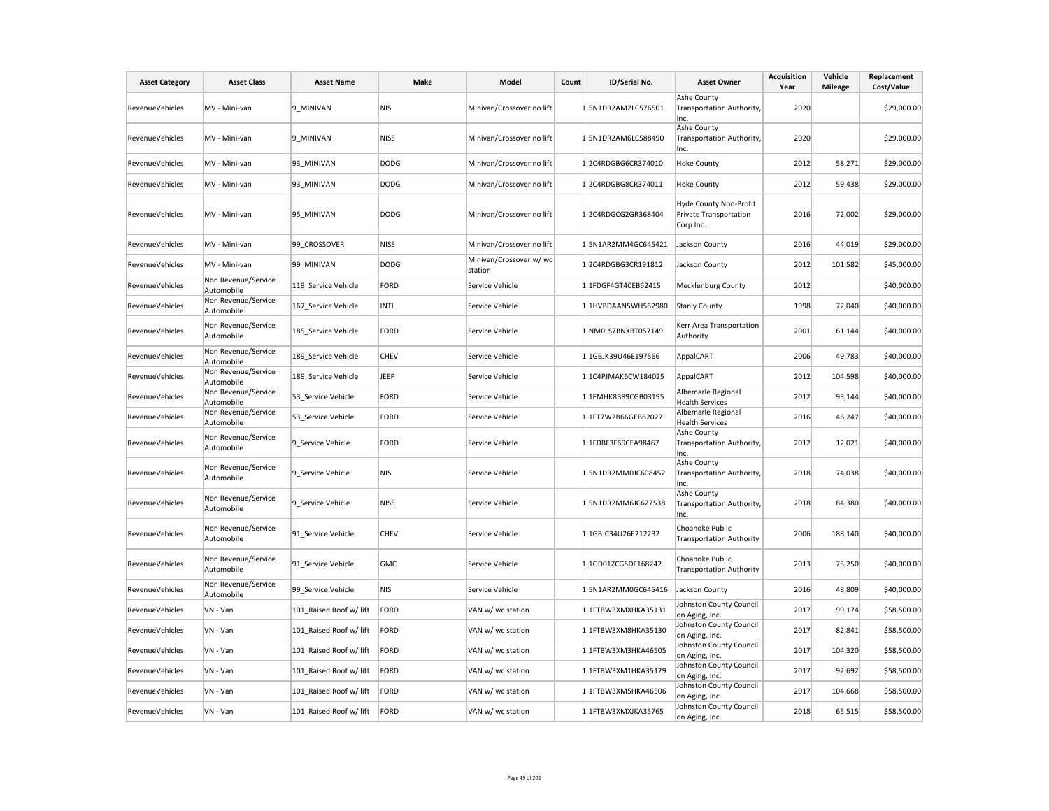| <b>Asset Category</b> | <b>Asset Class</b>                | <b>Asset Name</b>       | Make        | Model                              | Count | ID/Serial No.       | <b>Asset Owner</b>                                            | <b>Acquisition</b><br>Year | Vehicle<br><b>Mileage</b> | Replacement<br>Cost/Value |
|-----------------------|-----------------------------------|-------------------------|-------------|------------------------------------|-------|---------------------|---------------------------------------------------------------|----------------------------|---------------------------|---------------------------|
| RevenueVehicles       | MV - Mini-van                     | 9 MINIVAN               | <b>NIS</b>  | Minivan/Crossover no lift          |       | 1 5N1DR2AM2LC576501 | Ashe County<br>Transportation Authority,<br>Inc.              | 2020                       |                           | \$29,000.00               |
| RevenueVehicles       | MV - Mini-van                     | 9 MINIVAN               | <b>NISS</b> | Minivan/Crossover no lift          |       | 1 5N1DR2AM6LC588490 | Ashe County<br>Transportation Authority,<br>Inc.              | 2020                       |                           | \$29,000.00               |
| RevenueVehicles       | MV - Mini-van                     | 93 MINIVAN              | <b>DODG</b> | Minivan/Crossover no lift          |       | 12C4RDGBG6CR374010  | <b>Hoke County</b>                                            | 2012                       | 58,271                    | \$29,000.00               |
| RevenueVehicles       | MV - Mini-van                     | 93 MINIVAN              | <b>DODG</b> | Minivan/Crossover no lift          |       | 12C4RDGBG8CR374011  | <b>Hoke County</b>                                            | 2012                       | 59,438                    | \$29,000.00               |
| RevenueVehicles       | MV - Mini-van                     | 95 MINIVAN              | <b>DODG</b> | Minivan/Crossover no lift          |       | 12C4RDGCG2GR368404  | Hyde County Non-Profit<br>Private Transportation<br>Corp Inc. | 2016                       | 72,002                    | \$29,000.00               |
| RevenueVehicles       | MV - Mini-van                     | 99 CROSSOVER            | <b>NISS</b> | Minivan/Crossover no lift          |       | 15N1AR2MM4GC645421  | Jackson County                                                | 2016                       | 44,019                    | \$29,000.00               |
| RevenueVehicles       | MV - Mini-van                     | 99 MINIVAN              | <b>DODG</b> | Minivan/Crossover w/ wc<br>station |       | 12C4RDGBG3CR191812  | Jackson County                                                | 2012                       | 101,582                   | \$45,000.00               |
| RevenueVehicles       | Non Revenue/Service<br>Automobile | 119 Service Vehicle     | <b>FORD</b> | Service Vehicle                    |       | 1 1FDGF4GT4CEB62415 | <b>Mecklenburg County</b>                                     | 2012                       |                           | \$40,000.00               |
| RevenueVehicles       | Non Revenue/Service<br>Automobile | 167_Service Vehicle     | <b>INTL</b> | Service Vehicle                    |       | 1 1HVBDAAN5WH562980 | <b>Stanly County</b>                                          | 1998                       | 72,040                    | \$40,000.00               |
| RevenueVehicles       | Non Revenue/Service<br>Automobile | 185_Service Vehicle     | <b>FORD</b> | Service Vehicle                    |       | 1 NM0LS7BNXBT057149 | Kerr Area Transportation<br>Authority                         | 2001                       | 61,144                    | \$40,000.00               |
| RevenueVehicles       | Non Revenue/Service<br>Automobile | 189 Service Vehicle     | CHEV        | Service Vehicle                    |       | 1 1GBJK39U46E197566 | AppalCART                                                     | 2006                       | 49,783                    | \$40,000.00               |
| RevenueVehicles       | Non Revenue/Service<br>Automobile | 189 Service Vehicle     | JEEP        | Service Vehicle                    |       | 1 1C4PJMAK6CW184025 | AppalCART                                                     | 2012                       | 104,598                   | \$40,000.00               |
| RevenueVehicles       | Non Revenue/Service<br>Automobile | 53_Service Vehicle      | <b>FORD</b> | Service Vehicle                    |       | 1 1FMHK8B89CGB03195 | Albemarle Regional<br><b>Health Services</b>                  | 2012                       | 93,144                    | \$40,000.00               |
| RevenueVehicles       | Non Revenue/Service<br>Automobile | 53 Service Vehicle      | <b>FORD</b> | Service Vehicle                    |       | 1 1FT7W2B66GEB62027 | Albemarle Regional<br><b>Health Services</b>                  | 2016                       | 46,247                    | \$40,000.00               |
| RevenueVehicles       | Non Revenue/Service<br>Automobile | 9_Service Vehicle       | <b>FORD</b> | Service Vehicle                    |       | 1 1FDBF3F69CEA98467 | Ashe County<br>Transportation Authority,<br>Inc.              | 2012                       | 12,021                    | \$40,000.00               |
| RevenueVehicles       | Non Revenue/Service<br>Automobile | 9_Service Vehicle       | <b>NIS</b>  | Service Vehicle                    |       | 15N1DR2MM0JC608452  | Ashe County<br>Transportation Authority,<br>Inc.              | 2018                       | 74,038                    | \$40,000.00               |
| RevenueVehicles       | Non Revenue/Service<br>Automobile | 9_Service Vehicle       | <b>NISS</b> | Service Vehicle                    |       | 15N1DR2MM6JC627538  | Ashe County<br>Transportation Authority,<br>Inc.              | 2018                       | 84,380                    | \$40,000.00               |
| RevenueVehicles       | Non Revenue/Service<br>Automobile | 91_Service Vehicle      | CHEV        | Service Vehicle                    |       | 1 1GBJC34U26E212232 | Choanoke Public<br><b>Transportation Authority</b>            | 2006                       | 188,140                   | \$40,000.00               |
| RevenueVehicles       | Non Revenue/Service<br>Automobile | 91_Service Vehicle      | <b>GMC</b>  | Service Vehicle                    |       | 1 1GD01ZCG5DF168242 | Choanoke Public<br><b>Transportation Authority</b>            | 2013                       | 75,250                    | \$40,000.00               |
| RevenueVehicles       | Non Revenue/Service<br>Automobile | 99 Service Vehicle      | <b>NIS</b>  | Service Vehicle                    |       | 1 5N1AR2MM0GC645416 | Jackson County                                                | 2016                       | 48,809                    | \$40,000.00               |
| RevenueVehicles       | VN - Van                          | 101 Raised Roof w/ lift | <b>FORD</b> | VAN w/ wc station                  |       | 1 1FTBW3XMXHKA35131 | Johnston County Council<br>on Aging, Inc.                     | 2017                       | 99,174                    | \$58,500.00               |
| RevenueVehicles       | VN - Van                          | 101 Raised Roof w/ lift | <b>FORD</b> | VAN w/ wc station                  |       | 1 1FTBW3XM8HKA35130 | Johnston County Council<br>on Aging, Inc.                     | 2017                       | 82,841                    | \$58,500.00               |
| RevenueVehicles       | VN - Van                          | 101 Raised Roof w/ lift | <b>FORD</b> | VAN w/ wc station                  |       | 1 1FTBW3XM3HKA46505 | Johnston County Council<br>on Aging, Inc.                     | 2017                       | 104,320                   | \$58,500.00               |
| RevenueVehicles       | VN - Van                          | 101 Raised Roof w/ lift | <b>FORD</b> | VAN w/ wc station                  |       | 1 1FTBW3XM1HKA35129 | Johnston County Council<br>on Aging, Inc.                     | 2017                       | 92,692                    | \$58,500.00               |
| RevenueVehicles       | VN - Van                          | 101 Raised Roof w/ lift | <b>FORD</b> | VAN w/ wc station                  |       | 1 1FTBW3XM5HKA46506 | Johnston County Council<br>on Aging, Inc.                     | 2017                       | 104,668                   | \$58,500.00               |
| RevenueVehicles       | VN - Van                          | 101_Raised Roof w/ lift | FORD        | VAN w/ wc station                  |       | 1 1FTBW3XMXJKA35765 | Johnston County Council<br>on Aging, Inc.                     | 2018                       | 65,515                    | \$58,500.00               |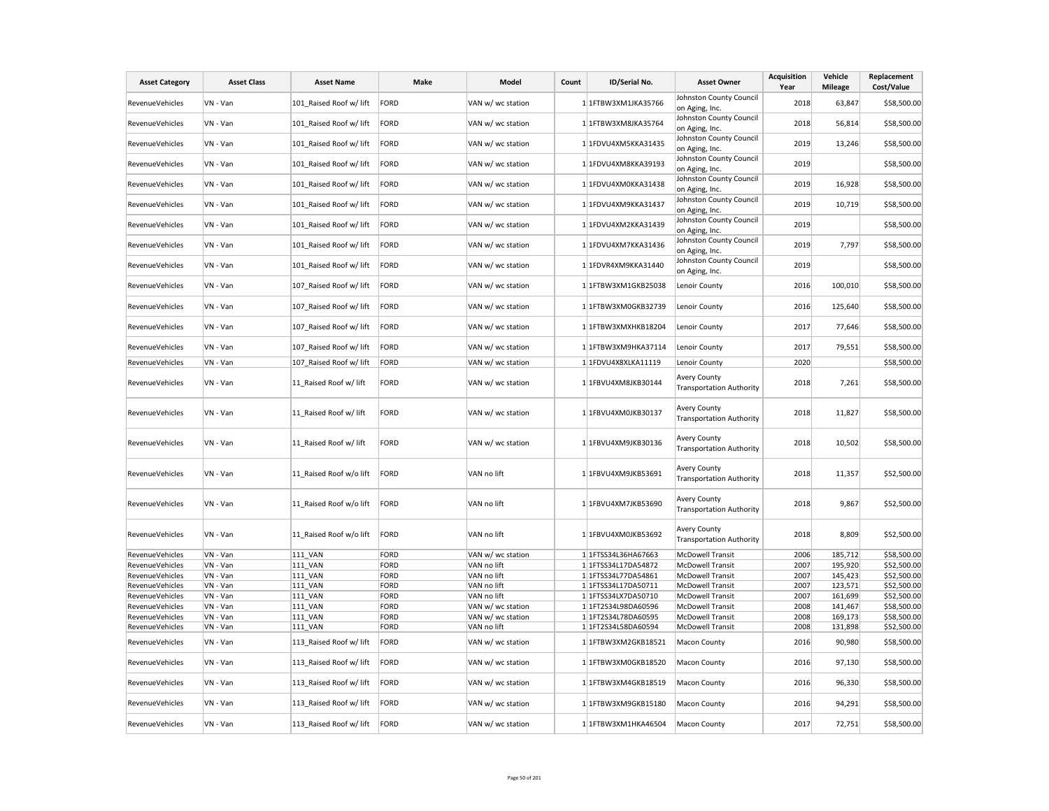| <b>Asset Category</b>              | <b>Asset Class</b>   | <b>Asset Name</b>         | Make         | Model                      | Count | ID/Serial No.                              | <b>Asset Owner</b>                                     | Acquisition<br>Year | Vehicle<br><b>Mileage</b> | Replacement<br>Cost/Value  |
|------------------------------------|----------------------|---------------------------|--------------|----------------------------|-------|--------------------------------------------|--------------------------------------------------------|---------------------|---------------------------|----------------------------|
| <b>RevenueVehicles</b>             | VN - Van             | 101 Raised Roof w/ lift   | FORD         | VAN w/ wc station          |       | 1 1FTBW3XM1JKA35766                        | Johnston County Council                                | 2018                | 63,847                    | \$58,500.00                |
|                                    |                      |                           |              |                            |       |                                            | on Aging, Inc.<br>Johnston County Council              |                     |                           |                            |
| <b>RevenueVehicles</b>             | VN - Van             | 101 Raised Roof w/ lift   | FORD         | VAN w/ wc station          |       | 1 1FTBW3XM8JKA35764                        | on Aging, Inc.                                         | 2018                | 56,814                    | \$58,500.00                |
| RevenueVehicles                    | VN - Van             | 101 Raised Roof w/ lift   | FORD         | VAN w/ wc station          |       | 1 1FDVU4XM5KKA31435                        | Johnston County Council<br>on Aging, Inc.              | 2019                | 13,246                    | \$58,500.00                |
| RevenueVehicles                    | VN - Van             | 101 Raised Roof w/ lift   | FORD         | VAN w/ wc station          |       | 1 1FDVU4XM8KKA39193                        | Johnston County Council<br>on Aging, Inc.              | 2019                |                           | \$58,500.00                |
| RevenueVehicles                    | VN - Van             | 101_Raised Roof w/ lift   | FORD         | VAN w/ wc station          |       | 1 1FDVU4XM0KKA31438                        | Johnston County Council<br>on Aging, Inc.              | 2019                | 16,928                    | \$58,500.00                |
| <b>RevenueVehicles</b>             | VN - Van             | 101_Raised Roof w/ lift   | FORD         | VAN w/ wc station          |       | 1 1FDVU4XM9KKA31437                        | Johnston County Council<br>on Aging, Inc.              | 2019                | 10,719                    | \$58,500.00                |
| <b>RevenueVehicles</b>             | VN - Van             | 101 Raised Roof w/ lift   | FORD         | VAN w/ wc station          |       | 1 1FDVU4XM2KKA31439                        | Johnston County Council<br>on Aging, Inc.              | 2019                |                           | \$58,500.00                |
| RevenueVehicles                    | VN - Van             | 101 Raised Roof w/ lift   | FORD         | VAN w/ wc station          |       | 1 1FDVU4XM7KKA31436                        | Johnston County Council<br>on Aging, Inc.              | 2019                | 7,797                     | \$58,500.00                |
| <b>RevenueVehicles</b>             | VN - Van             | 101 Raised Roof w/ lift   | FORD         | VAN w/ wc station          |       | 1 1FDVR4XM9KKA31440                        | Johnston County Council<br>on Aging, Inc.              | 2019                |                           | \$58,500.00                |
| RevenueVehicles                    | VN - Van             | 107 Raised Roof w/ lift   | FORD         | VAN w/ wc station          |       | 1 1FTBW3XM1GKB25038                        | Lenoir County                                          | 2016                | 100,010                   | \$58,500.00                |
| RevenueVehicles                    | VN - Van             | 107_Raised Roof w/ lift   | FORD         | VAN w/ wc station          |       | 1 1FTBW3XM0GKB32739                        | Lenoir County                                          | 2016                | 125,640                   | \$58,500.00                |
| <b>RevenueVehicles</b>             | VN - Van             | 107_Raised Roof w/ lift   | FORD         | VAN w/ wc station          |       | 1 1FTBW3XMXHKB18204                        | Lenoir County                                          | 2017                | 77,646                    | \$58,500.00                |
| RevenueVehicles                    | VN - Van             | 107 Raised Roof w/ lift   | FORD         | VAN w/ wc station          |       | 1 1FTBW3XM9HKA37114                        | Lenoir County                                          | 2017                | 79,551                    | \$58,500.00                |
| <b>RevenueVehicles</b>             | VN - Van             | 107 Raised Roof w/ lift   | FORD         | VAN w/ wc station          |       | 1 1FDVU4X8XLKA11119                        | Lenoir County                                          | 2020                |                           | \$58,500.00                |
| RevenueVehicles                    | VN - Van             | 11 Raised Roof w/ lift    | FORD         | VAN w/ wc station          |       | 1 1FBVU4XM8JKB30144                        | Avery County<br><b>Transportation Authority</b>        | 2018                | 7,261                     | \$58,500.00                |
| <b>RevenueVehicles</b>             | VN - Van             | 11 Raised Roof w/ lift    | FORD         | VAN w/ wc station          |       | 1 1FBVU4XM0JKB30137                        | <b>Avery County</b><br><b>Transportation Authority</b> | 2018                | 11,827                    | \$58,500.00                |
| RevenueVehicles                    | VN - Van             | 11_Raised Roof w/ lift    | FORD         | VAN w/ wc station          |       | 1 1FBVU4XM9JKB30136                        | <b>Avery County</b><br><b>Transportation Authority</b> | 2018                | 10,502                    | \$58,500.00                |
| RevenueVehicles                    | VN - Van             | 11 Raised Roof w/o lift   | FORD         | VAN no lift                |       | $1$ 1FBVU4XM9JKB53691                      | <b>Avery County</b><br><b>Transportation Authority</b> | 2018                | 11,357                    | \$52,500.00                |
| <b>RevenueVehicles</b>             | VN - Van             | 11 Raised Roof w/o lift   | FORD         | VAN no lift                |       | 1 1FBVU4XM7JKB53690                        | Avery County<br><b>Transportation Authority</b>        | 2018                | 9,867                     | \$52,500.00                |
| <b>RevenueVehicles</b>             | VN - Van             | 11 Raised Roof w/o lift   | FORD         | VAN no lift                |       | 1 1FBVU4XM0JKB53692                        | <b>Avery County</b><br><b>Transportation Authority</b> | 2018                | 8,809                     | \$52,500.00                |
| RevenueVehicles                    | VN - Van             | <b>111 VAN</b>            | FORD         | VAN w/ wc station          |       | 1 1FTSS34L36HA67663                        | <b>McDowell Transit</b>                                | 2006                | 185,712                   | \$58,500.00                |
| RevenueVehicles                    | VN - Van             | 111 VAN                   | FORD         | VAN no lift                |       | 1 1FTSS34L17DA54872                        | <b>McDowell Transit</b>                                | 2007                | 195,920                   | \$52,500.00                |
| RevenueVehicles<br>RevenueVehicles | VN - Van<br>VN - Van | 111_VAN<br><b>111 VAN</b> | FORD<br>FORD | VAN no lift<br>VAN no lift |       | 1 1FTSS34L77DA54861<br>1 1FTSS34L17DA50711 | <b>McDowell Transit</b><br><b>McDowell Transit</b>     | 2007<br>2007        | 145,423<br>123,571        | \$52,500.00<br>\$52,500.00 |
| <b>RevenueVehicles</b>             | VN - Van             | <b>111 VAN</b>            | FORD         | VAN no lift                |       | 1 1 FTSS34LX7DA50710                       | <b>McDowell Transit</b>                                | 2007                | 161,699                   | \$52,500.00                |
| RevenueVehicles                    | VN - Van             | <b>111 VAN</b>            | FORD         | VAN w/ wc station          |       | 1 1FT2S34L98DA60596                        | <b>McDowell Transit</b>                                | 2008                | 141,467                   | \$58,500.00                |
| RevenueVehicles                    | VN - Van             | <b>111 VAN</b>            | FORD         | VAN w/ wc station          |       | 1 1FT2S34L78DA60595                        | <b>McDowell Transit</b>                                | 2008                | 169,173                   | \$58,500.00                |
| <b>RevenueVehicles</b>             | VN - Van             | <b>111 VAN</b>            | FORD         | VAN no lift                |       | 1 1FT2S34L58DA60594                        | <b>McDowell Transit</b>                                | 2008                | 131,898                   | \$52,500.00                |
| RevenueVehicles                    | VN - Van             | 113 Raised Roof w/ lift   | FORD         | VAN w/ wc station          |       | 1 1FTBW3XM2GKB18521                        | Macon County                                           | 2016                | 90,980                    | \$58,500.00                |
| <b>RevenueVehicles</b>             | VN - Van             | 113_Raised Roof w/ lift   | FORD         | VAN w/ wc station          |       | 1 1FTBW3XM0GKB18520                        | Macon County                                           | 2016                | 97,130                    | \$58,500.00                |
| RevenueVehicles                    | VN - Van             | 113 Raised Roof w/ lift   | FORD         | VAN w/ wc station          |       | 1 1FTBW3XM4GKB18519                        | Macon County                                           | 2016                | 96,330                    | \$58,500.00                |
| <b>RevenueVehicles</b>             | VN - Van             | 113 Raised Roof w/ lift   | FORD         | VAN w/ wc station          |       | 1 1FTBW3XM9GKB15180                        | <b>Macon County</b>                                    | 2016                | 94,291                    | \$58,500.00                |
| RevenueVehicles                    | VN - Van             | 113 Raised Roof w/ lift   | FORD         | VAN w/ wc station          |       | 1 1FTBW3XM1HKA46504                        | Macon County                                           | 2017                | 72,751                    | \$58,500.00                |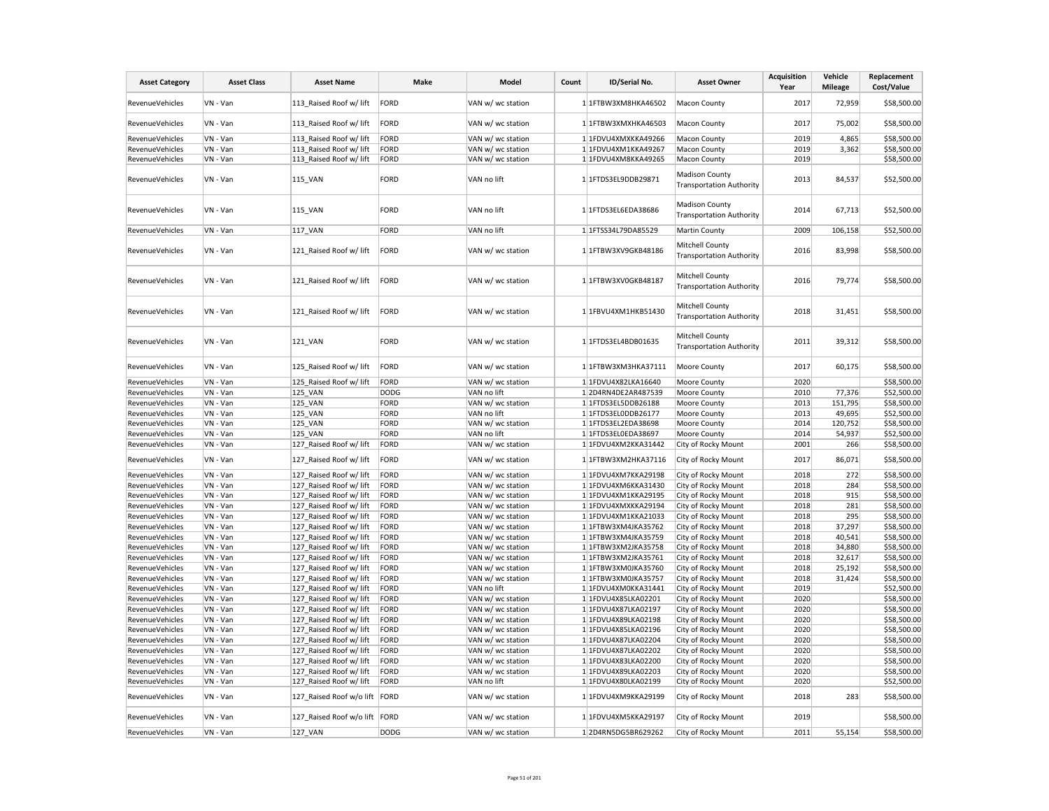| <b>Asset Category</b>              | <b>Asset Class</b>   | <b>Asset Name</b>                                  | Make         | Model                                  | Count | ID/Serial No.                              | <b>Asset Owner</b>                                       | <b>Acquisition</b><br>Year | Vehicle<br><b>Mileage</b> | Replacement<br>Cost/Value  |
|------------------------------------|----------------------|----------------------------------------------------|--------------|----------------------------------------|-------|--------------------------------------------|----------------------------------------------------------|----------------------------|---------------------------|----------------------------|
| RevenueVehicles                    | VN - Van             | 113 Raised Roof w/ lift                            | FORD         | VAN w/ wc station                      |       | 1 1FTBW3XM8HKA46502                        | Macon County                                             | 2017                       | 72,959                    | \$58,500.00                |
| RevenueVehicles                    | VN - Van             | 113_Raised Roof w/ lift                            | FORD         | VAN w/ wc station                      |       | 1 1FTBW3XMXHKA46503                        | Macon County                                             | 2017                       | 75,002                    | \$58,500.00                |
| RevenueVehicles                    | VN - Van             | 113 Raised Roof w/ lift                            | FORD         | VAN w/ wc station                      |       | 1 1FDVU4XMXKKA49266                        | Macon County                                             | 2019                       | 4,865                     | \$58,500.00                |
| RevenueVehicles                    | VN - Van             | 113 Raised Roof w/ lift                            | FORD         | VAN w/ wc station                      |       | 1 1FDVU4XM1KKA49267                        | <b>Macon County</b>                                      | 2019                       | 3,362                     | \$58,500.00                |
| RevenueVehicles                    | VN - Van             | 113 Raised Roof w/ lift                            | FORD         | VAN w/ wc station                      |       | 1 1FDVU4XM8KKA49265                        | Macon County                                             | 2019                       |                           | \$58,500.00                |
| RevenueVehicles                    | VN - Van             | 115_VAN                                            | FORD         | VAN no lift                            |       | 1 1FTDS3EL9DDB29871                        | <b>Madison County</b><br><b>Transportation Authority</b> | 2013                       | 84,537                    | \$52,500.00                |
| RevenueVehicles                    | VN - Van             | 115_VAN                                            | FORD         | VAN no lift                            |       | 1 1FTDS3EL6EDA38686                        | <b>Madison County</b><br><b>Transportation Authority</b> | 2014                       | 67,713                    | \$52,500.00                |
| RevenueVehicles                    | VN - Van             | <b>117 VAN</b>                                     | FORD         | VAN no lift                            |       | 1 1FTSS34L79DA85529                        | Martin County                                            | 2009                       | 106,158                   | \$52,500.00                |
| RevenueVehicles                    | VN - Van             | 121_Raised Roof w/ lift                            | FORD         | VAN w/ wc station                      |       | 1 1FTBW3XV9GKB48186                        | Mitchell County<br><b>Transportation Authority</b>       | 2016                       | 83,998                    | \$58,500.00                |
| RevenueVehicles                    | VN - Van             | 121 Raised Roof w/ lift                            | FORD         | VAN w/ wc station                      |       | 1 1FTBW3XV0GKB48187                        | Mitchell County<br><b>Transportation Authority</b>       | 2016                       | 79,774                    | \$58,500.00                |
| RevenueVehicles                    | VN - Van             | 121_Raised Roof w/ lift                            | FORD         | VAN w/ wc station                      |       | 1 1FBVU4XM1HKB51430                        | Mitchell County<br><b>Transportation Authority</b>       | 2018                       | 31,451                    | \$58,500.00                |
| RevenueVehicles                    | VN - Van             | 121_VAN                                            | FORD         | VAN w/ wc station                      |       | 1 1FTDS3EL4BDB01635                        | Mitchell County<br><b>Transportation Authority</b>       | 2011                       | 39,312                    | \$58,500.00                |
| RevenueVehicles                    | VN - Van             | 125_Raised Roof w/ lift                            | FORD         | VAN w/ wc station                      |       | 1 1FTBW3XM3HKA37111                        | Moore County                                             | 2017                       | 60,175                    | \$58,500.00                |
| RevenueVehicles                    | VN - Van             | 125 Raised Roof w/ lift                            | FORD         | VAN w/ wc station                      |       | 1 1FDVU4X82LKA16640                        | Moore County                                             | 2020                       |                           | \$58,500.00                |
| RevenueVehicles                    | VN - Van             | 125 VAN                                            | <b>DODG</b>  | VAN no lift                            |       | 12D4RN4DE2AR487539                         | Moore County                                             | 2010                       | 77,376                    | \$52,500.00                |
| RevenueVehicles                    | VN - Van             | 125 VAN                                            | FORD         | VAN w/ wc station                      |       | 1 1FTDS3EL5DDB26188                        | Moore County                                             | 2013                       | 151,795                   | \$58,500.00                |
| RevenueVehicles                    | VN - Van             | 125 VAN                                            | FORD         | VAN no lift                            |       | 1 1FTDS3EL0DDB26177                        | Moore County                                             | 2013                       | 49,695                    | \$52,500.00                |
| RevenueVehicles                    | VN - Van             | <b>125 VAN</b>                                     | FORD         | VAN w/ wc station                      |       | 1 1FTDS3EL2EDA38698                        | Moore County                                             | 2014                       | 120,752                   | \$58,500.00                |
| RevenueVehicles                    | VN - Van             | 125 VAN                                            | FORD         | VAN no lift                            |       | 1 1FTDS3EL0EDA38697                        | Moore County                                             | 2014                       | 54,937                    | \$52,500.00                |
| RevenueVehicles                    | VN - Van             | 127_Raised Roof w/ lift                            | FORD         | VAN w/ wc station                      |       | 1 1FDVU4XM2KKA31442                        | City of Rocky Mount                                      | 2001                       | 266                       | \$58,500.00                |
| RevenueVehicles                    | VN - Van             | 127 Raised Roof w/ lift                            | FORD         | VAN w/ wc station                      |       | 1 1FTBW3XM2HKA37116                        | City of Rocky Mount                                      | 2017                       | 86,071                    | \$58,500.00                |
| RevenueVehicles                    | VN - Van             | 127 Raised Roof w/ lift                            | FORD         | VAN w/ wc station                      |       | 1 1FDVU4XM7KKA29198                        | City of Rocky Mount                                      | 2018                       | 272                       | \$58,500.00                |
| RevenueVehicles                    | VN - Van             | 127 Raised Roof w/ lift                            | FORD         | VAN w/ wc station                      |       | 1 1FDVU4XM6KKA31430                        | City of Rocky Mount                                      | 2018                       | 284                       | \$58,500.00                |
| RevenueVehicles                    | VN - Van             | 127_Raised Roof w/ lift                            | FORD         | VAN w/ wc station                      |       | 1 1FDVU4XM1KKA29195                        | City of Rocky Mount                                      | 2018                       | 915                       | \$58,500.00                |
| RevenueVehicles                    | VN - Van             | 127 Raised Roof w/ lift                            | FORD         | VAN w/ wc station                      |       | 1 1FDVU4XMXKKA29194                        | City of Rocky Mount                                      | 2018                       | 281                       | \$58,500.00                |
| RevenueVehicles                    | VN - Van             | 127 Raised Roof w/ lift                            | FORD         | VAN w/ wc station                      |       | 1 1FDVU4XM1KKA21033                        | City of Rocky Mount                                      | 2018                       | 295                       | \$58,500.00                |
| RevenueVehicles                    | VN - Van             | 127 Raised Roof w/ lift                            | FORD         | VAN w/ wc station                      |       | 1 1FTBW3XM4JKA35762                        | City of Rocky Mount                                      | 2018                       | 37,297                    | \$58,500.00                |
| RevenueVehicles                    | VN - Van             | 127 Raised Roof w/ lift                            | FORD         | VAN w/ wc station                      |       | 1 1FTBW3XM4JKA35759                        | City of Rocky Mount                                      | 2018                       | 40,541                    | \$58,500.00                |
| RevenueVehicles                    | VN - Van             | 127 Raised Roof w/ lift                            | FORD         | VAN w/ wc station                      |       | 1 1FTBW3XM2JKA35758                        | City of Rocky Mount                                      | 2018                       | 34,880                    | \$58,500.00                |
| RevenueVehicles                    | VN - Van             | 127 Raised Roof w/ lift                            | FORD         | VAN w/ wc station                      |       | 1 1FTBW3XM2JKA35761                        | City of Rocky Mount                                      | 2018                       | 32,617                    | \$58,500.00                |
| RevenueVehicles                    | VN - Van             | 127 Raised Roof w/ lift                            | FORD         | VAN w/ wc station                      |       | 1 1FTBW3XM0JKA35760                        | City of Rocky Mount                                      | 2018                       | 25,192                    | \$58,500.00                |
| RevenueVehicles                    | VN - Van             | 127 Raised Roof w/ lift                            | FORD         | VAN w/ wc station                      |       | 1 1FTBW3XM0JKA35757                        | City of Rocky Mount                                      | 2018                       | 31,424                    | \$58,500.00                |
| RevenueVehicles                    | VN - Van             | 127_Raised Roof w/ lift                            | FORD         | VAN no lift                            |       | 1 1FDVU4XM0KKA31441                        | City of Rocky Mount                                      | 2019                       |                           | \$52,500.00                |
| RevenueVehicles                    | VN - Van             | 127 Raised Roof w/ lift                            | FORD         | VAN w/ wc station                      |       | 1 1FDVU4X85LKA02201                        | City of Rocky Mount                                      | 2020<br>2020               |                           | \$58,500.00                |
| RevenueVehicles<br>RevenueVehicles | VN - Van<br>VN - Van | 127 Raised Roof w/ lift<br>127 Raised Roof w/ lift | FORD<br>FORD | VAN w/ wc station<br>VAN w/ wc station |       | 1 1FDVU4X87LKA02197<br>1 1FDVU4X89LKA02198 | City of Rocky Mount<br>City of Rocky Mount               | 2020                       |                           | \$58,500.00<br>\$58,500.00 |
| RevenueVehicles                    |                      |                                                    | FORD         |                                        |       | 1 1FDVU4X85LKA02196                        |                                                          | 2020                       |                           | \$58,500.00                |
| RevenueVehicles                    | VN - Van<br>VN - Van | 127 Raised Roof w/ lift<br>127 Raised Roof w/ lift | FORD         | VAN w/ wc station<br>VAN w/ wc station |       | 1 1FDVU4X87LKA02204                        | City of Rocky Mount<br>City of Rocky Mount               | 2020                       |                           | \$58,500.00                |
| RevenueVehicles                    | VN - Van             | 127 Raised Roof w/ lift                            | FORD         | VAN w/ wc station                      |       | 1 1FDVU4X87LKA02202                        | City of Rocky Mount                                      | 2020                       |                           | \$58,500.00                |
| RevenueVehicles                    | VN - Van             | 127 Raised Roof w/ lift                            | FORD         | VAN w/ wc station                      |       | 1 1FDVU4X83LKA02200                        | City of Rocky Mount                                      | 2020                       |                           | \$58,500.00                |
| RevenueVehicles                    | VN - Van             | 127 Raised Roof w/ lift                            | FORD         | VAN w/ wc station                      |       | 1 1FDVU4X89LKA02203                        | City of Rocky Mount                                      | 2020                       |                           | \$58,500.00                |
| RevenueVehicles                    | VN - Van             | 127 Raised Roof w/ lift                            | FORD         | VAN no lift                            |       | 1 1FDVU4X80LKA02199                        | City of Rocky Mount                                      | 2020                       |                           | \$52,500.00                |
| RevenueVehicles                    | VN - Van             | 127_Raised Roof w/o lift FORD                      |              | VAN w/ wc station                      |       | 1 1FDVU4XM9KKA29199                        | City of Rocky Mount                                      | 2018                       | 283                       | \$58,500.00                |
| RevenueVehicles                    | VN - Van             | 127 Raised Roof w/o lift FORD                      |              | VAN w/ wc station                      |       | 1 1FDVU4XM5KKA29197                        | City of Rocky Mount                                      | 2019                       |                           | \$58,500.00                |
| RevenueVehicles                    | VN - Van             | 127_VAN                                            | <b>DODG</b>  | VAN w/ wc station                      |       | 12D4RN5DG5BR629262                         | City of Rocky Mount                                      | 2011                       | 55,154                    | \$58,500.00                |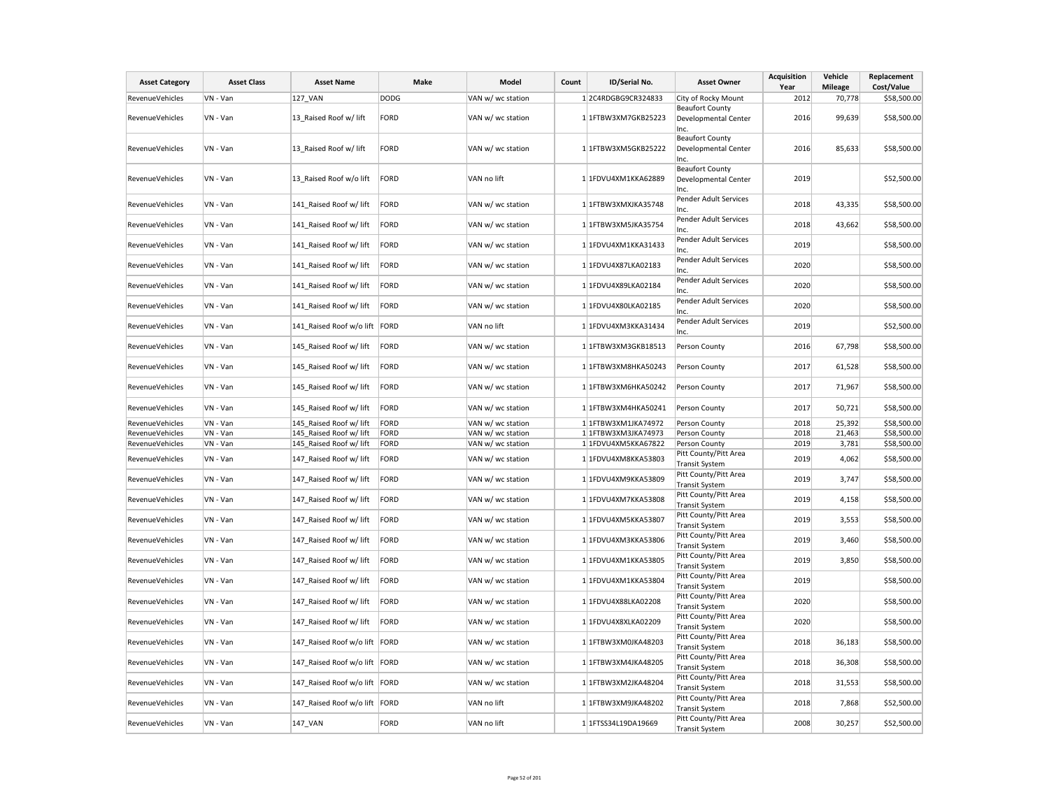| <b>Asset Category</b>  | <b>Asset Class</b> | <b>Asset Name</b>             | Make        | Model             | Count | ID/Serial No.        | <b>Asset Owner</b>                                     | <b>Acquisition</b><br>Year | Vehicle<br><b>Mileage</b> | Replacement<br>Cost/Value |
|------------------------|--------------------|-------------------------------|-------------|-------------------|-------|----------------------|--------------------------------------------------------|----------------------------|---------------------------|---------------------------|
| RevenueVehicles        | VN - Van           | 127 VAN                       | <b>DODG</b> | VAN w/ wc station |       | 12C4RDGBG9CR324833   | City of Rocky Mount                                    | 2012                       | 70,778                    | \$58,500.00               |
| RevenueVehicles        | VN - Van           | 13_Raised Roof w/ lift        | FORD        | VAN w/ wc station |       | 1 1FTBW3XM7GKB25223  | <b>Beaufort County</b><br>Developmental Center<br>Inc. | 2016                       | 99,639                    | \$58,500.00               |
| RevenueVehicles        | VN - Van           | 13 Raised Roof w/ lift        | FORD        | VAN w/ wc station |       | 1 1FTBW3XM5GKB25222  | <b>Beaufort County</b><br>Developmental Center<br>Inc. | 2016                       | 85,633                    | \$58,500.00               |
| RevenueVehicles        | VN - Van           | 13 Raised Roof w/o lift       | FORD        | VAN no lift       |       | 1 1FDVU4XM1KKA62889  | <b>Beaufort County</b><br>Developmental Center<br>Inc. | 2019                       |                           | \$52,500.00               |
| RevenueVehicles        | VN - Van           | 141 Raised Roof w/ lift       | FORD        | VAN w/ wc station |       | 1 1FTBW3XMXJKA35748  | Pender Adult Services<br>Inc.                          | 2018                       | 43,335                    | \$58,500.00               |
| <b>RevenueVehicles</b> | VN - Van           | 141 Raised Roof w/ lift       | FORD        | VAN w/ wc station |       | 1 1FTBW3XM5JKA35754  | Pender Adult Services<br>Inc.                          | 2018                       | 43,662                    | \$58,500.00               |
| RevenueVehicles        | VN - Van           | 141 Raised Roof w/ lift       | FORD        | VAN w/ wc station |       | 1 1FDVU4XM1KKA31433  | Pender Adult Services<br>Inc.                          | 2019                       |                           | \$58,500.00               |
| RevenueVehicles        | VN - Van           | 141 Raised Roof w/ lift       | FORD        | VAN w/ wc station |       | 1 1FDVU4X87LKA02183  | Pender Adult Services<br>Inc.                          | 2020                       |                           | \$58,500.00               |
| RevenueVehicles        | VN - Van           | 141 Raised Roof w/ lift       | FORD        | VAN w/ wc station |       | 1 1FDVU4X89LKA02184  | Pender Adult Services<br>Inc.                          | 2020                       |                           | \$58,500.00               |
| RevenueVehicles        | VN - Van           | 141 Raised Roof w/ lift       | FORD        | VAN w/ wc station |       | 1 1FDVU4X80LKA02185  | Pender Adult Services<br>Inc.                          | 2020                       |                           | \$58,500.00               |
| <b>RevenueVehicles</b> | VN - Van           | 141_Raised Roof w/o lift FORD |             | VAN no lift       |       | 1 1FDVU4XM3KKA31434  | Pender Adult Services<br>Inc.                          | 2019                       |                           | \$52,500.00               |
| RevenueVehicles        | VN - Van           | 145 Raised Roof w/ lift       | FORD        | VAN w/ wc station |       | 1 1FTBW3XM3GKB18513  | Person County                                          | 2016                       | 67,798                    | \$58,500.00               |
| RevenueVehicles        | VN - Van           | 145_Raised Roof w/ lift       | FORD        | VAN w/ wc station |       | 1 1FTBW3XM8HKA50243  | Person County                                          | 2017                       | 61,528                    | \$58,500.00               |
| RevenueVehicles        | VN - Van           | 145_Raised Roof w/ lift       | FORD        | VAN w/ wc station |       | 1 1FTBW3XM6HKA50242  | Person County                                          | 2017                       | 71,967                    | \$58,500.00               |
| <b>RevenueVehicles</b> | VN - Van           | 145_Raised Roof w/ lift       | FORD        | VAN w/ wc station |       | 1 1 FTBW3XM4HKA50241 | Person County                                          | 2017                       | 50,721                    | \$58,500.00               |
| RevenueVehicles        | VN - Van           | 145 Raised Roof w/ lift       | FORD        | VAN w/ wc station |       | 1 1FTBW3XM1JKA74972  | Person County                                          | 2018                       | 25,392                    | \$58,500.00               |
| RevenueVehicles        | VN - Van           | 145 Raised Roof w/ lift       | FORD        | VAN w/ wc station |       | 1 1FTBW3XM3JKA74973  | Person County                                          | 2018                       | 21,463                    | \$58,500.00               |
| RevenueVehicles        | VN - Van           | 145 Raised Roof w/ lift       | FORD        | VAN w/ wc station |       | 1 1FDVU4XM5KKA67822  | Person County                                          | 2019                       | 3,781                     | \$58,500.00               |
| <b>RevenueVehicles</b> | VN - Van           | 147 Raised Roof w/ lift       | FORD        | VAN w/ wc station |       | 1 1FDVU4XM8KKA53803  | Pitt County/Pitt Area<br><b>Transit System</b>         | 2019                       | 4,062                     | \$58,500.00               |
| RevenueVehicles        | VN - Van           | 147 Raised Roof w/ lift       | FORD        | VAN w/ wc station |       | 1 1FDVU4XM9KKA53809  | Pitt County/Pitt Area<br><b>Transit System</b>         | 2019                       | 3,747                     | \$58,500.00               |
| RevenueVehicles        | VN - Van           | 147 Raised Roof w/ lift       | FORD        | VAN w/ wc station |       | 1 1FDVU4XM7KKA53808  | Pitt County/Pitt Area<br><b>Transit System</b>         | 2019                       | 4,158                     | \$58,500.00               |
| <b>RevenueVehicles</b> | VN - Van           | 147 Raised Roof w/ lift       | FORD        | VAN w/ wc station |       | 1 1FDVU4XM5KKA53807  | Pitt County/Pitt Area<br><b>Transit System</b>         | 2019                       | 3,553                     | \$58,500.00               |
| RevenueVehicles        | VN - Van           | 147_Raised Roof w/ lift       | FORD        | VAN w/ wc station |       | 1 1FDVU4XM3KKA53806  | Pitt County/Pitt Area<br><b>Transit System</b>         | 2019                       | 3,460                     | \$58,500.00               |
| RevenueVehicles        | VN - Van           | 147_Raised Roof w/ lift       | FORD        | VAN w/ wc station |       | 1 1FDVU4XM1KKA53805  | Pitt County/Pitt Area<br><b>Transit System</b>         | 2019                       | 3,850                     | \$58,500.00               |
| RevenueVehicles        | VN - Van           | 147 Raised Roof w/ lift       | FORD        | VAN w/ wc station |       | 1 1FDVU4XM1KKA53804  | Pitt County/Pitt Area<br><b>Transit System</b>         | 2019                       |                           | \$58,500.00               |
| RevenueVehicles        | VN - Van           | 147_Raised Roof w/ lift       | FORD        | VAN w/ wc station |       | 1 1FDVU4X88LKA02208  | Pitt County/Pitt Area<br><b>Transit System</b>         | 2020                       |                           | \$58,500.00               |
| <b>RevenueVehicles</b> | VN - Van           | 147 Raised Roof w/ lift       | FORD        | VAN w/ wc station |       | 1 1FDVU4X8XLKA02209  | Pitt County/Pitt Area<br><b>Transit System</b>         | 2020                       |                           | \$58,500.00               |
| RevenueVehicles        | VN - Van           | 147 Raised Roof w/o lift FORD |             | VAN w/ wc station |       | 1 1FTBW3XM0JKA48203  | Pitt County/Pitt Area<br><b>Transit System</b>         | 2018                       | 36,183                    | \$58,500.00               |
| RevenueVehicles        | VN - Van           | 147_Raised Roof w/o lift FORD |             | VAN w/ wc station |       | 1 1 FTBW3XM4JKA48205 | Pitt County/Pitt Area<br><b>Transit System</b>         | 2018                       | 36,308                    | \$58,500.00               |
| RevenueVehicles        | VN - Van           | 147 Raised Roof w/o lift FORD |             | VAN w/ wc station |       | 1 1FTBW3XM2JKA48204  | Pitt County/Pitt Area<br><b>Transit System</b>         | 2018                       | 31,553                    | \$58,500.00               |
| RevenueVehicles        | VN - Van           | 147 Raised Roof w/o lift FORD |             | VAN no lift       |       | 1 1FTBW3XM9JKA48202  | Pitt County/Pitt Area<br><b>Transit System</b>         | 2018                       | 7,868                     | \$52,500.00               |
| RevenueVehicles        | VN - Van           | 147_VAN                       | FORD        | VAN no lift       |       | 1 1FTSS34L19DA19669  | Pitt County/Pitt Area<br><b>Transit System</b>         | 2008                       | 30,257                    | \$52,500.00               |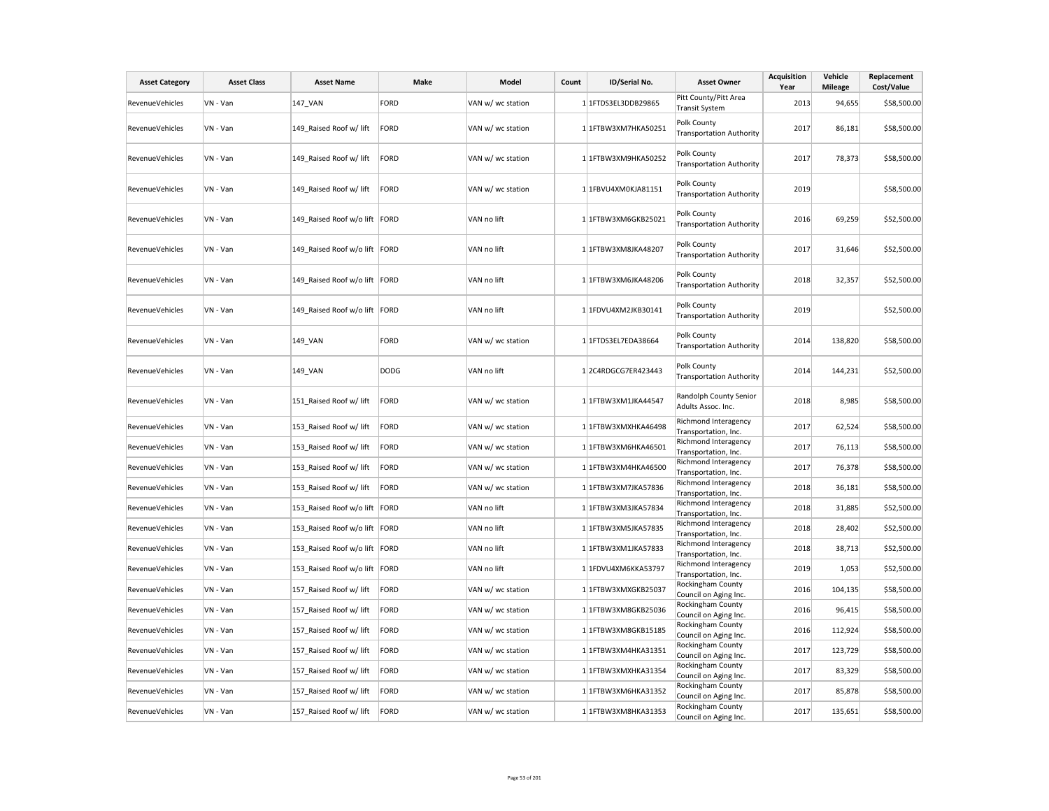| <b>Asset Category</b>  | <b>Asset Class</b> | <b>Asset Name</b>             | Make        | Model             | Count | ID/Serial No.       | <b>Asset Owner</b>                                                  | <b>Acquisition</b><br>Year | Vehicle<br><b>Mileage</b> | Replacement<br>Cost/Value |
|------------------------|--------------------|-------------------------------|-------------|-------------------|-------|---------------------|---------------------------------------------------------------------|----------------------------|---------------------------|---------------------------|
| <b>RevenueVehicles</b> | VN - Van           | <b>147 VAN</b>                | FORD        | VAN w/ wc station |       | 1 1FTDS3EL3DDB29865 | Pitt County/Pitt Area<br><b>Transit System</b>                      | 2013                       | 94,655                    | \$58,500.00               |
| <b>RevenueVehicles</b> | VN - Van           | 149 Raised Roof w/ lift       | FORD        | VAN w/ wc station |       | 1 1FTBW3XM7HKA50251 | Polk County<br><b>Transportation Authority</b>                      | 2017                       | 86,181                    | \$58,500.00               |
| <b>RevenueVehicles</b> | VN - Van           | 149 Raised Roof w/ lift       | FORD        | VAN w/ wc station |       | 1 1FTBW3XM9HKA50252 | Polk County<br><b>Transportation Authority</b>                      | 2017                       | 78,373                    | \$58,500.00               |
| RevenueVehicles        | VN - Van           | 149 Raised Roof w/ lift       | FORD        | VAN w/ wc station |       | 1 1FBVU4XM0KJA81151 | Polk County<br><b>Transportation Authority</b>                      | 2019                       |                           | \$58,500.00               |
| RevenueVehicles        | VN - Van           | 149 Raised Roof w/o lift FORD |             | VAN no lift       |       | 1 1FTBW3XM6GKB25021 | Polk County<br><b>Transportation Authority</b>                      | 2016                       | 69,259                    | \$52,500.00               |
| RevenueVehicles        | VN - Van           | 149 Raised Roof w/o lift FORD |             | VAN no lift       |       | 1 1FTBW3XM8JKA48207 | Polk County<br><b>Transportation Authority</b>                      | 2017                       | 31,646                    | \$52,500.00               |
| RevenueVehicles        | VN - Van           | 149 Raised Roof w/o lift FORD |             | VAN no lift       |       | 1 1FTBW3XM6JKA48206 | Polk County<br><b>Transportation Authority</b>                      | 2018                       | 32,357                    | \$52,500.00               |
| RevenueVehicles        | VN - Van           | 149 Raised Roof w/o lift FORD |             | VAN no lift       |       | 1 1FDVU4XM2JKB30141 | Polk County<br><b>Transportation Authority</b>                      | 2019                       |                           | \$52,500.00               |
| RevenueVehicles        | VN - Van           | 149 VAN                       | FORD        | VAN w/ wc station |       | 1 1FTDS3EL7EDA38664 | Polk County<br><b>Transportation Authority</b>                      | 2014                       | 138,820                   | \$58,500.00               |
| RevenueVehicles        | VN - Van           | 149_VAN                       | <b>DODG</b> | VAN no lift       |       | 1 2C4RDGCG7ER423443 | Polk County<br><b>Transportation Authority</b>                      | 2014                       | 144,231                   | \$52,500.00               |
| RevenueVehicles        | VN - Van           | 151_Raised Roof w/ lift       | FORD        | VAN w/ wc station |       | 1 1FTBW3XM1JKA44547 | Randolph County Senior<br>Adults Assoc. Inc.                        | 2018                       | 8,985                     | \$58,500.00               |
| RevenueVehicles        | VN - Van           | 153_Raised Roof w/ lift       | FORD        | VAN w/ wc station |       | 1 1FTBW3XMXHKA46498 | Richmond Interagency<br>Transportation, Inc.                        | 2017                       | 62,524                    | \$58,500.00               |
| RevenueVehicles        | VN - Van           | 153 Raised Roof w/ lift       | FORD        | VAN w/ wc station |       | 1 1FTBW3XM6HKA46501 | Richmond Interagency<br>Transportation, Inc.                        | 2017                       | 76,113                    | \$58,500.00               |
| RevenueVehicles        | VN - Van           | 153 Raised Roof w/ lift       | FORD        | VAN w/ wc station |       | 1 1FTBW3XM4HKA46500 | Richmond Interagency<br>Transportation, Inc.                        | 2017                       | 76,378                    | \$58,500.00               |
| RevenueVehicles        | VN - Van           | 153 Raised Roof w/ lift       | FORD        | VAN w/ wc station |       | 1 1FTBW3XM7JKA57836 | Richmond Interagency<br>Transportation, Inc.                        | 2018                       | 36,181                    | \$58,500.00               |
| <b>RevenueVehicles</b> | VN - Van           | 153_Raised Roof w/o lift FORD |             | VAN no lift       |       | 1 1FTBW3XM3JKA57834 | Richmond Interagency<br>Transportation, Inc.                        | 2018                       | 31,885                    | \$52,500.00               |
| <b>RevenueVehicles</b> | VN - Van           | 153 Raised Roof w/o lift FORD |             | VAN no lift       |       | 1 1FTBW3XM5JKA57835 | Richmond Interagency<br>Transportation, Inc.                        | 2018                       | 28,402                    | \$52,500.00               |
| RevenueVehicles        | VN - Van           | 153 Raised Roof w/o lift FORD |             | VAN no lift       |       | 1 1FTBW3XM1JKA57833 | Richmond Interagency<br>Transportation, Inc.                        | 2018                       | 38,713                    | \$52,500.00               |
| RevenueVehicles        | VN - Van           | 153_Raised Roof w/o lift FORD |             | VAN no lift       |       | 1 1FDVU4XM6KKA53797 | Richmond Interagency<br>Transportation, Inc.                        | 2019                       | 1,053                     | \$52,500.00               |
| RevenueVehicles        | VN - Van           | 157 Raised Roof w/ lift       | FORD        | VAN w/ wc station |       | 1 1FTBW3XMXGKB25037 | Rockingham County<br>Council on Aging Inc.                          | 2016                       | 104,135                   | \$58,500.00               |
| RevenueVehicles        | VN - Van           | 157_Raised Roof w/ lift       | FORD        | VAN w/ wc station |       | 1 1FTBW3XM8GKB25036 | Rockingham County<br>Council on Aging Inc.                          | 2016                       | 96,415                    | \$58,500.00               |
| RevenueVehicles        | VN - Van           | 157 Raised Roof w/ lift       | FORD        | VAN w/ wc station |       | 1 1FTBW3XM8GKB15185 | Rockingham County                                                   | 2016                       | 112,924                   | \$58,500.00               |
| RevenueVehicles        | VN - Van           | 157 Raised Roof w/ lift       | FORD        | VAN w/ wc station |       | 1 1FTBW3XM4HKA31351 | Council on Aging Inc.<br>Rockingham County                          | 2017                       | 123,729                   | \$58,500.00               |
| RevenueVehicles        | VN - Van           | 157 Raised Roof w/ lift       | FORD        | VAN w/ wc station |       | 1 1FTBW3XMXHKA31354 | Council on Aging Inc.<br>Rockingham County                          | 2017                       | 83,329                    | \$58,500.00               |
| RevenueVehicles        | VN - Van           | 157 Raised Roof w/ lift       | FORD        | VAN w/ wc station |       | 1 1FTBW3XM6HKA31352 | Council on Aging Inc.<br>Rockingham County                          | 2017                       | 85,878                    | \$58,500.00               |
| RevenueVehicles        | VN - Van           | 157_Raised Roof w/ lift       | FORD        | VAN w/ wc station |       | 1 1FTBW3XM8HKA31353 | Council on Aging Inc.<br>Rockingham County<br>Council on Aging Inc. | 2017                       | 135,651                   | \$58,500.00               |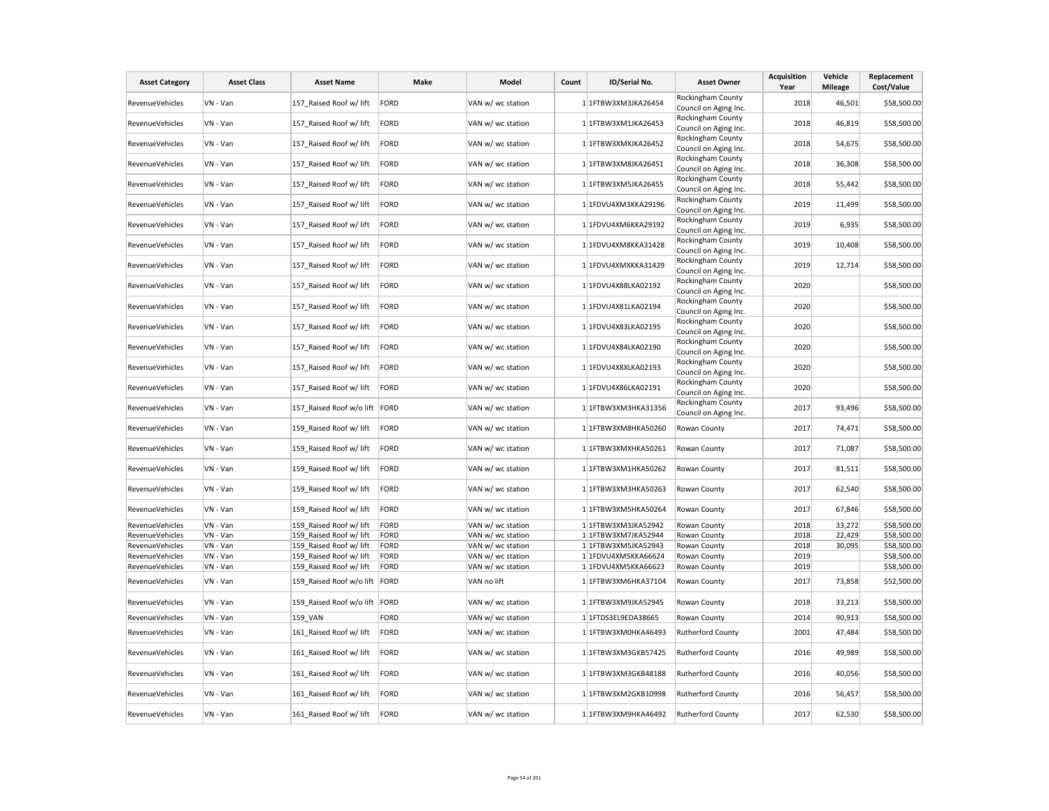| <b>Asset Category</b>  | <b>Asset Class</b> | <b>Asset Name</b>              | Make        | Model             | Count | ID/Serial No.       | <b>Asset Owner</b>                         | Acquisition<br>Year | Vehicle<br><b>Mileage</b> | Replacement<br>Cost/Value |
|------------------------|--------------------|--------------------------------|-------------|-------------------|-------|---------------------|--------------------------------------------|---------------------|---------------------------|---------------------------|
| <b>RevenueVehicles</b> | VN - Van           | 157 Raised Roof w/ lift        | FORD        | VAN w/ wc station |       | 1 1FTBW3XM3JKA26454 | Rockingham County                          | 2018                | 46,501                    | \$58,500.00               |
|                        |                    |                                |             |                   |       |                     | Council on Aging Inc.                      |                     |                           |                           |
| RevenueVehicles        | VN - Van           | 157 Raised Roof w/ lift        | FORD        | VAN w/ wc station |       | 1 1FTBW3XM1JKA26453 | Rockingham County<br>Council on Aging Inc. | 2018                | 46,819                    | \$58,500.00               |
| <b>RevenueVehicles</b> | VN - Van           | 157 Raised Roof w/ lift        | FORD        | VAN w/ wc station |       | 1 1FTBW3XMXJKA26452 | Rockingham County                          | 2018                | 54,675                    | \$58,500.00               |
|                        |                    |                                |             |                   |       |                     | Council on Aging Inc.                      |                     |                           |                           |
| RevenueVehicles        | VN - Van           | 157_Raised Roof w/ lift        | FORD        | VAN w/ wc station |       | 1 1FTBW3XM8JKA26451 | Rockingham County<br>Council on Aging Inc. | 2018                | 36,308                    | \$58,500.00               |
|                        |                    |                                |             |                   |       |                     | Rockingham County                          |                     |                           |                           |
| RevenueVehicles        | VN - Van           | 157 Raised Roof w/ lift        | FORD        | VAN w/ wc station |       | 1 1FTBW3XM5JKA26455 | Council on Aging Inc.                      | 2018                | 55,442                    | \$58,500.00               |
| RevenueVehicles        | VN - Van           | 157_Raised Roof w/ lift        | FORD        | VAN w/ wc station |       | 1 1FDVU4XM3KKA29196 | Rockingham County<br>Council on Aging Inc. | 2019                | 11,499                    | \$58,500.00               |
| RevenueVehicles        | VN - Van           | 157 Raised Roof w/ lift        | FORD        | VAN w/ wc station |       | 1 1FDVU4XM6KKA29192 | Rockingham County                          | 2019                | 6,935                     | \$58,500.00               |
|                        |                    |                                |             |                   |       |                     | Council on Aging Inc.                      |                     |                           |                           |
| RevenueVehicles        | VN - Van           | 157_Raised Roof w/ lift        | FORD        | VAN w/ wc station |       | 1 1FDVU4XM8KKA31428 | Rockingham County<br>Council on Aging Inc. | 2019                | 10,408                    | \$58,500.00               |
| <b>RevenueVehicles</b> | VN - Van           | 157 Raised Roof w/ lift        | FORD        | VAN w/ wc station |       | 1 1FDVU4XMXKKA31429 | Rockingham County<br>Council on Aging Inc. | 2019                | 12,714                    | \$58,500.00               |
|                        |                    |                                |             |                   |       |                     | Rockingham County                          |                     |                           |                           |
| <b>RevenueVehicles</b> | VN - Van           | 157 Raised Roof w/ lift        | FORD        | VAN w/ wc station |       | 1 1FDVU4X88LKA02192 | Council on Aging Inc.                      | 2020                |                           | \$58,500.00               |
| RevenueVehicles        | VN - Van           | 157 Raised Roof w/ lift        | FORD        | VAN w/ wc station |       | 1 1FDVU4X81LKA02194 | Rockingham County                          | 2020                |                           | \$58,500.00               |
|                        |                    |                                |             |                   |       |                     | Council on Aging Inc.                      |                     |                           |                           |
| <b>RevenueVehicles</b> | VN - Van           | 157_Raised Roof w/ lift        | FORD        | VAN w/ wc station |       | 1 1FDVU4X83LKA02195 | Rockingham County                          | 2020                |                           | \$58,500.00               |
|                        |                    |                                |             |                   |       |                     | Council on Aging Inc.<br>Rockingham County |                     |                           |                           |
| RevenueVehicles        | VN - Van           | 157 Raised Roof w/ lift        | FORD        | VAN w/ wc station |       | 1 1FDVU4X84LKA02190 | Council on Aging Inc.                      | 2020                |                           | \$58,500.00               |
|                        |                    |                                |             |                   |       |                     | Rockingham County                          | 2020                |                           |                           |
| RevenueVehicles        | VN - Van           | 157_Raised Roof w/ lift        | FORD        | VAN w/ wc station |       | 1 1FDVU4X8XLKA02193 | Council on Aging Inc.                      |                     |                           | \$58,500.00               |
| RevenueVehicles        | VN - Van           | 157_Raised Roof w/ lift        | FORD        | VAN w/ wc station |       | 1 1FDVU4X86LKA02191 | Rockingham County                          | 2020                |                           | \$58,500.00               |
|                        |                    |                                |             |                   |       |                     | Council on Aging Inc.                      |                     |                           |                           |
| RevenueVehicles        | VN - Van           | 157 Raised Roof w/o lift FORD  |             | VAN w/ wc station |       | 1 1FTBW3XM3HKA31356 | Rockingham County<br>Council on Aging Inc. | 2017                | 93,496                    | \$58,500.00               |
| RevenueVehicles        | VN - Van           | 159_Raised Roof w/ lift        | FORD        | VAN w/ wc station |       | 1 1FTBW3XM8HKA50260 | Rowan County                               | 2017                | 74,471                    | \$58,500.00               |
| <b>RevenueVehicles</b> | VN - Van           | 159 Raised Roof w/ lift        | FORD        | VAN w/ wc station |       | 1 1FTBW3XMXHKA50261 | Rowan County                               | 2017                | 71,087                    | \$58,500.00               |
| <b>RevenueVehicles</b> | VN - Van           | 159 Raised Roof w/ lift        | FORD        | VAN w/ wc station |       | 1 1FTBW3XM1HKA50262 | Rowan County                               | 2017                | 81,511                    | \$58,500.00               |
| RevenueVehicles        | VN - Van           | 159 Raised Roof w/ lift        | FORD        | VAN w/ wc station |       | 1 1FTBW3XM3HKA50263 | Rowan County                               | 2017                | 62,540                    | \$58,500.00               |
| <b>RevenueVehicles</b> | VN - Van           | 159_Raised Roof w/ lift        | FORD        | VAN w/ wc station |       | 1 1FTBW3XM5HKA50264 | Rowan County                               | 2017                | 67,846                    | \$58,500.00               |
| RevenueVehicles        | VN - Van           | 159 Raised Roof w/ lift        | FORD        | VAN w/ wc station |       | 1 1FTBW3XM3JKA52942 | Rowan County                               | 2018                | 33,272                    | \$58,500.00               |
| RevenueVehicles        | VN - Van           | 159 Raised Roof w/ lift        | FORD        | VAN w/ wc station |       | 1 1FTBW3XM7JKA52944 | Rowan County                               | 2018                | 22,429                    | \$58,500.00               |
| RevenueVehicles        | VN - Van           | 159 Raised Roof w/ lift        | FORD        | VAN w/ wc station |       | 1 1FTBW3XM5JKA52943 | Rowan County                               | 2018                | 30,095                    | \$58,500.00               |
| RevenueVehicles        | VN - Van           | 159 Raised Roof w/ lift        | FORD        | VAN w/ wc station |       | 1 1FDVU4XM5KKA66624 | Rowan County                               | 2019                |                           | \$58,500.00               |
| RevenueVehicles        | VN - Van           | 159 Raised Roof w/ lift        | <b>FORD</b> | VAN w/ wc station |       | 1 1FDVU4XM5KKA66623 | Rowan County                               | 2019                |                           | \$58,500.00               |
| RevenueVehicles        | VN - Van           | 159 Raised Roof w/o lift FORD  |             | VAN no lift       |       | 1 1FTBW3XM6HKA37104 | Rowan County                               | 2017                | 73,858                    | \$52,500.00               |
| RevenueVehicles        | VN - Van           | 159_Raised Roof w/o lift  FORD |             | VAN w/ wc station |       | 1 1FTBW3XM9JKA52945 | Rowan County                               | 2018                | 33,213                    | \$58,500.00               |
| <b>RevenueVehicles</b> | VN - Van           | 159 VAN                        | FORD        | VAN w/ wc station |       | 1 1FTDS3EL9EDA38665 | Rowan County                               | 2014                | 90,913                    | \$58,500.00               |
| RevenueVehicles        | VN - Van           | 161 Raised Roof w/ lift        | FORD        | VAN w/ wc station |       | 1 1FTBW3XM0HKA46493 | Rutherford County                          | 2001                | 47,484                    | \$58,500.00               |
| <b>RevenueVehicles</b> | VN - Van           | 161 Raised Roof w/ lift        | FORD        | VAN w/ wc station |       | 1 1FTBW3XM3GKB57425 | <b>Rutherford County</b>                   | 2016                | 49,989                    | \$58,500.00               |
| RevenueVehicles        | VN - Van           | 161_Raised Roof w/ lift        | FORD        | VAN w/ wc station |       | 1 1FTBW3XM3GKB48188 | <b>Rutherford County</b>                   | 2016                | 40,056                    | \$58,500.00               |
| <b>RevenueVehicles</b> | VN - Van           | 161 Raised Roof w/ lift        | FORD        | VAN w/ wc station |       | 1 1FTBW3XM2GKB10998 | <b>Rutherford County</b>                   | 2016                | 56,457                    | \$58,500.00               |
| RevenueVehicles        | VN - Van           | 161 Raised Roof w/ lift        | FORD        | VAN w/ wc station |       | 1 1FTBW3XM9HKA46492 | Rutherford County                          | 2017                | 62,530                    | \$58,500.00               |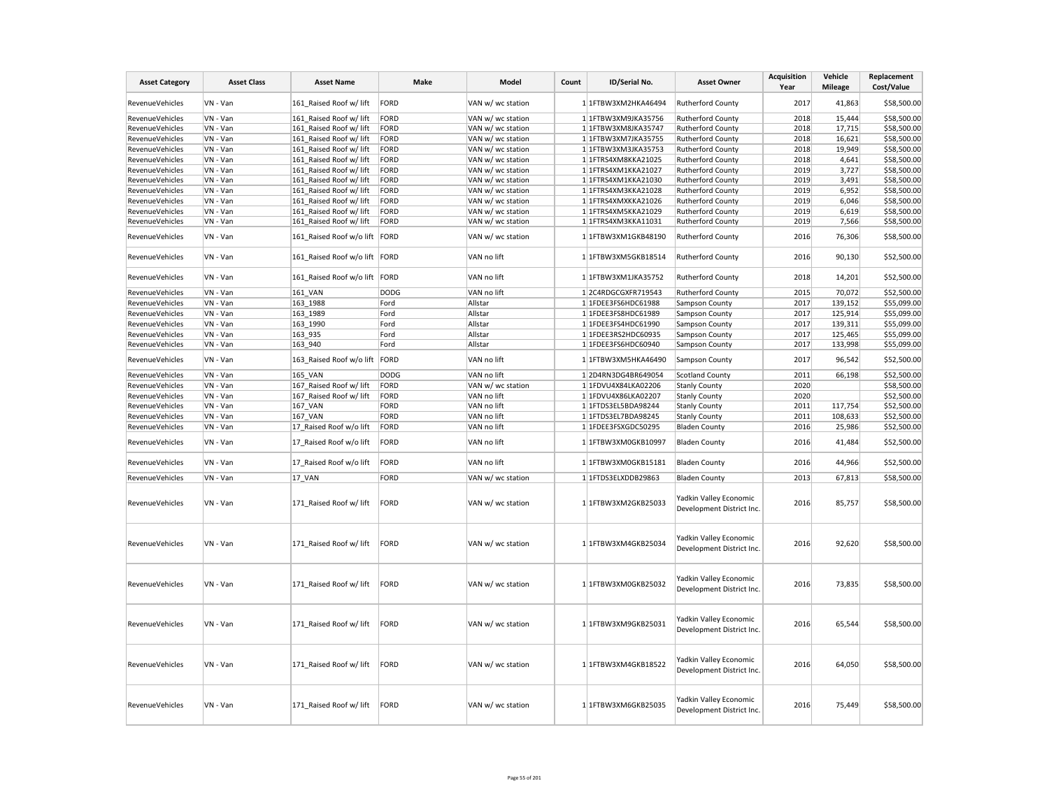| <b>Asset Category</b>  | <b>Asset Class</b> | <b>Asset Name</b>             | Make        | Model             | Count | ID/Serial No.       | <b>Asset Owner</b>                                  | <b>Acquisition</b><br>Year | Vehicle<br><b>Mileage</b> | Replacement<br>Cost/Value |
|------------------------|--------------------|-------------------------------|-------------|-------------------|-------|---------------------|-----------------------------------------------------|----------------------------|---------------------------|---------------------------|
| RevenueVehicles        | VN - Van           | 161 Raised Roof w/ lift       | FORD        | VAN w/ wc station |       | 1 1FTBW3XM2HKA46494 | Rutherford County                                   | 2017                       | 41,863                    | \$58,500.00               |
| RevenueVehicles        | VN - Van           | 161 Raised Roof w/ lift       | <b>FORD</b> | VAN w/ wc station |       | 1 1FTBW3XM9JKA35756 | Rutherford County                                   | 2018                       | 15,444                    | \$58,500.00               |
| <b>RevenueVehicles</b> | VN - Van           | 161 Raised Roof w/ lift       | FORD        | VAN w/ wc station |       | 1 1FTBW3XM8JKA35747 | Rutherford County                                   | 2018                       | 17,715                    | \$58,500.00               |
| RevenueVehicles        | VN - Van           | 161 Raised Roof w/ lift       | FORD        | VAN w/ wc station |       | 1 1FTBW3XM7JKA35755 | Rutherford County                                   | 2018                       | 16,621                    | \$58,500.00               |
| RevenueVehicles        | VN - Van           | 161 Raised Roof w/ lift       | FORD        | VAN w/ wc station |       | 1 1FTBW3XM3JKA35753 | Rutherford County                                   | 2018                       | 19,949                    | \$58,500.00               |
| RevenueVehicles        | VN - Van           | 161 Raised Roof w/ lift       | <b>FORD</b> | VAN w/ wc station |       | 1 1FTRS4XM8KKA21025 | Rutherford County                                   | 2018                       | 4,641                     | \$58,500.00               |
| RevenueVehicles        | VN - Van           | 161 Raised Roof w/ lift       | <b>FORD</b> | VAN w/ wc station |       | 1 1FTRS4XM1KKA21027 | Rutherford County                                   | 2019                       | 3,727                     | \$58,500.00               |
| RevenueVehicles        | VN - Van           | 161 Raised Roof w/ lift       | FORD        | VAN w/ wc station |       | 1 1FTRS4XM1KKA21030 | <b>Rutherford County</b>                            | 2019                       | 3,491                     | \$58,500.00               |
| RevenueVehicles        | VN - Van           | 161_Raised Roof w/ lift       | FORD        | VAN w/ wc station |       | 1 1FTRS4XM3KKA21028 | Rutherford County                                   | 2019                       | 6,952                     | \$58,500.00               |
| <b>RevenueVehicles</b> | VN - Van           | 161 Raised Roof w/ lift       | FORD        | VAN w/ wc station |       | 1 1FTRS4XMXKKA21026 | Rutherford County                                   | 2019                       | 6,046                     | \$58,500.00               |
| RevenueVehicles        | VN - Van           | 161 Raised Roof w/ lift       | <b>FORD</b> | VAN w/ wc station |       | 1 1FTRS4XM5KKA21029 | Rutherford County                                   | 2019                       | 6,619                     | \$58,500.00               |
| RevenueVehicles        | VN - Van           | 161 Raised Roof w/ lift       | <b>FORD</b> | VAN w/ wc station |       | 1 1FTRS4XM3KKA11031 | Rutherford County                                   | 2019                       | 7,566                     | \$58,500.00               |
|                        |                    |                               |             |                   |       |                     |                                                     |                            |                           |                           |
| RevenueVehicles        | VN - Van           | 161 Raised Roof w/o lift FORD |             | VAN w/ wc station |       | 1 1FTBW3XM1GKB48190 | <b>Rutherford County</b>                            | 2016                       | 76,306                    | \$58,500.00               |
| <b>RevenueVehicles</b> | VN - Van           | 161 Raised Roof w/o lift FORD |             | VAN no lift       |       | 1 1FTBW3XM5GKB18514 | <b>Rutherford County</b>                            | 2016                       | 90,130                    | \$52,500.00               |
| RevenueVehicles        | VN - Van           | 161_Raised Roof w/o lift FORD |             | VAN no lift       |       | 1 1FTBW3XM1JKA35752 | <b>Rutherford County</b>                            | 2018                       | 14,201                    | \$52,500.00               |
| RevenueVehicles        | VN - Van           | 161 VAN                       | <b>DODG</b> | VAN no lift       |       | 1 2C4RDGCGXFR719543 | <b>Rutherford County</b>                            | 2015                       | 70,072                    | \$52,500.00               |
| RevenueVehicles        | VN - Van           | 163 1988                      | Ford        | Allstar           |       | 1 1FDEE3FS6HDC61988 | Sampson County                                      | 2017                       | 139,152                   | \$55,099.00               |
| RevenueVehicles        | VN - Van           | 163 1989                      | Ford        | Allstar           |       | 1 1FDEE3FS8HDC61989 | Sampson County                                      | 2017                       | 125,914                   | \$55,099.00               |
| RevenueVehicles        | VN - Van           | 163 1990                      | Ford        | Allstar           |       | 1 1FDEE3FS4HDC61990 | Sampson County                                      | 2017                       | 139,311                   | \$55,099.00               |
| RevenueVehicles        | VN - Van           | 163_935                       | Ford        | Allstar           |       | 1 1FDEE3RS2HDC60935 | Sampson County                                      | 2017                       | 125,465                   | \$55,099.00               |
| <b>RevenueVehicles</b> | VN - Van           | 163 940                       | Ford        | Allstar           |       | 1 1FDEE3FS6HDC60940 | Sampson County                                      | 2017                       | 133,998                   | \$55,099.00               |
| RevenueVehicles        | VN - Van           | 163_Raised Roof w/o lift FORD |             | VAN no lift       |       | 1 1FTBW3XM5HKA46490 | Sampson County                                      | 2017                       | 96,542                    | \$52,500.00               |
| RevenueVehicles        | VN - Van           | <b>165 VAN</b>                | <b>DODG</b> | VAN no lift       |       | 12D4RN3DG4BR649054  | <b>Scotland County</b>                              | 2011                       | 66,198                    | \$52,500.00               |
| RevenueVehicles        | VN - Van           | 167 Raised Roof w/ lift       | FORD        | VAN w/ wc station |       | 1 1FDVU4X84LKA02206 | <b>Stanly County</b>                                | 2020                       |                           | \$58,500.00               |
| RevenueVehicles        | VN - Van           | 167_Raised Roof w/ lift       | FORD        | VAN no lift       |       | 1 1FDVU4X86LKA02207 | <b>Stanly County</b>                                | 2020                       |                           | \$52,500.00               |
| RevenueVehicles        | VN - Van           | 167 VAN                       | FORD        | VAN no lift       |       | 1 1FTDS3EL5BDA98244 | <b>Stanly County</b>                                | 2011                       | 117,754                   | \$52,500.00               |
| RevenueVehicles        | VN - Van           | <b>167 VAN</b>                | <b>FORD</b> | VAN no lift       |       | 1 1FTDS3EL7BDA98245 | <b>Stanly County</b>                                | 2011                       | 108,633                   | \$52,500.00               |
| RevenueVehicles        | VN - Van           | 17 Raised Roof w/o lift       | FORD        | VAN no lift       |       | 1 1FDEE3FSXGDC50295 | <b>Bladen County</b>                                | 2016                       | 25,986                    | \$52,500.00               |
| RevenueVehicles        | VN - Van           | 17 Raised Roof w/o lift       | FORD        | VAN no lift       |       | 1 1FTBW3XM0GKB10997 | <b>Bladen County</b>                                | 2016                       | 41,484                    | \$52,500.00               |
| <b>RevenueVehicles</b> | VN - Van           | 17 Raised Roof w/o lift       | FORD        | VAN no lift       |       | 1 1FTBW3XM0GKB15181 | <b>Bladen County</b>                                | 2016                       | 44,966                    | \$52,500.00               |
| RevenueVehicles        | VN - Van           | 17 VAN                        | <b>FORD</b> | VAN w/ wc station |       | 1 1FTDS3ELXDDB29863 | <b>Bladen County</b>                                | 2013                       | 67,813                    | \$58,500.00               |
| RevenueVehicles        | VN - Van           | 171 Raised Roof w/ lift       | <b>FORD</b> | VAN w/ wc station |       | 1 1FTBW3XM2GKB25033 | Yadkin Valley Economic<br>Development District Inc. | 2016                       | 85,757                    | \$58,500.00               |
| RevenueVehicles        | VN - Van           | 171 Raised Roof w/ lift       | <b>FORD</b> | VAN w/ wc station |       | 1 1FTBW3XM4GKB25034 | Yadkin Valley Economic<br>Development District Inc. | 2016                       | 92,620                    | \$58,500.00               |
| RevenueVehicles        | VN - Van           | 171 Raised Roof w/ lift       | FORD        | VAN w/ wc station |       | 1 1FTBW3XM0GKB25032 | Yadkin Valley Economic<br>Development District Inc. | 2016                       | 73,835                    | \$58,500.00               |
| RevenueVehicles        | VN - Van           | 171 Raised Roof w/ lift       | <b>FORD</b> | VAN w/ wc station |       | 1 1FTBW3XM9GKB25031 | Yadkin Valley Economic<br>Development District Inc. | 2016                       | 65,544                    | \$58,500.00               |
| RevenueVehicles        | VN - Van           | 171 Raised Roof w/ lift       | FORD        | VAN w/ wc station |       | 1 1FTBW3XM4GKB18522 | Yadkin Valley Economic<br>Development District Inc. | 2016                       | 64,050                    | \$58,500.00               |
| RevenueVehicles        | VN - Van           | 171 Raised Roof w/ lift       | <b>FORD</b> | VAN w/ wc station |       | 1 1FTBW3XM6GKB25035 | Yadkin Valley Economic<br>Development District Inc. | 2016                       | 75,449                    | \$58,500.00               |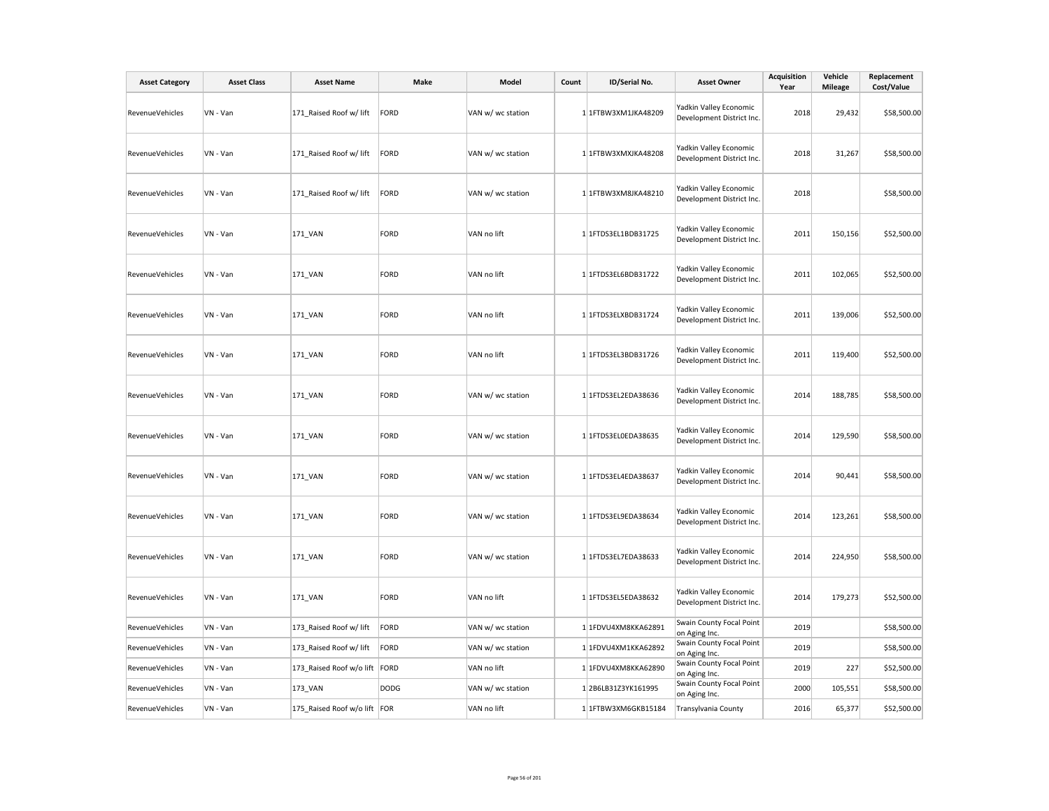| <b>Asset Category</b>  | <b>Asset Class</b> | <b>Asset Name</b>             | Make        | Model             | Count | ID/Serial No.       | <b>Asset Owner</b>                                  | <b>Acquisition</b><br>Year | Vehicle<br><b>Mileage</b> | Replacement<br>Cost/Value |
|------------------------|--------------------|-------------------------------|-------------|-------------------|-------|---------------------|-----------------------------------------------------|----------------------------|---------------------------|---------------------------|
| RevenueVehicles        | VN - Van           | 171_Raised Roof w/ lift       | FORD        | VAN w/ wc station |       | 1 1FTBW3XM1JKA48209 | Yadkin Valley Economic<br>Development District Inc. | 2018                       | 29,432                    | \$58,500.00               |
| RevenueVehicles        | VN - Van           | 171 Raised Roof w/ lift       | FORD        | VAN w/ wc station |       | 1 1FTBW3XMXJKA48208 | Yadkin Valley Economic<br>Development District Inc. | 2018                       | 31,267                    | \$58,500.00               |
| RevenueVehicles        | VN - Van           | 171 Raised Roof w/ lift       | FORD        | VAN w/ wc station |       | 1 1FTBW3XM8JKA48210 | Yadkin Valley Economic<br>Development District Inc. | 2018                       |                           | \$58,500.00               |
| RevenueVehicles        | VN - Van           | 171_VAN                       | FORD        | VAN no lift       |       | 1 1FTDS3EL1BDB31725 | Yadkin Valley Economic<br>Development District Inc. | 2011                       | 150,156                   | \$52,500.00               |
| RevenueVehicles        | VN - Van           | 171_VAN                       | FORD        | VAN no lift       |       | 1 1FTDS3EL6BDB31722 | Yadkin Valley Economic<br>Development District Inc. | 2011                       | 102,065                   | \$52,500.00               |
| RevenueVehicles        | VN - Van           | 171_VAN                       | FORD        | VAN no lift       |       | 1 1FTDS3ELXBDB31724 | Yadkin Valley Economic<br>Development District Inc. | 2011                       | 139,006                   | \$52,500.00               |
| RevenueVehicles        | VN - Van           | 171_VAN                       | FORD        | VAN no lift       |       | 1 1FTDS3EL3BDB31726 | Yadkin Valley Economic<br>Development District Inc. | 2011                       | 119,400                   | \$52,500.00               |
| RevenueVehicles        | VN - Van           | 171_VAN                       | FORD        | VAN w/ wc station |       | 1 1FTDS3EL2EDA38636 | Yadkin Valley Economic<br>Development District Inc. | 2014                       | 188,785                   | \$58,500.00               |
| RevenueVehicles        | VN - Van           | 171_VAN                       | FORD        | VAN w/ wc station |       | 1 1FTDS3EL0EDA38635 | Yadkin Valley Economic<br>Development District Inc. | 2014                       | 129,590                   | \$58,500.00               |
| RevenueVehicles        | VN - Van           | 171_VAN                       | FORD        | VAN w/ wc station |       | 1 1FTDS3EL4EDA38637 | Yadkin Valley Economic<br>Development District Inc. | 2014                       | 90,441                    | \$58,500.00               |
| <b>RevenueVehicles</b> | VN - Van           | 171_VAN                       | FORD        | VAN w/ wc station |       | 1 1FTDS3EL9EDA38634 | Yadkin Valley Economic<br>Development District Inc. | 2014                       | 123,261                   | \$58,500.00               |
| RevenueVehicles        | VN - Van           | 171_VAN                       | FORD        | VAN w/ wc station |       | 1 1FTDS3EL7EDA38633 | Yadkin Valley Economic<br>Development District Inc. | 2014                       | 224,950                   | \$58,500.00               |
| RevenueVehicles        | VN - Van           | 171_VAN                       | FORD        | VAN no lift       |       | 1 1FTDS3EL5EDA38632 | Yadkin Valley Economic<br>Development District Inc. | 2014                       | 179,273                   | \$52,500.00               |
| RevenueVehicles        | VN - Van           | 173 Raised Roof w/ lift       | FORD        | VAN w/ wc station |       | 1 1FDVU4XM8KKA62891 | Swain County Focal Point<br>on Aging Inc.           | 2019                       |                           | \$58,500.00               |
| RevenueVehicles        | VN - Van           | 173_Raised Roof w/ lift       | FORD        | VAN w/ wc station |       | 1 1FDVU4XM1KKA62892 | Swain County Focal Point<br>on Aging Inc.           | 2019                       |                           | \$58,500.00               |
| RevenueVehicles        | VN - Van           | 173_Raised Roof w/o lift FORD |             | VAN no lift       |       | 1 1FDVU4XM8KKA62890 | Swain County Focal Point<br>on Aging Inc.           | 2019                       | 227                       | \$52,500.00               |
| RevenueVehicles        | VN - Van           | 173_VAN                       | <b>DODG</b> | VAN w/ wc station |       | 12B6LB31Z3YK161995  | Swain County Focal Point<br>on Aging Inc.           | 2000                       | 105,551                   | \$58,500.00               |
| <b>RevenueVehicles</b> | VN - Van           | 175 Raised Roof w/o lift FOR  |             | VAN no lift       |       | 1 1FTBW3XM6GKB15184 | Transylvania County                                 | 2016                       | 65,377                    | \$52,500.00               |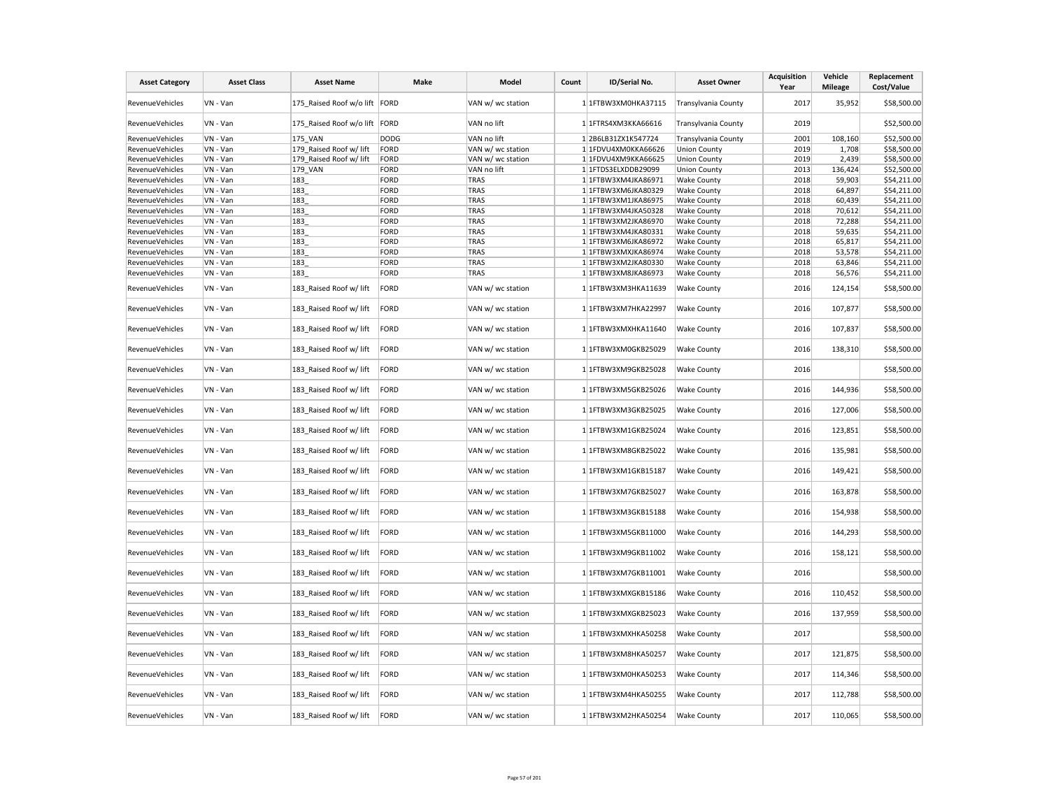| <b>Asset Category</b>  | <b>Asset Class</b> | <b>Asset Name</b>             | Make        | Model             | Count | ID/Serial No.       | <b>Asset Owner</b>  | <b>Acquisition</b><br>Year | Vehicle<br><b>Mileage</b> | Replacement<br>Cost/Value |
|------------------------|--------------------|-------------------------------|-------------|-------------------|-------|---------------------|---------------------|----------------------------|---------------------------|---------------------------|
| RevenueVehicles        | VN - Van           | 175 Raised Roof w/o lift FORD |             | VAN w/ wc station |       | 1 1FTBW3XM0HKA37115 | Transylvania County | 2017                       | 35,952                    | \$58,500.00               |
| RevenueVehicles        | VN - Van           | 175_Raised Roof w/o lift FORD |             | VAN no lift       |       | 1 1FTRS4XM3KKA66616 | Transylvania County | 2019                       |                           | \$52,500.00               |
| RevenueVehicles        | VN - Van           | 175 VAN                       | <b>DODG</b> | VAN no lift       |       | 12B6LB31ZX1K547724  | Transylvania County | 2001                       | 108,160                   | \$52,500.00               |
| RevenueVehicles        | VN - Van           | 179 Raised Roof w/ lift       | FORD        | VAN w/ wc station |       | 1 1FDVU4XM0KKA66626 | <b>Union County</b> | 2019                       | 1,708                     | \$58,500.00               |
| RevenueVehicles        | VN - Van           | 179 Raised Roof w/ lift       | FORD        | VAN w/ wc station |       | 1 1FDVU4XM9KKA66625 | <b>Union County</b> | 2019                       | 2,439                     | \$58,500.00               |
| <b>RevenueVehicles</b> | VN - Van           | 179 VAN                       | FORD        | VAN no lift       |       | 1 1FTDS3ELXDDB29099 | <b>Union County</b> | 2013                       | 136,424                   | \$52,500.00               |
| RevenueVehicles        | VN - Van           | 183                           | <b>FORD</b> | TRAS              |       | 1 1FTBW3XM4JKA86971 | <b>Wake County</b>  | 2018                       | 59,903                    | \$54,211.00               |
| RevenueVehicles        | VN - Van           | 183                           | FORD        | <b>TRAS</b>       |       | 1 1FTBW3XM6JKA80329 | <b>Wake County</b>  | 2018                       | 64,897                    | \$54,211.00               |
| <b>RevenueVehicles</b> | VN - Van           | 183                           | FORD        | <b>TRAS</b>       |       | 1 1FTBW3XM1JKA86975 | <b>Wake County</b>  | 2018                       | 60,439                    | \$54,211.00               |
| RevenueVehicles        | VN - Van           | 183                           | FORD        | <b>TRAS</b>       |       | 1 1FTBW3XM4JKA50328 | <b>Wake County</b>  | 2018                       | 70,612                    | \$54,211.00               |
| <b>RevenueVehicles</b> | VN - Van           | 183                           | FORD        | <b>TRAS</b>       |       | 1 1FTBW3XM2JKA86970 | <b>Wake County</b>  | 2018                       | 72,288                    | \$54,211.00               |
| RevenueVehicles        | VN - Van           | 183                           | FORD        | <b>TRAS</b>       |       | 1 1FTBW3XM4JKA80331 | <b>Wake County</b>  | 2018                       | 59,635                    | \$54,211.00               |
| RevenueVehicles        | VN - Van           | 183                           | FORD        | <b>TRAS</b>       |       | 1 1FTBW3XM6JKA86972 | <b>Wake County</b>  | 2018                       | 65,817                    | \$54,211.00               |
| RevenueVehicles        | VN - Van           | 183                           | FORD        | <b>TRAS</b>       |       | 1 1FTBW3XMXJKA86974 | <b>Wake County</b>  | 2018                       | 53,578                    | \$54,211.00               |
| RevenueVehicles        | VN - Van           | 183                           | FORD        | <b>TRAS</b>       |       | 1 1FTBW3XM2JKA80330 | <b>Wake County</b>  | 2018                       | 63,846                    | \$54,211.00               |
|                        |                    |                               |             |                   |       |                     |                     |                            |                           |                           |
| RevenueVehicles        | VN - Van           | 183                           | FORD        | <b>TRAS</b>       |       | 1 1FTBW3XM8JKA86973 | <b>Wake County</b>  | 2018                       | 56,576                    | \$54,211.00               |
| RevenueVehicles        | VN - Van           | 183 Raised Roof w/ lift       | FORD        | VAN w/ wc station |       | 1 1FTBW3XM3HKA11639 | Wake County         | 2016                       | 124,154                   | \$58,500.00               |
| RevenueVehicles        | VN - Van           | 183_Raised Roof w/ lift       | FORD        | VAN w/ wc station |       | 1 1FTBW3XM7HKA22997 | <b>Wake County</b>  | 2016                       | 107,877                   | \$58,500.00               |
| RevenueVehicles        | VN - Van           | 183 Raised Roof w/ lift       | FORD        | VAN w/ wc station |       | 1 1FTBW3XMXHKA11640 | <b>Wake County</b>  | 2016                       | 107,837                   | \$58,500.00               |
| RevenueVehicles        | VN - Van           | 183_Raised Roof w/ lift       | FORD        | VAN w/ wc station |       | 1 1FTBW3XM0GKB25029 | Wake County         | 2016                       | 138,310                   | \$58,500.00               |
| RevenueVehicles        | VN - Van           | 183 Raised Roof w/ lift       | FORD        | VAN w/ wc station |       | 1 1FTBW3XM9GKB25028 | <b>Wake County</b>  | 2016                       |                           | \$58,500.00               |
| RevenueVehicles        | VN - Van           | 183 Raised Roof w/ lift       | FORD        | VAN w/ wc station |       | 1 1FTBW3XM5GKB25026 | <b>Wake County</b>  | 2016                       | 144,936                   | \$58,500.00               |
| RevenueVehicles        | VN - Van           | 183_Raised Roof w/ lift       | FORD        | VAN w/ wc station |       | 1 1FTBW3XM3GKB25025 | <b>Wake County</b>  | 2016                       | 127,006                   | \$58,500.00               |
| <b>RevenueVehicles</b> | VN - Van           | 183 Raised Roof w/ lift       | FORD        | VAN w/ wc station |       | 1 1FTBW3XM1GKB25024 | <b>Wake County</b>  | 2016                       | 123,851                   | \$58,500.00               |
| RevenueVehicles        | VN - Van           | 183 Raised Roof w/ lift       | FORD        | VAN w/ wc station |       | 1 1FTBW3XM8GKB25022 | <b>Wake County</b>  | 2016                       | 135,981                   | \$58,500.00               |
| RevenueVehicles        | VN - Van           | 183_Raised Roof w/ lift       | FORD        | VAN w/ wc station |       | 1 1FTBW3XM1GKB15187 | <b>Wake County</b>  | 2016                       | 149,421                   | \$58,500.00               |
| RevenueVehicles        | VN - Van           | 183 Raised Roof w/ lift       | FORD        | VAN w/ wc station |       | 1 1FTBW3XM7GKB25027 | <b>Wake County</b>  | 2016                       | 163,878                   | \$58,500.00               |
| RevenueVehicles        | VN - Van           | 183 Raised Roof w/ lift       | FORD        | VAN w/ wc station |       | 1 1FTBW3XM3GKB15188 | <b>Wake County</b>  | 2016                       | 154,938                   | \$58,500.00               |
| RevenueVehicles        | VN - Van           | 183 Raised Roof w/ lift       | FORD        | VAN w/ wc station |       | 1 1FTBW3XM5GKB11000 | Wake County         | 2016                       | 144,293                   | \$58,500.00               |
| <b>RevenueVehicles</b> | VN - Van           | 183_Raised Roof w/ lift       | FORD        | VAN w/ wc station |       | 1 1FTBW3XM9GKB11002 | <b>Wake County</b>  | 2016                       | 158,121                   | \$58,500.00               |
| RevenueVehicles        | VN - Van           | 183 Raised Roof w/ lift       | FORD        | VAN w/ wc station |       | 1 1FTBW3XM7GKB11001 | <b>Wake County</b>  | 2016                       |                           | \$58,500.00               |
| RevenueVehicles        | VN - Van           | 183 Raised Roof w/ lift       | FORD        | VAN w/ wc station |       | 1 1FTBW3XMXGKB15186 | <b>Wake County</b>  | 2016                       | 110,452                   | \$58,500.00               |
| RevenueVehicles        | VN - Van           | 183_Raised Roof w/ lift       | FORD        | VAN w/ wc station |       | 1 1FTBW3XMXGKB25023 | <b>Wake County</b>  | 2016                       | 137,959                   | \$58,500.00               |
| RevenueVehicles        | VN - Van           | 183 Raised Roof w/ lift       | FORD        | VAN w/ wc station |       | 1 1FTBW3XMXHKA50258 | <b>Wake County</b>  | 2017                       |                           | \$58,500.00               |
| <b>RevenueVehicles</b> | VN - Van           | 183_Raised Roof w/ lift       | FORD        | VAN w/ wc station |       | 1 1FTBW3XM8HKA50257 | Wake County         | 2017                       | 121,875                   | \$58,500.00               |
| RevenueVehicles        | VN - Van           | 183_Raised Roof w/ lift       | FORD        | VAN w/ wc station |       | 1 1FTBW3XM0HKA50253 | <b>Wake County</b>  | 2017                       | 114,346                   | \$58,500.00               |
| RevenueVehicles        | VN - Van           | 183 Raised Roof w/ lift       | FORD        | VAN w/ wc station |       | 1 1FTBW3XM4HKA50255 | <b>Wake County</b>  | 2017                       | 112,788                   | \$58,500.00               |
| RevenueVehicles        | VN - Van           | 183 Raised Roof w/ lift       | FORD        | VAN w/ wc station |       | 1 1FTBW3XM2HKA50254 | <b>Wake County</b>  | 2017                       | 110,065                   | \$58,500.00               |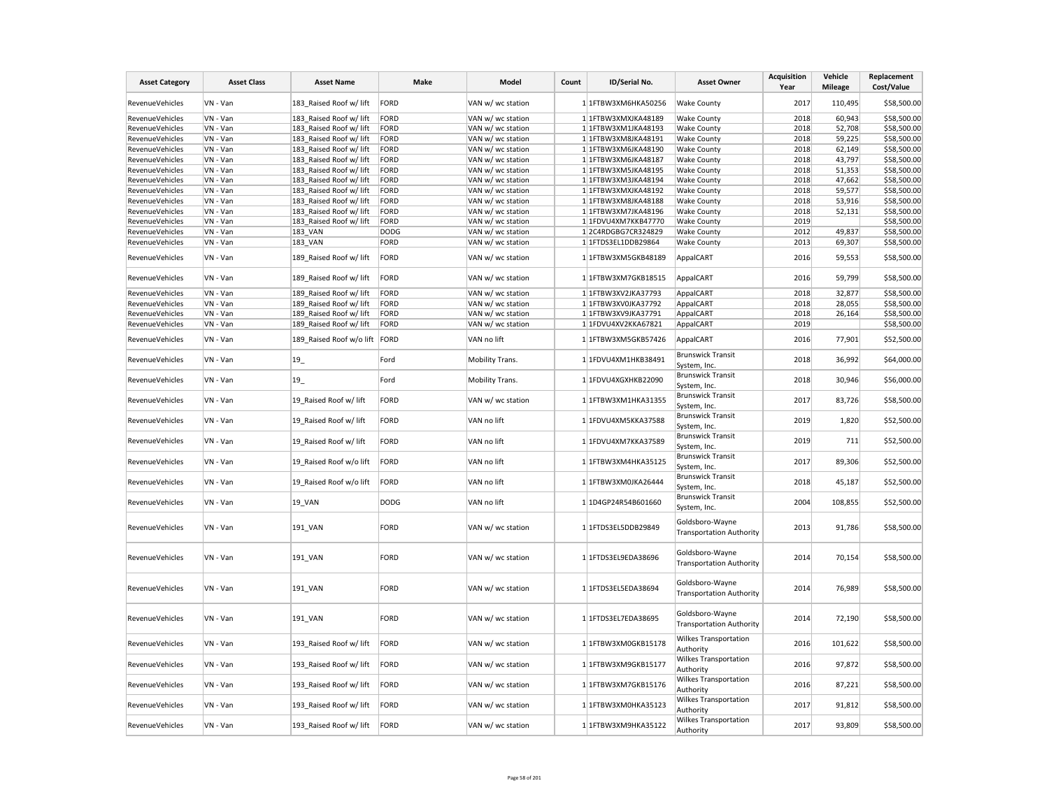| <b>Asset Category</b>  | <b>Asset Class</b> | <b>Asset Name</b>             | Make        | Model             | Count | ID/Serial No.       | <b>Asset Owner</b>                                 | <b>Acquisition</b><br>Year | Vehicle<br><b>Mileage</b> | Replacement<br>Cost/Value |
|------------------------|--------------------|-------------------------------|-------------|-------------------|-------|---------------------|----------------------------------------------------|----------------------------|---------------------------|---------------------------|
| RevenueVehicles        | VN - Van           | 183 Raised Roof w/ lift       | FORD        | VAN w/ wc station |       | 1 1FTBW3XM6HKA50256 | <b>Wake County</b>                                 | 2017                       | 110,495                   | \$58,500.00               |
| RevenueVehicles        | VN - Van           | 183 Raised Roof w/ lift       | FORD        | VAN w/ wc station |       | 1 1FTBW3XMXJKA48189 | <b>Wake County</b>                                 | 2018                       | 60,943                    | \$58,500.00               |
| RevenueVehicles        | VN - Van           | 183 Raised Roof w/ lift       | FORD        | VAN w/ wc station |       | 1 1FTBW3XM1JKA48193 | <b>Wake County</b>                                 | 2018                       | 52,708                    | \$58,500.00               |
| RevenueVehicles        | VN - Van           | 183 Raised Roof w/ lift       | FORD        | VAN w/ wc station |       | 1 1FTBW3XM8JKA48191 | <b>Wake County</b>                                 | 2018                       | 59,225                    | \$58,500.00               |
| RevenueVehicles        | VN - Van           | 183 Raised Roof w/ lift       | FORD        | VAN w/ wc station |       | 1 1FTBW3XM6JKA48190 | <b>Wake County</b>                                 | 2018                       | 62,149                    | \$58,500.00               |
| RevenueVehicles        | VN - Van           | 183 Raised Roof w/ lift       | FORD        | VAN w/ wc station |       | 1 1FTBW3XM6JKA48187 | <b>Wake County</b>                                 | 2018                       | 43,797                    | \$58,500.00               |
| RevenueVehicles        | VN - Van           | 183 Raised Roof w/ lift       | FORD        | VAN w/ wc station |       | 1 1FTBW3XM5JKA48195 | <b>Wake County</b>                                 | 2018                       | 51,353                    | \$58,500.00               |
| <b>RevenueVehicles</b> | VN - Van           | 183 Raised Roof w/ lift       | FORD        | VAN w/ wc station |       | 1 1FTBW3XM3JKA48194 | <b>Wake County</b>                                 | 2018                       | 47,662                    | \$58,500.00               |
| RevenueVehicles        | VN - Van           | 183 Raised Roof w/ lift       | FORD        | VAN w/ wc station |       | 1 1FTBW3XMXJKA48192 | <b>Wake County</b>                                 | 2018                       | 59,577                    | \$58,500.00               |
| RevenueVehicles        | VN - Van           | 183 Raised Roof w/ lift       | FORD        | VAN w/ wc station |       | 1 1FTBW3XM8JKA48188 | <b>Wake County</b>                                 | 2018                       | 53,916                    | \$58,500.00               |
| RevenueVehicles        | VN - Van           | 183 Raised Roof w/ lift       | FORD        | VAN w/ wc station |       | 1 1FTBW3XM7JKA48196 | <b>Wake County</b>                                 | 2018                       | 52,131                    | \$58,500.00               |
|                        |                    |                               |             |                   |       |                     |                                                    | 2019                       |                           |                           |
| RevenueVehicles        | VN - Van           | 183 Raised Roof w/ lift       | FORD        | VAN w/ wc station |       | 1 1FDVU4XM7KKB47770 | <b>Wake County</b>                                 |                            |                           | \$58,500.00               |
| RevenueVehicles        | VN - Van           | 183 VAN                       | <b>DODG</b> | VAN w/ wc station |       | 1 2C4RDGBG7CR324829 | <b>Wake County</b>                                 | 2012                       | 49,837                    | \$58,500.00               |
| RevenueVehicles        | VN - Van           | 183 VAN                       | FORD        | VAN w/ wc station |       | 1 1FTDS3EL1DDB29864 | <b>Wake County</b>                                 | 2013                       | 69,307                    | \$58,500.00               |
| RevenueVehicles        | VN - Van           | 189 Raised Roof w/ lift       | FORD        | VAN w/ wc station |       | 1 1FTBW3XM5GKB48189 | AppalCART                                          | 2016                       | 59,553                    | \$58,500.00               |
| RevenueVehicles        | VN - Van           | 189_Raised Roof w/ lift       | FORD        | VAN w/ wc station |       | 1 1FTBW3XM7GKB18515 | AppalCART                                          | 2016                       | 59,799                    | \$58,500.00               |
| RevenueVehicles        | VN - Van           | 189 Raised Roof w/ lift       | FORD        | VAN w/ wc station |       | 1 1FTBW3XV2JKA37793 | AppalCART                                          | 2018                       | 32,877                    | \$58,500.00               |
| RevenueVehicles        | VN - Van           | 189 Raised Roof w/ lift       | FORD        | VAN w/ wc station |       | 1 1FTBW3XV0JKA37792 | AppalCART                                          | 2018                       | 28,055                    | \$58,500.00               |
| RevenueVehicles        | VN - Van           | 189 Raised Roof w/ lift       | FORD        | VAN w/ wc station |       | 1 1FTBW3XV9JKA37791 | AppalCART                                          | 2018                       | 26,164                    | \$58,500.00               |
| RevenueVehicles        | VN - Van           | 189 Raised Roof w/ lift       | FORD        | VAN w/ wc station |       | 1 1FDVU4XV2KKA67821 | AppalCART                                          | 2019                       |                           | \$58,500.00               |
| RevenueVehicles        | VN - Van           | 189_Raised Roof w/o lift FORD |             | VAN no lift       |       | 1 1FTBW3XM5GKB57426 | AppalCART                                          | 2016                       | 77,901                    | \$52,500.00               |
| RevenueVehicles        | VN - Van           | 19_                           | Ford        | Mobility Trans.   |       | 1 1FDVU4XM1HKB38491 | <b>Brunswick Transit</b><br>System, Inc.           | 2018                       | 36,992                    | \$64,000.00               |
| <b>RevenueVehicles</b> | VN - Van           | 19                            | Ford        | Mobility Trans.   |       | 1 1FDVU4XGXHKB22090 | <b>Brunswick Transit</b><br>System, Inc.           | 2018                       | 30,946                    | \$56,000.00               |
| RevenueVehicles        | VN - Van           | 19 Raised Roof w/ lift        | FORD        | VAN w/ wc station |       | 1 1FTBW3XM1HKA31355 | <b>Brunswick Transit</b><br>System, Inc.           | 2017                       | 83,726                    | \$58,500.00               |
| RevenueVehicles        | VN - Van           | 19_Raised Roof w/ lift        | FORD        | VAN no lift       |       | 1 1FDVU4XM5KKA37588 | <b>Brunswick Transit</b><br>System, Inc.           | 2019                       | 1,820                     | \$52,500.00               |
| RevenueVehicles        | VN - Van           | 19 Raised Roof w/ lift        | FORD        | VAN no lift       |       | 1 1FDVU4XM7KKA37589 | <b>Brunswick Transit</b><br>System, Inc.           | 2019                       | 711                       | \$52,500.00               |
| <b>RevenueVehicles</b> | VN - Van           | 19 Raised Roof w/o lift       | FORD        | VAN no lift       |       | 1 1FTBW3XM4HKA35125 | <b>Brunswick Transit</b><br>System, Inc.           | 2017                       | 89,306                    | \$52,500.00               |
| <b>RevenueVehicles</b> | VN - Van           | 19 Raised Roof w/o lift       | FORD        | VAN no lift       |       | 1 1FTBW3XM0JKA26444 | <b>Brunswick Transit</b><br>System, Inc.           | 2018                       | 45,187                    | \$52,500.00               |
| RevenueVehicles        | VN - Van           | 19 VAN                        | <b>DODG</b> | VAN no lift       |       | 1 1D4GP24R54B601660 | <b>Brunswick Transit</b><br>System, Inc.           | 2004                       | 108,855                   | \$52,500.00               |
| RevenueVehicles        | VN - Van           | 191_VAN                       | FORD        | VAN w/ wc station |       | 1 1FTDS3EL5DDB29849 | Goldsboro-Wayne<br><b>Transportation Authority</b> | 2013                       | 91,786                    | \$58,500.00               |
| <b>RevenueVehicles</b> | VN - Van           | 191_VAN                       | FORD        | VAN w/ wc station |       | 1 1FTDS3EL9EDA38696 | Goldsboro-Wayne<br><b>Transportation Authority</b> | 2014                       | 70,154                    | \$58,500.00               |
| RevenueVehicles        | VN - Van           | 191_VAN                       | FORD        | VAN w/ wc station |       | 1 1FTDS3EL5EDA38694 | Goldsboro-Wayne<br><b>Transportation Authority</b> | 2014                       | 76,989                    | \$58,500.00               |
| RevenueVehicles        | VN - Van           | 191_VAN                       | FORD        | VAN w/ wc station |       | 1 1FTDS3EL7EDA38695 | Goldsboro-Wayne<br><b>Transportation Authority</b> | 2014                       | 72,190                    | \$58,500.00               |
| <b>RevenueVehicles</b> | VN - Van           | 193 Raised Roof w/ lift       | FORD        | VAN w/ wc station |       | 1 1FTBW3XM0GKB15178 | Wilkes Transportation<br>Authority                 | 2016                       | 101,622                   | \$58,500.00               |
| RevenueVehicles        | VN - Van           | 193 Raised Roof w/ lift       | FORD        | VAN w/ wc station |       | 1 1FTBW3XM9GKB15177 | Wilkes Transportation<br>Authority                 | 2016                       | 97,872                    | \$58,500.00               |
| RevenueVehicles        | VN - Van           | 193 Raised Roof w/ lift       | FORD        | VAN w/ wc station |       | 1 1FTBW3XM7GKB15176 | Wilkes Transportation<br>Authority                 | 2016                       | 87,221                    | \$58,500.00               |
| RevenueVehicles        | VN - Van           | 193 Raised Roof w/ lift       | FORD        | VAN w/ wc station |       | 1 1FTBW3XM0HKA35123 | Wilkes Transportation<br>Authority                 | 2017                       | 91,812                    | \$58,500.00               |
| <b>RevenueVehicles</b> | VN - Van           | 193 Raised Roof w/ lift       | FORD        | VAN w/ wc station |       | 1 1FTBW3XM9HKA35122 | Wilkes Transportation<br>Authority                 | 2017                       | 93,809                    | \$58,500.00               |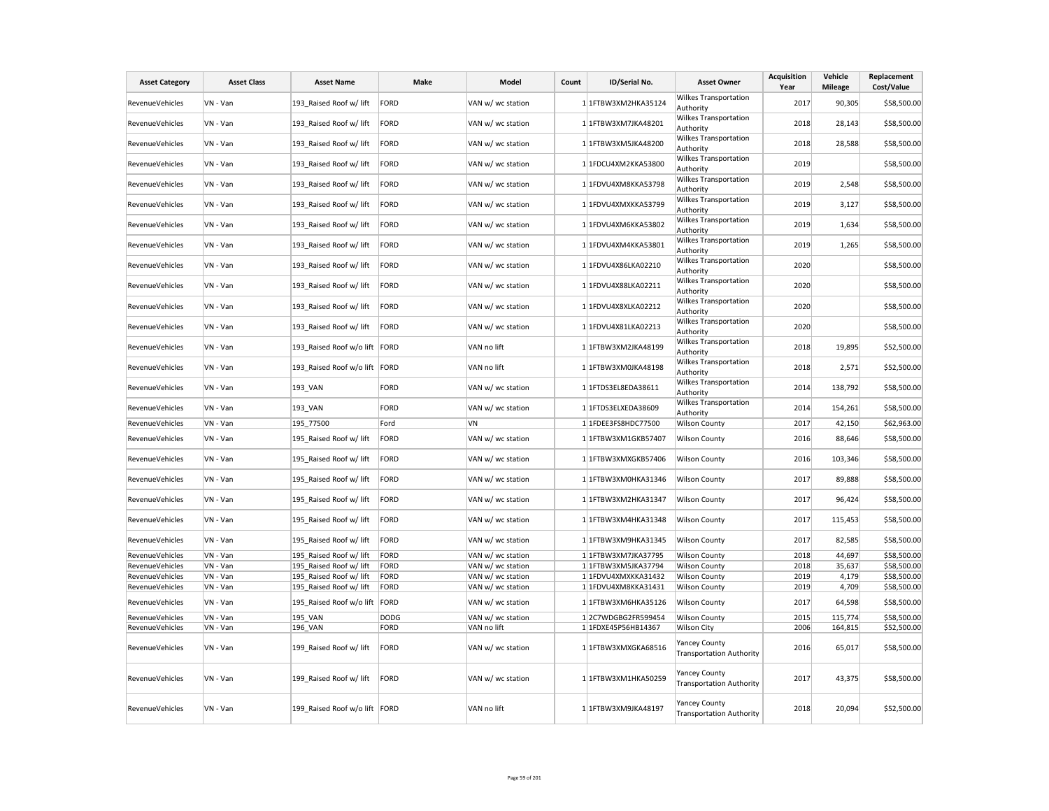| <b>Asset Category</b>  | <b>Asset Class</b> | <b>Asset Name</b>             | <b>Make</b> | Model             | Count | ID/Serial No.       | <b>Asset Owner</b>                                      | <b>Acquisition</b><br>Year | Vehicle<br><b>Mileage</b> | Replacement<br>Cost/Value |
|------------------------|--------------------|-------------------------------|-------------|-------------------|-------|---------------------|---------------------------------------------------------|----------------------------|---------------------------|---------------------------|
| <b>RevenueVehicles</b> | VN - Van           | 193 Raised Roof w/ lift       | <b>FORD</b> | VAN w/ wc station |       | 1 1FTBW3XM2HKA35124 | Wilkes Transportation<br>Authority                      | 2017                       | 90,305                    | \$58,500.00               |
| <b>RevenueVehicles</b> | VN - Van           | 193 Raised Roof w/ lift       | FORD        | VAN w/ wc station |       | 1 1FTBW3XM7JKA48201 | Wilkes Transportation<br>Authority                      | 2018                       | 28,143                    | \$58,500.00               |
| RevenueVehicles        | VN - Van           | 193 Raised Roof w/ lift       | <b>FORD</b> | VAN w/ wc station |       | 1 1FTBW3XM5JKA48200 | Wilkes Transportation<br>Authority                      | 2018                       | 28,588                    | \$58,500.00               |
| RevenueVehicles        | VN - Van           | 193 Raised Roof w/ lift       | FORD        | VAN w/ wc station |       | 1 1FDCU4XM2KKA53800 | Wilkes Transportation<br>Authority                      | 2019                       |                           | \$58,500.00               |
| RevenueVehicles        | VN - Van           | 193 Raised Roof w/ lift       | FORD        | VAN w/ wc station |       | 1 1FDVU4XM8KKA53798 | Wilkes Transportation<br>Authority                      | 2019                       | 2,548                     | \$58,500.00               |
| RevenueVehicles        | VN - Van           | 193 Raised Roof w/ lift       | <b>FORD</b> | VAN w/ wc station |       | 1 1FDVU4XMXKKA53799 | Wilkes Transportation<br>Authority                      | 2019                       | 3,127                     | \$58,500.00               |
| RevenueVehicles        | VN - Van           | 193_Raised Roof w/ lift       | FORD        | VAN w/ wc station |       | 1 1FDVU4XM6KKA53802 | Wilkes Transportation<br>Authority                      | 2019                       | 1,634                     | \$58,500.00               |
| <b>RevenueVehicles</b> | VN - Van           | 193 Raised Roof w/ lift       | FORD        | VAN w/ wc station |       | 1 1FDVU4XM4KKA53801 | Wilkes Transportation<br>Authority                      | 2019                       | 1,265                     | \$58,500.00               |
| RevenueVehicles        | VN - Van           | 193 Raised Roof w/ lift       | FORD        | VAN w/ wc station |       | 1 1FDVU4X86LKA02210 | Wilkes Transportation<br>Authority                      | 2020                       |                           | \$58,500.00               |
| RevenueVehicles        | VN - Van           | 193 Raised Roof w/ lift       | FORD        | VAN w/ wc station |       | 1 1FDVU4X88LKA02211 | Wilkes Transportation<br>Authority                      | 2020                       |                           | \$58,500.00               |
| <b>RevenueVehicles</b> | VN - Van           | 193 Raised Roof w/ lift       | FORD        | VAN w/ wc station |       | 1 1FDVU4X8XLKA02212 | Wilkes Transportation<br>Authority                      | 2020                       |                           | \$58,500.00               |
| RevenueVehicles        | VN - Van           | 193_Raised Roof w/ lift       | FORD        | VAN w/ wc station |       | 1 1FDVU4X81LKA02213 | Wilkes Transportation<br>Authority                      | 2020                       |                           | \$58,500.00               |
| RevenueVehicles        | VN - Van           | 193_Raised Roof w/o lift      | FORD        | VAN no lift       |       | 1 1FTBW3XM2JKA48199 | Wilkes Transportation<br>Authority                      | 2018                       | 19,895                    | \$52,500.00               |
| RevenueVehicles        | VN - Van           | 193 Raised Roof w/o lift      | FORD        | VAN no lift       |       | 1 1FTBW3XM0JKA48198 | Wilkes Transportation<br>Authority                      | 2018                       | 2,571                     | \$52,500.00               |
| RevenueVehicles        | VN - Van           | 193 VAN                       | <b>FORD</b> | VAN w/ wc station |       | 1 1FTDS3EL8EDA38611 | Wilkes Transportation<br>Authority                      | 2014                       | 138,792                   | \$58,500.00               |
| RevenueVehicles        | VN - Van           | 193 VAN                       | <b>FORD</b> | VAN w/ wc station |       | 1 1FTDS3ELXEDA38609 | Wilkes Transportation<br>Authority                      | 2014                       | 154,261                   | \$58,500.00               |
| RevenueVehicles        | VN - Van           | 195 77500                     | Ford        | VN                |       | 1 1FDEE3FS8HDC77500 | <b>Wilson County</b>                                    | 2017                       | 42,150                    | \$62,963.00               |
| RevenueVehicles        | VN - Van           | 195 Raised Roof w/ lift       | FORD        | VAN w/ wc station |       | 1 1FTBW3XM1GKB57407 | <b>Wilson County</b>                                    | 2016                       | 88,646                    | \$58,500.00               |
| RevenueVehicles        | VN - Van           | 195 Raised Roof w/ lift       | FORD        | VAN w/ wc station |       | 1 1FTBW3XMXGKB57406 | Wilson County                                           | 2016                       | 103,346                   | \$58,500.00               |
| RevenueVehicles        | VN - Van           | 195 Raised Roof w/ lift       | FORD        | VAN w/ wc station |       | 1 1FTBW3XM0HKA31346 | <b>Wilson County</b>                                    | 2017                       | 89,888                    | \$58,500.00               |
| RevenueVehicles        | VN - Van           | 195_Raised Roof w/ lift       | FORD        | VAN w/ wc station |       | 1 1FTBW3XM2HKA31347 | Wilson County                                           | 2017                       | 96,424                    | \$58,500.00               |
| RevenueVehicles        | VN - Van           | 195 Raised Roof w/ lift       | <b>FORD</b> | VAN w/ wc station |       | 1 1FTBW3XM4HKA31348 | <b>Wilson County</b>                                    | 2017                       | 115,453                   | \$58,500.00               |
| RevenueVehicles        | VN - Van           | 195_Raised Roof w/ lift       | <b>FORD</b> | VAN w/ wc station |       | 1 1FTBW3XM9HKA31345 | <b>Wilson County</b>                                    | 2017                       | 82,585                    | \$58,500.00               |
| RevenueVehicles        | VN - Van           | 195 Raised Roof w/ lift       | <b>FORD</b> | VAN w/ wc station |       | 1 1FTBW3XM7JKA37795 | <b>Wilson County</b>                                    | 2018                       | 44,697                    | \$58,500.00               |
| RevenueVehicles        | VN - Van           | 195 Raised Roof w/ lift       | FORD        | VAN w/ wc station |       | 1 1FTBW3XM5JKA37794 | <b>Wilson County</b>                                    | 2018                       | 35,637                    | \$58,500.00               |
| RevenueVehicles        | VN - Van           | 195 Raised Roof w/ lift       | <b>FORD</b> | VAN w/ wc station |       | 1 1FDVU4XMXKKA31432 | <b>Wilson County</b>                                    | 2019                       | 4,179                     | \$58,500.00               |
| RevenueVehicles        | VN - Van           | 195 Raised Roof w/ lift       | <b>FORD</b> | VAN w/ wc station |       | 1 1FDVU4XM8KKA31431 | <b>Wilson County</b>                                    | 2019                       | 4,709                     | \$58,500.00               |
| RevenueVehicles        | VN - Van           | 195 Raised Roof w/o lift      | FORD        | VAN w/ wc station |       | 1 1FTBW3XM6HKA35126 | <b>Wilson County</b>                                    | 2017                       | 64,598                    | \$58,500.00               |
| RevenueVehicles        | VN - Van           | 195 VAN                       | <b>DODG</b> | VAN w/ wc station |       | 12C7WDGBG2FR599454  | <b>Wilson County</b>                                    | 2015                       | 115,774                   | \$58,500.00               |
| RevenueVehicles        | VN - Van           | 196 VAN                       | <b>FORD</b> | VAN no lift       |       | 1 1FDXE45P56HB14367 | Wilson City                                             | 2006                       | 164,815                   | \$52,500.00               |
| RevenueVehicles        | VN - Van           | 199 Raised Roof w/ lift       | FORD        | VAN w/ wc station |       | 1 1FTBW3XMXGKA68516 | Yancey County<br><b>Transportation Authority</b>        | 2016                       | 65,017                    | \$58,500.00               |
| RevenueVehicles        | VN - Van           | 199_Raised Roof w/ lift       | <b>FORD</b> | VAN w/ wc station |       | 1 1FTBW3XM1HKA50259 | Yancey County<br><b>Transportation Authority</b>        | 2017                       | 43,375                    | \$58,500.00               |
| RevenueVehicles        | VN - Van           | 199 Raised Roof w/o lift FORD |             | VAN no lift       |       | 1 1FTBW3XM9JKA48197 | <b>Yancey County</b><br><b>Transportation Authority</b> | 2018                       | 20,094                    | \$52,500.00               |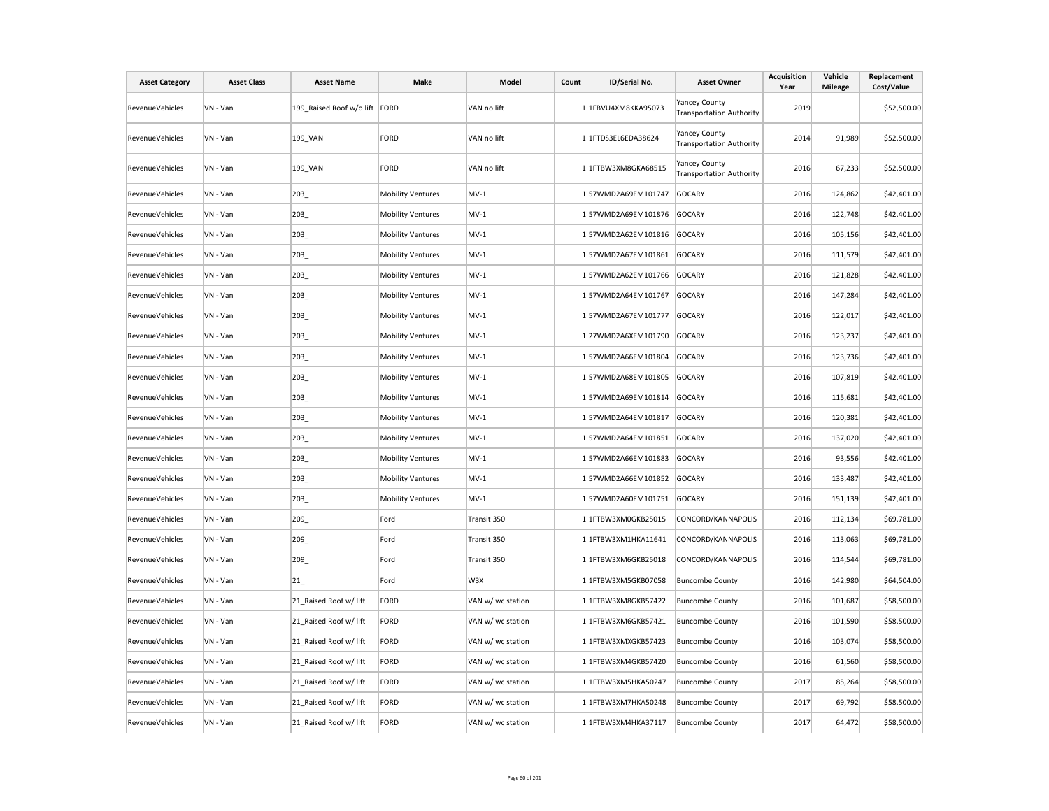| <b>Asset Category</b>  | <b>Asset Class</b> | <b>Asset Name</b>             | Make                     | Model             | Count | ID/Serial No.       | <b>Asset Owner</b>                                      | <b>Acquisition</b><br>Year | Vehicle<br><b>Mileage</b> | Replacement<br>Cost/Value |
|------------------------|--------------------|-------------------------------|--------------------------|-------------------|-------|---------------------|---------------------------------------------------------|----------------------------|---------------------------|---------------------------|
| RevenueVehicles        | VN - Van           | 199_Raised Roof w/o lift FORD |                          | VAN no lift       |       | 1 1FBVU4XM8KKA95073 | <b>Yancey County</b><br><b>Transportation Authority</b> | 2019                       |                           | \$52,500.00               |
| RevenueVehicles        | VN - Van           | 199_VAN                       | <b>FORD</b>              | VAN no lift       |       | 1 1FTDS3EL6EDA38624 | <b>Yancey County</b><br><b>Transportation Authority</b> | 2014                       | 91,989                    | \$52,500.00               |
| RevenueVehicles        | VN - Van           | 199_VAN                       | <b>FORD</b>              | VAN no lift       |       | 1 1FTBW3XM8GKA68515 | <b>Yancey County</b><br><b>Transportation Authority</b> | 2016                       | 67,233                    | \$52,500.00               |
| RevenueVehicles        | VN - Van           | 203_                          | <b>Mobility Ventures</b> | $MV-1$            |       | 157WMD2A69EM101747  | <b>GOCARY</b>                                           | 2016                       | 124,862                   | \$42,401.00               |
| RevenueVehicles        | VN - Van           | 203                           | <b>Mobility Ventures</b> | $MV-1$            |       | 157WMD2A69EM101876  | <b>GOCARY</b>                                           | 2016                       | 122,748                   | \$42,401.00               |
| RevenueVehicles        | VN - Van           | 203_                          | <b>Mobility Ventures</b> | $MV-1$            |       | 157WMD2A62EM101816  | <b>GOCARY</b>                                           | 2016                       | 105,156                   | \$42,401.00               |
| RevenueVehicles        | VN - Van           | 203                           | <b>Mobility Ventures</b> | $MV-1$            |       | 157WMD2A67EM101861  | <b>GOCARY</b>                                           | 2016                       | 111,579                   | \$42,401.00               |
| <b>RevenueVehicles</b> | VN - Van           | 203                           | <b>Mobility Ventures</b> | $MV-1$            |       | 157WMD2A62EM101766  | GOCARY                                                  | 2016                       | 121,828                   | \$42,401.00               |
| <b>RevenueVehicles</b> | VN - Van           | 203                           | <b>Mobility Ventures</b> | $MV-1$            |       | 157WMD2A64EM101767  | <b>GOCARY</b>                                           | 2016                       | 147,284                   | \$42,401.00               |
| <b>RevenueVehicles</b> | VN - Van           | 203                           | <b>Mobility Ventures</b> | $MV-1$            |       | 157WMD2A67EM101777  | <b>GOCARY</b>                                           | 2016                       | 122,017                   | \$42,401.00               |
| RevenueVehicles        | VN - Van           | 203                           | <b>Mobility Ventures</b> | $MV-1$            |       | 127WMD2A6XEM101790  | <b>GOCARY</b>                                           | 2016                       | 123,237                   | \$42,401.00               |
| RevenueVehicles        | VN - Van           | 203                           | <b>Mobility Ventures</b> | $MV-1$            |       | 157WMD2A66EM101804  | <b>GOCARY</b>                                           | 2016                       | 123,736                   | \$42,401.00               |
| RevenueVehicles        | VN - Van           | 203                           | <b>Mobility Ventures</b> | $MV-1$            |       | 157WMD2A68EM101805  | <b>GOCARY</b>                                           | 2016                       | 107,819                   | \$42,401.00               |
| <b>RevenueVehicles</b> | VN - Van           | 203_                          | <b>Mobility Ventures</b> | $MV-1$            |       | 157WMD2A69EM101814  | <b>GOCARY</b>                                           | 2016                       | 115,681                   | \$42,401.00               |
| RevenueVehicles        | VN - Van           | 203                           | <b>Mobility Ventures</b> | $MV-1$            |       | 157WMD2A64EM101817  | GOCARY                                                  | 2016                       | 120,381                   | \$42,401.00               |
| <b>RevenueVehicles</b> | VN - Van           | 203_                          | <b>Mobility Ventures</b> | $MV-1$            |       | 157WMD2A64EM101851  | <b>GOCARY</b>                                           | 2016                       | 137,020                   | \$42,401.00               |
| RevenueVehicles        | VN - Van           | 203                           | <b>Mobility Ventures</b> | $MV-1$            |       | 157WMD2A66EM101883  | <b>GOCARY</b>                                           | 2016                       | 93,556                    | \$42,401.00               |
| RevenueVehicles        | VN - Van           | 203                           | <b>Mobility Ventures</b> | $MV-1$            |       | 157WMD2A66EM101852  | <b>GOCARY</b>                                           | 2016                       | 133,487                   | \$42,401.00               |
| RevenueVehicles        | VN - Van           | 203_                          | <b>Mobility Ventures</b> | $MV-1$            |       | 157WMD2A60EM101751  | <b>GOCARY</b>                                           | 2016                       | 151,139                   | \$42,401.00               |
| <b>RevenueVehicles</b> | VN - Van           | 209                           | Ford                     | Transit 350       |       | 1 1FTBW3XM0GKB25015 | CONCORD/KANNAPOLIS                                      | 2016                       | 112,134                   | \$69,781.00               |
| RevenueVehicles        | VN - Van           | 209_                          | Ford                     | Transit 350       |       | 1 1FTBW3XM1HKA11641 | CONCORD/KANNAPOLIS                                      | 2016                       | 113,063                   | \$69,781.00               |
| RevenueVehicles        | VN - Van           | 209                           | Ford                     | Transit 350       |       | 1 1FTBW3XM6GKB25018 | CONCORD/KANNAPOLIS                                      | 2016                       | 114,544                   | \$69,781.00               |
| RevenueVehicles        | VN - Van           | 21                            | Ford                     | W3X               |       | 1 1FTBW3XM5GKB07058 | <b>Buncombe County</b>                                  | 2016                       | 142,980                   | \$64,504.00               |
| <b>RevenueVehicles</b> | VN - Van           | 21 Raised Roof w/ lift        | <b>FORD</b>              | VAN w/ wc station |       | 1 1FTBW3XM8GKB57422 | <b>Buncombe County</b>                                  | 2016                       | 101,687                   | \$58,500.00               |
| RevenueVehicles        | VN - Van           | 21 Raised Roof w/ lift        | <b>FORD</b>              | VAN w/ wc station |       | 1 1FTBW3XM6GKB57421 | <b>Buncombe County</b>                                  | 2016                       | 101,590                   | \$58,500.00               |
| RevenueVehicles        | VN - Van           | 21 Raised Roof w/ lift        | <b>FORD</b>              | VAN w/ wc station |       | 1 1FTBW3XMXGKB57423 | <b>Buncombe County</b>                                  | 2016                       | 103,074                   | \$58,500.00               |
| RevenueVehicles        | VN - Van           | 21 Raised Roof w/ lift        | <b>FORD</b>              | VAN w/ wc station |       | 1 1FTBW3XM4GKB57420 | <b>Buncombe County</b>                                  | 2016                       | 61,560                    | \$58,500.00               |
| RevenueVehicles        | VN - Van           | 21 Raised Roof w/ lift        | <b>FORD</b>              | VAN w/ wc station |       | 1 1FTBW3XM5HKA50247 | <b>Buncombe County</b>                                  | 2017                       | 85,264                    | \$58,500.00               |
| RevenueVehicles        | VN - Van           | 21 Raised Roof w/ lift        | <b>FORD</b>              | VAN w/ wc station |       | 1 1FTBW3XM7HKA50248 | <b>Buncombe County</b>                                  | 2017                       | 69,792                    | \$58,500.00               |
| RevenueVehicles        | VN - Van           | 21 Raised Roof w/ lift        | <b>FORD</b>              | VAN w/ wc station |       | 1 1FTBW3XM4HKA37117 | <b>Buncombe County</b>                                  | 2017                       | 64,472                    | \$58,500.00               |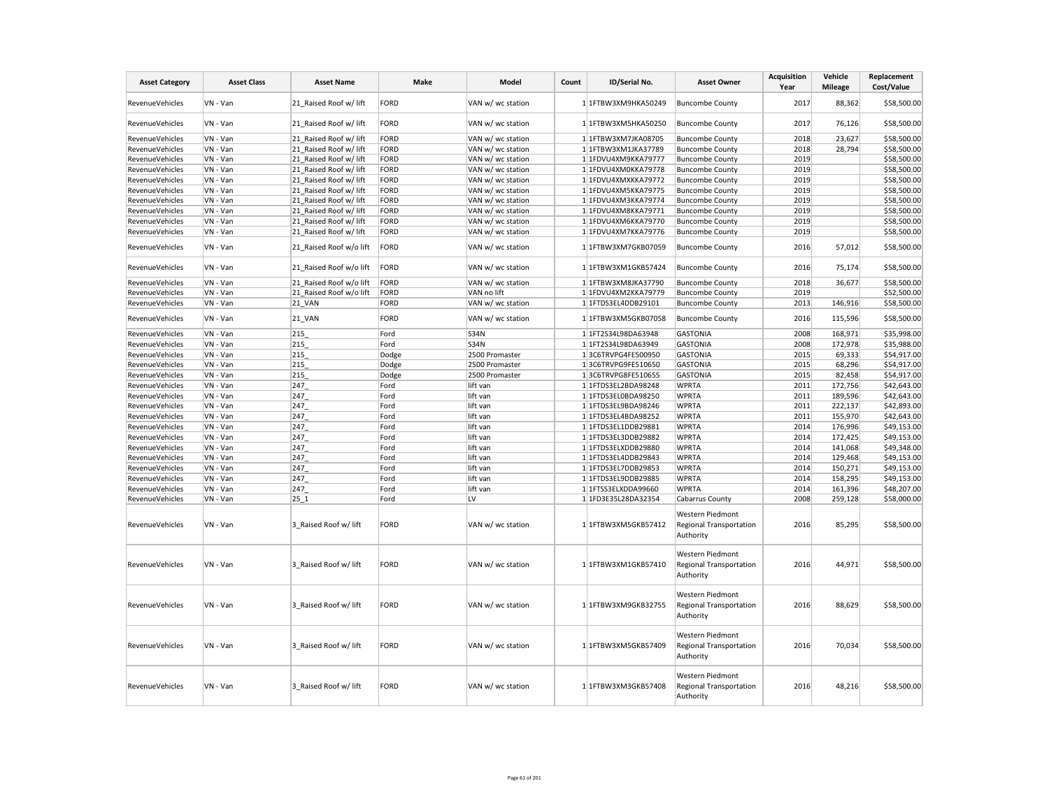| <b>Asset Category</b>  | <b>Asset Class</b> | <b>Asset Name</b>       | Make        | Model             | Count | ID/Serial No.        | <b>Asset Owner</b>                                              | <b>Acquisition</b><br>Year | Vehicle<br><b>Mileage</b> | Replacement<br>Cost/Value |
|------------------------|--------------------|-------------------------|-------------|-------------------|-------|----------------------|-----------------------------------------------------------------|----------------------------|---------------------------|---------------------------|
| RevenueVehicles        | VN - Van           | 21 Raised Roof w/ lift  | FORD        | VAN w/ wc station |       | 1 1FTBW3XM9HKA50249  | <b>Buncombe County</b>                                          | 2017                       | 88,362                    | \$58,500.00               |
| <b>RevenueVehicles</b> | VN - Van           | 21 Raised Roof w/ lift  | FORD        | VAN w/ wc station |       | 1 1FTBW3XM5HKA50250  | <b>Buncombe County</b>                                          | 2017                       | 76,126                    | \$58,500.00               |
| RevenueVehicles        | VN - Van           | 21 Raised Roof w/ lift  | FORD        | VAN w/ wc station |       | 1 1FTBW3XM7JKA08705  | <b>Buncombe County</b>                                          | 2018                       | 23,627                    | \$58,500.00               |
| <b>RevenueVehicles</b> | VN - Van           | 21 Raised Roof w/ lift  | FORD        | VAN w/ wc station |       | 1 1FTBW3XM1JKA37789  | <b>Buncombe County</b>                                          | 2018                       | 28,794                    | \$58,500.00               |
| RevenueVehicles        | VN - Van           | 21 Raised Roof w/ lift  | FORD        | VAN w/ wc station |       | 1 1FDVU4XM9KKA79777  | <b>Buncombe County</b>                                          | 2019                       |                           | \$58,500.00               |
| <b>RevenueVehicles</b> | VN - Van           | 21 Raised Roof w/ lift  | FORD        | VAN w/ wc station |       | 1 1FDVU4XM0KKA79778  | <b>Buncombe County</b>                                          | 2019                       |                           | \$58,500.00               |
| RevenueVehicles        | VN - Van           | 21 Raised Roof w/ lift  | FORD        | VAN w/ wc station |       | 1 1FDVU4XMXKKA79772  | <b>Buncombe County</b>                                          | 2019                       |                           | \$58,500.00               |
| <b>RevenueVehicles</b> | VN - Van           | 21 Raised Roof w/ lift  | FORD        | VAN w/ wc station |       | 1 1FDVU4XM5KKA79775  | <b>Buncombe County</b>                                          | 2019                       |                           | \$58,500.00               |
| RevenueVehicles        | VN - Van           | 21 Raised Roof w/ lift  | FORD        | VAN w/ wc station |       | 1 1FDVU4XM3KKA79774  | <b>Buncombe County</b>                                          | 2019                       |                           | \$58,500.00               |
| RevenueVehicles        | VN - Van           | 21 Raised Roof w/ lift  | FORD        | VAN w/ wc station |       | 1 1FDVU4XM8KKA79771  | <b>Buncombe County</b>                                          | 2019                       |                           | \$58,500.00               |
| <b>RevenueVehicles</b> | VN - Van           | 21 Raised Roof w/ lift  | FORD        | VAN w/ wc station |       | 1 1FDVU4XM6KKA79770  | <b>Buncombe County</b>                                          | 2019                       |                           | \$58,500.00               |
| RevenueVehicles        | VN - Van           | 21 Raised Roof w/ lift  | FORD        | VAN w/ wc station |       | 1 1FDVU4XM7KKA79776  | <b>Buncombe County</b>                                          | 2019                       |                           | \$58,500.00               |
| <b>RevenueVehicles</b> | VN - Van           | 21 Raised Roof w/o lift | <b>FORD</b> | VAN w/ wc station |       | 1 1FTBW3XM7GKB07059  | <b>Buncombe County</b>                                          | 2016                       | 57,012                    | \$58,500.00               |
| RevenueVehicles        | VN - Van           | 21 Raised Roof w/o lift | FORD        | VAN w/ wc station |       | 1 1FTBW3XM1GKB57424  | <b>Buncombe County</b>                                          | 2016                       | 75,174                    | \$58,500.00               |
| RevenueVehicles        | VN - Van           | 21 Raised Roof w/o lift | FORD        | VAN w/ wc station |       | 1 1FTBW3XM8JKA37790  | <b>Buncombe County</b>                                          | 2018                       | 36,677                    | \$58,500.00               |
| RevenueVehicles        | VN - Van           | 21 Raised Roof w/o lift | FORD        | VAN no lift       |       | 1 1FDVU4XM2KKA79779  | <b>Buncombe County</b>                                          | 2019                       |                           | \$52,500.00               |
| <b>RevenueVehicles</b> | VN - Van           | <b>21 VAN</b>           | FORD        | VAN w/ wc station |       | 1 1FTDS3EL4DDB29101  | <b>Buncombe County</b>                                          | 2013                       | 146,916                   | \$58,500.00               |
| RevenueVehicles        | VN - Van           | <b>21 VAN</b>           | FORD        | VAN w/ wc station |       | 1 1FTBW3XM5GKB07058  | <b>Buncombe County</b>                                          | 2016                       | 115,596                   | \$58,500.00               |
| RevenueVehicles        | VN - Van           | 215                     | Ford        | <b>S34N</b>       |       | 1 1FT2S34L98DA63948  | <b>GASTONIA</b>                                                 | 2008                       | 168,971                   | \$35,998.00               |
| RevenueVehicles        | VN - Van           | 215                     | Ford        | <b>S34N</b>       |       | 1 1FT2S34L98DA63949  | <b>GASTONIA</b>                                                 | 2008                       | 172,978                   | \$35,988.00               |
| <b>RevenueVehicles</b> | VN - Van           | 215                     | Dodge       | 2500 Promaster    |       | 13C6TRVPG4FE500950   | <b>GASTONIA</b>                                                 | 2015                       | 69,333                    | \$54,917.00               |
| RevenueVehicles        | VN - Van           | 215                     | Dodge       | 2500 Promaster    |       | 13C6TRVPG9FE510650   | <b>GASTONIA</b>                                                 | 2015                       | 68,296                    | \$54,917.00               |
| <b>RevenueVehicles</b> | VN - Van           | 215                     | Dodge       | 2500 Promaster    |       | 13C6TRVPG8FE510655   | <b>GASTONIA</b>                                                 | 2015                       | 82,458                    | \$54,917.00               |
| RevenueVehicles        | VN - Van           | 247                     | Ford        | lift van          |       | 1 1FTDS3EL2BDA98248  | <b>WPRTA</b>                                                    | 2011                       | 172,756                   | \$42,643.00               |
| RevenueVehicles        | VN - Van           | 247                     | Ford        | lift van          |       | 1 1FTDS3EL0BDA98250  | <b>WPRTA</b>                                                    | 2011                       | 189,596                   | \$42,643.00               |
| <b>RevenueVehicles</b> | VN - Van           | 247                     | Ford        | lift van          |       | 1 1FTDS3EL9BDA98246  | <b>WPRTA</b>                                                    | 2011                       | 222,137                   | \$42,893.00               |
| <b>RevenueVehicles</b> | VN - Van           | 247                     | Ford        | lift van          |       | 1 1FTDS3EL4BDA98252  | <b>WPRTA</b>                                                    | 2011                       | 155,970                   | \$42,643.00               |
| RevenueVehicles        | VN - Van           | 247                     | Ford        | lift van          |       | 1 1FTDS3EL1DDB29881  | <b>WPRTA</b>                                                    | 2014                       | 176,996                   | \$49,153.00               |
| <b>RevenueVehicles</b> | VN - Van           | 247                     | Ford        | lift van          |       | 1 1FTDS3EL3DDB29882  | <b>WPRTA</b>                                                    | 2014                       | 172,425                   | \$49,153.00               |
| RevenueVehicles        | VN - Van           | 247                     | Ford        | lift van          |       | 1 1FTDS3ELXDDB29880  | <b>WPRTA</b>                                                    | 2014                       | 141,068                   | \$49,348.00               |
| RevenueVehicles        | VN - Van           | 247                     | Ford        | lift van          |       | 1 1FTDS3EL4DDB29843  | <b>WPRTA</b>                                                    | 2014                       | 129,468                   | \$49,153.00               |
| RevenueVehicles        | VN - Van           | 247                     | Ford        | lift van          |       | 1 1FTDS3EL7DDB29853  | <b>WPRTA</b>                                                    | 2014                       | 150,271                   | \$49,153.00               |
| <b>RevenueVehicles</b> | VN - Van           | 247                     | Ford        | lift van          |       | 1 1FTDS3EL9DDB29885  | <b>WPRTA</b>                                                    | 2014                       | 158,295                   | \$49,153.00               |
| RevenueVehicles        | VN - Van           | 247                     | Ford        | lift van          |       | 1 1FTSS3ELXDDA99660  | <b>WPRTA</b>                                                    | 2014                       | 161,396                   | \$48,207.00               |
| <b>RevenueVehicles</b> | VN - Van           | 25 1                    | Ford        | LV                |       | 1 1FD3E35L28DA32354  | Cabarrus County                                                 | 2008                       | 259,128                   | \$58,000.00               |
| RevenueVehicles        | VN - Van           | 3 Raised Roof w/ lift   | FORD        | VAN w/ wc station |       | 1 1 FTBW3XM5GKB57412 | Western Piedmont<br><b>Regional Transportation</b><br>Authority | 2016                       | 85,295                    | \$58,500.00               |
| <b>RevenueVehicles</b> | VN - Van           | 3 Raised Roof w/ lift   | <b>FORD</b> | VAN w/ wc station |       | 1 1FTBW3XM1GKB57410  | Western Piedmont<br>Regional Transportation<br>Authority        | 2016                       | 44,971                    | \$58,500.00               |
| RevenueVehicles        | VN - Van           | 3 Raised Roof w/ lift   | <b>FORD</b> | VAN w/ wc station |       | 1 1FTBW3XM9GKB32755  | Western Piedmont<br>Regional Transportation<br>Authority        | 2016                       | 88,629                    | \$58,500.00               |
| RevenueVehicles        | VN - Van           | 3 Raised Roof w/ lift   | <b>FORD</b> | VAN w/ wc station |       | 1 1FTBW3XM5GKB57409  | Western Piedmont<br><b>Regional Transportation</b><br>Authority | 2016                       | 70,034                    | \$58,500.00               |
| RevenueVehicles        | VN - Van           | 3 Raised Roof w/ lift   | <b>FORD</b> | VAN w/ wc station |       | 1 1FTBW3XM3GKB57408  | Western Piedmont<br><b>Regional Transportation</b><br>Authority | 2016                       | 48,216                    | \$58,500.00               |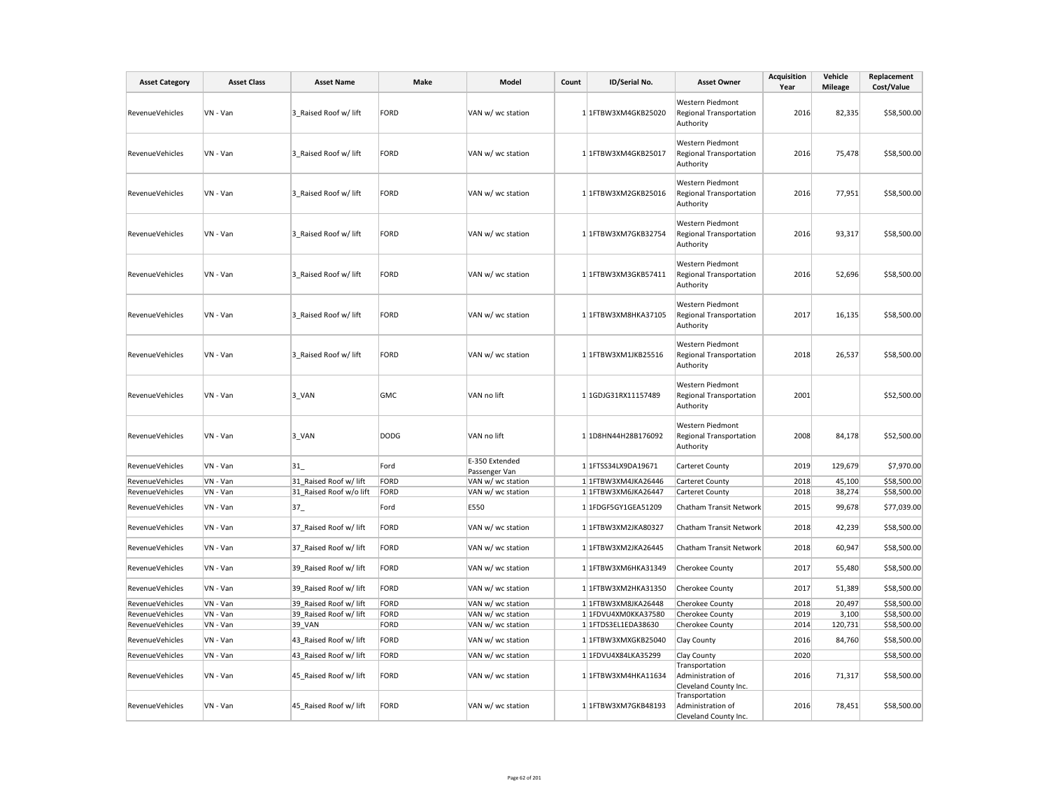| <b>Asset Category</b>  | <b>Asset Class</b> | <b>Asset Name</b>       | Make        | Model                           | Count | ID/Serial No.       | <b>Asset Owner</b>                                              | Acquisition<br>Year | Vehicle<br><b>Mileage</b> | Replacement<br>Cost/Value |
|------------------------|--------------------|-------------------------|-------------|---------------------------------|-------|---------------------|-----------------------------------------------------------------|---------------------|---------------------------|---------------------------|
| RevenueVehicles        | VN - Van           | 3 Raised Roof w/ lift   | FORD        | VAN w/ wc station               |       | 1 1FTBW3XM4GKB25020 | Western Piedmont<br>Regional Transportation<br>Authority        | 2016                | 82,335                    | \$58,500.00               |
| RevenueVehicles        | VN - Van           | 3 Raised Roof w/ lift   | FORD        | VAN w/ wc station               |       | 1 1FTBW3XM4GKB25017 | Western Piedmont<br>Regional Transportation<br>Authority        | 2016                | 75,478                    | \$58,500.00               |
| RevenueVehicles        | VN - Van           | 3 Raised Roof w/ lift   | FORD        | VAN w/ wc station               |       | 1 1FTBW3XM2GKB25016 | Western Piedmont<br>Regional Transportation<br>Authority        | 2016                | 77,951                    | \$58,500.00               |
| RevenueVehicles        | VN - Van           | 3 Raised Roof w/ lift   | FORD        | VAN w/ wc station               |       | 1 1FTBW3XM7GKB32754 | Western Piedmont<br>Regional Transportation<br>Authority        | 2016                | 93,317                    | \$58,500.00               |
| RevenueVehicles        | VN - Van           | 3 Raised Roof w/ lift   | FORD        | VAN w/ wc station               |       | 1 1FTBW3XM3GKB57411 | Western Piedmont<br>Regional Transportation<br>Authority        | 2016                | 52,696                    | \$58,500.00               |
| RevenueVehicles        | VN - Van           | 3 Raised Roof w/ lift   | FORD        | VAN w/ wc station               |       | 1 1FTBW3XM8HKA37105 | Western Piedmont<br>Regional Transportation<br>Authority        | 2017                | 16,135                    | \$58,500.00               |
| RevenueVehicles        | VN - Van           | 3 Raised Roof w/ lift   | FORD        | VAN w/ wc station               |       | 1 1FTBW3XM1JKB25516 | Western Piedmont<br>Regional Transportation<br>Authority        | 2018                | 26,537                    | \$58,500.00               |
| RevenueVehicles        | VN - Van           | 3 VAN                   | GMC         | VAN no lift                     |       | 1 1GDJG31RX11157489 | Western Piedmont<br><b>Regional Transportation</b><br>Authority | 2001                |                           | \$52,500.00               |
| RevenueVehicles        | VN - Van           | 3_VAN                   | <b>DODG</b> | VAN no lift                     |       | 1 1D8HN44H28B176092 | Western Piedmont<br>Regional Transportation<br>Authority        | 2008                | 84,178                    | \$52,500.00               |
| RevenueVehicles        | VN - Van           | 31                      | Ford        | E-350 Extended<br>Passenger Van |       | 1 1FTSS34LX9DA19671 | Carteret County                                                 | 2019                | 129,679                   | \$7,970.00                |
| <b>RevenueVehicles</b> | VN - Van           | 31_Raised Roof w/ lift  | FORD        | VAN w/ wc station               |       | 1 1FTBW3XM4JKA26446 | Carteret County                                                 | 2018                | 45,100                    | \$58,500.00               |
| RevenueVehicles        | VN - Van           | 31 Raised Roof w/o lift | FORD        | VAN w/ wc station               |       | 1 1FTBW3XM6JKA26447 | Carteret County                                                 | 2018                | 38,274                    | \$58,500.00               |
| RevenueVehicles        | VN - Van           | $37_{-}$                | Ford        | E550                            |       | 1 1FDGF5GY1GEA51209 | Chatham Transit Network                                         | 2015                | 99,678                    | \$77,039.00               |
| RevenueVehicles        | VN - Van           | 37 Raised Roof w/ lift  | FORD        | VAN w/ wc station               |       | 1 1FTBW3XM2JKA80327 | Chatham Transit Network                                         | 2018                | 42,239                    | \$58,500.00               |
| RevenueVehicles        | VN - Van           | 37_Raised Roof w/ lift  | FORD        | VAN w/ wc station               |       | 1 1FTBW3XM2JKA26445 | Chatham Transit Network                                         | 2018                | 60,947                    | \$58,500.00               |
| RevenueVehicles        | VN - Van           | 39 Raised Roof w/ lift  | FORD        | VAN w/ wc station               |       | 1 1FTBW3XM6HKA31349 | Cherokee County                                                 | 2017                | 55,480                    | \$58,500.00               |
| RevenueVehicles        | VN - Van           | 39_Raised Roof w/ lift  | FORD        | VAN w/ wc station               |       | 1 1FTBW3XM2HKA31350 | <b>Cherokee County</b>                                          | 2017                | 51,389                    | \$58,500.00               |
| RevenueVehicles        | VN - Van           | 39 Raised Roof w/ lift  | FORD        | VAN w/ wc station               |       | 1 1FTBW3XM8JKA26448 | Cherokee County                                                 | 2018                | 20,497                    | \$58,500.00               |
| RevenueVehicles        | VN - Van           | 39 Raised Roof w/ lift  | FORD        | VAN w/ wc station               |       | 1 1FDVU4XM0KKA37580 | Cherokee County                                                 | 2019                | 3,100                     | \$58,500.00               |
| RevenueVehicles        | VN - Van           | 39_VAN                  | FORD        | VAN w/ wc station               |       | 1 1FTDS3EL1EDA38630 | Cherokee County                                                 | 2014                | 120,731                   | \$58,500.00               |
| RevenueVehicles        | VN - Van           | 43 Raised Roof w/ lift  | FORD        | VAN w/ wc station               |       | 1 1FTBW3XMXGKB25040 | Clay County                                                     | 2016                | 84,760                    | \$58,500.00               |
| RevenueVehicles        | VN - Van           | 43 Raised Roof w/ lift  | FORD        | VAN w/ wc station               |       | 1 1FDVU4X84LKA35299 | Clay County                                                     | 2020                |                           | \$58,500.00               |
| RevenueVehicles        | VN - Van           | 45 Raised Roof w/ lift  | FORD        | VAN w/ wc station               |       | 1 1FTBW3XM4HKA11634 | Transportation<br>Administration of<br>Cleveland County Inc.    | 2016                | 71,317                    | \$58,500.00               |
| RevenueVehicles        | VN - Van           | 45 Raised Roof w/ lift  | FORD        | VAN w/ wc station               |       | 1 1FTBW3XM7GKB48193 | Transportation<br>Administration of<br>Cleveland County Inc.    | 2016                | 78,451                    | \$58,500.00               |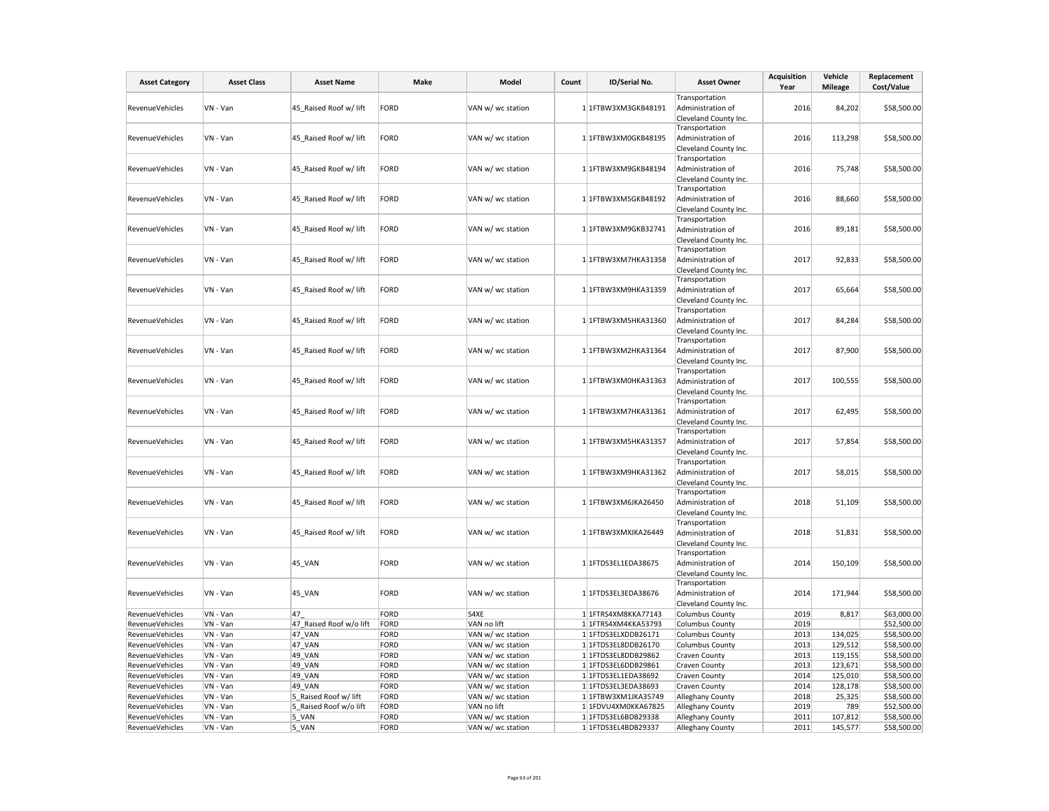| <b>Asset Category</b>  | <b>Asset Class</b> | <b>Asset Name</b>       | Make | Model             | Count | ID/Serial No.         | <b>Asset Owner</b>                                                                    | <b>Acquisition</b><br>Year | Vehicle<br><b>Mileage</b> | Replacement<br>Cost/Value |
|------------------------|--------------------|-------------------------|------|-------------------|-------|-----------------------|---------------------------------------------------------------------------------------|----------------------------|---------------------------|---------------------------|
| RevenueVehicles        | VN - Van           | 45 Raised Roof w/ lift  | FORD | VAN w/ wc station |       | 1 1 FTBW3XM3GKB48191  | Transportation<br>Administration of                                                   | 2016                       | 84,202                    | \$58,500.00               |
| RevenueVehicles        | VN - Van           | 45 Raised Roof w/ lift  | FORD | VAN w/ wc station |       | 1 1FTBW3XM0GKB48195   | Cleveland County Inc.<br>Transportation<br>Administration of                          | 2016                       | 113,298                   | \$58,500.00               |
| RevenueVehicles        | VN - Van           | 45 Raised Roof w/ lift  | FORD | VAN w/ wc station |       | 1 1FTBW3XM9GKB48194   | Cleveland County Inc.<br>Transportation<br>Administration of<br>Cleveland County Inc. | 2016                       | 75,748                    | \$58,500.00               |
| <b>RevenueVehicles</b> | VN - Van           | 45 Raised Roof w/ lift  | FORD | VAN w/ wc station |       | 1 1FTBW3XM5GKB48192   | Transportation<br>Administration of<br>Cleveland County Inc.                          | 2016                       | 88,660                    | \$58,500.00               |
| RevenueVehicles        | VN - Van           | 45 Raised Roof w/ lift  | FORD | VAN w/ wc station |       | 1 1FTBW3XM9GKB32741   | Transportation<br>Administration of<br>Cleveland County Inc.                          | 2016                       | 89,181                    | \$58,500.00               |
| <b>RevenueVehicles</b> | VN - Van           | 45 Raised Roof w/ lift  | FORD | VAN w/ wc station |       | $1$ 1FTBW3XM7HKA31358 | Transportation<br>Administration of<br>Cleveland County Inc.                          | 2017                       | 92,833                    | \$58,500.00               |
| RevenueVehicles        | VN - Van           | 45 Raised Roof w/ lift  | FORD | VAN w/ wc station |       | 1 1FTBW3XM9HKA31359   | Transportation<br>Administration of<br>Cleveland County Inc.                          | 2017                       | 65,664                    | \$58,500.00               |
| <b>RevenueVehicles</b> | VN - Van           | 45 Raised Roof w/ lift  | FORD | VAN w/ wc station |       | 1 1FTBW3XM5HKA31360   | Transportation<br>Administration of<br>Cleveland County Inc.                          | 2017                       | 84,284                    | \$58,500.00               |
| RevenueVehicles        | VN - Van           | 45_Raised Roof w/ lift  | FORD | VAN w/ wc station |       | 1 1FTBW3XM2HKA31364   | Transportation<br>Administration of<br>Cleveland County Inc.                          | 2017                       | 87,900                    | \$58,500.00               |
| <b>RevenueVehicles</b> | VN - Van           | 45 Raised Roof w/ lift  | FORD | VAN w/ wc station |       | 1 1FTBW3XM0HKA31363   | Transportation<br>Administration of<br>Cleveland County Inc.                          | 2017                       | 100,555                   | \$58,500.00               |
| <b>RevenueVehicles</b> | VN - Van           | 45 Raised Roof w/ lift  | FORD | VAN w/ wc station |       | 1 1FTBW3XM7HKA31361   | Transportation<br>Administration of<br>Cleveland County Inc.                          | 2017                       | 62,495                    | \$58,500.00               |
| RevenueVehicles        | VN - Van           | 45 Raised Roof w/ lift  | FORD | VAN w/ wc station |       | 1 1FTBW3XM5HKA31357   | Transportation<br>Administration of<br>Cleveland County Inc.                          | 2017                       | 57,854                    | \$58,500.00               |
| RevenueVehicles        | VN - Van           | 45_Raised Roof w/ lift  | FORD | VAN w/ wc station |       | 1 1FTBW3XM9HKA31362   | Transportation<br>Administration of<br>Cleveland County Inc.                          | 2017                       | 58,015                    | \$58,500.00               |
| RevenueVehicles        | VN - Van           | 45 Raised Roof w/ lift  | FORD | VAN w/ wc station |       | 1 1FTBW3XM6JKA26450   | Transportation<br>Administration of<br>Cleveland County Inc.                          | 2018                       | 51,109                    | \$58,500.00               |
| RevenueVehicles        | VN - Van           | 45 Raised Roof w/ lift  | FORD | VAN w/ wc station |       | 1 1FTBW3XMXJKA26449   | Transportation<br>Administration of<br>Cleveland County Inc.                          | 2018                       | 51,831                    | \$58,500.00               |
| <b>RevenueVehicles</b> | VN - Van           | 45 VAN                  | FORD | VAN w/ wc station |       | 1 1FTDS3EL1EDA38675   | Transportation<br>Administration of<br>Cleveland County Inc.                          | 2014                       | 150,109                   | \$58,500.00               |
| RevenueVehicles        | VN - Van           | 45_VAN                  | FORD | VAN w/ wc station |       | 1 1 FTDS3EL3EDA38676  | Transportation<br>Administration of<br>Cleveland County Inc.                          | 2014                       | 171,944                   | \$58,500.00               |
| RevenueVehicles        | VN - Van           | 47                      | FORD | S4XE              |       | 1 1FTRS4XM8KKA77143   | <b>Columbus County</b>                                                                | 2019                       | 8,817                     | \$63,000.00               |
| RevenueVehicles        | VN - Van           | 47 Raised Roof w/o lift | FORD | VAN no lift       |       | 1 1FTRS4XM4KKA53793   | <b>Columbus County</b>                                                                | 2019                       |                           | \$52,500.00               |
| <b>RevenueVehicles</b> | VN - Van           | 47 VAN                  | FORD | VAN w/ wc station |       | 1 1FTDS3ELXDDB26171   | <b>Columbus County</b>                                                                | 2013                       | 134,025                   | \$58,500.00               |
| <b>RevenueVehicles</b> | VN - Van           | 47 VAN                  | FORD | VAN w/ wc station |       | 1 1FTDS3EL8DDB26170   | <b>Columbus County</b>                                                                | 2013                       | 129,512                   | \$58,500.00               |
| RevenueVehicles        | VN - Van           | 49 VAN                  | FORD | VAN w/ wc station |       | 1 1FTDS3EL8DDB29862   | <b>Craven County</b>                                                                  | 2013                       | 119,155                   | \$58,500.00               |
| <b>RevenueVehicles</b> | VN - Van           | 49 VAN                  | FORD | VAN w/ wc station |       | 1 1FTDS3EL6DDB29861   | <b>Craven County</b>                                                                  | 2013                       | 123,671                   | \$58,500.00               |
| <b>RevenueVehicles</b> | VN - Van           | 49 VAN                  | FORD | VAN w/ wc station |       | 1 1FTDS3EL1EDA38692   | <b>Craven County</b>                                                                  | 2014                       | 125,010                   | \$58,500.00               |
| RevenueVehicles        | VN - Van           | 49 VAN                  | FORD | VAN w/ wc station |       | 1 1FTDS3EL3EDA38693   | Craven County                                                                         | 2014                       | 128,178                   | \$58,500.00               |
| RevenueVehicles        | VN - Van           | 5 Raised Roof w/ lift   | FORD | VAN w/ wc station |       | 1 1FTBW3XM1JKA35749   | Alleghany County                                                                      | 2018                       | 25,325                    | \$58,500.00               |
| RevenueVehicles        | VN - Van           | 5 Raised Roof w/o lift  | FORD | VAN no lift       |       | 1 1FDVU4XM0KKA67825   | Alleghany County                                                                      | 2019                       | 789                       | \$52,500.00               |
| <b>RevenueVehicles</b> | VN - Van           | 5 VAN                   | FORD | VAN w/ wc station |       | 1 1FTDS3EL6BDB29338   | Alleghany County                                                                      | 2011                       | 107,812                   | \$58,500.00               |
| <b>RevenueVehicles</b> | VN - Van           | 5 VAN                   | FORD | VAN w/ wc station |       | 1 1FTDS3EL4BDB29337   | Alleghany County                                                                      | 2011                       | 145,577                   | \$58,500.00               |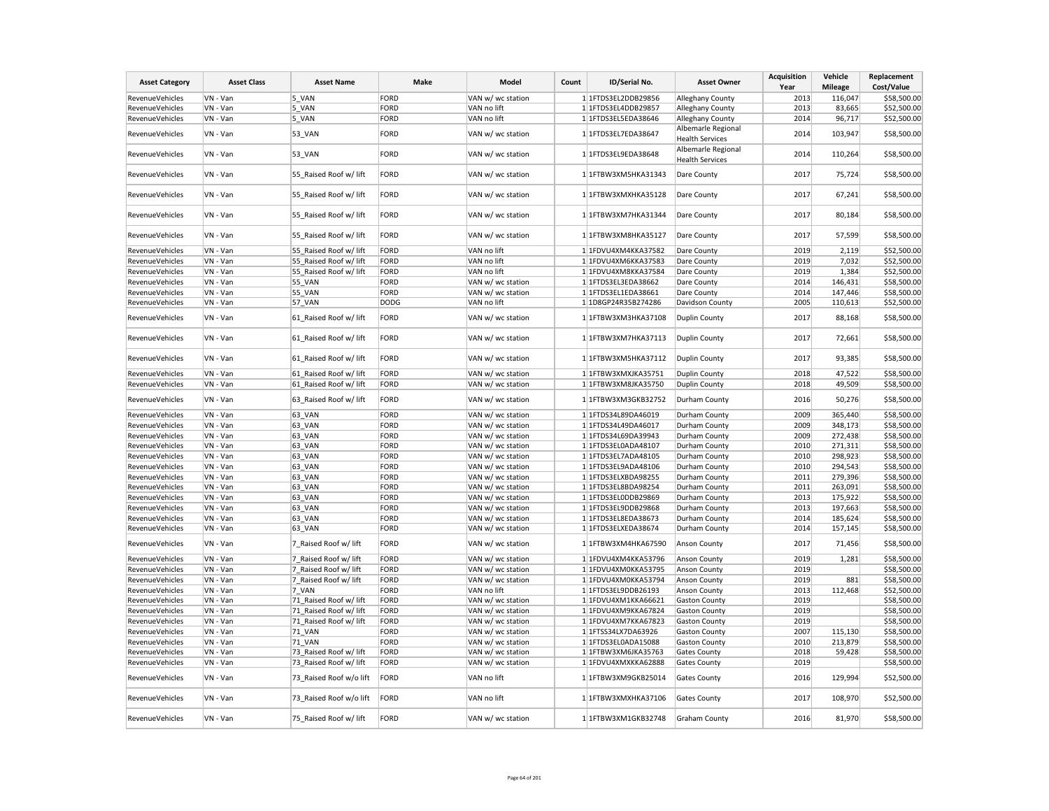| <b>Asset Category</b>  | <b>Asset Class</b> | <b>Asset Name</b>       | Make        | Model             | Count | ID/Serial No.         | <b>Asset Owner</b>                           | <b>Acquisition</b><br>Year | Vehicle<br><b>Mileage</b> | Replacement<br>Cost/Value |
|------------------------|--------------------|-------------------------|-------------|-------------------|-------|-----------------------|----------------------------------------------|----------------------------|---------------------------|---------------------------|
| RevenueVehicles        | VN - Van           | 5 VAN                   | FORD        | VAN w/ wc station |       | 1 1FTDS3EL2DDB29856   | Alleghany County                             | 2013                       | 116,047                   | \$58,500.00               |
|                        |                    |                         |             |                   |       |                       |                                              |                            |                           |                           |
| RevenueVehicles        | VN - Van           | 5 VAN                   | FORD        | VAN no lift       |       | 11FTDS3EL4DDB29857    | Alleghany County                             | 2013                       | 83,665                    | \$52,500.00               |
| RevenueVehicles        | VN - Van           | 5 VAN                   | FORD        | VAN no lift       |       | 1 1FTDS3EL5EDA38646   | Alleghany County                             | 2014                       | 96,717                    | \$52,500.00               |
| RevenueVehicles        | VN - Van           | 53 VAN                  | FORD        | VAN w/ wc station |       | 1 1FTDS3EL7EDA38647   | Albemarle Regional<br><b>Health Services</b> | 2014                       | 103,947                   | \$58,500.00               |
| <b>RevenueVehicles</b> | VN - Van           | 53_VAN                  | FORD        | VAN w/ wc station |       | 1 1FTDS3EL9EDA38648   | Albemarle Regional<br><b>Health Services</b> | 2014                       | 110,264                   | \$58,500.00               |
| RevenueVehicles        | VN - Van           | 55_Raised Roof w/ lift  | FORD        | VAN w/ wc station |       | $1$ 1FTBW3XM5HKA31343 | Dare County                                  | 2017                       | 75,724                    | \$58,500.00               |
| RevenueVehicles        | VN - Van           | 55 Raised Roof w/ lift  | FORD        | VAN w/ wc station |       | 1 1FTBW3XMXHKA35128   | Dare County                                  | 2017                       | 67,241                    | \$58,500.00               |
| RevenueVehicles        | VN - Van           | 55 Raised Roof w/ lift  | FORD        | VAN w/ wc station |       | 1 1FTBW3XM7HKA31344   | Dare County                                  | 2017                       | 80,184                    | \$58,500.00               |
| RevenueVehicles        | VN - Van           | 55 Raised Roof w/ lift  | FORD        | VAN w/ wc station |       | 1 1FTBW3XM8HKA35127   | Dare County                                  | 2017                       | 57,599                    | \$58,500.00               |
| RevenueVehicles        | VN - Van           | 55 Raised Roof w/ lift  | FORD        | VAN no lift       |       | 1 1FDVU4XM4KKA37582   | Dare County                                  | 2019                       | 2,119                     | \$52,500.00               |
| RevenueVehicles        | VN - Van           | 55 Raised Roof w/ lift  | FORD        | VAN no lift       |       | 1 1FDVU4XM6KKA37583   | Dare County                                  | 2019                       | 7,032                     | \$52,500.00               |
| RevenueVehicles        | VN - Van           | 55 Raised Roof w/ lift  | FORD        | VAN no lift       |       | 1 1FDVU4XM8KKA37584   | Dare County                                  | 2019                       | 1,384                     | \$52,500.00               |
| RevenueVehicles        | VN - Van           | <b>55 VAN</b>           | FORD        | VAN w/ wc station |       | 1 1FTDS3EL3EDA38662   | Dare County                                  | 2014                       | 146,431                   | \$58,500.00               |
| RevenueVehicles        | VN - Van           | 55_VAN                  | FORD        | VAN w/ wc station |       | 1 1FTDS3EL1EDA38661   | Dare County                                  | 2014                       | 147,446                   | \$58,500.00               |
| RevenueVehicles        | VN - Van           | 57_VAN                  | <b>DODG</b> | VAN no lift       |       | 1 1D8GP24R35B274286   | Davidson County                              | 2005                       | 110,613                   | \$52,500.00               |
| RevenueVehicles        | VN - Van           | 61_Raised Roof w/ lift  | FORD        | VAN w/ wc station |       | 1 1FTBW3XM3HKA37108   | <b>Duplin County</b>                         | 2017                       | 88,168                    | \$58,500.00               |
| <b>RevenueVehicles</b> | VN - Van           | 61 Raised Roof w/ lift  | FORD        | VAN w/ wc station |       | 1 1FTBW3XM7HKA37113   | <b>Duplin County</b>                         | 2017                       | 72,661                    | \$58,500.00               |
| RevenueVehicles        | VN - Van           | 61 Raised Roof w/ lift  | FORD        | VAN w/ wc station |       | 1 1FTBW3XM5HKA37112   | <b>Duplin County</b>                         | 2017                       | 93,385                    | \$58,500.00               |
| RevenueVehicles        | VN - Van           | 61 Raised Roof w/ lift  | FORD        | VAN w/ wc station |       | 1 1FTBW3XMXJKA35751   | <b>Duplin County</b>                         | 2018                       | 47,522                    | \$58,500.00               |
| RevenueVehicles        | VN - Van           | 61 Raised Roof w/ lift  | FORD        | VAN w/ wc station |       | 1 1FTBW3XM8JKA35750   | Duplin County                                | 2018                       | 49,509                    | \$58,500.00               |
| RevenueVehicles        | VN - Van           | 63 Raised Roof w/ lift  | FORD        | VAN w/ wc station |       | 1 1FTBW3XM3GKB32752   | Durham County                                | 2016                       | 50,276                    | \$58,500.00               |
| RevenueVehicles        | VN - Van           | 63 VAN                  | FORD        | VAN w/ wc station |       | 1 1FTDS34L89DA46019   | Durham County                                | 2009                       | 365,440                   | \$58,500.00               |
| RevenueVehicles        | VN - Van           | 63 VAN                  | FORD        | VAN w/ wc station |       | 1 1FTDS34L49DA46017   | Durham County                                | 2009                       | 348,173                   | \$58,500.00               |
| RevenueVehicles        | VN - Van           | 63 VAN                  | FORD        | VAN w/ wc station |       | 1 1FTDS34L69DA39943   | Durham County                                | 2009                       | 272,438                   | \$58,500.00               |
| <b>RevenueVehicles</b> | VN - Van           | 63_VAN                  | FORD        | VAN w/ wc station |       | 1 1FTDS3EL0ADA48107   | Durham County                                | 2010                       | 271,311                   | \$58,500.00               |
| RevenueVehicles        | VN - Van           | 63 VAN                  | FORD        | VAN w/ wc station |       | 1 1FTDS3EL7ADA48105   | Durham County                                | 2010                       | 298,923                   | \$58,500.00               |
| RevenueVehicles        | VN - Van           | 63 VAN                  | FORD        | VAN w/ wc station |       | 1 1FTDS3EL9ADA48106   | Durham County                                | 2010                       | 294,543                   | \$58,500.00               |
| RevenueVehicles        | VN - Van           | 63 VAN                  | FORD        | VAN w/ wc station |       | 1 1FTDS3ELXBDA98255   | Durham County                                | 2011                       | 279,396                   | \$58,500.00               |
| RevenueVehicles        | VN - Van           | 63 VAN                  | FORD        | VAN w/ wc station |       | 1 1FTDS3EL8BDA98254   | Durham County                                | 2011                       | 263,091                   | \$58,500.00               |
| RevenueVehicles        | VN - Van           | 63 VAN                  | FORD        | VAN w/ wc station |       | 1 1FTDS3EL0DDB29869   | Durham County                                | 2013                       | 175,922                   | \$58,500.00               |
| RevenueVehicles        | VN - Van           |                         | FORD        | VAN w/ wc station |       | 1 1FTDS3EL9DDB29868   |                                              | 2013                       | 197,663                   | \$58,500.00               |
|                        |                    | 63_VAN                  | FORD        |                   |       |                       | Durham County                                |                            |                           |                           |
| RevenueVehicles        | VN - Van           | 63 VAN                  |             | VAN w/ wc station |       | 1 1FTDS3EL8EDA38673   | Durham County                                | 2014                       | 185,624                   | \$58,500.00               |
| RevenueVehicles        | VN - Van           | 63 VAN                  | FORD        | VAN w/ wc station |       | 1 1FTDS3ELXEDA38674   | Durham County                                | 2014                       | 157,145                   | \$58,500.00               |
| RevenueVehicles        | VN - Van           | 7 Raised Roof w/ lift   | FORD        | VAN w/ wc station |       | 1 1FTBW3XM4HKA67590   | Anson County                                 | 2017                       | 71,456                    | \$58,500.00               |
| RevenueVehicles        | VN - Van           | 7 Raised Roof w/ lift   | FORD        | VAN w/ wc station |       | 1 1FDVU4XM4KKA53796   | <b>Anson County</b>                          | 2019                       | 1,281                     | \$58,500.00               |
| RevenueVehicles        | VN - Van           | 7 Raised Roof w/ lift   | FORD        | VAN w/ wc station |       | 1 1FDVU4XM0KKA53795   | Anson County                                 | 2019                       |                           | \$58,500.00               |
| <b>RevenueVehicles</b> | VN - Van           | 7_Raised Roof w/ lift   | FORD        | VAN w/ wc station |       | 1 1FDVU4XM0KKA53794   | Anson County                                 | 2019                       | 881                       | \$58,500.00               |
| RevenueVehicles        | VN - Van           | 7 VAN                   | FORD        | VAN no lift       |       | 1 1FTDS3EL9DDB26193   | Anson County                                 | 2013                       | 112,468                   | \$52,500.00               |
| RevenueVehicles        | VN - Van           | 71 Raised Roof w/ lift  | FORD        | VAN w/ wc station |       | 1 1FDVU4XM1KKA66621   | <b>Gaston County</b>                         | 2019                       |                           | \$58,500.00               |
| RevenueVehicles        | VN - Van           | 71 Raised Roof w/ lift  | FORD        | VAN w/ wc station |       | 1 1FDVU4XM9KKA67824   | <b>Gaston County</b>                         | 2019                       |                           | \$58,500.00               |
| RevenueVehicles        | VN - Van           | 71 Raised Roof w/ lift  | FORD        | VAN w/ wc station |       | 1 1FDVU4XM7KKA67823   | <b>Gaston County</b>                         | 2019                       |                           | \$58,500.00               |
| RevenueVehicles        | VN - Van           | <b>71 VAN</b>           | FORD        | VAN w/ wc station |       | 1 1FTSS34LX7DA63926   | <b>Gaston County</b>                         | 2007                       | 115,130                   | \$58,500.00               |
| RevenueVehicles        | VN - Van           | <b>71 VAN</b>           | FORD        | VAN w/ wc station |       | 1 1FTDS3EL0ADA15088   | <b>Gaston County</b>                         | 2010                       | 213,879                   | \$58,500.00               |
| RevenueVehicles        | VN - Van           | 73 Raised Roof w/ lift  | FORD        | VAN w/ wc station |       | 1 1FTBW3XM6JKA35763   | <b>Gates County</b>                          | 2018                       | 59,428                    | \$58,500.00               |
| RevenueVehicles        | VN - Van           | 73 Raised Roof w/ lift  | FORD        | VAN w/ wc station |       | 1 1FDVU4XMXKKA62888   | <b>Gates County</b>                          | 2019                       |                           | \$58,500.00               |
| RevenueVehicles        | VN - Van           | 73_Raised Roof w/o lift | FORD        | VAN no lift       |       | 1 1FTBW3XM9GKB25014   | <b>Gates County</b>                          | 2016                       | 129,994                   | \$52,500.00               |
| RevenueVehicles        | VN - Van           | 73_Raised Roof w/o lift | FORD        | VAN no lift       |       | 1 1FTBW3XMXHKA37106   | <b>Gates County</b>                          | 2017                       | 108,970                   | \$52,500.00               |
| RevenueVehicles        | VN - Van           | 75 Raised Roof w/ lift  | FORD        | VAN w/ wc station |       | 1 1FTBW3XM1GKB32748   | <b>Graham County</b>                         | 2016                       | 81,970                    | \$58,500.00               |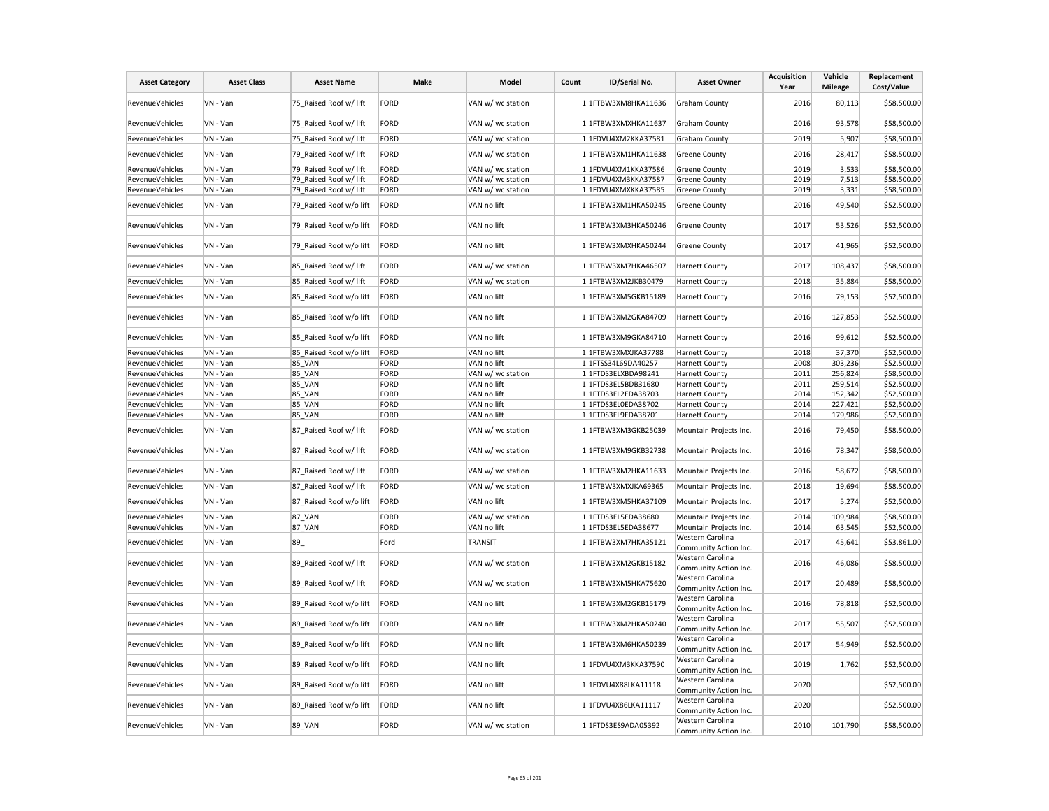| <b>Asset Category</b>  | <b>Asset Class</b> | <b>Asset Name</b>       | Make        | Model             | Count | ID/Serial No.       | <b>Asset Owner</b>                        | <b>Acquisition</b><br>Year | Vehicle<br><b>Mileage</b> | Replacement<br>Cost/Value |
|------------------------|--------------------|-------------------------|-------------|-------------------|-------|---------------------|-------------------------------------------|----------------------------|---------------------------|---------------------------|
| <b>RevenueVehicles</b> | VN - Van           | 75_Raised Roof w/ lift  | <b>FORD</b> | VAN w/ wc station |       | 1 1FTBW3XM8HKA11636 | <b>Graham County</b>                      | 2016                       | 80,113                    | \$58,500.00               |
| RevenueVehicles        | VN - Van           | 75 Raised Roof w/ lift  | <b>FORD</b> | VAN w/ wc station |       | 1 1FTBW3XMXHKA11637 | Graham County                             | 2016                       | 93,578                    | \$58,500.00               |
| RevenueVehicles        | VN - Van           | 75 Raised Roof w/ lift  | <b>FORD</b> | VAN w/ wc station |       | 1 1FDVU4XM2KKA37581 | <b>Graham County</b>                      | 2019                       | 5,907                     | \$58,500.00               |
| <b>RevenueVehicles</b> | VN - Van           | 79 Raised Roof w/ lift  | <b>FORD</b> | VAN w/ wc station |       | 1 1FTBW3XM1HKA11638 | Greene County                             | 2016                       | 28,417                    | \$58,500.00               |
| RevenueVehicles        | VN - Van           | 79 Raised Roof w/ lift  | <b>FORD</b> | VAN w/ wc station |       | 1 1FDVU4XM1KKA37586 | Greene County                             | 2019                       | 3,533                     | \$58,500.00               |
| RevenueVehicles        | VN - Van           | 79 Raised Roof w/ lift  | <b>FORD</b> | VAN w/ wc station |       | 1 1FDVU4XM3KKA37587 | <b>Greene County</b>                      | 2019                       | 7,513                     | \$58,500.00               |
| RevenueVehicles        | VN - Van           | 79_Raised Roof w/ lift  | <b>FORD</b> | VAN w/ wc station |       | 1 1FDVU4XMXKKA37585 | <b>Greene County</b>                      | 2019                       | 3,331                     | \$58,500.00               |
| RevenueVehicles        | VN - Van           | 79 Raised Roof w/o lift | FORD        | VAN no lift       |       | 1 1FTBW3XM1HKA50245 | <b>Greene County</b>                      | 2016                       | 49,540                    | \$52,500.00               |
| <b>RevenueVehicles</b> | VN - Van           | 79 Raised Roof w/o lift | FORD        | VAN no lift       |       | 1 1FTBW3XM3HKA50246 | Greene County                             | 2017                       | 53,526                    | \$52,500.00               |
| RevenueVehicles        | VN - Van           | 79 Raised Roof w/o lift | FORD        | VAN no lift       |       | 1 1FTBW3XMXHKA50244 | Greene County                             | 2017                       | 41,965                    | \$52,500.00               |
| RevenueVehicles        | VN - Van           | 85_Raised Roof w/ lift  | <b>FORD</b> | VAN w/ wc station |       | 1 1FTBW3XM7HKA46507 | <b>Harnett County</b>                     | 2017                       | 108,437                   | \$58,500.00               |
| RevenueVehicles        | VN - Van           | 85 Raised Roof w/ lift  | <b>FORD</b> | VAN w/ wc station |       | 1 1FTBW3XM2JKB30479 | <b>Harnett County</b>                     | 2018                       | 35,884                    | \$58,500.00               |
| RevenueVehicles        | VN - Van           | 85 Raised Roof w/o lift | FORD        | VAN no lift       |       | 1 1FTBW3XM5GKB15189 | <b>Harnett County</b>                     | 2016                       | 79,153                    | \$52,500.00               |
| <b>RevenueVehicles</b> | VN - Van           | 85 Raised Roof w/o lift | FORD        | VAN no lift       |       | 1 1FTBW3XM2GKA84709 | <b>Harnett County</b>                     | 2016                       | 127,853                   | \$52,500.00               |
| RevenueVehicles        | VN - Van           | 85_Raised Roof w/o lift | FORD        | VAN no lift       |       | 1 1FTBW3XM9GKA84710 | <b>Harnett County</b>                     | 2016                       | 99,612                    | \$52,500.00               |
| RevenueVehicles        | VN - Van           | 85_Raised Roof w/o lift | FORD        | VAN no lift       |       | 1 1FTBW3XMXJKA37788 | <b>Harnett County</b>                     | 2018                       | 37,370                    | \$52,500.00               |
| <b>RevenueVehicles</b> | VN - Van           | <b>85 VAN</b>           | <b>FORD</b> | VAN no lift       |       | 1 1FTSS34L69DA40257 | <b>Harnett County</b>                     | 2008                       | 303,236                   | \$52,500.00               |
| RevenueVehicles        | VN - Van           | <b>85 VAN</b>           | <b>FORD</b> | VAN w/ wc station |       | 1 1FTDS3ELXBDA98241 | <b>Harnett County</b>                     | 2011                       | 256,824                   | \$58,500.00               |
| RevenueVehicles        | VN - Van           | <b>85 VAN</b>           | <b>FORD</b> | VAN no lift       |       | 1 1FTDS3EL5BDB31680 | <b>Harnett County</b>                     | 2011                       | 259,514                   | \$52,500.00               |
| RevenueVehicles        | VN - Van           | <b>85 VAN</b>           | <b>FORD</b> | VAN no lift       |       | 1 1FTDS3EL2EDA38703 | <b>Harnett County</b>                     | 2014                       | 152,342                   | \$52,500.00               |
| RevenueVehicles        | VN - Van           | <b>85 VAN</b>           | <b>FORD</b> | VAN no lift       |       | 1 1FTDS3EL0EDA38702 | <b>Harnett County</b>                     | 2014                       | 227,421                   | \$52,500.00               |
| RevenueVehicles        | VN - Van           | 85_VAN                  | <b>FORD</b> | VAN no lift       |       | 1 1FTDS3EL9EDA38701 | <b>Harnett County</b>                     | 2014                       | 179,986                   | \$52,500.00               |
| RevenueVehicles        | VN - Van           | 87 Raised Roof w/ lift  | <b>FORD</b> | VAN w/ wc station |       | 1 1FTBW3XM3GKB25039 | Mountain Projects Inc.                    | 2016                       | 79,450                    | \$58,500.00               |
| <b>RevenueVehicles</b> | VN - Van           | 87_Raised Roof w/ lift  | <b>FORD</b> | VAN w/ wc station |       | 1 1FTBW3XM9GKB32738 | Mountain Projects Inc.                    | 2016                       | 78,347                    | \$58,500.00               |
| <b>RevenueVehicles</b> | VN - Van           | 87_Raised Roof w/ lift  | <b>FORD</b> | VAN w/ wc station |       | 1 1FTBW3XM2HKA11633 | Mountain Projects Inc.                    | 2016                       | 58,672                    | \$58,500.00               |
| RevenueVehicles        | VN - Van           | 87 Raised Roof w/ lift  | <b>FORD</b> | VAN w/ wc station |       | 1 1FTBW3XMXJKA69365 | Mountain Projects Inc.                    | 2018                       | 19,694                    | \$58,500.00               |
| RevenueVehicles        | VN - Van           | 87 Raised Roof w/o lift | FORD        | VAN no lift       |       | 1 1FTBW3XM5HKA37109 | Mountain Projects Inc.                    | 2017                       | 5,274                     | \$52,500.00               |
| RevenueVehicles        | VN - Van           | 87_VAN                  | <b>FORD</b> | VAN w/ wc station |       | 1 1FTDS3EL5EDA38680 | Mountain Projects Inc.                    | 2014                       | 109,984                   | \$58,500.00               |
| RevenueVehicles        | VN - Van           | 87_VAN                  | <b>FORD</b> | VAN no lift       |       | 1 1FTDS3EL5EDA38677 | Mountain Projects Inc.                    | 2014                       | 63,545                    | \$52,500.00               |
| RevenueVehicles        | VN - Van           | 89                      | Ford        | <b>TRANSIT</b>    |       | 1 1FTBW3XM7HKA35121 | Western Carolina<br>Community Action Inc. | 2017                       | 45,641                    | \$53,861.00               |
| <b>RevenueVehicles</b> | VN - Van           | 89 Raised Roof w/ lift  | <b>FORD</b> | VAN w/ wc station |       | 1 1FTBW3XM2GKB15182 | Western Carolina<br>Community Action Inc. | 2016                       | 46,086                    | \$58,500.00               |
| RevenueVehicles        | VN - Van           | 89 Raised Roof w/ lift  | <b>FORD</b> | VAN w/ wc station |       | 1 1FTBW3XM5HKA75620 | Western Carolina<br>Community Action Inc. | 2017                       | 20,489                    | \$58,500.00               |
| RevenueVehicles        | VN - Van           | 89_Raised Roof w/o lift | FORD        | VAN no lift       |       | 1 1FTBW3XM2GKB15179 | Western Carolina<br>Community Action Inc. | 2016                       | 78,818                    | \$52,500.00               |
| RevenueVehicles        | VN - Van           | 89 Raised Roof w/o lift | FORD        | VAN no lift       |       | 1 1FTBW3XM2HKA50240 | Western Carolina<br>Community Action Inc. | 2017                       | 55,507                    | \$52,500.00               |
| RevenueVehicles        | VN - Van           | 89 Raised Roof w/o lift | FORD        | VAN no lift       |       | 1 1FTBW3XM6HKA50239 | Western Carolina<br>Community Action Inc. | 2017                       | 54,949                    | \$52,500.00               |
| RevenueVehicles        | VN - Van           | 89 Raised Roof w/o lift | FORD        | VAN no lift       |       | 1 1FDVU4XM3KKA37590 | Western Carolina<br>Community Action Inc. | 2019                       | 1,762                     | \$52,500.00               |
| <b>RevenueVehicles</b> | VN - Van           | 89 Raised Roof w/o lift | FORD        | VAN no lift       |       | 1 1FDVU4X88LKA11118 | Western Carolina<br>Community Action Inc. | 2020                       |                           | \$52,500.00               |
| <b>RevenueVehicles</b> | VN - Van           | 89 Raised Roof w/o lift | FORD        | VAN no lift       |       | 1 1FDVU4X86LKA11117 | Western Carolina<br>Community Action Inc. | 2020                       |                           | \$52,500.00               |
| RevenueVehicles        | VN - Van           | <b>89 VAN</b>           | <b>FORD</b> | VAN w/ wc station |       | 1 1FTDS3ES9ADA05392 | Western Carolina<br>Community Action Inc. | 2010                       | 101,790                   | \$58,500.00               |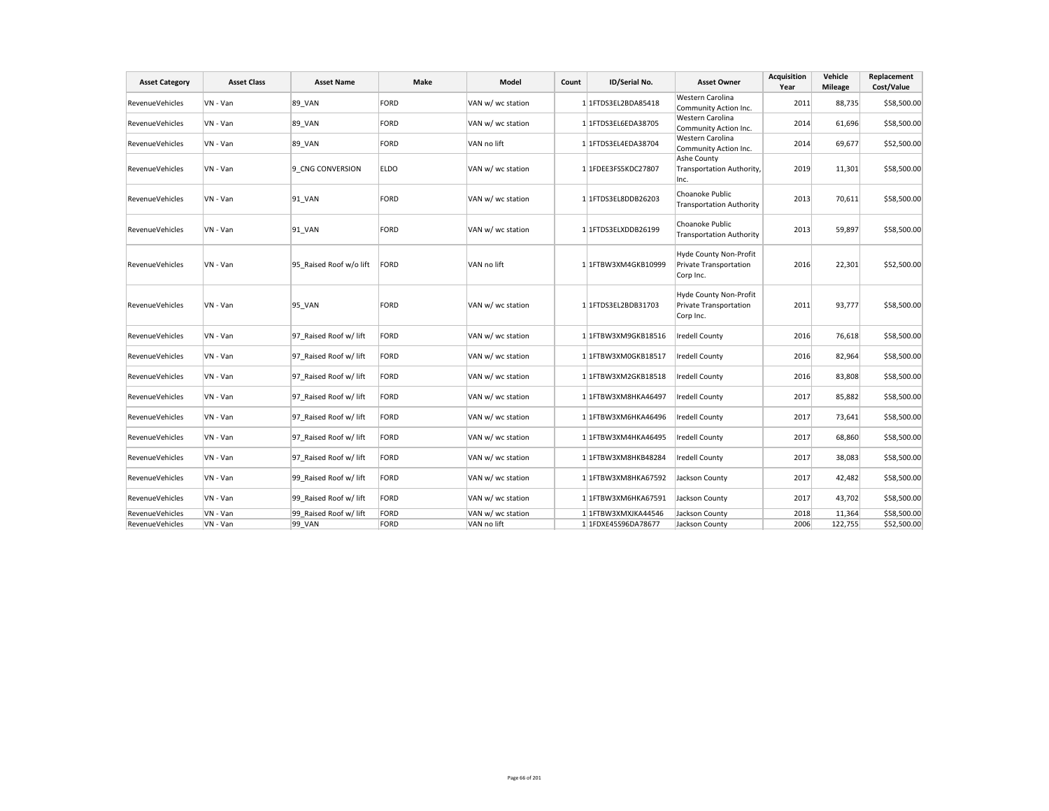| <b>Asset Category</b>  | <b>Asset Class</b> | <b>Asset Name</b>       | Make        | Model             | Count | ID/Serial No.          | <b>Asset Owner</b>                                            | <b>Acquisition</b><br>Year | Vehicle<br><b>Mileage</b> | Replacement<br>Cost/Value |
|------------------------|--------------------|-------------------------|-------------|-------------------|-------|------------------------|---------------------------------------------------------------|----------------------------|---------------------------|---------------------------|
| <b>RevenueVehicles</b> | VN - Van           | 89 VAN                  | FORD        | VAN w/ wc station |       | 1 1FTDS3EL2BDA85418    | Western Carolina<br>Community Action Inc.                     | 2011                       | 88,735                    | \$58,500.00               |
| RevenueVehicles        | VN - Van           | 89 VAN                  | FORD        | VAN w/ wc station |       | 1 1FTDS3EL6EDA38705    | Western Carolina<br>Community Action Inc.                     | 2014                       | 61,696                    | \$58,500.00               |
| RevenueVehicles        | VN - Van           | <b>89 VAN</b>           | FORD        | VAN no lift       |       | 1 1FTDS3EL4EDA38704    | Western Carolina<br>Community Action Inc.                     | 2014                       | 69,677                    | \$52,500.00               |
| RevenueVehicles        | VN - Van           | 9 CNG CONVERSION        | <b>ELDO</b> | VAN w/ wc station |       | 1 1FDEE3FS5KDC27807    | Ashe County<br>Transportation Authority,<br>Inc.              | 2019                       | 11,301                    | \$58,500.00               |
| <b>RevenueVehicles</b> | VN - Van           | 91 VAN                  | FORD        | VAN w/ wc station |       | 1 1 FTDS3EL8DDB26203   | Choanoke Public<br><b>Transportation Authority</b>            | 2013                       | 70,611                    | \$58,500.00               |
| <b>RevenueVehicles</b> | VN - Van           | 91 VAN                  | FORD        | VAN w/ wc station |       | 1 1FTDS3ELXDDB26199    | Choanoke Public<br><b>Transportation Authority</b>            | 2013                       | 59,897                    | \$58,500.00               |
| <b>RevenueVehicles</b> | VN - Van           | 95 Raised Roof w/o lift | FORD        | VAN no lift       |       | 1 1 1 FTBW3XM4GKB10999 | Hyde County Non-Profit<br>Private Transportation<br>Corp Inc. | 2016                       | 22,301                    | \$52,500.00               |
| <b>RevenueVehicles</b> | VN - Van           | <b>95 VAN</b>           | FORD        | VAN w/ wc station |       | 1 1FTDS3EL2BDB31703    | Hyde County Non-Profit<br>Private Transportation<br>Corp Inc. | 2011                       | 93,777                    | \$58,500.00               |
| RevenueVehicles        | VN - Van           | 97 Raised Roof w/ lift  | FORD        | VAN w/ wc station |       | 1 1FTBW3XM9GKB18516    | Iredell County                                                | 2016                       | 76,618                    | \$58,500.00               |
| RevenueVehicles        | VN - Van           | 97 Raised Roof w/ lift  | FORD        | VAN w/ wc station |       | 1 1FTBW3XM0GKB18517    | Iredell County                                                | 2016                       | 82,964                    | \$58,500.00               |
| RevenueVehicles        | VN - Van           | 97 Raised Roof w/ lift  | FORD        | VAN w/ wc station |       | 1 1FTBW3XM2GKB18518    | <b>Iredell County</b>                                         | 2016                       | 83,808                    | \$58,500.00               |
| <b>RevenueVehicles</b> | VN - Van           | 97 Raised Roof w/ lift  | FORD        | VAN w/ wc station |       | 1 1FTBW3XM8HKA46497    | <b>Iredell County</b>                                         | 2017                       | 85,882                    | \$58,500.00               |
| <b>RevenueVehicles</b> | VN - Van           | 97 Raised Roof w/ lift  | FORD        | VAN w/ wc station |       | 1 1FTBW3XM6HKA46496    | Iredell County                                                | 2017                       | 73,641                    | \$58,500.00               |
| RevenueVehicles        | VN - Van           | 97 Raised Roof w/ lift  | FORD        | VAN w/ wc station |       | 1 1FTBW3XM4HKA46495    | Iredell County                                                | 2017                       | 68,860                    | \$58,500.00               |
| RevenueVehicles        | VN - Van           | 97 Raised Roof w/ lift  | FORD        | VAN w/ wc station |       | 1 1FTBW3XM8HKB48284    | <b>Iredell County</b>                                         | 2017                       | 38,083                    | \$58,500.00               |
| <b>RevenueVehicles</b> | VN - Van           | 99 Raised Roof w/ lift  | FORD        | VAN w/ wc station |       | 1 1FTBW3XM8HKA67592    | Jackson County                                                | 2017                       | 42,482                    | \$58,500.00               |
| RevenueVehicles        | VN - Van           | 99 Raised Roof w/ lift  | FORD        | VAN w/ wc station |       | 1 1FTBW3XM6HKA67591    | Jackson County                                                | 2017                       | 43,702                    | \$58,500.00               |
| <b>RevenueVehicles</b> | VN - Van           | 99 Raised Roof w/ lift  | FORD        | VAN w/ wc station |       | 1 1FTBW3XMXJKA44546    | Jackson County                                                | 2018                       | 11,364                    | \$58,500.00               |
| RevenueVehicles        | VN - Van           | 99 VAN                  | FORD        | VAN no lift       |       | 1 1FDXE45S96DA78677    | Jackson County                                                | 2006                       | 122,755                   | \$52,500.00               |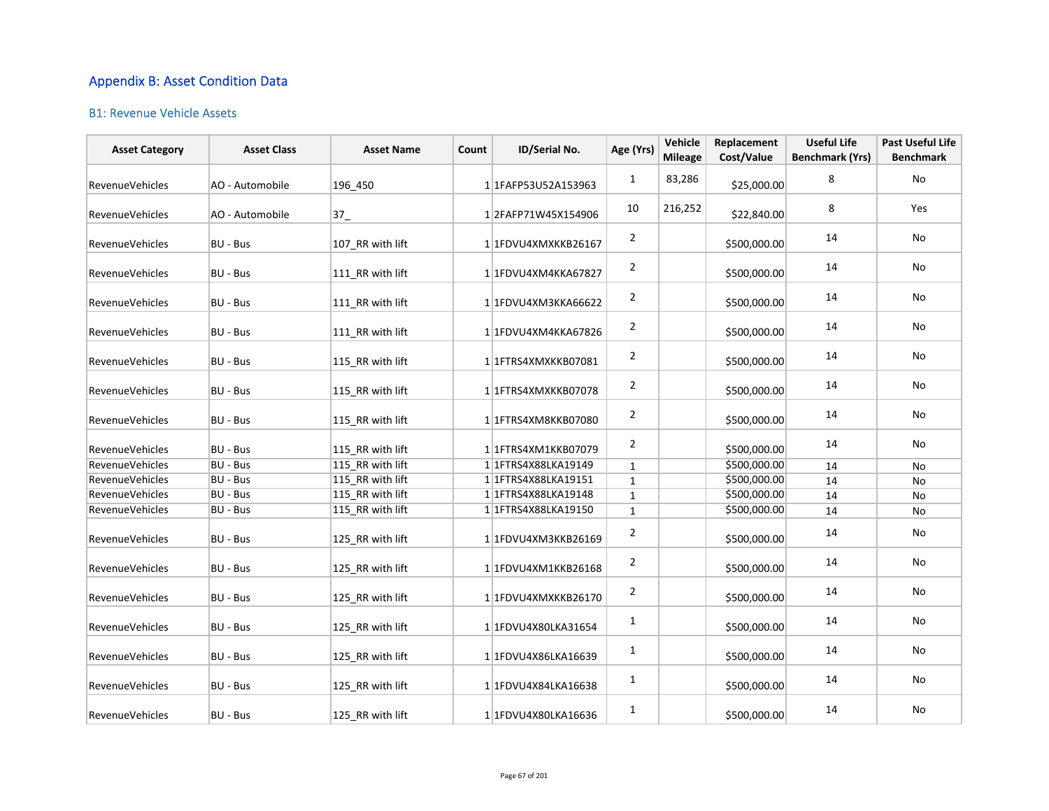## Appendix B: Asset Condition Data

## B1: Revenue Vehicle Assets

| <b>Asset Category</b>  | <b>Asset Class</b> | <b>Asset Name</b> | Count | ID/Serial No.          | Age (Yrs)      | Vehicle<br><b>Mileage</b> | Replacement<br>Cost/Value | <b>Useful Life</b><br><b>Benchmark (Yrs)</b> | Past Useful Life<br><b>Benchmark</b> |
|------------------------|--------------------|-------------------|-------|------------------------|----------------|---------------------------|---------------------------|----------------------------------------------|--------------------------------------|
| <b>RevenueVehicles</b> | AO - Automobile    | 196_450           |       | 1 1FAFP53U52A153963    | 1              | 83,286                    | \$25,000.00               | 8                                            | No                                   |
| <b>RevenueVehicles</b> | AO - Automobile    | 37                |       | 12FAFP71W45X154906     | 10             | 216,252                   | \$22,840.00               | 8                                            | Yes                                  |
| RevenueVehicles        | <b>BU - Bus</b>    | 107_RR with lift  |       | 1 1FDVU4XMXKKB26167    | $\overline{2}$ |                           | \$500,000.00              | 14                                           | No                                   |
| <b>RevenueVehicles</b> | <b>BU - Bus</b>    | 111 RR with lift  |       | 1 1FDVU4XM4KKA67827    | $\overline{2}$ |                           | \$500,000.00              | 14                                           | No                                   |
| <b>RevenueVehicles</b> | BU - Bus           | 111 RR with lift  |       | 1 1FDVU4XM3KKA66622    | $\overline{2}$ |                           | \$500,000.00              | 14                                           | No                                   |
| RevenueVehicles        | BU - Bus           | 111_RR with lift  |       | 1 1FDVU4XM4KKA67826    | $\overline{2}$ |                           | \$500,000.00              | 14                                           | No                                   |
| <b>RevenueVehicles</b> | BU - Bus           | 115 RR with lift  |       | 1 1 FTRS4XMXKKB07081   | $\overline{2}$ |                           | \$500,000.00              | 14                                           | No                                   |
| <b>RevenueVehicles</b> | <b>BU - Bus</b>    | 115 RR with lift  |       | 1 1 FTRS4XMXKKB07078   | $\overline{2}$ |                           | \$500,000.00              | 14                                           | No                                   |
| RevenueVehicles        | <b>BU - Bus</b>    | 115_RR with lift  |       | 1 1FTRS4XM8KKB07080    | $\overline{2}$ |                           | \$500,000.00              | 14                                           | No                                   |
| RevenueVehicles        | BU - Bus           | 115 RR with lift  |       | 1 1 FTRS4XM1KKB07079   | $\overline{2}$ |                           | \$500,000.00              | 14                                           | No                                   |
| RevenueVehicles        | BU - Bus           | 115_RR with lift  |       | 1 1 FTRS4X88LKA19149   | $\mathbf{1}$   |                           | \$500,000.00              | 14                                           | No                                   |
| <b>RevenueVehicles</b> | <b>BU - Bus</b>    | 115 RR with lift  |       | 1 1 FTRS4X88LKA19151   | $\mathbf{1}$   |                           | \$500,000.00              | 14                                           | No                                   |
| Revenue Vehicles       | BU - Bus           | 115_RR with lift  |       | 1 1 1 FTRS4X88LKA19148 | $\mathbf 1$    |                           | \$500,000.00              | 14                                           | No                                   |
| <b>RevenueVehicles</b> | BU - Bus           | 115 RR with lift  |       | 1 1 1 FTRS4X88LKA19150 | $\mathbf{1}$   |                           | \$500,000.00              | 14                                           | No                                   |
| RevenueVehicles        | BU - Bus           | 125_RR with lift  |       | 1 1FDVU4XM3KKB26169    | $\overline{2}$ |                           | \$500,000.00              | 14                                           | No                                   |
| RevenueVehicles        | BU - Bus           | 125_RR with lift  |       | 1 1FDVU4XM1KKB26168    | $\overline{2}$ |                           | \$500,000.00              | 14                                           | No                                   |
| RevenueVehicles        | BU - Bus           | 125_RR with lift  |       | 1 1FDVU4XMXKKB26170    | $\overline{2}$ |                           | \$500,000.00              | 14                                           | No                                   |
| RevenueVehicles        | <b>BU - Bus</b>    | 125_RR with lift  |       | 1 1FDVU4X80LKA31654    | $\mathbf{1}$   |                           | \$500,000.00              | 14                                           | No                                   |
| RevenueVehicles        | BU - Bus           | 125 RR with lift  |       | 1 1FDVU4X86LKA16639    | $\mathbf{1}$   |                           | \$500,000.00              | 14                                           | No                                   |
| <b>RevenueVehicles</b> | BU - Bus           | 125 RR with lift  |       | 1 1FDVU4X84LKA16638    | $\mathbf{1}$   |                           | \$500,000.00              | 14                                           | No                                   |
| <b>RevenueVehicles</b> | BU - Bus           | 125 RR with lift  |       | 1 1FDVU4X80LKA16636    | $\mathbf{1}$   |                           | \$500,000.00              | 14                                           | No                                   |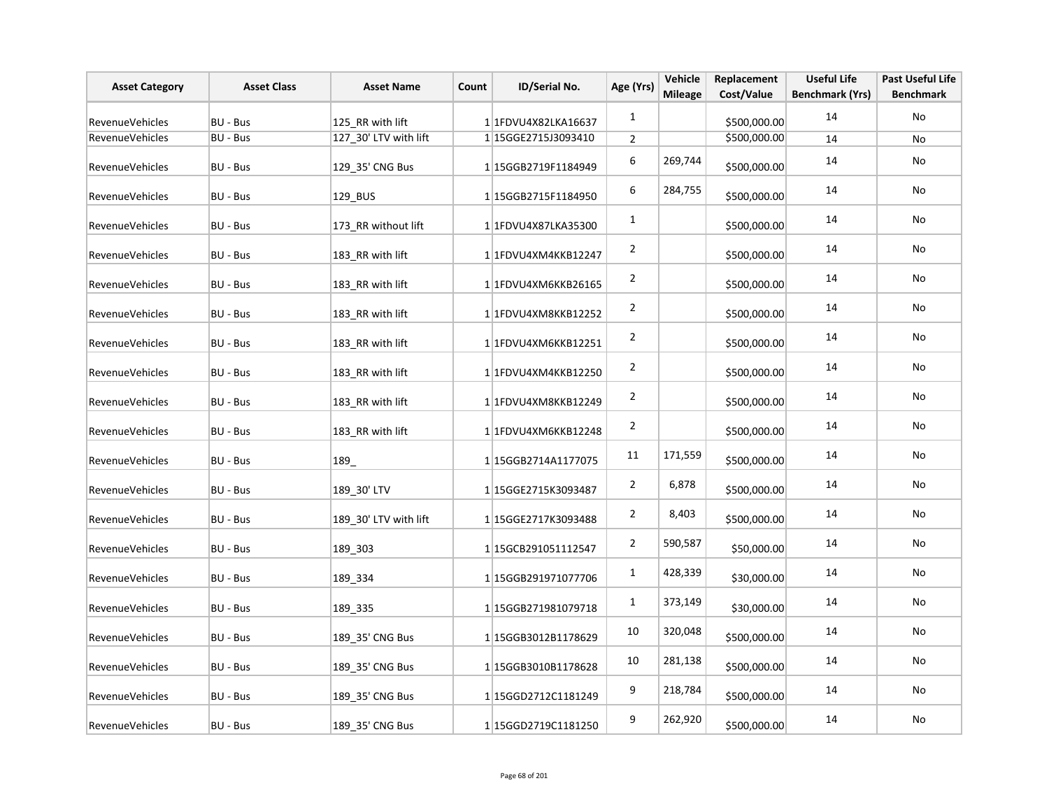| <b>Asset Category</b>  | <b>Asset Class</b> | <b>Asset Name</b>     | Count | ID/Serial No.        | Age (Yrs)      | Vehicle<br><b>Mileage</b> | Replacement<br>Cost/Value | <b>Useful Life</b><br><b>Benchmark (Yrs)</b> | <b>Past Useful Life</b><br><b>Benchmark</b> |
|------------------------|--------------------|-----------------------|-------|----------------------|----------------|---------------------------|---------------------------|----------------------------------------------|---------------------------------------------|
| <b>RevenueVehicles</b> | BU - Bus           | 125 RR with lift      |       | 11FDVU4X82LKA16637   | $\mathbf{1}$   |                           | \$500,000.00              | 14                                           | No                                          |
| <b>RevenueVehicles</b> | BU - Bus           | 127_30' LTV with lift |       | 1 15GGE2715J3093410  | $\overline{2}$ |                           | \$500,000.00              | 14                                           | No                                          |
| RevenueVehicles        | BU - Bus           | 129_35' CNG Bus       |       | 115GGB2719F1184949   | 6              | 269,744                   | \$500,000.00              | 14                                           | No                                          |
| RevenueVehicles        | BU - Bus           | 129 BUS               |       | 115GGB2715F1184950   | 6              | 284,755                   | \$500,000.00              | 14                                           | No                                          |
| RevenueVehicles        | BU - Bus           | 173_RR without lift   |       | 1 1FDVU4X87LKA35300  | $\mathbf{1}$   |                           | \$500,000.00              | 14                                           | No                                          |
| RevenueVehicles        | BU - Bus           | 183_RR with lift      |       | 1 1 FDVU4XM4KKB12247 | $\overline{2}$ |                           | \$500,000.00              | 14                                           | No                                          |
| RevenueVehicles        | BU - Bus           | 183 RR with lift      |       | 1 1FDVU4XM6KKB26165  | $\overline{2}$ |                           | \$500,000.00              | 14                                           | No                                          |
| RevenueVehicles        | BU - Bus           | 183 RR with lift      |       | 1 1FDVU4XM8KKB12252  | $\overline{2}$ |                           | \$500,000.00              | 14                                           | No                                          |
| RevenueVehicles        | BU - Bus           | 183 RR with lift      |       | 1 1FDVU4XM6KKB12251  | $\overline{2}$ |                           | \$500,000.00              | 14                                           | No                                          |
| RevenueVehicles        | BU - Bus           | 183 RR with lift      |       | 1 1FDVU4XM4KKB12250  | $\overline{2}$ |                           | \$500,000.00              | 14                                           | No                                          |
| RevenueVehicles        | BU - Bus           | 183 RR with lift      |       | 1 1FDVU4XM8KKB12249  | $\overline{2}$ |                           | \$500,000.00              | 14                                           | No                                          |
| RevenueVehicles        | BU - Bus           | 183_RR with lift      |       | 1 1FDVU4XM6KKB12248  | $\overline{2}$ |                           | \$500,000.00              | 14                                           | No                                          |
| RevenueVehicles        | BU - Bus           | 189_                  |       | 115GGB2714A1177075   | 11             | 171,559                   | \$500,000.00              | 14                                           | No                                          |
| RevenueVehicles        | BU - Bus           | 189_30' LTV           |       | 1 15GGE2715K3093487  | $\overline{2}$ | 6,878                     | \$500,000.00              | 14                                           | No                                          |
| RevenueVehicles        | BU - Bus           | 189 30' LTV with lift |       | 1 15GGE2717K3093488  | $\overline{2}$ | 8,403                     | \$500,000.00              | 14                                           | No                                          |
| RevenueVehicles        | BU - Bus           | 189 303               |       | 1 15GCB291051112547  | $\overline{2}$ | 590,587                   | \$50,000.00               | 14                                           | No                                          |
| RevenueVehicles        | BU - Bus           | 189 334               |       | 1 15GGB291971077706  | $\mathbf{1}$   | 428,339                   | \$30,000.00               | 14                                           | No                                          |
| RevenueVehicles        | BU - Bus           | 189 335               |       | 1 15GGB271981079718  | $\mathbf{1}$   | 373,149                   | \$30,000.00               | 14                                           | No                                          |
| RevenueVehicles        | BU - Bus           | 189_35' CNG Bus       |       | 1 15GGB3012B1178629  | 10             | 320,048                   | \$500,000.00              | 14                                           | No                                          |
| RevenueVehicles        | BU - Bus           | 189_35' CNG Bus       |       | 1 15GGB3010B1178628  | 10             | 281,138                   | \$500,000.00              | 14                                           | No                                          |
| RevenueVehicles        | BU - Bus           | 189_35' CNG Bus       |       | 1 15GGD2712C1181249  | 9              | 218,784                   | \$500,000.00              | 14                                           | No                                          |
| RevenueVehicles        | BU - Bus           | 189 35' CNG Bus       |       | 1 15GGD2719C1181250  | 9              | 262,920                   | \$500,000.00              | 14                                           | No                                          |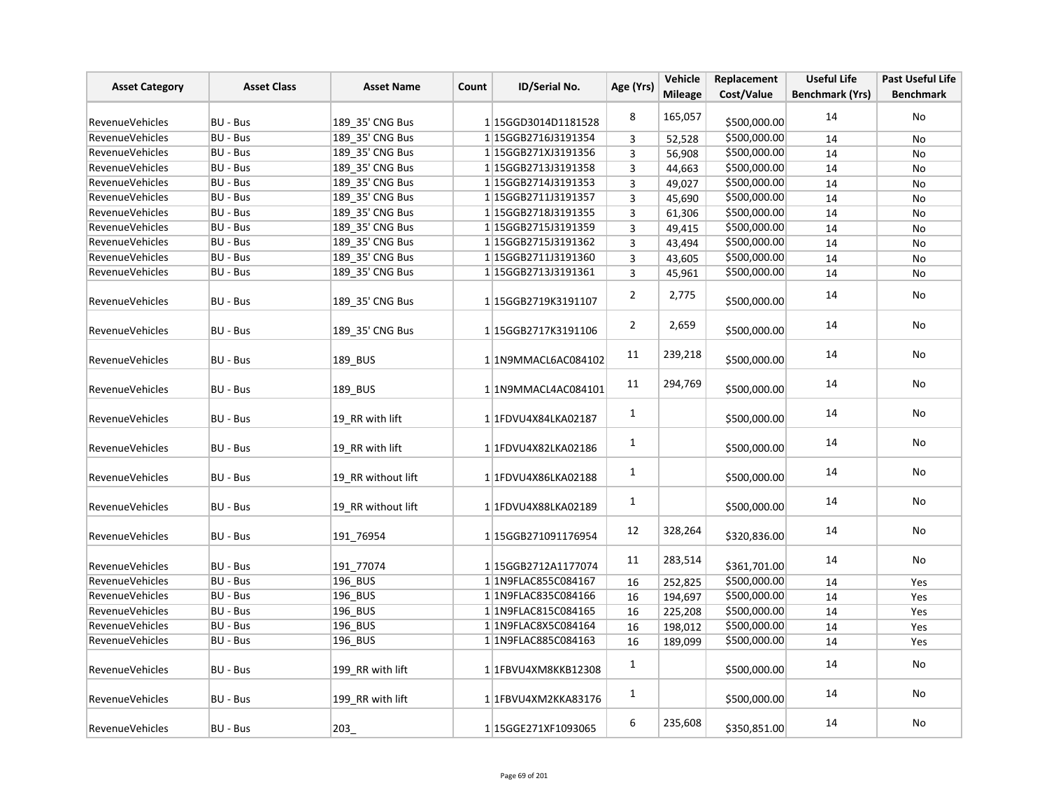| <b>Asset Category</b>  | <b>Asset Class</b> | <b>Asset Name</b>  | Count | ID/Serial No.           | Age (Yrs)      | Vehicle<br><b>Mileage</b> | Replacement<br>Cost/Value | <b>Useful Life</b><br><b>Benchmark (Yrs)</b> | <b>Past Useful Life</b><br><b>Benchmark</b> |
|------------------------|--------------------|--------------------|-------|-------------------------|----------------|---------------------------|---------------------------|----------------------------------------------|---------------------------------------------|
| RevenueVehicles        | <b>BU - Bus</b>    | 189 35' CNG Bus    |       | 1 15GGD3014D1181528     | 8              | 165,057                   | \$500,000.00              | 14                                           | No                                          |
| RevenueVehicles        | <b>BU - Bus</b>    | 189 35' CNG Bus    |       | 1 15GGB2716J3191354     | 3              | 52,528                    | \$500,000.00              | 14                                           | No                                          |
| <b>RevenueVehicles</b> | BU - Bus           | 189 35' CNG Bus    |       | 1 15GGB271XJ3191356     | 3              | 56,908                    | \$500,000.00              | 14                                           | No                                          |
| Revenue Vehicles       | BU - Bus           | 189_35' CNG Bus    |       | 115GGB2713J3191358      | 3              | 44,663                    | \$500,000.00              | 14                                           | No                                          |
| RevenueVehicles        | BU - Bus           | 189_35' CNG Bus    |       | 1 15GGB2714J3191353     | 3              | 49,027                    | \$500,000.00              | 14                                           | No                                          |
| RevenueVehicles        | <b>BU - Bus</b>    | 189 35' CNG Bus    |       | 1 15GGB2711J3191357     | 3              | 45,690                    | \$500,000.00              | 14                                           | No                                          |
| RevenueVehicles        | BU - Bus           | 189 35' CNG Bus    |       | 115GGB2718J3191355      | 3              | 61,306                    | \$500,000.00              | 14                                           | No                                          |
| <b>RevenueVehicles</b> | BU - Bus           | 189 35' CNG Bus    |       | 1 15GGB2715J3191359     | $\mathsf 3$    | 49,415                    | \$500,000.00              | 14                                           | No                                          |
| <b>RevenueVehicles</b> | BU - Bus           | 189_35' CNG Bus    |       | 1 15GGB2715J3191362     | 3              | 43,494                    | \$500,000.00              | 14                                           | No                                          |
| RevenueVehicles        | <b>BU - Bus</b>    | 189_35' CNG Bus    |       | 1 15GGB2711J3191360     | 3              | 43,605                    | \$500,000.00              | 14                                           | No                                          |
| <b>RevenueVehicles</b> | BU - Bus           | 189 35' CNG Bus    |       | 1 15GGB2713J3191361     | 3              | 45,961                    | \$500,000.00              | 14                                           | No                                          |
|                        |                    |                    |       |                         |                |                           |                           |                                              |                                             |
| <b>RevenueVehicles</b> | <b>BU - Bus</b>    | 189 35' CNG Bus    |       | 1 15GGB2719K3191107     | $\overline{2}$ | 2,775                     | \$500,000.00              | 14                                           | No                                          |
| <b>RevenueVehicles</b> | BU - Bus           | 189_35' CNG Bus    |       | 1 15GGB2717K3191106     | $\overline{2}$ | 2,659                     | \$500,000.00              | 14                                           | No                                          |
| RevenueVehicles        | BU - Bus           | 189 BUS            |       | 1 1N9MMACL6AC084102     | 11             | 239,218                   | \$500,000.00              | 14                                           | No                                          |
| RevenueVehicles        | BU - Bus           | 189_BUS            |       | 1 1N9MMACL4AC084101     | 11             | 294,769                   | \$500,000.00              | 14                                           | No                                          |
| RevenueVehicles        | BU - Bus           | 19 RR with lift    |       | 1 1FDVU4X84LKA02187     | $\mathbf{1}$   |                           | \$500,000.00              | 14                                           | No                                          |
| RevenueVehicles        | BU - Bus           | 19 RR with lift    |       | 1 1FDVU4X82LKA02186     | $\mathbf{1}$   |                           | \$500,000.00              | 14                                           | No                                          |
| RevenueVehicles        | BU - Bus           | 19_RR without lift |       | 1 1FDVU4X86LKA02188     | $\mathbf{1}$   |                           | \$500,000.00              | 14                                           | No                                          |
| <b>RevenueVehicles</b> | BU - Bus           | 19 RR without lift |       | 1 1FDVU4X88LKA02189     | $\mathbf{1}$   |                           | \$500,000.00              | 14                                           | No                                          |
| <b>RevenueVehicles</b> | BU - Bus           | 191 76954          |       | 1 15GGB271091176954     | 12             | 328,264                   | \$320,836.00              | 14                                           | No                                          |
| RevenueVehicles        | BU - Bus           | 191 77074          |       | 1 15GGB2712A1177074     | 11             | 283,514                   | \$361,701.00              | 14                                           | No                                          |
| <b>RevenueVehicles</b> | BU - Bus           | 196_BUS            |       | 1 1N9FLAC855C084167     | 16             | 252,825                   | \$500,000.00              | 14                                           | Yes                                         |
| <b>RevenueVehicles</b> | BU - Bus           | 196 BUS            |       | 1 1N9FLAC835C084166     | 16             | 194,697                   | \$500,000.00              | 14                                           | Yes                                         |
| RevenueVehicles        | <b>BU - Bus</b>    | 196 BUS            |       | 1 1N9FLAC815C084165     | 16             | 225,208                   | \$500,000.00              | 14                                           | Yes                                         |
| RevenueVehicles        | BU - Bus           | 196 BUS            |       | 1 1N9FLAC8X5C084164     | 16             | 198,012                   | \$500,000.00              | 14                                           | Yes                                         |
| RevenueVehicles        | BU - Bus           | 196 BUS            |       | 1 1N9FLAC885C084163     | 16             | 189,099                   | \$500,000.00              | 14                                           | Yes                                         |
| <b>RevenueVehicles</b> | BU - Bus           | 199 RR with lift   |       | 1 1FBVU4XM8KKB12308     | $\mathbf{1}$   |                           | \$500,000.00              | 14                                           | No                                          |
| <b>RevenueVehicles</b> | <b>BU - Bus</b>    | 199_RR with lift   |       | 1 1 FBV U4X M2K KA83176 | $\mathbf{1}$   |                           | \$500,000.00              | 14                                           | No                                          |
| <b>RevenueVehicles</b> | BU - Bus           | 203                |       | 115GGE271XF1093065      | 6              | 235,608                   | \$350,851.00              | 14                                           | No                                          |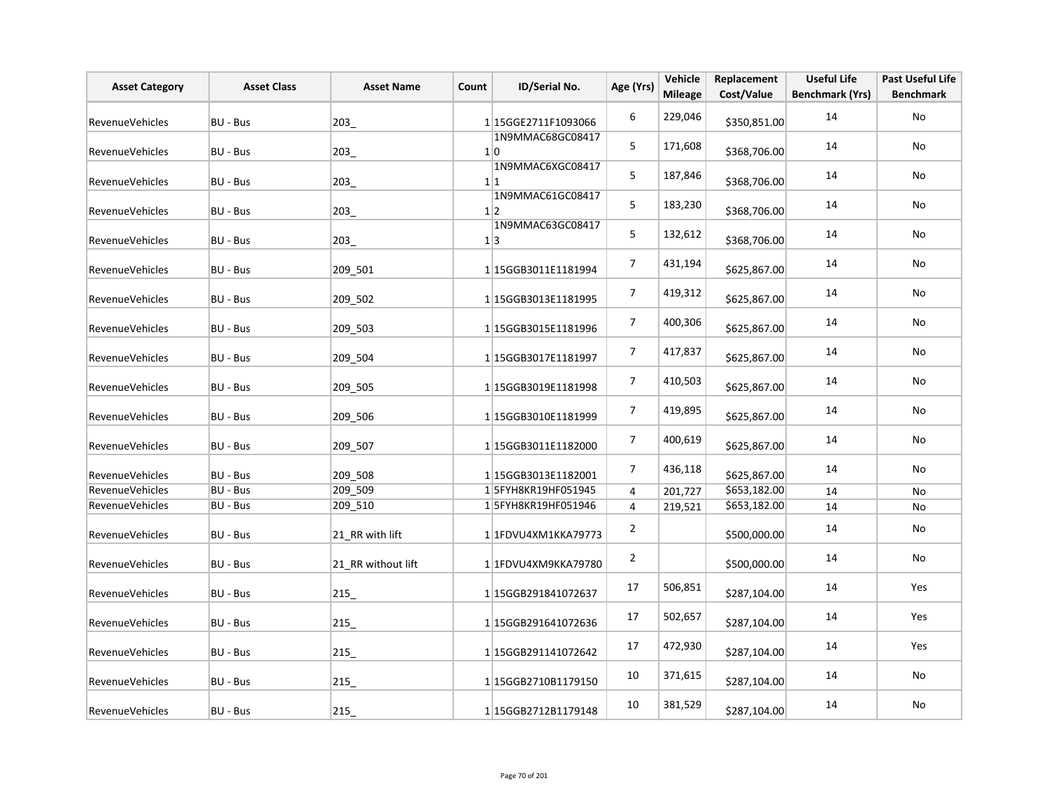| <b>Asset Category</b>  | <b>Asset Class</b> | <b>Asset Name</b>  | Count | ID/Serial No.                      | Age (Yrs)       | Vehicle<br><b>Mileage</b> | Replacement<br>Cost/Value | <b>Useful Life</b><br><b>Benchmark (Yrs)</b> | <b>Past Useful Life</b><br><b>Benchmark</b> |
|------------------------|--------------------|--------------------|-------|------------------------------------|-----------------|---------------------------|---------------------------|----------------------------------------------|---------------------------------------------|
| RevenueVehicles        | BU - Bus           | 203                |       | 1 15GGE2711F1093066                | 6               | 229,046                   | \$350,851.00              | 14                                           | No                                          |
| <b>RevenueVehicles</b> | BU - Bus           | 203                |       | 1N9MMAC68GC08417<br>1 <sup>0</sup> | 5               | 171,608                   | \$368,706.00              | 14                                           | No                                          |
| <b>RevenueVehicles</b> | BU - Bus           | 203                |       | 1N9MMAC6XGC08417<br>1 1            | 5               | 187,846                   | \$368,706.00              | 14                                           | No                                          |
| RevenueVehicles        | BU - Bus           | 203                |       | 1N9MMAC61GC08417<br>1 2            | 5               | 183,230                   | \$368,706.00              | 14                                           | No                                          |
| <b>RevenueVehicles</b> | BU - Bus           | 203                |       | 1N9MMAC63GC08417<br>1 3            | 5               | 132,612                   | \$368,706.00              | 14                                           | No                                          |
| RevenueVehicles        | BU - Bus           | 209 501            |       | 1 15GGB3011E1181994                | $\overline{7}$  | 431,194                   | \$625,867.00              | 14                                           | No                                          |
| <b>RevenueVehicles</b> | BU - Bus           | 209_502            |       | 1 15GGB3013E1181995                | $\overline{7}$  | 419,312                   | \$625,867.00              | 14                                           | No                                          |
| <b>RevenueVehicles</b> | BU - Bus           | 209_503            |       | 1 15GGB3015E1181996                | $\overline{7}$  | 400,306                   | \$625,867.00              | 14                                           | No                                          |
| RevenueVehicles        | BU - Bus           | 209 504            |       | 1 15GGB3017E1181997                | 7               | 417,837                   | \$625,867.00              | 14                                           | No                                          |
| <b>RevenueVehicles</b> | BU - Bus           | 209_505            |       | 1 15GGB3019E1181998                | $\overline{7}$  | 410,503                   | \$625,867.00              | 14                                           | No                                          |
| RevenueVehicles        | BU - Bus           | 209_506            |       | 1 15GGB3010E1181999                | $7\overline{ }$ | 419,895                   | \$625,867.00              | 14                                           | No                                          |
| <b>RevenueVehicles</b> | BU - Bus           | 209_507            |       | 1 15GGB3011E1182000                | $\overline{7}$  | 400,619                   | \$625,867.00              | 14                                           | No                                          |
| RevenueVehicles        | BU - Bus           | 209_508            |       | 1 15GGB3013E1182001                | $\overline{7}$  | 436,118                   | \$625,867.00              | 14                                           | No                                          |
| <b>RevenueVehicles</b> | BU - Bus           | 209_509            |       | 1 5FYH8KR19HF051945                | 4               | 201,727                   | \$653,182.00              | 14                                           | No                                          |
| RevenueVehicles        | BU - Bus           | 209 510            |       | 1 5FYH8KR19HF051946                | 4               | 219,521                   | \$653,182.00              | 14                                           | No                                          |
| <b>RevenueVehicles</b> | BU - Bus           | 21 RR with lift    |       | 1 1 FDVU4XM1KKA79773               | $\overline{2}$  |                           | \$500,000.00              | 14                                           | No                                          |
| RevenueVehicles        | <b>BU - Bus</b>    | 21 RR without lift |       | 1 1FDVU4XM9KKA79780                | $\overline{2}$  |                           | \$500,000.00              | 14                                           | No                                          |
| <b>RevenueVehicles</b> | BU - Bus           | 215                |       | 1 15GGB291841072637                | 17              | 506,851                   | \$287,104.00              | 14                                           | Yes                                         |
| <b>RevenueVehicles</b> | BU - Bus           | 215                |       | 1 15GGB291641072636                | 17              | 502,657                   | \$287,104.00              | 14                                           | Yes                                         |
| <b>RevenueVehicles</b> | BU - Bus           | 215                |       | 1 15GGB291141072642                | 17              | 472,930                   | \$287,104.00              | 14                                           | Yes                                         |
| <b>RevenueVehicles</b> | BU - Bus           | 215                |       | 1 15GGB2710B1179150                | 10              | 371,615                   | \$287,104.00              | 14                                           | No                                          |
| RevenueVehicles        | BU - Bus           | 215                |       | 1 15GGB2712B1179148                | 10              | 381,529                   | \$287,104.00              | 14                                           | No                                          |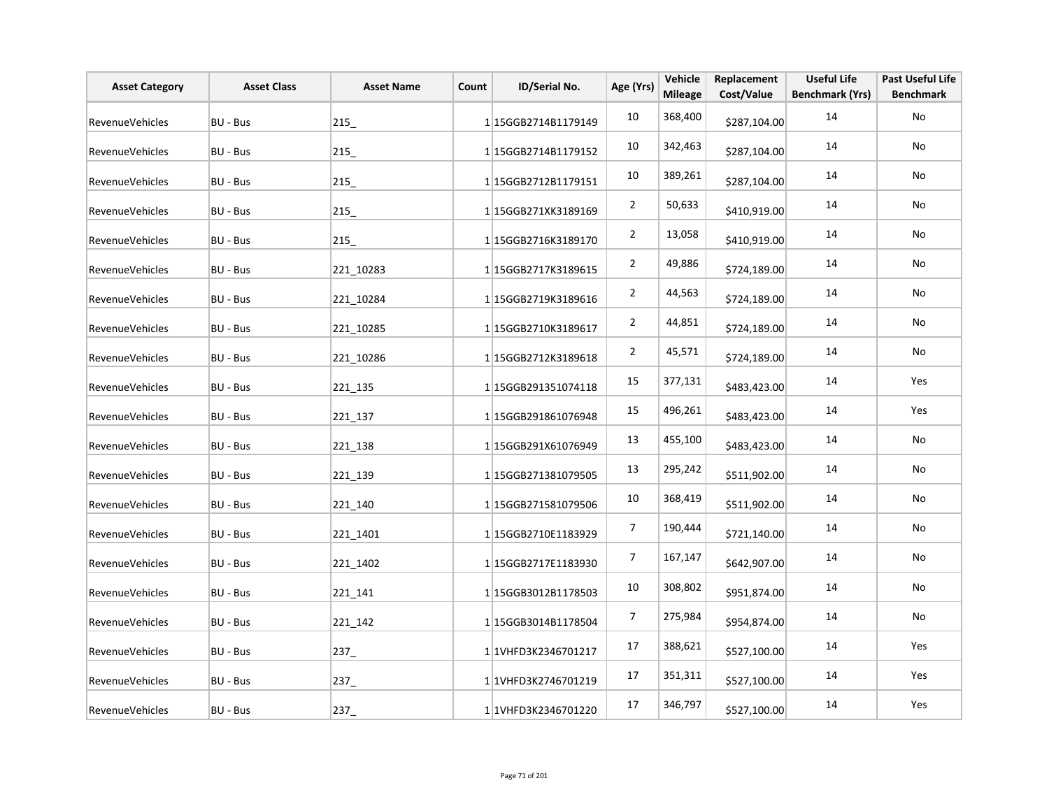| <b>Asset Category</b>  | <b>Asset Class</b> | <b>Asset Name</b> | Count | ID/Serial No.        | Age (Yrs)      | Vehicle<br><b>Mileage</b> | Replacement<br>Cost/Value | <b>Useful Life</b><br><b>Benchmark (Yrs)</b> | <b>Past Useful Life</b><br><b>Benchmark</b> |
|------------------------|--------------------|-------------------|-------|----------------------|----------------|---------------------------|---------------------------|----------------------------------------------|---------------------------------------------|
| RevenueVehicles        | BU - Bus           | 215               |       | 1 15GGB2714B1179149  | 10             | 368,400                   | \$287,104.00              | 14                                           | No                                          |
| <b>RevenueVehicles</b> | BU - Bus           | 215               |       | 115GGB2714B1179152   | 10             | 342,463                   | \$287,104.00              | 14                                           | No                                          |
| <b>RevenueVehicles</b> | BU - Bus           | 215               |       | 1 15GGB2712B1179151  | 10             | 389,261                   | \$287,104.00              | 14                                           | No                                          |
| RevenueVehicles        | BU - Bus           | 215_              |       | 115GGB271XK3189169   | $\overline{2}$ | 50,633                    | \$410,919.00              | 14                                           | No                                          |
| RevenueVehicles        | BU - Bus           | 215               |       | 115GGB2716K3189170   | $\overline{2}$ | 13,058                    | \$410,919.00              | 14                                           | No                                          |
| RevenueVehicles        | BU - Bus           | 221 10283         |       | 1 15GGB2717K3189615  | $\overline{2}$ | 49,886                    | \$724,189.00              | 14                                           | No                                          |
| RevenueVehicles        | BU - Bus           | 221 10284         |       | 1 15GGB2719K3189616  | $\overline{2}$ | 44,563                    | \$724,189.00              | 14                                           | No                                          |
| RevenueVehicles        | BU - Bus           | 221 10285         |       | 1 15GGB2710K3189617  | $\overline{2}$ | 44,851                    | \$724,189.00              | 14                                           | No                                          |
| RevenueVehicles        | BU - Bus           | 221 10286         |       | 1 15GGB2712K3189618  | $\overline{2}$ | 45,571                    | \$724,189.00              | 14                                           | No                                          |
| RevenueVehicles        | BU - Bus           | 221_135           |       | 1 15GGB291351074118  | 15             | 377,131                   | \$483,423.00              | 14                                           | Yes                                         |
| RevenueVehicles        | BU - Bus           | 221_137           |       | 1 15GGB291861076948  | 15             | 496,261                   | \$483,423.00              | 14                                           | Yes                                         |
| RevenueVehicles        | BU - Bus           | 221 138           |       | 1 15GGB291X61076949  | 13             | 455,100                   | \$483,423.00              | 14                                           | No                                          |
| RevenueVehicles        | BU - Bus           | 221 139           |       | 1 15GGB271381079505  | 13             | 295,242                   | \$511,902.00              | 14                                           | No                                          |
| RevenueVehicles        | BU - Bus           | 221 140           |       | 115GGB271581079506   | 10             | 368,419                   | \$511,902.00              | 14                                           | No                                          |
| RevenueVehicles        | BU - Bus           | 221_1401          |       | 115GGB2710E1183929   | 7              | 190,444                   | \$721,140.00              | 14                                           | No                                          |
| RevenueVehicles        | BU - Bus           | 221 1402          |       | 1 15GGB2717E1183930  | $\overline{7}$ | 167,147                   | \$642,907.00              | 14                                           | No                                          |
| RevenueVehicles        | BU - Bus           | 221_141           |       | 1 15GGB3012B1178503  | 10             | 308,802                   | \$951,874.00              | 14                                           | No                                          |
| RevenueVehicles        | BU - Bus           | 221_142           |       | 1 15GGB3014B1178504  | 7              | 275,984                   | \$954,874.00              | 14                                           | No                                          |
| RevenueVehicles        | BU - Bus           | 237_              |       | 1 1VHFD3K2346701217  | 17             | 388,621                   | \$527,100.00              | 14                                           | Yes                                         |
| RevenueVehicles        | BU - Bus           | 237_              |       | 1 1 VHFD3K2746701219 | 17             | 351,311                   | \$527,100.00              | 14                                           | Yes                                         |
| RevenueVehicles        | BU - Bus           | 237_              |       | 1 1VHFD3K2346701220  | 17             | 346,797                   | \$527,100.00              | 14                                           | Yes                                         |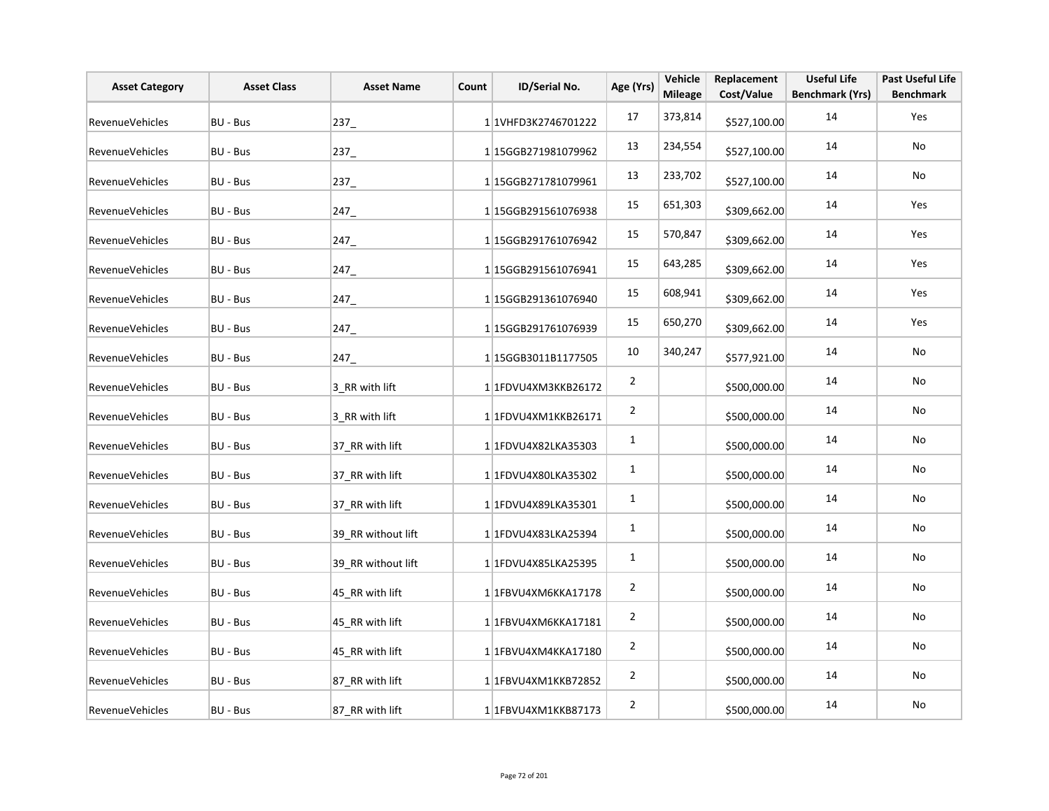| <b>Asset Category</b>  | <b>Asset Class</b> | <b>Asset Name</b>  | Count | ID/Serial No.        | Age (Yrs)      | Vehicle<br><b>Mileage</b> | Replacement<br>Cost/Value | <b>Useful Life</b><br><b>Benchmark (Yrs)</b> | <b>Past Useful Life</b><br><b>Benchmark</b> |
|------------------------|--------------------|--------------------|-------|----------------------|----------------|---------------------------|---------------------------|----------------------------------------------|---------------------------------------------|
| RevenueVehicles        | <b>BU - Bus</b>    | $237 -$            |       | 1 1VHFD3K2746701222  | 17             | 373,814                   | \$527,100.00              | 14                                           | Yes                                         |
| <b>RevenueVehicles</b> | BU - Bus           | 237                |       | 1 15GGB271981079962  | 13             | 234,554                   | \$527,100.00              | 14                                           | No                                          |
| <b>RevenueVehicles</b> | <b>BU - Bus</b>    | $237 -$            |       | 1 15GGB271781079961  | 13             | 233,702                   | \$527,100.00              | 14                                           | No                                          |
| RevenueVehicles        | <b>BU - Bus</b>    | 247                |       | 1 15GGB291561076938  | 15             | 651,303                   | \$309,662.00              | 14                                           | Yes                                         |
| RevenueVehicles        | BU - Bus           | 247                |       | 1 15GGB291761076942  | 15             | 570,847                   | \$309,662.00              | 14                                           | Yes                                         |
| RevenueVehicles        | BU - Bus           | 247                |       | 1 15GGB291561076941  | 15             | 643,285                   | \$309,662.00              | 14                                           | Yes                                         |
| <b>RevenueVehicles</b> | BU - Bus           | 247                |       | 1 15GGB291361076940  | 15             | 608,941                   | \$309,662.00              | 14                                           | Yes                                         |
| <b>RevenueVehicles</b> | BU - Bus           | 247                |       | 1 15GGB291761076939  | 15             | 650,270                   | \$309,662.00              | 14                                           | Yes                                         |
| RevenueVehicles        | BU - Bus           | 247                |       | 1 15GGB3011B1177505  | 10             | 340,247                   | \$577,921.00              | 14                                           | No                                          |
| <b>RevenueVehicles</b> | BU - Bus           | 3_RR with lift     |       | 1 1FDVU4XM3KKB26172  | $\overline{2}$ |                           | \$500,000.00              | 14                                           | No                                          |
| RevenueVehicles        | <b>BU - Bus</b>    | 3 RR with lift     |       | 1 1FDVU4XM1KKB26171  | $\overline{2}$ |                           | \$500,000.00              | 14                                           | No                                          |
| <b>RevenueVehicles</b> | BU - Bus           | 37_RR with lift    |       | 1 1FDVU4X82LKA35303  | $\mathbf{1}$   |                           | \$500,000.00              | 14                                           | No                                          |
| <b>RevenueVehicles</b> | BU - Bus           | 37_RR with lift    |       | 1 1FDVU4X80LKA35302  | $\mathbf{1}$   |                           | \$500,000.00              | 14                                           | No                                          |
| <b>RevenueVehicles</b> | BU - Bus           | 37_RR with lift    |       | 1 1 FDVU4X89LKA35301 | $\mathbf{1}$   |                           | \$500,000.00              | 14                                           | No                                          |
| <b>RevenueVehicles</b> | <b>BU - Bus</b>    | 39 RR without lift |       | 1 1FDVU4X83LKA25394  | $\mathbf 1$    |                           | \$500,000.00              | 14                                           | No                                          |
| <b>RevenueVehicles</b> | BU - Bus           | 39 RR without lift |       | 1 1FDVU4X85LKA25395  | 1              |                           | \$500,000.00              | 14                                           | No                                          |
| <b>RevenueVehicles</b> | BU - Bus           | 45 RR with lift    |       | 1 1FBVU4XM6KKA17178  | $\overline{2}$ |                           | \$500,000.00              | 14                                           | No                                          |
| <b>RevenueVehicles</b> | BU - Bus           | 45_RR with lift    |       | 1 1FBVU4XM6KKA17181  | $\overline{2}$ |                           | \$500,000.00              | 14                                           | No                                          |
| RevenueVehicles        | BU - Bus           | 45_RR with lift    |       | 1 1FBVU4XM4KKA17180  | $\overline{2}$ |                           | \$500,000.00              | 14                                           | No                                          |
| RevenueVehicles        | <b>BU - Bus</b>    | 87 RR with lift    |       | 1 1FBVU4XM1KKB72852  | $\overline{2}$ |                           | \$500,000.00              | 14                                           | No                                          |
| RevenueVehicles        | BU - Bus           | 87 RR with lift    |       | 1 1FBVU4XM1KKB87173  | $\overline{2}$ |                           | \$500,000.00              | 14                                           | No                                          |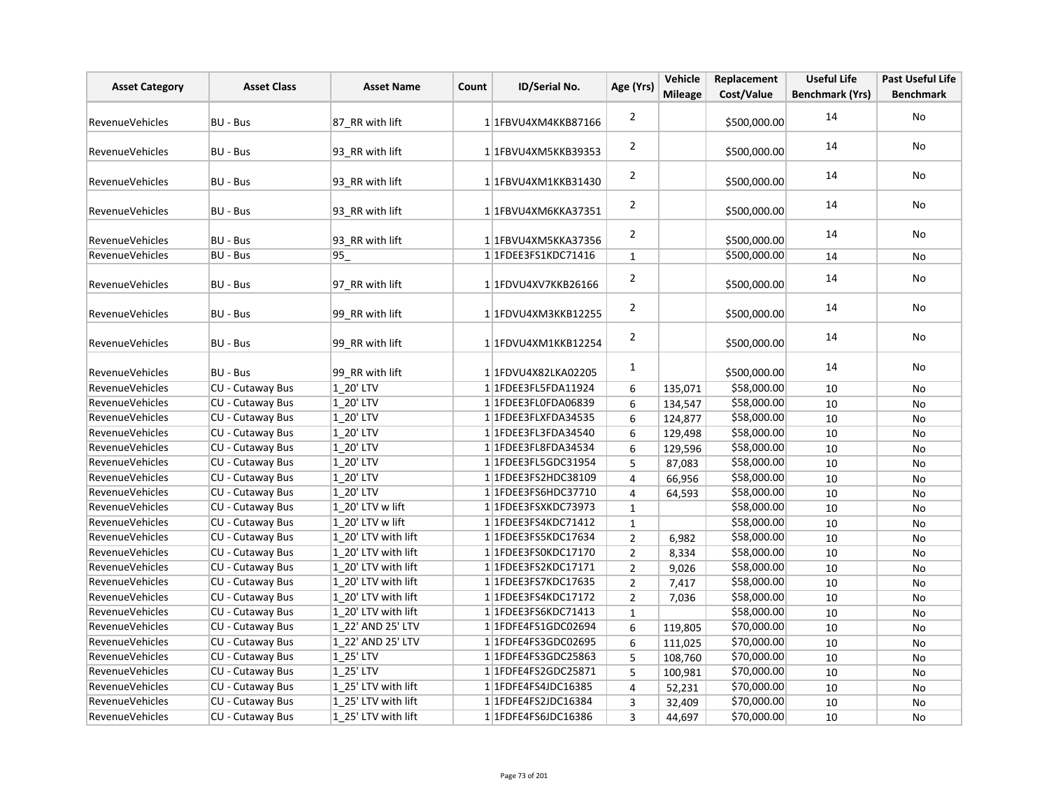| <b>Asset Category</b>  | <b>Asset Class</b>      | <b>Asset Name</b>   | Count | ID/Serial No.               | Age (Yrs)      | Vehicle        | Replacement  | <b>Useful Life</b>     | <b>Past Useful Life</b> |
|------------------------|-------------------------|---------------------|-------|-----------------------------|----------------|----------------|--------------|------------------------|-------------------------|
|                        |                         |                     |       |                             |                | <b>Mileage</b> | Cost/Value   | <b>Benchmark (Yrs)</b> | <b>Benchmark</b>        |
| <b>RevenueVehicles</b> | BU - Bus                | 87 RR with lift     |       | 1 1 FBVU4XM4KKB87166        | $\overline{2}$ |                | \$500,000.00 | 14                     | No                      |
| RevenueVehicles        | BU - Bus                | 93 RR with lift     |       | 1 1FBVU4XM5KKB39353         | $\overline{2}$ |                | \$500,000.00 | 14                     | No                      |
| <b>RevenueVehicles</b> | BU - Bus                | 93 RR with lift     |       | 11FBVU4XM1KKB31430          | $\overline{2}$ |                | \$500,000.00 | 14                     | No                      |
| RevenueVehicles        | BU - Bus                | 93 RR with lift     |       | 1 1FBVU4XM6KKA37351         | $\overline{2}$ |                | \$500,000.00 | 14                     | No                      |
| <b>RevenueVehicles</b> | BU - Bus                | 93 RR with lift     |       | 1 1FBVU4XM5KKA37356         | $\overline{2}$ |                | \$500,000.00 | 14                     | No                      |
| RevenueVehicles        | BU - Bus                | 95                  |       | 1 1FDEE3FS1KDC71416         | $\mathbf 1$    |                | \$500,000.00 | 14                     | <b>No</b>               |
| RevenueVehicles        | BU - Bus                | 97 RR with lift     |       | 1 1FDVU4XV7KKB26166         | $\overline{2}$ |                | \$500,000.00 | 14                     | No                      |
| RevenueVehicles        | BU - Bus                | 99 RR with lift     |       | 1 1 FDVU4XM3KKB12255        | $\overline{2}$ |                | \$500,000.00 | 14                     | <b>No</b>               |
| <b>RevenueVehicles</b> | BU - Bus                | 99 RR with lift     |       | 1 1 FDVU4XM1KKB12254        | $\overline{2}$ |                | \$500,000.00 | 14                     | No                      |
| <b>RevenueVehicles</b> | BU - Bus                | 99 RR with lift     |       | 1 1 FDVU4X82LKA02205        | $\mathbf{1}$   |                | \$500,000.00 | 14                     | No                      |
| RevenueVehicles        | <b>CU - Cutaway Bus</b> | 1 20' LTV           |       | 1 1FDEE3FL5FDA11924         | 6              | 135,071        | \$58,000.00  | 10                     | No                      |
| RevenueVehicles        | <b>CU - Cutaway Bus</b> | 1 20' LTV           |       | 1 1FDEE3FL0FDA06839         | 6              | 134,547        | \$58,000.00  | 10                     | No                      |
| RevenueVehicles        | <b>CU - Cutaway Bus</b> | 1 20' LTV           |       | 1 1FDEE3FLXFDA34535         | 6              | 124,877        | \$58,000.00  | 10                     | No                      |
| <b>RevenueVehicles</b> | CU - Cutaway Bus        | 1 20' LTV           |       | 1 1FDEE3FL3FDA34540         | 6              | 129,498        | \$58,000.00  | 10                     | No                      |
| RevenueVehicles        | <b>CU - Cutaway Bus</b> | 1 20' LTV           |       | 1 1FDEE3FL8FDA34534         | 6              | 129,596        | \$58,000.00  | 10                     | No                      |
| RevenueVehicles        | CU - Cutaway Bus        | 1 20' LTV           |       | 1 1FDEE3FL5GDC31954         | 5              | 87,083         | \$58,000.00  | 10                     | No                      |
| RevenueVehicles        | CU - Cutaway Bus        | 1 20' LTV           |       | 1 1FDEE3FS2HDC38109         | 4              | 66,956         | \$58,000.00  | 10                     | No                      |
| RevenueVehicles        | CU - Cutaway Bus        | 1 20' LTV           |       | 1 1 FDEE3 FS6 HDC3 7710     | 4              | 64,593         | \$58,000.00  | 10                     | <b>No</b>               |
| RevenueVehicles        | CU - Cutaway Bus        | 1 20' LTV w lift    |       | 1 1FDEE3FSXKDC73973         | $\mathbf{1}$   |                | \$58,000.00  | 10                     | No                      |
| RevenueVehicles        | <b>CU - Cutaway Bus</b> | 1 20' LTV w lift    |       | 1 1 FDEE3 FS4 KDC 7 1 4 1 2 | $\mathbf 1$    |                | \$58,000.00  | 10                     | No                      |
| <b>RevenueVehicles</b> | CU - Cutaway Bus        | 1 20' LTV with lift |       | 1 1 FDEE3 FS5 KDC 17634     | $\overline{2}$ | 6,982          | \$58,000.00  | 10                     | No                      |
| <b>RevenueVehicles</b> | <b>CU - Cutaway Bus</b> | 1 20' LTV with lift |       | 1 1FDEE3FS0KDC17170         | $\overline{2}$ | 8,334          | \$58,000.00  | 10                     | No                      |
| RevenueVehicles        | CU - Cutaway Bus        | 1 20' LTV with lift |       | 1 1 FDEE3FS2KDC17171        | $\overline{2}$ | 9,026          | \$58,000.00  | 10                     | No                      |
| RevenueVehicles        | CU - Cutaway Bus        | 1 20' LTV with lift |       | 1 1FDEE3FS7KDC17635         | $\overline{2}$ | 7,417          | \$58,000.00  | 10                     | No                      |
| RevenueVehicles        | <b>CU - Cutaway Bus</b> | 1 20' LTV with lift |       | 1 1 FDEE3 FS4 KDC 17172     | $\overline{2}$ | 7,036          | \$58,000.00  | 10                     | <b>No</b>               |
| RevenueVehicles        | CU - Cutaway Bus        | 1 20' LTV with lift |       | 1 1 FDEE3 FS6 KDC 7 1 4 1 3 | $\mathbf{1}$   |                | \$58,000.00  | 10                     | No                      |
| <b>RevenueVehicles</b> | <b>CU - Cutaway Bus</b> | 1 22' AND 25' LTV   |       | 1 1FDFE4FS1GDC02694         | 6              | 119,805        | \$70,000.00  | 10                     | No                      |
| RevenueVehicles        | <b>CU - Cutaway Bus</b> | 1 22' AND 25' LTV   |       | 1 1 FDFE4FS3GDC02695        | 6              | 111,025        | \$70,000.00  | 10                     | <b>No</b>               |
| <b>RevenueVehicles</b> | CU - Cutaway Bus        | 1 25' LTV           |       | 1 1 FDFE4FS3GDC25863        | 5              | 108,760        | \$70,000.00  | 10                     | No                      |
| RevenueVehicles        | <b>CU - Cutaway Bus</b> | 1 25' LTV           |       | 1 1FDFE4FS2GDC25871         | 5              | 100,981        | \$70,000.00  | 10                     | No                      |
| RevenueVehicles        | CU - Cutaway Bus        | 1 25' LTV with lift |       | 1 1 FDFE4FS4JDC16385        | $\pmb{4}$      | 52,231         | \$70,000.00  | 10                     | No                      |
| <b>RevenueVehicles</b> | CU - Cutaway Bus        | 1 25' LTV with lift |       | 1 1FDFE4FS2JDC16384         | 3              | 32,409         | \$70,000.00  | 10                     | No                      |
| <b>RevenueVehicles</b> | <b>CU - Cutaway Bus</b> | 1 25' LTV with lift |       | 1 1FDFE4FS6JDC16386         | $\overline{3}$ | 44,697         | \$70,000.00  | 10                     | No                      |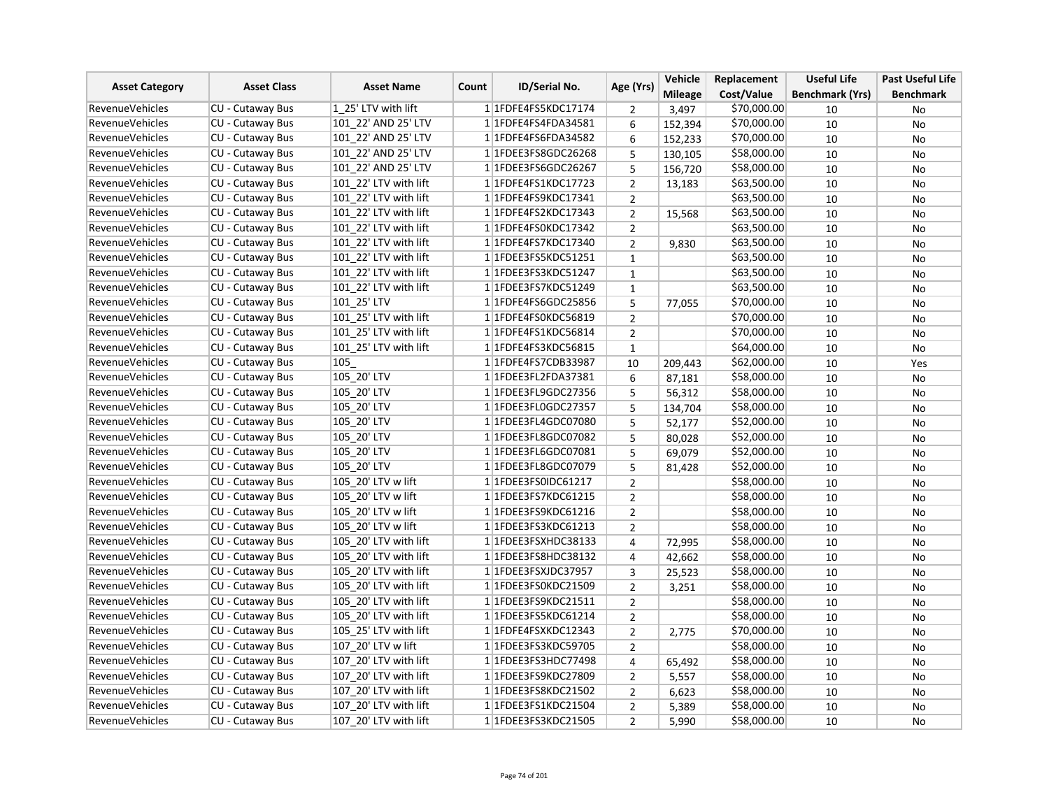| <b>Asset Category</b>  |                         | <b>Asset Name</b>     | <b>ID/Serial No.</b><br>Count | Age (Yrs)                | Vehicle        | Replacement    | <b>Useful Life</b> | <b>Past Useful Life</b> |                  |
|------------------------|-------------------------|-----------------------|-------------------------------|--------------------------|----------------|----------------|--------------------|-------------------------|------------------|
|                        | <b>Asset Class</b>      |                       |                               |                          |                | <b>Mileage</b> | Cost/Value         | <b>Benchmark (Yrs)</b>  | <b>Benchmark</b> |
| <b>RevenueVehicles</b> | <b>CU - Cutaway Bus</b> | 1 25' LTV with lift   |                               | 1 1FDFE4FS5KDC17174      | 2              | 3,497          | \$70,000.00        | 10                      | No               |
| <b>RevenueVehicles</b> | CU - Cutaway Bus        | 101 22' AND 25' LTV   |                               | 1 1FDFE4FS4FDA34581      | 6              | 152,394        | \$70,000.00        | 10                      | No               |
| <b>RevenueVehicles</b> | <b>CU - Cutaway Bus</b> | 101 22' AND 25' LTV   |                               | 1 1FDFE4FS6FDA34582      | 6              | 152,233        | \$70,000.00        | 10                      | <b>No</b>        |
| <b>RevenueVehicles</b> | CU - Cutaway Bus        | 101 22' AND 25' LTV   |                               | 1 1 FDEE3 FS8 GDC 26268  | 5              | 130,105        | \$58,000.00        | 10                      | No               |
| <b>RevenueVehicles</b> | <b>CU - Cutaway Bus</b> | 101 22' AND 25' LTV   |                               | 1 1FDEE3FS6GDC26267      | 5              | 156,720        | \$58,000.00        | 10                      | No               |
| RevenueVehicles        | CU - Cutaway Bus        | 101 22' LTV with lift |                               | 1 1FDFE4FS1KDC17723      | $\overline{2}$ | 13,183         | \$63,500.00        | 10                      | <b>No</b>        |
| <b>RevenueVehicles</b> | CU - Cutaway Bus        | 101 22' LTV with lift |                               | 1 1 FDFE4FS9KDC17341     | $\overline{2}$ |                | \$63,500.00        | 10                      | No               |
| <b>RevenueVehicles</b> | <b>CU - Cutaway Bus</b> | 101 22' LTV with lift |                               | 1 1FDFE4FS2KDC17343      | $\overline{2}$ | 15,568         | \$63,500.00        | 10                      | No               |
| <b>RevenueVehicles</b> | CU - Cutaway Bus        | 101 22' LTV with lift |                               | 1 1FDFE4FS0KDC17342      | $\mathbf{2}$   |                | \$63,500.00        | 10                      | No               |
| <b>RevenueVehicles</b> | <b>CU - Cutaway Bus</b> | 101 22' LTV with lift |                               | 11FDFE4FS7KDC17340       | $\overline{2}$ | 9.830          | \$63,500.00        | 10                      | No               |
| <b>RevenueVehicles</b> | <b>CU - Cutaway Bus</b> | 101 22' LTV with lift |                               | 1 1 FDEE3FS5KDC51251     | $\mathbf{1}$   |                | \$63,500.00        | 10                      | No               |
| <b>RevenueVehicles</b> | CU - Cutaway Bus        | 101 22' LTV with lift |                               | 1 1 FDEE3FS3KDC51247     | $\mathbf{1}$   |                | \$63,500.00        | 10                      | No               |
| <b>RevenueVehicles</b> | CU - Cutaway Bus        | 101 22' LTV with lift |                               | 1 1FDEE3FS7KDC51249      | $\mathbf 1$    |                | \$63,500.00        | 10                      | No               |
| <b>RevenueVehicles</b> | <b>CU - Cutaway Bus</b> | 101 25' LTV           |                               | 1 1 FDFE4FS6GDC25856     | 5              | 77,055         | \$70,000.00        | 10                      | No               |
| RevenueVehicles        | <b>CU - Cutaway Bus</b> | 101 25' LTV with lift |                               | 1 1FDFE4FS0KDC56819      | $\overline{2}$ |                | \$70,000.00        | 10                      | No               |
| <b>RevenueVehicles</b> | CU - Cutaway Bus        | 101 25' LTV with lift |                               | 1 1 FDFE4FS1KDC56814     | $\overline{2}$ |                | \$70,000.00        | 10                      | No               |
| <b>RevenueVehicles</b> | <b>CU - Cutaway Bus</b> | 101 25' LTV with lift |                               | 1 1FDFE4FS3KDC56815      | $\mathbf{1}$   |                | \$64,000.00        | 10                      | No               |
| <b>RevenueVehicles</b> | CU - Cutaway Bus        | 105                   |                               | 1 1FDFE4FS7CDB33987      | 10             | 209,443        | \$62,000.00        | 10                      | Yes              |
| <b>RevenueVehicles</b> | <b>CU - Cutaway Bus</b> | 105_20' LTV           |                               | 1 1FDEE3FL2FDA37381      | 6              | 87,181         | \$58,000.00        | 10                      | No               |
| <b>RevenueVehicles</b> | <b>CU - Cutaway Bus</b> | 105 20' LTV           |                               | 1 1FDEE3FL9GDC27356      | 5              | 56,312         | \$58,000.00        | 10                      | No               |
| RevenueVehicles        | <b>CU - Cutaway Bus</b> | 105 20' LTV           |                               | 1 1FDEE3FL0GDC27357      | 5              | 134,704        | \$58,000.00        | 10                      | No               |
| <b>RevenueVehicles</b> | CU - Cutaway Bus        | 105 20' LTV           |                               | 1 1FDEE3FL4GDC07080      | 5              | 52,177         | \$52,000.00        | 10                      | No               |
| <b>RevenueVehicles</b> | <b>CU - Cutaway Bus</b> | 105 20' LTV           |                               | 1 1FDEE3FL8GDC07082      | 5              | 80,028         | \$52,000.00        | 10                      | No               |
| <b>RevenueVehicles</b> | <b>CU - Cutaway Bus</b> | 105 20' LTV           |                               | 1 1 FDEE3 FL6GDC07081    | 5              | 69,079         | \$52,000.00        | 10                      | No               |
| <b>RevenueVehicles</b> | CU - Cutaway Bus        | 105 20' LTV           |                               | 1 1FDEE3FL8GDC07079      | 5              | 81,428         | \$52,000.00        | 10                      | No               |
| <b>RevenueVehicles</b> | CU - Cutaway Bus        | 105 20' LTV w lift    |                               | 1 1 FDEE3 FS0 IDC6 1217  | $\overline{2}$ |                | \$58,000.00        | 10                      | No               |
| <b>RevenueVehicles</b> | CU - Cutaway Bus        | 105 20' LTV w lift    |                               | 1 1FDEE3FS7KDC61215      | $\overline{2}$ |                | \$58,000.00        | 10                      | No               |
| <b>RevenueVehicles</b> | <b>CU - Cutaway Bus</b> | 105_20' LTV w lift    |                               | 1 1FDEE3FS9KDC61216      | $\overline{2}$ |                | \$58,000.00        | 10                      | No               |
| <b>RevenueVehicles</b> | CU - Cutaway Bus        | 105_20' LTV w lift    |                               | 1 1FDEE3FS3KDC61213      | $\mathbf 2$    |                | \$58,000.00        | 10                      | No               |
| <b>RevenueVehicles</b> | CU - Cutaway Bus        | 105 20' LTV with lift |                               | 1 1FDEE3FSXHDC38133      | 4              | 72,995         | \$58,000.00        | 10                      | No               |
| <b>RevenueVehicles</b> | <b>CU - Cutaway Bus</b> | 105 20' LTV with lift |                               | 1 1 FDEE3 FS8 HDC38132   | 4              | 42,662         | \$58,000.00        | 10                      | No               |
| <b>RevenueVehicles</b> | <b>CU - Cutaway Bus</b> | 105 20' LTV with lift |                               | 1 1 FDEE3FSXJDC37957     | 3              | 25,523         | \$58,000.00        | 10                      | No               |
| <b>RevenueVehicles</b> | CU - Cutaway Bus        | 105 20' LTV with lift |                               | 1 1FDEE3FS0KDC21509      | $\overline{2}$ | 3,251          | \$58,000.00        | 10                      | No               |
| <b>RevenueVehicles</b> | <b>CU - Cutaway Bus</b> | 105 20' LTV with lift |                               | 1 1 FDEE3FS9KDC21511     | $\overline{2}$ |                | \$58,000.00        | 10                      | No               |
| RevenueVehicles        | <b>CU - Cutaway Bus</b> | 105 20' LTV with lift |                               | 1 1FDEE3FS5KDC61214      | $\overline{2}$ |                | \$58,000.00        | 10                      | No               |
| <b>RevenueVehicles</b> | CU - Cutaway Bus        | 105_25' LTV with lift |                               | 1 1FDFE4FSXKDC12343      | $\overline{2}$ | 2,775          | \$70,000.00        | 10                      | No               |
| <b>RevenueVehicles</b> | <b>CU - Cutaway Bus</b> | 107 20' LTV w lift    |                               | 1 1 FDEE3 FS3 KDC5 9705  | $\overline{2}$ |                | \$58,000.00        | 10                      | No               |
| <b>RevenueVehicles</b> | CU - Cutaway Bus        | 107_20' LTV with lift |                               | 1 1FDEE3FS3HDC77498      | 4              | 65,492         | \$58,000.00        | 10                      | No               |
| <b>RevenueVehicles</b> | CU - Cutaway Bus        | 107 20' LTV with lift |                               | 1 1FDEE3FS9KDC27809      | $\overline{2}$ | 5,557          | \$58,000.00        | 10                      | No               |
| <b>RevenueVehicles</b> | <b>CU - Cutaway Bus</b> | 107 20' LTV with lift |                               | 1 1 FDEE3 FS8 KDC 21502  | $\overline{2}$ | 6,623          | \$58,000.00        | 10                      | No               |
| <b>RevenueVehicles</b> | <b>CU - Cutaway Bus</b> | 107 20' LTV with lift |                               | 1 1FDEE3FS1KDC21504      | $\overline{2}$ | 5,389          | \$58,000.00        | 10                      | <b>No</b>        |
| <b>RevenueVehicles</b> | CU - Cutaway Bus        | 107 20' LTV with lift |                               | 1 1 FDEE3 FS3 KDC 2 1505 | $\overline{2}$ | 5,990          | \$58,000.00        | 10                      | No               |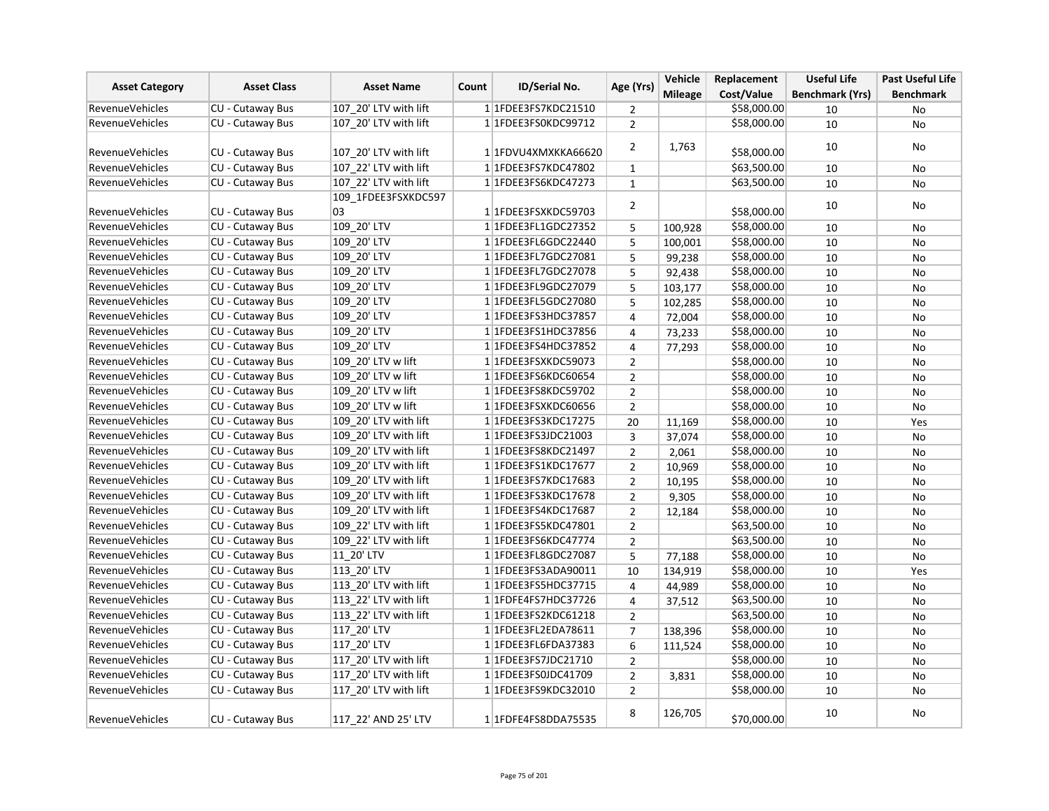| <b>Asset Category</b>  | <b>Asset Class</b>      | <b>Asset Name</b>     | Count | ID/Serial No.           | Age (Yrs)      | Vehicle        | Replacement | <b>Useful Life</b>     | <b>Past Useful Life</b> |
|------------------------|-------------------------|-----------------------|-------|-------------------------|----------------|----------------|-------------|------------------------|-------------------------|
|                        |                         |                       |       |                         |                | <b>Mileage</b> | Cost/Value  | <b>Benchmark (Yrs)</b> | <b>Benchmark</b>        |
| <b>RevenueVehicles</b> | CU - Cutaway Bus        | 107 20' LTV with lift |       | 1 1FDEE3FS7KDC21510     | $\overline{2}$ |                | \$58,000.00 | 10                     | No                      |
| <b>RevenueVehicles</b> | CU - Cutaway Bus        | 107 20' LTV with lift |       | 1 1FDEE3FS0KDC99712     | $\overline{2}$ |                | \$58,000.00 | 10                     | No                      |
| <b>RevenueVehicles</b> | CU - Cutaway Bus        | 107 20' LTV with lift |       | 1 1FDVU4XMXKKA66620     | 2              | 1,763          | \$58,000.00 | 10                     | No                      |
| <b>RevenueVehicles</b> | <b>CU - Cutaway Bus</b> | 107 22' LTV with lift |       | 1 1FDEE3FS7KDC47802     | $\mathbf{1}$   |                | \$63,500.00 | 10                     | No                      |
| <b>RevenueVehicles</b> | CU - Cutaway Bus        | 107 22' LTV with lift |       | 1 1 FDEE3 FS6KDC47273   | $\mathbf{1}$   |                | \$63,500.00 | 10                     | <b>No</b>               |
|                        |                         | 109 1FDEE3FSXKDC597   |       |                         |                |                |             |                        |                         |
| <b>RevenueVehicles</b> | CU - Cutaway Bus        | 03                    |       | 1 1FDEE3FSXKDC59703     | 2              |                | \$58,000.00 | 10                     | No                      |
| <b>RevenueVehicles</b> | CU - Cutaway Bus        | 109 20' LTV           |       | 1 1FDEE3FL1GDC27352     | 5              | 100,928        | \$58,000.00 | 10                     | No                      |
| <b>RevenueVehicles</b> | CU - Cutaway Bus        | 109 20' LTV           |       | 1 1 FDEE3 FL6GDC22440   | 5              | 100,001        | \$58,000.00 | 10                     | No                      |
| <b>RevenueVehicles</b> | CU - Cutaway Bus        | 109 20' LTV           |       | 1 1FDEE3FL7GDC27081     | 5              | 99,238         | \$58,000.00 | 10                     | <b>No</b>               |
| <b>RevenueVehicles</b> | CU - Cutaway Bus        | 109_20' LTV           |       | 1 1FDEE3FL7GDC27078     | 5              | 92,438         | \$58,000.00 | 10                     | No                      |
| <b>RevenueVehicles</b> | CU - Cutaway Bus        | 109_20' LTV           |       | 1 1 FDEE3 FL9 GDC 27079 | 5              | 103,177        | \$58,000.00 | 10                     | No                      |
| <b>RevenueVehicles</b> | <b>CU - Cutaway Bus</b> | 109 20' LTV           |       | 1 1 FDEE3 FL5 GDC 27080 | 5              | 102,285        | \$58,000.00 | 10                     | No                      |
| <b>RevenueVehicles</b> | CU - Cutaway Bus        | 109 20' LTV           |       | 1 1 FDEE3 FS3 HDC3 7857 | 4              | 72,004         | \$58,000.00 | 10                     | No                      |
| <b>RevenueVehicles</b> | CU - Cutaway Bus        | 109 20' LTV           |       | 1 1 FDEE3 FS1 HDC3 7856 | $\overline{4}$ | 73,233         | \$58,000.00 | 10                     | <b>No</b>               |
| <b>RevenueVehicles</b> | CU - Cutaway Bus        | 109 20' LTV           |       | 1 1 FDEE3FS4HDC37852    | 4              | 77,293         | \$58,000.00 | 10                     | No                      |
| <b>RevenueVehicles</b> | CU - Cutaway Bus        | 109 20' LTV w lift    |       | 1 1FDEE3FSXKDC59073     | $\overline{2}$ |                | \$58,000.00 | 10                     | No                      |
| <b>RevenueVehicles</b> | CU - Cutaway Bus        | 109 20' LTV w lift    |       | 1 1FDEE3FS6KDC60654     | $\overline{2}$ |                | \$58,000.00 | 10                     | No                      |
| <b>RevenueVehicles</b> | CU - Cutaway Bus        | 109 20' LTV w lift    |       | 1 1FDEE3FS8KDC59702     | $\overline{2}$ |                | \$58,000.00 | 10                     | No                      |
| <b>RevenueVehicles</b> | <b>CU - Cutaway Bus</b> | 109 20' LTV w lift    |       | 1 1FDEE3FSXKDC60656     | $\overline{2}$ |                | \$58,000.00 | 10                     | No                      |
| <b>RevenueVehicles</b> | CU - Cutaway Bus        | 109 20' LTV with lift |       | 1 1 FDEE3 FS3 KDC 17275 | 20             | 11,169         | \$58,000.00 | 10                     | Yes                     |
| <b>RevenueVehicles</b> | CU - Cutaway Bus        | 109 20' LTV with lift |       | 1 1 FDEE3FS3JDC21003    | 3              | 37,074         | \$58,000.00 | 10                     | No                      |
| <b>RevenueVehicles</b> | CU - Cutaway Bus        | 109 20' LTV with lift |       | 1 1FDEE3FS8KDC21497     | $\overline{2}$ | 2,061          | \$58,000.00 | 10                     | No                      |
| <b>RevenueVehicles</b> | CU - Cutaway Bus        | 109 20' LTV with lift |       | 1 1 FDEE3 FS1 KDC17677  | $\overline{2}$ | 10,969         | \$58,000.00 | 10                     | No                      |
| <b>RevenueVehicles</b> | <b>CU - Cutaway Bus</b> | 109 20' LTV with lift |       | 1 1FDEE3FS7KDC17683     | $\overline{2}$ | 10,195         | \$58,000.00 | 10                     | No                      |
| <b>RevenueVehicles</b> | CU - Cutaway Bus        | 109 20' LTV with lift |       | 11FDEE3FS3KDC17678      | $\overline{2}$ | 9.305          | \$58,000.00 | 10                     | No                      |
| <b>RevenueVehicles</b> | CU - Cutaway Bus        | 109 20' LTV with lift |       | 1 1 FDEE3 FS4 KDC 17687 | 2              | 12,184         | \$58,000.00 | 10                     | No                      |
| <b>RevenueVehicles</b> | CU - Cutaway Bus        | 109 22' LTV with lift |       | 1 1 FDEE3 FS5 KDC47801  | $\overline{2}$ |                | \$63,500.00 | 10                     | No                      |
| <b>RevenueVehicles</b> | CU - Cutaway Bus        | 109 22' LTV with lift |       | 1 1FDEE3FS6KDC47774     | $\overline{2}$ |                | \$63,500.00 | 10                     | No                      |
| <b>RevenueVehicles</b> | CU - Cutaway Bus        | 11 20' LTV            |       | 1 1 FDEE3 FL8 GDC 27087 | 5              | 77,188         | \$58,000.00 | 10                     | No                      |
| <b>RevenueVehicles</b> | CU - Cutaway Bus        | 113 20' LTV           |       | 1 1 FDEE3FS3ADA90011    | 10             | 134,919        | \$58,000.00 | 10                     | Yes                     |
| <b>RevenueVehicles</b> | CU - Cutaway Bus        | 113 20' LTV with lift |       | 1 1 FDEE3 FS5 HDC3 7715 | 4              | 44,989         | \$58,000.00 | 10                     | <b>No</b>               |
| <b>RevenueVehicles</b> | CU - Cutaway Bus        | 113_22' LTV with lift |       | 1 1FDFE4FS7HDC37726     | 4              | 37,512         | \$63,500.00 | 10                     | No                      |
| RevenueVehicles        | CU - Cutaway Bus        | 113 22' LTV with lift |       | 1 1FDEE3FS2KDC61218     | $\overline{2}$ |                | \$63,500.00 | 10                     | No                      |
| <b>RevenueVehicles</b> | CU - Cutaway Bus        | 117 20' LTV           |       | 1 1FDEE3FL2EDA78611     | $\overline{7}$ | 138,396        | \$58,000.00 | 10                     | No                      |
| <b>RevenueVehicles</b> | CU - Cutaway Bus        | 117 20' LTV           |       | 1 1FDEE3FL6FDA37383     | 6              | 111,524        | \$58,000.00 | 10                     | No                      |
| <b>RevenueVehicles</b> | CU - Cutaway Bus        | 117 20' LTV with lift |       | 1 1 FDEE3FS7JDC21710    | $\overline{2}$ |                | \$58,000.00 | 10                     | No                      |
| <b>RevenueVehicles</b> | CU - Cutaway Bus        | 117 20' LTV with lift |       | 1 1 FDEE3FS0JDC41709    | $\mathbf 2$    | 3,831          | \$58,000.00 | 10                     | No                      |
| <b>RevenueVehicles</b> | CU - Cutaway Bus        | 117 20' LTV with lift |       | 1 1FDEE3FS9KDC32010     | $\overline{2}$ |                | \$58,000.00 | 10                     | No                      |
| <b>RevenueVehicles</b> | CU - Cutaway Bus        | 117 22' AND 25' LTV   |       | 1 1FDFE4FS8DDA75535     | 8              | 126,705        | \$70,000.00 | 10                     | No                      |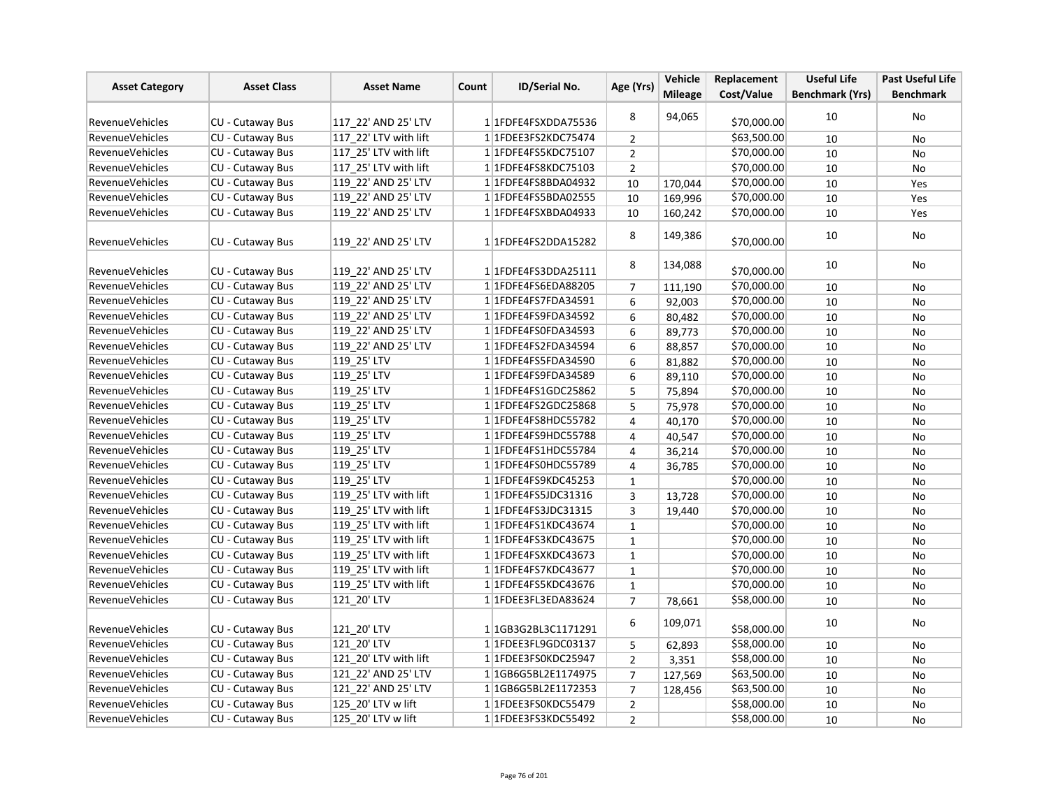| <b>Asset Category</b>  | <b>Asset Class</b>      | <b>Asset Name</b>     | Count | <b>ID/Serial No.</b>             | Age (Yrs)      | Vehicle        | Replacement | <b>Useful Life</b>     | <b>Past Useful Life</b> |
|------------------------|-------------------------|-----------------------|-------|----------------------------------|----------------|----------------|-------------|------------------------|-------------------------|
|                        |                         |                       |       |                                  |                | <b>Mileage</b> | Cost/Value  | <b>Benchmark (Yrs)</b> | <b>Benchmark</b>        |
| <b>RevenueVehicles</b> | CU - Cutaway Bus        | 117_22' AND 25' LTV   |       | 1 1FDFE4FSXDDA75536              | 8              | 94,065         | \$70,000.00 | 10                     | No                      |
| <b>RevenueVehicles</b> | <b>CU - Cutaway Bus</b> | 117 22' LTV with lift |       | 1 1 FDEE3 FS2 KDC 75474          | $\overline{2}$ |                | 563,500.00  | 10                     | <b>No</b>               |
| <b>RevenueVehicles</b> | <b>CU - Cutaway Bus</b> | 117 25' LTV with lift |       | 1 1FDFE4FS5KDC75107              | $\overline{2}$ |                | \$70,000.00 | 10                     | No                      |
| <b>RevenueVehicles</b> | CU - Cutaway Bus        | 117 25' LTV with lift |       | 1 1 FDFE4FS8KDC75103             | $\overline{2}$ |                | \$70,000.00 | 10                     | No                      |
| RevenueVehicles        | <b>CU - Cutaway Bus</b> | 119 22' AND 25' LTV   |       | 1 1FDFE4FS8BDA04932              | 10             | 170,044        | \$70,000.00 | 10                     | Yes                     |
| <b>RevenueVehicles</b> | CU - Cutaway Bus        | 119 22' AND 25' LTV   |       | 1 1FDFE4FS5BDA02555              | 10             | 169,996        | \$70,000.00 | 10                     | Yes                     |
| RevenueVehicles        | CU - Cutaway Bus        | 119 22' AND 25' LTV   |       | 1 1FDFE4FSXBDA04933              | 10             | 160,242        | \$70,000.00 | 10                     | Yes                     |
| RevenueVehicles        | CU - Cutaway Bus        | 119 22' AND 25' LTV   |       | 1 1FDFE4FS2DDA15282              | 8              | 149,386        | \$70,000.00 | 10                     | No                      |
| <b>RevenueVehicles</b> | CU - Cutaway Bus        | 119 22' AND 25' LTV   |       | 1 1FDFE4FS3DDA25111              | 8              | 134,088        | \$70,000.00 | 10                     | No                      |
| RevenueVehicles        | CU - Cutaway Bus        | 119 22' AND 25' LTV   |       | 1 1FDFE4FS6EDA88205              | $\overline{7}$ | 111,190        | \$70,000.00 | 10                     | <b>No</b>               |
| RevenueVehicles        | CU - Cutaway Bus        | 119 22' AND 25' LTV   |       | 1 1FDFE4FS7FDA34591              | 6              | 92,003         | \$70,000.00 | 10                     | No                      |
| <b>RevenueVehicles</b> | CU - Cutaway Bus        | 119 22' AND 25' LTV   |       | 1 1FDFE4FS9FDA34592              | 6              | 80,482         | \$70,000.00 | 10                     | No                      |
| <b>RevenueVehicles</b> | <b>CU - Cutaway Bus</b> | 119 22' AND 25' LTV   |       | 1 1FDFE4FS0FDA34593              | 6              | 89,773         | \$70,000.00 | 10                     | <b>No</b>               |
| <b>RevenueVehicles</b> | CU - Cutaway Bus        | 119 22' AND 25' LTV   |       | 1 1FDFE4FS2FDA34594              | 6              | 88,857         | \$70,000.00 | 10                     | No                      |
| <b>RevenueVehicles</b> | CU - Cutaway Bus        | 119 25' LTV           |       | 1 1FDFE4FS5FDA34590              | 6              | 81,882         | \$70,000.00 | 10                     | No                      |
| <b>RevenueVehicles</b> | CU - Cutaway Bus        | 119_25' LTV           |       | 1 1FDFE4FS9FDA34589              | 6              | 89,110         | \$70,000.00 | 10                     | <b>No</b>               |
| <b>RevenueVehicles</b> | CU - Cutaway Bus        | 119 25' LTV           |       | 1 1 FDFE4FS1 GDC25862            | 5              | 75,894         | \$70,000.00 | 10                     | No                      |
| RevenueVehicles        | <b>CU - Cutaway Bus</b> | 119 25' LTV           |       | 1 1FDFE4FS2GDC25868              | 5              | 75,978         | \$70,000.00 | 10                     | No                      |
| <b>RevenueVehicles</b> | <b>CU - Cutaway Bus</b> | 119 25' LTV           |       | 1 1FDFE4FS8HDC55782              | 4              | 40,170         | \$70,000.00 | 10                     | No                      |
| <b>RevenueVehicles</b> | CU - Cutaway Bus        | 119 25' LTV           |       | 1 1FDFE4FS9HDC55788              | 4              | 40,547         | \$70,000.00 | 10                     | <b>No</b>               |
| RevenueVehicles        | CU - Cutaway Bus        | 119 25' LTV           |       | 1 1FDFE4FS1HDC55784              | 4              | 36,214         | \$70,000.00 | 10                     | No                      |
| <b>RevenueVehicles</b> | CU - Cutaway Bus        | 119 25' LTV           |       | 1 1FDFE4FS0HDC55789              | 4              | 36,785         | \$70,000.00 | 10                     | No                      |
| <b>RevenueVehicles</b> | <b>CU - Cutaway Bus</b> | 119 25' LTV           |       | 1 1FDFE4FS9KDC45253              | $\mathbf{1}$   |                | \$70,000.00 | 10                     | No                      |
| <b>RevenueVehicles</b> | CU - Cutaway Bus        | 119 25' LTV with lift |       | 1 1FDFE4FS5JDC31316              | 3              | 13,728         | \$70,000.00 | 10                     | No                      |
| RevenueVehicles        | CU - Cutaway Bus        | 119 25' LTV with lift |       | 1 1FDFE4FS3JDC31315              | 3              | 19,440         | \$70,000.00 | 10                     | No                      |
| RevenueVehicles        | <b>CU - Cutaway Bus</b> | 119 25' LTV with lift |       | 1 1FDFE4FS1KDC43674              | $\mathbf{1}$   |                | \$70,000.00 | 10                     | No                      |
| <b>RevenueVehicles</b> | CU - Cutaway Bus        | 119 25' LTV with lift |       | 1 1 FDFE4FS3KDC43675             | $\mathbf{1}$   |                | \$70,000.00 | 10                     | No                      |
| <b>RevenueVehicles</b> | CU - Cutaway Bus        | 119 25' LTV with lift |       | 1 1FDFE4FSXKDC43673              | $\mathbf{1}$   |                | \$70,000.00 | 10                     | No                      |
| <b>RevenueVehicles</b> | CU - Cutaway Bus        | 119 25' LTV with lift |       | 1 1FDFE4FS7KDC43677              | $\mathbf 1$    |                | \$70,000.00 | 10                     | No                      |
| <b>RevenueVehicles</b> | CU - Cutaway Bus        | 119 25' LTV with lift |       | 1 1FDFE4FS5KDC43676              | $\mathbf 1$    |                | \$70,000.00 | 10                     | No                      |
| <b>RevenueVehicles</b> | CU - Cutaway Bus        | 121 20' LTV           |       | 1 1FDEE3FL3EDA83624              | $\overline{7}$ | 78,661         | \$58,000.00 | 10                     | <b>No</b>               |
| <b>RevenueVehicles</b> | CU - Cutaway Bus        | 121 20' LTV           |       | 1 1GB3G2BL3C1171291              | 6              | 109,071        | \$58,000.00 | 10                     | No                      |
| <b>RevenueVehicles</b> | CU - Cutaway Bus        | 121 20' LTV           |       | 1 1FDEE3FL9GDC03137              | 5              | 62,893         | \$58,000.00 | 10                     | No                      |
| <b>RevenueVehicles</b> | CU - Cutaway Bus        | 121 20' LTV with lift |       | 1 1FDEE3FS0KDC25947              | $\overline{2}$ | 3,351          | \$58,000.00 | 10                     | No                      |
| RevenueVehicles        | CU - Cutaway Bus        | 121 22' AND 25' LTV   |       | 1 1 1 GB6 G5 BL2 E 1 1 7 4 9 7 5 | $\overline{7}$ | 127,569        | \$63,500.00 | 10                     | No                      |
| <b>RevenueVehicles</b> | CU - Cutaway Bus        | 121 22' AND 25' LTV   |       | 1 1 1 GB6 G5 BL2 E 1 1 7 2 3 5 3 | $\overline{7}$ | 128,456        | \$63,500.00 | 10                     | No                      |
| RevenueVehicles        | CU - Cutaway Bus        | 125_20' LTV w lift    |       | 1 1FDEE3FS0KDC55479              | $\overline{2}$ |                | \$58,000.00 | 10                     | No                      |
| <b>RevenueVehicles</b> | <b>CU - Cutaway Bus</b> | 125 20' LTV w lift    |       | 1 1FDEE3FS3KDC55492              | $\overline{2}$ |                | \$58,000.00 | 10                     | No                      |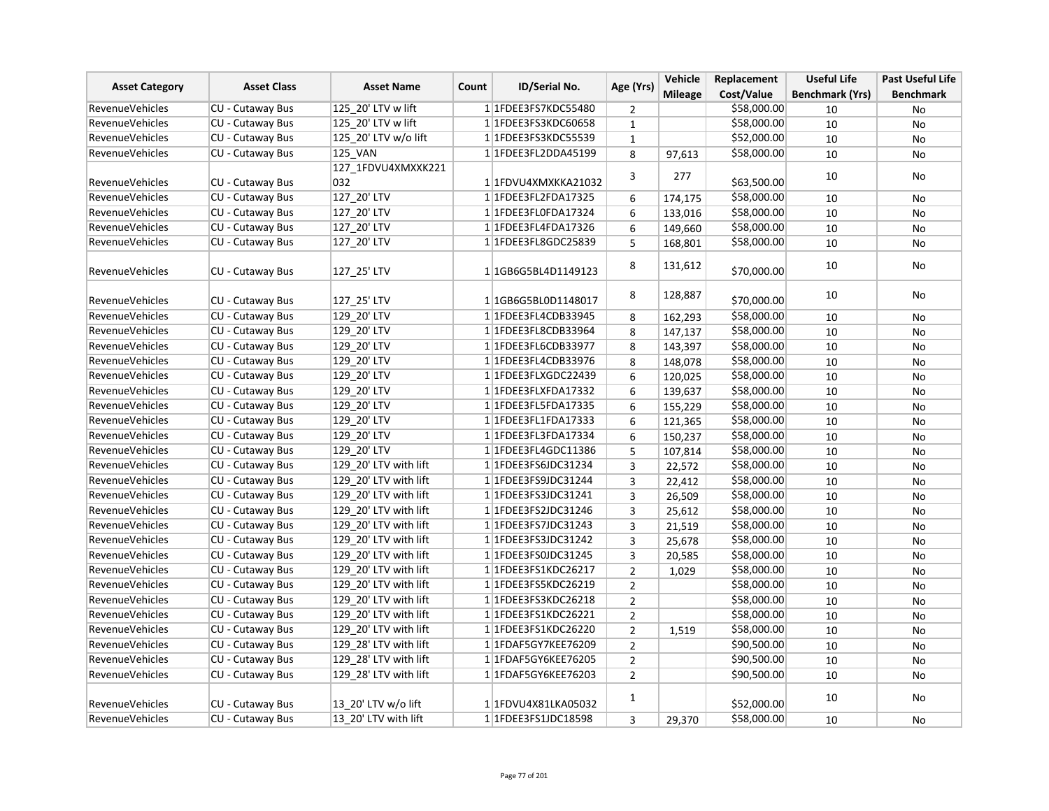| <b>Asset Category</b>  |                         | <b>Asset Name</b>     | ID/Serial No.<br>Count | Age (Yrs)                             | Vehicle                 | Replacement    | <b>Useful Life</b> | <b>Past Useful Life</b> |                  |
|------------------------|-------------------------|-----------------------|------------------------|---------------------------------------|-------------------------|----------------|--------------------|-------------------------|------------------|
|                        | <b>Asset Class</b>      |                       |                        |                                       |                         | <b>Mileage</b> | Cost/Value         | <b>Benchmark (Yrs)</b>  | <b>Benchmark</b> |
| <b>RevenueVehicles</b> | <b>CU - Cutaway Bus</b> | 125 20' LTV w lift    |                        | 1 1FDEE3FS7KDC55480                   | 2                       |                | \$58,000.00        | 10                      | No               |
| <b>RevenueVehicles</b> | CU - Cutaway Bus        | 125_20' LTV w lift    |                        | 1 1FDEE3FS3KDC60658                   | $\mathbf{1}$            |                | \$58,000.00        | 10                      | No               |
| RevenueVehicles        | CU - Cutaway Bus        | 125 20' LTV w/o lift  |                        | 11FDEE3FS3KDC55539                    | $\mathbf{1}$            |                | \$52,000.00        | 10                      | <b>No</b>        |
| <b>RevenueVehicles</b> | CU - Cutaway Bus        | <b>125 VAN</b>        |                        | 1 1FDEE3FL2DDA45199                   | 8                       | 97,613         | \$58,000.00        | 10                      | <b>No</b>        |
|                        |                         | 127_1FDVU4XMXXK221    |                        |                                       | 3                       |                |                    |                         |                  |
| <b>RevenueVehicles</b> | <b>CU - Cutaway Bus</b> | 032                   |                        | 1 1 FDVU4XMXKKA21032                  |                         | 277            | \$63,500.00        | 10                      | No               |
| <b>RevenueVehicles</b> | CU - Cutaway Bus        | 127 20' LTV           |                        | 1 1FDEE3FL2FDA17325                   | 6                       | 174,175        | \$58,000.00        | 10                      | No               |
| <b>RevenueVehicles</b> | CU - Cutaway Bus        | 127_20' LTV           |                        | 1 1FDEE3FL0FDA17324                   | 6                       | 133,016        | \$58,000.00        | 10                      | <b>No</b>        |
| <b>RevenueVehicles</b> | CU - Cutaway Bus        | 127_20' LTV           |                        | 1 1FDEE3FL4FDA17326                   | 6                       | 149,660        | \$58,000.00        | 10                      | No               |
| <b>RevenueVehicles</b> | CU - Cutaway Bus        | 127 20' LTV           |                        | 1 1FDEE3FL8GDC25839                   | 5                       | 168,801        | \$58,000.00        | 10                      | No               |
| <b>RevenueVehicles</b> | CU - Cutaway Bus        | 127 25' LTV           |                        |                                       | 8                       | 131,612        | \$70,000.00        | 10                      | No               |
| RevenueVehicles        | <b>CU - Cutaway Bus</b> | 127 25' LTV           |                        | 1 1 1 0 1 0 1 1 4 3 0 1 7 1 4 3 0 1 7 | 8                       | 128,887        | \$70,000.00        | 10                      | No               |
| <b>RevenueVehicles</b> | CU - Cutaway Bus        | 129 20' LTV           |                        | 1 1 FDEE3 FL4 CDB33945                | 8                       | 162,293        | \$58,000.00        | 10                      | No               |
| RevenueVehicles        | CU - Cutaway Bus        | 129 20' LTV           |                        | 1 1FDEE3FL8CDB33964                   | 8                       | 147,137        | \$58,000.00        | 10                      | <b>No</b>        |
| <b>RevenueVehicles</b> | CU - Cutaway Bus        | 129 20' LTV           |                        | 1 1FDEE3FL6CDB33977                   | 8                       | 143,397        | \$58,000.00        | 10                      | No               |
| <b>RevenueVehicles</b> | CU - Cutaway Bus        | 129_20' LTV           |                        | 1 1FDEE3FL4CDB33976                   | 8                       | 148,078        | \$58,000.00        | 10                      | No               |
| <b>RevenueVehicles</b> | CU - Cutaway Bus        | 129_20' LTV           |                        | 1 1FDEE3FLXGDC22439                   | 6                       | 120,025        | \$58,000.00        | 10                      | No               |
| RevenueVehicles        | CU - Cutaway Bus        | 129 20' LTV           |                        | 1 1FDEE3FLXFDA17332                   | 6                       | 139,637        | \$58,000.00        | 10                      | No               |
| <b>RevenueVehicles</b> | CU - Cutaway Bus        | 129 20' LTV           |                        | 1 1FDEE3FL5FDA17335                   | 6                       | 155,229        | \$58,000.00        | 10                      | No               |
| <b>RevenueVehicles</b> | CU - Cutaway Bus        | 129 20' LTV           |                        | 1 1FDEE3FL1FDA17333                   | 6                       | 121,365        | \$58,000.00        | 10                      | No               |
| RevenueVehicles        | CU - Cutaway Bus        | 129 20' LTV           |                        | 1 1FDEE3FL3FDA17334                   | 6                       | 150,237        | \$58,000.00        | 10                      | No               |
| <b>RevenueVehicles</b> | CU - Cutaway Bus        | 129 20' LTV           |                        | 1 1 FDEE3 FL4 GDC 11386               | 5                       | 107,814        | \$58,000.00        | 10                      | No               |
| <b>RevenueVehicles</b> | <b>CU - Cutaway Bus</b> | 129 20' LTV with lift |                        | 1 1 FDEE3 FS6JDC3 1234                | $\overline{3}$          | 22,572         | \$58,000.00        | 10                      | No               |
| <b>RevenueVehicles</b> | CU - Cutaway Bus        | 129 20' LTV with lift |                        | 1 1FDEE3FS9JDC31244                   | $\overline{\mathbf{3}}$ | 22,412         | \$58,000.00        | 10                      | <b>No</b>        |
| <b>RevenueVehicles</b> | CU - Cutaway Bus        | 129 20' LTV with lift |                        | 1 1FDEE3FS3JDC31241                   | 3                       | 26,509         | \$58,000.00        | 10                      | No               |
| RevenueVehicles        | CU - Cutaway Bus        | 129 20' LTV with lift |                        | 1 1FDEE3FS2JDC31246                   | 3                       | 25,612         | \$58,000.00        | 10                      | No               |
| <b>RevenueVehicles</b> | CU - Cutaway Bus        | 129 20' LTV with lift |                        | 1 1 FDEE3FS7JDC31243                  | 3                       | 21,519         | \$58,000.00        | 10                      | No               |
| <b>RevenueVehicles</b> | CU - Cutaway Bus        | 129 20' LTV with lift |                        | 1 1 FDEE3FS3JDC31242                  | 3                       | 25,678         | \$58,000.00        | 10                      | <b>No</b>        |
| <b>RevenueVehicles</b> | CU - Cutaway Bus        | 129 20' LTV with lift |                        | 1 1 FDEE3FS0JDC31245                  | 3                       | 20,585         | \$58,000.00        | 10                      | No               |
| <b>RevenueVehicles</b> | CU - Cutaway Bus        | 129 20' LTV with lift |                        | 1 1FDEE3FS1KDC26217                   | $\overline{2}$          | 1,029          | \$58,000.00        | 10                      | No               |
| RevenueVehicles        | CU - Cutaway Bus        | 129 20' LTV with lift |                        | 1 1FDEE3FS5KDC26219                   | $\overline{2}$          |                | \$58,000.00        | 10                      | No               |
| <b>RevenueVehicles</b> | <b>CU - Cutaway Bus</b> | 129_20' LTV with lift |                        | 1 1 FDEE3 FS3 KDC 26218               | $\overline{2}$          |                | \$58,000.00        | 10                      | No               |
| <b>RevenueVehicles</b> | CU - Cutaway Bus        | 129 20' LTV with lift |                        | 1 1 FDEE3FS1KDC26221                  | $\overline{2}$          |                | \$58,000.00        | 10                      | No               |
| <b>RevenueVehicles</b> | CU - Cutaway Bus        | 129 20' LTV with lift |                        | 1 1FDEE3FS1KDC26220                   | $\overline{2}$          | 1,519          | \$58,000.00        | 10                      | <b>No</b>        |
| <b>RevenueVehicles</b> | CU - Cutaway Bus        | 129 28' LTV with lift |                        | 1 1 FDAF5 GY7KEE 76209                | $\overline{2}$          |                | \$90,500.00        | 10                      | No               |
| <b>RevenueVehicles</b> | CU - Cutaway Bus        | 129 28' LTV with lift |                        | 1 1FDAF5GY6KEE76205                   | $\overline{2}$          |                | \$90,500.00        | 10                      | No               |
| <b>RevenueVehicles</b> | CU - Cutaway Bus        | 129 28' LTV with lift |                        | 1 1 FDAF5 GY6KEE 76203                | $\overline{2}$          |                | \$90,500.00        | 10                      | No               |
| <b>RevenueVehicles</b> | CU - Cutaway Bus        | 13 20' LTV w/o lift   |                        | 1 1 FDVU4X81LKA05032                  | $\mathbf{1}$            |                | \$52,000.00        | 10                      | No               |
| <b>RevenueVehicles</b> | CU - Cutaway Bus        | 13 20' LTV with lift  |                        | 1 1FDEE3FS1JDC18598                   | $\overline{3}$          | 29,370         | \$58,000.00        | 10                      | No               |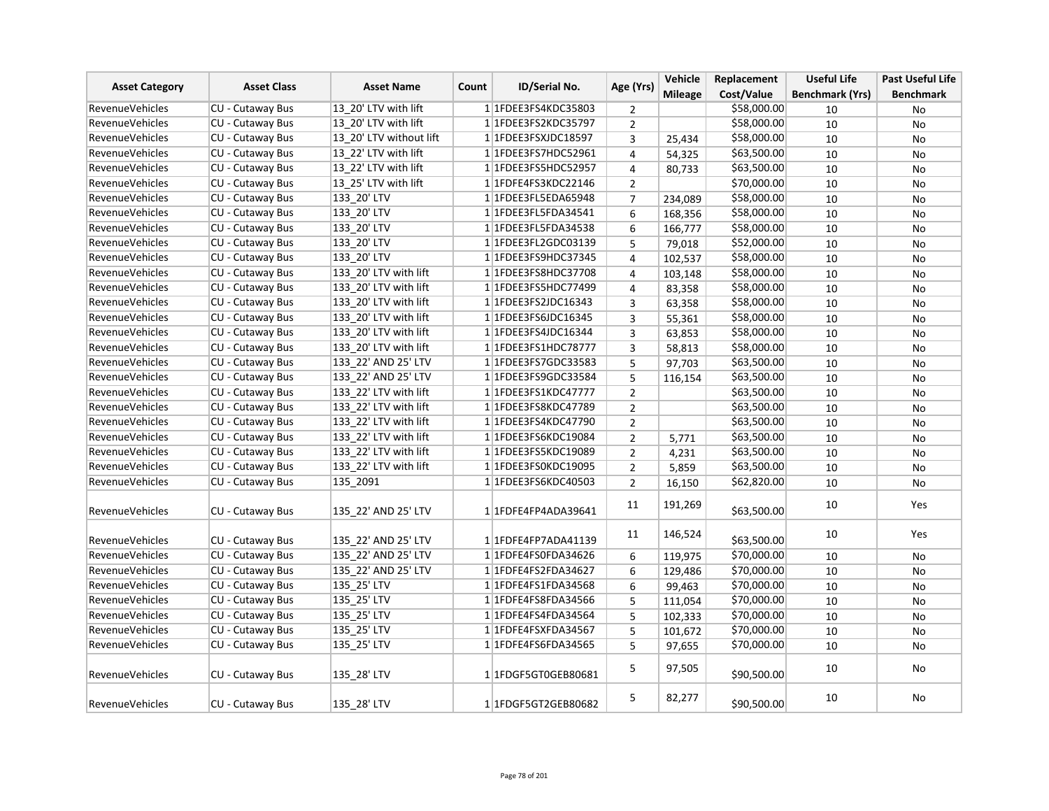| <b>Asset Category</b>  | <b>Asset Class</b>      | <b>Asset Name</b>       | Count | ID/Serial No.           | Age (Yrs)      | Vehicle        | Replacement | <b>Useful Life</b>     | <b>Past Useful Life</b> |
|------------------------|-------------------------|-------------------------|-------|-------------------------|----------------|----------------|-------------|------------------------|-------------------------|
|                        |                         |                         |       |                         |                | <b>Mileage</b> | Cost/Value  | <b>Benchmark (Yrs)</b> | <b>Benchmark</b>        |
| <b>RevenueVehicles</b> | CU - Cutaway Bus        | 13 20' LTV with lift    |       | 1 1 FDEE3FS4KDC35803    | $\overline{2}$ |                | \$58,000.00 | 10                     | No                      |
| <b>RevenueVehicles</b> | CU - Cutaway Bus        | 13 20' LTV with lift    |       | 1 1FDEE3FS2KDC35797     | $\overline{2}$ |                | \$58,000.00 | 10                     | No                      |
| <b>RevenueVehicles</b> | CU - Cutaway Bus        | 13 20' LTV without lift |       | 1 1FDEE3FSXJDC18597     | 3              | 25,434         | \$58,000.00 | 10                     | No                      |
| <b>RevenueVehicles</b> | CU - Cutaway Bus        | 13 22' LTV with lift    |       | 1 1FDEE3FS7HDC52961     | $\overline{4}$ | 54,325         | \$63,500.00 | 10                     | <b>No</b>               |
| <b>RevenueVehicles</b> | CU - Cutaway Bus        | 13 22' LTV with lift    |       | 1 1 FDEE3FS5 HDC5 2957  | 4              | 80.733         | \$63,500.00 | 10                     | <b>No</b>               |
| <b>RevenueVehicles</b> | CU - Cutaway Bus        | 13 25' LTV with lift    |       | 1 1 FDFE4FS3KDC22146    | $\overline{2}$ |                | \$70,000.00 | 10                     | No                      |
| <b>RevenueVehicles</b> | CU - Cutaway Bus        | 133_20' LTV             |       | 1 1FDEE3FL5EDA65948     | $\overline{7}$ | 234,089        | \$58,000.00 | 10                     | No                      |
| <b>RevenueVehicles</b> | <b>CU - Cutaway Bus</b> | 133_20' LTV             |       | 1 1FDEE3FL5FDA34541     | 6              | 168,356        | \$58,000.00 | 10                     | <b>No</b>               |
| <b>RevenueVehicles</b> | CU - Cutaway Bus        | 133 20' LTV             |       | 1 1FDEE3FL5FDA34538     | 6              | 166,777        | \$58,000.00 | 10                     | No                      |
| <b>RevenueVehicles</b> | <b>CU - Cutaway Bus</b> | 133 20' LTV             |       | 1 1FDEE3FL2GDC03139     | 5              | 79,018         | \$52,000.00 | 10                     | <b>No</b>               |
| <b>RevenueVehicles</b> | CU - Cutaway Bus        | 133 20' LTV             |       | 1 1FDEE3FS9HDC37345     | 4              | 102,537        | \$58,000.00 | 10                     | <b>No</b>               |
| <b>RevenueVehicles</b> | CU - Cutaway Bus        | 133_20' LTV with lift   |       | 1 1FDEE3FS8HDC37708     | $\overline{4}$ | 103,148        | \$58,000.00 | 10                     | No                      |
| <b>RevenueVehicles</b> | CU - Cutaway Bus        | 133 20' LTV with lift   |       | 1 1FDEE3FS5HDC77499     | 4              | 83,358         | \$58,000.00 | 10                     | No                      |
| <b>RevenueVehicles</b> | <b>CU - Cutaway Bus</b> | 133 20' LTV with lift   |       | 1 1 FDEE3FS2JDC16343    | 3              | 63,358         | \$58,000.00 | 10                     | No                      |
| <b>RevenueVehicles</b> | CU - Cutaway Bus        | 133 20' LTV with lift   |       | 1 1 FDEE3FS6JDC16345    | 3              | 55,361         | \$58,000.00 | 10                     | No                      |
| <b>RevenueVehicles</b> | CU - Cutaway Bus        | 133_20' LTV with lift   |       | 1 1FDEE3FS4JDC16344     | 3              | 63,853         | \$58,000.00 | 10                     | <b>No</b>               |
| <b>RevenueVehicles</b> | CU - Cutaway Bus        | 133 20' LTV with lift   |       | 1 1 FDEE3 FS1 HDC 78777 | 3              | 58,813         | \$58,000.00 | 10                     | <b>No</b>               |
| RevenueVehicles        | CU - Cutaway Bus        | 133_22' AND 25' LTV     |       | 1 1 FDEE3FS7GDC33583    | 5              | 97,703         | \$63,500.00 | 10                     | No                      |
| RevenueVehicles        | CU - Cutaway Bus        | 133 22' AND 25' LTV     |       | 1 1 FDEE3 FS9 GDC33584  | 5              | 116,154        | \$63,500.00 | 10                     | No                      |
| <b>RevenueVehicles</b> | CU - Cutaway Bus        | 133 22' LTV with lift   |       | 1 1 FDEE3 FS1 KDC47777  | $\overline{2}$ |                | \$63,500.00 | 10                     | No                      |
| <b>RevenueVehicles</b> | CU - Cutaway Bus        | 133 22' LTV with lift   |       | 1 1 FDEE3 FS8 KDC47789  | $\overline{2}$ |                | \$63,500.00 | 10                     | <b>No</b>               |
| <b>RevenueVehicles</b> | CU - Cutaway Bus        | 133 22' LTV with lift   |       | 1 1 FDEE3 FS4 KDC4 7790 | $\overline{2}$ |                | \$63,500.00 | 10                     | No                      |
| <b>RevenueVehicles</b> | CU - Cutaway Bus        | 133 22' LTV with lift   |       | 1 1FDEE3FS6KDC19084     | $\mathbf 2$    | 5,771          | \$63,500.00 | 10                     | <b>No</b>               |
| <b>RevenueVehicles</b> | CU - Cutaway Bus        | 133 22' LTV with lift   |       | 1 1FDEE3FS5KDC19089     | $\overline{2}$ | 4,231          | \$63,500.00 | 10                     | No                      |
| <b>RevenueVehicles</b> | CU - Cutaway Bus        | 133 22' LTV with lift   |       | 1 1FDEE3FS0KDC19095     | $\overline{2}$ | 5,859          | \$63,500.00 | 10                     | No                      |
| <b>RevenueVehicles</b> | CU - Cutaway Bus        | 135 2091                |       | 1 1FDEE3FS6KDC40503     | $\overline{2}$ | 16,150         | \$62,820.00 | 10                     | No                      |
| <b>RevenueVehicles</b> | CU - Cutaway Bus        | 135 22' AND 25' LTV     |       | 1 1FDFE4FP4ADA39641     | 11             | 191,269        | \$63,500.00 | 10                     | Yes                     |
| <b>RevenueVehicles</b> | <b>CU - Cutaway Bus</b> | 135_22' AND 25' LTV     |       | 1 1FDFE4FP7ADA41139     | 11             | 146,524        | \$63,500.00 | 10                     | Yes                     |
| <b>RevenueVehicles</b> | <b>CU - Cutaway Bus</b> | 135 22' AND 25' LTV     |       | 1 1FDFE4FS0FDA34626     | 6              | 119,975        | \$70,000.00 | 10                     | No                      |
| <b>RevenueVehicles</b> | CU - Cutaway Bus        | 135 22' AND 25' LTV     |       | 1 1FDFE4FS2FDA34627     | 6              | 129,486        | \$70,000.00 | 10                     | No                      |
| <b>RevenueVehicles</b> | CU - Cutaway Bus        | 135_25' LTV             |       | 1 1FDFE4FS1FDA34568     | 6              | 99,463         | \$70,000.00 | 10                     | No                      |
| <b>RevenueVehicles</b> | CU - Cutaway Bus        | 135_25' LTV             |       | 1 1FDFE4FS8FDA34566     | 5              | 111,054        | \$70,000.00 | 10                     | No                      |
| <b>RevenueVehicles</b> | CU - Cutaway Bus        | 135 25' LTV             |       | 1 1FDFE4FS4FDA34564     | 5              | 102,333        | \$70,000.00 | 10                     | <b>No</b>               |
| <b>RevenueVehicles</b> | CU - Cutaway Bus        | 135_25' LTV             |       | 1 1FDFE4FSXFDA34567     | 5              | 101,672        | \$70,000.00 | 10                     | No                      |
| <b>RevenueVehicles</b> | CU - Cutaway Bus        | 135_25' LTV             |       | 1 1FDFE4FS6FDA34565     | 5              | 97,655         | \$70,000.00 | 10                     | No                      |
| <b>RevenueVehicles</b> | CU - Cutaway Bus        | 135 28' LTV             |       | 1 1 FDGF5 GT0 GEB80681  | 5              | 97,505         | \$90,500.00 | 10                     | No                      |
| <b>RevenueVehicles</b> | <b>CU - Cutaway Bus</b> | 135 28' LTV             |       | 1 1 FDGF5 GT2 GEB80682  | 5              | 82,277         | \$90,500.00 | 10                     | No                      |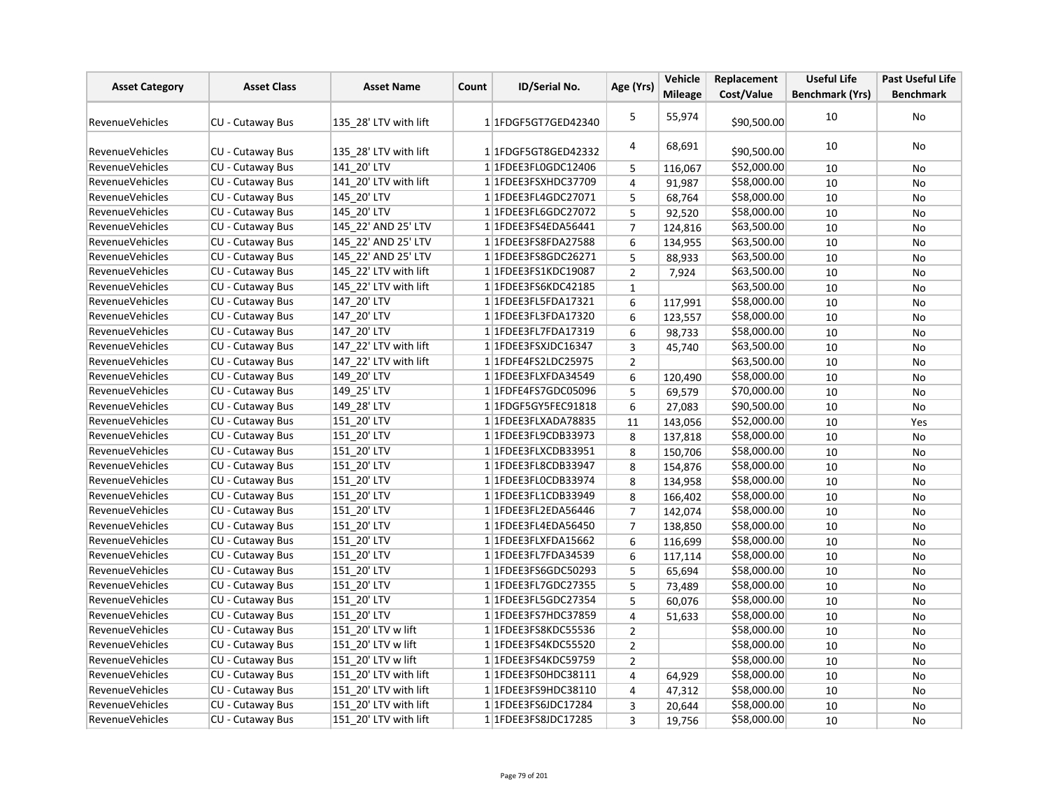| <b>Asset Category</b>  | <b>Asset Class</b>      | <b>Asset Name</b>     | Count | ID/Serial No.               | Age (Yrs)      | Vehicle        | Replacement | <b>Useful Life</b>     | <b>Past Useful Life</b> |
|------------------------|-------------------------|-----------------------|-------|-----------------------------|----------------|----------------|-------------|------------------------|-------------------------|
|                        |                         |                       |       |                             |                | <b>Mileage</b> | Cost/Value  | <b>Benchmark (Yrs)</b> | <b>Benchmark</b>        |
| <b>RevenueVehicles</b> | CU - Cutaway Bus        | 135 28' LTV with lift |       | 1 1 FDGF5 GT7 GED42340      | 5              | 55,974         | \$90,500.00 | 10                     | No                      |
| RevenueVehicles        | <b>CU - Cutaway Bus</b> | 135 28' LTV with lift |       | 1 1 FDGF5 GT8 GED42332      | 4              | 68,691         | \$90,500.00 | 10                     | No                      |
| <b>RevenueVehicles</b> | CU - Cutaway Bus        | 141 20' LTV           |       | 1 1FDEE3FL0GDC12406         | 5              | 116,067        | \$52,000.00 | 10                     | No                      |
| <b>RevenueVehicles</b> | <b>CU - Cutaway Bus</b> | 141 20' LTV with lift |       | 1 1FDEE3FSXHDC37709         | $\overline{4}$ | 91,987         | \$58,000.00 | 10                     | No                      |
| <b>RevenueVehicles</b> | CU - Cutaway Bus        | 145 20' LTV           |       | 1 1FDEE3FL4GDC27071         | 5              | 68,764         | \$58,000.00 | 10                     | No                      |
| RevenueVehicles        | CU - Cutaway Bus        | 145 20' LTV           |       | 1 1 FDEE3 FL6GDC27072       | 5              | 92,520         | \$58,000.00 | 10                     | No                      |
| RevenueVehicles        | CU - Cutaway Bus        | 145 22' AND 25' LTV   |       | 1 1FDEE3FS4EDA56441         | $\overline{7}$ | 124,816        | \$63,500.00 | 10                     | No                      |
| <b>RevenueVehicles</b> | CU - Cutaway Bus        | 145 22' AND 25' LTV   |       | 11FDEE3FS8FDA27588          | 6              | 134,955        | \$63,500.00 | 10                     | No                      |
| <b>RevenueVehicles</b> | CU - Cutaway Bus        | 145 22' AND 25' LTV   |       | 1 1 FDEE3 FS8 GDC 26271     | 5              | 88,933         | \$63,500.00 | 10                     | No                      |
| <b>RevenueVehicles</b> | CU - Cutaway Bus        | 145_22' LTV with lift |       | 1 1FDEE3FS1KDC19087         | $\overline{2}$ | 7,924          | \$63,500.00 | 10                     | No                      |
| <b>RevenueVehicles</b> | CU - Cutaway Bus        | 145 22' LTV with lift |       | 1 1 FDEE3FS6KDC42185        | $\mathbf 1$    |                | \$63,500.00 | 10                     | No                      |
| <b>RevenueVehicles</b> | CU - Cutaway Bus        | 147 20' LTV           |       | 1 1FDEE3FL5FDA17321         | 6              | 117,991        | \$58,000.00 | 10                     | <b>No</b>               |
| RevenueVehicles        | CU - Cutaway Bus        | 147 20' LTV           |       | 1 1FDEE3FL3FDA17320         | 6              | 123,557        | \$58,000.00 | 10                     | No                      |
| <b>RevenueVehicles</b> | CU - Cutaway Bus        | 147_20' LTV           |       | 1 1FDEE3FL7FDA17319         | 6              | 98,733         | \$58,000.00 | 10                     | No                      |
| <b>RevenueVehicles</b> | CU - Cutaway Bus        | 147 22' LTV with lift |       | 1 1FDEE3FSXJDC16347         | 3              | 45,740         | \$63,500.00 | 10                     | No                      |
| <b>RevenueVehicles</b> | <b>CU - Cutaway Bus</b> | 147_22' LTV with lift |       | 1 1FDFE4FS2LDC25975         | $\overline{2}$ |                | \$63,500.00 | 10                     | No                      |
| RevenueVehicles        | CU - Cutaway Bus        | 149 20' LTV           |       | 1 1FDEE3FLXFDA34549         | 6              | 120,490        | \$58,000.00 | 10                     | No                      |
| RevenueVehicles        | CU - Cutaway Bus        | 149 25' LTV           |       | 1 1FDFE4FS7GDC05096         | 5              | 69,579         | \$70,000.00 | 10                     | No                      |
| <b>RevenueVehicles</b> | CU - Cutaway Bus        | 149 28' LTV           |       | 1 1 FDGF5 GY5 FEC 9 18 18   | 6              | 27,083         | \$90,500.00 | 10                     | No                      |
| <b>RevenueVehicles</b> | CU - Cutaway Bus        | 151 20' LTV           |       | 1 1FDEE3FLXADA78835         | 11             | 143,056        | \$52,000.00 | 10                     | Yes                     |
| RevenueVehicles        | CU - Cutaway Bus        | 151 20' LTV           |       | 1 1 FDEE3 FL9 CDB 3 3 9 7 3 | 8              | 137,818        | \$58,000.00 | 10                     | No                      |
| <b>RevenueVehicles</b> | CU - Cutaway Bus        | 151 20' LTV           |       | 1 1FDEE3FLXCDB33951         | 8              | 150,706        | \$58,000.00 | 10                     | No                      |
| <b>RevenueVehicles</b> | CU - Cutaway Bus        | 151 20' LTV           |       | 1 1 FDEE3 FL8 CDB 3 3 9 4 7 | 8              | 154,876        | \$58,000.00 | 10                     | No                      |
| <b>RevenueVehicles</b> | CU - Cutaway Bus        | 151 20' LTV           |       | 1 1FDEE3FLOCDB33974         | 8              | 134,958        | \$58,000.00 | 10                     | No                      |
| <b>RevenueVehicles</b> | CU - Cutaway Bus        | 151 20' LTV           |       | 1 1 FDEE3 FL1 CDB33949      | 8              | 166,402        | \$58,000.00 | 10                     | No                      |
| <b>RevenueVehicles</b> | CU - Cutaway Bus        | 151 20' LTV           |       | 1 1FDEE3FL2EDA56446         | $\overline{7}$ | 142,074        | \$58,000.00 | 10                     | No                      |
| <b>RevenueVehicles</b> | CU - Cutaway Bus        | 151 20' LTV           |       | 1 1FDEE3FL4EDA56450         | $\overline{7}$ | 138,850        | \$58,000.00 | 10                     | <b>No</b>               |
| <b>RevenueVehicles</b> | CU - Cutaway Bus        | 151 20' LTV           |       | 1 1FDEE3FLXFDA15662         | 6              | 116,699        | \$58,000.00 | 10                     | No                      |
| <b>RevenueVehicles</b> | CU - Cutaway Bus        | 151_20' LTV           |       | 1 1FDEE3FL7FDA34539         | 6              | 117,114        | \$58,000.00 | 10                     | No                      |
| <b>RevenueVehicles</b> | CU - Cutaway Bus        | 151 20' LTV           |       | 1 1 FDEE3 FS6GDC50293       | 5              | 65,694         | \$58,000.00 | 10                     | No                      |
| <b>RevenueVehicles</b> | CU - Cutaway Bus        | 151 20' LTV           |       | 1 1 FDEE3 FL7 GDC 27355     | 5              | 73,489         | \$58,000.00 | 10                     | No                      |
| <b>RevenueVehicles</b> | <b>CU - Cutaway Bus</b> | 151 20' LTV           |       | 1 1 FDEE3 FL5 GDC 27354     | 5              | 60,076         | \$58,000.00 | 10                     | No                      |
| RevenueVehicles        | CU - Cutaway Bus        | 151 20' LTV           |       | 11FDEE3FS7HDC37859          | $\overline{4}$ | 51,633         | \$58,000.00 | 10                     | No                      |
| <b>RevenueVehicles</b> | CU - Cutaway Bus        | 151 20' LTV w lift    |       | 1 1FDEE3FS8KDC55536         | $\overline{2}$ |                | \$58,000.00 | 10                     | <b>No</b>               |
| <b>RevenueVehicles</b> | CU - Cutaway Bus        | 151 20' LTV w lift    |       | 1 1FDEE3FS4KDC55520         | $\overline{2}$ |                | \$58,000.00 | 10                     | No                      |
| <b>RevenueVehicles</b> | CU - Cutaway Bus        | 151 20' LTV w lift    |       | 1 1FDEE3FS4KDC59759         | $\overline{2}$ |                | \$58,000.00 | 10                     | No                      |
| <b>RevenueVehicles</b> | CU - Cutaway Bus        | 151 20' LTV with lift |       | 1 1FDEE3FS0HDC38111         | 4              | 64,929         | \$58,000.00 | 10                     | <b>No</b>               |
| <b>RevenueVehicles</b> | CU - Cutaway Bus        | 151 20' LTV with lift |       | 1 1 FDEE3FS9HDC38110        | 4              | 47,312         | \$58,000.00 | 10                     | No                      |
| <b>RevenueVehicles</b> | CU - Cutaway Bus        | 151 20' LTV with lift |       | 1 1FDEE3FS6JDC17284         | 3              | 20,644         | \$58,000.00 | 10                     | No                      |
| <b>RevenueVehicles</b> | CU - Cutaway Bus        | 151 20' LTV with lift |       | 1 1FDEE3FS8JDC17285         | $\overline{3}$ | 19,756         | \$58,000.00 | 10                     | No                      |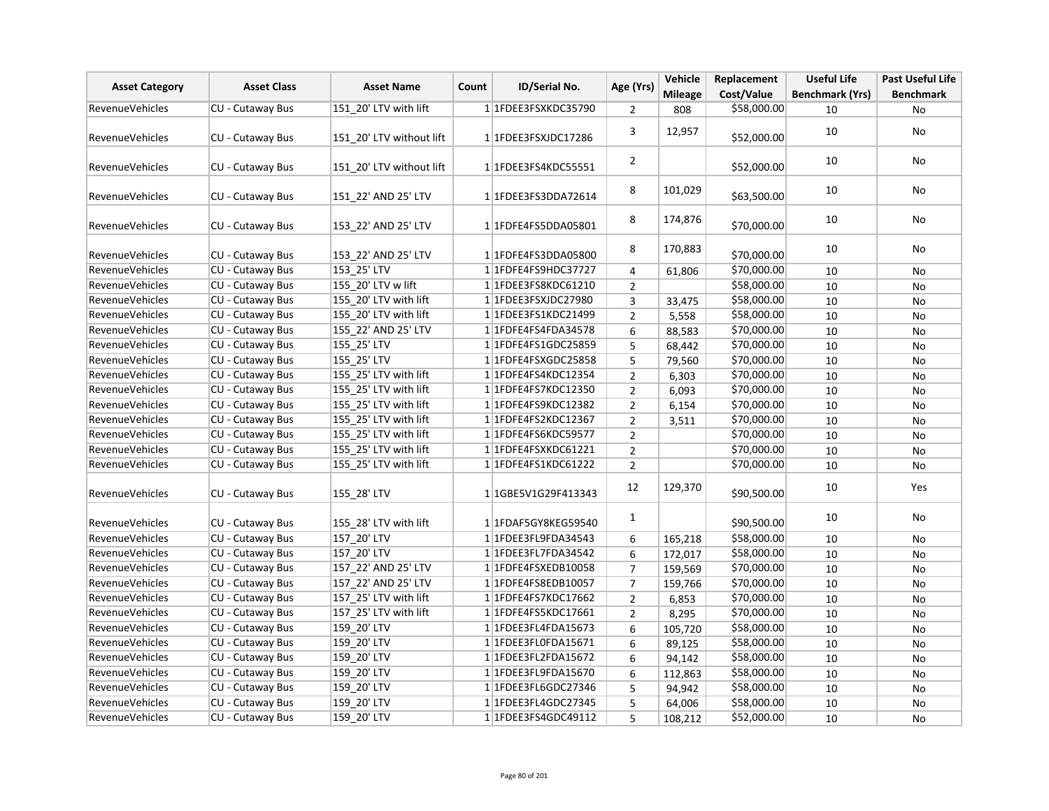| <b>Asset Category</b>  | <b>Asset Class</b>      | <b>Asset Name</b>        | Count | ID/Serial No.           | Age (Yrs)      | Vehicle        | Replacement | <b>Useful Life</b>     | <b>Past Useful Life</b> |
|------------------------|-------------------------|--------------------------|-------|-------------------------|----------------|----------------|-------------|------------------------|-------------------------|
|                        |                         |                          |       |                         |                | <b>Mileage</b> | Cost/Value  | <b>Benchmark (Yrs)</b> | <b>Benchmark</b>        |
| <b>RevenueVehicles</b> | CU - Cutaway Bus        | 151_20' LTV with lift    |       | 1 1FDEE3FSXKDC35790     | $\overline{2}$ | 808            | \$58,000.00 | 10                     | No                      |
| <b>RevenueVehicles</b> | CU - Cutaway Bus        | 151 20' LTV without lift |       | 1 1FDEE3FSXJDC17286     | 3              | 12,957         | \$52,000.00 | 10                     | <b>No</b>               |
| <b>RevenueVehicles</b> | <b>CU - Cutaway Bus</b> | 151 20' LTV without lift |       | 1 1FDEE3FS4KDC55551     | $\overline{2}$ |                | \$52,000.00 | 10                     | No                      |
| <b>RevenueVehicles</b> | CU - Cutaway Bus        | 151 22' AND 25' LTV      |       | 1 1FDEE3FS3DDA72614     | 8              | 101,029        | \$63,500.00 | 10                     | No                      |
| <b>RevenueVehicles</b> | <b>CU - Cutaway Bus</b> | 153 22' AND 25' LTV      |       | 1 1FDFE4FS5DDA05801     | 8              | 174,876        | \$70,000.00 | 10                     | <b>No</b>               |
| RevenueVehicles        | CU - Cutaway Bus        | 153 22' AND 25' LTV      |       | 1 1FDFE4FS3DDA05800     | 8              | 170,883        | \$70,000.00 | 10                     | No                      |
| <b>RevenueVehicles</b> | CU - Cutaway Bus        | 153 25' LTV              |       | 1 1FDFE4FS9HDC37727     | 4              | 61,806         | \$70,000.00 | 10                     | No                      |
| <b>RevenueVehicles</b> | <b>CU - Cutaway Bus</b> | 155 20' LTV w lift       |       | 11FDEE3FS8KDC61210      | $\overline{2}$ |                | \$58,000.00 | 10                     | <b>No</b>               |
| <b>RevenueVehicles</b> | <b>CU - Cutaway Bus</b> | 155 20' LTV with lift    |       | 1 1FDEE3FSXJDC27980     | 3              | 33,475         | \$58,000.00 | 10                     | No                      |
| <b>RevenueVehicles</b> | CU - Cutaway Bus        | 155 20' LTV with lift    |       | 1 1FDEE3FS1KDC21499     | $\overline{2}$ | 5,558          | \$58,000.00 | 10                     | No                      |
| RevenueVehicles        | CU - Cutaway Bus        | 155 22' AND 25' LTV      |       | 1 1FDFE4FS4FDA34578     | 6              | 88,583         | \$70,000.00 | 10                     | No                      |
| <b>RevenueVehicles</b> | CU - Cutaway Bus        | 155 25' LTV              |       | 1 1 FDFE4FS1GDC25859    | 5              | 68,442         | \$70,000.00 | 10                     | No                      |
| <b>RevenueVehicles</b> | CU - Cutaway Bus        | 155 25' LTV              |       | 1 1FDFE4FSXGDC25858     | 5              | 79,560         | \$70,000.00 | 10                     | <b>No</b>               |
| <b>RevenueVehicles</b> | CU - Cutaway Bus        | 155 25' LTV with lift    |       | 1 1FDFE4FS4KDC12354     | $\overline{2}$ | 6,303          | \$70,000.00 | 10                     | No                      |
| <b>RevenueVehicles</b> | CU - Cutaway Bus        | 155 25' LTV with lift    |       | 1 1FDFE4FS7KDC12350     | $\overline{2}$ | 6,093          | \$70,000.00 | 10                     | No                      |
| <b>RevenueVehicles</b> | CU - Cutaway Bus        | 155 25' LTV with lift    |       | 1 1 FDFE4FS9KDC12382    | $\overline{2}$ | 6,154          | \$70,000.00 | 10                     | No                      |
| <b>RevenueVehicles</b> | CU - Cutaway Bus        | 155 25' LTV with lift    |       | 1 1 FDFE4FS2KDC12367    | $\overline{2}$ | 3,511          | \$70,000.00 | 10                     | No                      |
| <b>RevenueVehicles</b> | <b>CU - Cutaway Bus</b> | 155 25' LTV with lift    |       | 1 1FDFE4FS6KDC59577     | $\overline{2}$ |                | \$70,000.00 | 10                     | No                      |
| <b>RevenueVehicles</b> | <b>CU - Cutaway Bus</b> | 155 25' LTV with lift    |       | 1 1FDFE4FSXKDC61221     | $\overline{2}$ |                | \$70,000.00 | 10                     | <b>No</b>               |
| <b>RevenueVehicles</b> | CU - Cutaway Bus        | 155_25' LTV with lift    |       | 1 1FDFE4FS1KDC61222     | $\overline{2}$ |                | \$70,000.00 | 10                     | No                      |
| <b>RevenueVehicles</b> | CU - Cutaway Bus        | 155 28' LTV              |       | 1 1GBE5V1G29F413343     | 12             | 129,370        | \$90,500.00 | 10                     | Yes                     |
| <b>RevenueVehicles</b> | CU - Cutaway Bus        | 155 28' LTV with lift    |       | 1 1FDAF5GY8KEG59540     | $\mathbf{1}$   |                | \$90,500.00 | 10                     | No                      |
| <b>RevenueVehicles</b> | <b>CU - Cutaway Bus</b> | 157 20' LTV              |       | 1 1FDEE3FL9FDA34543     | 6              | 165,218        | \$58,000.00 | 10                     | <b>No</b>               |
| <b>RevenueVehicles</b> | <b>CU - Cutaway Bus</b> | 157 20' LTV              |       | 1 1FDEE3FL7FDA34542     | 6              | 172,017        | \$58,000.00 | 10                     | No                      |
| <b>RevenueVehicles</b> | CU - Cutaway Bus        | 157 22' AND 25' LTV      |       | 1 1FDFE4FSXEDB10058     | $\overline{7}$ | 159,569        | \$70,000.00 | 10                     | No                      |
| RevenueVehicles        | CU - Cutaway Bus        | 157 22' AND 25' LTV      |       | 1 1 FDFE4FS8EDB10057    | $\overline{7}$ | 159,766        | \$70,000.00 | 10                     | No                      |
| <b>RevenueVehicles</b> | CU - Cutaway Bus        | 157 25' LTV with lift    |       | 11FDFE4FS7KDC17662      | $\overline{2}$ | 6,853          | \$70,000.00 | 10                     | No                      |
| <b>RevenueVehicles</b> | CU - Cutaway Bus        | 157 25' LTV with lift    |       | 1 1 FDFE4FS5KDC17661    | $\overline{2}$ | 8,295          | \$70,000.00 | 10                     | No                      |
| <b>RevenueVehicles</b> | <b>CU - Cutaway Bus</b> | 159 20' LTV              |       | 1 1FDEE3FL4FDA15673     | 6              | 105,720        | \$58,000.00 | 10                     | No                      |
| <b>RevenueVehicles</b> | CU - Cutaway Bus        | 159 20' LTV              |       | 1 1FDEE3FL0FDA15671     | 6              | 89,125         | \$58,000.00 | 10                     | No                      |
| RevenueVehicles        | CU - Cutaway Bus        | 159_20' LTV              |       | 1 1FDEE3FL2FDA15672     | 6              | 94,142         | \$58,000.00 | 10                     | No                      |
| <b>RevenueVehicles</b> | <b>CU - Cutaway Bus</b> | 159 20' LTV              |       | 1 1FDEE3FL9FDA15670     | 6              | 112,863        | \$58,000.00 | 10                     | <b>No</b>               |
| RevenueVehicles        | CU - Cutaway Bus        | 159 20' LTV              |       | 1 1FDEE3FL6GDC27346     | 5              | 94,942         | \$58,000.00 | 10                     | No                      |
| <b>RevenueVehicles</b> | CU - Cutaway Bus        | 159_20' LTV              |       | 1 1 FDEE3 FL4 GDC 27345 | 5              | 64,006         | \$58,000.00 | 10                     | No                      |
| <b>RevenueVehicles</b> | CU - Cutaway Bus        | 159 20' LTV              |       | 1 1 FDEE3FS4GDC49112    | 5              | 108,212        | \$52,000.00 | 10                     | No                      |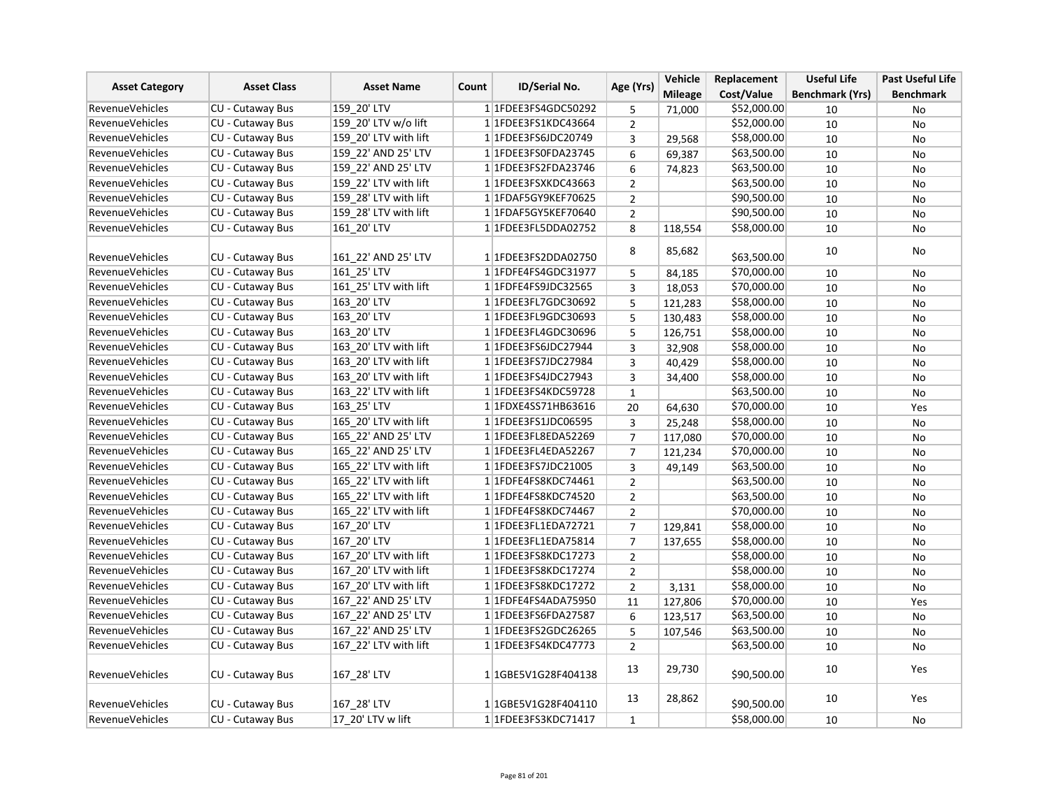| <b>Asset Category</b>  | <b>Asset Class</b>      | <b>Asset Name</b>     | <b>ID/Serial No.</b><br>Count | Age (Yrs)                           | Vehicle        | Replacement    | <b>Useful Life</b> | <b>Past Useful Life</b> |                  |
|------------------------|-------------------------|-----------------------|-------------------------------|-------------------------------------|----------------|----------------|--------------------|-------------------------|------------------|
|                        |                         |                       |                               |                                     |                | <b>Mileage</b> | Cost/Value         | <b>Benchmark (Yrs)</b>  | <b>Benchmark</b> |
| <b>RevenueVehicles</b> | <b>CU - Cutaway Bus</b> | 159 20' LTV           |                               | 1 1FDEE3FS4GDC50292                 | 5              | 71,000         | \$52,000.00        | 10                      | No               |
| <b>RevenueVehicles</b> | CU - Cutaway Bus        | 159 20' LTV w/o lift  |                               | 1 1FDEE3FS1KDC43664                 | $\overline{2}$ |                | \$52,000.00        | 10                      | No               |
| RevenueVehicles        | CU - Cutaway Bus        | 159 20' LTV with lift |                               | 1 1FDEE3FS6JDC20749                 | 3              | 29,568         | \$58,000.00        | 10                      | <b>No</b>        |
| <b>RevenueVehicles</b> | CU - Cutaway Bus        | 159 22' AND 25' LTV   |                               | 1 1FDEE3FS0FDA23745                 | 6              | 69,387         | \$63,500.00        | 10                      | No               |
| <b>RevenueVehicles</b> | CU - Cutaway Bus        | 159 22' AND 25' LTV   |                               | 1 1FDEE3FS2FDA23746                 | 6              | 74,823         | \$63,500.00        | 10                      | No               |
| RevenueVehicles        | CU - Cutaway Bus        | 159 22' LTV with lift |                               | 1 1FDEE3FSXKDC43663                 | $\overline{2}$ |                | \$63,500.00        | 10                      | No               |
| <b>RevenueVehicles</b> | <b>CU - Cutaway Bus</b> | 159 28' LTV with lift |                               | 1 1FDAF5GY9KEF70625                 | $\overline{2}$ |                | \$90,500.00        | 10                      | No               |
| <b>RevenueVehicles</b> | CU - Cutaway Bus        | 159 28' LTV with lift |                               | 1 1FDAF5GY5KEF70640                 | $\overline{2}$ |                | \$90,500.00        | 10                      | No               |
| <b>RevenueVehicles</b> | CU - Cutaway Bus        | 161 20' LTV           |                               | 1 1FDEE3FL5DDA02752                 | 8              | 118,554        | \$58,000.00        | 10                      | No               |
| <b>RevenueVehicles</b> | <b>CU - Cutaway Bus</b> | 161 22' AND 25' LTV   |                               | 1 1FDEE3FS2DDA02750                 | 8              | 85,682         | \$63,500.00        | 10                      | No               |
| <b>RevenueVehicles</b> | CU - Cutaway Bus        | 161 25' LTV           |                               | 1 1 FDFE4FS4GDC31977                | 5              |                | \$70,000.00        |                         |                  |
| RevenueVehicles        | <b>CU - Cutaway Bus</b> | 161 25' LTV with lift |                               | 1 1FDFE4FS9JDC32565                 |                | 84,185         |                    | 10                      | No               |
|                        |                         |                       |                               |                                     | 3              | 18,053         | \$70,000.00        | 10                      | No               |
| <b>RevenueVehicles</b> | CU - Cutaway Bus        | 163 20' LTV           |                               | 1 1FDEE3FL7GDC30692                 | 5              | 121,283        | \$58,000.00        | 10                      | No               |
| <b>RevenueVehicles</b> | <b>CU - Cutaway Bus</b> | 163 20' LTV           |                               | 1 1FDEE3FL9GDC30693                 | 5              | 130,483        | \$58,000.00        | 10                      | No               |
| RevenueVehicles        | CU - Cutaway Bus        | 163 20' LTV           |                               | 1 1FDEE3FL4GDC30696                 | 5              | 126,751        | \$58,000.00        | 10                      | No               |
| <b>RevenueVehicles</b> | CU - Cutaway Bus        | 163 20' LTV with lift |                               | 1 1 FDEE3FS6JDC27944                | 3              | 32,908         | \$58,000.00        | 10                      | No               |
| <b>RevenueVehicles</b> | <b>CU - Cutaway Bus</b> | 163 20' LTV with lift |                               | 1 1 FDEE3FS7JDC27984                | 3              | 40,429         | \$58,000.00        | 10                      | No               |
| <b>RevenueVehicles</b> | CU - Cutaway Bus        | 163_20' LTV with lift |                               | 1 1FDEE3FS4JDC27943                 | 3              | 34,400         | \$58,000.00        | 10                      | No               |
| <b>RevenueVehicles</b> | CU - Cutaway Bus        | 163 22' LTV with lift |                               | 1 1FDEE3FS4KDC59728                 | $\mathbf{1}$   |                | \$63,500.00        | 10                      | No               |
| RevenueVehicles        | <b>CU - Cutaway Bus</b> | 163 25' LTV           |                               | 1 1FDXE4SS71HB63616                 | 20             | 64,630         | \$70,000.00        | 10                      | Yes              |
| <b>RevenueVehicles</b> | CU - Cutaway Bus        | 165 20' LTV with lift |                               | 1 1FDEE3FS1JDC06595                 | 3              | 25,248         | \$58,000.00        | 10                      | No               |
| <b>RevenueVehicles</b> | <b>CU - Cutaway Bus</b> | 165 22' AND 25' LTV   |                               | 1 1FDEE3FL8EDA52269                 | $\overline{7}$ | 117,080        | \$70,000.00        | 10                      | No               |
| <b>RevenueVehicles</b> | CU - Cutaway Bus        | 165 22' AND 25' LTV   |                               | 1 1FDEE3FL4EDA52267                 | $\overline{7}$ | 121,234        | \$70,000.00        | 10                      | No               |
| <b>RevenueVehicles</b> | CU - Cutaway Bus        | 165 22' LTV with lift |                               | 11FDEE3FS7JDC21005                  | 3              | 49,149         | \$63,500.00        | 10                      | No               |
| <b>RevenueVehicles</b> | CU - Cutaway Bus        | 165 22' LTV with lift |                               | 1 1FDFE4FS8KDC74461                 | $\overline{2}$ |                | \$63,500.00        | 10                      | <b>No</b>        |
| <b>RevenueVehicles</b> | CU - Cutaway Bus        | 165 22' LTV with lift |                               | 1 1FDFE4FS8KDC74520                 | $\overline{2}$ |                | \$63,500.00        | 10                      | No               |
| RevenueVehicles        | <b>CU - Cutaway Bus</b> | 165 22' LTV with lift |                               | 1 1FDFE4FS8KDC74467                 | $\overline{2}$ |                | \$70,000.00        | 10                      | No               |
| <b>RevenueVehicles</b> | <b>CU - Cutaway Bus</b> | 167 20' LTV           |                               | 1 1FDEE3FL1EDA72721                 | $\overline{7}$ | 129,841        | \$58,000.00        | 10                      | No               |
| <b>RevenueVehicles</b> | CU - Cutaway Bus        | 167 20' LTV           |                               | 1 1 FDEE3 FL1 EDA 75814             | $\overline{7}$ | 137,655        | \$58,000.00        | 10                      | No               |
| <b>RevenueVehicles</b> | CU - Cutaway Bus        | 167 20' LTV with lift |                               | 1 1 FDEE3 FS8 KDC 17273             | $\overline{2}$ |                | \$58,000.00        | 10                      | <b>No</b>        |
| <b>RevenueVehicles</b> | <b>CU - Cutaway Bus</b> | 167 20' LTV with lift |                               | 1 1FDEE3FS8KDC17274                 | $\overline{2}$ |                | \$58,000.00        | 10                      | No               |
| <b>RevenueVehicles</b> | <b>CU - Cutaway Bus</b> | 167 20' LTV with lift |                               | 1 1 FDEE3 FS8 KDC 17272             | $\overline{2}$ | 3,131          | \$58,000.00        | 10                      | No               |
| <b>RevenueVehicles</b> | <b>CU - Cutaway Bus</b> | 167 22' AND 25' LTV   |                               | 1 1FDFE4FS4ADA75950                 | 11             | 127,806        | \$70,000.00        | 10                      | Yes              |
| <b>RevenueVehicles</b> | CU - Cutaway Bus        | 167 22' AND 25' LTV   |                               | 1 1FDEE3FS6FDA27587                 | 6              | 123,517        | \$63,500.00        | 10                      | No               |
| <b>RevenueVehicles</b> | CU - Cutaway Bus        | 167 22' AND 25' LTV   |                               | 1 1FDEE3FS2GDC26265                 | 5              | 107,546        | \$63,500.00        | 10                      | <b>No</b>        |
| <b>RevenueVehicles</b> | CU - Cutaway Bus        | 167 22' LTV with lift |                               | 1 1 FDEE3FS4KDC47773                | $\overline{2}$ |                | \$63,500.00        | 10                      | No               |
| <b>RevenueVehicles</b> | <b>CU - Cutaway Bus</b> | 167 28' LTV           |                               | 1 1 1 GBE 5 V 1 G 2 8 F 4 0 4 1 3 8 | 13             | 29,730         | \$90,500.00        | 10                      | Yes              |
| <b>RevenueVehicles</b> | CU - Cutaway Bus        | 167 28' LTV           |                               | 1 1GBE5V1G28F404110                 | 13             | 28,862         | \$90,500.00        | 10                      | Yes              |
| <b>RevenueVehicles</b> | CU - Cutaway Bus        | 17 20' LTV w lift     |                               | 1 1FDEE3FS3KDC71417                 | $\mathbf{1}$   |                | \$58,000.00        | 10                      | No               |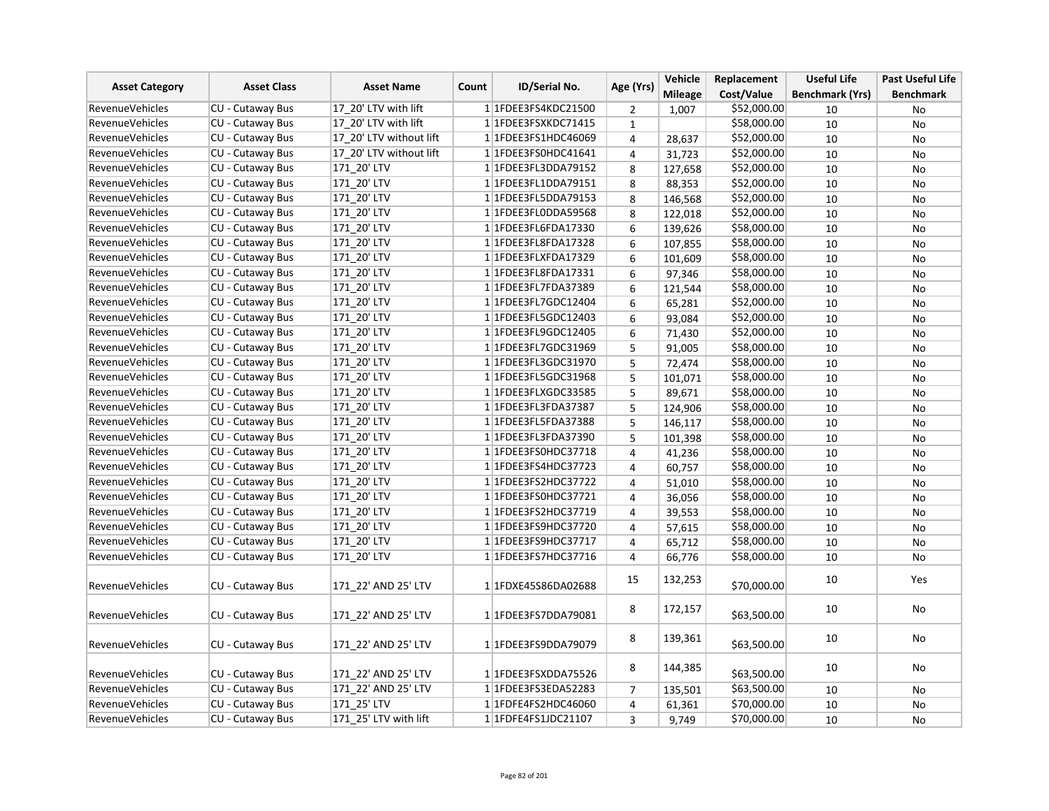| <b>Asset Category</b>  | <b>Asset Class</b>      | <b>Asset Name</b>       | ID/Serial No.<br>Count | Age (Yrs)               | Vehicle                 | Replacement    | <b>Useful Life</b> | <b>Past Useful Life</b> |                  |
|------------------------|-------------------------|-------------------------|------------------------|-------------------------|-------------------------|----------------|--------------------|-------------------------|------------------|
|                        |                         |                         |                        |                         |                         | <b>Mileage</b> | Cost/Value         | <b>Benchmark (Yrs)</b>  | <b>Benchmark</b> |
| <b>RevenueVehicles</b> | <b>CU - Cutaway Bus</b> | 17 20' LTV with lift    |                        | 1 1 FDEE3FS4KDC21500    | 2                       | 1,007          | \$52,000.00        | 10                      | No               |
| <b>RevenueVehicles</b> | <b>CU - Cutaway Bus</b> | 17 20' LTV with lift    |                        | 1 1FDEE3FSXKDC71415     | $\mathbf{1}$            |                | \$58,000.00        | 10                      | No               |
| RevenueVehicles        | CU - Cutaway Bus        | 17 20' LTV without lift |                        | 1 1FDEE3FS1HDC46069     | 4                       | 28,637         | \$52,000.00        | 10                      | No               |
| <b>RevenueVehicles</b> | CU - Cutaway Bus        | 17 20' LTV without lift |                        | 1 1FDEE3FS0HDC41641     | 4                       | 31,723         | \$52,000.00        | 10                      | No               |
| <b>RevenueVehicles</b> | <b>CU - Cutaway Bus</b> | 171 20' LTV             |                        | 1 1FDEE3FL3DDA79152     | 8                       | 127,658        | \$52,000.00        | 10                      | No               |
| <b>RevenueVehicles</b> | CU - Cutaway Bus        | 171 20' LTV             |                        | 1 1FDEE3FL1DDA79151     | 8                       | 88,353         | \$52,000.00        | 10                      | No               |
| <b>RevenueVehicles</b> | CU - Cutaway Bus        | 171 20' LTV             |                        | 1 1FDEE3FL5DDA79153     | 8                       | 146,568        | \$52,000.00        | 10                      | No               |
| RevenueVehicles        | CU - Cutaway Bus        | 171 20' LTV             |                        | 1 1FDEE3FL0DDA59568     | 8                       | 122,018        | \$52,000.00        | 10                      | <b>No</b>        |
| <b>RevenueVehicles</b> | CU - Cutaway Bus        | 171 20' LTV             |                        | 1 1FDEE3FL6FDA17330     | 6                       | 139,626        | \$58,000.00        | 10                      | No               |
| RevenueVehicles        | CU - Cutaway Bus        | 171 20' LTV             |                        | 1 1FDEE3FL8FDA17328     | 6                       | 107,855        | \$58,000.00        | 10                      | No               |
| RevenueVehicles        | <b>CU - Cutaway Bus</b> | 171 20' LTV             |                        | 1 1FDEE3FLXFDA17329     | 6                       | 101,609        | \$58,000.00        | 10                      | No               |
| <b>RevenueVehicles</b> | CU - Cutaway Bus        | 171 20' LTV             |                        | 1 1 FDEE3 FL8 FDA 17331 | 6                       | 97,346         | \$58,000.00        | 10                      | No               |
| <b>RevenueVehicles</b> | <b>CU - Cutaway Bus</b> | 171 20' LTV             |                        | 1 1FDEE3FL7FDA37389     | 6                       | 121,544        | \$58,000.00        | 10                      | <b>No</b>        |
| <b>RevenueVehicles</b> | <b>CU - Cutaway Bus</b> | 171 20' LTV             |                        | 1 1FDEE3FL7GDC12404     | 6                       | 65,281         | \$52,000.00        | 10                      | No               |
| <b>RevenueVehicles</b> | CU - Cutaway Bus        | 171 20' LTV             |                        | 1 1FDEE3FL5GDC12403     | 6                       | 93,084         | \$52,000.00        | 10                      | No               |
| <b>RevenueVehicles</b> | CU - Cutaway Bus        | 171 20' LTV             |                        | 1 1FDEE3FL9GDC12405     | 6                       | 71,430         | \$52,000.00        | 10                      | <b>No</b>        |
| RevenueVehicles        | CU - Cutaway Bus        | 171 20' LTV             |                        | 1 1FDEE3FL7GDC31969     | 5                       | 91,005         | \$58,000.00        | 10                      | No               |
| <b>RevenueVehicles</b> | CU - Cutaway Bus        | 171 20' LTV             |                        | 1 1FDEE3FL3GDC31970     | 5                       | 72,474         | \$58,000.00        | 10                      | No               |
| <b>RevenueVehicles</b> | CU - Cutaway Bus        | 171 20' LTV             |                        | 1 1FDEE3FL5GDC31968     | 5                       | 101,071        | \$58,000.00        | 10                      | No               |
| <b>RevenueVehicles</b> | <b>CU - Cutaway Bus</b> | 171 20' LTV             |                        | 1 1FDEE3FLXGDC33585     | 5                       | 89,671         | \$58,000.00        | 10                      | No               |
| <b>RevenueVehicles</b> | <b>CU - Cutaway Bus</b> | 171 20' LTV             |                        | 1 1FDEE3FL3FDA37387     | 5                       | 124,906        | \$58,000.00        | 10                      | No               |
| <b>RevenueVehicles</b> | CU - Cutaway Bus        | 171 20' LTV             |                        | 1 1 FDEE3 FL5 FDA 37388 | 5                       | 146,117        | \$58,000.00        | 10                      | No               |
| <b>RevenueVehicles</b> | CU - Cutaway Bus        | 171 20' LTV             |                        | 1 1FDEE3FL3FDA37390     | 5                       | 101,398        | \$58,000.00        | 10                      | No               |
| <b>RevenueVehicles</b> | CU - Cutaway Bus        | 171 20' LTV             |                        | 1 1FDEE3FS0HDC37718     | $\overline{\mathbf{4}}$ | 41,236         | \$58,000.00        | 10                      | No               |
| <b>RevenueVehicles</b> | CU - Cutaway Bus        | 171_20' LTV             |                        | 1 1FDEE3FS4HDC37723     | 4                       | 60,757         | \$58,000.00        | 10                      | No               |
| <b>RevenueVehicles</b> | CU - Cutaway Bus        | 171 20' LTV             |                        | 1 1FDEE3FS2HDC37722     | 4                       | 51,010         | \$58,000.00        | 10                      | No               |
| RevenueVehicles        | CU - Cutaway Bus        | 171 20' LTV             |                        | 1 1FDEE3FS0HDC37721     | 4                       | 36,056         | \$58,000.00        | 10                      | No               |
| RevenueVehicles        | CU - Cutaway Bus        | 171 20' LTV             |                        | 1 1FDEE3FS2HDC37719     | 4                       | 39,553         | \$58,000.00        | 10                      | No               |
| <b>RevenueVehicles</b> | CU - Cutaway Bus        | 171 20' LTV             |                        | 1 1FDEE3FS9HDC37720     | 4                       | 57,615         | \$58,000.00        | 10                      | No               |
| RevenueVehicles        | <b>CU - Cutaway Bus</b> | 171 20' LTV             |                        | 1 1FDEE3FS9HDC37717     | 4                       | 65,712         | \$58,000.00        | 10                      | <b>No</b>        |
| RevenueVehicles        | CU - Cutaway Bus        | 171 20' LTV             |                        | 1 1FDEE3FS7HDC37716     | 4                       | 66,776         | \$58,000.00        | 10                      | No               |
| <b>RevenueVehicles</b> | CU - Cutaway Bus        | 171 22' AND 25' LTV     |                        | 1 1FDXE45S86DA02688     | 15                      | 132,253        | \$70,000.00        | 10                      | Yes              |
| <b>RevenueVehicles</b> | <b>CU - Cutaway Bus</b> | 171 22' AND 25' LTV     |                        | 1 1FDEE3FS7DDA79081     | 8                       | 172,157        | \$63,500.00        | 10                      | No               |
| <b>RevenueVehicles</b> | CU - Cutaway Bus        | 171 22' AND 25' LTV     |                        | 1 1FDEE3FS9DDA79079     | 8                       | 139,361        | \$63,500.00        | 10                      | No               |
| RevenueVehicles        | <b>CU - Cutaway Bus</b> | 171 22' AND 25' LTV     |                        | 1 1FDEE3FSXDDA75526     | 8                       | 144,385        | \$63,500.00        | 10                      | No               |
| <b>RevenueVehicles</b> | CU - Cutaway Bus        | 171 22' AND 25' LTV     |                        | 1 1FDEE3FS3EDA52283     | 7                       | 135,501        | \$63,500.00        | 10                      | No               |
| RevenueVehicles        | <b>CU - Cutaway Bus</b> | 171_25' LTV             |                        | 1 1FDFE4FS2HDC46060     | 4                       | 61,361         | \$70,000.00        | 10                      | No               |
| <b>RevenueVehicles</b> | <b>CU - Cutaway Bus</b> | 171 25' LTV with lift   |                        | 1 1 FDFE4FS1 JDC21107   | 3                       | 9,749          | \$70,000.00        | 10                      | No               |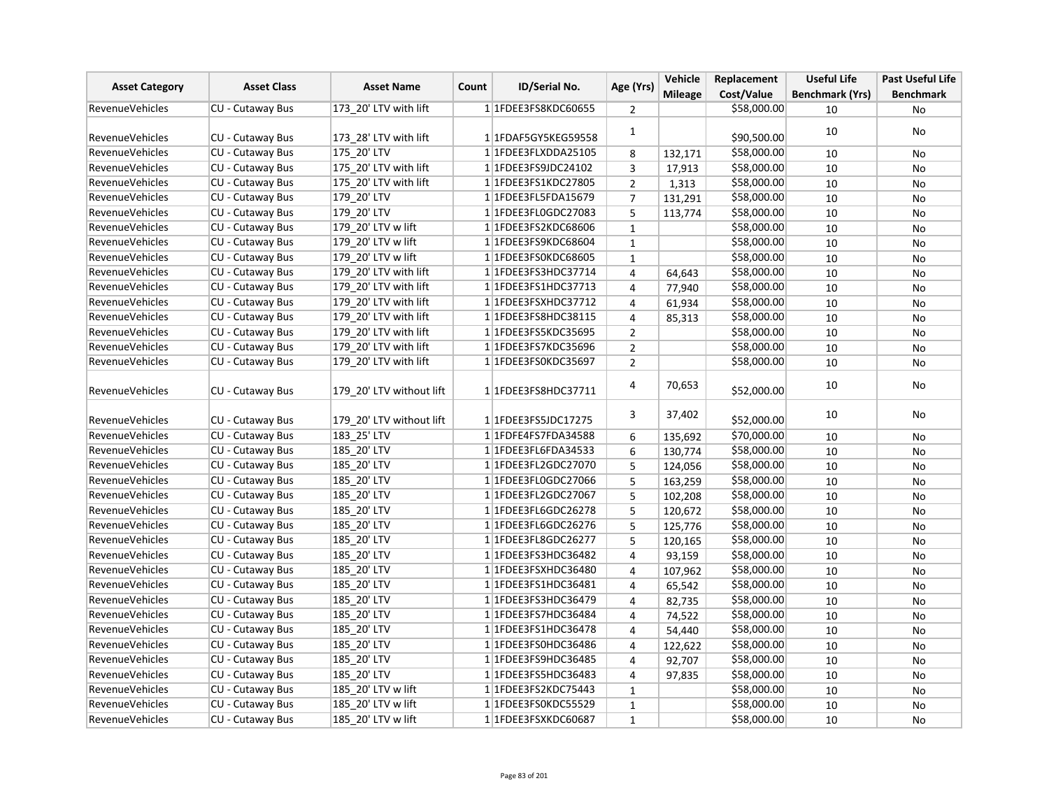| <b>Asset Category</b>  | <b>Asset Class</b> | <b>Asset Name</b>        | Count | <b>ID/Serial No.</b>    | Age (Yrs)      | Vehicle        | Replacement | <b>Useful Life</b>     | <b>Past Useful Life</b> |
|------------------------|--------------------|--------------------------|-------|-------------------------|----------------|----------------|-------------|------------------------|-------------------------|
|                        |                    |                          |       |                         |                | <b>Mileage</b> | Cost/Value  | <b>Benchmark (Yrs)</b> | <b>Benchmark</b>        |
| <b>RevenueVehicles</b> | CU - Cutaway Bus   | 173 20' LTV with lift    |       | 1 1FDEE3FS8KDC60655     | 2              |                | \$58,000.00 | 10                     | No                      |
| <b>RevenueVehicles</b> | CU - Cutaway Bus   | 173 28' LTV with lift    |       | 1 1FDAF5GY5KEG59558     | $\mathbf{1}$   |                | \$90,500.00 | 10                     | No                      |
| <b>RevenueVehicles</b> | CU - Cutaway Bus   | 175 20' LTV              |       | 1 1FDEE3FLXDDA25105     | 8              | 132,171        | \$58,000.00 | 10                     | No                      |
| <b>RevenueVehicles</b> | CU - Cutaway Bus   | 175 20' LTV with lift    |       | 1 1FDEE3FS9JDC24102     | 3              | 17,913         | \$58,000.00 | 10                     | No                      |
| RevenueVehicles        | CU - Cutaway Bus   | 175 20' LTV with lift    |       | 1 1 FDEE3 FS1 KDC 27805 | $\overline{2}$ | 1,313          | \$58,000.00 | 10                     | No                      |
| <b>RevenueVehicles</b> | CU - Cutaway Bus   | 179 20' LTV              |       | 1 1FDEE3FL5FDA15679     | $\overline{7}$ | 131,291        | \$58,000.00 | 10                     | No                      |
| RevenueVehicles        | CU - Cutaway Bus   | 179 20' LTV              |       | 1 1FDEE3FL0GDC27083     | 5              | 113,774        | \$58,000.00 | 10                     | No                      |
| <b>RevenueVehicles</b> | CU - Cutaway Bus   | 179 20' LTV w lift       |       | 1 1FDEE3FS2KDC68606     | $\mathbf 1$    |                | \$58,000.00 | 10                     | No                      |
| <b>RevenueVehicles</b> | CU - Cutaway Bus   | 179 20' LTV w lift       |       | 1 1FDEE3FS9KDC68604     | $\mathbf{1}$   |                | \$58,000.00 | 10                     | No                      |
| <b>RevenueVehicles</b> | CU - Cutaway Bus   | 179 20' LTV w lift       |       | 1 1FDEE3FS0KDC68605     | $\mathbf{1}$   |                | \$58,000.00 | 10                     | No                      |
| <b>RevenueVehicles</b> | CU - Cutaway Bus   | 179 20' LTV with lift    |       | 1 1 FDEE3 FS3 HDC3 7714 | 4              | 64,643         | \$58,000.00 | 10                     | No                      |
| <b>RevenueVehicles</b> | CU - Cutaway Bus   | 179 20' LTV with lift    |       | 1 1FDEE3FS1HDC37713     | $\overline{4}$ | 77,940         | \$58,000.00 | 10                     | No                      |
| <b>RevenueVehicles</b> | CU - Cutaway Bus   | 179 20' LTV with lift    |       | 1 1FDEE3FSXHDC37712     | 4              | 61,934         | \$58,000.00 | 10                     | No                      |
| RevenueVehicles        | CU - Cutaway Bus   | 179 20' LTV with lift    |       | 1 1 FDEE3 FS8 HDC38115  | 4              | 85,313         | \$58,000.00 | 10                     | No                      |
| <b>RevenueVehicles</b> | CU - Cutaway Bus   | 179 20' LTV with lift    |       | 1 1FDEE3FS5KDC35695     | $\overline{2}$ |                | \$58,000.00 | 10                     | No                      |
| <b>RevenueVehicles</b> | CU - Cutaway Bus   | 179 20' LTV with lift    |       | 11FDEE3FS7KDC35696      | $\overline{2}$ |                | \$58,000.00 | 10                     | No                      |
| <b>RevenueVehicles</b> | CU - Cutaway Bus   | 179_20' LTV with lift    |       | 1 1FDEE3FS0KDC35697     | 2              |                | \$58,000.00 | 10                     | No                      |
| <b>RevenueVehicles</b> | CU - Cutaway Bus   | 179 20' LTV without lift |       | 1 1FDEE3FS8HDC37711     | 4              | 70,653         | \$52,000.00 | 10                     | No                      |
| <b>RevenueVehicles</b> | CU - Cutaway Bus   | 179 20' LTV without lift |       | 1 1 FDEE3FS5JDC17275    | 3              | 37,402         | \$52,000.00 | 10                     | No                      |
| <b>RevenueVehicles</b> | CU - Cutaway Bus   | 183 25' LTV              |       | 1 1FDFE4FS7FDA34588     | 6              | 135,692        | \$70,000.00 | 10                     | No                      |
| <b>RevenueVehicles</b> | CU - Cutaway Bus   | 185 20' LTV              |       | 1 1FDEE3FL6FDA34533     | 6              | 130,774        | \$58,000.00 | 10                     | No                      |
| <b>RevenueVehicles</b> | CU - Cutaway Bus   | 185 20' LTV              |       | 1 1 FDEE3 FL2 GDC 27070 | 5              | 124,056        | \$58,000.00 | 10                     | No                      |
| <b>RevenueVehicles</b> | CU - Cutaway Bus   | 185 20' LTV              |       | 1 1FDEE3FL0GDC27066     | 5              | 163,259        | \$58,000.00 | 10                     | No                      |
| <b>RevenueVehicles</b> | CU - Cutaway Bus   | 185 20' LTV              |       | 1 1FDEE3FL2GDC27067     | 5              | 102,208        | \$58,000.00 | 10                     | No                      |
| RevenueVehicles        | CU - Cutaway Bus   | 185 20' LTV              |       | 1 1FDEE3FL6GDC26278     | 5              | 120,672        | \$58,000.00 | 10                     | No                      |
| <b>RevenueVehicles</b> | CU - Cutaway Bus   | 185 20' LTV              |       | 1 1FDEE3FL6GDC26276     | 5              | 125,776        | \$58,000.00 | 10                     | No                      |
| RevenueVehicles        | CU - Cutaway Bus   | 185 20' LTV              |       | 1 1 FDEE3 FL8 GDC 26277 | 5              | 120,165        | \$58,000.00 | 10                     | No                      |
| <b>RevenueVehicles</b> | CU - Cutaway Bus   | 185 20' LTV              |       | 1 1FDEE3FS3HDC36482     | $\overline{4}$ | 93,159         | \$58,000.00 | 10                     | No                      |
| <b>RevenueVehicles</b> | CU - Cutaway Bus   | 185 20' LTV              |       | 1 1FDEE3FSXHDC36480     | 4              | 107,962        | \$58,000.00 | 10                     | No                      |
| RevenueVehicles        | CU - Cutaway Bus   | 185 20' LTV              |       | 1 1 FDEE3 FS1 HDC36481  | 4              | 65,542         | \$58,000.00 | 10                     | No                      |
| RevenueVehicles        | CU - Cutaway Bus   | 185 20' LTV              |       | 1 1FDEE3FS3HDC36479     | 4              | 82,735         | \$58,000.00 | 10                     | No                      |
| RevenueVehicles        | CU - Cutaway Bus   | 185 20' LTV              |       | 1 1FDEE3FS7HDC36484     | 4              | 74,522         | \$58,000.00 | 10                     | No                      |
| <b>RevenueVehicles</b> | CU - Cutaway Bus   | 185_20' LTV              |       | 1 1 FDEE3 FS1 HDC3 6478 | 4              | 54,440         | \$58,000.00 | 10                     | No                      |
| <b>RevenueVehicles</b> | CU - Cutaway Bus   | 185 20' LTV              |       | 1 1FDEE3FS0HDC36486     | $\overline{4}$ | 122,622        | \$58,000.00 | 10                     | No                      |
| <b>RevenueVehicles</b> | CU - Cutaway Bus   | 185_20' LTV              |       | 1 1FDEE3FS9HDC36485     | 4              | 92,707         | \$58,000.00 | 10                     | No                      |
| <b>RevenueVehicles</b> | CU - Cutaway Bus   | 185 20' LTV              |       | 1 1FDEE3FS5HDC36483     | 4              | 97,835         | \$58,000.00 | 10                     | <b>No</b>               |
| RevenueVehicles        | CU - Cutaway Bus   | 185 20' LTV w lift       |       | 1 1 FDEE3FS2KDC75443    | $\mathbf{1}$   |                | \$58,000.00 | 10                     | No                      |
| <b>RevenueVehicles</b> | CU - Cutaway Bus   | 185 20' LTV w lift       |       | 1 1FDEE3FS0KDC55529     | $\mathbf 1$    |                | \$58,000.00 | 10                     | No                      |
| RevenueVehicles        | CU - Cutaway Bus   | 185 20' LTV w lift       |       | 1 1FDEE3FSXKDC60687     | $\mathbf 1$    |                | \$58,000.00 | 10                     | No                      |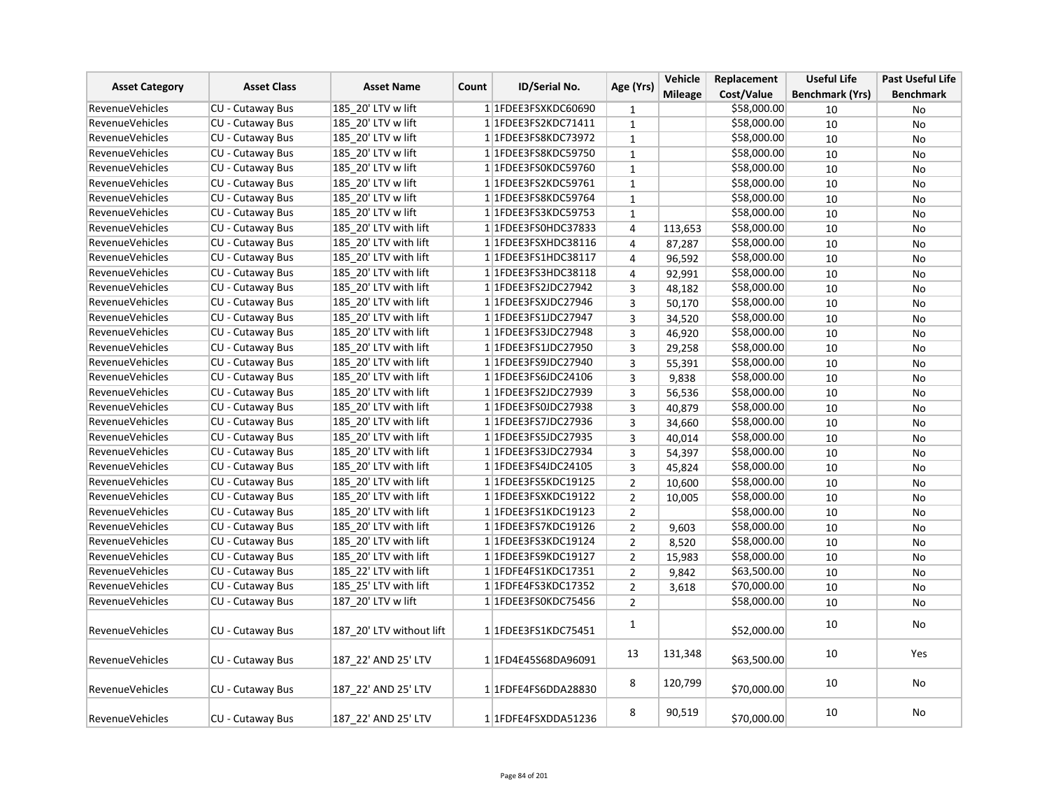|                        | <b>Asset Class</b>      | <b>Asset Name</b>        |       | ID/Serial No.               | Age (Yrs)      | Vehicle        | Replacement | <b>Useful Life</b>     | <b>Past Useful Life</b> |
|------------------------|-------------------------|--------------------------|-------|-----------------------------|----------------|----------------|-------------|------------------------|-------------------------|
| <b>Asset Category</b>  |                         |                          | Count |                             |                | <b>Mileage</b> | Cost/Value  | <b>Benchmark (Yrs)</b> | <b>Benchmark</b>        |
| <b>RevenueVehicles</b> | CU - Cutaway Bus        | 185 20' LTV w lift       |       | 1 1FDEE3FSXKDC60690         | $\mathbf 1$    |                | \$58,000.00 | 10                     | No                      |
| RevenueVehicles        | CU - Cutaway Bus        | 185 20' LTV w lift       |       | 1 1 FDEE3 FS2 KDC 7 1 4 1 1 | $\mathbf{1}$   |                | \$58,000.00 | 10                     | No                      |
| <b>RevenueVehicles</b> | CU - Cutaway Bus        | 185 20' LTV w lift       |       | 1 1FDEE3FS8KDC73972         | $\mathbf{1}$   |                | \$58,000.00 | 10                     | <b>No</b>               |
| <b>RevenueVehicles</b> | CU - Cutaway Bus        | 185 20' LTV w lift       |       | 1 1 FDEE3 FS8 KDC5 9750     | $\mathbf{1}$   |                | \$58,000.00 | 10                     | No                      |
| <b>RevenueVehicles</b> | CU - Cutaway Bus        | 185 20' LTV w lift       |       | 1 1FDEE3FS0KDC59760         | $\mathbf 1$    |                | \$58,000.00 | 10                     | No                      |
| <b>RevenueVehicles</b> | CU - Cutaway Bus        | 185 20' LTV w lift       |       | 1 1FDEE3FS2KDC59761         | $\mathbf 1$    |                | \$58,000.00 | 10                     | No                      |
| <b>RevenueVehicles</b> | CU - Cutaway Bus        | 185 20' LTV w lift       |       | 1 1FDEE3FS8KDC59764         | $\mathbf 1$    |                | \$58,000.00 | 10                     | No                      |
| RevenueVehicles        | CU - Cutaway Bus        | 185 20' LTV w lift       |       | 1 1FDEE3FS3KDC59753         | $\mathbf 1$    |                | \$58,000.00 | 10                     | No                      |
| <b>RevenueVehicles</b> | CU - Cutaway Bus        | 185 20' LTV with lift    |       | 1 1FDEE3FS0HDC37833         | $\pmb{4}$      | 113,653        | \$58,000.00 | 10                     | No                      |
| RevenueVehicles        | CU - Cutaway Bus        | 185 20' LTV with lift    |       | 1 1 FDEE3FSXHDC38116        | $\overline{4}$ | 87,287         | \$58,000.00 | 10                     | <b>No</b>               |
| <b>RevenueVehicles</b> | CU - Cutaway Bus        | 185 20' LTV with lift    |       | 1 1 FDEE3 FS1 HDC38117      | 4              | 96,592         | \$58,000.00 | 10                     | No                      |
| <b>RevenueVehicles</b> | CU - Cutaway Bus        | 185 20' LTV with lift    |       | 1 1 FDEE3 FS3 HDC38118      | 4              | 92,991         | \$58,000.00 | 10                     | No                      |
| <b>RevenueVehicles</b> | CU - Cutaway Bus        | 185 20' LTV with lift    |       | 1 1FDEE3FS2JDC27942         | $\overline{3}$ | 48,182         | \$58,000.00 | 10                     | No                      |
| RevenueVehicles        | CU - Cutaway Bus        | 185 20' LTV with lift    |       | 1 1FDEE3FSXJDC27946         | 3              | 50,170         | \$58,000.00 | 10                     | No                      |
| <b>RevenueVehicles</b> | CU - Cutaway Bus        | 185 20' LTV with lift    |       | 1 1FDEE3FS1JDC27947         | 3              | 34,520         | \$58,000.00 | 10                     | No                      |
| <b>RevenueVehicles</b> | CU - Cutaway Bus        | 185 20' LTV with lift    |       | 1 1FDEE3FS3JDC27948         | 3              | 46,920         | \$58,000.00 | 10                     | <b>No</b>               |
| <b>RevenueVehicles</b> | CU - Cutaway Bus        | 185 20' LTV with lift    |       | 1 1FDEE3FS1JDC27950         | 3              | 29,258         | \$58,000.00 | 10                     | No                      |
| <b>RevenueVehicles</b> | CU - Cutaway Bus        | 185 20' LTV with lift    |       | 1 1FDEE3FS9JDC27940         | 3              | 55,391         | \$58,000.00 | 10                     | No                      |
| <b>RevenueVehicles</b> | CU - Cutaway Bus        | 185 20' LTV with lift    |       | 1 1FDEE3FS6JDC24106         | 3              | 9,838          | \$58,000.00 | 10                     | No                      |
| <b>RevenueVehicles</b> | CU - Cutaway Bus        | 185 20' LTV with lift    |       | 1 1FDEE3FS2JDC27939         | 3              | 56,536         | \$58,000.00 | 10                     | No                      |
| <b>RevenueVehicles</b> | CU - Cutaway Bus        | 185_20' LTV with lift    |       | 1 1FDEE3FS0JDC27938         | 3              | 40,879         | \$58,000.00 | 10                     | No                      |
| <b>RevenueVehicles</b> | CU - Cutaway Bus        | 185 20' LTV with lift    |       | 1 1 FDEE3FS7JDC27936        | 3              | 34,660         | \$58,000.00 | 10                     | No                      |
| <b>RevenueVehicles</b> | CU - Cutaway Bus        | 185 20' LTV with lift    |       | 1 1 FDEE3FS5JDC27935        | $\overline{3}$ | 40,014         | \$58,000.00 | 10                     | <b>No</b>               |
| <b>RevenueVehicles</b> | CU - Cutaway Bus        | 185 20' LTV with lift    |       | 1 1FDEE3FS3JDC27934         | 3              | 54,397         | \$58,000.00 | 10                     | No                      |
| <b>RevenueVehicles</b> | CU - Cutaway Bus        | 185 20' LTV with lift    |       | 1 1FDEE3FS4JDC24105         | 3              | 45,824         | \$58,000.00 | 10                     | No                      |
| <b>RevenueVehicles</b> | CU - Cutaway Bus        | 185 20' LTV with lift    |       | 1 1FDEE3FS5KDC19125         | $\overline{2}$ | 10,600         | \$58,000.00 | 10                     | No                      |
| <b>RevenueVehicles</b> | CU - Cutaway Bus        | 185 20' LTV with lift    |       | 1 1FDEE3FSXKDC19122         | $\overline{2}$ | 10,005         | \$58,000.00 | 10                     | No                      |
| <b>RevenueVehicles</b> | <b>CU - Cutaway Bus</b> | 185 20' LTV with lift    |       | 1 1 FDEE 3 FS 1 KDC 19123   | $\overline{2}$ |                | \$58,000.00 | 10                     | <b>No</b>               |
| <b>RevenueVehicles</b> | CU - Cutaway Bus        | 185 20' LTV with lift    |       | 1 1 FDEE3FS7KDC19126        | $\overline{2}$ | 9,603          | \$58,000.00 | 10                     | No                      |
| <b>RevenueVehicles</b> | CU - Cutaway Bus        | 185 20' LTV with lift    |       | 1 1 FDEE3 FS3 KDC 19124     | $\overline{2}$ | 8,520          | \$58,000.00 | 10                     | <b>No</b>               |
| <b>RevenueVehicles</b> | CU - Cutaway Bus        | 185 20' LTV with lift    |       | 1 1FDEE3FS9KDC19127         | $\overline{2}$ | 15,983         | \$58,000.00 | 10                     | No                      |
| <b>RevenueVehicles</b> | CU - Cutaway Bus        | 185 22' LTV with lift    |       | 1 1 FDFE4FS1KDC17351        | $\overline{2}$ | 9,842          | \$63,500.00 | 10                     | No                      |
| <b>RevenueVehicles</b> | CU - Cutaway Bus        | 185 25' LTV with lift    |       | 11FDFE4FS3KDC17352          | $\overline{2}$ | 3,618          | \$70,000.00 | 10                     | No                      |
| <b>RevenueVehicles</b> | CU - Cutaway Bus        | 187 20' LTV w lift       |       | 1 1 FDEE3FS0KDC75456        | $\overline{2}$ |                | \$58,000.00 | 10                     | No                      |
| <b>RevenueVehicles</b> | CU - Cutaway Bus        | 187 20' LTV without lift |       | 1 1FDEE3FS1KDC75451         | $\mathbf{1}$   |                | \$52,000.00 | 10                     | No                      |
| RevenueVehicles        | CU - Cutaway Bus        | 187 22' AND 25' LTV      |       | 1 1 FD4E45S68DA96091        | 13             | 131,348        | \$63,500.00 | 10                     | Yes                     |
| <b>RevenueVehicles</b> | CU - Cutaway Bus        | 187 22' AND 25' LTV      |       | 1 1FDFE4FS6DDA28830         | 8              | 120,799        | \$70,000.00 | 10                     | No                      |
| <b>RevenueVehicles</b> | CU - Cutaway Bus        | 187 22' AND 25' LTV      |       | 1 1FDFE4FSXDDA51236         | 8              | 90,519         | \$70,000.00 | 10                     | No                      |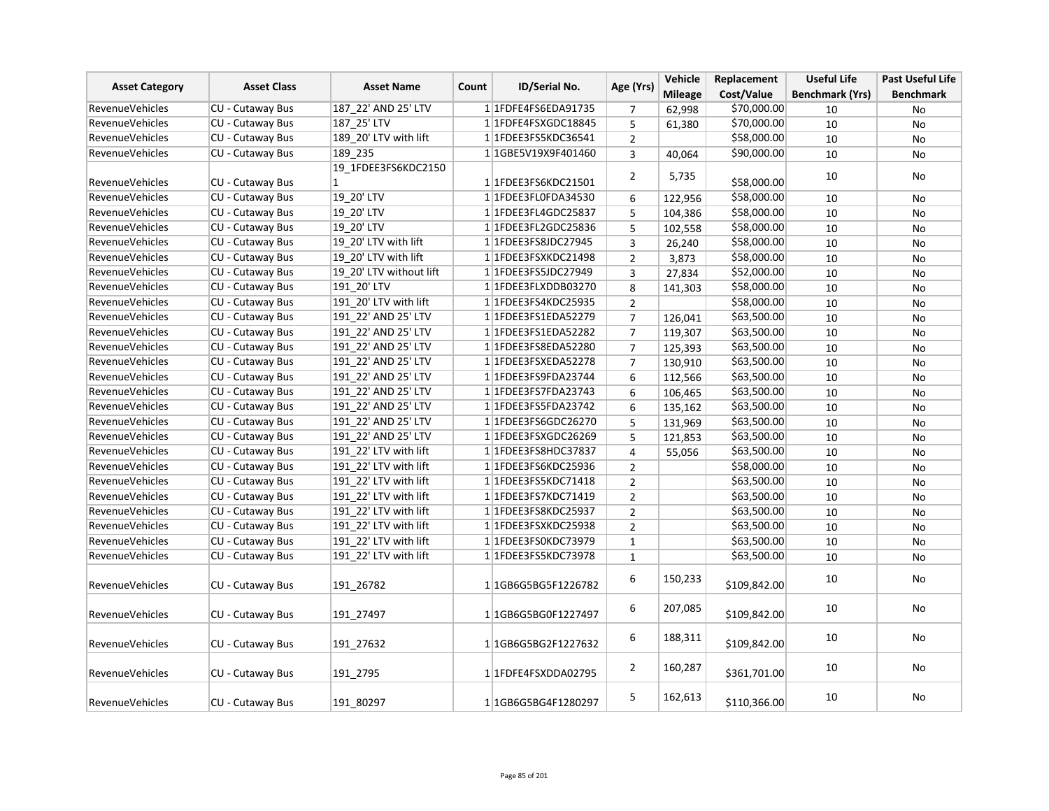| <b>Asset Category</b>                            | <b>Asset Class</b>      | <b>Asset Name</b>                   | Count | ID/Serial No.                    | Age (Yrs)      | Vehicle        | Replacement<br>Cost/Value | <b>Useful Life</b>     | <b>Past Useful Life</b> |
|--------------------------------------------------|-------------------------|-------------------------------------|-------|----------------------------------|----------------|----------------|---------------------------|------------------------|-------------------------|
| RevenueVehicles                                  | CU - Cutaway Bus        | 187 22' AND 25' LTV                 |       | 1 1FDFE4FS6EDA91735              |                | <b>Mileage</b> | \$70,000.00               | <b>Benchmark (Yrs)</b> | <b>Benchmark</b>        |
| <b>RevenueVehicles</b>                           |                         |                                     |       |                                  | 7              | 62,998         |                           | 10                     | No                      |
|                                                  | CU - Cutaway Bus        | 187 25' LTV                         |       | 1 1FDFE4FSXGDC18845              | 5              | 61,380         | \$70,000.00               | 10                     | No                      |
| RevenueVehicles                                  | CU - Cutaway Bus        | 189 20' LTV with lift               |       | 1 1 FDEE3 FS5 KDC3 6541          | $\overline{2}$ |                | \$58,000.00               | 10                     | No                      |
| <b>RevenueVehicles</b>                           | CU - Cutaway Bus        | 189 235                             |       | 1 1GBE5V19X9F401460              | 3              | 40,064         | \$90,000.00               | 10                     | No                      |
|                                                  |                         | 19 1FDEE3FS6KDC2150<br>$\mathbf{1}$ |       |                                  | $\overline{2}$ | 5,735          |                           | 10                     | No                      |
| <b>RevenueVehicles</b><br><b>RevenueVehicles</b> | <b>CU - Cutaway Bus</b> |                                     |       | 1 1 FDEE3 FS6 KDC 21501          |                |                | \$58,000.00               |                        |                         |
|                                                  | CU - Cutaway Bus        | 19_20' LTV                          |       | 1 1FDEE3FL0FDA34530              | 6              | 122,956        | \$58,000.00               | 10                     | No                      |
| RevenueVehicles                                  | <b>CU - Cutaway Bus</b> | 19_20' LTV                          |       | 1 1FDEE3FL4GDC25837              | 5              | 104,386        | \$58,000.00               | 10                     | No                      |
| <b>RevenueVehicles</b>                           | CU - Cutaway Bus        | 19 20' LTV                          |       | 1 1FDEE3FL2GDC25836              | 5              | 102,558        | \$58,000.00               | 10                     | No                      |
| <b>RevenueVehicles</b>                           | CU - Cutaway Bus        | 19 20' LTV with lift                |       | 1 1FDEE3FS8JDC27945              | 3              | 26,240         | \$58,000.00               | 10                     | No                      |
| <b>RevenueVehicles</b>                           | CU - Cutaway Bus        | 19 20' LTV with lift                |       | 1 1FDEE3FSXKDC21498              | $\overline{2}$ | 3,873          | \$58,000.00               | 10                     | No                      |
| <b>RevenueVehicles</b>                           | CU - Cutaway Bus        | 19 20' LTV without lift             |       | 1 1 FDEE3FS5JDC27949             | 3              | 27,834         | \$52,000.00               | 10                     | <b>No</b>               |
| <b>RevenueVehicles</b>                           | CU - Cutaway Bus        | 191 20' LTV                         |       | 1 1FDEE3FLXDDB03270              | 8              | 141,303        | \$58,000.00               | 10                     | <b>No</b>               |
| <b>RevenueVehicles</b>                           | CU - Cutaway Bus        | 191_20' LTV with lift               |       | 1 1 FDEE3 FS4 KDC 25935          | $\overline{2}$ |                | \$58,000.00               | 10                     | No                      |
| <b>RevenueVehicles</b>                           | CU - Cutaway Bus        | 191 22' AND 25' LTV                 |       | 1 1FDEE3FS1EDA52279              | $\overline{7}$ | 126,041        | \$63,500.00               | 10                     | No                      |
| <b>RevenueVehicles</b>                           | <b>CU - Cutaway Bus</b> | 191 22' AND 25' LTV                 |       | 1 1FDEE3FS1EDA52282              | $\overline{7}$ | 119,307        | \$63,500.00               | 10                     | No                      |
| <b>RevenueVehicles</b>                           | CU - Cutaway Bus        | 191 22' AND 25' LTV                 |       | 1 1FDEE3FS8EDA52280              | $\overline{7}$ | 125,393        | \$63,500.00               | 10                     | No                      |
| RevenueVehicles                                  | CU - Cutaway Bus        | 191 22' AND 25' LTV                 |       | 1 1FDEE3FSXEDA52278              | $\overline{7}$ | 130,910        | \$63,500.00               | 10                     | No                      |
| <b>RevenueVehicles</b>                           | CU - Cutaway Bus        | 191 22' AND 25' LTV                 |       | 1 1FDEE3FS9FDA23744              | 6              | 112,566        | \$63,500.00               | 10                     | No                      |
| <b>RevenueVehicles</b>                           | CU - Cutaway Bus        | 191 22' AND 25' LTV                 |       | 1 1FDEE3FS7FDA23743              | 6              | 106,465        | \$63,500.00               | 10                     | No                      |
| <b>RevenueVehicles</b>                           | CU - Cutaway Bus        | 191 22' AND 25' LTV                 |       | 11FDEE3FS5FDA23742               | 6              | 135,162        | \$63,500.00               | 10                     | No                      |
| RevenueVehicles                                  | CU - Cutaway Bus        | 191_22' AND 25' LTV                 |       | 1 1 FDEE3 FS6GDC26270            | 5              | 131,969        | \$63,500.00               | 10                     | No                      |
| <b>RevenueVehicles</b>                           | CU - Cutaway Bus        | 191 22' AND 25' LTV                 |       | 1 1FDEE3FSXGDC26269              | 5              | 121,853        | \$63,500.00               | 10                     | No                      |
| <b>RevenueVehicles</b>                           | CU - Cutaway Bus        | 191 22' LTV with lift               |       | 1 1 FDEE3FS8HDC37837             | 4              | 55,056         | \$63,500.00               | 10                     | No                      |
| <b>RevenueVehicles</b>                           | CU - Cutaway Bus        | 191 22' LTV with lift               |       | 11FDEE3FS6KDC25936               | $\overline{2}$ |                | \$58,000.00               | 10                     | <b>No</b>               |
| <b>RevenueVehicles</b>                           | CU - Cutaway Bus        | 191 22' LTV with lift               |       | 11FDEE3FS5KDC71418               | $\overline{2}$ |                | \$63,500.00               | 10                     | No                      |
| <b>RevenueVehicles</b>                           | CU - Cutaway Bus        | 191 22' LTV with lift               |       | 11FDEE3FS7KDC71419               | $\overline{2}$ |                | \$63,500.00               | 10                     | <b>No</b>               |
| <b>RevenueVehicles</b>                           | CU - Cutaway Bus        | 191 22' LTV with lift               |       | 1 1 FDEE3 FS8 KDC 25937          | $\overline{2}$ |                | \$63,500.00               | 10                     | No                      |
| <b>RevenueVehicles</b>                           | CU - Cutaway Bus        | 191 22' LTV with lift               |       | 1 1FDEE3FSXKDC25938              | $\overline{2}$ |                | \$63,500.00               | 10                     | No                      |
| <b>RevenueVehicles</b>                           | CU - Cutaway Bus        | 191 22' LTV with lift               |       | 1 1 FDEE3FS0KDC73979             | $\mathbf 1$    |                | \$63,500.00               | 10                     | No                      |
| <b>RevenueVehicles</b>                           | CU - Cutaway Bus        | 191 22' LTV with lift               |       | 1 1 FDEE3FS5KDC73978             | $\mathbf 1$    |                | \$63,500.00               | 10                     | <b>No</b>               |
|                                                  |                         |                                     |       |                                  | 6              | 150,233        |                           | 10                     | No                      |
| RevenueVehicles                                  | CU - Cutaway Bus        | 191 26782                           |       | 11GB6G5BG5F1226782               |                |                | \$109,842.00              |                        |                         |
| <b>RevenueVehicles</b>                           | CU - Cutaway Bus        | 191 27497                           |       | 1 1GB6G5BG0F1227497              | 6              | 207,085        | \$109,842.00              | 10                     | <b>No</b>               |
| <b>RevenueVehicles</b>                           | CU - Cutaway Bus        | 191 27632                           |       | 1 1GB6G5BG2F1227632              | 6              | 188,311        | \$109,842.00              | 10                     | No                      |
| <b>RevenueVehicles</b>                           | CU - Cutaway Bus        | 191 2795                            |       | 11FDFE4FSXDDA02795               | $\overline{2}$ | 160,287        | \$361,701.00              | 10                     | No                      |
| <b>RevenueVehicles</b>                           | CU - Cutaway Bus        | 191 80297                           |       | 1 1 1 GB6 G5 BG4 F 1 2 8 0 2 9 7 | 5              | 162,613        | \$110,366.00              | 10                     | No                      |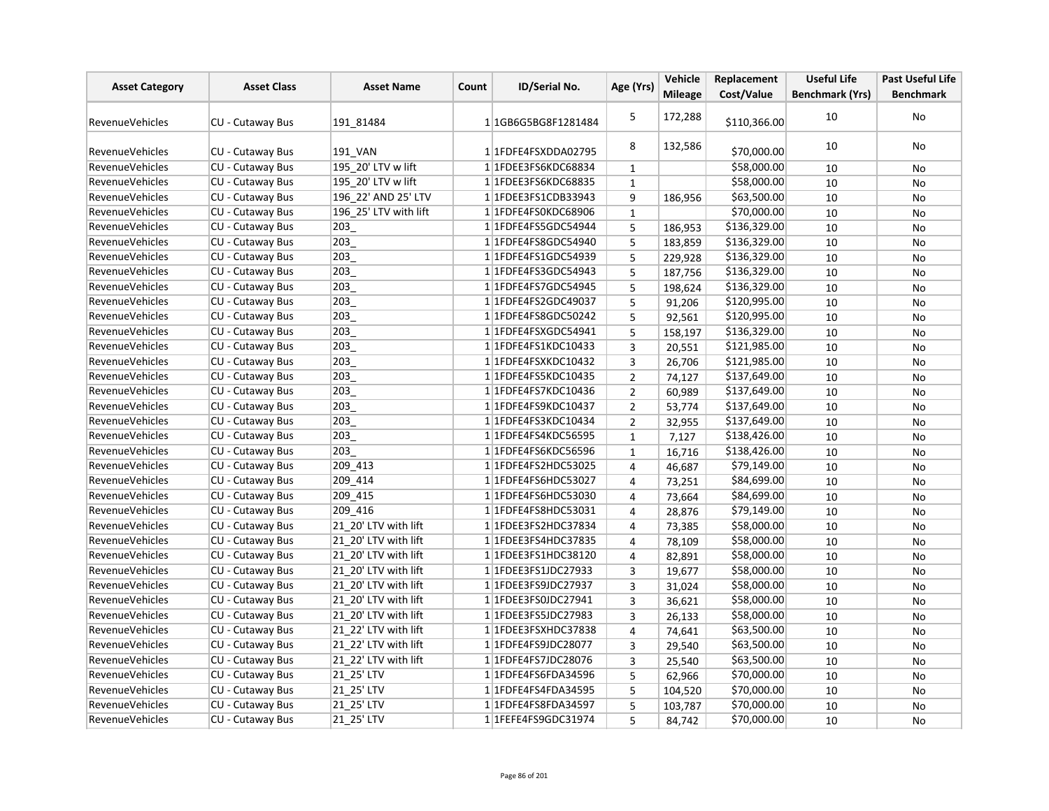| <b>Asset Category</b>  | <b>Asset Class</b>      | <b>Asset Name</b>     | Count | <b>ID/Serial No.</b>             | Age (Yrs)      | Vehicle        | Replacement  | <b>Useful Life</b>     | <b>Past Useful Life</b> |
|------------------------|-------------------------|-----------------------|-------|----------------------------------|----------------|----------------|--------------|------------------------|-------------------------|
|                        |                         |                       |       |                                  |                | <b>Mileage</b> | Cost/Value   | <b>Benchmark (Yrs)</b> | <b>Benchmark</b>        |
| <b>RevenueVehicles</b> | <b>CU - Cutaway Bus</b> | 191 81484             |       | 1 1 1 GB6 G5 BG8 F 1 2 8 1 4 8 4 | 5              | 172,288        | \$110,366.00 | 10                     | <b>No</b>               |
| RevenueVehicles        | CU - Cutaway Bus        | 191 VAN               |       | 1 1FDFE4FSXDDA02795              | 8              | 132,586        | \$70,000.00  | 10                     | No                      |
| <b>RevenueVehicles</b> | CU - Cutaway Bus        | 195 20' LTV w lift    |       | 1 1FDEE3FS6KDC68834              | $\mathbf{1}$   |                | \$58,000.00  | 10                     | No                      |
| <b>RevenueVehicles</b> | CU - Cutaway Bus        | 195 20' LTV w lift    |       | 1 1FDEE3FS6KDC68835              | $\mathbf{1}$   |                | \$58,000.00  | 10                     | <b>No</b>               |
| <b>RevenueVehicles</b> | <b>CU - Cutaway Bus</b> | 196 22' AND 25' LTV   |       | 1 1 FDEE3 FS1 CDB33943           | 9              | 186,956        | \$63,500.00  | 10                     | No                      |
| <b>RevenueVehicles</b> | CU - Cutaway Bus        | 196 25' LTV with lift |       | 1 1FDFE4FS0KDC68906              | $\mathbf{1}$   |                | \$70,000.00  | 10                     | No                      |
| <b>RevenueVehicles</b> | CU - Cutaway Bus        | 203                   |       | 1 1 FDFE4FS5GDC54944             | 5              | 186,953        | \$136,329.00 | 10                     | No                      |
| <b>RevenueVehicles</b> | CU - Cutaway Bus        | 203                   |       | 11FDFE4FS8GDC54940               | 5              | 183,859        | \$136,329.00 | 10                     | No                      |
| <b>RevenueVehicles</b> | CU - Cutaway Bus        | 203                   |       | 1 1 FDFE4FS1GDC54939             | 5              | 229,928        | \$136,329.00 | 10                     | <b>No</b>               |
| <b>RevenueVehicles</b> | CU - Cutaway Bus        | 203                   |       | 1 1 FDFE4FS3GDC54943             | 5              | 187,756        | \$136,329.00 | 10                     | <b>No</b>               |
| <b>RevenueVehicles</b> | CU - Cutaway Bus        | 203                   |       | 1 1FDFE4FS7GDC54945              | 5              | 198,624        | \$136,329.00 | 10                     | No                      |
| RevenueVehicles        | CU - Cutaway Bus        | 203                   |       | 1 1 FDFE4FS2GDC49037             | 5              | 91,206         | \$120,995.00 | 10                     | No                      |
| <b>RevenueVehicles</b> | CU - Cutaway Bus        | 203                   |       | 11FDFE4FS8GDC50242               | 5              | 92,561         | \$120,995.00 | 10                     | <b>No</b>               |
| RevenueVehicles        | CU - Cutaway Bus        | 203                   |       | 1 1FDFE4FSXGDC54941              | 5              | 158,197        | \$136,329.00 | 10                     | <b>No</b>               |
| <b>RevenueVehicles</b> | CU - Cutaway Bus        | 203                   |       | 1 1FDFE4FS1KDC10433              | 3              | 20,551         | \$121,985.00 | 10                     | No                      |
| <b>RevenueVehicles</b> | CU - Cutaway Bus        | 203                   |       | 1 1FDFE4FSXKDC10432              | $\overline{3}$ | 26,706         | \$121,985.00 | 10                     | No                      |
| <b>RevenueVehicles</b> | CU - Cutaway Bus        | 203                   |       | 1 1FDFE4FS5KDC10435              | $\overline{2}$ | 74,127         | \$137,649.00 | 10                     | <b>No</b>               |
| <b>RevenueVehicles</b> | CU - Cutaway Bus        | 203                   |       | 11FDFE4FS7KDC10436               | $\overline{2}$ | 60,989         | \$137,649.00 | 10                     | No                      |
| RevenueVehicles        | <b>CU - Cutaway Bus</b> | 203                   |       | 1 1FDFE4FS9KDC10437              | $\overline{2}$ | 53,774         | \$137,649.00 | 10                     | No                      |
| <b>RevenueVehicles</b> | CU - Cutaway Bus        | 203                   |       | 1 1FDFE4FS3KDC10434              | $\mathbf 2$    | 32,955         | \$137,649.00 | 10                     | No                      |
| <b>RevenueVehicles</b> | CU - Cutaway Bus        | 203                   |       | 1 1 FDFE4FS4KDC56595             | $\mathbf{1}$   | 7,127          | \$138,426.00 | 10                     | No                      |
| RevenueVehicles        | CU - Cutaway Bus        | 203                   |       | 1 1FDFE4FS6KDC56596              | $\mathbf{1}$   | 16,716         | \$138,426.00 | 10                     | No                      |
| <b>RevenueVehicles</b> | CU - Cutaway Bus        | 209_413               |       | 11FDFE4FS2HDC53025               | 4              | 46,687         | \$79,149.00  | 10                     | No                      |
| <b>RevenueVehicles</b> | CU - Cutaway Bus        | 209_414               |       | 1 1 FDFE4FS6HDC53027             | $\overline{4}$ | 73,251         | \$84,699.00  | 10                     | No                      |
| <b>RevenueVehicles</b> | CU - Cutaway Bus        | 209 415               |       | 1 1FDFE4FS6HDC53030              | 4              | 73,664         | \$84,699.00  | 10                     | <b>No</b>               |
| RevenueVehicles        | CU - Cutaway Bus        | 209 416               |       | 1 1 FDFE4FS8HDC53031             | 4              | 28,876         | \$79,149.00  | 10                     | No                      |
| RevenueVehicles        | CU - Cutaway Bus        | 21 20' LTV with lift  |       | 1 1 FDEE3FS2HDC37834             | 4              | 73,385         | \$58,000.00  | 10                     | <b>No</b>               |
| <b>RevenueVehicles</b> | CU - Cutaway Bus        | 21 20' LTV with lift  |       | 1 1 FDEE3FS4HDC37835             | 4              | 78,109         | \$58,000.00  | 10                     | No                      |
| RevenueVehicles        | CU - Cutaway Bus        | 21 20' LTV with lift  |       | 1 1 FDEE3 FS1 HDC38120           | $\overline{4}$ | 82,891         | \$58,000.00  | 10                     | No                      |
| <b>RevenueVehicles</b> | CU - Cutaway Bus        | 21 20' LTV with lift  |       | 1 1FDEE3FS1JDC27933              | $\overline{3}$ | 19,677         | \$58,000.00  | 10                     | No                      |
| <b>RevenueVehicles</b> | CU - Cutaway Bus        | 21 20' LTV with lift  |       | 1 1FDEE3FS9JDC27937              | 3              | 31,024         | \$58,000.00  | 10                     | No                      |
| RevenueVehicles        | CU - Cutaway Bus        | 21 20' LTV with lift  |       | 1 1FDEE3FS0JDC27941              | 3              | 36,621         | \$58,000.00  | 10                     | <b>No</b>               |
| <b>RevenueVehicles</b> | CU - Cutaway Bus        | 21 20' LTV with lift  |       | 1 1 FDEE3FS5JDC27983             | 3              | 26,133         | \$58,000.00  | 10                     | No                      |
| <b>RevenueVehicles</b> | CU - Cutaway Bus        | 21 22' LTV with lift  |       | 1 1FDEE3FSXHDC37838              | $\overline{4}$ | 74,641         | \$63,500.00  | 10                     | No                      |
| <b>RevenueVehicles</b> | CU - Cutaway Bus        | 21 22' LTV with lift  |       | 1 1FDFE4FS9JDC28077              | 3              | 29,540         | \$63,500.00  | 10                     | No                      |
| <b>RevenueVehicles</b> | CU - Cutaway Bus        | 21 22' LTV with lift  |       | 1 1FDFE4FS7JDC28076              | 3              | 25,540         | \$63,500.00  | 10                     | No                      |
| <b>RevenueVehicles</b> | CU - Cutaway Bus        | 21 25' LTV            |       | 1 1FDFE4FS6FDA34596              | 5              | 62,966         | \$70,000.00  | 10                     | <b>No</b>               |
| <b>RevenueVehicles</b> | CU - Cutaway Bus        | 21_25' LTV            |       | 1 1 FDFE4FS4FDA34595             | 5              | 104,520        | \$70,000.00  | 10                     | No                      |
| <b>RevenueVehicles</b> | CU - Cutaway Bus        | 21 25' LTV            |       | 1 1 FDFE4FS8FDA34597             | 5              | 103,787        | \$70,000.00  | 10                     | No                      |
| <b>RevenueVehicles</b> | CU - Cutaway Bus        | 21 25' LTV            |       | 1 1 FEFE 4 F S 9 GDC 3 1 9 7 4   | 5              | 84,742         | \$70,000.00  | 10                     | No                      |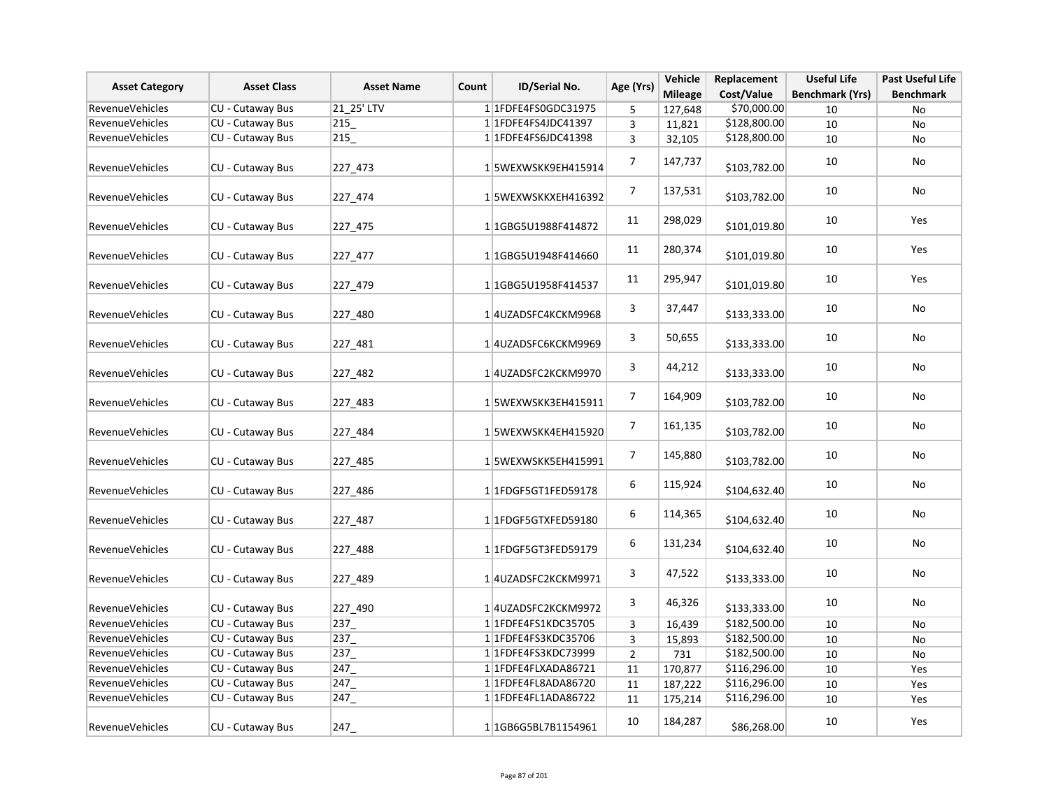| <b>Asset Category</b>  | <b>Asset Class</b>      | <b>Asset Name</b><br>Count | ID/Serial No.                        | Age (Yrs)      | Vehicle        | Replacement  | <b>Useful Life</b>     | <b>Past Useful Life</b> |
|------------------------|-------------------------|----------------------------|--------------------------------------|----------------|----------------|--------------|------------------------|-------------------------|
|                        |                         |                            |                                      |                | <b>Mileage</b> | Cost/Value   | <b>Benchmark (Yrs)</b> | <b>Benchmark</b>        |
| RevenueVehicles        | CU - Cutaway Bus        | 21_25' LTV                 | 1 1 FDFE4FS0GDC31975                 | 5              | 127,648        | \$70,000.00  | 10                     | No                      |
| <b>RevenueVehicles</b> | <b>CU - Cutaway Bus</b> | 215                        | 1 1 FDFE4FS4JDC41397                 | 3              | 11,821         | \$128,800.00 | 10                     | No                      |
| <b>RevenueVehicles</b> | CU - Cutaway Bus        | 215                        | 1 1 FDFE4FS6JDC41398                 | 3              | 32,105         | \$128,800.00 | 10                     | No                      |
| RevenueVehicles        | CU - Cutaway Bus        | 227 473                    | 15WEXWSKK9EH415914                   | 7              | 147,737        | \$103,782.00 | 10                     | No                      |
| RevenueVehicles        | CU - Cutaway Bus        | 227_474                    | 1 5WEXWSKKXEH416392                  | 7              | 137,531        | \$103,782.00 | 10                     | No                      |
| RevenueVehicles        | <b>CU - Cutaway Bus</b> | 227 475                    | 1 1 1 GBG5 U 1 988 F 4 1 4 8 7 2     | 11             | 298,029        | \$101,019.80 | $10\,$                 | Yes                     |
| <b>RevenueVehicles</b> | CU - Cutaway Bus        | 227_477                    | 1 1GBG5U1948F414660                  | 11             | 280,374        | \$101,019.80 | 10                     | Yes                     |
| RevenueVehicles        | CU - Cutaway Bus        | 227_479                    | 1 1 1 GB G 5 U 1 9 5 8 F 4 1 4 5 3 7 | 11             | 295,947        | \$101,019.80 | 10                     | Yes                     |
| RevenueVehicles        | CU - Cutaway Bus        | 227_480                    | 1 4 UZADSFC4KCKM9968                 | 3              | 37,447         | \$133,333.00 | 10                     | No                      |
| RevenueVehicles        | CU - Cutaway Bus        | 227_481                    | 1 4 UZADSFC6KCKM9969                 | 3              | 50,655         | \$133,333.00 | 10                     | No                      |
| RevenueVehicles        | <b>CU - Cutaway Bus</b> | 227_482                    | 1 4 UZADSFC2KCKM9970                 | 3              | 44,212         | \$133,333.00 | 10                     | No                      |
| RevenueVehicles        | <b>CU - Cutaway Bus</b> | 227 483                    | 15WEXWSKK3EH415911                   | 7              | 164,909        | \$103,782.00 | 10                     | No                      |
| RevenueVehicles        | <b>CU - Cutaway Bus</b> | 227 484                    | 15WEXWSKK4EH415920                   | 7              | 161,135        | \$103,782.00 | 10                     | No                      |
| RevenueVehicles        | CU - Cutaway Bus        | 227_485                    | 1 5WEXWSKK5EH415991                  | 7              | 145,880        | \$103,782.00 | 10                     | No                      |
| <b>RevenueVehicles</b> | CU - Cutaway Bus        | 227_486                    | 11FDGF5GT1FED59178                   | 6              | 115,924        | \$104,632.40 | 10                     | No                      |
| RevenueVehicles        | CU - Cutaway Bus        | 227_487                    | 11FDGF5GTXFED59180                   | 6              | 114,365        | \$104,632.40 | 10                     | No                      |
| RevenueVehicles        | CU - Cutaway Bus        | 227_488                    | 1 1 FDGF5GT3FED59179                 | 6              | 131,234        | \$104,632.40 | 10                     | No                      |
| RevenueVehicles        | CU - Cutaway Bus        | 227_489                    | 1 4 UZADSFC2KCKM9971                 | 3              | 47,522         | \$133,333.00 | 10                     | No                      |
| RevenueVehicles        | CU - Cutaway Bus        | 227_490                    | 1 4 UZADSFC2KCKM9972                 | 3              | 46,326         | \$133,333.00 | 10                     | No                      |
| <b>RevenueVehicles</b> | CU - Cutaway Bus        | $237 -$                    | 1 1FDFE4FS1KDC35705                  | 3              | 16,439         | \$182,500.00 | 10                     | No                      |
| RevenueVehicles        | CU - Cutaway Bus        | 237                        | 1 1 FDFE4FS3KDC35706                 | 3              | 15,893         | \$182,500.00 | 10                     | No                      |
| <b>RevenueVehicles</b> | <b>CU - Cutaway Bus</b> | $237 -$                    | 1 1FDFE4FS3KDC73999                  | $\overline{2}$ | 731            | \$182,500.00 | 10                     | No                      |
| RevenueVehicles        | CU - Cutaway Bus        | 247                        | 1 1FDFE4FLXADA86721                  | 11             | 170,877        | \$116,296.00 | 10                     | Yes                     |
| <b>RevenueVehicles</b> | <b>CU - Cutaway Bus</b> | 247                        | 1 1 FDFE4FL8ADA86720                 | 11             | 187,222        | \$116,296.00 | 10                     | Yes                     |
| <b>RevenueVehicles</b> | CU - Cutaway Bus        | 247                        | 1 1 FDFE4FL1ADA86722                 | 11             | 175,214        | \$116,296.00 | 10                     | Yes                     |
| RevenueVehicles        | <b>CU - Cutaway Bus</b> | 247                        | 1 1 1 GB6 G5 BL7 B 1 1 5 4 9 6 1     | 10             | 184,287        | \$86,268.00  | 10                     | Yes                     |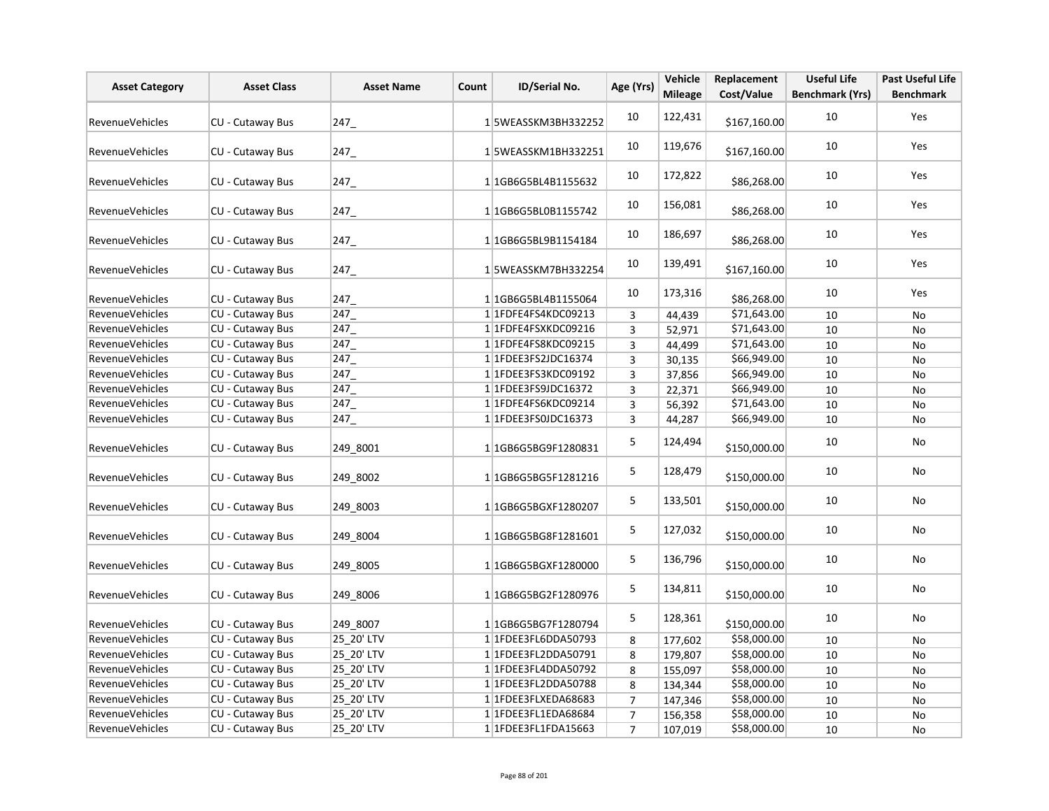| <b>Asset Category</b>  | <b>Asset Class</b>      | <b>Asset Name</b> | Count | ID/Serial No.                      | Age (Yrs)      | Vehicle        | Replacement  | <b>Useful Life</b>     | <b>Past Useful Life</b> |
|------------------------|-------------------------|-------------------|-------|------------------------------------|----------------|----------------|--------------|------------------------|-------------------------|
|                        |                         |                   |       |                                    |                | <b>Mileage</b> | Cost/Value   | <b>Benchmark (Yrs)</b> | <b>Benchmark</b>        |
| RevenueVehicles        | CU - Cutaway Bus        | 247               |       | 15WEASSKM3BH332252                 | 10             | 122,431        | \$167,160.00 | 10                     | Yes                     |
| RevenueVehicles        | CU - Cutaway Bus        | 247               |       | 15WEASSKM1BH332251                 | 10             | 119,676        | \$167,160.00 | 10                     | Yes                     |
| RevenueVehicles        | CU - Cutaway Bus        | 247               |       | 11GB6G5BL4B1155632                 | 10             | 172,822        | \$86,268.00  | 10                     | Yes                     |
| RevenueVehicles        | CU - Cutaway Bus        | 247               |       | 11GB6G5BL0B1155742                 | 10             | 156,081        | \$86,268.00  | 10                     | Yes                     |
| RevenueVehicles        | <b>CU - Cutaway Bus</b> | 247               |       | 11GB6G5BL9B1154184                 | 10             | 186,697        | \$86,268.00  | 10                     | Yes                     |
| RevenueVehicles        | CU - Cutaway Bus        | 247               |       | 15WEASSKM7BH332254                 | 10             | 139,491        | \$167,160.00 | 10                     | Yes                     |
| RevenueVehicles        | CU - Cutaway Bus        | 247               |       | 1 1 1 GB6 G5 BL4 B1155064          | 10             | 173,316        | \$86,268.00  | 10                     | Yes                     |
| RevenueVehicles        | CU - Cutaway Bus        | 247               |       | 1 1FDFE4FS4KDC09213                | 3              | 44,439         | \$71,643.00  | 10                     | No                      |
| RevenueVehicles        | CU - Cutaway Bus        | 247               |       | 1 1FDFE4FSXKDC09216                | 3              | 52,971         | \$71,643.00  | 10                     | No                      |
| RevenueVehicles        | CU - Cutaway Bus        | 247               |       | 1 1FDFE4FS8KDC09215                | $\overline{3}$ | 44,499         | \$71,643.00  | 10                     | No                      |
| RevenueVehicles        | CU - Cutaway Bus        | 247               |       | 1 1 FDEE3FS2JDC16374               | $\mathsf 3$    | 30,135         | \$66,949.00  | 10                     | No                      |
| RevenueVehicles        | <b>CU - Cutaway Bus</b> | 247               |       | 1 1FDEE3FS3KDC09192                | 3              | 37,856         | \$66,949.00  | 10                     | No                      |
| RevenueVehicles        | CU - Cutaway Bus        | 247               |       | 1 1 FDEE3 FS9 JDC1 6372            | 3              | 22,371         | \$66,949.00  | 10                     | No                      |
| RevenueVehicles        | CU - Cutaway Bus        | 247               |       | 1 1FDFE4FS6KDC09214                | $\overline{3}$ | 56,392         | \$71,643.00  | 10                     | No                      |
| <b>RevenueVehicles</b> | CU - Cutaway Bus        | 247               |       | 1 1 FDEE3 FS0 JDC 16373            | 3              | 44,287         | \$66,949.00  | 10                     | No                      |
| <b>RevenueVehicles</b> | CU - Cutaway Bus        | 249 8001          |       | 1 1 1 GB6 G5 BG9 F 1 2 8 0 8 3 1   | 5              | 124,494        | \$150,000.00 | 10                     | No                      |
| RevenueVehicles        | CU - Cutaway Bus        | 249 8002          |       | 1 1 1 GB6 G5 BG5 F 1 2 8 1 2 1 6   | 5              | 128,479        | \$150,000.00 | 10                     | No                      |
| RevenueVehicles        | <b>CU - Cutaway Bus</b> | 249 8003          |       | 1 1 1 GB6 G5 B G X F 1 2 8 0 2 0 7 | 5              | 133,501        | \$150,000.00 | 10                     | No                      |
| <b>RevenueVehicles</b> | CU - Cutaway Bus        | 249 8004          |       | 1 1GB6G5BG8F1281601                | 5              | 127,032        | \$150,000.00 | 10                     | No                      |
| RevenueVehicles        | CU - Cutaway Bus        | 249 8005          |       | 1 1GB6G5BGXF1280000                | 5              | 136,796        | \$150,000.00 | 10                     | <b>No</b>               |
| RevenueVehicles        | <b>CU - Cutaway Bus</b> | 249 8006          |       | 1 1 1 GB6 G5 BG2 F 1 2 8 0 9 7 6   | 5              | 134,811        | \$150,000.00 | 10                     | No                      |
| RevenueVehicles        | CU - Cutaway Bus        | 249 8007          |       | 11GB6G5BG7F1280794                 | 5              | 128,361        | \$150,000.00 | 10                     | No                      |
| RevenueVehicles        | <b>CU - Cutaway Bus</b> | 25 20' LTV        |       | 1 1 FDEE3FL6DDA50793               | 8              | 177,602        | \$58,000.00  | 10                     | No                      |
| RevenueVehicles        | CU - Cutaway Bus        | 25_20' LTV        |       | 1 1FDEE3FL2DDA50791                | 8              | 179,807        | \$58,000.00  | 10                     | No                      |
| RevenueVehicles        | CU - Cutaway Bus        | 25 20' LTV        |       | 1 1FDEE3FL4DDA50792                | 8              | 155,097        | \$58,000.00  | 10                     | No                      |
| RevenueVehicles        | CU - Cutaway Bus        | 25 20' LTV        |       | 1 1FDEE3FL2DDA50788                | 8              | 134,344        | \$58,000.00  | 10                     | No                      |
| RevenueVehicles        | <b>CU - Cutaway Bus</b> | 25_20' LTV        |       | 1 1FDEE3FLXEDA68683                | $\overline{7}$ | 147,346        | \$58,000.00  | 10                     | No                      |
| RevenueVehicles        | CU - Cutaway Bus        | 25 20' LTV        |       | 1 1FDEE3FL1EDA68684                | $\overline{7}$ | 156,358        | \$58,000.00  | 10                     | No                      |
| RevenueVehicles        | CU - Cutaway Bus        | 25 20' LTV        |       | 1 1FDEE3FL1FDA15663                | $\overline{7}$ | 107,019        | \$58,000.00  | 10                     | No                      |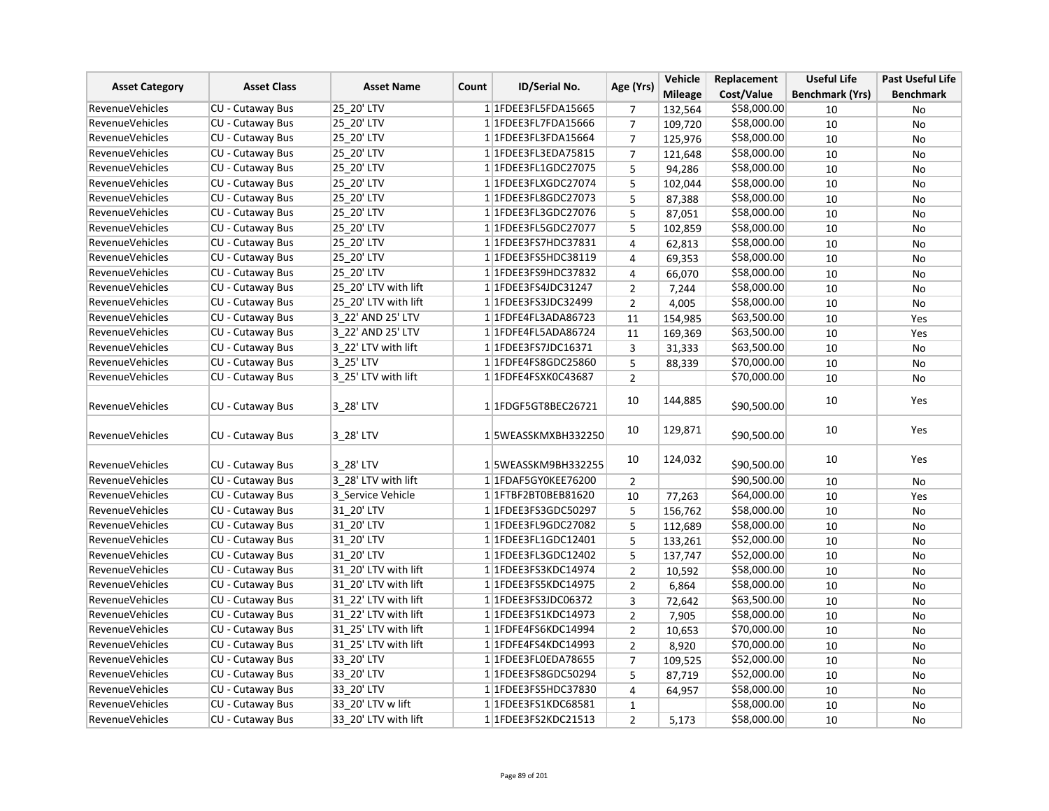|                        | <b>Asset Class</b>      | <b>Asset Name</b>    |       | <b>ID/Serial No.</b>    | Age (Yrs)      | Vehicle        | Replacement | <b>Useful Life</b>     | <b>Past Useful Life</b> |
|------------------------|-------------------------|----------------------|-------|-------------------------|----------------|----------------|-------------|------------------------|-------------------------|
| <b>Asset Category</b>  |                         |                      | Count |                         |                | <b>Mileage</b> | Cost/Value  | <b>Benchmark (Yrs)</b> | <b>Benchmark</b>        |
| <b>RevenueVehicles</b> | CU - Cutaway Bus        | 25 20' LTV           |       | 1 1FDEE3FL5FDA15665     | 7              | 132,564        | \$58,000.00 | 10                     | No                      |
| <b>RevenueVehicles</b> | CU - Cutaway Bus        | 25 20' LTV           |       | 1 1FDEE3FL7FDA15666     | $\overline{7}$ | 109,720        | \$58,000.00 | 10                     | No                      |
| <b>RevenueVehicles</b> | <b>CU - Cutaway Bus</b> | 25 20' LTV           |       | 1 1FDEE3FL3FDA15664     | $\overline{7}$ | 125,976        | \$58,000.00 | 10                     | <b>No</b>               |
| <b>RevenueVehicles</b> | <b>CU - Cutaway Bus</b> | 25 20' LTV           |       | 1 1FDEE3FL3EDA75815     | $\overline{7}$ | 121,648        | \$58,000.00 | 10                     | <b>No</b>               |
| <b>RevenueVehicles</b> | CU - Cutaway Bus        | 25 20' LTV           |       | 1 1FDEE3FL1GDC27075     | 5              | 94,286         | \$58,000.00 | 10                     | No                      |
| <b>RevenueVehicles</b> | CU - Cutaway Bus        | 25 20' LTV           |       | 1 1FDEE3FLXGDC27074     | 5              | 102,044        | \$58,000.00 | 10                     | <b>No</b>               |
| <b>RevenueVehicles</b> | CU - Cutaway Bus        | 25_20' LTV           |       | 1 1 FDEE3 FL8 GDC 27073 | 5              | 87,388         | \$58,000.00 | 10                     | No                      |
| <b>RevenueVehicles</b> | CU - Cutaway Bus        | 25 20' LTV           |       | 1 1FDEE3FL3GDC27076     | 5              | 87,051         | \$58,000.00 | 10                     | No                      |
| <b>RevenueVehicles</b> | CU - Cutaway Bus        | 25 20' LTV           |       | 1 1 FDEE3 FL5 GDC 27077 | 5              | 102,859        | \$58,000.00 | 10                     | No                      |
| <b>RevenueVehicles</b> | <b>CU - Cutaway Bus</b> | 25 20' LTV           |       | 1 1 FDEE3FS7HDC37831    | 4              | 62,813         | \$58,000.00 | 10                     | No                      |
| <b>RevenueVehicles</b> | CU - Cutaway Bus        | 25 20' LTV           |       | 1 1FDEE3FS5HDC38119     | 4              | 69,353         | \$58,000.00 | 10                     | No                      |
| <b>RevenueVehicles</b> | CU - Cutaway Bus        | 25 20' LTV           |       | 1 1 FDEE3FS9HDC37832    | 4              | 66,070         | \$58,000.00 | 10                     | No                      |
| <b>RevenueVehicles</b> | CU - Cutaway Bus        | 25 20' LTV with lift |       | 1 1FDEE3FS4JDC31247     | $\overline{2}$ | 7,244          | \$58,000.00 | 10                     | <b>No</b>               |
| <b>RevenueVehicles</b> | CU - Cutaway Bus        | 25 20' LTV with lift |       | 1 1FDEE3FS3JDC32499     | $\overline{2}$ | 4,005          | \$58,000.00 | 10                     | No                      |
| RevenueVehicles        | CU - Cutaway Bus        | 3 22' AND 25' LTV    |       | 1 1FDFE4FL3ADA86723     | 11             | 154,985        | \$63,500.00 | 10                     | Yes                     |
| <b>RevenueVehicles</b> | CU - Cutaway Bus        | 3 22' AND 25' LTV    |       | 1 1FDFE4FL5ADA86724     | 11             | 169,369        | \$63,500.00 | 10                     | Yes                     |
| <b>RevenueVehicles</b> | CU - Cutaway Bus        | 3 22' LTV with lift  |       | 1 1 FDEE3FS7JDC16371    | 3              | 31,333         | \$63,500.00 | 10                     | No                      |
| <b>RevenueVehicles</b> | <b>CU - Cutaway Bus</b> | 3 25' LTV            |       | 1 1 FDFE4FS8GDC25860    | 5              | 88,339         | \$70,000.00 | 10                     | No                      |
| <b>RevenueVehicles</b> | CU - Cutaway Bus        | 3 25' LTV with lift  |       | 1 1FDFE4FSXK0C43687     | $\overline{2}$ |                | \$70,000.00 | 10                     | <b>No</b>               |
| <b>RevenueVehicles</b> | CU - Cutaway Bus        | 3 28' LTV            |       | 1 1 FDGF5 GT8BEC 26721  | 10             | 144,885        | \$90,500.00 | 10                     | Yes                     |
| <b>RevenueVehicles</b> | <b>CU - Cutaway Bus</b> | 3 28' LTV            |       | 15WEASSKMXBH332250      | 10             | 129,871        | \$90,500.00 | 10                     | Yes                     |
| <b>RevenueVehicles</b> | CU - Cutaway Bus        | 3 28' LTV            |       | 15WEASSKM9BH332255      | 10             | 124,032        | \$90,500.00 | 10                     | Yes                     |
| RevenueVehicles        | <b>CU - Cutaway Bus</b> | 3 28' LTV with lift  |       | 1 1FDAF5GY0KEE76200     | $\overline{2}$ |                | \$90,500.00 | 10                     | No                      |
| <b>RevenueVehicles</b> | CU - Cutaway Bus        | 3 Service Vehicle    |       | 1 1 FTBF 2 BT0BEB81620  | 10             | 77,263         | \$64,000.00 | 10                     | Yes                     |
| RevenueVehicles        | CU - Cutaway Bus        | 31 20' LTV           |       | 1 1 FDEE3 FS3 GDC50297  | 5              | 156,762        | \$58,000.00 | 10                     | No                      |
| <b>RevenueVehicles</b> | CU - Cutaway Bus        | 31 20' LTV           |       | 1 1FDEE3FL9GDC27082     | 5              | 112,689        | \$58,000.00 | 10                     | No                      |
| RevenueVehicles        | CU - Cutaway Bus        | 31 20' LTV           |       | 1 1 FDEE3 FL1 GDC 12401 | 5              | 133,261        | \$52,000.00 | 10                     | No                      |
| RevenueVehicles        | CU - Cutaway Bus        | 31 20' LTV           |       | 1 1FDEE3FL3GDC12402     | 5              | 137,747        | \$52,000.00 | 10                     | No                      |
| <b>RevenueVehicles</b> | CU - Cutaway Bus        | 31 20' LTV with lift |       | 1 1FDEE3FS3KDC14974     | $\overline{2}$ | 10,592         | \$58,000.00 | 10                     | No                      |
| <b>RevenueVehicles</b> | CU - Cutaway Bus        | 31 20' LTV with lift |       | 1 1FDEE3FS5KDC14975     | $\overline{2}$ | 6,864          | \$58,000.00 | 10                     | No                      |
| RevenueVehicles        | <b>CU - Cutaway Bus</b> | 31 22' LTV with lift |       | 1 1FDEE3FS3JDC06372     | 3              | 72,642         | \$63,500.00 | 10                     | No                      |
| <b>RevenueVehicles</b> | CU - Cutaway Bus        | 31 22' LTV with lift |       | 1 1FDEE3FS1KDC14973     | $\overline{2}$ | 7,905          | \$58,000.00 | 10                     | No                      |
| <b>RevenueVehicles</b> | CU - Cutaway Bus        | 31 25' LTV with lift |       | 1 1 FDFE4FS6KDC14994    | $\overline{2}$ | 10,653         | \$70,000.00 | 10                     | No                      |
| <b>RevenueVehicles</b> | CU - Cutaway Bus        | 31 25' LTV with lift |       | 1 1 FDFE4FS4KDC14993    | $\overline{2}$ | 8,920          | \$70,000.00 | 10                     | <b>No</b>               |
| <b>RevenueVehicles</b> | CU - Cutaway Bus        | 33 20' LTV           |       | 1 1FDEE3FL0EDA78655     | $\overline{7}$ | 109,525        | \$52,000.00 | 10                     | No                      |
| <b>RevenueVehicles</b> | CU - Cutaway Bus        | 33 20' LTV           |       | 1 1 FDEE3 FS8 GDC50294  | 5              | 87,719         | \$52,000.00 | 10                     | <b>No</b>               |
| <b>RevenueVehicles</b> | CU - Cutaway Bus        | 33 20' LTV           |       | 1 1FDEE3FS5HDC37830     | $\pmb{4}$      | 64,957         | \$58,000.00 | 10                     | No                      |
| <b>RevenueVehicles</b> | CU - Cutaway Bus        | 33 20' LTV w lift    |       | 1 1FDEE3FS1KDC68581     | $\mathbf 1$    |                | \$58,000.00 | 10                     | No                      |
| RevenueVehicles        | CU - Cutaway Bus        | 33 20' LTV with lift |       | 1 1FDEE3FS2KDC21513     | $\overline{2}$ | 5,173          | \$58,000.00 | 10                     | <b>No</b>               |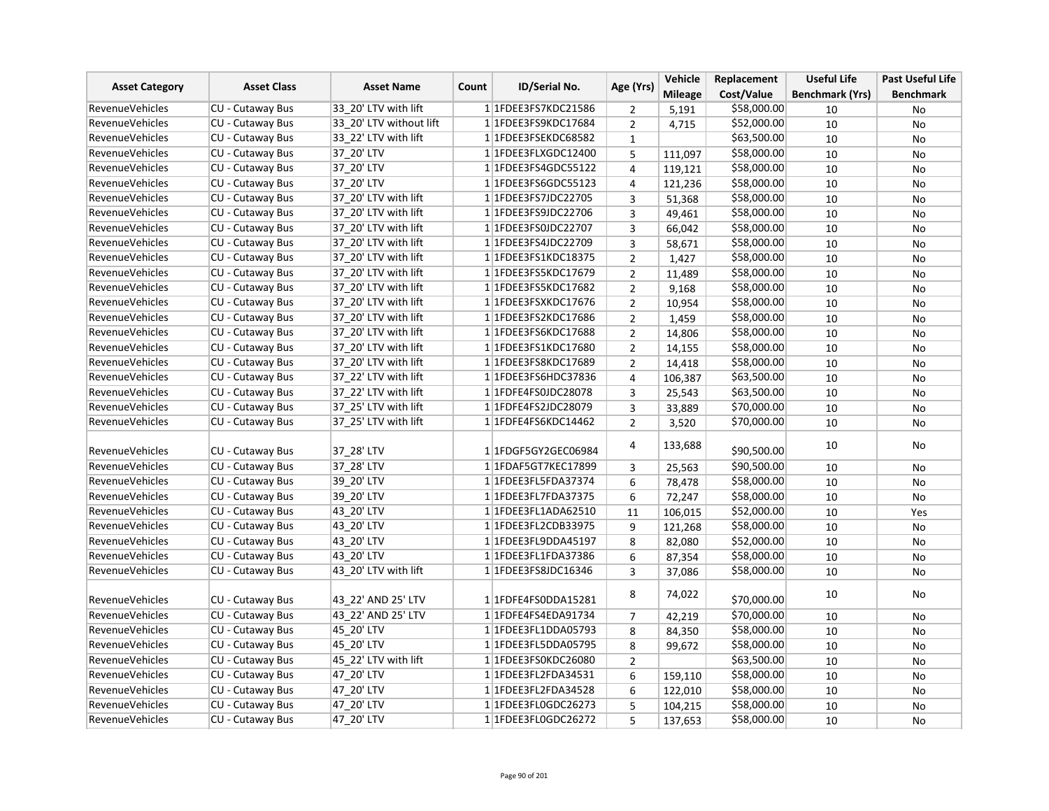|                        |                                      |                         |       |                         |                | Vehicle        | Replacement | <b>Useful Life</b>     | <b>Past Useful Life</b> |
|------------------------|--------------------------------------|-------------------------|-------|-------------------------|----------------|----------------|-------------|------------------------|-------------------------|
| <b>Asset Category</b>  | <b>Asset Class</b>                   | <b>Asset Name</b>       | Count | <b>ID/Serial No.</b>    | Age (Yrs)      | <b>Mileage</b> | Cost/Value  | <b>Benchmark (Yrs)</b> | <b>Benchmark</b>        |
| <b>RevenueVehicles</b> | <b>CU - Cutaway Bus</b>              | 33_20' LTV with lift    |       | 1 1 FDEE3 FS7 KDC 21586 | 2              | 5,191          | \$58,000.00 | 10                     | No                      |
| <b>RevenueVehicles</b> | <b>CU - Cutaway Bus</b>              | 33 20' LTV without lift |       | 1 1FDEE3FS9KDC17684     | $\overline{2}$ | 4,715          | \$52,000.00 | 10                     | No                      |
| <b>RevenueVehicles</b> | CU - Cutaway Bus                     | 33 22' LTV with lift    |       | 1 1FDEE3FSEKDC68582     | $\mathbf{1}$   |                | \$63,500.00 | 10                     | No                      |
| <b>RevenueVehicles</b> | CU - Cutaway Bus                     | 37 20' LTV              |       | 1 1FDEE3FLXGDC12400     | 5              | 111,097        | \$58,000.00 | 10                     | No                      |
| RevenueVehicles        | <b>CU - Cutaway Bus</b>              | 37 20' LTV              |       | 1 1 FDEE3FS4GDC55122    | 4              | 119,121        | \$58,000.00 | 10                     | No                      |
| <b>RevenueVehicles</b> | $\overline{\text{CU}}$ - Cutaway Bus | 37 20' LTV              |       | 1 1FDEE3FS6GDC55123     | 4              | 121,236        | \$58,000.00 | 10                     | <b>No</b>               |
| <b>RevenueVehicles</b> | CU - Cutaway Bus                     | 37_20' LTV with lift    |       | 1 1 FDEE3FS7JDC22705    | $\overline{3}$ | 51,368         | \$58,000.00 | 10                     | No                      |
| <b>RevenueVehicles</b> | CU - Cutaway Bus                     | 37 20' LTV with lift    |       | 1 1FDEE3FS9JDC22706     | 3              | 49,461         | \$58,000.00 | 10                     | <b>No</b>               |
| <b>RevenueVehicles</b> | CU - Cutaway Bus                     | 37 20' LTV with lift    |       | 1 1FDEE3FS0JDC22707     | 3              | 66,042         | \$58,000.00 | 10                     | No                      |
| <b>RevenueVehicles</b> | CU - Cutaway Bus                     | 37 20' LTV with lift    |       | 1 1FDEE3FS4JDC22709     | 3              | 58,671         | \$58,000.00 | 10                     | <b>No</b>               |
| RevenueVehicles        | <b>CU - Cutaway Bus</b>              | 37 20' LTV with lift    |       | 1 1 FDEE3 FS1 KDC 18375 | $\overline{2}$ | 1,427          | \$58,000.00 | 10                     | <b>No</b>               |
| <b>RevenueVehicles</b> | CU - Cutaway Bus                     | 37 20' LTV with lift    |       | 11FDEE3FS5KDC17679      | $\overline{2}$ | 11,489         | \$58,000.00 | 10                     | No                      |
| <b>RevenueVehicles</b> | CU - Cutaway Bus                     | 37 20' LTV with lift    |       | 11FDEE3FS5KDC17682      | $\overline{2}$ | 9,168          | \$58,000.00 | 10                     | <b>No</b>               |
| <b>RevenueVehicles</b> | <b>CU - Cutaway Bus</b>              | 37 20' LTV with lift    |       | 1 1FDEE3FSXKDC17676     | $\overline{2}$ | 10,954         | \$58,000.00 | 10                     | No                      |
| <b>RevenueVehicles</b> | CU - Cutaway Bus                     | 37 20' LTV with lift    |       | 1 1FDEE3FS2KDC17686     | $\overline{2}$ | 1,459          | \$58,000.00 | 10                     | No                      |
| <b>RevenueVehicles</b> | CU - Cutaway Bus                     | 37 20' LTV with lift    |       | 1 1FDEE3FS6KDC17688     | $\overline{2}$ | 14,806         | \$58,000.00 | 10                     | <b>No</b>               |
| <b>RevenueVehicles</b> | CU - Cutaway Bus                     | 37 20' LTV with lift    |       | 1 1FDEE3FS1KDC17680     | $\overline{2}$ | 14,155         | \$58,000.00 | 10                     | <b>No</b>               |
| <b>RevenueVehicles</b> | CU - Cutaway Bus                     | 37 20' LTV with lift    |       | 1 1 FDEE3 FS8 KDC 17689 | $\overline{2}$ | 14,418         | \$58,000.00 | 10                     | <b>No</b>               |
| <b>RevenueVehicles</b> | CU - Cutaway Bus                     | 37 22' LTV with lift    |       | 1 1 FDEE3 FS6 HDC3 7836 | 4              | 106,387        | \$63,500.00 | 10                     | No                      |
| <b>RevenueVehicles</b> | CU - Cutaway Bus                     | 37 22' LTV with lift    |       | 1 1FDFE4FS0JDC28078     | 3              | 25,543         | \$63,500.00 | 10                     | No                      |
| <b>RevenueVehicles</b> | <b>CU - Cutaway Bus</b>              | 37 25' LTV with lift    |       | 1 1FDFE4FS2JDC28079     | 3              | 33,889         | \$70,000.00 | 10                     | No                      |
| <b>RevenueVehicles</b> | <b>CU - Cutaway Bus</b>              | 37_25' LTV with lift    |       | 1 1FDFE4FS6KDC14462     | $\overline{2}$ | 3,520          | \$70,000.00 | 10                     | No                      |
| <b>RevenueVehicles</b> | CU - Cutaway Bus                     | 37 28' LTV              |       | 1 1 FDGF5GY2GEC06984    | 4              | 133,688        | \$90,500.00 | 10                     | No                      |
| <b>RevenueVehicles</b> | CU - Cutaway Bus                     | 37 28' LTV              |       | 1 1FDAF5GT7KEC17899     | 3              | 25,563         | \$90,500.00 | 10                     | No                      |
| <b>RevenueVehicles</b> | CU - Cutaway Bus                     | 39_20' LTV              |       | 1 1FDEE3FL5FDA37374     | 6              | 78,478         | \$58,000.00 | 10                     | <b>No</b>               |
| RevenueVehicles        | CU - Cutaway Bus                     | 39 20' LTV              |       | 1 1FDEE3FL7FDA37375     | 6              | 72,247         | \$58,000.00 | 10                     | No                      |
| <b>RevenueVehicles</b> | CU - Cutaway Bus                     | 43 20' LTV              |       | 1 1FDEE3FL1ADA62510     | 11             | 106,015        | \$52,000.00 | 10                     | Yes                     |
| <b>RevenueVehicles</b> | CU - Cutaway Bus                     | 43 20' LTV              |       | 1 1 FDEE3 FL2 CDB33975  | 9              | 121,268        | \$58,000.00 | 10                     | <b>No</b>               |
| <b>RevenueVehicles</b> | CU - Cutaway Bus                     | 43 20' LTV              |       | 1 1FDEE3FL9DDA45197     | 8              | 82,080         | \$52,000.00 | 10                     | <b>No</b>               |
| <b>RevenueVehicles</b> | CU - Cutaway Bus                     | 43 20' LTV              |       | 1 1FDEE3FL1FDA37386     | 6              | 87,354         | \$58,000.00 | 10                     | No                      |
| <b>RevenueVehicles</b> | CU - Cutaway Bus                     | 43 20' LTV with lift    |       | 1 1FDEE3FS8JDC16346     | 3              | 37,086         | \$58,000.00 | 10                     | <b>No</b>               |
| RevenueVehicles        | CU - Cutaway Bus                     | 43 22' AND 25' LTV      |       | 1 1 FDFE4FS0DDA15281    | 8              | 74,022         | \$70,000.00 | 10                     | No                      |
| <b>RevenueVehicles</b> | CU - Cutaway Bus                     | 43 22' AND 25' LTV      |       | 11FDFE4FS4EDA91734      | $\overline{7}$ | 42,219         | \$70,000.00 | 10                     | No                      |
| RevenueVehicles        | CU - Cutaway Bus                     | 45 20' LTV              |       | 1 1FDEE3FL1DDA05793     | 8              | 84,350         | \$58,000.00 | 10                     | No                      |
| <b>RevenueVehicles</b> | CU - Cutaway Bus                     | 45 20' LTV              |       | 1 1FDEE3FL5DDA05795     | 8              | 99,672         | \$58,000.00 | 10                     | No                      |
| RevenueVehicles        | CU - Cutaway Bus                     | 45 22' LTV with lift    |       | 1 1FDEE3FS0KDC26080     | $\overline{2}$ |                | \$63,500.00 | 10                     | No                      |
| <b>RevenueVehicles</b> | CU - Cutaway Bus                     | 47 20' LTV              |       | 1 1FDEE3FL2FDA34531     | 6              | 159,110        | \$58,000.00 | 10                     | <b>No</b>               |
| <b>RevenueVehicles</b> | CU - Cutaway Bus                     | 47 20' LTV              |       | 1 1FDEE3FL2FDA34528     | 6              | 122,010        | \$58,000.00 | 10                     | No                      |
| <b>RevenueVehicles</b> | CU - Cutaway Bus                     | 47 20' LTV              |       | 1 1FDEE3FL0GDC26273     | 5              | 104,215        | \$58,000.00 | 10                     | No                      |
| <b>RevenueVehicles</b> | CU - Cutaway Bus                     | 47 20' LTV              |       | 1 1FDEE3FL0GDC26272     | 5              | 137,653        | \$58,000.00 | 10                     | <b>No</b>               |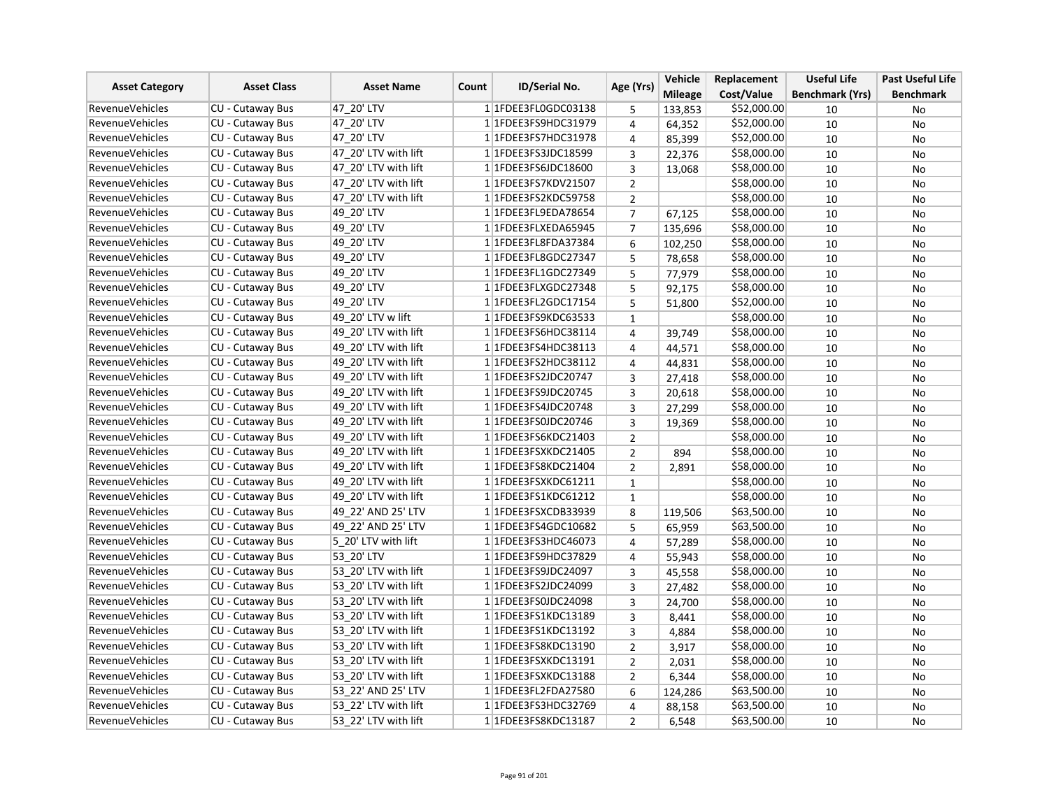| <b>Asset Category</b>  | <b>Asset Class</b>      | <b>Asset Name</b>    | <b>ID/Serial No.</b><br>Count | Age (Yrs)               | Vehicle        | Replacement    | <b>Useful Life</b> | <b>Past Useful Life</b> |                  |
|------------------------|-------------------------|----------------------|-------------------------------|-------------------------|----------------|----------------|--------------------|-------------------------|------------------|
|                        |                         |                      |                               |                         |                | <b>Mileage</b> | Cost/Value         | <b>Benchmark (Yrs)</b>  | <b>Benchmark</b> |
| <b>RevenueVehicles</b> | <b>CU - Cutaway Bus</b> | 47 20' LTV           |                               | 1 1FDEE3FL0GDC03138     | 5              | 133,853        | \$52,000.00        | 10                      | No               |
| <b>RevenueVehicles</b> | <b>CU - Cutaway Bus</b> | 47_20' LTV           |                               | 1 1 FDEE3 FS9 HDC3 1979 | 4              | 64,352         | \$52,000.00        | 10                      | No               |
| <b>RevenueVehicles</b> | <b>CU - Cutaway Bus</b> | 47 20' LTV           |                               | 1 1FDEE3FS7HDC31978     | 4              | 85,399         | \$52,000.00        | 10                      | <b>No</b>        |
| <b>RevenueVehicles</b> | CU - Cutaway Bus        | 47_20' LTV with lift |                               | 1 1FDEE3FS3JDC18599     | 3              | 22,376         | \$58,000.00        | 10                      | No               |
| <b>RevenueVehicles</b> | <b>CU - Cutaway Bus</b> | 47 20' LTV with lift |                               | 1 1FDEE3FS6JDC18600     | 3              | 13,068         | \$58,000.00        | 10                      | No               |
| <b>RevenueVehicles</b> | CU - Cutaway Bus        | 47 20' LTV with lift |                               | 1 1FDEE3FS7KDV21507     | $\overline{2}$ |                | \$58,000.00        | 10                      | <b>No</b>        |
| <b>RevenueVehicles</b> | CU - Cutaway Bus        | 47 20' LTV with lift |                               | 1 1FDEE3FS2KDC59758     | $\overline{2}$ |                | \$58,000.00        | 10                      | No               |
| <b>RevenueVehicles</b> | <b>CU - Cutaway Bus</b> | 49 20' LTV           |                               | 1 1FDEE3FL9EDA78654     | $\overline{7}$ | 67,125         | \$58,000.00        | 10                      | No               |
| <b>RevenueVehicles</b> | CU - Cutaway Bus        | 49 20' LTV           |                               | 1 1FDEE3FLXEDA65945     | $\overline{7}$ | 135,696        | \$58,000.00        | 10                      | No               |
| <b>RevenueVehicles</b> | <b>CU - Cutaway Bus</b> | 49 20' LTV           |                               | 1 1 FDEE3 FL8 FDA 37384 | 6              | 102,250        | \$58,000.00        | 10                      | No               |
| <b>RevenueVehicles</b> | CU - Cutaway Bus        | 49 20' LTV           |                               | 1 1FDEE3FL8GDC27347     | 5              | 78,658         | \$58,000.00        | 10                      | No               |
| <b>RevenueVehicles</b> | CU - Cutaway Bus        | 49 20' LTV           |                               | 1 1FDEE3FL1GDC27349     | 5              | 77,979         | \$58,000.00        | 10                      | No               |
| <b>RevenueVehicles</b> | CU - Cutaway Bus        | 49 20' LTV           |                               | 1 1FDEE3FLXGDC27348     | 5              | 92,175         | \$58,000.00        | 10                      | No               |
| <b>RevenueVehicles</b> | <b>CU - Cutaway Bus</b> | 49 20' LTV           |                               | 1 1FDEE3FL2GDC17154     | 5              | 51,800         | \$52,000.00        | 10                      | No               |
| RevenueVehicles        | <b>CU - Cutaway Bus</b> | 49 20' LTV w lift    |                               | 1 1FDEE3FS9KDC63533     | $\mathbf{1}$   |                | \$58,000.00        | 10                      | No               |
| <b>RevenueVehicles</b> | CU - Cutaway Bus        | 49 20' LTV with lift |                               | 1 1FDEE3FS6HDC38114     | 4              | 39,749         | \$58,000.00        | 10                      | No               |
| <b>RevenueVehicles</b> | <b>CU - Cutaway Bus</b> | 49 20' LTV with lift |                               | 1 1 FDEE3 FS4 HDC38113  | 4              | 44,571         | \$58,000.00        | 10                      | No               |
| <b>RevenueVehicles</b> | CU - Cutaway Bus        | 49 20' LTV with lift |                               | 1 1FDEE3FS2HDC38112     | 4              | 44,831         | \$58,000.00        | 10                      | No               |
| <b>RevenueVehicles</b> | CU - Cutaway Bus        | 49 20' LTV with lift |                               | 1 1 FDEE3FS2JDC20747    | 3              | 27,418         | \$58,000.00        | 10                      | No               |
| <b>RevenueVehicles</b> | <b>CU - Cutaway Bus</b> | 49 20' LTV with lift |                               | 1 1FDEE3FS9JDC20745     | 3              | 20,618         | \$58,000.00        | 10                      | No               |
| RevenueVehicles        | <b>CU - Cutaway Bus</b> | 49 20' LTV with lift |                               | 1 1FDEE3FS4JDC20748     | 3              | 27,299         | \$58,000.00        | 10                      | No               |
| <b>RevenueVehicles</b> | CU - Cutaway Bus        | 49 20' LTV with lift |                               | 1 1FDEE3FS0JDC20746     | 3              | 19,369         | \$58,000.00        | 10                      | No               |
| <b>RevenueVehicles</b> | <b>CU - Cutaway Bus</b> | 49 20' LTV with lift |                               | 1 1 FDEE3FS6KDC21403    | $\overline{2}$ |                | \$58,000.00        | 10                      | No               |
| <b>RevenueVehicles</b> | CU - Cutaway Bus        | 49 20' LTV with lift |                               | 1 1FDEE3FSXKDC21405     | $\mathbf{2}$   | 894            | \$58,000.00        | 10                      | No               |
| <b>RevenueVehicles</b> | <b>CU - Cutaway Bus</b> | 49 20' LTV with lift |                               | 1 1FDEE3FS8KDC21404     | $\overline{2}$ | 2,891          | \$58,000.00        | 10                      | No               |
| <b>RevenueVehicles</b> | CU - Cutaway Bus        | 49 20' LTV with lift |                               | 1 1FDEE3FSXKDC61211     | $\mathbf{1}$   |                | \$58,000.00        | 10                      | No               |
| <b>RevenueVehicles</b> | CU - Cutaway Bus        | 49 20' LTV with lift |                               | 1 1 FDEE3 FS1 KDC 61212 | $\mathbf{1}$   |                | \$58,000.00        | 10                      | No               |
| <b>RevenueVehicles</b> | <b>CU - Cutaway Bus</b> | 49 22' AND 25' LTV   |                               | 1 1FDEE3FSXCDB33939     | 8              | 119,506        | \$63,500.00        | 10                      | No               |
| <b>RevenueVehicles</b> | CU - Cutaway Bus        | 49 22' AND 25' LTV   |                               | 1 1FDEE3FS4GDC10682     | 5              | 65,959         | \$63,500.00        | 10                      | No               |
| <b>RevenueVehicles</b> | <b>CU - Cutaway Bus</b> | 5 20' LTV with lift  |                               | 1 1FDEE3FS3HDC46073     | 4              | 57,289         | \$58,000.00        | 10                      | No               |
| <b>RevenueVehicles</b> | <b>CU - Cutaway Bus</b> | 53 20' LTV           |                               | 1 1 FDEE3 FS9 HDC3 7829 | 4              | 55,943         | \$58,000.00        | 10                      | No               |
| <b>RevenueVehicles</b> | <b>CU - Cutaway Bus</b> | 53 20' LTV with lift |                               | 1 1 FDEE3FS9JDC24097    | 3              | 45,558         | \$58,000.00        | 10                      | No               |
| <b>RevenueVehicles</b> | CU - Cutaway Bus        | 53 20' LTV with lift |                               | 1 1FDEE3FS2JDC24099     | 3              | 27,482         | \$58,000.00        | 10                      | No               |
| <b>RevenueVehicles</b> | <b>CU - Cutaway Bus</b> | 53 20' LTV with lift |                               | 1 1FDEE3FS0JDC24098     | 3              | 24,700         | \$58,000.00        | 10                      | No               |
| <b>RevenueVehicles</b> | <b>CU - Cutaway Bus</b> | 53 20' LTV with lift |                               | 1 1 FDEE3 FS1 KDC13189  | 3              | 8,441          | \$58,000.00        | 10                      | No               |
| <b>RevenueVehicles</b> | CU - Cutaway Bus        | 53 20' LTV with lift |                               | 1 1 FDEE3 FS1 KDC13192  | 3              | 4,884          | \$58,000.00        | 10                      | No               |
| <b>RevenueVehicles</b> | <b>CU - Cutaway Bus</b> | 53_20' LTV with lift |                               | 1 1 FDEE3 FS8 KDC13190  | $\overline{2}$ | 3,917          | \$58,000.00        | 10                      | No               |
| <b>RevenueVehicles</b> | CU - Cutaway Bus        | 53 20' LTV with lift |                               | 1 1FDEE3FSXKDC13191     | $\overline{2}$ | 2,031          | \$58,000.00        | 10                      | No               |
| <b>RevenueVehicles</b> | CU - Cutaway Bus        | 53 20' LTV with lift |                               | 1 1FDEE3FSXKDC13188     | $\overline{2}$ | 6,344          | \$58,000.00        | 10                      | No               |
| <b>RevenueVehicles</b> | CU - Cutaway Bus        | 53 22' AND 25' LTV   |                               | 1 1FDEE3FL2FDA27580     | 6              | 124,286        | \$63,500.00        | 10                      | No               |
| <b>RevenueVehicles</b> | <b>CU - Cutaway Bus</b> | 53 22' LTV with lift |                               | 1 1FDEE3FS3HDC32769     | 4              | 88,158         | \$63,500.00        | 10                      | <b>No</b>        |
| <b>RevenueVehicles</b> | CU - Cutaway Bus        | 53 22' LTV with lift |                               | 1 1 FDEE3 FS8 KDC 13187 | $\overline{2}$ | 6,548          | \$63,500.00        | 10                      | No               |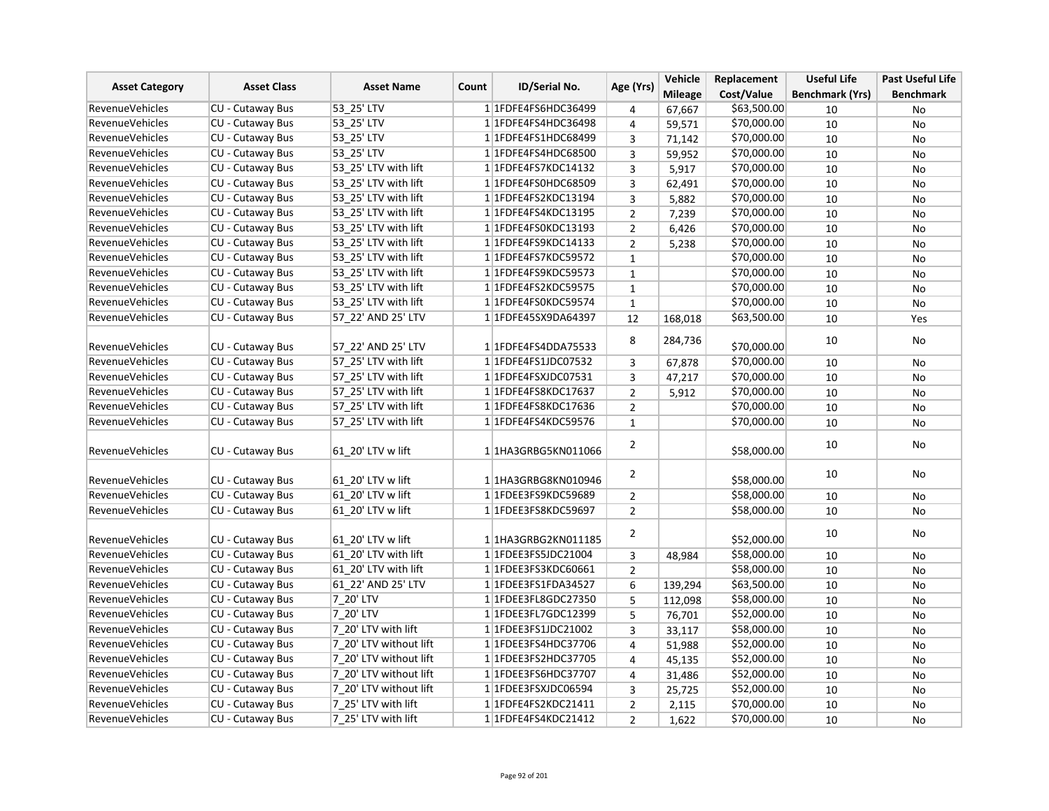| <b>Asset Category</b>  | <b>Asset Class</b>      | <b>Asset Name</b><br>Count | <b>ID/Serial No.</b>    | Age (Yrs)      | Vehicle        | Replacement | <b>Useful Life</b>     | <b>Past Useful Life</b> |
|------------------------|-------------------------|----------------------------|-------------------------|----------------|----------------|-------------|------------------------|-------------------------|
|                        |                         |                            |                         |                | <b>Mileage</b> | Cost/Value  | <b>Benchmark (Yrs)</b> | <b>Benchmark</b>        |
| <b>RevenueVehicles</b> | CU - Cutaway Bus        | 53 25' LTV                 | 1 1FDFE4FS6HDC36499     | 4              | 67,667         | \$63,500.00 | 10                     | No                      |
| <b>RevenueVehicles</b> | <b>CU - Cutaway Bus</b> | 53 25' LTV                 | 1 1FDFE4FS4HDC36498     | 4              | 59,571         | \$70,000.00 | 10                     | <b>No</b>               |
| RevenueVehicles        | <b>CU - Cutaway Bus</b> | 53 25' LTV                 | 1 1FDFE4FS1HDC68499     | $\overline{3}$ | 71,142         | \$70,000.00 | 10                     | <b>No</b>               |
| <b>RevenueVehicles</b> | CU - Cutaway Bus        | 53 25' LTV                 | 1 1 FDFE4FS4HDC68500    | 3              | 59,952         | \$70,000.00 | 10                     | <b>No</b>               |
| <b>RevenueVehicles</b> | CU - Cutaway Bus        | 53 25' LTV with lift       | 1 1FDFE4FS7KDC14132     | 3              | 5,917          | \$70,000.00 | 10                     | No                      |
| <b>RevenueVehicles</b> | CU - Cutaway Bus        | 53 25' LTV with lift       | 1 1FDFE4FS0HDC68509     | 3              | 62,491         | \$70,000.00 | 10                     | No                      |
| <b>RevenueVehicles</b> | CU - Cutaway Bus        | 53 25' LTV with lift       | 1 1 FDFE4FS2KDC13194    | 3              | 5,882          | \$70,000.00 | 10                     | No                      |
| RevenueVehicles        | <b>CU - Cutaway Bus</b> | 53 25' LTV with lift       | 1 1 FDFE4FS4KDC13195    | $\overline{2}$ | 7,239          | \$70,000.00 | 10                     | No                      |
| <b>RevenueVehicles</b> | CU - Cutaway Bus        | 53 25' LTV with lift       | 1 1FDFE4FS0KDC13193     | $\overline{2}$ | 6,426          | \$70,000.00 | 10                     | No                      |
| <b>RevenueVehicles</b> | CU - Cutaway Bus        | 53 25' LTV with lift       | 1 1FDFE4FS9KDC14133     | $\overline{2}$ | 5,238          | \$70,000.00 | 10                     | <b>No</b>               |
| <b>RevenueVehicles</b> | CU - Cutaway Bus        | 53 25' LTV with lift       | 1 1FDFE4FS7KDC59572     | $\mathbf 1$    |                | \$70,000.00 | 10                     | <b>No</b>               |
| <b>RevenueVehicles</b> | CU - Cutaway Bus        | 53 25' LTV with lift       | 1 1FDFE4FS9KDC59573     | $\mathbf 1$    |                | \$70,000.00 | 10                     | No                      |
| <b>RevenueVehicles</b> | CU - Cutaway Bus        | 53 25' LTV with lift       | 1 1FDFE4FS2KDC59575     | $\mathbf{1}$   |                | \$70,000.00 | 10                     | <b>No</b>               |
| <b>RevenueVehicles</b> | CU - Cutaway Bus        | 53 25' LTV with lift       | 1 1FDFE4FS0KDC59574     | $\mathbf 1$    |                | \$70,000.00 | 10                     | No                      |
| <b>RevenueVehicles</b> | CU - Cutaway Bus        | 57 22' AND 25' LTV         | 1 1FDFE45SX9DA64397     | 12             | 168,018        | \$63,500.00 | 10                     | Yes                     |
|                        |                         |                            |                         |                |                |             |                        |                         |
| RevenueVehicles        | CU - Cutaway Bus        | 57 22' AND 25' LTV         | 1 1 FDFE4FS4DDA75533    | 8              | 284,736        | \$70,000.00 | 10                     | No                      |
| <b>RevenueVehicles</b> | CU - Cutaway Bus        | 57 25' LTV with lift       | 1 1FDFE4FS1JDC07532     | 3              | 67,878         | \$70,000.00 | 10                     | No                      |
| <b>RevenueVehicles</b> | CU - Cutaway Bus        | 57 25' LTV with lift       | 1 1FDFE4FSXJDC07531     | 3              | 47,217         | \$70,000.00 | 10                     | No                      |
| <b>RevenueVehicles</b> | <b>CU - Cutaway Bus</b> | 57 25' LTV with lift       | 1 1FDFE4FS8KDC17637     | $\overline{2}$ | 5,912          | \$70,000.00 | 10                     | <b>No</b>               |
| <b>RevenueVehicles</b> | CU - Cutaway Bus        | 57 25' LTV with lift       | 1 1 FDFE4FS8KDC17636    | $\overline{2}$ |                | \$70,000.00 | 10                     | <b>No</b>               |
| <b>RevenueVehicles</b> | CU - Cutaway Bus        | 57 25' LTV with lift       | 1 1FDFE4FS4KDC59576     | $\mathbf{1}$   |                | \$70,000.00 | 10                     | No                      |
| <b>RevenueVehicles</b> | CU - Cutaway Bus        | 61 20' LTV w lift          | 1 1HA3GRBG5KN011066     | 2              |                | \$58,000.00 | 10                     | No                      |
| <b>RevenueVehicles</b> | CU - Cutaway Bus        | 61 20' LTV w lift          | 1 1HA3GRBG8KN010946     | $\overline{2}$ |                | \$58,000.00 | 10                     | No                      |
| <b>RevenueVehicles</b> | CU - Cutaway Bus        | 61 20' LTV w lift          | 1 1FDEE3FS9KDC59689     | $\overline{2}$ |                | \$58,000.00 | 10                     | No                      |
| <b>RevenueVehicles</b> | <b>CU - Cutaway Bus</b> | 61 20' LTV w lift          | 1 1FDEE3FS8KDC59697     | $\overline{2}$ |                | \$58,000.00 | 10                     | <b>No</b>               |
| <b>RevenueVehicles</b> | CU - Cutaway Bus        | 61 20' LTV w lift          | 11HA3GRBG2KN011185      | $\overline{2}$ |                | \$52,000.00 | 10                     | No                      |
| RevenueVehicles        | CU - Cutaway Bus        | 61 20' LTV with lift       | 1 1FDEE3FS5JDC21004     | 3              | 48,984         | \$58,000.00 | 10                     | No                      |
| <b>RevenueVehicles</b> | CU - Cutaway Bus        | 61 20' LTV with lift       | 1 1FDEE3FS3KDC60661     | $\overline{2}$ |                | \$58,000.00 | 10                     | No                      |
| <b>RevenueVehicles</b> | <b>CU - Cutaway Bus</b> | 61 22' AND 25' LTV         | 1 1FDEE3FS1FDA34527     | 6              | 139,294        | \$63,500.00 | 10                     | <b>No</b>               |
| <b>RevenueVehicles</b> | CU - Cutaway Bus        | 7 20' LTV                  | 1 1FDEE3FL8GDC27350     | 5              | 112,098        | \$58,000.00 | 10                     | <b>No</b>               |
| <b>RevenueVehicles</b> | CU - Cutaway Bus        | 7 20' LTV                  | 1 1 FDEE3 FL7 GDC 12399 | 5              | 76,701         | \$52,000.00 | 10                     | No                      |
| <b>RevenueVehicles</b> | CU - Cutaway Bus        | 7 20' LTV with lift        | 1 1FDEE3FS1JDC21002     | $\overline{3}$ | 33,117         | \$58,000.00 | 10                     | No                      |
| <b>RevenueVehicles</b> | CU - Cutaway Bus        | 7 20' LTV without lift     | 1 1FDEE3FS4HDC37706     | 4              | 51,988         | \$52,000.00 | 10                     | No                      |
| RevenueVehicles        | CU - Cutaway Bus        | 7 20' LTV without lift     | 1 1 FDEE3 FS2 HDC3 7705 | $\overline{4}$ | 45,135         | \$52,000.00 | 10                     | No                      |
| <b>RevenueVehicles</b> | CU - Cutaway Bus        | 7 20' LTV without lift     | 1 1 FDEE3 FS6 HDC3 7707 | 4              | 31,486         | \$52,000.00 | 10                     | <b>No</b>               |
| <b>RevenueVehicles</b> | CU - Cutaway Bus        | 7 20' LTV without lift     | 1 1FDEE3FSXJDC06594     | 3              | 25,725         | \$52,000.00 | 10                     | No                      |
| <b>RevenueVehicles</b> | CU - Cutaway Bus        | 7 25' LTV with lift        | 1 1FDFE4FS2KDC21411     | $\overline{2}$ | 2,115          | \$70,000.00 | 10                     | <b>No</b>               |
| <b>RevenueVehicles</b> | CU - Cutaway Bus        | 7 25' LTV with lift        | 1 1 FDFE4FS4KDC21412    | $\overline{2}$ | 1,622          | \$70,000.00 | 10                     | No                      |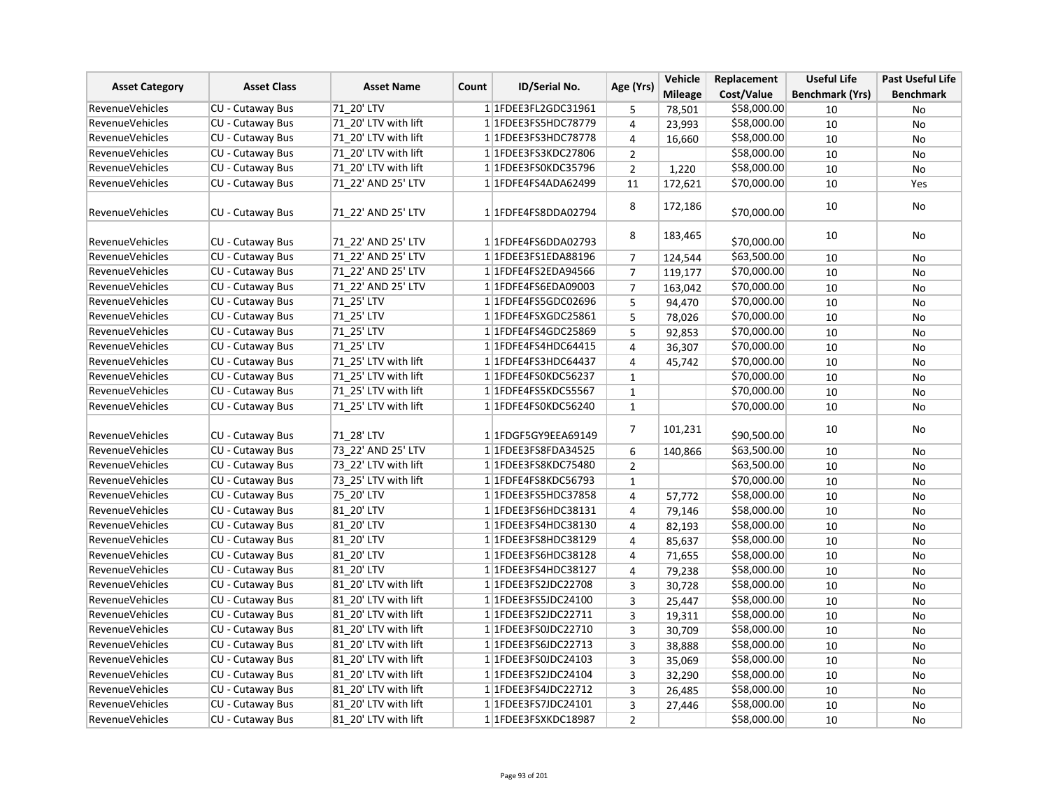| <b>Asset Class</b><br><b>Asset Category</b> | <b>Asset Name</b><br>Count | <b>ID/Serial No.</b> | Age (Yrs) | Vehicle                 | Replacement    | <b>Useful Life</b> | <b>Past Useful Life</b> |                        |                  |
|---------------------------------------------|----------------------------|----------------------|-----------|-------------------------|----------------|--------------------|-------------------------|------------------------|------------------|
|                                             |                            |                      |           |                         |                | <b>Mileage</b>     | Cost/Value              | <b>Benchmark (Yrs)</b> | <b>Benchmark</b> |
| <b>RevenueVehicles</b>                      | CU - Cutaway Bus           | 71 20' LTV           |           | 1 1FDEE3FL2GDC31961     | 5              | 78,501             | \$58,000.00             | 10                     | No               |
| <b>RevenueVehicles</b>                      | <b>CU - Cutaway Bus</b>    | 71 20' LTV with lift |           | 1 1 FDEE3 FS5 HDC 78779 | 4              | 23,993             | \$58,000.00             | 10                     | No               |
| <b>RevenueVehicles</b>                      | <b>CU - Cutaway Bus</b>    | 71 20' LTV with lift |           | 1 1 FDEE3 FS3 HDC 78778 | 4              | 16,660             | \$58,000.00             | 10                     | <b>No</b>        |
| <b>RevenueVehicles</b>                      | CU - Cutaway Bus           | 71 20' LTV with lift |           | 1 1 FDEE3FS3KDC27806    | $\overline{2}$ |                    | \$58,000.00             | 10                     | No               |
| <b>RevenueVehicles</b>                      | CU - Cutaway Bus           | 71 20' LTV with lift |           | 1 1FDEE3FS0KDC35796     | $\overline{2}$ | 1,220              | \$58,000.00             | 10                     | No               |
| <b>RevenueVehicles</b>                      | CU - Cutaway Bus           | 71 22' AND 25' LTV   |           | 1 1FDFE4FS4ADA62499     | 11             | 172,621            | \$70,000.00             | 10                     | Yes              |
|                                             |                            |                      |           |                         | 8              | 172,186            |                         | 10                     | No               |
| <b>RevenueVehicles</b>                      | <b>CU - Cutaway Bus</b>    | 71 22' AND 25' LTV   |           | 1 1FDFE4FS8DDA02794     |                |                    | \$70,000.00             |                        |                  |
| <b>RevenueVehicles</b>                      | CU - Cutaway Bus           | 71 22' AND 25' LTV   |           | 11FDFE4FS6DDA02793      | 8              | 183,465            | \$70,000.00             | 10                     | No               |
| RevenueVehicles                             | CU - Cutaway Bus           | 71 22' AND 25' LTV   |           | 1 1 FDEE3 FS1 EDA88196  | $\overline{7}$ | 124,544            | \$63,500.00             | 10                     | No               |
| <b>RevenueVehicles</b>                      | CU - Cutaway Bus           | 71 22' AND 25' LTV   |           | 1 1FDFE4FS2EDA94566     | $\overline{7}$ | 119,177            | \$70,000.00             | 10                     | No               |
| <b>RevenueVehicles</b>                      | CU - Cutaway Bus           | 71 22' AND 25' LTV   |           | 1 1FDFE4FS6EDA09003     | $\overline{7}$ | 163,042            | \$70,000.00             | 10                     | No               |
| <b>RevenueVehicles</b>                      | CU - Cutaway Bus           | 71 25' LTV           |           | 1 1 FDFE4FS5 GDC02696   | 5              | 94,470             | \$70,000.00             | 10                     | <b>No</b>        |
| <b>RevenueVehicles</b>                      | CU - Cutaway Bus           | 71 25' LTV           |           | 1 1FDFE4FSXGDC25861     | 5              | 78,026             | \$70,000.00             | 10                     | No               |
| <b>RevenueVehicles</b>                      | CU - Cutaway Bus           | 71 25' LTV           |           | 1 1FDFE4FS4GDC25869     | 5              | 92,853             | \$70,000.00             | 10                     | No               |
| <b>RevenueVehicles</b>                      | CU - Cutaway Bus           | 71 25' LTV           |           | 1 1FDFE4FS4HDC64415     | 4              | 36,307             | \$70,000.00             | 10                     | No               |
| <b>RevenueVehicles</b>                      | CU - Cutaway Bus           | 71_25' LTV with lift |           | 1 1FDFE4FS3HDC64437     | $\overline{4}$ | 45,742             | \$70,000.00             | 10                     | No               |
| <b>RevenueVehicles</b>                      | CU - Cutaway Bus           | 71 25' LTV with lift |           | 1 1FDFE4FS0KDC56237     | $\mathbf 1$    |                    | \$70,000.00             | 10                     | No               |
| <b>RevenueVehicles</b>                      | <b>CU - Cutaway Bus</b>    | 71 25' LTV with lift |           | 1 1FDFE4FS5KDC55567     | $\mathbf{1}$   |                    | \$70,000.00             | 10                     | <b>No</b>        |
| <b>RevenueVehicles</b>                      | CU - Cutaway Bus           | 71 25' LTV with lift |           | 1 1FDFE4FS0KDC56240     | $\mathbf{1}$   |                    | \$70,000.00             | 10                     | No               |
|                                             |                            |                      |           |                         |                |                    |                         |                        |                  |
| RevenueVehicles                             | CU - Cutaway Bus           | 71 28' LTV           |           | 1 1 FDGF5 GY9EE A 69149 | $\overline{7}$ | 101,231            | \$90,500.00             | 10                     | No               |
| <b>RevenueVehicles</b>                      | CU - Cutaway Bus           | 73 22' AND 25' LTV   |           | 1 1FDEE3FS8FDA34525     | 6              | 140,866            | \$63,500.00             | 10                     | No               |
| <b>RevenueVehicles</b>                      | CU - Cutaway Bus           | 73 22' LTV with lift |           | 1 1 FDEE3 FS8 KDC 75480 | $\overline{2}$ |                    | \$63,500.00             | 10                     | No               |
| <b>RevenueVehicles</b>                      | <b>CU - Cutaway Bus</b>    | 73 25' LTV with lift |           | 1 1 FDFE4FS8KDC56793    | $\mathbf{1}$   |                    | \$70,000.00             | 10                     | <b>No</b>        |
| <b>RevenueVehicles</b>                      | CU - Cutaway Bus           | 75 20' LTV           |           | 1 1FDEE3FS5HDC37858     | 4              | 57,772             | \$58,000.00             | 10                     | No               |
| <b>RevenueVehicles</b>                      | CU - Cutaway Bus           | 81 20' LTV           |           | 1 1FDEE3FS6HDC38131     | 4              | 79,146             | \$58,000.00             | 10                     | No               |
| <b>RevenueVehicles</b>                      | CU - Cutaway Bus           | 81 20' LTV           |           | 1 1 FDEE3 FS4 HDC38130  | 4              | 82,193             | \$58,000.00             | 10                     | No               |
| <b>RevenueVehicles</b>                      | CU - Cutaway Bus           | 81 20' LTV           |           | 1 1 FDEE3 FS8 HDC38129  | 4              | 85,637             | \$58,000.00             | 10                     | No               |
| <b>RevenueVehicles</b>                      | CU - Cutaway Bus           | 81 20' LTV           |           | 1 1 FDEE3FS6HDC38128    | 4              | 71,655             | \$58,000.00             | 10                     | No               |
| <b>RevenueVehicles</b>                      | CU - Cutaway Bus           | 81 20' LTV           |           | 1 1 FDEE3 FS4 HDC38127  | $\overline{4}$ | 79,238             | \$58,000.00             | 10                     | No               |
| <b>RevenueVehicles</b>                      | <b>CU - Cutaway Bus</b>    | 81 20' LTV with lift |           | 1 1FDEE3FS2JDC22708     | $\overline{3}$ | 30,728             | \$58,000.00             | 10                     | <b>No</b>        |
| <b>RevenueVehicles</b>                      | CU - Cutaway Bus           | 81 20' LTV with lift |           | 1 1 FDEE3FS5JDC24100    | 3              | 25,447             | \$58,000.00             | 10                     | No               |
| <b>RevenueVehicles</b>                      | CU - Cutaway Bus           | 81 20' LTV with lift |           | 1 1FDEE3FS2JDC22711     | 3              | 19,311             | \$58,000.00             | 10                     | No               |
| <b>RevenueVehicles</b>                      | CU - Cutaway Bus           | 81 20' LTV with lift |           | 1 1FDEE3FS0JDC22710     | 3              | 30,709             | \$58,000.00             | 10                     | No               |
| <b>RevenueVehicles</b>                      | CU - Cutaway Bus           | 81 20' LTV with lift |           | 11FDEE3FS6JDC22713      | 3              | 38,888             | \$58,000.00             | 10                     | No               |
| RevenueVehicles                             | <b>CU - Cutaway Bus</b>    | 81 20' LTV with lift |           | 1 1FDEE3FS0JDC24103     | $\overline{3}$ | 35,069             | \$58,000.00             | 10                     | No               |
| <b>RevenueVehicles</b>                      | CU - Cutaway Bus           | 81 20' LTV with lift |           | 1 1FDEE3FS2JDC24104     | $\overline{3}$ | 32,290             | \$58,000.00             | 10                     | No               |
| <b>RevenueVehicles</b>                      | CU - Cutaway Bus           | 81 20' LTV with lift |           | 1 1FDEE3FS4JDC22712     | 3              | 26,485             | \$58,000.00             | 10                     | No               |
| <b>RevenueVehicles</b>                      | CU - Cutaway Bus           | 81 20' LTV with lift |           | 1 1FDEE3FS7JDC24101     | 3              | 27,446             | \$58,000.00             | 10                     | No               |
| <b>RevenueVehicles</b>                      | CU - Cutaway Bus           | 81 20' LTV with lift |           | 1 1FDEE3FSXKDC18987     | $\overline{2}$ |                    | \$58,000.00             | 10                     | No               |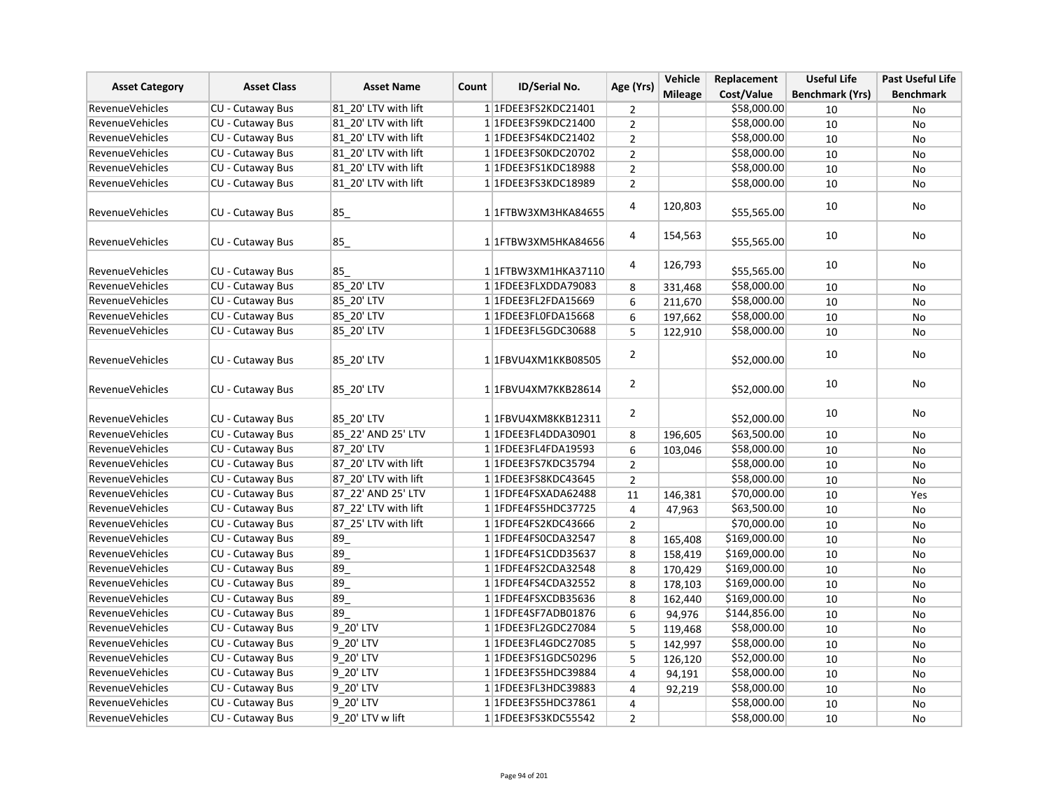| <b>Asset Category</b>  | <b>Asset Class</b>      | <b>Asset Name</b><br>Count | <b>ID/Serial No.</b> | Age (Yrs)                   | Vehicle        | Replacement    | <b>Useful Life</b> | <b>Past Useful Life</b> |                  |
|------------------------|-------------------------|----------------------------|----------------------|-----------------------------|----------------|----------------|--------------------|-------------------------|------------------|
|                        |                         |                            |                      |                             |                | <b>Mileage</b> | Cost/Value         | <b>Benchmark (Yrs)</b>  | <b>Benchmark</b> |
| <b>RevenueVehicles</b> | <b>CU - Cutaway Bus</b> | 81 20' LTV with lift       |                      | 1 1 FDEE3 FS2 KDC 2 1 4 0 1 | 2              |                | \$58,000.00        | 10                      | No               |
| <b>RevenueVehicles</b> | CU - Cutaway Bus        | 81 20' LTV with lift       |                      | 1 1FDEE3FS9KDC21400         | $\overline{2}$ |                | \$58,000.00        | 10                      | No               |
| <b>RevenueVehicles</b> | CU - Cutaway Bus        | 81 20' LTV with lift       |                      | 1 1 FDEE3FS4KDC21402        | $\overline{2}$ |                | \$58,000.00        | 10                      | No               |
| <b>RevenueVehicles</b> | <b>CU - Cutaway Bus</b> | 81 20' LTV with lift       |                      | 1 1FDEE3FS0KDC20702         | $\overline{2}$ |                | \$58,000.00        | 10                      | <b>No</b>        |
| <b>RevenueVehicles</b> | <b>CU - Cutaway Bus</b> | 81 20' LTV with lift       |                      | 1 1FDEE3FS1KDC18988         | $\overline{2}$ |                | \$58,000.00        | 10                      | No               |
| <b>RevenueVehicles</b> | CU - Cutaway Bus        | 81 20' LTV with lift       |                      | 1 1FDEE3FS3KDC18989         | $\overline{2}$ |                | \$58,000.00        | 10                      | <b>No</b>        |
| <b>RevenueVehicles</b> | CU - Cutaway Bus        | 85                         |                      | 1 1 FTBW3XM3HKA84655        | 4              | 120,803        | \$55,565.00        | 10                      | No               |
| RevenueVehicles        | <b>CU - Cutaway Bus</b> | 85                         |                      | 1 1 FTBW3XM5HKA84656        | 4              | 154,563        | \$55,565.00        | 10                      | No               |
| <b>RevenueVehicles</b> | CU - Cutaway Bus        | 85                         |                      | 11FTBW3XM1HKA37110          | 4              | 126,793        | \$55,565.00        | 10                      | No               |
| <b>RevenueVehicles</b> | CU - Cutaway Bus        | 85 20' LTV                 |                      | 1 1FDEE3FLXDDA79083         | 8              | 331,468        | \$58,000.00        | 10                      | No               |
| <b>RevenueVehicles</b> | CU - Cutaway Bus        | 85 20' LTV                 |                      | 1 1FDEE3FL2FDA15669         | 6              | 211,670        | \$58,000.00        | 10                      | <b>No</b>        |
| <b>RevenueVehicles</b> | CU - Cutaway Bus        | 85_20' LTV                 |                      | 1 1FDEE3FL0FDA15668         | 6              | 197,662        | \$58,000.00        | 10                      | No               |
| <b>RevenueVehicles</b> | CU - Cutaway Bus        | 85 20' LTV                 |                      | 1 1FDEE3FL5GDC30688         | 5              | 122,910        | \$58,000.00        | 10                      | No               |
| <b>RevenueVehicles</b> | CU - Cutaway Bus        | 85 20' LTV                 |                      | 1 1FBVU4XM1KKB08505         | $\overline{2}$ |                | \$52,000.00        | 10                      | No               |
| <b>RevenueVehicles</b> | CU - Cutaway Bus        | 85 20' LTV                 |                      | 1 1 FBVU4XM7KKB28614        | 2              |                | \$52,000.00        | 10                      | No               |
| <b>RevenueVehicles</b> | CU - Cutaway Bus        | 85 20' LTV                 |                      | 1 1FBVU4XM8KKB12311         | $\overline{2}$ |                | \$52,000.00        | 10                      | No               |
| <b>RevenueVehicles</b> | CU - Cutaway Bus        | 85 22' AND 25' LTV         |                      | 1 1FDEE3FL4DDA30901         | 8              | 196,605        | \$63,500.00        | 10                      | <b>No</b>        |
| <b>RevenueVehicles</b> | <b>CU - Cutaway Bus</b> | 87 20' LTV                 |                      | 1 1FDEE3FL4FDA19593         | 6              | 103,046        | \$58,000.00        | 10                      | No               |
| <b>RevenueVehicles</b> | CU - Cutaway Bus        | 87 20' LTV with lift       |                      | 1 1FDEE3FS7KDC35794         | $\overline{2}$ |                | \$58,000.00        | 10                      | No               |
| <b>RevenueVehicles</b> | CU - Cutaway Bus        | 87 20' LTV with lift       |                      | 1 1 FDEE3 FS8 KDC43645      | $\overline{2}$ |                | \$58,000.00        | 10                      | No               |
| <b>RevenueVehicles</b> | CU - Cutaway Bus        | 87 22' AND 25' LTV         |                      | 1 1FDFE4FSXADA62488         | 11             | 146,381        | \$70,000.00        | 10                      | Yes              |
| <b>RevenueVehicles</b> | CU - Cutaway Bus        | 87 22' LTV with lift       |                      | 1 1FDFE4FS5HDC37725         | 4              | 47,963         | \$63,500.00        | 10                      | No               |
| <b>RevenueVehicles</b> | CU - Cutaway Bus        | 87 25' LTV with lift       |                      | 1 1FDFE4FS2KDC43666         | $\overline{2}$ |                | \$70,000.00        | 10                      | No               |
| <b>RevenueVehicles</b> | CU - Cutaway Bus        | 89                         |                      | 1 1FDFE4FS0CDA32547         | 8              | 165,408        | \$169,000.00       | 10                      | <b>No</b>        |
| <b>RevenueVehicles</b> | CU - Cutaway Bus        | 89                         |                      | 1 1 FDFE4FS1CDD35637        | 8              | 158,419        | \$169,000.00       | 10                      | No               |
| <b>RevenueVehicles</b> | CU - Cutaway Bus        | 89                         |                      | 11FDFE4FS2CDA32548          | 8              | 170,429        | \$169,000.00       | 10                      | No               |
| <b>RevenueVehicles</b> | CU - Cutaway Bus        | 89                         |                      | 1 1 FDFE4FS4CDA32552        | 8              | 178,103        | \$169,000.00       | 10                      | No               |
| <b>RevenueVehicles</b> | CU - Cutaway Bus        | 89                         |                      | 1 1FDFE4FSXCDB35636         | 8              | 162,440        | \$169,000.00       | 10                      | <b>No</b>        |
| <b>RevenueVehicles</b> | CU - Cutaway Bus        | 89                         |                      | 1 1FDFE4SF7ADB01876         | 6              | 94,976         | \$144,856.00       | 10                      | No               |
| <b>RevenueVehicles</b> | CU - Cutaway Bus        | 9_20' LTV                  |                      | 1 1FDEE3FL2GDC27084         | 5              | 119,468        | \$58,000.00        | 10                      | No               |
| <b>RevenueVehicles</b> | CU - Cutaway Bus        | 9 20' LTV                  |                      | 1 1 FDEE3 FL4 GDC 27085     | 5              | 142,997        | \$58,000.00        | 10                      | No               |
| RevenueVehicles        | CU - Cutaway Bus        | 9 20' LTV                  |                      | 1 1FDEE3FS1GDC50296         | 5              | 126,120        | \$52,000.00        | 10                      | No               |
| <b>RevenueVehicles</b> | CU - Cutaway Bus        | 9 20' LTV                  |                      | 1 1FDEE3FS5HDC39884         | $\overline{4}$ | 94,191         | \$58,000.00        | 10                      | No               |
| <b>RevenueVehicles</b> | CU - Cutaway Bus        | 9_20' LTV                  |                      | 1 1FDEE3FL3HDC39883         | $\overline{4}$ | 92,219         | \$58,000.00        | 10                      | No               |
| <b>RevenueVehicles</b> | CU - Cutaway Bus        | 9 20' LTV                  |                      | 1 1 FDEE3 FS5 HDC3 7861     | 4              |                | \$58,000.00        | 10                      | <b>No</b>        |
| <b>RevenueVehicles</b> | CU - Cutaway Bus        | 9 20' LTV w lift           |                      | 1 1FDEE3FS3KDC55542         | $\overline{2}$ |                | \$58,000.00        | 10                      | No               |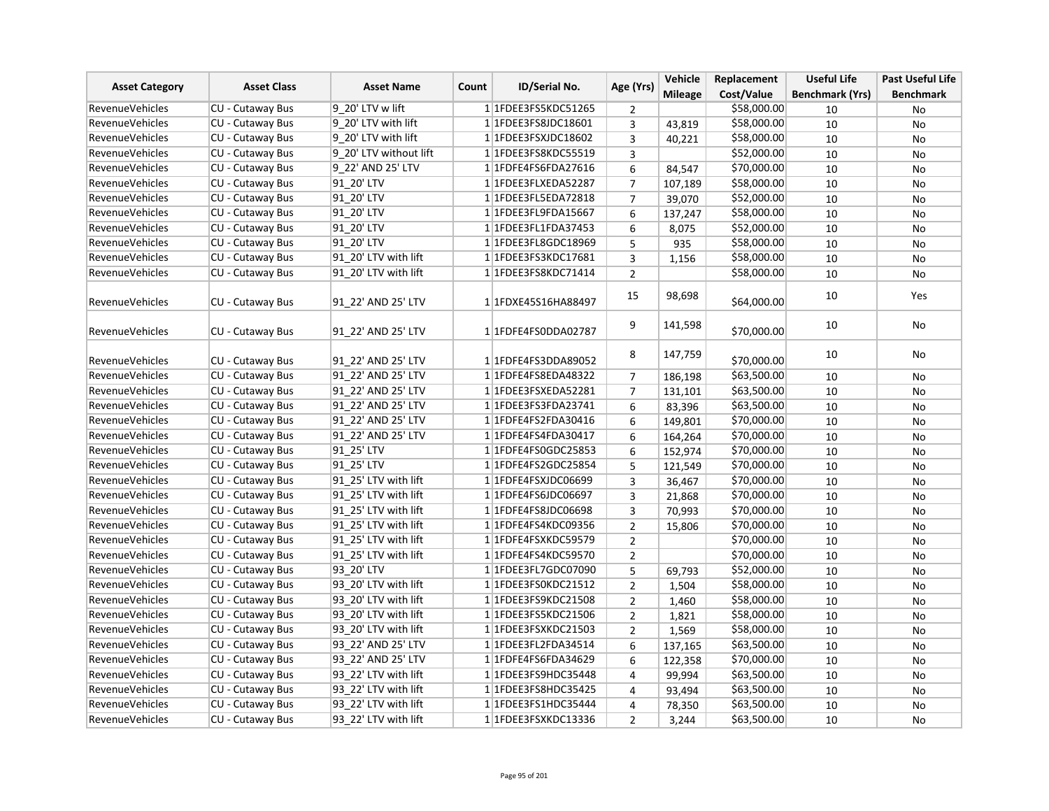| <b>Asset Category</b>  | <b>Asset Class</b>      | <b>Asset Name</b><br>Count | <b>ID/Serial No.</b>    | Age (Yrs)      | Vehicle        | Replacement | <b>Useful Life</b>     | <b>Past Useful Life</b> |
|------------------------|-------------------------|----------------------------|-------------------------|----------------|----------------|-------------|------------------------|-------------------------|
|                        |                         |                            |                         |                | <b>Mileage</b> | Cost/Value  | <b>Benchmark (Yrs)</b> | <b>Benchmark</b>        |
| <b>RevenueVehicles</b> | <b>CU - Cutaway Bus</b> | 9 20' LTV w lift           | 1 1FDEE3FS5KDC51265     | 2              |                | \$58,000.00 | 10                     | No                      |
| <b>RevenueVehicles</b> | CU - Cutaway Bus        | 9 20' LTV with lift        | 1 1 FDEE3FS8JDC18601    | $\overline{3}$ | 43,819         | \$58,000.00 | 10                     | No                      |
| RevenueVehicles        | <b>CU - Cutaway Bus</b> | 9 20' LTV with lift        | 1 1FDEE3FSXJDC18602     | $\overline{3}$ | 40,221         | \$58,000.00 | 10                     | <b>No</b>               |
| <b>RevenueVehicles</b> | CU - Cutaway Bus        | 9 20' LTV without lift     | 1 1FDEE3FS8KDC55519     | 3              |                | \$52,000.00 | 10                     | <b>No</b>               |
| <b>RevenueVehicles</b> | CU - Cutaway Bus        | 9 22' AND 25' LTV          | 1 1 FDFE4FS6FDA27616    | 6              | 84,547         | \$70,000.00 | 10                     | No                      |
| RevenueVehicles        | CU - Cutaway Bus        | 91 20' LTV                 | 1 1FDEE3FLXEDA52287     | $\overline{7}$ | 107,189        | \$58,000.00 | 10                     | No                      |
| <b>RevenueVehicles</b> | CU - Cutaway Bus        | 91 20' LTV                 | 1 1FDEE3FL5EDA72818     | $\overline{7}$ | 39,070         | \$52,000.00 | 10                     | No                      |
| <b>RevenueVehicles</b> | CU - Cutaway Bus        | 91 20' LTV                 | 1 1FDEE3FL9FDA15667     | 6              | 137,247        | \$58,000.00 | 10                     | No                      |
| <b>RevenueVehicles</b> | CU - Cutaway Bus        | 91 20' LTV                 | 1 1FDEE3FL1FDA37453     | 6              | 8,075          | \$52,000.00 | 10                     | No                      |
| <b>RevenueVehicles</b> | CU - Cutaway Bus        | 91 20' LTV                 | 1 1 FDEE3 FL8 GDC 18969 | 5              | 935            | \$58,000.00 | 10                     | No                      |
| <b>RevenueVehicles</b> | CU - Cutaway Bus        | 91 20' LTV with lift       | 1 1FDEE3FS3KDC17681     | 3              | 1,156          | \$58,000.00 | 10                     | No                      |
| <b>RevenueVehicles</b> | CU - Cutaway Bus        | 91 20' LTV with lift       | 11FDEE3FS8KDC71414      | $\overline{2}$ |                | \$58,000.00 | 10                     | No                      |
| <b>RevenueVehicles</b> | CU - Cutaway Bus        | 91 22' AND 25' LTV         | 1 1FDXE45S16HA88497     | 15             | 98,698         | \$64,000.00 | 10                     | Yes                     |
| <b>RevenueVehicles</b> | CU - Cutaway Bus        | 91 22' AND 25' LTV         | 1 1FDFE4FS0DDA02787     | 9              | 141,598        | \$70,000.00 | 10                     | No                      |
| <b>RevenueVehicles</b> | <b>CU - Cutaway Bus</b> | 91 22' AND 25' LTV         | 1 1FDFE4FS3DDA89052     | 8              | 147,759        | \$70,000.00 | 10                     | No                      |
| <b>RevenueVehicles</b> | <b>CU - Cutaway Bus</b> | 91 22' AND 25' LTV         | 1 1FDFE4FS8EDA48322     | $\overline{7}$ | 186,198        | \$63,500.00 | 10                     | <b>No</b>               |
| <b>RevenueVehicles</b> | CU - Cutaway Bus        | 91 22' AND 25' LTV         | 1 1FDEE3FSXEDA52281     | $\overline{7}$ | 131,101        | \$63,500.00 | 10                     | No                      |
| RevenueVehicles        | CU - Cutaway Bus        | 91 22' AND 25' LTV         | 1 1FDEE3FS3FDA23741     | 6              | 83,396         | \$63,500.00 | 10                     | No                      |
| <b>RevenueVehicles</b> | CU - Cutaway Bus        | 91 22' AND 25' LTV         | 1 1FDFE4FS2FDA30416     | 6              | 149,801        | \$70,000.00 | 10                     | <b>No</b>               |
| <b>RevenueVehicles</b> | CU - Cutaway Bus        | 91 22' AND 25' LTV         | 1 1FDFE4FS4FDA30417     | 6              | 164,264        | \$70,000.00 | 10                     | No                      |
| <b>RevenueVehicles</b> | CU - Cutaway Bus        | 91 25' LTV                 | 1 1FDFE4FS0GDC25853     | 6              | 152,974        | \$70,000.00 | 10                     | <b>No</b>               |
| <b>RevenueVehicles</b> | CU - Cutaway Bus        | 91 25' LTV                 | 1 1FDFE4FS2GDC25854     | 5              | 121,549        | \$70,000.00 | 10                     | No                      |
| <b>RevenueVehicles</b> | CU - Cutaway Bus        | 91 25' LTV with lift       | 1 1FDFE4FSXJDC06699     | 3              | 36,467         | \$70,000.00 | 10                     | No                      |
| <b>RevenueVehicles</b> | <b>CU - Cutaway Bus</b> | 91 25' LTV with lift       | 1 1FDFE4FS6JDC06697     | 3              | 21,868         | \$70,000.00 | 10                     | No                      |
| <b>RevenueVehicles</b> | <b>CU - Cutaway Bus</b> | 91 25' LTV with lift       | 1 1FDFE4FS8JDC06698     | 3              | 70,993         | \$70,000.00 | 10                     | No                      |
| <b>RevenueVehicles</b> | CU - Cutaway Bus        | 91 25' LTV with lift       | 1 1FDFE4FS4KDC09356     | $\overline{2}$ | 15.806         | \$70,000.00 | 10                     | <b>No</b>               |
| <b>RevenueVehicles</b> | CU - Cutaway Bus        | 91 25' LTV with lift       | 1 1FDFE4FSXKDC59579     | $\overline{2}$ |                | \$70,000.00 | 10                     | No                      |
| <b>RevenueVehicles</b> | CU - Cutaway Bus        | 91 25' LTV with lift       | 1 1FDFE4FS4KDC59570     | $\overline{2}$ |                | \$70,000.00 | 10                     | No                      |
| <b>RevenueVehicles</b> | CU - Cutaway Bus        | 93 20' LTV                 | 1 1FDEE3FL7GDC07090     | 5              | 69,793         | \$52,000.00 | 10                     | No                      |
| <b>RevenueVehicles</b> | CU - Cutaway Bus        | 93 20' LTV with lift       | 1 1FDEE3FS0KDC21512     | $\overline{2}$ | 1,504          | \$58,000.00 | 10                     | <b>No</b>               |
| <b>RevenueVehicles</b> | CU - Cutaway Bus        | 93 20' LTV with lift       | 11FDEE3FS9KDC21508      | $\overline{2}$ | 1,460          | \$58,000.00 | 10                     | No                      |
| <b>RevenueVehicles</b> | CU - Cutaway Bus        | 93 20' LTV with lift       | 1 1FDEE3FS5KDC21506     | $\overline{2}$ | 1,821          | \$58,000.00 | 10                     | No                      |
| <b>RevenueVehicles</b> | CU - Cutaway Bus        | 93 20' LTV with lift       | 1 1FDEE3FSXKDC21503     | $\overline{2}$ | 1,569          | \$58,000.00 | 10                     | No                      |
| <b>RevenueVehicles</b> | CU - Cutaway Bus        | 93 22' AND 25' LTV         | 1 1FDEE3FL2FDA34514     | 6              | 137,165        | \$63,500.00 | 10                     | No                      |
| <b>RevenueVehicles</b> | <b>CU - Cutaway Bus</b> | 93 22' AND 25' LTV         | 1 1FDFE4FS6FDA34629     | 6              | 122,358        | \$70,000.00 | 10                     | No                      |
| <b>RevenueVehicles</b> | CU - Cutaway Bus        | 93 22' LTV with lift       | 1 1FDEE3FS9HDC35448     | 4              | 99,994         | \$63,500.00 | 10                     | No                      |
| <b>RevenueVehicles</b> | CU - Cutaway Bus        | 93 22' LTV with lift       | 1 1 FDEE3 FS8 HDC35425  | 4              | 93,494         | \$63,500.00 | 10                     | No                      |
| <b>RevenueVehicles</b> | CU - Cutaway Bus        | 93 22' LTV with lift       | 1 1FDEE3FS1HDC35444     | $\overline{4}$ | 78,350         | \$63,500.00 | 10                     | No                      |
| <b>RevenueVehicles</b> | CU - Cutaway Bus        | 93 22' LTV with lift       | 1 1FDEE3FSXKDC13336     | $\overline{2}$ | 3,244          | \$63,500.00 | 10                     | No                      |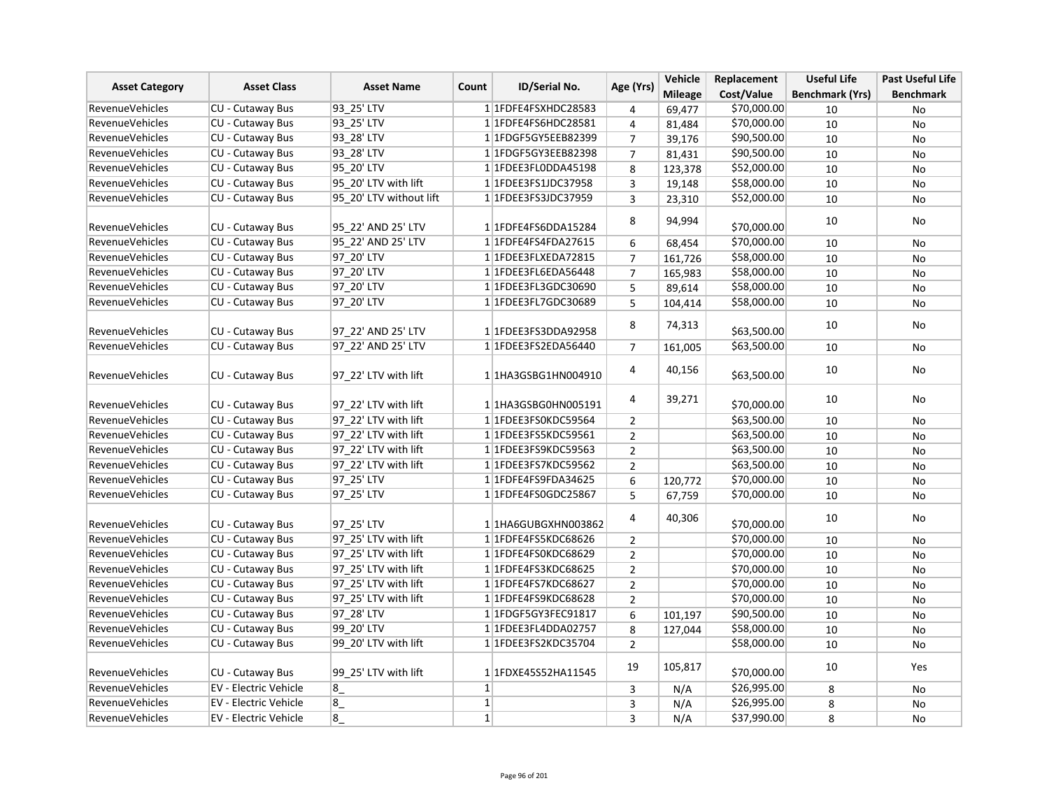|                        | <b>Asset Class</b>      | <b>Asset Name</b>       |                |                       |                | Vehicle        | Replacement | <b>Useful Life</b>     | <b>Past Useful Life</b> |
|------------------------|-------------------------|-------------------------|----------------|-----------------------|----------------|----------------|-------------|------------------------|-------------------------|
| <b>Asset Category</b>  |                         |                         | Count          | ID/Serial No.         | Age (Yrs)      | <b>Mileage</b> | Cost/Value  | <b>Benchmark (Yrs)</b> | <b>Benchmark</b>        |
| <b>RevenueVehicles</b> | CU - Cutaway Bus        | 93_25' LTV              |                | 1 1FDFE4FSXHDC28583   | 4              | 69,477         | \$70,000.00 | 10                     | No                      |
| <b>RevenueVehicles</b> | CU - Cutaway Bus        | 93_25'LTV               |                | 1 1FDFE4FS6HDC28581   | 4              | 81,484         | \$70,000.00 | 10                     | No                      |
| <b>RevenueVehicles</b> | <b>CU - Cutaway Bus</b> | 93 28' LTV              |                | 1 1 FDGF5 GY5EEB82399 | $\overline{7}$ | 39,176         | \$90,500.00 | 10                     | <b>No</b>               |
| RevenueVehicles        | CU - Cutaway Bus        | 93 28' LTV              |                | 11FDGF5GY3EEB82398    | $\overline{7}$ | 81,431         | \$90,500.00 | 10                     | No                      |
| <b>RevenueVehicles</b> | <b>CU - Cutaway Bus</b> | 95 20' LTV              |                | 1 1FDEE3FL0DDA45198   | 8              | 123,378        | \$52,000.00 | 10                     | No                      |
| RevenueVehicles        | CU - Cutaway Bus        | 95 20' LTV with lift    |                | 1 1FDEE3FS1JDC37958   | 3              | 19,148         | \$58,000.00 | 10                     | No                      |
| RevenueVehicles        | CU - Cutaway Bus        | 95_20' LTV without lift |                | 1 1 FDEE3FS3JDC37959  | 3              | 23,310         | \$52,000.00 | 10                     | No                      |
| RevenueVehicles        | CU - Cutaway Bus        | 95 22' AND 25' LTV      |                | 1 1FDFE4FS6DDA15284   | 8              | 94,994         | \$70,000.00 | 10                     | No                      |
| <b>RevenueVehicles</b> | CU - Cutaway Bus        | 95 22' AND 25' LTV      |                | 1 1FDFE4FS4FDA27615   | 6              | 68,454         | \$70,000.00 | 10                     | No                      |
| <b>RevenueVehicles</b> | CU - Cutaway Bus        | 97 20' LTV              |                | 1 1FDEE3FLXEDA72815   | $\overline{7}$ | 161,726        | \$58,000.00 | 10                     | No                      |
| <b>RevenueVehicles</b> | CU - Cutaway Bus        | 97_20' LTV              |                | 1 1FDEE3FL6EDA56448   | $\overline{7}$ | 165,983        | \$58,000.00 | 10                     | No                      |
| <b>RevenueVehicles</b> | CU - Cutaway Bus        | 97 20' LTV              |                | 1 1FDEE3FL3GDC30690   | 5              | 89,614         | \$58,000.00 | 10                     | <b>No</b>               |
| RevenueVehicles        | CU - Cutaway Bus        | 97 20' LTV              |                | 1 1FDEE3FL7GDC30689   | 5              | 104,414        | \$58,000.00 | 10                     | No                      |
| RevenueVehicles        | CU - Cutaway Bus        | 97_22' AND 25' LTV      |                | 1 1FDEE3FS3DDA92958   | 8              | 74,313         | \$63,500.00 | 10                     | No                      |
| RevenueVehicles        | CU - Cutaway Bus        | 97 22' AND 25' LTV      |                | 1 1FDEE3FS2EDA56440   | $\overline{7}$ | 161,005        | \$63,500.00 | 10                     | No                      |
| RevenueVehicles        | CU - Cutaway Bus        | 97 22' LTV with lift    |                | 1 1HA3GSBG1HN004910   | 4              | 40,156         | \$63,500.00 | 10                     | No                      |
| RevenueVehicles        | CU - Cutaway Bus        | 97 22' LTV with lift    |                | 11HA3GSBG0HN005191    | 4              | 39,271         | \$70,000.00 | 10                     | No                      |
| <b>RevenueVehicles</b> | CU - Cutaway Bus        | 97 22' LTV with lift    |                | 1 1FDEE3FS0KDC59564   | $\overline{2}$ |                | \$63,500.00 | 10                     | No                      |
| RevenueVehicles        | CU - Cutaway Bus        | 97 22' LTV with lift    |                | 1 1FDEE3FS5KDC59561   | $\overline{2}$ |                | \$63,500.00 | 10                     | <b>No</b>               |
| <b>RevenueVehicles</b> | <b>CU - Cutaway Bus</b> | 97 22' LTV with lift    |                | 1 1FDEE3FS9KDC59563   | $\overline{2}$ |                | \$63,500.00 | 10                     | No                      |
| <b>RevenueVehicles</b> | CU - Cutaway Bus        | 97 22' LTV with lift    |                | 1 1FDEE3FS7KDC59562   | $\overline{2}$ |                | \$63,500.00 | 10                     | No                      |
| <b>RevenueVehicles</b> | CU - Cutaway Bus        | 97 25' LTV              |                | 1 1FDFE4FS9FDA34625   | 6              | 120,772        | \$70,000.00 | 10                     | No                      |
| <b>RevenueVehicles</b> | CU - Cutaway Bus        | 97_25' LTV              |                | 1 1 FDFE4FS0GDC25867  | 5              | 67,759         | \$70,000.00 | 10                     | No                      |
| RevenueVehicles        | CU - Cutaway Bus        | 97 25' LTV              |                | 1 1HA6GUBGXHN003862   | 4              | 40,306         | \$70,000.00 | 10                     | No                      |
| <b>RevenueVehicles</b> | CU - Cutaway Bus        | 97 25' LTV with lift    |                | 1 1FDFE4FS5KDC68626   | $\overline{2}$ |                | \$70,000.00 | 10                     | No                      |
| RevenueVehicles        | <b>CU - Cutaway Bus</b> | 97 25' LTV with lift    |                | 1 1FDFE4FS0KDC68629   | $\overline{2}$ |                | \$70,000.00 | 10                     | No                      |
| <b>RevenueVehicles</b> | CU - Cutaway Bus        | 97 25' LTV with lift    |                | 1 1FDFE4FS3KDC68625   | $\overline{2}$ |                | \$70,000.00 | 10                     | No                      |
| <b>RevenueVehicles</b> | <b>CU - Cutaway Bus</b> | 97 25' LTV with lift    |                | 1 1FDFE4FS7KDC68627   | $\overline{2}$ |                | \$70,000.00 | 10                     | <b>No</b>               |
| <b>RevenueVehicles</b> | <b>CU - Cutaway Bus</b> | 97 25' LTV with lift    |                | 1 1FDFE4FS9KDC68628   | $\overline{2}$ |                | \$70,000.00 | 10                     | No                      |
| RevenueVehicles        | CU - Cutaway Bus        | 97 28' LTV              |                | 1 1FDGF5GY3FEC91817   | 6              | 101,197        | \$90,500.00 | 10                     | No                      |
| RevenueVehicles        | <b>CU - Cutaway Bus</b> | 99 20' LTV              |                | 1 1FDEE3FL4DDA02757   | 8              | 127,044        | \$58,000.00 | 10                     | No                      |
| RevenueVehicles        | CU - Cutaway Bus        | 99 20' LTV with lift    |                | 1 1FDEE3FS2KDC35704   | $\overline{2}$ |                | \$58,000.00 | 10                     | No                      |
| RevenueVehicles        | CU - Cutaway Bus        | 99 25' LTV with lift    |                | 1 1FDXE45S52HA11545   | 19             | 105,817        | \$70,000.00 | 10                     | Yes                     |
| <b>RevenueVehicles</b> | EV - Electric Vehicle   | 8                       | $1\vert$       |                       | 3              | N/A            | \$26,995.00 | 8                      | No                      |
| RevenueVehicles        | EV - Electric Vehicle   | $8_{-}$                 | $1\vert$       |                       | 3              | N/A            | \$26,995.00 | 8                      | No                      |
| <b>RevenueVehicles</b> | EV - Electric Vehicle   | $8_{-}$                 | 1 <sup>1</sup> |                       | 3              | N/A            | \$37,990.00 | 8                      | No                      |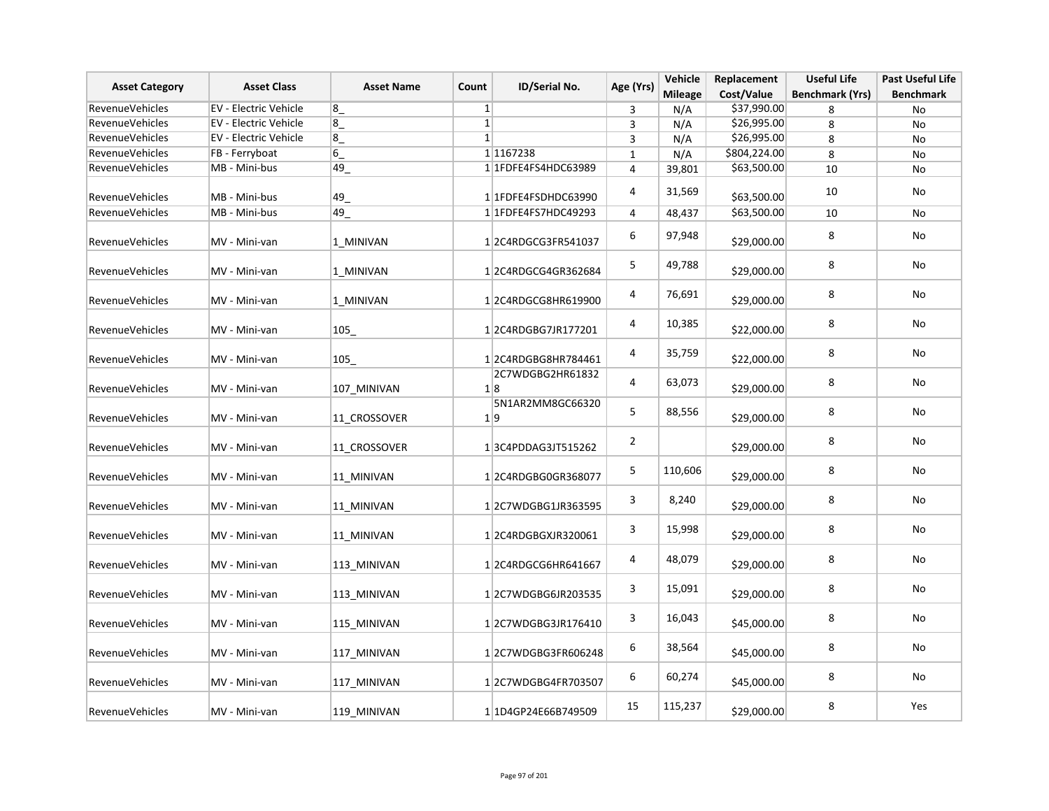| <b>Asset Category</b>  | <b>Asset Class</b>    | <b>Asset Name</b> | Count          | <b>ID/Serial No.</b>    | Age (Yrs)               | Vehicle<br><b>Mileage</b> | Replacement<br>Cost/Value | <b>Useful Life</b><br><b>Benchmark (Yrs)</b> | <b>Past Useful Life</b><br><b>Benchmark</b> |
|------------------------|-----------------------|-------------------|----------------|-------------------------|-------------------------|---------------------------|---------------------------|----------------------------------------------|---------------------------------------------|
| RevenueVehicles        | EV - Electric Vehicle | 8                 | 1              |                         | 3                       | N/A                       | \$37,990.00               | 8                                            | No                                          |
| RevenueVehicles        | EV - Electric Vehicle | $8_{-}$           | $1\vert$       |                         | 3                       | N/A                       | \$26,995.00               | 8                                            | No                                          |
| RevenueVehicles        | EV - Electric Vehicle | 8                 | 1 <sup>1</sup> |                         | $\overline{3}$          | N/A                       | \$26,995.00               | 8                                            | No                                          |
| RevenueVehicles        | FB - Ferryboat        | $\sqrt{6}$        |                | 1 1167238               | $\mathbf{1}$            | N/A                       | \$804,224.00              | 8                                            | No                                          |
| RevenueVehicles        | MB - Mini-bus         | 49                |                | 1 1FDFE4FS4HDC63989     | 4                       | 39,801                    | \$63,500.00               | 10                                           | No                                          |
| RevenueVehicles        | MB - Mini-bus         | 49                |                | 1 1FDFE4FSDHDC63990     | $\overline{4}$          | 31,569                    | \$63,500.00               | 10                                           | No                                          |
| <b>RevenueVehicles</b> | MB - Mini-bus         | $49$ <sub>-</sub> |                | 1 1FDFE4FS7HDC49293     | 4                       | 48,437                    | \$63,500.00               | 10                                           | No                                          |
| RevenueVehicles        | MV - Mini-van         | 1 MINIVAN         |                | 12C4RDGCG3FR541037      | 6                       | 97,948                    | \$29,000.00               | 8                                            | No                                          |
| RevenueVehicles        | MV - Mini-van         | 1 MINIVAN         |                | 12C4RDGCG4GR362684      | 5                       | 49,788                    | \$29,000.00               | 8                                            | No                                          |
| RevenueVehicles        | MV - Mini-van         | 1 MINIVAN         |                | 12C4RDGCG8HR619900      | $\overline{\mathbf{4}}$ | 76,691                    | \$29,000.00               | 8                                            | No                                          |
| RevenueVehicles        | MV - Mini-van         | 105               |                | 12C4RDGBG7JR177201      | 4                       | 10,385                    | \$22,000.00               | 8                                            | No                                          |
| RevenueVehicles        | MV - Mini-van         | 105               |                | 12C4RDGBG8HR784461      | 4                       | 35,759                    | \$22,000.00               | 8                                            | No                                          |
| RevenueVehicles        | MV - Mini-van         | 107 MINIVAN       |                | 2C7WDGBG2HR61832<br>1 8 | 4                       | 63,073                    | \$29,000.00               | 8                                            | No                                          |
| RevenueVehicles        | MV - Mini-van         | 11_CROSSOVER      |                | 5N1AR2MM8GC66320<br>1 9 | 5                       | 88,556                    | \$29,000.00               | 8                                            | No                                          |
| RevenueVehicles        | MV - Mini-van         | 11 CROSSOVER      |                | 13C4PDDAG3JT515262      | $\overline{2}$          |                           | \$29,000.00               | 8                                            | No                                          |
| RevenueVehicles        | MV - Mini-van         | 11 MINIVAN        |                | 12C4RDGBG0GR368077      | 5                       | 110,606                   | \$29,000.00               | 8                                            | No                                          |
| RevenueVehicles        | MV - Mini-van         | 11 MINIVAN        |                | 12C7WDGBG1JR363595      | 3                       | 8,240                     | \$29,000.00               | 8                                            | No                                          |
| RevenueVehicles        | MV - Mini-van         | 11 MINIVAN        |                | 1 2C4RDGBGXJR320061     | 3                       | 15,998                    | \$29,000.00               | 8                                            | No                                          |
| RevenueVehicles        | MV - Mini-van         | 113 MINIVAN       |                | 12C4RDGCG6HR641667      | 4                       | 48,079                    | \$29,000.00               | 8                                            | No                                          |
| RevenueVehicles        | MV - Mini-van         | 113_MINIVAN       |                | 12C7WDGBG6JR203535      | 3                       | 15,091                    | \$29,000.00               | 8                                            | No                                          |
| <b>RevenueVehicles</b> | MV - Mini-van         | 115_MINIVAN       |                | 12C7WDGBG3JR176410      | 3                       | 16,043                    | \$45,000.00               | 8                                            | No                                          |
| RevenueVehicles        | MV - Mini-van         | 117_MINIVAN       |                | 12C7WDGBG3FR606248      | 6                       | 38,564                    | \$45,000.00               | 8                                            | No                                          |
| RevenueVehicles        | MV - Mini-van         | 117 MINIVAN       |                | 12C7WDGBG4FR703507      | 6                       | 60,274                    | \$45,000.00               | 8                                            | No                                          |
| RevenueVehicles        | MV - Mini-van         | 119 MINIVAN       |                | 11D4GP24E66B749509      | 15                      | 115,237                   | \$29,000.00               | 8                                            | Yes                                         |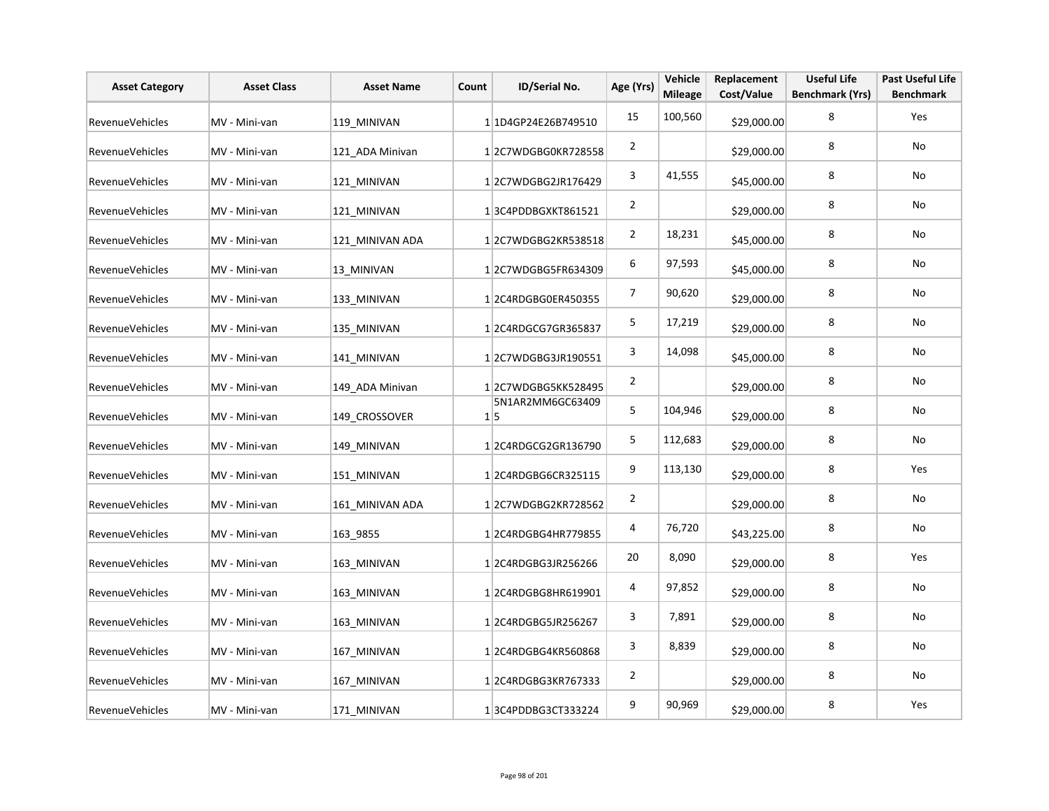| <b>Asset Category</b>  | <b>Asset Class</b> | <b>Asset Name</b> | Count | ID/Serial No.           | Age (Yrs)      | Vehicle<br><b>Mileage</b> | Replacement<br>Cost/Value | <b>Useful Life</b><br><b>Benchmark (Yrs)</b> | <b>Past Useful Life</b><br><b>Benchmark</b> |
|------------------------|--------------------|-------------------|-------|-------------------------|----------------|---------------------------|---------------------------|----------------------------------------------|---------------------------------------------|
| RevenueVehicles        | MV - Mini-van      | 119 MINIVAN       |       | 1 1D4GP24E26B749510     | 15             | 100,560                   | \$29,000.00               | 8                                            | Yes                                         |
| <b>RevenueVehicles</b> | MV - Mini-van      | 121 ADA Minivan   |       | 12C7WDGBG0KR728558      | $\overline{2}$ |                           | \$29,000.00               | 8                                            | No                                          |
| <b>RevenueVehicles</b> | MV - Mini-van      | 121 MINIVAN       |       | 12C7WDGBG2JR176429      | 3              | 41,555                    | \$45,000.00               | 8                                            | No                                          |
| RevenueVehicles        | MV - Mini-van      | 121 MINIVAN       |       | 13C4PDDBGXKT861521      | $\overline{2}$ |                           | \$29,000.00               | 8                                            | No                                          |
| RevenueVehicles        | MV - Mini-van      | 121 MINIVAN ADA   |       | 12C7WDGBG2KR538518      | $\overline{2}$ | 18,231                    | \$45,000.00               | 8                                            | No                                          |
| RevenueVehicles        | MV - Mini-van      | 13 MINIVAN        |       | 12C7WDGBG5FR634309      | 6              | 97,593                    | \$45,000.00               | 8                                            | No                                          |
| RevenueVehicles        | MV - Mini-van      | 133 MINIVAN       |       | 12C4RDGBG0ER450355      | 7              | 90,620                    | \$29,000.00               | 8                                            | No                                          |
| RevenueVehicles        | MV - Mini-van      | 135 MINIVAN       |       | 12C4RDGCG7GR365837      | 5              | 17,219                    | \$29,000.00               | 8                                            | No                                          |
| RevenueVehicles        | MV - Mini-van      | 141 MINIVAN       |       | 12C7WDGBG3JR190551      | 3              | 14,098                    | \$45,000.00               | 8                                            | No                                          |
| RevenueVehicles        | MV - Mini-van      | 149 ADA Minivan   |       | 12C7WDGBG5KK528495      | $\overline{2}$ |                           | \$29,000.00               | 8                                            | No                                          |
| RevenueVehicles        | MV - Mini-van      | 149 CROSSOVER     |       | 5N1AR2MM6GC63409<br>1 5 | 5              | 104,946                   | \$29,000.00               | 8                                            | No                                          |
| RevenueVehicles        | MV - Mini-van      | 149 MINIVAN       |       | 12C4RDGCG2GR136790      | 5              | 112,683                   | \$29,000.00               | 8                                            | No                                          |
| RevenueVehicles        | MV - Mini-van      | 151 MINIVAN       |       | 12C4RDGBG6CR325115      | 9              | 113,130                   | \$29,000.00               | 8                                            | Yes                                         |
| RevenueVehicles        | MV - Mini-van      | 161 MINIVAN ADA   |       | 12C7WDGBG2KR728562      | $\overline{2}$ |                           | \$29,000.00               | 8                                            | No                                          |
| RevenueVehicles        | MV - Mini-van      | 163 9855          |       | 12C4RDGBG4HR779855      | 4              | 76,720                    | \$43,225.00               | 8                                            | No                                          |
| <b>RevenueVehicles</b> | MV - Mini-van      | 163 MINIVAN       |       | 12C4RDGBG3JR256266      | 20             | 8,090                     | \$29,000.00               | 8                                            | Yes                                         |
| RevenueVehicles        | MV - Mini-van      | 163 MINIVAN       |       | 12C4RDGBG8HR619901      | 4              | 97,852                    | \$29,000.00               | 8                                            | No                                          |
| RevenueVehicles        | MV - Mini-van      | 163 MINIVAN       |       | 12C4RDGBG5JR256267      | 3              | 7,891                     | \$29,000.00               | 8                                            | No                                          |
| RevenueVehicles        | MV - Mini-van      | 167_MINIVAN       |       | 1 2C4RDGBG4KR560868     | 3              | 8,839                     | \$29,000.00               | 8                                            | No                                          |
| RevenueVehicles        | MV - Mini-van      | 167 MINIVAN       |       | 12C4RDGBG3KR767333      | $\overline{2}$ |                           | \$29,000.00               | 8                                            | No                                          |
| RevenueVehicles        | MV - Mini-van      | 171 MINIVAN       |       | 13C4PDDBG3CT333224      | 9              | 90,969                    | \$29,000.00               | 8                                            | Yes                                         |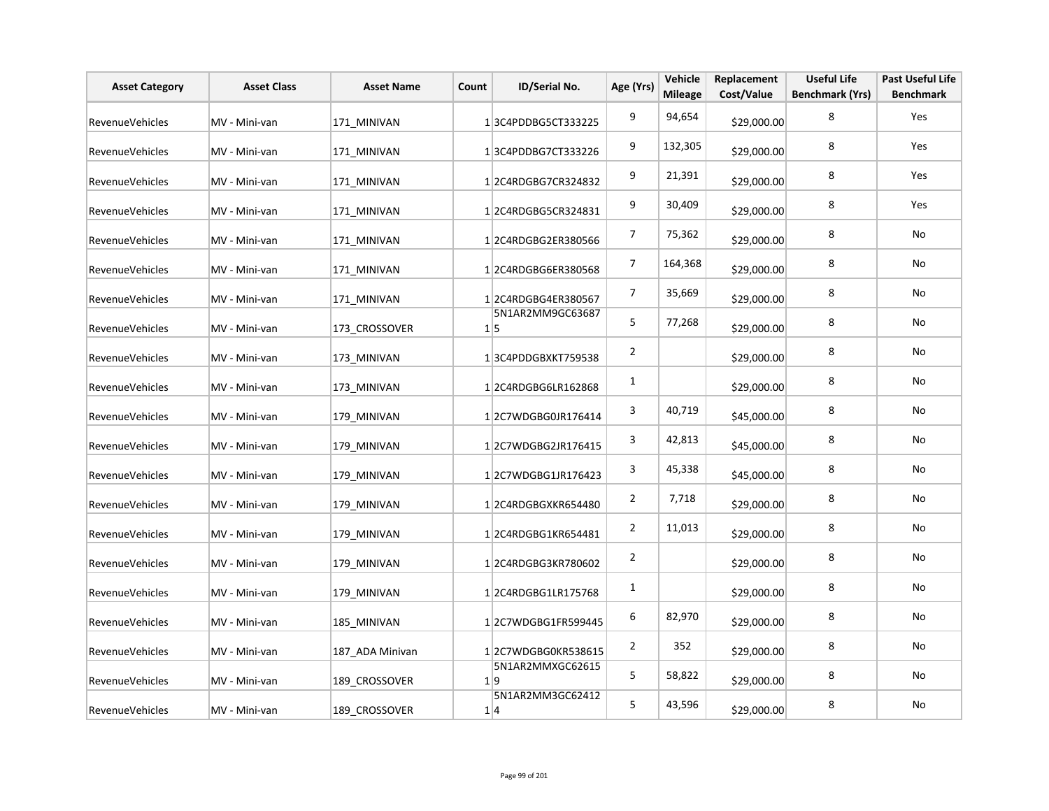| <b>Asset Category</b>  | <b>Asset Class</b> | <b>Asset Name</b> | Count | ID/Serial No.                  | Age (Yrs)      | Vehicle<br><b>Mileage</b> | Replacement<br>Cost/Value | <b>Useful Life</b><br><b>Benchmark (Yrs)</b> | <b>Past Useful Life</b><br><b>Benchmark</b> |
|------------------------|--------------------|-------------------|-------|--------------------------------|----------------|---------------------------|---------------------------|----------------------------------------------|---------------------------------------------|
| RevenueVehicles        | MV - Mini-van      | 171 MINIVAN       |       | 13C4PDDBG5CT333225             | 9              | 94,654                    | \$29,000.00               | 8                                            | Yes                                         |
| <b>RevenueVehicles</b> | MV - Mini-van      | 171 MINIVAN       |       | 13C4PDDBG7CT333226             | 9              | 132,305                   | \$29,000.00               | 8                                            | Yes                                         |
| <b>RevenueVehicles</b> | MV - Mini-van      | 171 MINIVAN       |       | 12C4RDGBG7CR324832             | 9              | 21,391                    | \$29,000.00               | 8                                            | Yes                                         |
| RevenueVehicles        | MV - Mini-van      | 171 MINIVAN       |       | 12C4RDGBG5CR324831             | 9              | 30,409                    | \$29,000.00               | 8                                            | Yes                                         |
| <b>RevenueVehicles</b> | MV - Mini-van      | 171 MINIVAN       |       | 12C4RDGBG2ER380566             | $\overline{7}$ | 75,362                    | \$29,000.00               | 8                                            | No                                          |
| <b>RevenueVehicles</b> | MV - Mini-van      | 171 MINIVAN       |       | 12C4RDGBG6ER380568             | $\overline{7}$ | 164,368                   | \$29,000.00               | 8                                            | No                                          |
| <b>RevenueVehicles</b> | MV - Mini-van      | 171 MINIVAN       |       | 12C4RDGBG4ER380567             | $\overline{7}$ | 35,669                    | \$29,000.00               | 8                                            | No                                          |
| <b>RevenueVehicles</b> | MV - Mini-van      | 173 CROSSOVER     |       | 5N1AR2MM9GC63687<br>$1\vert 5$ | 5              | 77,268                    | \$29,000.00               | 8                                            | No                                          |
| <b>RevenueVehicles</b> | MV - Mini-van      | 173 MINIVAN       |       | 13C4PDDGBXKT759538             | $\overline{2}$ |                           | \$29,000.00               | 8                                            | No                                          |
| <b>RevenueVehicles</b> | MV - Mini-van      | 173 MINIVAN       |       | 12C4RDGBG6LR162868             | 1              |                           | \$29,000.00               | 8                                            | No                                          |
| RevenueVehicles        | MV - Mini-van      | 179 MINIVAN       |       | 12C7WDGBG0JR176414             | 3              | 40,719                    | \$45,000.00               | 8                                            | No                                          |
| <b>RevenueVehicles</b> | MV - Mini-van      | 179 MINIVAN       |       | 12C7WDGBG2JR176415             | 3              | 42,813                    | \$45,000.00               | 8                                            | No                                          |
| <b>RevenueVehicles</b> | MV - Mini-van      | 179 MINIVAN       |       | 1 2C7WDGBG1JR176423            | 3              | 45,338                    | \$45,000.00               | 8                                            | No                                          |
| <b>RevenueVehicles</b> | MV - Mini-van      | 179_MINIVAN       |       | 12C4RDGBGXKR654480             | $\overline{2}$ | 7,718                     | \$29,000.00               | 8                                            | No                                          |
| <b>RevenueVehicles</b> | MV - Mini-van      | 179 MINIVAN       |       | 12C4RDGBG1KR654481             | $\overline{a}$ | 11,013                    | \$29,000.00               | 8                                            | No                                          |
| <b>RevenueVehicles</b> | MV - Mini-van      | 179 MINIVAN       |       | 12C4RDGBG3KR780602             | $\overline{2}$ |                           | \$29,000.00               | 8                                            | No                                          |
| <b>RevenueVehicles</b> | MV - Mini-van      | 179 MINIVAN       |       | 12C4RDGBG1LR175768             | 1              |                           | \$29,000.00               | 8                                            | No                                          |
| <b>RevenueVehicles</b> | MV - Mini-van      | 185 MINIVAN       |       | 12C7WDGBG1FR599445             | 6              | 82,970                    | \$29,000.00               | 8                                            | No                                          |
| RevenueVehicles        | MV - Mini-van      | 187_ADA Minivan   |       | 12C7WDGBG0KR538615             | $\overline{2}$ | 352                       | \$29,000.00               | 8                                            | No                                          |
| <b>RevenueVehicles</b> | MV - Mini-van      | 189 CROSSOVER     |       | 5N1AR2MMXGC62615<br>1 9        | 5              | 58,822                    | \$29,000.00               | 8                                            | No                                          |
| <b>RevenueVehicles</b> | MV - Mini-van      | 189 CROSSOVER     |       | 5N1AR2MM3GC62412<br>1 4        | 5              | 43,596                    | \$29,000.00               | 8                                            | No                                          |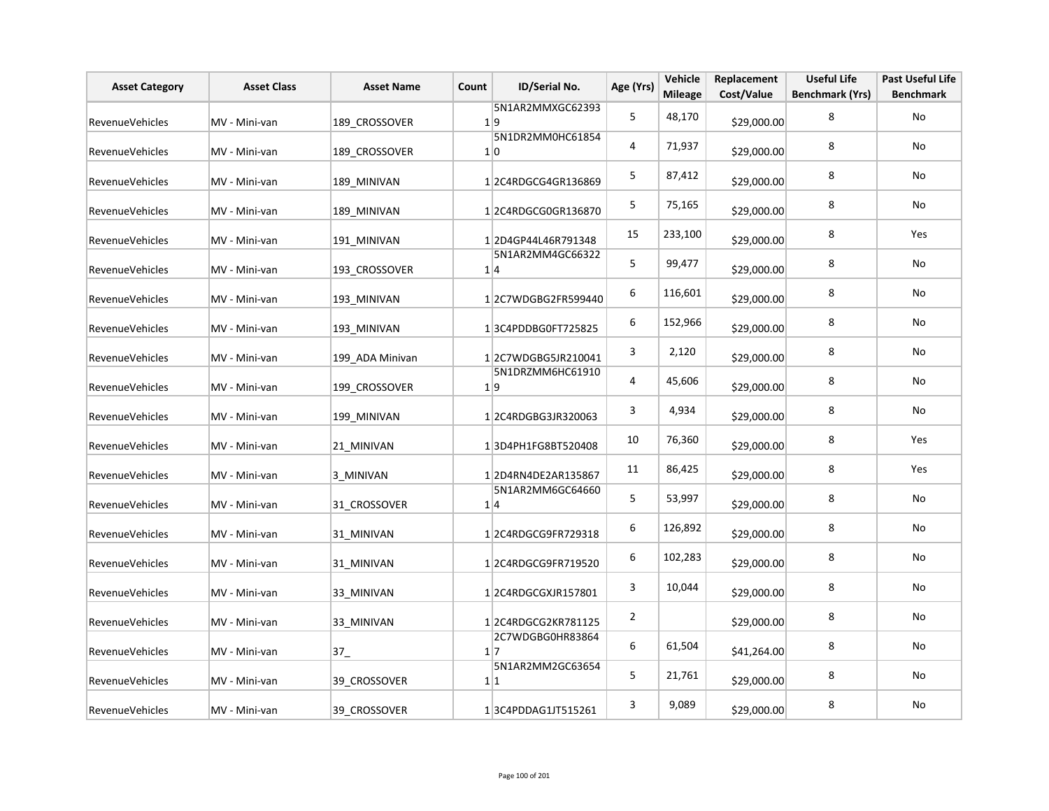| <b>Asset Category</b>  | <b>Asset Class</b> | <b>Asset Name</b> | Count | ID/Serial No.                       | Age (Yrs)      | Vehicle<br><b>Mileage</b> | Replacement<br>Cost/Value | <b>Useful Life</b><br><b>Benchmark (Yrs)</b> | <b>Past Useful Life</b><br><b>Benchmark</b> |
|------------------------|--------------------|-------------------|-------|-------------------------------------|----------------|---------------------------|---------------------------|----------------------------------------------|---------------------------------------------|
| RevenueVehicles        | MV - Mini-van      | 189 CROSSOVER     |       | 5N1AR2MMXGC62393<br>1 9             | 5              | 48,170                    | \$29,000.00               | 8                                            | No                                          |
| <b>RevenueVehicles</b> | MV - Mini-van      | 189 CROSSOVER     |       | 5N1DR2MM0HC61854<br>1 0             | 4              | 71,937                    | \$29,000.00               | 8                                            | No                                          |
| <b>RevenueVehicles</b> | MV - Mini-van      | 189 MINIVAN       |       | 1 2C4RDGCG4GR136869                 | 5              | 87,412                    | \$29,000.00               | 8                                            | No                                          |
| <b>RevenueVehicles</b> | MV - Mini-van      | 189 MINIVAN       |       | 1 2C4RDGCG0GR136870                 | 5              | 75,165                    | \$29,000.00               | 8                                            | No                                          |
| <b>RevenueVehicles</b> | MV - Mini-van      | 191 MINIVAN       |       | 12D4GP44L46R791348                  | 15             | 233,100                   | \$29,000.00               | 8                                            | Yes                                         |
| RevenueVehicles        | MV - Mini-van      | 193 CROSSOVER     |       | 5N1AR2MM4GC66322<br>1 4             | 5              | 99,477                    | \$29,000.00               | 8                                            | No                                          |
| <b>RevenueVehicles</b> | MV - Mini-van      | 193 MINIVAN       |       | 12C7WDGBG2FR599440                  | 6              | 116,601                   | \$29,000.00               | 8                                            | No                                          |
| <b>RevenueVehicles</b> | MV - Mini-van      | 193 MINIVAN       |       | 13C4PDDBG0FT725825                  | 6              | 152,966                   | \$29,000.00               | 8                                            | No                                          |
| <b>RevenueVehicles</b> | MV - Mini-van      | 199 ADA Minivan   |       | 12C7WDGBG5JR210041                  | 3              | 2,120                     | \$29,000.00               | 8                                            | No                                          |
| <b>RevenueVehicles</b> | MV - Mini-van      | 199 CROSSOVER     |       | 5N1DRZMM6HC61910<br>1 9             | 4              | 45,606                    | \$29,000.00               | 8                                            | <b>No</b>                                   |
| <b>RevenueVehicles</b> | MV - Mini-van      | 199 MINIVAN       |       | 12C4RDGBG3JR320063                  | 3              | 4,934                     | \$29,000.00               | 8                                            | No                                          |
| <b>RevenueVehicles</b> | MV - Mini-van      | 21 MINIVAN        |       | 13D4PH1FG8BT520408                  | 10             | 76,360                    | \$29,000.00               | 8                                            | Yes                                         |
| <b>RevenueVehicles</b> | MV - Mini-van      | 3 MINIVAN         |       | 12D4RN4DE2AR135867                  | 11             | 86,425                    | \$29,000.00               | 8                                            | Yes                                         |
| <b>RevenueVehicles</b> | MV - Mini-van      | 31 CROSSOVER      |       | 5N1AR2MM6GC64660<br>1 4             | 5              | 53,997                    | \$29,000.00               | 8                                            | No                                          |
| <b>RevenueVehicles</b> | MV - Mini-van      | 31 MINIVAN        |       | 12C4RDGCG9FR729318                  | 6              | 126,892                   | \$29,000.00               | 8                                            | No                                          |
| <b>RevenueVehicles</b> | MV - Mini-van      | 31 MINIVAN        |       | 12C4RDGCG9FR719520                  | 6              | 102,283                   | \$29,000.00               | 8                                            | No                                          |
| <b>RevenueVehicles</b> | MV - Mini-van      | 33 MINIVAN        |       | 1 2C4RDGCGXJR157801                 | 3              | 10,044                    | \$29,000.00               | 8                                            | No                                          |
| <b>RevenueVehicles</b> | MV - Mini-van      | 33 MINIVAN        |       | 12C4RDGCG2KR781125                  | $\overline{2}$ |                           | \$29,000.00               | 8                                            | No                                          |
| <b>RevenueVehicles</b> | MV - Mini-van      | $37 -$            |       | 2C7WDGBG0HR83864<br>$1\overline{7}$ | 6              | 61,504                    | \$41,264.00               | 8                                            | No                                          |
| <b>RevenueVehicles</b> | MV - Mini-van      | 39 CROSSOVER      |       | 5N1AR2MM2GC63654<br>1 1             | 5              | 21,761                    | \$29,000.00               | 8                                            | No                                          |
| <b>RevenueVehicles</b> | MV - Mini-van      | 39 CROSSOVER      |       | 13C4PDDAG1JT515261                  | 3              | 9,089                     | \$29,000.00               | 8                                            | No                                          |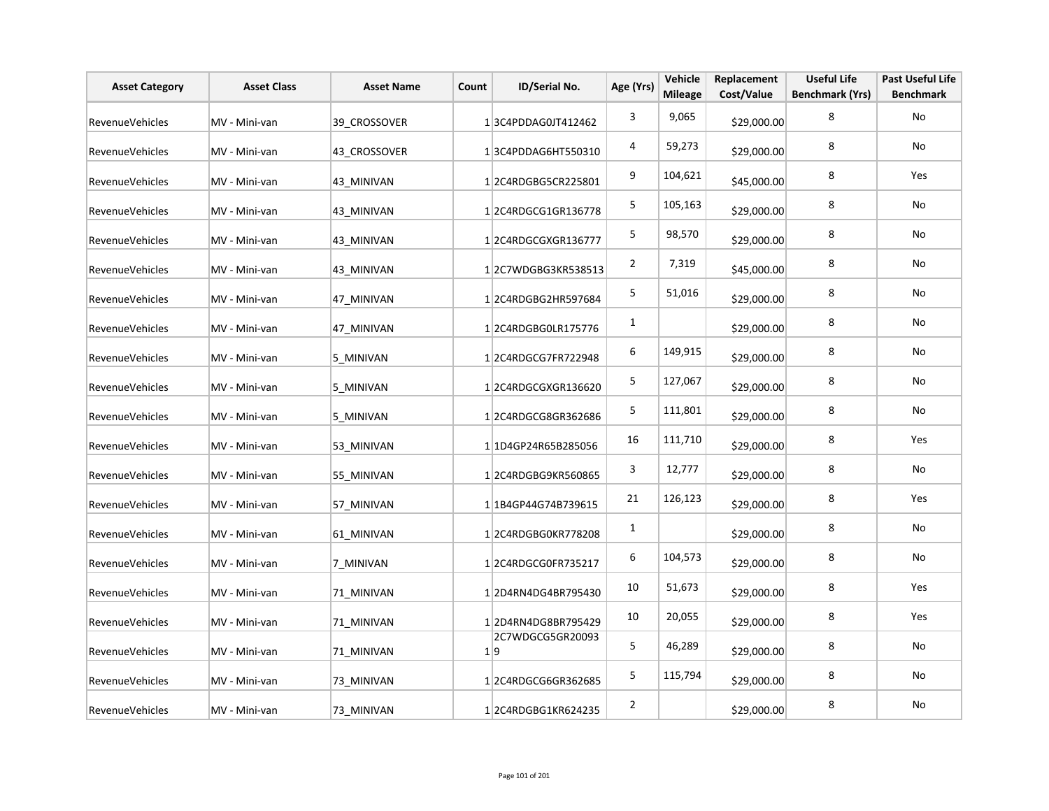| <b>Asset Category</b>  | <b>Asset Class</b> | <b>Asset Name</b> | Count | ID/Serial No.           | Age (Yrs)      | Vehicle<br><b>Mileage</b> | Replacement<br>Cost/Value | <b>Useful Life</b><br><b>Benchmark (Yrs)</b> | <b>Past Useful Life</b><br><b>Benchmark</b> |
|------------------------|--------------------|-------------------|-------|-------------------------|----------------|---------------------------|---------------------------|----------------------------------------------|---------------------------------------------|
| <b>RevenueVehicles</b> | MV - Mini-van      | 39 CROSSOVER      |       | 13C4PDDAG0JT412462      | 3              | 9,065                     | \$29,000.00               | 8                                            | No                                          |
| <b>RevenueVehicles</b> | MV - Mini-van      | 43 CROSSOVER      |       | 13C4PDDAG6HT550310      | 4              | 59,273                    | \$29,000.00               | 8                                            | No                                          |
| <b>RevenueVehicles</b> | MV - Mini-van      | 43 MINIVAN        |       | 12C4RDGBG5CR225801      | 9              | 104,621                   | \$45,000.00               | 8                                            | Yes                                         |
| <b>RevenueVehicles</b> | MV - Mini-van      | 43 MINIVAN        |       | 12C4RDGCG1GR136778      | 5              | 105,163                   | \$29,000.00               | 8                                            | No                                          |
| <b>RevenueVehicles</b> | MV - Mini-van      | 43 MINIVAN        |       | 12C4RDGCGXGR136777      | 5              | 98,570                    | \$29,000.00               | 8                                            | No                                          |
| RevenueVehicles        | MV - Mini-van      | 43 MINIVAN        |       | 12C7WDGBG3KR538513      | $\overline{2}$ | 7,319                     | \$45,000.00               | 8                                            | No                                          |
| <b>RevenueVehicles</b> | MV - Mini-van      | 47 MINIVAN        |       | 12C4RDGBG2HR597684      | 5              | 51,016                    | \$29,000.00               | 8                                            | No                                          |
| <b>RevenueVehicles</b> | MV - Mini-van      | 47 MINIVAN        |       | 12C4RDGBG0LR175776      | $\mathbf{1}$   |                           | \$29,000.00               | 8                                            | No                                          |
| <b>RevenueVehicles</b> | MV - Mini-van      | 5 MINIVAN         |       | 12C4RDGCG7FR722948      | 6              | 149,915                   | \$29,000.00               | 8                                            | No                                          |
| <b>RevenueVehicles</b> | MV - Mini-van      | 5 MINIVAN         |       | 12C4RDGCGXGR136620      | 5              | 127,067                   | \$29,000.00               | 8                                            | No                                          |
| <b>RevenueVehicles</b> | MV - Mini-van      | 5 MINIVAN         |       | 12C4RDGCG8GR362686      | 5              | 111,801                   | \$29,000.00               | 8                                            | No                                          |
| <b>RevenueVehicles</b> | MV - Mini-van      | 53 MINIVAN        |       | 1 1D4GP24R65B285056     | 16             | 111,710                   | \$29,000.00               | 8                                            | Yes                                         |
| <b>RevenueVehicles</b> | MV - Mini-van      | 55 MINIVAN        |       | 12C4RDGBG9KR560865      | 3              | 12,777                    | \$29,000.00               | 8                                            | No                                          |
| <b>RevenueVehicles</b> | MV - Mini-van      | 57_MINIVAN        |       | 1 1B4GP44G74B739615     | 21             | 126,123                   | \$29,000.00               | 8                                            | Yes                                         |
| <b>RevenueVehicles</b> | MV - Mini-van      | 61 MINIVAN        |       | 12C4RDGBG0KR778208      | 1              |                           | \$29,000.00               | 8                                            | No                                          |
| <b>RevenueVehicles</b> | MV - Mini-van      | 7 MINIVAN         |       | 1 2C4RDGCG0FR735217     | 6              | 104,573                   | \$29,000.00               | 8                                            | No                                          |
| <b>RevenueVehicles</b> | MV - Mini-van      | 71 MINIVAN        |       | 12D4RN4DG4BR795430      | 10             | 51,673                    | \$29,000.00               | 8                                            | Yes                                         |
| <b>RevenueVehicles</b> | MV - Mini-van      | 71 MINIVAN        |       | 12D4RN4DG8BR795429      | 10             | 20,055                    | \$29,000.00               | 8                                            | Yes                                         |
| RevenueVehicles        | MV - Mini-van      | 71 MINIVAN        |       | 2C7WDGCG5GR20093<br>1 9 | 5              | 46,289                    | \$29,000.00               | 8                                            | No                                          |
| <b>RevenueVehicles</b> | MV - Mini-van      | 73 MINIVAN        |       | 12C4RDGCG6GR362685      | 5              | 115,794                   | \$29,000.00               | 8                                            | No                                          |
| <b>RevenueVehicles</b> | MV - Mini-van      | 73 MINIVAN        |       | 12C4RDGBG1KR624235      | $\overline{2}$ |                           | \$29,000.00               | 8                                            | No                                          |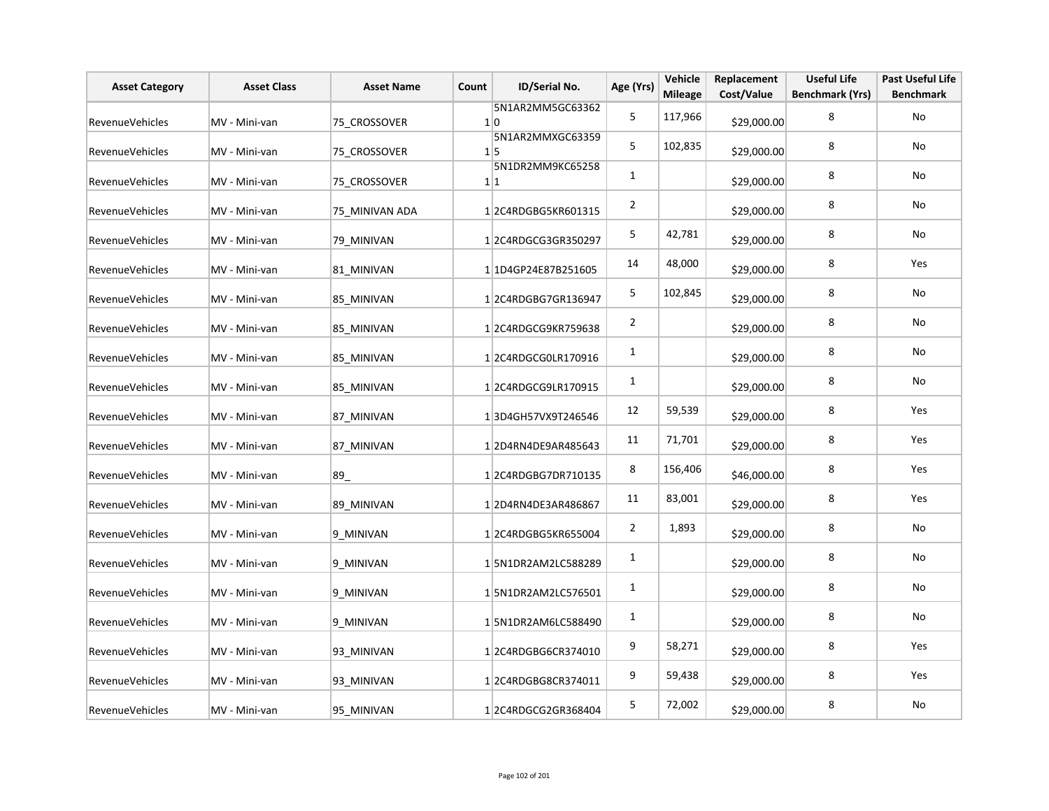| <b>Asset Category</b>  | <b>Asset Class</b> | <b>Asset Name</b> | Count | ID/Serial No.                  | Age (Yrs)      | Vehicle<br><b>Mileage</b> | Replacement<br>Cost/Value | <b>Useful Life</b><br><b>Benchmark (Yrs)</b> | <b>Past Useful Life</b><br><b>Benchmark</b> |
|------------------------|--------------------|-------------------|-------|--------------------------------|----------------|---------------------------|---------------------------|----------------------------------------------|---------------------------------------------|
| RevenueVehicles        | MV - Mini-van      | 75 CROSSOVER      |       | 5N1AR2MM5GC63362<br>1 0        | 5              | 117,966                   | \$29,000.00               | 8                                            | No                                          |
| <b>RevenueVehicles</b> | MV - Mini-van      | 75 CROSSOVER      |       | 5N1AR2MMXGC63359<br>$1\vert 5$ | 5              | 102,835                   | \$29,000.00               | 8                                            | No                                          |
| <b>RevenueVehicles</b> | MV - Mini-van      | 75 CROSSOVER      |       | 5N1DR2MM9KC65258<br>1 1        | $\mathbf{1}$   |                           | \$29,000.00               | 8                                            | No                                          |
| RevenueVehicles        | MV - Mini-van      | 75_MINIVAN ADA    |       | 12C4RDGBG5KR601315             | $\overline{2}$ |                           | \$29,000.00               | 8                                            | No                                          |
| <b>RevenueVehicles</b> | MV - Mini-van      | 79 MINIVAN        |       | 12C4RDGCG3GR350297             | 5              | 42,781                    | \$29,000.00               | 8                                            | No                                          |
| <b>RevenueVehicles</b> | MV - Mini-van      | 81 MINIVAN        |       | 1 1D4GP24E87B251605            | 14             | 48,000                    | \$29,000.00               | 8                                            | Yes                                         |
| <b>RevenueVehicles</b> | MV - Mini-van      | 85 MINIVAN        |       | 1 2C4RDGBG7GR136947            | 5              | 102,845                   | \$29,000.00               | 8                                            | No                                          |
| <b>RevenueVehicles</b> | MV - Mini-van      | 85 MINIVAN        |       | 12C4RDGCG9KR759638             | $\overline{2}$ |                           | \$29,000.00               | 8                                            | No                                          |
| <b>RevenueVehicles</b> | MV - Mini-van      | 85 MINIVAN        |       | 1 2C4RDGCG0LR170916            | 1              |                           | \$29,000.00               | 8                                            | No                                          |
| <b>RevenueVehicles</b> | MV - Mini-van      | 85 MINIVAN        |       | 1 2C4RDGCG9LR170915            | 1              |                           | \$29,000.00               | 8                                            | No                                          |
| RevenueVehicles        | MV - Mini-van      | 87 MINIVAN        |       | 13D4GH57VX9T246546             | 12             | 59,539                    | \$29,000.00               | 8                                            | Yes                                         |
| <b>RevenueVehicles</b> | MV - Mini-van      | 87 MINIVAN        |       | 12D4RN4DE9AR485643             | 11             | 71,701                    | \$29,000.00               | 8                                            | Yes                                         |
| <b>RevenueVehicles</b> | MV - Mini-van      | 89                |       | 12C4RDGBG7DR710135             | 8              | 156,406                   | \$46,000.00               | 8                                            | Yes                                         |
| <b>RevenueVehicles</b> | MV - Mini-van      | 89 MINIVAN        |       | 12D4RN4DE3AR486867             | 11             | 83,001                    | \$29,000.00               | 8                                            | Yes                                         |
| <b>RevenueVehicles</b> | MV - Mini-van      | 9 MINIVAN         |       | 12C4RDGBG5KR655004             | $\overline{2}$ | 1,893                     | \$29,000.00               | 8                                            | No                                          |
| <b>RevenueVehicles</b> | MV - Mini-van      | 9 MINIVAN         |       | 15N1DR2AM2LC588289             | $\mathbf{1}$   |                           | \$29,000.00               | 8                                            | No                                          |
| <b>RevenueVehicles</b> | MV - Mini-van      | 9 MINIVAN         |       | 15N1DR2AM2LC576501             | 1              |                           | \$29,000.00               | 8                                            | No                                          |
| <b>RevenueVehicles</b> | MV - Mini-van      | 9 MINIVAN         |       | 15N1DR2AM6LC588490             | $\mathbf{1}$   |                           | \$29,000.00               | 8                                            | No                                          |
| RevenueVehicles        | MV - Mini-van      | 93 MINIVAN        |       | 12C4RDGBG6CR374010             | 9              | 58,271                    | \$29,000.00               | 8                                            | Yes                                         |
| <b>RevenueVehicles</b> | MV - Mini-van      | 93 MINIVAN        |       | 12C4RDGBG8CR374011             | 9              | 59,438                    | \$29,000.00               | 8                                            | Yes                                         |
| <b>RevenueVehicles</b> | MV - Mini-van      | 95 MINIVAN        |       | 1 2C4RDGCG2GR368404            | 5              | 72,002                    | \$29,000.00               | 8                                            | No                                          |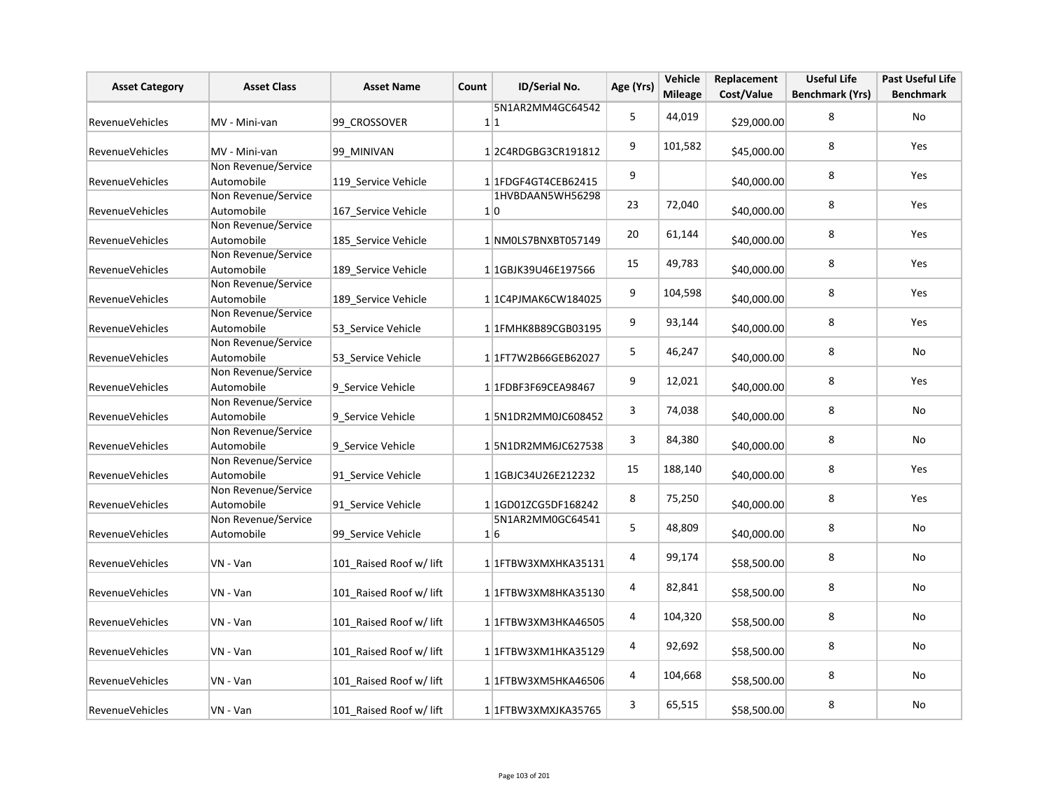| <b>Asset Category</b>  | <b>Asset Class</b>                | <b>Asset Name</b>       | Count | ID/Serial No.              | Age (Yrs)               | Vehicle<br><b>Mileage</b> | Replacement<br>Cost/Value | <b>Useful Life</b><br><b>Benchmark (Yrs)</b> | Past Useful Life<br><b>Benchmark</b> |
|------------------------|-----------------------------------|-------------------------|-------|----------------------------|-------------------------|---------------------------|---------------------------|----------------------------------------------|--------------------------------------|
| RevenueVehicles        | MV - Mini-van                     | 99 CROSSOVER            |       | 5N1AR2MM4GC64542<br>1 1    | 5                       | 44,019                    | \$29,000.00               | 8                                            | No                                   |
| <b>RevenueVehicles</b> | MV - Mini-van                     | 99 MINIVAN              |       | 12C4RDGBG3CR191812         | 9                       | 101,582                   | \$45,000.00               | 8                                            | Yes                                  |
| <b>RevenueVehicles</b> | Non Revenue/Service<br>Automobile | 119 Service Vehicle     |       | 1 1FDGF4GT4CEB62415        | 9                       |                           | \$40,000.00               | 8                                            | Yes                                  |
| <b>RevenueVehicles</b> | Non Revenue/Service<br>Automobile | 167_Service Vehicle     |       | 1HVBDAAN5WH56298<br>1 0    | 23                      | 72,040                    | \$40,000.00               | 8                                            | Yes                                  |
| <b>RevenueVehicles</b> | Non Revenue/Service<br>Automobile | 185_Service Vehicle     |       | 1 NM0LS7BNXBT057149        | 20                      | 61,144                    | \$40,000.00               | 8                                            | Yes                                  |
| RevenueVehicles        | Non Revenue/Service<br>Automobile | 189 Service Vehicle     |       | 1 1GBJK39U46E197566        | 15                      | 49,783                    | \$40,000.00               | 8                                            | Yes                                  |
| <b>RevenueVehicles</b> | Non Revenue/Service<br>Automobile | 189_Service Vehicle     |       | 1 1 1 C4PJ MAK6 CW 1840 25 | 9                       | 104,598                   | \$40,000.00               | 8                                            | Yes                                  |
| RevenueVehicles        | Non Revenue/Service<br>Automobile | 53_Service Vehicle      |       | 1 1 FMHK8B89CGB03195       | 9                       | 93,144                    | \$40,000.00               | 8                                            | Yes                                  |
| RevenueVehicles        | Non Revenue/Service<br>Automobile | 53 Service Vehicle      |       | 11FT7W2B66GEB62027         | 5                       | 46,247                    | \$40,000.00               | 8                                            | No                                   |
| RevenueVehicles        | Non Revenue/Service<br>Automobile | 9 Service Vehicle       |       | 1 1FDBF3F69CEA98467        | 9                       | 12,021                    | \$40,000.00               | 8                                            | <b>Yes</b>                           |
| <b>RevenueVehicles</b> | Non Revenue/Service<br>Automobile | 9 Service Vehicle       |       | 15N1DR2MM0JC608452         | 3                       | 74,038                    | \$40,000.00               | 8                                            | No                                   |
| RevenueVehicles        | Non Revenue/Service<br>Automobile | 9 Service Vehicle       |       | 15N1DR2MM6JC627538         | 3                       | 84,380                    | \$40,000.00               | 8                                            | No                                   |
| <b>RevenueVehicles</b> | Non Revenue/Service<br>Automobile | 91 Service Vehicle      |       | 1 1GBJC34U26E212232        | 15                      | 188,140                   | \$40,000.00               | 8                                            | <b>Yes</b>                           |
| RevenueVehicles        | Non Revenue/Service<br>Automobile | 91 Service Vehicle      |       |                            | 8                       | 75,250                    | \$40,000.00               | 8                                            | Yes                                  |
| RevenueVehicles        | Non Revenue/Service<br>Automobile | 99 Service Vehicle      |       | 5N1AR2MM0GC64541<br>1 6    | 5                       | 48,809                    | \$40,000.00               | 8                                            | No                                   |
| RevenueVehicles        | VN - Van                          | 101 Raised Roof w/ lift |       | 1 1FTBW3XMXHKA35131        | 4                       | 99,174                    | \$58,500.00               | 8                                            | No                                   |
| <b>RevenueVehicles</b> | VN - Van                          | 101 Raised Roof w/ lift |       | 1 1FTBW3XM8HKA35130        | 4                       | 82,841                    | \$58,500.00               | 8                                            | No                                   |
| <b>RevenueVehicles</b> | VN - Van                          | 101 Raised Roof w/ lift |       | 1 1FTBW3XM3HKA46505        | $\overline{\mathbf{4}}$ | 104,320                   | \$58,500.00               | 8                                            | No                                   |
| RevenueVehicles        | VN - Van                          | 101_Raised Roof w/ lift |       | 1 1FTBW3XM1HKA35129        | 4                       | 92,692                    | \$58,500.00               | 8                                            | No                                   |
| RevenueVehicles        | VN - Van                          | 101 Raised Roof w/ lift |       | 1 1FTBW3XM5HKA46506        | $\overline{a}$          | 104,668                   | \$58,500.00               | 8                                            | No                                   |
| <b>RevenueVehicles</b> | VN - Van                          | 101 Raised Roof w/ lift |       | 1 1FTBW3XMXJKA35765        | 3                       | 65,515                    | \$58,500.00               | 8                                            | No                                   |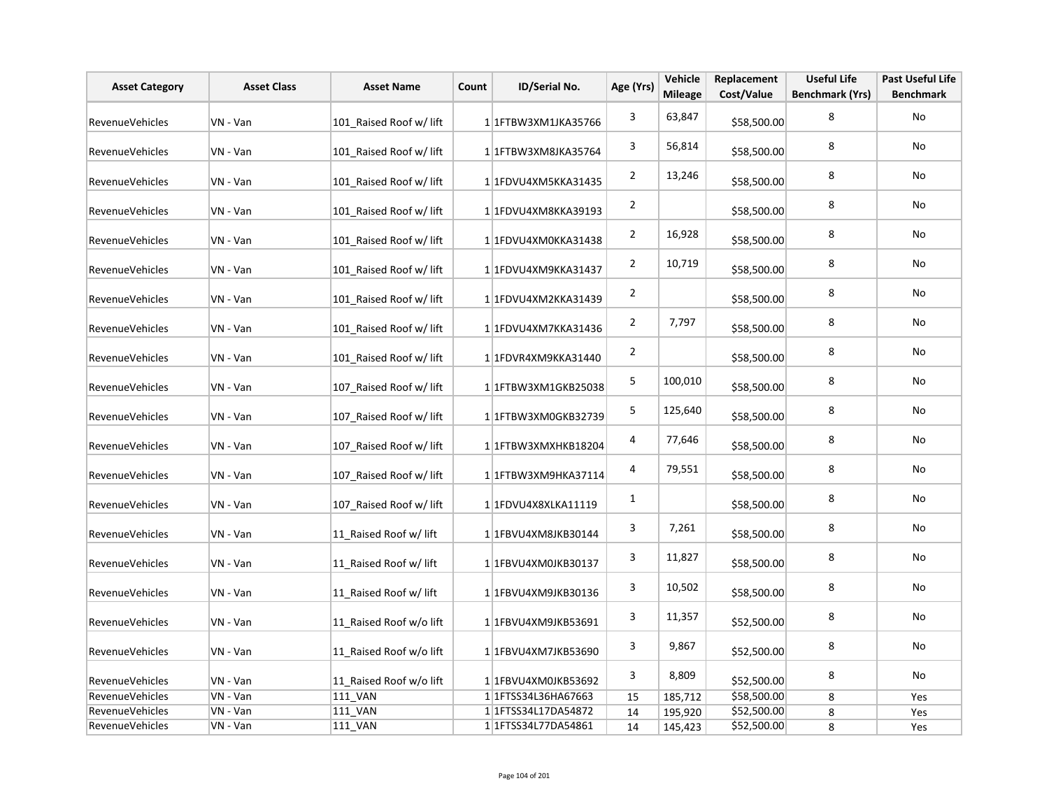| <b>Asset Category</b>  | <b>Asset Class</b> | <b>Asset Name</b>       | Count | ID/Serial No.             | Age (Yrs)      | Vehicle<br><b>Mileage</b> | Replacement<br>Cost/Value | <b>Useful Life</b><br><b>Benchmark (Yrs)</b> | <b>Past Useful Life</b><br><b>Benchmark</b> |
|------------------------|--------------------|-------------------------|-------|---------------------------|----------------|---------------------------|---------------------------|----------------------------------------------|---------------------------------------------|
| <b>RevenueVehicles</b> | VN - Van           | 101_Raised Roof w/ lift |       | 1 1 FTBW3XM1JKA35766      | 3              | 63,847                    | \$58,500.00               | 8                                            | <b>No</b>                                   |
| RevenueVehicles        | VN - Van           | 101 Raised Roof w/ lift |       | 1 1FTBW3XM8JKA35764       | 3              | 56,814                    | \$58,500.00               | 8                                            | No                                          |
| RevenueVehicles        | VN - Van           | 101 Raised Roof w/ lift |       | 1 1FDVU4XM5KKA31435       | $\overline{2}$ | 13,246                    | \$58,500.00               | 8                                            | No                                          |
| <b>RevenueVehicles</b> | VN - Van           | 101_Raised Roof w/ lift |       | 1 1FDVU4XM8KKA39193       | $\overline{2}$ |                           | \$58,500.00               | 8                                            | No                                          |
| RevenueVehicles        | VN - Van           | 101 Raised Roof w/ lift |       | 1 1FDVU4XM0KKA31438       | $\overline{2}$ | 16,928                    | \$58,500.00               | 8                                            | No                                          |
| <b>RevenueVehicles</b> | VN - Van           | 101 Raised Roof w/ lift |       | 1 1FDVU4XM9KKA31437       | $\overline{2}$ | 10,719                    | \$58,500.00               | 8                                            | No                                          |
| <b>RevenueVehicles</b> | VN - Van           | 101 Raised Roof w/ lift |       | 1 1FDVU4XM2KKA31439       | $\overline{2}$ |                           | \$58,500.00               | 8                                            | No                                          |
| RevenueVehicles        | VN - Van           | 101 Raised Roof w/ lift |       | 1 1FDVU4XM7KKA31436       | $\overline{2}$ | 7,797                     | \$58,500.00               | 8                                            | No                                          |
| RevenueVehicles        | VN - Van           | 101 Raised Roof w/ lift |       | 1 1FDVR4XM9KKA31440       | $\overline{2}$ |                           | \$58,500.00               | 8                                            | No                                          |
| RevenueVehicles        | VN - Van           | 107 Raised Roof w/ lift |       | 1 1 FTBW3XM1GKB25038      | 5              | 100,010                   | \$58,500.00               | 8                                            | No                                          |
| RevenueVehicles        | VN - Van           | 107 Raised Roof w/ lift |       | 11FTBW3XM0GKB32739        | 5              | 125,640                   | \$58,500.00               | 8                                            | No                                          |
| RevenueVehicles        | VN - Van           | 107 Raised Roof w/ lift |       | 1 1 FTBW3XMXHKB18204      | 4              | 77,646                    | \$58,500.00               | 8                                            | No                                          |
| RevenueVehicles        | VN - Van           | 107 Raised Roof w/ lift |       | 1 1FTBW3XM9HKA37114       | 4              | 79,551                    | \$58,500.00               | 8                                            | No                                          |
| RevenueVehicles        | VN - Van           | 107 Raised Roof w/ lift |       | 1 1FDVU4X8XLKA11119       | $\mathbf{1}$   |                           | \$58,500.00               | 8                                            | No                                          |
| RevenueVehicles        | VN - Van           | 11 Raised Roof w/ lift  |       | 1 1 FBV U4X M8J KB30144   | 3              | 7,261                     | \$58,500.00               | 8                                            | No                                          |
| RevenueVehicles        | VN - Van           | 11 Raised Roof w/ lift  |       | 1 1FBVU4XM0JKB30137       | 3              | 11,827                    | \$58,500.00               | 8                                            | No                                          |
| RevenueVehicles        | VN - Van           | 11 Raised Roof w/ lift  |       | 1 1FBVU4XM9JKB30136       | 3              | 10,502                    | \$58,500.00               | 8                                            | No                                          |
| RevenueVehicles        | VN - Van           | 11 Raised Roof w/o lift |       | 1 1FBVU4XM9JKB53691       | 3              | 11,357                    | \$52,500.00               | 8                                            | No                                          |
| <b>RevenueVehicles</b> | VN - Van           | 11 Raised Roof w/o lift |       | 1 1FBVU4XM7JKB53690       | 3              | 9,867                     | \$52,500.00               | 8                                            | No                                          |
| RevenueVehicles        | VN - Van           | 11 Raised Roof w/o lift |       | 1 1FBVU4XM0JKB53692       | 3              | 8,809                     | \$52,500.00               | 8                                            | <b>No</b>                                   |
| RevenueVehicles        | VN - Van           | <b>111 VAN</b>          |       | 1 1 FTSS34L36HA67663      | 15             | 185,712                   | \$58,500.00               | 8                                            | Yes                                         |
| RevenueVehicles        | VN - Van           | <b>111 VAN</b>          |       | 1 1 FTSS34L17DA54872      | 14             | 195,920                   | \$52,500.00               | 8                                            | Yes                                         |
| RevenueVehicles        | VN - Van           | <b>111 VAN</b>          |       | 1 1 1 FTSS 34 L77 DA54861 | 14             | 145,423                   | \$52,500.00               | 8                                            | Yes                                         |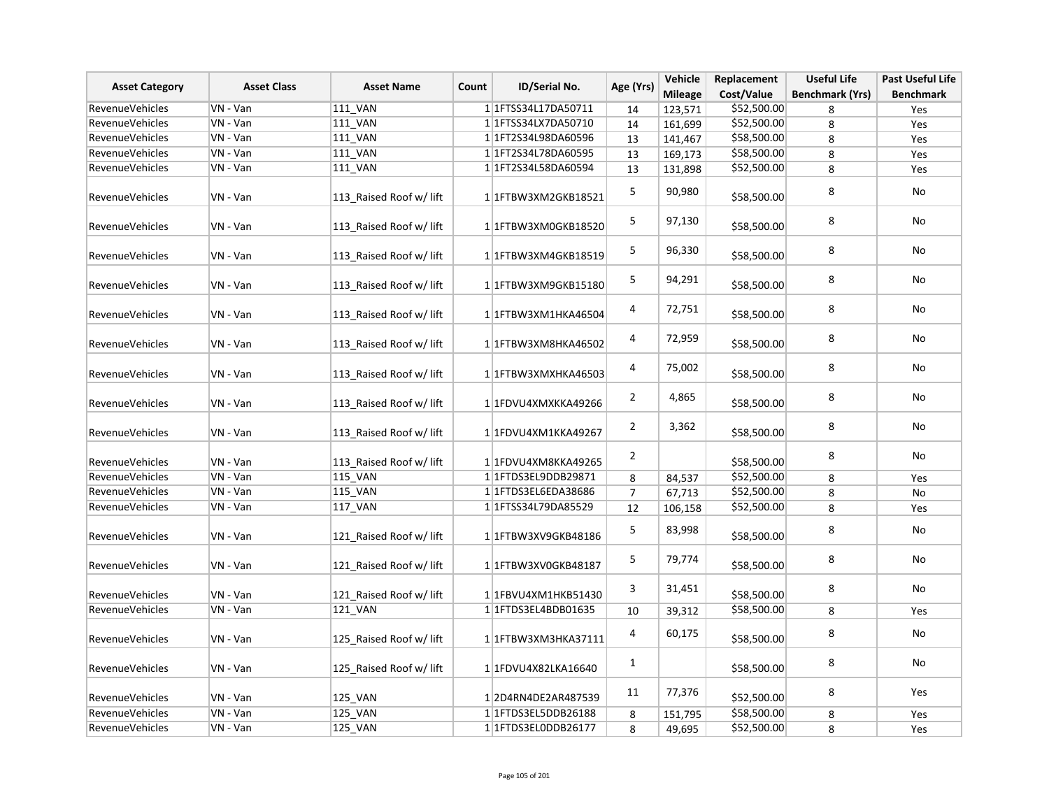| <b>Asset Category</b>  | <b>Asset Class</b> | <b>Asset Name</b>       | ID/Serial No.<br>Count | Age (Yrs)                  | Vehicle          | Replacement    | <b>Useful Life</b> | <b>Past Useful Life</b> |                  |
|------------------------|--------------------|-------------------------|------------------------|----------------------------|------------------|----------------|--------------------|-------------------------|------------------|
|                        |                    |                         |                        |                            |                  | <b>Mileage</b> | Cost/Value         | <b>Benchmark (Yrs)</b>  | <b>Benchmark</b> |
| RevenueVehicles        | VN - Van           | <b>111 VAN</b>          |                        | 1 1 FTSS34L17DA50711       | 14               | 123,571        | \$52,500.00        | 8                       | Yes              |
| <b>RevenueVehicles</b> | VN - Van           | <b>111 VAN</b>          |                        | 1 1 1 FTSS34 LX7DA50710    | 14               | 161,699        | \$52,500.00        | 8                       | Yes              |
| RevenueVehicles        | VN - Van           | 111_VAN                 |                        | 1 1FT2S34L98DA60596        | 13               | 141,467        | \$58,500.00        | 8                       | Yes              |
| <b>RevenueVehicles</b> | VN - Van           | <b>111 VAN</b>          |                        | 1 1 1 FT2 S34 L78 DA6 0595 | 13               | 169,173        | \$58,500.00        | 8                       | Yes              |
| <b>RevenueVehicles</b> | VN - Van           | <b>111 VAN</b>          |                        | 1 1 1 FT2 S34 L58 DA6 0594 | 13               | 131,898        | \$52,500.00        | 8                       | Yes              |
| RevenueVehicles        | VN - Van           | 113_Raised Roof w/ lift |                        | 1 1 FTBW3XM2GKB18521       | 5                | 90,980         | \$58,500.00        | 8                       | No               |
| <b>RevenueVehicles</b> | VN - Van           | 113 Raised Roof w/ lift |                        | 1 1 FTBW3XM0GKB18520       | 5                | 97,130         | \$58,500.00        | 8                       | No               |
| <b>RevenueVehicles</b> | VN - Van           | 113 Raised Roof w/ lift |                        | 1 1 FTBW3XM4GKB18519       | 5                | 96,330         | \$58,500.00        | 8                       | No               |
| RevenueVehicles        | VN - Van           | 113 Raised Roof w/ lift |                        | 1 1 FTBW3XM9GKB15180       | 5                | 94,291         | \$58,500.00        | 8                       | No               |
| RevenueVehicles        | VN - Van           | 113 Raised Roof w/ lift |                        | 1 1 FTBW3XM1HKA46504       | $\overline{a}$   | 72,751         | \$58,500.00        | 8                       | No               |
| <b>RevenueVehicles</b> | VN - Van           | 113 Raised Roof w/ lift |                        | 1 1 FTBW3XM8HKA46502       | 4                | 72,959         | \$58,500.00        | 8                       | No               |
| RevenueVehicles        | VN - Van           | 113 Raised Roof w/ lift |                        | 1 1FTBW3XMXHKA46503        | 4                | 75,002         | \$58,500.00        | 8                       | No               |
| <b>RevenueVehicles</b> | VN - Van           | 113_Raised Roof w/ lift |                        | 1 1FDVU4XMXKKA49266        | $\overline{2}$   | 4,865          | \$58,500.00        | 8                       | No               |
| RevenueVehicles        | VN - Van           | 113 Raised Roof w/ lift |                        | 1 1FDVU4XM1KKA49267        | $\overline{2}$   | 3,362          | \$58,500.00        | 8                       | No               |
| RevenueVehicles        | VN - Van           | 113 Raised Roof w/ lift |                        | 1 1FDVU4XM8KKA49265        | $\overline{2}$   |                | \$58,500.00        | 8                       | No               |
| <b>RevenueVehicles</b> | VN - Van           | 115_VAN                 |                        | 1 1 FTDS3EL9DDB29871       | 8                | 84,537         | \$52,500.00        | 8                       | Yes              |
| <b>RevenueVehicles</b> | VN - Van           | 115_VAN                 |                        | 1 1 FTDS3EL6EDA38686       | $\boldsymbol{7}$ | 67,713         | \$52,500.00        | 8                       | <b>No</b>        |
| <b>RevenueVehicles</b> | VN - Van           | 117_VAN                 |                        | 1 1 1 FTSS 34 L79 DA85 529 | 12               | 106,158        | \$52,500.00        | 8                       | Yes              |
| RevenueVehicles        | VN - Van           | 121 Raised Roof w/ lift |                        | 1 1 FTBW3XV9GKB48186       | 5                | 83,998         | \$58,500.00        | 8                       | No               |
| <b>RevenueVehicles</b> | VN - Van           | 121 Raised Roof w/ lift |                        | 1 1 FTBW3XV0GKB48187       | 5                | 79,774         | \$58,500.00        | 8                       | No               |
| <b>RevenueVehicles</b> | VN - Van           | 121 Raised Roof w/ lift |                        | 11FBVU4XM1HKB51430         | 3                | 31,451         | \$58,500.00        | 8                       | No               |
| <b>RevenueVehicles</b> | VN - Van           | 121 VAN                 |                        | 1 1 FTDS3EL4BDB01635       | 10               | 39,312         | \$58,500.00        | 8                       | Yes              |
| RevenueVehicles        | VN - Van           | 125_Raised Roof w/ lift |                        | 1 1FTBW3XM3HKA37111        | 4                | 60,175         | \$58,500.00        | 8                       | No               |
| <b>RevenueVehicles</b> | VN - Van           | 125 Raised Roof w/ lift |                        | 1 1FDVU4X82LKA16640        | $\mathbf{1}$     |                | \$58,500.00        | 8                       | No               |
| <b>RevenueVehicles</b> | VN - Van           | 125_VAN                 |                        | 12D4RN4DE2AR487539         | 11               | 77,376         | \$52,500.00        | 8                       | Yes              |
| RevenueVehicles        | VN - Van           | 125_VAN                 |                        | 1 1 1 FTD S3 EL5 DDB 26188 | 8                | 151,795        | \$58,500.00        | 8                       | Yes              |
| RevenueVehicles        | VN - Van           | 125_VAN                 |                        | 1 1 FTDS3EL0DDB26177       | 8                | 49,695         | \$52,500.00        | 8                       | Yes              |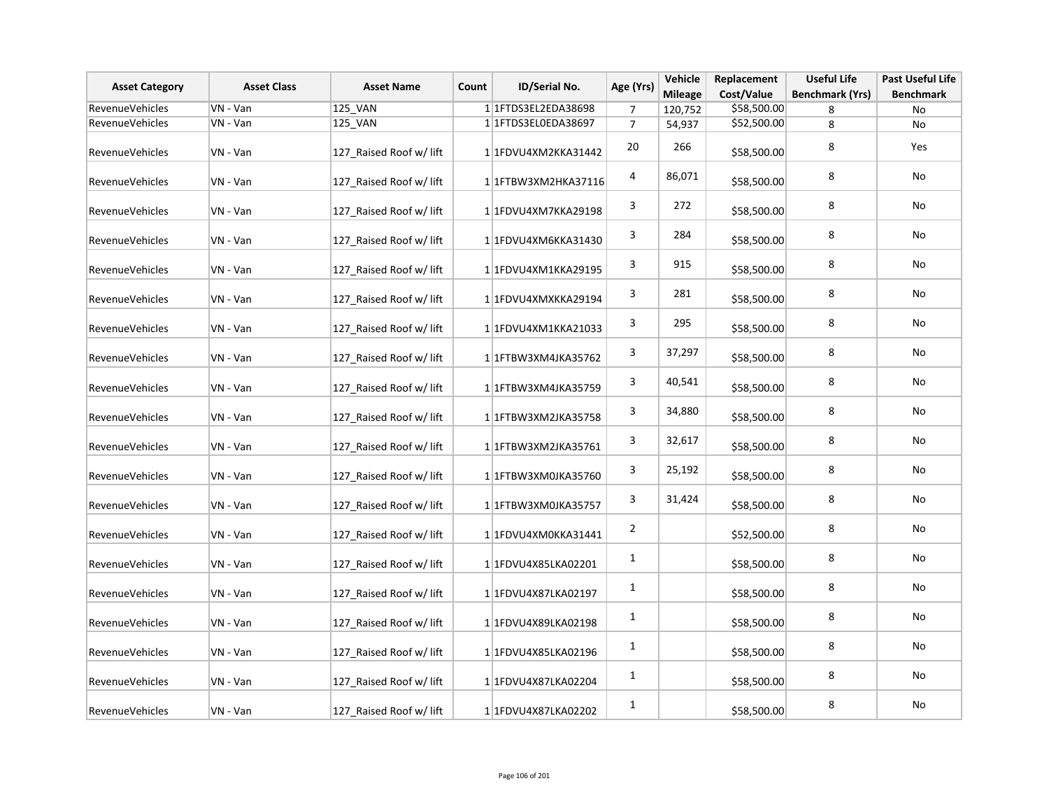| <b>Asset Category</b>  | <b>Asset Class</b> | <b>Asset Name</b>       | Count | <b>ID/Serial No.</b>                | Age (Yrs)      | Vehicle<br><b>Mileage</b> | Replacement<br>Cost/Value | <b>Useful Life</b><br><b>Benchmark (Yrs)</b> | <b>Past Useful Life</b><br><b>Benchmark</b> |
|------------------------|--------------------|-------------------------|-------|-------------------------------------|----------------|---------------------------|---------------------------|----------------------------------------------|---------------------------------------------|
| <b>RevenueVehicles</b> | VN - Van           | 125_VAN                 |       | 1 1 FTDS3EL2EDA38698                | 7              | 120,752                   | \$58,500.00               | 8                                            | No                                          |
| RevenueVehicles        | VN - Van           | 125_VAN                 |       | 1 1FTDS3EL0EDA38697                 | $\overline{7}$ | 54,937                    | \$52,500.00               | 8                                            | No                                          |
| RevenueVehicles        | VN - Van           | 127 Raised Roof w/ lift |       | 1 1FDVU4XM2KKA31442                 | 20             | 266                       | \$58,500.00               | 8                                            | Yes                                         |
| <b>RevenueVehicles</b> | VN - Van           | 127 Raised Roof w/ lift |       | 1 1 1 FTB W 3 X M 2 H K A 3 7 1 1 6 | 4              | 86,071                    | \$58,500.00               | 8                                            | No                                          |
| RevenueVehicles        | VN - Van           | 127 Raised Roof w/ lift |       | 1 1FDVU4XM7KKA29198                 | 3              | 272                       | \$58,500.00               | 8                                            | No                                          |
| <b>RevenueVehicles</b> | VN - Van           | 127 Raised Roof w/ lift |       | 1 1FDVU4XM6KKA31430                 | 3              | 284                       | \$58,500.00               | 8                                            | No                                          |
| <b>RevenueVehicles</b> | VN - Van           | 127 Raised Roof w/ lift |       | 1 1FDVU4XM1KKA29195                 | 3              | 915                       | \$58,500.00               | 8                                            | No                                          |
| <b>RevenueVehicles</b> | VN - Van           | 127_Raised Roof w/ lift |       | 1 1FDVU4XMXKKA29194                 | 3              | 281                       | \$58,500.00               | 8                                            | No                                          |
| <b>RevenueVehicles</b> | VN - Van           | 127_Raised Roof w/ lift |       | 1 1 FDVU4XM1KKA21033                | 3              | 295                       | \$58,500.00               | 8                                            | No                                          |
| <b>RevenueVehicles</b> | VN - Van           | 127_Raised Roof w/ lift |       | 1 1 TBW3XM4JKA35762                 | 3              | 37,297                    | \$58,500.00               | 8                                            | No                                          |
| RevenueVehicles        | VN - Van           | 127 Raised Roof w/ lift |       | 1 1 FTBW3XM4JKA35759                | 3              | 40,541                    | \$58,500.00               | 8                                            | No                                          |
| RevenueVehicles        | VN - Van           | 127_Raised Roof w/ lift |       | 1 1FTBW3XM2JKA35758                 | 3              | 34,880                    | \$58,500.00               | 8                                            | No                                          |
| RevenueVehicles        | VN - Van           | 127_Raised Roof w/ lift |       | 1 1 TBW3XM2JKA35761                 | 3              | 32,617                    | \$58,500.00               | 8                                            | No                                          |
| RevenueVehicles        | VN - Van           | 127_Raised Roof w/ lift |       | 1 1FTBW3XM0JKA35760                 | 3              | 25,192                    | \$58,500.00               | 8                                            | No                                          |
| RevenueVehicles        | VN - Van           | 127_Raised Roof w/ lift |       | 1 1FTBW3XM0JKA35757                 | 3              | 31,424                    | \$58,500.00               | 8                                            | No                                          |
| RevenueVehicles        | VN - Van           | 127_Raised Roof w/ lift |       | 1 1FDVU4XM0KKA31441                 | $\overline{2}$ |                           | \$52,500.00               | 8                                            | No                                          |
| <b>RevenueVehicles</b> | VN - Van           | 127_Raised Roof w/ lift |       | 1 1FDVU4X85LKA02201                 | $\mathbf{1}$   |                           | \$58,500.00               | 8                                            | No                                          |
| RevenueVehicles        | VN - Van           | 127_Raised Roof w/ lift |       | 1 1FDVU4X87LKA02197                 | $\mathbf{1}$   |                           | \$58,500.00               | 8                                            | No                                          |
| <b>RevenueVehicles</b> | VN - Van           | 127_Raised Roof w/ lift |       | 1 1FDVU4X89LKA02198                 | $\mathbf{1}$   |                           | \$58,500.00               | 8                                            | No                                          |
| RevenueVehicles        | VN - Van           | 127_Raised Roof w/ lift |       | 1 1FDVU4X85LKA02196                 | $\mathbf{1}$   |                           | \$58,500.00               | 8                                            | No                                          |
| <b>RevenueVehicles</b> | VN - Van           | 127_Raised Roof w/ lift |       | 1 1FDVU4X87LKA02204                 | $\mathbf{1}$   |                           | \$58,500.00               | 8                                            | No                                          |
| RevenueVehicles        | VN - Van           | 127_Raised Roof w/ lift |       | 1 1FDVU4X87LKA02202                 | $\mathbf{1}$   |                           | \$58,500.00               | 8                                            | No                                          |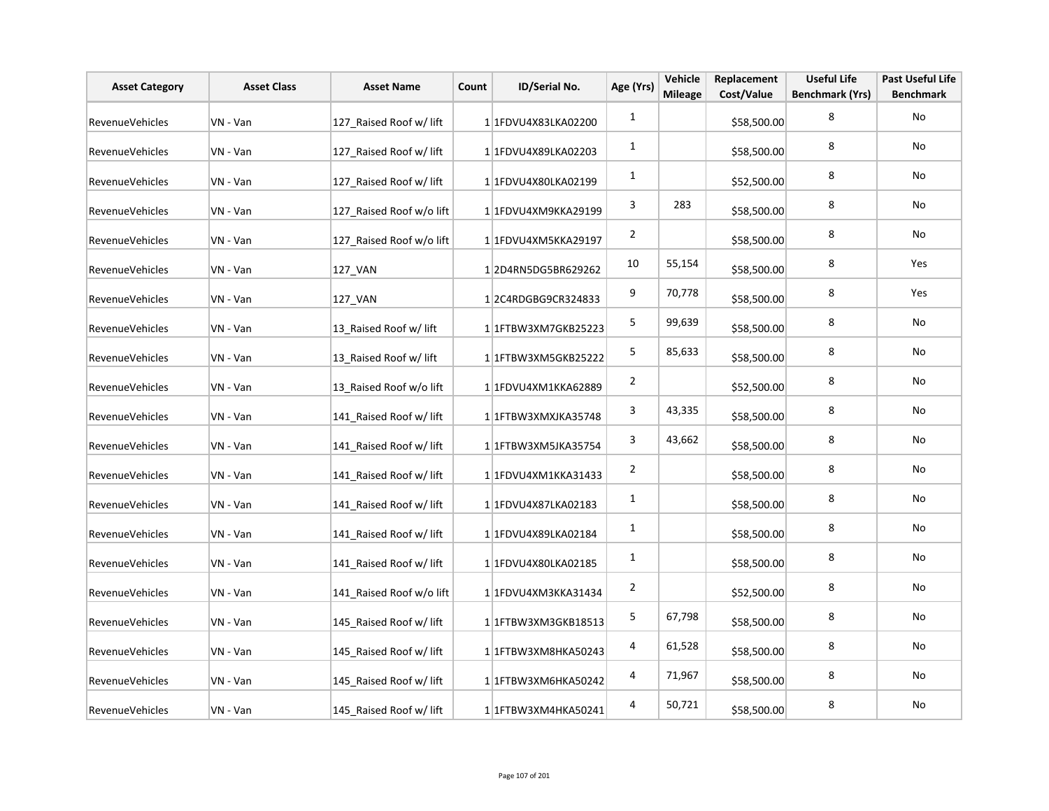| <b>Asset Category</b>  | <b>Asset Class</b> | <b>Asset Name</b>        | Count | ID/Serial No.        | Age (Yrs)      | Vehicle<br><b>Mileage</b> | Replacement<br>Cost/Value | <b>Useful Life</b><br><b>Benchmark (Yrs)</b> | <b>Past Useful Life</b><br><b>Benchmark</b> |
|------------------------|--------------------|--------------------------|-------|----------------------|----------------|---------------------------|---------------------------|----------------------------------------------|---------------------------------------------|
| <b>RevenueVehicles</b> | VN - Van           | 127 Raised Roof w/ lift  |       | 1 1FDVU4X83LKA02200  | $\mathbf{1}$   |                           | \$58,500.00               | 8                                            | No                                          |
| RevenueVehicles        | VN - Van           | 127 Raised Roof w/ lift  |       | 1 1FDVU4X89LKA02203  | 1              |                           | \$58,500.00               | 8                                            | No                                          |
| <b>RevenueVehicles</b> | VN - Van           | 127 Raised Roof w/ lift  |       | 1 1FDVU4X80LKA02199  | $\mathbf{1}$   |                           | \$52,500.00               | 8                                            | No                                          |
| RevenueVehicles        | VN - Van           | 127_Raised Roof w/o lift |       | 1 1FDVU4XM9KKA29199  | 3              | 283                       | \$58,500.00               | 8                                            | No                                          |
| RevenueVehicles        | VN - Van           | 127_Raised Roof w/o lift |       | 1 1FDVU4XM5KKA29197  | $\overline{2}$ |                           | \$58,500.00               | 8                                            | No                                          |
| RevenueVehicles        | VN - Van           | 127_VAN                  |       | 12D4RN5DG5BR629262   | 10             | 55,154                    | \$58,500.00               | 8                                            | Yes                                         |
| RevenueVehicles        | VN - Van           | 127_VAN                  |       | 12C4RDGBG9CR324833   | 9              | 70,778                    | \$58,500.00               | 8                                            | Yes                                         |
| RevenueVehicles        | VN - Van           | 13_Raised Roof w/ lift   |       | 1 1 FTBW3XM7GKB25223 | 5              | 99,639                    | \$58,500.00               | 8                                            | No                                          |
| RevenueVehicles        | VN - Van           | 13 Raised Roof w/ lift   |       | 1 1 FTBW3XM5GKB25222 | 5              | 85,633                    | \$58,500.00               | 8                                            | No                                          |
| RevenueVehicles        | VN - Van           | 13 Raised Roof w/o lift  |       | 1 1FDVU4XM1KKA62889  | $\overline{2}$ |                           | \$52,500.00               | 8                                            | No                                          |
| RevenueVehicles        | VN - Van           | 141 Raised Roof w/ lift  |       | 1 1 FTBW3XMXJKA35748 | 3              | 43,335                    | \$58,500.00               | 8                                            | No                                          |
| RevenueVehicles        | VN - Van           | 141 Raised Roof w/ lift  |       | 1 1FTBW3XM5JKA35754  | 3              | 43,662                    | \$58,500.00               | 8                                            | No                                          |
| RevenueVehicles        | VN - Van           | 141 Raised Roof w/ lift  |       | 1 1FDVU4XM1KKA31433  | $\overline{2}$ |                           | \$58,500.00               | 8                                            | No                                          |
| RevenueVehicles        | VN - Van           | 141 Raised Roof w/ lift  |       | 1 1FDVU4X87LKA02183  | $\mathbf{1}$   |                           | \$58,500.00               | 8                                            | No                                          |
| RevenueVehicles        | VN - Van           | 141 Raised Roof w/ lift  |       | 1 1FDVU4X89LKA02184  | 1              |                           | \$58,500.00               | 8                                            | No                                          |
| RevenueVehicles        | VN - Van           | 141 Raised Roof w/ lift  |       | 1 1FDVU4X80LKA02185  | $\mathbf{1}$   |                           | \$58,500.00               | 8                                            | No                                          |
| <b>RevenueVehicles</b> | VN - Van           | 141 Raised Roof w/o lift |       | 1 1FDVU4XM3KKA31434  | $\overline{2}$ |                           | \$52,500.00               | 8                                            | No                                          |
| <b>RevenueVehicles</b> | VN - Van           | 145 Raised Roof w/ lift  |       | 1 1 FTBW3XM3GKB18513 | $\mathsf S$    | 67,798                    | \$58,500.00               | 8                                            | No                                          |
| RevenueVehicles        | VN - Van           | 145_Raised Roof w/ lift  |       | 1 1FTBW3XM8HKA50243  | 4              | 61,528                    | \$58,500.00               | 8                                            | No                                          |
| RevenueVehicles        | VN - Van           | 145 Raised Roof w/ lift  |       | 1 1FTBW3XM6HKA50242  | 4              | 71,967                    | \$58,500.00               | 8                                            | No                                          |
| RevenueVehicles        | VN - Van           | 145 Raised Roof w/ lift  |       | 1 1FTBW3XM4HKA50241  | 4              | 50,721                    | \$58,500.00               | 8                                            | No                                          |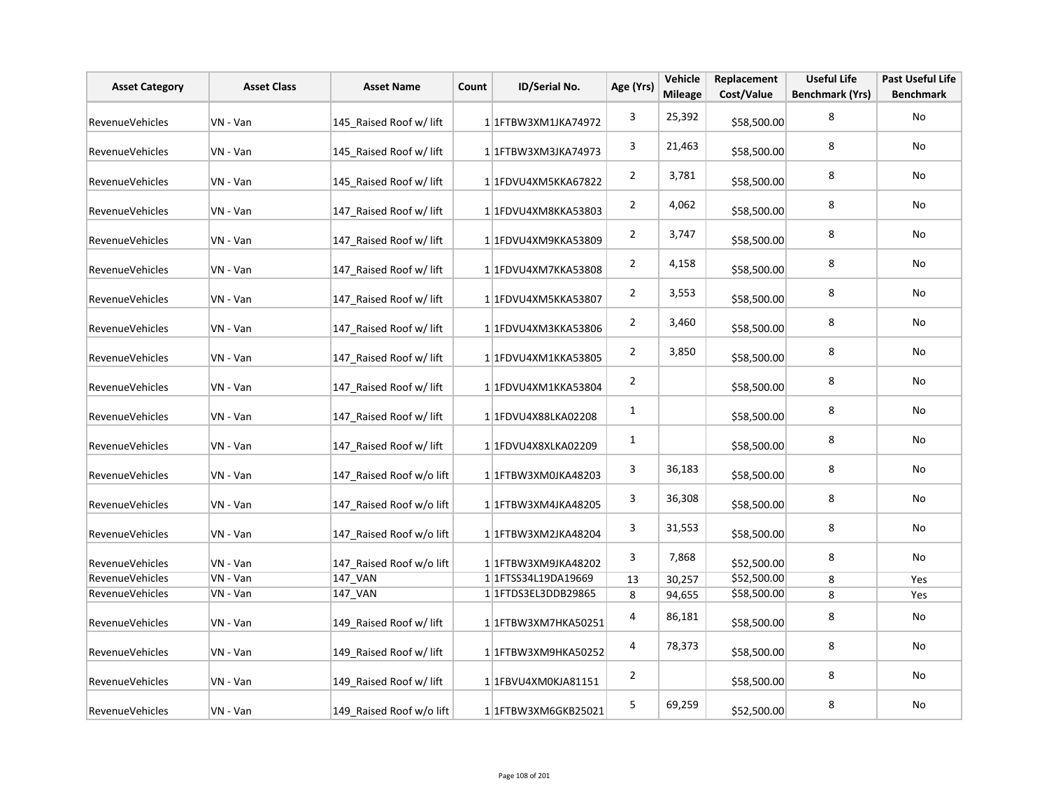| <b>Asset Category</b>  | <b>Asset Class</b> | <b>Asset Name</b>        | Count | <b>ID/Serial No.</b>        | Age (Yrs)      | Vehicle<br><b>Mileage</b> | Replacement<br>Cost/Value | <b>Useful Life</b><br><b>Benchmark (Yrs)</b> | <b>Past Useful Life</b><br><b>Benchmark</b> |
|------------------------|--------------------|--------------------------|-------|-----------------------------|----------------|---------------------------|---------------------------|----------------------------------------------|---------------------------------------------|
| <b>RevenueVehicles</b> | VN - Van           | 145 Raised Roof w/ lift  |       | 1 1 FTBW3XM1JKA74972        | 3              | 25,392                    | \$58,500.00               | 8                                            | No                                          |
| <b>RevenueVehicles</b> | VN - Van           | 145 Raised Roof w/ lift  |       | 1 1 FTBW3XM3JKA74973        | 3              | 21,463                    | \$58,500.00               | 8                                            | No                                          |
| RevenueVehicles        | VN - Van           | 145 Raised Roof w/ lift  |       | 1 1FDVU4XM5KKA67822         | $\overline{2}$ | 3,781                     | \$58,500.00               | 8                                            | No                                          |
| RevenueVehicles        | VN - Van           | 147 Raised Roof w/ lift  |       | 1 1FDVU4XM8KKA53803         | $\overline{2}$ | 4,062                     | \$58,500.00               | 8                                            | No                                          |
| RevenueVehicles        | VN - Van           | 147 Raised Roof w/ lift  |       | 1 1FDVU4XM9KKA53809         | $\overline{2}$ | 3,747                     | \$58,500.00               | 8                                            | No                                          |
| <b>RevenueVehicles</b> | VN - Van           | 147 Raised Roof w/ lift  |       | 1 1FDVU4XM7KKA53808         | $\overline{2}$ | 4,158                     | \$58,500.00               | 8                                            | No                                          |
| RevenueVehicles        | VN - Van           | 147 Raised Roof w/ lift  |       | 1 1FDVU4XM5KKA53807         | $\overline{2}$ | 3,553                     | \$58,500.00               | 8                                            | No                                          |
| RevenueVehicles        | VN - Van           | 147 Raised Roof w/ lift  |       | 1 1FDVU4XM3KKA53806         | $\overline{2}$ | 3,460                     | \$58,500.00               | 8                                            | No                                          |
| RevenueVehicles        | VN - Van           | 147 Raised Roof w/ lift  |       | 1 1FDVU4XM1KKA53805         | $\overline{2}$ | 3,850                     | \$58,500.00               | 8                                            | No                                          |
| RevenueVehicles        | VN - Van           | 147 Raised Roof w/ lift  |       | 1 1FDVU4XM1KKA53804         | $\overline{2}$ |                           | \$58,500.00               | 8                                            | No                                          |
| <b>RevenueVehicles</b> | VN - Van           | 147_Raised Roof w/ lift  |       | 11FDVU4X88LKA02208          | $\mathbf{1}$   |                           | \$58,500.00               | 8                                            | No                                          |
| RevenueVehicles        | VN - Van           | 147 Raised Roof w/ lift  |       | 1 1FDVU4X8XLKA02209         | $\mathbf{1}$   |                           | \$58,500.00               | 8                                            | No                                          |
| <b>RevenueVehicles</b> | VN - Van           | 147 Raised Roof w/o lift |       | 1 1FTBW3XM0JKA48203         | 3              | 36,183                    | \$58,500.00               | 8                                            | No                                          |
| RevenueVehicles        | VN - Van           | 147 Raised Roof w/o lift |       | 1 1 FTBW3XM4JKA48205        | 3              | 36,308                    | \$58,500.00               | 8                                            | No                                          |
| RevenueVehicles        | VN - Van           | 147_Raised Roof w/o lift |       | 1 1 FTBW3XM2JKA48204        | 3              | 31,553                    | \$58,500.00               | 8                                            | No                                          |
| Revenue Vehicles       | VN - Van           | 147_Raised Roof w/o lift |       | 1 1FTBW3XM9JKA48202         | 3              | 7,868                     | \$52,500.00               | 8                                            | No                                          |
| RevenueVehicles        | VN - Van           | 147_VAN                  |       | 1 1 1 FTSS 34 L19 DA 1966 9 | 13             | 30,257                    | \$52,500.00               | 8                                            | Yes                                         |
| RevenueVehicles        | VN - Van           | 147 VAN                  |       | 1 1 FTDS3EL3DDB29865        | 8              | 94,655                    | \$58,500.00               | 8                                            | Yes                                         |
| <b>RevenueVehicles</b> | VN - Van           | 149_Raised Roof w/ lift  |       | 1 1FTBW3XM7HKA50251         | 4              | 86,181                    | \$58,500.00               | 8                                            | No                                          |
| RevenueVehicles        | VN - Van           | 149 Raised Roof w/ lift  |       | 1 1FTBW3XM9HKA50252         | 4              | 78,373                    | \$58,500.00               | 8                                            | No                                          |
| <b>RevenueVehicles</b> | VN - Van           | 149 Raised Roof w/ lift  |       | 1 1FBVU4XM0KJA81151         | $\overline{2}$ |                           | \$58,500.00               | 8                                            | No                                          |
| RevenueVehicles        | VN - Van           | 149 Raised Roof w/o lift |       | 1 1 FTBW3XM6GKB25021        | 5              | 69,259                    | \$52,500.00               | 8                                            | No                                          |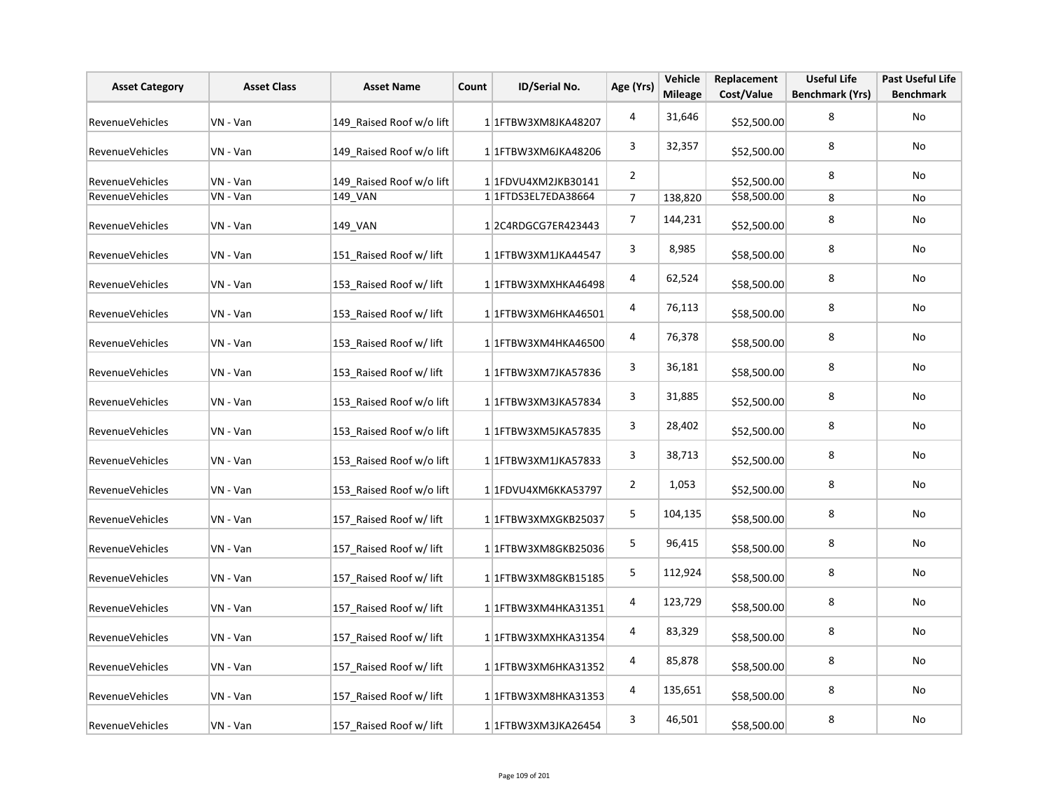| <b>Asset Category</b>  | <b>Asset Class</b> | <b>Asset Name</b>        | Count | ID/Serial No.                       | Age (Yrs)               | Vehicle<br><b>Mileage</b> | Replacement<br>Cost/Value | <b>Useful Life</b><br><b>Benchmark (Yrs)</b> | <b>Past Useful Life</b><br><b>Benchmark</b> |
|------------------------|--------------------|--------------------------|-------|-------------------------------------|-------------------------|---------------------------|---------------------------|----------------------------------------------|---------------------------------------------|
| <b>RevenueVehicles</b> | VN - Van           | 149 Raised Roof w/o lift |       | 1 1 FTBW3XM8JKA48207                | $\overline{\mathbf{4}}$ | 31,646                    | \$52,500.00               | 8                                            | <b>No</b>                                   |
| RevenueVehicles        | VN - Van           | 149 Raised Roof w/o lift |       | 1 1FTBW3XM6JKA48206                 | 3                       | 32,357                    | \$52,500.00               | 8                                            | No                                          |
| RevenueVehicles        | VN - Van           | 149 Raised Roof w/o lift |       | 1 1FDVU4XM2JKB30141                 | $\overline{2}$          |                           | \$52,500.00               | 8                                            | No                                          |
| RevenueVehicles        | VN - Van           | 149_VAN                  |       | 1 1 1 FTD S3 EL7ED A 38664          | $\overline{7}$          | 138,820                   | \$58,500.00               | 8                                            | No                                          |
| RevenueVehicles        | VN - Van           | 149_VAN                  |       | 12C4RDGCG7ER423443                  | $\overline{7}$          | 144,231                   | \$52,500.00               | 8                                            | No                                          |
| RevenueVehicles        | VN - Van           | 151_Raised Roof w/ lift  |       | 1 1 FTBW3XM1JKA44547                | 3                       | 8,985                     | \$58,500.00               | 8                                            | <b>No</b>                                   |
| RevenueVehicles        | VN - Van           | 153_Raised Roof w/ lift  |       | 1 1 FTBW3XMXHKA46498                | 4                       | 62,524                    | \$58,500.00               | 8                                            | No                                          |
| RevenueVehicles        | VN - Van           | 153 Raised Roof w/ lift  |       | 1 1FTBW3XM6HKA46501                 | 4                       | 76,113                    | \$58,500.00               | 8                                            | No                                          |
| RevenueVehicles        | VN - Van           | 153 Raised Roof w/ lift  |       | 1 1FTBW3XM4HKA46500                 | 4                       | 76,378                    | \$58,500.00               | 8                                            | No                                          |
| RevenueVehicles        | VN - Van           | 153_Raised Roof w/ lift  |       | 1 1 FTBW3XM7JKA57836                | 3                       | 36,181                    | \$58,500.00               | 8                                            | No                                          |
| RevenueVehicles        | VN - Van           | 153 Raised Roof w/o lift |       | 1 1FTBW3XM3JKA57834                 | 3                       | 31,885                    | \$52,500.00               | 8                                            | No                                          |
| RevenueVehicles        | VN - Van           | 153 Raised Roof w/o lift |       | 1 1FTBW3XM5JKA57835                 | 3                       | 28,402                    | \$52,500.00               | 8                                            | No                                          |
| RevenueVehicles        | VN - Van           | 153 Raised Roof w/o lift |       | 1 1FTBW3XM1JKA57833                 | 3                       | 38,713                    | \$52,500.00               | 8                                            | No                                          |
| RevenueVehicles        | VN - Van           | 153 Raised Roof w/o lift |       | 1 1FDVU4XM6KKA53797                 | $\overline{2}$          | 1,053                     | \$52,500.00               | 8                                            | No                                          |
| RevenueVehicles        | VN - Van           | 157 Raised Roof w/ lift  |       | 1 1FTBW3XMXGKB25037                 | 5                       | 104,135                   | \$58,500.00               | 8                                            | No                                          |
| RevenueVehicles        | VN - Van           | 157 Raised Roof w/ lift  |       | 1 1 FTBW3XM8GKB25036                | 5                       | 96,415                    | \$58,500.00               | 8                                            | No                                          |
| RevenueVehicles        | VN - Van           | 157 Raised Roof w/ lift  |       | 1 1 FTBW3XM8GKB15185                | $\mathsf S$             | 112,924                   | \$58,500.00               | 8                                            | No                                          |
| <b>RevenueVehicles</b> | VN - Van           | 157 Raised Roof w/ lift  |       | 1 1 1 FTB W 3 X M 4 H K A 3 1 3 5 1 | 4                       | 123,729                   | \$58,500.00               | 8                                            | No                                          |
| RevenueVehicles        | VN - Van           | 157 Raised Roof w/ lift  |       | 1 1FTBW3XMXHKA31354                 | 4                       | 83,329                    | \$58,500.00               | 8                                            | No                                          |
| RevenueVehicles        | VN - Van           | 157 Raised Roof w/ lift  |       | 1 1 FTBW3XM6HKA31352                | 4                       | 85,878                    | \$58,500.00               | 8                                            | No                                          |
| RevenueVehicles        | VN - Van           | 157 Raised Roof w/ lift  |       | 1 1 FTBW3XM8HKA31353                | 4                       | 135,651                   | \$58,500.00               | 8                                            | <b>No</b>                                   |
| RevenueVehicles        | VN - Van           | 157 Raised Roof w/ lift  |       | 1 1FTBW3XM3JKA26454                 | 3                       | 46,501                    | \$58,500.00               | 8                                            | No                                          |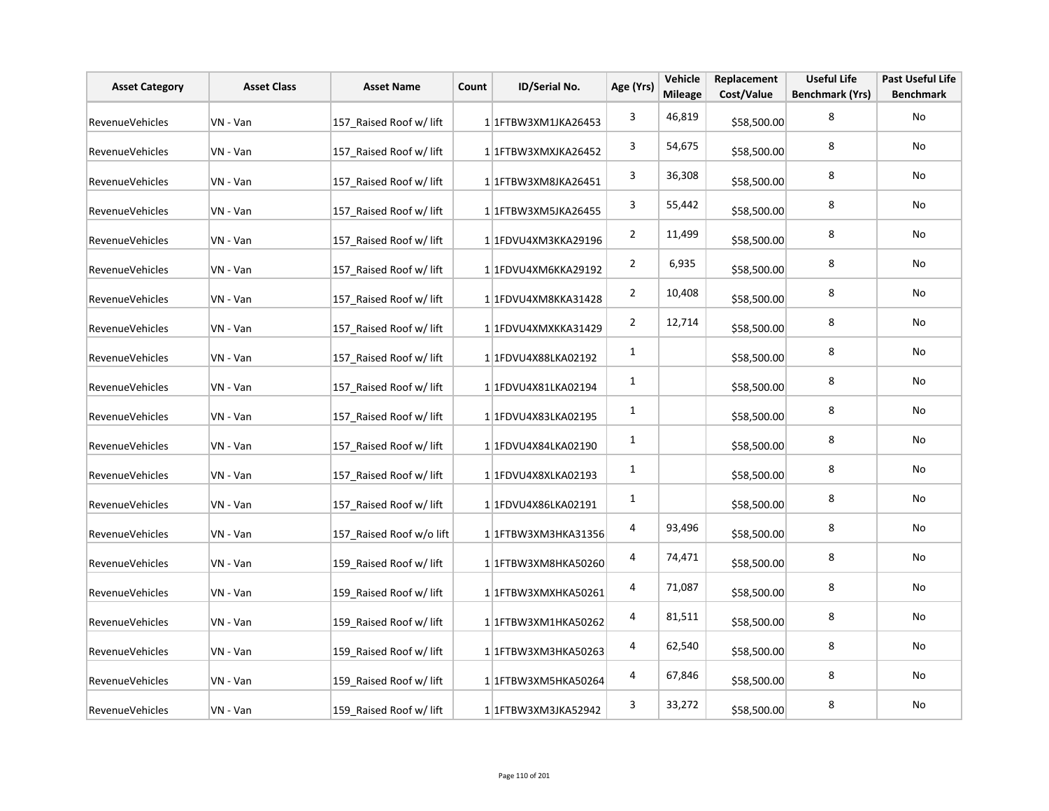| <b>Asset Category</b>  | <b>Asset Class</b> | <b>Asset Name</b>        | Count | ID/Serial No.        | Age (Yrs)      | Vehicle<br><b>Mileage</b> | Replacement<br>Cost/Value | <b>Useful Life</b><br><b>Benchmark (Yrs)</b> | <b>Past Useful Life</b><br><b>Benchmark</b> |
|------------------------|--------------------|--------------------------|-------|----------------------|----------------|---------------------------|---------------------------|----------------------------------------------|---------------------------------------------|
| <b>RevenueVehicles</b> | VN - Van           | 157 Raised Roof w/ lift  |       | 1 1FTBW3XM1JKA26453  | 3              | 46,819                    | \$58,500.00               | 8                                            | No                                          |
| <b>RevenueVehicles</b> | VN - Van           | 157 Raised Roof w/ lift  |       | 1 1FTBW3XMXJKA26452  | 3              | 54,675                    | \$58,500.00               | 8                                            | No                                          |
| <b>RevenueVehicles</b> | VN - Van           | 157 Raised Roof w/ lift  |       | 1 1FTBW3XM8JKA26451  | 3              | 36,308                    | \$58,500.00               | 8                                            | No                                          |
| RevenueVehicles        | VN - Van           | 157_Raised Roof w/ lift  |       | 1 1FTBW3XM5JKA26455  | 3              | 55,442                    | \$58,500.00               | 8                                            | No                                          |
| RevenueVehicles        | VN - Van           | 157_Raised Roof w/ lift  |       | 1 1FDVU4XM3KKA29196  | $\overline{2}$ | 11,499                    | \$58,500.00               | 8                                            | No                                          |
| RevenueVehicles        | VN - Van           | 157 Raised Roof w/ lift  |       | 1 1FDVU4XM6KKA29192  | $\overline{2}$ | 6,935                     | \$58,500.00               | 8                                            | No                                          |
| RevenueVehicles        | VN - Van           | 157_Raised Roof w/ lift  |       | 1 1FDVU4XM8KKA31428  | $\overline{2}$ | 10,408                    | \$58,500.00               | 8                                            | No                                          |
| RevenueVehicles        | VN - Van           | 157_Raised Roof w/ lift  |       | 1 1FDVU4XMXKKA31429  | $\overline{2}$ | 12,714                    | \$58,500.00               | 8                                            | No                                          |
| RevenueVehicles        | VN - Van           | 157 Raised Roof w/ lift  |       | 1 1FDVU4X88LKA02192  | $\mathbf{1}$   |                           | \$58,500.00               | 8                                            | No                                          |
| RevenueVehicles        | VN - Van           | 157 Raised Roof w/ lift  |       | 1 1FDVU4X81LKA02194  | $\mathbf{1}$   |                           | \$58,500.00               | 8                                            | No                                          |
| RevenueVehicles        | VN - Van           | 157 Raised Roof w/ lift  |       | 1 1FDVU4X83LKA02195  | $\mathbf{1}$   |                           | \$58,500.00               | 8                                            | No                                          |
| RevenueVehicles        | VN - Van           | 157 Raised Roof w/ lift  |       | 1 1FDVU4X84LKA02190  | 1              |                           | \$58,500.00               | 8                                            | No                                          |
| RevenueVehicles        | VN - Van           | 157 Raised Roof w/ lift  |       | 1 1 FDVU4X8XLKA02193 | $\mathbf{1}$   |                           | \$58,500.00               | 8                                            | No                                          |
| RevenueVehicles        | VN - Van           | 157_Raised Roof w/ lift  |       | 1 1FDVU4X86LKA02191  | $\mathbf{1}$   |                           | \$58,500.00               | 8                                            | No                                          |
| RevenueVehicles        | VN - Van           | 157 Raised Roof w/o lift |       | 1 1 FTBW3XM3HKA31356 | 4              | 93,496                    | \$58,500.00               | 8                                            | No                                          |
| RevenueVehicles        | VN - Van           | 159 Raised Roof w/ lift  |       | 1 1FTBW3XM8HKA50260  | 4              | 74,471                    | \$58,500.00               | 8                                            | No                                          |
| RevenueVehicles        | VN - Van           | 159 Raised Roof w/ lift  |       | 1 1FTBW3XMXHKA50261  | 4              | 71,087                    | \$58,500.00               | 8                                            | No                                          |
| <b>RevenueVehicles</b> | VN - Van           | 159 Raised Roof w/ lift  |       | 1 1FTBW3XM1HKA50262  | 4              | 81,511                    | \$58,500.00               | 8                                            | No                                          |
| RevenueVehicles        | VN - Van           | 159_Raised Roof w/ lift  |       | 1 1 FTBW3XM3HKA50263 | 4              | 62,540                    | \$58,500.00               | 8                                            | No                                          |
| RevenueVehicles        | VN - Van           | 159 Raised Roof w/ lift  |       | 1 1FTBW3XM5HKA50264  | 4              | 67,846                    | \$58,500.00               | 8                                            | No                                          |
| RevenueVehicles        | VN - Van           | 159_Raised Roof w/ lift  |       | 1 1FTBW3XM3JKA52942  | 3              | 33,272                    | \$58,500.00               | 8                                            | No                                          |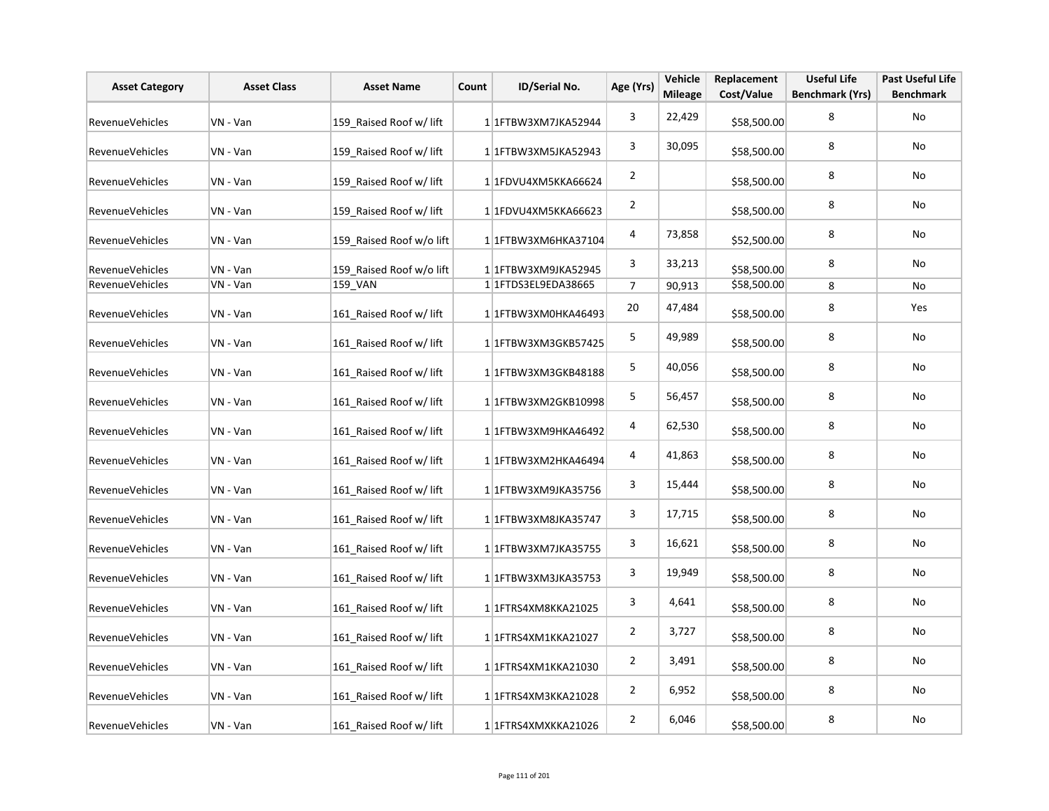| <b>Asset Category</b>  | <b>Asset Class</b> | <b>Asset Name</b>        | Count | ID/Serial No.        | Age (Yrs)      | Vehicle<br><b>Mileage</b> | Replacement<br>Cost/Value | <b>Useful Life</b><br><b>Benchmark (Yrs)</b> | <b>Past Useful Life</b><br><b>Benchmark</b> |
|------------------------|--------------------|--------------------------|-------|----------------------|----------------|---------------------------|---------------------------|----------------------------------------------|---------------------------------------------|
| RevenueVehicles        | VN - Van           | 159 Raised Roof w/ lift  |       | 1 1FTBW3XM7JKA52944  | 3              | 22,429                    | \$58,500.00               | 8                                            | <b>No</b>                                   |
| <b>RevenueVehicles</b> | VN - Van           | 159 Raised Roof w/ lift  |       | 1 1FTBW3XM5JKA52943  | 3              | 30,095                    | \$58,500.00               | 8                                            | No                                          |
| RevenueVehicles        | VN - Van           | 159 Raised Roof w/ lift  |       | 1 1FDVU4XM5KKA66624  | $\overline{2}$ |                           | \$58,500.00               | 8                                            | No                                          |
| RevenueVehicles        | VN - Van           | 159 Raised Roof w/ lift  |       | 1 1FDVU4XM5KKA66623  | $\overline{2}$ |                           | \$58,500.00               | 8                                            | No                                          |
| <b>RevenueVehicles</b> | VN - Van           | 159 Raised Roof w/o lift |       | 1 1 FTBW3XM6HKA37104 | 4              | 73,858                    | \$52,500.00               | 8                                            | No                                          |
| RevenueVehicles        | VN - Van           | 159 Raised Roof w/o lift |       | 1 1FTBW3XM9JKA52945  | 3              | 33,213                    | \$58,500.00               | 8                                            | No                                          |
| RevenueVehicles        | VN - Van           | 159 VAN                  |       | 1 1 FTDS3EL9EDA38665 | $\overline{7}$ | 90,913                    | \$58,500.00               | 8                                            | No                                          |
| RevenueVehicles        | VN - Van           | 161 Raised Roof w/ lift  |       | 1 1FTBW3XM0HKA46493  | 20             | 47,484                    | \$58,500.00               | 8                                            | Yes                                         |
| RevenueVehicles        | VN - Van           | 161 Raised Roof w/ lift  |       | 1 1 FTBW3XM3GKB57425 | 5              | 49,989                    | \$58,500.00               | 8                                            | No                                          |
| RevenueVehicles        | VN - Van           | 161 Raised Roof w/ lift  |       | 1 1 FTBW3XM3GKB48188 | 5              | 40,056                    | \$58,500.00               | 8                                            | No                                          |
| RevenueVehicles        | VN - Van           | 161 Raised Roof w/ lift  |       | 1 1FTBW3XM2GKB10998  | 5              | 56,457                    | \$58,500.00               | 8                                            | No                                          |
| <b>RevenueVehicles</b> | VN - Van           | 161 Raised Roof w/ lift  |       | 1 1FTBW3XM9HKA46492  | 4              | 62,530                    | \$58,500.00               | 8                                            | No                                          |
| RevenueVehicles        | VN - Van           | 161 Raised Roof w/ lift  |       | 1 1FTBW3XM2HKA46494  | 4              | 41,863                    | \$58,500.00               | 8                                            | No                                          |
| RevenueVehicles        | VN - Van           | 161 Raised Roof w/ lift  |       | 1 1FTBW3XM9JKA35756  | 3              | 15,444                    | \$58,500.00               | 8                                            | No                                          |
| <b>RevenueVehicles</b> | VN - Van           | 161 Raised Roof w/ lift  |       | 1 1FTBW3XM8JKA35747  | 3              | 17,715                    | \$58,500.00               | 8                                            | No                                          |
| RevenueVehicles        | VN - Van           | 161 Raised Roof w/ lift  |       | 1 1 FTBW3XM7JKA35755 | 3              | 16,621                    | \$58,500.00               | 8                                            | No                                          |
| RevenueVehicles        | VN - Van           | 161 Raised Roof w/ lift  |       | 1 1 FTBW3XM3JKA35753 | 3              | 19,949                    | \$58,500.00               | 8                                            | No                                          |
| <b>RevenueVehicles</b> | VN - Van           | 161 Raised Roof w/ lift  |       | 1 1 FTRS4XM8KKA21025 | 3              | 4,641                     | \$58,500.00               | 8                                            | <b>No</b>                                   |
| RevenueVehicles        | VN - Van           | 161 Raised Roof w/ lift  |       | 1 1 FTRS4XM1KKA21027 | $\overline{2}$ | 3,727                     | \$58,500.00               | 8                                            | No                                          |
| RevenueVehicles        | VN - Van           | 161 Raised Roof w/ lift  |       | 1 1 FTRS4XM1KKA21030 | $\overline{2}$ | 3,491                     | \$58,500.00               | 8                                            | No                                          |
| RevenueVehicles        | VN - Van           | 161 Raised Roof w/ lift  |       | 1 1 FTRS4XM3KKA21028 | $\overline{2}$ | 6,952                     | \$58,500.00               | 8                                            | <b>No</b>                                   |
| RevenueVehicles        | VN - Van           | 161 Raised Roof w/ lift  |       | 1 1 FTRS4XMXKKA21026 | $\overline{2}$ | 6,046                     | \$58,500.00               | 8                                            | No                                          |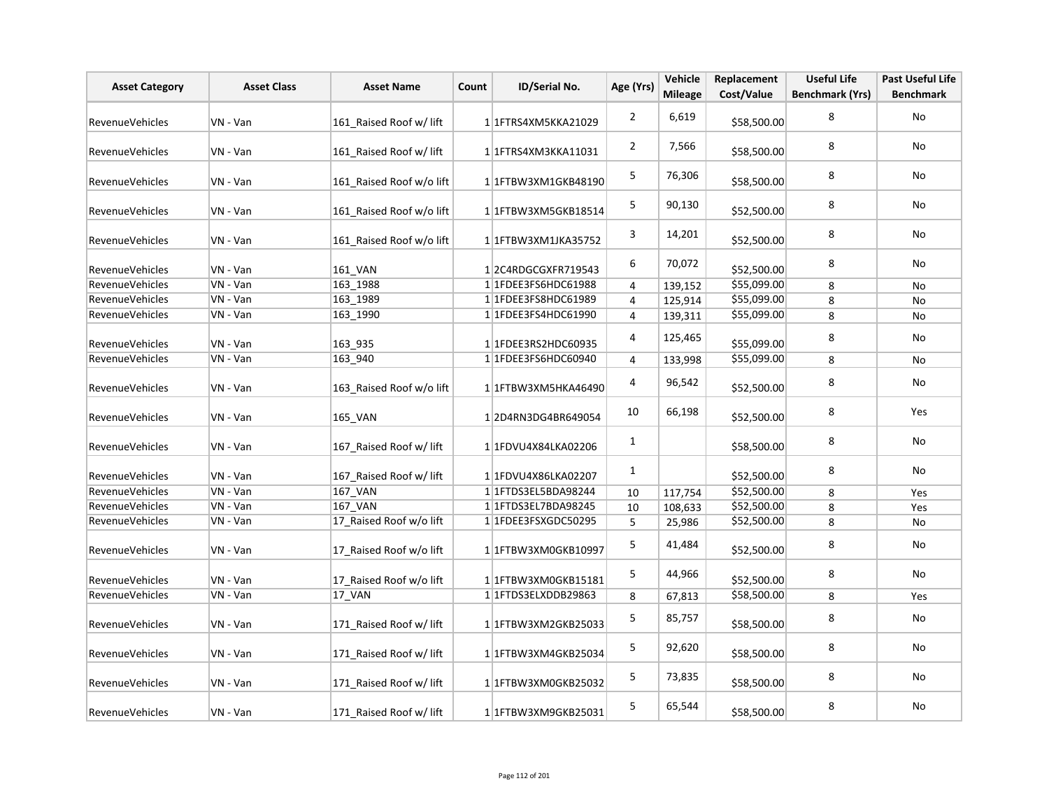| <b>Asset Category</b>  | <b>Asset Class</b> | <b>Asset Name</b>        | Count | <b>ID/Serial No.</b> | Age (Yrs)      | Vehicle<br><b>Mileage</b> | Replacement<br>Cost/Value | <b>Useful Life</b><br><b>Benchmark (Yrs)</b> | <b>Past Useful Life</b><br><b>Benchmark</b> |
|------------------------|--------------------|--------------------------|-------|----------------------|----------------|---------------------------|---------------------------|----------------------------------------------|---------------------------------------------|
| <b>RevenueVehicles</b> | VN - Van           | 161_Raised Roof w/ lift  |       | 1 1 FTRS4XM5KKA21029 | $\overline{2}$ | 6,619                     | \$58,500.00               | 8                                            | No                                          |
| <b>RevenueVehicles</b> | VN - Van           | 161 Raised Roof w/ lift  |       | 1 1 FTRS4XM3KKA11031 | $\overline{2}$ | 7,566                     | \$58,500.00               | 8                                            | No                                          |
| <b>RevenueVehicles</b> | VN - Van           | 161 Raised Roof w/o lift |       | 1 1 FTBW3XM1GKB48190 | 5              | 76,306                    | \$58,500.00               | 8                                            | No                                          |
| RevenueVehicles        | VN - Van           | 161 Raised Roof w/o lift |       | 1 1 FTBW3XM5GKB18514 | 5              | 90,130                    | \$52,500.00               | 8                                            | No                                          |
| <b>RevenueVehicles</b> | VN - Van           | 161 Raised Roof w/o lift |       | 1 1FTBW3XM1JKA35752  | 3              | 14,201                    | \$52,500.00               | 8                                            | No                                          |
| RevenueVehicles        | VN - Van           | 161 VAN                  |       | 12C4RDGCGXFR719543   | 6              | 70,072                    | \$52,500.00               | 8                                            | No                                          |
| <b>RevenueVehicles</b> | VN - Van           | 163_1988                 |       | 1 1FDEE3FS6HDC61988  | $\overline{4}$ | 139,152                   | \$55,099.00               | 8                                            | No                                          |
| <b>RevenueVehicles</b> | VN - Van           | 163 1989                 |       | 1 1FDEE3FS8HDC61989  | $\overline{4}$ | 125,914                   | \$55,099.00               | 8                                            | No                                          |
| RevenueVehicles        | VN - Van           | 163_1990                 |       | 1 1FDEE3FS4HDC61990  | $\overline{4}$ | 139,311                   | \$55,099.00               | 8                                            | No                                          |
| <b>RevenueVehicles</b> | VN - Van           | 163_935                  |       | 1 1FDEE3RS2HDC60935  | 4              | 125,465                   | \$55,099.00               | 8                                            | No                                          |
| <b>RevenueVehicles</b> | VN - Van           | 163 940                  |       | 1 1FDEE3FS6HDC60940  | 4              | 133,998                   | \$55,099.00               | 8                                            | No                                          |
| RevenueVehicles        | VN - Van           | 163 Raised Roof w/o lift |       | 1 1 FTBW3XM5HKA46490 | 4              | 96,542                    | \$52,500.00               | 8                                            | No                                          |
| RevenueVehicles        | VN - Van           | 165 VAN                  |       | 12D4RN3DG4BR649054   | 10             | 66,198                    | \$52,500.00               | 8                                            | Yes                                         |
| <b>RevenueVehicles</b> | VN - Van           | 167_Raised Roof w/ lift  |       | 11FDVU4X84LKA02206   | $\mathbf{1}$   |                           | \$58,500.00               | 8                                            | No                                          |
| RevenueVehicles        | VN - Van           | 167 Raised Roof w/ lift  |       | 1 1FDVU4X86LKA02207  | $\mathbf{1}$   |                           | \$52,500.00               | 8                                            | No                                          |
| <b>RevenueVehicles</b> | VN - Van           | 167 VAN                  |       | 1 1 FTDS3EL5BDA98244 | 10             | 117,754                   | \$52,500.00               | 8                                            | Yes                                         |
| <b>RevenueVehicles</b> | VN - Van           | 167_VAN                  |       | 1 1 FTDS3EL7BDA98245 | 10             | 108,633                   | \$52,500.00               | 8                                            | Yes                                         |
| <b>RevenueVehicles</b> | VN - Van           | 17_Raised Roof w/o lift  |       | 1 1FDEE3FSXGDC50295  | 5              | 25,986                    | \$52,500.00               | 8                                            | No                                          |
| RevenueVehicles        | VN - Van           | 17_Raised Roof w/o lift  |       | 1 1FTBW3XM0GKB10997  | 5              | 41,484                    | \$52,500.00               | 8                                            | No                                          |
| RevenueVehicles        | VN - Van           | 17_Raised Roof w/o lift  |       | 1 1FTBW3XM0GKB15181  | 5              | 44,966                    | \$52,500.00               | 8                                            | No                                          |
| <b>RevenueVehicles</b> | VN - Van           | <b>17 VAN</b>            |       | 1 1FTDS3ELXDDB29863  | 8              | 67,813                    | \$58,500.00               | 8                                            | Yes                                         |
| RevenueVehicles        | VN - Van           | 171 Raised Roof w/ lift  |       | 1 1 FTBW3XM2GKB25033 | 5              | 85,757                    | \$58,500.00               | 8                                            | No                                          |
| <b>RevenueVehicles</b> | VN - Van           | 171_Raised Roof w/ lift  |       | 1 1 FTBW3XM4GKB25034 | 5              | 92,620                    | \$58,500.00               | 8                                            | No                                          |
| <b>RevenueVehicles</b> | VN - Van           | 171 Raised Roof w/ lift  |       | 1 1 FTBW3XM0GKB25032 | 5              | 73,835                    | \$58,500.00               | 8                                            | No                                          |
| <b>RevenueVehicles</b> | VN - Van           | 171 Raised Roof w/ lift  |       | 11FTBW3XM9GKB25031   | 5              | 65,544                    | \$58,500.00               | 8                                            | No                                          |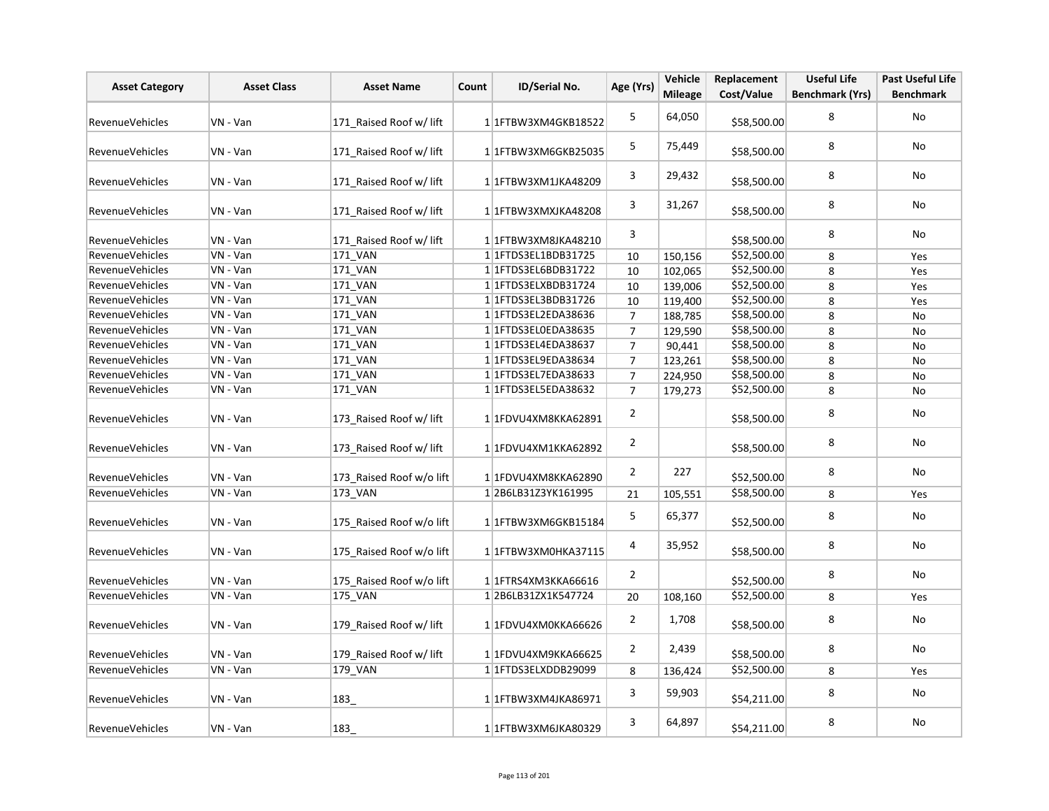| <b>Asset Category</b>  | <b>Asset Class</b> | <b>Asset Name</b>        | Count | ID/Serial No.              | Age (Yrs)      | Vehicle<br><b>Mileage</b> | Replacement<br>Cost/Value | <b>Useful Life</b><br><b>Benchmark (Yrs)</b> | <b>Past Useful Life</b><br><b>Benchmark</b> |
|------------------------|--------------------|--------------------------|-------|----------------------------|----------------|---------------------------|---------------------------|----------------------------------------------|---------------------------------------------|
| <b>RevenueVehicles</b> | VN - Van           | 171 Raised Roof w/ lift  |       | 11FTBW3XM4GKB18522         | 5              | 64,050                    | \$58,500.00               | 8                                            | No                                          |
| <b>RevenueVehicles</b> | VN - Van           | 171 Raised Roof w/ lift  |       | 1 1FTBW3XM6GKB25035        | 5              | 75,449                    | \$58,500.00               | 8                                            | No                                          |
| <b>RevenueVehicles</b> | VN - Van           | 171_Raised Roof w/ lift  |       | 1 1 FTBW3XM1JKA48209       | 3              | 29,432                    | \$58,500.00               | 8                                            | No                                          |
| RevenueVehicles        | VN - Van           | 171 Raised Roof w/ lift  |       | 1 1 FTBW3XMXJKA48208       | 3              | 31,267                    | \$58,500.00               | 8                                            | No                                          |
| RevenueVehicles        | VN - Van           | 171 Raised Roof w/ lift  |       | 1 1 FTBW3XM8JKA48210       | 3              |                           | \$58,500.00               | 8                                            | No                                          |
| <b>RevenueVehicles</b> | VN - Van           | 171_VAN                  |       | 1 1 FTDS3EL1BDB31725       | 10             | 150,156                   | \$52,500.00               | 8                                            | Yes                                         |
| RevenueVehicles        | VN - Van           | 171 VAN                  |       | 11FTDS3EL6BDB31722         | 10             | 102,065                   | \$52,500.00               | 8                                            | Yes                                         |
| RevenueVehicles        | VN - Van           | 171 VAN                  |       | 1 1 FTDS3ELXBDB31724       | 10             | 139,006                   | \$52,500.00               | 8                                            | Yes                                         |
| RevenueVehicles        | VN - Van           | 171_VAN                  |       | 1 1 FTDS3EL3BDB31726       | 10             | 119,400                   | \$52,500.00               | 8                                            | Yes                                         |
| <b>RevenueVehicles</b> | VN - Van           | 171 VAN                  |       | 1 1 1 FTD S3 EL2ED A 38636 | $\overline{7}$ | 188,785                   | \$58,500.00               | 8                                            | No                                          |
| RevenueVehicles        | VN - Van           | 171 VAN                  |       | 1 1FTDS3EL0EDA38635        | $\overline{7}$ | 129,590                   | \$58,500.00               | 8                                            | No                                          |
| <b>RevenueVehicles</b> | VN - Van           | 171_VAN                  |       | 1 1 1 FTD S3 EL4ED A 38637 | $\overline{7}$ | 90,441                    | \$58,500.00               | 8                                            | No                                          |
| RevenueVehicles        | VN - Van           | 171 VAN                  |       | 1 1 FTDS3EL9EDA38634       | $\overline{7}$ | 123,261                   | \$58,500.00               | 8                                            | No                                          |
| RevenueVehicles        | VN - Van           | <b>171 VAN</b>           |       | 1 1 FTDS3EL7EDA38633       | $\overline{7}$ | 224,950                   | \$58,500.00               | 8                                            | <b>No</b>                                   |
| <b>RevenueVehicles</b> | VN - Van           | 171 VAN                  |       | 1 1 FTDS3EL5EDA38632       | $\overline{7}$ | 179,273                   | \$52,500.00               | 8                                            | No                                          |
| RevenueVehicles        | VN - Van           | 173 Raised Roof w/ lift  |       | 1 1FDVU4XM8KKA62891        | $\overline{2}$ |                           | \$58,500.00               | 8                                            | No                                          |
| RevenueVehicles        | VN - Van           | 173 Raised Roof w/ lift  |       | 1 1FDVU4XM1KKA62892        | $\overline{2}$ |                           | \$58,500.00               | 8                                            | No                                          |
| RevenueVehicles        | VN - Van           | 173_Raised Roof w/o lift |       | 1 1FDVU4XM8KKA62890        | $\overline{2}$ | 227                       | \$52,500.00               | 8                                            | No                                          |
| <b>RevenueVehicles</b> | VN - Van           | 173 VAN                  |       | 12B6LB31Z3YK161995         | 21             | 105,551                   | \$58,500.00               | 8                                            | Yes                                         |
| <b>RevenueVehicles</b> | VN - Van           | 175 Raised Roof w/o lift |       | 1 1 FTBW3XM6GKB15184       | 5              | 65,377                    | \$52,500.00               | 8                                            | <b>No</b>                                   |
| RevenueVehicles        | VN - Van           | 175_Raised Roof w/o lift |       | 1 1 FTBW3XM0HKA37115       | 4              | 35,952                    | \$58,500.00               | 8                                            | No                                          |
| RevenueVehicles        | VN - Van           | 175_Raised Roof w/o lift |       | 1 1 FTRS4XM3KKA66616       | $\overline{2}$ |                           | \$52,500.00               | 8                                            | No                                          |
| <b>RevenueVehicles</b> | VN - Van           | 175_VAN                  |       | 12B6LB31ZX1K547724         | 20             | 108,160                   | \$52,500.00               | 8                                            | Yes                                         |
| RevenueVehicles        | VN - Van           | 179 Raised Roof w/ lift  |       | 1 1FDVU4XM0KKA66626        | $\overline{2}$ | 1,708                     | \$58,500.00               | 8                                            | No                                          |
| RevenueVehicles        | VN - Van           | 179_Raised Roof w/ lift  |       | 1 1FDVU4XM9KKA66625        | $\overline{2}$ | 2,439                     | \$58,500.00               | 8                                            | No                                          |
| <b>RevenueVehicles</b> | VN - Van           | 179 VAN                  |       | 1 1 FTDS3ELXDDB29099       | 8              | 136,424                   | \$52,500.00               | 8                                            | Yes                                         |
| <b>RevenueVehicles</b> | VN - Van           | 183_                     |       | 1 1 FTBW3XM4JKA86971       | 3              | 59,903                    | \$54,211.00               | 8                                            | No                                          |
| <b>RevenueVehicles</b> | VN - Van           | 183                      |       | 1 1 FTBW3XM6JKA80329       | 3              | 64,897                    | \$54,211.00               | 8                                            | No                                          |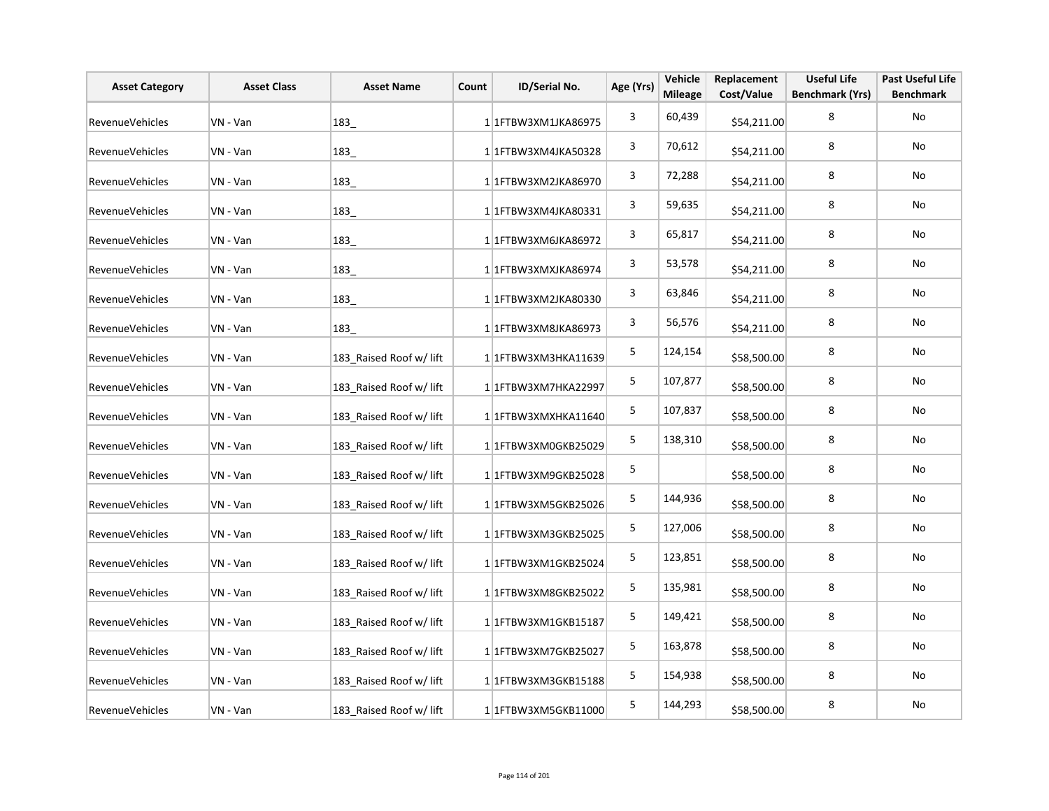| <b>Asset Category</b>  | <b>Asset Class</b> | <b>Asset Name</b>       | Count | ID/Serial No.        | Age (Yrs)   | Vehicle<br><b>Mileage</b> | Replacement<br>Cost/Value | <b>Useful Life</b><br><b>Benchmark (Yrs)</b> | <b>Past Useful Life</b><br><b>Benchmark</b> |
|------------------------|--------------------|-------------------------|-------|----------------------|-------------|---------------------------|---------------------------|----------------------------------------------|---------------------------------------------|
| <b>RevenueVehicles</b> | VN - Van           | 183                     |       | 1 1 FTBW3XM1JKA86975 | 3           | 60,439                    | \$54,211.00               | 8                                            | No                                          |
| RevenueVehicles        | VN - Van           | 183_                    |       | 11FTBW3XM4JKA50328   | 3           | 70,612                    | \$54,211.00               | 8                                            | No                                          |
| RevenueVehicles        | VN - Van           | 183                     |       | 1 1 FTBW3XM2JKA86970 | 3           | 72,288                    | \$54,211.00               | 8                                            | No                                          |
| RevenueVehicles        | VN - Van           | 183_                    |       | 1 1 FTBW3XM4JKA80331 | 3           | 59,635                    | \$54,211.00               | 8                                            | No                                          |
| RevenueVehicles        | VN - Van           | 183_                    |       | 11FTBW3XM6JKA86972   | 3           | 65,817                    | \$54,211.00               | 8                                            | No                                          |
| RevenueVehicles        | VN - Van           | $ 183\rangle$           |       | 1 1 FTBW3XMXJKA86974 | 3           | 53,578                    | \$54,211.00               | 8                                            | No                                          |
| <b>RevenueVehicles</b> | VN - Van           | 183_                    |       | 11FTBW3XM2JKA80330   | 3           | 63,846                    | \$54,211.00               | 8                                            | No                                          |
| RevenueVehicles        | VN - Van           | 183_                    |       | 1 1FTBW3XM8JKA86973  | 3           | 56,576                    | \$54,211.00               | 8                                            | No                                          |
| RevenueVehicles        | VN - Van           | 183_Raised Roof w/ lift |       | 1 1 FTBW3XM3HKA11639 | 5           | 124,154                   | \$58,500.00               | 8                                            | No                                          |
| RevenueVehicles        | VN - Van           | 183 Raised Roof w/ lift |       | 1 1 FTBW3XM7HKA22997 | 5           | 107,877                   | \$58,500.00               | 8                                            | No                                          |
| RevenueVehicles        | VN - Van           | 183_Raised Roof w/ lift |       | 1 1FTBW3XMXHKA11640  | 5           | 107,837                   | \$58,500.00               | 8                                            | No                                          |
| RevenueVehicles        | VN - Van           | 183 Raised Roof w/ lift |       | 1 1FTBW3XM0GKB25029  | 5           | 138,310                   | \$58,500.00               | 8                                            | No                                          |
| <b>RevenueVehicles</b> | VN - Van           | 183 Raised Roof w/ lift |       | 1 1FTBW3XM9GKB25028  | $\mathsf S$ |                           | \$58,500.00               | 8                                            | No                                          |
| RevenueVehicles        | VN - Van           | 183_Raised Roof w/ lift |       | 1 1 FTBW3XM5GKB25026 | 5           | 144,936                   | \$58,500.00               | 8                                            | No                                          |
| RevenueVehicles        | VN - Van           | 183 Raised Roof w/ lift |       | 1 1FTBW3XM3GKB25025  | 5           | 127,006                   | \$58,500.00               | 8                                            | No                                          |
| RevenueVehicles        | VN - Van           | 183_Raised Roof w/ lift |       | 1 1 FTBW3XM1GKB25024 | 5           | 123,851                   | \$58,500.00               | 8                                            | No                                          |
| RevenueVehicles        | VN - Van           | 183 Raised Roof w/ lift |       | 1 1 FTBW3XM8GKB25022 | 5           | 135,981                   | \$58,500.00               | 8                                            | No                                          |
| RevenueVehicles        | VN - Van           | 183_Raised Roof w/ lift |       | 1 1 FTBW3XM1GKB15187 | 5           | 149,421                   | \$58,500.00               | 8                                            | No                                          |
| RevenueVehicles        | VN - Van           | 183 Raised Roof w/ lift |       | 1 1 FTBW3XM7GKB25027 | 5           | 163,878                   | \$58,500.00               | 8                                            | No                                          |
| RevenueVehicles        | VN - Van           | 183_Raised Roof w/ lift |       | 1 1FTBW3XM3GKB15188  | 5           | 154,938                   | \$58,500.00               | 8                                            | No                                          |
| RevenueVehicles        | VN - Van           | 183 Raised Roof w/ lift |       | 1 1 FTBW3XM5GKB11000 | 5           | 144,293                   | \$58,500.00               | 8                                            | No                                          |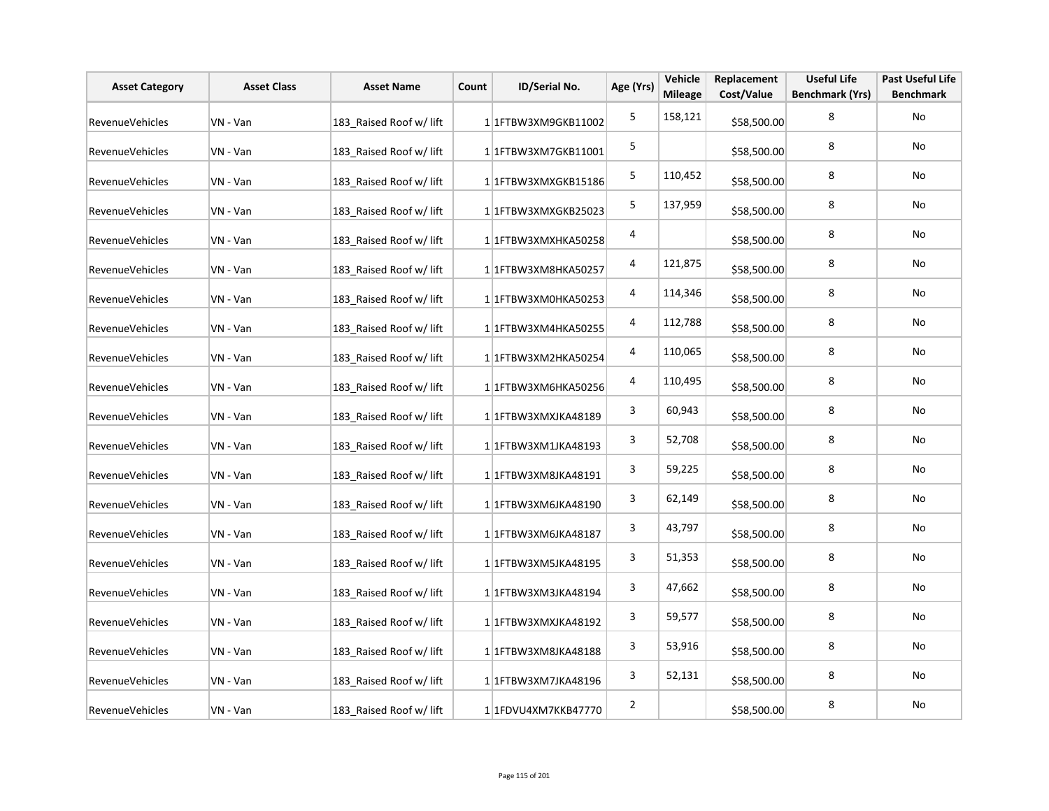| <b>Asset Category</b>  | <b>Asset Class</b> | <b>Asset Name</b>       | Count | ID/Serial No.          | Age (Yrs)               | Vehicle<br><b>Mileage</b> | Replacement<br>Cost/Value | <b>Useful Life</b><br><b>Benchmark (Yrs)</b> | <b>Past Useful Life</b><br><b>Benchmark</b> |
|------------------------|--------------------|-------------------------|-------|------------------------|-------------------------|---------------------------|---------------------------|----------------------------------------------|---------------------------------------------|
| <b>RevenueVehicles</b> | VN - Van           | 183 Raised Roof w/ lift |       | 1 1 FTBW3XM9GKB11002   | 5                       | 158,121                   | \$58,500.00               | 8                                            | No                                          |
| RevenueVehicles        | VN - Van           | 183 Raised Roof w/ lift |       | 1 1 1 TBW3XM7 GKB11001 | 5                       |                           | \$58,500.00               | 8                                            | No                                          |
| RevenueVehicles        | VN - Van           | 183 Raised Roof w/ lift |       | 1 1FTBW3XMXGKB15186    | 5                       | 110,452                   | \$58,500.00               | 8                                            | No                                          |
| RevenueVehicles        | VN - Van           | 183 Raised Roof w/ lift |       | 1 1 FTBW3XMXGKB25023   | 5                       | 137,959                   | \$58,500.00               | 8                                            | No                                          |
| RevenueVehicles        | VN - Van           | 183 Raised Roof w/ lift |       | 1 1FTBW3XMXHKA50258    | $\overline{\mathbf{r}}$ |                           | \$58,500.00               | 8                                            | No                                          |
| RevenueVehicles        | VN - Van           | 183 Raised Roof w/ lift |       | 1 1FTBW3XM8HKA50257    | 4                       | 121,875                   | \$58,500.00               | 8                                            | No                                          |
| <b>RevenueVehicles</b> | VN - Van           | 183 Raised Roof w/ lift |       | 1 1FTBW3XM0HKA50253    | 4                       | 114,346                   | \$58,500.00               | 8                                            | No                                          |
| RevenueVehicles        | VN - Van           | 183 Raised Roof w/ lift |       | 1 1FTBW3XM4HKA50255    | 4                       | 112,788                   | \$58,500.00               | 8                                            | No                                          |
| RevenueVehicles        | VN - Van           | 183_Raised Roof w/ lift |       | 1 1FTBW3XM2HKA50254    | 4                       | 110,065                   | \$58,500.00               | 8                                            | No                                          |
| RevenueVehicles        | VN - Van           | 183 Raised Roof w/ lift |       | 1 1FTBW3XM6HKA50256    | 4                       | 110,495                   | \$58,500.00               | 8                                            | No                                          |
| RevenueVehicles        | VN - Van           | 183_Raised Roof w/ lift |       | 1 1FTBW3XMXJKA48189    | 3                       | 60,943                    | \$58,500.00               | 8                                            | No                                          |
| RevenueVehicles        | VN - Van           | 183 Raised Roof w/ lift |       | 1 1FTBW3XM1JKA48193    | 3                       | 52,708                    | \$58,500.00               | 8                                            | No                                          |
| <b>RevenueVehicles</b> | VN - Van           | 183 Raised Roof w/ lift |       | 1 1FTBW3XM8JKA48191    | 3                       | 59,225                    | \$58,500.00               | 8                                            | No                                          |
| RevenueVehicles        | VN - Van           | 183 Raised Roof w/ lift |       | 1 1FTBW3XM6JKA48190    | 3                       | 62,149                    | \$58,500.00               | 8                                            | No                                          |
| RevenueVehicles        | VN - Van           | 183 Raised Roof w/ lift |       | 1 1FTBW3XM6JKA48187    | 3                       | 43,797                    | \$58,500.00               | 8                                            | No                                          |
| RevenueVehicles        | VN - Van           | 183_Raised Roof w/ lift |       | 1 1FTBW3XM5JKA48195    | 3                       | 51,353                    | \$58,500.00               | 8                                            | No                                          |
| RevenueVehicles        | VN - Van           | 183 Raised Roof w/ lift |       | 1 1FTBW3XM3JKA48194    | 3                       | 47,662                    | \$58,500.00               | 8                                            | No                                          |
| RevenueVehicles        | VN - Van           | 183_Raised Roof w/ lift |       | 1 1 FTBW3XMXJKA48192   | 3                       | 59,577                    | \$58,500.00               | 8                                            | No                                          |
| RevenueVehicles        | VN - Van           | 183 Raised Roof w/ lift |       | 1 1 FTBW3XM8JKA48188   | 3                       | 53,916                    | \$58,500.00               | 8                                            | No                                          |
| RevenueVehicles        | VN - Van           | 183_Raised Roof w/ lift |       | 1 1FTBW3XM7JKA48196    | 3                       | 52,131                    | \$58,500.00               | 8                                            | No                                          |
| <b>RevenueVehicles</b> | VN - Van           | 183 Raised Roof w/ lift |       | 1 1FDVU4XM7KKB47770    | $\overline{2}$          |                           | \$58,500.00               | 8                                            | No                                          |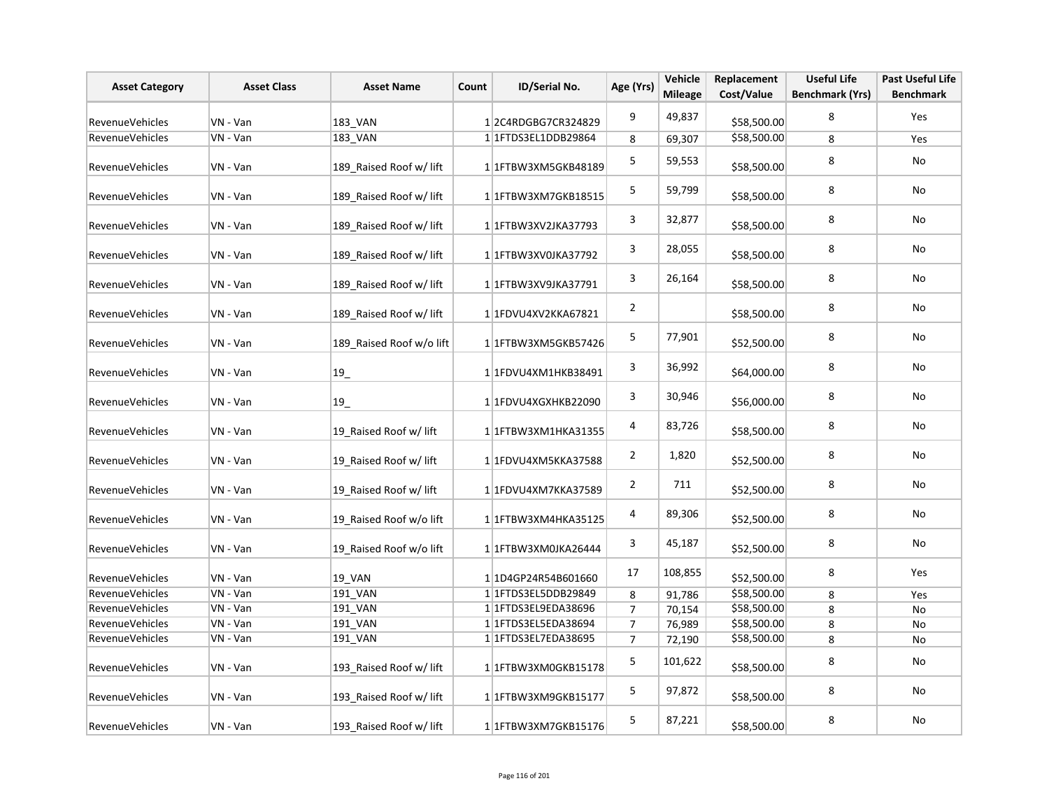| <b>Asset Category</b>  | <b>Asset Class</b> | <b>Asset Name</b>        | Count | ID/Serial No.        | Age (Yrs)      | Vehicle<br><b>Mileage</b> | Replacement<br>Cost/Value | <b>Useful Life</b><br><b>Benchmark (Yrs)</b> | <b>Past Useful Life</b><br><b>Benchmark</b> |
|------------------------|--------------------|--------------------------|-------|----------------------|----------------|---------------------------|---------------------------|----------------------------------------------|---------------------------------------------|
|                        |                    |                          |       |                      |                |                           |                           |                                              |                                             |
| RevenueVehicles        | VN - Van           | 183_VAN                  |       | 12C4RDGBG7CR324829   | 9              | 49,837                    | \$58,500.00               | 8                                            | Yes                                         |
| <b>RevenueVehicles</b> | VN - Van           | 183 VAN                  |       | 1 1 FTDS3EL1DDB29864 | 8              | 69,307                    | \$58,500.00               | 8                                            | Yes                                         |
| RevenueVehicles        | VN - Van           | 189_Raised Roof w/ lift  |       | 1 1 FTBW3XM5GKB48189 | $\mathsf S$    | 59,553                    | \$58,500.00               | 8                                            | No                                          |
| RevenueVehicles        | VN - Van           | 189_Raised Roof w/ lift  |       | 1 1 FTBW3XM7GKB18515 | 5              | 59,799                    | \$58,500.00               | 8                                            | No                                          |
| RevenueVehicles        | VN - Van           | 189 Raised Roof w/ lift  |       | 1 1 FTBW3XV2JKA37793 | 3              | 32,877                    | \$58,500.00               | 8                                            | No                                          |
| <b>RevenueVehicles</b> | VN - Van           | 189 Raised Roof w/ lift  |       | 1 1FTBW3XV0JKA37792  | 3              | 28,055                    | \$58,500.00               | 8                                            | No                                          |
| RevenueVehicles        | VN - Van           | 189 Raised Roof w/ lift  |       | 1 1 FTBW3XV9JKA37791 | 3              | 26,164                    | \$58,500.00               | 8                                            | No                                          |
| <b>RevenueVehicles</b> | VN - Van           | 189 Raised Roof w/ lift  |       | 1 1 FDVU4XV2KKA67821 | $\overline{2}$ |                           | \$58,500.00               | 8                                            | No                                          |
| <b>RevenueVehicles</b> | VN - Van           | 189 Raised Roof w/o lift |       | 1 1 FTBW3XM5GKB57426 | 5              | 77,901                    | \$52,500.00               | 8                                            | No                                          |
| RevenueVehicles        | VN - Van           | 19                       |       | 1 1 FDVU4XM1HKB38491 | 3              | 36,992                    | \$64,000.00               | 8                                            | No                                          |
| <b>RevenueVehicles</b> | VN - Van           | $19$ <sub>-</sub>        |       | 11FDVU4XGXHKB22090   | 3              | 30,946                    | \$56,000.00               | 8                                            | No                                          |
| <b>RevenueVehicles</b> | VN - Van           | 19 Raised Roof w/ lift   |       | 1 1 FTBW3XM1HKA31355 | 4              | 83,726                    | \$58,500.00               | 8                                            | No                                          |
| RevenueVehicles        | VN - Van           | 19 Raised Roof w/ lift   |       | 1 1FDVU4XM5KKA37588  | $\overline{2}$ | 1,820                     | \$52,500.00               | 8                                            | No                                          |
| <b>RevenueVehicles</b> | VN - Van           | 19 Raised Roof w/ lift   |       | 1 1FDVU4XM7KKA37589  | $\overline{2}$ | 711                       | \$52,500.00               | 8                                            | No                                          |
| RevenueVehicles        | VN - Van           | 19 Raised Roof w/o lift  |       | 1 1 FTBW3XM4HKA35125 | 4              | 89,306                    | \$52,500.00               | 8                                            | <b>No</b>                                   |
| RevenueVehicles        | VN - Van           | 19 Raised Roof w/o lift  |       | 1 1FTBW3XM0JKA26444  | 3              | 45,187                    | \$52,500.00               | 8                                            | No                                          |
| RevenueVehicles        | VN - Van           | <b>19 VAN</b>            |       | 1 1D4GP24R54B601660  | 17             | 108,855                   | \$52,500.00               | 8                                            | Yes                                         |
| RevenueVehicles        | VN - Van           | 191 VAN                  |       | 1 1 FTDS3EL5DDB29849 | 8              | 91,786                    | \$58,500.00               | 8                                            | Yes                                         |
| RevenueVehicles        | VN - Van           | 191_VAN                  |       | 1 1 FTDS3EL9EDA38696 | $\overline{7}$ | 70,154                    | \$58,500.00               | 8                                            | No                                          |
| <b>RevenueVehicles</b> | VN - Van           | 191 VAN                  |       | 1 1 FTDS3EL5EDA38694 | $\overline{7}$ | 76,989                    | \$58,500.00               | 8                                            | No                                          |
| <b>RevenueVehicles</b> | VN - Van           | 191 VAN                  |       | 1 1FTDS3EL7EDA38695  | $\overline{7}$ | 72,190                    | \$58,500.00               | 8                                            | No                                          |
| <b>RevenueVehicles</b> | VN - Van           | 193 Raised Roof w/ lift  |       | 1 1FTBW3XM0GKB15178  | 5              | 101,622                   | \$58,500.00               | 8                                            | No                                          |
| <b>RevenueVehicles</b> | VN - Van           | 193_Raised Roof w/ lift  |       | 1 1FTBW3XM9GKB15177  | 5              | 97,872                    | \$58,500.00               | 8                                            | <b>No</b>                                   |
| RevenueVehicles        | VN - Van           | 193 Raised Roof w/ lift  |       | 11FTBW3XM7GKB15176   | 5              | 87,221                    | \$58,500.00               | 8                                            | No                                          |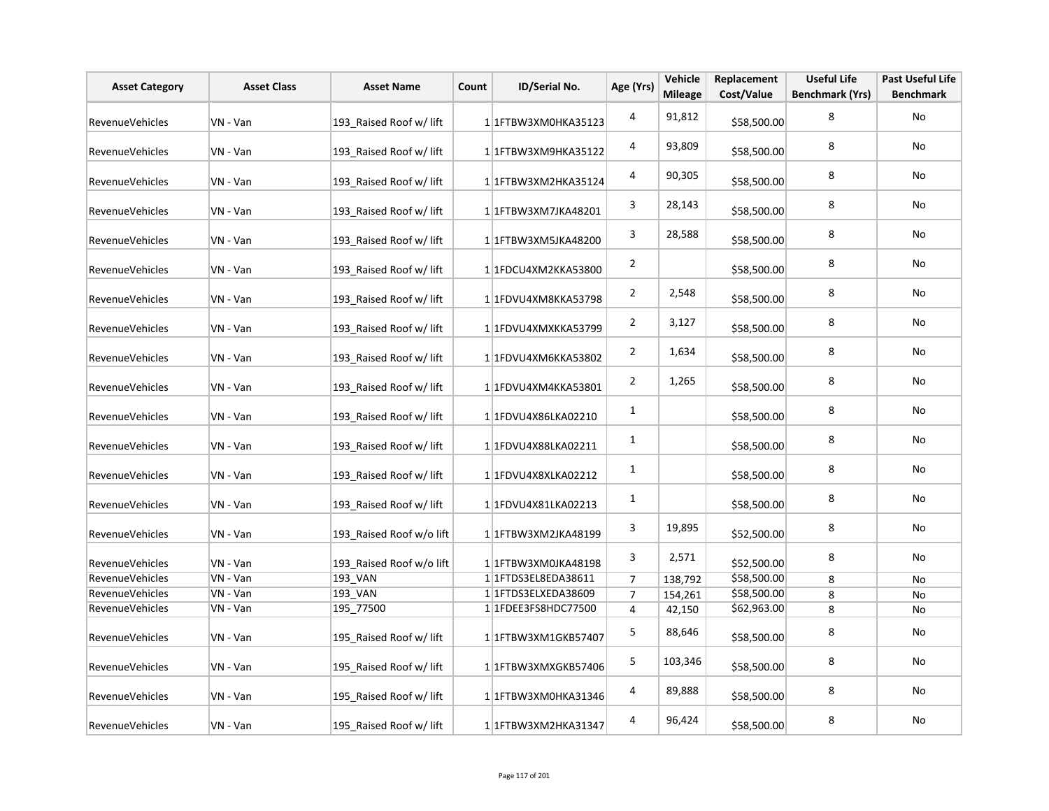| <b>Asset Category</b>  | <b>Asset Class</b> | <b>Asset Name</b>        | Count | ID/Serial No.        | Age (Yrs)               | Vehicle<br><b>Mileage</b> | Replacement<br>Cost/Value | <b>Useful Life</b><br><b>Benchmark (Yrs)</b> | <b>Past Useful Life</b><br><b>Benchmark</b> |
|------------------------|--------------------|--------------------------|-------|----------------------|-------------------------|---------------------------|---------------------------|----------------------------------------------|---------------------------------------------|
| <b>RevenueVehicles</b> | VN - Van           | 193 Raised Roof w/ lift  |       | 1 1FTBW3XM0HKA35123  | $\overline{\mathbf{4}}$ | 91,812                    | \$58,500.00               | 8                                            | No                                          |
| RevenueVehicles        | VN - Van           | 193 Raised Roof w/ lift  |       | 1 1FTBW3XM9HKA35122  | 4                       | 93,809                    | \$58,500.00               | 8                                            | No                                          |
| <b>RevenueVehicles</b> | VN - Van           | 193 Raised Roof w/ lift  |       | 11FTBW3XM2HKA35124   | 4                       | 90,305                    | \$58,500.00               | 8                                            | <b>No</b>                                   |
| RevenueVehicles        | VN - Van           | 193 Raised Roof w/ lift  |       | 1 1 FTBW3XM7JKA48201 | 3                       | 28,143                    | \$58,500.00               | 8                                            | No                                          |
| RevenueVehicles        | VN - Van           | 193 Raised Roof w/ lift  |       | 1 1FTBW3XM5JKA48200  | 3                       | 28,588                    | \$58,500.00               | 8                                            | No                                          |
| RevenueVehicles        | VN - Van           | 193 Raised Roof w/ lift  |       | 1 1FDCU4XM2KKA53800  | $\overline{2}$          |                           | \$58,500.00               | 8                                            | No                                          |
| RevenueVehicles        | VN - Van           | 193 Raised Roof w/ lift  |       | 1 1FDVU4XM8KKA53798  | $\overline{2}$          | 2,548                     | \$58,500.00               | 8                                            | No                                          |
| <b>RevenueVehicles</b> | VN - Van           | 193 Raised Roof w/ lift  |       | 1 1FDVU4XMXKKA53799  | $\overline{2}$          | 3,127                     | \$58,500.00               | 8                                            | No                                          |
| <b>RevenueVehicles</b> | VN - Van           | 193 Raised Roof w/ lift  |       | 1 1FDVU4XM6KKA53802  | $\overline{2}$          | 1,634                     | \$58,500.00               | 8                                            | No                                          |
| <b>RevenueVehicles</b> | VN - Van           | 193 Raised Roof w/ lift  |       | 1 1FDVU4XM4KKA53801  | $\overline{2}$          | 1,265                     | \$58,500.00               | 8                                            | No                                          |
| RevenueVehicles        | VN - Van           | 193 Raised Roof w/ lift  |       | 1 1FDVU4X86LKA02210  | $\mathbf{1}$            |                           | \$58,500.00               | 8                                            | No                                          |
| RevenueVehicles        | VN - Van           | 193 Raised Roof w/ lift  |       | 1 1FDVU4X88LKA02211  | $\mathbf{1}$            |                           | \$58,500.00               | 8                                            | <b>No</b>                                   |
| RevenueVehicles        | VN - Van           | 193 Raised Roof w/ lift  |       | 1 1FDVU4X8XLKA02212  | $1\,$                   |                           | \$58,500.00               | 8                                            | <b>No</b>                                   |
| <b>RevenueVehicles</b> | VN - Van           | 193 Raised Roof w/ lift  |       | 11FDVU4X81LKA02213   | 1                       |                           | \$58,500.00               | 8                                            | <b>No</b>                                   |
| RevenueVehicles        | VN - Van           | 193 Raised Roof w/o lift |       | 1 1FTBW3XM2JKA48199  | 3                       | 19,895                    | \$52,500.00               | 8                                            | No                                          |
| RevenueVehicles        | VN - Van           | 193_Raised Roof w/o lift |       | 1 1 FTBW3XM0JKA48198 | 3                       | 2,571                     | \$52,500.00               | 8                                            | No                                          |
| RevenueVehicles        | VN - Van           | 193 VAN                  |       | 1 1 FTDS3EL8EDA38611 | $\overline{7}$          | 138,792                   | \$58,500.00               | 8                                            | No                                          |
| RevenueVehicles        | VN - Van           | 193 VAN                  |       | 1 1 FTDS3ELXEDA38609 | $\overline{7}$          | 154,261                   | \$58,500.00               | 8                                            | No                                          |
| <b>RevenueVehicles</b> | VN - Van           | 195 77500                |       | 1 1FDEE3FS8HDC77500  | $\overline{4}$          | 42,150                    | \$62,963.00               | 8                                            | No                                          |
| RevenueVehicles        | VN - Van           | 195 Raised Roof w/ lift  |       | 11FTBW3XM1GKB57407   | 5                       | 88,646                    | \$58,500.00               | 8                                            | No                                          |
| <b>RevenueVehicles</b> | VN - Van           | 195 Raised Roof w/ lift  |       | 1 1FTBW3XMXGKB57406  | 5                       | 103,346                   | \$58,500.00               | 8                                            | No                                          |
| <b>RevenueVehicles</b> | VN - Van           | 195 Raised Roof w/ lift  |       | 1 1FTBW3XM0HKA31346  | 4                       | 89,888                    | \$58,500.00               | 8                                            | No                                          |
| <b>RevenueVehicles</b> | VN - Van           | 195 Raised Roof w/ lift  |       | 1 1 FTBW3XM2HKA31347 | 4                       | 96,424                    | \$58,500.00               | 8                                            | <b>No</b>                                   |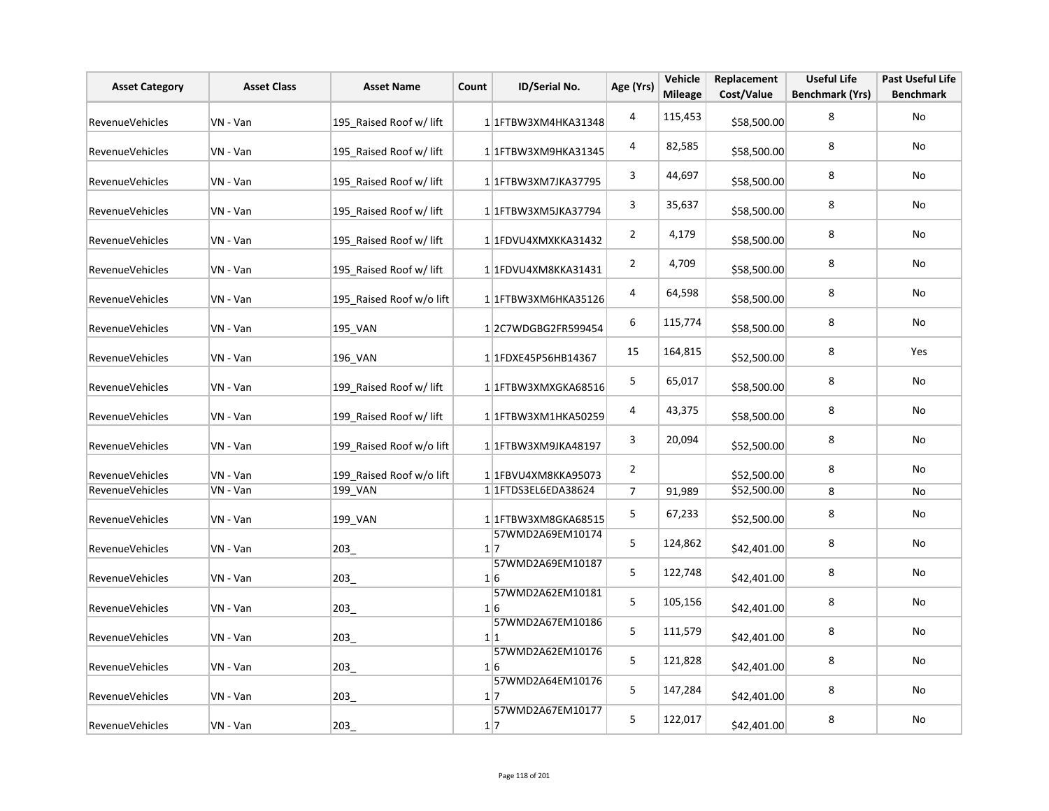| <b>Asset Category</b>  | <b>Asset Class</b> | <b>Asset Name</b>        | Count | ID/Serial No.                  | Age (Yrs)      | Vehicle<br><b>Mileage</b> | Replacement<br>Cost/Value | <b>Useful Life</b><br><b>Benchmark (Yrs)</b> | <b>Past Useful Life</b><br><b>Benchmark</b> |
|------------------------|--------------------|--------------------------|-------|--------------------------------|----------------|---------------------------|---------------------------|----------------------------------------------|---------------------------------------------|
| <b>RevenueVehicles</b> | VN - Van           | 195 Raised Roof w/ lift  |       | 1 1 FTBW3XM4HKA31348           | 4              | 115,453                   | \$58,500.00               | 8                                            | No                                          |
| <b>RevenueVehicles</b> | VN - Van           | 195 Raised Roof w/ lift  |       | 1 1 FTBW3XM9HKA31345           | 4              | 82,585                    | \$58,500.00               | 8                                            | No                                          |
| <b>RevenueVehicles</b> | VN - Van           | 195 Raised Roof w/ lift  |       | 1 1FTBW3XM7JKA37795            | 3              | 44,697                    | \$58,500.00               | 8                                            | No                                          |
| <b>RevenueVehicles</b> | VN - Van           | 195 Raised Roof w/ lift  |       | 1 1FTBW3XM5JKA37794            | 3              | 35,637                    | \$58,500.00               | 8                                            | No                                          |
| RevenueVehicles        | VN - Van           | 195 Raised Roof w/ lift  |       | 1 1FDVU4XMXKKA31432            | $\overline{2}$ | 4,179                     | \$58,500.00               | 8                                            | No                                          |
| RevenueVehicles        | VN - Van           | 195 Raised Roof w/ lift  |       | 1 1FDVU4XM8KKA31431            | $\overline{2}$ | 4,709                     | \$58,500.00               | 8                                            | No                                          |
| <b>RevenueVehicles</b> | VN - Van           | 195 Raised Roof w/o lift |       | 1 1FTBW3XM6HKA35126            | 4              | 64,598                    | \$58,500.00               | 8                                            | No                                          |
| RevenueVehicles        | VN - Van           | 195 VAN                  |       | 12C7WDGBG2FR599454             | 6              | 115,774                   | \$58,500.00               | 8                                            | No                                          |
| RevenueVehicles        | VN - Van           | 196 VAN                  |       | 1 1 FDXE45 P56 HB 14367        | 15             | 164,815                   | \$52,500.00               | 8                                            | Yes                                         |
| <b>RevenueVehicles</b> | VN - Van           | 199 Raised Roof w/ lift  |       | 1 1FTBW3XMXGKA68516            | 5              | 65,017                    | \$58,500.00               | 8                                            | No                                          |
| RevenueVehicles        | VN - Van           | 199 Raised Roof w/ lift  |       | 1 1FTBW3XM1HKA50259            | 4              | 43,375                    | \$58,500.00               | 8                                            | No                                          |
| RevenueVehicles        | VN - Van           | 199 Raised Roof w/o lift |       | 1 1FTBW3XM9JKA48197            | 3              | 20,094                    | \$52,500.00               | 8                                            | No                                          |
| RevenueVehicles        | VN - Van           | 199 Raised Roof w/o lift |       | 1 1FBVU4XM8KKA95073            | $\overline{2}$ |                           | \$52,500.00               | 8                                            | No                                          |
| RevenueVehicles        | VN - Van           | 199 VAN                  |       | 1 1 FTDS3EL6EDA38624           | $\overline{7}$ | 91,989                    | \$52,500.00               | 8                                            | No                                          |
| <b>RevenueVehicles</b> | VN - Van           | 199 VAN                  |       | 1 1FTBW3XM8GKA68515            | 5              | 67,233                    | \$52,500.00               | 8                                            | No                                          |
| RevenueVehicles        | VN - Van           | 203_                     |       | 57WMD2A69EM10174<br>1 7        | 5              | 124,862                   | \$42,401.00               | 8                                            | No                                          |
| RevenueVehicles        | VN - Van           | 203                      |       | 57WMD2A69EM10187<br>$1\vert 6$ | 5              | 122,748                   | \$42,401.00               | 8                                            | No                                          |
| RevenueVehicles        | VN - Van           | 203                      |       | 57WMD2A62EM10181<br>1 6        | 5              | 105,156                   | \$42,401.00               | 8                                            | No                                          |
| RevenueVehicles        | VN - Van           | 203                      |       | 57WMD2A67EM10186<br>1 1        | 5              | 111,579                   | \$42,401.00               | 8                                            | No                                          |
| <b>RevenueVehicles</b> | VN - Van           | 203                      |       | 57WMD2A62EM10176<br>$1\vert 6$ | 5              | 121,828                   | \$42,401.00               | 8                                            | No                                          |
| RevenueVehicles        | VN - Van           | 203                      |       | 57WMD2A64EM10176<br>1 7        | 5              | 147,284                   | \$42,401.00               | 8                                            | No                                          |
| RevenueVehicles        | VN - Van           | 203                      |       | 57WMD2A67EM10177<br>$1\vert 7$ | 5              | 122,017                   | \$42,401.00               | 8                                            | No                                          |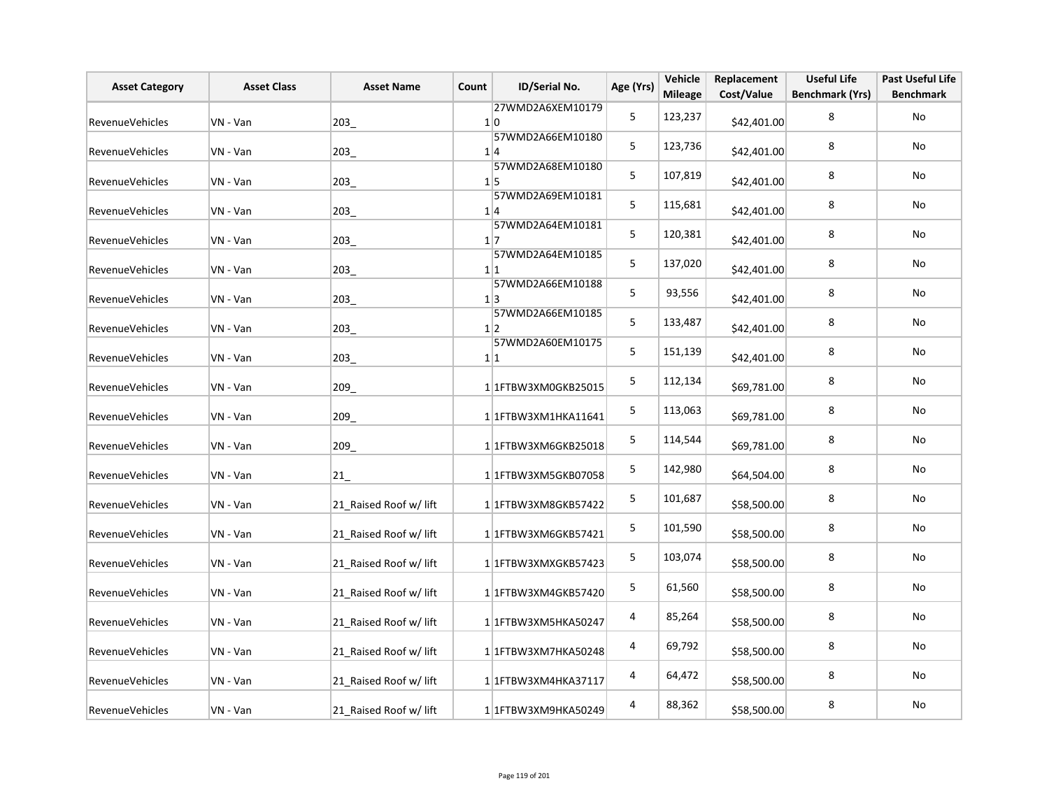| <b>Asset Category</b>  | <b>Asset Class</b> | <b>Asset Name</b>      | Count | ID/Serial No.                       | Age (Yrs) | Vehicle<br><b>Mileage</b> | Replacement<br>Cost/Value | <b>Useful Life</b><br><b>Benchmark (Yrs)</b> | <b>Past Useful Life</b><br><b>Benchmark</b> |
|------------------------|--------------------|------------------------|-------|-------------------------------------|-----------|---------------------------|---------------------------|----------------------------------------------|---------------------------------------------|
| RevenueVehicles        | VN - Van           | 203                    |       | 27WMD2A6XEM10179<br>1 0             | 5         | 123,237                   | \$42,401.00               | 8                                            | No                                          |
| RevenueVehicles        | VN - Van           | 203                    |       | 57WMD2A66EM10180<br>1 4             | 5         | 123,736                   | \$42,401.00               | 8                                            | No                                          |
| <b>RevenueVehicles</b> | VN - Van           | 203                    |       | 57WMD2A68EM10180<br>$1\vert 5$      | 5         | 107,819                   | \$42,401.00               | 8                                            | No                                          |
| RevenueVehicles        | VN - Van           | 203_                   |       | 57WMD2A69EM10181<br>1 4             | 5         | 115,681                   | \$42,401.00               | 8                                            | No                                          |
| RevenueVehicles        | VN - Van           | 203                    |       | 57WMD2A64EM10181<br>$1\overline{7}$ | 5         | 120,381                   | \$42,401.00               | 8                                            | No                                          |
| <b>RevenueVehicles</b> | VN - Van           | 203                    |       | 57WMD2A64EM10185<br>1 1             | 5         | 137,020                   | \$42,401.00               | 8                                            | No                                          |
| RevenueVehicles        | VN - Van           | 203                    |       | 57WMD2A66EM10188<br>1 3             | 5         | 93,556                    | \$42,401.00               | 8                                            | No                                          |
| RevenueVehicles        | VN - Van           | 203                    |       | 57WMD2A66EM10185<br>$1\vert 2$      | 5         | 133,487                   | \$42,401.00               | 8                                            | No                                          |
| RevenueVehicles        | VN - Van           | 203                    |       | 57WMD2A60EM10175<br>1 1             | 5         | 151,139                   | \$42,401.00               | 8                                            | No                                          |
| RevenueVehicles        | VN - Van           | 209_                   |       | 1 1 FTBW3XM0GKB25015                | 5         | 112,134                   | \$69,781.00               | 8                                            | No                                          |
| RevenueVehicles        | VN - Van           | 209_                   |       | 1 1 FTBW3XM1HKA11641                | 5         | 113,063                   | \$69,781.00               | 8                                            | No                                          |
| <b>RevenueVehicles</b> | VN - Van           | 209                    |       | 11FTBW3XM6GKB25018                  | 5         | 114,544                   | \$69,781.00               | 8                                            | No                                          |
| RevenueVehicles        | VN - Van           | 21                     |       | 11FTBW3XM5GKB07058                  | 5         | 142,980                   | \$64,504.00               | 8                                            | No                                          |
| RevenueVehicles        | VN - Van           | 21_Raised Roof w/ lift |       | 11FTBW3XM8GKB57422                  | 5         | 101,687                   | \$58,500.00               | 8                                            | No                                          |
| RevenueVehicles        | VN - Van           | 21 Raised Roof w/ lift |       | 1 1 FTBW3XM6GKB57421                | 5         | 101,590                   | \$58,500.00               | 8                                            | No                                          |
| <b>RevenueVehicles</b> | VN - Van           | 21 Raised Roof w/ lift |       | 11FTBW3XMXGKB57423                  | 5         | 103,074                   | \$58,500.00               | 8                                            | No                                          |
| RevenueVehicles        | VN - Van           | 21 Raised Roof w/ lift |       | 1 1 FTBW3XM4GKB57420                | 5         | 61,560                    | \$58,500.00               | 8                                            | No                                          |
| RevenueVehicles        | VN - Van           | 21 Raised Roof w/ lift |       | 1 1FTBW3XM5HKA50247                 | 4         | 85,264                    | \$58,500.00               | 8                                            | No                                          |
| RevenueVehicles        | VN - Van           | 21_Raised Roof w/ lift |       | 1 1FTBW3XM7HKA50248                 | 4         | 69,792                    | \$58,500.00               | 8                                            | No                                          |
| RevenueVehicles        | VN - Van           | 21 Raised Roof w/ lift |       | 1 1 FTBW3XM4HKA37117                | 4         | 64,472                    | \$58,500.00               | 8                                            | No                                          |
| RevenueVehicles        | VN - Van           | 21 Raised Roof w/ lift |       | 1 1FTBW3XM9HKA50249                 | 4         | 88,362                    | \$58,500.00               | 8                                            | No                                          |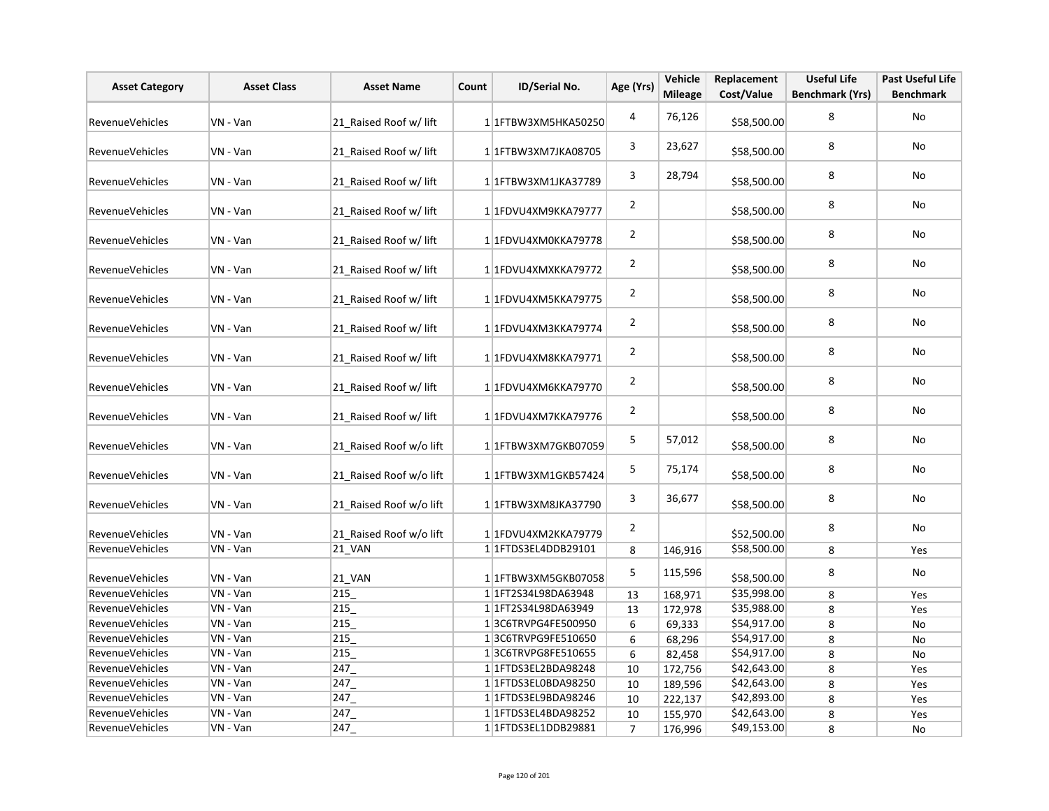| <b>Asset Category</b>  | <b>Asset Class</b> | <b>Asset Name</b>       | Count | ID/Serial No.         | Age (Yrs)      | Vehicle<br><b>Mileage</b> | Replacement<br>Cost/Value | <b>Useful Life</b><br><b>Benchmark (Yrs)</b> | <b>Past Useful Life</b><br><b>Benchmark</b> |
|------------------------|--------------------|-------------------------|-------|-----------------------|----------------|---------------------------|---------------------------|----------------------------------------------|---------------------------------------------|
|                        |                    |                         |       |                       |                |                           |                           |                                              |                                             |
| <b>RevenueVehicles</b> | VN - Van           | 21 Raised Roof w/ lift  |       | 1 1FTBW3XM5HKA50250   | 4              | 76,126                    | \$58,500.00               | 8                                            | No                                          |
| RevenueVehicles        | VN - Van           | 21 Raised Roof w/ lift  |       | 1 1 FTBW3XM7JKA08705  | 3              | 23,627                    | \$58,500.00               | 8                                            | No                                          |
| <b>RevenueVehicles</b> | VN - Van           | 21 Raised Roof w/ lift  |       | 1 1 FTBW3XM1JKA37789  | 3              | 28,794                    | \$58,500.00               | 8                                            | No                                          |
| <b>RevenueVehicles</b> | VN - Van           | 21 Raised Roof w/ lift  |       | 1 1FDVU4XM9KKA79777   | $\overline{2}$ |                           | \$58,500.00               | 8                                            | No                                          |
| RevenueVehicles        | VN - Van           | 21 Raised Roof w/ lift  |       | 1 1FDVU4XM0KKA79778   | $\overline{2}$ |                           | \$58,500.00               | 8                                            | No                                          |
| RevenueVehicles        | VN - Van           | 21 Raised Roof w/ lift  |       | 1 1FDVU4XMXKKA79772   | $\overline{2}$ |                           | \$58,500.00               | 8                                            | <b>No</b>                                   |
| <b>RevenueVehicles</b> | VN - Van           | 21 Raised Roof w/ lift  |       | 1 1FDVU4XM5KKA79775   | $\overline{2}$ |                           | \$58,500.00               | 8                                            | No                                          |
| <b>RevenueVehicles</b> | VN - Van           | 21 Raised Roof w/ lift  |       | 1 1FDVU4XM3KKA79774   | $\overline{2}$ |                           | \$58,500.00               | 8                                            | No                                          |
| RevenueVehicles        | VN - Van           | 21 Raised Roof w/ lift  |       | 1 1FDVU4XM8KKA79771   | $\overline{2}$ |                           | \$58,500.00               | 8                                            | No                                          |
| RevenueVehicles        | VN - Van           | 21_Raised Roof w/ lift  |       | 1 1FDVU4XM6KKA79770   | $\overline{2}$ |                           | \$58,500.00               | 8                                            | No                                          |
| <b>RevenueVehicles</b> | VN - Van           | 21 Raised Roof w/ lift  |       | 1 1FDVU4XM7KKA79776   | $\overline{2}$ |                           | \$58,500.00               | 8                                            | No                                          |
| <b>RevenueVehicles</b> | VN - Van           | 21 Raised Roof w/o lift |       | 1 1 FTBW3XM7GKB07059  | 5              | 57,012                    | \$58,500.00               | 8                                            | No                                          |
| <b>RevenueVehicles</b> | VN - Van           | 21 Raised Roof w/o lift |       | 1 1 FTBW3XM1GKB57424  | 5              | 75,174                    | \$58,500.00               | 8                                            | No                                          |
| <b>RevenueVehicles</b> | VN - Van           | 21 Raised Roof w/o lift |       | 1 1 1 TBW3XM8JKA37790 | 3              | 36,677                    | \$58,500.00               | 8                                            | No                                          |
| RevenueVehicles        | VN - Van           | 21_Raised Roof w/o lift |       | 1 1FDVU4XM2KKA79779   | $\overline{2}$ |                           | \$52,500.00               | 8                                            | No                                          |
| <b>RevenueVehicles</b> | VN - Van           | <b>21 VAN</b>           |       | 1 1 FTDS3EL4DDB29101  | 8              | 146,916                   | \$58,500.00               | 8                                            | Yes                                         |
| RevenueVehicles        | VN - Van           | <b>21 VAN</b>           |       | 11FTBW3XM5GKB07058    | 5              | 115,596                   | \$58,500.00               | 8                                            | No                                          |
| <b>RevenueVehicles</b> | VN - Van           | 215                     |       | 11FT2S34L98DA63948    | 13             | 168,971                   | \$35,998.00               | 8                                            | Yes                                         |
| <b>RevenueVehicles</b> | VN - Van           | 215                     |       | 1 1FT2S34L98DA63949   | 13             | 172,978                   | \$35,988.00               | 8                                            | Yes                                         |
| <b>RevenueVehicles</b> | VN - Van           | 215                     |       | 13C6TRVPG4FE500950    | 6              | 69,333                    | \$54,917.00               | 8                                            | No                                          |
| RevenueVehicles        | VN - Van           | 215                     |       | 13C6TRVPG9FE510650    | 6              | 68,296                    | \$54,917.00               | 8                                            | No                                          |
| RevenueVehicles        | VN - Van           | 215                     |       | 13C6TRVPG8FE510655    | 6              | 82,458                    | \$54,917.00               | 8                                            | No                                          |
| RevenueVehicles        | VN - Van           | 247                     |       | 1 1 FTDS3EL2BDA98248  | 10             | 172,756                   | \$42,643.00               | 8                                            | Yes                                         |
| <b>RevenueVehicles</b> | VN - Van           | 247                     |       | 1 1 FTDS3EL0BDA98250  | 10             | 189,596                   | \$42,643.00               | 8                                            | Yes                                         |
| <b>RevenueVehicles</b> | VN - Van           | 247                     |       | 1 1 FTDS3EL9BDA98246  | 10             | 222,137                   | \$42,893.00               | 8                                            | Yes                                         |
| RevenueVehicles        | VN - Van           | 247                     |       | 1 1 FTDS3EL4BDA98252  | 10             | 155,970                   | \$42,643.00               | 8                                            | Yes                                         |
| RevenueVehicles        | VN - Van           | 247                     |       | 1 1 FTDS3EL1DDB29881  | $\overline{7}$ | 176,996                   | \$49,153.00               | 8                                            | No                                          |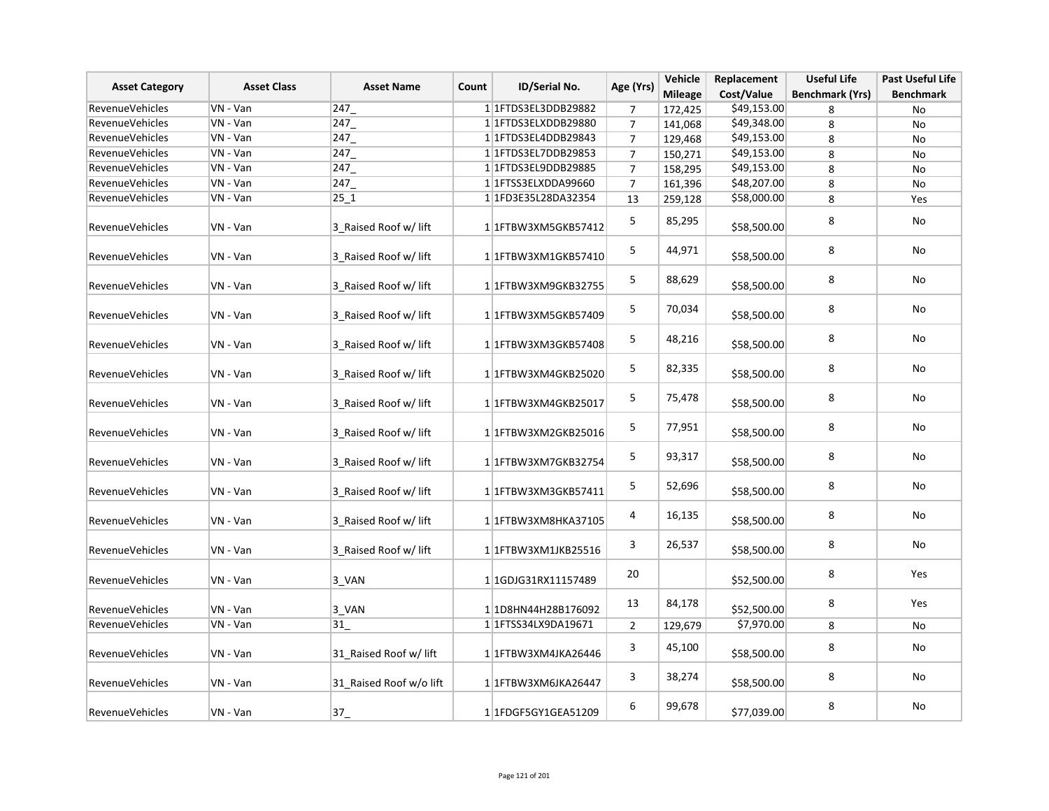| <b>Asset Category</b>  | <b>Asset Class</b> | <b>Asset Name</b>       | Count | ID/Serial No.             | Age (Yrs)      | Vehicle<br><b>Mileage</b> | Replacement<br>Cost/Value | <b>Useful Life</b><br><b>Benchmark (Yrs)</b> | <b>Past Useful Life</b><br><b>Benchmark</b> |
|------------------------|--------------------|-------------------------|-------|---------------------------|----------------|---------------------------|---------------------------|----------------------------------------------|---------------------------------------------|
| <b>RevenueVehicles</b> | VN - Van           | 247                     |       | 11FTDS3EL3DDB29882        | 7              | 172,425                   | \$49,153.00               | 8                                            | No                                          |
| <b>RevenueVehicles</b> | VN - Van           | 247                     |       | 1 1 FTDS3ELXDDB29880      | $\overline{7}$ | 141,068                   | \$49,348.00               | 8                                            | No                                          |
| <b>RevenueVehicles</b> | VN - Van           | 247                     |       | 1 1 FTDS3EL4DDB29843      | $\overline{7}$ | 129,468                   | \$49,153.00               | 8                                            | No                                          |
| RevenueVehicles        | VN - Van           | 247                     |       | 1 1 FTDS3EL7DDB29853      | $\overline{7}$ | 150,271                   | \$49,153.00               | 8                                            | No                                          |
| RevenueVehicles        | VN - Van           | 247                     |       | 1 1 FTDS3EL9DDB29885      | $\overline{7}$ | 158,295                   | \$49,153.00               | 8                                            | No                                          |
| RevenueVehicles        | VN - Van           | 247                     |       | 1 1 TTSS3ELXDDA99660      | $\overline{7}$ | 161,396                   | \$48,207.00               | 8                                            | No                                          |
| <b>RevenueVehicles</b> | VN - Van           | 25 1                    |       | 1 1FD3E35L28DA32354       | 13             | 259,128                   | \$58,000.00               | 8                                            | Yes                                         |
| RevenueVehicles        | VN - Van           | 3 Raised Roof w/ lift   |       | 1 1 FTBW3XM5GKB57412      | 5              | 85,295                    | \$58,500.00               | 8                                            | No                                          |
| RevenueVehicles        | VN - Van           | 3 Raised Roof w/ lift   |       | 1 1 FTBW3XM1GKB57410      | 5              | 44,971                    | \$58,500.00               | 8                                            | No                                          |
| <b>RevenueVehicles</b> | VN - Van           | 3 Raised Roof w/ lift   |       | 1 1 FTBW3XM9GKB32755      | 5              | 88,629                    | \$58,500.00               | 8                                            | No                                          |
| RevenueVehicles        | VN - Van           | 3 Raised Roof w/ lift   |       | 1 1 FTBW3XM5GKB57409      | 5              | 70,034                    | \$58,500.00               | 8                                            | No                                          |
| RevenueVehicles        | VN - Van           | 3 Raised Roof w/ lift   |       | 1 1FTBW3XM3GKB57408       | 5              | 48,216                    | \$58,500.00               | 8                                            | No                                          |
| RevenueVehicles        | VN - Van           | 3 Raised Roof w/ lift   |       | 1 1 FTBW3XM4GKB25020      | 5              | 82,335                    | \$58,500.00               | 8                                            | No                                          |
| RevenueVehicles        | VN - Van           | 3 Raised Roof w/ lift   |       | 1 1 FTBW3XM4GKB25017      | 5              | 75,478                    | \$58,500.00               | 8                                            | No                                          |
| RevenueVehicles        | VN - Van           | 3 Raised Roof w/ lift   |       | 1 1 FTBW3XM2GKB25016      | 5              | 77,951                    | \$58,500.00               | 8                                            | No                                          |
| RevenueVehicles        | VN - Van           | 3 Raised Roof w/ lift   |       | 1 1 FTBW3XM7GKB32754      | 5              | 93,317                    | \$58,500.00               | 8                                            | No                                          |
| RevenueVehicles        | VN - Van           | 3 Raised Roof w/ lift   |       | 1 1 FTBW3XM3GKB57411      | 5              | 52,696                    | \$58,500.00               | 8                                            | No                                          |
| RevenueVehicles        | VN - Van           | 3 Raised Roof w/ lift   |       | 11FTBW3XM8HKA37105        | 4              | 16,135                    | \$58,500.00               | 8                                            | No                                          |
| RevenueVehicles        | VN - Van           | 3 Raised Roof w/ lift   |       | 1 1 FTBW3XM1JKB25516      | 3              | 26,537                    | \$58,500.00               | 8                                            | No                                          |
| RevenueVehicles        | VN - Van           | 3 VAN                   |       | 1 1GDJG31RX11157489       | 20             |                           | \$52,500.00               | 8                                            | Yes                                         |
| RevenueVehicles        | VN - Van           | $3_VAN$                 |       | 1 1D8HN44H28B176092       | 13             | 84,178                    | \$52,500.00               | 8                                            | Yes                                         |
| RevenueVehicles        | VN - Van           | 31                      |       | 1 1 1 TTSS34 LX9DA19671   | $\overline{2}$ | 129,679                   | \$7,970.00                | 8                                            | No                                          |
| RevenueVehicles        | VN - Van           | 31 Raised Roof w/ lift  |       | 1 1FTBW3XM4JKA26446       | 3              | 45,100                    | \$58,500.00               | 8                                            | No                                          |
| <b>RevenueVehicles</b> | VN - Van           | 31_Raised Roof w/o lift |       | 1 1FTBW3XM6JKA26447       | 3              | 38,274                    | \$58,500.00               | 8                                            | No                                          |
| <b>RevenueVehicles</b> | VN - Van           | $37 -$                  |       | 1 1 FDGF5 GY1 GEA 5 1 209 | 6              | 99,678                    | \$77,039.00               | 8                                            | No                                          |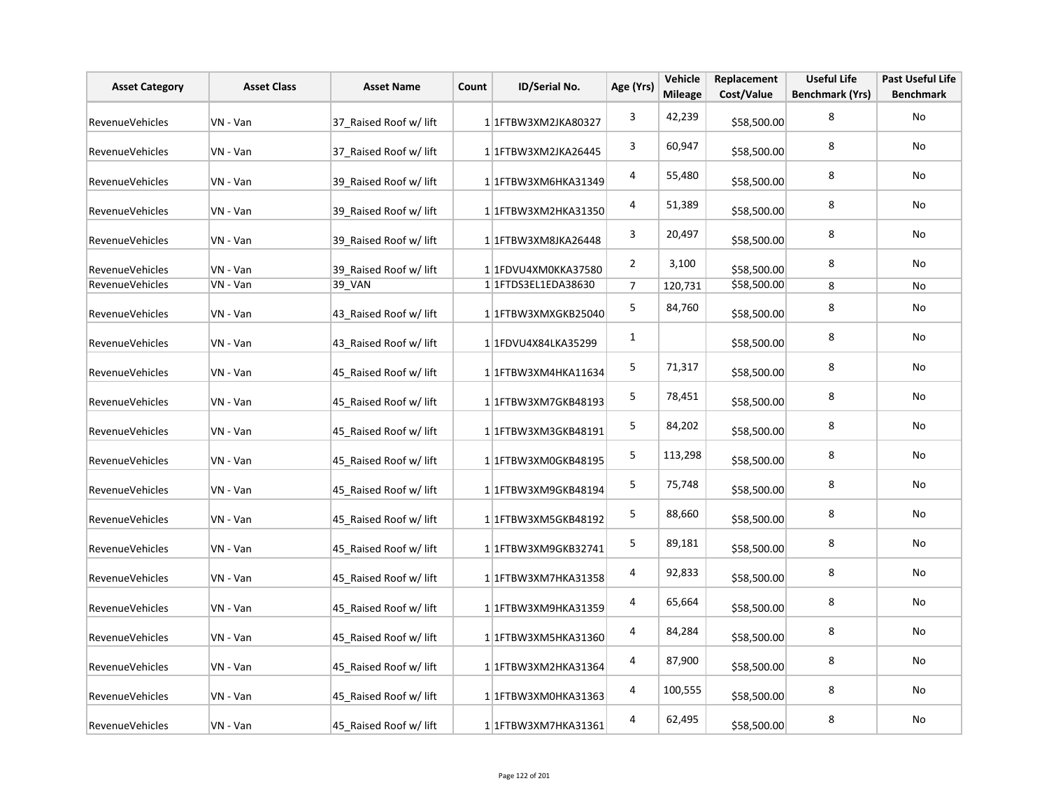| <b>Asset Category</b>  | <b>Asset Class</b> | <b>Asset Name</b>      | Count | ID/Serial No.          | Age (Yrs)      | Vehicle<br><b>Mileage</b> | Replacement<br>Cost/Value | <b>Useful Life</b><br><b>Benchmark (Yrs)</b> | <b>Past Useful Life</b><br><b>Benchmark</b> |
|------------------------|--------------------|------------------------|-------|------------------------|----------------|---------------------------|---------------------------|----------------------------------------------|---------------------------------------------|
| <b>RevenueVehicles</b> | VN - Van           | 37 Raised Roof w/ lift |       | 1 1 FTBW3XM2JKA80327   | 3              | 42,239                    | \$58,500.00               | 8                                            | No                                          |
| <b>RevenueVehicles</b> | VN - Van           | 37 Raised Roof w/ lift |       | 1 1FTBW3XM2JKA26445    | 3              | 60,947                    | \$58,500.00               | 8                                            | No                                          |
| <b>RevenueVehicles</b> | VN - Van           | 39 Raised Roof w/ lift |       | 1 1 FTBW3XM6HKA31349   | 4              | 55,480                    | \$58,500.00               | 8                                            | No                                          |
| <b>RevenueVehicles</b> | VN - Van           | 39 Raised Roof w/ lift |       | 1 1 FTBW3XM2HKA31350   | 4              | 51,389                    | \$58,500.00               | 8                                            | No                                          |
| RevenueVehicles        | VN - Van           | 39 Raised Roof w/ lift |       | 1 1FTBW3XM8JKA26448    | 3              | 20,497                    | \$58,500.00               | 8                                            | No                                          |
| RevenueVehicles        | VN - Van           | 39 Raised Roof w/ lift |       | 1 1FDVU4XM0KKA37580    | $\overline{2}$ | 3,100                     | \$58,500.00               | 8                                            | No                                          |
| RevenueVehicles        | VN - Van           | 39_VAN                 |       | 1 1 FTDS3EL1EDA38630   | $\overline{7}$ | 120,731                   | \$58,500.00               | 8                                            | No                                          |
| RevenueVehicles        | VN - Van           | 43 Raised Roof w/ lift |       | 1 1FTBW3XMXGKB25040    | 5              | 84,760                    | \$58,500.00               | 8                                            | No                                          |
| RevenueVehicles        | VN - Van           | 43 Raised Roof w/ lift |       | 1 1FDVU4X84LKA35299    | $\mathbf{1}$   |                           | \$58,500.00               | 8                                            | No                                          |
| RevenueVehicles        | VN - Van           | 45 Raised Roof w/ lift |       | $1 1$ FTBW3XM4HKA11634 | 5              | 71,317                    | \$58,500.00               | 8                                            | No                                          |
| RevenueVehicles        | VN - Van           | 45 Raised Roof w/ lift |       | 1 1 FTBW3XM7GKB48193   | 5              | 78,451                    | \$58,500.00               | 8                                            | No                                          |
| RevenueVehicles        | VN - Van           | 45 Raised Roof w/ lift |       | 1 1 FTBW3XM3GKB48191   | 5              | 84,202                    | \$58,500.00               | 8                                            | No                                          |
| RevenueVehicles        | VN - Van           | 45 Raised Roof w/ lift |       | 1 1 FTBW3XM0GKB48195   | 5              | 113,298                   | \$58,500.00               | 8                                            | No                                          |
| <b>RevenueVehicles</b> | VN - Van           | 45 Raised Roof w/ lift |       | 1 1 FTBW3XM9GKB48194   | 5              | 75,748                    | \$58,500.00               | 8                                            | No                                          |
| RevenueVehicles        | VN - Van           | 45 Raised Roof w/ lift |       | 1 1 FTBW3XM5GKB48192   | $\sf 5$        | 88,660                    | \$58,500.00               | 8                                            | No                                          |
| RevenueVehicles        | VN - Van           | 45 Raised Roof w/ lift |       | 1 1 FTBW3XM9GKB32741   | 5              | 89,181                    | \$58,500.00               | 8                                            | No                                          |
| RevenueVehicles        | VN - Van           | 45 Raised Roof w/ lift |       | 1 1 TBW3XM7HKA31358    | 4              | 92,833                    | \$58,500.00               | 8                                            | No                                          |
| RevenueVehicles        | VN - Van           | 45 Raised Roof w/ lift |       | 1 1FTBW3XM9HKA31359    | 4              | 65,664                    | \$58,500.00               | 8                                            | No                                          |
| RevenueVehicles        | VN - Van           | 45 Raised Roof w/ lift |       | 1 1 FTBW3XM5HKA31360   | 4              | 84,284                    | \$58,500.00               | 8                                            | No                                          |
| RevenueVehicles        | VN - Van           | 45_Raised Roof w/ lift |       | 1 1 FTBW3XM2HKA31364   | 4              | 87,900                    | \$58,500.00               | 8                                            | No                                          |
| RevenueVehicles        | VN - Van           | 45 Raised Roof w/ lift |       | 1 1FTBW3XM0HKA31363    | 4              | 100,555                   | \$58,500.00               | 8                                            | No                                          |
| RevenueVehicles        | VN - Van           | 45 Raised Roof w/ lift |       | 1 1 FTBW3XM7HKA31361   | 4              | 62,495                    | \$58,500.00               | 8                                            | No                                          |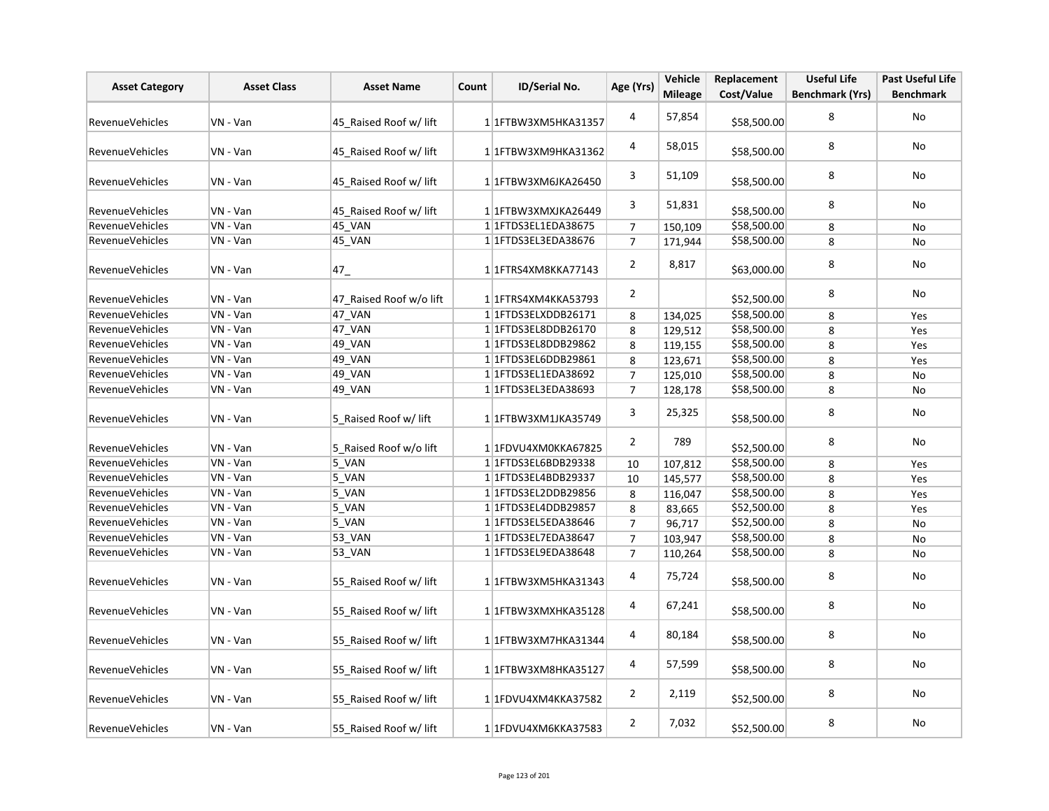| <b>Asset Category</b>  | <b>Asset Class</b> | <b>Asset Name</b>       | Count | ID/Serial No.            | Age (Yrs)        | Vehicle        | Replacement | <b>Useful Life</b>     | <b>Past Useful Life</b> |
|------------------------|--------------------|-------------------------|-------|--------------------------|------------------|----------------|-------------|------------------------|-------------------------|
|                        |                    |                         |       |                          |                  | <b>Mileage</b> | Cost/Value  | <b>Benchmark (Yrs)</b> | <b>Benchmark</b>        |
| <b>RevenueVehicles</b> | VN - Van           | 45 Raised Roof w/ lift  |       | 1 1FTBW3XM5HKA31357      | 4                | 57,854         | \$58,500.00 | 8                      | No                      |
| <b>RevenueVehicles</b> | VN - Van           | 45 Raised Roof w/ lift  |       | 1 1FTBW3XM9HKA31362      | 4                | 58,015         | \$58,500.00 | 8                      | No                      |
| <b>RevenueVehicles</b> | VN - Van           | 45 Raised Roof w/ lift  |       | 1 1FTBW3XM6JKA26450      | 3                | 51,109         | \$58,500.00 | 8                      | No                      |
| <b>RevenueVehicles</b> | VN - Van           | 45 Raised Roof w/ lift  |       | 1 1FTBW3XMXJKA26449      | 3                | 51,831         | \$58,500.00 | 8                      | No                      |
| <b>RevenueVehicles</b> | VN - Van           | 45_VAN                  |       | 1 1 FTDS3EL1EDA38675     | $\boldsymbol{7}$ | 150,109        | \$58,500.00 | 8                      | No                      |
| <b>RevenueVehicles</b> | VN - Van           | 45_VAN                  |       | 1 1 FTDS3EL3EDA38676     | $\overline{7}$   | 171,944        | \$58,500.00 | 8                      | No                      |
| <b>RevenueVehicles</b> | VN - Van           | $47_{-}$                |       | 11FTRS4XM8KKA77143       | $\overline{2}$   | 8,817          | \$63,000.00 | 8                      | No                      |
| <b>RevenueVehicles</b> | VN - Van           | 47 Raised Roof w/o lift |       | 1 1 FTRS4XM4KKA53793     | $\overline{2}$   |                | \$52,500.00 | 8                      | No                      |
| RevenueVehicles        | VN - Van           | 47_VAN                  |       | 1 1FTDS3ELXDDB26171      | 8                | 134,025        | \$58,500.00 | 8                      | Yes                     |
| RevenueVehicles        | VN - Van           | 47_VAN                  |       | 1 1 FTDS3EL8DDB26170     | 8                | 129,512        | \$58,500.00 | 8                      | Yes                     |
| <b>RevenueVehicles</b> | VN - Van           | 49_VAN                  |       | 1 1 FTDS3EL8DDB29862     | 8                | 119,155        | \$58,500.00 | 8                      | Yes                     |
| <b>RevenueVehicles</b> | VN - Van           | 49_VAN                  |       | 1 1 FTDS3EL6DDB29861     | 8                | 123,671        | \$58,500.00 | 8                      | Yes                     |
| <b>RevenueVehicles</b> | VN - Van           | 49_VAN                  |       | 1 1 FTDS3 EL1EDA 38692   | $\overline{7}$   | 125,010        | \$58,500.00 | 8                      | No                      |
| RevenueVehicles        | VN - Van           | 49_VAN                  |       | 1 1 FTDS3EL3EDA38693     | $\overline{7}$   | 128,178        | \$58,500.00 | 8                      | No                      |
| <b>RevenueVehicles</b> | VN - Van           | 5 Raised Roof w/ lift   |       | 1 1 FTBW3XM1JKA35749     | 3                | 25,325         | \$58,500.00 | 8                      | No                      |
| RevenueVehicles        | VN - Van           | 5_Raised Roof w/o lift  |       | 1 1FDVU4XM0KKA67825      | $\overline{2}$   | 789            | \$52,500.00 | 8                      | No                      |
| RevenueVehicles        | VN - Van           | 5_VAN                   |       | 1 1 FTDS3EL6BDB29338     | 10               | 107,812        | \$58,500.00 | 8                      | Yes                     |
| RevenueVehicles        | VN - Van           | 5_VAN                   |       | 1 1 FTDS3EL4BDB29337     | 10               | 145,577        | \$58,500.00 | 8                      | Yes                     |
| <b>RevenueVehicles</b> | VN - Van           | 5_VAN                   |       | 1 1 FTDS3EL2DDB29856     | 8                | 116,047        | \$58,500.00 | 8                      | Yes                     |
| <b>RevenueVehicles</b> | VN - Van           | 5_VAN                   |       | 1 1 FTDS3EL4DDB29857     | 8                | 83,665         | \$52,500.00 | 8                      | Yes                     |
| RevenueVehicles        | VN - Van           | 5_VAN                   |       | 1 1 FTDS3EL5EDA38646     | $\overline{7}$   | 96,717         | \$52,500.00 | 8                      | No                      |
| <b>RevenueVehicles</b> | VN - Van           | 53_VAN                  |       | 1 1 1 FTDS3 EL7EDA 38647 | $\overline{7}$   | 103,947        | \$58,500.00 | 8                      | No                      |
| <b>RevenueVehicles</b> | VN - Van           | 53 VAN                  |       | 1 1 FTDS3EL9EDA38648     | $\overline{7}$   | 110,264        | \$58,500.00 | 8                      | No                      |
| <b>RevenueVehicles</b> | VN - Van           | 55_Raised Roof w/ lift  |       | 1 1 TBW3XM5HKA31343      | 4                | 75,724         | \$58,500.00 | 8                      | No                      |
| <b>RevenueVehicles</b> | VN - Van           | 55 Raised Roof w/ lift  |       | 1 1 TBW3XMXHKA35128      | 4                | 67,241         | \$58,500.00 | 8                      | No                      |
| RevenueVehicles        | VN - Van           | 55 Raised Roof w/ lift  |       | 1 1 TBW3XM7HKA31344      | 4                | 80,184         | \$58,500.00 | 8                      | No                      |
| <b>RevenueVehicles</b> | VN - Van           | 55 Raised Roof w/ lift  |       | 1 1 TBW3XM8HKA35127      | 4                | 57,599         | \$58,500.00 | 8                      | <b>No</b>               |
| <b>RevenueVehicles</b> | VN - Van           | 55 Raised Roof w/ lift  |       | 1 1FDVU4XM4KKA37582      | $\overline{2}$   | 2,119          | \$52,500.00 | 8                      | No                      |
| <b>RevenueVehicles</b> | VN - Van           | 55 Raised Roof w/ lift  |       | 1 1FDVU4XM6KKA37583      | $\overline{2}$   | 7,032          | \$52,500.00 | 8                      | No                      |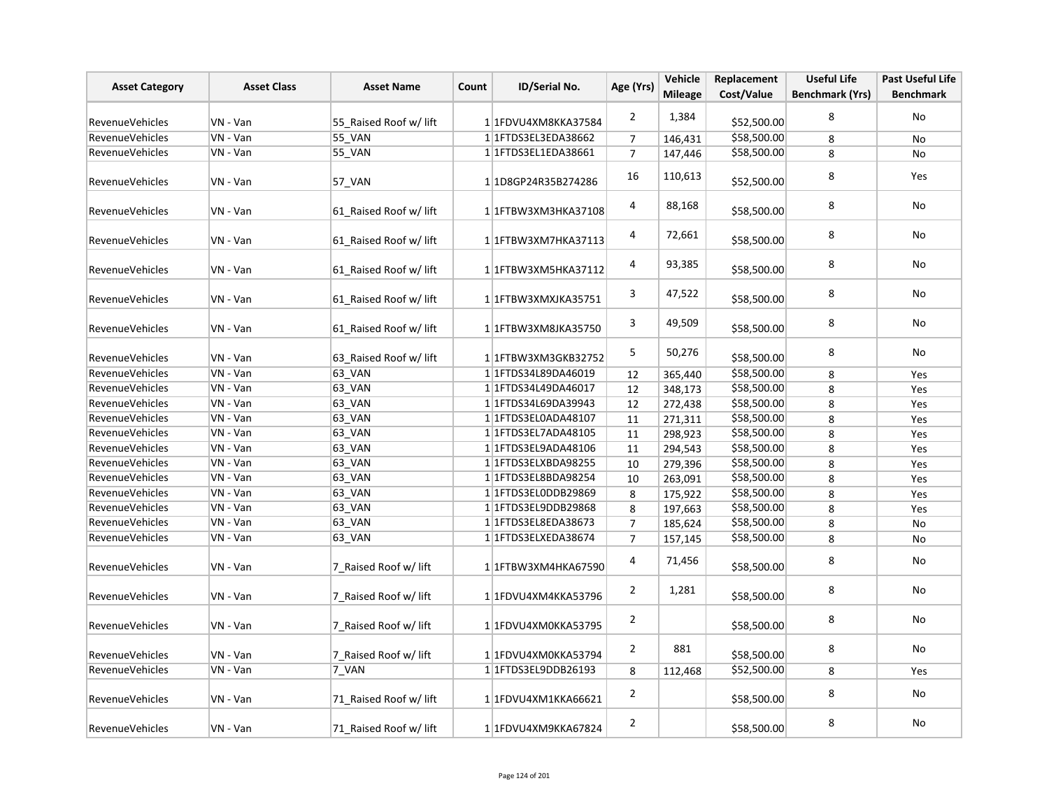| <b>Asset Category</b>  | <b>Asset Class</b><br>ID/Serial No.<br><b>Asset Name</b><br>Count |                        | Age (Yrs)                  | Vehicle        | Replacement    | <b>Useful Life</b> | <b>Past Useful Life</b> |                  |
|------------------------|-------------------------------------------------------------------|------------------------|----------------------------|----------------|----------------|--------------------|-------------------------|------------------|
|                        |                                                                   |                        |                            |                | <b>Mileage</b> | Cost/Value         | <b>Benchmark (Yrs)</b>  | <b>Benchmark</b> |
| RevenueVehicles        | VN - Van                                                          | 55_Raised Roof w/ lift | 1 1FDVU4XM8KKA37584        | $\overline{2}$ | 1,384          | \$52,500.00        | 8                       | No               |
| RevenueVehicles        | VN - Van                                                          | 55_VAN                 | 1 1 FTDS3EL3EDA38662       | $\overline{7}$ | 146,431        | \$58,500.00        | 8                       | No               |
| RevenueVehicles        | VN - Van                                                          | 55_VAN                 | 1 1 FTDS3EL1EDA38661       | $\overline{7}$ | 147,446        | \$58,500.00        | 8                       | <b>No</b>        |
| <b>RevenueVehicles</b> | VN - Van                                                          | 57_VAN                 | 1 1D8GP24R35B274286        | 16             | 110,613        | \$52,500.00        | 8                       | Yes              |
| RevenueVehicles        | VN - Van                                                          | 61 Raised Roof w/ lift | 1 1 FTBW3XM3HKA37108       | 4              | 88,168         | \$58,500.00        | 8                       | No               |
| RevenueVehicles        | VN - Van                                                          | 61 Raised Roof w/ lift | 1 1 FTBW3XM7HKA37113       | 4              | 72,661         | \$58,500.00        | 8                       | No               |
| <b>RevenueVehicles</b> | VN - Van                                                          | 61 Raised Roof w/ lift | 11FTBW3XM5HKA37112         | 4              | 93,385         | \$58,500.00        | 8                       | No               |
| RevenueVehicles        | VN - Van                                                          | 61 Raised Roof w/ lift | 1 1FTBW3XMXJKA35751        | 3              | 47,522         | \$58,500.00        | 8                       | No               |
| <b>RevenueVehicles</b> | VN - Van                                                          | 61 Raised Roof w/ lift | 1 1FTBW3XM8JKA35750        | 3              | 49,509         | \$58,500.00        | 8                       | No               |
| <b>RevenueVehicles</b> | VN - Van                                                          | 63 Raised Roof w/ lift | 1 1 FTBW3XM3GKB32752       | 5              | 50,276         | \$58,500.00        | 8                       | No               |
| RevenueVehicles        | VN - Van                                                          | 63_VAN                 | 1 1 FTDS34L89DA46019       | 12             | 365,440        | \$58,500.00        | 8                       | Yes              |
| <b>RevenueVehicles</b> | VN - Van                                                          | 63_VAN                 | 1 1 1 FTDS 34 L49 DA46017  | 12             | 348,173        | \$58,500.00        | 8                       | Yes              |
| RevenueVehicles        | VN - Van                                                          | 63_VAN                 | 1 1 FTDS34L69DA39943       | 12             | 272,438        | \$58,500.00        | 8                       | Yes              |
| <b>RevenueVehicles</b> | VN - Van                                                          | 63_VAN                 | 1 1 FTDS3EL0ADA48107       | 11             | 271,311        | \$58,500.00        | 8                       | Yes              |
| RevenueVehicles        | VN - Van                                                          | 63 VAN                 | 1 1 FTDS3EL7ADA48105       | 11             | 298,923        | \$58,500.00        | 8                       | Yes              |
| RevenueVehicles        | VN - Van                                                          | 63_VAN                 | 1 1 FTDS3EL9ADA48106       | 11             | 294,543        | \$58,500.00        | 8                       | Yes              |
| RevenueVehicles        | VN - Van                                                          | 63_VAN                 | 1 1FTDS3ELXBDA98255        | 10             | 279,396        | \$58,500.00        | 8                       | Yes              |
| RevenueVehicles        | $VN - Van$                                                        | 63_VAN                 | 1 1 FTDS3EL8BDA98254       | 10             | 263,091        | \$58,500.00        | 8                       | Yes              |
| RevenueVehicles        | VN - Van                                                          | 63_VAN                 | 1 1FTDS3EL0DDB29869        | 8              | 175,922        | \$58,500.00        | 8                       | Yes              |
| RevenueVehicles        | VN - Van                                                          | 63_VAN                 | 1 1FTDS3EL9DDB29868        | 8              | 197,663        | \$58,500.00        | 8                       | Yes              |
| RevenueVehicles        | VN - Van                                                          | 63 VAN                 | 1 1 1 FTD S3 EL8ED A 38673 | $\sqrt{ }$     | 185,624        | \$58,500.00        | 8                       | No               |
| RevenueVehicles        | VN - Van                                                          | 63 VAN                 | 1 1FTDS3ELXEDA38674        | $\overline{7}$ | 157,145        | \$58,500.00        | 8                       | No               |
| <b>RevenueVehicles</b> | VN - Van                                                          | 7 Raised Roof w/ lift  | 1 1FTBW3XM4HKA67590        | 4              | 71,456         | \$58,500.00        | 8                       | No               |
| <b>RevenueVehicles</b> | VN - Van                                                          | 7 Raised Roof w/ lift  | 1 1FDVU4XM4KKA53796        | $\overline{2}$ | 1,281          | \$58,500.00        | 8                       | No               |
| RevenueVehicles        | VN - Van                                                          | 7_Raised Roof w/ lift  | 1 1FDVU4XM0KKA53795        | $\overline{2}$ |                | \$58,500.00        | 8                       | No               |
| RevenueVehicles        | VN - Van                                                          | 7_Raised Roof w/ lift  | 1 1FDVU4XM0KKA53794        | $\overline{2}$ | 881            | \$58,500.00        | 8                       | No               |
| <b>RevenueVehicles</b> | VN - Van                                                          | 7 VAN                  | 1 1 FTDS3EL9DDB26193       | 8              | 112,468        | \$52,500.00        | 8                       | Yes              |
| <b>RevenueVehicles</b> | VN - Van                                                          | 71_Raised Roof w/ lift | 1 1FDVU4XM1KKA66621        | $\overline{2}$ |                | \$58,500.00        | 8                       | No               |
| <b>RevenueVehicles</b> | VN - Van                                                          | 71 Raised Roof w/ lift | 1 1FDVU4XM9KKA67824        | $\overline{2}$ |                | \$58,500.00        | 8                       | No               |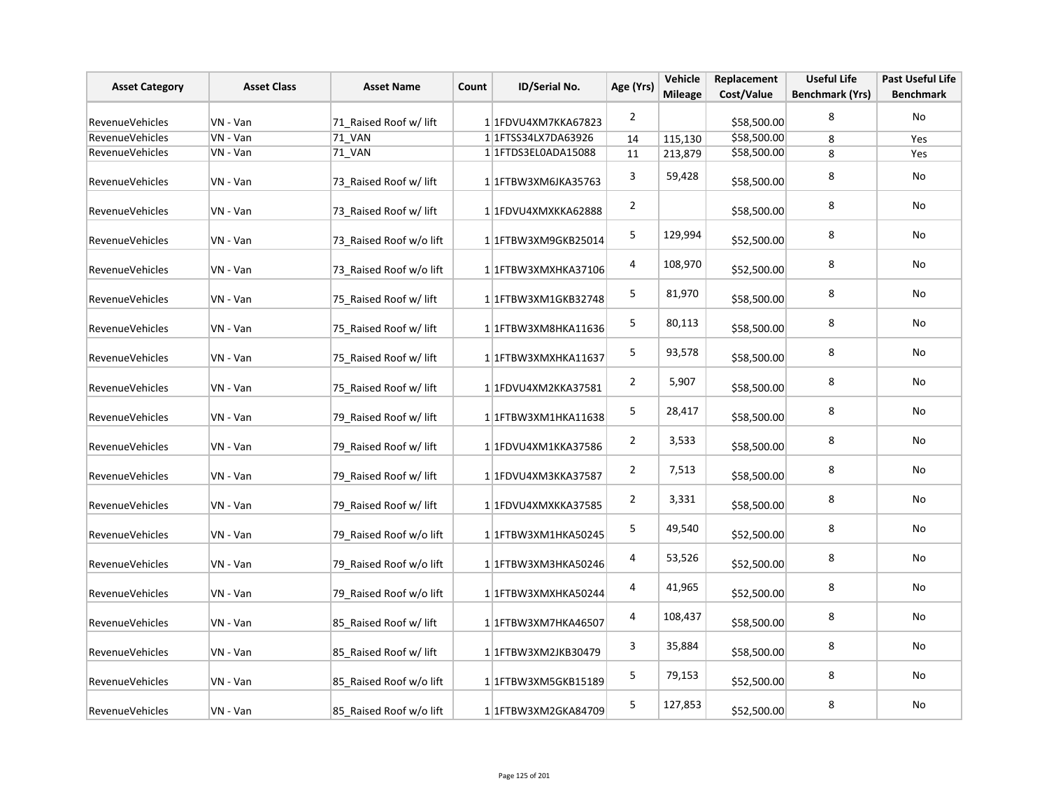| <b>Asset Category</b>  | <b>Asset Class</b> | <b>Asset Name</b>       | Count | ID/Serial No.            | Age (Yrs)      | Vehicle<br><b>Mileage</b> | Replacement<br>Cost/Value | <b>Useful Life</b><br><b>Benchmark (Yrs)</b> | Past Useful Life<br><b>Benchmark</b> |
|------------------------|--------------------|-------------------------|-------|--------------------------|----------------|---------------------------|---------------------------|----------------------------------------------|--------------------------------------|
| RevenueVehicles        | VN - Van           | 71 Raised Roof w/ lift  |       | 1 1 FDVU4XM7KKA67823     | $\overline{2}$ |                           | \$58,500.00               | 8                                            | No                                   |
| <b>RevenueVehicles</b> | VN - Van           | 71 VAN                  |       | 1 1 1 FTSS34 LX7 DA63926 | 14             | 115,130                   | \$58,500.00               | 8                                            | Yes                                  |
| RevenueVehicles        | VN - Van           | 71 VAN                  |       | 1 1 1 FTDS3 ELOADA 15088 | 11             | 213,879                   | \$58,500.00               | 8                                            | Yes                                  |
| <b>RevenueVehicles</b> | VN - Van           | 73 Raised Roof w/ lift  |       | 1 1FTBW3XM6JKA35763      | 3              | 59,428                    | \$58,500.00               | 8                                            | No                                   |
| RevenueVehicles        | VN - Van           | 73 Raised Roof w/ lift  |       | 1 1FDVU4XMXKKA62888      | $\overline{2}$ |                           | \$58,500.00               | 8                                            | No                                   |
| RevenueVehicles        | VN - Van           | 73 Raised Roof w/o lift |       | 1 1 1 TBW3XM9 GKB25014   | 5              | 129,994                   | \$52,500.00               | 8                                            | No                                   |
| RevenueVehicles        | VN - Van           | 73 Raised Roof w/o lift |       | 1 1FTBW3XMXHKA37106      | 4              | 108,970                   | \$52,500.00               | 8                                            | No                                   |
| <b>RevenueVehicles</b> | VN - Van           | 75_Raised Roof w/ lift  |       | 11FTBW3XM1GKB32748       | 5              | 81,970                    | \$58,500.00               | 8                                            | No                                   |
| RevenueVehicles        | VN - Van           | 75 Raised Roof w/ lift  |       | 1 1 FTBW3XM8HKA11636     | 5              | 80,113                    | \$58,500.00               | 8                                            | No                                   |
| <b>RevenueVehicles</b> | VN - Van           | 75 Raised Roof w/ lift  |       | 1 1FTBW3XMXHKA11637      | 5              | 93,578                    | \$58,500.00               | 8                                            | No                                   |
| RevenueVehicles        | VN - Van           | 75 Raised Roof w/ lift  |       | 1 1FDVU4XM2KKA37581      | $\overline{2}$ | 5,907                     | \$58,500.00               | 8                                            | No                                   |
| RevenueVehicles        | VN - Van           | 79_Raised Roof w/ lift  |       | $1 1$ FTBW3XM1HKA11638   | 5              | 28,417                    | \$58,500.00               | 8                                            | No                                   |
| RevenueVehicles        | VN - Van           | 79_Raised Roof w/ lift  |       | 1 1FDVU4XM1KKA37586      | $\overline{2}$ | 3,533                     | \$58,500.00               | 8                                            | No                                   |
| <b>RevenueVehicles</b> | VN - Van           | 79 Raised Roof w/ lift  |       | 1 1FDVU4XM3KKA37587      | $\overline{2}$ | 7,513                     | \$58,500.00               | 8                                            | <b>No</b>                            |
| RevenueVehicles        | VN - Van           | 79_Raised Roof w/ lift  |       | 1 1FDVU4XMXKKA37585      | $\overline{2}$ | 3,331                     | \$58,500.00               | 8                                            | No                                   |
| RevenueVehicles        | VN - Van           | 79 Raised Roof w/o lift |       | 1 1 FTBW3XM1HKA50245     | 5              | 49,540                    | \$52,500.00               | 8                                            | No                                   |
| RevenueVehicles        | VN - Van           | 79 Raised Roof w/o lift |       | 1 1FTBW3XM3HKA50246      | 4              | 53,526                    | \$52,500.00               | 8                                            | No                                   |
| RevenueVehicles        | VN - Van           | 79 Raised Roof w/o lift |       | 1 1FTBW3XMXHKA50244      | 4              | 41,965                    | \$52,500.00               | 8                                            | No                                   |
| <b>RevenueVehicles</b> | VN - Van           | 85_Raised Roof w/ lift  |       | 1 1 FTBW3XM7HKA46507     | 4              | 108,437                   | \$58,500.00               | 8                                            | No                                   |
| RevenueVehicles        | VN - Van           | 85 Raised Roof w/ lift  |       | 1 1 FTBW3XM2JKB30479     | 3              | 35,884                    | \$58,500.00               | 8                                            | No                                   |
| <b>RevenueVehicles</b> | VN - Van           | 85 Raised Roof w/o lift |       | 1 1FTBW3XM5GKB15189      | 5              | 79,153                    | \$52,500.00               | 8                                            | No                                   |
| RevenueVehicles        | VN - Van           | 85 Raised Roof w/o lift |       | 1 1 FTBW3XM2GKA84709     | 5              | 127,853                   | \$52,500.00               | 8                                            | No                                   |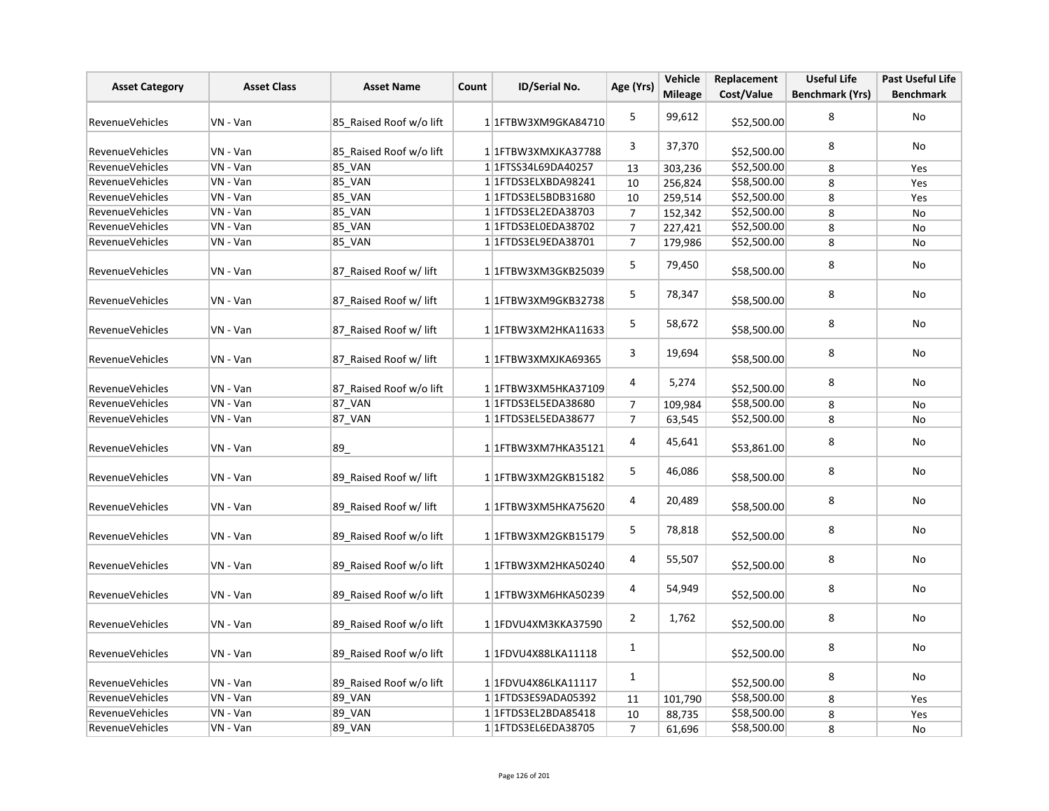| <b>Asset Category</b>  | <b>Asset Class</b> | <b>Asset Name</b>       | Replacement<br>Vehicle<br>Age (Yrs)<br>ID/Serial No.<br>Count<br><b>Mileage</b><br>Cost/Value |                            | <b>Useful Life</b>      | Past Useful Life |             |                        |                  |
|------------------------|--------------------|-------------------------|-----------------------------------------------------------------------------------------------|----------------------------|-------------------------|------------------|-------------|------------------------|------------------|
|                        |                    |                         |                                                                                               |                            |                         |                  |             | <b>Benchmark (Yrs)</b> | <b>Benchmark</b> |
| <b>RevenueVehicles</b> | VN - Van           | 85 Raised Roof w/o lift |                                                                                               | 1 1 FTBW3XM9GKA84710       | 5                       | 99,612           | \$52,500.00 | 8                      | No               |
| RevenueVehicles        | VN - Van           | 85 Raised Roof w/o lift |                                                                                               | 1 1 FTBW3XMXJKA37788       | 3                       | 37,370           | \$52,500.00 | 8                      | No               |
| <b>RevenueVehicles</b> | VN - Van           | <b>85 VAN</b>           |                                                                                               | 1 1 FTSS34L69DA40257       | 13                      | 303,236          | \$52,500.00 | 8                      | Yes              |
| RevenueVehicles        | VN - Van           | <b>85_VAN</b>           |                                                                                               | 1 1FTDS3ELXBDA98241        | 10                      | 256,824          | \$58,500.00 | 8                      | Yes              |
| <b>RevenueVehicles</b> | VN - Van           | 85_VAN                  |                                                                                               | 1 1 FTDS3EL5BDB31680       | 10                      | 259,514          | \$52,500.00 | 8                      | Yes              |
| <b>RevenueVehicles</b> | VN - Van           | 85_VAN                  |                                                                                               | 1 1 1 FTD S3 EL2ED A 38703 | $\overline{7}$          | 152,342          | \$52,500.00 | 8                      | No               |
| RevenueVehicles        | VN - Van           | 85_VAN                  |                                                                                               | 1 1 FTDS3EL0EDA38702       | $\overline{7}$          | 227,421          | \$52,500.00 | 8                      | No               |
| <b>RevenueVehicles</b> | VN - Van           | 85 VAN                  |                                                                                               | 1 1 FTDS3EL9EDA38701       | $\overline{7}$          | 179,986          | \$52,500.00 | 8                      | <b>No</b>        |
| RevenueVehicles        | VN - Van           | 87 Raised Roof w/ lift  |                                                                                               | 1 1 FTBW3XM3GKB25039       | 5                       | 79,450           | \$58,500.00 | 8                      | No               |
| <b>RevenueVehicles</b> | VN - Van           | 87_Raised Roof w/ lift  |                                                                                               | 1 1 FTBW3XM9GKB32738       | 5                       | 78,347           | \$58,500.00 | 8                      | No               |
| <b>RevenueVehicles</b> | VN - Van           | 87 Raised Roof w/ lift  |                                                                                               | 1 1 FTBW3XM2HKA11633       | 5                       | 58,672           | \$58,500.00 | 8                      | No               |
| <b>RevenueVehicles</b> | VN - Van           | 87_Raised Roof w/ lift  |                                                                                               | 1 1 FTBW3XMXJKA69365       | 3                       | 19,694           | \$58,500.00 | 8                      | No               |
| <b>RevenueVehicles</b> | VN - Van           | 87 Raised Roof w/o lift |                                                                                               | 1 1 FTBW3XM5HKA37109       | 4                       | 5,274            | \$52,500.00 | 8                      | No               |
| <b>RevenueVehicles</b> | VN - Van           | 87_VAN                  |                                                                                               | 1 1 FTDS3EL5EDA38680       | $\overline{7}$          | 109,984          | \$58,500.00 | 8                      | No               |
| RevenueVehicles        | VN - Van           | 87_VAN                  |                                                                                               | 1 1 1 FTDS3 EL5EDA 38677   | $\overline{7}$          | 63,545           | \$52,500.00 | 8                      | No               |
| <b>RevenueVehicles</b> | VN - Van           | 89                      |                                                                                               | 11FTBW3XM7HKA35121         | 4                       | 45,641           | \$53,861.00 | 8                      | No               |
| RevenueVehicles        | VN - Van           | 89 Raised Roof w/ lift  |                                                                                               | 1 1FTBW3XM2GKB15182        | 5                       | 46,086           | \$58,500.00 | 8                      | No               |
| <b>RevenueVehicles</b> | VN - Van           | 89 Raised Roof w/ lift  |                                                                                               | 11FTBW3XM5HKA75620         | 4                       | 20,489           | \$58,500.00 | 8                      | No               |
| <b>RevenueVehicles</b> | VN - Van           | 89 Raised Roof w/o lift |                                                                                               | 1 1 FTBW3XM2GKB15179       | 5                       | 78,818           | \$52,500.00 | 8                      | No               |
| RevenueVehicles        | VN - Van           | 89_Raised Roof w/o lift |                                                                                               | 1 1FTBW3XM2HKA50240        | $\overline{\mathbf{4}}$ | 55,507           | \$52,500.00 | 8                      | <b>No</b>        |
| <b>RevenueVehicles</b> | VN - Van           | 89 Raised Roof w/o lift |                                                                                               | 1 1FTBW3XM6HKA50239        | 4                       | 54,949           | \$52,500.00 | 8                      | No               |
| RevenueVehicles        | VN - Van           | 89 Raised Roof w/o lift |                                                                                               | 1 1FDVU4XM3KKA37590        | $\overline{2}$          | 1,762            | \$52,500.00 | 8                      | <b>No</b>        |
| <b>RevenueVehicles</b> | VN - Van           | 89 Raised Roof w/o lift |                                                                                               | 1 1FDVU4X88LKA11118        | $\mathbf{1}$            |                  | \$52,500.00 | 8                      | No               |
| RevenueVehicles        | VN - Van           | 89_Raised Roof w/o lift |                                                                                               | 1 1 FDVU4X86LKA11117       | 1                       |                  | \$52,500.00 | 8                      | No               |
| <b>RevenueVehicles</b> | VN - Van           | <b>89 VAN</b>           |                                                                                               | 1 1 FTDS3ES9ADA05392       | 11                      | 101,790          | \$58,500.00 | 8                      | Yes              |
| <b>RevenueVehicles</b> | VN - Van           | 89_VAN                  |                                                                                               | 1 1 FTDS3EL2BDA85418       | 10                      | 88,735           | \$58,500.00 | 8                      | Yes              |
| <b>RevenueVehicles</b> | VN - Van           | 89_VAN                  |                                                                                               | 1 1 FTDS3EL6EDA38705       | $\overline{7}$          | 61,696           | \$58,500.00 | 8                      | No               |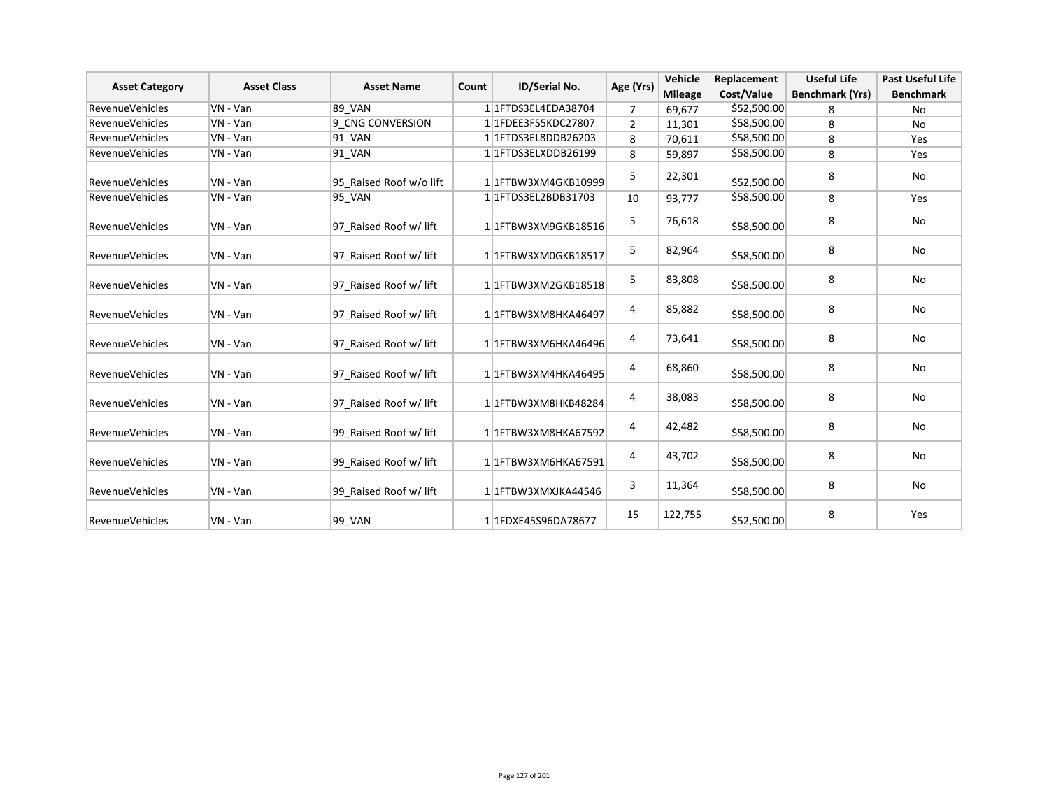| <b>Asset Category</b>  | <b>Asset Class</b> | <b>Asset Name</b>       | Count | ID/Serial No.                      | Age (Yrs)      | Vehicle        | Replacement | <b>Useful Life</b>     | <b>Past Useful Life</b> |
|------------------------|--------------------|-------------------------|-------|------------------------------------|----------------|----------------|-------------|------------------------|-------------------------|
|                        |                    |                         |       |                                    |                | <b>Mileage</b> | Cost/Value  | <b>Benchmark (Yrs)</b> | <b>Benchmark</b>        |
| <b>RevenueVehicles</b> | VN - Van           | <b>89 VAN</b>           |       | 1 1 1 FTDS3 EL4EDA 38704           | 7              | 69,677         | \$52,500.00 | 8                      | No                      |
| <b>RevenueVehicles</b> | VN - Van           | 9 CNG CONVERSION        |       | 1 1 FDEE3FS5KDC27807               | $\overline{2}$ | 11,301         | \$58,500.00 | 8                      | <b>No</b>               |
| <b>RevenueVehicles</b> | VN - Van           | 91 VAN                  |       | 1 1 FTDS3EL8DDB26203               | 8              | 70,611         | \$58,500.00 | 8                      | Yes                     |
| <b>RevenueVehicles</b> | VN - Van           | 91 VAN                  |       | 1 1FTDS3ELXDDB26199                | 8              | 59,897         | \$58,500.00 | 8                      | Yes                     |
| <b>RevenueVehicles</b> | VN - Van           | 95 Raised Roof w/o lift |       | 11FTBW3XM4GKB10999                 | 5              | 22,301         | \$52,500.00 | 8                      | No                      |
| <b>RevenueVehicles</b> | VN - Van           | <b>95 VAN</b>           |       | 1 1 FTDS3EL2BDB31703               | 10             | 93,777         | \$58,500.00 | 8                      | Yes                     |
| <b>RevenueVehicles</b> | VN - Van           | 97 Raised Roof w/ lift  |       | 1 1 FTBW3XM9GKB18516               | 5              | 76,618         | \$58,500.00 | 8                      | No                      |
| <b>RevenueVehicles</b> | VN - Van           | 97 Raised Roof w/ lift  |       | 11FTBW3XM0GKB18517                 | 5              | 82,964         | \$58,500.00 | 8                      | <b>No</b>               |
| <b>RevenueVehicles</b> | VN - Van           | 97 Raised Roof w/ lift  |       | 11FTBW3XM2GKB18518                 | 5              | 83,808         | \$58,500.00 | 8                      | <b>No</b>               |
| <b>RevenueVehicles</b> | VN - Van           | 97 Raised Roof w/ lift  |       | 1 1 FTBW3XM8HKA46497               | 4              | 85,882         | \$58,500.00 | 8                      | No                      |
| <b>RevenueVehicles</b> | VN - Van           | 97 Raised Roof w/ lift  |       | 1 1FTBW3XM6HKA46496                | 4              | 73,641         | \$58,500.00 | 8                      | <b>No</b>               |
| <b>RevenueVehicles</b> | VN - Van           | 97 Raised Roof w/ lift  |       | 1 1 1 FTBW 3 X M 4 H K A 4 6 4 9 5 | 4              | 68,860         | \$58,500.00 | 8                      | <b>No</b>               |
| <b>RevenueVehicles</b> | VN - Van           | 97 Raised Roof w/ lift  |       | 11FTBW3XM8HKB48284                 | 4              | 38,083         | \$58,500.00 | 8                      | <b>No</b>               |
| <b>RevenueVehicles</b> | VN - Van           | 99 Raised Roof w/ lift  |       | 11FTBW3XM8HKA67592                 | 4              | 42,482         | \$58,500.00 | 8                      | <b>No</b>               |
| <b>RevenueVehicles</b> | VN - Van           | 99 Raised Roof w/ lift  |       | 1 1 FTBW3XM6HKA67591               | 4              | 43,702         | \$58,500.00 | 8                      | No                      |
| <b>RevenueVehicles</b> | VN - Van           | 99 Raised Roof w/ lift  |       | 1 1FTBW3XMXJKA44546                | 3              | 11,364         | \$58,500.00 | 8                      | No                      |
| <b>RevenueVehicles</b> | VN - Van           | <b>99 VAN</b>           |       | 11FDXE45S96DA78677                 | 15             | 122,755        | \$52,500.00 | 8                      | Yes                     |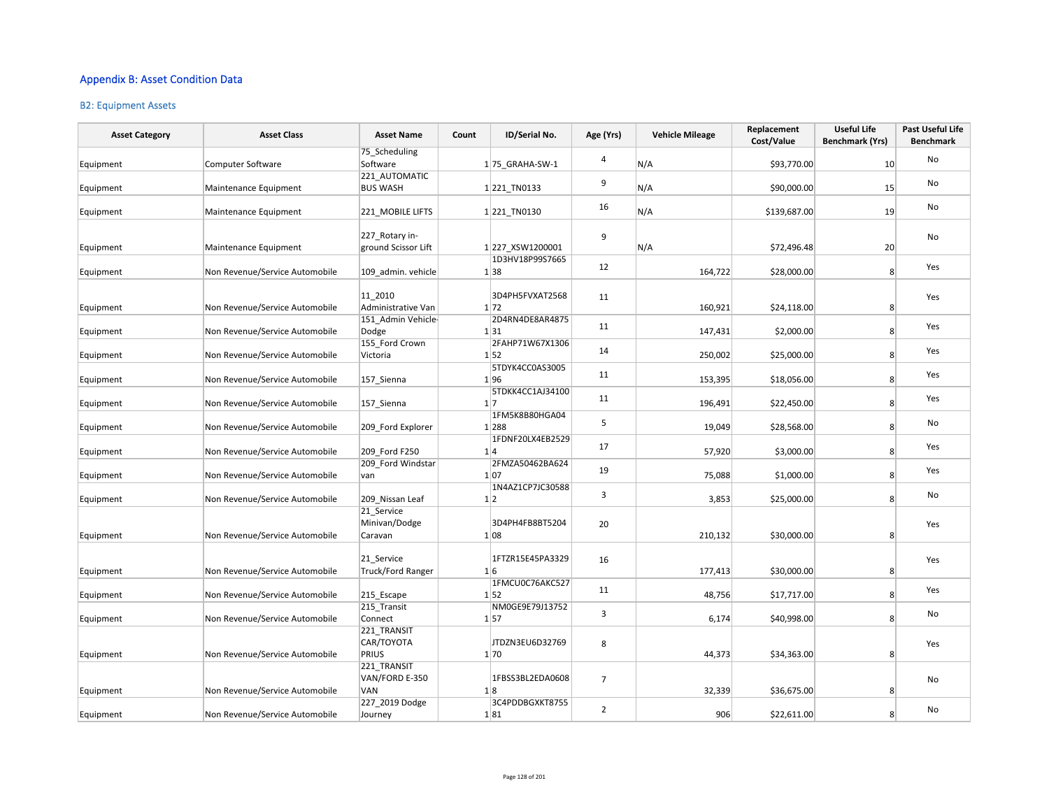### Appendix B: Asset Condition Data

#### B2: Equipment Assets

| <b>Asset Category</b> | <b>Asset Class</b>             | <b>Asset Name</b>                      | Count | ID/Serial No.           | Age (Yrs)      | <b>Vehicle Mileage</b> | Replacement<br>Cost/Value | <b>Useful Life</b><br><b>Benchmark (Yrs)</b> | Past Useful Life<br><b>Benchmark</b> |
|-----------------------|--------------------------------|----------------------------------------|-------|-------------------------|----------------|------------------------|---------------------------|----------------------------------------------|--------------------------------------|
|                       |                                | 75 Scheduling                          |       |                         | $\overline{4}$ |                        |                           |                                              | No                                   |
| Equipment             | <b>Computer Software</b>       | Software                               |       | 1 75 GRAHA-SW-1         |                | N/A                    | \$93,770.00               | 10                                           |                                      |
| Equipment             | Maintenance Equipment          | 221 AUTOMATIC<br><b>BUS WASH</b>       |       | 1221_TN0133             | 9              | N/A                    | \$90,000.00               | 15                                           | No                                   |
| Equipment             | Maintenance Equipment          | 221_MOBILE LIFTS                       |       | 1221_TN0130             | 16             | N/A                    | \$139,687.00              | 19                                           | No                                   |
| Equipment             | Maintenance Equipment          | 227 Rotary in-<br>ground Scissor Lift  |       | 1 227 XSW1200001        | 9              | N/A                    | \$72,496.48               | 20                                           | No                                   |
| Equipment             | Non Revenue/Service Automobile | 109 admin. vehicle                     |       | 1D3HV18P99S7665<br>1 38 | 12             | 164,722                | \$28,000.00               | 8                                            | Yes                                  |
| Equipment             | Non Revenue/Service Automobile | 11 2010<br>Administrative Van          |       | 3D4PH5FVXAT2568<br>1 72 | 11             | 160,921                | \$24,118.00               | 8                                            | Yes                                  |
| Equipment             | Non Revenue/Service Automobile | 151 Admin Vehicle-<br>Dodge            |       | 2D4RN4DE8AR4875<br>1 31 | 11             | 147,431                | \$2,000.00                | 8 <sup>1</sup>                               | Yes                                  |
| Equipment             | Non Revenue/Service Automobile | 155 Ford Crown<br>Victoria             |       | 2FAHP71W67X1306<br>1 52 | 14             | 250,002                | \$25,000.00               | 8 <sup>°</sup>                               | Yes                                  |
| Equipment             | Non Revenue/Service Automobile | 157 Sienna                             |       | 5TDYK4CC0AS3005<br>1 96 | 11             | 153,395                | \$18,056.00               | 8 <sup>°</sup>                               | Yes                                  |
| Equipment             | Non Revenue/Service Automobile | 157_Sienna                             |       | 5TDKK4CC1AJ34100<br>1 7 | 11             | 196,491                | \$22,450.00               | 8 <sup>1</sup>                               | Yes                                  |
| Equipment             | Non Revenue/Service Automobile | 209 Ford Explorer                      |       | 1FM5K8B80HGA04<br>1 288 | 5              | 19,049                 | \$28,568.00               | 8                                            | No                                   |
| Equipment             | Non Revenue/Service Automobile | 209 Ford F250                          |       | 1FDNF20LX4EB2529<br>1 4 | 17             | 57,920                 | \$3,000.00                | 8 <sup>2</sup>                               | Yes                                  |
| Equipment             | Non Revenue/Service Automobile | 209 Ford Windstar<br>van               |       | 2FMZA50462BA624<br>1 07 | 19             | 75,088                 | \$1,000.00                | 8                                            | Yes                                  |
| Equipment             | Non Revenue/Service Automobile | 209 Nissan Leaf                        |       | 1N4AZ1CP7JC30588<br>1 2 | 3              | 3,853                  | \$25,000.00               | 8 <sup>°</sup>                               | No                                   |
| Equipment             | Non Revenue/Service Automobile | 21 Service<br>Minivan/Dodge<br>Caravan |       | 3D4PH4FB8BT5204<br>1 08 | 20             | 210,132                | \$30,000.00               | 8                                            | Yes                                  |
| Equipment             | Non Revenue/Service Automobile | 21 Service<br><b>Truck/Ford Ranger</b> |       | 1FTZR15E45PA3329<br>1 6 | 16             | 177,413                | \$30,000.00               | 8                                            | Yes                                  |
| Equipment             | Non Revenue/Service Automobile | 215 Escape                             |       | 1FMCU0C76AKC527<br>1 52 | 11             | 48,756                 | \$17,717.00               | 8                                            | Yes                                  |
| Equipment             | Non Revenue/Service Automobile | 215 Transit<br>Connect                 |       | NM0GE9E79J13752<br>1 57 | 3              | 6,174                  | \$40,998.00               | 8                                            | No                                   |
| Equipment             | Non Revenue/Service Automobile | 221 TRANSIT<br>CAR/TOYOTA<br>PRIUS     |       | JTDZN3EU6D32769<br>1 70 | 8              | 44,373                 | \$34,363.00               | 8                                            | Yes                                  |
|                       |                                | 221 TRANSIT<br>VAN/FORD E-350          |       | 1FBSS3BL2EDA0608        | $\overline{7}$ |                        |                           |                                              | No                                   |
| Equipment             | Non Revenue/Service Automobile | VAN<br>227 2019 Dodge                  |       | 1 8<br>3C4PDDBGXKT8755  |                | 32,339                 | \$36,675.00               | 8                                            |                                      |
| Equipment             | Non Revenue/Service Automobile | Journey                                |       | 1 81                    | $\overline{2}$ | 906                    | \$22,611.00               | 8                                            | No                                   |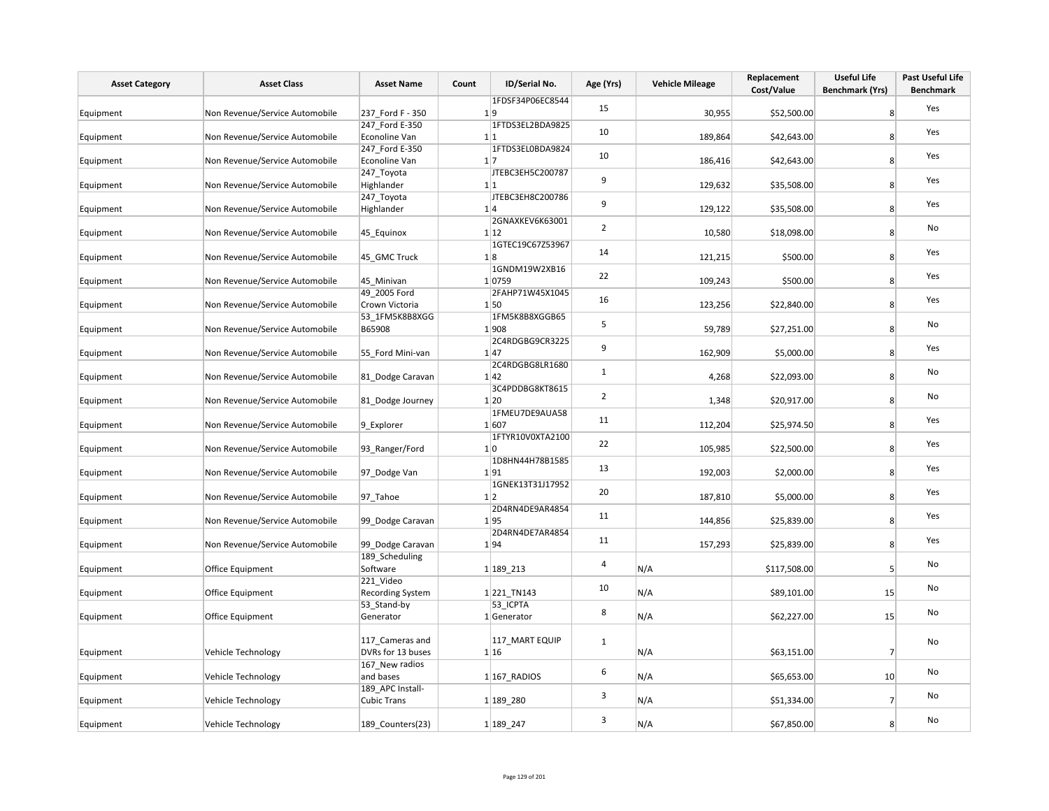| <b>Asset Category</b> | <b>Asset Class</b>             | <b>Asset Name</b>                      | ID/Serial No.<br>Count                     | Age (Yrs)      | <b>Vehicle Mileage</b> | Replacement<br>Cost/Value | <b>Useful Life</b><br><b>Benchmark (Yrs)</b> | Past Useful Life<br><b>Benchmark</b> |
|-----------------------|--------------------------------|----------------------------------------|--------------------------------------------|----------------|------------------------|---------------------------|----------------------------------------------|--------------------------------------|
| Equipment             | Non Revenue/Service Automobile | 237 Ford F - 350                       | 1FDSF34P06EC8544<br>1 9                    | 15             | 30,955                 | \$52,500.00               | 8                                            | Yes                                  |
| Equipment             | Non Revenue/Service Automobile | 247 Ford E-350<br>Econoline Van        | 1FTDS3EL2BDA9825<br>1 1                    | 10             | 189,864                | \$42,643.00               | 8                                            | Yes                                  |
| Equipment             | Non Revenue/Service Automobile | 247_Ford E-350<br>Econoline Van        | 1FTDS3EL0BDA9824<br>$1\vert 7$             | 10             | 186,416                | \$42,643.00               | 8                                            | Yes                                  |
| Equipment             | Non Revenue/Service Automobile | 247_Toyota<br>Highlander               | JTEBC3EH5C200787<br>1 1                    | 9              | 129,632                | \$35,508.00               | 8                                            | Yes                                  |
| Equipment             | Non Revenue/Service Automobile | 247_Toyota<br>Highlander               | JTEBC3EH8C200786<br>1 4<br>2GNAXKEV6K63001 | 9              | 129,122                | \$35,508.00               | 8                                            | Yes                                  |
| Equipment             | Non Revenue/Service Automobile | 45_Equinox                             | 1 12<br>1GTEC19C67Z53967                   | $\overline{2}$ | 10,580                 | \$18,098.00               | 8                                            | No                                   |
| Equipment             | Non Revenue/Service Automobile | 45_GMC Truck                           | 1 8<br>1GNDM19W2XB16                       | 14             | 121,215                | \$500.00                  | 8                                            | Yes                                  |
| Equipment             | Non Revenue/Service Automobile | 45_Minivan<br>49 2005 Ford             | 1 0759<br>2FAHP71W45X1045                  | 22             | 109,243                | \$500.00                  | 8                                            | Yes                                  |
| Equipment             | Non Revenue/Service Automobile | Crown Victoria<br>53_1FM5K8B8XGG       | 1 50<br>1FM5K8B8XGGB65                     | 16             | 123,256                | \$22,840.00               | 8                                            | Yes                                  |
| Equipment             | Non Revenue/Service Automobile | <b>B65908</b>                          | 1908<br>2C4RDGBG9CR3225                    | 5              | 59,789                 | \$27,251.00               | 8                                            | No                                   |
| Equipment             | Non Revenue/Service Automobile | 55 Ford Mini-van                       | 1 47<br>2C4RDGBG8LR1680                    | 9              | 162,909                | \$5,000.00                | 8                                            | Yes                                  |
| Equipment             | Non Revenue/Service Automobile | 81_Dodge Caravan                       | 1 42<br>3C4PDDBG8KT8615                    | $\mathbf{1}$   | 4,268                  | \$22,093.00               | 8                                            | No                                   |
| Equipment             | Non Revenue/Service Automobile | 81_Dodge Journey                       | 1 20<br>1FMEU7DE9AUA58                     | $\overline{2}$ | 1,348                  | \$20,917.00               | 8                                            | No                                   |
| Equipment             | Non Revenue/Service Automobile | 9_Explorer                             | 1 607<br>1FTYR10V0XTA2100                  | 11             | 112,204                | \$25,974.50               | 8                                            | Yes                                  |
| Equipment             | Non Revenue/Service Automobile | 93 Ranger/Ford                         | 1 0<br>1D8HN44H78B1585                     | 22             | 105,985                | \$22,500.00               | 8                                            | Yes                                  |
| Equipment             | Non Revenue/Service Automobile | 97 Dodge Van                           | 1 91<br>1GNEK13T31J17952                   | 13             | 192,003                | \$2,000.00                | 8                                            | Yes                                  |
| Equipment             | Non Revenue/Service Automobile | 97_Tahoe                               | 1 2<br>2D4RN4DE9AR4854                     | 20             | 187,810                | \$5,000.00                | 8                                            | Yes                                  |
| Equipment             | Non Revenue/Service Automobile | 99 Dodge Caravan                       | 1 95<br>2D4RN4DE7AR4854                    | 11             | 144,856                | \$25,839.00               | 8                                            | Yes                                  |
| Equipment             | Non Revenue/Service Automobile | 99_Dodge Caravan<br>189 Scheduling     | 1 94                                       | 11             | 157,293                | \$25,839.00               | 8                                            | Yes                                  |
| Equipment             | Office Equipment               | Software<br>221_Video                  | 1 189 213                                  | 4              | N/A                    | \$117,508.00              | 5 <sup>1</sup>                               | No                                   |
| Equipment             | Office Equipment               | <b>Recording System</b><br>53_Stand-by | 1 221 TN143<br>53_ICPTA                    | 10             | N/A                    | \$89,101.00               | 15                                           | No                                   |
| Equipment             | Office Equipment               | Generator                              | 1 Generator                                | 8              | N/A                    | \$62,227.00               | 15                                           | No                                   |
| Equipment             | Vehicle Technology             | 117_Cameras and<br>DVRs for 13 buses   | 117_MART EQUIP<br>1 16                     | $\mathbf{1}$   | N/A                    | \$63,151.00               | 7                                            | No                                   |
| Equipment             | Vehicle Technology             | 167_New radios<br>and bases            | $1 167$ RADIOS                             | 6              | N/A                    | \$65,653.00               | 10                                           | No                                   |
| Equipment             | Vehicle Technology             | 189_APC Install-<br><b>Cubic Trans</b> | 1 189 280                                  | 3              | N/A                    | \$51,334.00               | $\overline{7}$                               | No                                   |
| Equipment             | Vehicle Technology             | 189 Counters(23)                       | 1 189 247                                  | 3              | N/A                    | \$67,850.00               | 8                                            | No                                   |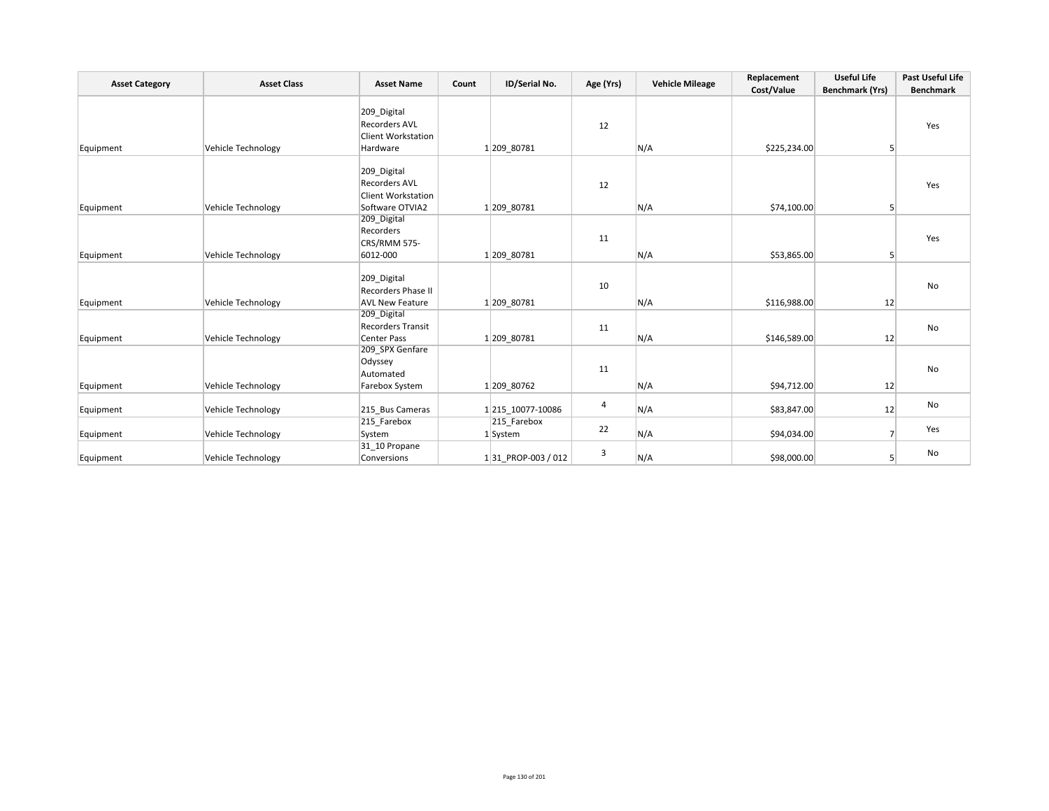| <b>Asset Category</b> | <b>Asset Class</b>        | <b>Asset Name</b>                                                                   | Count | ID/Serial No.           | Age (Yrs) | <b>Vehicle Mileage</b> | Replacement  | <b>Useful Life</b>     | Past Useful Life |
|-----------------------|---------------------------|-------------------------------------------------------------------------------------|-------|-------------------------|-----------|------------------------|--------------|------------------------|------------------|
|                       |                           |                                                                                     |       |                         |           |                        | Cost/Value   | <b>Benchmark (Yrs)</b> | <b>Benchmark</b> |
| Equipment             | <b>Vehicle Technology</b> | 209 Digital<br><b>Recorders AVL</b><br><b>Client Workstation</b><br>Hardware        |       | 1 209 80781             | 12        | N/A                    | \$225,234.00 | 5 <sup>1</sup>         | Yes              |
| Equipment             | Vehicle Technology        | 209_Digital<br><b>Recorders AVL</b><br><b>Client Workstation</b><br>Software OTVIA2 |       | 1 209 80781             | 12        | N/A                    | \$74,100.00  | 5                      | Yes              |
| Equipment             | Vehicle Technology        | 209_Digital<br>Recorders<br>CRS/RMM 575-<br>6012-000                                |       | 1 209 80781             | 11        | N/A                    | \$53,865.00  | 5 <sup>1</sup>         | Yes              |
| Equipment             | Vehicle Technology        | 209 Digital<br>Recorders Phase II<br><b>AVL New Feature</b>                         |       | 1 209 80781             | 10        | N/A                    | \$116,988.00 | 12                     | No               |
| Equipment             | <b>Vehicle Technology</b> | 209_Digital<br><b>Recorders Transit</b><br>Center Pass                              |       | 1 209 80781             | 11        | N/A                    | \$146,589.00 | 12                     | No               |
| Equipment             | Vehicle Technology        | 209_SPX Genfare<br>Odyssey<br>Automated<br>Farebox System                           |       | 1 209 80762             | 11        | N/A                    | \$94,712.00  | 12                     | No               |
| Equipment             | Vehicle Technology        | 215 Bus Cameras                                                                     |       | 1 215 10077-10086       | 4         | N/A                    | \$83,847.00  | 12                     | No               |
| Equipment             | Vehicle Technology        | 215 Farebox<br>System                                                               |       | 215 Farebox<br>1 System | 22        | N/A                    | \$94,034.00  | 7                      | Yes              |
| Equipment             | Vehicle Technology        | 31 10 Propane<br>Conversions                                                        |       | 131 PROP-003 / 012      | 3         | N/A                    | \$98,000.00  | 5 <sup>1</sup>         | No               |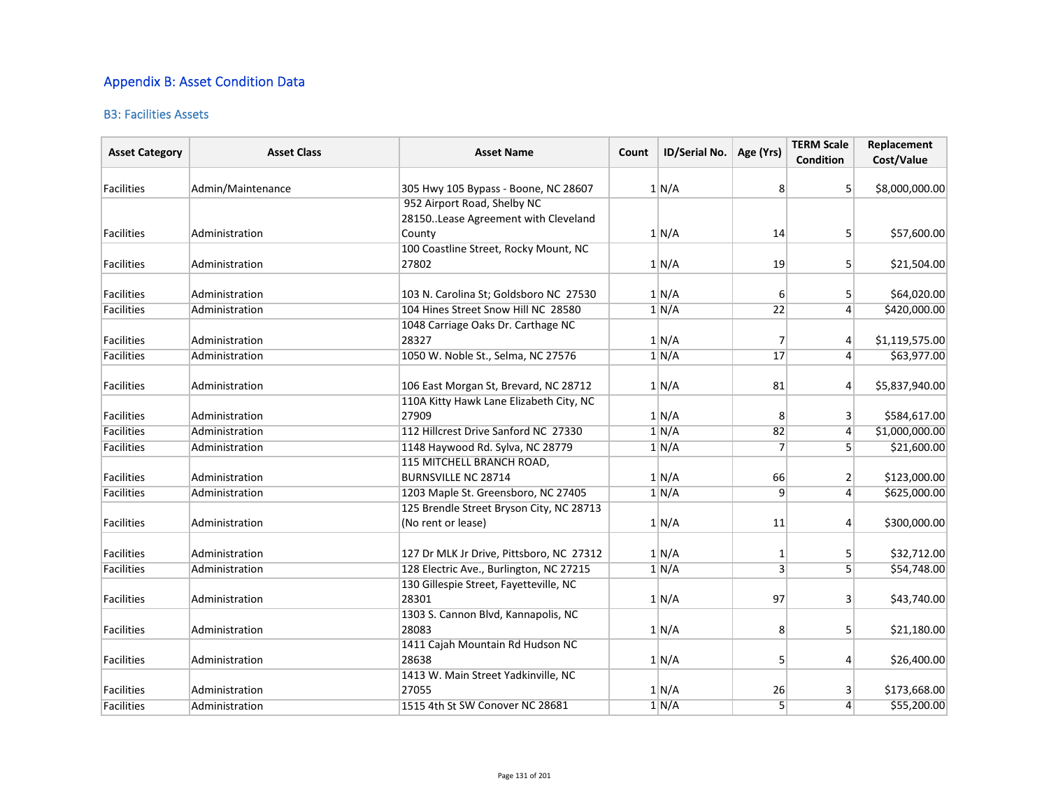## Appendix B: Asset Condition Data

### B3: Facilities Assets

| <b>Asset Category</b> | <b>Asset Class</b> | <b>Asset Name</b>                        | Count | ID/Serial No. | Age (Yrs)               | <b>TERM Scale</b><br><b>Condition</b> | Replacement<br>Cost/Value |
|-----------------------|--------------------|------------------------------------------|-------|---------------|-------------------------|---------------------------------------|---------------------------|
| <b>Facilities</b>     | Admin/Maintenance  | 305 Hwy 105 Bypass - Boone, NC 28607     |       | 1/N/A         | 8                       | 5                                     | \$8,000,000.00            |
|                       |                    | 952 Airport Road, Shelby NC              |       |               |                         |                                       |                           |
|                       |                    | 28150. Lease Agreement with Cleveland    |       |               |                         |                                       |                           |
| Facilities            | Administration     | County                                   |       | 1 N/A         | 14                      | 5 <sup>1</sup>                        | \$57,600.00               |
|                       |                    | 100 Coastline Street, Rocky Mount, NC    |       |               |                         |                                       |                           |
| Facilities            | Administration     | 27802                                    |       | 1 N/A         | 19                      | 5 <sup>1</sup>                        | \$21,504.00               |
| Facilities            | Administration     | 103 N. Carolina St; Goldsboro NC 27530   |       | 1 N/A         | 6                       | 5                                     | \$64,020.00               |
| Facilities            | Administration     | 104 Hines Street Snow Hill NC 28580      |       | 1/N/A         | 22                      | $\vert 4 \vert$                       | \$420,000.00              |
|                       |                    | 1048 Carriage Oaks Dr. Carthage NC       |       |               |                         |                                       |                           |
| Facilities            | Administration     | 28327                                    |       | 1/N/A         | 7                       | $\overline{4}$                        | \$1,119,575.00            |
| Facilities            | Administration     | 1050 W. Noble St., Selma, NC 27576       |       | 1/N/A         | 17                      | $\overline{4}$                        | \$63,977.00               |
| Facilities            | Administration     | 106 East Morgan St, Brevard, NC 28712    |       | 1 N/A         | 81                      | $\overline{4}$                        | \$5,837,940.00            |
|                       |                    | 110A Kitty Hawk Lane Elizabeth City, NC  |       |               |                         |                                       |                           |
| Facilities            | Administration     | 27909                                    |       | 1 N/A         | 8                       | 3                                     | \$584,617.00              |
| Facilities            | Administration     | 112 Hillcrest Drive Sanford NC 27330     |       | 1 N/A         | 82                      | $\overline{4}$                        | \$1,000,000.00            |
| Facilities            | Administration     | 1148 Haywood Rd. Sylva, NC 28779         |       | 1 N/A         | 7                       | 5 <sup>1</sup>                        | \$21,600.00               |
|                       |                    | 115 MITCHELL BRANCH ROAD,                |       |               |                         |                                       |                           |
| Facilities            | Administration     | <b>BURNSVILLE NC 28714</b>               |       | 1 N/A         | 66                      | $\overline{2}$                        | \$123,000.00              |
| Facilities            | Administration     | 1203 Maple St. Greensboro, NC 27405      |       | 1 N/A         | $\overline{9}$          | $\overline{4}$                        | \$625,000.00              |
|                       |                    | 125 Brendle Street Bryson City, NC 28713 |       |               |                         |                                       |                           |
| Facilities            | Administration     | (No rent or lease)                       |       | 1 N/A         | 11                      | $\overline{4}$                        | \$300,000.00              |
| Facilities            | Administration     | 127 Dr MLK Jr Drive, Pittsboro, NC 27312 |       | 1 N/A         | 1                       | 5                                     | \$32,712.00               |
| Facilities            | Administration     | 128 Electric Ave., Burlington, NC 27215  |       | 1/N/A         | $\overline{\mathbf{3}}$ | $\overline{5}$                        | \$54,748.00               |
|                       |                    | 130 Gillespie Street, Fayetteville, NC   |       |               |                         |                                       |                           |
| Facilities            | Administration     | 28301                                    |       | 1/N/A         | 97                      | $\overline{\mathbf{3}}$               | \$43,740.00               |
|                       |                    | 1303 S. Cannon Blvd, Kannapolis, NC      |       |               |                         |                                       |                           |
| Facilities            | Administration     | 28083                                    |       | 1 N/A         | 8                       | 5                                     | \$21,180.00               |
|                       |                    | 1411 Cajah Mountain Rd Hudson NC         |       |               |                         |                                       |                           |
| Facilities            | Administration     | 28638                                    |       | $1$ N/A       | 5                       | $\overline{4}$                        | \$26,400.00               |
|                       |                    | 1413 W. Main Street Yadkinville, NC      |       |               |                         |                                       |                           |
| Facilities            | Administration     | 27055                                    |       | 1 N/A         | 26                      | 3                                     | \$173,668.00              |
| <b>Facilities</b>     | Administration     | 1515 4th St SW Conover NC 28681          |       | 1/N/A         | 5                       | $\overline{4}$                        | \$55,200.00               |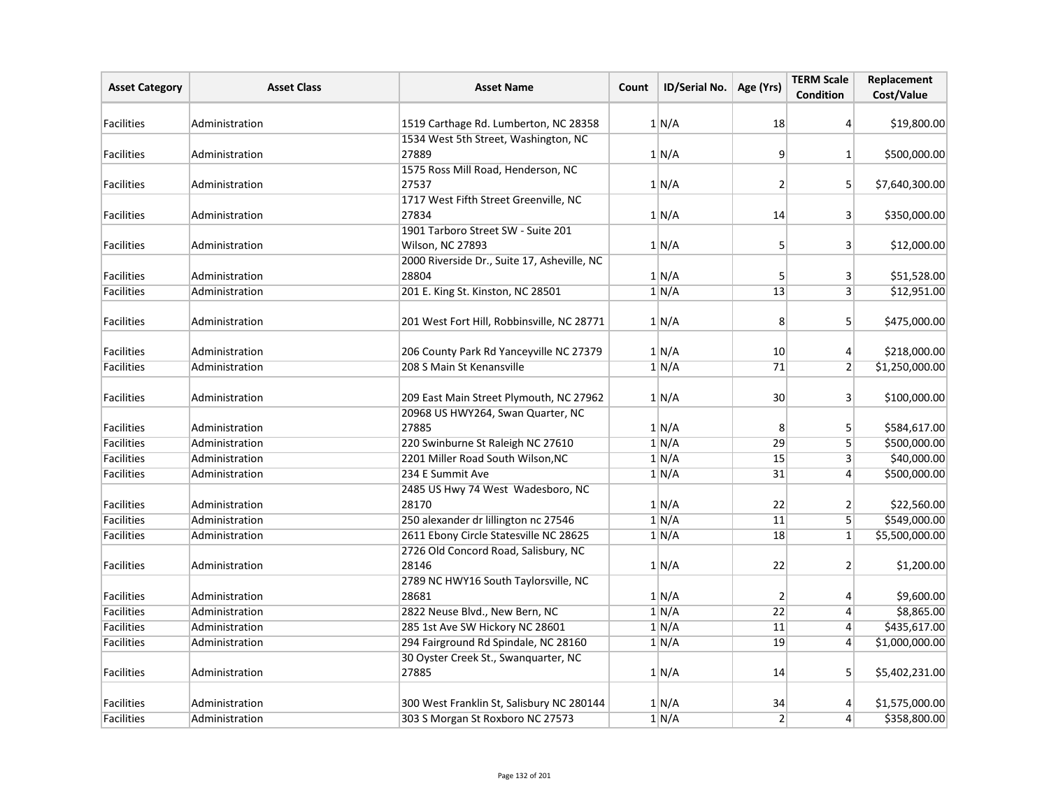| <b>Asset Category</b> | <b>Asset Class</b> | <b>Asset Name</b>                                    | Count | ID/Serial No. | Age (Yrs)       | <b>TERM Scale</b><br><b>Condition</b> | Replacement<br>Cost/Value |
|-----------------------|--------------------|------------------------------------------------------|-------|---------------|-----------------|---------------------------------------|---------------------------|
| Facilities            | Administration     | 1519 Carthage Rd. Lumberton, NC 28358                |       | 1/N/A         | 18              | $\vert$                               | \$19,800.00               |
| <b>Facilities</b>     | Administration     | 1534 West 5th Street, Washington, NC<br>27889        |       | 1 N/A         | 9               | 1 <sup>1</sup>                        | \$500,000.00              |
|                       |                    | 1575 Ross Mill Road, Henderson, NC                   |       |               |                 |                                       |                           |
| <b>Facilities</b>     | Administration     | 27537                                                |       | 1 N/A         | $\overline{2}$  | 5 <sup>1</sup>                        | \$7,640,300.00            |
|                       |                    | 1717 West Fifth Street Greenville, NC                |       |               |                 |                                       |                           |
| <b>Facilities</b>     | Administration     | 27834                                                |       | 1/N/A         | 14              | 3 <sup>1</sup>                        | \$350,000.00              |
|                       |                    | 1901 Tarboro Street SW - Suite 201                   |       |               |                 |                                       |                           |
| Facilities            | Administration     | Wilson, NC 27893                                     |       | 1 N/A         | $\overline{5}$  | 3 <sup>1</sup>                        | \$12,000.00               |
| Facilities            | Administration     | 2000 Riverside Dr., Suite 17, Asheville, NC<br>28804 |       | 1 N/A         | 5               | $\mathbf{3}$                          | \$51,528.00               |
| Facilities            | Administration     | 201 E. King St. Kinston, NC 28501                    |       | 1/N/A         | 13              | $\overline{3}$                        | \$12,951.00               |
| Facilities            | Administration     | 201 West Fort Hill, Robbinsville, NC 28771           |       | 1/N/A         | 8               | 5 <sup>1</sup>                        | \$475,000.00              |
| Facilities            | Administration     | 206 County Park Rd Yanceyville NC 27379              |       | 1 N/A         | 10              | $\left 4\right $                      | \$218,000.00              |
| Facilities            | Administration     | 208 S Main St Kenansville                            |       | 1/N/A         | 71              | 2 <sup>2</sup>                        | \$1,250,000.00            |
| Facilities            | Administration     | 209 East Main Street Plymouth, NC 27962              |       | 1 N/A         | 30              | $\vert$ 3                             | \$100,000.00              |
| <b>Facilities</b>     | Administration     | 20968 US HWY264, Swan Quarter, NC<br>27885           |       | 1 N/A         | 8               | 5 <sup>1</sup>                        | \$584,617.00              |
| <b>Facilities</b>     | Administration     | 220 Swinburne St Raleigh NC 27610                    |       | 1 N/A         | 29              | $\overline{5}$                        | \$500,000.00              |
| <b>Facilities</b>     | Administration     | 2201 Miller Road South Wilson, NC                    |       | 1/N/A         | 15              | 3 <sup>1</sup>                        | \$40,000.00               |
| Facilities            | Administration     | 234 E Summit Ave                                     |       | 1/N/A         | 31              | $\overline{4}$                        | \$500,000.00              |
| Facilities            | Administration     | 2485 US Hwy 74 West Wadesboro, NC<br>28170           |       | 1 N/A         | 22              | $\overline{2}$                        | \$22,560.00               |
| Facilities            | Administration     | 250 alexander dr lillington nc 27546                 |       | 1 N/A         | 11              | 5 <sup>1</sup>                        | \$549,000.00              |
| Facilities            | Administration     | 2611 Ebony Circle Statesville NC 28625               |       | 1/N/A         | 18              | $1\vert$                              | \$5,500,000.00            |
| <b>Facilities</b>     | Administration     | 2726 Old Concord Road, Salisbury, NC<br>28146        |       | 1 N/A         | 22              | 2 <sup>2</sup>                        | \$1,200.00                |
|                       |                    | 2789 NC HWY16 South Taylorsville, NC                 |       |               |                 |                                       |                           |
| <b>Facilities</b>     | Administration     | 28681                                                |       | 1 N/A         | $\overline{2}$  | $\vert$                               | \$9,600.00                |
| <b>Facilities</b>     | Administration     | 2822 Neuse Blvd., New Bern, NC                       |       | 1/N/A         | $\overline{22}$ | $\left 4\right $                      | \$8,865.00                |
| <b>Facilities</b>     | Administration     | 285 1st Ave SW Hickory NC 28601                      |       | 1/N/A         | 11              | $\left 4\right $                      | \$435,617.00              |
| Facilities            | Administration     | 294 Fairground Rd Spindale, NC 28160                 |       | 1 N/A         | 19              | $\left 4\right $                      | \$1,000,000.00            |
| <b>Facilities</b>     | Administration     | 30 Oyster Creek St., Swanquarter, NC<br>27885        |       | 1 N/A         | 14              | 5 <sup>1</sup>                        | \$5,402,231.00            |
| Facilities            | Administration     | 300 West Franklin St, Salisbury NC 280144            |       | 1 N/A         | 34              | $\vert 4 \vert$                       | \$1,575,000.00            |
| Facilities            | Administration     | 303 S Morgan St Roxboro NC 27573                     |       | 1 N/A         | $\overline{2}$  | $\vert 4 \vert$                       | \$358,800.00              |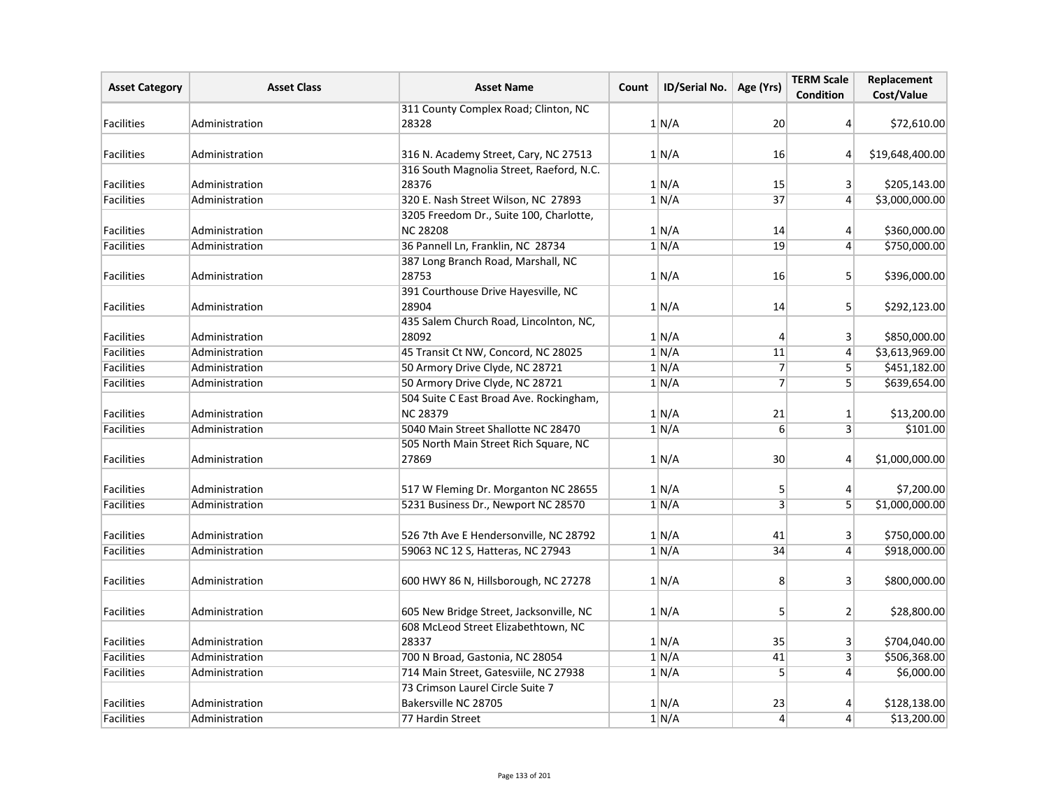| <b>Asset Category</b> | <b>Asset Class</b> | <b>Asset Name</b>                            | Count | ID/Serial No. | Age (Yrs)        | <b>TERM Scale</b><br><b>Condition</b> | Replacement<br>Cost/Value |
|-----------------------|--------------------|----------------------------------------------|-------|---------------|------------------|---------------------------------------|---------------------------|
|                       |                    | 311 County Complex Road; Clinton, NC         |       |               |                  |                                       |                           |
| <b>Facilities</b>     | Administration     | 28328                                        |       | 1/N/A         | 20               | $\vert$                               | \$72,610.00               |
| Facilities            | Administration     | 316 N. Academy Street, Cary, NC 27513        |       | 1 N/A         | 16               | $\overline{4}$                        | \$19,648,400.00           |
|                       |                    | 316 South Magnolia Street, Raeford, N.C.     |       |               |                  |                                       |                           |
| <b>Facilities</b>     | Administration     | 28376                                        |       | 1 N/A         | 15               | 3 <sup>2</sup>                        | \$205,143.00              |
| <b>Facilities</b>     | Administration     | 320 E. Nash Street Wilson, NC 27893          |       | 1/N/A         | 37               | $\left 4\right $                      | \$3,000,000.00            |
|                       |                    | 3205 Freedom Dr., Suite 100, Charlotte,      |       |               |                  |                                       |                           |
| <b>Facilities</b>     | Administration     | <b>NC 28208</b>                              |       | 1 N/A         | 14               | $\vert 4 \vert$                       | \$360,000.00              |
| <b>Facilities</b>     | Administration     | 36 Pannell Ln, Franklin, NC 28734            |       | 1/N/A         | 19               | $\left 4\right $                      | \$750,000.00              |
|                       |                    | 387 Long Branch Road, Marshall, NC           |       |               |                  |                                       |                           |
| <b>Facilities</b>     | Administration     | 28753                                        |       | 1 N/A         | 16               | 5 <sup>1</sup>                        | \$396,000.00              |
|                       |                    | 391 Courthouse Drive Hayesville, NC          |       |               |                  |                                       |                           |
| <b>Facilities</b>     | Administration     | 28904                                        |       | 1/N/A         | 14               | 5 <sup>1</sup>                        | \$292,123.00              |
|                       |                    | 435 Salem Church Road, Lincolnton, NC,       |       |               |                  |                                       |                           |
| Facilities            | Administration     | 28092                                        |       | 1/N/A         | 4                | $\vert$ 3                             | \$850,000.00              |
| Facilities            | Administration     | 45 Transit Ct NW, Concord, NC 28025          |       | 1/N/A         | 11               | $\vert 4 \vert$                       | \$3,613,969.00            |
| <b>Facilities</b>     | Administration     | 50 Armory Drive Clyde, NC 28721              |       | 1/N/A         | $\overline{7}$   | 5 <sup>1</sup>                        | \$451,182.00              |
| Facilities            | Administration     | 50 Armory Drive Clyde, NC 28721              |       | 1 N/A         | $\overline{7}$   | 5 <sup>1</sup>                        | \$639,654.00              |
|                       |                    | 504 Suite C East Broad Ave. Rockingham,      |       |               |                  |                                       |                           |
| <b>Facilities</b>     | Administration     | <b>NC 28379</b>                              |       | 1 N/A         | 21               | $\mathbf{1}$                          | \$13,200.00               |
| <b>Facilities</b>     | Administration     | 5040 Main Street Shallotte NC 28470          |       | 1/N/A         | $6 \overline{6}$ | 3 <sup>1</sup>                        | \$101.00                  |
|                       |                    | 505 North Main Street Rich Square, NC        |       |               |                  |                                       |                           |
| Facilities            | Administration     | 27869                                        |       | 1 N/A         | 30               | $\overline{4}$                        | \$1,000,000.00            |
| <b>Facilities</b>     | Administration     | 517 W Fleming Dr. Morganton NC 28655         |       | 1/N/A         | 5                | $\vert$                               | \$7,200.00                |
| Facilities            | Administration     | 5231 Business Dr., Newport NC 28570          |       | 1 N/A         | $\overline{3}$   | 5 <sup>1</sup>                        | \$1,000,000.00            |
|                       |                    |                                              |       |               |                  |                                       |                           |
| Facilities            | Administration     | 526 7th Ave E Hendersonville, NC 28792       |       | 1 N/A         | 41               | 3 <sup>1</sup>                        | \$750,000.00              |
| Facilities            | Administration     | 59063 NC 12 S, Hatteras, NC 27943            |       | 1 N/A         | 34               | $\vert 4 \vert$                       | \$918,000.00              |
| <b>Facilities</b>     | Administration     | 600 HWY 86 N, Hillsborough, NC 27278         |       | 1 N/A         | 8                | $\lvert 3 \rvert$                     | \$800,000.00              |
| <b>Facilities</b>     | Administration     | 605 New Bridge Street, Jacksonville, NC      |       | 1 N/A         | 5 <sup>1</sup>   | 2 <sup>2</sup>                        | \$28,800.00               |
| Facilities            | Administration     | 608 McLeod Street Elizabethtown, NC<br>28337 |       | 1/N/A         | 35               | $\vert$ 3                             | \$704,040.00              |
| Facilities            | Administration     | 700 N Broad, Gastonia, NC 28054              |       | 1/N/A         | 41               | 3 <sup>1</sup>                        | \$506,368.00              |
| Facilities            | Administration     | 714 Main Street, Gatesviile, NC 27938        |       | 1/N/A         | 5                | $\vert$                               | \$6,000.00                |
|                       |                    | 73 Crimson Laurel Circle Suite 7             |       |               |                  |                                       |                           |
| Facilities            | Administration     | Bakersville NC 28705                         |       | 1 N/A         | 23               | 4                                     | \$128,138.00              |
| Facilities            | Administration     | 77 Hardin Street                             |       | 1/N/A         | $\overline{4}$   | $\vert 4 \vert$                       | \$13,200.00               |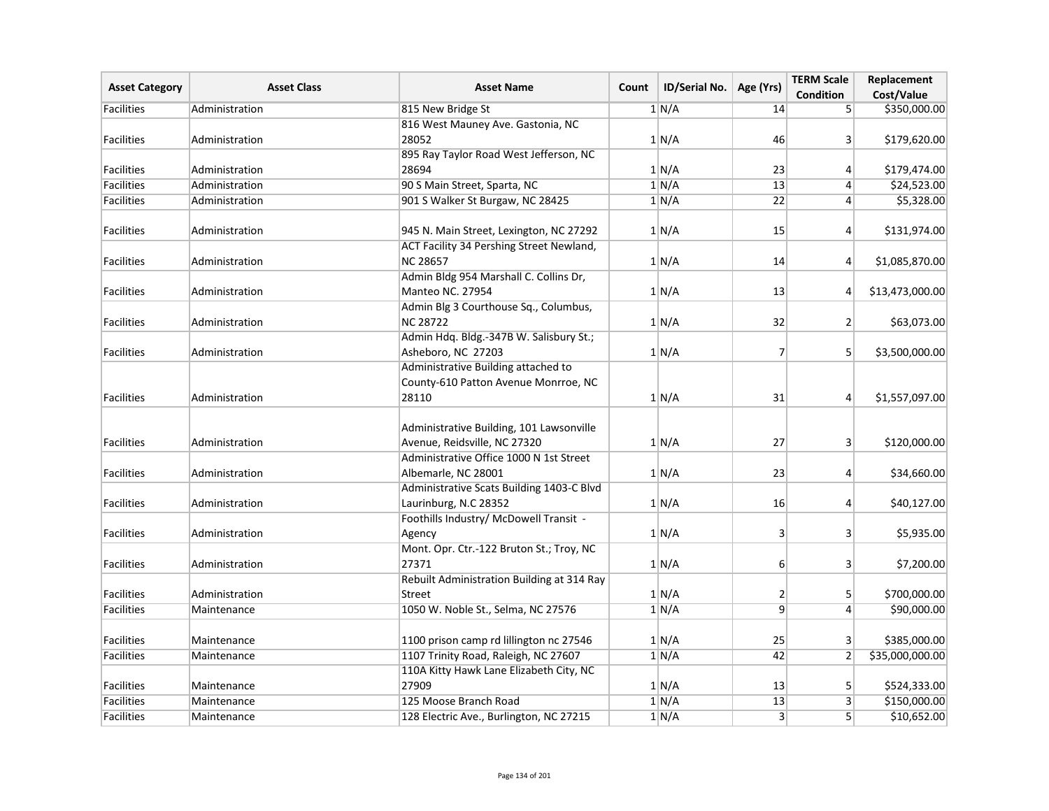| <b>Asset Category</b> | <b>Asset Class</b> | <b>Asset Name</b>                          | Count | <b>ID/Serial No.</b> | Age (Yrs)        | <b>TERM Scale</b><br><b>Condition</b> | Replacement                |
|-----------------------|--------------------|--------------------------------------------|-------|----------------------|------------------|---------------------------------------|----------------------------|
| <b>Facilities</b>     | Administration     | 815 New Bridge St                          |       | 1 N/A                | 14               | 5 <sup>1</sup>                        | Cost/Value<br>\$350,000.00 |
|                       |                    | 816 West Mauney Ave. Gastonia, NC          |       |                      |                  |                                       |                            |
| Facilities            | Administration     | 28052                                      |       | 1 N/A                | 46               | 3                                     | \$179,620.00               |
|                       |                    | 895 Ray Taylor Road West Jefferson, NC     |       |                      |                  |                                       |                            |
| Facilities            | Administration     | 28694                                      |       | 1 N/A                | 23               | $\vert 4 \vert$                       | \$179,474.00               |
| Facilities            | Administration     | 90 S Main Street, Sparta, NC               |       | 1 N/A                | 13               | $\vert 4 \vert$                       | \$24,523.00                |
| Facilities            | Administration     | 901 S Walker St Burgaw, NC 28425           |       | 1 N/A                | $\overline{22}$  | $\overline{4}$                        | \$5,328.00                 |
|                       |                    |                                            |       |                      |                  |                                       |                            |
| <b>Facilities</b>     | Administration     | 945 N. Main Street, Lexington, NC 27292    |       | 1 N/A                | 15               | $\vert 4 \vert$                       | \$131,974.00               |
|                       |                    | ACT Facility 34 Pershing Street Newland,   |       |                      |                  |                                       |                            |
| <b>Facilities</b>     | Administration     | <b>NC 28657</b>                            |       | 1 N/A                | 14               | $\vert 4 \vert$                       | \$1,085,870.00             |
|                       |                    | Admin Bldg 954 Marshall C. Collins Dr,     |       |                      |                  |                                       |                            |
| <b>Facilities</b>     | Administration     | <b>Manteo NC. 27954</b>                    |       | 1 N/A                | 13               | $\vert 4 \vert$                       | \$13,473,000.00            |
|                       |                    | Admin Blg 3 Courthouse Sq., Columbus,      |       |                      |                  |                                       |                            |
| <b>Facilities</b>     | Administration     | <b>NC 28722</b>                            |       | 1 N/A                | 32               | 2 <sup>2</sup>                        | \$63,073.00                |
|                       |                    | Admin Hdq. Bldg.-347B W. Salisbury St.;    |       |                      |                  |                                       |                            |
| Facilities            | Administration     | Asheboro, NC 27203                         |       | 1 N/A                | $\overline{7}$   | 5 <sup>1</sup>                        | \$3,500,000.00             |
|                       |                    | Administrative Building attached to        |       |                      |                  |                                       |                            |
|                       |                    | County-610 Patton Avenue Monrroe, NC       |       |                      |                  |                                       |                            |
| Facilities            | Administration     | 28110                                      |       | 1 N/A                | 31               | $\vert 4 \vert$                       | \$1,557,097.00             |
|                       |                    |                                            |       |                      |                  |                                       |                            |
|                       |                    | Administrative Building, 101 Lawsonville   |       |                      |                  |                                       |                            |
| <b>Facilities</b>     | Administration     | Avenue, Reidsville, NC 27320               |       | 1/N/A                | 27               | 3 <sup>1</sup>                        | \$120,000.00               |
|                       |                    | Administrative Office 1000 N 1st Street    |       |                      |                  |                                       |                            |
| <b>Facilities</b>     | Administration     | Albemarle, NC 28001                        |       | 1 N/A                | 23               | $\vert$                               | \$34,660.00                |
|                       |                    | Administrative Scats Building 1403-C Blvd  |       |                      |                  |                                       |                            |
| Facilities            | Administration     | Laurinburg, N.C 28352                      |       | 1 N/A                | 16               | 4                                     | \$40,127.00                |
|                       |                    | Foothills Industry/ McDowell Transit -     |       |                      |                  |                                       |                            |
| <b>Facilities</b>     | Administration     | Agency                                     |       | 1/N/A                | $\overline{3}$   | 3 <sup>1</sup>                        | \$5,935.00                 |
|                       |                    | Mont. Opr. Ctr.-122 Bruton St.; Troy, NC   |       |                      |                  |                                       |                            |
| <b>Facilities</b>     | Administration     | 27371                                      |       | 1 N/A                | $6 \overline{6}$ | $\vert$ 3                             | \$7,200.00                 |
|                       |                    | Rebuilt Administration Building at 314 Ray |       |                      |                  |                                       |                            |
| <b>Facilities</b>     | Administration     | Street                                     |       | 1 N/A                | $\overline{2}$   | 5 <sup>1</sup>                        | \$700,000.00               |
| Facilities            | Maintenance        | 1050 W. Noble St., Selma, NC 27576         |       | 1 N/A                | $\overline{9}$   | $\vert 4 \vert$                       | \$90,000.00                |
| <b>Facilities</b>     |                    | 1100 prison camp rd lillington nc 27546    |       |                      | 25               |                                       | \$385,000.00               |
|                       | Maintenance        | 1107 Trinity Road, Raleigh, NC 27607       |       | 1 N/A<br>1/N/A       | 42               | 3 <sup>1</sup><br>$\overline{2}$      | \$35,000,000.00            |
| Facilities            | Maintenance        |                                            |       |                      |                  |                                       |                            |
|                       |                    | 110A Kitty Hawk Lane Elizabeth City, NC    |       |                      |                  |                                       |                            |
| Facilities            | Maintenance        | 27909                                      |       | 1 N/A                | 13               | 5                                     | \$524,333.00               |
| Facilities            | Maintenance        | 125 Moose Branch Road                      |       | 1 N/A                | $\overline{13}$  | $\overline{3}$                        | \$150,000.00               |
| Facilities            | Maintenance        | 128 Electric Ave., Burlington, NC 27215    |       | 1/N/A                | $\overline{3}$   | 5 <sup>1</sup>                        | \$10,652.00                |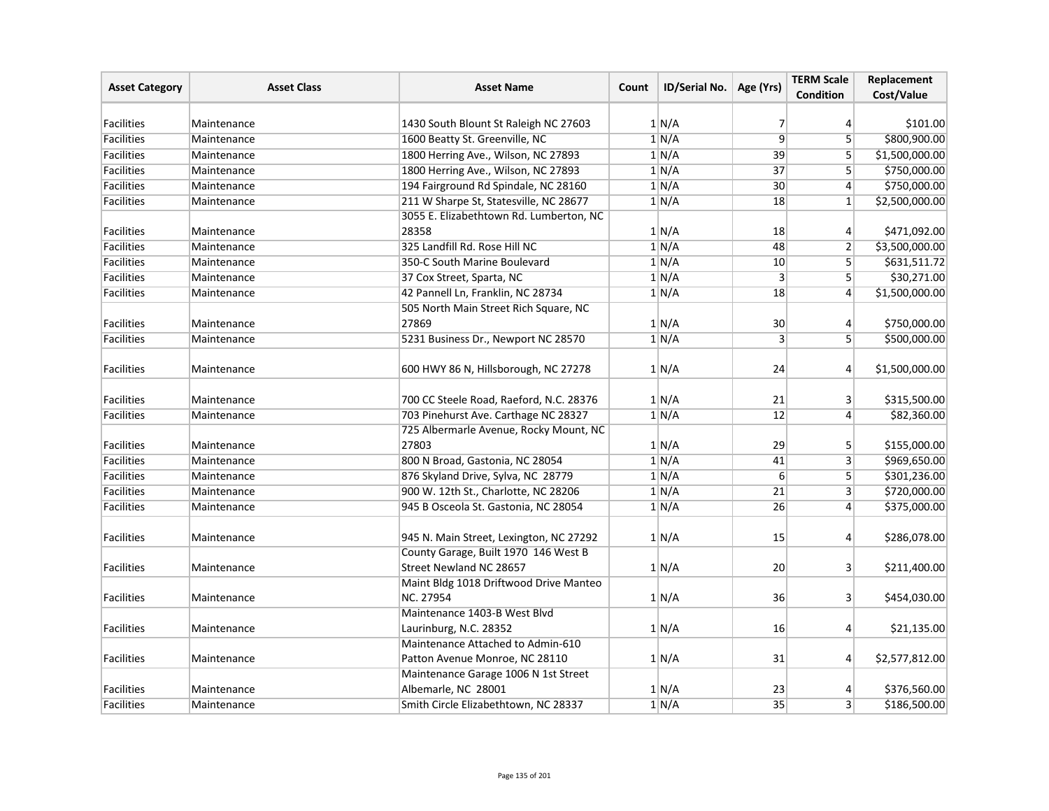| <b>Asset Category</b> | <b>Asset Class</b> | <b>Asset Name</b>                                                   | Count | ID/Serial No. | Age (Yrs)        | <b>TERM Scale</b><br><b>Condition</b> | Replacement<br>Cost/Value |
|-----------------------|--------------------|---------------------------------------------------------------------|-------|---------------|------------------|---------------------------------------|---------------------------|
|                       |                    |                                                                     |       |               |                  |                                       |                           |
| <b>Facilities</b>     | Maintenance        | 1430 South Blount St Raleigh NC 27603                               |       | 1 N/A         | 7                | $\vert 4 \vert$                       | \$101.00                  |
| <b>Facilities</b>     | Maintenance        | 1600 Beatty St. Greenville, NC                                      |       | 1/N/A         | $\overline{9}$   | 5 <sup>1</sup>                        | \$800,900.00              |
| <b>Facilities</b>     | Maintenance        | 1800 Herring Ave., Wilson, NC 27893                                 |       | 1 N/A         | 39               | $\overline{5}$                        | \$1,500,000.00            |
| Facilities            | Maintenance        | 1800 Herring Ave., Wilson, NC 27893                                 |       | 1 N/A         | 37               | 5 <sup>1</sup>                        | \$750,000.00              |
| Facilities            | Maintenance        | 194 Fairground Rd Spindale, NC 28160                                |       | 1/N/A         | 30 <sup>°</sup>  | $\vert 4 \vert$                       | \$750,000.00              |
| <b>Facilities</b>     | Maintenance        | 211 W Sharpe St, Statesville, NC 28677                              |       | 1 N/A         | 18               | $1\vert$                              | \$2,500,000.00            |
| Facilities            | Maintenance        | 3055 E. Elizabethtown Rd. Lumberton, NC<br>28358                    |       | 1/N/A         | 18               | $\vert$                               | \$471,092.00              |
| Facilities            | Maintenance        | 325 Landfill Rd. Rose Hill NC                                       |       | 1 N/A         | 48               | 2                                     | \$3,500,000.00            |
| <b>Facilities</b>     | Maintenance        | 350-C South Marine Boulevard                                        |       | 1 N/A         | 10               | 5 <sup>1</sup>                        | \$631,511.72              |
| Facilities            | Maintenance        | 37 Cox Street, Sparta, NC                                           |       | 1 N/A         | $\overline{3}$   | 5 <sup>1</sup>                        | \$30,271.00               |
| Facilities            | Maintenance        | 42 Pannell Ln, Franklin, NC 28734                                   |       | 1 N/A         | 18               | $\vert 4 \vert$                       | \$1,500,000.00            |
|                       |                    | 505 North Main Street Rich Square, NC                               |       |               |                  |                                       |                           |
| Facilities            |                    | 27869                                                               |       |               |                  |                                       | \$750,000.00              |
|                       | Maintenance        |                                                                     |       | 1/N/A         | 30               | 4                                     |                           |
| Facilities            | Maintenance        | 5231 Business Dr., Newport NC 28570                                 |       | 1/N/A         | $\overline{3}$   | 5 <sup>1</sup>                        | \$500,000.00              |
| Facilities            | Maintenance        | 600 HWY 86 N, Hillsborough, NC 27278                                |       | 1 N/A         | 24               | $\vert$                               | \$1,500,000.00            |
| <b>Facilities</b>     | Maintenance        | 700 CC Steele Road, Raeford, N.C. 28376                             |       | 1/N/A         | 21               | $\lvert 3 \rvert$                     | \$315,500.00              |
| <b>Facilities</b>     | Maintenance        | 703 Pinehurst Ave. Carthage NC 28327                                |       | 1 N/A         | 12               | $\left 4\right $                      | \$82,360.00               |
| Facilities            | Maintenance        | 725 Albermarle Avenue, Rocky Mount, NC<br>27803                     |       | 1/N/A         | 29               | 5                                     | \$155,000.00              |
| Facilities            | Maintenance        | 800 N Broad, Gastonia, NC 28054                                     |       | 1 N/A         | 41               | $\overline{3}$                        | \$969,650.00              |
| <b>Facilities</b>     | Maintenance        | 876 Skyland Drive, Sylva, NC 28779                                  |       | 1 N/A         | $6 \overline{6}$ | 5                                     | \$301,236.00              |
| Facilities            | Maintenance        | 900 W. 12th St., Charlotte, NC 28206                                |       | 1 N/A         | 21               | 3 <sup>1</sup>                        | \$720,000.00              |
| <b>Facilities</b>     | Maintenance        | 945 B Osceola St. Gastonia, NC 28054                                |       | 1 N/A         | 26               | $\vert$                               | \$375,000.00              |
| <b>Facilities</b>     | Maintenance        | 945 N. Main Street, Lexington, NC 27292                             |       | 1 N/A         | 15               | $\vert 4 \vert$                       | \$286,078.00              |
|                       |                    | County Garage, Built 1970 146 West B                                |       |               |                  |                                       |                           |
| <b>Facilities</b>     | Maintenance        | Street Newland NC 28657                                             |       | 1 N/A         | 20               | 3 <sup>1</sup>                        | \$211,400.00              |
| <b>Facilities</b>     | Maintenance        | Maint Bldg 1018 Driftwood Drive Manteo<br>NC. 27954                 |       | 1 N/A         | 36               | $\vert$ 3                             | \$454,030.00              |
|                       |                    | Maintenance 1403-B West Blvd                                        |       |               |                  |                                       |                           |
| <b>Facilities</b>     | Maintenance        | Laurinburg, N.C. 28352                                              |       | 1 N/A         | 16               | $\vert$                               | \$21,135.00               |
| Facilities            | Maintenance        | Maintenance Attached to Admin-610<br>Patton Avenue Monroe, NC 28110 |       | 1 N/A         | 31               | $\vert$                               | \$2,577,812.00            |
|                       |                    | Maintenance Garage 1006 N 1st Street                                |       |               |                  |                                       |                           |
| Facilities            | Maintenance        | Albemarle, NC 28001                                                 |       | 1 N/A         | 23               | $\vert 4 \vert$                       | \$376,560.00              |
| Facilities            | Maintenance        | Smith Circle Elizabethtown, NC 28337                                |       | 1 N/A         | $\overline{35}$  | 3 <sup>1</sup>                        | \$186,500.00              |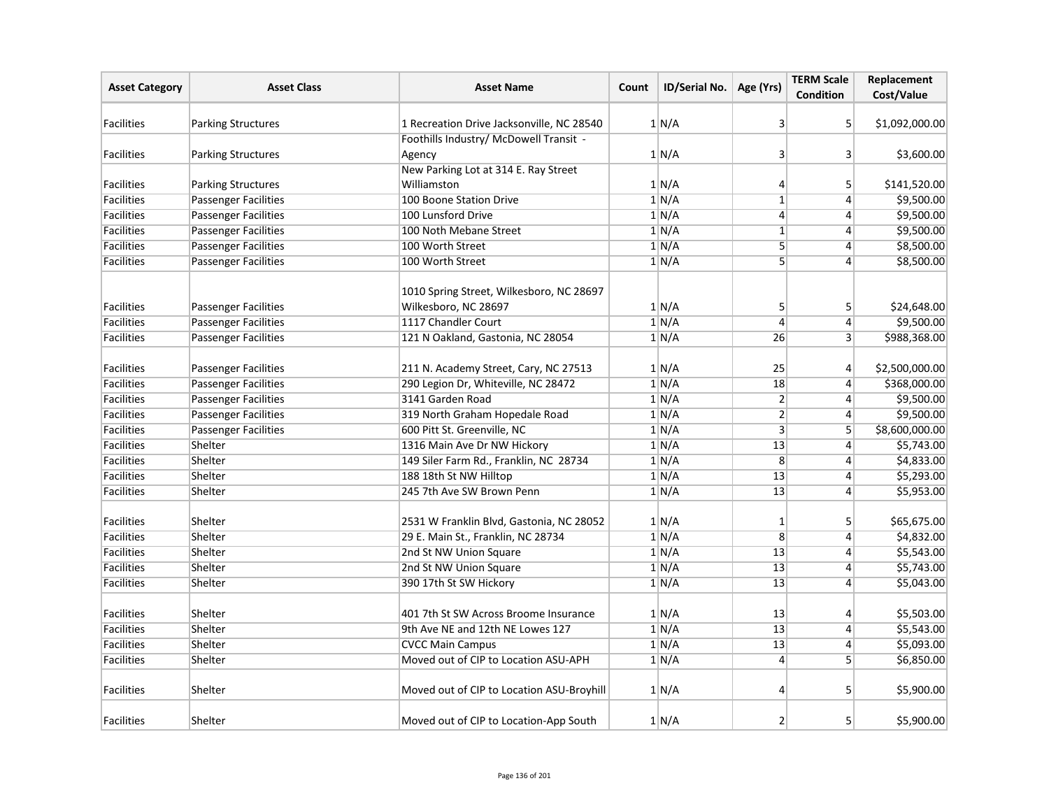| <b>Asset Category</b> | <b>Asset Class</b>          | <b>Asset Name</b>                                                | Count | ID/Serial No. | Age (Yrs)               | <b>TERM Scale</b><br><b>Condition</b> | Replacement<br>Cost/Value |
|-----------------------|-----------------------------|------------------------------------------------------------------|-------|---------------|-------------------------|---------------------------------------|---------------------------|
| <b>Facilities</b>     | <b>Parking Structures</b>   | 1 Recreation Drive Jacksonville, NC 28540                        |       | 1 N/A         | 3                       | 5                                     | \$1,092,000.00            |
|                       |                             | Foothills Industry/ McDowell Transit -                           |       |               |                         |                                       |                           |
| <b>Facilities</b>     | <b>Parking Structures</b>   | Agency                                                           |       | 1 N/A         | $\overline{3}$          | $\mathbf{3}$                          | \$3,600.00                |
|                       |                             | New Parking Lot at 314 E. Ray Street                             |       |               |                         |                                       |                           |
| <b>Facilities</b>     | <b>Parking Structures</b>   | Williamston                                                      |       | 1/N/A         | 4                       | 5                                     | \$141,520.00              |
| <b>Facilities</b>     | <b>Passenger Facilities</b> | 100 Boone Station Drive                                          |       | 1/N/A         | $\overline{1}$          | $\vert$                               | \$9,500.00                |
| <b>Facilities</b>     | <b>Passenger Facilities</b> | 100 Lunsford Drive                                               |       | 1 N/A         | $\overline{4}$          | $\vert$                               | \$9,500.00                |
| <b>Facilities</b>     | <b>Passenger Facilities</b> | 100 Noth Mebane Street                                           |       | 1/N/A         | $\overline{1}$          | $\vert 4 \vert$                       | \$9,500.00                |
| <b>Facilities</b>     | <b>Passenger Facilities</b> | 100 Worth Street                                                 |       | 1/N/A         | 5                       | $\vert$                               | \$8,500.00                |
| <b>Facilities</b>     | <b>Passenger Facilities</b> | 100 Worth Street                                                 |       | 1/N/A         | $\overline{5}$          | $\left 4\right $                      | \$8,500.00                |
| <b>Facilities</b>     | <b>Passenger Facilities</b> | 1010 Spring Street, Wilkesboro, NC 28697<br>Wilkesboro, NC 28697 |       | 1 N/A         | 5                       | 5 <sup>1</sup>                        | \$24,648.00               |
| <b>Facilities</b>     | <b>Passenger Facilities</b> | 1117 Chandler Court                                              |       | 1 N/A         | 4                       | $\vert$                               | \$9,500.00                |
| <b>Facilities</b>     | <b>Passenger Facilities</b> | 121 N Oakland, Gastonia, NC 28054                                |       | 1 N/A         | 26                      | $\vert$ 3                             | \$988,368.00              |
| <b>Facilities</b>     | <b>Passenger Facilities</b> | 211 N. Academy Street, Cary, NC 27513                            |       | 1 N/A         | 25                      | 4                                     | \$2,500,000.00            |
| Facilities            | <b>Passenger Facilities</b> | 290 Legion Dr, Whiteville, NC 28472                              |       | 1 N/A         | 18                      | $\vert$                               | \$368,000.00              |
| Facilities            | <b>Passenger Facilities</b> | 3141 Garden Road                                                 |       | 1 N/A         | $\overline{2}$          | $\overline{4}$                        | \$9,500.00                |
| <b>Facilities</b>     | <b>Passenger Facilities</b> | 319 North Graham Hopedale Road                                   |       | 1/N/A         | $\overline{2}$          | $\vert 4 \vert$                       | \$9,500.00                |
| <b>Facilities</b>     | <b>Passenger Facilities</b> | 600 Pitt St. Greenville, NC                                      |       | 1 N/A         | $\overline{\mathbf{3}}$ | 5                                     | \$8,600,000.00            |
| <b>Facilities</b>     | Shelter                     | 1316 Main Ave Dr NW Hickory                                      |       | 1/N/A         | 13                      | $\vert$                               | \$5,743.00                |
| <b>Facilities</b>     | Shelter                     | 149 Siler Farm Rd., Franklin, NC 28734                           |       | 1/N/A         | $\overline{8}$          | $\vert$                               | \$4,833.00                |
| <b>Facilities</b>     | Shelter                     | 188 18th St NW Hilltop                                           |       | 1/N/A         | 13                      | $\left 4\right $                      | \$5,293.00                |
| <b>Facilities</b>     | Shelter                     | 245 7th Ave SW Brown Penn                                        |       | 1 N/A         | 13                      | $\vert$                               | \$5,953.00                |
| <b>Facilities</b>     | Shelter                     | 2531 W Franklin Blvd, Gastonia, NC 28052                         |       | 1/N/A         | 1                       | 5                                     | \$65,675.00               |
| Facilities            | Shelter                     | 29 E. Main St., Franklin, NC 28734                               |       | 1/N/A         | $\overline{8}$          | $\left 4\right $                      | \$4,832.00                |
| <b>Facilities</b>     | Shelter                     | 2nd St NW Union Square                                           |       | 1 N/A         | 13                      | $\vert$                               | \$5,543.00                |
| <b>Facilities</b>     | Shelter                     | 2nd St NW Union Square                                           |       | 1/N/A         | 13                      | $\left 4\right $                      | \$5,743.00                |
| <b>Facilities</b>     | Shelter                     | 390 17th St SW Hickory                                           |       | 1 N/A         | 13                      | $\vert 4 \vert$                       | \$5,043.00                |
| <b>Facilities</b>     | Shelter                     | 401 7th St SW Across Broome Insurance                            |       | 1 N/A         | 13                      | 4                                     | \$5,503.00                |
| Facilities            | Shelter                     | 9th Ave NE and 12th NE Lowes 127                                 |       | 1 N/A         | 13                      | $\vert 4 \vert$                       | \$5,543.00                |
| Facilities            | Shelter                     | <b>CVCC Main Campus</b>                                          |       | 1 N/A         | 13                      | $\vert 4 \vert$                       | \$5,093.00                |
| <b>Facilities</b>     | Shelter                     | Moved out of CIP to Location ASU-APH                             |       | 1 N/A         | $\overline{4}$          | 5 <sup>1</sup>                        | \$6,850.00                |
| <b>Facilities</b>     | Shelter                     | Moved out of CIP to Location ASU-Broyhill                        |       | 1 N/A         | 4                       | 5                                     | \$5,900.00                |
| Facilities            | Shelter                     | Moved out of CIP to Location-App South                           |       | 1 N/A         | $\overline{2}$          | 5                                     | \$5,900.00                |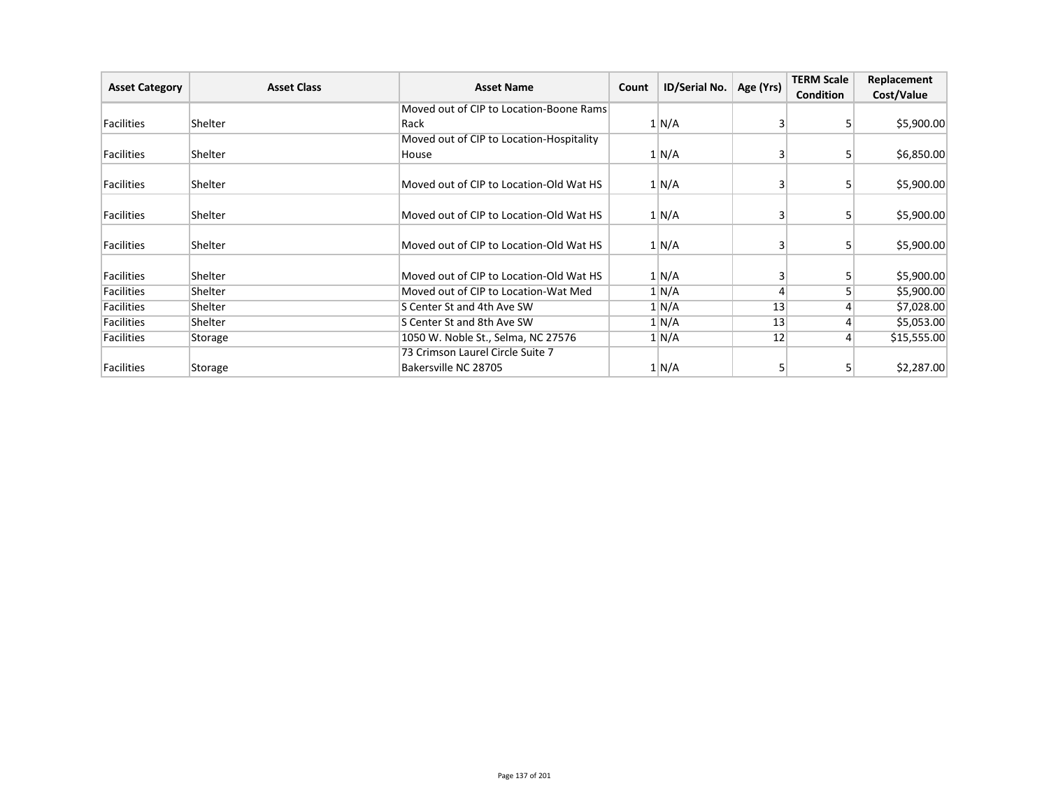| <b>Asset Category</b> | <b>Asset Class</b> | <b>Asset Name</b>                        | Count | ID/Serial No. |           | <b>TERM Scale</b> | Replacement |
|-----------------------|--------------------|------------------------------------------|-------|---------------|-----------|-------------------|-------------|
|                       |                    |                                          |       |               | Age (Yrs) | <b>Condition</b>  | Cost/Value  |
|                       |                    | Moved out of CIP to Location-Boone Rams  |       |               |           |                   |             |
| Facilities            | Shelter            | Rack                                     |       | 1 N/A         | 3         |                   | \$5,900.00  |
|                       |                    | Moved out of CIP to Location-Hospitality |       |               |           |                   |             |
| Facilities            | Shelter            | House                                    |       | 1 N/A         | 3         | 51                | \$6,850.00  |
| Facilities            | Shelter            | Moved out of CIP to Location-Old Wat HS  |       |               |           |                   | \$5,900.00  |
|                       |                    |                                          |       | 1 N/A         | 3         |                   |             |
| Facilities            | Shelter            | Moved out of CIP to Location-Old Wat HS  |       | 1/N/A         | 3         |                   | \$5,900.00  |
| Facilities            | Shelter            | Moved out of CIP to Location-Old Wat HS  |       | 1 N/A         | 3         |                   | \$5,900.00  |
| Facilities            | Shelter            | Moved out of CIP to Location-Old Wat HS  |       | 1 N/A         | 3         |                   | \$5,900.00  |
| Facilities            | Shelter            | Moved out of CIP to Location-Wat Med     |       | 1 N/A         | 4         |                   | \$5,900.00  |
| Facilities            | Shelter            | S Center St and 4th Ave SW               |       | 1 N/A         | 13        |                   | \$7,028.00  |
| Facilities            | Shelter            | S Center St and 8th Ave SW               |       | 1/N/A         | 13        |                   | \$5,053.00  |
| Facilities            | Storage            | 1050 W. Noble St., Selma, NC 27576       |       | 1 N/A         | 12        |                   | \$15,555.00 |
|                       |                    | 73 Crimson Laurel Circle Suite 7         |       |               |           |                   |             |
| Facilities            | Storage            | Bakersville NC 28705                     |       | 1 N/A         | 5         |                   | \$2,287.00  |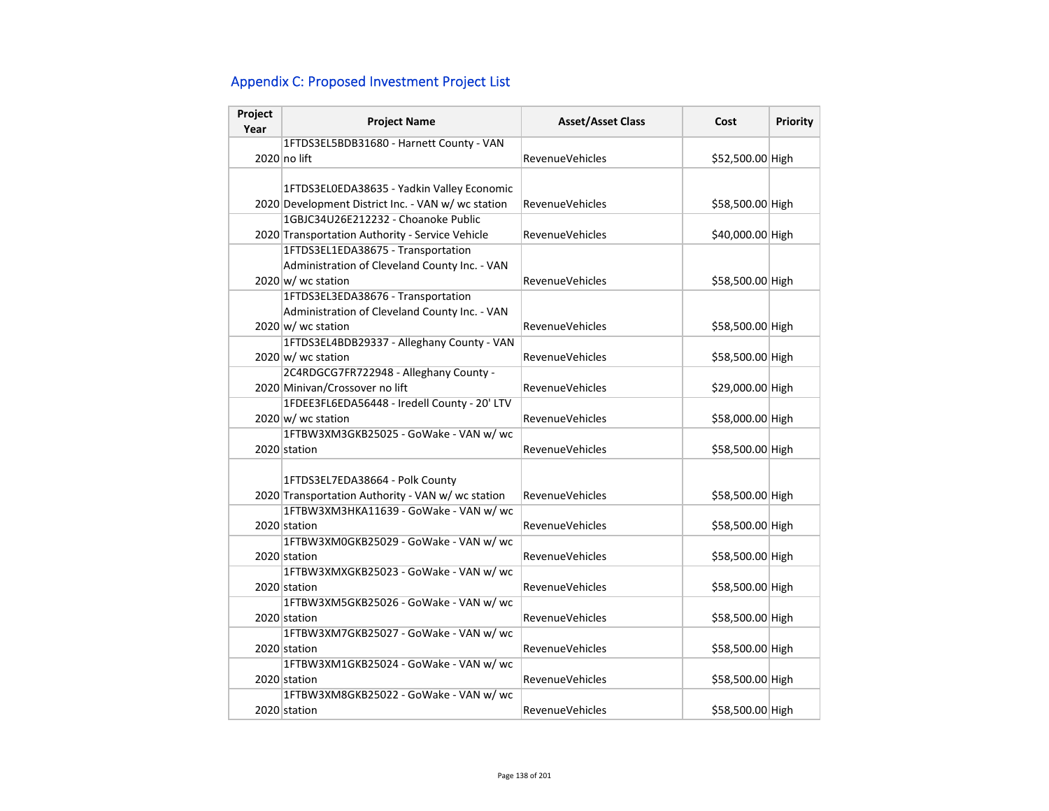# Appendix C: Proposed Investment Project List

| Project<br>Year | <b>Project Name</b>                                | <b>Asset/Asset Class</b> | Cost             | Priority |
|-----------------|----------------------------------------------------|--------------------------|------------------|----------|
|                 | 1FTDS3EL5BDB31680 - Harnett County - VAN           |                          |                  |          |
|                 | 2020 no lift                                       | <b>RevenueVehicles</b>   | \$52,500.00 High |          |
|                 |                                                    |                          |                  |          |
|                 | 1FTDS3EL0EDA38635 - Yadkin Valley Economic         |                          |                  |          |
|                 | 2020 Development District Inc. - VAN w/ wc station | <b>RevenueVehicles</b>   | \$58,500.00 High |          |
|                 | 1GBJC34U26E212232 - Choanoke Public                |                          |                  |          |
|                 | 2020 Transportation Authority - Service Vehicle    | <b>RevenueVehicles</b>   | \$40,000.00 High |          |
|                 | 1FTDS3EL1EDA38675 - Transportation                 |                          |                  |          |
|                 | Administration of Cleveland County Inc. - VAN      |                          |                  |          |
|                 | $2020 \text{ w/m}$ wc station                      | <b>RevenueVehicles</b>   | \$58,500.00 High |          |
|                 | 1FTDS3EL3EDA38676 - Transportation                 |                          |                  |          |
|                 | Administration of Cleveland County Inc. - VAN      |                          |                  |          |
|                 | 2020 w/ wc station                                 | <b>RevenueVehicles</b>   | \$58,500.00 High |          |
|                 | 1FTDS3EL4BDB29337 - Alleghany County - VAN         |                          |                  |          |
|                 | 2020 w/ wc station                                 | <b>RevenueVehicles</b>   | \$58,500.00 High |          |
|                 | 2C4RDGCG7FR722948 - Alleghany County -             |                          |                  |          |
|                 | 2020 Minivan/Crossover no lift                     | <b>RevenueVehicles</b>   | \$29,000.00 High |          |
|                 | 1FDEE3FL6EDA56448 - Iredell County - 20' LTV       |                          |                  |          |
|                 | 2020 w/ wc station                                 | RevenueVehicles          | \$58,000.00 High |          |
|                 | 1FTBW3XM3GKB25025 - GoWake - VAN w/ wc             |                          |                  |          |
|                 | 2020 station                                       | <b>RevenueVehicles</b>   | \$58,500.00 High |          |
|                 |                                                    |                          |                  |          |
|                 | 1FTDS3EL7EDA38664 - Polk County                    |                          |                  |          |
|                 | 2020 Transportation Authority - VAN w/ wc station  | <b>RevenueVehicles</b>   | \$58,500.00 High |          |
|                 | 1FTBW3XM3HKA11639 - GoWake - VAN w/ wc             |                          |                  |          |
|                 | 2020 station                                       | <b>RevenueVehicles</b>   | \$58,500.00 High |          |
|                 | 1FTBW3XM0GKB25029 - GoWake - VAN w/ wc             |                          |                  |          |
|                 | 2020 station                                       | <b>RevenueVehicles</b>   | \$58,500.00 High |          |
|                 | 1FTBW3XMXGKB25023 - GoWake - VAN w/ wc             |                          |                  |          |
|                 | 2020 station                                       | <b>RevenueVehicles</b>   | \$58,500.00 High |          |
|                 | 1FTBW3XM5GKB25026 - GoWake - VAN w/ wc             |                          |                  |          |
|                 | 2020 station                                       | <b>RevenueVehicles</b>   | \$58,500.00 High |          |
|                 | 1FTBW3XM7GKB25027 - GoWake - VAN w/ wc             |                          |                  |          |
|                 | 2020 station                                       | <b>RevenueVehicles</b>   | \$58,500.00 High |          |
|                 | 1FTBW3XM1GKB25024 - GoWake - VAN w/ wc             |                          |                  |          |
|                 | 2020 station                                       | <b>RevenueVehicles</b>   | \$58,500.00 High |          |
|                 | 1FTBW3XM8GKB25022 - GoWake - VAN w/ wc             |                          |                  |          |
|                 | 2020 station                                       | RevenueVehicles          | \$58,500.00 High |          |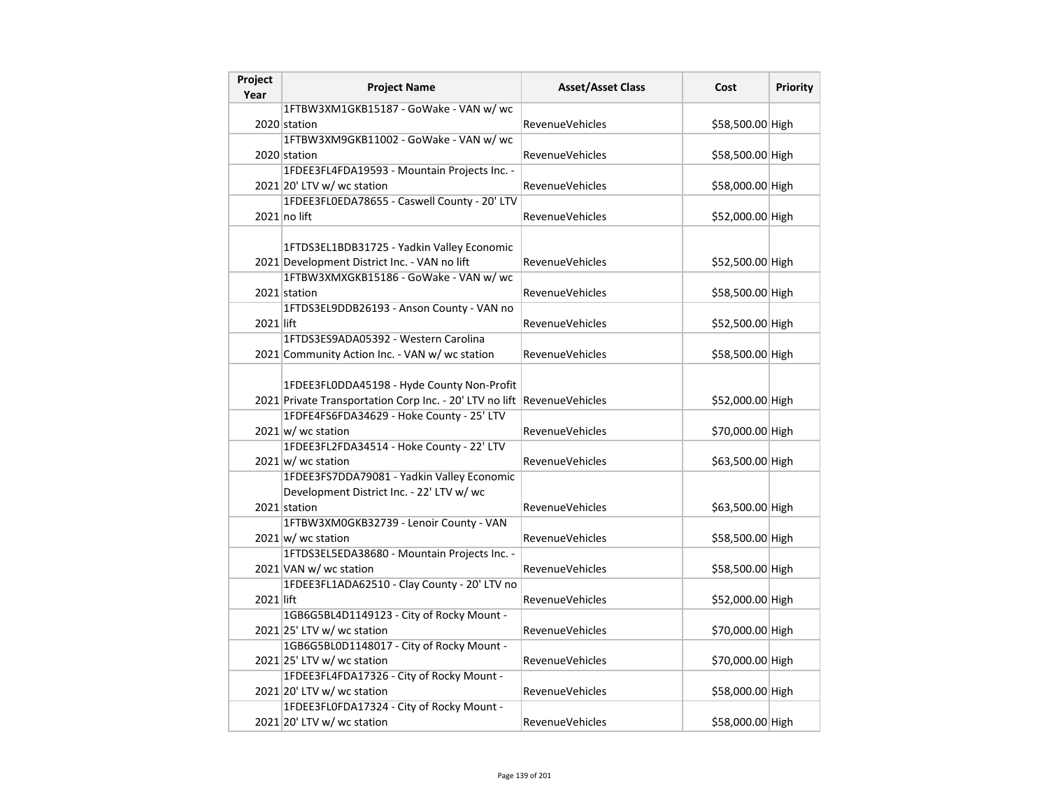| Project<br>Year | <b>Project Name</b>                                                     | <b>Asset/Asset Class</b> | Cost             | <b>Priority</b> |
|-----------------|-------------------------------------------------------------------------|--------------------------|------------------|-----------------|
|                 | 1FTBW3XM1GKB15187 - GoWake - VAN w/ wc                                  |                          |                  |                 |
|                 | 2020 station                                                            | RevenueVehicles          | \$58,500.00 High |                 |
|                 | 1FTBW3XM9GKB11002 - GoWake - VAN w/ wc                                  |                          |                  |                 |
|                 | 2020 station                                                            | RevenueVehicles          | \$58,500.00 High |                 |
|                 | 1FDEE3FL4FDA19593 - Mountain Projects Inc. -                            |                          |                  |                 |
|                 | 2021 20' LTV w/ wc station                                              | RevenueVehicles          | \$58,000.00 High |                 |
|                 | 1FDEE3FL0EDA78655 - Caswell County - 20' LTV                            |                          |                  |                 |
|                 | $2021$ no lift                                                          | RevenueVehicles          | \$52,000.00 High |                 |
|                 |                                                                         |                          |                  |                 |
|                 | 1FTDS3EL1BDB31725 - Yadkin Valley Economic                              |                          |                  |                 |
|                 | 2021 Development District Inc. - VAN no lift                            | RevenueVehicles          | \$52,500.00 High |                 |
|                 | 1FTBW3XMXGKB15186 - GoWake - VAN w/ wc                                  |                          |                  |                 |
|                 | 2021 station                                                            | <b>RevenueVehicles</b>   | \$58,500.00 High |                 |
|                 | 1FTDS3EL9DDB26193 - Anson County - VAN no                               |                          |                  |                 |
| 2021 lift       |                                                                         | RevenueVehicles          | \$52,500.00 High |                 |
|                 | 1FTDS3ES9ADA05392 - Western Carolina                                    |                          |                  |                 |
|                 | 2021 Community Action Inc. - VAN w/ wc station                          | <b>RevenueVehicles</b>   | \$58,500.00 High |                 |
|                 |                                                                         |                          |                  |                 |
|                 | 1FDEE3FL0DDA45198 - Hyde County Non-Profit                              |                          |                  |                 |
|                 | 2021 Private Transportation Corp Inc. - 20' LTV no lift RevenueVehicles |                          | \$52,000.00 High |                 |
|                 | 1FDFE4FS6FDA34629 - Hoke County - 25' LTV                               |                          |                  |                 |
|                 | $2021 \text{ w}$ / wc station                                           | RevenueVehicles          | \$70,000.00 High |                 |
|                 | 1FDEE3FL2FDA34514 - Hoke County - 22' LTV                               |                          |                  |                 |
|                 | $2021 \text{ w}$ / wc station                                           | RevenueVehicles          | \$63,500.00 High |                 |
|                 | 1FDEE3FS7DDA79081 - Yadkin Valley Economic                              |                          |                  |                 |
|                 | Development District Inc. - 22' LTV w/ wc                               |                          |                  |                 |
|                 | 2021 station                                                            | <b>RevenueVehicles</b>   | \$63,500.00 High |                 |
|                 | 1FTBW3XM0GKB32739 - Lenoir County - VAN                                 |                          |                  |                 |
|                 | $2021 \vert w$ / wc station                                             | <b>RevenueVehicles</b>   | \$58,500.00 High |                 |
|                 | 1FTDS3EL5EDA38680 - Mountain Projects Inc. -                            |                          |                  |                 |
|                 | 2021 VAN w/ wc station                                                  | RevenueVehicles          | \$58,500.00 High |                 |
|                 | 1FDEE3FL1ADA62510 - Clay County - 20' LTV no                            |                          |                  |                 |
| 2021 lift       |                                                                         | <b>RevenueVehicles</b>   | \$52,000.00 High |                 |
|                 | 1GB6G5BL4D1149123 - City of Rocky Mount -                               |                          |                  |                 |
|                 | $2021$ 25' LTV w/ wc station                                            | RevenueVehicles          | \$70,000.00 High |                 |
|                 | 1GB6G5BL0D1148017 - City of Rocky Mount -                               |                          |                  |                 |
|                 | $2021$ 25' LTV w/ wc station                                            | RevenueVehicles          | \$70,000.00 High |                 |
|                 | 1FDEE3FL4FDA17326 - City of Rocky Mount -                               |                          |                  |                 |
|                 | 2021 20' LTV w/ wc station                                              | <b>RevenueVehicles</b>   | \$58,000.00 High |                 |
|                 | 1FDEE3FL0FDA17324 - City of Rocky Mount -                               |                          |                  |                 |
|                 | 2021 20' LTV w/ wc station                                              | RevenueVehicles          | \$58,000.00 High |                 |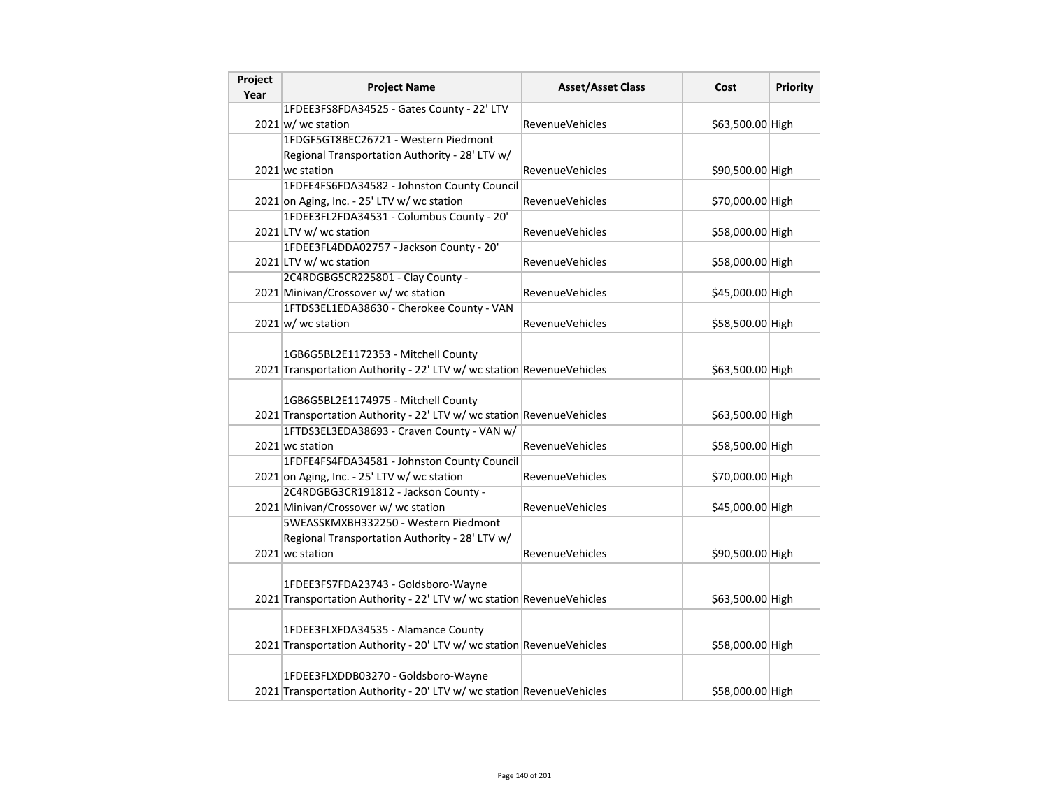| Project<br>Year | <b>Project Name</b>                                                                                          | <b>Asset/Asset Class</b> | Cost             | <b>Priority</b> |
|-----------------|--------------------------------------------------------------------------------------------------------------|--------------------------|------------------|-----------------|
|                 | 1FDEE3FS8FDA34525 - Gates County - 22' LTV                                                                   |                          |                  |                 |
|                 | $2021 \text{ w}$ / wc station                                                                                | <b>RevenueVehicles</b>   | \$63,500.00 High |                 |
|                 | 1FDGF5GT8BEC26721 - Western Piedmont                                                                         |                          |                  |                 |
|                 | Regional Transportation Authority - 28' LTV w/                                                               |                          |                  |                 |
|                 | 2021 wc station                                                                                              | <b>RevenueVehicles</b>   | \$90,500.00 High |                 |
|                 | 1FDFE4FS6FDA34582 - Johnston County Council                                                                  |                          |                  |                 |
|                 | 2021 on Aging, Inc. - 25' LTV w/ wc station                                                                  | <b>RevenueVehicles</b>   | \$70,000.00 High |                 |
|                 | 1FDEE3FL2FDA34531 - Columbus County - 20'                                                                    |                          |                  |                 |
|                 | 2021 LTV w/ wc station                                                                                       | RevenueVehicles          | \$58,000.00 High |                 |
|                 | 1FDEE3FL4DDA02757 - Jackson County - 20'                                                                     |                          |                  |                 |
|                 | 2021 LTV w/ wc station                                                                                       | <b>RevenueVehicles</b>   | \$58,000.00 High |                 |
|                 | 2C4RDGBG5CR225801 - Clay County -                                                                            |                          |                  |                 |
|                 | 2021 Minivan/Crossover w/ wc station                                                                         | <b>RevenueVehicles</b>   | \$45,000.00 High |                 |
|                 | 1FTDS3EL1EDA38630 - Cherokee County - VAN                                                                    |                          |                  |                 |
|                 | $2021 \text{ w}$ / wc station                                                                                | <b>RevenueVehicles</b>   | \$58,500.00 High |                 |
|                 | 1GB6G5BL2E1172353 - Mitchell County<br>2021 Transportation Authority - 22' LTV w/ wc station RevenueVehicles |                          | \$63,500.00 High |                 |
|                 | 1GB6G5BL2E1174975 - Mitchell County<br>2021 Transportation Authority - 22' LTV w/ wc station RevenueVehicles |                          | \$63,500.00 High |                 |
|                 | 1FTDS3EL3EDA38693 - Craven County - VAN w/                                                                   |                          |                  |                 |
|                 | 2021 wc station                                                                                              | <b>RevenueVehicles</b>   | \$58,500.00 High |                 |
|                 | 1FDFE4FS4FDA34581 - Johnston County Council                                                                  |                          |                  |                 |
|                 | 2021 on Aging, Inc. - 25' LTV w/ wc station                                                                  | <b>RevenueVehicles</b>   | \$70,000.00 High |                 |
|                 | 2C4RDGBG3CR191812 - Jackson County -                                                                         |                          |                  |                 |
|                 | 2021 Minivan/Crossover w/ wc station                                                                         | <b>RevenueVehicles</b>   | \$45,000.00 High |                 |
|                 | 5WEASSKMXBH332250 - Western Piedmont<br>Regional Transportation Authority - 28' LTV w/                       |                          |                  |                 |
|                 | 2021 wc station                                                                                              | <b>RevenueVehicles</b>   | \$90,500.00 High |                 |
|                 | 1FDEE3FS7FDA23743 - Goldsboro-Wayne<br>2021 Transportation Authority - 22' LTV w/ wc station RevenueVehicles |                          | \$63,500.00 High |                 |
|                 | 1FDEE3FLXFDA34535 - Alamance County<br>2021 Transportation Authority - 20' LTV w/ wc station RevenueVehicles |                          | \$58,000.00 High |                 |
|                 | 1FDEE3FLXDDB03270 - Goldsboro-Wayne<br>2021 Transportation Authority - 20' LTV w/ wc station RevenueVehicles |                          | \$58,000.00 High |                 |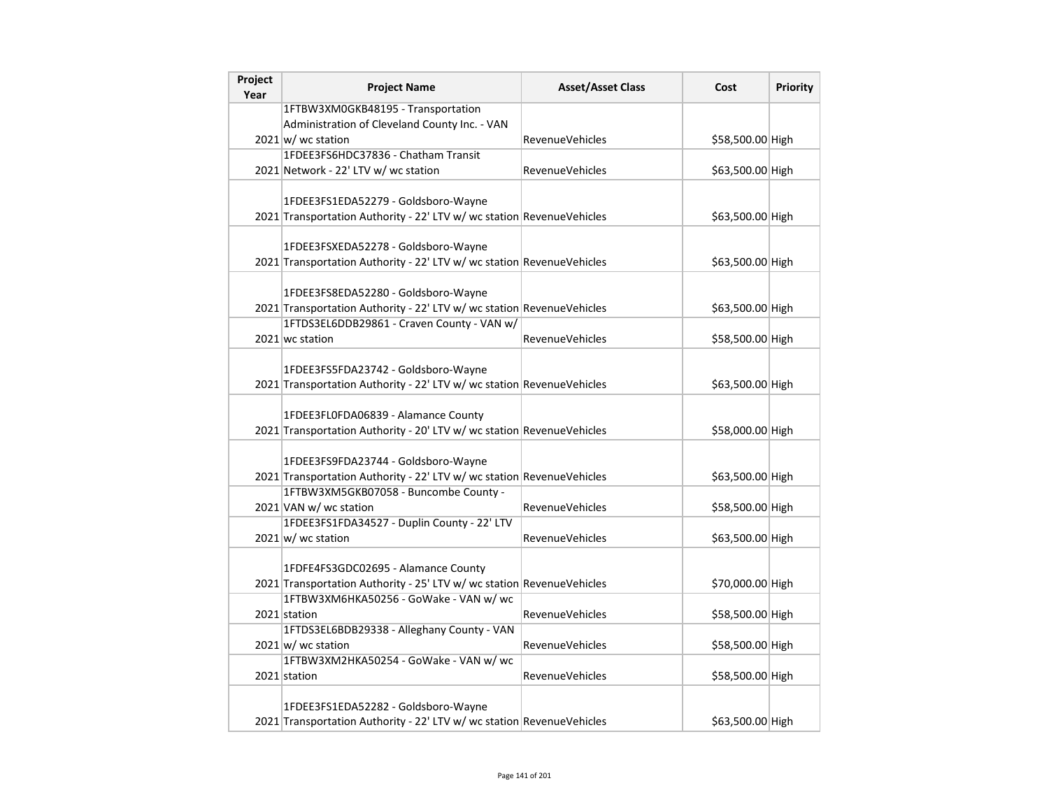| Project<br>Year | <b>Project Name</b>                                                   | <b>Asset/Asset Class</b> | Cost             | <b>Priority</b> |
|-----------------|-----------------------------------------------------------------------|--------------------------|------------------|-----------------|
|                 | 1FTBW3XM0GKB48195 - Transportation                                    |                          |                  |                 |
|                 | Administration of Cleveland County Inc. - VAN                         |                          |                  |                 |
|                 | $2021 \text{w}$ wc station                                            | <b>RevenueVehicles</b>   | \$58,500.00 High |                 |
|                 | 1FDEE3FS6HDC37836 - Chatham Transit                                   |                          |                  |                 |
|                 | 2021 Network - 22' LTV w/ wc station                                  | <b>RevenueVehicles</b>   | \$63,500.00 High |                 |
|                 |                                                                       |                          |                  |                 |
|                 | 1FDEE3FS1EDA52279 - Goldsboro-Wayne                                   |                          |                  |                 |
|                 | 2021 Transportation Authority - 22' LTV w/ wc station RevenueVehicles |                          | \$63,500.00 High |                 |
|                 |                                                                       |                          |                  |                 |
|                 | 1FDEE3FSXEDA52278 - Goldsboro-Wayne                                   |                          |                  |                 |
|                 | 2021 Transportation Authority - 22' LTV w/ wc station RevenueVehicles |                          | \$63,500.00 High |                 |
|                 |                                                                       |                          |                  |                 |
|                 | 1FDEE3FS8EDA52280 - Goldsboro-Wayne                                   |                          |                  |                 |
|                 | 2021 Transportation Authority - 22' LTV w/ wc station RevenueVehicles |                          | \$63,500.00 High |                 |
|                 | 1FTDS3EL6DDB29861 - Craven County - VAN w/                            |                          |                  |                 |
|                 | 2021 wc station                                                       | <b>RevenueVehicles</b>   | \$58,500.00 High |                 |
|                 |                                                                       |                          |                  |                 |
|                 | 1FDEE3FS5FDA23742 - Goldsboro-Wayne                                   |                          |                  |                 |
|                 | 2021 Transportation Authority - 22' LTV w/ wc station RevenueVehicles |                          | \$63,500.00 High |                 |
|                 |                                                                       |                          |                  |                 |
|                 | 1FDEE3FL0FDA06839 - Alamance County                                   |                          |                  |                 |
|                 | 2021 Transportation Authority - 20' LTV w/ wc station RevenueVehicles |                          | \$58,000.00 High |                 |
|                 |                                                                       |                          |                  |                 |
|                 | 1FDEE3FS9FDA23744 - Goldsboro-Wayne                                   |                          |                  |                 |
|                 | 2021 Transportation Authority - 22' LTV w/ wc station RevenueVehicles |                          | \$63,500.00 High |                 |
|                 | 1FTBW3XM5GKB07058 - Buncombe County -                                 | RevenueVehicles          |                  |                 |
|                 | 2021 VAN w/ wc station<br>1FDEE3FS1FDA34527 - Duplin County - 22' LTV |                          | \$58,500.00 High |                 |
|                 |                                                                       | RevenueVehicles          |                  |                 |
|                 | $2021 \text{ w/m}$ wc station                                         |                          | \$63,500.00 High |                 |
|                 | 1FDFE4FS3GDC02695 - Alamance County                                   |                          |                  |                 |
|                 | 2021 Transportation Authority - 25' LTV w/ wc station RevenueVehicles |                          | \$70,000.00 High |                 |
|                 | 1FTBW3XM6HKA50256 - GoWake - VAN w/ wc                                |                          |                  |                 |
|                 | 2021 station                                                          | RevenueVehicles          | \$58,500.00 High |                 |
|                 | 1FTDS3EL6BDB29338 - Alleghany County - VAN                            |                          |                  |                 |
|                 | $2021 \text{w}$ wc station                                            | <b>RevenueVehicles</b>   | \$58,500.00 High |                 |
|                 | 1FTBW3XM2HKA50254 - GoWake - VAN w/ wc                                |                          |                  |                 |
|                 | 2021 station                                                          | RevenueVehicles          | \$58,500.00 High |                 |
|                 |                                                                       |                          |                  |                 |
|                 | 1FDEE3FS1EDA52282 - Goldsboro-Wayne                                   |                          |                  |                 |
|                 | 2021 Transportation Authority - 22' LTV w/ wc station RevenueVehicles |                          | \$63,500.00 High |                 |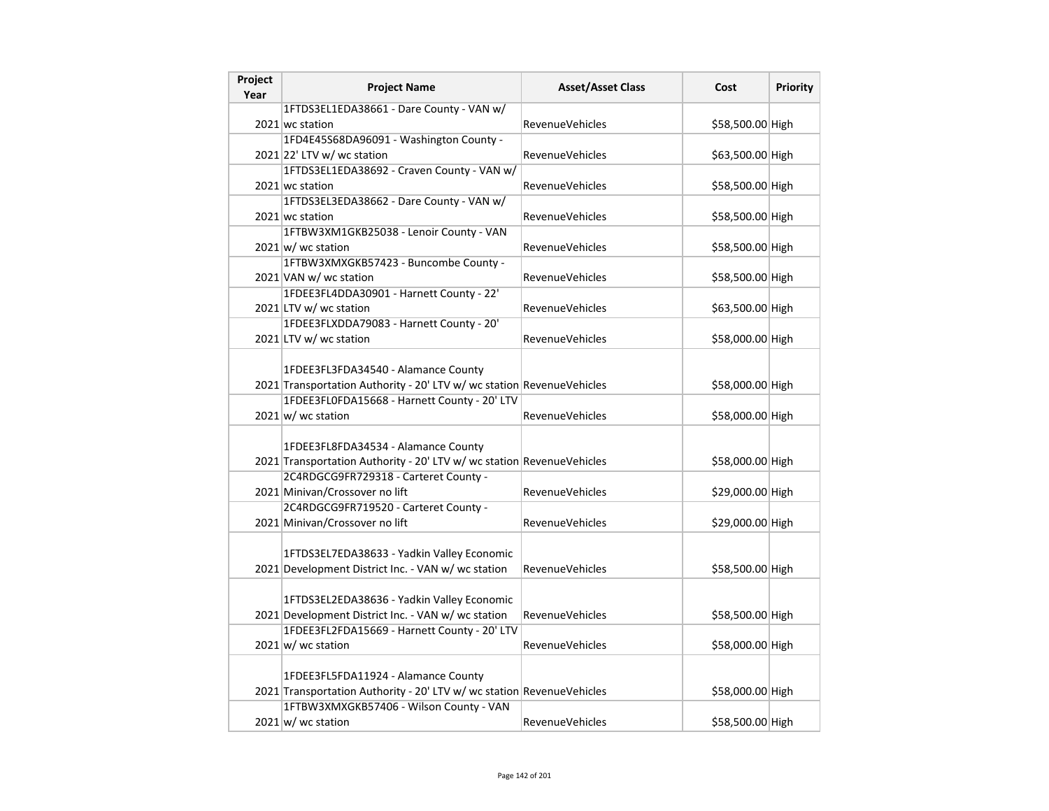| Project<br>Year | <b>Project Name</b>                                                     | <b>Asset/Asset Class</b> | Cost             | <b>Priority</b> |
|-----------------|-------------------------------------------------------------------------|--------------------------|------------------|-----------------|
|                 | 1FTDS3EL1EDA38661 - Dare County - VAN w/                                |                          |                  |                 |
|                 | 2021 wc station                                                         | RevenueVehicles          | \$58,500.00 High |                 |
|                 | 1FD4E45S68DA96091 - Washington County -                                 |                          |                  |                 |
|                 | $2021$ 22' LTV w/ wc station                                            | RevenueVehicles          | \$63,500.00 High |                 |
|                 | 1FTDS3EL1EDA38692 - Craven County - VAN w/                              |                          |                  |                 |
|                 | 2021 wc station                                                         | RevenueVehicles          | \$58,500.00 High |                 |
|                 | 1FTDS3EL3EDA38662 - Dare County - VAN w/                                |                          |                  |                 |
|                 | 2021 wc station                                                         | <b>RevenueVehicles</b>   | \$58,500.00 High |                 |
|                 | 1FTBW3XM1GKB25038 - Lenoir County - VAN                                 |                          |                  |                 |
|                 | $2021 \text{w}$ wc station                                              | RevenueVehicles          | \$58,500.00 High |                 |
|                 | 1FTBW3XMXGKB57423 - Buncombe County -                                   |                          |                  |                 |
|                 | 2021 VAN w/ wc station                                                  | <b>RevenueVehicles</b>   | \$58,500.00 High |                 |
|                 | 1FDEE3FL4DDA30901 - Harnett County - 22'                                |                          |                  |                 |
|                 | 2021 LTV w/ wc station                                                  | <b>RevenueVehicles</b>   | \$63,500.00 High |                 |
|                 | 1FDEE3FLXDDA79083 - Harnett County - 20'                                |                          |                  |                 |
|                 | 2021 LTV w/ wc station                                                  | <b>RevenueVehicles</b>   | \$58,000.00 High |                 |
|                 |                                                                         |                          |                  |                 |
|                 | 1FDEE3FL3FDA34540 - Alamance County                                     |                          |                  |                 |
|                 | 2021 Transportation Authority - 20' LTV w/ wc station RevenueVehicles   |                          | \$58,000.00 High |                 |
|                 | 1FDEE3FL0FDA15668 - Harnett County - 20' LTV                            |                          |                  |                 |
|                 | $2021 \text{ w}$ / wc station                                           | <b>RevenueVehicles</b>   | \$58,000.00 High |                 |
|                 |                                                                         |                          |                  |                 |
|                 | 1FDEE3FL8FDA34534 - Alamance County                                     |                          |                  |                 |
|                 | 2021 Transportation Authority - 20' LTV w/ wc station RevenueVehicles   |                          | \$58,000.00 High |                 |
|                 | 2C4RDGCG9FR729318 - Carteret County -<br>2021 Minivan/Crossover no lift | RevenueVehicles          | \$29,000.00 High |                 |
|                 | 2C4RDGCG9FR719520 - Carteret County -                                   |                          |                  |                 |
|                 | 2021 Minivan/Crossover no lift                                          | <b>RevenueVehicles</b>   | \$29,000.00 High |                 |
|                 |                                                                         |                          |                  |                 |
|                 | 1FTDS3EL7EDA38633 - Yadkin Valley Economic                              |                          |                  |                 |
|                 | 2021 Development District Inc. - VAN w/ wc station                      | <b>RevenueVehicles</b>   | \$58,500.00 High |                 |
|                 |                                                                         |                          |                  |                 |
|                 | 1FTDS3EL2EDA38636 - Yadkin Valley Economic                              |                          |                  |                 |
|                 | 2021 Development District Inc. - VAN w/ wc station                      | RevenueVehicles          | \$58,500.00 High |                 |
|                 | 1FDEE3FL2FDA15669 - Harnett County - 20' LTV                            |                          |                  |                 |
|                 | $2021 \text{ w/m}$ wc station                                           | RevenueVehicles          | \$58,000.00 High |                 |
|                 |                                                                         |                          |                  |                 |
|                 | 1FDEE3FL5FDA11924 - Alamance County                                     |                          |                  |                 |
|                 | 2021 Transportation Authority - 20' LTV w/ wc station RevenueVehicles   |                          | \$58,000.00 High |                 |
|                 | 1FTBW3XMXGKB57406 - Wilson County - VAN                                 |                          |                  |                 |
|                 | $2021 \text{w}$ wc station                                              | <b>RevenueVehicles</b>   | \$58,500.00 High |                 |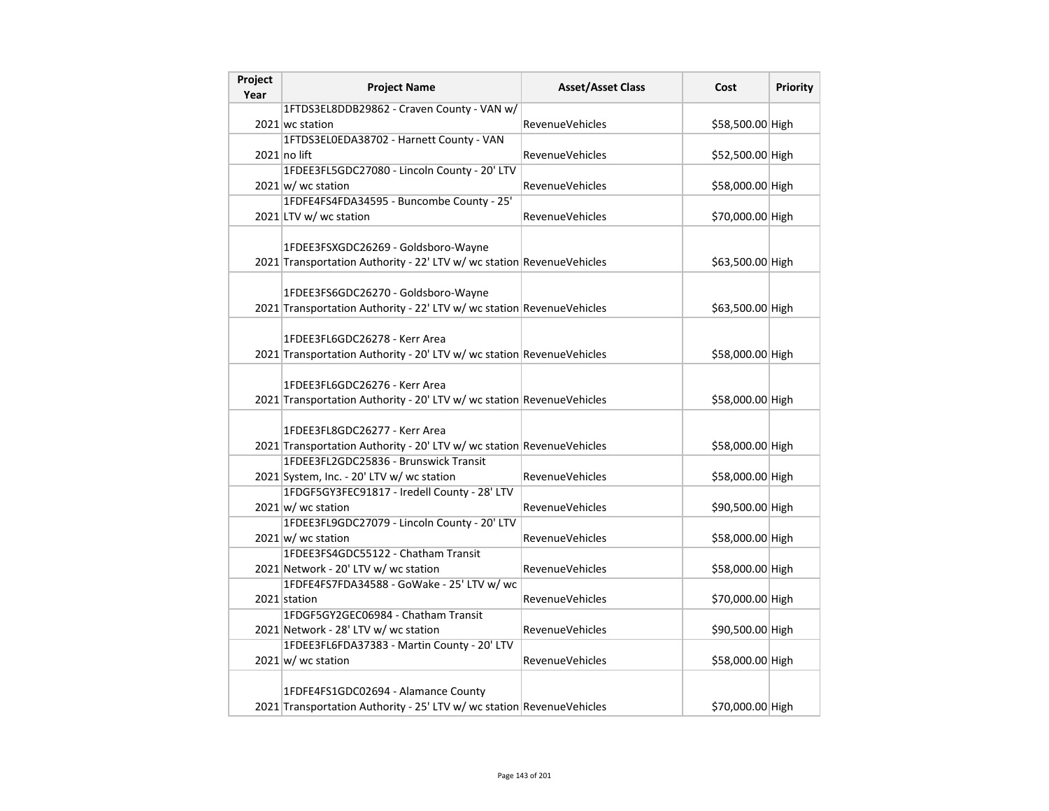| Project<br>Year | <b>Project Name</b>                                                   | <b>Asset/Asset Class</b> | Cost             | Priority |
|-----------------|-----------------------------------------------------------------------|--------------------------|------------------|----------|
|                 | 1FTDS3EL8DDB29862 - Craven County - VAN w/                            |                          |                  |          |
|                 | 2021 wc station                                                       | <b>RevenueVehicles</b>   | \$58,500.00 High |          |
|                 | 1FTDS3EL0EDA38702 - Harnett County - VAN                              |                          |                  |          |
|                 | $2021$ no lift                                                        | <b>RevenueVehicles</b>   | \$52,500.00 High |          |
|                 | 1FDEE3FL5GDC27080 - Lincoln County - 20' LTV                          |                          |                  |          |
|                 | 2021 w/ wc station                                                    | <b>RevenueVehicles</b>   | \$58,000.00 High |          |
|                 | 1FDFE4FS4FDA34595 - Buncombe County - 25'                             |                          |                  |          |
|                 | 2021 LTV w/ wc station                                                | <b>RevenueVehicles</b>   | \$70,000.00 High |          |
|                 |                                                                       |                          |                  |          |
|                 | 1FDEE3FSXGDC26269 - Goldsboro-Wayne                                   |                          |                  |          |
|                 | 2021 Transportation Authority - 22' LTV w/ wc station RevenueVehicles |                          | \$63,500.00 High |          |
|                 |                                                                       |                          |                  |          |
|                 | 1FDEE3FS6GDC26270 - Goldsboro-Wayne                                   |                          |                  |          |
|                 | 2021 Transportation Authority - 22' LTV w/ wc station RevenueVehicles |                          | \$63,500.00 High |          |
|                 |                                                                       |                          |                  |          |
|                 | 1FDEE3FL6GDC26278 - Kerr Area                                         |                          |                  |          |
|                 | 2021 Transportation Authority - 20' LTV w/ wc station RevenueVehicles |                          | \$58,000.00 High |          |
|                 |                                                                       |                          |                  |          |
|                 | 1FDEE3FL6GDC26276 - Kerr Area                                         |                          |                  |          |
|                 | 2021 Transportation Authority - 20' LTV w/ wc station RevenueVehicles |                          | \$58,000.00 High |          |
|                 |                                                                       |                          |                  |          |
|                 | 1FDEE3FL8GDC26277 - Kerr Area                                         |                          |                  |          |
|                 | 2021 Transportation Authority - 20' LTV w/ wc station RevenueVehicles |                          | \$58,000.00 High |          |
|                 | 1FDEE3FL2GDC25836 - Brunswick Transit                                 |                          |                  |          |
|                 | 2021 System, Inc. - 20' LTV w/ wc station                             | <b>RevenueVehicles</b>   | \$58,000.00 High |          |
|                 | 1FDGF5GY3FEC91817 - Iredell County - 28' LTV                          |                          |                  |          |
|                 | $2021 \text{ w}$ / wc station                                         | <b>RevenueVehicles</b>   | \$90,500.00 High |          |
|                 | 1FDEE3FL9GDC27079 - Lincoln County - 20' LTV                          |                          |                  |          |
|                 | $2021 \text{ w}$ / wc station                                         | <b>RevenueVehicles</b>   | \$58,000.00 High |          |
|                 | 1FDEE3FS4GDC55122 - Chatham Transit                                   |                          |                  |          |
|                 | 2021 Network - 20' LTV w/ wc station                                  | <b>RevenueVehicles</b>   | \$58,000.00 High |          |
|                 | 1FDFE4FS7FDA34588 - GoWake - 25' LTV w/ wc                            |                          |                  |          |
|                 | 2021 station                                                          | <b>RevenueVehicles</b>   | \$70,000.00 High |          |
|                 | 1FDGF5GY2GEC06984 - Chatham Transit                                   |                          |                  |          |
|                 | 2021 Network - 28' LTV w/ wc station                                  | <b>RevenueVehicles</b>   | \$90,500.00 High |          |
|                 | 1FDEE3FL6FDA37383 - Martin County - 20' LTV                           |                          |                  |          |
|                 | $2021 \text{ w}$ wc station                                           | <b>RevenueVehicles</b>   | \$58,000.00 High |          |
|                 |                                                                       |                          |                  |          |
|                 | 1FDFE4FS1GDC02694 - Alamance County                                   |                          |                  |          |
|                 | 2021 Transportation Authority - 25' LTV w/ wc station RevenueVehicles |                          | \$70,000.00 High |          |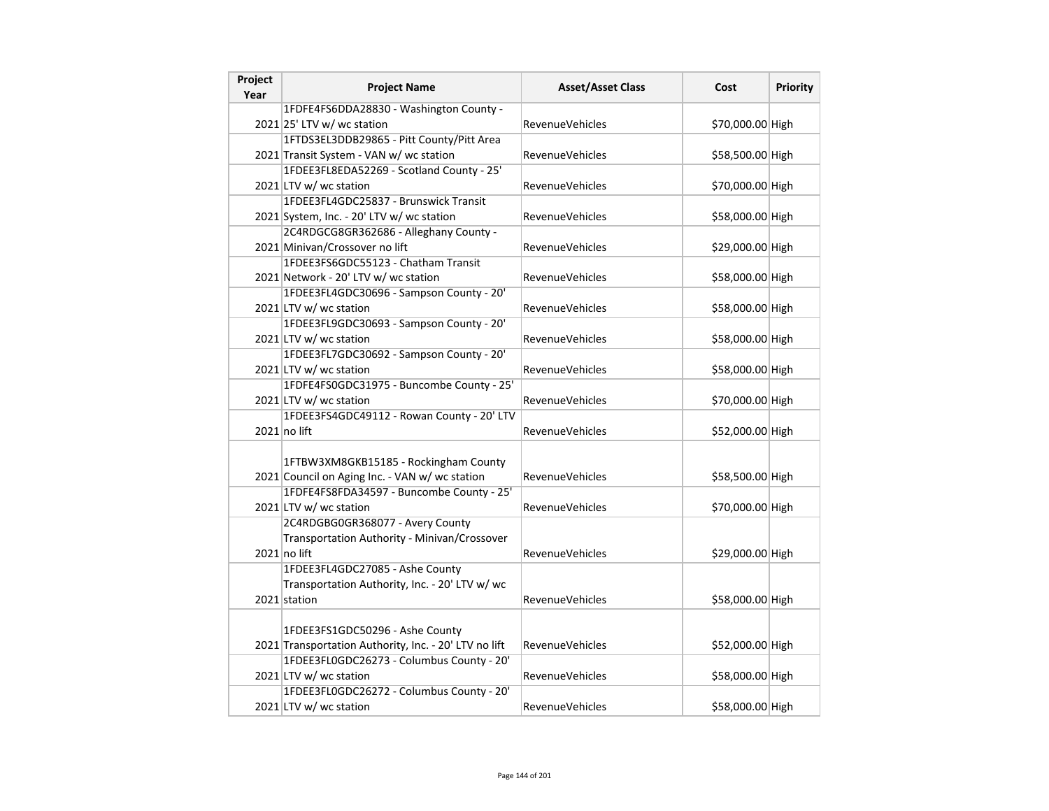| Project<br>Year | <b>Project Name</b>                                                                     | <b>Asset/Asset Class</b> | Cost             | <b>Priority</b> |
|-----------------|-----------------------------------------------------------------------------------------|--------------------------|------------------|-----------------|
|                 | 1FDFE4FS6DDA28830 - Washington County -                                                 |                          |                  |                 |
|                 | $2021$ 25' LTV w/ wc station                                                            | <b>RevenueVehicles</b>   | \$70,000.00 High |                 |
|                 | 1FTDS3EL3DDB29865 - Pitt County/Pitt Area                                               |                          |                  |                 |
|                 | 2021 Transit System - VAN w/ wc station                                                 | RevenueVehicles          | \$58,500.00 High |                 |
|                 | 1FDEE3FL8EDA52269 - Scotland County - 25'                                               |                          |                  |                 |
|                 | 2021 LTV w/ wc station                                                                  | RevenueVehicles          | \$70,000.00 High |                 |
|                 | 1FDEE3FL4GDC25837 - Brunswick Transit                                                   |                          |                  |                 |
|                 | 2021 System, Inc. - 20' LTV w/ wc station                                               | <b>RevenueVehicles</b>   | \$58,000.00 High |                 |
|                 | 2C4RDGCG8GR362686 - Alleghany County -                                                  |                          |                  |                 |
|                 | 2021 Minivan/Crossover no lift                                                          | <b>RevenueVehicles</b>   | \$29,000.00 High |                 |
|                 | 1FDEE3FS6GDC55123 - Chatham Transit                                                     |                          |                  |                 |
|                 | 2021 Network - 20' LTV w/ wc station                                                    | RevenueVehicles          | \$58,000.00 High |                 |
|                 | 1FDEE3FL4GDC30696 - Sampson County - 20'                                                |                          |                  |                 |
|                 | 2021 LTV w/ wc station                                                                  | RevenueVehicles          | \$58,000.00 High |                 |
|                 | 1FDEE3FL9GDC30693 - Sampson County - 20'                                                |                          |                  |                 |
|                 | 2021 LTV w/ wc station                                                                  | <b>RevenueVehicles</b>   | \$58,000.00 High |                 |
|                 | 1FDEE3FL7GDC30692 - Sampson County - 20'                                                |                          |                  |                 |
|                 | 2021 LTV w/ wc station                                                                  | RevenueVehicles          | \$58,000.00 High |                 |
|                 | 1FDFE4FS0GDC31975 - Buncombe County - 25'                                               |                          |                  |                 |
|                 | 2021 LTV w/ wc station                                                                  | <b>RevenueVehicles</b>   | \$70,000.00 High |                 |
|                 | 1FDEE3FS4GDC49112 - Rowan County - 20' LTV                                              |                          |                  |                 |
|                 | $2021$ no lift                                                                          | <b>RevenueVehicles</b>   | \$52,000.00 High |                 |
|                 | 1FTBW3XM8GKB15185 - Rockingham County<br>2021 Council on Aging Inc. - VAN w/ wc station | RevenueVehicles          | \$58,500.00 High |                 |
|                 | 1FDFE4FS8FDA34597 - Buncombe County - 25'                                               |                          |                  |                 |
|                 | 2021 LTV w/ wc station                                                                  | <b>RevenueVehicles</b>   | \$70,000.00 High |                 |
|                 | 2C4RDGBG0GR368077 - Avery County                                                        |                          |                  |                 |
|                 | Transportation Authority - Minivan/Crossover                                            |                          |                  |                 |
|                 | 2021 no lift                                                                            | <b>RevenueVehicles</b>   | \$29,000.00 High |                 |
|                 | 1FDEE3FL4GDC27085 - Ashe County                                                         |                          |                  |                 |
|                 | Transportation Authority, Inc. - 20' LTV w/ wc                                          |                          |                  |                 |
|                 | 2021 station                                                                            | <b>RevenueVehicles</b>   | \$58,000.00 High |                 |
|                 |                                                                                         |                          |                  |                 |
|                 | 1FDEE3FS1GDC50296 - Ashe County                                                         |                          |                  |                 |
|                 | 2021 Transportation Authority, Inc. - 20' LTV no lift                                   | <b>RevenueVehicles</b>   | \$52,000.00 High |                 |
|                 | 1FDEE3FL0GDC26273 - Columbus County - 20'                                               |                          |                  |                 |
|                 | 2021 LTV w/ wc station                                                                  | <b>RevenueVehicles</b>   | \$58,000.00 High |                 |
|                 | 1FDEE3FL0GDC26272 - Columbus County - 20'                                               |                          |                  |                 |
|                 | 2021 LTV w/ wc station                                                                  | RevenueVehicles          | \$58,000.00 High |                 |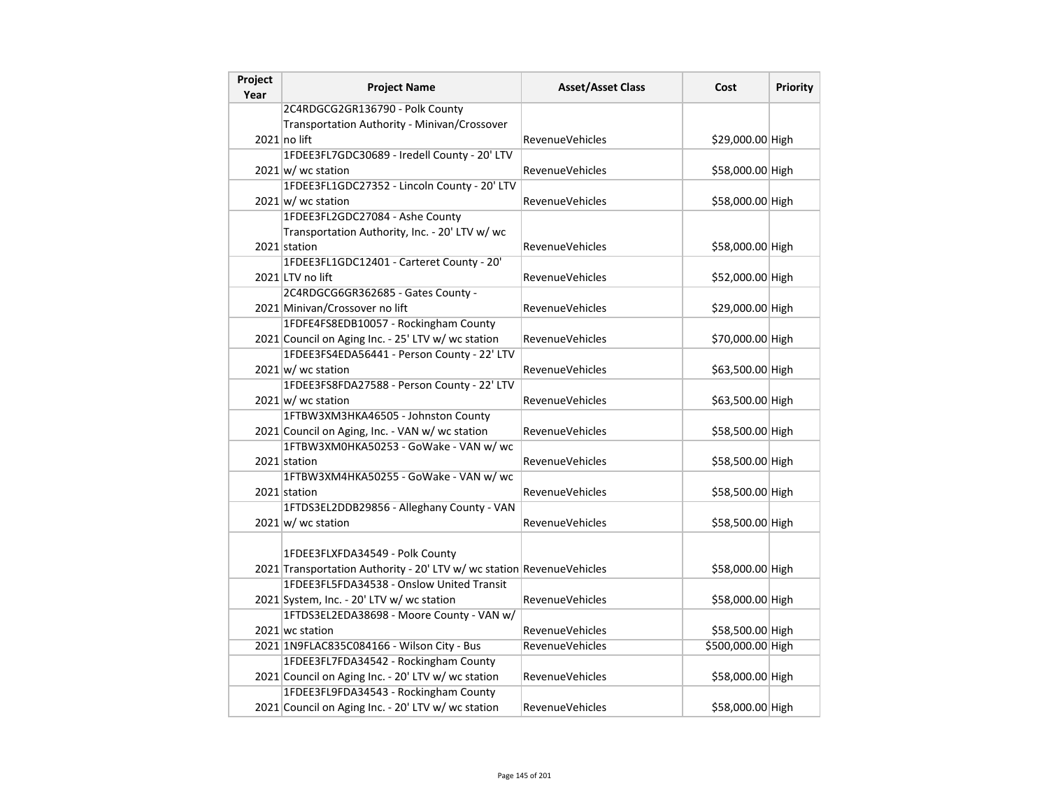| Project<br>Year | <b>Project Name</b>                                                   | <b>Asset/Asset Class</b> | Cost              | <b>Priority</b> |
|-----------------|-----------------------------------------------------------------------|--------------------------|-------------------|-----------------|
|                 | 2C4RDGCG2GR136790 - Polk County                                       |                          |                   |                 |
|                 | Transportation Authority - Minivan/Crossover                          |                          |                   |                 |
|                 | $2021$ no lift                                                        | RevenueVehicles          | \$29,000.00 High  |                 |
|                 | 1FDEE3FL7GDC30689 - Iredell County - 20' LTV                          |                          |                   |                 |
|                 | $2021 \text{w}$ wc station                                            | RevenueVehicles          | \$58,000.00 High  |                 |
|                 | 1FDEE3FL1GDC27352 - Lincoln County - 20' LTV                          |                          |                   |                 |
|                 | $2021 \vert w$ / wc station                                           | <b>RevenueVehicles</b>   | \$58,000.00 High  |                 |
|                 | 1FDEE3FL2GDC27084 - Ashe County                                       |                          |                   |                 |
|                 | Transportation Authority, Inc. - 20' LTV w/ wc                        |                          |                   |                 |
|                 | 2021 station                                                          | RevenueVehicles          | \$58,000.00 High  |                 |
|                 | 1FDEE3FL1GDC12401 - Carteret County - 20'                             |                          |                   |                 |
|                 | 2021 LTV no lift                                                      | <b>RevenueVehicles</b>   | \$52,000.00 High  |                 |
|                 | 2C4RDGCG6GR362685 - Gates County -                                    |                          |                   |                 |
|                 | 2021 Minivan/Crossover no lift                                        | RevenueVehicles          | \$29,000.00 High  |                 |
|                 | 1FDFE4FS8EDB10057 - Rockingham County                                 |                          |                   |                 |
|                 | 2021 Council on Aging Inc. - 25' LTV w/ wc station                    | RevenueVehicles          | \$70,000.00 High  |                 |
|                 | 1FDEE3FS4EDA56441 - Person County - 22' LTV                           |                          |                   |                 |
|                 | $2021$ w/ wc station                                                  | <b>RevenueVehicles</b>   | \$63,500.00 High  |                 |
|                 | 1FDEE3FS8FDA27588 - Person County - 22' LTV                           |                          |                   |                 |
|                 | $2021 \text{ w}$ / wc station                                         | RevenueVehicles          | \$63,500.00 High  |                 |
|                 | 1FTBW3XM3HKA46505 - Johnston County                                   |                          |                   |                 |
|                 | 2021 Council on Aging, Inc. - VAN w/ wc station                       | RevenueVehicles          | \$58,500.00 High  |                 |
|                 | 1FTBW3XM0HKA50253 - GoWake - VAN w/ wc                                |                          |                   |                 |
|                 | 2021 station                                                          | RevenueVehicles          | \$58,500.00 High  |                 |
|                 | 1FTBW3XM4HKA50255 - GoWake - VAN w/ wc                                |                          |                   |                 |
|                 | 2021 station                                                          | <b>RevenueVehicles</b>   | \$58,500.00 High  |                 |
|                 | 1FTDS3EL2DDB29856 - Alleghany County - VAN                            |                          |                   |                 |
|                 | $2021$ w/ wc station                                                  | RevenueVehicles          | \$58,500.00 High  |                 |
|                 |                                                                       |                          |                   |                 |
|                 | 1FDEE3FLXFDA34549 - Polk County                                       |                          |                   |                 |
|                 | 2021 Transportation Authority - 20' LTV w/ wc station RevenueVehicles |                          | \$58,000.00 High  |                 |
|                 | 1FDEE3FL5FDA34538 - Onslow United Transit                             |                          |                   |                 |
|                 | 2021 System, Inc. - 20' LTV w/ wc station                             | RevenueVehicles          | \$58,000.00 High  |                 |
|                 | 1FTDS3EL2EDA38698 - Moore County - VAN w/                             |                          |                   |                 |
|                 | 2021 wc station                                                       | <b>RevenueVehicles</b>   | \$58,500.00 High  |                 |
|                 | 2021 1N9FLAC835C084166 - Wilson City - Bus                            | RevenueVehicles          | \$500,000.00 High |                 |
|                 | 1FDEE3FL7FDA34542 - Rockingham County                                 |                          |                   |                 |
|                 | 2021 Council on Aging Inc. - 20' LTV w/ wc station                    | <b>RevenueVehicles</b>   | \$58,000.00 High  |                 |
|                 | 1FDEE3FL9FDA34543 - Rockingham County                                 |                          |                   |                 |
|                 | 2021 Council on Aging Inc. - 20' LTV w/ wc station                    | <b>RevenueVehicles</b>   | \$58,000.00 High  |                 |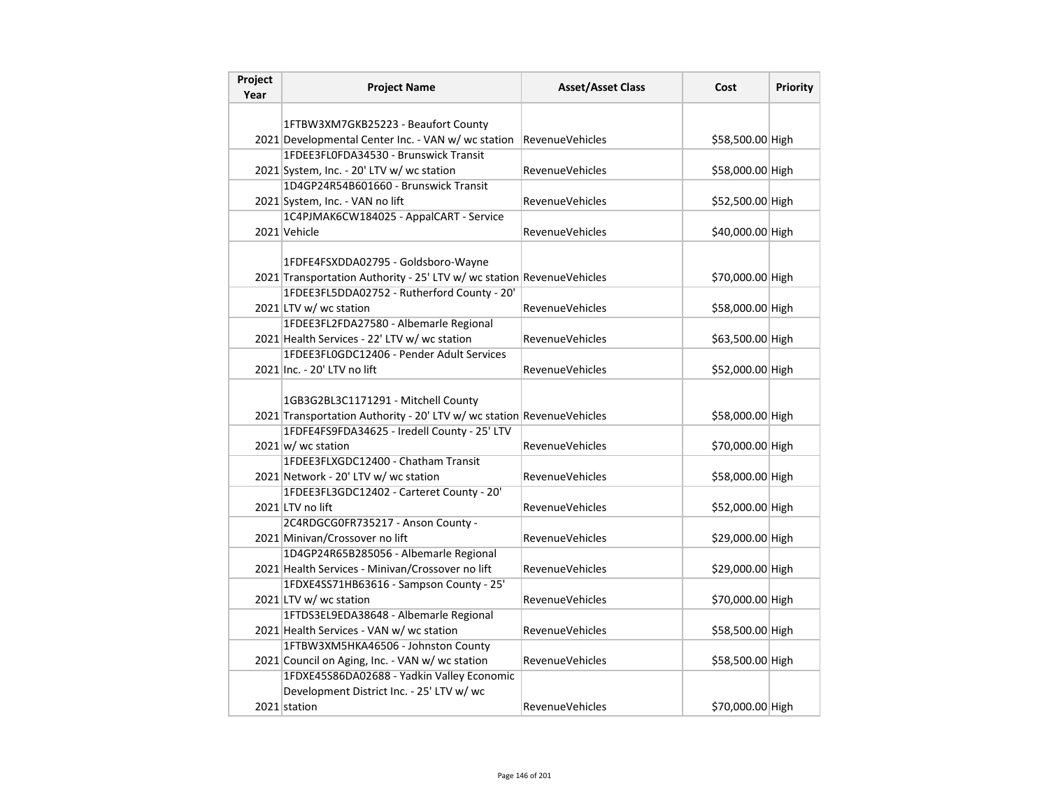| Project<br>Year | <b>Project Name</b>                                                   | <b>Asset/Asset Class</b> | Cost             | <b>Priority</b> |
|-----------------|-----------------------------------------------------------------------|--------------------------|------------------|-----------------|
|                 |                                                                       |                          |                  |                 |
|                 | 1FTBW3XM7GKB25223 - Beaufort County                                   |                          |                  |                 |
|                 | 2021 Developmental Center Inc. - VAN w/ wc station                    | <b>RevenueVehicles</b>   | \$58,500.00 High |                 |
|                 | 1FDEE3FL0FDA34530 - Brunswick Transit                                 |                          |                  |                 |
|                 | 2021 System, Inc. - 20' LTV w/ wc station                             | RevenueVehicles          | \$58,000.00 High |                 |
|                 | 1D4GP24R54B601660 - Brunswick Transit                                 |                          |                  |                 |
|                 | 2021 System, Inc. - VAN no lift                                       | <b>RevenueVehicles</b>   | \$52,500.00 High |                 |
|                 | 1C4PJMAK6CW184025 - AppalCART - Service                               |                          |                  |                 |
|                 | 2021 Vehicle                                                          | RevenueVehicles          | \$40,000.00 High |                 |
|                 |                                                                       |                          |                  |                 |
|                 | 1FDFE4FSXDDA02795 - Goldsboro-Wayne                                   |                          |                  |                 |
|                 | 2021 Transportation Authority - 25' LTV w/ wc station RevenueVehicles |                          | \$70,000.00 High |                 |
|                 | 1FDEE3FL5DDA02752 - Rutherford County - 20'                           |                          |                  |                 |
|                 | 2021 LTV w/ wc station                                                | <b>RevenueVehicles</b>   | \$58,000.00 High |                 |
|                 | 1FDEE3FL2FDA27580 - Albemarle Regional                                |                          |                  |                 |
|                 | 2021 Health Services - 22' LTV w/ wc station                          | RevenueVehicles          | \$63,500.00 High |                 |
|                 | 1FDEE3FL0GDC12406 - Pender Adult Services                             |                          |                  |                 |
|                 | 2021 Inc. - 20' LTV no lift                                           | <b>RevenueVehicles</b>   | \$52,000.00 High |                 |
|                 |                                                                       |                          |                  |                 |
|                 | 1GB3G2BL3C1171291 - Mitchell County                                   |                          |                  |                 |
|                 | 2021 Transportation Authority - 20' LTV w/ wc station RevenueVehicles |                          | \$58,000.00 High |                 |
|                 | 1FDFE4FS9FDA34625 - Iredell County - 25' LTV                          |                          |                  |                 |
|                 | $2021 \text{ w/m}$ wc station                                         | <b>RevenueVehicles</b>   | \$70,000.00 High |                 |
|                 | 1FDEE3FLXGDC12400 - Chatham Transit                                   |                          |                  |                 |
|                 | 2021 Network - 20' LTV w/ wc station                                  | <b>RevenueVehicles</b>   | \$58,000.00 High |                 |
|                 | 1FDEE3FL3GDC12402 - Carteret County - 20'                             |                          |                  |                 |
|                 | 2021 LTV no lift                                                      | RevenueVehicles          | \$52,000.00 High |                 |
|                 | 2C4RDGCG0FR735217 - Anson County -                                    |                          |                  |                 |
|                 | 2021 Minivan/Crossover no lift                                        | <b>RevenueVehicles</b>   | \$29,000.00 High |                 |
|                 | 1D4GP24R65B285056 - Albemarle Regional                                |                          |                  |                 |
|                 | 2021 Health Services - Minivan/Crossover no lift                      | <b>RevenueVehicles</b>   | \$29,000.00 High |                 |
|                 | 1FDXE4SS71HB63616 - Sampson County - 25'                              |                          |                  |                 |
|                 | 2021 LTV w/ wc station                                                | <b>RevenueVehicles</b>   | \$70,000.00 High |                 |
|                 | 1FTDS3EL9EDA38648 - Albemarle Regional                                |                          |                  |                 |
|                 | 2021 Health Services - VAN w/ wc station                              | RevenueVehicles          | \$58,500.00 High |                 |
|                 | 1FTBW3XM5HKA46506 - Johnston County                                   |                          |                  |                 |
|                 | 2021 Council on Aging, Inc. - VAN w/ wc station                       | <b>RevenueVehicles</b>   | \$58,500.00 High |                 |
|                 | 1FDXE45S86DA02688 - Yadkin Valley Economic                            |                          |                  |                 |
|                 | Development District Inc. - 25' LTV w/ wc                             |                          |                  |                 |
|                 | 2021 station                                                          | <b>RevenueVehicles</b>   | \$70,000.00 High |                 |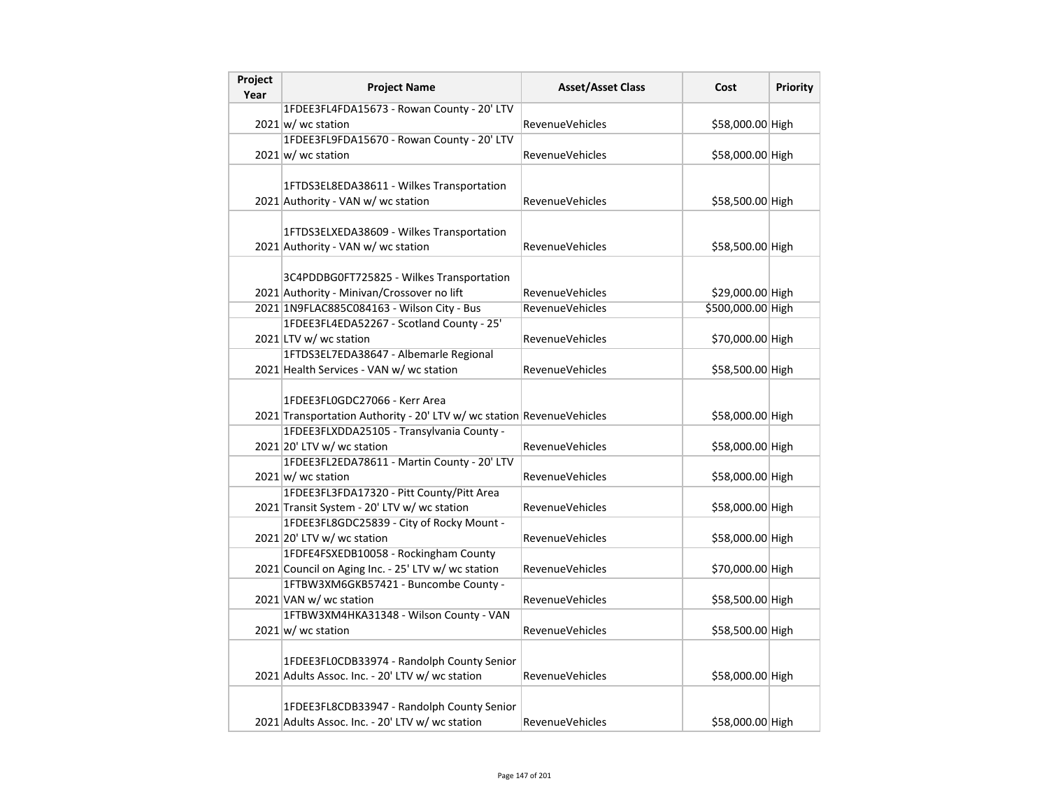|                                           | <b>Asset/Asset Class</b>                                                                                                                                                                                                                                                                                                                                                                                                                                                                                                                                                                                                                                                                                                                                                                                                                                                                                                                                                                                                                                                                                                                                                                                                                                                                                                    | Cost                                                                                     | <b>Priority</b>                                                                                                                                                                                                                                                                       |
|-------------------------------------------|-----------------------------------------------------------------------------------------------------------------------------------------------------------------------------------------------------------------------------------------------------------------------------------------------------------------------------------------------------------------------------------------------------------------------------------------------------------------------------------------------------------------------------------------------------------------------------------------------------------------------------------------------------------------------------------------------------------------------------------------------------------------------------------------------------------------------------------------------------------------------------------------------------------------------------------------------------------------------------------------------------------------------------------------------------------------------------------------------------------------------------------------------------------------------------------------------------------------------------------------------------------------------------------------------------------------------------|------------------------------------------------------------------------------------------|---------------------------------------------------------------------------------------------------------------------------------------------------------------------------------------------------------------------------------------------------------------------------------------|
|                                           |                                                                                                                                                                                                                                                                                                                                                                                                                                                                                                                                                                                                                                                                                                                                                                                                                                                                                                                                                                                                                                                                                                                                                                                                                                                                                                                             |                                                                                          |                                                                                                                                                                                                                                                                                       |
|                                           | <b>RevenueVehicles</b>                                                                                                                                                                                                                                                                                                                                                                                                                                                                                                                                                                                                                                                                                                                                                                                                                                                                                                                                                                                                                                                                                                                                                                                                                                                                                                      | \$58,000.00 High                                                                         |                                                                                                                                                                                                                                                                                       |
|                                           |                                                                                                                                                                                                                                                                                                                                                                                                                                                                                                                                                                                                                                                                                                                                                                                                                                                                                                                                                                                                                                                                                                                                                                                                                                                                                                                             |                                                                                          |                                                                                                                                                                                                                                                                                       |
|                                           | RevenueVehicles                                                                                                                                                                                                                                                                                                                                                                                                                                                                                                                                                                                                                                                                                                                                                                                                                                                                                                                                                                                                                                                                                                                                                                                                                                                                                                             |                                                                                          |                                                                                                                                                                                                                                                                                       |
|                                           |                                                                                                                                                                                                                                                                                                                                                                                                                                                                                                                                                                                                                                                                                                                                                                                                                                                                                                                                                                                                                                                                                                                                                                                                                                                                                                                             |                                                                                          |                                                                                                                                                                                                                                                                                       |
| 1FTDS3EL8EDA38611 - Wilkes Transportation |                                                                                                                                                                                                                                                                                                                                                                                                                                                                                                                                                                                                                                                                                                                                                                                                                                                                                                                                                                                                                                                                                                                                                                                                                                                                                                                             |                                                                                          |                                                                                                                                                                                                                                                                                       |
|                                           | <b>RevenueVehicles</b>                                                                                                                                                                                                                                                                                                                                                                                                                                                                                                                                                                                                                                                                                                                                                                                                                                                                                                                                                                                                                                                                                                                                                                                                                                                                                                      |                                                                                          |                                                                                                                                                                                                                                                                                       |
|                                           |                                                                                                                                                                                                                                                                                                                                                                                                                                                                                                                                                                                                                                                                                                                                                                                                                                                                                                                                                                                                                                                                                                                                                                                                                                                                                                                             |                                                                                          |                                                                                                                                                                                                                                                                                       |
|                                           |                                                                                                                                                                                                                                                                                                                                                                                                                                                                                                                                                                                                                                                                                                                                                                                                                                                                                                                                                                                                                                                                                                                                                                                                                                                                                                                             |                                                                                          |                                                                                                                                                                                                                                                                                       |
|                                           | <b>RevenueVehicles</b>                                                                                                                                                                                                                                                                                                                                                                                                                                                                                                                                                                                                                                                                                                                                                                                                                                                                                                                                                                                                                                                                                                                                                                                                                                                                                                      |                                                                                          |                                                                                                                                                                                                                                                                                       |
|                                           |                                                                                                                                                                                                                                                                                                                                                                                                                                                                                                                                                                                                                                                                                                                                                                                                                                                                                                                                                                                                                                                                                                                                                                                                                                                                                                                             |                                                                                          |                                                                                                                                                                                                                                                                                       |
| 3C4PDDBG0FT725825 - Wilkes Transportation |                                                                                                                                                                                                                                                                                                                                                                                                                                                                                                                                                                                                                                                                                                                                                                                                                                                                                                                                                                                                                                                                                                                                                                                                                                                                                                                             |                                                                                          |                                                                                                                                                                                                                                                                                       |
|                                           | <b>RevenueVehicles</b>                                                                                                                                                                                                                                                                                                                                                                                                                                                                                                                                                                                                                                                                                                                                                                                                                                                                                                                                                                                                                                                                                                                                                                                                                                                                                                      |                                                                                          |                                                                                                                                                                                                                                                                                       |
|                                           | <b>RevenueVehicles</b>                                                                                                                                                                                                                                                                                                                                                                                                                                                                                                                                                                                                                                                                                                                                                                                                                                                                                                                                                                                                                                                                                                                                                                                                                                                                                                      |                                                                                          |                                                                                                                                                                                                                                                                                       |
|                                           |                                                                                                                                                                                                                                                                                                                                                                                                                                                                                                                                                                                                                                                                                                                                                                                                                                                                                                                                                                                                                                                                                                                                                                                                                                                                                                                             |                                                                                          |                                                                                                                                                                                                                                                                                       |
|                                           | <b>RevenueVehicles</b>                                                                                                                                                                                                                                                                                                                                                                                                                                                                                                                                                                                                                                                                                                                                                                                                                                                                                                                                                                                                                                                                                                                                                                                                                                                                                                      |                                                                                          |                                                                                                                                                                                                                                                                                       |
|                                           |                                                                                                                                                                                                                                                                                                                                                                                                                                                                                                                                                                                                                                                                                                                                                                                                                                                                                                                                                                                                                                                                                                                                                                                                                                                                                                                             |                                                                                          |                                                                                                                                                                                                                                                                                       |
|                                           | <b>RevenueVehicles</b>                                                                                                                                                                                                                                                                                                                                                                                                                                                                                                                                                                                                                                                                                                                                                                                                                                                                                                                                                                                                                                                                                                                                                                                                                                                                                                      |                                                                                          |                                                                                                                                                                                                                                                                                       |
| 1FDEE3FL0GDC27066 - Kerr Area             |                                                                                                                                                                                                                                                                                                                                                                                                                                                                                                                                                                                                                                                                                                                                                                                                                                                                                                                                                                                                                                                                                                                                                                                                                                                                                                                             |                                                                                          |                                                                                                                                                                                                                                                                                       |
|                                           |                                                                                                                                                                                                                                                                                                                                                                                                                                                                                                                                                                                                                                                                                                                                                                                                                                                                                                                                                                                                                                                                                                                                                                                                                                                                                                                             |                                                                                          |                                                                                                                                                                                                                                                                                       |
|                                           | <b>RevenueVehicles</b>                                                                                                                                                                                                                                                                                                                                                                                                                                                                                                                                                                                                                                                                                                                                                                                                                                                                                                                                                                                                                                                                                                                                                                                                                                                                                                      |                                                                                          |                                                                                                                                                                                                                                                                                       |
|                                           |                                                                                                                                                                                                                                                                                                                                                                                                                                                                                                                                                                                                                                                                                                                                                                                                                                                                                                                                                                                                                                                                                                                                                                                                                                                                                                                             |                                                                                          |                                                                                                                                                                                                                                                                                       |
|                                           | <b>RevenueVehicles</b>                                                                                                                                                                                                                                                                                                                                                                                                                                                                                                                                                                                                                                                                                                                                                                                                                                                                                                                                                                                                                                                                                                                                                                                                                                                                                                      |                                                                                          |                                                                                                                                                                                                                                                                                       |
|                                           |                                                                                                                                                                                                                                                                                                                                                                                                                                                                                                                                                                                                                                                                                                                                                                                                                                                                                                                                                                                                                                                                                                                                                                                                                                                                                                                             |                                                                                          |                                                                                                                                                                                                                                                                                       |
|                                           | <b>RevenueVehicles</b>                                                                                                                                                                                                                                                                                                                                                                                                                                                                                                                                                                                                                                                                                                                                                                                                                                                                                                                                                                                                                                                                                                                                                                                                                                                                                                      | \$58,000.00 High                                                                         |                                                                                                                                                                                                                                                                                       |
|                                           |                                                                                                                                                                                                                                                                                                                                                                                                                                                                                                                                                                                                                                                                                                                                                                                                                                                                                                                                                                                                                                                                                                                                                                                                                                                                                                                             |                                                                                          |                                                                                                                                                                                                                                                                                       |
|                                           | RevenueVehicles                                                                                                                                                                                                                                                                                                                                                                                                                                                                                                                                                                                                                                                                                                                                                                                                                                                                                                                                                                                                                                                                                                                                                                                                                                                                                                             |                                                                                          |                                                                                                                                                                                                                                                                                       |
|                                           |                                                                                                                                                                                                                                                                                                                                                                                                                                                                                                                                                                                                                                                                                                                                                                                                                                                                                                                                                                                                                                                                                                                                                                                                                                                                                                                             |                                                                                          |                                                                                                                                                                                                                                                                                       |
|                                           | RevenueVehicles                                                                                                                                                                                                                                                                                                                                                                                                                                                                                                                                                                                                                                                                                                                                                                                                                                                                                                                                                                                                                                                                                                                                                                                                                                                                                                             |                                                                                          |                                                                                                                                                                                                                                                                                       |
|                                           |                                                                                                                                                                                                                                                                                                                                                                                                                                                                                                                                                                                                                                                                                                                                                                                                                                                                                                                                                                                                                                                                                                                                                                                                                                                                                                                             |                                                                                          |                                                                                                                                                                                                                                                                                       |
|                                           | <b>RevenueVehicles</b>                                                                                                                                                                                                                                                                                                                                                                                                                                                                                                                                                                                                                                                                                                                                                                                                                                                                                                                                                                                                                                                                                                                                                                                                                                                                                                      |                                                                                          |                                                                                                                                                                                                                                                                                       |
|                                           |                                                                                                                                                                                                                                                                                                                                                                                                                                                                                                                                                                                                                                                                                                                                                                                                                                                                                                                                                                                                                                                                                                                                                                                                                                                                                                                             |                                                                                          |                                                                                                                                                                                                                                                                                       |
|                                           | RevenueVehicles                                                                                                                                                                                                                                                                                                                                                                                                                                                                                                                                                                                                                                                                                                                                                                                                                                                                                                                                                                                                                                                                                                                                                                                                                                                                                                             | \$58,500.00 High                                                                         |                                                                                                                                                                                                                                                                                       |
|                                           | <b>RevenueVehicles</b>                                                                                                                                                                                                                                                                                                                                                                                                                                                                                                                                                                                                                                                                                                                                                                                                                                                                                                                                                                                                                                                                                                                                                                                                                                                                                                      | \$58,000.00 High                                                                         |                                                                                                                                                                                                                                                                                       |
|                                           |                                                                                                                                                                                                                                                                                                                                                                                                                                                                                                                                                                                                                                                                                                                                                                                                                                                                                                                                                                                                                                                                                                                                                                                                                                                                                                                             |                                                                                          |                                                                                                                                                                                                                                                                                       |
|                                           | 1FDEE3FL4FDA15673 - Rowan County - 20' LTV<br>$2021 \text{ w}$ / wc station<br>1FDEE3FL9FDA15670 - Rowan County - 20' LTV<br>$2021 \text{ w/m}$ wc station<br>2021 Authority - VAN w/ wc station<br>1FTDS3ELXEDA38609 - Wilkes Transportation<br>2021 Authority - VAN w/ wc station<br>2021 Authority - Minivan/Crossover no lift<br>2021 1N9FLAC885C084163 - Wilson City - Bus<br>1FDEE3FL4EDA52267 - Scotland County - 25'<br>2021 LTV w/ wc station<br>1FTDS3EL7EDA38647 - Albemarle Regional<br>2021 Health Services - VAN w/ wc station<br>1FDEE3FLXDDA25105 - Transylvania County -<br>2021 20' LTV w/ wc station<br>1FDEE3FL2EDA78611 - Martin County - 20' LTV<br>$2021 \text{w}$ wc station<br>1FDEE3FL3FDA17320 - Pitt County/Pitt Area<br>2021 Transit System - 20' LTV w/ wc station<br>1FDEE3FL8GDC25839 - City of Rocky Mount -<br>2021 20' LTV w/ wc station<br>1FDFE4FSXEDB10058 - Rockingham County<br>2021 Council on Aging Inc. - 25' LTV w/ wc station<br>1FTBW3XM6GKB57421 - Buncombe County -<br>2021 VAN w/ wc station<br>1FTBW3XM4HKA31348 - Wilson County - VAN<br>$2021 \text{ w/m}$ wc station<br>1FDEE3FL0CDB33974 - Randolph County Senior<br>2021 Adults Assoc. Inc. - 20' LTV w/ wc station<br>1FDEE3FL8CDB33947 - Randolph County Senior<br>2021 Adults Assoc. Inc. - 20' LTV w/ wc station | 2021 Transportation Authority - 20' LTV w/ wc station RevenueVehicles<br>RevenueVehicles | \$58,000.00 High<br>\$58,500.00 High<br>\$58,500.00 High<br>\$29,000.00 High<br>\$500,000.00 High<br>\$70,000.00 High<br>\$58,500.00 High<br>\$58,000.00 High<br>\$58,000.00 High<br>\$58,000.00 High<br>\$58,000.00 High<br>\$70,000.00 High<br>\$58,500.00 High<br>\$58,000.00 High |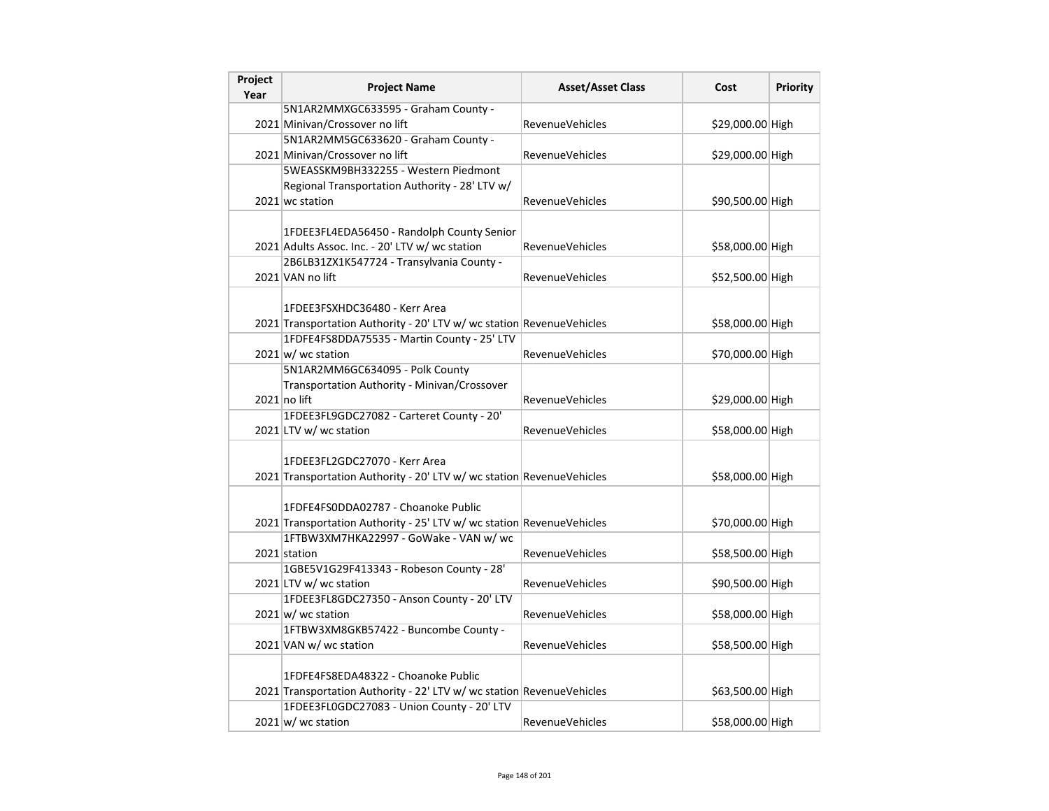| Project<br>Year | <b>Project Name</b>                                                                                          | <b>Asset/Asset Class</b> | Cost             | <b>Priority</b> |
|-----------------|--------------------------------------------------------------------------------------------------------------|--------------------------|------------------|-----------------|
|                 | 5N1AR2MMXGC633595 - Graham County -                                                                          |                          |                  |                 |
|                 | 2021 Minivan/Crossover no lift                                                                               | <b>RevenueVehicles</b>   | \$29,000.00 High |                 |
|                 | 5N1AR2MM5GC633620 - Graham County -                                                                          |                          |                  |                 |
|                 | 2021 Minivan/Crossover no lift                                                                               | RevenueVehicles          | \$29,000.00 High |                 |
|                 | 5WEASSKM9BH332255 - Western Piedmont                                                                         |                          |                  |                 |
|                 | Regional Transportation Authority - 28' LTV w/                                                               |                          |                  |                 |
|                 | 2021 wc station                                                                                              | <b>RevenueVehicles</b>   | \$90,500.00 High |                 |
|                 | 1FDEE3FL4EDA56450 - Randolph County Senior<br>2021 Adults Assoc. Inc. - 20' LTV w/ wc station                | RevenueVehicles          | \$58,000.00 High |                 |
|                 | 2B6LB31ZX1K547724 - Transylvania County -                                                                    |                          |                  |                 |
|                 | 2021 VAN no lift                                                                                             | <b>RevenueVehicles</b>   | \$52,500.00 High |                 |
|                 | 1FDEE3FSXHDC36480 - Kerr Area<br>2021 Transportation Authority - 20' LTV w/ wc station RevenueVehicles       |                          | \$58,000.00 High |                 |
|                 | 1FDFE4FS8DDA75535 - Martin County - 25' LTV                                                                  |                          |                  |                 |
|                 | $2021 \text{ w}$ / wc station                                                                                | RevenueVehicles          | \$70,000.00 High |                 |
|                 | 5N1AR2MM6GC634095 - Polk County<br>Transportation Authority - Minivan/Crossover<br>$2021$ no lift            | RevenueVehicles          | \$29,000.00 High |                 |
|                 | 1FDEE3FL9GDC27082 - Carteret County - 20'                                                                    |                          |                  |                 |
|                 | 2021 LTV w/ wc station                                                                                       | RevenueVehicles          | \$58,000.00 High |                 |
|                 | 1FDEE3FL2GDC27070 - Kerr Area<br>2021 Transportation Authority - 20' LTV w/ wc station RevenueVehicles       |                          | \$58,000.00 High |                 |
|                 | 1FDFE4FS0DDA02787 - Choanoke Public<br>2021 Transportation Authority - 25' LTV w/ wc station RevenueVehicles |                          | \$70,000.00 High |                 |
|                 | 1FTBW3XM7HKA22997 - GoWake - VAN w/ wc<br>2021 station                                                       | <b>RevenueVehicles</b>   | \$58,500.00 High |                 |
|                 | 1GBE5V1G29F413343 - Robeson County - 28'<br>2021 LTV w/ wc station                                           | <b>RevenueVehicles</b>   | \$90,500.00 High |                 |
|                 | 1FDEE3FL8GDC27350 - Anson County - 20' LTV<br>$2021 \text{w}$ wc station                                     | <b>RevenueVehicles</b>   | \$58,000.00 High |                 |
|                 | 1FTBW3XM8GKB57422 - Buncombe County -<br>2021 VAN w/ wc station                                              | <b>RevenueVehicles</b>   | \$58,500.00 High |                 |
|                 | 1FDFE4FS8EDA48322 - Choanoke Public<br>2021 Transportation Authority - 22' LTV w/ wc station RevenueVehicles |                          | \$63,500.00 High |                 |
|                 | 1FDEE3FL0GDC27083 - Union County - 20' LTV<br>$2021 \text{ w}$ / wc station                                  | <b>RevenueVehicles</b>   | \$58,000.00 High |                 |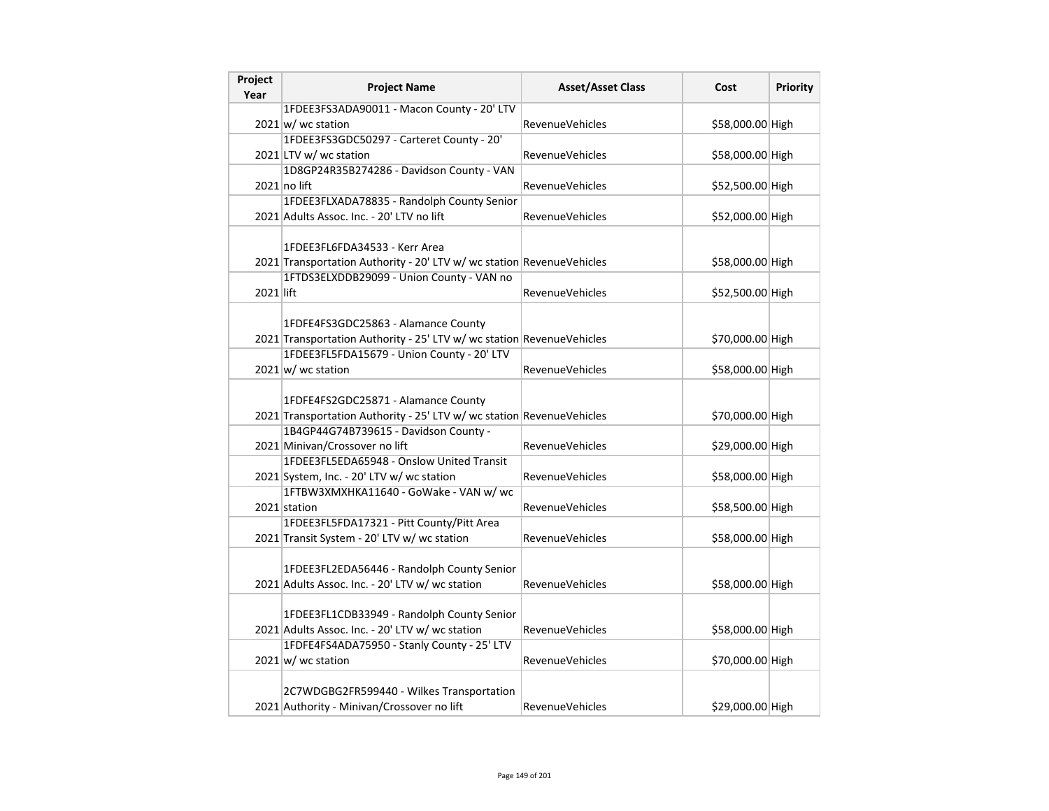| Project<br>Year | <b>Project Name</b>                                                                                                                                        | <b>Asset/Asset Class</b> | Cost             | Priority |
|-----------------|------------------------------------------------------------------------------------------------------------------------------------------------------------|--------------------------|------------------|----------|
|                 | 1FDEE3FS3ADA90011 - Macon County - 20' LTV                                                                                                                 |                          |                  |          |
|                 | $2021 \text{ w}$ / wc station                                                                                                                              | <b>RevenueVehicles</b>   | \$58,000.00 High |          |
|                 | 1FDEE3FS3GDC50297 - Carteret County - 20'                                                                                                                  |                          |                  |          |
|                 | 2021 LTV w/ wc station                                                                                                                                     | RevenueVehicles          | \$58,000.00 High |          |
|                 | 1D8GP24R35B274286 - Davidson County - VAN                                                                                                                  |                          |                  |          |
|                 | $2021$ no lift                                                                                                                                             | <b>RevenueVehicles</b>   | \$52,500.00 High |          |
|                 | 1FDEE3FLXADA78835 - Randolph County Senior                                                                                                                 |                          |                  |          |
|                 | 2021 Adults Assoc. Inc. - 20' LTV no lift                                                                                                                  | <b>RevenueVehicles</b>   | \$52,000.00 High |          |
|                 | 1FDEE3FL6FDA34533 - Kerr Area<br>2021 Transportation Authority - 20' LTV w/ wc station RevenueVehicles                                                     |                          | \$58,000.00 High |          |
|                 | 1FTDS3ELXDDB29099 - Union County - VAN no                                                                                                                  |                          |                  |          |
| 2021 lift       |                                                                                                                                                            | <b>RevenueVehicles</b>   | \$52,500.00 High |          |
|                 | 1FDFE4FS3GDC25863 - Alamance County<br>2021 Transportation Authority - 25' LTV w/ wc station RevenueVehicles<br>1FDEE3FL5FDA15679 - Union County - 20' LTV |                          | \$70,000.00 High |          |
|                 | $2021$ w/ wc station                                                                                                                                       | <b>RevenueVehicles</b>   | \$58,000.00 High |          |
|                 |                                                                                                                                                            |                          |                  |          |
|                 | 1FDFE4FS2GDC25871 - Alamance County<br>2021 Transportation Authority - 25' LTV w/ wc station RevenueVehicles                                               |                          | \$70,000.00 High |          |
|                 | 1B4GP44G74B739615 - Davidson County -<br>2021 Minivan/Crossover no lift                                                                                    | <b>RevenueVehicles</b>   | \$29,000.00 High |          |
|                 | 1FDEE3FL5EDA65948 - Onslow United Transit<br>2021 System, Inc. - 20' LTV w/ wc station                                                                     | <b>RevenueVehicles</b>   | \$58,000.00 High |          |
|                 | 1FTBW3XMXHKA11640 - GoWake - VAN w/ wc<br>2021 station                                                                                                     | <b>RevenueVehicles</b>   | \$58,500.00 High |          |
|                 | 1FDEE3FL5FDA17321 - Pitt County/Pitt Area<br>2021 Transit System - 20' LTV w/ wc station                                                                   | <b>RevenueVehicles</b>   | \$58,000.00 High |          |
|                 | 1FDEE3FL2EDA56446 - Randolph County Senior<br>2021 Adults Assoc. Inc. - 20' LTV w/ wc station                                                              | <b>RevenueVehicles</b>   | \$58,000.00 High |          |
|                 | 1FDEE3FL1CDB33949 - Randolph County Senior<br>2021 Adults Assoc. Inc. - 20' LTV w/ wc station                                                              | RevenueVehicles          | \$58,000.00 High |          |
|                 | 1FDFE4FS4ADA75950 - Stanly County - 25' LTV<br>$2021$ w/ wc station                                                                                        | <b>RevenueVehicles</b>   | \$70,000.00 High |          |
|                 | 2C7WDGBG2FR599440 - Wilkes Transportation<br>2021 Authority - Minivan/Crossover no lift                                                                    | <b>RevenueVehicles</b>   | \$29,000.00 High |          |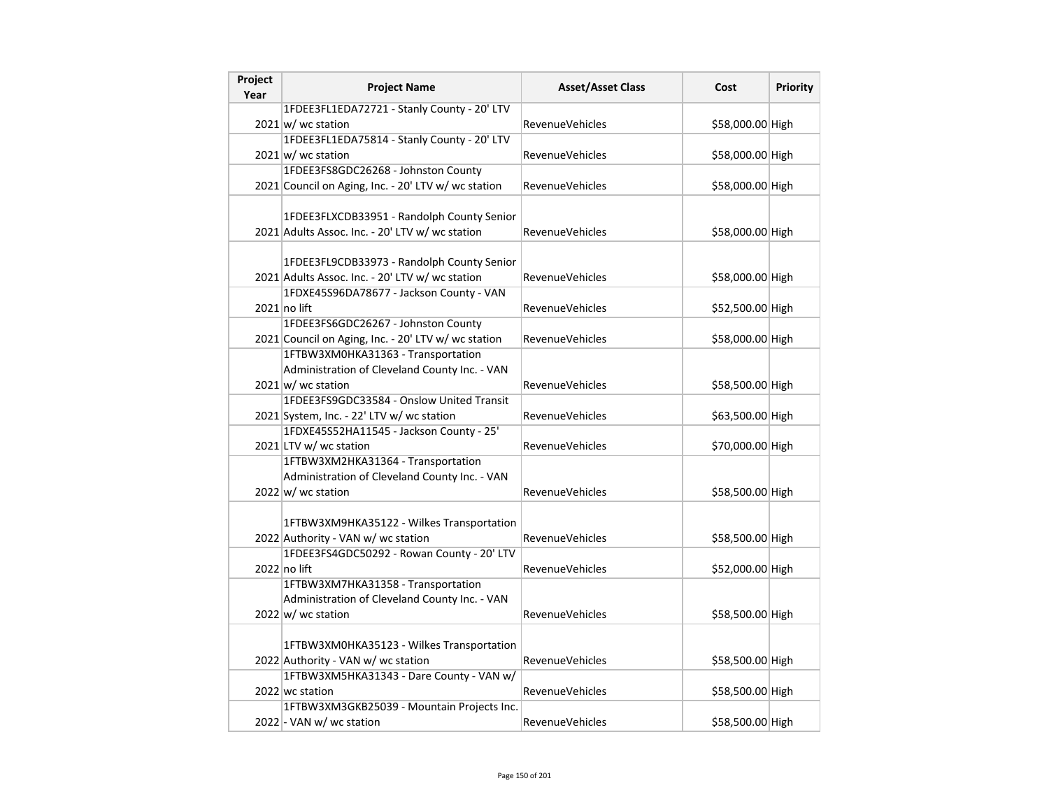| Project<br>Year | <b>Project Name</b>                                                                                                                       | <b>Asset/Asset Class</b> | Cost             | <b>Priority</b> |
|-----------------|-------------------------------------------------------------------------------------------------------------------------------------------|--------------------------|------------------|-----------------|
|                 | 1FDEE3FL1EDA72721 - Stanly County - 20' LTV                                                                                               |                          |                  |                 |
|                 | $2021 \text{ w}$ / wc station                                                                                                             | <b>RevenueVehicles</b>   | \$58,000.00 High |                 |
|                 | 1FDEE3FL1EDA75814 - Stanly County - 20' LTV                                                                                               |                          |                  |                 |
|                 | $2021 \text{w}$ wc station                                                                                                                | RevenueVehicles          | \$58,000.00 High |                 |
|                 | 1FDEE3FS8GDC26268 - Johnston County                                                                                                       |                          |                  |                 |
|                 | 2021 Council on Aging, Inc. - 20' LTV w/ wc station                                                                                       | <b>RevenueVehicles</b>   | \$58,000.00 High |                 |
|                 | 1FDEE3FLXCDB33951 - Randolph County Senior<br>2021 Adults Assoc. Inc. - 20' LTV w/ wc station                                             | RevenueVehicles          | \$58,000.00 High |                 |
|                 | 1FDEE3FL9CDB33973 - Randolph County Senior<br>2021 Adults Assoc. Inc. - 20' LTV w/ wc station<br>1FDXE45S96DA78677 - Jackson County - VAN | RevenueVehicles          | \$58,000.00 High |                 |
|                 | $2021$ no lift                                                                                                                            | RevenueVehicles          | \$52,500.00 High |                 |
|                 | 1FDEE3FS6GDC26267 - Johnston County                                                                                                       |                          |                  |                 |
|                 | 2021 Council on Aging, Inc. - 20' LTV w/ wc station                                                                                       | <b>RevenueVehicles</b>   | \$58,000.00 High |                 |
|                 | 1FTBW3XM0HKA31363 - Transportation                                                                                                        |                          |                  |                 |
|                 | Administration of Cleveland County Inc. - VAN                                                                                             |                          |                  |                 |
|                 | $2021 \text{w}$ wc station                                                                                                                | RevenueVehicles          | \$58,500.00 High |                 |
|                 | 1FDEE3FS9GDC33584 - Onslow United Transit                                                                                                 |                          |                  |                 |
|                 | 2021 System, Inc. - 22' LTV w/ wc station                                                                                                 | RevenueVehicles          | \$63,500.00 High |                 |
|                 | 1FDXE45S52HA11545 - Jackson County - 25'                                                                                                  |                          |                  |                 |
|                 | 2021 LTV w/ wc station                                                                                                                    | RevenueVehicles          | \$70,000.00 High |                 |
|                 | 1FTBW3XM2HKA31364 - Transportation<br>Administration of Cleveland County Inc. - VAN<br>$2022 \text{ w}$ / wc station                      | RevenueVehicles          | \$58,500.00 High |                 |
|                 | 1FTBW3XM9HKA35122 - Wilkes Transportation<br>2022 Authority - VAN w/ wc station                                                           | RevenueVehicles          | \$58,500.00 High |                 |
|                 | 1FDEE3FS4GDC50292 - Rowan County - 20' LTV<br>2022 no lift                                                                                | <b>RevenueVehicles</b>   | \$52,000.00 High |                 |
|                 | 1FTBW3XM7HKA31358 - Transportation<br>Administration of Cleveland County Inc. - VAN<br>$2022 \text{ w}$ / wc station                      | <b>RevenueVehicles</b>   | \$58,500.00 High |                 |
|                 |                                                                                                                                           |                          |                  |                 |
|                 | 1FTBW3XM0HKA35123 - Wilkes Transportation<br>2022 Authority - VAN w/ wc station                                                           | RevenueVehicles          | \$58,500.00 High |                 |
|                 | 1FTBW3XM5HKA31343 - Dare County - VAN w/                                                                                                  |                          |                  |                 |
|                 | 2022 wc station                                                                                                                           | <b>RevenueVehicles</b>   | \$58,500.00 High |                 |
|                 | 1FTBW3XM3GKB25039 - Mountain Projects Inc.                                                                                                |                          |                  |                 |
|                 | 2022 - VAN w/ wc station                                                                                                                  | RevenueVehicles          | \$58,500.00 High |                 |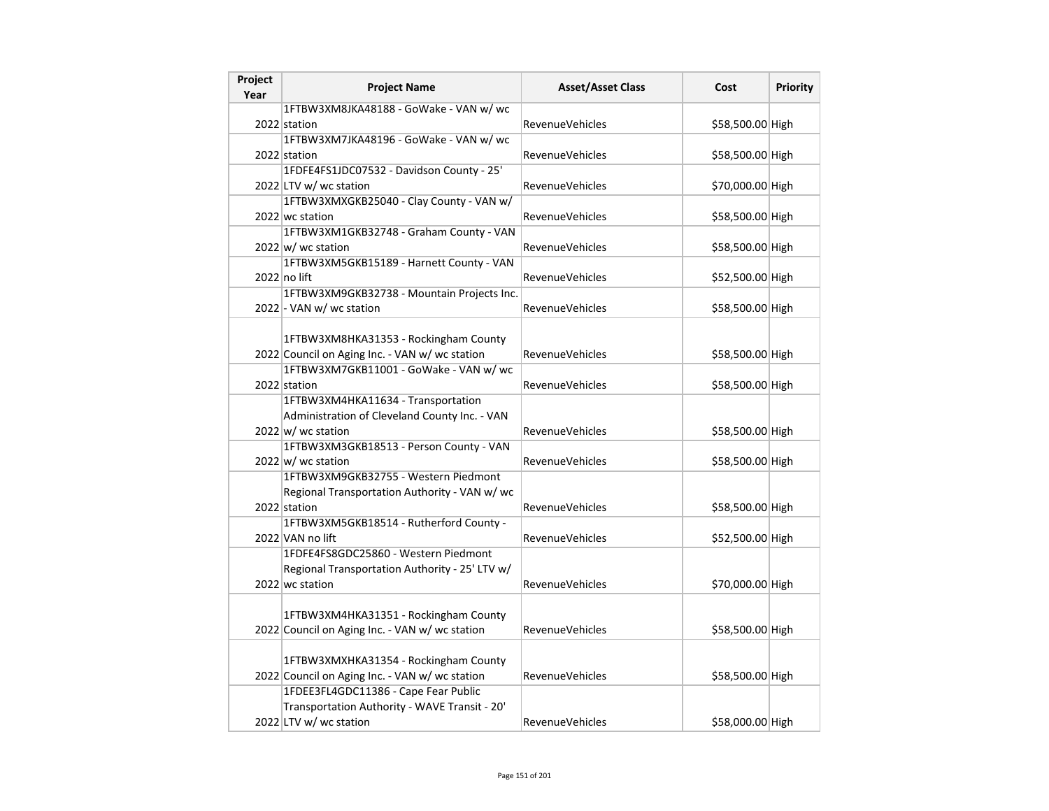| Project<br>Year | <b>Project Name</b>                                                                    | <b>Asset/Asset Class</b> | Cost             | Priority |
|-----------------|----------------------------------------------------------------------------------------|--------------------------|------------------|----------|
|                 | 1FTBW3XM8JKA48188 - GoWake - VAN w/ wc                                                 |                          |                  |          |
|                 | 2022 station                                                                           | RevenueVehicles          | \$58,500.00 High |          |
|                 | 1FTBW3XM7JKA48196 - GoWake - VAN w/ wc                                                 |                          |                  |          |
|                 | 2022 station                                                                           | RevenueVehicles          | \$58,500.00 High |          |
|                 | 1FDFE4FS1JDC07532 - Davidson County - 25'                                              |                          |                  |          |
|                 | 2022 LTV w/ wc station                                                                 | <b>RevenueVehicles</b>   | \$70,000.00 High |          |
|                 | 1FTBW3XMXGKB25040 - Clay County - VAN w/                                               |                          |                  |          |
|                 | 2022 wc station                                                                        | <b>RevenueVehicles</b>   | \$58,500.00 High |          |
|                 | 1FTBW3XM1GKB32748 - Graham County - VAN                                                |                          |                  |          |
|                 | 2022 w/ wc station                                                                     | RevenueVehicles          | \$58,500.00 High |          |
|                 | 1FTBW3XM5GKB15189 - Harnett County - VAN                                               |                          |                  |          |
|                 | $2022$ no lift                                                                         | <b>RevenueVehicles</b>   | \$52,500.00 High |          |
|                 | 1FTBW3XM9GKB32738 - Mountain Projects Inc.                                             |                          |                  |          |
|                 | 2022 - VAN w/ wc station                                                               | <b>RevenueVehicles</b>   | \$58,500.00 High |          |
|                 |                                                                                        |                          |                  |          |
|                 | 1FTBW3XM8HKA31353 - Rockingham County                                                  |                          |                  |          |
|                 | 2022 Council on Aging Inc. - VAN w/ wc station                                         | RevenueVehicles          | \$58,500.00 High |          |
|                 | 1FTBW3XM7GKB11001 - GoWake - VAN w/ wc                                                 |                          |                  |          |
|                 | 2022 station                                                                           | RevenueVehicles          | \$58,500.00 High |          |
|                 | 1FTBW3XM4HKA11634 - Transportation                                                     |                          |                  |          |
|                 | Administration of Cleveland County Inc. - VAN                                          |                          |                  |          |
|                 | 2022 w/ wc station                                                                     | RevenueVehicles          | \$58,500.00 High |          |
|                 | 1FTBW3XM3GKB18513 - Person County - VAN                                                |                          |                  |          |
|                 | $2022 \vert w \vert$ wc station                                                        | RevenueVehicles          | \$58,500.00 High |          |
|                 | 1FTBW3XM9GKB32755 - Western Piedmont                                                   |                          |                  |          |
|                 | Regional Transportation Authority - VAN w/ wc                                          |                          |                  |          |
|                 | 2022 station                                                                           | RevenueVehicles          | \$58,500.00 High |          |
|                 | 1FTBW3XM5GKB18514 - Rutherford County -                                                |                          |                  |          |
|                 | 2022 VAN no lift                                                                       | RevenueVehicles          | \$52,500.00 High |          |
|                 | 1FDFE4FS8GDC25860 - Western Piedmont<br>Regional Transportation Authority - 25' LTV w/ |                          |                  |          |
|                 | 2022 wc station                                                                        | <b>RevenueVehicles</b>   | \$70,000.00 High |          |
|                 |                                                                                        |                          |                  |          |
|                 | 1FTBW3XM4HKA31351 - Rockingham County                                                  |                          |                  |          |
|                 | 2022 Council on Aging Inc. - VAN w/ wc station                                         | <b>RevenueVehicles</b>   | \$58,500.00 High |          |
|                 |                                                                                        |                          |                  |          |
|                 | 1FTBW3XMXHKA31354 - Rockingham County                                                  |                          |                  |          |
|                 | 2022 Council on Aging Inc. - VAN w/ wc station                                         | <b>RevenueVehicles</b>   | \$58,500.00 High |          |
|                 | 1FDEE3FL4GDC11386 - Cape Fear Public                                                   |                          |                  |          |
|                 | Transportation Authority - WAVE Transit - 20'                                          |                          |                  |          |
|                 | 2022 LTV w/ wc station                                                                 | <b>RevenueVehicles</b>   | \$58,000.00 High |          |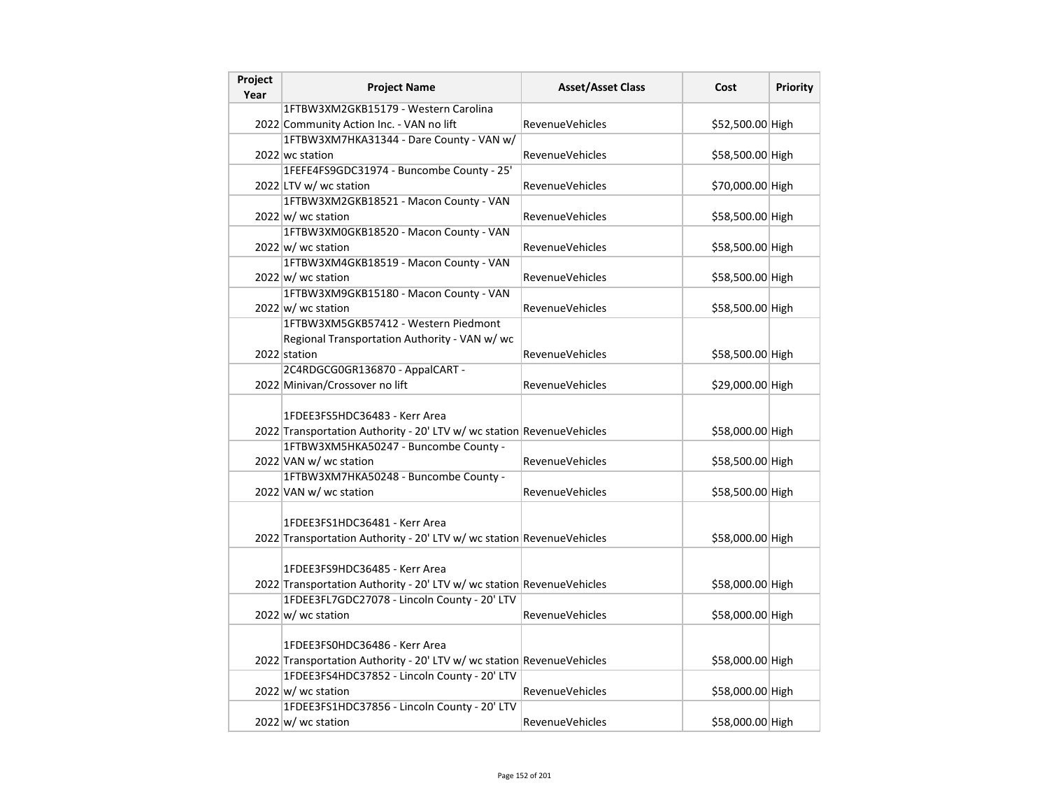| Project<br>Year | <b>Project Name</b>                                                                                    | <b>Asset/Asset Class</b> | Cost             | Priority |
|-----------------|--------------------------------------------------------------------------------------------------------|--------------------------|------------------|----------|
|                 | 1FTBW3XM2GKB15179 - Western Carolina                                                                   |                          |                  |          |
|                 | 2022 Community Action Inc. - VAN no lift                                                               | <b>RevenueVehicles</b>   | \$52,500.00 High |          |
|                 | 1FTBW3XM7HKA31344 - Dare County - VAN w/                                                               |                          |                  |          |
|                 | 2022 wc station                                                                                        | RevenueVehicles          | \$58,500.00 High |          |
|                 | 1FEFE4FS9GDC31974 - Buncombe County - 25'                                                              |                          |                  |          |
|                 | 2022 LTV w/ wc station                                                                                 | <b>RevenueVehicles</b>   | \$70,000.00 High |          |
|                 | 1FTBW3XM2GKB18521 - Macon County - VAN                                                                 |                          |                  |          |
|                 | $2022 \text{ w}$ wc station                                                                            | <b>RevenueVehicles</b>   | \$58,500.00 High |          |
|                 | 1FTBW3XM0GKB18520 - Macon County - VAN                                                                 |                          |                  |          |
|                 | $2022 \vert w \vert$ wc station                                                                        | <b>RevenueVehicles</b>   | \$58,500.00 High |          |
|                 | 1FTBW3XM4GKB18519 - Macon County - VAN                                                                 |                          |                  |          |
|                 | $2022 \vert w \vert$ wc station                                                                        | RevenueVehicles          | \$58,500.00 High |          |
|                 | 1FTBW3XM9GKB15180 - Macon County - VAN                                                                 |                          |                  |          |
|                 | $2022 \vert w \vert$ wc station                                                                        | <b>RevenueVehicles</b>   | \$58,500.00 High |          |
|                 | 1FTBW3XM5GKB57412 - Western Piedmont                                                                   |                          |                  |          |
|                 | Regional Transportation Authority - VAN w/ wc                                                          |                          |                  |          |
|                 | 2022 station                                                                                           | <b>RevenueVehicles</b>   | \$58,500.00 High |          |
|                 | 2C4RDGCG0GR136870 - AppalCART -                                                                        |                          |                  |          |
|                 | 2022 Minivan/Crossover no lift                                                                         | <b>RevenueVehicles</b>   | \$29,000.00 High |          |
|                 | 1FDEE3FS5HDC36483 - Kerr Area<br>2022 Transportation Authority - 20' LTV w/ wc station RevenueVehicles |                          | \$58,000.00 High |          |
|                 | 1FTBW3XM5HKA50247 - Buncombe County -                                                                  |                          |                  |          |
|                 | 2022 VAN w/ wc station                                                                                 | <b>RevenueVehicles</b>   | \$58,500.00 High |          |
|                 | 1FTBW3XM7HKA50248 - Buncombe County -                                                                  |                          |                  |          |
|                 | 2022 VAN w/ wc station                                                                                 | <b>RevenueVehicles</b>   | \$58,500.00 High |          |
|                 | 1FDEE3FS1HDC36481 - Kerr Area<br>2022 Transportation Authority - 20' LTV w/ wc station RevenueVehicles |                          | \$58,000.00 High |          |
|                 | 1FDEE3FS9HDC36485 - Kerr Area<br>2022 Transportation Authority - 20' LTV w/ wc station RevenueVehicles |                          | \$58,000.00 High |          |
|                 | 1FDEE3FL7GDC27078 - Lincoln County - 20' LTV                                                           |                          |                  |          |
|                 | $2022 \text{ w}$ / wc station                                                                          | <b>RevenueVehicles</b>   | \$58,000.00 High |          |
|                 | 1FDEE3FS0HDC36486 - Kerr Area<br>2022 Transportation Authority - 20' LTV w/ wc station RevenueVehicles |                          | \$58,000.00 High |          |
|                 | 1FDEE3FS4HDC37852 - Lincoln County - 20' LTV<br>2022 w/ wc station                                     | <b>RevenueVehicles</b>   | \$58,000.00 High |          |
|                 | 1FDEE3FS1HDC37856 - Lincoln County - 20' LTV                                                           |                          |                  |          |
|                 | $2022 \vert w \vert$ wc station                                                                        | <b>RevenueVehicles</b>   | \$58,000.00 High |          |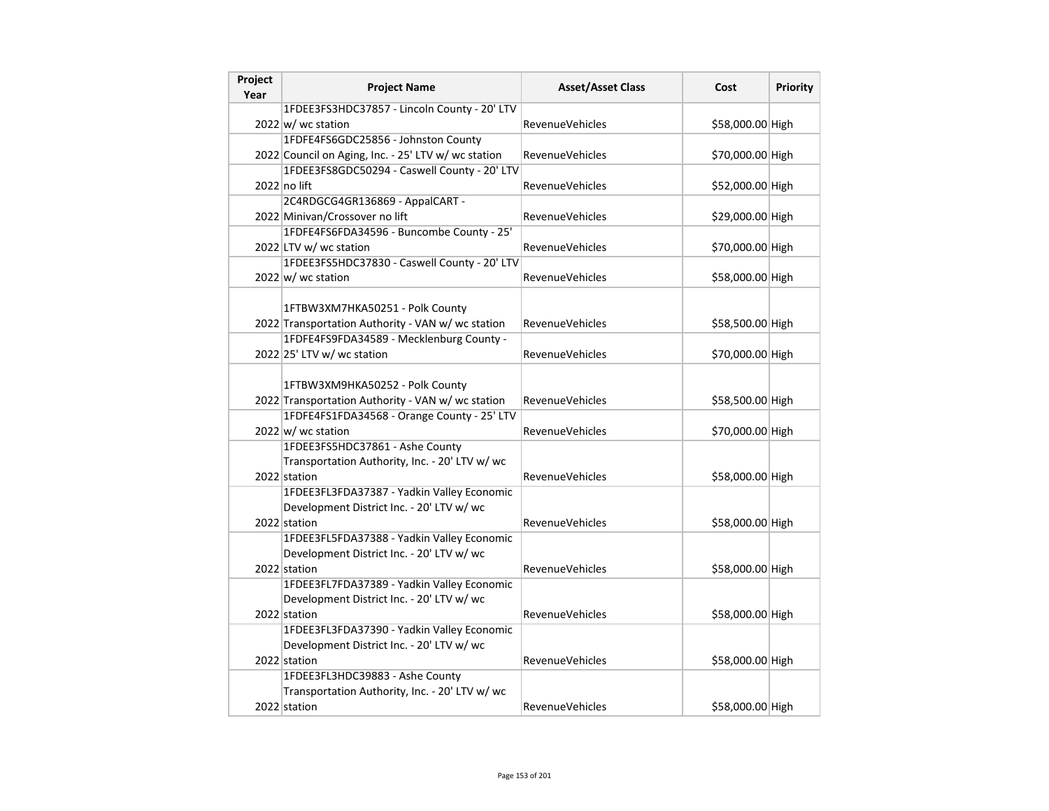| Project<br>Year | <b>Project Name</b>                                                                                                                             | <b>Asset/Asset Class</b> | Cost             | <b>Priority</b> |
|-----------------|-------------------------------------------------------------------------------------------------------------------------------------------------|--------------------------|------------------|-----------------|
|                 | 1FDEE3FS3HDC37857 - Lincoln County - 20' LTV                                                                                                    |                          |                  |                 |
|                 | 2022 w/ wc station                                                                                                                              | <b>RevenueVehicles</b>   | \$58,000.00 High |                 |
|                 | 1FDFE4FS6GDC25856 - Johnston County                                                                                                             |                          |                  |                 |
|                 | 2022 Council on Aging, Inc. - 25' LTV w/ wc station                                                                                             | <b>RevenueVehicles</b>   | \$70,000.00 High |                 |
|                 | 1FDEE3FS8GDC50294 - Caswell County - 20' LTV                                                                                                    |                          |                  |                 |
|                 | 2022 no lift                                                                                                                                    | <b>RevenueVehicles</b>   | \$52,000.00 High |                 |
|                 | 2C4RDGCG4GR136869 - AppalCART -                                                                                                                 |                          |                  |                 |
|                 | 2022 Minivan/Crossover no lift                                                                                                                  | <b>RevenueVehicles</b>   | \$29,000.00 High |                 |
|                 | 1FDFE4FS6FDA34596 - Buncombe County - 25'                                                                                                       |                          |                  |                 |
|                 | 2022 LTV w/ wc station                                                                                                                          | <b>RevenueVehicles</b>   | \$70,000.00 High |                 |
|                 | 1FDEE3FS5HDC37830 - Caswell County - 20' LTV                                                                                                    |                          |                  |                 |
|                 | $2022$ w/ wc station                                                                                                                            | RevenueVehicles          | \$58,000.00 High |                 |
|                 | 1FTBW3XM7HKA50251 - Polk County<br>2022 Transportation Authority - VAN w/ wc station                                                            | RevenueVehicles          | \$58,500.00 High |                 |
|                 | 1FDFE4FS9FDA34589 - Mecklenburg County -                                                                                                        |                          |                  |                 |
|                 | 2022 25' LTV w/ wc station                                                                                                                      | <b>RevenueVehicles</b>   | \$70,000.00 High |                 |
|                 | 1FTBW3XM9HKA50252 - Polk County<br>2022 Transportation Authority - VAN w/ wc station                                                            | <b>RevenueVehicles</b>   | \$58,500.00 High |                 |
|                 | 1FDFE4FS1FDA34568 - Orange County - 25' LTV                                                                                                     |                          |                  |                 |
|                 | $2022 \vert w \vert$ wc station                                                                                                                 | <b>RevenueVehicles</b>   | \$70,000.00 High |                 |
|                 | 1FDEE3FS5HDC37861 - Ashe County<br>Transportation Authority, Inc. - 20' LTV w/ wc<br>2022 station<br>1FDEE3FL3FDA37387 - Yadkin Valley Economic | <b>RevenueVehicles</b>   | \$58,000.00 High |                 |
|                 | Development District Inc. - 20' LTV w/ wc<br>2022 station                                                                                       | RevenueVehicles          | \$58,000.00 High |                 |
|                 | 1FDEE3FL5FDA37388 - Yadkin Valley Economic<br>Development District Inc. - 20' LTV w/ wc<br>2022 station                                         | <b>RevenueVehicles</b>   | \$58,000.00 High |                 |
|                 | 1FDEE3FL7FDA37389 - Yadkin Valley Economic<br>Development District Inc. - 20' LTV w/ wc<br>2022 station                                         | <b>RevenueVehicles</b>   | \$58,000.00 High |                 |
|                 | 1FDEE3FL3FDA37390 - Yadkin Valley Economic                                                                                                      |                          |                  |                 |
|                 | Development District Inc. - 20' LTV w/ wc                                                                                                       |                          |                  |                 |
|                 | 2022 station                                                                                                                                    | RevenueVehicles          | \$58,000.00 High |                 |
|                 | 1FDEE3FL3HDC39883 - Ashe County                                                                                                                 |                          |                  |                 |
|                 | Transportation Authority, Inc. - 20' LTV w/ wc                                                                                                  |                          |                  |                 |
|                 | 2022 station                                                                                                                                    | RevenueVehicles          | \$58,000.00 High |                 |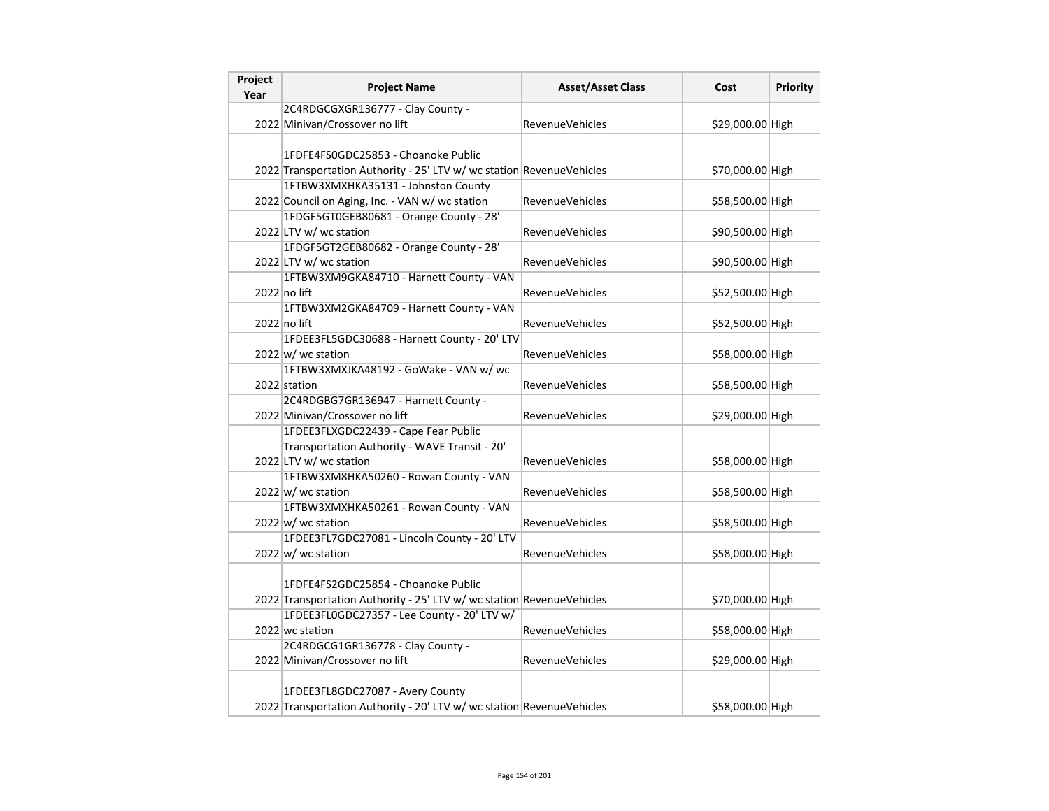| Project<br>Year | <b>Project Name</b>                                                   | <b>Asset/Asset Class</b> | Cost             | Priority |
|-----------------|-----------------------------------------------------------------------|--------------------------|------------------|----------|
|                 | 2C4RDGCGXGR136777 - Clay County -                                     |                          |                  |          |
|                 | 2022 Minivan/Crossover no lift                                        | <b>RevenueVehicles</b>   | \$29,000.00 High |          |
|                 |                                                                       |                          |                  |          |
|                 | 1FDFE4FS0GDC25853 - Choanoke Public                                   |                          |                  |          |
|                 | 2022 Transportation Authority - 25' LTV w/ wc station RevenueVehicles |                          | \$70,000.00 High |          |
|                 | 1FTBW3XMXHKA35131 - Johnston County                                   |                          |                  |          |
|                 | 2022 Council on Aging, Inc. - VAN w/ wc station                       | <b>RevenueVehicles</b>   | \$58,500.00 High |          |
|                 | 1FDGF5GT0GEB80681 - Orange County - 28'                               |                          |                  |          |
|                 | 2022 LTV w/ wc station                                                | <b>RevenueVehicles</b>   | \$90,500.00 High |          |
|                 | 1FDGF5GT2GEB80682 - Orange County - 28'                               |                          |                  |          |
|                 | 2022 LTV w/ wc station                                                | <b>RevenueVehicles</b>   | \$90,500.00 High |          |
|                 | 1FTBW3XM9GKA84710 - Harnett County - VAN                              |                          |                  |          |
|                 | $2022$ no lift                                                        | <b>RevenueVehicles</b>   | \$52,500.00 High |          |
|                 | 1FTBW3XM2GKA84709 - Harnett County - VAN                              |                          |                  |          |
|                 | 2022 no lift                                                          | <b>RevenueVehicles</b>   | \$52,500.00 High |          |
|                 | 1FDEE3FL5GDC30688 - Harnett County - 20' LTV                          |                          |                  |          |
|                 | $2022 \vert w \vert$ wc station                                       | <b>RevenueVehicles</b>   | \$58,000.00 High |          |
|                 | 1FTBW3XMXJKA48192 - GoWake - VAN w/ wc                                |                          |                  |          |
|                 | 2022 station                                                          | <b>RevenueVehicles</b>   | \$58,500.00 High |          |
|                 | 2C4RDGBG7GR136947 - Harnett County -                                  |                          |                  |          |
|                 | 2022 Minivan/Crossover no lift                                        | <b>RevenueVehicles</b>   | \$29,000.00 High |          |
|                 | 1FDEE3FLXGDC22439 - Cape Fear Public                                  |                          |                  |          |
|                 | Transportation Authority - WAVE Transit - 20'                         |                          |                  |          |
|                 | 2022 LTV w/ wc station                                                | <b>RevenueVehicles</b>   | \$58,000.00 High |          |
|                 | 1FTBW3XM8HKA50260 - Rowan County - VAN                                |                          |                  |          |
|                 | $2022 \vert w \vert$ wc station                                       | RevenueVehicles          | \$58,500.00 High |          |
|                 | 1FTBW3XMXHKA50261 - Rowan County - VAN                                |                          |                  |          |
|                 | $2022 \vert w \vert$ wc station                                       | <b>RevenueVehicles</b>   | \$58,500.00 High |          |
|                 | 1FDEE3FL7GDC27081 - Lincoln County - 20' LTV                          |                          |                  |          |
|                 | $2022 \vert w \vert$ wc station                                       | <b>RevenueVehicles</b>   | \$58,000.00 High |          |
|                 |                                                                       |                          |                  |          |
|                 | 1FDFE4FS2GDC25854 - Choanoke Public                                   |                          |                  |          |
|                 | 2022 Transportation Authority - 25' LTV w/ wc station RevenueVehicles |                          | \$70,000.00 High |          |
|                 | 1FDEE3FL0GDC27357 - Lee County - 20' LTV w/                           |                          |                  |          |
|                 | 2022 wc station                                                       | RevenueVehicles          | \$58,000.00 High |          |
|                 | 2C4RDGCG1GR136778 - Clay County -                                     |                          |                  |          |
|                 | 2022 Minivan/Crossover no lift                                        | <b>RevenueVehicles</b>   | \$29,000.00 High |          |
|                 |                                                                       |                          |                  |          |
|                 | 1FDEE3FL8GDC27087 - Avery County                                      |                          |                  |          |
|                 | 2022 Transportation Authority - 20' LTV w/ wc station RevenueVehicles |                          | \$58,000.00 High |          |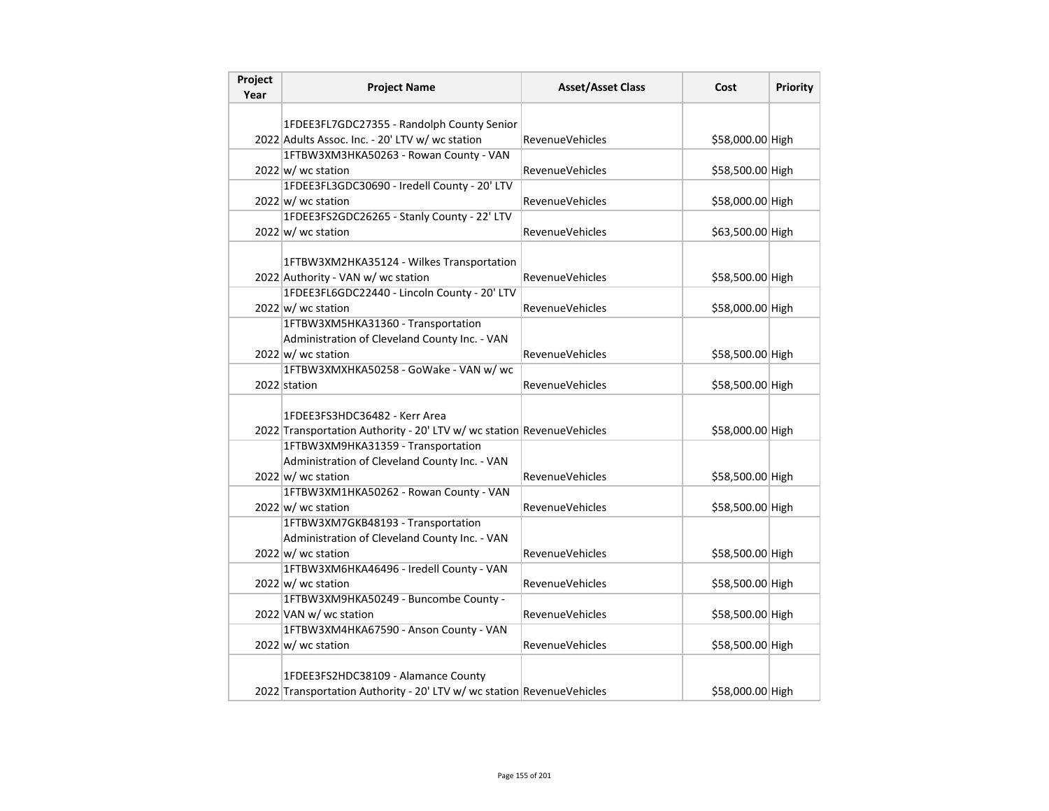| Project<br>Year | <b>Project Name</b>                                                   | <b>Asset/Asset Class</b> | Cost             | <b>Priority</b> |
|-----------------|-----------------------------------------------------------------------|--------------------------|------------------|-----------------|
|                 |                                                                       |                          |                  |                 |
|                 | 1FDEE3FL7GDC27355 - Randolph County Senior                            |                          |                  |                 |
|                 | 2022 Adults Assoc. Inc. - 20' LTV w/ wc station                       | <b>RevenueVehicles</b>   | \$58,000.00 High |                 |
|                 | 1FTBW3XM3HKA50263 - Rowan County - VAN                                |                          |                  |                 |
|                 | $2022 \text{ w}$ wc station                                           | <b>RevenueVehicles</b>   | \$58,500.00 High |                 |
|                 | 1FDEE3FL3GDC30690 - Iredell County - 20' LTV                          |                          |                  |                 |
|                 | 2022 w/ wc station                                                    | <b>RevenueVehicles</b>   | \$58,000.00 High |                 |
|                 | 1FDEE3FS2GDC26265 - Stanly County - 22' LTV                           |                          |                  |                 |
|                 | $2022 \vert w \vert$ wc station                                       | <b>RevenueVehicles</b>   | \$63,500.00 High |                 |
|                 |                                                                       |                          |                  |                 |
|                 | 1FTBW3XM2HKA35124 - Wilkes Transportation                             |                          |                  |                 |
|                 | 2022 Authority - VAN w/ wc station                                    | <b>RevenueVehicles</b>   | \$58,500.00 High |                 |
|                 | 1FDEE3FL6GDC22440 - Lincoln County - 20' LTV                          |                          |                  |                 |
|                 | $2022 \vert w \vert$ wc station                                       | <b>RevenueVehicles</b>   | \$58,000.00 High |                 |
|                 | 1FTBW3XM5HKA31360 - Transportation                                    |                          |                  |                 |
|                 | Administration of Cleveland County Inc. - VAN                         |                          |                  |                 |
|                 | $2022 \text{ w}$ wc station                                           | RevenueVehicles          | \$58,500.00 High |                 |
|                 | 1FTBW3XMXHKA50258 - GoWake - VAN w/ wc                                |                          |                  |                 |
|                 | 2022 station                                                          | <b>RevenueVehicles</b>   | \$58,500.00 High |                 |
|                 |                                                                       |                          |                  |                 |
|                 | 1FDEE3FS3HDC36482 - Kerr Area                                         |                          |                  |                 |
|                 | 2022 Transportation Authority - 20' LTV w/ wc station RevenueVehicles |                          | \$58,000.00 High |                 |
|                 | 1FTBW3XM9HKA31359 - Transportation                                    |                          |                  |                 |
|                 | Administration of Cleveland County Inc. - VAN                         |                          |                  |                 |
|                 | $2022 \vert w \vert$ wc station                                       | <b>RevenueVehicles</b>   | \$58,500.00 High |                 |
|                 | 1FTBW3XM1HKA50262 - Rowan County - VAN                                |                          |                  |                 |
|                 | $2022 \vert w \vert$ wc station                                       | <b>RevenueVehicles</b>   | \$58,500.00 High |                 |
|                 | 1FTBW3XM7GKB48193 - Transportation                                    |                          |                  |                 |
|                 | Administration of Cleveland County Inc. - VAN                         |                          |                  |                 |
|                 | 2022 w/ wc station                                                    | <b>RevenueVehicles</b>   | \$58,500.00 High |                 |
|                 | 1FTBW3XM6HKA46496 - Iredell County - VAN                              |                          |                  |                 |
|                 | 2022 w/ wc station                                                    | <b>RevenueVehicles</b>   | \$58,500.00 High |                 |
|                 | 1FTBW3XM9HKA50249 - Buncombe County -                                 |                          |                  |                 |
|                 | 2022 VAN w/ wc station                                                | <b>RevenueVehicles</b>   | \$58,500.00 High |                 |
|                 | 1FTBW3XM4HKA67590 - Anson County - VAN                                |                          |                  |                 |
|                 | $2022 \text{ w}$ / wc station                                         | <b>RevenueVehicles</b>   | \$58,500.00 High |                 |
|                 |                                                                       |                          |                  |                 |
|                 | 1FDEE3FS2HDC38109 - Alamance County                                   |                          |                  |                 |
|                 | 2022 Transportation Authority - 20' LTV w/ wc station RevenueVehicles |                          | \$58,000.00 High |                 |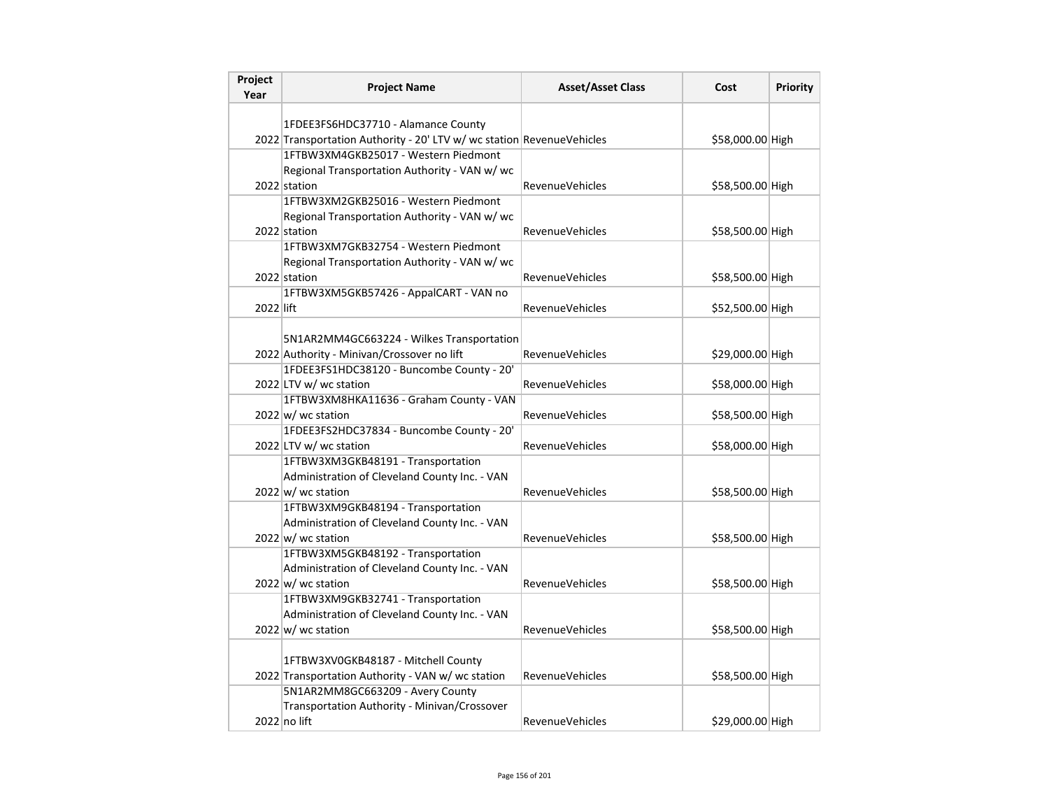| Project<br>Year | <b>Project Name</b>                                                                     | <b>Asset/Asset Class</b> | Cost             | <b>Priority</b> |
|-----------------|-----------------------------------------------------------------------------------------|--------------------------|------------------|-----------------|
|                 |                                                                                         |                          |                  |                 |
|                 | 1FDEE3FS6HDC37710 - Alamance County                                                     |                          |                  |                 |
|                 | 2022 Transportation Authority - 20' LTV w/ wc station RevenueVehicles                   |                          | \$58,000.00 High |                 |
|                 | 1FTBW3XM4GKB25017 - Western Piedmont                                                    |                          |                  |                 |
|                 | Regional Transportation Authority - VAN w/wc                                            |                          |                  |                 |
|                 | 2022 station                                                                            | <b>RevenueVehicles</b>   | \$58,500.00 High |                 |
|                 | 1FTBW3XM2GKB25016 - Western Piedmont                                                    |                          |                  |                 |
|                 | Regional Transportation Authority - VAN w/ wc                                           |                          |                  |                 |
|                 | 2022 station                                                                            | <b>RevenueVehicles</b>   | \$58,500.00 High |                 |
|                 | 1FTBW3XM7GKB32754 - Western Piedmont                                                    |                          |                  |                 |
|                 | Regional Transportation Authority - VAN w/ wc                                           |                          |                  |                 |
|                 | 2022 station                                                                            | <b>RevenueVehicles</b>   | \$58,500.00 High |                 |
|                 | 1FTBW3XM5GKB57426 - AppalCART - VAN no                                                  |                          |                  |                 |
| 2022 lift       |                                                                                         | <b>RevenueVehicles</b>   | \$52,500.00 High |                 |
|                 |                                                                                         |                          |                  |                 |
|                 | 5N1AR2MM4GC663224 - Wilkes Transportation<br>2022 Authority - Minivan/Crossover no lift | RevenueVehicles          | \$29,000.00 High |                 |
|                 | 1FDEE3FS1HDC38120 - Buncombe County - 20'                                               |                          |                  |                 |
|                 | 2022 LTV w/ wc station                                                                  | RevenueVehicles          | \$58,000.00 High |                 |
|                 | 1FTBW3XM8HKA11636 - Graham County - VAN                                                 |                          |                  |                 |
|                 | $2022 \vert w \vert$ wc station                                                         | RevenueVehicles          | \$58,500.00 High |                 |
|                 | 1FDEE3FS2HDC37834 - Buncombe County - 20'                                               |                          |                  |                 |
|                 | 2022 LTV w/ wc station                                                                  | RevenueVehicles          | \$58,000.00 High |                 |
|                 | 1FTBW3XM3GKB48191 - Transportation                                                      |                          |                  |                 |
|                 | Administration of Cleveland County Inc. - VAN                                           |                          |                  |                 |
|                 | $2022 \vert w \vert$ wc station                                                         | RevenueVehicles          | \$58,500.00 High |                 |
|                 | 1FTBW3XM9GKB48194 - Transportation                                                      |                          |                  |                 |
|                 | Administration of Cleveland County Inc. - VAN                                           |                          |                  |                 |
|                 | $2022 \text{ w}$ / wc station                                                           | <b>RevenueVehicles</b>   | \$58,500.00 High |                 |
|                 | 1FTBW3XM5GKB48192 - Transportation                                                      |                          |                  |                 |
|                 | Administration of Cleveland County Inc. - VAN                                           |                          |                  |                 |
|                 | $2022 \text{ w}$ / wc station                                                           | RevenueVehicles          | \$58,500.00 High |                 |
|                 | 1FTBW3XM9GKB32741 - Transportation                                                      |                          |                  |                 |
|                 | Administration of Cleveland County Inc. - VAN                                           |                          |                  |                 |
|                 | $2022$ w/ wc station                                                                    | <b>RevenueVehicles</b>   | \$58,500.00 High |                 |
|                 |                                                                                         |                          |                  |                 |
|                 | 1FTBW3XV0GKB48187 - Mitchell County                                                     |                          |                  |                 |
|                 | 2022 Transportation Authority - VAN w/ wc station                                       | <b>RevenueVehicles</b>   | \$58,500.00 High |                 |
|                 | 5N1AR2MM8GC663209 - Avery County                                                        |                          |                  |                 |
|                 | Transportation Authority - Minivan/Crossover                                            |                          |                  |                 |
|                 | 2022 no lift                                                                            | <b>RevenueVehicles</b>   | \$29,000.00 High |                 |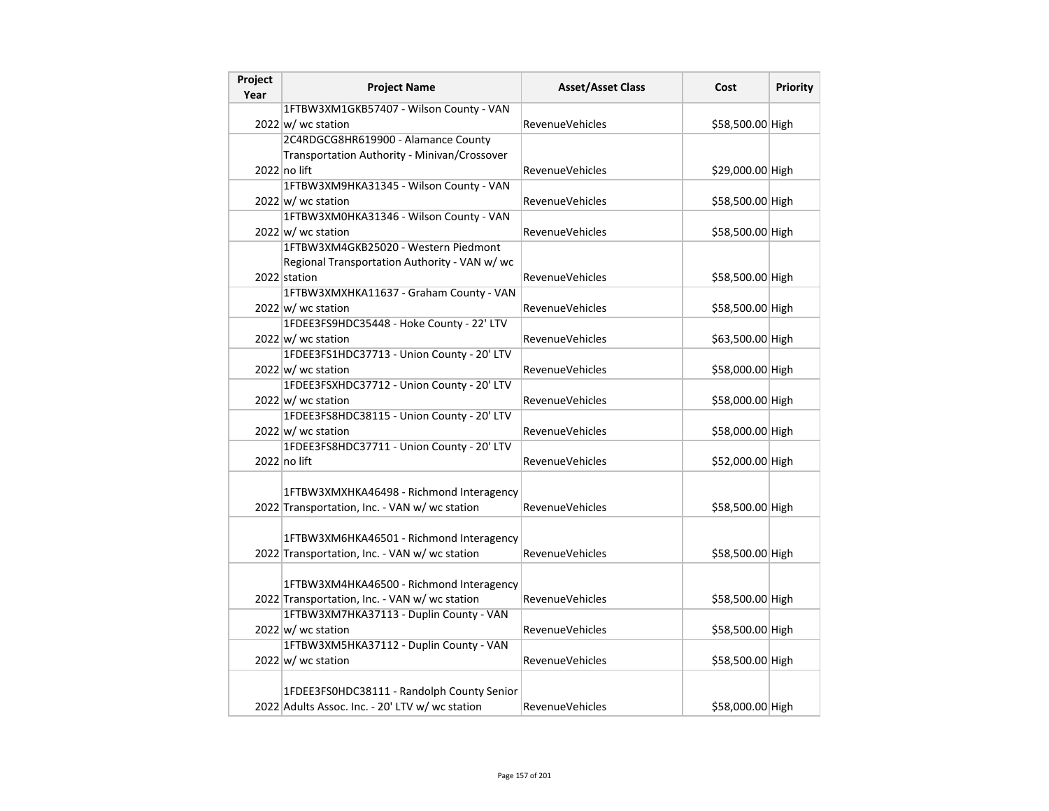| Project<br>Year | <b>Project Name</b>                             | <b>Asset/Asset Class</b> | Cost             | Priority |
|-----------------|-------------------------------------------------|--------------------------|------------------|----------|
|                 | 1FTBW3XM1GKB57407 - Wilson County - VAN         |                          |                  |          |
|                 | 2022 w/ wc station                              | <b>RevenueVehicles</b>   | \$58,500.00 High |          |
|                 | 2C4RDGCG8HR619900 - Alamance County             |                          |                  |          |
|                 | Transportation Authority - Minivan/Crossover    |                          |                  |          |
|                 | 2022 no lift                                    | <b>RevenueVehicles</b>   | \$29,000.00 High |          |
|                 | 1FTBW3XM9HKA31345 - Wilson County - VAN         |                          |                  |          |
|                 | 2022 w/ wc station                              | <b>RevenueVehicles</b>   | \$58,500.00 High |          |
|                 | 1FTBW3XM0HKA31346 - Wilson County - VAN         |                          |                  |          |
|                 | $2022 \vert w \vert$ wc station                 | <b>RevenueVehicles</b>   | \$58,500.00 High |          |
|                 | 1FTBW3XM4GKB25020 - Western Piedmont            |                          |                  |          |
|                 | Regional Transportation Authority - VAN w/ wc   |                          |                  |          |
|                 | 2022 station                                    | <b>RevenueVehicles</b>   | \$58,500.00 High |          |
|                 | 1FTBW3XMXHKA11637 - Graham County - VAN         |                          |                  |          |
|                 | $2022 \vert w \vert$ wc station                 | RevenueVehicles          | \$58,500.00 High |          |
|                 | 1FDEE3FS9HDC35448 - Hoke County - 22' LTV       |                          |                  |          |
|                 | 2022 w/ wc station                              | <b>RevenueVehicles</b>   | \$63,500.00 High |          |
|                 | 1FDEE3FS1HDC37713 - Union County - 20' LTV      |                          |                  |          |
|                 | 2022 w/ wc station                              | <b>RevenueVehicles</b>   | \$58,000.00 High |          |
|                 | 1FDEE3FSXHDC37712 - Union County - 20' LTV      |                          |                  |          |
|                 | 2022 w/ wc station                              | <b>RevenueVehicles</b>   | \$58,000.00 High |          |
|                 | 1FDEE3FS8HDC38115 - Union County - 20' LTV      |                          |                  |          |
|                 | $2022 \vert w \vert$ wc station                 | <b>RevenueVehicles</b>   | \$58,000.00 High |          |
|                 | 1FDEE3FS8HDC37711 - Union County - 20' LTV      |                          |                  |          |
|                 | 2022 no lift                                    | <b>RevenueVehicles</b>   | \$52,000.00 High |          |
|                 |                                                 |                          |                  |          |
|                 | 1FTBW3XMXHKA46498 - Richmond Interagency        |                          |                  |          |
|                 | 2022 Transportation, Inc. - VAN w/ wc station   | <b>RevenueVehicles</b>   | \$58,500.00 High |          |
|                 |                                                 |                          |                  |          |
|                 | 1FTBW3XM6HKA46501 - Richmond Interagency        |                          |                  |          |
|                 | 2022 Transportation, Inc. - VAN w/ wc station   | <b>RevenueVehicles</b>   | \$58,500.00 High |          |
|                 | 1FTBW3XM4HKA46500 - Richmond Interagency        |                          |                  |          |
|                 | 2022 Transportation, Inc. - VAN w/ wc station   | <b>RevenueVehicles</b>   | \$58,500.00 High |          |
|                 | 1FTBW3XM7HKA37113 - Duplin County - VAN         |                          |                  |          |
|                 | $2022 \text{ w}$ wc station                     | <b>RevenueVehicles</b>   | \$58,500.00 High |          |
|                 | 1FTBW3XM5HKA37112 - Duplin County - VAN         |                          |                  |          |
|                 | $2022 \text{ w}$ / wc station                   | RevenueVehicles          | \$58,500.00 High |          |
|                 |                                                 |                          |                  |          |
|                 | 1FDEE3FS0HDC38111 - Randolph County Senior      |                          |                  |          |
|                 | 2022 Adults Assoc. Inc. - 20' LTV w/ wc station | <b>RevenueVehicles</b>   | \$58,000.00 High |          |
|                 |                                                 |                          |                  |          |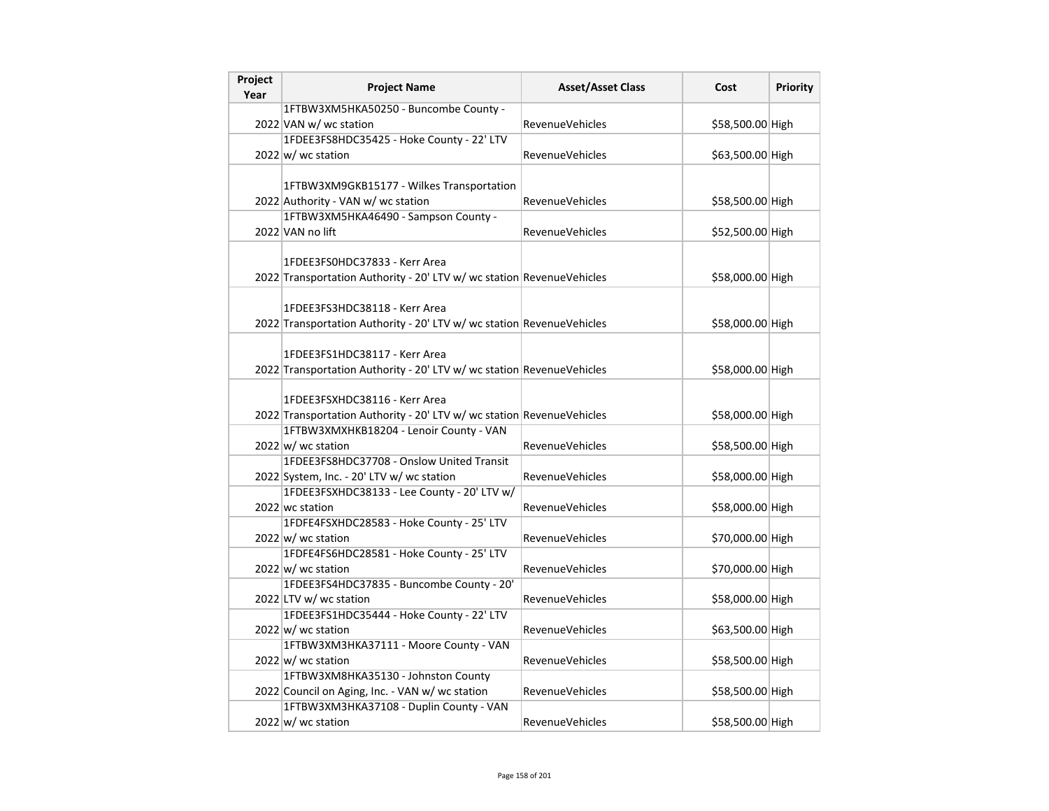| Project | <b>Project Name</b>                                                   | <b>Asset/Asset Class</b> | Cost             | <b>Priority</b> |
|---------|-----------------------------------------------------------------------|--------------------------|------------------|-----------------|
| Year    |                                                                       |                          |                  |                 |
|         | 1FTBW3XM5HKA50250 - Buncombe County -                                 |                          |                  |                 |
|         | 2022 VAN w/ wc station                                                | <b>RevenueVehicles</b>   | \$58,500.00 High |                 |
|         | 1FDEE3FS8HDC35425 - Hoke County - 22' LTV                             |                          |                  |                 |
|         | $2022 \vert w \vert$ wc station                                       | <b>RevenueVehicles</b>   | \$63,500.00 High |                 |
|         |                                                                       |                          |                  |                 |
|         | 1FTBW3XM9GKB15177 - Wilkes Transportation                             |                          |                  |                 |
|         | 2022 Authority - VAN w/ wc station                                    | <b>RevenueVehicles</b>   | \$58,500.00 High |                 |
|         | 1FTBW3XM5HKA46490 - Sampson County -                                  |                          |                  |                 |
|         | 2022 VAN no lift                                                      | <b>RevenueVehicles</b>   | \$52,500.00 High |                 |
|         |                                                                       |                          |                  |                 |
|         | 1FDEE3FS0HDC37833 - Kerr Area                                         |                          |                  |                 |
|         | 2022 Transportation Authority - 20' LTV w/ wc station RevenueVehicles |                          | \$58,000.00 High |                 |
|         |                                                                       |                          |                  |                 |
|         | 1FDEE3FS3HDC38118 - Kerr Area                                         |                          |                  |                 |
|         | 2022 Transportation Authority - 20' LTV w/ wc station RevenueVehicles |                          | \$58,000.00 High |                 |
|         |                                                                       |                          |                  |                 |
|         | 1FDEE3FS1HDC38117 - Kerr Area                                         |                          |                  |                 |
|         | 2022 Transportation Authority - 20' LTV w/ wc station RevenueVehicles |                          | \$58,000.00 High |                 |
|         |                                                                       |                          |                  |                 |
|         | 1FDEE3FSXHDC38116 - Kerr Area                                         |                          |                  |                 |
|         | 2022 Transportation Authority - 20' LTV w/ wc station RevenueVehicles |                          | \$58,000.00 High |                 |
|         | 1FTBW3XMXHKB18204 - Lenoir County - VAN                               |                          |                  |                 |
|         | $2022 \text{w}$ wc station                                            | <b>RevenueVehicles</b>   | \$58,500.00 High |                 |
|         | 1FDEE3FS8HDC37708 - Onslow United Transit                             |                          |                  |                 |
|         | 2022 System, Inc. - 20' LTV w/ wc station                             | RevenueVehicles          | \$58,000.00 High |                 |
|         | 1FDEE3FSXHDC38133 - Lee County - 20' LTV w/                           |                          |                  |                 |
|         | 2022 wc station                                                       | RevenueVehicles          | \$58,000.00 High |                 |
|         | 1FDFE4FSXHDC28583 - Hoke County - 25' LTV                             |                          |                  |                 |
|         | $2022 \vert w \vert$ wc station                                       | RevenueVehicles          | \$70,000.00 High |                 |
|         | 1FDFE4FS6HDC28581 - Hoke County - 25' LTV                             |                          |                  |                 |
|         | $2022 \vert w \vert$ wc station                                       | <b>RevenueVehicles</b>   | \$70,000.00 High |                 |
|         | 1FDEE3FS4HDC37835 - Buncombe County - 20'                             |                          |                  |                 |
|         | 2022 LTV w/ wc station                                                | RevenueVehicles          | \$58,000.00 High |                 |
|         | 1FDEE3FS1HDC35444 - Hoke County - 22' LTV                             |                          |                  |                 |
|         | $2022 \, \text{w}$ / wc station                                       | <b>RevenueVehicles</b>   | \$63,500.00 High |                 |
|         | 1FTBW3XM3HKA37111 - Moore County - VAN                                |                          |                  |                 |
|         | $2022 \vert w \vert$ wc station                                       | <b>RevenueVehicles</b>   | \$58,500.00 High |                 |
|         | 1FTBW3XM8HKA35130 - Johnston County                                   |                          |                  |                 |
|         | 2022 Council on Aging, Inc. - VAN w/ wc station                       | RevenueVehicles          | \$58,500.00 High |                 |
|         | 1FTBW3XM3HKA37108 - Duplin County - VAN                               |                          |                  |                 |
|         | $2022 \text{w}$ wc station                                            | <b>RevenueVehicles</b>   | \$58,500.00 High |                 |
|         |                                                                       |                          |                  |                 |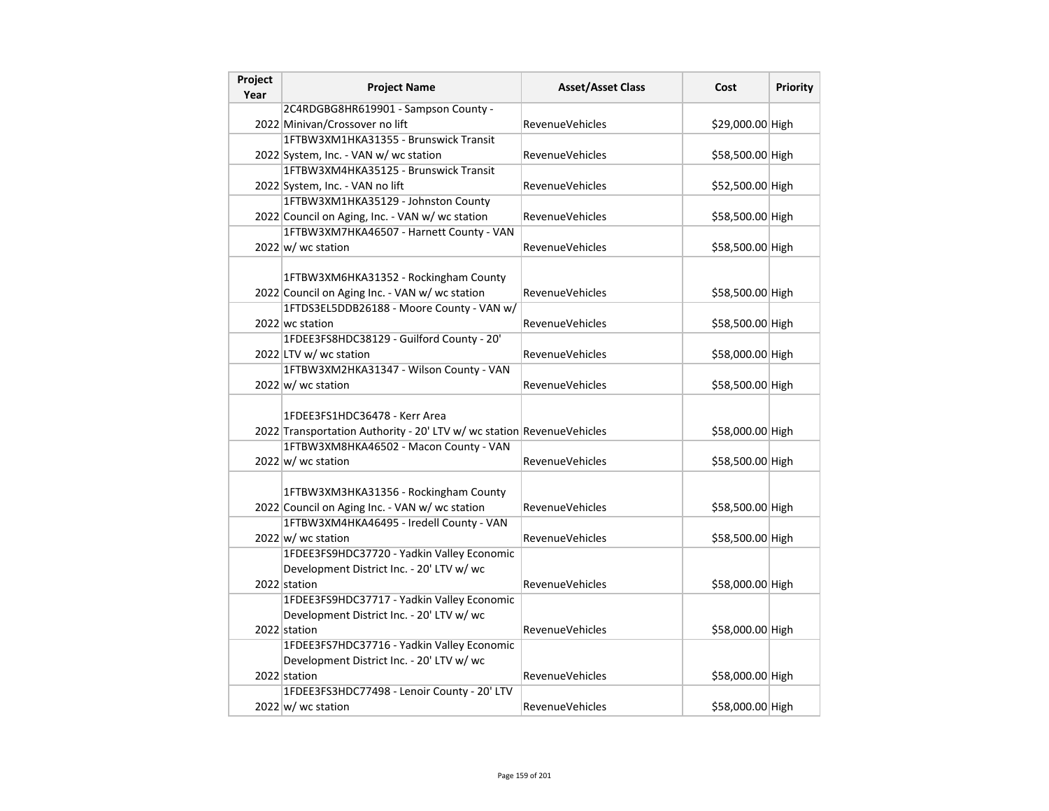| Project<br>Year | <b>Project Name</b>                                                                                    | <b>Asset/Asset Class</b> | Cost             | <b>Priority</b> |
|-----------------|--------------------------------------------------------------------------------------------------------|--------------------------|------------------|-----------------|
|                 | 2C4RDGBG8HR619901 - Sampson County -                                                                   |                          |                  |                 |
|                 | 2022 Minivan/Crossover no lift                                                                         | RevenueVehicles          | \$29,000.00 High |                 |
|                 | 1FTBW3XM1HKA31355 - Brunswick Transit                                                                  |                          |                  |                 |
|                 | 2022 System, Inc. - VAN w/ wc station                                                                  | RevenueVehicles          | \$58,500.00 High |                 |
|                 | 1FTBW3XM4HKA35125 - Brunswick Transit                                                                  |                          |                  |                 |
|                 | 2022 System, Inc. - VAN no lift                                                                        | <b>RevenueVehicles</b>   | \$52,500.00 High |                 |
|                 | 1FTBW3XM1HKA35129 - Johnston County                                                                    |                          |                  |                 |
|                 | 2022 Council on Aging, Inc. - VAN w/ wc station                                                        | RevenueVehicles          | \$58,500.00 High |                 |
|                 | 1FTBW3XM7HKA46507 - Harnett County - VAN                                                               |                          |                  |                 |
|                 | $2022 \text{ w}$ / wc station                                                                          | <b>RevenueVehicles</b>   | \$58,500.00 High |                 |
|                 | 1FTBW3XM6HKA31352 - Rockingham County                                                                  |                          |                  |                 |
|                 | 2022 Council on Aging Inc. - VAN w/ wc station                                                         | RevenueVehicles          | \$58,500.00 High |                 |
|                 | 1FTDS3EL5DDB26188 - Moore County - VAN w/                                                              |                          |                  |                 |
|                 | 2022 wc station                                                                                        | RevenueVehicles          | \$58,500.00 High |                 |
|                 | 1FDEE3FS8HDC38129 - Guilford County - 20'                                                              |                          |                  |                 |
|                 | 2022 LTV w/ wc station                                                                                 | RevenueVehicles          | \$58,000.00 High |                 |
|                 | 1FTBW3XM2HKA31347 - Wilson County - VAN                                                                |                          |                  |                 |
|                 | $2022 \text{ w}$ / wc station                                                                          | <b>RevenueVehicles</b>   | \$58,500.00 High |                 |
|                 | 1FDEE3FS1HDC36478 - Kerr Area<br>2022 Transportation Authority - 20' LTV w/ wc station RevenueVehicles |                          | \$58,000.00 High |                 |
|                 | 1FTBW3XM8HKA46502 - Macon County - VAN                                                                 |                          |                  |                 |
|                 | $2022 \text{ w}$ wc station                                                                            | RevenueVehicles          | \$58,500.00 High |                 |
|                 | 1FTBW3XM3HKA31356 - Rockingham County<br>2022 Council on Aging Inc. - VAN w/ wc station                | RevenueVehicles          | \$58,500.00 High |                 |
|                 | 1FTBW3XM4HKA46495 - Iredell County - VAN                                                               |                          |                  |                 |
|                 | $2022 \text{ w}$ / wc station                                                                          | <b>RevenueVehicles</b>   | \$58,500.00 High |                 |
|                 | 1FDEE3FS9HDC37720 - Yadkin Valley Economic                                                             |                          |                  |                 |
|                 | Development District Inc. - 20' LTV w/ wc                                                              |                          |                  |                 |
|                 | 2022 station                                                                                           | <b>RevenueVehicles</b>   | \$58,000.00 High |                 |
|                 | 1FDEE3FS9HDC37717 - Yadkin Valley Economic                                                             |                          |                  |                 |
|                 | Development District Inc. - 20' LTV w/ wc                                                              |                          |                  |                 |
|                 | 2022 station                                                                                           | <b>RevenueVehicles</b>   | \$58,000.00 High |                 |
|                 | 1FDEE3FS7HDC37716 - Yadkin Valley Economic                                                             |                          |                  |                 |
|                 | Development District Inc. - 20' LTV w/ wc                                                              |                          |                  |                 |
|                 | 2022 station                                                                                           | <b>RevenueVehicles</b>   | \$58,000.00 High |                 |
|                 | 1FDEE3FS3HDC77498 - Lenoir County - 20' LTV                                                            |                          |                  |                 |
|                 | $2022 \text{ w}$ / wc station                                                                          | RevenueVehicles          | \$58,000.00 High |                 |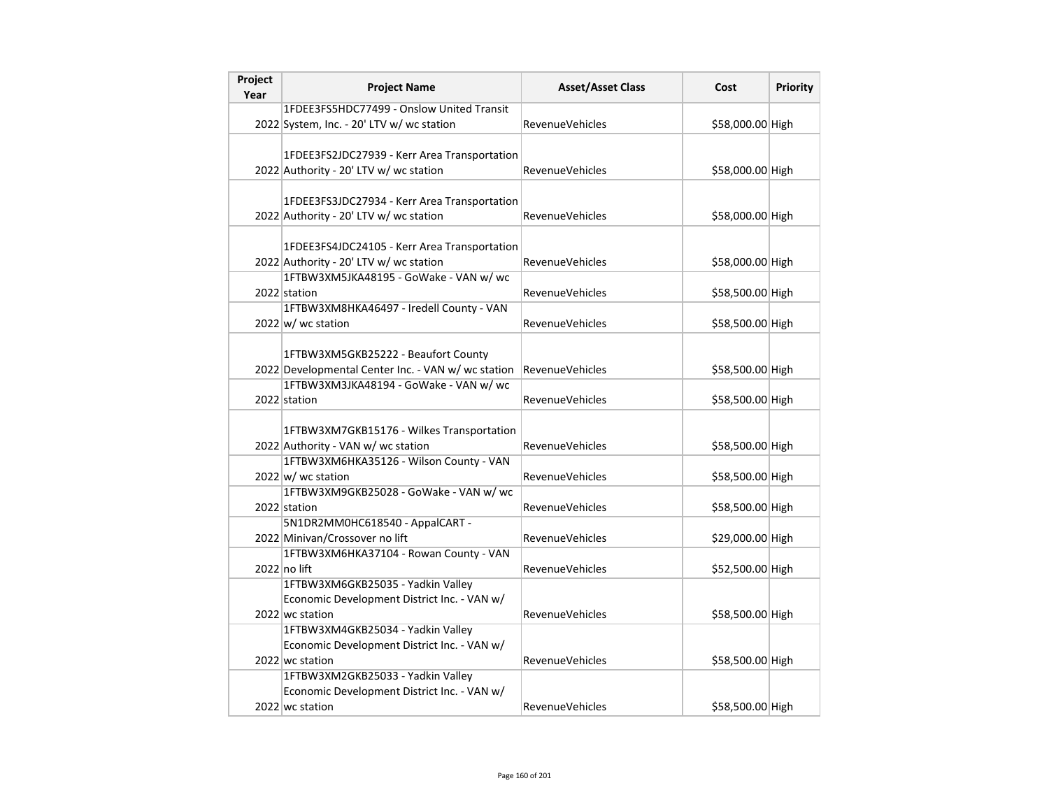| Project<br>Year | <b>Project Name</b>                                                                      | <b>Asset/Asset Class</b> | Cost             | <b>Priority</b> |
|-----------------|------------------------------------------------------------------------------------------|--------------------------|------------------|-----------------|
|                 | 1FDEE3FS5HDC77499 - Onslow United Transit                                                |                          |                  |                 |
|                 | 2022 System, Inc. - 20' LTV w/ wc station                                                | <b>RevenueVehicles</b>   | \$58,000.00 High |                 |
|                 | 1FDEE3FS2JDC27939 - Kerr Area Transportation                                             |                          |                  |                 |
|                 | 2022 Authority - 20' LTV w/ wc station                                                   | <b>RevenueVehicles</b>   | \$58,000.00 High |                 |
|                 | 1FDEE3FS3JDC27934 - Kerr Area Transportation<br>2022 Authority - 20' LTV w/ wc station   | <b>RevenueVehicles</b>   | \$58,000.00 High |                 |
|                 | 1FDEE3FS4JDC24105 - Kerr Area Transportation<br>2022 Authority - 20' LTV w/ wc station   | <b>RevenueVehicles</b>   | \$58,000.00 High |                 |
|                 | 1FTBW3XM5JKA48195 - GoWake - VAN w/ wc<br>2022 station                                   | <b>RevenueVehicles</b>   | \$58,500.00 High |                 |
|                 | 1FTBW3XM8HKA46497 - Iredell County - VAN<br>$2022 \text{ w}$ wc station                  | <b>RevenueVehicles</b>   | \$58,500.00 High |                 |
|                 | 1FTBW3XM5GKB25222 - Beaufort County<br>2022 Developmental Center Inc. - VAN w/wc station | <b>RevenueVehicles</b>   | \$58,500.00 High |                 |
|                 | 1FTBW3XM3JKA48194 - GoWake - VAN w/ wc                                                   |                          |                  |                 |
|                 | 2022 station                                                                             | <b>RevenueVehicles</b>   | \$58,500.00 High |                 |
|                 | 1FTBW3XM7GKB15176 - Wilkes Transportation<br>2022 Authority - VAN w/ wc station          | RevenueVehicles          | \$58,500.00 High |                 |
|                 | 1FTBW3XM6HKA35126 - Wilson County - VAN<br>$2022 \vert w \vert$ wc station               | <b>RevenueVehicles</b>   | \$58,500.00 High |                 |
|                 | 1FTBW3XM9GKB25028 - GoWake - VAN w/ wc<br>2022 station                                   | <b>RevenueVehicles</b>   | \$58,500.00 High |                 |
|                 | 5N1DR2MM0HC618540 - AppalCART -<br>2022 Minivan/Crossover no lift                        | RevenueVehicles          | \$29,000.00 High |                 |
|                 | 1FTBW3XM6HKA37104 - Rowan County - VAN<br>2022 no lift                                   | <b>RevenueVehicles</b>   | \$52,500.00 High |                 |
|                 | 1FTBW3XM6GKB25035 - Yadkin Valley<br>Economic Development District Inc. - VAN w/         |                          |                  |                 |
|                 | 2022 wc station                                                                          | <b>RevenueVehicles</b>   | \$58,500.00 High |                 |
|                 | 1FTBW3XM4GKB25034 - Yadkin Valley<br>Economic Development District Inc. - VAN w/         |                          |                  |                 |
|                 | 2022 wc station                                                                          | RevenueVehicles          | \$58,500.00 High |                 |
|                 | 1FTBW3XM2GKB25033 - Yadkin Valley                                                        |                          |                  |                 |
|                 | Economic Development District Inc. - VAN w/                                              |                          |                  |                 |
|                 | 2022 wc station                                                                          | <b>RevenueVehicles</b>   | \$58,500.00 High |                 |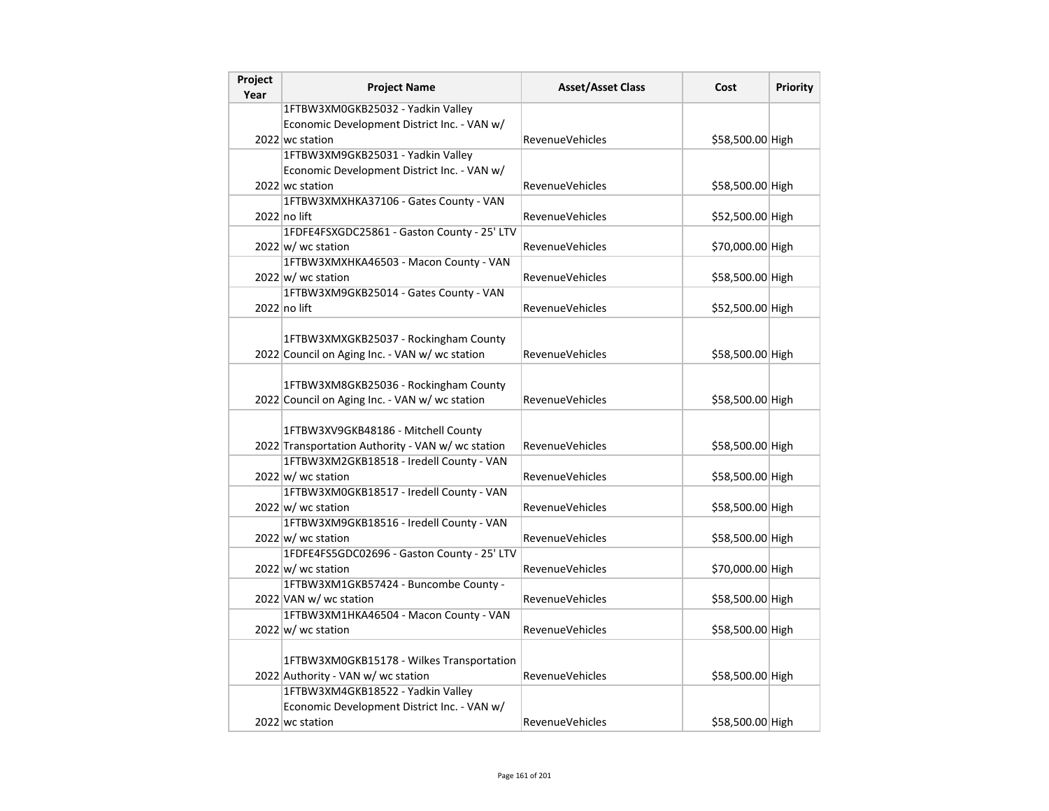| Project<br>Year | <b>Project Name</b>                                                                      | <b>Asset/Asset Class</b> | Cost             | <b>Priority</b> |
|-----------------|------------------------------------------------------------------------------------------|--------------------------|------------------|-----------------|
|                 | 1FTBW3XM0GKB25032 - Yadkin Valley                                                        |                          |                  |                 |
|                 | Economic Development District Inc. - VAN w/                                              |                          |                  |                 |
|                 | 2022 wc station                                                                          | <b>RevenueVehicles</b>   | \$58,500.00 High |                 |
|                 | 1FTBW3XM9GKB25031 - Yadkin Valley                                                        |                          |                  |                 |
|                 | Economic Development District Inc. - VAN w/                                              |                          |                  |                 |
|                 | 2022 wc station                                                                          | RevenueVehicles          | \$58,500.00 High |                 |
|                 | 1FTBW3XMXHKA37106 - Gates County - VAN                                                   |                          |                  |                 |
|                 | 2022 no lift                                                                             | RevenueVehicles          | \$52,500.00 High |                 |
|                 | 1FDFE4FSXGDC25861 - Gaston County - 25' LTV                                              |                          |                  |                 |
|                 | $2022 \text{ w}$ / wc station                                                            | RevenueVehicles          | \$70,000.00 High |                 |
|                 | 1FTBW3XMXHKA46503 - Macon County - VAN                                                   |                          |                  |                 |
|                 | $2022 \text{ w}$ / wc station                                                            | <b>RevenueVehicles</b>   | \$58,500.00 High |                 |
|                 | 1FTBW3XM9GKB25014 - Gates County - VAN                                                   |                          |                  |                 |
|                 | $2022$ no lift                                                                           | <b>RevenueVehicles</b>   | \$52,500.00 High |                 |
|                 |                                                                                          |                          |                  |                 |
|                 | 1FTBW3XMXGKB25037 - Rockingham County                                                    |                          |                  |                 |
|                 | 2022 Council on Aging Inc. - VAN w/ wc station                                           | <b>RevenueVehicles</b>   | \$58,500.00 High |                 |
|                 |                                                                                          |                          |                  |                 |
|                 | 1FTBW3XM8GKB25036 - Rockingham County                                                    |                          |                  |                 |
|                 | 2022 Council on Aging Inc. - VAN w/ wc station                                           | <b>RevenueVehicles</b>   | \$58,500.00 High |                 |
|                 |                                                                                          |                          |                  |                 |
|                 | 1FTBW3XV9GKB48186 - Mitchell County<br>2022 Transportation Authority - VAN w/ wc station | RevenueVehicles          | \$58,500.00 High |                 |
|                 | 1FTBW3XM2GKB18518 - Iredell County - VAN                                                 |                          |                  |                 |
|                 | $2022 \vert w \vert$ wc station                                                          | <b>RevenueVehicles</b>   | \$58,500.00 High |                 |
|                 | 1FTBW3XM0GKB18517 - Iredell County - VAN                                                 |                          |                  |                 |
|                 | $2022 \vert w \vert$ wc station                                                          | <b>RevenueVehicles</b>   | \$58,500.00 High |                 |
|                 | 1FTBW3XM9GKB18516 - Iredell County - VAN                                                 |                          |                  |                 |
|                 | $2022 \vert w \vert$ wc station                                                          | <b>RevenueVehicles</b>   | \$58,500.00 High |                 |
|                 | 1FDFE4FS5GDC02696 - Gaston County - 25' LTV                                              |                          |                  |                 |
|                 | $2022 \vert w \vert$ wc station                                                          | <b>RevenueVehicles</b>   | \$70,000.00 High |                 |
|                 | 1FTBW3XM1GKB57424 - Buncombe County -                                                    |                          |                  |                 |
|                 | 2022 VAN w/ wc station                                                                   | RevenueVehicles          | \$58,500.00 High |                 |
|                 | 1FTBW3XM1HKA46504 - Macon County - VAN                                                   |                          |                  |                 |
|                 | $2022 \text{ w}$ / wc station                                                            | <b>RevenueVehicles</b>   | \$58,500.00 High |                 |
|                 |                                                                                          |                          |                  |                 |
|                 | 1FTBW3XM0GKB15178 - Wilkes Transportation                                                |                          |                  |                 |
|                 | 2022 Authority - VAN w/ wc station                                                       | RevenueVehicles          | \$58,500.00 High |                 |
|                 | 1FTBW3XM4GKB18522 - Yadkin Valley                                                        |                          |                  |                 |
|                 | Economic Development District Inc. - VAN w/                                              |                          |                  |                 |
|                 | 2022 wc station                                                                          | <b>RevenueVehicles</b>   | \$58,500.00 High |                 |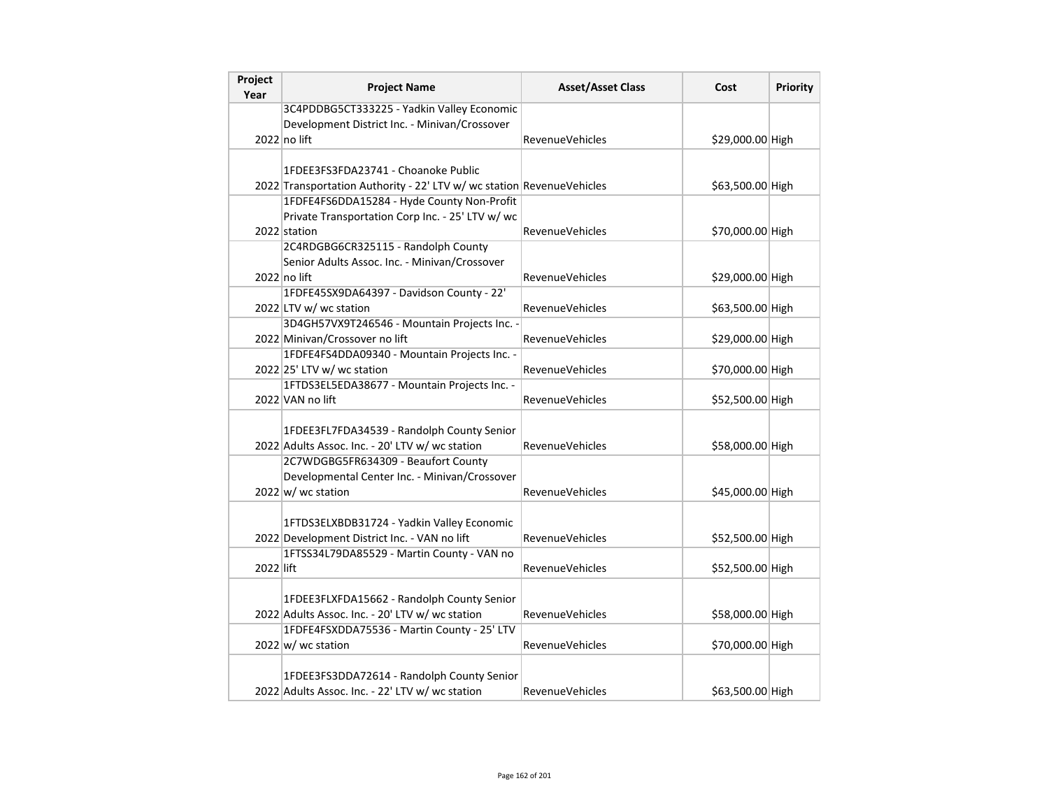| Project<br>Year | <b>Project Name</b>                                                   | <b>Asset/Asset Class</b> | Cost             | <b>Priority</b> |
|-----------------|-----------------------------------------------------------------------|--------------------------|------------------|-----------------|
|                 | 3C4PDDBG5CT333225 - Yadkin Valley Economic                            |                          |                  |                 |
|                 | Development District Inc. - Minivan/Crossover                         |                          |                  |                 |
|                 | 2022 no lift                                                          | <b>RevenueVehicles</b>   | \$29,000.00 High |                 |
|                 |                                                                       |                          |                  |                 |
|                 | 1FDEE3FS3FDA23741 - Choanoke Public                                   |                          |                  |                 |
|                 | 2022 Transportation Authority - 22' LTV w/ wc station RevenueVehicles |                          | \$63,500.00 High |                 |
|                 | 1FDFE4FS6DDA15284 - Hyde County Non-Profit                            |                          |                  |                 |
|                 | Private Transportation Corp Inc. - 25' LTV w/ wc                      |                          |                  |                 |
|                 | 2022 station                                                          | <b>RevenueVehicles</b>   | \$70,000.00 High |                 |
|                 | 2C4RDGBG6CR325115 - Randolph County                                   |                          |                  |                 |
|                 | Senior Adults Assoc. Inc. - Minivan/Crossover                         |                          |                  |                 |
|                 | $2022$ no lift                                                        | <b>RevenueVehicles</b>   | \$29,000.00 High |                 |
|                 | 1FDFE45SX9DA64397 - Davidson County - 22'                             |                          |                  |                 |
|                 | 2022 LTV w/ wc station                                                | RevenueVehicles          | \$63,500.00 High |                 |
|                 | 3D4GH57VX9T246546 - Mountain Projects Inc. -                          |                          |                  |                 |
|                 | 2022 Minivan/Crossover no lift                                        | <b>RevenueVehicles</b>   | \$29,000.00 High |                 |
|                 | 1FDFE4FS4DDA09340 - Mountain Projects Inc. -                          |                          |                  |                 |
|                 | 2022 25' LTV w/ wc station                                            | <b>RevenueVehicles</b>   | \$70,000.00 High |                 |
|                 | 1FTDS3EL5EDA38677 - Mountain Projects Inc. -                          |                          |                  |                 |
|                 | 2022 VAN no lift                                                      | <b>RevenueVehicles</b>   | \$52,500.00 High |                 |
|                 |                                                                       |                          |                  |                 |
|                 | 1FDEE3FL7FDA34539 - Randolph County Senior                            |                          |                  |                 |
|                 | 2022 Adults Assoc. Inc. - 20' LTV w/ wc station                       | <b>RevenueVehicles</b>   | \$58,000.00 High |                 |
|                 | 2C7WDGBG5FR634309 - Beaufort County                                   |                          |                  |                 |
|                 | Developmental Center Inc. - Minivan/Crossover                         |                          |                  |                 |
|                 | 2022 w/ wc station                                                    | <b>RevenueVehicles</b>   | \$45,000.00 High |                 |
|                 |                                                                       |                          |                  |                 |
|                 | 1FTDS3ELXBDB31724 - Yadkin Valley Economic                            |                          |                  |                 |
|                 | 2022 Development District Inc. - VAN no lift                          | <b>RevenueVehicles</b>   | \$52,500.00 High |                 |
|                 | 1FTSS34L79DA85529 - Martin County - VAN no                            |                          |                  |                 |
| 2022 lift       |                                                                       | <b>RevenueVehicles</b>   | \$52,500.00 High |                 |
|                 |                                                                       |                          |                  |                 |
|                 | 1FDEE3FLXFDA15662 - Randolph County Senior                            |                          |                  |                 |
|                 | 2022 Adults Assoc. Inc. - 20' LTV w/ wc station                       | RevenueVehicles          | \$58,000.00 High |                 |
|                 | 1FDFE4FSXDDA75536 - Martin County - 25' LTV                           | <b>RevenueVehicles</b>   |                  |                 |
|                 | $2022 \vert w \vert$ wc station                                       |                          | \$70,000.00 High |                 |
|                 | 1FDEE3FS3DDA72614 - Randolph County Senior                            |                          |                  |                 |
|                 | 2022 Adults Assoc. Inc. - 22' LTV w/ wc station                       | RevenueVehicles          |                  |                 |
|                 |                                                                       |                          | \$63,500.00 High |                 |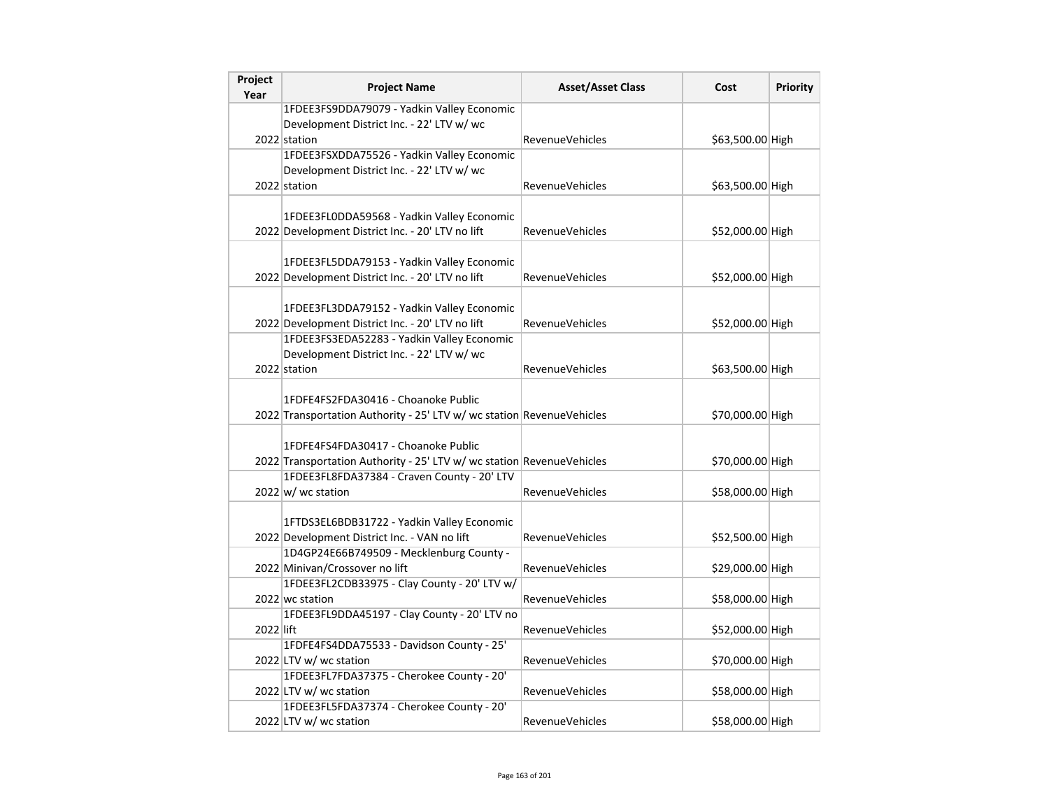| Project<br>Year | <b>Project Name</b>                                                   | <b>Asset/Asset Class</b> | Cost             | <b>Priority</b> |
|-----------------|-----------------------------------------------------------------------|--------------------------|------------------|-----------------|
|                 | 1FDEE3FS9DDA79079 - Yadkin Valley Economic                            |                          |                  |                 |
|                 | Development District Inc. - 22' LTV w/ wc                             |                          |                  |                 |
|                 | 2022 station                                                          | <b>RevenueVehicles</b>   | \$63,500.00 High |                 |
|                 | 1FDEE3FSXDDA75526 - Yadkin Valley Economic                            |                          |                  |                 |
|                 | Development District Inc. - 22' LTV w/ wc                             |                          |                  |                 |
|                 | 2022 station                                                          | <b>RevenueVehicles</b>   | \$63,500.00 High |                 |
|                 |                                                                       |                          |                  |                 |
|                 | 1FDEE3FL0DDA59568 - Yadkin Valley Economic                            |                          |                  |                 |
|                 | 2022 Development District Inc. - 20' LTV no lift                      | <b>RevenueVehicles</b>   | \$52,000.00 High |                 |
|                 |                                                                       |                          |                  |                 |
|                 | 1FDEE3FL5DDA79153 - Yadkin Valley Economic                            |                          |                  |                 |
|                 | 2022 Development District Inc. - 20' LTV no lift                      | <b>RevenueVehicles</b>   | \$52,000.00 High |                 |
|                 | 1FDEE3FL3DDA79152 - Yadkin Valley Economic                            |                          |                  |                 |
|                 | 2022 Development District Inc. - 20' LTV no lift                      | <b>RevenueVehicles</b>   | \$52,000.00 High |                 |
|                 | 1FDEE3FS3EDA52283 - Yadkin Valley Economic                            |                          |                  |                 |
|                 | Development District Inc. - 22' LTV w/ wc                             |                          |                  |                 |
|                 | 2022 station                                                          | RevenueVehicles          | \$63,500.00 High |                 |
|                 |                                                                       |                          |                  |                 |
|                 | 1FDFE4FS2FDA30416 - Choanoke Public                                   |                          |                  |                 |
|                 | 2022 Transportation Authority - 25' LTV w/ wc station RevenueVehicles |                          | \$70,000.00 High |                 |
|                 |                                                                       |                          |                  |                 |
|                 | 1FDFE4FS4FDA30417 - Choanoke Public                                   |                          |                  |                 |
|                 | 2022 Transportation Authority - 25' LTV w/ wc station RevenueVehicles |                          | \$70,000.00 High |                 |
|                 | 1FDEE3FL8FDA37384 - Craven County - 20' LTV                           |                          |                  |                 |
|                 | $2022 \text{ w}$ / wc station                                         | <b>RevenueVehicles</b>   | \$58,000.00 High |                 |
|                 |                                                                       |                          |                  |                 |
|                 | 1FTDS3EL6BDB31722 - Yadkin Valley Economic                            |                          |                  |                 |
|                 | 2022 Development District Inc. - VAN no lift                          | RevenueVehicles          | \$52,500.00 High |                 |
|                 | 1D4GP24E66B749509 - Mecklenburg County -                              |                          |                  |                 |
|                 | 2022 Minivan/Crossover no lift                                        | RevenueVehicles          | \$29,000.00 High |                 |
|                 | 1FDEE3FL2CDB33975 - Clay County - 20' LTV w/                          |                          |                  |                 |
|                 | 2022 wc station                                                       | RevenueVehicles          | \$58,000.00 High |                 |
|                 | 1FDEE3FL9DDA45197 - Clay County - 20' LTV no                          |                          |                  |                 |
| 2022 lift       |                                                                       | RevenueVehicles          | \$52,000.00 High |                 |
|                 | 1FDFE4FS4DDA75533 - Davidson County - 25'                             |                          |                  |                 |
|                 | 2022 LTV w/ wc station<br>1FDEE3FL7FDA37375 - Cherokee County - 20'   | RevenueVehicles          | \$70,000.00 High |                 |
|                 |                                                                       | <b>RevenueVehicles</b>   |                  |                 |
|                 | 2022 LTV w/ wc station<br>1FDEE3FL5FDA37374 - Cherokee County - 20'   |                          | \$58,000.00 High |                 |
|                 | 2022 LTV w/ wc station                                                | <b>RevenueVehicles</b>   | \$58,000.00 High |                 |
|                 |                                                                       |                          |                  |                 |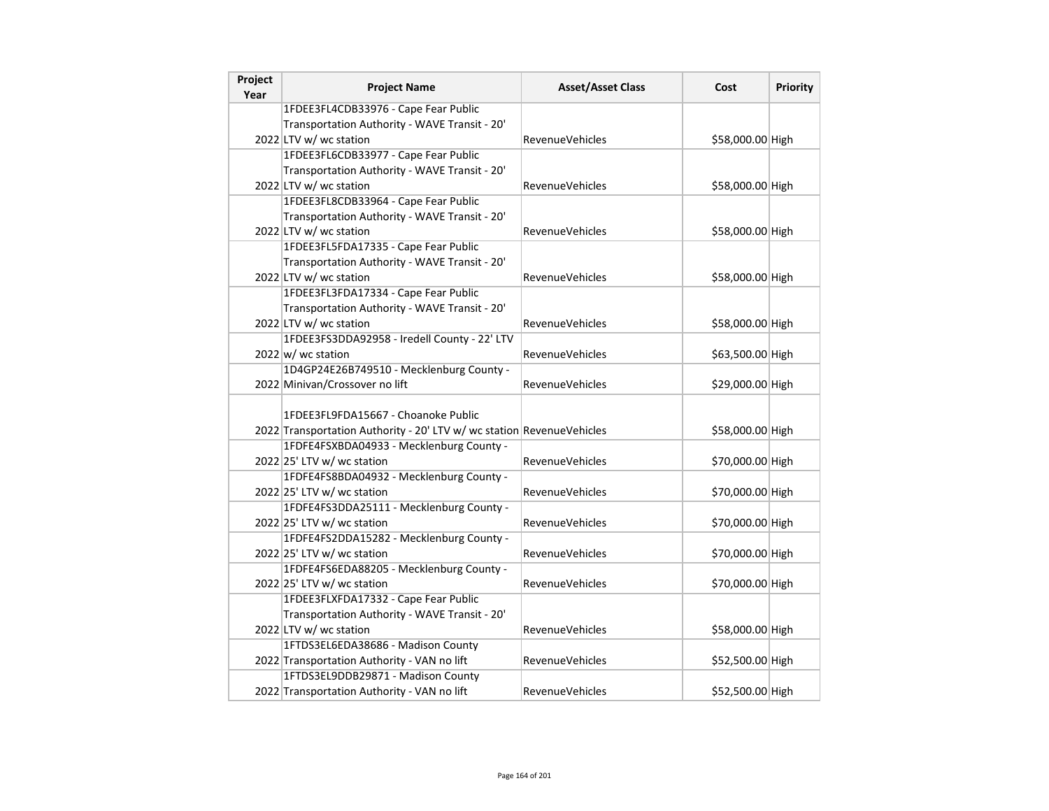| Project<br>Year | <b>Project Name</b>                                                   | <b>Asset/Asset Class</b> | Cost             | <b>Priority</b> |
|-----------------|-----------------------------------------------------------------------|--------------------------|------------------|-----------------|
|                 | 1FDEE3FL4CDB33976 - Cape Fear Public                                  |                          |                  |                 |
|                 | Transportation Authority - WAVE Transit - 20'                         |                          |                  |                 |
|                 | 2022 LTV w/ wc station                                                | <b>RevenueVehicles</b>   | \$58,000.00 High |                 |
|                 | 1FDEE3FL6CDB33977 - Cape Fear Public                                  |                          |                  |                 |
|                 | Transportation Authority - WAVE Transit - 20'                         |                          |                  |                 |
|                 | 2022 LTV w/ wc station                                                | <b>RevenueVehicles</b>   | \$58,000.00 High |                 |
|                 | 1FDEE3FL8CDB33964 - Cape Fear Public                                  |                          |                  |                 |
|                 | Transportation Authority - WAVE Transit - 20'                         |                          |                  |                 |
|                 | 2022 LTV w/ wc station                                                | RevenueVehicles          | \$58,000.00 High |                 |
|                 | 1FDEE3FL5FDA17335 - Cape Fear Public                                  |                          |                  |                 |
|                 | Transportation Authority - WAVE Transit - 20'                         |                          |                  |                 |
|                 | 2022 LTV w/ wc station                                                | <b>RevenueVehicles</b>   | \$58,000.00 High |                 |
|                 | 1FDEE3FL3FDA17334 - Cape Fear Public                                  |                          |                  |                 |
|                 | Transportation Authority - WAVE Transit - 20'                         |                          |                  |                 |
|                 | 2022 LTV w/ wc station                                                | <b>RevenueVehicles</b>   | \$58,000.00 High |                 |
|                 | 1FDEE3FS3DDA92958 - Iredell County - 22' LTV                          |                          |                  |                 |
|                 | $2022 \text{ w}$ wc station                                           | RevenueVehicles          | \$63,500.00 High |                 |
|                 | 1D4GP24E26B749510 - Mecklenburg County -                              |                          |                  |                 |
|                 | 2022 Minivan/Crossover no lift                                        | <b>RevenueVehicles</b>   | \$29,000.00 High |                 |
|                 |                                                                       |                          |                  |                 |
|                 | 1FDEE3FL9FDA15667 - Choanoke Public                                   |                          |                  |                 |
|                 | 2022 Transportation Authority - 20' LTV w/ wc station RevenueVehicles |                          | \$58,000.00 High |                 |
|                 | 1FDFE4FSXBDA04933 - Mecklenburg County -                              |                          |                  |                 |
|                 | 2022 25' LTV w/ wc station                                            | <b>RevenueVehicles</b>   | \$70,000.00 High |                 |
|                 | 1FDFE4FS8BDA04932 - Mecklenburg County -                              |                          |                  |                 |
|                 | 2022 25' LTV w/ wc station                                            | <b>RevenueVehicles</b>   | \$70,000.00 High |                 |
|                 | 1FDFE4FS3DDA25111 - Mecklenburg County -                              |                          |                  |                 |
|                 | 2022 25' LTV w/ wc station                                            | <b>RevenueVehicles</b>   | \$70,000.00 High |                 |
|                 | 1FDFE4FS2DDA15282 - Mecklenburg County -                              |                          |                  |                 |
|                 | 2022 25' LTV w/ wc station                                            | RevenueVehicles          | \$70,000.00 High |                 |
|                 | 1FDFE4FS6EDA88205 - Mecklenburg County -                              |                          |                  |                 |
|                 | 2022 25' LTV w/ wc station                                            | RevenueVehicles          | \$70,000.00 High |                 |
|                 | 1FDEE3FLXFDA17332 - Cape Fear Public                                  |                          |                  |                 |
|                 | Transportation Authority - WAVE Transit - 20'                         |                          |                  |                 |
|                 | 2022 LTV w/ wc station                                                | <b>RevenueVehicles</b>   | \$58,000.00 High |                 |
|                 | 1FTDS3EL6EDA38686 - Madison County                                    |                          |                  |                 |
|                 | 2022 Transportation Authority - VAN no lift                           | RevenueVehicles          | \$52,500.00 High |                 |
|                 | 1FTDS3EL9DDB29871 - Madison County                                    |                          |                  |                 |
|                 | 2022 Transportation Authority - VAN no lift                           | <b>RevenueVehicles</b>   | \$52,500.00 High |                 |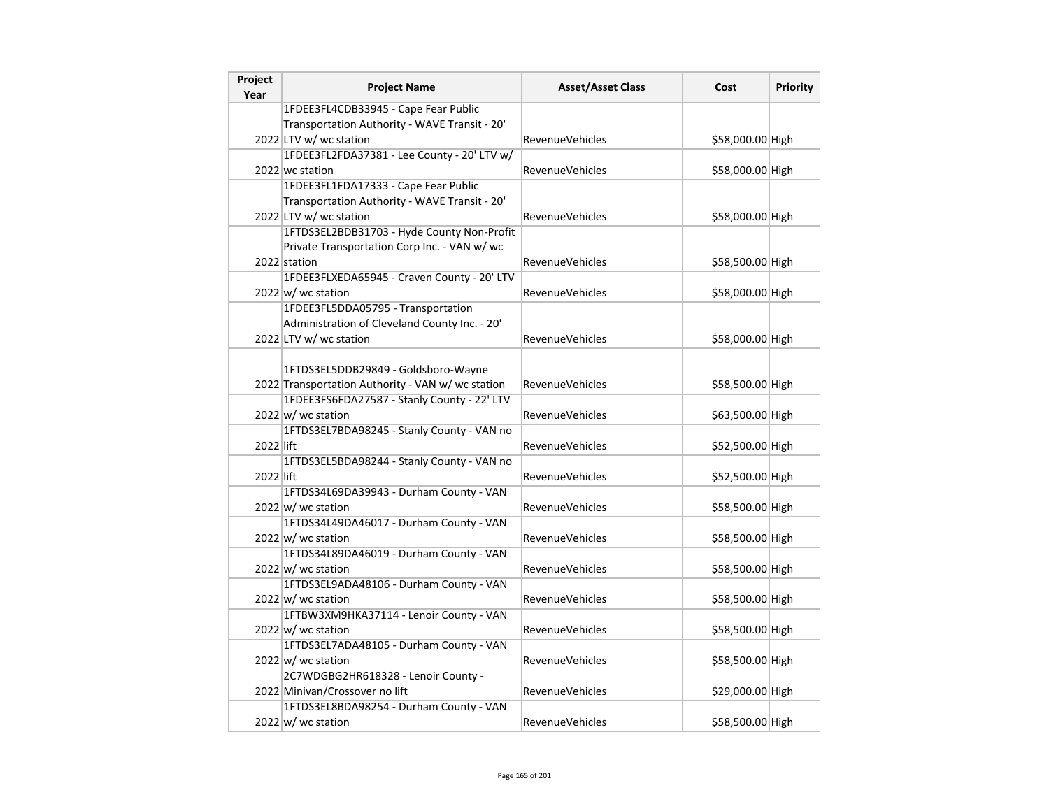| Project<br>Year | <b>Project Name</b>                               | <b>Asset/Asset Class</b> | Cost             | <b>Priority</b> |
|-----------------|---------------------------------------------------|--------------------------|------------------|-----------------|
|                 | 1FDEE3FL4CDB33945 - Cape Fear Public              |                          |                  |                 |
|                 | Transportation Authority - WAVE Transit - 20'     |                          |                  |                 |
|                 | 2022 LTV w/ wc station                            | RevenueVehicles          | \$58,000.00 High |                 |
|                 | 1FDEE3FL2FDA37381 - Lee County - 20' LTV w/       |                          |                  |                 |
|                 | 2022 wc station                                   | <b>RevenueVehicles</b>   | \$58,000.00 High |                 |
|                 | 1FDEE3FL1FDA17333 - Cape Fear Public              |                          |                  |                 |
|                 | Transportation Authority - WAVE Transit - 20'     |                          |                  |                 |
|                 | 2022 LTV w/ wc station                            | <b>RevenueVehicles</b>   | \$58,000.00 High |                 |
|                 | 1FTDS3EL2BDB31703 - Hyde County Non-Profit        |                          |                  |                 |
|                 | Private Transportation Corp Inc. - VAN w/ wc      |                          |                  |                 |
|                 | 2022 station                                      | RevenueVehicles          | \$58,500.00 High |                 |
|                 | 1FDEE3FLXEDA65945 - Craven County - 20' LTV       |                          |                  |                 |
|                 | $2022 \vert w \vert$ wc station                   | <b>RevenueVehicles</b>   | \$58,000.00 High |                 |
|                 | 1FDEE3FL5DDA05795 - Transportation                |                          |                  |                 |
|                 | Administration of Cleveland County Inc. - 20'     |                          |                  |                 |
|                 | 2022 LTV w/ wc station                            | RevenueVehicles          | \$58,000.00 High |                 |
|                 |                                                   |                          |                  |                 |
|                 | 1FTDS3EL5DDB29849 - Goldsboro-Wayne               |                          |                  |                 |
|                 | 2022 Transportation Authority - VAN w/ wc station | RevenueVehicles          | \$58,500.00 High |                 |
|                 | 1FDEE3FS6FDA27587 - Stanly County - 22' LTV       |                          |                  |                 |
|                 | $2022 \vert w \vert$ wc station                   | <b>RevenueVehicles</b>   | \$63,500.00 High |                 |
|                 | 1FTDS3EL7BDA98245 - Stanly County - VAN no        |                          |                  |                 |
| 2022 lift       |                                                   | RevenueVehicles          | \$52,500.00 High |                 |
|                 | 1FTDS3EL5BDA98244 - Stanly County - VAN no        |                          |                  |                 |
| 2022 lift       |                                                   | <b>RevenueVehicles</b>   | \$52,500.00 High |                 |
|                 | 1FTDS34L69DA39943 - Durham County - VAN           |                          |                  |                 |
|                 | $2022 \vert w \vert$ wc station                   | RevenueVehicles          | \$58,500.00 High |                 |
|                 | 1FTDS34L49DA46017 - Durham County - VAN           |                          |                  |                 |
|                 | $2022 \vert w \vert$ wc station                   | RevenueVehicles          | \$58,500.00 High |                 |
|                 | 1FTDS34L89DA46019 - Durham County - VAN           |                          |                  |                 |
|                 | $2022 \vert w \vert$ wc station                   | RevenueVehicles          | \$58,500.00 High |                 |
|                 | 1FTDS3EL9ADA48106 - Durham County - VAN           |                          |                  |                 |
|                 | $2022 \vert w \vert$ wc station                   | <b>RevenueVehicles</b>   | \$58,500.00 High |                 |
|                 | 1FTBW3XM9HKA37114 - Lenoir County - VAN           |                          |                  |                 |
|                 | $2022 \vert w \rangle$ wc station                 | <b>RevenueVehicles</b>   | \$58,500.00 High |                 |
|                 | 1FTDS3EL7ADA48105 - Durham County - VAN           |                          |                  |                 |
|                 | $2022 \text{ w}$ / wc station                     | <b>RevenueVehicles</b>   | \$58,500.00 High |                 |
|                 | 2C7WDGBG2HR618328 - Lenoir County -               |                          |                  |                 |
|                 | 2022 Minivan/Crossover no lift                    | RevenueVehicles          | \$29,000.00 High |                 |
|                 | 1FTDS3EL8BDA98254 - Durham County - VAN           |                          |                  |                 |
|                 | $2022 \vert w \vert$ wc station                   | <b>RevenueVehicles</b>   | \$58,500.00 High |                 |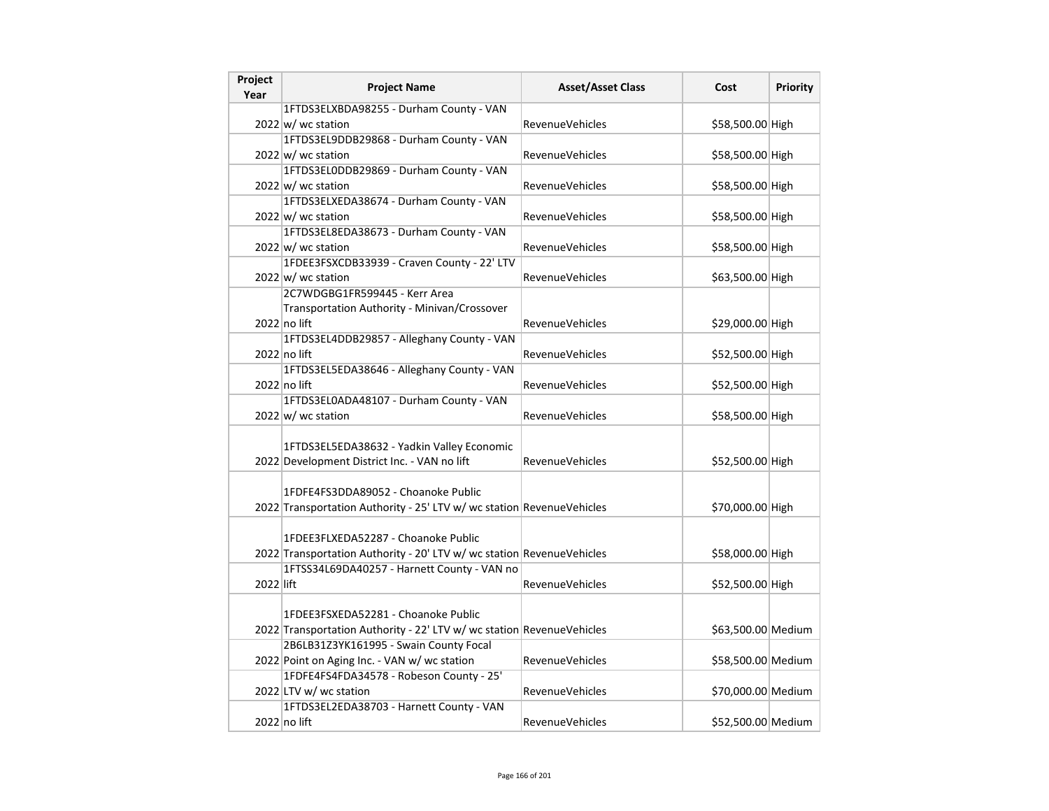| Project<br>Year | <b>Project Name</b>                                                   | <b>Asset/Asset Class</b> | Cost               | <b>Priority</b> |
|-----------------|-----------------------------------------------------------------------|--------------------------|--------------------|-----------------|
|                 | 1FTDS3ELXBDA98255 - Durham County - VAN                               |                          |                    |                 |
|                 | 2022 w/ wc station                                                    | <b>RevenueVehicles</b>   | \$58,500.00 High   |                 |
|                 | 1FTDS3EL9DDB29868 - Durham County - VAN                               |                          |                    |                 |
|                 | $2022 \vert w \vert$ wc station                                       | <b>RevenueVehicles</b>   | \$58,500.00 High   |                 |
|                 | 1FTDS3EL0DDB29869 - Durham County - VAN                               |                          |                    |                 |
|                 | $2022 \text{ w}$ / wc station                                         | <b>RevenueVehicles</b>   | \$58,500.00 High   |                 |
|                 | 1FTDS3ELXEDA38674 - Durham County - VAN                               |                          |                    |                 |
|                 | $2022 \text{ w}$ / wc station                                         | <b>RevenueVehicles</b>   | \$58,500.00 High   |                 |
|                 | 1FTDS3EL8EDA38673 - Durham County - VAN                               |                          |                    |                 |
|                 | $2022$ w/ wc station                                                  | <b>RevenueVehicles</b>   | \$58,500.00 High   |                 |
|                 | 1FDEE3FSXCDB33939 - Craven County - 22' LTV                           |                          |                    |                 |
|                 | $2022 \vert w \vert$ wc station                                       | <b>RevenueVehicles</b>   | \$63,500.00 High   |                 |
|                 | 2C7WDGBG1FR599445 - Kerr Area                                         |                          |                    |                 |
|                 | Transportation Authority - Minivan/Crossover                          |                          |                    |                 |
|                 | $2022$ no lift                                                        | <b>RevenueVehicles</b>   | \$29,000.00 High   |                 |
|                 | 1FTDS3EL4DDB29857 - Alleghany County - VAN                            |                          |                    |                 |
|                 | 2022 no lift                                                          | <b>RevenueVehicles</b>   | \$52,500.00 High   |                 |
|                 | 1FTDS3EL5EDA38646 - Alleghany County - VAN                            |                          |                    |                 |
|                 | 2022 no lift                                                          | <b>RevenueVehicles</b>   | \$52,500.00 High   |                 |
|                 | 1FTDS3EL0ADA48107 - Durham County - VAN                               |                          |                    |                 |
|                 | $2022 \text{ w}$ / wc station                                         | <b>RevenueVehicles</b>   | \$58,500.00 High   |                 |
|                 | 1FTDS3EL5EDA38632 - Yadkin Valley Economic                            |                          |                    |                 |
|                 | 2022 Development District Inc. - VAN no lift                          | <b>RevenueVehicles</b>   | \$52,500.00 High   |                 |
|                 |                                                                       |                          |                    |                 |
|                 | 1FDFE4FS3DDA89052 - Choanoke Public                                   |                          |                    |                 |
|                 | 2022 Transportation Authority - 25' LTV w/ wc station RevenueVehicles |                          | \$70,000.00 High   |                 |
|                 |                                                                       |                          |                    |                 |
|                 | 1FDEE3FLXEDA52287 - Choanoke Public                                   |                          |                    |                 |
|                 | 2022 Transportation Authority - 20' LTV w/ wc station RevenueVehicles |                          | \$58,000.00 High   |                 |
| 2022 lift       | 1FTSS34L69DA40257 - Harnett County - VAN no                           |                          |                    |                 |
|                 |                                                                       | <b>RevenueVehicles</b>   | \$52,500.00 High   |                 |
|                 | 1FDEE3FSXEDA52281 - Choanoke Public                                   |                          |                    |                 |
|                 | 2022 Transportation Authority - 22' LTV w/ wc station RevenueVehicles |                          | \$63,500.00 Medium |                 |
|                 | 2B6LB31Z3YK161995 - Swain County Focal                                |                          |                    |                 |
|                 | 2022 Point on Aging Inc. - VAN w/ wc station                          | <b>RevenueVehicles</b>   | \$58,500.00 Medium |                 |
|                 | 1FDFE4FS4FDA34578 - Robeson County - 25'                              |                          |                    |                 |
|                 | 2022 LTV w/ wc station                                                | <b>RevenueVehicles</b>   | \$70,000.00 Medium |                 |
|                 | 1FTDS3EL2EDA38703 - Harnett County - VAN                              |                          |                    |                 |
|                 | 2022 no lift                                                          | <b>RevenueVehicles</b>   | \$52,500.00 Medium |                 |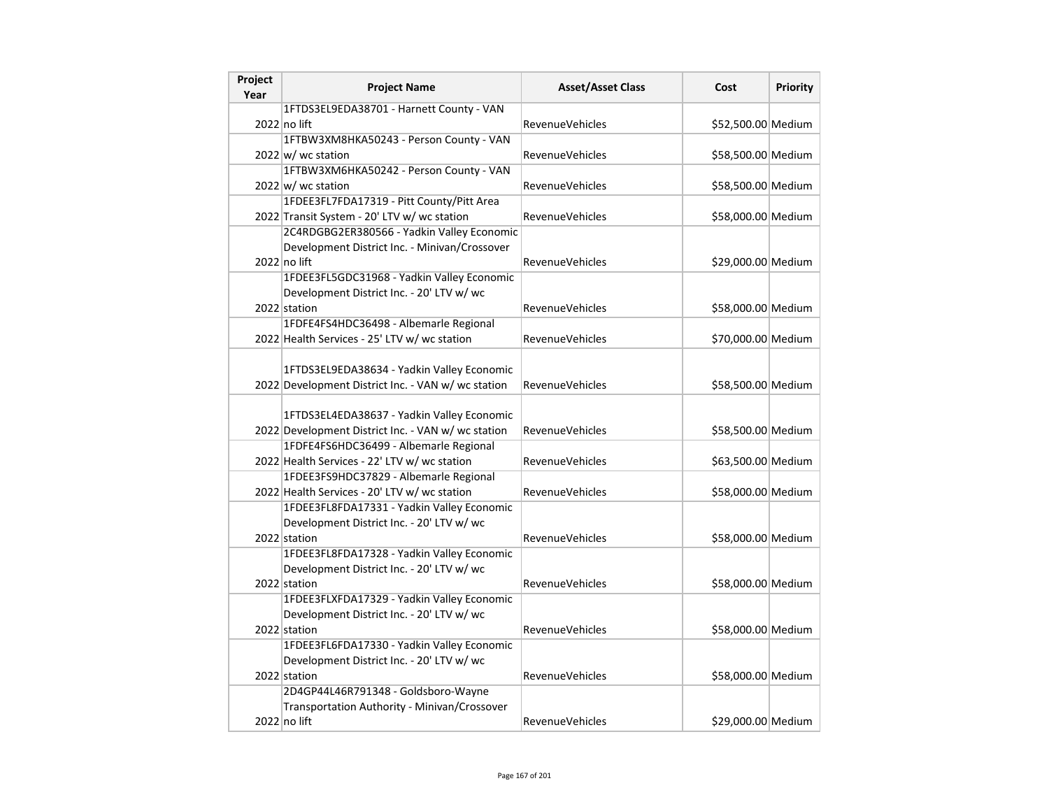| Project<br>Year | <b>Project Name</b>                                | <b>Asset/Asset Class</b> | Cost               | Priority |
|-----------------|----------------------------------------------------|--------------------------|--------------------|----------|
|                 | 1FTDS3EL9EDA38701 - Harnett County - VAN           |                          |                    |          |
|                 | 2022 no lift                                       | RevenueVehicles          | \$52,500.00 Medium |          |
|                 | 1FTBW3XM8HKA50243 - Person County - VAN            |                          |                    |          |
|                 | $2022 \vert w \vert$ wc station                    | RevenueVehicles          | \$58,500.00 Medium |          |
|                 | 1FTBW3XM6HKA50242 - Person County - VAN            |                          |                    |          |
|                 | 2022 w/ wc station                                 | <b>RevenueVehicles</b>   | \$58,500.00 Medium |          |
|                 | 1FDEE3FL7FDA17319 - Pitt County/Pitt Area          |                          |                    |          |
|                 | 2022 Transit System - 20' LTV w/ wc station        | RevenueVehicles          | \$58,000.00 Medium |          |
|                 | 2C4RDGBG2ER380566 - Yadkin Valley Economic         |                          |                    |          |
|                 | Development District Inc. - Minivan/Crossover      |                          |                    |          |
|                 | 2022 no lift                                       | <b>RevenueVehicles</b>   | \$29,000.00 Medium |          |
|                 | 1FDEE3FL5GDC31968 - Yadkin Valley Economic         |                          |                    |          |
|                 | Development District Inc. - 20' LTV w/ wc          |                          |                    |          |
|                 | 2022 station                                       | <b>RevenueVehicles</b>   | \$58,000.00 Medium |          |
|                 | 1FDFE4FS4HDC36498 - Albemarle Regional             |                          |                    |          |
|                 | 2022 Health Services - 25' LTV w/ wc station       | <b>RevenueVehicles</b>   | \$70,000.00 Medium |          |
|                 |                                                    |                          |                    |          |
|                 | 1FTDS3EL9EDA38634 - Yadkin Valley Economic         |                          |                    |          |
|                 | 2022 Development District Inc. - VAN w/ wc station | <b>RevenueVehicles</b>   | \$58,500.00 Medium |          |
|                 |                                                    |                          |                    |          |
|                 | 1FTDS3EL4EDA38637 - Yadkin Valley Economic         |                          |                    |          |
|                 | 2022 Development District Inc. - VAN w/ wc station | <b>RevenueVehicles</b>   | \$58,500.00 Medium |          |
|                 | 1FDFE4FS6HDC36499 - Albemarle Regional             |                          |                    |          |
|                 | 2022 Health Services - 22' LTV w/ wc station       | <b>RevenueVehicles</b>   | \$63,500.00 Medium |          |
|                 | 1FDEE3FS9HDC37829 - Albemarle Regional             |                          |                    |          |
|                 | 2022 Health Services - 20' LTV w/ wc station       | <b>RevenueVehicles</b>   | \$58,000.00 Medium |          |
|                 | 1FDEE3FL8FDA17331 - Yadkin Valley Economic         |                          |                    |          |
|                 | Development District Inc. - 20' LTV w/ wc          |                          |                    |          |
|                 | 2022 station                                       | <b>RevenueVehicles</b>   | \$58,000.00 Medium |          |
|                 | 1FDEE3FL8FDA17328 - Yadkin Valley Economic         |                          |                    |          |
|                 | Development District Inc. - 20' LTV w/ wc          |                          |                    |          |
|                 | 2022 station                                       | RevenueVehicles          | \$58,000.00 Medium |          |
|                 | 1FDEE3FLXFDA17329 - Yadkin Valley Economic         |                          |                    |          |
|                 | Development District Inc. - 20' LTV w/ wc          |                          |                    |          |
|                 | 2022 station                                       | RevenueVehicles          | \$58,000.00 Medium |          |
|                 | 1FDEE3FL6FDA17330 - Yadkin Valley Economic         |                          |                    |          |
|                 | Development District Inc. - 20' LTV w/ wc          |                          |                    |          |
|                 | 2022 station                                       | RevenueVehicles          | \$58,000.00 Medium |          |
|                 | 2D4GP44L46R791348 - Goldsboro-Wayne                |                          |                    |          |
|                 | Transportation Authority - Minivan/Crossover       |                          |                    |          |
|                 | 2022 no lift                                       | <b>RevenueVehicles</b>   | \$29,000.00 Medium |          |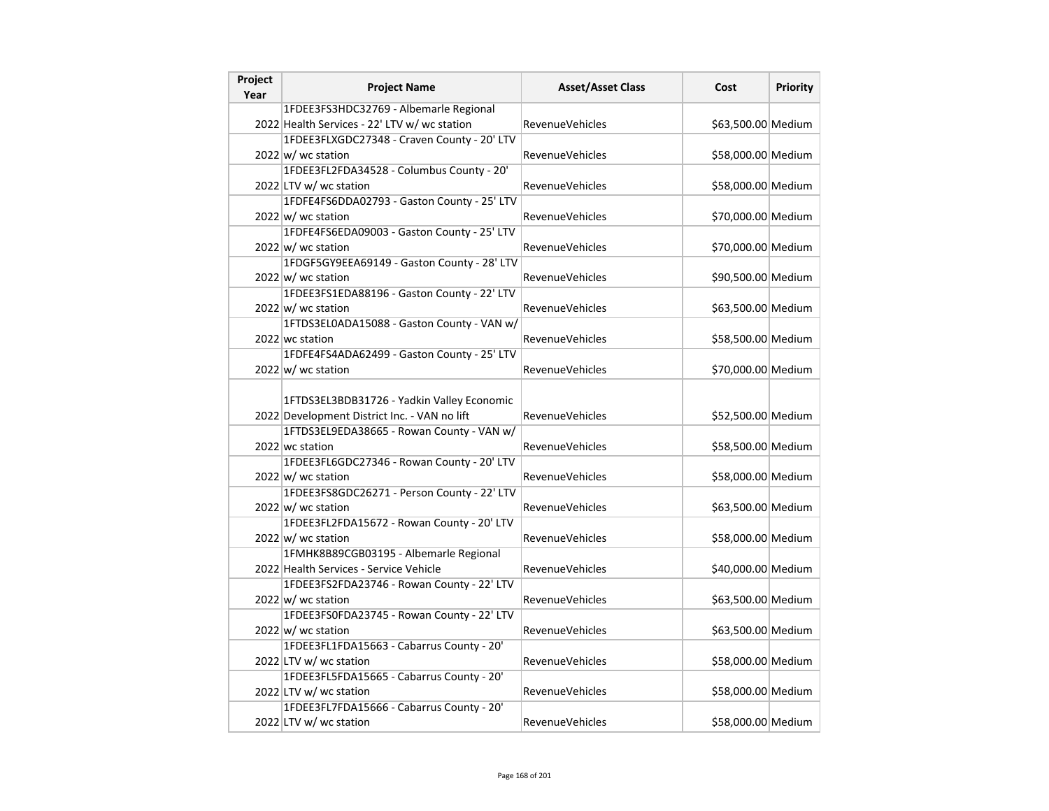| Project<br>Year | <b>Project Name</b>                                                                        | <b>Asset/Asset Class</b> | Cost               | <b>Priority</b> |
|-----------------|--------------------------------------------------------------------------------------------|--------------------------|--------------------|-----------------|
|                 | 1FDEE3FS3HDC32769 - Albemarle Regional                                                     |                          |                    |                 |
|                 | 2022 Health Services - 22' LTV w/ wc station                                               | <b>RevenueVehicles</b>   | \$63,500.00 Medium |                 |
|                 | 1FDEE3FLXGDC27348 - Craven County - 20' LTV                                                |                          |                    |                 |
|                 | $2022 \vert w \vert$ wc station                                                            | RevenueVehicles          | \$58,000.00 Medium |                 |
|                 | 1FDEE3FL2FDA34528 - Columbus County - 20'                                                  |                          |                    |                 |
|                 | 2022 LTV w/ wc station                                                                     | <b>RevenueVehicles</b>   | \$58,000.00 Medium |                 |
|                 | 1FDFE4FS6DDA02793 - Gaston County - 25' LTV                                                |                          |                    |                 |
|                 | $2022 \vert w \vert$ wc station                                                            | RevenueVehicles          | \$70,000.00 Medium |                 |
|                 | 1FDFE4FS6EDA09003 - Gaston County - 25' LTV                                                |                          |                    |                 |
|                 | $2022 \vert w \vert$ wc station                                                            | <b>RevenueVehicles</b>   | \$70,000.00 Medium |                 |
|                 | 1FDGF5GY9EEA69149 - Gaston County - 28' LTV                                                |                          |                    |                 |
|                 | 2022 w/ wc station                                                                         | <b>RevenueVehicles</b>   | \$90,500.00 Medium |                 |
|                 | 1FDEE3FS1EDA88196 - Gaston County - 22' LTV                                                |                          |                    |                 |
|                 | $2022 \vert w \vert$ wc station                                                            | <b>RevenueVehicles</b>   | \$63,500.00 Medium |                 |
|                 | 1FTDS3EL0ADA15088 - Gaston County - VAN w/                                                 |                          |                    |                 |
|                 | 2022 wc station                                                                            | <b>RevenueVehicles</b>   | \$58,500.00 Medium |                 |
|                 | 1FDFE4FS4ADA62499 - Gaston County - 25' LTV                                                |                          |                    |                 |
|                 | $2022 \vert w \vert$ wc station                                                            | <b>RevenueVehicles</b>   | \$70,000.00 Medium |                 |
|                 | 1FTDS3EL3BDB31726 - Yadkin Valley Economic<br>2022 Development District Inc. - VAN no lift | <b>RevenueVehicles</b>   | \$52,500.00 Medium |                 |
|                 | 1FTDS3EL9EDA38665 - Rowan County - VAN w/                                                  |                          |                    |                 |
|                 | 2022 wc station                                                                            | <b>RevenueVehicles</b>   | \$58,500.00 Medium |                 |
|                 | 1FDEE3FL6GDC27346 - Rowan County - 20' LTV                                                 |                          |                    |                 |
|                 | $2022 \vert w \vert$ wc station                                                            | RevenueVehicles          | \$58,000.00 Medium |                 |
|                 | 1FDEE3FS8GDC26271 - Person County - 22' LTV<br>$2022 \vert w \vert$ wc station             | <b>RevenueVehicles</b>   | \$63,500.00 Medium |                 |
|                 | 1FDEE3FL2FDA15672 - Rowan County - 20' LTV                                                 |                          |                    |                 |
|                 | $2022 \vert w \vert$ wc station                                                            | <b>RevenueVehicles</b>   | \$58,000.00 Medium |                 |
|                 | 1FMHK8B89CGB03195 - Albemarle Regional                                                     |                          |                    |                 |
|                 | 2022 Health Services - Service Vehicle                                                     | <b>RevenueVehicles</b>   | \$40,000.00 Medium |                 |
|                 | 1FDEE3FS2FDA23746 - Rowan County - 22' LTV                                                 |                          |                    |                 |
|                 | $2022$ w/ wc station                                                                       | <b>RevenueVehicles</b>   | \$63,500.00 Medium |                 |
|                 | 1FDEE3FS0FDA23745 - Rowan County - 22' LTV                                                 |                          |                    |                 |
|                 | $2022 \vert w \vert$ wc station                                                            | RevenueVehicles          | \$63,500.00 Medium |                 |
|                 | 1FDEE3FL1FDA15663 - Cabarrus County - 20'                                                  |                          |                    |                 |
|                 | 2022 LTV w/ wc station                                                                     | <b>RevenueVehicles</b>   | \$58,000.00 Medium |                 |
|                 | 1FDEE3FL5FDA15665 - Cabarrus County - 20'                                                  |                          |                    |                 |
|                 | 2022 LTV w/ wc station                                                                     | <b>RevenueVehicles</b>   | \$58,000.00 Medium |                 |
|                 | 1FDEE3FL7FDA15666 - Cabarrus County - 20'                                                  |                          |                    |                 |
|                 | 2022 LTV w/ wc station                                                                     | <b>RevenueVehicles</b>   | \$58,000.00 Medium |                 |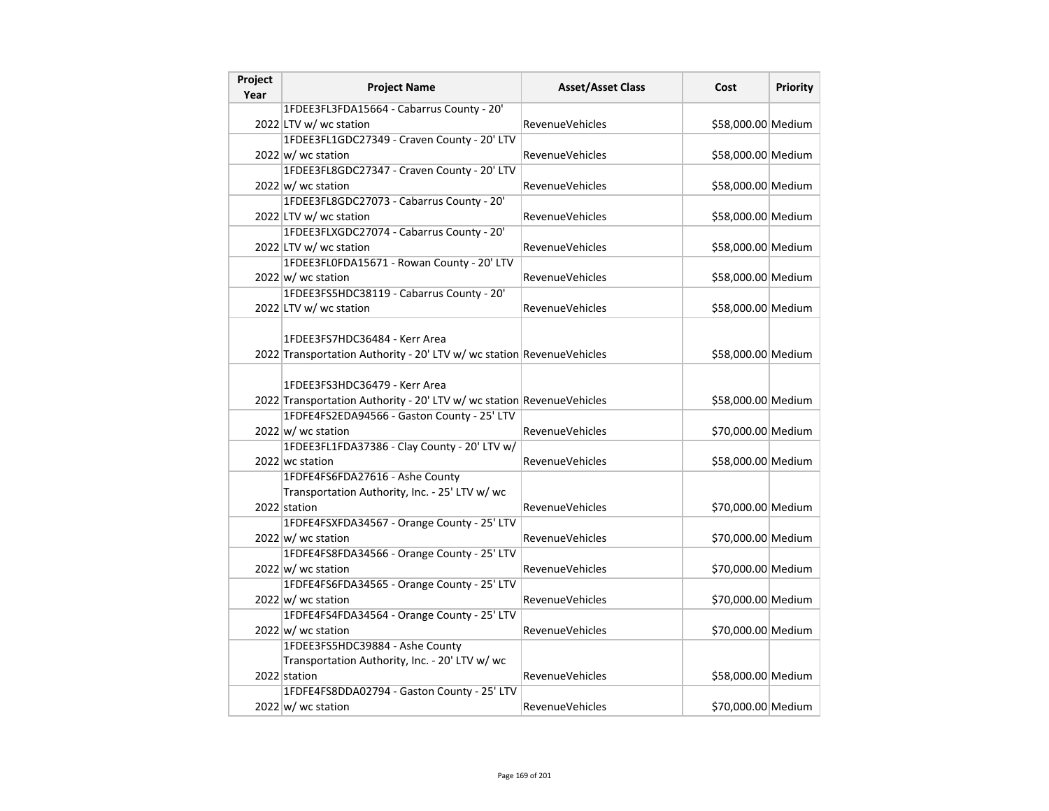| Project<br>Year | <b>Project Name</b>                                                                                    | <b>Asset/Asset Class</b> | Cost               | Priority |
|-----------------|--------------------------------------------------------------------------------------------------------|--------------------------|--------------------|----------|
|                 | 1FDEE3FL3FDA15664 - Cabarrus County - 20'                                                              |                          |                    |          |
|                 | 2022 LTV w/ wc station                                                                                 | <b>RevenueVehicles</b>   | \$58,000.00 Medium |          |
|                 | 1FDEE3FL1GDC27349 - Craven County - 20' LTV                                                            |                          |                    |          |
|                 | $2022 \text{ w}$ wc station                                                                            | RevenueVehicles          | \$58,000.00 Medium |          |
|                 | 1FDEE3FL8GDC27347 - Craven County - 20' LTV                                                            |                          |                    |          |
|                 | $2022 \vert w \vert$ wc station                                                                        | <b>RevenueVehicles</b>   | \$58,000.00 Medium |          |
|                 | 1FDEE3FL8GDC27073 - Cabarrus County - 20'                                                              |                          |                    |          |
|                 | 2022 LTV w/ wc station                                                                                 | Revenue Vehicles         | \$58,000.00 Medium |          |
|                 | 1FDEE3FLXGDC27074 - Cabarrus County - 20'                                                              |                          |                    |          |
|                 | 2022 LTV w/ wc station                                                                                 | <b>RevenueVehicles</b>   | \$58,000.00 Medium |          |
|                 | 1FDEE3FL0FDA15671 - Rowan County - 20' LTV                                                             |                          |                    |          |
|                 | $2022 \vert w \vert$ wc station                                                                        | RevenueVehicles          | \$58,000.00 Medium |          |
|                 | 1FDEE3FS5HDC38119 - Cabarrus County - 20'                                                              |                          |                    |          |
|                 | 2022 LTV w/ wc station                                                                                 | <b>RevenueVehicles</b>   | \$58,000.00 Medium |          |
|                 | 1FDEE3FS7HDC36484 - Kerr Area<br>2022 Transportation Authority - 20' LTV w/ wc station RevenueVehicles |                          | \$58,000.00 Medium |          |
|                 |                                                                                                        |                          |                    |          |
|                 | 1FDEE3FS3HDC36479 - Kerr Area<br>2022 Transportation Authority - 20' LTV w/ wc station RevenueVehicles |                          | \$58,000.00 Medium |          |
|                 | 1FDFE4FS2EDA94566 - Gaston County - 25' LTV                                                            |                          |                    |          |
|                 | $2022 \vert w \vert$ wc station                                                                        | <b>RevenueVehicles</b>   | \$70,000.00 Medium |          |
|                 | 1FDEE3FL1FDA37386 - Clay County - 20' LTV w/                                                           |                          |                    |          |
|                 | 2022 wc station                                                                                        | <b>RevenueVehicles</b>   | \$58,000.00 Medium |          |
|                 | 1FDFE4FS6FDA27616 - Ashe County                                                                        |                          |                    |          |
|                 | Transportation Authority, Inc. - 25' LTV w/ wc                                                         |                          |                    |          |
|                 | 2022 station                                                                                           | <b>RevenueVehicles</b>   | \$70,000.00 Medium |          |
|                 | 1FDFE4FSXFDA34567 - Orange County - 25' LTV                                                            |                          |                    |          |
|                 | 2022 w/ wc station                                                                                     | RevenueVehicles          | \$70,000.00 Medium |          |
|                 | 1FDFE4FS8FDA34566 - Orange County - 25' LTV                                                            |                          |                    |          |
|                 | $2022 \vert w \vert$ wc station                                                                        | RevenueVehicles          | \$70,000.00 Medium |          |
|                 | 1FDFE4FS6FDA34565 - Orange County - 25' LTV                                                            |                          |                    |          |
|                 | $2022 \vert w \vert$ wc station                                                                        | <b>RevenueVehicles</b>   | \$70,000.00 Medium |          |
|                 | 1FDFE4FS4FDA34564 - Orange County - 25' LTV                                                            |                          |                    |          |
|                 | $2022 \vert w \vert$ wc station                                                                        | <b>RevenueVehicles</b>   | \$70,000.00 Medium |          |
|                 | 1FDEE3FS5HDC39884 - Ashe County                                                                        |                          |                    |          |
|                 | Transportation Authority, Inc. - 20' LTV w/ wc                                                         |                          |                    |          |
|                 | 2022 station                                                                                           | <b>RevenueVehicles</b>   | \$58,000.00 Medium |          |
|                 | 1FDFE4FS8DDA02794 - Gaston County - 25' LTV                                                            |                          |                    |          |
|                 | $2022 \vert w \vert$ wc station                                                                        | <b>RevenueVehicles</b>   | \$70,000.00 Medium |          |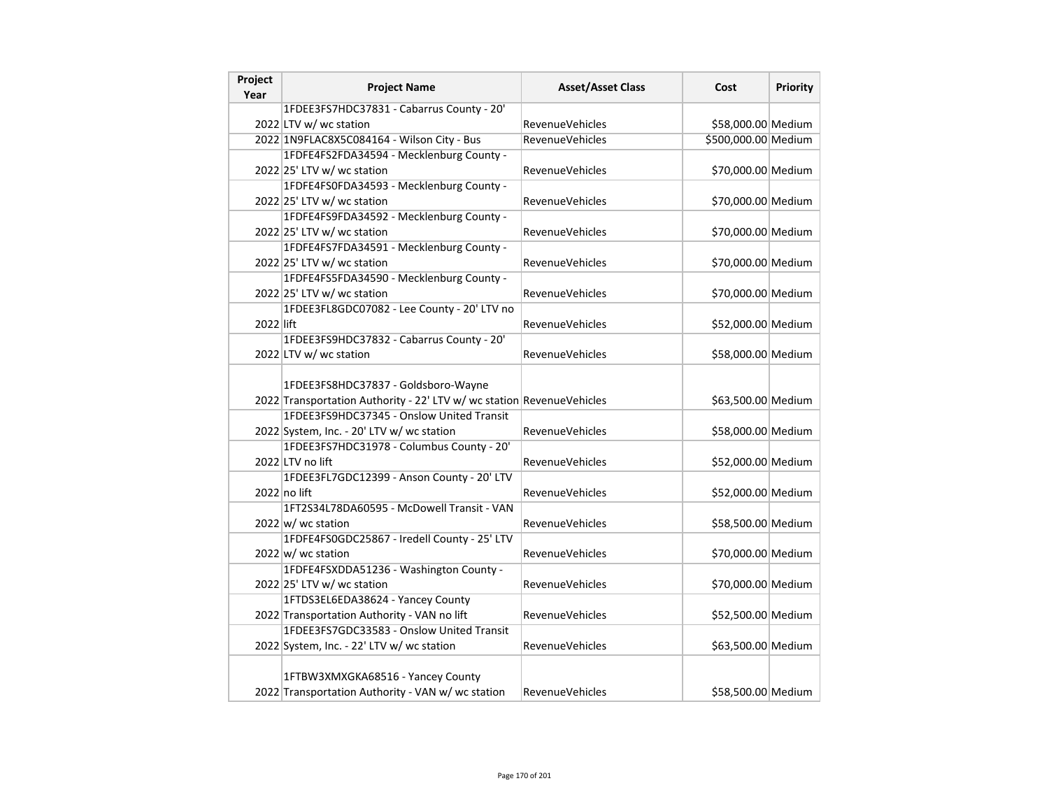| Project<br>Year | <b>Project Name</b>                                                                                                | <b>Asset/Asset Class</b> | Cost                | <b>Priority</b> |
|-----------------|--------------------------------------------------------------------------------------------------------------------|--------------------------|---------------------|-----------------|
|                 | 1FDEE3FS7HDC37831 - Cabarrus County - 20'                                                                          |                          |                     |                 |
|                 | 2022 LTV w/ wc station                                                                                             | RevenueVehicles          | \$58,000.00 Medium  |                 |
|                 | 2022 1N9FLAC8X5C084164 - Wilson City - Bus                                                                         | <b>RevenueVehicles</b>   | \$500,000.00 Medium |                 |
|                 | 1FDFE4FS2FDA34594 - Mecklenburg County -                                                                           |                          |                     |                 |
|                 | 2022 25' LTV w/ wc station                                                                                         | RevenueVehicles          | \$70,000.00 Medium  |                 |
|                 | 1FDFE4FS0FDA34593 - Mecklenburg County -                                                                           |                          |                     |                 |
|                 | 2022 25' LTV w/ wc station                                                                                         | RevenueVehicles          | \$70,000.00 Medium  |                 |
|                 | 1FDFE4FS9FDA34592 - Mecklenburg County -                                                                           |                          |                     |                 |
|                 | 2022 25' LTV w/ wc station                                                                                         | RevenueVehicles          | \$70,000.00 Medium  |                 |
|                 | 1FDFE4FS7FDA34591 - Mecklenburg County -                                                                           |                          |                     |                 |
|                 | 2022 25' LTV w/ wc station                                                                                         | <b>RevenueVehicles</b>   | \$70,000.00 Medium  |                 |
|                 | 1FDFE4FS5FDA34590 - Mecklenburg County -                                                                           |                          |                     |                 |
|                 | 2022 25' LTV w/ wc station                                                                                         | <b>RevenueVehicles</b>   | \$70,000.00 Medium  |                 |
|                 | 1FDEE3FL8GDC07082 - Lee County - 20' LTV no                                                                        |                          |                     |                 |
| 2022 lift       |                                                                                                                    | <b>RevenueVehicles</b>   | \$52,000.00 Medium  |                 |
|                 | 1FDEE3FS9HDC37832 - Cabarrus County - 20'                                                                          |                          |                     |                 |
|                 | 2022 LTV w/ wc station                                                                                             | RevenueVehicles          | \$58,000.00 Medium  |                 |
|                 | 1FDEE3FS8HDC37837 - Goldsboro-Wayne                                                                                |                          |                     |                 |
|                 | 2022 Transportation Authority - 22' LTV w/ wc station RevenueVehicles<br>1FDEE3FS9HDC37345 - Onslow United Transit |                          | \$63,500.00 Medium  |                 |
|                 | 2022 System, Inc. - 20' LTV w/ wc station                                                                          | RevenueVehicles          | \$58,000.00 Medium  |                 |
|                 | 1FDEE3FS7HDC31978 - Columbus County - 20'                                                                          |                          |                     |                 |
|                 | 2022 LTV no lift                                                                                                   | <b>RevenueVehicles</b>   | \$52,000.00 Medium  |                 |
|                 | 1FDEE3FL7GDC12399 - Anson County - 20' LTV                                                                         |                          |                     |                 |
|                 | 2022 no lift                                                                                                       | RevenueVehicles          | \$52,000.00 Medium  |                 |
|                 | 1FT2S34L78DA60595 - McDowell Transit - VAN                                                                         |                          |                     |                 |
|                 | $2022 \text{ w}$ / wc station                                                                                      | <b>RevenueVehicles</b>   | \$58,500.00 Medium  |                 |
|                 | 1FDFE4FS0GDC25867 - Iredell County - 25' LTV                                                                       |                          |                     |                 |
|                 | 2022 w/ wc station                                                                                                 | <b>RevenueVehicles</b>   | \$70,000.00 Medium  |                 |
|                 | 1FDFE4FSXDDA51236 - Washington County -                                                                            |                          |                     |                 |
|                 | 2022 25' LTV w/ wc station                                                                                         | <b>RevenueVehicles</b>   | \$70,000.00 Medium  |                 |
|                 | 1FTDS3EL6EDA38624 - Yancey County                                                                                  |                          |                     |                 |
|                 | 2022 Transportation Authority - VAN no lift                                                                        | <b>RevenueVehicles</b>   | \$52,500.00 Medium  |                 |
|                 | 1FDEE3FS7GDC33583 - Onslow United Transit                                                                          |                          |                     |                 |
|                 | 2022 System, Inc. - 22' LTV w/ wc station                                                                          | <b>RevenueVehicles</b>   | \$63,500.00 Medium  |                 |
|                 | 1FTBW3XMXGKA68516 - Yancey County<br>2022 Transportation Authority - VAN w/ wc station                             | RevenueVehicles          | \$58,500.00 Medium  |                 |
|                 |                                                                                                                    |                          |                     |                 |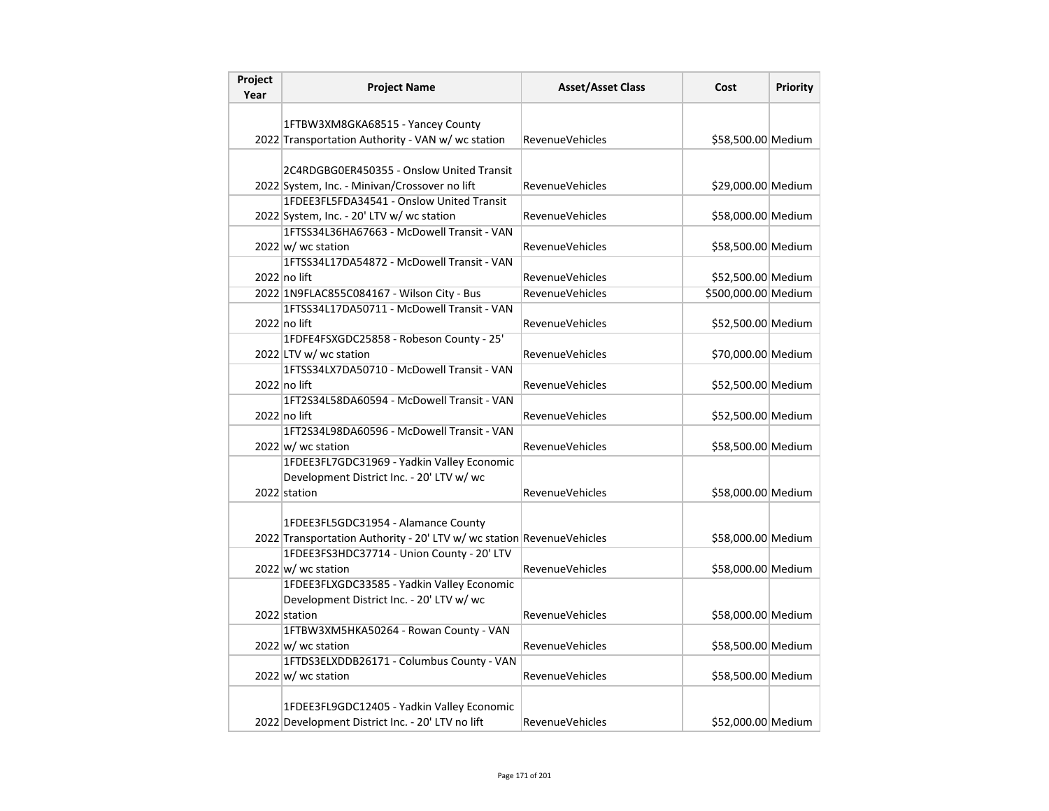| Project<br>Year | <b>Project Name</b>                                                                                          | <b>Asset/Asset Class</b> | Cost                | <b>Priority</b> |
|-----------------|--------------------------------------------------------------------------------------------------------------|--------------------------|---------------------|-----------------|
|                 |                                                                                                              |                          |                     |                 |
|                 | 1FTBW3XM8GKA68515 - Yancey County                                                                            |                          |                     |                 |
|                 | 2022 Transportation Authority - VAN w/ wc station                                                            | RevenueVehicles          | \$58,500.00 Medium  |                 |
|                 |                                                                                                              |                          |                     |                 |
|                 | 2C4RDGBG0ER450355 - Onslow United Transit                                                                    |                          |                     |                 |
|                 | 2022 System, Inc. - Minivan/Crossover no lift<br>1FDEE3FL5FDA34541 - Onslow United Transit                   | RevenueVehicles          | \$29,000.00 Medium  |                 |
|                 | 2022 System, Inc. - 20' LTV w/ wc station                                                                    |                          | \$58,000.00 Medium  |                 |
|                 | 1FTSS34L36HA67663 - McDowell Transit - VAN                                                                   | <b>RevenueVehicles</b>   |                     |                 |
|                 | $2022 \text{ w}$ / wc station                                                                                | <b>RevenueVehicles</b>   | \$58,500.00 Medium  |                 |
|                 | 1FTSS34L17DA54872 - McDowell Transit - VAN                                                                   |                          |                     |                 |
|                 | 2022 no lift                                                                                                 | <b>RevenueVehicles</b>   | \$52,500.00 Medium  |                 |
|                 | 2022 1N9FLAC855C084167 - Wilson City - Bus                                                                   | <b>RevenueVehicles</b>   | \$500,000.00 Medium |                 |
|                 | 1FTSS34L17DA50711 - McDowell Transit - VAN                                                                   |                          |                     |                 |
|                 | $2022$ no lift                                                                                               | <b>RevenueVehicles</b>   | \$52,500.00 Medium  |                 |
|                 | 1FDFE4FSXGDC25858 - Robeson County - 25'                                                                     |                          |                     |                 |
|                 | 2022 LTV w/ wc station                                                                                       | RevenueVehicles          | \$70,000.00 Medium  |                 |
|                 | 1FTSS34LX7DA50710 - McDowell Transit - VAN                                                                   |                          |                     |                 |
|                 | 2022 no lift                                                                                                 | <b>RevenueVehicles</b>   | \$52,500.00 Medium  |                 |
|                 | 1FT2S34L58DA60594 - McDowell Transit - VAN                                                                   |                          |                     |                 |
|                 | 2022 no lift                                                                                                 | RevenueVehicles          | \$52,500.00 Medium  |                 |
|                 | 1FT2S34L98DA60596 - McDowell Transit - VAN                                                                   |                          |                     |                 |
|                 | $2022 \vert w \vert$ wc station                                                                              | RevenueVehicles          | \$58,500.00 Medium  |                 |
|                 | 1FDEE3FL7GDC31969 - Yadkin Valley Economic                                                                   |                          |                     |                 |
|                 | Development District Inc. - 20' LTV w/ wc                                                                    |                          |                     |                 |
|                 | 2022 station                                                                                                 | RevenueVehicles          | \$58,000.00 Medium  |                 |
|                 |                                                                                                              |                          |                     |                 |
|                 | 1FDEE3FL5GDC31954 - Alamance County<br>2022 Transportation Authority - 20' LTV w/ wc station RevenueVehicles |                          | \$58,000.00 Medium  |                 |
|                 | 1FDEE3FS3HDC37714 - Union County - 20' LTV                                                                   |                          |                     |                 |
|                 | 2022 w/ wc station                                                                                           | <b>RevenueVehicles</b>   | \$58,000.00 Medium  |                 |
|                 | 1FDEE3FLXGDC33585 - Yadkin Valley Economic                                                                   |                          |                     |                 |
|                 | Development District Inc. - 20' LTV w/ wc                                                                    |                          |                     |                 |
|                 | 2022 station                                                                                                 | <b>RevenueVehicles</b>   | \$58,000.00 Medium  |                 |
|                 | 1FTBW3XM5HKA50264 - Rowan County - VAN                                                                       |                          |                     |                 |
|                 | $2022 \vert w \vert$ wc station                                                                              | <b>RevenueVehicles</b>   | \$58,500.00 Medium  |                 |
|                 | 1FTDS3ELXDDB26171 - Columbus County - VAN                                                                    |                          |                     |                 |
|                 | 2022 w/ wc station                                                                                           | <b>RevenueVehicles</b>   | \$58,500.00 Medium  |                 |
|                 |                                                                                                              |                          |                     |                 |
|                 | 1FDEE3FL9GDC12405 - Yadkin Valley Economic                                                                   |                          |                     |                 |
|                 | 2022 Development District Inc. - 20' LTV no lift                                                             | <b>RevenueVehicles</b>   | \$52,000.00 Medium  |                 |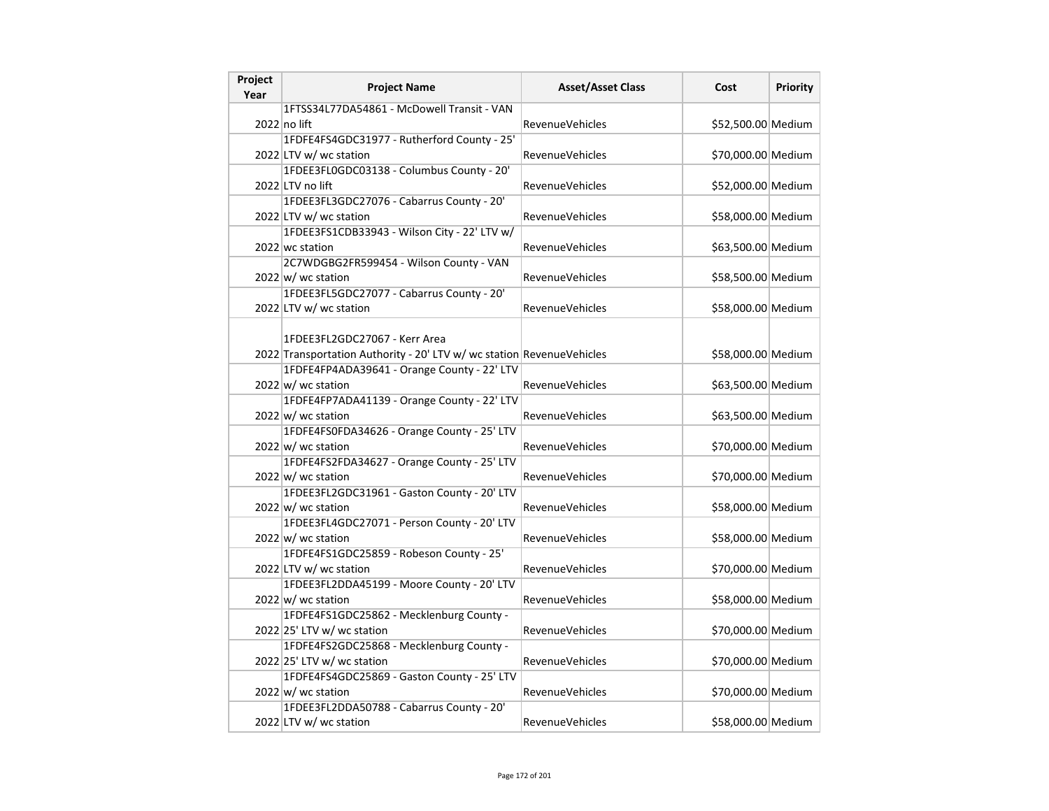| Project | <b>Project Name</b>                                                   | <b>Asset/Asset Class</b> | Cost               | <b>Priority</b> |
|---------|-----------------------------------------------------------------------|--------------------------|--------------------|-----------------|
| Year    | 1FTSS34L77DA54861 - McDowell Transit - VAN                            |                          |                    |                 |
|         | 2022 no lift                                                          | <b>RevenueVehicles</b>   | \$52,500.00 Medium |                 |
|         | 1FDFE4FS4GDC31977 - Rutherford County - 25'                           |                          |                    |                 |
|         | 2022 LTV w/ wc station                                                | <b>RevenueVehicles</b>   | \$70,000.00 Medium |                 |
|         | 1FDEE3FL0GDC03138 - Columbus County - 20'                             |                          |                    |                 |
|         | 2022 LTV no lift                                                      | <b>RevenueVehicles</b>   | \$52,000.00 Medium |                 |
|         | 1FDEE3FL3GDC27076 - Cabarrus County - 20'                             |                          |                    |                 |
|         | 2022 LTV w/ wc station                                                | <b>RevenueVehicles</b>   | \$58,000.00 Medium |                 |
|         | 1FDEE3FS1CDB33943 - Wilson City - 22' LTV w/                          |                          |                    |                 |
|         | 2022 wc station                                                       | <b>RevenueVehicles</b>   | \$63,500.00 Medium |                 |
|         | 2C7WDGBG2FR599454 - Wilson County - VAN                               |                          |                    |                 |
|         | 2022 w/ wc station                                                    | <b>RevenueVehicles</b>   | \$58,500.00 Medium |                 |
|         | 1FDEE3FL5GDC27077 - Cabarrus County - 20'                             |                          |                    |                 |
|         | 2022 LTV w/ wc station                                                | <b>RevenueVehicles</b>   | \$58,000.00 Medium |                 |
|         |                                                                       |                          |                    |                 |
|         | 1FDEE3FL2GDC27067 - Kerr Area                                         |                          |                    |                 |
|         | 2022 Transportation Authority - 20' LTV w/ wc station RevenueVehicles |                          | \$58,000.00 Medium |                 |
|         | 1FDFE4FP4ADA39641 - Orange County - 22' LTV                           |                          |                    |                 |
|         | $2022 \vert w \vert$ wc station                                       | <b>RevenueVehicles</b>   | \$63,500.00 Medium |                 |
|         | 1FDFE4FP7ADA41139 - Orange County - 22' LTV                           |                          |                    |                 |
|         | $2022 \vert w \vert$ wc station                                       | <b>RevenueVehicles</b>   | \$63,500.00 Medium |                 |
|         | 1FDFE4FS0FDA34626 - Orange County - 25' LTV                           |                          |                    |                 |
|         | $2022 \text{ w}$ wc station                                           | <b>RevenueVehicles</b>   | \$70,000.00 Medium |                 |
|         | 1FDFE4FS2FDA34627 - Orange County - 25' LTV                           |                          |                    |                 |
|         | $2022 \vert w \vert$ wc station                                       | <b>RevenueVehicles</b>   | \$70,000.00 Medium |                 |
|         | 1FDEE3FL2GDC31961 - Gaston County - 20' LTV                           |                          |                    |                 |
|         | $2022 \vert w \vert$ wc station                                       | RevenueVehicles          | \$58,000.00 Medium |                 |
|         | 1FDEE3FL4GDC27071 - Person County - 20' LTV                           |                          |                    |                 |
|         | $2022 \vert w \vert$ wc station                                       | <b>RevenueVehicles</b>   | \$58,000.00 Medium |                 |
|         | 1FDFE4FS1GDC25859 - Robeson County - 25'                              |                          |                    |                 |
|         | 2022 LTV w/ wc station                                                | <b>RevenueVehicles</b>   | \$70,000.00 Medium |                 |
|         | 1FDEE3FL2DDA45199 - Moore County - 20' LTV                            |                          |                    |                 |
|         | $2022$ w/ wc station                                                  | <b>RevenueVehicles</b>   | \$58,000.00 Medium |                 |
|         | 1FDFE4FS1GDC25862 - Mecklenburg County -                              |                          |                    |                 |
|         | 2022 25' LTV w/ wc station                                            | <b>RevenueVehicles</b>   | \$70,000.00 Medium |                 |
|         | 1FDFE4FS2GDC25868 - Mecklenburg County -                              |                          |                    |                 |
|         | 2022 25' LTV w/ wc station                                            | <b>RevenueVehicles</b>   | \$70,000.00 Medium |                 |
|         | 1FDFE4FS4GDC25869 - Gaston County - 25' LTV                           |                          |                    |                 |
|         | $2022 \vert w \vert$ wc station                                       | RevenueVehicles          | \$70,000.00 Medium |                 |
|         | 1FDEE3FL2DDA50788 - Cabarrus County - 20'                             |                          |                    |                 |
|         | 2022 LTV w/ wc station                                                | <b>RevenueVehicles</b>   | \$58,000.00 Medium |                 |
|         |                                                                       |                          |                    |                 |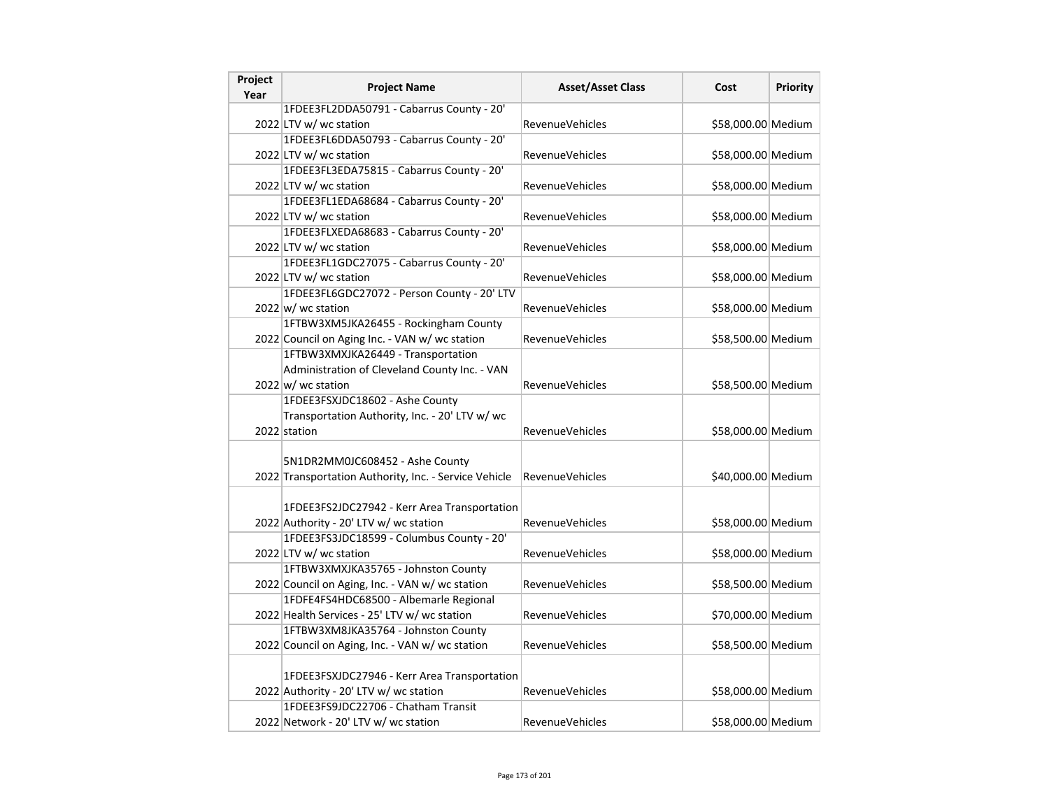| Project<br>Year | <b>Project Name</b>                                   | <b>Asset/Asset Class</b> | Cost               | Priority |
|-----------------|-------------------------------------------------------|--------------------------|--------------------|----------|
|                 | 1FDEE3FL2DDA50791 - Cabarrus County - 20'             |                          |                    |          |
|                 | 2022 LTV w/ wc station                                | <b>RevenueVehicles</b>   | \$58,000.00 Medium |          |
|                 | 1FDEE3FL6DDA50793 - Cabarrus County - 20'             |                          |                    |          |
|                 | 2022 LTV w/ wc station                                | RevenueVehicles          | \$58,000.00 Medium |          |
|                 | 1FDEE3FL3EDA75815 - Cabarrus County - 20'             |                          |                    |          |
|                 | 2022 LTV w/ wc station                                | <b>RevenueVehicles</b>   | \$58,000.00 Medium |          |
|                 | 1FDEE3FL1EDA68684 - Cabarrus County - 20'             |                          |                    |          |
|                 | 2022 LTV w/ wc station                                | <b>RevenueVehicles</b>   | \$58,000.00 Medium |          |
|                 | 1FDEE3FLXEDA68683 - Cabarrus County - 20'             |                          |                    |          |
|                 | 2022 LTV w/ wc station                                | <b>RevenueVehicles</b>   | \$58,000.00 Medium |          |
|                 | 1FDEE3FL1GDC27075 - Cabarrus County - 20'             |                          |                    |          |
|                 | 2022 LTV w/ wc station                                | <b>RevenueVehicles</b>   | \$58,000.00 Medium |          |
|                 | 1FDEE3FL6GDC27072 - Person County - 20' LTV           |                          |                    |          |
|                 | $2022 \vert w \vert$ wc station                       | <b>RevenueVehicles</b>   | \$58,000.00 Medium |          |
|                 | 1FTBW3XM5JKA26455 - Rockingham County                 |                          |                    |          |
|                 | 2022 Council on Aging Inc. - VAN w/ wc station        | <b>RevenueVehicles</b>   | \$58,500.00 Medium |          |
|                 | 1FTBW3XMXJKA26449 - Transportation                    |                          |                    |          |
|                 | Administration of Cleveland County Inc. - VAN         |                          |                    |          |
|                 | $2022 \vert w \vert$ wc station                       | RevenueVehicles          | \$58,500.00 Medium |          |
|                 | 1FDEE3FSXJDC18602 - Ashe County                       |                          |                    |          |
|                 | Transportation Authority, Inc. - 20' LTV w/ wc        |                          |                    |          |
|                 | 2022 station                                          | <b>RevenueVehicles</b>   | \$58,000.00 Medium |          |
|                 |                                                       |                          |                    |          |
|                 | 5N1DR2MM0JC608452 - Ashe County                       |                          |                    |          |
|                 | 2022 Transportation Authority, Inc. - Service Vehicle | <b>RevenueVehicles</b>   | \$40,000.00 Medium |          |
|                 |                                                       |                          |                    |          |
|                 | 1FDEE3FS2JDC27942 - Kerr Area Transportation          |                          |                    |          |
|                 | 2022 Authority - 20' LTV w/ wc station                | RevenueVehicles          | \$58,000.00 Medium |          |
|                 | 1FDEE3FS3JDC18599 - Columbus County - 20'             |                          |                    |          |
|                 | 2022 LTV w/ wc station                                | <b>RevenueVehicles</b>   | \$58,000.00 Medium |          |
|                 | 1FTBW3XMXJKA35765 - Johnston County                   |                          |                    |          |
|                 | 2022 Council on Aging, Inc. - VAN w/ wc station       | RevenueVehicles          | \$58,500.00 Medium |          |
|                 | 1FDFE4FS4HDC68500 - Albemarle Regional                |                          |                    |          |
|                 | 2022 Health Services - 25' LTV w/ wc station          | <b>RevenueVehicles</b>   | \$70,000.00 Medium |          |
|                 | 1FTBW3XM8JKA35764 - Johnston County                   |                          |                    |          |
|                 | 2022 Council on Aging, Inc. - VAN w/ wc station       | <b>RevenueVehicles</b>   | \$58,500.00 Medium |          |
|                 |                                                       |                          |                    |          |
|                 | 1FDEE3FSXJDC27946 - Kerr Area Transportation          |                          |                    |          |
|                 | 2022 Authority - 20' LTV w/ wc station                | RevenueVehicles          | \$58,000.00 Medium |          |
|                 | 1FDEE3FS9JDC22706 - Chatham Transit                   |                          |                    |          |
|                 | 2022 Network - 20' LTV w/ wc station                  | <b>RevenueVehicles</b>   | \$58,000.00 Medium |          |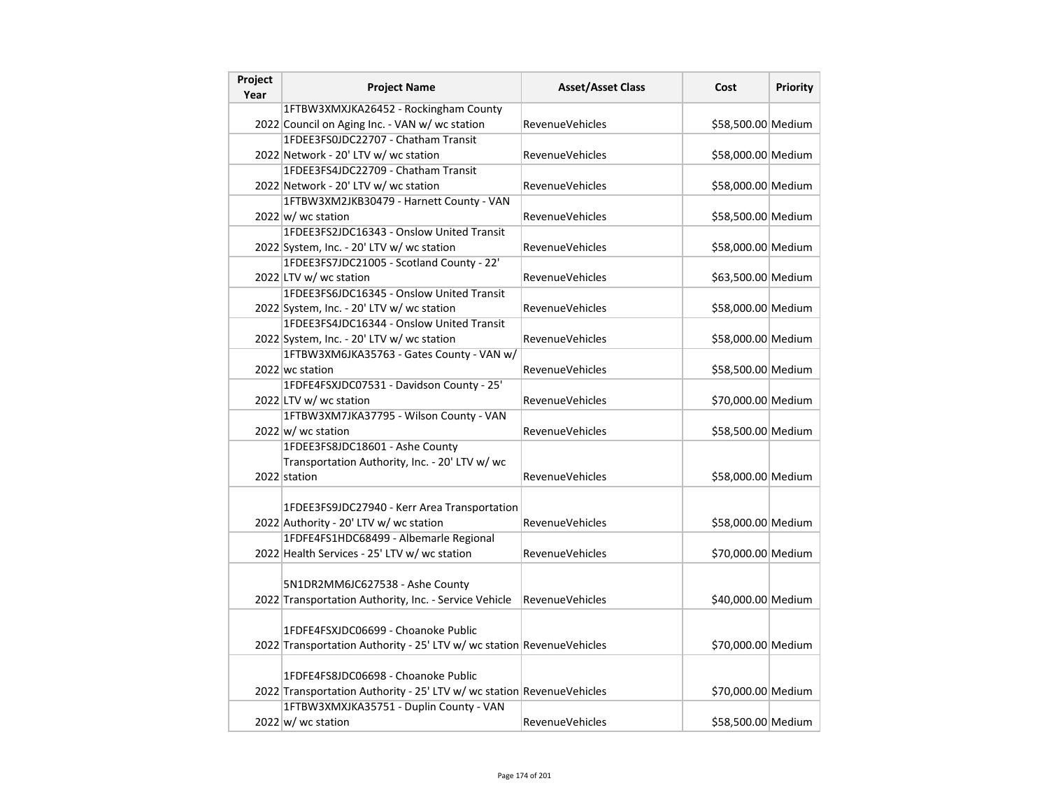| Project<br>Year | <b>Project Name</b>                                                                                          | <b>Asset/Asset Class</b> | Cost               | <b>Priority</b> |
|-----------------|--------------------------------------------------------------------------------------------------------------|--------------------------|--------------------|-----------------|
|                 | 1FTBW3XMXJKA26452 - Rockingham County                                                                        |                          |                    |                 |
|                 | 2022 Council on Aging Inc. - VAN w/ wc station                                                               | <b>RevenueVehicles</b>   | \$58,500.00 Medium |                 |
|                 | 1FDEE3FS0JDC22707 - Chatham Transit                                                                          |                          |                    |                 |
|                 | 2022 Network - 20' LTV w/ wc station                                                                         | RevenueVehicles          | \$58,000.00 Medium |                 |
|                 | 1FDEE3FS4JDC22709 - Chatham Transit                                                                          |                          |                    |                 |
|                 | 2022 Network - 20' LTV w/ wc station                                                                         | RevenueVehicles          | \$58,000.00 Medium |                 |
|                 | 1FTBW3XM2JKB30479 - Harnett County - VAN                                                                     |                          |                    |                 |
|                 | 2022 w/ wc station                                                                                           | <b>RevenueVehicles</b>   | \$58,500.00 Medium |                 |
|                 | 1FDEE3FS2JDC16343 - Onslow United Transit                                                                    |                          |                    |                 |
|                 | 2022 System, Inc. - 20' LTV w/ wc station                                                                    | <b>RevenueVehicles</b>   | \$58,000.00 Medium |                 |
|                 | 1FDEE3FS7JDC21005 - Scotland County - 22'                                                                    |                          |                    |                 |
|                 | 2022 LTV w/ wc station                                                                                       | RevenueVehicles          | \$63,500.00 Medium |                 |
|                 | 1FDEE3FS6JDC16345 - Onslow United Transit                                                                    |                          |                    |                 |
|                 | 2022 System, Inc. - 20' LTV w/ wc station                                                                    | <b>RevenueVehicles</b>   | \$58,000.00 Medium |                 |
|                 | 1FDEE3FS4JDC16344 - Onslow United Transit                                                                    |                          |                    |                 |
|                 | 2022 System, Inc. - 20' LTV w/ wc station                                                                    | <b>RevenueVehicles</b>   | \$58,000.00 Medium |                 |
|                 | 1FTBW3XM6JKA35763 - Gates County - VAN w/                                                                    |                          |                    |                 |
|                 | 2022 wc station                                                                                              | RevenueVehicles          | \$58,500.00 Medium |                 |
|                 | 1FDFE4FSXJDC07531 - Davidson County - 25'                                                                    |                          |                    |                 |
|                 | 2022 LTV w/ wc station                                                                                       | RevenueVehicles          | \$70,000.00 Medium |                 |
|                 | 1FTBW3XM7JKA37795 - Wilson County - VAN                                                                      |                          |                    |                 |
|                 | $2022 \vert w \vert$ wc station                                                                              | <b>RevenueVehicles</b>   | \$58,500.00 Medium |                 |
|                 | 1FDEE3FS8JDC18601 - Ashe County                                                                              |                          |                    |                 |
|                 | Transportation Authority, Inc. - 20' LTV w/ wc                                                               |                          |                    |                 |
|                 | 2022 station                                                                                                 | RevenueVehicles          | \$58,000.00 Medium |                 |
|                 | 1FDEE3FS9JDC27940 - Kerr Area Transportation                                                                 |                          |                    |                 |
|                 | 2022 Authority - 20' LTV w/ wc station                                                                       | <b>RevenueVehicles</b>   | \$58,000.00 Medium |                 |
|                 | 1FDFE4FS1HDC68499 - Albemarle Regional                                                                       |                          |                    |                 |
|                 | 2022 Health Services - 25' LTV w/ wc station                                                                 | <b>RevenueVehicles</b>   | \$70,000.00 Medium |                 |
|                 | 5N1DR2MM6JC627538 - Ashe County<br>2022 Transportation Authority, Inc. - Service Vehicle                     | <b>RevenueVehicles</b>   | \$40,000.00 Medium |                 |
|                 | 1FDFE4FSXJDC06699 - Choanoke Public<br>2022 Transportation Authority - 25' LTV w/ wc station RevenueVehicles |                          | \$70,000.00 Medium |                 |
|                 | 1FDFE4FS8JDC06698 - Choanoke Public<br>2022 Transportation Authority - 25' LTV w/ wc station RevenueVehicles |                          | \$70,000.00 Medium |                 |
|                 | 1FTBW3XMXJKA35751 - Duplin County - VAN<br>$2022$ w/ wc station                                              | <b>RevenueVehicles</b>   | \$58,500.00 Medium |                 |
|                 |                                                                                                              |                          |                    |                 |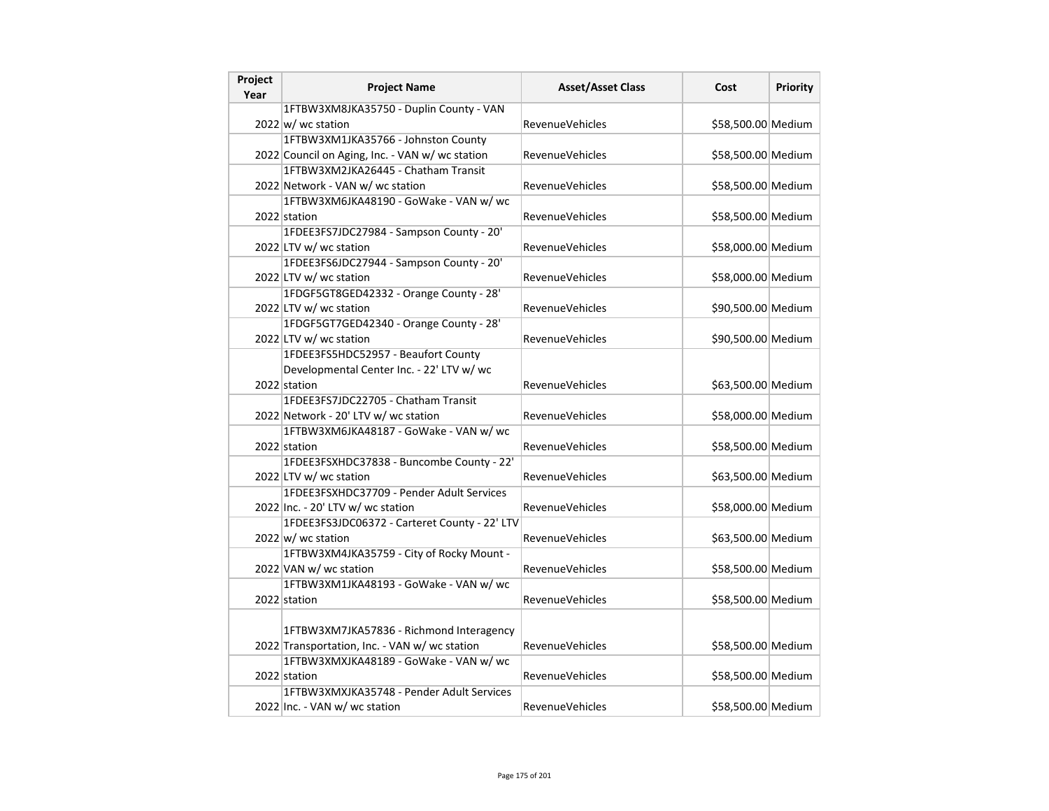| Project<br>Year | <b>Project Name</b>                             | <b>Asset/Asset Class</b> | Cost               | <b>Priority</b> |
|-----------------|-------------------------------------------------|--------------------------|--------------------|-----------------|
|                 | 1FTBW3XM8JKA35750 - Duplin County - VAN         |                          |                    |                 |
|                 | 2022 w/ wc station                              | <b>RevenueVehicles</b>   | \$58,500.00 Medium |                 |
|                 | 1FTBW3XM1JKA35766 - Johnston County             |                          |                    |                 |
|                 | 2022 Council on Aging, Inc. - VAN w/ wc station | <b>RevenueVehicles</b>   | \$58,500.00 Medium |                 |
|                 | 1FTBW3XM2JKA26445 - Chatham Transit             |                          |                    |                 |
|                 | 2022 Network - VAN w/ wc station                | RevenueVehicles          | \$58,500.00 Medium |                 |
|                 | 1FTBW3XM6JKA48190 - GoWake - VAN w/ wc          |                          |                    |                 |
|                 | 2022 station                                    | <b>RevenueVehicles</b>   | \$58,500.00 Medium |                 |
|                 | 1FDEE3FS7JDC27984 - Sampson County - 20'        |                          |                    |                 |
|                 | 2022 LTV w/ wc station                          | RevenueVehicles          | \$58,000.00 Medium |                 |
|                 | 1FDEE3FS6JDC27944 - Sampson County - 20'        |                          |                    |                 |
|                 | 2022 LTV w/ wc station                          | <b>RevenueVehicles</b>   | \$58,000.00 Medium |                 |
|                 | 1FDGF5GT8GED42332 - Orange County - 28'         |                          |                    |                 |
|                 | 2022 LTV w/ wc station                          | RevenueVehicles          | \$90,500.00 Medium |                 |
|                 | 1FDGF5GT7GED42340 - Orange County - 28'         |                          |                    |                 |
|                 | 2022 LTV w/ wc station                          | RevenueVehicles          | \$90,500.00 Medium |                 |
|                 | 1FDEE3FS5HDC52957 - Beaufort County             |                          |                    |                 |
|                 | Developmental Center Inc. - 22' LTV w/ wc       |                          |                    |                 |
|                 | 2022 station                                    | <b>RevenueVehicles</b>   | \$63,500.00 Medium |                 |
|                 | 1FDEE3FS7JDC22705 - Chatham Transit             |                          |                    |                 |
|                 | 2022 Network - 20' LTV w/ wc station            | <b>RevenueVehicles</b>   | \$58,000.00 Medium |                 |
|                 | 1FTBW3XM6JKA48187 - GoWake - VAN w/ wc          |                          |                    |                 |
|                 | 2022 station                                    | RevenueVehicles          | \$58,500.00 Medium |                 |
|                 | 1FDEE3FSXHDC37838 - Buncombe County - 22'       |                          |                    |                 |
|                 | 2022 LTV w/ wc station                          | <b>RevenueVehicles</b>   | \$63,500.00 Medium |                 |
|                 | 1FDEE3FSXHDC37709 - Pender Adult Services       |                          |                    |                 |
|                 | 2022 Inc. - 20' LTV w/ wc station               | <b>RevenueVehicles</b>   | \$58,000.00 Medium |                 |
|                 | 1FDEE3FS3JDC06372 - Carteret County - 22' LTV   |                          |                    |                 |
|                 | $2022 \vert w \vert$ wc station                 | <b>RevenueVehicles</b>   | \$63,500.00 Medium |                 |
|                 | 1FTBW3XM4JKA35759 - City of Rocky Mount -       |                          |                    |                 |
|                 | 2022 VAN w/ wc station                          | RevenueVehicles          | \$58,500.00 Medium |                 |
|                 | 1FTBW3XM1JKA48193 - GoWake - VAN w/ wc          |                          |                    |                 |
|                 | 2022 station                                    | <b>RevenueVehicles</b>   | \$58,500.00 Medium |                 |
|                 |                                                 |                          |                    |                 |
|                 | 1FTBW3XM7JKA57836 - Richmond Interagency        |                          |                    |                 |
|                 | 2022 Transportation, Inc. - VAN w/ wc station   | RevenueVehicles          | \$58,500.00 Medium |                 |
|                 | 1FTBW3XMXJKA48189 - GoWake - VAN w/ wc          |                          |                    |                 |
|                 | 2022 station                                    | RevenueVehicles          | \$58,500.00 Medium |                 |
|                 | 1FTBW3XMXJKA35748 - Pender Adult Services       |                          |                    |                 |
|                 | 2022 Inc. - VAN w/ wc station                   | <b>RevenueVehicles</b>   | \$58,500.00 Medium |                 |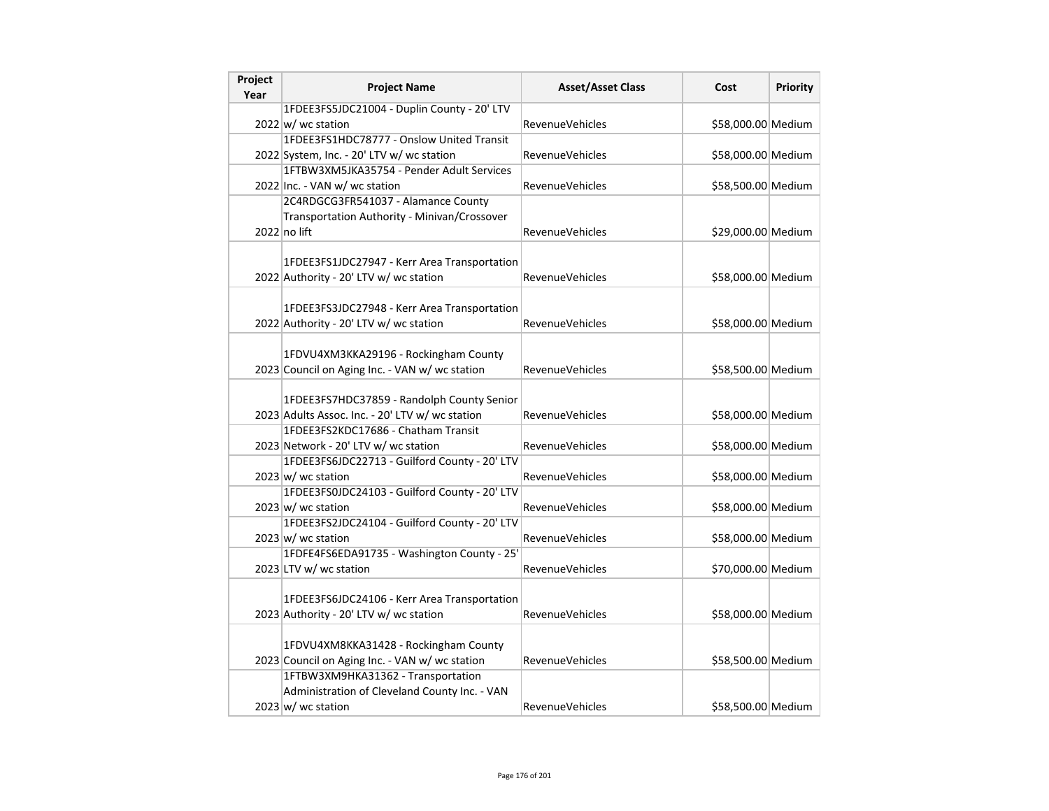| Project<br>Year | <b>Project Name</b>                             | <b>Asset/Asset Class</b> | Cost               | Priority |
|-----------------|-------------------------------------------------|--------------------------|--------------------|----------|
|                 | 1FDEE3FS5JDC21004 - Duplin County - 20' LTV     |                          |                    |          |
|                 | 2022 w/ wc station                              | <b>RevenueVehicles</b>   | \$58,000.00 Medium |          |
|                 | 1FDEE3FS1HDC78777 - Onslow United Transit       |                          |                    |          |
|                 | 2022 System, Inc. - 20' LTV w/ wc station       | RevenueVehicles          | \$58,000.00 Medium |          |
|                 | 1FTBW3XM5JKA35754 - Pender Adult Services       |                          |                    |          |
|                 | 2022 Inc. - VAN w/ wc station                   | <b>RevenueVehicles</b>   | \$58,500.00 Medium |          |
|                 | 2C4RDGCG3FR541037 - Alamance County             |                          |                    |          |
|                 | Transportation Authority - Minivan/Crossover    |                          |                    |          |
|                 | $2022$ no lift                                  | <b>RevenueVehicles</b>   | \$29,000.00 Medium |          |
|                 |                                                 |                          |                    |          |
|                 | 1FDEE3FS1JDC27947 - Kerr Area Transportation    |                          |                    |          |
|                 | 2022 Authority - 20' LTV w/ wc station          | RevenueVehicles          | \$58,000.00 Medium |          |
|                 |                                                 |                          |                    |          |
|                 | 1FDEE3FS3JDC27948 - Kerr Area Transportation    |                          |                    |          |
|                 | 2022 Authority - 20' LTV w/ wc station          | <b>RevenueVehicles</b>   | \$58,000.00 Medium |          |
|                 |                                                 |                          |                    |          |
|                 | 1FDVU4XM3KKA29196 - Rockingham County           |                          |                    |          |
|                 | 2023 Council on Aging Inc. - VAN w/ wc station  | <b>RevenueVehicles</b>   | \$58,500.00 Medium |          |
|                 |                                                 |                          |                    |          |
|                 | 1FDEE3FS7HDC37859 - Randolph County Senior      |                          |                    |          |
|                 | 2023 Adults Assoc. Inc. - 20' LTV w/ wc station | RevenueVehicles          | \$58,000.00 Medium |          |
|                 | 1FDEE3FS2KDC17686 - Chatham Transit             |                          |                    |          |
|                 | 2023 Network - 20' LTV w/ wc station            | <b>RevenueVehicles</b>   | \$58,000.00 Medium |          |
|                 | 1FDEE3FS6JDC22713 - Guilford County - 20' LTV   |                          |                    |          |
|                 | $2023 \text{ w}$ / wc station                   | RevenueVehicles          | \$58,000.00 Medium |          |
|                 | 1FDEE3FS0JDC24103 - Guilford County - 20' LTV   |                          |                    |          |
|                 | $2023 \vert w \vert$ wc station                 | RevenueVehicles          | \$58,000.00 Medium |          |
|                 | 1FDEE3FS2JDC24104 - Guilford County - 20' LTV   |                          |                    |          |
|                 | $2023 \text{ w}$ / wc station                   | <b>RevenueVehicles</b>   | \$58,000.00 Medium |          |
|                 | 1FDFE4FS6EDA91735 - Washington County - 25'     |                          |                    |          |
|                 | 2023 LTV w/ wc station                          | <b>RevenueVehicles</b>   | \$70,000.00 Medium |          |
|                 |                                                 |                          |                    |          |
|                 | 1FDEE3FS6JDC24106 - Kerr Area Transportation    |                          |                    |          |
|                 | 2023 Authority - 20' LTV w/ wc station          | RevenueVehicles          | \$58,000.00 Medium |          |
|                 |                                                 |                          |                    |          |
|                 | 1FDVU4XM8KKA31428 - Rockingham County           |                          |                    |          |
|                 | 2023 Council on Aging Inc. - VAN w/ wc station  | <b>RevenueVehicles</b>   | \$58,500.00 Medium |          |
|                 | 1FTBW3XM9HKA31362 - Transportation              |                          |                    |          |
|                 | Administration of Cleveland County Inc. - VAN   |                          |                    |          |
|                 | $2023 \text{ w}$ / wc station                   | RevenueVehicles          | \$58,500.00 Medium |          |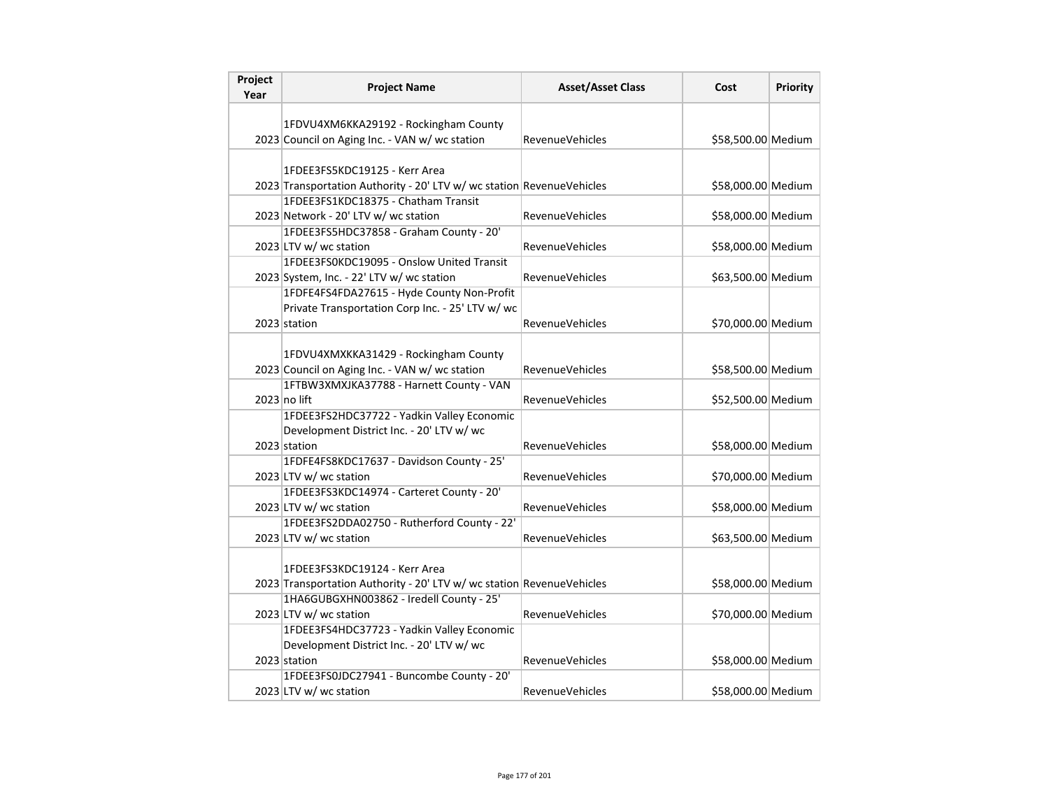| Project<br>Year | <b>Project Name</b>                                                                                               | <b>Asset/Asset Class</b> | Cost               | Priority |
|-----------------|-------------------------------------------------------------------------------------------------------------------|--------------------------|--------------------|----------|
|                 |                                                                                                                   |                          |                    |          |
|                 | 1FDVU4XM6KKA29192 - Rockingham County                                                                             |                          |                    |          |
|                 | 2023 Council on Aging Inc. - VAN w/ wc station                                                                    | <b>RevenueVehicles</b>   | \$58,500.00 Medium |          |
|                 |                                                                                                                   |                          |                    |          |
|                 | 1FDEE3FS5KDC19125 - Kerr Area                                                                                     |                          |                    |          |
|                 | 2023 Transportation Authority - 20' LTV w/ wc station RevenueVehicles                                             |                          | \$58,000.00 Medium |          |
|                 | 1FDEE3FS1KDC18375 - Chatham Transit                                                                               |                          |                    |          |
|                 | 2023 Network - 20' LTV w/ wc station                                                                              | RevenueVehicles          | \$58,000.00 Medium |          |
|                 | 1FDEE3FS5HDC37858 - Graham County - 20'                                                                           |                          |                    |          |
|                 | 2023 LTV w/ wc station                                                                                            | <b>RevenueVehicles</b>   | \$58,000.00 Medium |          |
|                 | 1FDEE3FS0KDC19095 - Onslow United Transit                                                                         |                          |                    |          |
|                 | 2023 System, Inc. - 22' LTV w/ wc station                                                                         | RevenueVehicles          | \$63,500.00 Medium |          |
|                 | 1FDFE4FS4FDA27615 - Hyde County Non-Profit                                                                        |                          |                    |          |
|                 | Private Transportation Corp Inc. - 25' LTV w/ wc                                                                  |                          |                    |          |
|                 | 2023 station                                                                                                      | <b>RevenueVehicles</b>   | \$70,000.00 Medium |          |
|                 |                                                                                                                   |                          |                    |          |
|                 | 1FDVU4XMXKKA31429 - Rockingham County                                                                             |                          |                    |          |
|                 | 2023 Council on Aging Inc. - VAN w/ wc station                                                                    | RevenueVehicles          | \$58,500.00 Medium |          |
|                 | 1FTBW3XMXJKA37788 - Harnett County - VAN                                                                          |                          |                    |          |
|                 | 2023 no lift                                                                                                      | RevenueVehicles          | \$52,500.00 Medium |          |
|                 | 1FDEE3FS2HDC37722 - Yadkin Valley Economic                                                                        |                          |                    |          |
|                 | Development District Inc. - 20' LTV w/ wc                                                                         |                          |                    |          |
|                 | 2023 station                                                                                                      | <b>RevenueVehicles</b>   | \$58,000.00 Medium |          |
|                 | 1FDFE4FS8KDC17637 - Davidson County - 25'                                                                         |                          |                    |          |
|                 | 2023 LTV w/ wc station                                                                                            | RevenueVehicles          | \$70,000.00 Medium |          |
|                 | 1FDEE3FS3KDC14974 - Carteret County - 20'                                                                         |                          |                    |          |
|                 | 2023 LTV w/ wc station                                                                                            | RevenueVehicles          | \$58,000.00 Medium |          |
|                 | 1FDEE3FS2DDA02750 - Rutherford County - 22'                                                                       |                          |                    |          |
|                 | 2023 LTV w/ wc station                                                                                            | <b>RevenueVehicles</b>   | \$63,500.00 Medium |          |
|                 |                                                                                                                   |                          |                    |          |
|                 | 1FDEE3FS3KDC19124 - Kerr Area                                                                                     |                          |                    |          |
|                 | 2023 Transportation Authority - 20' LTV w/ wc station RevenueVehicles<br>1HA6GUBGXHN003862 - Iredell County - 25' |                          | \$58,000.00 Medium |          |
|                 |                                                                                                                   |                          |                    |          |
|                 | 2023 LTV w/ wc station                                                                                            | <b>RevenueVehicles</b>   | \$70,000.00 Medium |          |
|                 | 1FDEE3FS4HDC37723 - Yadkin Valley Economic                                                                        |                          |                    |          |
|                 | Development District Inc. - 20' LTV w/ wc                                                                         |                          |                    |          |
|                 | 2023 station                                                                                                      | RevenueVehicles          | \$58,000.00 Medium |          |
|                 | 1FDEE3FS0JDC27941 - Buncombe County - 20'                                                                         |                          |                    |          |
|                 | 2023 LTV w/ wc station                                                                                            | <b>RevenueVehicles</b>   | \$58,000.00 Medium |          |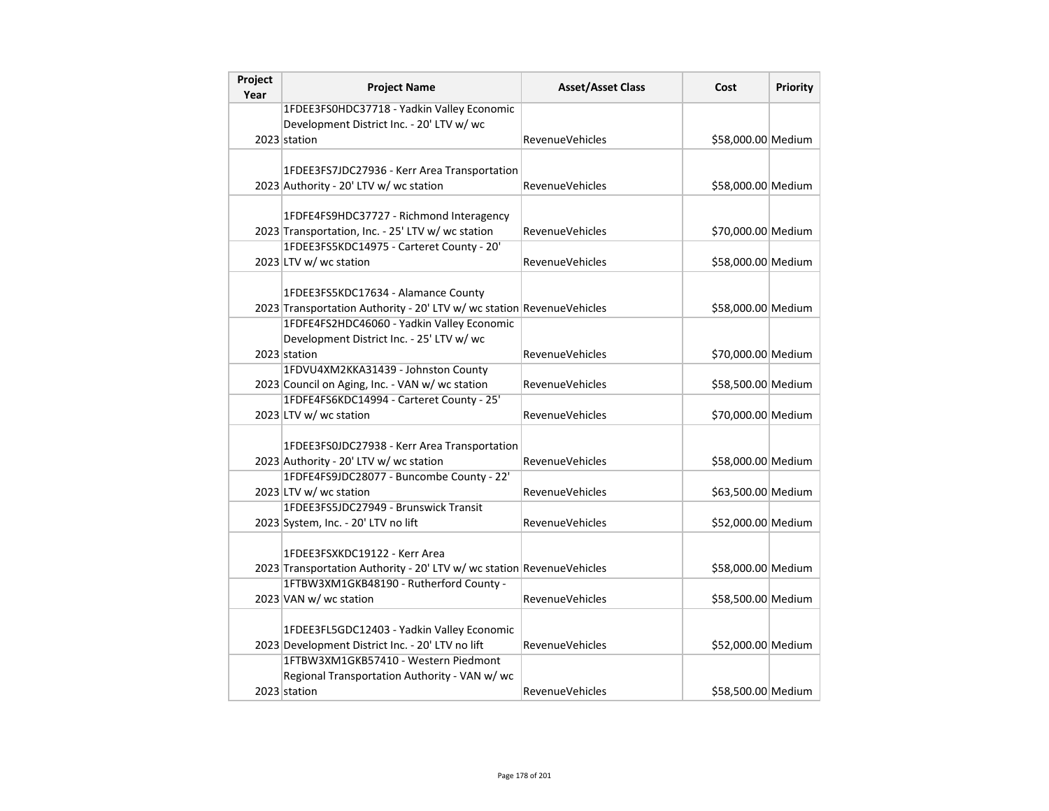| Project<br>Year | <b>Project Name</b>                                                                            | <b>Asset/Asset Class</b> | Cost               | <b>Priority</b> |
|-----------------|------------------------------------------------------------------------------------------------|--------------------------|--------------------|-----------------|
|                 | 1FDEE3FS0HDC37718 - Yadkin Valley Economic                                                     |                          |                    |                 |
|                 | Development District Inc. - 20' LTV w/ wc                                                      |                          |                    |                 |
|                 | 2023 station                                                                                   | <b>RevenueVehicles</b>   | \$58,000.00 Medium |                 |
|                 |                                                                                                |                          |                    |                 |
|                 | 1FDEE3FS7JDC27936 - Kerr Area Transportation                                                   |                          |                    |                 |
|                 | 2023 Authority - 20' LTV w/ wc station                                                         | <b>RevenueVehicles</b>   | \$58,000.00 Medium |                 |
|                 |                                                                                                |                          |                    |                 |
|                 | 1FDFE4FS9HDC37727 - Richmond Interagency                                                       |                          |                    |                 |
|                 | 2023 Transportation, Inc. - 25' LTV w/ wc station                                              | <b>RevenueVehicles</b>   | \$70,000.00 Medium |                 |
|                 | 1FDEE3FS5KDC14975 - Carteret County - 20'                                                      |                          |                    |                 |
|                 | 2023 LTV w/ wc station                                                                         | <b>RevenueVehicles</b>   | \$58,000.00 Medium |                 |
|                 |                                                                                                |                          |                    |                 |
|                 | 1FDEE3FS5KDC17634 - Alamance County                                                            |                          |                    |                 |
|                 | 2023 Transportation Authority - 20' LTV w/ wc station RevenueVehicles                          |                          | \$58,000.00 Medium |                 |
|                 | 1FDFE4FS2HDC46060 - Yadkin Valley Economic                                                     |                          |                    |                 |
|                 | Development District Inc. - 25' LTV w/ wc                                                      |                          |                    |                 |
|                 | 2023 station                                                                                   | RevenueVehicles          | \$70,000.00 Medium |                 |
|                 | 1FDVU4XM2KKA31439 - Johnston County                                                            |                          |                    |                 |
|                 | 2023 Council on Aging, Inc. - VAN w/ wc station                                                | <b>RevenueVehicles</b>   | \$58,500.00 Medium |                 |
|                 | 1FDFE4FS6KDC14994 - Carteret County - 25'                                                      |                          |                    |                 |
|                 | 2023 LTV w/ wc station                                                                         | <b>RevenueVehicles</b>   | \$70,000.00 Medium |                 |
|                 |                                                                                                |                          |                    |                 |
|                 | 1FDEE3FS0JDC27938 - Kerr Area Transportation                                                   |                          |                    |                 |
|                 | 2023 Authority - 20' LTV w/ wc station                                                         | <b>RevenueVehicles</b>   | \$58,000.00 Medium |                 |
|                 | 1FDFE4FS9JDC28077 - Buncombe County - 22'                                                      |                          |                    |                 |
|                 | 2023 LTV w/ wc station                                                                         | RevenueVehicles          | \$63,500.00 Medium |                 |
|                 | 1FDEE3FS5JDC27949 - Brunswick Transit                                                          |                          |                    |                 |
|                 | 2023 System, Inc. - 20' LTV no lift                                                            | <b>RevenueVehicles</b>   | \$52,000.00 Medium |                 |
|                 |                                                                                                |                          |                    |                 |
|                 | 1FDEE3FSXKDC19122 - Kerr Area                                                                  |                          |                    |                 |
|                 | 2023 Transportation Authority - 20' LTV w/ wc station RevenueVehicles                          |                          | \$58,000.00 Medium |                 |
|                 | 1FTBW3XM1GKB48190 - Rutherford County -                                                        |                          |                    |                 |
|                 | 2023 VAN w/ wc station                                                                         | <b>RevenueVehicles</b>   | \$58,500.00 Medium |                 |
|                 |                                                                                                |                          |                    |                 |
|                 | 1FDEE3FL5GDC12403 - Yadkin Valley Economic<br>2023 Development District Inc. - 20' LTV no lift |                          |                    |                 |
|                 | 1FTBW3XM1GKB57410 - Western Piedmont                                                           | <b>RevenueVehicles</b>   | \$52,000.00 Medium |                 |
|                 |                                                                                                |                          |                    |                 |
|                 | Regional Transportation Authority - VAN w/ wc                                                  |                          |                    |                 |
|                 | 2023 station                                                                                   | <b>RevenueVehicles</b>   | \$58,500.00 Medium |                 |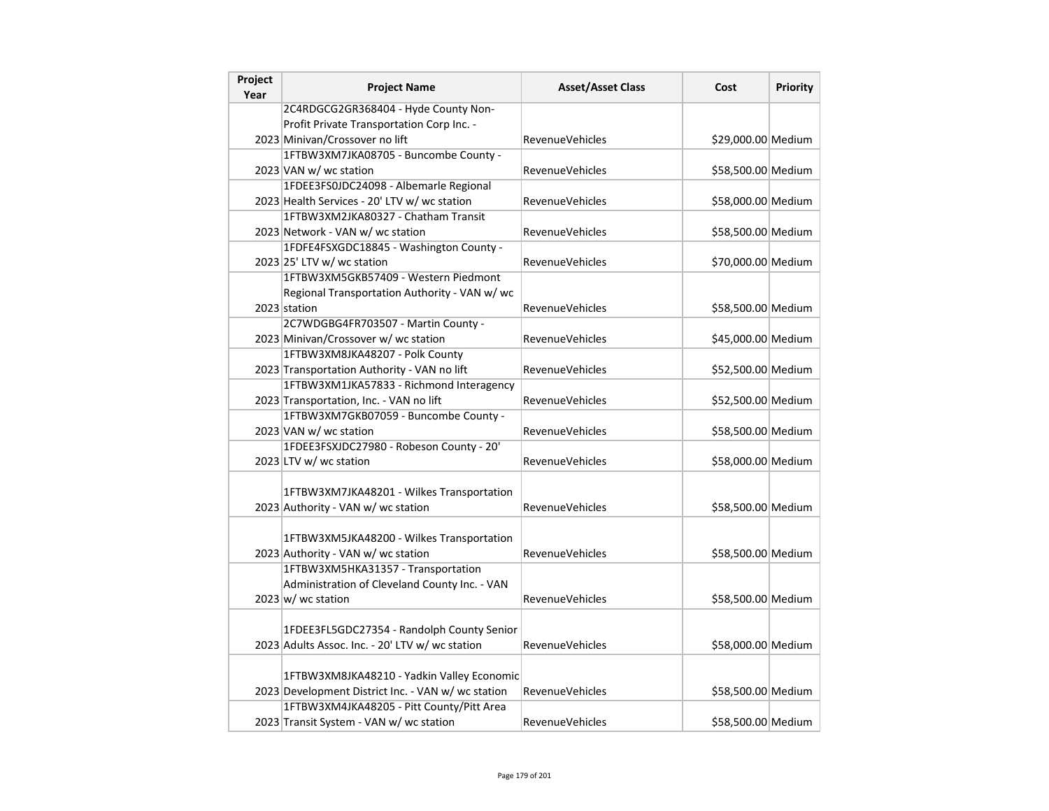| Project<br>Year | <b>Project Name</b>                                | <b>Asset/Asset Class</b> | Cost               | <b>Priority</b> |
|-----------------|----------------------------------------------------|--------------------------|--------------------|-----------------|
|                 | 2C4RDGCG2GR368404 - Hyde County Non-               |                          |                    |                 |
|                 | Profit Private Transportation Corp Inc. -          |                          |                    |                 |
|                 | 2023 Minivan/Crossover no lift                     | <b>RevenueVehicles</b>   | \$29,000.00 Medium |                 |
|                 | 1FTBW3XM7JKA08705 - Buncombe County -              |                          |                    |                 |
|                 | 2023 VAN w/ wc station                             | <b>RevenueVehicles</b>   | \$58,500.00 Medium |                 |
|                 | 1FDEE3FS0JDC24098 - Albemarle Regional             |                          |                    |                 |
|                 | 2023 Health Services - 20' LTV w/ wc station       | <b>RevenueVehicles</b>   | \$58,000.00 Medium |                 |
|                 | 1FTBW3XM2JKA80327 - Chatham Transit                |                          |                    |                 |
|                 | 2023 Network - VAN w/ wc station                   | <b>RevenueVehicles</b>   | \$58,500.00 Medium |                 |
|                 | 1FDFE4FSXGDC18845 - Washington County -            |                          |                    |                 |
|                 | 2023 25' LTV w/ wc station                         | <b>RevenueVehicles</b>   | \$70,000.00 Medium |                 |
|                 | 1FTBW3XM5GKB57409 - Western Piedmont               |                          |                    |                 |
|                 | Regional Transportation Authority - VAN w/ wc      |                          |                    |                 |
|                 | 2023 station                                       | RevenueVehicles          | \$58,500.00 Medium |                 |
|                 | 2C7WDGBG4FR703507 - Martin County -                |                          |                    |                 |
|                 | 2023 Minivan/Crossover w/ wc station               | <b>RevenueVehicles</b>   | \$45,000.00 Medium |                 |
|                 | 1FTBW3XM8JKA48207 - Polk County                    |                          |                    |                 |
|                 | 2023 Transportation Authority - VAN no lift        | RevenueVehicles          | \$52,500.00 Medium |                 |
|                 | 1FTBW3XM1JKA57833 - Richmond Interagency           |                          |                    |                 |
|                 | 2023 Transportation, Inc. - VAN no lift            | <b>RevenueVehicles</b>   | \$52,500.00 Medium |                 |
|                 | 1FTBW3XM7GKB07059 - Buncombe County -              |                          |                    |                 |
|                 | 2023 VAN w/ wc station                             | <b>RevenueVehicles</b>   | \$58,500.00 Medium |                 |
|                 | 1FDEE3FSXJDC27980 - Robeson County - 20'           |                          |                    |                 |
|                 | 2023 LTV w/ wc station                             | <b>RevenueVehicles</b>   | \$58,000.00 Medium |                 |
|                 |                                                    |                          |                    |                 |
|                 | 1FTBW3XM7JKA48201 - Wilkes Transportation          |                          |                    |                 |
|                 | 2023 Authority - VAN w/ wc station                 | <b>RevenueVehicles</b>   | \$58,500.00 Medium |                 |
|                 |                                                    |                          |                    |                 |
|                 | 1FTBW3XM5JKA48200 - Wilkes Transportation          |                          |                    |                 |
|                 | 2023 Authority - VAN w/ wc station                 | <b>RevenueVehicles</b>   | \$58,500.00 Medium |                 |
|                 | 1FTBW3XM5HKA31357 - Transportation                 |                          |                    |                 |
|                 | Administration of Cleveland County Inc. - VAN      |                          |                    |                 |
|                 | $2023 \vert w \vert$ wc station                    | <b>RevenueVehicles</b>   | \$58,500.00 Medium |                 |
|                 |                                                    |                          |                    |                 |
|                 | 1FDEE3FL5GDC27354 - Randolph County Senior         |                          |                    |                 |
|                 | 2023 Adults Assoc. Inc. - 20' LTV w/ wc station    | RevenueVehicles          | \$58,000.00 Medium |                 |
|                 |                                                    |                          |                    |                 |
|                 | 1FTBW3XM8JKA48210 - Yadkin Valley Economic         |                          |                    |                 |
|                 | 2023 Development District Inc. - VAN w/ wc station | RevenueVehicles          | \$58,500.00 Medium |                 |
|                 | 1FTBW3XM4JKA48205 - Pitt County/Pitt Area          |                          |                    |                 |
|                 | 2023 Transit System - VAN w/ wc station            | <b>RevenueVehicles</b>   | \$58,500.00 Medium |                 |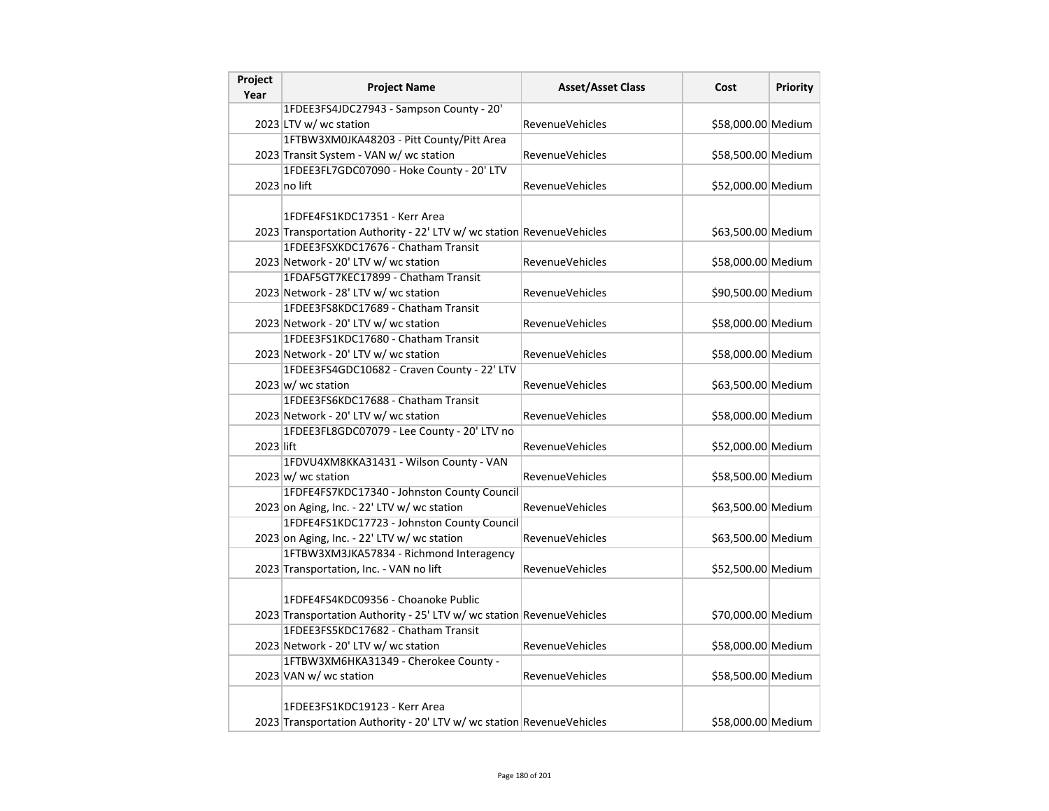| Project<br>Year | <b>Project Name</b>                                                   | <b>Asset/Asset Class</b> | Cost               | <b>Priority</b> |
|-----------------|-----------------------------------------------------------------------|--------------------------|--------------------|-----------------|
|                 | 1FDEE3FS4JDC27943 - Sampson County - 20'                              |                          |                    |                 |
|                 | 2023 LTV w/ wc station                                                | <b>RevenueVehicles</b>   | \$58,000.00 Medium |                 |
|                 | 1FTBW3XM0JKA48203 - Pitt County/Pitt Area                             |                          |                    |                 |
|                 | 2023 Transit System - VAN w/ wc station                               | <b>RevenueVehicles</b>   | \$58,500.00 Medium |                 |
|                 | 1FDEE3FL7GDC07090 - Hoke County - 20' LTV                             |                          |                    |                 |
|                 | $2023$ no lift                                                        | <b>RevenueVehicles</b>   | \$52,000.00 Medium |                 |
|                 |                                                                       |                          |                    |                 |
|                 | 1FDFE4FS1KDC17351 - Kerr Area                                         |                          |                    |                 |
|                 | 2023 Transportation Authority - 22' LTV w/ wc station RevenueVehicles |                          | \$63,500.00 Medium |                 |
|                 | 1FDEE3FSXKDC17676 - Chatham Transit                                   |                          |                    |                 |
|                 | 2023 Network - 20' LTV w/ wc station                                  | <b>RevenueVehicles</b>   | \$58,000.00 Medium |                 |
|                 | 1FDAF5GT7KEC17899 - Chatham Transit                                   |                          |                    |                 |
|                 | 2023 Network - 28' LTV w/ wc station                                  | <b>RevenueVehicles</b>   | \$90,500.00 Medium |                 |
|                 | 1FDEE3FS8KDC17689 - Chatham Transit                                   |                          |                    |                 |
|                 | 2023 Network - 20' LTV w/ wc station                                  | <b>RevenueVehicles</b>   | \$58,000.00 Medium |                 |
|                 | 1FDEE3FS1KDC17680 - Chatham Transit                                   |                          |                    |                 |
|                 | 2023 Network - 20' LTV w/ wc station                                  | RevenueVehicles          | \$58,000.00 Medium |                 |
|                 | 1FDEE3FS4GDC10682 - Craven County - 22' LTV                           |                          |                    |                 |
|                 | $2023 \vert w \vert$ wc station                                       | <b>RevenueVehicles</b>   | \$63,500.00 Medium |                 |
|                 | 1FDEE3FS6KDC17688 - Chatham Transit                                   |                          |                    |                 |
|                 | 2023 Network - 20' LTV w/ wc station                                  | RevenueVehicles          | \$58,000.00 Medium |                 |
|                 | 1FDEE3FL8GDC07079 - Lee County - 20' LTV no                           |                          |                    |                 |
| 2023 lift       |                                                                       | <b>RevenueVehicles</b>   | \$52,000.00 Medium |                 |
|                 | 1FDVU4XM8KKA31431 - Wilson County - VAN                               |                          |                    |                 |
|                 | $2023 \text{ w}$ / wc station                                         | <b>RevenueVehicles</b>   | \$58,500.00 Medium |                 |
|                 | 1FDFE4FS7KDC17340 - Johnston County Council                           |                          |                    |                 |
|                 | 2023 on Aging, Inc. - 22' LTV w/ wc station                           | RevenueVehicles          | \$63,500.00 Medium |                 |
|                 | 1FDFE4FS1KDC17723 - Johnston County Council                           |                          |                    |                 |
|                 | 2023 on Aging, Inc. - 22' LTV w/ wc station                           | RevenueVehicles          | \$63,500.00 Medium |                 |
|                 | 1FTBW3XM3JKA57834 - Richmond Interagency                              |                          |                    |                 |
|                 | 2023 Transportation, Inc. - VAN no lift                               | <b>RevenueVehicles</b>   | \$52,500.00 Medium |                 |
|                 |                                                                       |                          |                    |                 |
|                 | 1FDFE4FS4KDC09356 - Choanoke Public                                   |                          |                    |                 |
|                 | 2023 Transportation Authority - 25' LTV w/ wc station RevenueVehicles |                          | \$70,000.00 Medium |                 |
|                 | 1FDEE3FS5KDC17682 - Chatham Transit                                   |                          |                    |                 |
|                 | 2023 Network - 20' LTV w/ wc station                                  | <b>RevenueVehicles</b>   | \$58,000.00 Medium |                 |
|                 | 1FTBW3XM6HKA31349 - Cherokee County -                                 |                          |                    |                 |
|                 | 2023 VAN w/ wc station                                                | <b>RevenueVehicles</b>   | \$58,500.00 Medium |                 |
|                 |                                                                       |                          |                    |                 |
|                 | 1FDEE3FS1KDC19123 - Kerr Area                                         |                          |                    |                 |
|                 | 2023 Transportation Authority - 20' LTV w/ wc station RevenueVehicles |                          | \$58,000.00 Medium |                 |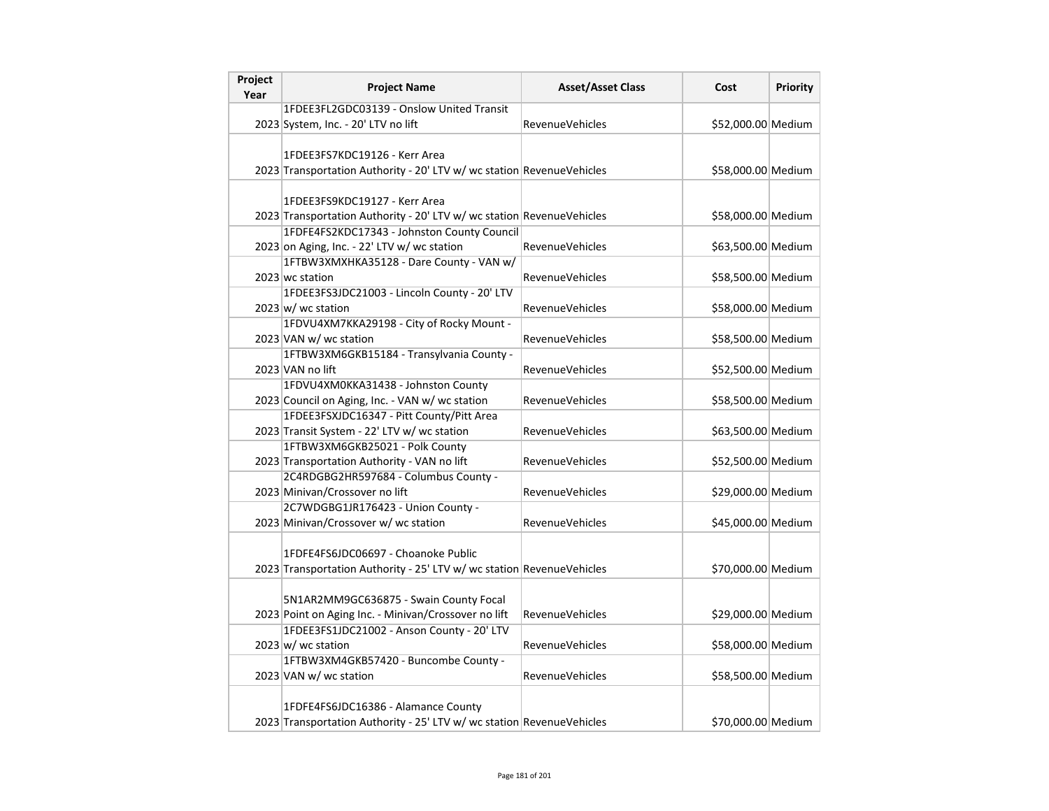| Project<br>Year | <b>Project Name</b>                                                   | <b>Asset/Asset Class</b> | Cost               | Priority |
|-----------------|-----------------------------------------------------------------------|--------------------------|--------------------|----------|
|                 | 1FDEE3FL2GDC03139 - Onslow United Transit                             |                          |                    |          |
|                 | 2023 System, Inc. - 20' LTV no lift                                   | <b>RevenueVehicles</b>   | \$52,000.00 Medium |          |
|                 |                                                                       |                          |                    |          |
|                 | 1FDEE3FS7KDC19126 - Kerr Area                                         |                          |                    |          |
|                 | 2023 Transportation Authority - 20' LTV w/ wc station RevenueVehicles |                          | \$58,000.00 Medium |          |
|                 |                                                                       |                          |                    |          |
|                 | 1FDEE3FS9KDC19127 - Kerr Area                                         |                          |                    |          |
|                 | 2023 Transportation Authority - 20' LTV w/ wc station RevenueVehicles |                          | \$58,000.00 Medium |          |
|                 | 1FDFE4FS2KDC17343 - Johnston County Council                           |                          |                    |          |
|                 | 2023 on Aging, Inc. - 22' LTV w/ wc station                           | <b>RevenueVehicles</b>   | \$63,500.00 Medium |          |
|                 | 1FTBW3XMXHKA35128 - Dare County - VAN w/                              |                          |                    |          |
|                 | 2023 wc station                                                       | <b>RevenueVehicles</b>   | \$58,500.00 Medium |          |
|                 | 1FDEE3FS3JDC21003 - Lincoln County - 20' LTV                          |                          |                    |          |
|                 | $2023 \, \text{w}$ wc station                                         | <b>RevenueVehicles</b>   | \$58,000.00 Medium |          |
|                 | 1FDVU4XM7KKA29198 - City of Rocky Mount -                             |                          |                    |          |
|                 | 2023 VAN w/ wc station                                                | RevenueVehicles          | \$58,500.00 Medium |          |
|                 | 1FTBW3XM6GKB15184 - Transylvania County -                             |                          |                    |          |
|                 | 2023 VAN no lift                                                      | <b>RevenueVehicles</b>   | \$52,500.00 Medium |          |
|                 | 1FDVU4XM0KKA31438 - Johnston County                                   |                          |                    |          |
|                 | 2023 Council on Aging, Inc. - VAN w/ wc station                       | RevenueVehicles          | \$58,500.00 Medium |          |
|                 | 1FDEE3FSXJDC16347 - Pitt County/Pitt Area                             |                          |                    |          |
|                 | 2023 Transit System - 22' LTV w/ wc station                           | <b>RevenueVehicles</b>   | \$63,500.00 Medium |          |
|                 | 1FTBW3XM6GKB25021 - Polk County                                       |                          |                    |          |
|                 | 2023 Transportation Authority - VAN no lift                           | RevenueVehicles          | \$52,500.00 Medium |          |
|                 | 2C4RDGBG2HR597684 - Columbus County -                                 |                          |                    |          |
|                 | 2023 Minivan/Crossover no lift                                        | RevenueVehicles          | \$29,000.00 Medium |          |
|                 | 2C7WDGBG1JR176423 - Union County -                                    |                          |                    |          |
|                 | 2023 Minivan/Crossover w/ wc station                                  | RevenueVehicles          | \$45,000.00 Medium |          |
|                 |                                                                       |                          |                    |          |
|                 | 1FDFE4FS6JDC06697 - Choanoke Public                                   |                          |                    |          |
|                 | 2023 Transportation Authority - 25' LTV w/ wc station RevenueVehicles |                          | \$70,000.00 Medium |          |
|                 |                                                                       |                          |                    |          |
|                 | 5N1AR2MM9GC636875 - Swain County Focal                                |                          |                    |          |
|                 | 2023 Point on Aging Inc. - Minivan/Crossover no lift                  | <b>RevenueVehicles</b>   | \$29,000.00 Medium |          |
|                 | 1FDEE3FS1JDC21002 - Anson County - 20' LTV                            |                          |                    |          |
|                 | $2023 \vert w \vert$ wc station                                       | <b>RevenueVehicles</b>   | \$58,000.00 Medium |          |
|                 | 1FTBW3XM4GKB57420 - Buncombe County -                                 |                          |                    |          |
|                 | 2023 VAN w/ wc station                                                | <b>RevenueVehicles</b>   | \$58,500.00 Medium |          |
|                 |                                                                       |                          |                    |          |
|                 | 1FDFE4FS6JDC16386 - Alamance County                                   |                          |                    |          |
|                 | 2023 Transportation Authority - 25' LTV w/ wc station RevenueVehicles |                          | \$70,000.00 Medium |          |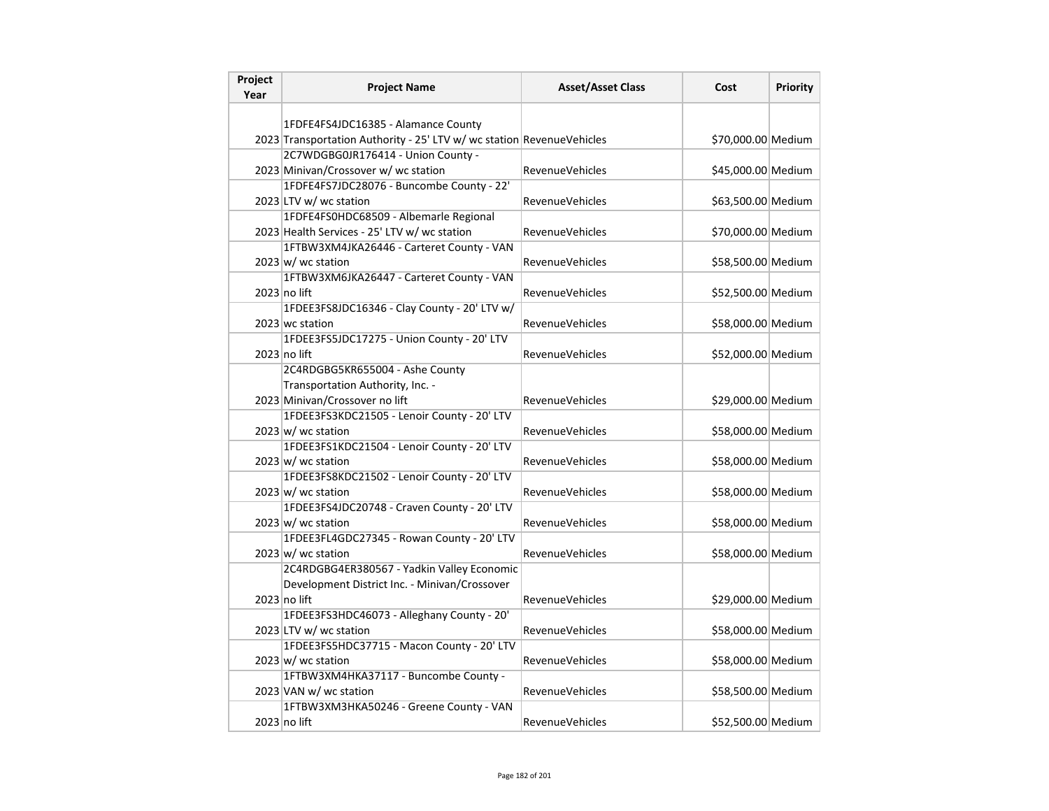| Project<br>Year | <b>Project Name</b>                                                   | <b>Asset/Asset Class</b> | Cost               | <b>Priority</b> |
|-----------------|-----------------------------------------------------------------------|--------------------------|--------------------|-----------------|
|                 |                                                                       |                          |                    |                 |
|                 | 1FDFE4FS4JDC16385 - Alamance County                                   |                          |                    |                 |
|                 | 2023 Transportation Authority - 25' LTV w/ wc station RevenueVehicles |                          | \$70,000.00 Medium |                 |
|                 | 2C7WDGBG0JR176414 - Union County -                                    |                          |                    |                 |
|                 | 2023 Minivan/Crossover w/ wc station                                  | <b>RevenueVehicles</b>   | \$45,000.00 Medium |                 |
|                 | 1FDFE4FS7JDC28076 - Buncombe County - 22'                             |                          |                    |                 |
|                 | 2023 LTV w/ wc station                                                | <b>RevenueVehicles</b>   | \$63,500.00 Medium |                 |
|                 | 1FDFE4FS0HDC68509 - Albemarle Regional                                |                          |                    |                 |
|                 | 2023 Health Services - 25' LTV w/ wc station                          | <b>RevenueVehicles</b>   | \$70,000.00 Medium |                 |
|                 | 1FTBW3XM4JKA26446 - Carteret County - VAN                             |                          |                    |                 |
|                 | $2023 \vert w \vert$ wc station                                       | <b>RevenueVehicles</b>   | \$58,500.00 Medium |                 |
|                 | 1FTBW3XM6JKA26447 - Carteret County - VAN                             |                          |                    |                 |
|                 | $2023$ no lift                                                        | <b>RevenueVehicles</b>   | \$52,500.00 Medium |                 |
|                 | 1FDEE3FS8JDC16346 - Clay County - 20' LTV w/                          |                          |                    |                 |
|                 | 2023 wc station                                                       | <b>RevenueVehicles</b>   | \$58,000.00 Medium |                 |
|                 | 1FDEE3FS5JDC17275 - Union County - 20' LTV                            |                          |                    |                 |
|                 | 2023 no lift                                                          | <b>RevenueVehicles</b>   | \$52,000.00 Medium |                 |
|                 | 2C4RDGBG5KR655004 - Ashe County                                       |                          |                    |                 |
|                 | Transportation Authority, Inc. -                                      |                          |                    |                 |
|                 | 2023 Minivan/Crossover no lift                                        | <b>RevenueVehicles</b>   | \$29,000.00 Medium |                 |
|                 | 1FDEE3FS3KDC21505 - Lenoir County - 20' LTV                           |                          |                    |                 |
|                 | $2023 \text{ w}$ / wc station                                         | RevenueVehicles          | \$58,000.00 Medium |                 |
|                 | 1FDEE3FS1KDC21504 - Lenoir County - 20' LTV                           |                          |                    |                 |
|                 | $2023 \text{ w}$ / wc station                                         | <b>RevenueVehicles</b>   | \$58,000.00 Medium |                 |
|                 | 1FDEE3FS8KDC21502 - Lenoir County - 20' LTV                           |                          |                    |                 |
|                 | $2023 \vert w \vert$ wc station                                       | <b>RevenueVehicles</b>   | \$58,000.00 Medium |                 |
|                 | 1FDEE3FS4JDC20748 - Craven County - 20' LTV                           |                          |                    |                 |
|                 | $2023 \vert w \vert$ wc station                                       | <b>RevenueVehicles</b>   | \$58,000.00 Medium |                 |
|                 | 1FDEE3FL4GDC27345 - Rowan County - 20' LTV                            |                          |                    |                 |
|                 | $2023 \vert w \vert$ wc station                                       | <b>RevenueVehicles</b>   | \$58,000.00 Medium |                 |
|                 | 2C4RDGBG4ER380567 - Yadkin Valley Economic                            |                          |                    |                 |
|                 | Development District Inc. - Minivan/Crossover                         |                          |                    |                 |
|                 | $2023$ no lift                                                        | <b>RevenueVehicles</b>   | \$29,000.00 Medium |                 |
|                 | 1FDEE3FS3HDC46073 - Alleghany County - 20'                            |                          |                    |                 |
|                 | 2023 LTV w/ wc station                                                | <b>RevenueVehicles</b>   | \$58,000.00 Medium |                 |
|                 | 1FDEE3FS5HDC37715 - Macon County - 20' LTV                            |                          |                    |                 |
|                 | $2023 \text{ w}$ / wc station                                         | <b>RevenueVehicles</b>   | \$58,000.00 Medium |                 |
|                 | 1FTBW3XM4HKA37117 - Buncombe County -                                 |                          |                    |                 |
|                 | 2023 VAN w/ wc station                                                | <b>RevenueVehicles</b>   | \$58,500.00 Medium |                 |
|                 | 1FTBW3XM3HKA50246 - Greene County - VAN                               |                          |                    |                 |
|                 | $2023$ no lift                                                        | <b>RevenueVehicles</b>   | \$52,500.00 Medium |                 |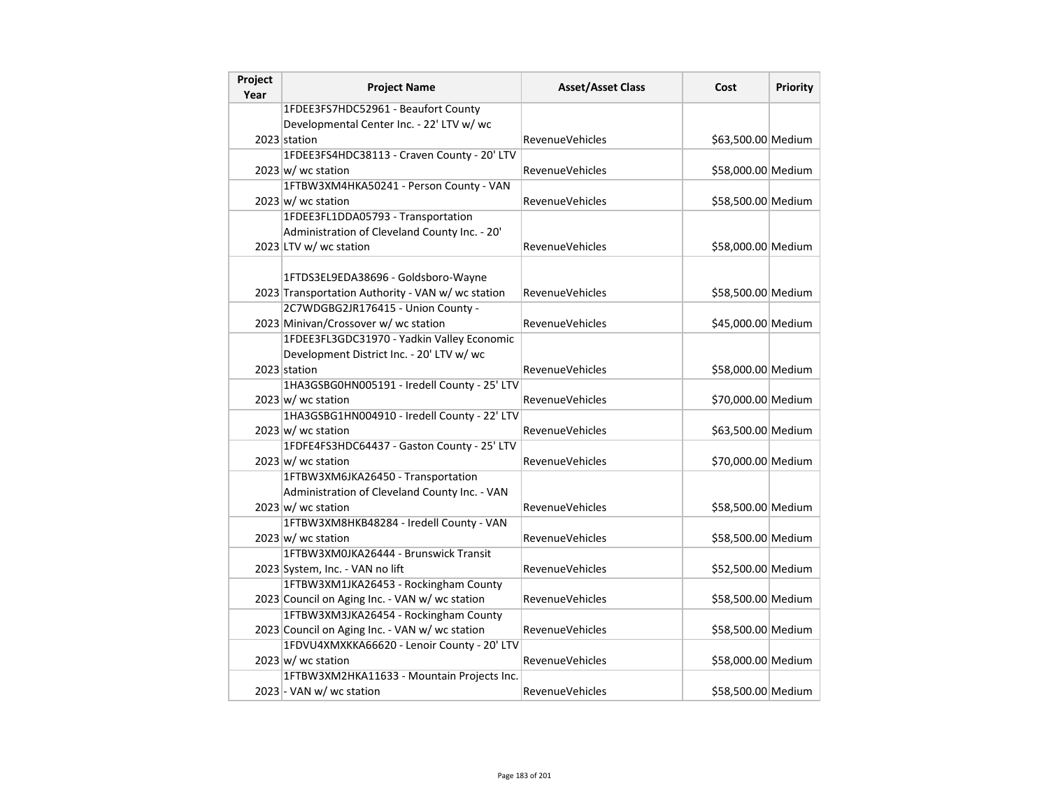| Project<br>Year | <b>Project Name</b>                                                                     | <b>Asset/Asset Class</b> | Cost               | Priority |
|-----------------|-----------------------------------------------------------------------------------------|--------------------------|--------------------|----------|
|                 | 1FDEE3FS7HDC52961 - Beaufort County                                                     |                          |                    |          |
|                 | Developmental Center Inc. - 22' LTV w/ wc                                               |                          |                    |          |
|                 | 2023 station                                                                            | RevenueVehicles          | \$63,500.00 Medium |          |
|                 | 1FDEE3FS4HDC38113 - Craven County - 20' LTV                                             |                          |                    |          |
|                 | $2023 \vert w \vert$ wc station                                                         | RevenueVehicles          | \$58,000.00 Medium |          |
|                 | 1FTBW3XM4HKA50241 - Person County - VAN                                                 |                          |                    |          |
|                 | $2023 \vert w \vert$ wc station                                                         | <b>RevenueVehicles</b>   | \$58,500.00 Medium |          |
|                 | 1FDEE3FL1DDA05793 - Transportation                                                      |                          |                    |          |
|                 | Administration of Cleveland County Inc. - 20'                                           |                          |                    |          |
|                 | 2023 LTV w/ wc station                                                                  | RevenueVehicles          | \$58,000.00 Medium |          |
|                 | 1FTDS3EL9EDA38696 - Goldsboro-Wayne<br>2023 Transportation Authority - VAN w/wc station | RevenueVehicles          | \$58,500.00 Medium |          |
|                 | 2C7WDGBG2JR176415 - Union County -                                                      |                          |                    |          |
|                 | 2023 Minivan/Crossover w/ wc station                                                    | RevenueVehicles          | \$45,000.00 Medium |          |
|                 | 1FDEE3FL3GDC31970 - Yadkin Valley Economic                                              |                          |                    |          |
|                 | Development District Inc. - 20' LTV w/ wc                                               |                          |                    |          |
|                 | 2023 station                                                                            | <b>RevenueVehicles</b>   | \$58,000.00 Medium |          |
|                 | 1HA3GSBG0HN005191 - Iredell County - 25' LTV                                            |                          |                    |          |
|                 | $2023 \vert w \rangle$ wc station                                                       | RevenueVehicles          | \$70,000.00 Medium |          |
|                 | 1HA3GSBG1HN004910 - Iredell County - 22' LTV                                            |                          |                    |          |
|                 | $2023 \text{ w}$ / wc station                                                           | <b>RevenueVehicles</b>   | \$63,500.00 Medium |          |
|                 | 1FDFE4FS3HDC64437 - Gaston County - 25' LTV                                             |                          |                    |          |
|                 | $2023 \text{ w}$ / wc station                                                           | RevenueVehicles          | \$70,000.00 Medium |          |
|                 | 1FTBW3XM6JKA26450 - Transportation                                                      |                          |                    |          |
|                 | Administration of Cleveland County Inc. - VAN                                           |                          |                    |          |
|                 | $2023 \vert w \vert$ wc station                                                         | RevenueVehicles          | \$58,500.00 Medium |          |
|                 | 1FTBW3XM8HKB48284 - Iredell County - VAN                                                |                          |                    |          |
|                 | $2023 \vert w \vert$ wc station                                                         | <b>RevenueVehicles</b>   | \$58,500.00 Medium |          |
|                 | 1FTBW3XM0JKA26444 - Brunswick Transit                                                   |                          |                    |          |
|                 | 2023 System, Inc. - VAN no lift                                                         | RevenueVehicles          | \$52,500.00 Medium |          |
|                 | 1FTBW3XM1JKA26453 - Rockingham County                                                   |                          |                    |          |
|                 | 2023 Council on Aging Inc. - VAN w/ wc station                                          | RevenueVehicles          | \$58,500.00 Medium |          |
|                 | 1FTBW3XM3JKA26454 - Rockingham County                                                   |                          |                    |          |
|                 | 2023 Council on Aging Inc. - VAN w/ wc station                                          | RevenueVehicles          | \$58,500.00 Medium |          |
|                 | 1FDVU4XMXKKA66620 - Lenoir County - 20' LTV                                             |                          |                    |          |
|                 | $2023 \text{ w}$ / wc station                                                           | RevenueVehicles          | \$58,000.00 Medium |          |
|                 | 1FTBW3XM2HKA11633 - Mountain Projects Inc.                                              |                          |                    |          |
|                 | 2023 - VAN w/ wc station                                                                | RevenueVehicles          | \$58,500.00 Medium |          |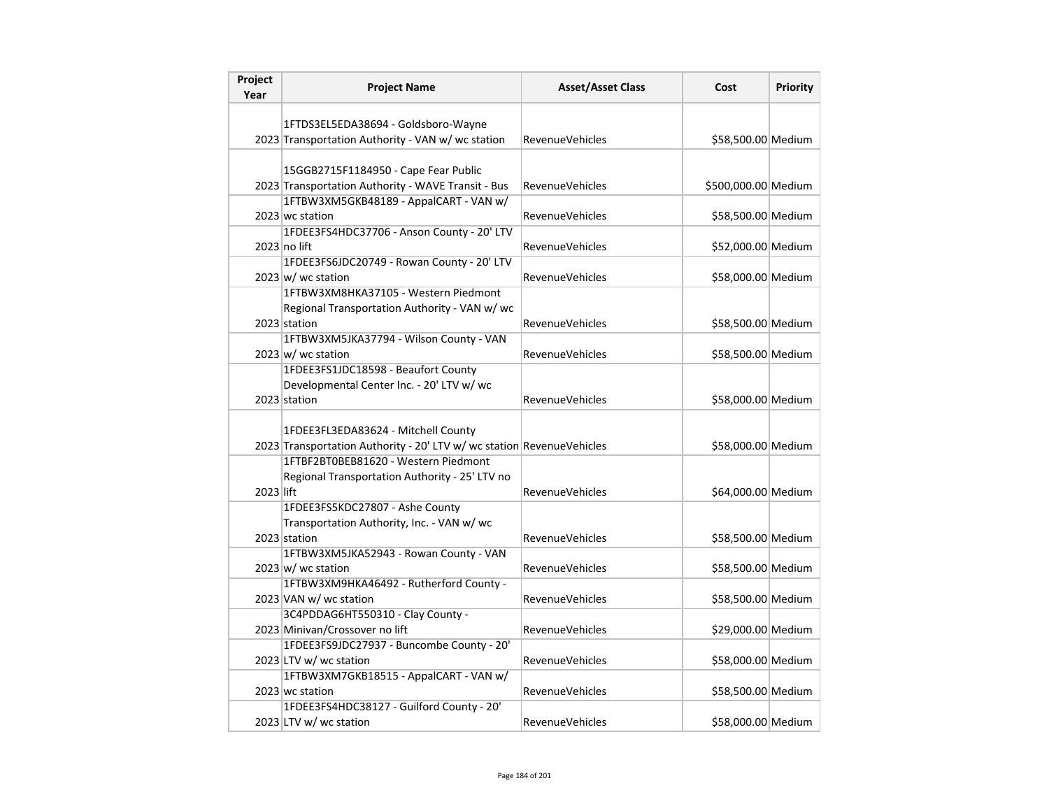| Project<br>Year | <b>Project Name</b>                                                                        | <b>Asset/Asset Class</b> | Cost                | <b>Priority</b> |
|-----------------|--------------------------------------------------------------------------------------------|--------------------------|---------------------|-----------------|
|                 |                                                                                            |                          |                     |                 |
|                 | 1FTDS3EL5EDA38694 - Goldsboro-Wayne                                                        |                          |                     |                 |
|                 | 2023 Transportation Authority - VAN w/ wc station                                          | <b>RevenueVehicles</b>   | \$58,500.00 Medium  |                 |
|                 |                                                                                            |                          |                     |                 |
|                 | 15GGB2715F1184950 - Cape Fear Public<br>2023 Transportation Authority - WAVE Transit - Bus |                          |                     |                 |
|                 | 1FTBW3XM5GKB48189 - AppalCART - VAN w/                                                     | <b>RevenueVehicles</b>   | \$500,000.00 Medium |                 |
|                 | 2023 wc station                                                                            | <b>RevenueVehicles</b>   | \$58,500.00 Medium  |                 |
|                 | 1FDEE3FS4HDC37706 - Anson County - 20' LTV                                                 |                          |                     |                 |
|                 | 2023 no lift                                                                               | RevenueVehicles          | \$52,000.00 Medium  |                 |
|                 | 1FDEE3FS6JDC20749 - Rowan County - 20' LTV                                                 |                          |                     |                 |
|                 | $2023 \, \text{w}$ / wc station                                                            | <b>RevenueVehicles</b>   | \$58,000.00 Medium  |                 |
|                 | 1FTBW3XM8HKA37105 - Western Piedmont                                                       |                          |                     |                 |
|                 | Regional Transportation Authority - VAN w/ wc                                              |                          |                     |                 |
|                 | 2023 station                                                                               | RevenueVehicles          | \$58,500.00 Medium  |                 |
|                 | 1FTBW3XM5JKA37794 - Wilson County - VAN                                                    |                          |                     |                 |
|                 | $2023 \text{ w}$ / wc station                                                              | <b>RevenueVehicles</b>   | \$58,500.00 Medium  |                 |
|                 | 1FDEE3FS1JDC18598 - Beaufort County                                                        |                          |                     |                 |
|                 | Developmental Center Inc. - 20' LTV w/ wc                                                  |                          |                     |                 |
|                 | 2023 station                                                                               | <b>RevenueVehicles</b>   | \$58,000.00 Medium  |                 |
|                 |                                                                                            |                          |                     |                 |
|                 | 1FDEE3FL3EDA83624 - Mitchell County                                                        |                          |                     |                 |
|                 | 2023 Transportation Authority - 20' LTV w/ wc station RevenueVehicles                      |                          | \$58,000.00 Medium  |                 |
|                 | 1FTBF2BT0BEB81620 - Western Piedmont                                                       |                          |                     |                 |
|                 | Regional Transportation Authority - 25' LTV no                                             |                          |                     |                 |
| 2023 lift       |                                                                                            | <b>RevenueVehicles</b>   | \$64,000.00 Medium  |                 |
|                 | 1FDEE3FS5KDC27807 - Ashe County<br>Transportation Authority, Inc. - VAN w/ wc              |                          |                     |                 |
|                 | 2023 station                                                                               | RevenueVehicles          | \$58,500.00 Medium  |                 |
|                 | 1FTBW3XM5JKA52943 - Rowan County - VAN                                                     |                          |                     |                 |
|                 | $2023 \vert w \vert$ wc station                                                            | RevenueVehicles          | \$58,500.00 Medium  |                 |
|                 | 1FTBW3XM9HKA46492 - Rutherford County -                                                    |                          |                     |                 |
|                 | 2023 VAN w/ wc station                                                                     | <b>RevenueVehicles</b>   | \$58,500.00 Medium  |                 |
|                 | 3C4PDDAG6HT550310 - Clay County -                                                          |                          |                     |                 |
|                 | 2023 Minivan/Crossover no lift                                                             | RevenueVehicles          | \$29,000.00 Medium  |                 |
|                 | 1FDEE3FS9JDC27937 - Buncombe County - 20'                                                  |                          |                     |                 |
|                 | 2023 LTV w/ wc station                                                                     | RevenueVehicles          | \$58,000.00 Medium  |                 |
|                 | 1FTBW3XM7GKB18515 - AppalCART - VAN w/                                                     |                          |                     |                 |
|                 | 2023 wc station                                                                            | <b>RevenueVehicles</b>   | \$58,500.00 Medium  |                 |
|                 | 1FDEE3FS4HDC38127 - Guilford County - 20'                                                  |                          |                     |                 |
|                 | 2023 LTV w/ wc station                                                                     | <b>RevenueVehicles</b>   | \$58,000.00 Medium  |                 |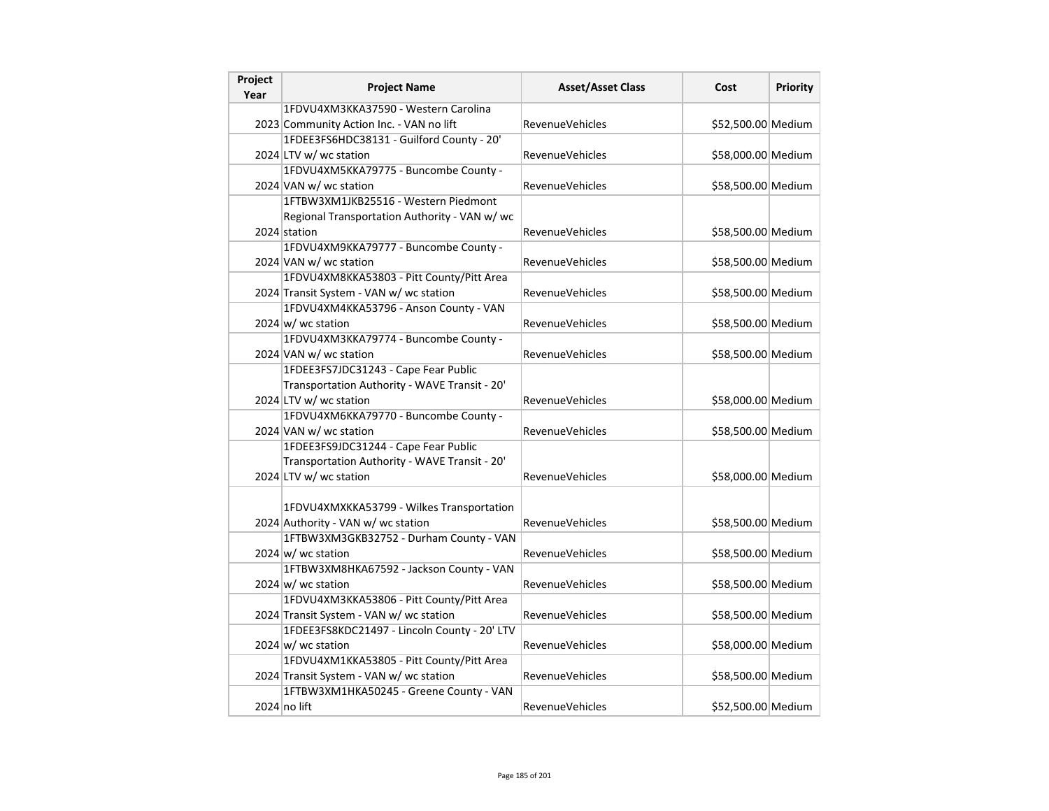| Project<br>Year | <b>Project Name</b>                           | <b>Asset/Asset Class</b> | Cost               | Priority |
|-----------------|-----------------------------------------------|--------------------------|--------------------|----------|
|                 | 1FDVU4XM3KKA37590 - Western Carolina          |                          |                    |          |
|                 | 2023 Community Action Inc. - VAN no lift      | <b>RevenueVehicles</b>   | \$52,500.00 Medium |          |
|                 | 1FDEE3FS6HDC38131 - Guilford County - 20'     |                          |                    |          |
|                 | 2024 LTV w/ wc station                        | RevenueVehicles          | \$58,000.00 Medium |          |
|                 | 1FDVU4XM5KKA79775 - Buncombe County -         |                          |                    |          |
|                 | 2024 VAN w/ wc station                        | <b>RevenueVehicles</b>   | \$58,500.00 Medium |          |
|                 | 1FTBW3XM1JKB25516 - Western Piedmont          |                          |                    |          |
|                 | Regional Transportation Authority - VAN w/ wc |                          |                    |          |
|                 | 2024 station                                  | <b>RevenueVehicles</b>   | \$58,500.00 Medium |          |
|                 | 1FDVU4XM9KKA79777 - Buncombe County -         |                          |                    |          |
|                 | 2024 VAN w/ wc station                        | <b>RevenueVehicles</b>   | \$58,500.00 Medium |          |
|                 | 1FDVU4XM8KKA53803 - Pitt County/Pitt Area     |                          |                    |          |
|                 | 2024 Transit System - VAN w/ wc station       | <b>RevenueVehicles</b>   | \$58,500.00 Medium |          |
|                 | 1FDVU4XM4KKA53796 - Anson County - VAN        |                          |                    |          |
|                 | $2024 \, \text{w}$ / wc station               | RevenueVehicles          | \$58,500.00 Medium |          |
|                 | 1FDVU4XM3KKA79774 - Buncombe County -         |                          |                    |          |
|                 | 2024 VAN w/ wc station                        | <b>RevenueVehicles</b>   | \$58,500.00 Medium |          |
|                 | 1FDEE3FS7JDC31243 - Cape Fear Public          |                          |                    |          |
|                 | Transportation Authority - WAVE Transit - 20' |                          |                    |          |
|                 | 2024 LTV w/ wc station                        | <b>RevenueVehicles</b>   | \$58,000.00 Medium |          |
|                 | 1FDVU4XM6KKA79770 - Buncombe County -         |                          |                    |          |
|                 | 2024 VAN w/ wc station                        | <b>RevenueVehicles</b>   | \$58,500.00 Medium |          |
|                 | 1FDEE3FS9JDC31244 - Cape Fear Public          |                          |                    |          |
|                 | Transportation Authority - WAVE Transit - 20' |                          |                    |          |
|                 | 2024 LTV w/ wc station                        | <b>RevenueVehicles</b>   | \$58,000.00 Medium |          |
|                 |                                               |                          |                    |          |
|                 | 1FDVU4XMXKKA53799 - Wilkes Transportation     |                          |                    |          |
|                 | 2024 Authority - VAN w/ wc station            | <b>RevenueVehicles</b>   | \$58,500.00 Medium |          |
|                 | 1FTBW3XM3GKB32752 - Durham County - VAN       |                          |                    |          |
|                 | $2024 \, \text{w}$ / wc station               | <b>RevenueVehicles</b>   | \$58,500.00 Medium |          |
|                 | 1FTBW3XM8HKA67592 - Jackson County - VAN      |                          |                    |          |
|                 | $2024 \text{ w/m}$ wc station                 | <b>RevenueVehicles</b>   | \$58,500.00 Medium |          |
|                 | 1FDVU4XM3KKA53806 - Pitt County/Pitt Area     |                          |                    |          |
|                 | 2024 Transit System - VAN w/ wc station       | <b>RevenueVehicles</b>   | \$58,500.00 Medium |          |
|                 | 1FDEE3FS8KDC21497 - Lincoln County - 20' LTV  |                          |                    |          |
|                 | $2024 \text{ w/m}$ wc station                 | <b>RevenueVehicles</b>   | \$58,000.00 Medium |          |
|                 | 1FDVU4XM1KKA53805 - Pitt County/Pitt Area     |                          |                    |          |
|                 | 2024 Transit System - VAN w/ wc station       | RevenueVehicles          | \$58,500.00 Medium |          |
|                 | 1FTBW3XM1HKA50245 - Greene County - VAN       |                          |                    |          |
|                 | 2024 no lift                                  | <b>RevenueVehicles</b>   | \$52,500.00 Medium |          |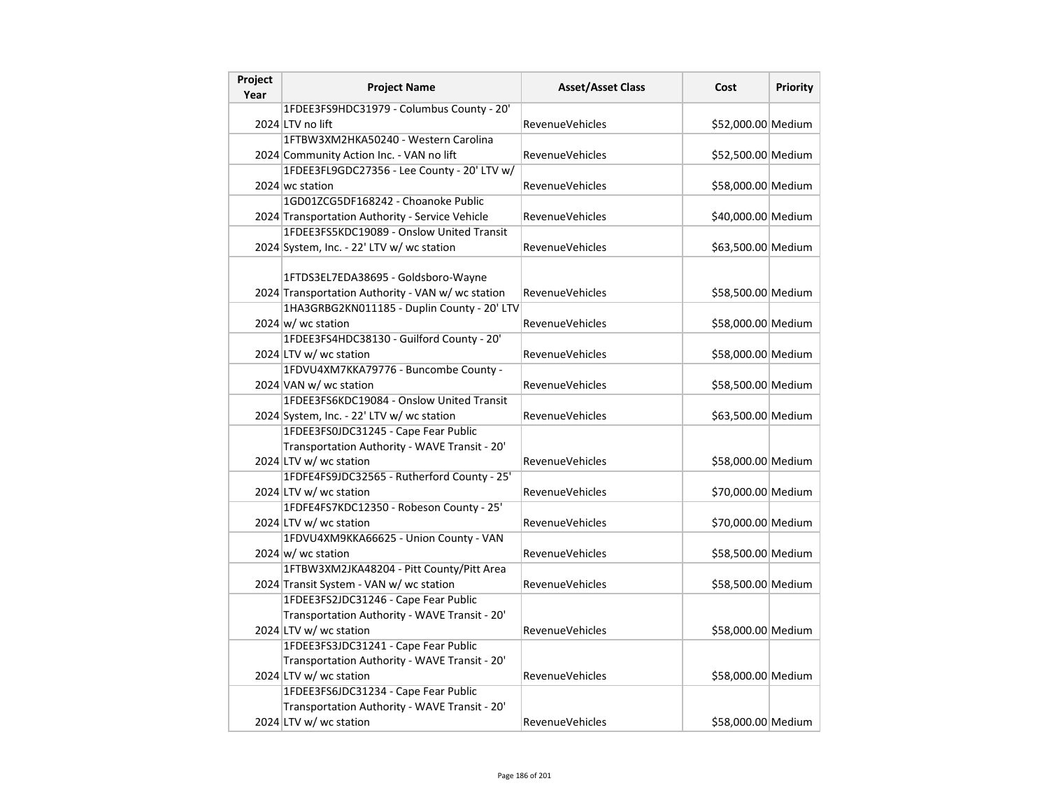| Project<br>Year | <b>Project Name</b>                                                                      | <b>Asset/Asset Class</b> | Cost               | Priority |
|-----------------|------------------------------------------------------------------------------------------|--------------------------|--------------------|----------|
|                 | 1FDEE3FS9HDC31979 - Columbus County - 20'                                                |                          |                    |          |
|                 | 2024 LTV no lift                                                                         | <b>RevenueVehicles</b>   | \$52,000.00 Medium |          |
|                 | 1FTBW3XM2HKA50240 - Western Carolina                                                     |                          |                    |          |
|                 | 2024 Community Action Inc. - VAN no lift                                                 | <b>RevenueVehicles</b>   | \$52,500.00 Medium |          |
|                 | 1FDEE3FL9GDC27356 - Lee County - 20' LTV w/                                              |                          |                    |          |
|                 | 2024 wc station                                                                          | <b>RevenueVehicles</b>   | \$58,000.00 Medium |          |
|                 | 1GD01ZCG5DF168242 - Choanoke Public                                                      |                          |                    |          |
|                 | 2024 Transportation Authority - Service Vehicle                                          | <b>RevenueVehicles</b>   | \$40,000.00 Medium |          |
|                 | 1FDEE3FS5KDC19089 - Onslow United Transit                                                |                          |                    |          |
|                 | 2024 System, Inc. - 22' LTV w/ wc station                                                | <b>RevenueVehicles</b>   | \$63,500.00 Medium |          |
|                 | 1FTDS3EL7EDA38695 - Goldsboro-Wayne<br>2024 Transportation Authority - VAN w/ wc station | RevenueVehicles          | \$58,500.00 Medium |          |
|                 | 1HA3GRBG2KN011185 - Duplin County - 20' LTV                                              |                          |                    |          |
|                 | $2024 \text{ w}$ / wc station                                                            | <b>RevenueVehicles</b>   | \$58,000.00 Medium |          |
|                 | 1FDEE3FS4HDC38130 - Guilford County - 20'                                                |                          |                    |          |
|                 | 2024 LTV w/ wc station                                                                   | <b>RevenueVehicles</b>   | \$58,000.00 Medium |          |
|                 | 1FDVU4XM7KKA79776 - Buncombe County -                                                    |                          |                    |          |
|                 | 2024 VAN w/ wc station                                                                   | <b>RevenueVehicles</b>   | \$58,500.00 Medium |          |
|                 | 1FDEE3FS6KDC19084 - Onslow United Transit                                                |                          |                    |          |
|                 | 2024 System, Inc. - 22' LTV w/ wc station                                                | <b>RevenueVehicles</b>   | \$63,500.00 Medium |          |
|                 | 1FDEE3FS0JDC31245 - Cape Fear Public                                                     |                          |                    |          |
|                 | Transportation Authority - WAVE Transit - 20'                                            |                          |                    |          |
|                 | 2024 LTV w/ wc station                                                                   | <b>RevenueVehicles</b>   | \$58,000.00 Medium |          |
|                 | 1FDFE4FS9JDC32565 - Rutherford County - 25'                                              |                          |                    |          |
|                 | 2024 LTV w/ wc station                                                                   | <b>RevenueVehicles</b>   | \$70,000.00 Medium |          |
|                 | 1FDFE4FS7KDC12350 - Robeson County - 25'                                                 |                          |                    |          |
|                 | 2024 LTV w/ wc station<br>1FDVU4XM9KKA66625 - Union County - VAN                         | <b>RevenueVehicles</b>   | \$70,000.00 Medium |          |
|                 | $2024 \text{ w}$ / wc station                                                            | <b>RevenueVehicles</b>   | \$58,500.00 Medium |          |
|                 | 1FTBW3XM2JKA48204 - Pitt County/Pitt Area                                                |                          |                    |          |
|                 | 2024 Transit System - VAN w/ wc station                                                  | <b>RevenueVehicles</b>   | \$58,500.00 Medium |          |
|                 | 1FDEE3FS2JDC31246 - Cape Fear Public                                                     |                          |                    |          |
|                 | Transportation Authority - WAVE Transit - 20'                                            |                          |                    |          |
|                 | 2024 LTV w/ wc station                                                                   | <b>RevenueVehicles</b>   | \$58,000.00 Medium |          |
|                 | 1FDEE3FS3JDC31241 - Cape Fear Public                                                     |                          |                    |          |
|                 | Transportation Authority - WAVE Transit - 20'                                            |                          |                    |          |
|                 | 2024 LTV w/ wc station                                                                   | <b>RevenueVehicles</b>   | \$58,000.00 Medium |          |
|                 | 1FDEE3FS6JDC31234 - Cape Fear Public                                                     |                          |                    |          |
|                 | Transportation Authority - WAVE Transit - 20'                                            |                          |                    |          |
|                 |                                                                                          |                          |                    |          |
|                 | 2024 LTV w/ wc station                                                                   | RevenueVehicles          | \$58,000.00 Medium |          |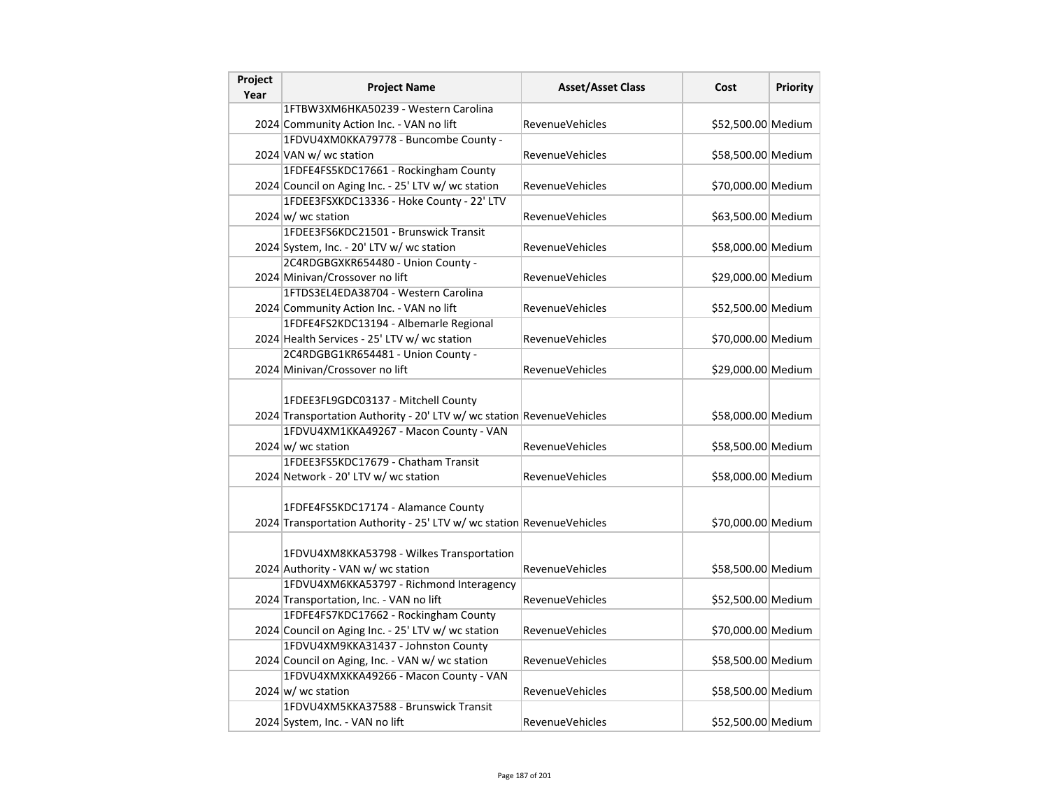| Project<br>Year | <b>Project Name</b>                                                                                                                                    | <b>Asset/Asset Class</b> | Cost               | Priority |
|-----------------|--------------------------------------------------------------------------------------------------------------------------------------------------------|--------------------------|--------------------|----------|
|                 | 1FTBW3XM6HKA50239 - Western Carolina                                                                                                                   |                          |                    |          |
|                 | 2024 Community Action Inc. - VAN no lift                                                                                                               | <b>RevenueVehicles</b>   | \$52,500.00 Medium |          |
|                 | 1FDVU4XM0KKA79778 - Buncombe County -                                                                                                                  |                          |                    |          |
|                 | 2024 VAN w/ wc station                                                                                                                                 | RevenueVehicles          | \$58,500.00 Medium |          |
|                 | 1FDFE4FS5KDC17661 - Rockingham County                                                                                                                  |                          |                    |          |
|                 | 2024 Council on Aging Inc. - 25' LTV w/ wc station                                                                                                     | <b>RevenueVehicles</b>   | \$70,000.00 Medium |          |
|                 | 1FDEE3FSXKDC13336 - Hoke County - 22' LTV                                                                                                              |                          |                    |          |
|                 | $2024 \text{ w}$ / wc station                                                                                                                          | <b>RevenueVehicles</b>   | \$63,500.00 Medium |          |
|                 | 1FDEE3FS6KDC21501 - Brunswick Transit                                                                                                                  |                          |                    |          |
|                 | 2024 System, Inc. - 20' LTV w/ wc station                                                                                                              | <b>RevenueVehicles</b>   | \$58,000.00 Medium |          |
|                 | 2C4RDGBGXKR654480 - Union County -                                                                                                                     |                          |                    |          |
|                 | 2024 Minivan/Crossover no lift                                                                                                                         | RevenueVehicles          | \$29,000.00 Medium |          |
|                 | 1FTDS3EL4EDA38704 - Western Carolina                                                                                                                   |                          |                    |          |
|                 | 2024 Community Action Inc. - VAN no lift                                                                                                               | <b>RevenueVehicles</b>   | \$52,500.00 Medium |          |
|                 | 1FDFE4FS2KDC13194 - Albemarle Regional                                                                                                                 |                          |                    |          |
|                 | 2024 Health Services - 25' LTV w/ wc station                                                                                                           | <b>RevenueVehicles</b>   | \$70,000.00 Medium |          |
|                 | 2C4RDGBG1KR654481 - Union County -                                                                                                                     |                          |                    |          |
|                 | 2024 Minivan/Crossover no lift                                                                                                                         | <b>RevenueVehicles</b>   | \$29,000.00 Medium |          |
|                 | 1FDEE3FL9GDC03137 - Mitchell County<br>2024 Transportation Authority - 20' LTV w/ wc station RevenueVehicles<br>1FDVU4XM1KKA49267 - Macon County - VAN |                          | \$58,000.00 Medium |          |
|                 | $2024 \text{ w}$ / wc station                                                                                                                          | <b>RevenueVehicles</b>   | \$58,500.00 Medium |          |
|                 | 1FDEE3FS5KDC17679 - Chatham Transit                                                                                                                    |                          |                    |          |
|                 | 2024 Network - 20' LTV w/ wc station                                                                                                                   | <b>RevenueVehicles</b>   | \$58,000.00 Medium |          |
|                 | 1FDFE4FS5KDC17174 - Alamance County<br>2024 Transportation Authority - 25' LTV w/ wc station RevenueVehicles                                           |                          | \$70,000.00 Medium |          |
|                 | 1FDVU4XM8KKA53798 - Wilkes Transportation<br>2024 Authority - VAN w/ wc station                                                                        | <b>RevenueVehicles</b>   | \$58,500.00 Medium |          |
|                 | 1FDVU4XM6KKA53797 - Richmond Interagency                                                                                                               |                          |                    |          |
|                 | 2024 Transportation, Inc. - VAN no lift                                                                                                                | RevenueVehicles          | \$52,500.00 Medium |          |
|                 | 1FDFE4FS7KDC17662 - Rockingham County                                                                                                                  |                          |                    |          |
|                 | 2024 Council on Aging Inc. - 25' LTV w/ wc station                                                                                                     | <b>RevenueVehicles</b>   | \$70,000.00 Medium |          |
|                 | 1FDVU4XM9KKA31437 - Johnston County                                                                                                                    |                          |                    |          |
|                 | 2024 Council on Aging, Inc. - VAN w/ wc station                                                                                                        | RevenueVehicles          | \$58,500.00 Medium |          |
|                 | 1FDVU4XMXKKA49266 - Macon County - VAN                                                                                                                 |                          |                    |          |
|                 | $2024 \text{ w}$ / wc station                                                                                                                          | <b>RevenueVehicles</b>   | \$58,500.00 Medium |          |
|                 | 1FDVU4XM5KKA37588 - Brunswick Transit<br>2024 System, Inc. - VAN no lift                                                                               | <b>RevenueVehicles</b>   | \$52,500.00 Medium |          |
|                 |                                                                                                                                                        |                          |                    |          |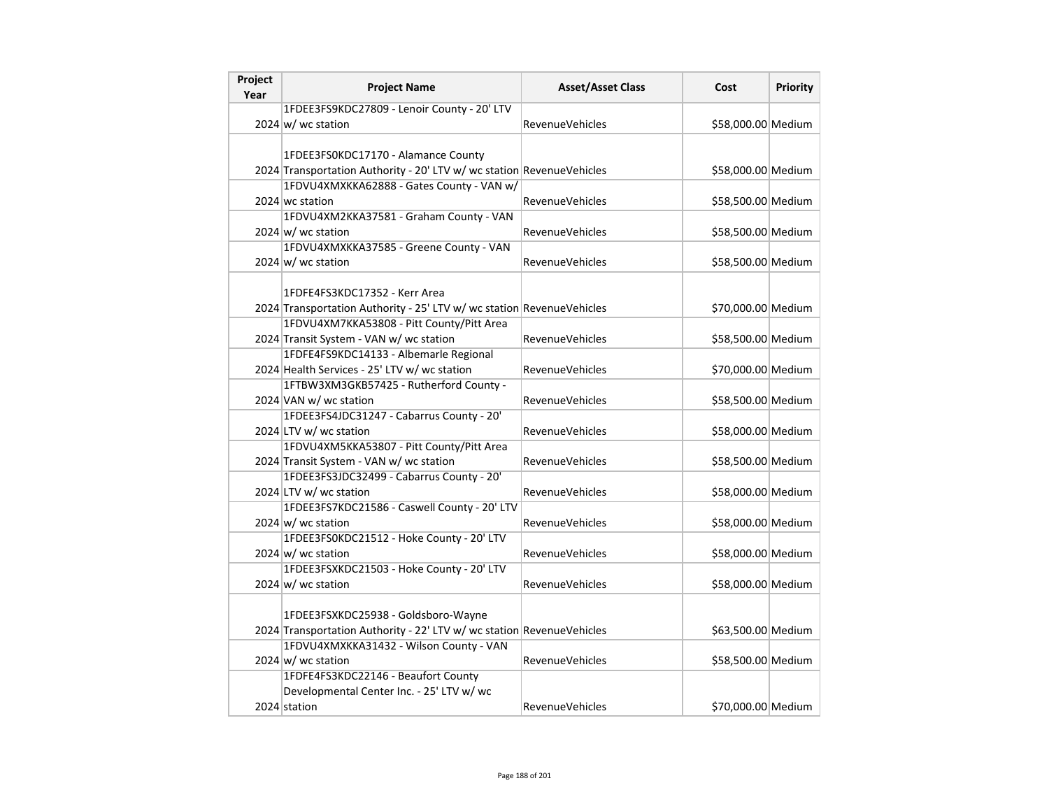| Project<br>Year | <b>Project Name</b>                                                                                          | <b>Asset/Asset Class</b> | Cost               | Priority |
|-----------------|--------------------------------------------------------------------------------------------------------------|--------------------------|--------------------|----------|
|                 | 1FDEE3FS9KDC27809 - Lenoir County - 20' LTV                                                                  |                          |                    |          |
|                 | $2024 \text{ w/m}$ wc station                                                                                | <b>RevenueVehicles</b>   | \$58,000.00 Medium |          |
|                 |                                                                                                              |                          |                    |          |
|                 | 1FDEE3FS0KDC17170 - Alamance County                                                                          |                          |                    |          |
|                 | 2024 Transportation Authority - 20' LTV w/ wc station RevenueVehicles                                        |                          | \$58,000.00 Medium |          |
|                 | 1FDVU4XMXKKA62888 - Gates County - VAN w/                                                                    |                          |                    |          |
|                 | 2024 wc station                                                                                              | <b>RevenueVehicles</b>   | \$58,500.00 Medium |          |
|                 | 1FDVU4XM2KKA37581 - Graham County - VAN                                                                      |                          |                    |          |
|                 | $2024 \text{ w/m}$ wc station                                                                                | <b>RevenueVehicles</b>   | \$58,500.00 Medium |          |
|                 | 1FDVU4XMXKKA37585 - Greene County - VAN                                                                      |                          |                    |          |
|                 | 2024 w/ wc station                                                                                           | <b>RevenueVehicles</b>   | \$58,500.00 Medium |          |
|                 |                                                                                                              |                          |                    |          |
|                 | 1FDFE4FS3KDC17352 - Kerr Area                                                                                |                          |                    |          |
|                 | 2024 Transportation Authority - 25' LTV w/ wc station RevenueVehicles                                        |                          | \$70,000.00 Medium |          |
|                 | 1FDVU4XM7KKA53808 - Pitt County/Pitt Area                                                                    |                          |                    |          |
|                 | 2024 Transit System - VAN w/ wc station                                                                      | <b>RevenueVehicles</b>   | \$58,500.00 Medium |          |
|                 | 1FDFE4FS9KDC14133 - Albemarle Regional                                                                       |                          |                    |          |
|                 | 2024 Health Services - 25' LTV w/ wc station                                                                 | <b>RevenueVehicles</b>   | \$70,000.00 Medium |          |
|                 | 1FTBW3XM3GKB57425 - Rutherford County -                                                                      |                          |                    |          |
|                 | 2024 VAN w/ wc station                                                                                       | <b>RevenueVehicles</b>   | \$58,500.00 Medium |          |
|                 | 1FDEE3FS4JDC31247 - Cabarrus County - 20'                                                                    |                          |                    |          |
|                 | 2024 LTV w/ wc station                                                                                       | <b>RevenueVehicles</b>   | \$58,000.00 Medium |          |
|                 | 1FDVU4XM5KKA53807 - Pitt County/Pitt Area                                                                    |                          |                    |          |
|                 | 2024 Transit System - VAN w/ wc station                                                                      | <b>RevenueVehicles</b>   | \$58,500.00 Medium |          |
|                 | 1FDEE3FS3JDC32499 - Cabarrus County - 20'                                                                    |                          |                    |          |
|                 | 2024 LTV w/ wc station                                                                                       | <b>RevenueVehicles</b>   | \$58,000.00 Medium |          |
|                 | 1FDEE3FS7KDC21586 - Caswell County - 20' LTV                                                                 |                          |                    |          |
|                 | $2024 \text{ w/m}$ wc station                                                                                | <b>RevenueVehicles</b>   | \$58,000.00 Medium |          |
|                 | 1FDEE3FS0KDC21512 - Hoke County - 20' LTV                                                                    |                          |                    |          |
|                 | 2024 $w$ wc station                                                                                          | <b>RevenueVehicles</b>   | \$58,000.00 Medium |          |
|                 | 1FDEE3FSXKDC21503 - Hoke County - 20' LTV                                                                    |                          |                    |          |
|                 | $2024 \text{ w/m}$ wc station                                                                                | <b>RevenueVehicles</b>   | \$58,000.00 Medium |          |
|                 |                                                                                                              |                          |                    |          |
|                 | 1FDEE3FSXKDC25938 - Goldsboro-Wayne<br>2024 Transportation Authority - 22' LTV w/ wc station RevenueVehicles |                          |                    |          |
|                 | 1FDVU4XMXKKA31432 - Wilson County - VAN                                                                      |                          | \$63,500.00 Medium |          |
|                 | $2024 \text{ w/m}$ wc station                                                                                | <b>RevenueVehicles</b>   | \$58,500.00 Medium |          |
|                 | 1FDFE4FS3KDC22146 - Beaufort County                                                                          |                          |                    |          |
|                 | Developmental Center Inc. - 25' LTV w/ wc                                                                    |                          |                    |          |
|                 | 2024 station                                                                                                 | <b>RevenueVehicles</b>   | \$70,000.00 Medium |          |
|                 |                                                                                                              |                          |                    |          |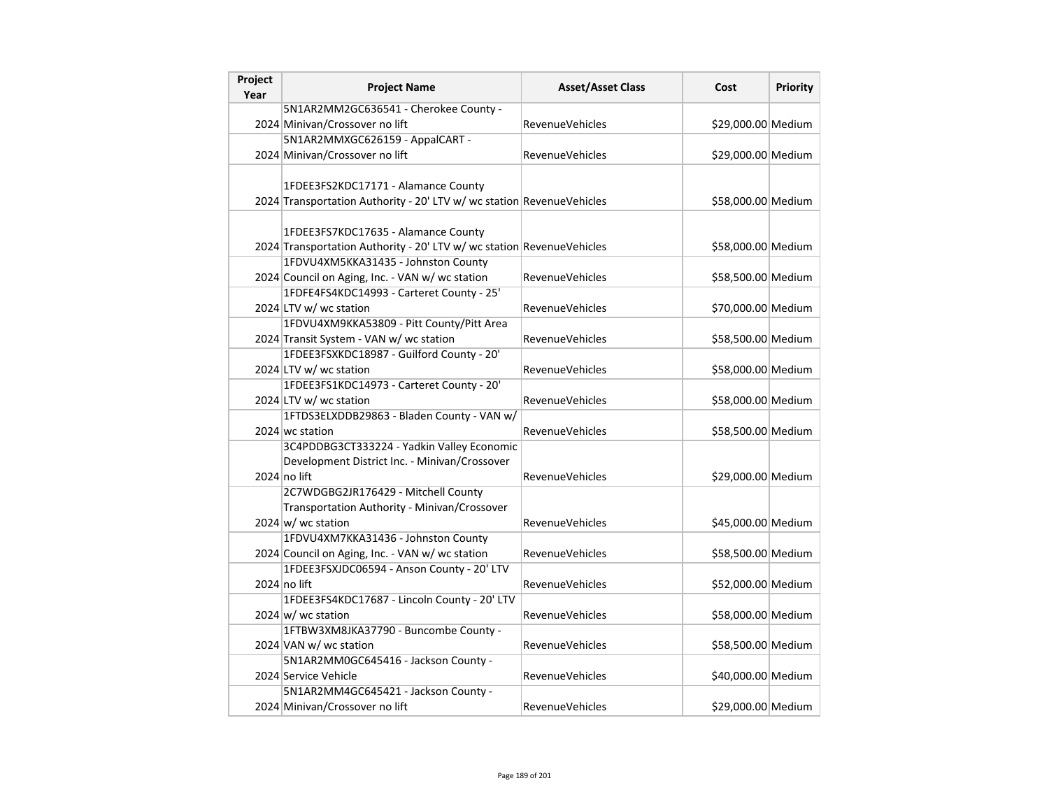| Project<br>Year | <b>Project Name</b>                                                                                          | <b>Asset/Asset Class</b> | Cost               | <b>Priority</b> |
|-----------------|--------------------------------------------------------------------------------------------------------------|--------------------------|--------------------|-----------------|
|                 | 5N1AR2MM2GC636541 - Cherokee County -                                                                        |                          |                    |                 |
|                 | 2024 Minivan/Crossover no lift                                                                               | <b>RevenueVehicles</b>   | \$29,000.00 Medium |                 |
|                 | 5N1AR2MMXGC626159 - AppalCART -                                                                              |                          |                    |                 |
|                 | 2024 Minivan/Crossover no lift                                                                               | <b>RevenueVehicles</b>   | \$29,000.00 Medium |                 |
|                 |                                                                                                              |                          |                    |                 |
|                 | 1FDEE3FS2KDC17171 - Alamance County                                                                          |                          |                    |                 |
|                 | 2024 Transportation Authority - 20' LTV w/ wc station RevenueVehicles                                        |                          | \$58,000.00 Medium |                 |
|                 | 1FDEE3FS7KDC17635 - Alamance County<br>2024 Transportation Authority - 20' LTV w/ wc station RevenueVehicles |                          | \$58,000.00 Medium |                 |
|                 | 1FDVU4XM5KKA31435 - Johnston County                                                                          |                          |                    |                 |
|                 | 2024 Council on Aging, Inc. - VAN w/ wc station                                                              | <b>RevenueVehicles</b>   | \$58,500.00 Medium |                 |
|                 | 1FDFE4FS4KDC14993 - Carteret County - 25'                                                                    |                          |                    |                 |
|                 | 2024 LTV w/ wc station                                                                                       | <b>RevenueVehicles</b>   | \$70,000.00 Medium |                 |
|                 | 1FDVU4XM9KKA53809 - Pitt County/Pitt Area                                                                    |                          |                    |                 |
|                 | 2024 Transit System - VAN w/ wc station                                                                      | <b>RevenueVehicles</b>   | \$58,500.00 Medium |                 |
|                 | 1FDEE3FSXKDC18987 - Guilford County - 20'                                                                    |                          |                    |                 |
|                 | 2024 LTV w/ wc station                                                                                       | <b>RevenueVehicles</b>   | \$58,000.00 Medium |                 |
|                 | 1FDEE3FS1KDC14973 - Carteret County - 20'                                                                    |                          |                    |                 |
|                 | 2024 LTV w/ wc station                                                                                       | <b>RevenueVehicles</b>   | \$58,000.00 Medium |                 |
|                 | 1FTDS3ELXDDB29863 - Bladen County - VAN w/                                                                   |                          |                    |                 |
|                 | 2024 wc station                                                                                              | <b>RevenueVehicles</b>   | \$58,500.00 Medium |                 |
|                 | 3C4PDDBG3CT333224 - Yadkin Valley Economic                                                                   |                          |                    |                 |
|                 | Development District Inc. - Minivan/Crossover                                                                |                          |                    |                 |
|                 | 2024 no lift                                                                                                 | RevenueVehicles          | \$29,000.00 Medium |                 |
|                 | 2C7WDGBG2JR176429 - Mitchell County                                                                          |                          |                    |                 |
|                 | Transportation Authority - Minivan/Crossover                                                                 |                          |                    |                 |
|                 | $2024 \text{ w/m}$ wc station                                                                                | <b>RevenueVehicles</b>   | \$45,000.00 Medium |                 |
|                 | 1FDVU4XM7KKA31436 - Johnston County                                                                          |                          |                    |                 |
|                 | 2024 Council on Aging, Inc. - VAN w/ wc station                                                              | RevenueVehicles          | \$58,500.00 Medium |                 |
|                 | 1FDEE3FSXJDC06594 - Anson County - 20' LTV                                                                   |                          |                    |                 |
|                 | $2024$ no lift                                                                                               | <b>RevenueVehicles</b>   | \$52,000.00 Medium |                 |
|                 | 1FDEE3FS4KDC17687 - Lincoln County - 20' LTV                                                                 |                          |                    |                 |
|                 | 2024 w/ wc station                                                                                           | <b>RevenueVehicles</b>   | \$58,000.00 Medium |                 |
|                 | 1FTBW3XM8JKA37790 - Buncombe County -                                                                        |                          |                    |                 |
|                 | 2024 VAN w/ wc station                                                                                       | <b>RevenueVehicles</b>   | \$58,500.00 Medium |                 |
|                 | 5N1AR2MM0GC645416 - Jackson County -                                                                         |                          |                    |                 |
|                 | 2024 Service Vehicle                                                                                         | <b>RevenueVehicles</b>   | \$40,000.00 Medium |                 |
|                 | 5N1AR2MM4GC645421 - Jackson County -                                                                         |                          |                    |                 |
|                 | 2024 Minivan/Crossover no lift                                                                               | <b>RevenueVehicles</b>   | \$29,000.00 Medium |                 |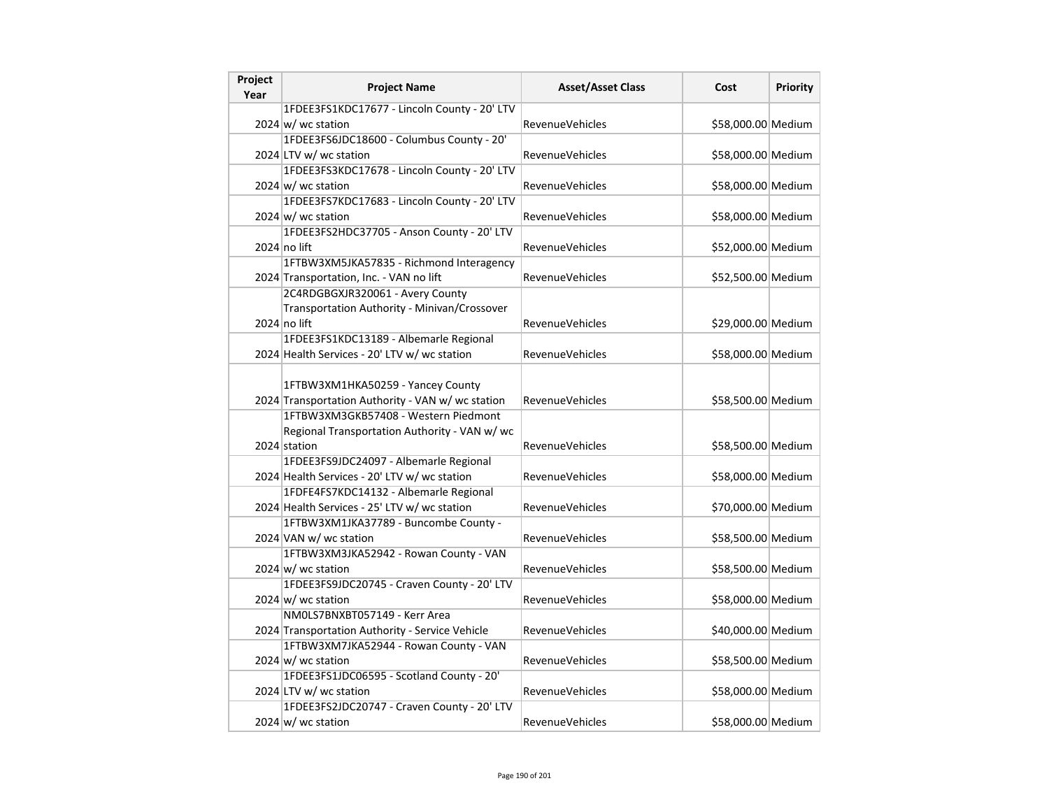| Project<br>Year | <b>Project Name</b>                                                                                                            | <b>Asset/Asset Class</b> | Cost               | <b>Priority</b> |
|-----------------|--------------------------------------------------------------------------------------------------------------------------------|--------------------------|--------------------|-----------------|
|                 | 1FDEE3FS1KDC17677 - Lincoln County - 20' LTV                                                                                   |                          |                    |                 |
|                 | $2024 \text{ w/m}$ wc station                                                                                                  | RevenueVehicles          | \$58,000.00 Medium |                 |
|                 | 1FDEE3FS6JDC18600 - Columbus County - 20'                                                                                      |                          |                    |                 |
|                 | 2024 LTV w/ wc station                                                                                                         | <b>RevenueVehicles</b>   | \$58,000.00 Medium |                 |
|                 | 1FDEE3FS3KDC17678 - Lincoln County - 20' LTV                                                                                   |                          |                    |                 |
|                 | $2024 \, \text{w}$ wc station                                                                                                  | <b>RevenueVehicles</b>   | \$58,000.00 Medium |                 |
|                 | 1FDEE3FS7KDC17683 - Lincoln County - 20' LTV                                                                                   |                          |                    |                 |
|                 | $2024 \text{ w/m}$ wc station                                                                                                  | <b>RevenueVehicles</b>   | \$58,000.00 Medium |                 |
|                 | 1FDEE3FS2HDC37705 - Anson County - 20' LTV                                                                                     |                          |                    |                 |
|                 | 2024 no lift                                                                                                                   | <b>RevenueVehicles</b>   | \$52,000.00 Medium |                 |
|                 | 1FTBW3XM5JKA57835 - Richmond Interagency                                                                                       |                          |                    |                 |
|                 | 2024 Transportation, Inc. - VAN no lift                                                                                        | <b>RevenueVehicles</b>   | \$52,500.00 Medium |                 |
|                 | 2C4RDGBGXJR320061 - Avery County                                                                                               |                          |                    |                 |
|                 | Transportation Authority - Minivan/Crossover                                                                                   |                          |                    |                 |
|                 | 2024 no lift                                                                                                                   | RevenueVehicles          | \$29,000.00 Medium |                 |
|                 | 1FDEE3FS1KDC13189 - Albemarle Regional                                                                                         |                          |                    |                 |
|                 | 2024 Health Services - 20' LTV w/ wc station                                                                                   | RevenueVehicles          | \$58,000.00 Medium |                 |
|                 | 1FTBW3XM1HKA50259 - Yancey County<br>2024 Transportation Authority - VAN w/ wc station<br>1FTBW3XM3GKB57408 - Western Piedmont | <b>RevenueVehicles</b>   | \$58,500.00 Medium |                 |
|                 | Regional Transportation Authority - VAN w/ wc                                                                                  |                          |                    |                 |
|                 | 2024 station                                                                                                                   | <b>RevenueVehicles</b>   | \$58,500.00 Medium |                 |
|                 | 1FDEE3FS9JDC24097 - Albemarle Regional                                                                                         |                          |                    |                 |
|                 | 2024 Health Services - 20' LTV w/ wc station                                                                                   | RevenueVehicles          | \$58,000.00 Medium |                 |
|                 | 1FDFE4FS7KDC14132 - Albemarle Regional                                                                                         |                          |                    |                 |
|                 | 2024 Health Services - 25' LTV w/ wc station                                                                                   | RevenueVehicles          | \$70,000.00 Medium |                 |
|                 | 1FTBW3XM1JKA37789 - Buncombe County -                                                                                          |                          |                    |                 |
|                 | 2024 VAN w/ wc station                                                                                                         | <b>RevenueVehicles</b>   | \$58,500.00 Medium |                 |
|                 | 1FTBW3XM3JKA52942 - Rowan County - VAN                                                                                         |                          |                    |                 |
|                 | $2024 \text{ w/m}$ wc station                                                                                                  | <b>RevenueVehicles</b>   | \$58,500.00 Medium |                 |
|                 | 1FDEE3FS9JDC20745 - Craven County - 20' LTV                                                                                    |                          |                    |                 |
|                 | $2024 \text{ w/m}$ wc station                                                                                                  | <b>RevenueVehicles</b>   | \$58,000.00 Medium |                 |
|                 | NM0LS7BNXBT057149 - Kerr Area                                                                                                  |                          |                    |                 |
|                 | 2024 Transportation Authority - Service Vehicle                                                                                | <b>RevenueVehicles</b>   | \$40,000.00 Medium |                 |
|                 | 1FTBW3XM7JKA52944 - Rowan County - VAN                                                                                         |                          |                    |                 |
|                 | $2024 \text{ w/m}$ wc station                                                                                                  | RevenueVehicles          | \$58,500.00 Medium |                 |
|                 | 1FDEE3FS1JDC06595 - Scotland County - 20'                                                                                      |                          |                    |                 |
|                 | 2024 LTV w/ wc station                                                                                                         | RevenueVehicles          | \$58,000.00 Medium |                 |
|                 | 1FDEE3FS2JDC20747 - Craven County - 20' LTV                                                                                    |                          |                    |                 |
|                 | $2024 \text{ w/m}$ wc station                                                                                                  | <b>RevenueVehicles</b>   | \$58,000.00 Medium |                 |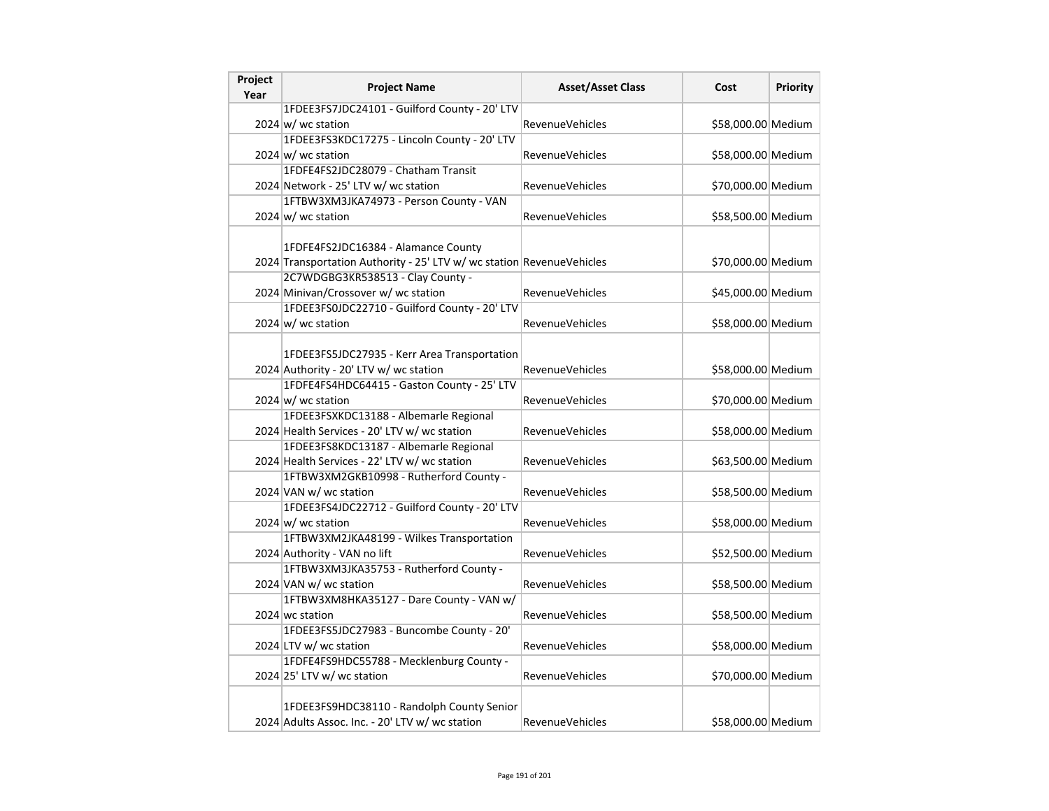| Project | <b>Project Name</b>                                                   | <b>Asset/Asset Class</b> | Cost               | Priority |
|---------|-----------------------------------------------------------------------|--------------------------|--------------------|----------|
| Year    |                                                                       |                          |                    |          |
|         | 1FDEE3FS7JDC24101 - Guilford County - 20' LTV                         |                          |                    |          |
|         | $2024 \text{ w/m}$ wc station                                         | RevenueVehicles          | \$58,000.00 Medium |          |
|         | 1FDEE3FS3KDC17275 - Lincoln County - 20' LTV                          |                          |                    |          |
|         | $2024 \, \text{w}$ wc station                                         | RevenueVehicles          | \$58,000.00 Medium |          |
|         | 1FDFE4FS2JDC28079 - Chatham Transit                                   |                          |                    |          |
|         | 2024 Network - 25' LTV w/ wc station                                  | RevenueVehicles          | \$70,000.00 Medium |          |
|         | 1FTBW3XM3JKA74973 - Person County - VAN                               |                          |                    |          |
|         | 2024 $w$ wc station                                                   | <b>RevenueVehicles</b>   | \$58,500.00 Medium |          |
|         |                                                                       |                          |                    |          |
|         | 1FDFE4FS2JDC16384 - Alamance County                                   |                          |                    |          |
|         | 2024 Transportation Authority - 25' LTV w/ wc station RevenueVehicles |                          | \$70,000.00 Medium |          |
|         | 2C7WDGBG3KR538513 - Clay County -                                     |                          |                    |          |
|         | 2024 Minivan/Crossover w/ wc station                                  | <b>RevenueVehicles</b>   | \$45,000.00 Medium |          |
|         | 1FDEE3FS0JDC22710 - Guilford County - 20' LTV                         |                          |                    |          |
|         | $2024 \text{ w/m}$ wc station                                         | RevenueVehicles          | \$58,000.00 Medium |          |
|         |                                                                       |                          |                    |          |
|         | 1FDEE3FS5JDC27935 - Kerr Area Transportation                          |                          |                    |          |
|         | 2024 Authority - 20' LTV w/ wc station                                | RevenueVehicles          | \$58,000.00 Medium |          |
|         | 1FDFE4FS4HDC64415 - Gaston County - 25' LTV                           |                          |                    |          |
|         | $2024 \text{ w}$ / wc station                                         | RevenueVehicles          | \$70,000.00 Medium |          |
|         | 1FDEE3FSXKDC13188 - Albemarle Regional                                |                          |                    |          |
|         | 2024 Health Services - 20' LTV w/ wc station                          | RevenueVehicles          | \$58,000.00 Medium |          |
|         | 1FDEE3FS8KDC13187 - Albemarle Regional                                |                          |                    |          |
|         | 2024 Health Services - 22' LTV w/ wc station                          | <b>RevenueVehicles</b>   | \$63,500.00 Medium |          |
|         | 1FTBW3XM2GKB10998 - Rutherford County -                               |                          |                    |          |
|         | 2024 VAN w/ wc station                                                | <b>RevenueVehicles</b>   | \$58,500.00 Medium |          |
|         | 1FDEE3FS4JDC22712 - Guilford County - 20' LTV                         |                          |                    |          |
|         | $2024 \text{ w}$ / wc station                                         | <b>RevenueVehicles</b>   | \$58,000.00 Medium |          |
|         | 1FTBW3XM2JKA48199 - Wilkes Transportation                             |                          |                    |          |
|         | 2024 Authority - VAN no lift                                          | RevenueVehicles          | \$52,500.00 Medium |          |
|         | 1FTBW3XM3JKA35753 - Rutherford County -                               |                          |                    |          |
|         | 2024 VAN w/ wc station                                                | RevenueVehicles          | \$58,500.00 Medium |          |
|         | 1FTBW3XM8HKA35127 - Dare County - VAN w/                              |                          |                    |          |
|         | 2024 wc station                                                       | RevenueVehicles          | \$58,500.00 Medium |          |
|         | 1FDEE3FS5JDC27983 - Buncombe County - 20'                             |                          |                    |          |
|         | 2024 LTV w/ wc station                                                | RevenueVehicles          | \$58,000.00 Medium |          |
|         | 1FDFE4FS9HDC55788 - Mecklenburg County -                              |                          |                    |          |
|         | 2024 25' LTV w/ wc station                                            | RevenueVehicles          | \$70,000.00 Medium |          |
|         |                                                                       |                          |                    |          |
|         | 1FDEE3FS9HDC38110 - Randolph County Senior                            |                          |                    |          |
|         | 2024 Adults Assoc. Inc. - 20' LTV w/ wc station                       | RevenueVehicles          | \$58,000.00 Medium |          |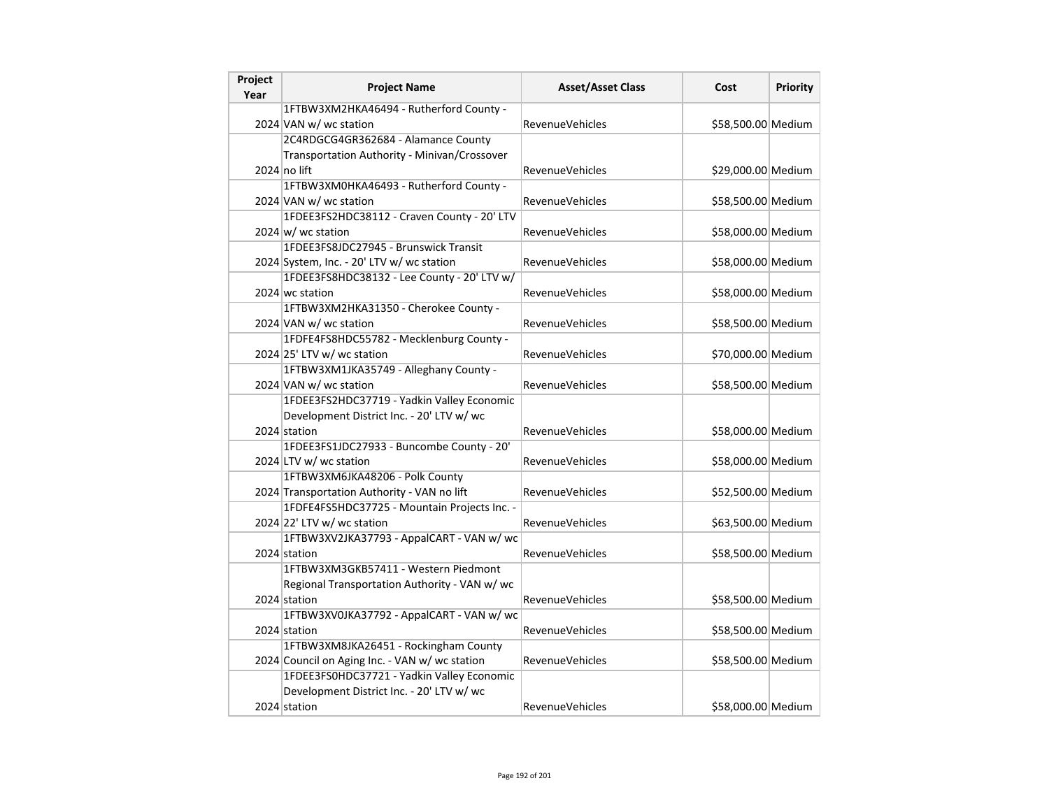| Project<br>Year | <b>Project Name</b>                            | <b>Asset/Asset Class</b> | Cost               | Priority |
|-----------------|------------------------------------------------|--------------------------|--------------------|----------|
|                 | 1FTBW3XM2HKA46494 - Rutherford County -        |                          |                    |          |
|                 | 2024 VAN w/ wc station                         | <b>RevenueVehicles</b>   | \$58,500.00 Medium |          |
|                 | 2C4RDGCG4GR362684 - Alamance County            |                          |                    |          |
|                 | Transportation Authority - Minivan/Crossover   |                          |                    |          |
|                 | $2024$ no lift                                 | <b>RevenueVehicles</b>   | \$29,000.00 Medium |          |
|                 | 1FTBW3XM0HKA46493 - Rutherford County -        |                          |                    |          |
|                 | 2024 VAN w/ wc station                         | <b>RevenueVehicles</b>   | \$58,500.00 Medium |          |
|                 | 1FDEE3FS2HDC38112 - Craven County - 20' LTV    |                          |                    |          |
|                 | $2024 \text{ w/m}$ wc station                  | <b>RevenueVehicles</b>   | \$58,000.00 Medium |          |
|                 | 1FDEE3FS8JDC27945 - Brunswick Transit          |                          |                    |          |
|                 | 2024 System, Inc. - 20' LTV w/ wc station      | <b>RevenueVehicles</b>   | \$58,000.00 Medium |          |
|                 | 1FDEE3FS8HDC38132 - Lee County - 20' LTV w/    |                          |                    |          |
|                 | 2024 wc station                                | <b>RevenueVehicles</b>   | \$58,000.00 Medium |          |
|                 | 1FTBW3XM2HKA31350 - Cherokee County -          |                          |                    |          |
|                 | 2024 VAN w/ wc station                         | <b>RevenueVehicles</b>   | \$58,500.00 Medium |          |
|                 | 1FDFE4FS8HDC55782 - Mecklenburg County -       |                          |                    |          |
|                 | 2024 25' LTV w/ wc station                     | <b>RevenueVehicles</b>   | \$70,000.00 Medium |          |
|                 | 1FTBW3XM1JKA35749 - Alleghany County -         |                          |                    |          |
|                 | 2024 VAN w/ wc station                         | <b>RevenueVehicles</b>   | \$58,500.00 Medium |          |
|                 | 1FDEE3FS2HDC37719 - Yadkin Valley Economic     |                          |                    |          |
|                 | Development District Inc. - 20' LTV w/ wc      |                          |                    |          |
|                 | 2024 station                                   | <b>RevenueVehicles</b>   | \$58,000.00 Medium |          |
|                 | 1FDEE3FS1JDC27933 - Buncombe County - 20'      |                          |                    |          |
|                 | 2024 LTV w/ wc station                         | <b>RevenueVehicles</b>   | \$58,000.00 Medium |          |
|                 | 1FTBW3XM6JKA48206 - Polk County                |                          |                    |          |
|                 | 2024 Transportation Authority - VAN no lift    | <b>RevenueVehicles</b>   | \$52,500.00 Medium |          |
|                 | 1FDFE4FS5HDC37725 - Mountain Projects Inc. -   |                          |                    |          |
|                 | 2024 22' LTV w/ wc station                     | RevenueVehicles          | \$63,500.00 Medium |          |
|                 | 1FTBW3XV2JKA37793 - AppalCART - VAN w/ wc      |                          |                    |          |
|                 | 2024 station                                   | <b>RevenueVehicles</b>   | \$58,500.00 Medium |          |
|                 | 1FTBW3XM3GKB57411 - Western Piedmont           |                          |                    |          |
|                 | Regional Transportation Authority - VAN w/ wc  |                          |                    |          |
|                 | 2024 station                                   | <b>RevenueVehicles</b>   | \$58,500.00 Medium |          |
|                 | 1FTBW3XV0JKA37792 - AppalCART - VAN w/ wc      |                          |                    |          |
|                 | 2024 station                                   | <b>RevenueVehicles</b>   | \$58,500.00 Medium |          |
|                 | 1FTBW3XM8JKA26451 - Rockingham County          |                          |                    |          |
|                 | 2024 Council on Aging Inc. - VAN w/ wc station | RevenueVehicles          | \$58,500.00 Medium |          |
|                 | 1FDEE3FS0HDC37721 - Yadkin Valley Economic     |                          |                    |          |
|                 | Development District Inc. - 20' LTV w/ wc      |                          |                    |          |
|                 | 2024 station                                   | <b>RevenueVehicles</b>   | \$58,000.00 Medium |          |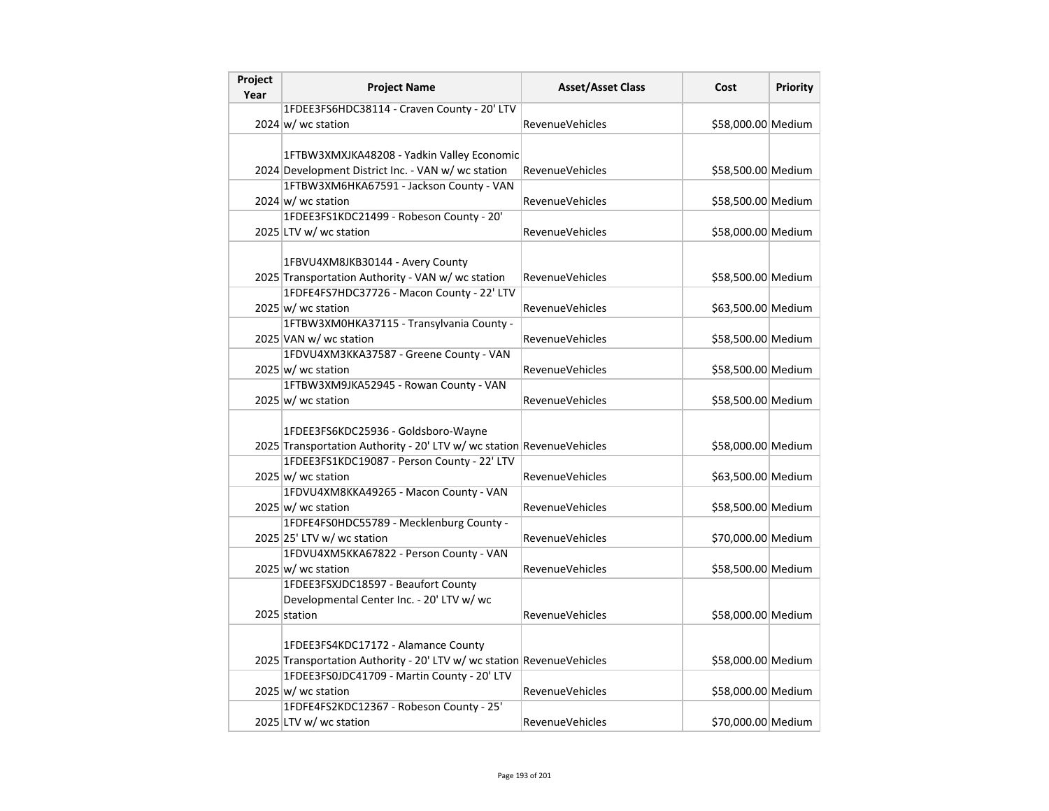| Project | <b>Project Name</b>                                                   | <b>Asset/Asset Class</b> | Cost               | Priority |
|---------|-----------------------------------------------------------------------|--------------------------|--------------------|----------|
| Year    |                                                                       |                          |                    |          |
|         | 1FDEE3FS6HDC38114 - Craven County - 20' LTV                           |                          |                    |          |
|         | $2024 \text{ w/m}$ wc station                                         | <b>RevenueVehicles</b>   | \$58,000.00 Medium |          |
|         |                                                                       |                          |                    |          |
|         | 1FTBW3XMXJKA48208 - Yadkin Valley Economic                            |                          |                    |          |
|         | 2024 Development District Inc. - VAN w/ wc station                    | <b>RevenueVehicles</b>   | \$58,500.00 Medium |          |
|         | 1FTBW3XM6HKA67591 - Jackson County - VAN                              |                          |                    |          |
|         | 2024 w/ wc station                                                    | <b>RevenueVehicles</b>   | \$58,500.00 Medium |          |
|         | 1FDEE3FS1KDC21499 - Robeson County - 20'                              |                          |                    |          |
|         | 2025 LTV w/ wc station                                                | RevenueVehicles          | \$58,000.00 Medium |          |
|         |                                                                       |                          |                    |          |
|         | 1FBVU4XM8JKB30144 - Avery County                                      |                          |                    |          |
|         | 2025 Transportation Authority - VAN w/ wc station                     | <b>RevenueVehicles</b>   | \$58,500.00 Medium |          |
|         | 1FDFE4FS7HDC37726 - Macon County - 22' LTV                            |                          |                    |          |
|         | $2025 \, \text{w}$ / wc station                                       | <b>RevenueVehicles</b>   | \$63,500.00 Medium |          |
|         | 1FTBW3XM0HKA37115 - Transylvania County -                             |                          |                    |          |
|         | 2025 VAN w/ wc station                                                | <b>RevenueVehicles</b>   | \$58,500.00 Medium |          |
|         | 1FDVU4XM3KKA37587 - Greene County - VAN                               |                          |                    |          |
|         | $2025 \, \text{w}$ / wc station                                       | RevenueVehicles          | \$58,500.00 Medium |          |
|         | 1FTBW3XM9JKA52945 - Rowan County - VAN                                |                          |                    |          |
|         | $2025 \vert w$ / wc station                                           | <b>RevenueVehicles</b>   | \$58,500.00 Medium |          |
|         |                                                                       |                          |                    |          |
|         | 1FDEE3FS6KDC25936 - Goldsboro-Wayne                                   |                          |                    |          |
|         | 2025 Transportation Authority - 20' LTV w/ wc station RevenueVehicles |                          | \$58,000.00 Medium |          |
|         | 1FDEE3FS1KDC19087 - Person County - 22' LTV                           |                          |                    |          |
|         | 2025 w/ wc station                                                    | <b>RevenueVehicles</b>   | \$63,500.00 Medium |          |
|         | 1FDVU4XM8KKA49265 - Macon County - VAN                                |                          |                    |          |
|         | $2025 \, \text{w}$ / wc station                                       | <b>RevenueVehicles</b>   | \$58,500.00 Medium |          |
|         | 1FDFE4FS0HDC55789 - Mecklenburg County -                              |                          |                    |          |
|         | 2025 25' LTV w/ wc station                                            | <b>RevenueVehicles</b>   | \$70,000.00 Medium |          |
|         | 1FDVU4XM5KKA67822 - Person County - VAN                               |                          |                    |          |
|         | $2025 \vert w$ / wc station                                           | <b>RevenueVehicles</b>   | \$58,500.00 Medium |          |
|         | 1FDEE3FSXJDC18597 - Beaufort County                                   |                          |                    |          |
|         | Developmental Center Inc. - 20' LTV w/ wc                             |                          |                    |          |
|         | 2025 station                                                          | <b>RevenueVehicles</b>   | \$58,000.00 Medium |          |
|         |                                                                       |                          |                    |          |
|         | 1FDEE3FS4KDC17172 - Alamance County                                   |                          |                    |          |
|         | 2025 Transportation Authority - 20' LTV w/ wc station RevenueVehicles |                          | \$58,000.00 Medium |          |
|         | 1FDEE3FS0JDC41709 - Martin County - 20' LTV                           |                          |                    |          |
|         | 2025 w/ wc station                                                    | <b>RevenueVehicles</b>   | \$58,000.00 Medium |          |
|         | 1FDFE4FS2KDC12367 - Robeson County - 25'                              |                          |                    |          |
|         | 2025 LTV w/ wc station                                                | <b>RevenueVehicles</b>   | \$70,000.00 Medium |          |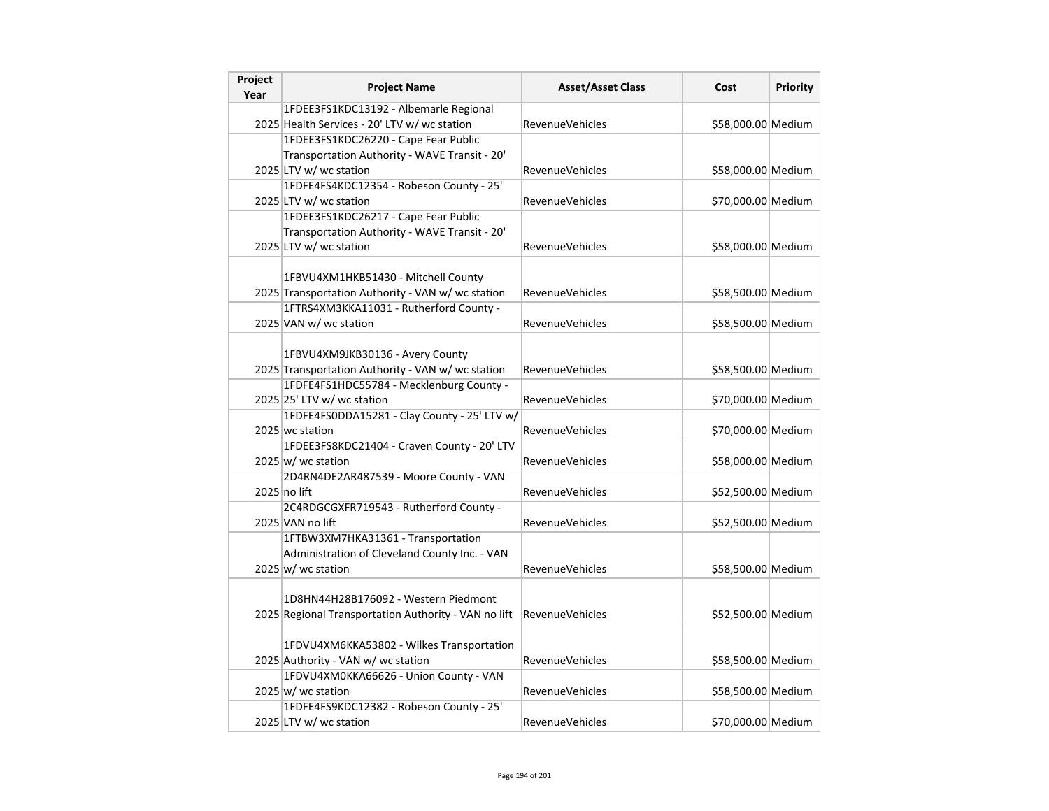| 1FDEE3FS1KDC13192 - Albemarle Regional<br>2025 Health Services - 20' LTV w/ wc station<br><b>RevenueVehicles</b><br>\$58,000.00 Medium<br>1FDEE3FS1KDC26220 - Cape Fear Public<br>Transportation Authority - WAVE Transit - 20'<br>2025 LTV w/ wc station<br>\$58,000.00 Medium<br><b>RevenueVehicles</b><br>1FDFE4FS4KDC12354 - Robeson County - 25'<br>2025 LTV w/ wc station<br>\$70,000.00 Medium<br><b>RevenueVehicles</b><br>1FDEE3FS1KDC26217 - Cape Fear Public<br>Transportation Authority - WAVE Transit - 20'<br>2025 LTV w/ wc station<br><b>RevenueVehicles</b><br>\$58,000.00 Medium<br>1FBVU4XM1HKB51430 - Mitchell County<br>2025 Transportation Authority - VAN w/ wc station<br>\$58,500.00 Medium<br><b>RevenueVehicles</b><br>1FTRS4XM3KKA11031 - Rutherford County -<br>2025 VAN w/ wc station<br>\$58,500.00 Medium<br><b>RevenueVehicles</b><br>1FBVU4XM9JKB30136 - Avery County<br>2025 Transportation Authority - VAN w/ wc station<br>RevenueVehicles<br>\$58,500.00 Medium<br>1FDFE4FS1HDC55784 - Mecklenburg County -<br>2025 25' LTV w/ wc station<br>\$70,000.00 Medium<br>RevenueVehicles<br>1FDFE4FS0DDA15281 - Clay County - 25' LTV w/<br>2025 wc station<br>\$70,000.00 Medium<br><b>RevenueVehicles</b><br>1FDEE3FS8KDC21404 - Craven County - 20' LTV<br>$2025 \vert w \vert$ wc station<br>\$58,000.00 Medium<br><b>RevenueVehicles</b><br>2D4RN4DE2AR487539 - Moore County - VAN<br>2025 no lift<br><b>RevenueVehicles</b><br>\$52,500.00 Medium<br>2C4RDGCGXFR719543 - Rutherford County -<br>\$52,500.00 Medium<br>2025 VAN no lift<br><b>RevenueVehicles</b><br>1FTBW3XM7HKA31361 - Transportation<br>Administration of Cleveland County Inc. - VAN<br>$2025 \vert w$ / wc station<br><b>RevenueVehicles</b><br>\$58,500.00 Medium<br>1D8HN44H28B176092 - Western Piedmont<br>2025 Regional Transportation Authority - VAN no lift<br><b>RevenueVehicles</b><br>\$52,500.00 Medium<br>1FDVU4XM6KKA53802 - Wilkes Transportation<br>2025 Authority - VAN w/ wc station<br>RevenueVehicles<br>\$58,500.00 Medium | Project<br>Year | <b>Project Name</b> | <b>Asset/Asset Class</b> | Cost | Priority |
|----------------------------------------------------------------------------------------------------------------------------------------------------------------------------------------------------------------------------------------------------------------------------------------------------------------------------------------------------------------------------------------------------------------------------------------------------------------------------------------------------------------------------------------------------------------------------------------------------------------------------------------------------------------------------------------------------------------------------------------------------------------------------------------------------------------------------------------------------------------------------------------------------------------------------------------------------------------------------------------------------------------------------------------------------------------------------------------------------------------------------------------------------------------------------------------------------------------------------------------------------------------------------------------------------------------------------------------------------------------------------------------------------------------------------------------------------------------------------------------------------------------------------------------------------------------------------------------------------------------------------------------------------------------------------------------------------------------------------------------------------------------------------------------------------------------------------------------------------------------------------------------------------------------------------------------------------------------------------------------------------------------------------------------------------------|-----------------|---------------------|--------------------------|------|----------|
|                                                                                                                                                                                                                                                                                                                                                                                                                                                                                                                                                                                                                                                                                                                                                                                                                                                                                                                                                                                                                                                                                                                                                                                                                                                                                                                                                                                                                                                                                                                                                                                                                                                                                                                                                                                                                                                                                                                                                                                                                                                          |                 |                     |                          |      |          |
|                                                                                                                                                                                                                                                                                                                                                                                                                                                                                                                                                                                                                                                                                                                                                                                                                                                                                                                                                                                                                                                                                                                                                                                                                                                                                                                                                                                                                                                                                                                                                                                                                                                                                                                                                                                                                                                                                                                                                                                                                                                          |                 |                     |                          |      |          |
|                                                                                                                                                                                                                                                                                                                                                                                                                                                                                                                                                                                                                                                                                                                                                                                                                                                                                                                                                                                                                                                                                                                                                                                                                                                                                                                                                                                                                                                                                                                                                                                                                                                                                                                                                                                                                                                                                                                                                                                                                                                          |                 |                     |                          |      |          |
|                                                                                                                                                                                                                                                                                                                                                                                                                                                                                                                                                                                                                                                                                                                                                                                                                                                                                                                                                                                                                                                                                                                                                                                                                                                                                                                                                                                                                                                                                                                                                                                                                                                                                                                                                                                                                                                                                                                                                                                                                                                          |                 |                     |                          |      |          |
|                                                                                                                                                                                                                                                                                                                                                                                                                                                                                                                                                                                                                                                                                                                                                                                                                                                                                                                                                                                                                                                                                                                                                                                                                                                                                                                                                                                                                                                                                                                                                                                                                                                                                                                                                                                                                                                                                                                                                                                                                                                          |                 |                     |                          |      |          |
|                                                                                                                                                                                                                                                                                                                                                                                                                                                                                                                                                                                                                                                                                                                                                                                                                                                                                                                                                                                                                                                                                                                                                                                                                                                                                                                                                                                                                                                                                                                                                                                                                                                                                                                                                                                                                                                                                                                                                                                                                                                          |                 |                     |                          |      |          |
|                                                                                                                                                                                                                                                                                                                                                                                                                                                                                                                                                                                                                                                                                                                                                                                                                                                                                                                                                                                                                                                                                                                                                                                                                                                                                                                                                                                                                                                                                                                                                                                                                                                                                                                                                                                                                                                                                                                                                                                                                                                          |                 |                     |                          |      |          |
|                                                                                                                                                                                                                                                                                                                                                                                                                                                                                                                                                                                                                                                                                                                                                                                                                                                                                                                                                                                                                                                                                                                                                                                                                                                                                                                                                                                                                                                                                                                                                                                                                                                                                                                                                                                                                                                                                                                                                                                                                                                          |                 |                     |                          |      |          |
|                                                                                                                                                                                                                                                                                                                                                                                                                                                                                                                                                                                                                                                                                                                                                                                                                                                                                                                                                                                                                                                                                                                                                                                                                                                                                                                                                                                                                                                                                                                                                                                                                                                                                                                                                                                                                                                                                                                                                                                                                                                          |                 |                     |                          |      |          |
|                                                                                                                                                                                                                                                                                                                                                                                                                                                                                                                                                                                                                                                                                                                                                                                                                                                                                                                                                                                                                                                                                                                                                                                                                                                                                                                                                                                                                                                                                                                                                                                                                                                                                                                                                                                                                                                                                                                                                                                                                                                          |                 |                     |                          |      |          |
|                                                                                                                                                                                                                                                                                                                                                                                                                                                                                                                                                                                                                                                                                                                                                                                                                                                                                                                                                                                                                                                                                                                                                                                                                                                                                                                                                                                                                                                                                                                                                                                                                                                                                                                                                                                                                                                                                                                                                                                                                                                          |                 |                     |                          |      |          |
|                                                                                                                                                                                                                                                                                                                                                                                                                                                                                                                                                                                                                                                                                                                                                                                                                                                                                                                                                                                                                                                                                                                                                                                                                                                                                                                                                                                                                                                                                                                                                                                                                                                                                                                                                                                                                                                                                                                                                                                                                                                          |                 |                     |                          |      |          |
|                                                                                                                                                                                                                                                                                                                                                                                                                                                                                                                                                                                                                                                                                                                                                                                                                                                                                                                                                                                                                                                                                                                                                                                                                                                                                                                                                                                                                                                                                                                                                                                                                                                                                                                                                                                                                                                                                                                                                                                                                                                          |                 |                     |                          |      |          |
|                                                                                                                                                                                                                                                                                                                                                                                                                                                                                                                                                                                                                                                                                                                                                                                                                                                                                                                                                                                                                                                                                                                                                                                                                                                                                                                                                                                                                                                                                                                                                                                                                                                                                                                                                                                                                                                                                                                                                                                                                                                          |                 |                     |                          |      |          |
|                                                                                                                                                                                                                                                                                                                                                                                                                                                                                                                                                                                                                                                                                                                                                                                                                                                                                                                                                                                                                                                                                                                                                                                                                                                                                                                                                                                                                                                                                                                                                                                                                                                                                                                                                                                                                                                                                                                                                                                                                                                          |                 |                     |                          |      |          |
|                                                                                                                                                                                                                                                                                                                                                                                                                                                                                                                                                                                                                                                                                                                                                                                                                                                                                                                                                                                                                                                                                                                                                                                                                                                                                                                                                                                                                                                                                                                                                                                                                                                                                                                                                                                                                                                                                                                                                                                                                                                          |                 |                     |                          |      |          |
|                                                                                                                                                                                                                                                                                                                                                                                                                                                                                                                                                                                                                                                                                                                                                                                                                                                                                                                                                                                                                                                                                                                                                                                                                                                                                                                                                                                                                                                                                                                                                                                                                                                                                                                                                                                                                                                                                                                                                                                                                                                          |                 |                     |                          |      |          |
|                                                                                                                                                                                                                                                                                                                                                                                                                                                                                                                                                                                                                                                                                                                                                                                                                                                                                                                                                                                                                                                                                                                                                                                                                                                                                                                                                                                                                                                                                                                                                                                                                                                                                                                                                                                                                                                                                                                                                                                                                                                          |                 |                     |                          |      |          |
|                                                                                                                                                                                                                                                                                                                                                                                                                                                                                                                                                                                                                                                                                                                                                                                                                                                                                                                                                                                                                                                                                                                                                                                                                                                                                                                                                                                                                                                                                                                                                                                                                                                                                                                                                                                                                                                                                                                                                                                                                                                          |                 |                     |                          |      |          |
|                                                                                                                                                                                                                                                                                                                                                                                                                                                                                                                                                                                                                                                                                                                                                                                                                                                                                                                                                                                                                                                                                                                                                                                                                                                                                                                                                                                                                                                                                                                                                                                                                                                                                                                                                                                                                                                                                                                                                                                                                                                          |                 |                     |                          |      |          |
|                                                                                                                                                                                                                                                                                                                                                                                                                                                                                                                                                                                                                                                                                                                                                                                                                                                                                                                                                                                                                                                                                                                                                                                                                                                                                                                                                                                                                                                                                                                                                                                                                                                                                                                                                                                                                                                                                                                                                                                                                                                          |                 |                     |                          |      |          |
|                                                                                                                                                                                                                                                                                                                                                                                                                                                                                                                                                                                                                                                                                                                                                                                                                                                                                                                                                                                                                                                                                                                                                                                                                                                                                                                                                                                                                                                                                                                                                                                                                                                                                                                                                                                                                                                                                                                                                                                                                                                          |                 |                     |                          |      |          |
|                                                                                                                                                                                                                                                                                                                                                                                                                                                                                                                                                                                                                                                                                                                                                                                                                                                                                                                                                                                                                                                                                                                                                                                                                                                                                                                                                                                                                                                                                                                                                                                                                                                                                                                                                                                                                                                                                                                                                                                                                                                          |                 |                     |                          |      |          |
|                                                                                                                                                                                                                                                                                                                                                                                                                                                                                                                                                                                                                                                                                                                                                                                                                                                                                                                                                                                                                                                                                                                                                                                                                                                                                                                                                                                                                                                                                                                                                                                                                                                                                                                                                                                                                                                                                                                                                                                                                                                          |                 |                     |                          |      |          |
|                                                                                                                                                                                                                                                                                                                                                                                                                                                                                                                                                                                                                                                                                                                                                                                                                                                                                                                                                                                                                                                                                                                                                                                                                                                                                                                                                                                                                                                                                                                                                                                                                                                                                                                                                                                                                                                                                                                                                                                                                                                          |                 |                     |                          |      |          |
|                                                                                                                                                                                                                                                                                                                                                                                                                                                                                                                                                                                                                                                                                                                                                                                                                                                                                                                                                                                                                                                                                                                                                                                                                                                                                                                                                                                                                                                                                                                                                                                                                                                                                                                                                                                                                                                                                                                                                                                                                                                          |                 |                     |                          |      |          |
|                                                                                                                                                                                                                                                                                                                                                                                                                                                                                                                                                                                                                                                                                                                                                                                                                                                                                                                                                                                                                                                                                                                                                                                                                                                                                                                                                                                                                                                                                                                                                                                                                                                                                                                                                                                                                                                                                                                                                                                                                                                          |                 |                     |                          |      |          |
|                                                                                                                                                                                                                                                                                                                                                                                                                                                                                                                                                                                                                                                                                                                                                                                                                                                                                                                                                                                                                                                                                                                                                                                                                                                                                                                                                                                                                                                                                                                                                                                                                                                                                                                                                                                                                                                                                                                                                                                                                                                          |                 |                     |                          |      |          |
|                                                                                                                                                                                                                                                                                                                                                                                                                                                                                                                                                                                                                                                                                                                                                                                                                                                                                                                                                                                                                                                                                                                                                                                                                                                                                                                                                                                                                                                                                                                                                                                                                                                                                                                                                                                                                                                                                                                                                                                                                                                          |                 |                     |                          |      |          |
|                                                                                                                                                                                                                                                                                                                                                                                                                                                                                                                                                                                                                                                                                                                                                                                                                                                                                                                                                                                                                                                                                                                                                                                                                                                                                                                                                                                                                                                                                                                                                                                                                                                                                                                                                                                                                                                                                                                                                                                                                                                          |                 |                     |                          |      |          |
|                                                                                                                                                                                                                                                                                                                                                                                                                                                                                                                                                                                                                                                                                                                                                                                                                                                                                                                                                                                                                                                                                                                                                                                                                                                                                                                                                                                                                                                                                                                                                                                                                                                                                                                                                                                                                                                                                                                                                                                                                                                          |                 |                     |                          |      |          |
|                                                                                                                                                                                                                                                                                                                                                                                                                                                                                                                                                                                                                                                                                                                                                                                                                                                                                                                                                                                                                                                                                                                                                                                                                                                                                                                                                                                                                                                                                                                                                                                                                                                                                                                                                                                                                                                                                                                                                                                                                                                          |                 |                     |                          |      |          |
|                                                                                                                                                                                                                                                                                                                                                                                                                                                                                                                                                                                                                                                                                                                                                                                                                                                                                                                                                                                                                                                                                                                                                                                                                                                                                                                                                                                                                                                                                                                                                                                                                                                                                                                                                                                                                                                                                                                                                                                                                                                          |                 |                     |                          |      |          |
|                                                                                                                                                                                                                                                                                                                                                                                                                                                                                                                                                                                                                                                                                                                                                                                                                                                                                                                                                                                                                                                                                                                                                                                                                                                                                                                                                                                                                                                                                                                                                                                                                                                                                                                                                                                                                                                                                                                                                                                                                                                          |                 |                     |                          |      |          |
|                                                                                                                                                                                                                                                                                                                                                                                                                                                                                                                                                                                                                                                                                                                                                                                                                                                                                                                                                                                                                                                                                                                                                                                                                                                                                                                                                                                                                                                                                                                                                                                                                                                                                                                                                                                                                                                                                                                                                                                                                                                          |                 |                     |                          |      |          |
|                                                                                                                                                                                                                                                                                                                                                                                                                                                                                                                                                                                                                                                                                                                                                                                                                                                                                                                                                                                                                                                                                                                                                                                                                                                                                                                                                                                                                                                                                                                                                                                                                                                                                                                                                                                                                                                                                                                                                                                                                                                          |                 |                     |                          |      |          |
| 1FDVU4XM0KKA66626 - Union County - VAN                                                                                                                                                                                                                                                                                                                                                                                                                                                                                                                                                                                                                                                                                                                                                                                                                                                                                                                                                                                                                                                                                                                                                                                                                                                                                                                                                                                                                                                                                                                                                                                                                                                                                                                                                                                                                                                                                                                                                                                                                   |                 |                     |                          |      |          |
| $2025 \vert w$ / wc station<br>RevenueVehicles<br>\$58,500.00 Medium                                                                                                                                                                                                                                                                                                                                                                                                                                                                                                                                                                                                                                                                                                                                                                                                                                                                                                                                                                                                                                                                                                                                                                                                                                                                                                                                                                                                                                                                                                                                                                                                                                                                                                                                                                                                                                                                                                                                                                                     |                 |                     |                          |      |          |
| 1FDFE4FS9KDC12382 - Robeson County - 25'                                                                                                                                                                                                                                                                                                                                                                                                                                                                                                                                                                                                                                                                                                                                                                                                                                                                                                                                                                                                                                                                                                                                                                                                                                                                                                                                                                                                                                                                                                                                                                                                                                                                                                                                                                                                                                                                                                                                                                                                                 |                 |                     |                          |      |          |
| 2025 LTV w/ wc station<br>\$70,000.00 Medium<br><b>RevenueVehicles</b>                                                                                                                                                                                                                                                                                                                                                                                                                                                                                                                                                                                                                                                                                                                                                                                                                                                                                                                                                                                                                                                                                                                                                                                                                                                                                                                                                                                                                                                                                                                                                                                                                                                                                                                                                                                                                                                                                                                                                                                   |                 |                     |                          |      |          |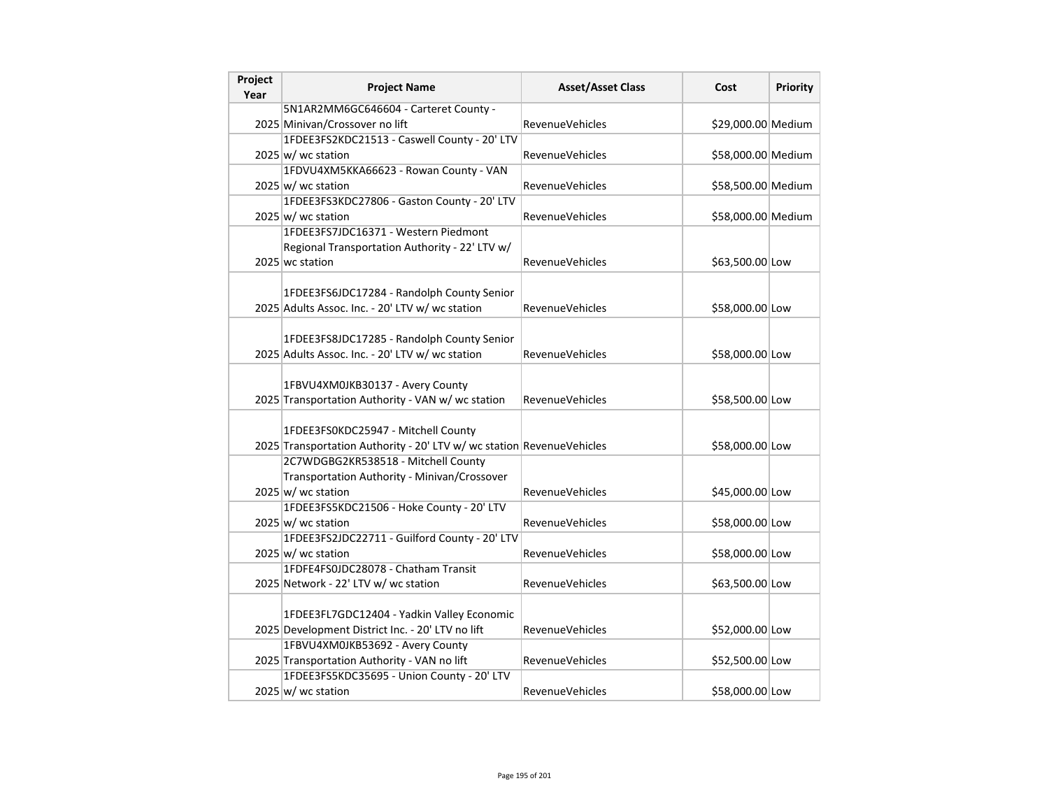| Project<br>Year | <b>Project Name</b>                                                   | <b>Asset/Asset Class</b> | Cost               | <b>Priority</b> |
|-----------------|-----------------------------------------------------------------------|--------------------------|--------------------|-----------------|
|                 | 5N1AR2MM6GC646604 - Carteret County -                                 |                          |                    |                 |
|                 | 2025 Minivan/Crossover no lift                                        | <b>RevenueVehicles</b>   | \$29,000.00 Medium |                 |
|                 | 1FDEE3FS2KDC21513 - Caswell County - 20' LTV                          |                          |                    |                 |
|                 | $2025 \vert w \vert$ wc station                                       | RevenueVehicles          | \$58,000.00 Medium |                 |
|                 | 1FDVU4XM5KKA66623 - Rowan County - VAN                                |                          |                    |                 |
|                 | $2025 \vert w \vert$ wc station                                       | <b>RevenueVehicles</b>   | \$58,500.00 Medium |                 |
|                 | 1FDEE3FS3KDC27806 - Gaston County - 20' LTV                           |                          |                    |                 |
|                 | $2025 \vert w$ / wc station                                           | RevenueVehicles          | \$58,000.00 Medium |                 |
|                 | 1FDEE3FS7JDC16371 - Western Piedmont                                  |                          |                    |                 |
|                 | Regional Transportation Authority - 22' LTV w/                        |                          |                    |                 |
|                 | 2025 wc station                                                       | <b>RevenueVehicles</b>   | \$63,500.00 Low    |                 |
|                 |                                                                       |                          |                    |                 |
|                 | 1FDEE3FS6JDC17284 - Randolph County Senior                            |                          |                    |                 |
|                 | 2025 Adults Assoc. Inc. - 20' LTV w/ wc station                       | <b>RevenueVehicles</b>   | \$58,000.00 Low    |                 |
|                 |                                                                       |                          |                    |                 |
|                 | 1FDEE3FS8JDC17285 - Randolph County Senior                            |                          |                    |                 |
|                 | 2025 Adults Assoc. Inc. - 20' LTV w/ wc station                       | <b>RevenueVehicles</b>   | \$58,000.00 Low    |                 |
|                 |                                                                       |                          |                    |                 |
|                 | 1FBVU4XM0JKB30137 - Avery County                                      |                          |                    |                 |
|                 | 2025 Transportation Authority - VAN w/ wc station                     | <b>RevenueVehicles</b>   | \$58,500.00 Low    |                 |
|                 |                                                                       |                          |                    |                 |
|                 | 1FDEE3FS0KDC25947 - Mitchell County                                   |                          |                    |                 |
|                 | 2025 Transportation Authority - 20' LTV w/ wc station RevenueVehicles |                          | \$58,000.00 Low    |                 |
|                 | 2C7WDGBG2KR538518 - Mitchell County                                   |                          |                    |                 |
|                 | Transportation Authority - Minivan/Crossover                          |                          |                    |                 |
|                 | $2025 \vert w$ / wc station                                           | <b>RevenueVehicles</b>   | \$45,000.00 Low    |                 |
|                 | 1FDEE3FS5KDC21506 - Hoke County - 20' LTV                             |                          |                    |                 |
|                 | $2025 \vert w$ / wc station                                           | <b>RevenueVehicles</b>   | \$58,000.00 Low    |                 |
|                 | 1FDEE3FS2JDC22711 - Guilford County - 20' LTV                         |                          |                    |                 |
|                 | $2025 \vert w$ / wc station<br>1FDFE4FS0JDC28078 - Chatham Transit    | <b>RevenueVehicles</b>   | \$58,000.00 Low    |                 |
|                 |                                                                       |                          |                    |                 |
|                 | 2025 Network - 22' LTV w/ wc station                                  | <b>RevenueVehicles</b>   | \$63,500.00 Low    |                 |
|                 | 1FDEE3FL7GDC12404 - Yadkin Valley Economic                            |                          |                    |                 |
|                 | 2025 Development District Inc. - 20' LTV no lift                      | <b>RevenueVehicles</b>   |                    |                 |
|                 | 1FBVU4XM0JKB53692 - Avery County                                      |                          | \$52,000.00 Low    |                 |
|                 | 2025 Transportation Authority - VAN no lift                           | <b>RevenueVehicles</b>   | \$52,500.00 Low    |                 |
|                 | 1FDEE3FS5KDC35695 - Union County - 20' LTV                            |                          |                    |                 |
|                 |                                                                       |                          |                    |                 |
|                 | $2025 \vert w$ / wc station                                           | <b>RevenueVehicles</b>   | \$58,000.00 Low    |                 |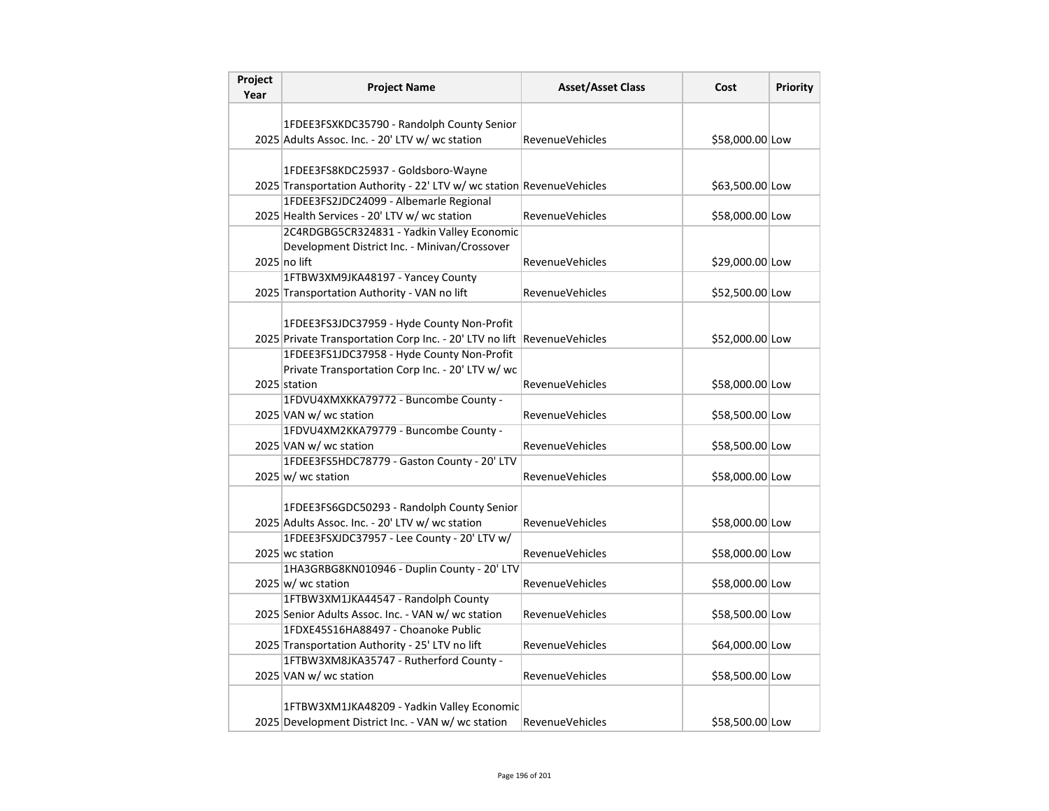| Project<br>Year | <b>Project Name</b>                                                                           | <b>Asset/Asset Class</b> | Cost            | <b>Priority</b> |
|-----------------|-----------------------------------------------------------------------------------------------|--------------------------|-----------------|-----------------|
|                 |                                                                                               |                          |                 |                 |
|                 | 1FDEE3FSXKDC35790 - Randolph County Senior                                                    |                          |                 |                 |
|                 | 2025 Adults Assoc. Inc. - 20' LTV w/ wc station                                               | <b>RevenueVehicles</b>   | \$58,000.00 Low |                 |
|                 |                                                                                               |                          |                 |                 |
|                 | 1FDEE3FS8KDC25937 - Goldsboro-Wayne                                                           |                          |                 |                 |
|                 | 2025 Transportation Authority - 22' LTV w/ wc station RevenueVehicles                         |                          | \$63,500.00 Low |                 |
|                 | 1FDEE3FS2JDC24099 - Albemarle Regional<br>2025 Health Services - 20' LTV w/ wc station        | <b>RevenueVehicles</b>   |                 |                 |
|                 | 2C4RDGBG5CR324831 - Yadkin Valley Economic                                                    |                          | \$58,000.00 Low |                 |
|                 | Development District Inc. - Minivan/Crossover                                                 |                          |                 |                 |
|                 | 2025 no lift                                                                                  | <b>RevenueVehicles</b>   | \$29,000.00 Low |                 |
|                 | 1FTBW3XM9JKA48197 - Yancey County                                                             |                          |                 |                 |
|                 | 2025 Transportation Authority - VAN no lift                                                   | <b>RevenueVehicles</b>   | \$52,500.00 Low |                 |
|                 |                                                                                               |                          |                 |                 |
|                 | 1FDEE3FS3JDC37959 - Hyde County Non-Profit                                                    |                          |                 |                 |
|                 | 2025 Private Transportation Corp Inc. - 20' LTV no lift RevenueVehicles                       |                          | \$52,000.00 Low |                 |
|                 | 1FDEE3FS1JDC37958 - Hyde County Non-Profit                                                    |                          |                 |                 |
|                 | Private Transportation Corp Inc. - 20' LTV w/ wc                                              |                          |                 |                 |
|                 | 2025 station                                                                                  | <b>RevenueVehicles</b>   | \$58,000.00 Low |                 |
|                 | 1FDVU4XMXKKA79772 - Buncombe County -                                                         |                          |                 |                 |
|                 | 2025 VAN w/ wc station                                                                        | <b>RevenueVehicles</b>   | \$58,500.00 Low |                 |
|                 | 1FDVU4XM2KKA79779 - Buncombe County -                                                         |                          |                 |                 |
|                 | 2025 VAN w/ wc station                                                                        | <b>RevenueVehicles</b>   | \$58,500.00 Low |                 |
|                 | 1FDEE3FS5HDC78779 - Gaston County - 20' LTV                                                   |                          |                 |                 |
|                 | $2025 \vert w \vert$ wc station                                                               | <b>RevenueVehicles</b>   | \$58,000.00 Low |                 |
|                 |                                                                                               |                          |                 |                 |
|                 | 1FDEE3FS6GDC50293 - Randolph County Senior<br>2025 Adults Assoc. Inc. - 20' LTV w/ wc station | RevenueVehicles          | \$58,000.00 Low |                 |
|                 | 1FDEE3FSXJDC37957 - Lee County - 20' LTV w/                                                   |                          |                 |                 |
|                 | 2025 wc station                                                                               | <b>RevenueVehicles</b>   | \$58,000.00 Low |                 |
|                 | 1HA3GRBG8KN010946 - Duplin County - 20' LTV                                                   |                          |                 |                 |
|                 | $2025 \vert w \vert$ wc station                                                               | <b>RevenueVehicles</b>   | \$58,000.00 Low |                 |
|                 | 1FTBW3XM1JKA44547 - Randolph County                                                           |                          |                 |                 |
|                 | 2025 Senior Adults Assoc. Inc. - VAN w/ wc station                                            | <b>RevenueVehicles</b>   | \$58,500.00 Low |                 |
|                 | 1FDXE45S16HA88497 - Choanoke Public                                                           |                          |                 |                 |
|                 | 2025 Transportation Authority - 25' LTV no lift                                               | RevenueVehicles          | \$64,000.00 Low |                 |
|                 | 1FTBW3XM8JKA35747 - Rutherford County -                                                       |                          |                 |                 |
|                 | 2025 VAN w/ wc station                                                                        | <b>RevenueVehicles</b>   | \$58,500.00 Low |                 |
|                 |                                                                                               |                          |                 |                 |
|                 | 1FTBW3XM1JKA48209 - Yadkin Valley Economic                                                    |                          |                 |                 |
|                 | 2025 Development District Inc. - VAN w/ wc station                                            | <b>RevenueVehicles</b>   | \$58,500.00 Low |                 |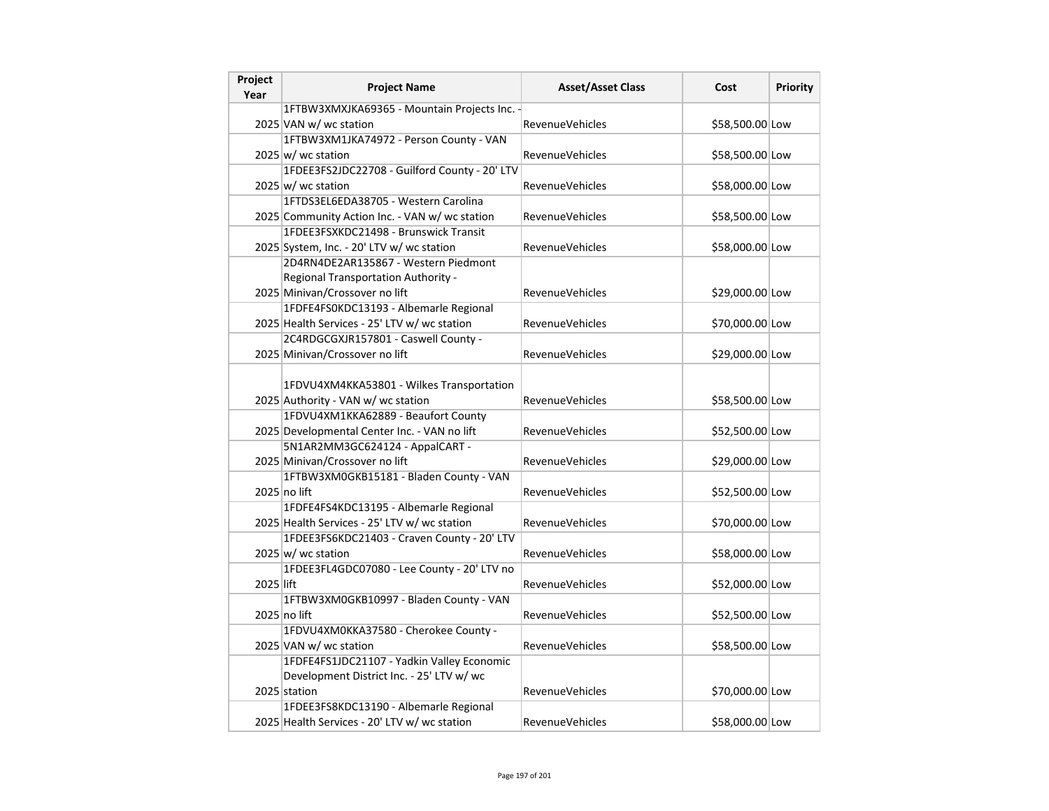| Project<br>Year | <b>Project Name</b>                                                                    | <b>Asset/Asset Class</b> | Cost            | <b>Priority</b> |
|-----------------|----------------------------------------------------------------------------------------|--------------------------|-----------------|-----------------|
|                 | 1FTBW3XMXJKA69365 - Mountain Projects Inc. -                                           |                          |                 |                 |
|                 | 2025 VAN w/ wc station                                                                 | <b>RevenueVehicles</b>   | \$58,500.00 Low |                 |
|                 | 1FTBW3XM1JKA74972 - Person County - VAN                                                |                          |                 |                 |
|                 | $2025 \vert w \vert$ wc station                                                        | RevenueVehicles          | \$58,500.00 Low |                 |
|                 | 1FDEE3FS2JDC22708 - Guilford County - 20' LTV                                          |                          |                 |                 |
|                 | $2025 \vert w \vert$ wc station                                                        | <b>RevenueVehicles</b>   | \$58,000.00 Low |                 |
|                 | 1FTDS3EL6EDA38705 - Western Carolina                                                   |                          |                 |                 |
|                 | 2025 Community Action Inc. - VAN w/ wc station                                         | <b>RevenueVehicles</b>   | \$58,500.00 Low |                 |
|                 | 1FDEE3FSXKDC21498 - Brunswick Transit                                                  |                          |                 |                 |
|                 | 2025 System, Inc. - 20' LTV w/ wc station                                              | <b>RevenueVehicles</b>   | \$58,000.00 Low |                 |
|                 | 2D4RN4DE2AR135867 - Western Piedmont                                                   |                          |                 |                 |
|                 | Regional Transportation Authority -                                                    |                          |                 |                 |
|                 | 2025 Minivan/Crossover no lift                                                         | <b>RevenueVehicles</b>   | \$29,000.00 Low |                 |
|                 | 1FDFE4FS0KDC13193 - Albemarle Regional                                                 |                          |                 |                 |
|                 | 2025 Health Services - 25' LTV w/ wc station                                           | <b>RevenueVehicles</b>   | \$70,000.00 Low |                 |
|                 | 2C4RDGCGXJR157801 - Caswell County -                                                   |                          |                 |                 |
|                 | 2025 Minivan/Crossover no lift                                                         | <b>RevenueVehicles</b>   | \$29,000.00 Low |                 |
|                 |                                                                                        |                          |                 |                 |
|                 | 1FDVU4XM4KKA53801 - Wilkes Transportation                                              |                          |                 |                 |
|                 | 2025 Authority - VAN w/ wc station                                                     | <b>RevenueVehicles</b>   | \$58,500.00 Low |                 |
|                 | 1FDVU4XM1KKA62889 - Beaufort County                                                    |                          |                 |                 |
|                 | 2025 Developmental Center Inc. - VAN no lift                                           | <b>RevenueVehicles</b>   | \$52,500.00 Low |                 |
|                 | 5N1AR2MM3GC624124 - AppalCART -                                                        |                          |                 |                 |
|                 | 2025 Minivan/Crossover no lift                                                         | <b>RevenueVehicles</b>   | \$29,000.00 Low |                 |
|                 | 1FTBW3XM0GKB15181 - Bladen County - VAN                                                |                          |                 |                 |
|                 | 2025 no lift                                                                           | <b>RevenueVehicles</b>   | \$52,500.00 Low |                 |
|                 | 1FDFE4FS4KDC13195 - Albemarle Regional                                                 |                          |                 |                 |
|                 | 2025 Health Services - 25' LTV w/ wc station                                           | <b>RevenueVehicles</b>   | \$70,000.00 Low |                 |
|                 | 1FDEE3FS6KDC21403 - Craven County - 20' LTV                                            |                          |                 |                 |
|                 | 2025 w/ wc station                                                                     | <b>RevenueVehicles</b>   | \$58,000.00 Low |                 |
|                 | 1FDEE3FL4GDC07080 - Lee County - 20' LTV no                                            |                          |                 |                 |
| 2025 lift       |                                                                                        | <b>RevenueVehicles</b>   | \$52,000.00 Low |                 |
|                 | 1FTBW3XM0GKB10997 - Bladen County - VAN                                                |                          |                 |                 |
|                 | 2025 no lift                                                                           | <b>RevenueVehicles</b>   | \$52,500.00 Low |                 |
|                 | 1FDVU4XM0KKA37580 - Cherokee County -                                                  |                          |                 |                 |
|                 | 2025 VAN w/ wc station                                                                 | <b>RevenueVehicles</b>   | \$58,500.00 Low |                 |
|                 | 1FDFE4FS1JDC21107 - Yadkin Valley Economic                                             |                          |                 |                 |
|                 | Development District Inc. - 25' LTV w/ wc                                              |                          |                 |                 |
|                 | 2025 station                                                                           | <b>RevenueVehicles</b>   | \$70,000.00 Low |                 |
|                 | 1FDEE3FS8KDC13190 - Albemarle Regional<br>2025 Health Services - 20' LTV w/ wc station |                          |                 |                 |
|                 |                                                                                        | <b>RevenueVehicles</b>   | \$58,000.00 Low |                 |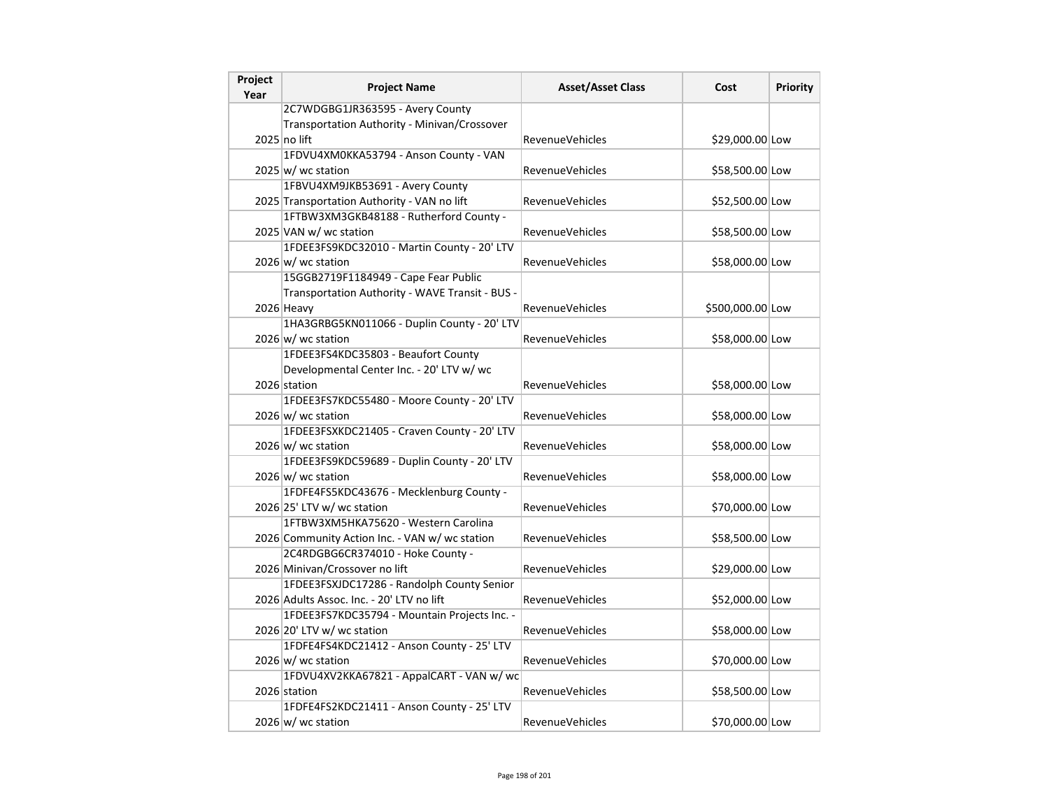| Project<br>Year | <b>Project Name</b>                             | <b>Asset/Asset Class</b> | Cost             | <b>Priority</b> |
|-----------------|-------------------------------------------------|--------------------------|------------------|-----------------|
|                 | 2C7WDGBG1JR363595 - Avery County                |                          |                  |                 |
|                 | Transportation Authority - Minivan/Crossover    |                          |                  |                 |
|                 | 2025 no lift                                    | <b>RevenueVehicles</b>   | \$29,000.00 Low  |                 |
|                 | 1FDVU4XM0KKA53794 - Anson County - VAN          |                          |                  |                 |
|                 | $2025 \, \text{w}$ / wc station                 | <b>RevenueVehicles</b>   | \$58,500.00 Low  |                 |
|                 | 1FBVU4XM9JKB53691 - Avery County                |                          |                  |                 |
|                 | 2025 Transportation Authority - VAN no lift     | <b>RevenueVehicles</b>   | \$52,500.00 Low  |                 |
|                 | 1FTBW3XM3GKB48188 - Rutherford County -         |                          |                  |                 |
|                 | 2025 VAN w/ wc station                          | <b>RevenueVehicles</b>   | \$58,500.00 Low  |                 |
|                 | 1FDEE3FS9KDC32010 - Martin County - 20' LTV     |                          |                  |                 |
|                 | 2026 w/ wc station                              | <b>RevenueVehicles</b>   | \$58,000.00 Low  |                 |
|                 | 15GGB2719F1184949 - Cape Fear Public            |                          |                  |                 |
|                 | Transportation Authority - WAVE Transit - BUS - |                          |                  |                 |
|                 | 2026 Heavy                                      | <b>RevenueVehicles</b>   | \$500,000.00 Low |                 |
|                 | 1HA3GRBG5KN011066 - Duplin County - 20' LTV     |                          |                  |                 |
|                 | $2026 \text{ w}$ / wc station                   | <b>RevenueVehicles</b>   | \$58,000.00 Low  |                 |
|                 | 1FDEE3FS4KDC35803 - Beaufort County             |                          |                  |                 |
|                 | Developmental Center Inc. - 20' LTV w/ wc       |                          |                  |                 |
|                 | 2026 station                                    | <b>RevenueVehicles</b>   | \$58,000.00 Low  |                 |
|                 | 1FDEE3FS7KDC55480 - Moore County - 20' LTV      |                          |                  |                 |
|                 | $2026 \, \vert \text{w} / \text{wc}$ station    | <b>RevenueVehicles</b>   | \$58,000.00 Low  |                 |
|                 | 1FDEE3FSXKDC21405 - Craven County - 20' LTV     |                          |                  |                 |
|                 | 2026 w/ wc station                              | <b>RevenueVehicles</b>   | \$58,000.00 Low  |                 |
|                 | 1FDEE3FS9KDC59689 - Duplin County - 20' LTV     |                          |                  |                 |
|                 | $2026 \text{ w/m}$ wc station                   | RevenueVehicles          | \$58,000.00 Low  |                 |
|                 | 1FDFE4FS5KDC43676 - Mecklenburg County -        |                          |                  |                 |
|                 | 2026 25' LTV w/ wc station                      | RevenueVehicles          | \$70,000.00 Low  |                 |
|                 | 1FTBW3XM5HKA75620 - Western Carolina            |                          |                  |                 |
|                 | 2026 Community Action Inc. - VAN w/ wc station  | <b>RevenueVehicles</b>   | \$58,500.00 Low  |                 |
|                 | 2C4RDGBG6CR374010 - Hoke County -               |                          |                  |                 |
|                 | 2026 Minivan/Crossover no lift                  | <b>RevenueVehicles</b>   | \$29,000.00 Low  |                 |
|                 | 1FDEE3FSXJDC17286 - Randolph County Senior      |                          |                  |                 |
|                 | 2026 Adults Assoc. Inc. - 20' LTV no lift       | RevenueVehicles          | \$52,000.00 Low  |                 |
|                 | 1FDEE3FS7KDC35794 - Mountain Projects Inc. -    |                          |                  |                 |
|                 | 2026 20' LTV w/ wc station                      | RevenueVehicles          | \$58,000.00 Low  |                 |
|                 | 1FDFE4FS4KDC21412 - Anson County - 25' LTV      |                          |                  |                 |
|                 | 2026 w/ wc station                              | RevenueVehicles          | \$70,000.00 Low  |                 |
|                 | 1FDVU4XV2KKA67821 - AppalCART - VAN w/ wc       |                          |                  |                 |
|                 | 2026 station                                    | RevenueVehicles          | \$58,500.00 Low  |                 |
|                 | 1FDFE4FS2KDC21411 - Anson County - 25' LTV      |                          |                  |                 |
|                 | $2026 \text{ w}$ / wc station                   | <b>RevenueVehicles</b>   | \$70,000.00 Low  |                 |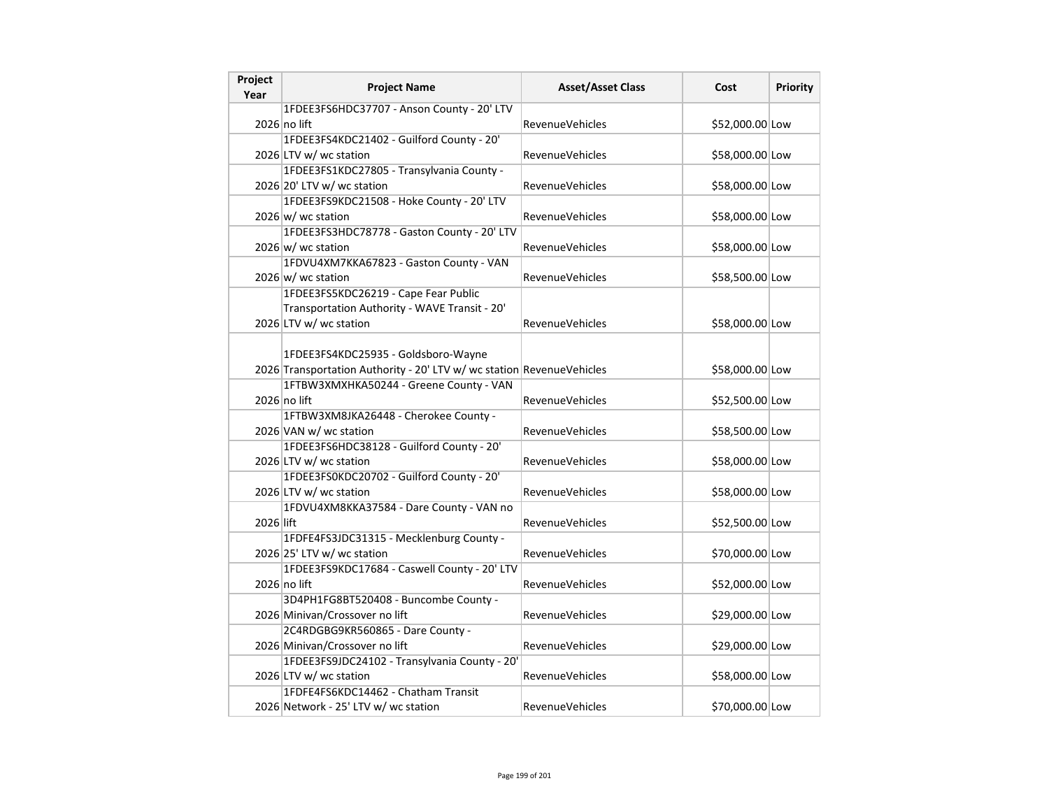| Project<br>Year | <b>Project Name</b>                                                   | <b>Asset/Asset Class</b> | Cost            | Priority |
|-----------------|-----------------------------------------------------------------------|--------------------------|-----------------|----------|
|                 | 1FDEE3FS6HDC37707 - Anson County - 20' LTV                            |                          |                 |          |
|                 | 2026 no lift                                                          | <b>RevenueVehicles</b>   | \$52,000.00 Low |          |
|                 | 1FDEE3FS4KDC21402 - Guilford County - 20'                             |                          |                 |          |
|                 | 2026 LTV w/ wc station                                                | RevenueVehicles          | \$58,000.00 Low |          |
|                 | 1FDEE3FS1KDC27805 - Transylvania County -                             |                          |                 |          |
|                 | 2026 20' LTV w/ wc station                                            | RevenueVehicles          | \$58,000.00 Low |          |
|                 | 1FDEE3FS9KDC21508 - Hoke County - 20' LTV                             |                          |                 |          |
|                 | 2026 w/ wc station                                                    | <b>RevenueVehicles</b>   | \$58,000.00 Low |          |
|                 | 1FDEE3FS3HDC78778 - Gaston County - 20' LTV                           |                          |                 |          |
|                 | $2026 \text{ w}$ wc station                                           | <b>RevenueVehicles</b>   | \$58,000.00 Low |          |
|                 | 1FDVU4XM7KKA67823 - Gaston County - VAN                               |                          |                 |          |
|                 | $2026 \text{ w}$ / wc station                                         | <b>RevenueVehicles</b>   | \$58,500.00 Low |          |
|                 | 1FDEE3FS5KDC26219 - Cape Fear Public                                  |                          |                 |          |
|                 | Transportation Authority - WAVE Transit - 20'                         |                          |                 |          |
|                 | 2026 LTV w/ wc station                                                | RevenueVehicles          | \$58,000.00 Low |          |
|                 |                                                                       |                          |                 |          |
|                 | 1FDEE3FS4KDC25935 - Goldsboro-Wayne                                   |                          |                 |          |
|                 | 2026 Transportation Authority - 20' LTV w/ wc station RevenueVehicles |                          | \$58,000.00 Low |          |
|                 | 1FTBW3XMXHKA50244 - Greene County - VAN                               |                          |                 |          |
|                 | 2026 no lift                                                          | <b>RevenueVehicles</b>   | \$52,500.00 Low |          |
|                 | 1FTBW3XM8JKA26448 - Cherokee County -                                 |                          |                 |          |
|                 | 2026 VAN w/ wc station                                                | <b>RevenueVehicles</b>   | \$58,500.00 Low |          |
|                 | 1FDEE3FS6HDC38128 - Guilford County - 20'                             |                          |                 |          |
|                 | 2026 LTV w/ wc station                                                | RevenueVehicles          | \$58,000.00 Low |          |
|                 | 1FDEE3FS0KDC20702 - Guilford County - 20'                             |                          |                 |          |
|                 | 2026 LTV w/ wc station                                                | <b>RevenueVehicles</b>   | \$58,000.00 Low |          |
|                 | 1FDVU4XM8KKA37584 - Dare County - VAN no                              |                          |                 |          |
| 2026 lift       |                                                                       | <b>RevenueVehicles</b>   | \$52,500.00 Low |          |
|                 | 1FDFE4FS3JDC31315 - Mecklenburg County -                              |                          |                 |          |
|                 | 2026 25' LTV w/ wc station                                            | RevenueVehicles          | \$70,000.00 Low |          |
|                 | 1FDEE3FS9KDC17684 - Caswell County - 20' LTV                          |                          |                 |          |
|                 | 2026 no lift                                                          | <b>RevenueVehicles</b>   | \$52,000.00 Low |          |
|                 | 3D4PH1FG8BT520408 - Buncombe County -                                 |                          |                 |          |
|                 | 2026 Minivan/Crossover no lift                                        | RevenueVehicles          | \$29,000.00 Low |          |
|                 | 2C4RDGBG9KR560865 - Dare County -                                     |                          |                 |          |
|                 | 2026 Minivan/Crossover no lift                                        | <b>RevenueVehicles</b>   | \$29,000.00 Low |          |
|                 | 1FDEE3FS9JDC24102 - Transylvania County - 20'                         |                          |                 |          |
|                 | 2026 LTV w/ wc station                                                | <b>RevenueVehicles</b>   | \$58,000.00 Low |          |
|                 | 1FDFE4FS6KDC14462 - Chatham Transit                                   |                          |                 |          |
|                 | 2026 Network - 25' LTV w/ wc station                                  | <b>RevenueVehicles</b>   | \$70,000.00 Low |          |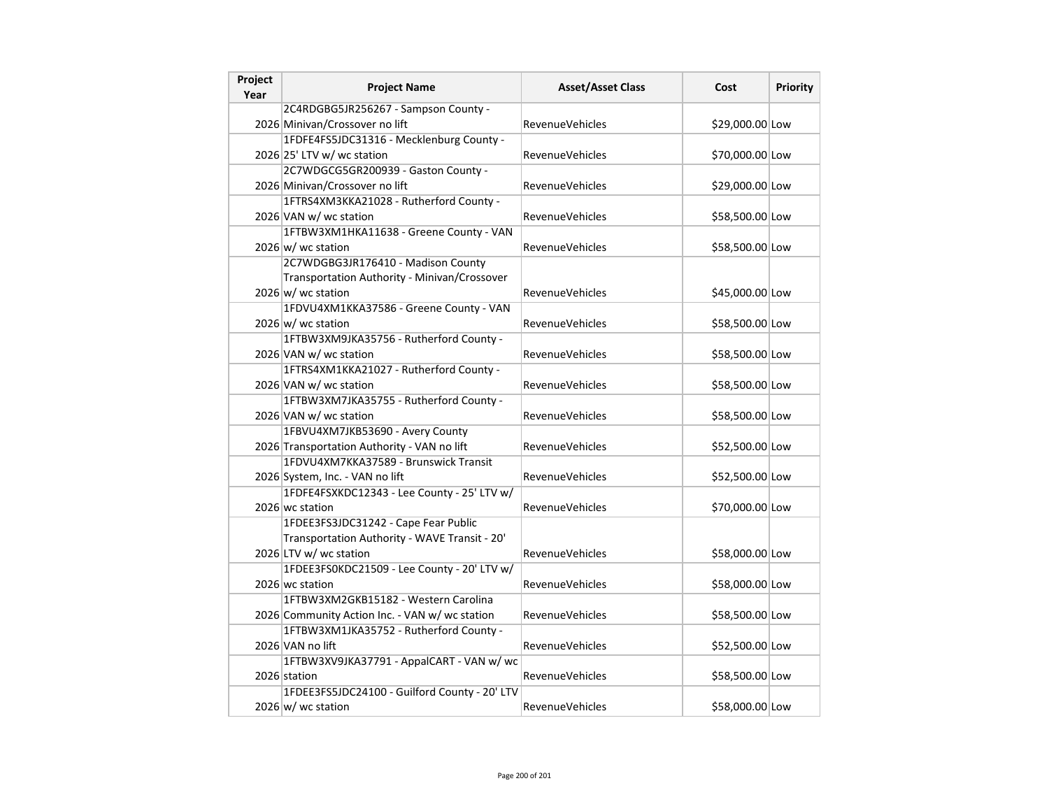| Project<br>Year | <b>Project Name</b>                            | <b>Asset/Asset Class</b> | Cost            | <b>Priority</b> |
|-----------------|------------------------------------------------|--------------------------|-----------------|-----------------|
|                 | 2C4RDGBG5JR256267 - Sampson County -           |                          |                 |                 |
|                 | 2026 Minivan/Crossover no lift                 | <b>RevenueVehicles</b>   | \$29,000.00 Low |                 |
|                 | 1FDFE4FS5JDC31316 - Mecklenburg County -       |                          |                 |                 |
|                 | 2026 25' LTV w/ wc station                     | <b>RevenueVehicles</b>   | \$70,000.00 Low |                 |
|                 | 2C7WDGCG5GR200939 - Gaston County -            |                          |                 |                 |
|                 | 2026 Minivan/Crossover no lift                 | <b>RevenueVehicles</b>   | \$29,000.00 Low |                 |
|                 | 1FTRS4XM3KKA21028 - Rutherford County -        |                          |                 |                 |
|                 | 2026 VAN w/ wc station                         | RevenueVehicles          | \$58,500.00 Low |                 |
|                 | 1FTBW3XM1HKA11638 - Greene County - VAN        |                          |                 |                 |
|                 | 2026 w/ wc station                             | <b>RevenueVehicles</b>   | \$58,500.00 Low |                 |
|                 | 2C7WDGBG3JR176410 - Madison County             |                          |                 |                 |
|                 | Transportation Authority - Minivan/Crossover   |                          |                 |                 |
|                 | $2026 \text{ w/m}$ wc station                  | <b>RevenueVehicles</b>   | \$45,000.00 Low |                 |
|                 | 1FDVU4XM1KKA37586 - Greene County - VAN        |                          |                 |                 |
|                 | 2026 w/ wc station                             | <b>RevenueVehicles</b>   | \$58,500.00 Low |                 |
|                 | 1FTBW3XM9JKA35756 - Rutherford County -        |                          |                 |                 |
|                 | 2026 VAN w/ wc station                         | RevenueVehicles          | \$58,500.00 Low |                 |
|                 | 1FTRS4XM1KKA21027 - Rutherford County -        |                          |                 |                 |
|                 | 2026 VAN w/ wc station                         | <b>RevenueVehicles</b>   | \$58,500.00 Low |                 |
|                 | 1FTBW3XM7JKA35755 - Rutherford County -        |                          |                 |                 |
|                 | 2026 VAN w/ wc station                         | <b>RevenueVehicles</b>   | \$58,500.00 Low |                 |
|                 | 1FBVU4XM7JKB53690 - Avery County               |                          |                 |                 |
|                 | 2026 Transportation Authority - VAN no lift    | RevenueVehicles          | \$52,500.00 Low |                 |
|                 | 1FDVU4XM7KKA37589 - Brunswick Transit          |                          |                 |                 |
|                 | 2026 System, Inc. - VAN no lift                | RevenueVehicles          | \$52,500.00 Low |                 |
|                 | 1FDFE4FSXKDC12343 - Lee County - 25' LTV w/    |                          |                 |                 |
|                 | 2026 wc station                                | <b>RevenueVehicles</b>   | \$70,000.00 Low |                 |
|                 | 1FDEE3FS3JDC31242 - Cape Fear Public           |                          |                 |                 |
|                 | Transportation Authority - WAVE Transit - 20'  |                          |                 |                 |
|                 | 2026 LTV w/ wc station                         | <b>RevenueVehicles</b>   | \$58,000.00 Low |                 |
|                 | 1FDEE3FS0KDC21509 - Lee County - 20' LTV w/    |                          |                 |                 |
|                 | 2026 wc station                                | <b>RevenueVehicles</b>   | \$58,000.00 Low |                 |
|                 | 1FTBW3XM2GKB15182 - Western Carolina           |                          |                 |                 |
|                 | 2026 Community Action Inc. - VAN w/ wc station | RevenueVehicles          | \$58,500.00 Low |                 |
|                 | 1FTBW3XM1JKA35752 - Rutherford County -        |                          |                 |                 |
|                 | 2026 VAN no lift                               | <b>RevenueVehicles</b>   | \$52,500.00 Low |                 |
|                 | 1FTBW3XV9JKA37791 - AppalCART - VAN w/ wc      |                          |                 |                 |
|                 | 2026 station                                   | <b>RevenueVehicles</b>   | \$58,500.00 Low |                 |
|                 | 1FDEE3FS5JDC24100 - Guilford County - 20' LTV  |                          |                 |                 |
|                 | $2026 \text{ w}$ / wc station                  | <b>RevenueVehicles</b>   | \$58,000.00 Low |                 |